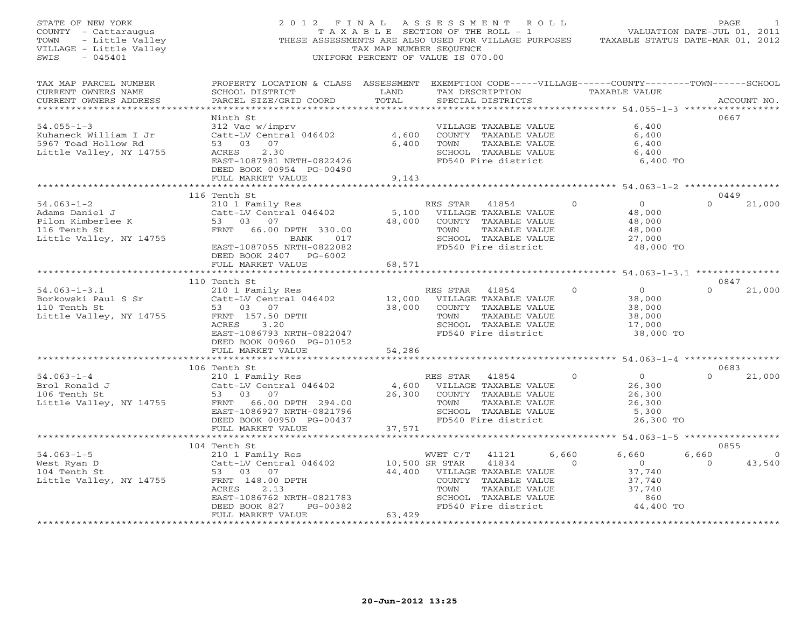| STATE OF NEW YORK<br>COUNTY - Cattaraugus<br>TOWN<br>- Little Valley<br>VILLAGE - Little Valley<br>SWIS<br>$-045401$ | 2012 FINAL ASSESSMENT ROLL<br>THESE ASSESSMENTS ARE ALSO USED FOR VILLAGE PURPOSES                                                              | T A X A B L E SECTION OF THE ROLL - 1<br>TAX MAP NUMBER SEQUENCE<br>UNIFORM PERCENT OF VALUE IS 070.00 |                              |                                             |                | VALUATION DATE-JUL 01, 2011<br>TAXABLE STATUS DATE-MAR 01, 2012 | PAGE     |             |
|----------------------------------------------------------------------------------------------------------------------|-------------------------------------------------------------------------------------------------------------------------------------------------|--------------------------------------------------------------------------------------------------------|------------------------------|---------------------------------------------|----------------|-----------------------------------------------------------------|----------|-------------|
| TAX MAP PARCEL NUMBER<br>CURRENT OWNERS NAME<br>CURRENT OWNERS ADDRESS                                               | PROPERTY LOCATION & CLASS ASSESSMENT EXEMPTION CODE-----VILLAGE------COUNTY-------TOWN------SCHOOL<br>SCHOOL DISTRICT<br>PARCEL SIZE/GRID COORD | LAND<br>TOTAL                                                                                          |                              | SPECIAL DISTRICTS                           |                | TAX DESCRIPTION TAXABLE VALUE                                   |          | ACCOUNT NO. |
| *************************                                                                                            | Ninth St                                                                                                                                        |                                                                                                        |                              |                                             |                |                                                                 | 0667     |             |
| $54.055 - 1 - 3$                                                                                                     | 312 Vac w/imprv                                                                                                                                 |                                                                                                        |                              | VILLAGE TAXABLE VALUE                       |                | 6,400                                                           |          |             |
| Kuhaneck William I Jr                                                                                                | Catt-LV Central 046402                                                                                                                          | 4,600                                                                                                  |                              | COUNTY TAXABLE VALUE                        |                | 6,400                                                           |          |             |
| 5967 Toad Hollow Rd                                                                                                  | 53 03 07                                                                                                                                        | 6,400                                                                                                  | TOWN                         | TAXABLE VALUE                               |                | 6,400                                                           |          |             |
| Little Valley, NY 14755                                                                                              | ACRES<br>2.30                                                                                                                                   |                                                                                                        |                              | SCHOOL TAXABLE VALUE                        |                | 6,400                                                           |          |             |
|                                                                                                                      | EAST-1087981 NRTH-0822426                                                                                                                       |                                                                                                        |                              | FD540 Fire district                         |                | 6,400 TO                                                        |          |             |
|                                                                                                                      | DEED BOOK 00954 PG-00490                                                                                                                        |                                                                                                        |                              |                                             |                |                                                                 |          |             |
|                                                                                                                      | FULL MARKET VALUE                                                                                                                               | 9,143                                                                                                  |                              |                                             |                |                                                                 |          |             |
|                                                                                                                      | 116 Tenth St                                                                                                                                    |                                                                                                        |                              |                                             |                |                                                                 | 0449     |             |
| $54.063 - 1 - 2$                                                                                                     | 210 1 Family Res                                                                                                                                |                                                                                                        | RES STAR                     | 41854                                       | $\Omega$       | $\overline{0}$                                                  | $\Omega$ | 21,000      |
| Adams Daniel J                                                                                                       | Catt-LV Central 046402                                                                                                                          | 5,100                                                                                                  |                              | VILLAGE TAXABLE VALUE                       |                | 48,000                                                          |          |             |
| Pilon Kimberlee K                                                                                                    | 53 03 07                                                                                                                                        | 48,000                                                                                                 |                              | COUNTY TAXABLE VALUE                        |                | 48,000                                                          |          |             |
| 116 Tenth St                                                                                                         | FRNT 66.00 DPTH 330.00                                                                                                                          |                                                                                                        | TOWN                         | TAXABLE VALUE                               |                | 48,000                                                          |          |             |
| Little Valley, NY 14755                                                                                              | BANK<br>017                                                                                                                                     |                                                                                                        |                              | SCHOOL TAXABLE VALUE                        |                | 27,000                                                          |          |             |
|                                                                                                                      | EAST-1087055 NRTH-0822082                                                                                                                       |                                                                                                        |                              | FD540 Fire district                         |                | 48,000 TO                                                       |          |             |
|                                                                                                                      | DEED BOOK 2407 PG-6002                                                                                                                          | 68,571                                                                                                 |                              |                                             |                |                                                                 |          |             |
|                                                                                                                      | FULL MARKET VALUE<br>*********************                                                                                                      |                                                                                                        |                              |                                             |                |                                                                 |          |             |
|                                                                                                                      | 110 Tenth St                                                                                                                                    |                                                                                                        |                              |                                             |                |                                                                 | 0847     |             |
| $54.063 - 1 - 3.1$                                                                                                   | 210 1 Family Res                                                                                                                                |                                                                                                        | RES STAR 41854               |                                             | $\Omega$       | $\overline{0}$                                                  | $\Omega$ | 21,000      |
| Borkowski Paul S Sr                                                                                                  | Catt-LV Central 046402                                                                                                                          |                                                                                                        | 12,000 VILLAGE TAXABLE VALUE |                                             |                | 38,000                                                          |          |             |
| 110 Tenth St                                                                                                         | 53 03 07                                                                                                                                        | 38,000                                                                                                 |                              | COUNTY TAXABLE VALUE                        |                | 38,000                                                          |          |             |
| Little Valley, NY 14755                                                                                              | FRNT 157.50 DPTH                                                                                                                                |                                                                                                        | TOWN                         | TAXABLE VALUE                               |                | 38,000                                                          |          |             |
|                                                                                                                      | ACRES 3.20                                                                                                                                      |                                                                                                        |                              | SCHOOL TAXABLE VALUE                        |                | 17,000                                                          |          |             |
|                                                                                                                      | EAST-1086793 NRTH-0822047                                                                                                                       |                                                                                                        |                              | FD540 Fire district                         |                | 38,000 TO                                                       |          |             |
|                                                                                                                      | DEED BOOK 00960 PG-01052<br>FULL MARKET VALUE                                                                                                   | 54,286                                                                                                 |                              |                                             |                |                                                                 |          |             |
|                                                                                                                      |                                                                                                                                                 |                                                                                                        |                              |                                             |                | ********* 54.063-1-4 ************                               |          |             |
|                                                                                                                      | 106 Tenth St                                                                                                                                    |                                                                                                        |                              |                                             |                |                                                                 | 0683     |             |
| $54.063 - 1 - 4$                                                                                                     | 210 1 Family Res                                                                                                                                |                                                                                                        | RES STAR                     | 41854                                       | $\mathbf{0}$   | $\overline{0}$                                                  | $\Omega$ | 21,000      |
| Brol Ronald J                                                                                                        | Catt-LV Central 046402                                                                                                                          | 4,600                                                                                                  |                              | VILLAGE TAXABLE VALUE                       |                | 26,300                                                          |          |             |
| 106 Tenth St                                                                                                         | 53 03 07                                                                                                                                        | 26,300                                                                                                 |                              | COUNTY TAXABLE VALUE                        |                | 26,300                                                          |          |             |
| Little Valley, NY 14755                                                                                              | FRNT 66.00 DPTH 294.00                                                                                                                          |                                                                                                        | TOWN                         | TAXABLE VALUE                               |                | 26,300                                                          |          |             |
|                                                                                                                      | EAST-1086927 NRTH-0821796<br>DEED BOOK 00950 PG-00437                                                                                           |                                                                                                        |                              | SCHOOL TAXABLE VALUE<br>FD540 Fire district |                | 5,300<br>26,300 TO                                              |          |             |
|                                                                                                                      | FULL MARKET VALUE                                                                                                                               | 37,571                                                                                                 |                              |                                             |                |                                                                 |          |             |
|                                                                                                                      | ***********************                                                                                                                         |                                                                                                        |                              |                                             |                | ******************* 54.063-1-5 ******************               |          |             |
|                                                                                                                      | 104 Tenth St                                                                                                                                    |                                                                                                        |                              |                                             |                |                                                                 | 0855     |             |
| $54.063 - 1 - 5$                                                                                                     | 210 1 Family Res                                                                                                                                |                                                                                                        | WVET C/T                     | 41121                                       | 6,660          | 6,660                                                           | 6,660    | $\Omega$    |
| West Ryan D                                                                                                          | Catt-LV Central 046402                                                                                                                          | 10,500 SR STAR                                                                                         |                              | 41834                                       | $\overline{a}$ | $\overline{0}$                                                  | $\Omega$ | 43,540      |
| 104 Tenth St                                                                                                         | 53 03 07                                                                                                                                        |                                                                                                        | 44,400 VILLAGE TAXABLE VALUE |                                             |                | 37,740                                                          |          |             |
| Little Valley, NY 14755                                                                                              | FRNT 148.00 DPTH                                                                                                                                |                                                                                                        |                              | COUNTY TAXABLE VALUE                        |                | 37,740                                                          |          |             |
|                                                                                                                      | ACRES<br>2.13                                                                                                                                   |                                                                                                        | TOWN                         | TAXABLE VALUE                               |                | 37,740                                                          |          |             |
|                                                                                                                      | EAST-1086762 NRTH-0821783<br>PG-00382                                                                                                           |                                                                                                        |                              | SCHOOL TAXABLE VALUE<br>FD540 Fire district |                | 860<br>44,400 TO                                                |          |             |
|                                                                                                                      | DEED BOOK 827<br>FULL MARKET VALUE                                                                                                              | 63,429                                                                                                 |                              |                                             |                |                                                                 |          |             |
|                                                                                                                      |                                                                                                                                                 | + + + + + + + + + + + + +                                                                              |                              |                                             |                |                                                                 |          |             |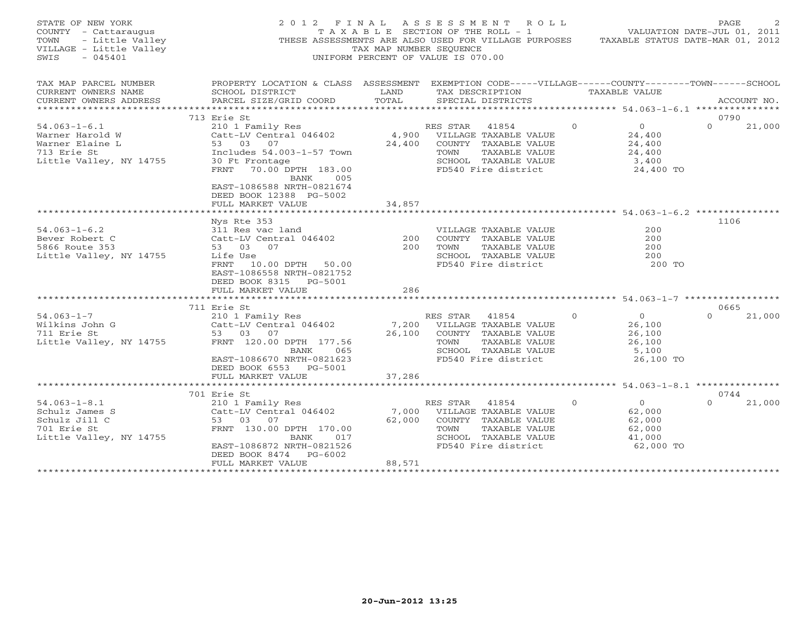| STATE OF NEW YORK<br>COUNTY - Cattaraugus<br>- Little Valley<br>TOWN<br>VILLAGE - Little Valley<br>SWIS<br>$-045401$    | 2012 FINAL                                                                                                                                                                                                                                                     | TAX MAP NUMBER SEOUENCE | ASSESSMENT ROLL<br>TAXABLE SECTION OF THE ROLL - 1 VALUATION DATE-JUL 01, 2011<br>THESE ASSESSMENTS ARE ALSO USED FOR VILLAGE PURPOSES TAXABLE STATUS DATE-MAR 01, 2012<br>UNIFORM PERCENT OF VALUE IS 070.00 |                                                                                 | PAGE                               |
|-------------------------------------------------------------------------------------------------------------------------|----------------------------------------------------------------------------------------------------------------------------------------------------------------------------------------------------------------------------------------------------------------|-------------------------|---------------------------------------------------------------------------------------------------------------------------------------------------------------------------------------------------------------|---------------------------------------------------------------------------------|------------------------------------|
| TAX MAP PARCEL NUMBER<br>CURRENT OWNERS NAME<br>CURRENT OWNERS ADDRESS                                                  | PROPERTY LOCATION & CLASS ASSESSMENT EXEMPTION CODE-----VILLAGE------COUNTY-------TOWN------SCHOOL<br><b>EXAMPLE DESCRIPTION OF A LAND</b><br>SCHOOL DISTRICT<br>PARCEL SIZE/GRID COORD                                                                        | TOTAL                   | TAX DESCRIPTION TAXABLE VALUE<br>SPECIAL DISTRICTS                                                                                                                                                            |                                                                                 | ACCOUNT NO.                        |
|                                                                                                                         | 713 Erie St                                                                                                                                                                                                                                                    |                         |                                                                                                                                                                                                               |                                                                                 | 0790                               |
| $54.063 - 1 - 6.1$<br>Warner Harold W<br>Warner Elaine L<br>713 Erie St<br>Little Valley, NY 14755                      | 210 1 Family Res<br>Catt-LV Central 046402 (4,900 VILLAGE TAXABLE VALUE<br>53 03 07 (24,400 COUNTY TAXABLE VALUE<br>Includes 54.003-1-57 Town<br>30 Ft Frontage<br>FRNT 70.00 DPTH 183.00<br>BANK 005<br>EAST-1086588 NRTH-0821674<br>DEED BOOK 12388 PG-5002  |                         | 41854 0<br>TAXABLE VALUE<br>TOWN<br>SCHOOL TAXABLE VALUE 3,400<br>FD540 Fire district 24,400 TO                                                                                                               | $\overline{0}$<br>24,400<br>24,400<br>24,400                                    | $\Omega$<br>21,000                 |
|                                                                                                                         | FULL MARKET VALUE                                                                                                                                                                                                                                              | 34,857                  |                                                                                                                                                                                                               |                                                                                 |                                    |
| $54.063 - 1 - 6.2$<br>Bever Robert C<br>5866 Route 353<br>Little Valley, NY 14755<br>$54.063 - 1 - 7$<br>Wilkins John G | Nys Rte 353<br><sup>1</sup> 1 Res vac land<br>Catt-LV Central 046402<br>53 03 07<br>Life Use<br>FRNT 10.00 DPTH 50.00<br>EAST-1086558 NRTH-0821752<br>DEED BOOK 8315 PG-5001<br>FULL MARKET VALUE<br>711 Erie St<br>210 1 Family Res<br>Catt-LV Central 046402 | 200<br>200<br>286       | VILLAGE TAXABLE VALUE<br>COUNTY TAXABLE VALUE<br>TOWN<br>TAXABLE VALUE<br>SCHOOL TAXABLE VALUE<br>FD540 Fire district<br>STAR 41854<br>7,200 VILLAGE TAXABLE VALUE<br>26,100 COINTY mayority                  | 200<br>200<br>200<br>200<br>200 TO<br>$\Omega$<br>$\Omega$<br>26,100            | 1106<br>0665<br>21,000<br>$\Omega$ |
| $\begin{array}{ccc}\nG & & & \\ \cdot & \text{N}V^{-1} & \n\end{array}$<br>711 Erie St<br>Little Valley, NY 14755       | 53 03 07<br>FRNT 120.00 DPTH 177.56<br>BANK<br>065<br>EAST-1086670 NRTH-0821623<br>DEED BOOK 6553 PG-5001<br>FULL MARKET VALUE                                                                                                                                 | 37,286                  | 26,100 COUNTY TAXABLE VALUE<br>TOWN<br>TAXABLE VALUE<br>SCHOOL TAXABLE VALUE<br>FD540 Fire district                                                                                                           | 26,100<br>26,100<br>5,100<br>26,100 TO                                          |                                    |
|                                                                                                                         |                                                                                                                                                                                                                                                                |                         |                                                                                                                                                                                                               |                                                                                 |                                    |
| $54.063 - 1 - 8.1$<br>Schulz James S<br>Schulz Jill C<br>701 Erie St<br>Little Valley, NY 14755                         | 701 Erie St<br>210 1 Family Res<br>Catt-LV Central 046402<br>53 03 07<br>FRNT 130.00 DPTH 170.00<br>BANK<br>017<br>EAST-1086872 NRTH-0821526<br>DEED BOOK 8474 PG-6002<br>FULL MARKET VALUE                                                                    | 62,000<br>88,571        | RES STAR 41854<br>7,000 VILLAGE TAXABLE VALUE<br>COUNTY TAXABLE VALUE<br>TOWN<br>TAXABLE VALUE<br>SCHOOL TAXABLE VALUE<br>FD540 Fire district                                                                 | $\Omega$<br>$\overline{0}$<br>62,000<br>62,000<br>62,000<br>41,000<br>62,000 TO | 0744<br>$\Omega$<br>21,000         |
|                                                                                                                         |                                                                                                                                                                                                                                                                |                         |                                                                                                                                                                                                               |                                                                                 |                                    |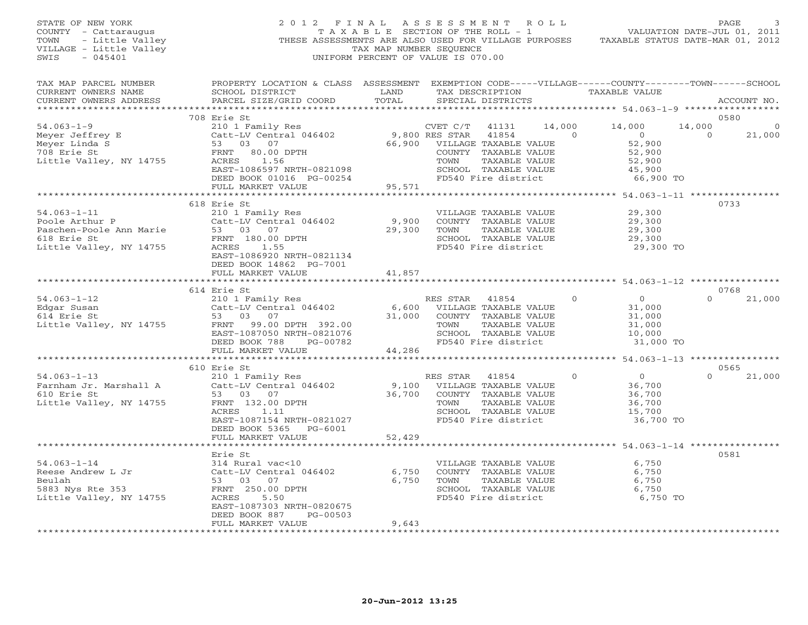| STATE OF NEW YORK<br>OF NEW YORK<br>Y - Cattaraugus<br>- Little Valley<br>GE - Little Valley<br>045401<br>COUNTY - Cattaraugus<br>TOWN<br>VILLAGE - Little Valley<br>SWIS |                                                                                                                                                                                         | TAX MAP NUMBER SEQUENCE                        | 2012 FINAL ASSESSMENT ROLL<br>T A X A B L E SECTION OF THE ROLL - 1<br>UNIFORM PERCENT OF VALUE IS 070.00                                               |                          | VALUATION DATE-JUL 01, 2011<br>THESE ASSESSMENTS ARE ALSO USED FOR VILLAGE PURPOSES TAXABLE STATUS DATE-MAR 01, 2012 | PAGE                                                         |
|---------------------------------------------------------------------------------------------------------------------------------------------------------------------------|-----------------------------------------------------------------------------------------------------------------------------------------------------------------------------------------|------------------------------------------------|---------------------------------------------------------------------------------------------------------------------------------------------------------|--------------------------|----------------------------------------------------------------------------------------------------------------------|--------------------------------------------------------------|
| TAX MAP PARCEL NUMBER<br>CURRENT OWNERS NAME<br>CURRENT OWNERS ADDRESS                                                                                                    | PROPERTY LOCATION & CLASS ASSESSMENT EXEMPTION CODE-----VILLAGE------COUNTY-------TOWN------SCHOOL<br>SCHOOL DISTRICT<br>PARCEL SIZE/GRID COORD                                         | LAND<br>TOTAL                                  | TAX DESCRIPTION TAXABLE VALUE<br>SPECIAL DISTRICTS                                                                                                      |                          |                                                                                                                      | ACCOUNT NO.                                                  |
| $54.063 - 1 - 9$<br>34.000 - -<br>Meyer Jeffrey E<br>Meyer Linda S<br><sup>708 Erie St</sup><br>Little Valley, NY 14755                                                   | 708 Erie St<br>210 1 Family Res<br>10200 - הבטבעת ה-53 03 07<br>FRNT 80.00 ביחסת                                                                                                        |                                                | CVET C/T<br>41131<br>COUNTY TAXABLE VALUE<br>TOWN                                                                                                       | 14,000<br>TAXABLE VALUE  | 14,000<br>$\overline{0}$<br>52,900<br>52,900<br>52,900                                                               | 0580<br>14,000<br>$\overline{0}$<br>$\overline{0}$<br>21,000 |
|                                                                                                                                                                           | 33<br>RES 1.56<br>EAST-1086597 NRTH-0821098<br>DEED BOOK 01016 PG-00254<br>FULL MARKET VALUE<br>FULL MARKET VALUE                                                                       |                                                | SCHOOL TAXABLE VALUE<br>FD540 Fire district                                                                                                             |                          | 45,900<br>66,900 TO                                                                                                  |                                                              |
| $54.063 - 1 - 11$<br>Poole Arthur P<br>Paschen-Poole Ann Marie<br>618 Erie St<br>Little Valley, NY 14755                                                                  | 618 Erie St<br>210 1 Family Res<br>Catt-LV Central 046402<br>53 03 07<br>FRNT 180.00 DPTH<br>ACRES<br>1.55<br>EAST-1086920 NRTH-0821134<br>DEED BOOK 14862 PG-7001<br>FULL MARKET VALUE | 9,900<br>29,300<br>41,857                      | VILLAGE TAXABLE VALUE<br>COUNTY TAXABLE VALUE<br>TOWN<br>SCHOOL TAXABLE VALUE<br>FD540 Fire district                                                    | TAXABLE VALUE            | 29,300<br>29,300<br>29,300<br>29,300<br>29,300 TO                                                                    | 0733                                                         |
|                                                                                                                                                                           |                                                                                                                                                                                         |                                                |                                                                                                                                                         |                          |                                                                                                                      |                                                              |
| $54.063 - 1 - 12$<br>Edgar Susan<br>614 Erie St<br>Little Valley, NY 14755                                                                                                | 614 Erie St<br>210 1 Family Res<br>Catt-LV Central 046402<br>53 03 07<br>FRNT 99.00 DPTH 392.00<br>EAST-1087050 NRTH-0821076<br>DEED BOOK 788 PG-00782                                  |                                                | 41854<br>RES STAR<br>6,600 VILLAGE TAXABLE VALUE<br>31,000 COUNTY TAXABLE VALUE<br>TOWN<br>TAXABLE VALUE<br>SCHOOL TAXABLE VALUE<br>FD540 Fire district | $\Omega$                 | $\overline{0}$<br>31,000<br>31,000<br>31,000<br>10,000<br>31,000 TO                                                  | 0768<br>$\Omega$<br>21,000                                   |
|                                                                                                                                                                           | FULL MARKET VALUE                                                                                                                                                                       | 44,286                                         |                                                                                                                                                         |                          |                                                                                                                      |                                                              |
| $54.063 - 1 - 13$<br>Farnham Jr. Marshall A<br>610 Erie St<br>Little Valley, NY 14755                                                                                     | 610 Erie St<br>210 1 Family Res<br>Catt-LV Central 046402<br>53 03 07<br>FRNT 132.00 DPTH<br>ACRES 1.11<br>EAST-1087154 NRTH-0821027<br>DEED BOOK 5365 PG-6001                          | 9,100<br>36,700                                | RES STAR 41854<br>VILLAGE TAXABLE VALUE<br>COUNTY TAXABLE VALUE<br>TOWN<br>SCHOOL TAXABLE VALUE<br>FD540 Fire district                                  | $\circ$<br>TAXABLE VALUE | $\overline{0}$<br>36,700<br>36,700<br>36,700<br>15,700<br>36,700 TO                                                  | 0565<br>21,000<br>$\Omega$                                   |
|                                                                                                                                                                           | FULL MARKET VALUE<br>*******************                                                                                                                                                | 52,429                                         |                                                                                                                                                         |                          |                                                                                                                      |                                                              |
| $54.063 - 1 - 14$<br>Reese Andrew L Jr<br>Beulah<br>5883 Nys Rte 353<br>Little Valley, NY 14755                                                                           | Erie St<br>314 Rural vac<10<br>Catt-LV Central 046402<br>53 03 07<br>FRNT 250.00 DPTH<br>ACRES<br>5.50<br>EAST-1087303 NRTH-0820675<br>PG-00503<br>DEED BOOK 887                        | 6,750<br>6,750                                 | VILLAGE TAXABLE VALUE<br>COUNTY TAXABLE VALUE<br>TOWN<br>SCHOOL TAXABLE VALUE<br>FD540 Fire district                                                    | TAXABLE VALUE            | 6,750<br>6,750<br>6,750<br>6,750<br>6,750 TO                                                                         | 0581                                                         |
| **************************                                                                                                                                                | FULL MARKET VALUE<br>********************                                                                                                                                               | 9,643<br>* * * * * * * * * * * * * * * * * * * |                                                                                                                                                         |                          |                                                                                                                      |                                                              |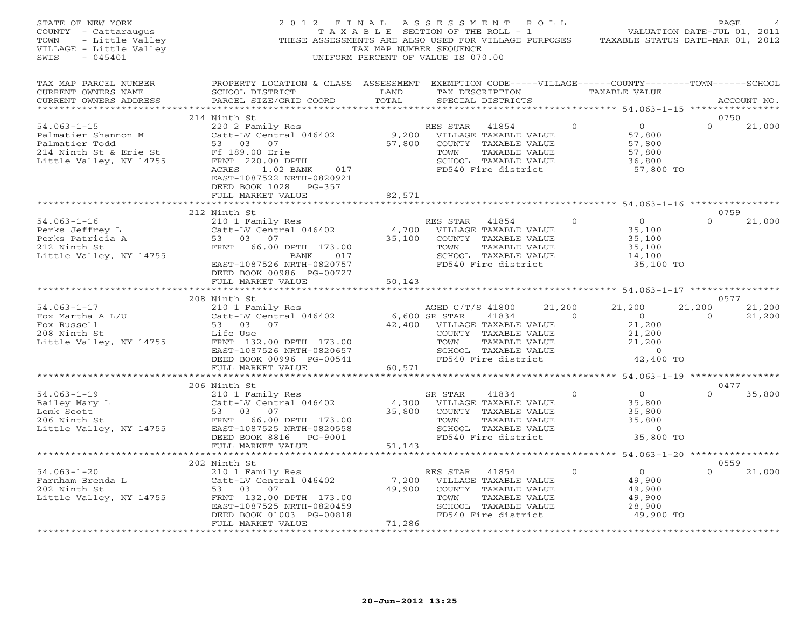|                                                                                                                                                                        | 2012 FINAL ASSESSMENT ROLL<br>$\begin{array}{lllllllll} \texttt{STATE OF NEW YORK} & \texttt{2012} & \texttt{1213} & \texttt{1311} & \texttt{1311} & \texttt{1311} & \texttt{1311} & \texttt{1311} \\ \texttt{COUNTY} & - \texttt{Cattaraugus} & & \texttt{TAX A B L E} & \texttt{SECTION OF THE ROLL} & - \texttt{1} & & \texttt{VALUATION DATAED-0UD U1, 2012} \\ \texttt{TOWN} & - \texttt{Little Valley} & & & \texttt{TAX MAP NUMBER SEQUENCE} & & \texttt{TAX} & \texttt{TAX} & \texttt{RAE$             |        |  |                     |                                 |                      |
|------------------------------------------------------------------------------------------------------------------------------------------------------------------------|----------------------------------------------------------------------------------------------------------------------------------------------------------------------------------------------------------------------------------------------------------------------------------------------------------------------------------------------------------------------------------------------------------------------------------------------------------------------------------------------------------------|--------|--|---------------------|---------------------------------|----------------------|
|                                                                                                                                                                        |                                                                                                                                                                                                                                                                                                                                                                                                                                                                                                                |        |  |                     |                                 |                      |
|                                                                                                                                                                        | 214 Ninth St                                                                                                                                                                                                                                                                                                                                                                                                                                                                                                   |        |  |                     | 0750                            |                      |
|                                                                                                                                                                        | $\begin{tabular}{lllllllllllllllllllll} \small{54.063-1-15} & \small{214~\text{number}~\text{St}} & \small{216~\text{min}~\text{E}} & \small{218~\text{min}} & \small{218~\text{min}} & \small{218~\text{min}} & \small{218~\text{min}} & \small{218~\text{min}} & \small{218~\text{min}} & \small{218~\text{min}} & \small{218~\text{min}} & \small{218~\text{min}} & \small{218~\text{min}} & \small{218~\text{min}} & \small{21$<br>EAST-1087522 NRTH-0820921<br>DEED BOOK 1028 PG-357<br>FULL MARKET VALUE | 82,571 |  |                     | $\Omega$                        | 21,000               |
|                                                                                                                                                                        |                                                                                                                                                                                                                                                                                                                                                                                                                                                                                                                |        |  |                     |                                 |                      |
|                                                                                                                                                                        | 212 Ninth St                                                                                                                                                                                                                                                                                                                                                                                                                                                                                                   |        |  |                     | 0759                            |                      |
| $54.063 - 1 - 16$<br>Perks Jeffrey L<br>Perks Jeffrey L<br>Perks Patricia A<br>212 Ninth St<br>Little Valley, NY 14755<br>Perks Patricia A<br>53 03 07<br>FRNT 66.00 I | X ALUE 210 1 Family Res<br>210 1 Family Res<br>Catt-LV Central 046402 4,700 VILLAGE TAXABLE VALUE 35,100<br>53 03 07 35,100 COUNTY TAXABLE VALUE 35,100<br>FRNT 66.00 DPTH 173.00 70WN TAXABLE VALUE 35,100<br>BANK 017 SCHOOL TAXABLE V                                                                                                                                                                                                                                                                       |        |  | 35,100 TO           | $\Omega$                        | 21,000               |
|                                                                                                                                                                        |                                                                                                                                                                                                                                                                                                                                                                                                                                                                                                                |        |  |                     |                                 |                      |
|                                                                                                                                                                        | 208 Ninth St                                                                                                                                                                                                                                                                                                                                                                                                                                                                                                   |        |  |                     | 0577                            |                      |
|                                                                                                                                                                        | $\begin{tabular}{lllllllllllllllllllllll} \text{54.063--1--17} & & & & 208\text{ Ninth St} & & & & & & 210\text{ N}\\ \text{Fox Marcha A L/U} & & & 211\text{ T amily Res} & & 6,600\text{ SR STAR} & 41834 & 0 & 21,200 & 21,200 & 21,200 & 21,200 & 21,200 & 21,200 & 21,200 & 21,200 & 21,200 & 21,200 & 21,200 & 21,200 & 21,200 & $                                                                                                                                                                       |        |  |                     | 21,200 21,200<br>$\overline{0}$ | 21,200               |
|                                                                                                                                                                        |                                                                                                                                                                                                                                                                                                                                                                                                                                                                                                                |        |  |                     |                                 |                      |
|                                                                                                                                                                        |                                                                                                                                                                                                                                                                                                                                                                                                                                                                                                                |        |  |                     |                                 | 0477<br>$0 \t35,800$ |
|                                                                                                                                                                        |                                                                                                                                                                                                                                                                                                                                                                                                                                                                                                                |        |  |                     |                                 |                      |
|                                                                                                                                                                        | 202 Ninth St                                                                                                                                                                                                                                                                                                                                                                                                                                                                                                   |        |  |                     | 0559                            |                      |
| *************************                                                                                                                                              | 202 NIHLI SU 202 NES STAR 41854 0<br>Farnham Brenda L 210 1 Family Res<br>202 Ninth St 53 03 07<br>202 Ninth St 53 03 07 49,900 COUNTY TAXABLE VALUE 49,900<br>202 Ninth St 53 03 07 49,900 COUNTY TAXABLE VALUE 49,900<br>202 Ninth St<br>FRNT 132.00 DPTH 173.00<br>EAST-1087525 NRTH-0820459<br>DEED BOOK 01003 PG-00818<br>FULL MARKET VALUE<br>FULL MARKET VALUE<br>FULL MARKET VALUE<br>71,286<br>FULL MARKET VALUE<br>71,286<br>***********************                                                 |        |  | 28,900<br>49,900 TO | $\Omega$                        | 21,000               |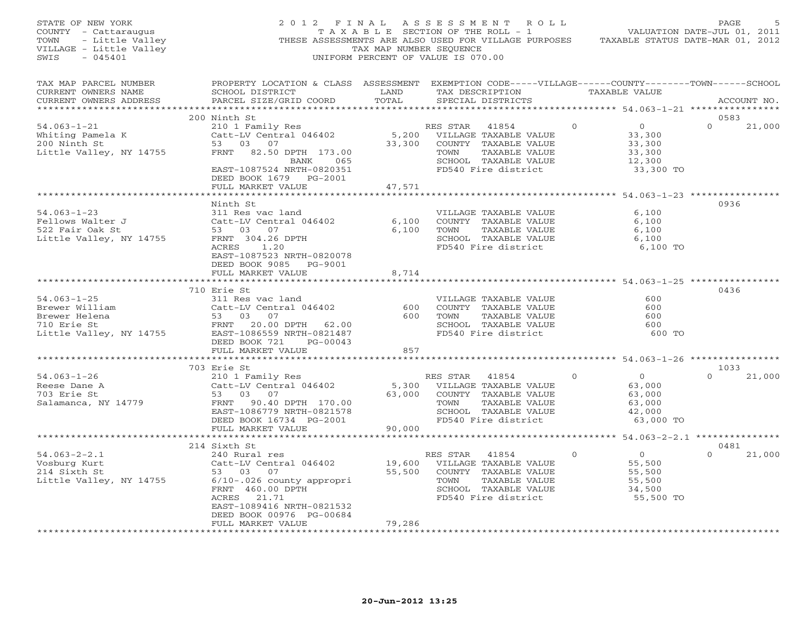| STATE OF NEW YORK<br>COUNTY - Cattaraugus<br>TOWN<br>- Little Valley<br>VILLAGE - Little Valley<br>- 045401<br>SWIS | 2012 FINAL                                                                                                                                                                                     | TAX MAP NUMBER SEQUENCE      | ASSESSMENT ROLL<br>T A X A B L E SECTION OF THE ROLL - 1<br>THESE ASSESSMENTS ARE ALSO USED FOR VILLAGE PURPOSES<br>UNIFORM PERCENT OF VALUE IS 070.00 |          |                                                                     | PAGE<br>VALUATION DATE-JUL 01, 2011<br>TAXABLE STATUS DATE-MAR 01, 2012 |
|---------------------------------------------------------------------------------------------------------------------|------------------------------------------------------------------------------------------------------------------------------------------------------------------------------------------------|------------------------------|--------------------------------------------------------------------------------------------------------------------------------------------------------|----------|---------------------------------------------------------------------|-------------------------------------------------------------------------|
| TAX MAP PARCEL NUMBER<br>CURRENT OWNERS NAME<br>CURRENT OWNERS ADDRESS                                              | PROPERTY LOCATION & CLASS ASSESSMENT EXEMPTION CODE-----VILLAGE------COUNTY-------TOWN------SCHOOL<br>SCHOOL DISTRICT<br>PARCEL SIZE/GRID COORD                                                | LAND<br>TOTAL                | TAX DESCRIPTION<br>SPECIAL DISTRICTS                                                                                                                   |          | TAXABLE VALUE                                                       | ACCOUNT NO.                                                             |
|                                                                                                                     | 200 Ninth St                                                                                                                                                                                   |                              |                                                                                                                                                        |          |                                                                     | 0583                                                                    |
| $54.063 - 1 - 21$<br>Whiting Pamela K<br>200 Ninth St<br>Little Valley, NY 14755                                    | 210 1 Family Res<br>Catt-LV Central 046402<br>53 03 07<br>FRNT 82.50 DPTH 173.00<br>BANK 065<br>EAST-1087524 NRTH-0820351<br>DEED BOOK 1679 PG-2001<br>FULL MARKET VALUE                       | 5,200<br>33,300<br>47,571    | RES STAR<br>41854<br>VILLAGE TAXABLE VALUE<br>COUNTY TAXABLE VALUE<br>TOWN<br>TAXABLE VALUE<br>SCHOOL TAXABLE VALUE<br>FD540 Fire district             | $\Omega$ | $\overline{0}$<br>33,300<br>33,300<br>33,300<br>12,300<br>33,300 TO | $\Omega$<br>21,000                                                      |
|                                                                                                                     |                                                                                                                                                                                                |                              |                                                                                                                                                        |          |                                                                     |                                                                         |
| $54.063 - 1 - 23$<br>Fellows Walter J<br>522 Fair Oak St<br>Little Valley, NY 14755                                 | Ninth St<br>311 Res vac land<br>Catt-LV Central 046402<br>53 03 07<br>FRNT 304.26 DPTH<br>1.20<br>ACRES<br>EAST-1087523 NRTH-0820078<br>DEED BOOK 9085 PG-9001<br>FULL MARKET VALUE            | 6,100<br>6,100<br>8,714      | VILLAGE TAXABLE VALUE<br>COUNTY TAXABLE VALUE<br>TOWN<br>TAXABLE VALUE<br>SCHOOL TAXABLE VALUE<br>FD540 Fire district                                  |          | 6,100<br>6,100<br>6,100<br>6,100<br>6,100 TO                        | 0936                                                                    |
|                                                                                                                     |                                                                                                                                                                                                |                              |                                                                                                                                                        |          |                                                                     |                                                                         |
| $54.063 - 1 - 25$<br>Brewer William<br>Brewer Helena<br>710 Erie St<br>Little Valley, NY 14755                      | 710 Erie St<br>311 Res vac land<br>Catt-LV Central 046402<br>53 03 07<br>FRNT 20.00 DPTH 62.00<br>EAST-1086559 NRTH-0821487<br>DEED BOOK 721<br>PG-00043<br>FULL MARKET VALUE                  | 600<br>600<br>857            | VILLAGE TAXABLE VALUE<br>COUNTY TAXABLE VALUE<br>TOWN<br>TAXABLE VALUE<br>SCHOOL TAXABLE VALUE<br>FD540 Fire district                                  |          | 600<br>600<br>600<br>600<br>600 TO                                  | 0436                                                                    |
|                                                                                                                     |                                                                                                                                                                                                |                              | ********************                                                                                                                                   |          |                                                                     | ********* 54.063-1-26 *****************                                 |
| $54.063 - 1 - 26$<br>Reese Dane A<br>703 Erie St<br>Salamanca, NY 14779                                             | 703 Erie St<br>210 1 Family Res<br>Catt-LV Central 046402<br>53 03 07<br>FRNT 90.40 DPTH 170.00<br>EAST-1086779 NRTH-0821578<br>DEED BOOK 16734 PG-2001<br>FULL MARKET VALUE                   | 5,300<br>63,000<br>90,000    | RES STAR<br>41854<br>VILLAGE TAXABLE VALUE<br>COUNTY TAXABLE VALUE<br>TAXABLE VALUE<br>TOWN<br>SCHOOL TAXABLE VALUE<br>FD540 Fire district             | $\circ$  | $\overline{O}$<br>63,000<br>63,000<br>63,000<br>42,000<br>63,000 TO | 1033<br>21,000<br>$\Omega$                                              |
|                                                                                                                     | *************************                                                                                                                                                                      | * * * * * * * * * * * * *    |                                                                                                                                                        |          |                                                                     | ******************* 54.063-2-2.1 ***************                        |
| $54.063 - 2 - 2.1$<br>Vosburg Kurt<br>214 Sixth St<br>Little Valley, NY 14755                                       | 214 Sixth St<br>240 Rural res<br>Catt-LV Central 046402<br>53 03 07<br>$6/10-.026$ county appropri<br>FRNT 460.00 DPTH<br>ACRES 21.71<br>EAST-1089416 NRTH-0821532<br>DEED BOOK 00976 PG-00684 | 19,600<br>55,500             | RES STAR<br>41854<br>VILLAGE TAXABLE VALUE<br>COUNTY TAXABLE VALUE<br>TOWN<br>TAXABLE VALUE<br>SCHOOL TAXABLE VALUE<br>FD540 Fire district             | $\Omega$ | $\overline{0}$<br>55,500<br>55,500<br>55,500<br>34,500<br>55,500 TO | 0481<br>21,000                                                          |
|                                                                                                                     | FULL MARKET VALUE                                                                                                                                                                              | 79,286<br>****************** |                                                                                                                                                        |          |                                                                     |                                                                         |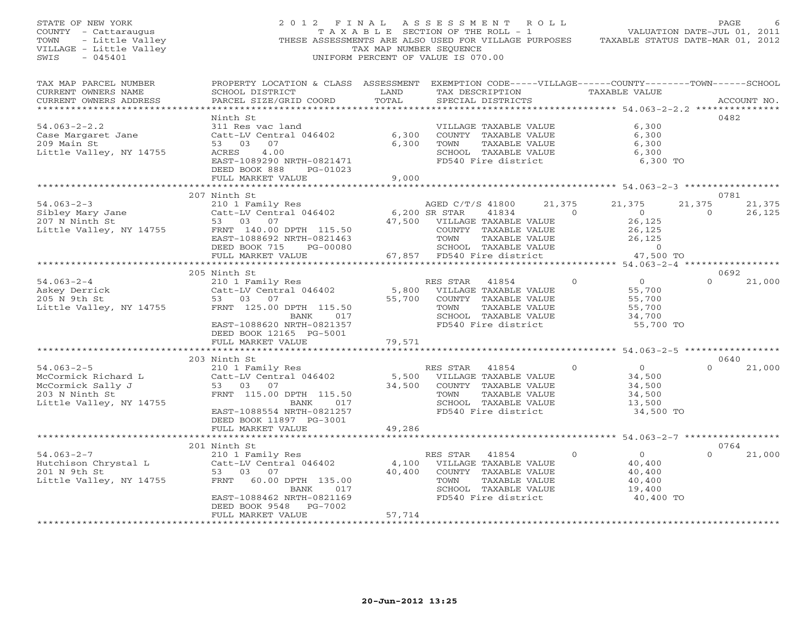| STATE OF NEW YORK<br>COUNTY - Cattaraugus<br>TOWN<br>- Little Valley<br>VILLAGE - Little Valley<br>SWIS<br>$-045401$ | 2012 FINAL ASSESSMENT ROLL<br>THESE ASSESSMENTS ARE ALSO USED FOR VILLAGE PURPOSES                                                                                            | T A X A B L E SECTION OF THE ROLL - 1<br>TAX MAP NUMBER SEQUENCE<br>UNIFORM PERCENT OF VALUE IS 070.00 |                                                                        |                                                                                                                        |                          |          | VALUATION DATE-JUL 01, 2011<br>TAXABLE STATUS DATE-MAR 01, 2012     |                    | PAGE             |
|----------------------------------------------------------------------------------------------------------------------|-------------------------------------------------------------------------------------------------------------------------------------------------------------------------------|--------------------------------------------------------------------------------------------------------|------------------------------------------------------------------------|------------------------------------------------------------------------------------------------------------------------|--------------------------|----------|---------------------------------------------------------------------|--------------------|------------------|
| TAX MAP PARCEL NUMBER<br>CURRENT OWNERS NAME<br>CURRENT OWNERS ADDRESS<br>******************************             | PROPERTY LOCATION & CLASS ASSESSMENT EXEMPTION CODE-----VILLAGE------COUNTY-------TOWN------SCHOOL<br>SCHOOL DISTRICT<br>PARCEL SIZE/GRID COORD                               | LAND<br>TOTAL                                                                                          |                                                                        | SPECIAL DISTRICTS                                                                                                      |                          |          | TAX DESCRIPTION TAXABLE VALUE                                       |                    | ACCOUNT NO.      |
|                                                                                                                      | Ninth St                                                                                                                                                                      |                                                                                                        |                                                                        |                                                                                                                        |                          |          |                                                                     |                    | 0482             |
| $54.063 - 2 - 2.2$<br>Case Margaret Jane<br>209 Main St<br>Little Valley, NY 14755                                   | 311 Res vac land<br>Catt-LV Central 046402<br>53 03 07<br>ACRES<br>4.00<br>EAST-1089290 NRTH-0821471                                                                          | 6,300<br>6,300                                                                                         | TOWN                                                                   | VILLAGE TAXABLE VALUE<br>COUNTY TAXABLE VALUE<br>TAXABLE VALUE<br>SCHOOL TAXABLE VALUE<br>FD540 Fire district          |                          |          | 6,300<br>6,300<br>6,300<br>6,300<br>6,300 TO                        |                    |                  |
|                                                                                                                      | DEED BOOK 888<br>PG-01023<br>FULL MARKET VALUE                                                                                                                                | 9,000                                                                                                  |                                                                        |                                                                                                                        |                          |          |                                                                     |                    |                  |
|                                                                                                                      | ************************                                                                                                                                                      | *************                                                                                          |                                                                        |                                                                                                                        |                          |          | ********************* 54.063-2-3 *****************                  |                    |                  |
|                                                                                                                      | 207 Ninth St                                                                                                                                                                  |                                                                                                        |                                                                        |                                                                                                                        |                          |          |                                                                     |                    | 0781             |
| $54.063 - 2 - 3$<br>Sibley Mary Jane<br>207 N Ninth St<br>Little Valley, NY 14755                                    | 210 1 Family Res<br>Catt-LV Central 046402<br>53 03 07<br>FRNT 140.00 DPTH 115.50<br>EAST-1088692 NRTH-0821463                                                                | 6,200 SR STAR                                                                                          | AGED C/T/S 41800<br>47,500 VILLAGE TAXABLE VALUE<br>TOWN               | 41834<br>COUNTY TAXABLE VALUE<br>TAXABLE VALUE                                                                         | 21,375<br>$\overline{0}$ |          | 21,375<br>$\overline{0}$<br>26,125<br>26,125<br>26,125              | 21,375<br>$\Omega$ | 21,375<br>26,125 |
|                                                                                                                      | DEED BOOK 715<br>PG-00080                                                                                                                                                     |                                                                                                        |                                                                        | SCHOOL TAXABLE VALUE                                                                                                   |                          |          | $\overline{0}$                                                      |                    |                  |
|                                                                                                                      | FULL MARKET VALUE                                                                                                                                                             |                                                                                                        | 67,857 FD540 Fire district                                             |                                                                                                                        |                          |          | 47,500 TO                                                           |                    |                  |
|                                                                                                                      |                                                                                                                                                                               |                                                                                                        |                                                                        |                                                                                                                        |                          |          |                                                                     |                    |                  |
|                                                                                                                      | 205 Ninth St                                                                                                                                                                  |                                                                                                        |                                                                        |                                                                                                                        |                          |          |                                                                     |                    | 0692             |
| $54.063 - 2 - 4$<br>Askey Derrick<br>Askey Derrick<br>Little Valley, NY 14755                                        | 210 1 Family Res<br>Catt-LV Central 046402<br>53 03 07<br>FRNT 125.00 DPTH 115.50<br>BANK<br>017<br>EAST-1088620 NRTH-0821357<br>DEED BOOK 12165 PG-5001                      | 5,800                                                                                                  | RES STAR<br>55,700 COUNTY TAXABLE VALUE<br>TOWN<br>FD540 Fire district | 41854<br>VILLAGE TAXABLE VALUE<br>TAXABLE VALUE<br>SCHOOL TAXABLE VALUE                                                |                          | $\Omega$ | $\overline{0}$<br>55,700<br>55,700<br>55,700<br>34,700<br>55,700 TO | $\Omega$           | 21,000           |
|                                                                                                                      | FULL MARKET VALUE                                                                                                                                                             | 79,571                                                                                                 |                                                                        |                                                                                                                        |                          |          |                                                                     |                    |                  |
|                                                                                                                      |                                                                                                                                                                               |                                                                                                        |                                                                        |                                                                                                                        |                          |          |                                                                     |                    |                  |
|                                                                                                                      | 203 Ninth St                                                                                                                                                                  |                                                                                                        |                                                                        |                                                                                                                        |                          |          |                                                                     |                    | 0640             |
| $54.063 - 2 - 5$<br>McCormick Richard L<br>McCormick Sally J<br>203 N Ninth St<br>Little Valley, NY 14755            | 210 1 Family Res<br>Catt-LV Central 046402<br>53 03 07<br>FRNT 115.00 DPTH 115.50<br>017<br>BANK<br>EAST-1088554 NRTH-0821257<br>DEED BOOK 11897 PG-3001<br>FULL MARKET VALUE | 5,500<br>34,500<br>49,286                                                                              | RES STAR<br>TOWN                                                       | 41854<br>VILLAGE TAXABLE VALUE<br>COUNTY TAXABLE VALUE<br>TAXABLE VALUE<br>SCHOOL TAXABLE VALUE<br>FD540 Fire district |                          | $\circ$  | $\overline{0}$<br>34,500<br>34,500<br>34,500<br>13,500<br>34,500 TO | $\Omega$           | 21,000           |
|                                                                                                                      | *************                                                                                                                                                                 |                                                                                                        |                                                                        |                                                                                                                        |                          |          | **************** 54.063-2-7 ******************                      |                    |                  |
|                                                                                                                      | 201 Ninth St                                                                                                                                                                  |                                                                                                        |                                                                        |                                                                                                                        |                          |          |                                                                     |                    | 0764             |
| $54.063 - 2 - 7$<br>Hutchison Chrystal L<br>201 N 9th St<br>Little Valley, NY 14755                                  | 210 1 Family Res<br>Catt-LV Central 046402<br>53 03 07<br>60.00 DPTH 135.00<br>FRNT<br><b>BANK</b><br>017<br>EAST-1088462 NRTH-0821169<br>PG-7002<br>DEED BOOK 9548           | 4,100<br>40,400                                                                                        | RES STAR 41854<br>TOWN                                                 | VILLAGE TAXABLE VALUE<br>COUNTY TAXABLE VALUE<br>TAXABLE VALUE<br>SCHOOL TAXABLE VALUE<br>FD540 Fire district          |                          | $\Omega$ | $\overline{0}$<br>40,400<br>40,400<br>40,400<br>19,400<br>40,400 TO | $\Omega$           | 21,000           |
|                                                                                                                      | FULL MARKET VALUE                                                                                                                                                             | 57,714<br>+ + + + + + + + + + + + + +                                                                  |                                                                        |                                                                                                                        |                          |          |                                                                     |                    |                  |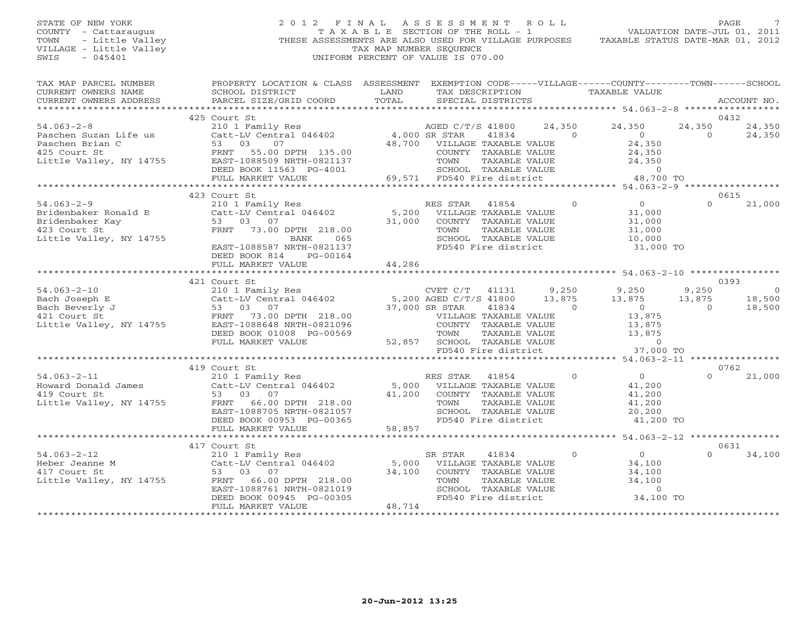## STATE OF NEW YORK 2 0 1 2 F I N A L A S S E S S M E N T R O L L PAGE 7 COUNTY - Cattaraugus T A X A B L E SECTION OF THE ROLL - 1 VALUATION DATE-JUL 01, 2011 TOWN - Little Valley **These ASSESSMENTS ARE ALSO USED FOR VILLAGE PURPOSES** TAXABLE STATUS DATE-MAR 01, 2012<br>VILLAGE - Little Valley **These State of Tax Map NUMBER SEQUENCE** VILLAGE - Little Valley and the Communist Communist Communist Communist Communist Communist Communist Communist Communist Communist Communist Communist Communist Communist Communist Communist Communist Communist Communist SWIS - 045401 UNIFORM PERCENT OF VALUE IS 070.00

| TAX MAP PARCEL NUMBER<br>CURRENT OWNERS NAME<br>CURRENT OWNERS ADDRESS | PROPERTY LOCATION & CLASS ASSESSMENT EXEMPTION CODE-----VILLAGE------COUNTY-------TOWN------SCHOOL<br>SCHOOL DISTRICT<br>PARCEL SIZE/GRID COORD                                                                                                                                                                                                                                                                                                | <b>EXAMPLE SERVICE SERVICE SERVICE SERVICE SERVICE SERVICE SERVICE SERVICE SERVICE SERVICE SERVICE SERVICE SERVICE</b><br>TOTAL | TAX DESCRIPTION TAXABLE VALUE<br>SPECIAL DISTRICTS                                                                                          |                                                  |                                                                                                                       |                      | ACCOUNT NO.              |
|------------------------------------------------------------------------|------------------------------------------------------------------------------------------------------------------------------------------------------------------------------------------------------------------------------------------------------------------------------------------------------------------------------------------------------------------------------------------------------------------------------------------------|---------------------------------------------------------------------------------------------------------------------------------|---------------------------------------------------------------------------------------------------------------------------------------------|--------------------------------------------------|-----------------------------------------------------------------------------------------------------------------------|----------------------|--------------------------|
|                                                                        |                                                                                                                                                                                                                                                                                                                                                                                                                                                |                                                                                                                                 |                                                                                                                                             |                                                  |                                                                                                                       |                      |                          |
|                                                                        | 425 Court St<br>$\begin{tabular}{lllllllllllll} 54.063-2-8 & 425\mbox{ Court St} & 2101\mbox{ Family Res} & \mbox{AGED C/T/S 41800} & 24,350 & 24,350 & 24,350 & 24,350 & 24,350 & 24,350 & 24,350 & 24,350 & 24,350 & 24,350 & 24,350 & 24,350 & 24,350 & 24,350 & 24,350 & 24,350 & 24,350 & 24,350 & 24,350 &$                                                                                                                              |                                                                                                                                 |                                                                                                                                             |                                                  |                                                                                                                       | 24,350<br>$\bigcirc$ | 0432<br>24,350<br>24,350 |
|                                                                        |                                                                                                                                                                                                                                                                                                                                                                                                                                                |                                                                                                                                 |                                                                                                                                             |                                                  |                                                                                                                       |                      |                          |
|                                                                        | 423 Court St                                                                                                                                                                                                                                                                                                                                                                                                                                   |                                                                                                                                 |                                                                                                                                             |                                                  |                                                                                                                       |                      | 0615                     |
|                                                                        | 9<br>310 1 Family Res<br>Bridenbaker Ronald E<br>Bridenbaker Kay<br>423 Court St<br>53 03 07<br>423 Court St<br>51 Cuttle Valley, NY 14755<br>51 Cuttle Valley, NY 14755<br>210 1 Family Res<br>210 1 Family Res<br>210 216402<br>216 046402<br>218.00<br><br>EAST-1088587 NRTH-0821137<br>DEED BOOK 814<br>PG-00164                                                                                                                           |                                                                                                                                 | TOWN TAXABLE VALUE $\begin{array}{ccc} 11,000 \ 31,000 \ 10,000 \ 10,000 \ 10,000 \ 11,000 \ 11,000 \ 11,000 \ 11,000 \ 11,000 \end{array}$ |                                                  | $\begin{matrix}0&0\end{matrix}$<br>31,000<br>31,000                                                                   | $\Omega$             | 21,000                   |
|                                                                        | FULL MARKET VALUE                                                                                                                                                                                                                                                                                                                                                                                                                              | 44,286                                                                                                                          |                                                                                                                                             |                                                  |                                                                                                                       |                      |                          |
|                                                                        | 421 Court St                                                                                                                                                                                                                                                                                                                                                                                                                                   |                                                                                                                                 |                                                                                                                                             |                                                  |                                                                                                                       |                      | 0393                     |
|                                                                        |                                                                                                                                                                                                                                                                                                                                                                                                                                                |                                                                                                                                 |                                                                                                                                             |                                                  |                                                                                                                       |                      | $\sim$ 0                 |
|                                                                        |                                                                                                                                                                                                                                                                                                                                                                                                                                                |                                                                                                                                 |                                                                                                                                             |                                                  |                                                                                                                       |                      | 18,500<br>18,500         |
|                                                                        |                                                                                                                                                                                                                                                                                                                                                                                                                                                |                                                                                                                                 |                                                                                                                                             |                                                  |                                                                                                                       |                      |                          |
|                                                                        |                                                                                                                                                                                                                                                                                                                                                                                                                                                |                                                                                                                                 |                                                                                                                                             |                                                  |                                                                                                                       |                      |                          |
|                                                                        |                                                                                                                                                                                                                                                                                                                                                                                                                                                |                                                                                                                                 |                                                                                                                                             |                                                  |                                                                                                                       |                      | 0762                     |
|                                                                        | 419 Court St<br>419 Court St<br>210 1 Family Res<br>210 1 Family Res<br>210 1 Family Res<br>210 1 Family Res<br>210 20 2000 Example 218.00<br>218.00<br>41,200 COUNTY TAXABLE VALUE<br>41,200 COUNTY TAXABLE VALUE<br>218.00<br>TOWN TAXABLE VALUE<br><br>DEED BOOK 00953 PG-00365<br>FULL MARKET VALUE                                                                                                                                        | 58,857                                                                                                                          | SCHOOL TAXABLE VALUE<br>FD540 Fire district                                                                                                 | $\overline{0}$<br>TAXABLE VALUE<br>TAXABLE VALUE | $\begin{array}{c}\n0 \\ \hline\n41\n\end{array}$<br>$41,200$<br>$41,200$<br>20,200<br>41,200 TO                       | $\Omega$             | 21,000                   |
|                                                                        |                                                                                                                                                                                                                                                                                                                                                                                                                                                |                                                                                                                                 |                                                                                                                                             |                                                  |                                                                                                                       |                      |                          |
|                                                                        |                                                                                                                                                                                                                                                                                                                                                                                                                                                |                                                                                                                                 |                                                                                                                                             |                                                  |                                                                                                                       |                      | 0631                     |
|                                                                        | $\begin{array}{lllllllllllll} 54.063-2-12 & 417 \text{ Court St} & \text{SR STAR} & 41834 \\ \text{Heber Jeanne M} & \text{Cat-LV Central} & 946402 & 5,000 & \text{VILLAGE TAXABLE VALUE} \\ 417 \text{ Court St} & 53 & 03 & 07 & 34,100 & \text{COUNTY TAXABLE VALUE} \\ \text{Little Valley, NY 14755} & \text{FRNT} & 66.00 DPTH & 218.00 & \text{TOWN} & \text{TAXABLE VALUE} \\ & \text{EAST-1088761 NRTH-0821019$<br>FULL MARKET VALUE | 48,714                                                                                                                          | TOWN     TAXABLE VALUE<br>SCHOOL   TAXABLE VALUE<br>FD540 Fire district                                                                     | $\overline{0}$                                   | $\begin{matrix} 0 \\ 0 \end{matrix}$<br>$34,100$<br>$34,100$<br>$\begin{array}{c} 0 \\ 34,100 \text{ TO} \end{array}$ | $\cap$               | 34,100                   |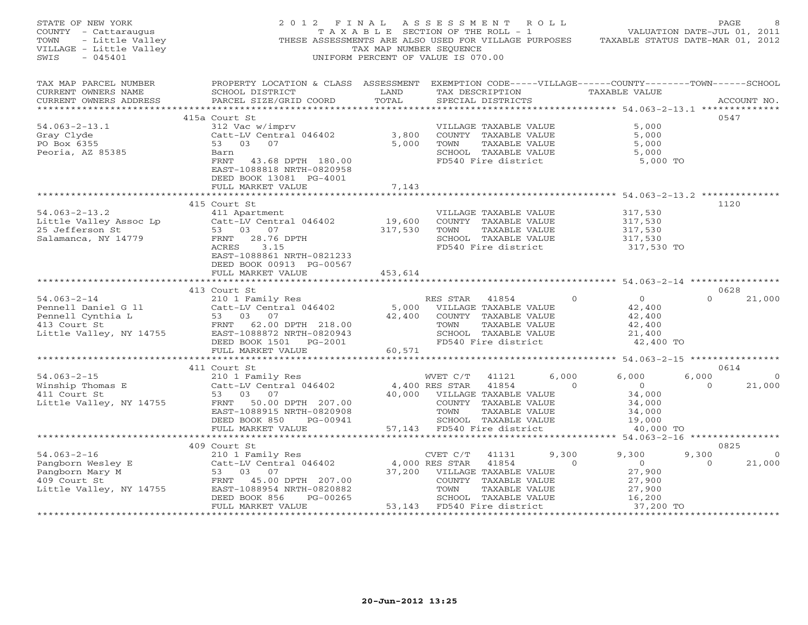| STATE OF NEW YORK<br>COUNTY - Cattaraugus<br>TOWN<br>- Little Valley<br>VILLAGE - Little Valley<br>$-045401$<br>SWIS | 2012 FINAL                                                                                                                                                                                  | T A X A B L E SECTION OF THE ROLL - 1<br>TAX MAP NUMBER SEQUENCE<br>UNIFORM PERCENT OF VALUE IS 070.00 | ASSESSMENT ROLL                    |                                                                                                                                 |                   | VALUATION DATE-JUL 01, 2011<br>THESE ASSESSMENTS ARE ALSO USED FOR VILLAGE PURPOSES TAXABLE STATUS DATE-MAR 01, 2012 | PAGE                      |                          |
|----------------------------------------------------------------------------------------------------------------------|---------------------------------------------------------------------------------------------------------------------------------------------------------------------------------------------|--------------------------------------------------------------------------------------------------------|------------------------------------|---------------------------------------------------------------------------------------------------------------------------------|-------------------|----------------------------------------------------------------------------------------------------------------------|---------------------------|--------------------------|
| TAX MAP PARCEL NUMBER<br>CURRENT OWNERS NAME<br>CURRENT OWNERS ADDRESS                                               | PROPERTY LOCATION & CLASS ASSESSMENT EXEMPTION CODE-----VILLAGE------COUNTY-------TOWN------SCHOOL<br>SCHOOL DISTRICT<br>PARCEL SIZE/GRID COORD                                             | LAND<br>TOTAL                                                                                          |                                    | TAX DESCRIPTION<br>SPECIAL DISTRICTS                                                                                            |                   | TAXABLE VALUE                                                                                                        |                           | ACCOUNT NO.              |
| **********************                                                                                               |                                                                                                                                                                                             |                                                                                                        |                                    |                                                                                                                                 |                   |                                                                                                                      |                           |                          |
| $54.063 - 2 - 13.1$<br>Gray Clyde<br>PO Box 6355<br>Peoria, AZ 85385                                                 | 415a Court St<br>312 Vac w/imprv<br>Catt-LV Central 046402<br>53 03 07<br>Barn<br>FRNT<br>43.68 DPTH 180.00<br>EAST-1088818 NRTH-0820958<br>DEED BOOK 13081 PG-4001                         | 3,800<br>5,000                                                                                         | TOWN                               | VILLAGE TAXABLE VALUE<br>COUNTY TAXABLE VALUE<br>TAXABLE VALUE<br>SCHOOL TAXABLE VALUE<br>FD540 Fire district                   |                   | 5,000<br>5,000<br>5,000<br>5,000<br>5,000 TO                                                                         | 0547                      |                          |
|                                                                                                                      | FULL MARKET VALUE                                                                                                                                                                           | 7,143<br>*********                                                                                     |                                    |                                                                                                                                 |                   | ******************* 54.063-2-13.2 **************                                                                     |                           |                          |
| $54.063 - 2 - 13.2$<br>Little Valley Assoc Lp<br>25 Jefferson St<br>Salamanca, NY 14779                              | 415 Court St<br>411 Apartment<br>Catt-LV Central 046402<br>53 03<br>07<br>28.76 DPTH<br>FRNT<br>ACRES<br>3.15<br>EAST-1088861 NRTH-0821233<br>DEED BOOK 00913 PG-00567<br>FULL MARKET VALUE | 19,600<br>317,530<br>453,614                                                                           | TOWN                               | VILLAGE TAXABLE VALUE<br>COUNTY TAXABLE VALUE<br>TAXABLE VALUE<br>SCHOOL TAXABLE VALUE<br>FD540 Fire district                   |                   | 317,530<br>317,530<br>317,530<br>317,530<br>317,530 TO                                                               | 1120                      |                          |
|                                                                                                                      |                                                                                                                                                                                             |                                                                                                        |                                    |                                                                                                                                 |                   |                                                                                                                      |                           |                          |
| $54.063 - 2 - 14$<br>Pennell Daniel G 11<br>Pennell Cynthia L<br>413 Court St<br>Little Valley, NY 14755             | 413 Court St<br>210 1 Family Res<br>Catt-LV Central 046402<br>53 03<br>07<br>FRNT 62.00 DPTH 218.00<br>EAST-1088872 NRTH-0820943<br>DEED BOOK 1501 PG-2001<br>FULL MARKET VALUE             | 5,000<br>42,400                                                                                        | RES STAR 41854<br>TOWN             | VILLAGE TAXABLE VALUE<br>COUNTY TAXABLE VALUE<br>TAXABLE VALUE<br>SCHOOL TAXABLE VALUE<br>FD540 Fire district                   | $\Omega$          | $\overline{0}$<br>42,400<br>42,400<br>42,400<br>21,400<br>42,400 TO                                                  | 0628<br>$\Omega$          | 21,000                   |
|                                                                                                                      |                                                                                                                                                                                             | 60,571                                                                                                 |                                    |                                                                                                                                 |                   |                                                                                                                      |                           |                          |
| $54.063 - 2 - 15$<br>Winship Thomas E<br>411 Court St<br>Little Valley, NY 14755                                     | 411 Court St<br>210 1 Family Res<br>Catt-LV Central 046402<br>53 03 07<br>FRNT 50.00 DPTH 207.00<br>EAST-1088915 NRTH-0820908<br>DEED BOOK 850<br>PG-00941                                  | 40,000                                                                                                 | WVET C/T<br>4,400 RES STAR<br>TOWN | 41121<br>41854<br>VILLAGE TAXABLE VALUE<br>COUNTY TAXABLE VALUE<br>TAXABLE VALUE<br>SCHOOL TAXABLE VALUE                        | 6,000<br>$\Omega$ | 6,000<br>$\overline{O}$<br>34,000<br>34,000<br>34,000<br>19,000                                                      | 0614<br>6,000<br>$\Omega$ | $\overline{O}$<br>21,000 |
|                                                                                                                      | FULL MARKET VALUE                                                                                                                                                                           | 57,143                                                                                                 |                                    | FD540 Fire district                                                                                                             |                   | 40,000 TO                                                                                                            |                           |                          |
|                                                                                                                      | ************************                                                                                                                                                                    |                                                                                                        |                                    |                                                                                                                                 |                   | *************************** 54.063–2–16 ****************                                                             |                           |                          |
| $54.063 - 2 - 16$<br>Pangborn Wesley E<br>Pangborn Mary M<br>409 Court St<br>Little Valley, NY 14755                 | 409 Court St<br>210 1 Family Res<br>Catt-LV Central 046402<br>53 03 07<br>FRNT 45.00 DPTH 207.00<br>EAST-1088954 NRTH-0820882<br>DEED BOOK 856<br>PG-00265<br>FULL MARKET VALUE             | 37,200<br>53,143                                                                                       | CVET C/T<br>4,000 RES STAR<br>TOWN | 41131<br>41854<br>VILLAGE TAXABLE VALUE<br>COUNTY TAXABLE VALUE<br>TAXABLE VALUE<br>SCHOOL TAXABLE VALUE<br>FD540 Fire district | 9,300<br>$\Omega$ | 9,300<br>$\circ$<br>27,900<br>27,900<br>27,900<br>16,200<br>37,200 TO                                                | 0825<br>9,300<br>$\Omega$ | $\overline{0}$<br>21,000 |
| ***********************                                                                                              | ************************                                                                                                                                                                    |                                                                                                        |                                    |                                                                                                                                 |                   |                                                                                                                      | *******************       |                          |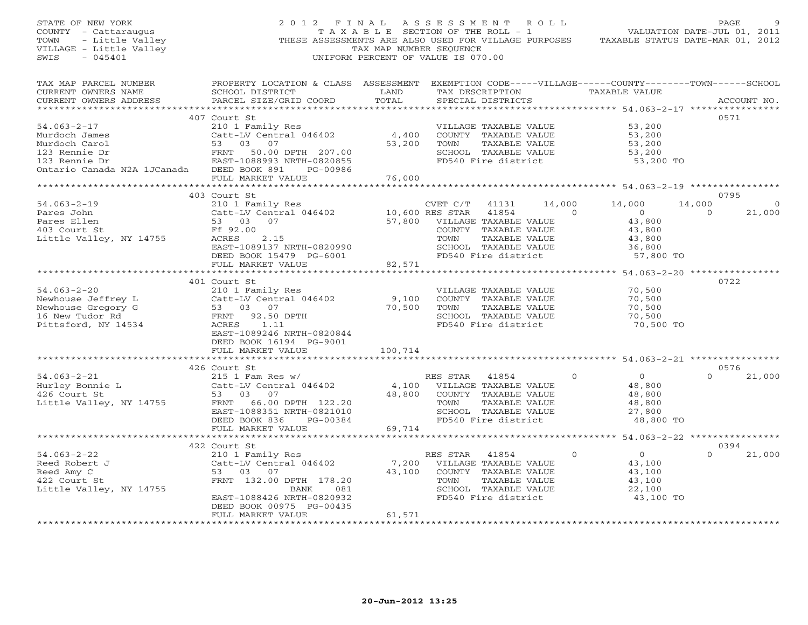| STATE OF NEW YORK<br>OF NEW YORK<br>Y - Cattaraugus<br>- Little Valley<br>GE - Little Valley<br>COUNTY - Cattaraugus<br>TOWN<br>VILLAGE - Little Valley<br>SWIS | 2012 FINAL<br>THESE ASSESSMENTS ARE ALSO USED FOR VILLAGE PURPOSES                                                                                 | T A X A B L E SECTION OF THE ROLL - 1<br>TAX MAP NUMBER SEQUENCE<br>UNIFORM PERCENT OF VALUE IS 070.00 |                | A S S E S S M E N T R O L L                 |                | VALUATION DATE-JUL 01, 2011<br>TAXABLE STATUS DATE-MAR 01, 2012 |            | PAGE        |
|-----------------------------------------------------------------------------------------------------------------------------------------------------------------|----------------------------------------------------------------------------------------------------------------------------------------------------|--------------------------------------------------------------------------------------------------------|----------------|---------------------------------------------|----------------|-----------------------------------------------------------------|------------|-------------|
| TAX MAP PARCEL NUMBER<br>CURRENT OWNERS NAME<br>CURRENT OWNERS ADDRESS                                                                                          | PROPERTY LOCATION & CLASS ASSESSMENT EXEMPTION CODE-----VILLAGE------COUNTY-------TOWN------SCHOOL<br>SCHOOL DISTRICT<br>PARCEL SIZE/GRID COORD    | LAND<br>TOTAL                                                                                          |                | TAX DESCRIPTION<br>SPECIAL DISTRICTS        |                | TAXABLE VALUE                                                   |            | ACCOUNT NO. |
|                                                                                                                                                                 |                                                                                                                                                    |                                                                                                        |                |                                             |                |                                                                 |            |             |
| $54.063 - 2 - 17$                                                                                                                                               | 407 Court St                                                                                                                                       |                                                                                                        |                |                                             |                | 53,200                                                          |            | 0571        |
| Murdoch James                                                                                                                                                   |                                                                                                                                                    |                                                                                                        |                |                                             |                | 53,200                                                          |            |             |
| Murdoch Carol                                                                                                                                                   | Cacc - 1<br>53 03 07<br>FRNT 50.00 DPTH 207.00<br>EAST-1088993 NRTH-0820855<br>DEED BOOK 891 PG-00986                                              | 53,200                                                                                                 |                | TAXABLE VALUE                               |                | 53,200                                                          |            |             |
| 123 Rennie Dr                                                                                                                                                   |                                                                                                                                                    |                                                                                                        |                | SCHOOL TAXABLE VALUE                        |                | 53,200                                                          |            |             |
| 123 Rennie Dr                                                                                                                                                   |                                                                                                                                                    |                                                                                                        |                | FD540 Fire district                         |                | 53,200 TO                                                       |            |             |
| Ontario Canada N2A 1JCanada                                                                                                                                     |                                                                                                                                                    |                                                                                                        |                |                                             |                |                                                                 |            |             |
|                                                                                                                                                                 | FULL MARKET VALUE                                                                                                                                  | 76,000                                                                                                 |                |                                             |                |                                                                 |            |             |
|                                                                                                                                                                 | **************************                                                                                                                         | ***********                                                                                            |                |                                             |                | ******************************** 54.063-2-19 ****************   |            |             |
|                                                                                                                                                                 | 403 Court St                                                                                                                                       |                                                                                                        |                |                                             |                |                                                                 |            | 0795        |
| $54.063 - 2 - 19$                                                                                                                                               | 210 1 Family Res                                                                                                                                   |                                                                                                        | CVET C/T       | 41131                                       | 14,000         | 14,000                                                          | 14,000     | $\Omega$    |
| Pares John                                                                                                                                                      | CALL-LV Central 046402<br>CALL-LV Central 046402<br>57,800 VILLAGE TAXABLE VALUE<br>Ff 92.00 COUNTY TAXABLE VALUE<br>ACRES 2.15 TOWN TAXABLE VALUE |                                                                                                        |                |                                             | $\overline{0}$ | $\overline{0}$                                                  | $\bigcirc$ | 21,000      |
| Pares Ellen                                                                                                                                                     | 53 03 07                                                                                                                                           |                                                                                                        |                |                                             |                | 43,800                                                          |            |             |
| 403 Court St                                                                                                                                                    |                                                                                                                                                    |                                                                                                        |                |                                             |                | 43,800                                                          |            |             |
| Little Valley, NY 14755                                                                                                                                         |                                                                                                                                                    |                                                                                                        |                | TAXABLE VALUE                               |                | 43,800                                                          |            |             |
|                                                                                                                                                                 | EAST-1089137 NRTH-0820990                                                                                                                          |                                                                                                        |                |                                             |                | 36,800                                                          |            |             |
|                                                                                                                                                                 | DEED BOOK 15479 PG-6001                                                                                                                            |                                                                                                        |                | SCHOOL TAXABLE VALUE<br>FD540 Fire district |                | 57,800 TO                                                       |            |             |
|                                                                                                                                                                 | FULL MARKET VALUE                                                                                                                                  | 82,571                                                                                                 |                |                                             |                |                                                                 |            |             |
|                                                                                                                                                                 |                                                                                                                                                    |                                                                                                        |                |                                             |                |                                                                 |            |             |
|                                                                                                                                                                 | 401 Court St                                                                                                                                       |                                                                                                        |                |                                             |                |                                                                 |            | 0722        |
| $54.063 - 2 - 20$                                                                                                                                               | 210 1 Family Res                                                                                                                                   |                                                                                                        |                | VILLAGE TAXABLE VALUE                       |                | 70,500                                                          |            |             |
| Newhouse Jeffrey L                                                                                                                                              | Catt-LV Central 046402                                                                                                                             | 9,100                                                                                                  |                | COUNTY TAXABLE VALUE                        |                | 70,500                                                          |            |             |
| Newhouse Gregory G                                                                                                                                              | The Catt-LV Central 04<br>Catt-LV Central 04<br>53 03 07<br>FRNT 92.50 DPTH<br>ACRES 1.11                                                          | 70,500                                                                                                 | TOWN           | TAXABLE VALUE                               |                | 70,500                                                          |            |             |
| 16 New Tudor Rd                                                                                                                                                 |                                                                                                                                                    |                                                                                                        |                | SCHOOL TAXABLE VALUE                        |                | 70,500                                                          |            |             |
| Pittsford, NY 14534                                                                                                                                             |                                                                                                                                                    |                                                                                                        |                | FD540 Fire district                         |                | 70,500 TO                                                       |            |             |
|                                                                                                                                                                 | EAST-1089246 NRTH-0820844                                                                                                                          |                                                                                                        |                |                                             |                |                                                                 |            |             |
|                                                                                                                                                                 | DEED BOOK 16194 PG-9001                                                                                                                            |                                                                                                        |                |                                             |                |                                                                 |            |             |
|                                                                                                                                                                 | FULL MARKET VALUE                                                                                                                                  | 100,714                                                                                                |                |                                             |                |                                                                 |            |             |
|                                                                                                                                                                 | *************************                                                                                                                          |                                                                                                        |                |                                             |                |                                                                 |            |             |
|                                                                                                                                                                 | 426 Court St                                                                                                                                       |                                                                                                        |                |                                             |                |                                                                 |            | 0576        |
| $54.063 - 2 - 21$                                                                                                                                               |                                                                                                                                                    |                                                                                                        |                |                                             | $\Omega$       | $\Omega$                                                        | $\Omega$   | 21,000      |
| 94.003-2-21<br>Hurley Bonnie L<br>426 Court St                                                                                                                  | EXECUTE 55<br>215 1 Fam Res w/<br>Catt-LV Central 046402<br>215 1 Fam Res W/                                                                       |                                                                                                        |                |                                             |                | 48,800                                                          |            |             |
| 426 Court St                                                                                                                                                    | 53 03 07                                                                                                                                           |                                                                                                        |                | 48,800 COUNTY TAXABLE VALUE                 |                | 48,800                                                          |            |             |
| Little Valley, NY 14755                                                                                                                                         | FRNT 66.00 DPTH 122.20                                                                                                                             |                                                                                                        | TOWN           | TAXABLE VALUE                               |                | 48,800                                                          |            |             |
|                                                                                                                                                                 | EAST-1088351 NRTH-0821010                                                                                                                          |                                                                                                        |                | SCHOOL TAXABLE VALUE                        |                | 27,800                                                          |            |             |
|                                                                                                                                                                 | DEED BOOK 836<br>PG-00384                                                                                                                          |                                                                                                        |                | FD540 Fire district                         |                | 48,800 TO                                                       |            |             |
|                                                                                                                                                                 | FULL MARKET VALUE<br>************************                                                                                                      | 69,714                                                                                                 |                |                                             |                | **************** 54.063-2-22 *****************                  |            |             |
|                                                                                                                                                                 | 422 Court St                                                                                                                                       |                                                                                                        |                |                                             |                |                                                                 |            | 0394        |
| $54.063 - 2 - 22$                                                                                                                                               | 210 1 Family Res                                                                                                                                   |                                                                                                        | RES STAR 41854 |                                             | $\Omega$       | $\overline{0}$                                                  | $\Omega$   | 21,000      |
| Reed Robert J                                                                                                                                                   | Catt-LV Central 046402                                                                                                                             | 7,200                                                                                                  |                | VILLAGE TAXABLE VALUE                       |                | 43,100                                                          |            |             |
| Reed Amy C                                                                                                                                                      | 53 03 07                                                                                                                                           | 43,100                                                                                                 |                | COUNTY TAXABLE VALUE                        |                | 43,100                                                          |            |             |
| 422 Court St                                                                                                                                                    | FRNT 132.00 DPTH 178.20                                                                                                                            |                                                                                                        | TOWN           | TAXABLE VALUE                               |                | 43,100                                                          |            |             |
| Little Valley, NY 14755                                                                                                                                         | BANK 081                                                                                                                                           |                                                                                                        |                | SCHOOL TAXABLE VALUE                        |                | 22,100                                                          |            |             |
|                                                                                                                                                                 | EAST-1088426 NRTH-0820932                                                                                                                          |                                                                                                        |                | FD540 Fire district                         |                | 43,100 TO                                                       |            |             |
|                                                                                                                                                                 | DEED BOOK 00975 PG-00435                                                                                                                           |                                                                                                        |                |                                             |                |                                                                 |            |             |
|                                                                                                                                                                 | FULL MARKET VALUE                                                                                                                                  | 61,571                                                                                                 |                |                                             |                |                                                                 |            |             |
|                                                                                                                                                                 |                                                                                                                                                    | + + + + + + + + + + + + +                                                                              |                |                                             |                |                                                                 |            |             |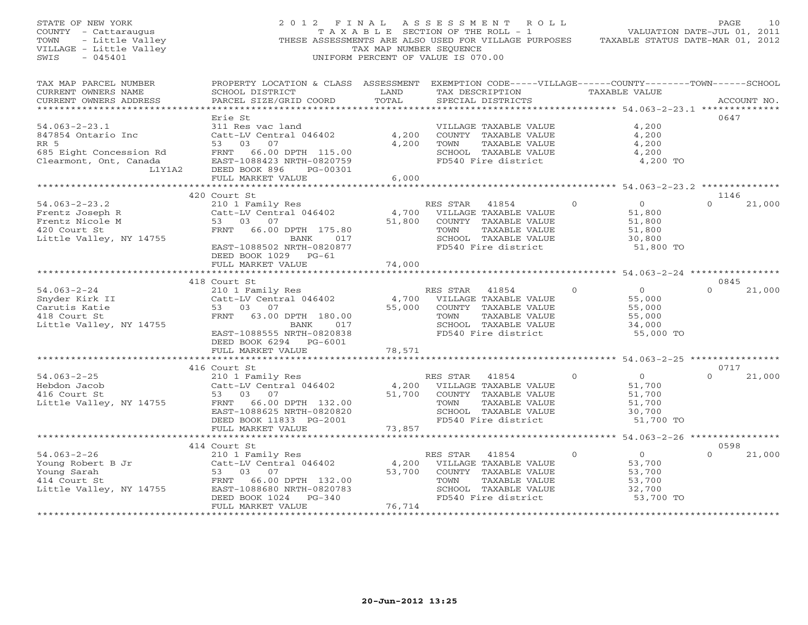| STATE OF NEW YORK<br>COUNTY - Cattaraugus<br>- Little Valley<br>TOWN<br>VILLAGE - Little Valley<br>SWIS<br>$-045401$ |                                                                                                                                                                        | TAX MAP NUMBER SEQUENCE       | 2012 FINAL ASSESSMENT ROLL<br>T A X A B L E SECTION OF THE ROLL - 1<br>THESE ASSESSMENTS ARE ALSO USED FOR VILLAGE PURPOSES<br>UNIFORM PERCENT OF VALUE IS 070.00 |          | VALUATION DATE-JUL 01, 2011<br>TAXABLE STATUS DATE-MAR 01, 2012     | PAGE             | 10          |
|----------------------------------------------------------------------------------------------------------------------|------------------------------------------------------------------------------------------------------------------------------------------------------------------------|-------------------------------|-------------------------------------------------------------------------------------------------------------------------------------------------------------------|----------|---------------------------------------------------------------------|------------------|-------------|
| TAX MAP PARCEL NUMBER<br>CURRENT OWNERS NAME<br>CURRENT OWNERS ADDRESS                                               | PROPERTY LOCATION & CLASS ASSESSMENT EXEMPTION CODE-----VILLAGE------COUNTY-------TOWN------SCHOOL<br>SCHOOL DISTRICT<br>PARCEL SIZE/GRID COORD                        | LAND<br>TOTAL                 | TAX DESCRIPTION<br>SPECIAL DISTRICTS                                                                                                                              |          | TAXABLE VALUE                                                       |                  | ACCOUNT NO. |
|                                                                                                                      | Erie St                                                                                                                                                                |                               |                                                                                                                                                                   |          |                                                                     | 0647             |             |
| $54.063 - 2 - 23.1$<br>847854 Ontario Inc<br>RR 5<br>685 Eight Concession Rd<br>Clearmont, Ont, Canada<br>L1Y1A2     | 311 Res vac land<br>Catt-LV Central 046402<br>53 03<br>07<br>FRNT 66.00 DPTH 115.00<br>EAST-1088423 NRTH-0820759<br>DEED BOOK 896<br>PG-00301                          | 4,200<br>4,200                | VILLAGE TAXABLE VALUE<br>COUNTY TAXABLE VALUE<br>TAXABLE VALUE<br>TOWN<br>SCHOOL TAXABLE VALUE<br>FD540 Fire district                                             |          | 4,200<br>4,200<br>4,200<br>4,200<br>4,200 TO                        |                  |             |
|                                                                                                                      | FULL MARKET VALUE                                                                                                                                                      | 6,000                         |                                                                                                                                                                   |          |                                                                     |                  |             |
|                                                                                                                      | *************************                                                                                                                                              |                               | ******************************                                                                                                                                    |          | *************** 54.063-2-23.2 **************                        |                  |             |
| $54.063 - 2 - 23.2$<br>Frentz Joseph R<br>Frentz Nicole M<br>420 Court St<br>Little Valley, NY 14755                 | 420 Court St<br>210 1 Family Res<br>Catt-LV Central 046402<br>53 03 07<br>FRNT 66.00 DPTH 175.80<br>BANK<br>017<br>EAST-1088502 NRTH-0820877<br>DEED BOOK 1029 PG-61   | 4,700<br>51,800               | RES STAR<br>41854<br>VILLAGE TAXABLE VALUE<br>COUNTY TAXABLE VALUE<br>TOWN<br>TAXABLE VALUE<br>SCHOOL TAXABLE VALUE<br>FD540 Fire district                        | $\circ$  | $\overline{0}$<br>51,800<br>51,800<br>51,800<br>30,800<br>51,800 TO | 1146<br>$\Omega$ | 21,000      |
|                                                                                                                      | FULL MARKET VALUE                                                                                                                                                      | 74,000                        |                                                                                                                                                                   |          |                                                                     |                  |             |
|                                                                                                                      |                                                                                                                                                                        |                               |                                                                                                                                                                   |          |                                                                     |                  |             |
| $54.063 - 2 - 24$<br>Snyder Kirk II<br>Carutis Katie<br>418 Court St<br>Little Valley, NY 14755                      | 418 Court St<br>210 1 Family Res<br>Catt-LV Central 046402<br>53 03 07<br>FRNT 63.00 DPTH 180.00<br>BANK<br>017<br>EAST-1088555 NRTH-0820838<br>DEED BOOK 6294 PG-6001 | 55,000                        | RES STAR<br>41854<br>4,700 VILLAGE TAXABLE VALUE<br>COUNTY TAXABLE VALUE<br>TOWN<br>TAXABLE VALUE<br>SCHOOL TAXABLE VALUE<br>FD540 Fire district                  | $\Omega$ | $\Omega$<br>55,000<br>55,000<br>55,000<br>34,000<br>55,000 TO       | 0845<br>$\Omega$ | 21,000      |
|                                                                                                                      | FULL MARKET VALUE<br>********************                                                                                                                              | 78,571                        |                                                                                                                                                                   |          |                                                                     |                  |             |
| $54.063 - 2 - 25$<br>Hebdon Jacob<br>416 Court St<br>Little Valley, NY 14755                                         | 416 Court St<br>210 1 Family Res<br>Catt-LV Central 046402<br>53 03 07<br>FRNT 66.00 DPTH 132.00<br>EAST-1088625 NRTH-0820820<br>DEED BOOK 11833 PG-2001               | 4,200<br>51,700               | RES STAR<br>41854<br>VILLAGE TAXABLE VALUE<br>COUNTY TAXABLE VALUE<br>TOWN<br>TAXABLE VALUE<br>SCHOOL TAXABLE VALUE<br>FD540 Fire district                        | $\Omega$ | $\overline{O}$<br>51,700<br>51,700<br>51,700<br>30,700<br>51,700 TO | 0717<br>$\Omega$ | 21,000      |
|                                                                                                                      | FULL MARKET VALUE                                                                                                                                                      | 73,857                        |                                                                                                                                                                   |          |                                                                     |                  |             |
|                                                                                                                      | 414 Court St                                                                                                                                                           | ***********************       |                                                                                                                                                                   |          | ********************* 54.063-2-26 *****************                 | 0598             |             |
| $54.063 - 2 - 26$<br>Young Robert B Jr<br>Young Sarah<br>414 Court St<br>Little Valley, NY 14755                     | 210 1 Family Res<br>Catt-LV Central 046402<br>53 03 07<br>FRNT 66.00 DPTH 132.00<br>EAST-1088680 NRTH-0820783<br>DEED BOOK 1024 PG-340                                 | 4,200<br>53,700               | RES STAR<br>41854<br>VILLAGE TAXABLE VALUE<br>COUNTY TAXABLE VALUE<br>TOWN<br>TAXABLE VALUE<br>SCHOOL TAXABLE VALUE<br>FD540 Fire district                        | $\Omega$ | $\overline{0}$<br>53,700<br>53,700<br>53,700<br>32,700<br>53,700 TO |                  | 21,000      |
|                                                                                                                      | FULL MARKET VALUE<br>***********************                                                                                                                           | 76,714<br>******************* |                                                                                                                                                                   |          |                                                                     |                  |             |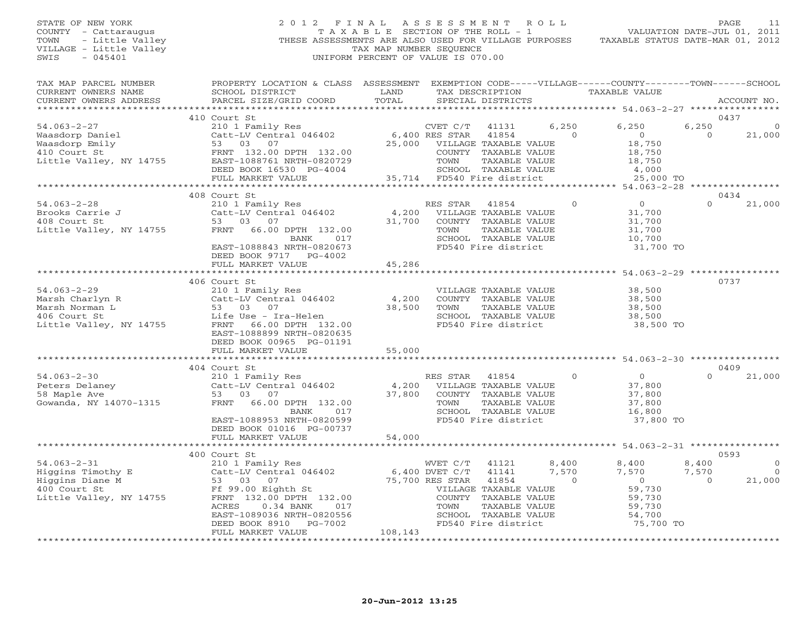## STATE OF NEW YORK 2 0 1 2 F I N A L A S S E S S M E N T R O L L PAGE 11 COUNTY - Cattaraugus T A X A B L E SECTION OF THE ROLL - 1 VALUATION DATE-JUL 01, 2011 TOWN - Little Valley **These ASSESSMENTS ARE ALSO USED FOR VILLAGE PURPOSES** TAXABLE STATUS DATE-MAR 01, 2012<br>VILLAGE - Little Valley **These State of Tax Map NUMBER SEQUENCE** VILLAGE - Little Valley and the Communist Communist Communist Communist Communist Communist Communist Communist Communist Communist Communist Communist Communist Communist Communist Communist Communist Communist Communist SWIS - 045401 UNIFORM PERCENT OF VALUE IS 070.00

| TAX MAP PARCEL NUMBER           | PROPERTY LOCATION & CLASS ASSESSMENT                                                                                                                                                                                                                   |                      |                              |                       | EXEMPTION CODE-----VILLAGE------COUNTY-------TOWN------SCHOOL |                |             |
|---------------------------------|--------------------------------------------------------------------------------------------------------------------------------------------------------------------------------------------------------------------------------------------------------|----------------------|------------------------------|-----------------------|---------------------------------------------------------------|----------------|-------------|
| CURRENT OWNERS NAME             | SCHOOL DISTRICT                                                                                                                                                                                                                                        | LAND                 | TAX DESCRIPTION              |                       | TAXABLE VALUE                                                 |                |             |
| CURRENT OWNERS ADDRESS          | PARCEL SIZE/GRID COORD                                                                                                                                                                                                                                 | TOTAL                | SPECIAL DISTRICTS            |                       |                                                               |                | ACCOUNT NO. |
|                                 |                                                                                                                                                                                                                                                        |                      |                              |                       |                                                               |                |             |
|                                 | 410 Court St                                                                                                                                                                                                                                           |                      |                              |                       |                                                               |                | 0437        |
| $54.063 - 2 - 27$               | CVET C/T<br>Catt-LV Central 046402 6,400 RES STAR<br>53 03 07 25,000 VILLAGE<br>FRNT 132.00 DPTH 122.00                                                                                                                                                |                      | CVET C/T<br>41131            | 6,250                 | 6,250                                                         | 6,250          | $\Omega$    |
|                                 | Value Daniel<br>Waasdorp Emily<br>Waasdorp Emily<br>410 Court St<br>Little Valley, NY 14755<br>EAST-1088761 NRTH-0820729<br>FRNT 132.00 DPTH 132.00<br>EAST-1088761 NRTH-0820729<br>PRNT 132.00<br>PG-4004                                             |                      | 41854                        | $\overline{0}$        | $\overline{0}$                                                | $\bigcirc$     | 21,000      |
|                                 |                                                                                                                                                                                                                                                        |                      | 25,000 VILLAGE TAXABLE VALUE |                       | 18,750                                                        |                |             |
|                                 |                                                                                                                                                                                                                                                        |                      | COUNTY TAXABLE VALUE         |                       | 18,750                                                        |                |             |
|                                 |                                                                                                                                                                                                                                                        |                      | TOWN                         | TAXABLE VALUE         | 18,750                                                        |                |             |
|                                 | DEED BOOK 16530 PG-4004                                                                                                                                                                                                                                |                      |                              | SCHOOL TAXABLE VALUE  | $\frac{4}{2}$ , 000                                           |                |             |
|                                 | FULL MARKET VALUE                                                                                                                                                                                                                                      |                      | 35,714 FD540 Fire district   |                       | 25,000 TO                                                     |                |             |
|                                 | ************************                                                                                                                                                                                                                               |                      |                              |                       |                                                               |                |             |
|                                 | 408 Court St                                                                                                                                                                                                                                           |                      |                              |                       |                                                               |                | 0434        |
|                                 | 210 1 Family Res<br>Catt-LV Central 046402<br>53 03 07                                                                                                                                                                                                 |                      |                              | $\circ$               | $\overline{0}$                                                | $\Omega$       |             |
| $54.063 - 2 - 28$               |                                                                                                                                                                                                                                                        |                      | RES STAR                     | 41854                 |                                                               |                | 21,000      |
| Brooks Carrie J<br>408 Court St |                                                                                                                                                                                                                                                        |                      | 4,200 VILLAGE TAXABLE VALUE  |                       | 31,700                                                        |                |             |
| 408 Court St                    |                                                                                                                                                                                                                                                        | 31,700               | COUNTY TAXABLE VALUE         |                       | 31,700                                                        |                |             |
| Little Valley, NY 14755         | FRNT 66.00 DPTH 132.00                                                                                                                                                                                                                                 |                      | TOWN                         | TAXABLE VALUE         | 31,700                                                        |                |             |
|                                 | BANK<br>017                                                                                                                                                                                                                                            |                      |                              | SCHOOL TAXABLE VALUE  | 10,700                                                        |                |             |
|                                 | EAST-1088843 NRTH-0820673                                                                                                                                                                                                                              |                      |                              | FD540 Fire district   | 31,700 TO                                                     |                |             |
|                                 | DEED BOOK 9717 PG-4002                                                                                                                                                                                                                                 |                      |                              |                       |                                                               |                |             |
|                                 | FULL MARKET VALUE                                                                                                                                                                                                                                      | 45,286               |                              |                       |                                                               |                |             |
|                                 |                                                                                                                                                                                                                                                        | ***********          |                              |                       | ************ 54.063-2-29 **********                           |                |             |
|                                 | 406 Court St                                                                                                                                                                                                                                           |                      |                              |                       |                                                               |                | 0737        |
| $54.063 - 2 - 29$               | 210 1 Family Res<br>Catt-LV Central 046402                                                                                                                                                                                                             |                      |                              | VILLAGE TAXABLE VALUE | 38,500                                                        |                |             |
|                                 |                                                                                                                                                                                                                                                        | 4,200                |                              |                       | 38,500                                                        |                |             |
|                                 |                                                                                                                                                                                                                                                        | 38,500               | TOWN                         | TAXABLE VALUE         | 38,500                                                        |                |             |
|                                 | Marsh Charlyn R<br>Marsh Norman L<br>Marsh Norman L<br>53 03 07<br>406 Court St<br>Little Valley, NY 14755<br>ERNT 66.00 DPTH 132.00                                                                                                                   |                      |                              | SCHOOL TAXABLE VALUE  | 38,500                                                        |                |             |
|                                 |                                                                                                                                                                                                                                                        |                      |                              | FD540 Fire district   | 38,500 TO                                                     |                |             |
|                                 | EAST-1088899 NRTH-0820635                                                                                                                                                                                                                              |                      |                              |                       |                                                               |                |             |
|                                 | DEED BOOK 00965 PG-01191                                                                                                                                                                                                                               |                      |                              |                       |                                                               |                |             |
|                                 |                                                                                                                                                                                                                                                        |                      |                              |                       |                                                               |                |             |
|                                 | FULL MARKET VALUE<br>************************                                                                                                                                                                                                          | 55,000<br>********** |                              |                       | ********************* 54.063-2-30 ***********                 |                |             |
|                                 |                                                                                                                                                                                                                                                        |                      |                              |                       |                                                               |                |             |
|                                 | 404 Court St                                                                                                                                                                                                                                           |                      |                              |                       |                                                               |                | 0409        |
| $54.063 - 2 - 30$               |                                                                                                                                                                                                                                                        |                      | RES STAR                     | $\overline{0}$        | $\overline{0}$                                                | $\Omega$       | 21,000      |
|                                 |                                                                                                                                                                                                                                                        |                      |                              |                       | 37,800                                                        |                |             |
|                                 |                                                                                                                                                                                                                                                        |                      |                              |                       | 37,800                                                        |                |             |
| Gowanda, NY 14070-1315          | FRNT 66.00 DPTH 132.00                                                                                                                                                                                                                                 | 37,800               | TOWN                         | TAXABLE VALUE         | 37,800                                                        |                |             |
|                                 | BANK<br>017                                                                                                                                                                                                                                            |                      |                              | SCHOOL TAXABLE VALUE  | 16,800                                                        |                |             |
|                                 | EAST-1088953 NRTH-0820599                                                                                                                                                                                                                              |                      |                              | FD540 Fire district   | 37,800 TO                                                     |                |             |
|                                 | DEED BOOK 01016 PG-00737                                                                                                                                                                                                                               |                      |                              |                       |                                                               |                |             |
|                                 | FULL MARKET VALUE                                                                                                                                                                                                                                      | 54,000               |                              |                       |                                                               |                |             |
|                                 |                                                                                                                                                                                                                                                        |                      |                              |                       |                                                               |                |             |
|                                 |                                                                                                                                                                                                                                                        |                      |                              |                       |                                                               |                | 0593        |
|                                 |                                                                                                                                                                                                                                                        |                      |                              | 8,400<br>41121        | 8,400                                                         | 8,400          | $\Omega$    |
|                                 |                                                                                                                                                                                                                                                        |                      | 41141                        | 7,570                 | 7,570                                                         | 7,570          | $\Omega$    |
|                                 |                                                                                                                                                                                                                                                        |                      | 41854                        | $\overline{a}$        | $\Omega$                                                      | $\overline{a}$ | 21,000      |
|                                 | Higgins Timothy E<br>Higgins Timothy E<br>Higgins Diane M<br>400 Court St<br>Example 210 1 Family Res<br>210 1 Family Res<br>210 1 Family Res<br>210 1 Family Res<br>210 1 Family Res<br>210 1 Family Res<br>6,400 DVET C/T<br>6,400 DVET C/T<br>75,70 |                      | VILLAGE TAXABLE VALUE        |                       | 59,730                                                        |                |             |
|                                 |                                                                                                                                                                                                                                                        |                      |                              |                       |                                                               |                |             |
|                                 |                                                                                                                                                                                                                                                        |                      | COUNTY TAXABLE VALUE         |                       | 59,730                                                        |                |             |
|                                 |                                                                                                                                                                                                                                                        |                      |                              | TAXABLE VALUE         | 59,730                                                        |                |             |
|                                 | EAST-1089036 NRTH-0820556                                                                                                                                                                                                                              |                      | SCHOOL TAXABLE VALUE         |                       | 54,700                                                        |                |             |
|                                 | DEED BOOK 8910<br>PG-7002                                                                                                                                                                                                                              |                      | FD540 Fire district          |                       | 75,700 TO                                                     |                |             |
|                                 | FULL MARKET VALUE                                                                                                                                                                                                                                      | 108,143              |                              |                       |                                                               |                |             |
|                                 |                                                                                                                                                                                                                                                        |                      |                              |                       |                                                               |                |             |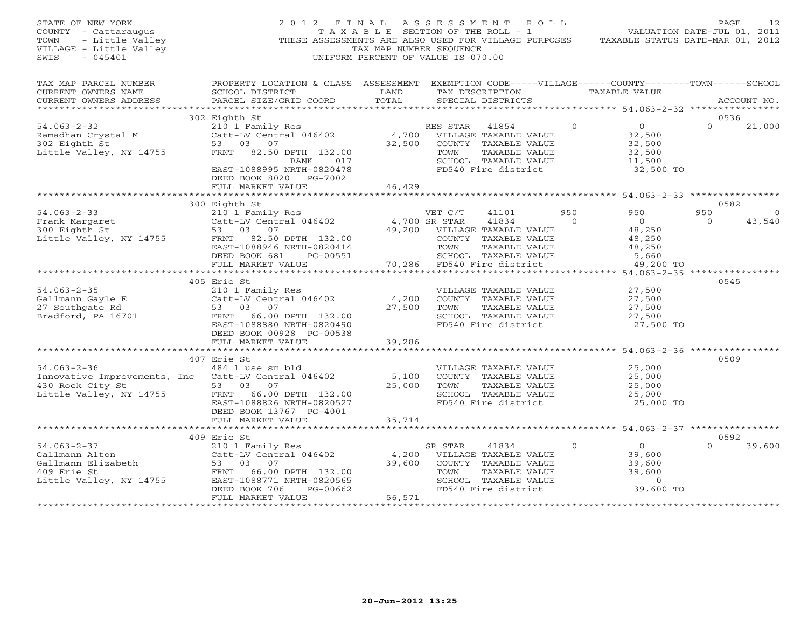| STATE OF NEW YORK<br>COUNTY - Cattaraugus<br>- Cattaraugus<br>- Little Valley<br>E - Little Valley<br>TOWN<br>VILLAGE - Little Valley<br>SWIS<br>$-045401$               | 2012 FINAL ASSESSMENT ROLL<br>THESE ASSESSMENTS ARE ALSO USED FOR VILLAGE PURPOSES                                                                                                                                                                                        | T A X A B L E SECTION OF THE ROLL - 1<br>TAX MAP NUMBER SEQUENCE<br>UNIFORM PERCENT OF VALUE IS 070.00 |                        |                                                                                                                              |                  | VALUATION DATE-JUL 01, 2011<br>TAXABLE STATUS DATE-MAR 01, 2012                            | PAGE            | 12                 |
|--------------------------------------------------------------------------------------------------------------------------------------------------------------------------|---------------------------------------------------------------------------------------------------------------------------------------------------------------------------------------------------------------------------------------------------------------------------|--------------------------------------------------------------------------------------------------------|------------------------|------------------------------------------------------------------------------------------------------------------------------|------------------|--------------------------------------------------------------------------------------------|-----------------|--------------------|
| TAX MAP PARCEL NUMBER<br>CURRENT OWNERS NAME<br>CURRENT OWNERS ADDRESS<br>************************                                                                       | PROPERTY LOCATION & CLASS ASSESSMENT EXEMPTION CODE-----VILLAGE------COUNTY-------TOWN------SCHOOL<br>SCHOOL DISTRICT<br><b>EXAMPLE SERVICE SERVICE SERVICE SERVICE SERVICE SERVICE SERVICE SERVICE SERVICE SERVICE SERVICE SERVICE SERVICE</b><br>PARCEL SIZE/GRID COORD | TOTAL                                                                                                  |                        | SPECIAL DISTRICTS                                                                                                            |                  | TAX DESCRIPTION TAXABLE VALUE                                                              |                 | ACCOUNT NO.        |
|                                                                                                                                                                          | 302 Eighth St                                                                                                                                                                                                                                                             |                                                                                                        |                        |                                                                                                                              |                  |                                                                                            | 0536            |                    |
| $54.063 - 2 - 32$<br>Ramadhan Crystal M<br>302 Eighth St<br>Little Valley, NY 14755                                                                                      | 210 1 Family Res<br>Catt-LV Central 046402<br>53 03 07<br>FRNT 82.50 DPTH 132.00<br>BANK<br>017<br>EAST-1088995 NRTH-0820478<br>DEED BOOK 8020 PG-7002                                                                                                                    | 46,429                                                                                                 | RES STAR 41854<br>TOWN | 4,700 VILLAGE TAXABLE VALUE<br>32,500 COUNTY TAXABLE VALUE<br>TAXABLE VALUE<br>SCHOOL TAXABLE VALUE<br>FD540 Fire district   | $\Omega$         | $\overline{O}$<br>32,500<br>32,500<br>32,500<br>11,500<br>32,500 TO                        | $\Omega$        | 21,000             |
|                                                                                                                                                                          | FULL MARKET VALUE<br>*****************************                                                                                                                                                                                                                        |                                                                                                        |                        |                                                                                                                              |                  |                                                                                            |                 |                    |
|                                                                                                                                                                          | 300 Eighth St                                                                                                                                                                                                                                                             |                                                                                                        |                        |                                                                                                                              |                  |                                                                                            | 0582            |                    |
| $54.063 - 2 - 33$<br>Frank Margaret<br>300 Eighth St<br>Little Valley, NY 14755                                                                                          | 210 1 Family Res<br>Catt-LV Central 046402<br>53 03 07<br>FRNT 82.50 DPTH 132.00<br>EAST-1088946 NRTH-0820414<br>DEED BOOK 681<br>PG-00551                                                                                                                                | 4,700 SR STAR                                                                                          | VET C/T<br>TOWN        | 41101<br>41834<br>49,200 VILLAGE TAXABLE VALUE<br>COUNTY TAXABLE VALUE<br>TAXABLE VALUE<br>SCHOOL TAXABLE VALUE              | 950<br>$\bigcap$ | 950<br>$\overline{0}$<br>48,250<br>48,250<br>48,250<br>5,660                               | 950<br>$\Omega$ | $\Omega$<br>43,540 |
|                                                                                                                                                                          | FULL MARKET VALUE<br>**************************                                                                                                                                                                                                                           | 70,286                                                                                                 |                        | FD540 Fire district                                                                                                          |                  | 49,200 TO                                                                                  |                 |                    |
|                                                                                                                                                                          | 405 Erie St                                                                                                                                                                                                                                                               |                                                                                                        |                        |                                                                                                                              |                  |                                                                                            | 0545            |                    |
| $54.063 - 2 - 35$<br>Gallmann Gayle E<br>27 Southgate Rd<br>27 Southgate Rd<br>Bradford, PA 16701                                                                        | 210 1 Family Res<br>Catt-LV Central 046402<br>$\begin{bmatrix} \text{Cat} & - & \text{I} & \text{I} \\ 53 & 03 & 07 \\ - & 66 & 00 \end{bmatrix}$<br>FRNT 66.00 DPTH 132.00<br>EAST-1088880 NRTH-0820490<br>DEED BOOK 00928 PG-00538                                      | 4,200<br>27,500                                                                                        | TOWN                   | VILLAGE TAXABLE VALUE<br>COUNTY TAXABLE VALUE<br>TAXABLE VALUE<br>SCHOOL TAXABLE VALUE<br>FD540 Fire district                |                  | 27,500<br>27,500<br>27,500<br>27,500<br>27,500 TO                                          |                 |                    |
|                                                                                                                                                                          | FULL MARKET VALUE                                                                                                                                                                                                                                                         | 39,286                                                                                                 |                        |                                                                                                                              |                  |                                                                                            |                 |                    |
| $54.063 - 2 - 36$<br>Innovative Improvements, Inc<br>430 Rock City St<br>Little Valley, NY 14755                                                                         | ***************************<br>407 Erie St<br>484 1 use sm bld<br>Catt-LV Central 046402<br>53 03 07<br>FRNT 66.00 DPTH 132.00                                                                                                                                            | *************<br>5,100<br>25,000                                                                       | TOWN                   | VILLAGE TAXABLE VALUE<br>COUNTY TAXABLE VALUE<br>TAXABLE VALUE<br>SCHOOL TAXABLE VALUE                                       |                  | ********************* 54.063-2-36 ****************<br>25,000<br>25,000<br>25,000<br>25,000 | 0509            |                    |
|                                                                                                                                                                          | EAST-1088826 NRTH-0820527<br>DEED BOOK 13767 PG-4001<br>FULL MARKET VALUE                                                                                                                                                                                                 | 35,714                                                                                                 |                        | FD540 Fire district                                                                                                          |                  | 25,000 TO                                                                                  |                 |                    |
|                                                                                                                                                                          | 409 Erie St                                                                                                                                                                                                                                                               |                                                                                                        |                        |                                                                                                                              |                  |                                                                                            | 0592            |                    |
| $54.063 - 2 - 37$<br>Gallmann Elizabeth (Catt-LV Centr)<br>409 Erie St (Catter of Transport)<br>53 03 07<br>500 Erie St (Catter of Transport)<br>Little Valley, NY 14755 | 210 1 Family Res<br>Catt-LV Central 046402<br>FRNT 66.00 DPTH 132.00<br>EAST-1088771 NRTH-0820565<br>DEED BOOK 706<br>PG-00662                                                                                                                                            | 39,600                                                                                                 | SR STAR<br>TOWN        | 41834<br>4,200 VILLAGE TAXABLE VALUE<br>COUNTY TAXABLE VALUE<br>TAXABLE VALUE<br>SCHOOL TAXABLE VALUE<br>FD540 Fire district | $\Omega$         | $\overline{0}$<br>39,600<br>39,600<br>39,600<br>$\Omega$<br>39,600 TO                      |                 | 39,600             |
|                                                                                                                                                                          | FULL MARKET VALUE                                                                                                                                                                                                                                                         | 56,571<br>+ + + + + + + + + + + + + +                                                                  |                        |                                                                                                                              |                  |                                                                                            |                 |                    |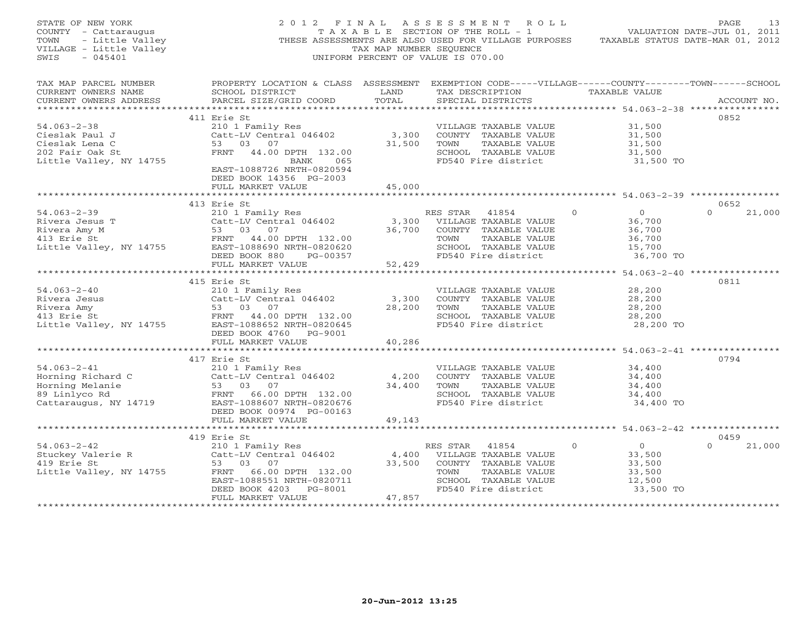| STATE OF NEW YORK<br>COUNTY - Cattaraugus<br>- Little Valley<br>TOWN<br>VILLAGE - Little Valley<br>$-045401$<br>SWIS | 2012 FINAL ASSESSMENT ROLL<br>THESE ASSESSMENTS ARE ALSO USED FOR VILLAGE PURPOSES                                                                                                                | TAX MAP NUMBER SEQUENCE                | UNIFORM PERCENT OF VALUE IS 070.00                    | T A X A B L E SECTION OF THE ROLL - 1                                                                                  | TAXABLE STATUS DATE-MAR 01, 2012                                                           | PAGE<br>13<br>VALUATION DATE-JUL 01, 2011 |
|----------------------------------------------------------------------------------------------------------------------|---------------------------------------------------------------------------------------------------------------------------------------------------------------------------------------------------|----------------------------------------|-------------------------------------------------------|------------------------------------------------------------------------------------------------------------------------|--------------------------------------------------------------------------------------------|-------------------------------------------|
| TAX MAP PARCEL NUMBER<br>CURRENT OWNERS NAME<br>CURRENT OWNERS ADDRESS                                               | PROPERTY LOCATION & CLASS ASSESSMENT EXEMPTION CODE-----VILLAGE------COUNTY-------TOWN------SCHOOL<br>SCHOOL DISTRICT<br>PARCEL SIZE/GRID COORD                                                   | LAND<br>TOTAL                          | SPECIAL DISTRICTS                                     |                                                                                                                        | TAX DESCRIPTION TAXABLE VALUE                                                              | ACCOUNT NO.                               |
|                                                                                                                      |                                                                                                                                                                                                   |                                        |                                                       |                                                                                                                        |                                                                                            |                                           |
|                                                                                                                      | 411 Erie St                                                                                                                                                                                       |                                        |                                                       |                                                                                                                        |                                                                                            | 0852                                      |
| $54.063 - 2 - 38$<br>Cieslak Paul J<br>Cieslak Lena C<br>202 Fair Oak St<br>Little Valley, NY 14755                  | 210 1 Family Res<br>Catt-LV Central 046402<br>53 03 07<br>FRNT 44.00 DPTH 132.00<br>BANK<br>065<br>EAST-1088726 NRTH-0820594                                                                      | 3,300<br>31,500                        | TOWN                                                  | VILLAGE TAXABLE VALUE<br>COUNTY TAXABLE VALUE<br>TAXABLE VALUE<br>SCHOOL TAXABLE VALUE<br>FD540 Fire district          | 31,500<br>31,500<br>31,500<br>31,500<br>31,500 TO                                          |                                           |
|                                                                                                                      | DEED BOOK 14356 PG-2003<br>FULL MARKET VALUE                                                                                                                                                      | 45,000                                 |                                                       |                                                                                                                        |                                                                                            |                                           |
|                                                                                                                      |                                                                                                                                                                                                   |                                        |                                                       |                                                                                                                        |                                                                                            |                                           |
|                                                                                                                      | 413 Erie St                                                                                                                                                                                       |                                        |                                                       |                                                                                                                        |                                                                                            | 0652                                      |
| $54.063 - 2 - 39$<br>Rivera Jesus T                                                                                  | 210 1 Family Res<br>Catt-LV Central 046402<br>Alivera Amy M<br>Rivera Amy M<br>413 Erie St<br>Little Valley, NY 14755<br>EAST-1088690 NRTH-0820620<br>DEED BOOK 880 PG-00357<br>FULL MARKET VALUE | 3,300<br>36,700<br>52,429              | RES STAR<br>TOWN                                      | 41854<br>VILLAGE TAXABLE VALUE<br>COUNTY TAXABLE VALUE<br>TAXABLE VALUE<br>SCHOOL TAXABLE VALUE<br>FD540 Fire district | $\circ$<br>$\overline{0}$<br>36,700<br>36,700<br>36,700<br>15,700<br>36,700 TO             | $\Omega$<br>21,000                        |
|                                                                                                                      |                                                                                                                                                                                                   | *************                          |                                                       |                                                                                                                        | ******************************** 54.063-2-40 ***************                               |                                           |
| $54.063 - 2 - 40$<br>Rivera Jesus<br>Rivera Amy<br>413 Erie St<br>Little Valley, NY 14755                            | 415 Erie St<br>210 1 Family Res<br>Catt-LV Central 046402<br>53 03 07<br>FRNT 44.00 DPTH 132.00<br>EAST-1088652 NRTH-0820645<br>DEED BOOK 4760 PG-9001                                            | 3,300<br>28,200                        | TOWN                                                  | VILLAGE TAXABLE VALUE<br>COUNTY TAXABLE VALUE<br>TAXABLE VALUE<br>SCHOOL TAXABLE VALUE<br>FD540 Fire district          | 28,200<br>28,200<br>28,200<br>28,200<br>28,200 TO                                          | 0811                                      |
|                                                                                                                      | FULL MARKET VALUE                                                                                                                                                                                 | 40,286                                 |                                                       |                                                                                                                        |                                                                                            |                                           |
| $54.063 - 2 - 41$<br>Horning Richard C<br>Horning Melanie<br>89 Linlyco Rd<br>Cattaraugus, NY 14719                  | ************************<br>417 Erie St<br>210 1 Family Res<br>Catt-LV Central 046402<br>53 03 07<br>FRNT 66.00 DPTH 132.00<br>EAST-1088607 NRTH-0820676                                          | * * * * * * * * * *<br>4,200<br>34,400 | TOWN                                                  | VILLAGE TAXABLE VALUE<br>COUNTY TAXABLE VALUE<br>TAXABLE VALUE<br>SCHOOL TAXABLE VALUE<br>FD540 Fire district          | ************* 54.063-2-41 ***********<br>34,400<br>34,400<br>34,400<br>34,400<br>34,400 TO | 0794                                      |
|                                                                                                                      | DEED BOOK 00974 PG-00163                                                                                                                                                                          |                                        |                                                       |                                                                                                                        |                                                                                            |                                           |
|                                                                                                                      | FULL MARKET VALUE                                                                                                                                                                                 | 49,143                                 |                                                       |                                                                                                                        |                                                                                            |                                           |
|                                                                                                                      | 419 Erie St                                                                                                                                                                                       |                                        |                                                       |                                                                                                                        |                                                                                            | 0459                                      |
| $54.063 - 2 - 42$<br>Stuckey Valerie R<br>419 Erie St<br>Little Valley, NY 14755                                     | 210 1 Family Res<br>Catt-LV Central 046402<br>53 03 07<br>FRNT 66.00 DPTH 132.00<br>EAST-1088551 NRTH-0820711<br>DEED BOOK 4203 PG-8001<br>FULL MARKET VALUE                                      | 33,500<br>47,857                       | RES STAR 41854<br>4,400 VILLAGE TAXABLE VALUE<br>TOWN | COUNTY TAXABLE VALUE<br>TAXABLE VALUE<br>SCHOOL TAXABLE VALUE<br>FD540 Fire district                                   | $\overline{0}$<br>$\Omega$<br>33,500<br>33,500<br>33,500<br>12,500<br>33,500 TO            | 21,000<br>$\Omega$                        |
|                                                                                                                      |                                                                                                                                                                                                   |                                        |                                                       |                                                                                                                        |                                                                                            |                                           |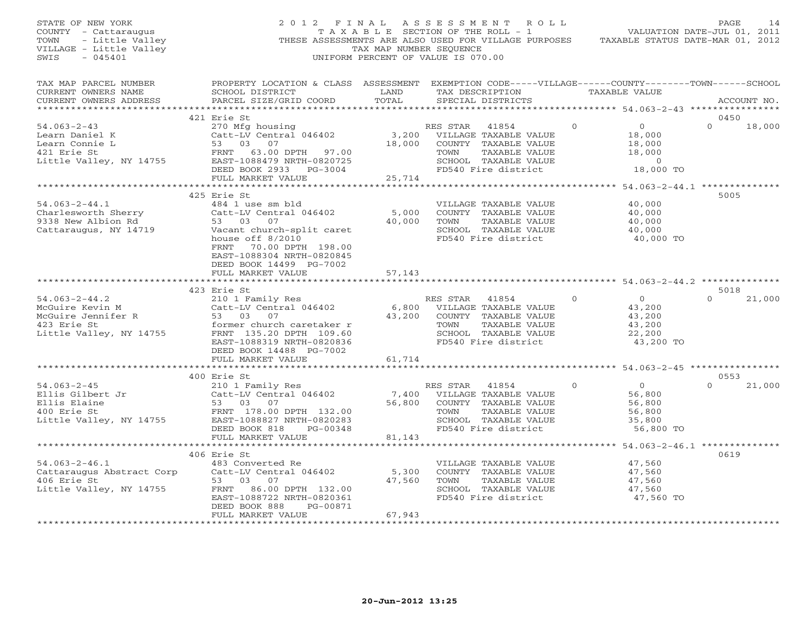| STATE OF NEW YORK<br>COUNTY - Cattaraugus<br>- Little Valley<br>TOWN<br>VILLAGE - Little Valley<br>$-045401$<br>SWIS | 2012 FINAL                                                                                                                                                                                                                      | TAX MAP NUMBER SEQUENCE      | ASSESSMENT ROLL<br>T A X A B L E SECTION OF THE ROLL - 1<br>THESE ASSESSMENTS ARE ALSO USED FOR VILLAGE PURPOSES<br>UNIFORM PERCENT OF VALUE IS 070.00 |          | VALUATION DATE-JUL 01, 2011<br>TAXABLE STATUS DATE-MAR 01, 2012        | PAGE                       | 14 |
|----------------------------------------------------------------------------------------------------------------------|---------------------------------------------------------------------------------------------------------------------------------------------------------------------------------------------------------------------------------|------------------------------|--------------------------------------------------------------------------------------------------------------------------------------------------------|----------|------------------------------------------------------------------------|----------------------------|----|
| TAX MAP PARCEL NUMBER<br>CURRENT OWNERS NAME<br>CURRENT OWNERS ADDRESS                                               | PROPERTY LOCATION & CLASS ASSESSMENT EXEMPTION CODE-----VILLAGE------COUNTY-------TOWN------SCHOOL<br>SCHOOL DISTRICT<br>PARCEL SIZE/GRID COORD                                                                                 | LAND<br>TOTAL                | TAX DESCRIPTION<br>SPECIAL DISTRICTS                                                                                                                   |          | TAXABLE VALUE                                                          | ACCOUNT NO.                |    |
| ***********************                                                                                              |                                                                                                                                                                                                                                 |                              |                                                                                                                                                        |          |                                                                        |                            |    |
| $54.063 - 2 - 43$                                                                                                    | 421 Erie St<br>270 Mfg housing                                                                                                                                                                                                  |                              | RES STAR<br>41854                                                                                                                                      | $\circ$  | $\overline{0}$                                                         | 0450<br>$\Omega$<br>18,000 |    |
| Learn Daniel K<br>Learn Connie L<br>421 Erie St<br>Little Valley, NY 14755                                           | Catt-LV Central 046402<br>53 03 07<br>FRNT<br>63.00 DPTH 97.00<br>EAST-1088479 NRTH-0820725<br>DEED BOOK 2933 PG-3004<br>FULL MARKET VALUE                                                                                      | 3,200<br>18,000<br>25,714    | VILLAGE TAXABLE VALUE<br>COUNTY TAXABLE VALUE<br>TOWN<br>TAXABLE VALUE<br>SCHOOL TAXABLE VALUE<br>FD540 Fire district                                  |          | 18,000<br>18,000<br>18,000<br>$\sim$ 0<br>18,000 TO                    |                            |    |
|                                                                                                                      | ***************************                                                                                                                                                                                                     | ************                 |                                                                                                                                                        |          | ************** 54.063-2-44.1 ***************                           |                            |    |
| $54.063 - 2 - 44.1$<br>Charlesworth Sherry<br>9338 New Albion Rd<br>Cattaraugus, NY 14719                            | 425 Erie St<br>484 1 use sm bld<br>Catt-LV Central 046402<br>53 03 07<br>Vacant church-split caret<br>house off $8/2010$<br>FRNT 70.00 DPTH 198.00<br>EAST-1088304 NRTH-0820845<br>DEED BOOK 14499 PG-7002<br>FULL MARKET VALUE | 5,000<br>40,000<br>57,143    | VILLAGE TAXABLE VALUE<br>COUNTY TAXABLE VALUE<br>TOWN<br>TAXABLE VALUE<br>SCHOOL TAXABLE VALUE<br>FD540 Fire district                                  |          | 40,000<br>40,000<br>40,000<br>40,000<br>40,000 TO                      | 5005                       |    |
|                                                                                                                      |                                                                                                                                                                                                                                 |                              |                                                                                                                                                        |          |                                                                        |                            |    |
|                                                                                                                      | 423 Erie St                                                                                                                                                                                                                     |                              |                                                                                                                                                        |          |                                                                        | 5018                       |    |
| $54.063 - 2 - 44.2$<br>McGuire Kevin M<br>McGuire Jennifer R<br>423 Erie St<br>Little Valley, NY 14755               | 210 1 Family Res<br>Catt-LV Central 046402<br>53 03 07<br>former church caretaker r<br>FRNT 135.20 DPTH 109.60<br>EAST-1088319 NRTH-0820836<br>DEED BOOK 14488 PG-7002<br>FULL MARKET VALUE                                     | 6,800<br>43,200<br>61,714    | RES STAR<br>41854<br>VILLAGE TAXABLE VALUE<br>COUNTY TAXABLE VALUE<br>TOWN<br>TAXABLE VALUE<br>SCHOOL TAXABLE VALUE<br>FD540 Fire district             | $\Omega$ | $\overline{O}$<br>43,200<br>43,200<br>43,200<br>22,200<br>43,200 TO    | 21,000                     |    |
|                                                                                                                      |                                                                                                                                                                                                                                 |                              |                                                                                                                                                        |          |                                                                        |                            |    |
| $54.063 - 2 - 45$<br>Ellis Gilbert Jr<br>Ellis Elaine<br>400 Erie St<br>Little Valley, NY 14755                      | 400 Erie St<br>210 1 Family Res<br>Catt-LV Central 046402<br>53 03 07<br>FRNT 178.00 DPTH 132.00<br>EAST-1088827 NRTH-0820283<br>DEED BOOK 818<br>PG-00348                                                                      | 7,400<br>56,800              | RES STAR<br>41854<br>VILLAGE TAXABLE VALUE<br>COUNTY TAXABLE VALUE<br>TOWN<br>TAXABLE VALUE<br>SCHOOL TAXABLE VALUE<br>FD540 Fire district             | $\Omega$ | $\Omega$<br>56,800<br>56,800<br>56,800<br>35,800<br>56,800 TO          | 0553<br>21,000<br>$\Omega$ |    |
|                                                                                                                      | FULL MARKET VALUE                                                                                                                                                                                                               | 81,143                       |                                                                                                                                                        |          |                                                                        |                            |    |
| $54.063 - 2 - 46.1$<br>Cattaraugus Abstract Corp<br>406 Erie St                                                      | ************************<br>406 Erie St<br>483 Converted Re<br>Catt-LV Central 046402<br>53 03<br>07                                                                                                                            | 5,300<br>47,560              | VILLAGE TAXABLE VALUE<br>COUNTY TAXABLE VALUE<br>TAXABLE VALUE<br>TOWN                                                                                 |          | ************* 54.063-2-46.1 ************<br>47,560<br>47,560<br>47,560 | 0619                       |    |
| Little Valley, NY 14755                                                                                              | FRNT 86.00 DPTH 132.00<br>EAST-1088722 NRTH-0820361<br>DEED BOOK 888<br>PG-00871<br>FULL MARKET VALUE                                                                                                                           | 67,943<br><b>+++++++++++</b> | SCHOOL TAXABLE VALUE<br>FD540 Fire district                                                                                                            |          | 47,560<br>47,560 TO                                                    |                            |    |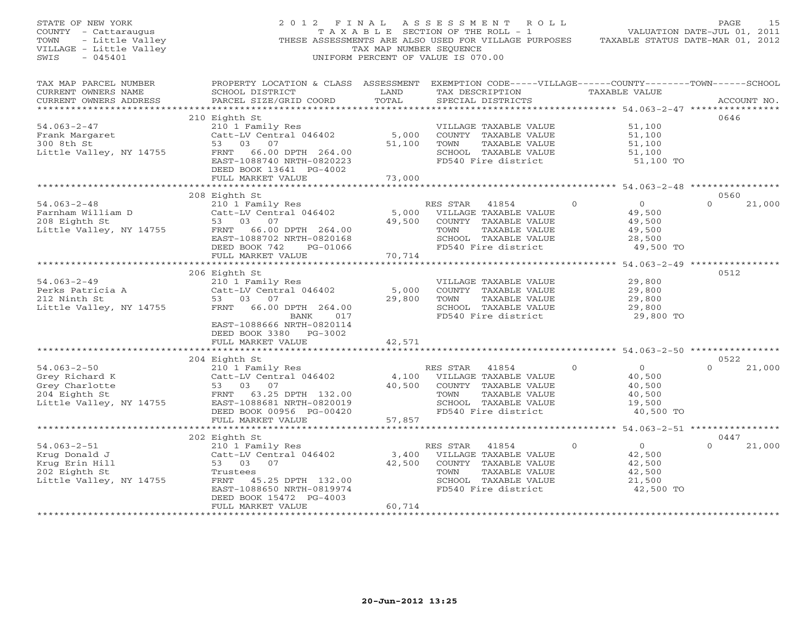| STATE OF NEW YORK<br>COUNTY - Cattaraugus<br>TOWN<br>- Little Valley<br>VILLAGE - Little Valley<br>SWIS<br>$-045401$ |                                                                                                                                                                                            | TAX MAP NUMBER SEQUENCE             | 2012 FINAL ASSESSMENT ROLL<br>TAXABLE SECTION OF THE ROLL - 1<br>THESE ASSESSMENTS ARE ALSO USED FOR VILLAGE PURPOSES<br>UNIFORM PERCENT OF VALUE IS 070.00 | TAXABLE STATUS DATE-MAR 01, 2012                                                | PAGE<br>15<br>VALUATION DATE-JUL 01, 2011 |
|----------------------------------------------------------------------------------------------------------------------|--------------------------------------------------------------------------------------------------------------------------------------------------------------------------------------------|-------------------------------------|-------------------------------------------------------------------------------------------------------------------------------------------------------------|---------------------------------------------------------------------------------|-------------------------------------------|
| TAX MAP PARCEL NUMBER<br>CURRENT OWNERS NAME<br>CURRENT OWNERS ADDRESS                                               | PROPERTY LOCATION & CLASS ASSESSMENT EXEMPTION CODE-----VILLAGE------COUNTY-------TOWN------SCHOOL<br>SCHOOL DISTRICT<br>PARCEL SIZE/GRID COORD                                            | LAND<br>TOTAL                       | TAX DESCRIPTION TAXABLE VALUE<br>SPECIAL DISTRICTS                                                                                                          |                                                                                 | ACCOUNT NO.                               |
|                                                                                                                      | 210 Eighth St                                                                                                                                                                              |                                     |                                                                                                                                                             |                                                                                 | 0646                                      |
| $54.063 - 2 - 47$<br>Frank Margaret<br>300 8th St<br>Little Valley, NY 14755                                         | 210 1 Family Res<br>Catt-LV Central 046402<br>53 03 07<br>FRNT 66.00 DPTH 264.00<br>EAST-1088740 NRTH-0820223<br>DEED BOOK 13641 PG-4002                                                   | 5,000<br>51,100                     | VILLAGE TAXABLE VALUE<br>COUNTY TAXABLE VALUE<br>TOWN<br>TAXABLE VALUE<br>SCHOOL TAXABLE VALUE<br>FD540 Fire district                                       | 51,100<br>51,100<br>51,100<br>51,100<br>51,100 TO                               |                                           |
|                                                                                                                      | FULL MARKET VALUE                                                                                                                                                                          | 73,000                              |                                                                                                                                                             |                                                                                 |                                           |
|                                                                                                                      |                                                                                                                                                                                            |                                     |                                                                                                                                                             |                                                                                 |                                           |
| $54.063 - 2 - 48$<br>Farnham William D<br>208 Eighth St<br>Little Valley, NY 14755                                   | 208 Eighth St<br>Eighth St<br>210 1 Family Res<br>Catt-LV Central 046402<br>53 03 07<br>FRNT 66.00 DPTH 264.00<br>EAST-1088702 NRTH-0820168<br>DEED BOOK 742<br>PG-01066                   | 5,000<br>49,500                     | RES STAR<br>41854<br>VILLAGE TAXABLE VALUE<br>COUNTY TAXABLE VALUE<br>TOWN<br>TAXABLE VALUE<br>SCHOOL TAXABLE VALUE<br>FD540 Fire district                  | $\overline{0}$<br>$\circ$<br>49,500<br>49,500<br>49,500<br>28,500<br>49,500 TO  | 0560<br>$\Omega$<br>21,000                |
|                                                                                                                      | FULL MARKET VALUE                                                                                                                                                                          | 70,714                              |                                                                                                                                                             |                                                                                 |                                           |
| $54.063 - 2 - 49$<br>Perks Patricia A<br>212 Ninth St<br>Little Valley, NY 14755                                     | 206 Eighth St<br>210 1 Family Res<br>Catt-LV Central 046402<br>53 03 07<br>FRNT 66.00 DPTH 264.00<br>BANK 017<br>EAST-1088666 NRTH-0820114                                                 | 5,000<br>29,800                     | VILLAGE TAXABLE VALUE<br>COUNTY TAXABLE VALUE<br>TOWN<br>TAXABLE VALUE<br>SCHOOL TAXABLE VALUE<br>FD540 Fire district                                       | 29,800<br>29,800<br>29,800<br>29,800<br>29,800 TO                               | 0512                                      |
|                                                                                                                      | DEED BOOK 3380 PG-3002<br>FULL MARKET VALUE                                                                                                                                                | 42,571                              |                                                                                                                                                             |                                                                                 |                                           |
|                                                                                                                      | ************************                                                                                                                                                                   |                                     |                                                                                                                                                             |                                                                                 |                                           |
|                                                                                                                      | 204 Eighth St                                                                                                                                                                              |                                     |                                                                                                                                                             |                                                                                 | 0522                                      |
| $54.063 - 2 - 50$<br>Grey Richard K<br>Grey Charlotte<br>204 Eighth St<br>Little Valley, NY 14755                    | 210 1 Family Res<br>Catt-LV Central 046402<br>53 03 07<br>FRNT 63.25 DPTH 132.00<br>EAST-1088681 NRTH-0820019<br>DEED BOOK 00956 PG-00420                                                  | 4,100<br>40,500                     | RES STAR 41854<br>VILLAGE TAXABLE VALUE<br>COUNTY TAXABLE VALUE<br>TAXABLE VALUE<br>TOWN<br>SCHOOL TAXABLE VALUE<br>FD540 Fire district                     | $\Omega$<br>$\Omega$<br>40,500<br>40,500<br>40,500<br>19,500<br>40,500 TO       | $\Omega$<br>21,000                        |
|                                                                                                                      | FULL MARKET VALUE                                                                                                                                                                          | 57,857                              |                                                                                                                                                             |                                                                                 |                                           |
|                                                                                                                      |                                                                                                                                                                                            |                                     |                                                                                                                                                             |                                                                                 | 0447                                      |
| $54.063 - 2 - 51$<br>Krug Donald J<br>Krug Erin Hill<br>202 Eighth St<br>Little Valley, NY 14755                     | 202 Eighth St<br>210 1 Family Res<br>Catt-LV Central 046402<br>53 03 07<br>Trustees<br>FRNT 45.25 DPTH 132.00<br>EAST-1088650 NRTH-0819974<br>DEED BOOK 15472 PG-4003<br>FULL MARKET VALUE | 3,400<br>42,500<br>60,714           | RES STAR<br>41854<br>VILLAGE TAXABLE VALUE<br>COUNTY TAXABLE VALUE<br>TOWN<br>TAXABLE VALUE<br>SCHOOL TAXABLE VALUE<br>FD540 Fire district                  | $\overline{0}$<br>$\Omega$<br>42,500<br>42,500<br>42,500<br>21,500<br>42,500 TO | $\Omega$<br>21,000                        |
|                                                                                                                      | ********************                                                                                                                                                                       | * * * * * * * * * * * * * * * * * * |                                                                                                                                                             |                                                                                 |                                           |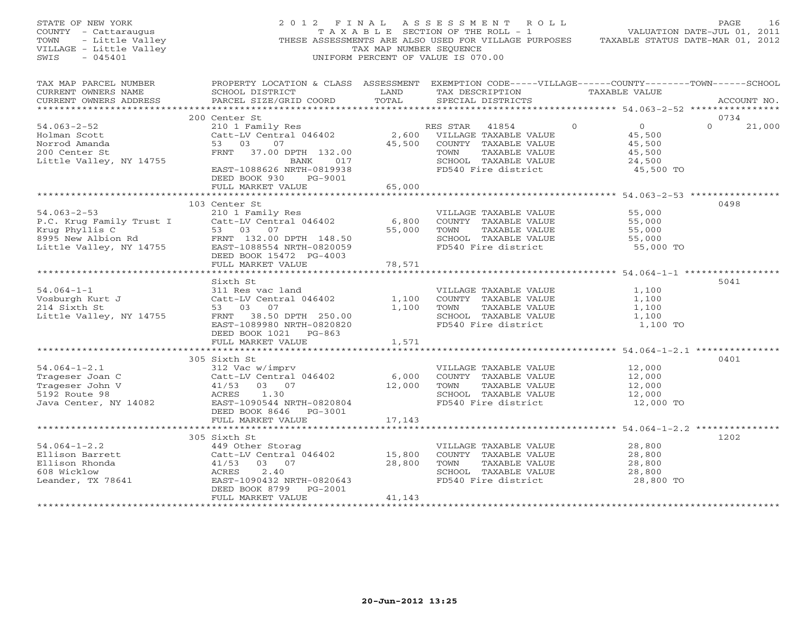| STATE OF NEW YORK<br>COUNTY - Cattaraugus<br>TOWN - Little Valley<br>VILLAGE - Little Valley<br>$-045401$<br>SWIS                                                                                                                      |                                                                                                                                                                                                                                                                    | TAX MAP NUMBER SEQUENCE | 2012 FINAL ASSESSMENT ROLL<br>THESE ASSESSMENTS ARE ALSO USED FOR VILLAGE PURPOSES TAXABLE STATUS DATE-MAR 01, 2012<br>UNIFORM PERCENT OF VALUE IS 070.00 |                                                                                 | PAGE<br>16    |
|----------------------------------------------------------------------------------------------------------------------------------------------------------------------------------------------------------------------------------------|--------------------------------------------------------------------------------------------------------------------------------------------------------------------------------------------------------------------------------------------------------------------|-------------------------|-----------------------------------------------------------------------------------------------------------------------------------------------------------|---------------------------------------------------------------------------------|---------------|
| TAX MAP PARCEL NUMBER PROPERTY LOCATION & CLASS ASSESSMENT EXEMPTION CODE-----VILLAGE------COUNTY--------TOWN------SCHOOL<br>CURRENT OWNERS NAME<br>CURRENT OWNERS ADDRESS                                                             | SCHOOL DISTRICT                    LAND        TAX DESCRIPTION                 TAXABLE VALUE<br>PARCEL SIZE/GRID COORD TOTAL                                                                                                                                       |                         | SPECIAL DISTRICTS                                                                                                                                         |                                                                                 | ACCOUNT NO.   |
|                                                                                                                                                                                                                                        |                                                                                                                                                                                                                                                                    |                         |                                                                                                                                                           |                                                                                 | 0734          |
| $54.063 - 2 - 52$<br>Holman Scott<br>Norrod Amanda<br>200 Center St<br>200 Center St<br>Little Valley, NY 14755                                                                                                                        | 200 Center St<br>210 1 Family Res<br>Catt-LV Central 046402<br>53 03 07<br>Catt-LV Central 046402 2,600 VILLAGE TAXABLE VALUE<br>53 03 07 45,500 COUNTY TAXABLE VALUE<br>FRNT 37.00 DPTH 132.00 100000 TOWN TAXABLE VALUE<br>BANK 017<br>EAST-1088626 NRTH-0819938 |                         | RES STAR 41854<br>TAXABLE VALUE<br>SCHOOL TAXABLE VALUE<br>FD540 Fire district                                                                            | $\Omega$<br>$\overline{0}$<br>45,500<br>45,500<br>45,500<br>24,500<br>45,500 TO | $0 \t 21,000$ |
|                                                                                                                                                                                                                                        | DEED BOOK 930 PG-9001                                                                                                                                                                                                                                              |                         |                                                                                                                                                           |                                                                                 |               |
|                                                                                                                                                                                                                                        | FULL MARKET VALUE                                                                                                                                                                                                                                                  | 65,000                  |                                                                                                                                                           |                                                                                 |               |
|                                                                                                                                                                                                                                        | 103 Center St                                                                                                                                                                                                                                                      |                         |                                                                                                                                                           |                                                                                 | 0498          |
| 910 1 Family Res<br>P.C. Krug Family Trust I Catt-LV Central 046402 6,800 COUNTY TAXABLE VALUE<br>Krug Phyllis C 53 03 07 55,000 TOWN TAXABLE VALUE<br>8995 New Albion Rd FRNT 132.00 DPTH 148.50 SCHOOL TAXABLE VALUE<br>Little Valle | DEED BOOK 15472 PG-4003<br>FULL MARKET VALUE                                                                                                                                                                                                                       | 78,571                  |                                                                                                                                                           | 55,000<br>55,000<br>55,000<br>55,000<br>55,000 TO                               |               |
|                                                                                                                                                                                                                                        |                                                                                                                                                                                                                                                                    | * * * * * * * * * *     |                                                                                                                                                           | ************** 54.064-1-1 ************                                          |               |
| $54.064 - 1 - 1$<br>Vosburgh Kurt J                                                                                                                                                                                                    | Sixth St<br>311 Res vac land<br>Catt-LV Central 046402<br>53 03 07<br>FRNT 38.50 DPTH 250.00<br>EAST-1089980 NRTH-0820820<br>DEED BOOK 1021 PG-863                                                                                                                 | 1,100                   | VILLAGE TAXABLE VALUE<br>COUNTY TAXABLE VALUE<br>1,100 TOWN TAXABLE VALUE<br>SCHOOL TAXABLE VALUE $1,100$<br>FD540 Fire district $1,100$ TO               | 1,100<br>1,100<br>1,100                                                         | 5041          |
|                                                                                                                                                                                                                                        | FULL MARKET VALUE                                                                                                                                                                                                                                                  | 1,571                   |                                                                                                                                                           |                                                                                 |               |
| $54.064 - 1 - 2.1$<br>Frageser Joan C<br>Trageser John V<br>Trageser John V<br>11/53 03 07<br>5192 Route 98<br>Java Center, NY 14082<br>EAST-10905444 NRT                                                                              | 305 Sixth St<br>312 Vac w/imprv<br>Catt-LV Central 046402 6,000 VILLAGE<br>41/53 03 07 12,000 TOWN<br>ACRES 1.30 SCHOOL<br>EAST-1090544 NRTH-0820804                                                                                                               |                         | VILLAGE TAXABLE VALUE<br>COUNTY TAXABLE VALUE<br>TOWN TAXABLE VALUE<br>SCHOOL TAXABLE VALUE 12,000<br>FD540 Fire district 12,000 TO                       | 12,000<br>12,000<br>$12,000$<br>$12,000$                                        | 0401          |
|                                                                                                                                                                                                                                        | DEED BOOK 8646    PG-3001                                                                                                                                                                                                                                          |                         |                                                                                                                                                           |                                                                                 |               |
|                                                                                                                                                                                                                                        | FULL MARKET VALUE                                                                                                                                                                                                                                                  | 17,143                  |                                                                                                                                                           |                                                                                 | 1202          |
| $54.064 - 1 - 2.2$<br>Ellison Barrett<br>Ellison<br>Ellison Rhonda<br>608 Wicklow<br>Leander, TX 78641                                                                                                                                 | 449 Other Storag<br>Catt-LV Central 046402 15,800<br>41/53 03 07 28,800<br>ACRES 2.40 28,800<br>Example 15<br>149 Other Stora<br>Catt-LV Central<br>11/53 03 07<br>ACRES 2.40<br>EAST-12<br>EAST-1090432 NRTH-0820643<br>DEED BOOK 8799 PG-2001                    | 28,800                  | VILLAGE TAXABLE VALUE<br>COUNTY TAXABLE VALUE<br>TOWN<br>TAXABLE VALUE<br>SCHOOL TAXABLE VALUE<br>FD540 Fire district                                     | 28,800<br>28,800<br>28,800<br>28,800<br>28,800 TO                               |               |
|                                                                                                                                                                                                                                        | FULL MARKET VALUE                                                                                                                                                                                                                                                  | 41,143                  |                                                                                                                                                           |                                                                                 |               |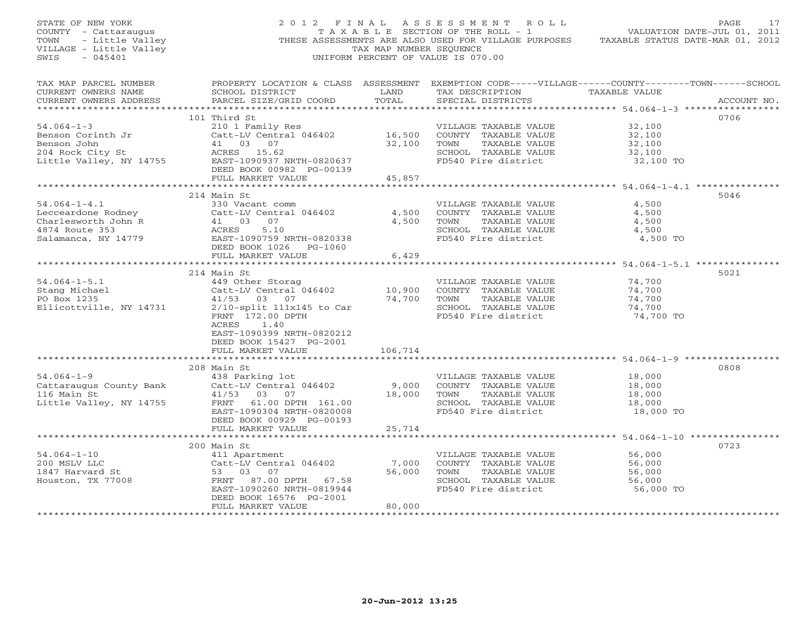| STATE OF NEW YORK<br>COUNTY - Cattaraugus<br>Y – Cattaraugus<br>- Little Valley<br>3E – Little Valley<br>TOWN<br>VILLAGE - Little Valley<br>SWIS<br>$-045401$ |                                                                                                                                                                                                        | TAX MAP NUMBER SEQUENCE                         | 2012 FINAL ASSESSMENT ROLL<br>TAXABLE SECTION OF THE ROLL - 1<br>THESE ASSESSMENTS ARE ALSO USED FOR VILLAGE PURPOSES<br>UNIFORM PERCENT OF VALUE IS 070.00 | PAGE<br>17<br>VALUATION DATE-JUL 01, 2011<br>TAXABLE STATUS DATE-MAR 01, 2012 |
|---------------------------------------------------------------------------------------------------------------------------------------------------------------|--------------------------------------------------------------------------------------------------------------------------------------------------------------------------------------------------------|-------------------------------------------------|-------------------------------------------------------------------------------------------------------------------------------------------------------------|-------------------------------------------------------------------------------|
| TAX MAP PARCEL NUMBER<br>CURRENT OWNERS NAME<br>CURRENT OWNERS ADDRESS                                                                                        | PROPERTY LOCATION & CLASS ASSESSMENT<br>SCHOOL DISTRICT<br>PARCEL SIZE/GRID COORD                                                                                                                      | LAND<br>TOTAL                                   | TAX DESCRIPTION TAXABLE VALUE<br>SPECIAL DISTRICTS                                                                                                          | EXEMPTION CODE-----VILLAGE------COUNTY-------TOWN------SCHOOL<br>ACCOUNT NO.  |
|                                                                                                                                                               | 101 Third St                                                                                                                                                                                           |                                                 |                                                                                                                                                             | 0706                                                                          |
| $54.064 - 1 - 3$<br>Benson Corinth Jr<br>Benson John<br>Benson John<br>204 Rock City St<br>Little Valley, NY 14755                                            | 210 1 Family Res<br>Catt-LV Central 046402<br>41 03 07<br>ACRES 15.62<br>EAST-1090937 NRTH-0820637<br>DEED BOOK 00982 PG-00139                                                                         | 16,500<br>32,100                                | VILLAGE TAXABLE VALUE<br>COUNTY TAXABLE VALUE<br>TAXABLE VALUE<br>TOWN<br>SCHOOL TAXABLE VALUE<br>FD540 Fire district                                       | 32,100<br>32,100<br>32,100<br>32,100<br>32,100 TO                             |
|                                                                                                                                                               | FULL MARKET VALUE                                                                                                                                                                                      | 45,857                                          |                                                                                                                                                             |                                                                               |
| $54.064 - 1 - 4.1$<br>Lecceardone Rodney                                                                                                                      | 214 Main St<br>330 Vacant comm<br>Catt-LV Central 046402                                                                                                                                               | 4,500                                           | VILLAGE TAXABLE VALUE<br>COUNTY TAXABLE VALUE                                                                                                               | 5046<br>4,500<br>4,500                                                        |
| Charlesworth John R<br>4874 Route 353<br>Salamanca, NY 14779                                                                                                  | 41 03 07<br>ACRES<br>5.10<br>EAST-1090759 NRTH-0820338<br>DEED BOOK 1026    PG-1060                                                                                                                    | 4,500                                           | TAXABLE VALUE<br>TOWN<br>SCHOOL TAXABLE VALUE<br>FD540 Fire district                                                                                        | 4,500<br>4,500<br>4,500 TO                                                    |
|                                                                                                                                                               | FULL MARKET VALUE                                                                                                                                                                                      | 6,429                                           |                                                                                                                                                             |                                                                               |
|                                                                                                                                                               | 214 Main St                                                                                                                                                                                            |                                                 |                                                                                                                                                             | 5021                                                                          |
| $54.064 - 1 - 5.1$<br>Stang Michael<br>PO Box 1235<br>Ellicottville, NY 14731                                                                                 | 449 Other Storag<br>Catt-LV Central 046402 10,900<br>41/53 03 07 74,700<br>$2/10$ -split $111x145$ to Car<br>FRNT 172.00 DPTH<br>ACRES<br>1.40<br>EAST-1090399 NRTH-0820212<br>DEED BOOK 15427 PG-2001 |                                                 | VILLAGE TAXABLE VALUE<br>COUNTY TAXABLE VALUE<br>TOWN<br>TAXABLE VALUE<br>SCHOOL TAXABLE VALUE<br>FD540 Fire district                                       | 74,700<br>74,700<br>74,700<br>74,700<br>74,700 TO                             |
|                                                                                                                                                               | FULL MARKET VALUE                                                                                                                                                                                      | 106,714                                         |                                                                                                                                                             |                                                                               |
|                                                                                                                                                               |                                                                                                                                                                                                        |                                                 |                                                                                                                                                             |                                                                               |
| $54.064 - 1 - 9$<br>Cattaraugus County Bank<br>116 Main St<br>Little Valley, NY 14755                                                                         | 208 Main St<br>438 Parking lot<br>Catt-LV Central 046402<br>41/53 03 07<br>FRNT 61.00 DPTH 161.00<br>EAST-1090304 NRTH-0820008<br>DEED BOOK 00929 PG-00193                                             | 9,000<br>18,000                                 | VILLAGE TAXABLE VALUE<br>COUNTY TAXABLE VALUE<br>TOWN<br>TAXABLE VALUE<br>SCHOOL TAXABLE VALUE<br>FD540 Fire district                                       | 0808<br>18,000<br>18,000<br>18,000<br>18,000<br>18,000 TO                     |
|                                                                                                                                                               | FULL MARKET VALUE                                                                                                                                                                                      | 25,714                                          |                                                                                                                                                             |                                                                               |
|                                                                                                                                                               |                                                                                                                                                                                                        | * * * * * * * * * * * * *                       |                                                                                                                                                             | ************************************* 54.064-1-10 ****************            |
| $54.064 - 1 - 10$<br>200 MSLV LLC<br>1847 Harvard St<br>Houston, TX 77008                                                                                     | 200 Main St<br>411 Apartment<br>Catt-LV Central 046402<br>53 03 07<br>FRNT 87.00 DPTH 67.58<br>EAST-1090260 NRTH-0819944                                                                               | 7,000<br>56,000                                 | VILLAGE TAXABLE VALUE<br>COUNTY TAXABLE VALUE<br>TOWN<br>TAXABLE VALUE<br>SCHOOL TAXABLE VALUE<br>FD540 Fire district                                       | 0723<br>56,000<br>56,000<br>56,000<br>56,000<br>56,000 TO                     |
|                                                                                                                                                               | DEED BOOK 16576 PG-2001<br>FULL MARKET VALUE                                                                                                                                                           | 80,000<br>* * * * * * * * * * * * * * * * * * * |                                                                                                                                                             |                                                                               |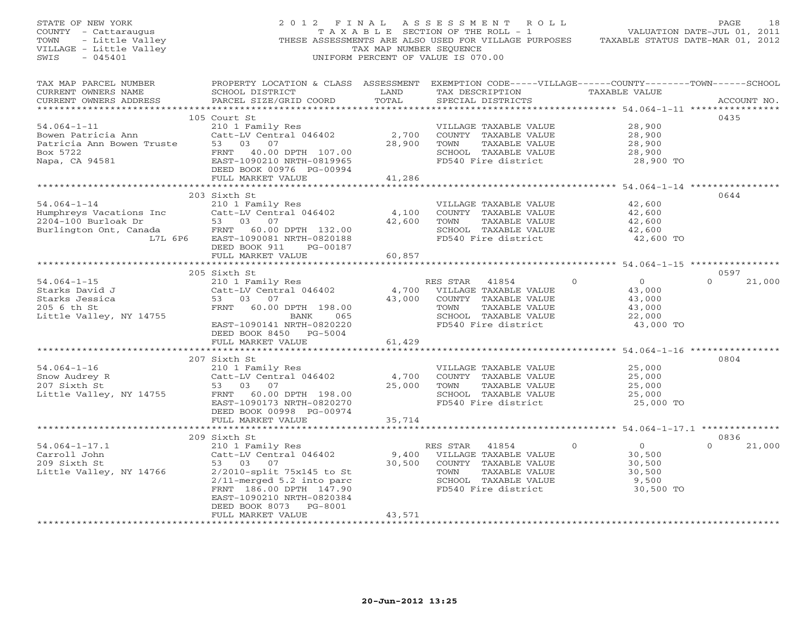| STATE OF NEW YORK<br>OF NEW YORK<br>Y - Cattaraugus<br>- Little Valley<br>GE - Little Valley<br>CE - Little Valley<br>UNIF<br>COUNTY - Cattaraugus<br>TOWN<br>VILLAGE - Little Valley<br>SWIS                                        |                                                                                                                                                 | TAX MAP NUMBER SEQUENCE | 2012 FINAL ASSESSMENT ROLL<br>TAXABLE SECTION OF THE ROLL - 1<br>THESE ASSESSMENTS ARE ALSO USED FOR VILLAGE PURPOSES TAXABLE STATUS DATE-MAR 01, 2012<br>UNIFORM PERCENT OF VALUE IS 070.00 |                                           | PAGE<br>18<br>VALUATION DATE-JUL 01, 2011 |
|--------------------------------------------------------------------------------------------------------------------------------------------------------------------------------------------------------------------------------------|-------------------------------------------------------------------------------------------------------------------------------------------------|-------------------------|----------------------------------------------------------------------------------------------------------------------------------------------------------------------------------------------|-------------------------------------------|-------------------------------------------|
| TAX MAP PARCEL NUMBER<br>CURRENT OWNERS NAME<br>CURRENT OWNERS ADDRESS                                                                                                                                                               | PROPERTY LOCATION & CLASS ASSESSMENT EXEMPTION CODE-----VILLAGE------COUNTY-------TOWN------SCHOOL<br>SCHOOL DISTRICT<br>PARCEL SIZE/GRID COORD |                         | SPECIAL DISTRICTS                                                                                                                                                                            |                                           | ACCOUNT NO.                               |
| 1.54.064-1-11<br>Bowen Patricia Ann<br>Bowen Truste 53 03 07<br>Box 5722<br>Napa, CA 94581<br>Patricia Ann Bowen Truste 53 03 07<br>Box 5722<br>Napa, CA 94581<br>PEED BOOK 00976 PG-00994<br>FULL MARKET VALUE<br>FULL MARKET VALUE |                                                                                                                                                 |                         |                                                                                                                                                                                              |                                           | 0435                                      |
|                                                                                                                                                                                                                                      |                                                                                                                                                 |                         | VILLAGE TAXABLE VALUE                                                                                                                                                                        | 28,900                                    |                                           |
|                                                                                                                                                                                                                                      |                                                                                                                                                 |                         | 2,700 COUNTY TAXABLE VALUE                                                                                                                                                                   | 28,900                                    |                                           |
|                                                                                                                                                                                                                                      |                                                                                                                                                 | 28,900                  | TOWN                                                                                                                                                                                         | 28,900                                    |                                           |
|                                                                                                                                                                                                                                      |                                                                                                                                                 |                         | TOWN     TAXABLE VALUE<br>SCHOOL   TAXABLE VALUE<br>FD540 Fire district                                                                                                                      | 28,900                                    |                                           |
|                                                                                                                                                                                                                                      |                                                                                                                                                 |                         |                                                                                                                                                                                              | 28,900 TO                                 |                                           |
|                                                                                                                                                                                                                                      |                                                                                                                                                 |                         |                                                                                                                                                                                              |                                           |                                           |
|                                                                                                                                                                                                                                      |                                                                                                                                                 | 41,286                  |                                                                                                                                                                                              |                                           |                                           |
|                                                                                                                                                                                                                                      |                                                                                                                                                 | ***********             |                                                                                                                                                                                              | ************* 54.064-1-14 *************** |                                           |
|                                                                                                                                                                                                                                      |                                                                                                                                                 |                         |                                                                                                                                                                                              |                                           | 0644                                      |
| $54.064 - 1 - 14$                                                                                                                                                                                                                    | 210 1 Family Res                                                                                                                                |                         | VILLAGE TAXABLE VALUE                                                                                                                                                                        | 42,600                                    |                                           |
|                                                                                                                                                                                                                                      | Catt-LV Central 046402                                                                                                                          | 4,100                   | COUNTY TAXABLE VALUE                                                                                                                                                                         | 42,600                                    |                                           |
|                                                                                                                                                                                                                                      |                                                                                                                                                 |                         | 42,600 TOWN<br>TAXABLE VALUE                                                                                                                                                                 | 42,600                                    |                                           |
|                                                                                                                                                                                                                                      |                                                                                                                                                 |                         | SCHOOL TAXABLE VALUE                                                                                                                                                                         | 42,600                                    |                                           |
| L7L 6P6                                                                                                                                                                                                                              | EAST-1090081 NRTH-0820188                                                                                                                       |                         | FD540 Fire district                                                                                                                                                                          | 42,600 TO                                 |                                           |
|                                                                                                                                                                                                                                      | DEED BOOK 911 PG-00187                                                                                                                          |                         |                                                                                                                                                                                              |                                           |                                           |
|                                                                                                                                                                                                                                      | FULL MARKET VALUE                                                                                                                               | 60,857                  |                                                                                                                                                                                              |                                           |                                           |
|                                                                                                                                                                                                                                      |                                                                                                                                                 |                         |                                                                                                                                                                                              |                                           |                                           |
|                                                                                                                                                                                                                                      | 205 Sixth St                                                                                                                                    |                         |                                                                                                                                                                                              |                                           | 0597                                      |
| $54.064 - 1 - 15$                                                                                                                                                                                                                    | 210 1 Family Res<br>Catt-LV Central 046402                                                                                                      |                         | RES STAR 41854                                                                                                                                                                               | $\overline{0}$<br>$\Omega$                | $\Omega$<br>21,000                        |
| Starks David J                                                                                                                                                                                                                       |                                                                                                                                                 |                         | 4,700 VILLAGE TAXABLE VALUE                                                                                                                                                                  | 43,000                                    |                                           |
| Starks Jessica                                                                                                                                                                                                                       | 53 03 07                                                                                                                                        |                         | 43,000 COUNTY TAXABLE VALUE                                                                                                                                                                  | 43,000                                    |                                           |
| 205 6 th St                                                                                                                                                                                                                          | FRNT 60.00 DPTH 198.00                                                                                                                          |                         | TOWN<br>TAXABLE VALUE                                                                                                                                                                        | 43,000                                    |                                           |
| Little Valley, NY 14755                                                                                                                                                                                                              | BANK<br>065                                                                                                                                     |                         | SCHOOL TAXABLE VALUE                                                                                                                                                                         | 22,000                                    |                                           |
|                                                                                                                                                                                                                                      | EAST-1090141 NRTH-0820220                                                                                                                       |                         | FD540 Fire district                                                                                                                                                                          | 43,000 TO                                 |                                           |
|                                                                                                                                                                                                                                      | DEED BOOK 8450 PG-5004                                                                                                                          |                         |                                                                                                                                                                                              |                                           |                                           |
|                                                                                                                                                                                                                                      | FULL MARKET VALUE                                                                                                                               | 61,429                  |                                                                                                                                                                                              |                                           |                                           |
|                                                                                                                                                                                                                                      |                                                                                                                                                 |                         |                                                                                                                                                                                              |                                           | 0804                                      |
| $54.064 - 1 - 16$                                                                                                                                                                                                                    | 207 Sixth St                                                                                                                                    |                         |                                                                                                                                                                                              |                                           |                                           |
| Snow Audrey R                                                                                                                                                                                                                        |                                                                                                                                                 | 4,700                   | VILLAGE TAXABLE VALUE<br>COUNTY TAXABLE VALUE                                                                                                                                                | 25,000<br>25,000                          |                                           |
| 207 Sixth St                                                                                                                                                                                                                         | Catt-LV Central 046402<br>53 03 07                                                                                                              |                         | 25,000 TOWN<br>TAXABLE VALUE                                                                                                                                                                 |                                           |                                           |
| Little Valley, NY 14755                                                                                                                                                                                                              | Catt-LV Cence<br>53 03 07<br>FRNT 60.00 DPTH 198.00<br>FRNT 60.00 DPTH 198.00<br>FAST-1090173 NRTH-0820270                                      |                         | SCHOOL TAXABLE VALUE                                                                                                                                                                         | 25, ∪、、<br>25, 000<br>?5, 00              |                                           |
|                                                                                                                                                                                                                                      |                                                                                                                                                 |                         | FD540 Fire district                                                                                                                                                                          | 25,000 TO                                 |                                           |
|                                                                                                                                                                                                                                      |                                                                                                                                                 |                         |                                                                                                                                                                                              |                                           |                                           |
|                                                                                                                                                                                                                                      | FULL MARKET VALUE                                                                                                                               | 35,714                  |                                                                                                                                                                                              |                                           |                                           |
|                                                                                                                                                                                                                                      |                                                                                                                                                 |                         |                                                                                                                                                                                              |                                           |                                           |
|                                                                                                                                                                                                                                      | 209 Sixth St                                                                                                                                    |                         |                                                                                                                                                                                              |                                           | 0836                                      |
| $54.064 - 1 - 17.1$                                                                                                                                                                                                                  |                                                                                                                                                 |                         | RES STAR 41854                                                                                                                                                                               | $\overline{O}$<br>$\circ$                 | $\Omega$<br>21,000                        |
| Carroll John                                                                                                                                                                                                                         | 210 1 Family Res<br>Catt-LV Central 046402                                                                                                      |                         | 9,400 VILLAGE TAXABLE VALUE                                                                                                                                                                  | 30,500                                    |                                           |
| 209 Sixth St                                                                                                                                                                                                                         | 53 03 07                                                                                                                                        |                         | 30,500 COUNTY TAXABLE VALUE                                                                                                                                                                  | 30,500                                    |                                           |
| Little Valley, NY 14766                                                                                                                                                                                                              | 2/2010-split 75x145 to St                                                                                                                       |                         | TOWN<br>TAXABLE VALUE                                                                                                                                                                        | 30,500                                    |                                           |
|                                                                                                                                                                                                                                      | $2/11$ -merged $5.2$ into parc                                                                                                                  |                         | SCHOOL TAXABLE VALUE                                                                                                                                                                         | 9,500                                     |                                           |
|                                                                                                                                                                                                                                      | FRNT 186.00 DPTH 147.90                                                                                                                         |                         | FD540 Fire district                                                                                                                                                                          | 30,500 TO                                 |                                           |
|                                                                                                                                                                                                                                      | EAST-1090210 NRTH-0820384                                                                                                                       |                         |                                                                                                                                                                                              |                                           |                                           |
|                                                                                                                                                                                                                                      | DEED BOOK 8073 PG-8001                                                                                                                          |                         |                                                                                                                                                                                              |                                           |                                           |
|                                                                                                                                                                                                                                      | FULL MARKET VALUE                                                                                                                               | 43,571                  |                                                                                                                                                                                              |                                           |                                           |
| *************************                                                                                                                                                                                                            | ***********************                                                                                                                         | ******************      |                                                                                                                                                                                              |                                           |                                           |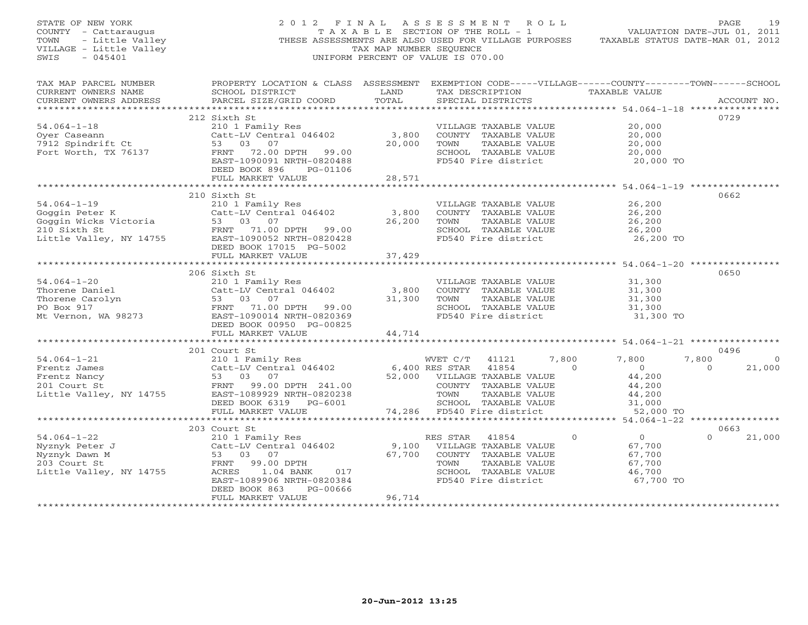| STATE OF NEW YORK<br>$-045401$<br>SWIS                                                          | 2012 FINAL                                                                                                                                                                                                                                                                                         |                           | ASSESSMENT ROLL<br>UNIFORM PERCENT OF VALUE IS 070.00                                                                                                                               |                                                                                | PAGE<br>19                             |
|-------------------------------------------------------------------------------------------------|----------------------------------------------------------------------------------------------------------------------------------------------------------------------------------------------------------------------------------------------------------------------------------------------------|---------------------------|-------------------------------------------------------------------------------------------------------------------------------------------------------------------------------------|--------------------------------------------------------------------------------|----------------------------------------|
| CURRENT OWNERS NAME<br>CURRENT OWNERS ADDRESS                                                   | TAX MAP PARCEL NUMBER THE PROPERTY LOCATION & CLASS ASSESSMENT EXEMPTION CODE-----VILLAGE------COUNTY-------TOWN------SCHOOL<br>SCHOOL DISTRICT<br><b>Example 12 Service State Service State State State State State State State State State State State State State</b><br>PARCEL SIZE/GRID COORD | TOTAL                     | TAX DESCRIPTION TAXABLE VALUE<br>SPECIAL DISTRICTS                                                                                                                                  |                                                                                | ACCOUNT NO.                            |
| $54.064 - 1 - 18$<br>Oyer Caseann<br>7912 Spindrift Ct<br>Fort Worth, TX 76137                  | 212 Sixth St<br>210 1 Family Res<br>Catt-LV Central 046402 3,800<br>53 03 07 20,000<br>53 03 07<br>FRNT 72.00 DPTH 99.00<br>EAST-1090091 NRTH-0820488<br>DEED BOOK 896<br>PG-01106<br>FULL MARKET VALUE                                                                                            | 20,000<br>28,571          | VILLAGE TAXABLE VALUE<br>COUNTY TAXABLE VALUE<br>TOWN TAXABLE VALUE<br>SCHOOL TAXABLE VALUE<br>FD540 Fire district                                                                  | 20,000<br>20,000<br>20,000<br>20,000<br>20,000 TO                              | 0729                                   |
|                                                                                                 |                                                                                                                                                                                                                                                                                                    | * * * * * * * * * * * * * |                                                                                                                                                                                     | ****************************** 54.064-1-19 **************                      |                                        |
|                                                                                                 | 210 Sixth St<br>54.064-1-19<br>Goggin Peter K (Catt-LV Central vivicle)<br>Goggin Wicks Victoria 53 03 07<br>FRNT 71.00 DPTH 99.00<br>TRNT 71.00 DPTH 99.00<br>TRNT 71.00 DPTH 99.00                                                                                                               | 3,800<br>26,200           | VILLAGE TAXABLE VALUE<br>COUNTY TAXABLE VALUE<br>TAXABLE VALUE<br>TOWN<br>SCHOOL TAXABLE VALUE<br>FD540 Fire district                                                               | 26,200<br>26,200<br>26,200<br>26,200<br>26,200 TO                              | 0662                                   |
|                                                                                                 | DEED BOOK 17015 PG-5002<br>FULL MARKET VALUE                                                                                                                                                                                                                                                       | 37,429                    |                                                                                                                                                                                     |                                                                                |                                        |
|                                                                                                 | 206 Sixth St<br>54.064-1-20<br>Thorene Daniel<br>Thorene Carolyn<br>Thorene Carolyn<br>PO Box 917<br>Mt Vernon, WA 98273<br>The Valland Carolyn<br>TRATE-1090014 NRTH-0820369<br>FRATE-1090014 NRTH-0820369<br>FRATE-1090014 NRTH-0820369<br>FRATE-1090014 NRTH-08<br>DEED BOOK 00950 PG-00825     | 3,800                     | VILLAGE TAXABLE VALUE<br>COUNTY TAXABLE VALUE<br>TAXABLE VALUE<br>TOWN<br>SCHOOL TAXABLE VALUE<br>FD540 Fire district                                                               | 31,300<br>31,300<br>31,300<br>31,300<br>31,300 TO                              | 0650                                   |
|                                                                                                 | FULL MARKET VALUE                                                                                                                                                                                                                                                                                  | 44,714                    |                                                                                                                                                                                     |                                                                                |                                        |
|                                                                                                 | 201 Court St                                                                                                                                                                                                                                                                                       |                           |                                                                                                                                                                                     |                                                                                | 0496                                   |
| $54.064 - 1 - 21$                                                                               | Court St<br>210 1 Family Res<br>Catt-LV Central 046402 6,400 RES STAR<br>53 03 07  22 52,000 VILLAGE<br>DEED BOOK 6319 PG-6001                                                                                                                                                                     |                           | WVET C/T<br>41121<br>$\overline{0}$<br>41854<br>52,000 VILLAGE TAXABLE VALUE<br>COUNTY TAXABLE VALUE<br>TOWN<br>TAXABLE VALUE<br>SCHOOL TAXABLE VALUE<br>74,286 FD540 Fire district | 7,800<br>7,800<br>$\overline{0}$<br>44,200<br>44,200<br>44,200<br>31,000       | 7,800<br>$\circ$<br>21,000<br>$\Omega$ |
|                                                                                                 | FULL MARKET VALUE                                                                                                                                                                                                                                                                                  |                           |                                                                                                                                                                                     | 52,000 TO                                                                      |                                        |
|                                                                                                 | 203 Court St                                                                                                                                                                                                                                                                                       |                           |                                                                                                                                                                                     |                                                                                | 0663                                   |
| $54.064 - 1 - 22$<br>Nyznyk Peter J<br>Nyznyk Dawn M<br>203 Court St<br>Little Valley, NY 14755 | 210 1 Family Res<br>Catt-LV Central 046402<br>53 03 07<br>FRNT<br>99.00 DPTH<br>017<br>ACRES 1.04 BANK<br>EAST-1089906 NRTH-0820384<br>DEED BOOK 863<br>PG-00666<br>FULL MARKET VALUE                                                                                                              | 67,700<br>96,714          | RES STAR<br>41854<br>9,100 VILLAGE TAXABLE VALUE<br>COUNTY TAXABLE VALUE<br>TOWN<br>TAXABLE VALUE<br>SCHOOL TAXABLE VALUE<br>FD540 Fire district                                    | $\overline{0}$<br>$\circ$<br>67,700<br>67,700<br>67,700<br>46,700<br>67,700 TO | $\overline{0}$<br>21,000               |
|                                                                                                 |                                                                                                                                                                                                                                                                                                    |                           |                                                                                                                                                                                     |                                                                                |                                        |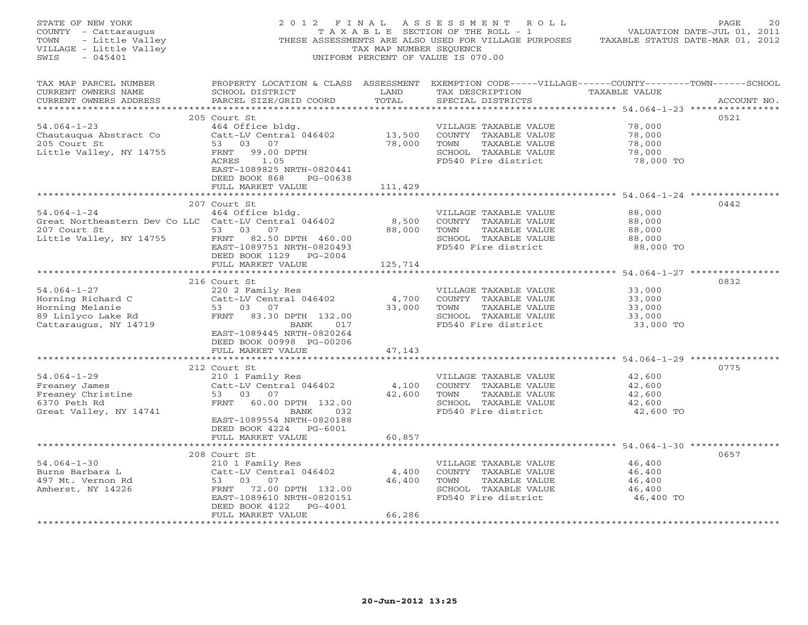| STATE OF NEW YORK<br>COUNTY - Cattaraugus<br>- Little Valley<br>- Little Valley<br>- Dittle Valley<br>- 045401<br>TOWN<br>VILLAGE - Little Valley<br>SWIS |                                                                                                                                                                                                   | TAX MAP NUMBER SEQUENCE   | 2012 FINAL ASSESSMENT ROLL<br>T A X A B L E SECTION OF THE ROLL - 1 VALUATION DATE-JUL 01, 2011<br>THESE ASSESSMENTS ARE ALSO USED FOR VILLAGE PURPOSES TAXABLE STATUS DATE-MAR 01, 2012<br>UNIFORM PERCENT OF VALUE IS 070.00 |                                                   | PAGE<br>20  |
|-----------------------------------------------------------------------------------------------------------------------------------------------------------|---------------------------------------------------------------------------------------------------------------------------------------------------------------------------------------------------|---------------------------|--------------------------------------------------------------------------------------------------------------------------------------------------------------------------------------------------------------------------------|---------------------------------------------------|-------------|
| TAX MAP PARCEL NUMBER<br>CURRENT OWNERS NAME<br>CURRENT OWNERS ADDRESS                                                                                    | SCHOOL DISTRICT<br>PARCEL SIZE/GRID COORD                                                                                                                                                         | <b>LAND</b><br>TOTAL      | PROPERTY LOCATION & CLASS ASSESSMENT EXEMPTION CODE-----VILLAGE------COUNTY-------TOWN------SCHOOL<br>TAX DESCRIPTION TAXABLE VALUE<br>SPECIAL DISTRICTS                                                                       |                                                   | ACCOUNT NO. |
| $54.064 - 1 - 23$<br>Chautauqua Abstract Co<br>205 Court St<br>Little Valley, NY 14755                                                                    | 205 Court St<br>464 Office bldg.<br>Catt-LV Central 046402 13,500<br>53 03 07 78,000<br>FRNT 99.00 DPTH<br>ACRES 1.05<br>EAST-1089825 NRTH-0820441<br>DEED BOOK 868 PG-00638<br>FULL MARKET VALUE | 111,429                   | VILLAGE TAXABLE VALUE<br>COUNTY TAXABLE VALUE<br>TOWN<br>TAXABLE VALUE<br>SCHOOL TAXABLE VALUE<br>FD540 Fire district                                                                                                          | 78,000<br>78,000<br>78,000<br>78,000<br>78,000 TO | 0521        |
| $54.064 - 1 - 24$<br>Great Northeastern Dev Co LLC Catt-LV Central 046402                                                                                 | 207 Court St<br>464 Office bldg.                                                                                                                                                                  | 8,500                     | VILLAGE TAXABLE VALUE<br>COUNTY TAXABLE VALUE                                                                                                                                                                                  | 88,000<br>88,000                                  | 0442        |
| 53 03 07<br>207 Court St<br>Little Valley, NY 14755                                                                                                       | FRNT 82.50 DPTH 460.00<br>EAST-1089751 NRTH-0820493<br>DEED BOOK 1129 PG-2004                                                                                                                     | 88,000                    | TOWN TAXABLE VALUE<br>SCHOOL TAXABLE VALUE<br>FD540 Fire district                                                                                                                                                              | 88,000<br>88,000<br>88,000 TO                     |             |
|                                                                                                                                                           | FULL MARKET VALUE                                                                                                                                                                                 | 125,714                   |                                                                                                                                                                                                                                |                                                   |             |
| $54.064 - 1 - 27$<br>54.004-1 2.<br>Horning Richard C<br>Time Melanie<br>89 Linlyco Lake Rd<br>Cattaraugus, NY 14719                                      | 216 Court St<br>220 2 Family Res<br>Catt-LV Central 046402<br>53 03 07<br>FRNT 83.30 DPTH 132.00<br>BANK 017<br>EAST-1089445 NRTH-0820264<br>DEED BOOK 00998 PG-00206                             | 4,700<br>33,000           | VILLAGE TAXABLE VALUE<br>COUNTY TAXABLE VALUE<br>TOWN<br>TAXABLE VALUE<br>SCHOOL TAXABLE VALUE<br>FD540 Fire district                                                                                                          | 33,000<br>33,000<br>33,000<br>33,000<br>33,000 TO | 0832        |
|                                                                                                                                                           | FULL MARKET VALUE                                                                                                                                                                                 | 47,143                    |                                                                                                                                                                                                                                |                                                   |             |
| $54.064 - 1 - 29$<br>Ji.vui-1-29<br>Freaney James<br>Freaney Christine<br>6370 Peth Rd<br>6370 Peth Rd<br>Great Valley, NY 14741                          | 212 Court St<br>210 1 Family Res<br>Catt-LV Central 046402<br>Catt-LV Centi<br>53 03 07<br>FRNT 60.00<br>FRNT 60.00 DPTH 132.00<br>BANK<br>032<br>EAST-1089554 NRTH-0820188                       | 4,100<br>42,600           | VILLAGE TAXABLE VALUE<br>COUNTY TAXABLE VALUE<br>TOWN TAXABLE VALUE<br>SCHOOL TAXABLE VALUE<br>FD540 Fire district                                                                                                             | 42,600<br>42,600<br>42,600<br>42,600<br>42,600 TO | 0775        |
|                                                                                                                                                           | DEED BOOK 4224 PG-6001<br>FULL MARKET VALUE                                                                                                                                                       | 60,857                    |                                                                                                                                                                                                                                |                                                   |             |
| $54.064 - 1 - 30$<br>Burns Barbara L<br>497 Mt. Vernon Rd<br>Amherst, NY 14226                                                                            | 208 Court St<br>210 1 Family Res<br>Catt-LV Central 046402<br>53 03 07<br>FRNT 72.00 DPTH 132.00<br>EAST-1089610 NRTH-0820151<br>DEED BOOK 4122 PG-4001<br>FULL MARKET VALUE                      | 4,400<br>46,400<br>66,286 | VILLAGE TAXABLE VALUE<br>COUNTY TAXABLE VALUE<br>TOWN<br>TAXABLE VALUE<br>SCHOOL TAXABLE VALUE<br>FD540 Fire district                                                                                                          | 46,400<br>46,400<br>46,400<br>46,400<br>46,400 TO | 0657        |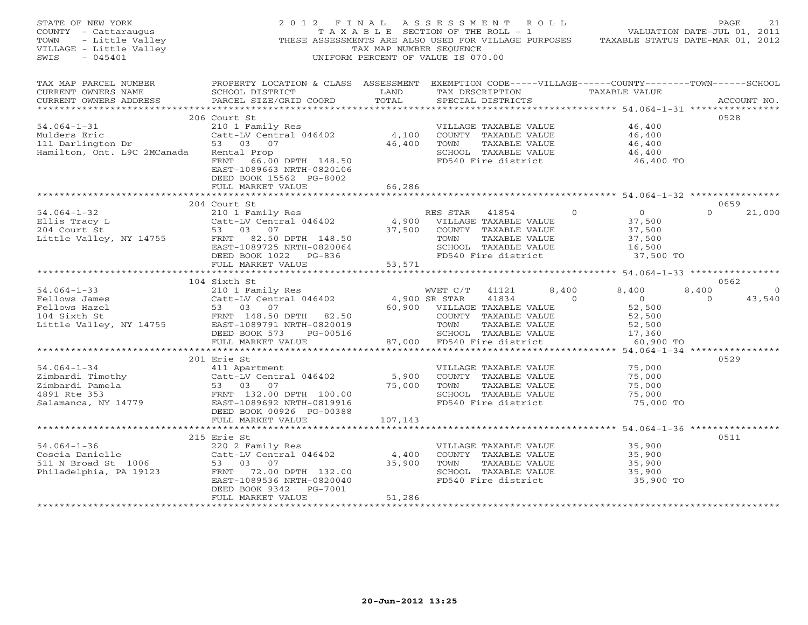| STATE OF NEW YORK<br>OF NEW YORK<br>7 - Cattaraugus<br>- Little Valley<br>3E - Little Valley<br>COUNTY - Cattaraugus<br>TOWN<br>VILLAGE - Little Valley<br>$-045401$<br>SWIS | 2012 FINAL ASSESSMENT ROLL                                                                                                                                                                                   | TAX MAP NUMBER SEQUENCE<br>UNIFORM PERCENT OF VALUE IS 070.00 |                                                                                |                                                                                                               |                                          | TAXABLE SECTION OF THE ROLL - 1 VALUATION DATE-JUL 01, 2011<br>THESE ASSESSMENTS ARE ALSO USED FOR VILLAGE PURPOSES TAXABLE STATUS DATE-MAR 01, 2012 |                   | PAGE        | 21                |
|------------------------------------------------------------------------------------------------------------------------------------------------------------------------------|--------------------------------------------------------------------------------------------------------------------------------------------------------------------------------------------------------------|---------------------------------------------------------------|--------------------------------------------------------------------------------|---------------------------------------------------------------------------------------------------------------|------------------------------------------|------------------------------------------------------------------------------------------------------------------------------------------------------|-------------------|-------------|-------------------|
| TAX MAP PARCEL NUMBER<br>CURRENT OWNERS NAME<br>CURRENT OWNERS ADDRESS                                                                                                       | PROPERTY LOCATION & CLASS ASSESSMENT EXEMPTION CODE-----VILLAGE------COUNTY-------TOWN------SCHOOL<br>SCHOOL DISTRICT<br><b>Example 18 TEAMPLE 18 TEAMPLE 18 TEAMPLE</b><br>PARCEL SIZE/GRID COORD           | TOTAL                                                         |                                                                                | SPECIAL DISTRICTS                                                                                             |                                          | TAX DESCRIPTION TAXABLE VALUE                                                                                                                        |                   | ACCOUNT NO. |                   |
| $54.064 - 1 - 31$<br>Mulders Eric<br>111 Darlington Dr<br>Hamilton, Ont. L9C 2MCanada                                                                                        | 206 Court St<br>210 1 Family Res<br>Catt-LV Central 046402<br>53 03 07<br>Rental Prop<br>FRNT 66.00 DPTH 148.50<br>EAST-1089663 NRTH-0820106                                                                 | 46,400                                                        | 4,100 COUNTY TAXABLE VALUE                                                     | VILLAGE TAXABLE VALUE<br>TOWN TAXABLE VALUE<br>SCHOOL TAXABLE VALUE                                           | FD540 Fire district                      | 46,400<br>46,400<br>46,400<br>46,400<br>46,400 TO                                                                                                    |                   | 0528        |                   |
|                                                                                                                                                                              | DEED BOOK 15562 PG-8002<br>FULL MARKET VALUE                                                                                                                                                                 | 66,286                                                        |                                                                                |                                                                                                               |                                          |                                                                                                                                                      |                   |             |                   |
|                                                                                                                                                                              | 204 Court St                                                                                                                                                                                                 |                                                               |                                                                                |                                                                                                               |                                          |                                                                                                                                                      |                   | 0659        |                   |
| $54.064 - 1 - 32$<br>Ellis Tracy L<br>204 Court St<br>Little Valley, NY 14755                                                                                                | 210 1 Family Res<br>Catt-LV Central 046402 (4,900 VILLAGE TAXABLE VALUE<br>53 03 07 (37,500 COUNTY TAXABLE VALUE<br>53 03 07<br>FRNT 82.50 DPTH 148.50<br>EAST-1089725 NRTH-0820064<br>DEED BOOK 1022 PG-836 | 53,571                                                        | TOWN<br>FD540 Fire district                                                    | COUNTY TAXABLE VALUE<br>SCHOOL TAXABLE VALUE                                                                  | TAXABLE VALUE                            | $\overline{0}$<br>37,500<br>37,500<br>37,500<br>16,500<br>37,500 TO                                                                                  | $\Omega$          |             | 21,000            |
|                                                                                                                                                                              | FULL MARKET VALUE                                                                                                                                                                                            |                                                               |                                                                                |                                                                                                               |                                          |                                                                                                                                                      |                   |             |                   |
|                                                                                                                                                                              | 104 Sixth St                                                                                                                                                                                                 |                                                               |                                                                                |                                                                                                               |                                          |                                                                                                                                                      |                   | 0562        |                   |
| $54.064 - 1 - 33$<br>Fellows James<br>Fellows Hazel<br>104 Sixth St<br>Little Valley, NY 14755 EAST-1089791 NRTH-0820019                                                     | 210 1 Family Res<br>Catt-LV Central $046402$<br>53 03 07<br>Catt-Ly JJ<br>53 03 07<br>FRNT 148.50 DPTH 82.50<br>FRNT 1089791 NRTH-0820019<br>DEED BOOK 573<br>PG-00516<br>FULL MARKET VALUE                  | 4,900 SR STAR                                                 | WVET C/T<br>60,900 VILLAGE TAXABLE VALUE<br>TOWN<br>87,000 FD540 Fire district | 41121<br>41834<br>COUNTY TAXABLE VALUE<br>SCHOOL TAXABLE VALUE                                                | 8,400<br>$\overline{a}$<br>TAXABLE VALUE | 8,400<br>$\overline{0}$<br>52,500<br>52,500<br>52,500<br>17,360<br>60,900 TO                                                                         | 8,400<br>$\Omega$ |             | $\circ$<br>43,540 |
|                                                                                                                                                                              | *****************************                                                                                                                                                                                |                                                               |                                                                                |                                                                                                               |                                          |                                                                                                                                                      |                   |             |                   |
| $54.064 - 1 - 34$<br>b4.004-1-5.<br>Zimbardi Timothy<br>Zimbardi Pamela<br>Salamanca, NY 14779                                                                               | 201 Erie St<br>411 Apartment<br>Catt-LV Central 046402<br>Catt-Ly Central 030326<br>53 03 07<br>FRNT 132.00 DPTH 100.00<br>EAST-1089692 NRTH-0819916<br>DEED BOOK 00926 PG-00388                             | 5,900<br>75,000                                               | TOWN                                                                           | VILLAGE TAXABLE VALUE<br>COUNTY TAXABLE VALUE<br>TAXABLE VALUE<br>SCHOOL TAXABLE VALUE                        | FD540 Fire district                      | 75,000<br>75,000<br>75,000<br>75,000<br>75,000 TO                                                                                                    |                   | 0529        |                   |
|                                                                                                                                                                              | FULL MARKET VALUE                                                                                                                                                                                            | 107,143                                                       |                                                                                |                                                                                                               |                                          |                                                                                                                                                      |                   |             |                   |
|                                                                                                                                                                              |                                                                                                                                                                                                              |                                                               |                                                                                |                                                                                                               |                                          |                                                                                                                                                      |                   |             |                   |
| $54.064 - 1 - 36$<br>Coscia Danielle<br>511 N Broad St 1006 53 03 07<br>Philadelphia, PA 19123                                                                               | 215 Erie St<br>220 2 Family Res<br>Catt-LV Central 046402<br>FRNT 72.00 DPTH 132.00<br>EAST-1089536 NRTH-0820040<br>DEED BOOK 9342 PG-7001<br>FULL MARKET VALUE                                              | 4,400<br>35,900<br>51,286                                     | TOWN                                                                           | VILLAGE TAXABLE VALUE<br>COUNTY TAXABLE VALUE<br>TAXABLE VALUE<br>SCHOOL TAXABLE VALUE<br>FD540 Fire district |                                          | 35,900<br>35,900<br>35,900<br>35,900<br>35,900 TO                                                                                                    |                   | 0511        |                   |
|                                                                                                                                                                              |                                                                                                                                                                                                              |                                                               |                                                                                |                                                                                                               |                                          |                                                                                                                                                      |                   |             |                   |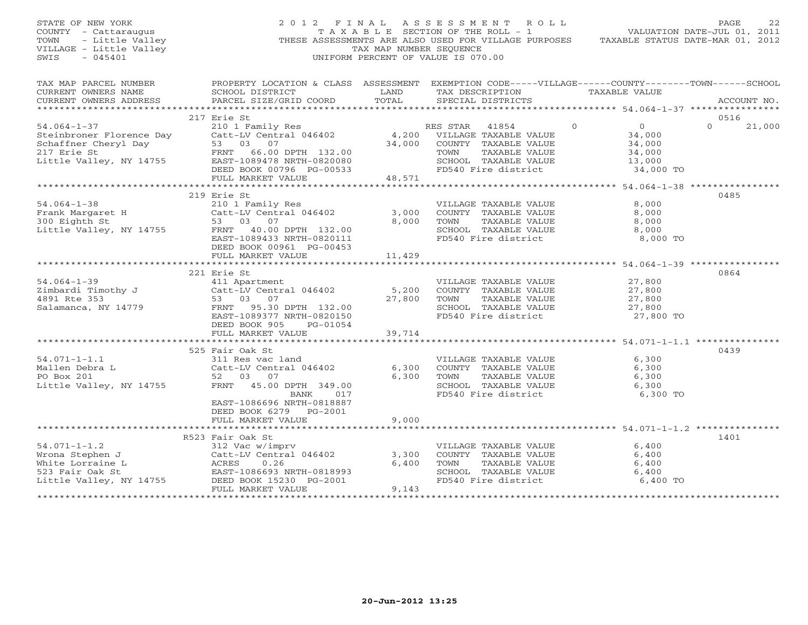STATE OF NEW YORK 2 0 1 2 F I N A L A S S E S S M E N T R O L L PAGE 22 COUNTY - Cattaraugus T A X A B L E SECTION OF THE ROLL - 1 VALUATION DATE-JUL 01, 2011 TOWN - Little Valley THESE ASSESSMENTS ARE ALSO USED FOR VILLAGE PURPOSES TAXABLE STATUS DATE-MAR 01, 2012 VILLAGE - Little Valley TAX MAP NUMBER SEQUENCE SWIS - 045401 UNIFORM PERCENT OF VALUE IS 070.00 TAX MAP PARCEL NUMBER PROPERTY LOCATION & CLASS ASSESSMENT EXEMPTION CODE-----VILLAGE------COUNTY--------TOWN------SCHOOL<br>CURRENT OWNERS NAME SCHOOL DISTRICT LAND TAX DE \*\*\*\*\*\*\*\*\*\*\*\*\*\*\*\*\*\*\*\*\*\*\*\*\*\*\*\*\*\*\*\*\*\*\*\*\*\*\*\*\*\*\*\*\*\*\*\*\*\*\*\*\*\*\*\*\*\*\*\*\*\*\*\*\*\*\*\*\*\*\*\*\*\*\*\*\*\*\*\*\*\*\*\*\*\*\*\*\*\*\*\*\*\*\*\*\*\*\*\*\*\*\* 54.064-1-37 \*\*\*\*\*\*\*\*\*\*\*\*\*\*\*\* 217 Erie St 0516 54.064-1-37 210 1 Family Res RES STAR 41854 0 0 0 21,000 Steinbroner Florence Day Catt-LV Central 046402 4,200 VILLAGE TAXABLE VALUE 34,000 Schaffner Cheryl Day 53 03 07 34,000 COUNTY TAXABLE VALUE 34,000 217 Erie St FRNT 66.00 DPTH 132.00 TOWN TAXABLE VALUE 34,000 Little Valley, NY 14755 EAST-1089478 NRTH-0820080 SCHOOL TAXABLE VALUE 13,000 DEED BOOK 00796 PG-00533 FD540 Fire district 34,000 TO FULL MARKET VALUE 48,571 \*\*\*\*\*\*\*\*\*\*\*\*\*\*\*\*\*\*\*\*\*\*\*\*\*\*\*\*\*\*\*\*\*\*\*\*\*\*\*\*\*\*\*\*\*\*\*\*\*\*\*\*\*\*\*\*\*\*\*\*\*\*\*\*\*\*\*\*\*\*\*\*\*\*\*\*\*\*\*\*\*\*\*\*\*\*\*\*\*\*\*\*\*\*\*\*\*\*\*\*\*\*\* 54.064-1-38 \*\*\*\*\*\*\*\*\*\*\*\*\*\*\*\* 219 Erie St 048554.064-1-38 210 1 Family Res VILLAGE TAXABLE VALUE 8,000 Frank Margaret H Catt-LV Central 046402 3,000 COUNTY TAXABLE VALUE 8,000 300 Eighth St 53 03 07 8,000 TOWN TAXABLE VALUE 8,000 Little Valley, NY 14755 FRNT 40.00 DPTH 132.00 SCHOOL TAXABLE VALUE 8,000 EAST-1089433 NRTH-0820111 FD540 Fire district 8,000 TO DEED BOOK 00961 PG-00453 FULL MARKET VALUE 11,429 \*\*\*\*\*\*\*\*\*\*\*\*\*\*\*\*\*\*\*\*\*\*\*\*\*\*\*\*\*\*\*\*\*\*\*\*\*\*\*\*\*\*\*\*\*\*\*\*\*\*\*\*\*\*\*\*\*\*\*\*\*\*\*\*\*\*\*\*\*\*\*\*\*\*\*\*\*\*\*\*\*\*\*\*\*\*\*\*\*\*\*\*\*\*\*\*\*\*\*\*\*\*\* 54.064-1-39 \*\*\*\*\*\*\*\*\*\*\*\*\*\*\*\* 221 Erie St 086454.064-1-39 411 Apartment VILLAGE TAXABLE VALUE 27,800 Zimbardi Timothy J Catt-LV Central 046402 5,200 COUNTY TAXABLE VALUE 27,800 4891 Rte 353 53 03 07 27,800 TOWN TAXABLE VALUE 27,800 Salamanca, NY 14779 FRNT 95.30 DPTH 132.00 SCHOOL TAXABLE VALUE 27,800 EAST-1089377 NRTH-0820150 FD540 Fire district 27,800 TO DEED BOOK 905 PG-01054 FULL MARKET VALUE 39,714 \*\*\*\*\*\*\*\*\*\*\*\*\*\*\*\*\*\*\*\*\*\*\*\*\*\*\*\*\*\*\*\*\*\*\*\*\*\*\*\*\*\*\*\*\*\*\*\*\*\*\*\*\*\*\*\*\*\*\*\*\*\*\*\*\*\*\*\*\*\*\*\*\*\*\*\*\*\*\*\*\*\*\*\*\*\*\*\*\*\*\*\*\*\*\*\*\*\*\*\*\*\*\* 54.071-1-1.1 \*\*\*\*\*\*\*\*\*\*\*\*\*\*\* 525 Fair Oak St 043954.071-1-1.1 311 Res vac land VILLAGE TAXABLE VALUE 6,300 Mallen Debra L Catt-LV Central 046402 6,300 COUNTY TAXABLE VALUE 6,300 PO Box 201 52 03 07 6,300 TOWN TAXABLE VALUE 6,300 Little Valley, NY 14755 FRNT 45.00 DPTH 349.00 SCHOOL TAXABLE VALUE 6,300 BANK 017 FD540 Fire district 6,300 TO EAST-1086696 NRTH-0818887 DEED BOOK 6279 PG-2001 FULL MARKET VALUE 9,000 \*\*\*\*\*\*\*\*\*\*\*\*\*\*\*\*\*\*\*\*\*\*\*\*\*\*\*\*\*\*\*\*\*\*\*\*\*\*\*\*\*\*\*\*\*\*\*\*\*\*\*\*\*\*\*\*\*\*\*\*\*\*\*\*\*\*\*\*\*\*\*\*\*\*\*\*\*\*\*\*\*\*\*\*\*\*\*\*\*\*\*\*\*\*\*\*\*\*\*\*\*\*\* 54.071-1-1.2 \*\*\*\*\*\*\*\*\*\*\*\*\*\*\* R523 Fair Oak St 140154.071-1-1.2 312 Vac w/imprv VILLAGE TAXABLE VALUE 6,400 Wrona Stephen J Catt-LV Central 046402 3,300 COUNTY TAXABLE VALUE 6,400 White Lorraine L ACRES 0.26 6,400 TOWN TAXABLE VALUE 6,400 523 Fair Oak St EAST-1086693 NRTH-0818993 SCHOOL TAXABLE VALUE 6,400 Little Valley, NY 14755 DEED BOOK 15230 PG-2001 FD540 Fire district 6,400 TO FULL MARKET VALUE 9,143

\*\*\*\*\*\*\*\*\*\*\*\*\*\*\*\*\*\*\*\*\*\*\*\*\*\*\*\*\*\*\*\*\*\*\*\*\*\*\*\*\*\*\*\*\*\*\*\*\*\*\*\*\*\*\*\*\*\*\*\*\*\*\*\*\*\*\*\*\*\*\*\*\*\*\*\*\*\*\*\*\*\*\*\*\*\*\*\*\*\*\*\*\*\*\*\*\*\*\*\*\*\*\*\*\*\*\*\*\*\*\*\*\*\*\*\*\*\*\*\*\*\*\*\*\*\*\*\*\*\*\*\*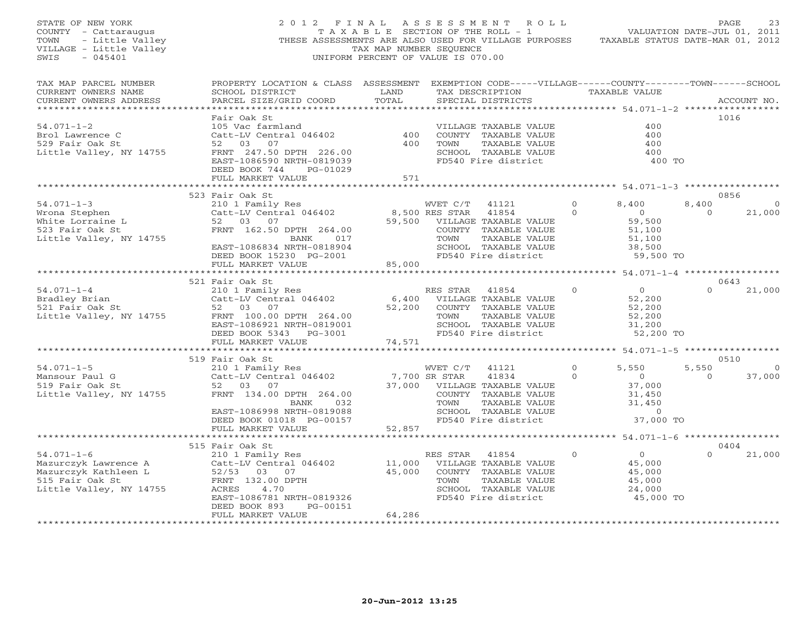| STATE OF NEW YORK<br>COUNTY - Cattaraugus<br>TOWN<br>- Little Valley<br>VILLAGE - Little Valley<br>SWIS<br>$-045401$ |                                                                                                                                                 | TAX MAP NUMBER SEOUENCE      | 2012 FINAL ASSESSMENT ROLL<br>TAXABLE SECTION OF THE ROLL - 1<br>THESE ASSESSMENTS ARE ALSO USED FOR VILLAGE PURPOSES<br>UNIFORM PERCENT OF VALUE IS 070.00 |          | VALUATION DATE-JUL 01, 2011<br>TAXABLE STATUS DATE-MAR 01, 2012 | PAGE            | 23           |
|----------------------------------------------------------------------------------------------------------------------|-------------------------------------------------------------------------------------------------------------------------------------------------|------------------------------|-------------------------------------------------------------------------------------------------------------------------------------------------------------|----------|-----------------------------------------------------------------|-----------------|--------------|
| TAX MAP PARCEL NUMBER<br>CURRENT OWNERS NAME<br>CURRENT OWNERS ADDRESS                                               | PROPERTY LOCATION & CLASS ASSESSMENT EXEMPTION CODE-----VILLAGE------COUNTY-------TOWN------SCHOOL<br>SCHOOL DISTRICT<br>PARCEL SIZE/GRID COORD | LAND<br>TOTAL                | TAX DESCRIPTION<br>SPECIAL DISTRICTS                                                                                                                        |          | TAXABLE VALUE                                                   |                 | ACCOUNT NO.  |
|                                                                                                                      | Fair Oak St                                                                                                                                     |                              |                                                                                                                                                             |          |                                                                 | 1016            |              |
| $54.071 - 1 - 2$                                                                                                     | 105 Vac farmland                                                                                                                                | 400                          | VILLAGE TAXABLE VALUE                                                                                                                                       |          | 400                                                             |                 |              |
| Brol Lawrence C                                                                                                      | Catt-LV Central 046402                                                                                                                          |                              | COUNTY TAXABLE VALUE                                                                                                                                        |          | 400                                                             |                 |              |
| 529 Fair Oak St                                                                                                      | 52 03 07                                                                                                                                        | 400                          | TAXABLE VALUE<br>TOWN                                                                                                                                       |          | 400                                                             |                 |              |
| Little Valley, NY 14755                                                                                              | FRNT 247.50 DPTH 226.00<br>EAST-1086590 NRTH-0819039<br>DEED BOOK 744<br>PG-01029                                                               |                              | SCHOOL TAXABLE VALUE<br>FD540 Fire district                                                                                                                 |          | 400<br>400 TO                                                   |                 |              |
|                                                                                                                      | FULL MARKET VALUE                                                                                                                               | 571<br>* * * * * * * * * * * |                                                                                                                                                             |          | ********************* 54.071-1-3 ****************               |                 |              |
|                                                                                                                      | 523 Fair Oak St                                                                                                                                 |                              |                                                                                                                                                             |          |                                                                 | 0856            |              |
| $54.071 - 1 - 3$                                                                                                     | 210 1 Family Res                                                                                                                                |                              | WVET C/T<br>41121                                                                                                                                           | $\Omega$ | 8,400                                                           | 8,400           | $\mathbf{0}$ |
| Wrona Stephen                                                                                                        | Catt-LV Central 046402                                                                                                                          | 8,500 RES STAR               | 41854                                                                                                                                                       | $\Omega$ | $\overline{0}$                                                  | $\Omega$        | 21,000       |
| White Lorraine L                                                                                                     | 52 03 07                                                                                                                                        |                              | 59,500 VILLAGE TAXABLE VALUE                                                                                                                                |          | 59,500                                                          |                 |              |
| 523 Fair Oak St                                                                                                      | FRNT 162.50 DPTH 264.00                                                                                                                         |                              | COUNTY TAXABLE VALUE                                                                                                                                        |          | 51,100                                                          |                 |              |
| Little Valley, NY 14755                                                                                              | 017<br>BANK                                                                                                                                     |                              | TOWN<br>TAXABLE VALUE                                                                                                                                       |          | 51,100                                                          |                 |              |
|                                                                                                                      | EAST-1086834 NRTH-0818904                                                                                                                       |                              | SCHOOL TAXABLE VALUE<br>FD540 Fire district                                                                                                                 |          | 38,500                                                          |                 |              |
|                                                                                                                      | DEED BOOK 15230 PG-2001<br>FULL MARKET VALUE                                                                                                    | 85,000                       |                                                                                                                                                             |          | 59,500 TO                                                       |                 |              |
|                                                                                                                      | ********************                                                                                                                            |                              |                                                                                                                                                             |          |                                                                 |                 |              |
|                                                                                                                      | 521 Fair Oak St                                                                                                                                 |                              |                                                                                                                                                             |          |                                                                 | 0643            |              |
| $54.071 - 1 - 4$                                                                                                     | 210 1 Family Res                                                                                                                                |                              | RES STAR 41854                                                                                                                                              | $\Omega$ | $\overline{0}$                                                  | $\cap$          | 21,000       |
| Bradley Brian<br>521 Fair Oak St                                                                                     | Catt-LV Central 046402                                                                                                                          |                              | 6,400 VILLAGE TAXABLE VALUE                                                                                                                                 |          | 52,200                                                          |                 |              |
|                                                                                                                      | 52 03 07                                                                                                                                        | 52,200                       | COUNTY TAXABLE VALUE                                                                                                                                        |          | 52,200                                                          |                 |              |
| Little Valley, NY 14755                                                                                              | FRNT 100.00 DPTH 264.00                                                                                                                         |                              | TAXABLE VALUE<br>TOWN                                                                                                                                       |          | 52,200                                                          |                 |              |
|                                                                                                                      | EAST-1086921 NRTH-0819001<br>DEED BOOK 5343 PG-3001                                                                                             |                              | SCHOOL TAXABLE VALUE<br>FD540 Fire district                                                                                                                 |          | 31,200<br>52,200 TO                                             |                 |              |
|                                                                                                                      | FULL MARKET VALUE                                                                                                                               | 74,571                       |                                                                                                                                                             |          |                                                                 |                 |              |
|                                                                                                                      | **********************                                                                                                                          |                              | *********************                                                                                                                                       |          | ***************** 54.071-1-5                                    | *************** |              |
|                                                                                                                      | 519 Fair Oak St                                                                                                                                 |                              |                                                                                                                                                             |          |                                                                 | 0510            |              |
| $54.071 - 1 - 5$                                                                                                     | 210 1 Family Res                                                                                                                                |                              | WVET C/T<br>41121                                                                                                                                           | $\Omega$ | 5,550                                                           | 5,550           | $\mathbf{0}$ |
| Mansour Paul G                                                                                                       | Catt-LV Central 046402                                                                                                                          | 7,700 SR STAR                | 41834                                                                                                                                                       | $\circ$  | $\overline{0}$                                                  | $\Omega$        | 37,000       |
| 519 Fair Oak St                                                                                                      | 52 03 07                                                                                                                                        |                              | 37,000 VILLAGE TAXABLE VALUE                                                                                                                                |          | 37,000                                                          |                 |              |
| Little Valley, NY 14755                                                                                              | FRNT 134.00 DPTH 264.00                                                                                                                         |                              | COUNTY TAXABLE VALUE                                                                                                                                        |          | 31,450                                                          |                 |              |
|                                                                                                                      | BANK 032<br>EAST-1086998 NRTH-0819088                                                                                                           |                              | TOWN<br>TAXABLE VALUE<br>SCHOOL TAXABLE VALUE                                                                                                               |          | 31,450<br>$\overline{0}$                                        |                 |              |
|                                                                                                                      | DEED BOOK 01018 PG-00157                                                                                                                        |                              | FD540 Fire district                                                                                                                                         |          | 37,000 TO                                                       |                 |              |
|                                                                                                                      | FULL MARKET VALUE                                                                                                                               | 52,857                       |                                                                                                                                                             |          |                                                                 |                 |              |
|                                                                                                                      |                                                                                                                                                 |                              |                                                                                                                                                             |          |                                                                 |                 |              |
|                                                                                                                      | 515 Fair Oak St                                                                                                                                 |                              |                                                                                                                                                             |          |                                                                 | 0404            |              |
| $54.071 - 1 - 6$                                                                                                     | 210 1 Family Res                                                                                                                                |                              | RES STAR 41854                                                                                                                                              | $\Omega$ | $\overline{0}$                                                  | $\Omega$        | 21,000       |
| Mazurczyk Lawrence A<br>Mazurczyk Kathleen L                                                                         | Catt-LV Central 046402<br>52/53 03 07                                                                                                           | 11,000<br>45,000             | VILLAGE TAXABLE VALUE<br>COUNTY TAXABLE VALUE                                                                                                               |          | 45,000<br>45,000                                                |                 |              |
| 515 Fair Oak St                                                                                                      | FRNT 132.00 DPTH                                                                                                                                |                              | TAXABLE VALUE<br>TOWN                                                                                                                                       |          | 45,000                                                          |                 |              |
| Little Valley, NY 14755                                                                                              | ACRES<br>4.70                                                                                                                                   |                              | SCHOOL TAXABLE VALUE                                                                                                                                        |          | 24,000                                                          |                 |              |
|                                                                                                                      | EAST-1086781 NRTH-0819326                                                                                                                       |                              | FD540 Fire district                                                                                                                                         |          | 45,000 TO                                                       |                 |              |
|                                                                                                                      | DEED BOOK 893<br>PG-00151                                                                                                                       |                              |                                                                                                                                                             |          |                                                                 |                 |              |
|                                                                                                                      | FULL MARKET VALUE                                                                                                                               | 64,286                       |                                                                                                                                                             |          |                                                                 |                 |              |
|                                                                                                                      |                                                                                                                                                 | <b>+++++++++++</b>           |                                                                                                                                                             |          |                                                                 |                 |              |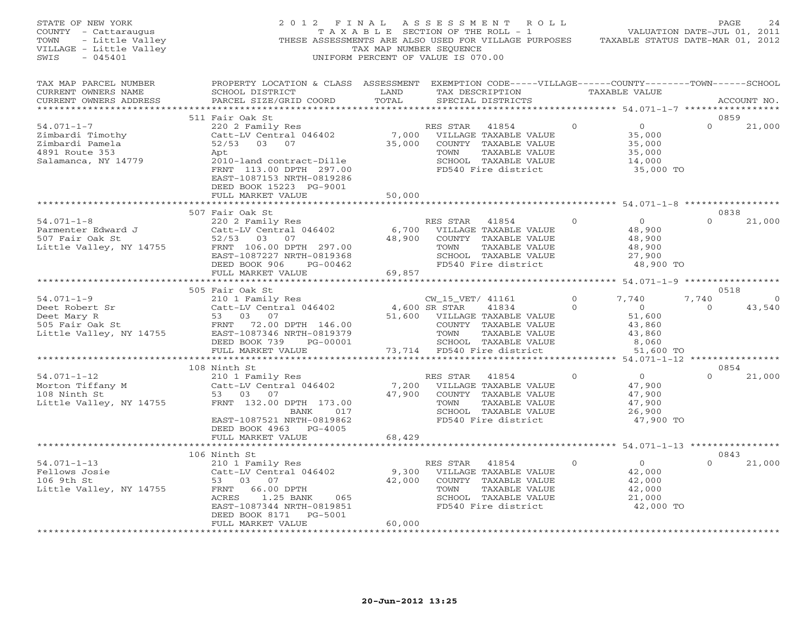| STATE OF NEW YORK<br>COUNTY - Cattaraugus<br>TOWN - Little Valley<br>VILLAGE - Little Valley<br>VILLAGE - Little Valley<br>SWIS<br>$-045401$ |                                                                                                                                                                                                                                                                                                                                          | TAX MAP NUMBER SEQUENCE   | 2012 FINAL ASSESSMENT ROLL<br>T A X A B L E SECTION OF THE ROLL - 1<br>THESE ASSESSMENTS ARE ALSO USED FOR VILLAGE PURPOSES TAXABLE STATUS DATE-MAR 01, 2012<br>UNIFORM PERCENT OF VALUE IS 070.00 |                      | VALUATION DATE-JUL 01, 2011                                                 | $\mathop{\mathrm{PAGE}}$    | 24                 |
|----------------------------------------------------------------------------------------------------------------------------------------------|------------------------------------------------------------------------------------------------------------------------------------------------------------------------------------------------------------------------------------------------------------------------------------------------------------------------------------------|---------------------------|----------------------------------------------------------------------------------------------------------------------------------------------------------------------------------------------------|----------------------|-----------------------------------------------------------------------------|-----------------------------|--------------------|
| TAX MAP PARCEL NUMBER<br>CURRENT OWNERS NAME<br>CURRENT OWNERS ADDRESS                                                                       | PROPERTY LOCATION & CLASS ASSESSMENT EXEMPTION CODE-----VILLAGE------COUNTY-------TOWN------SCHOOL<br>SCHOOL DISTRICT<br>PARCEL SIZE/GRID COORD                                                                                                                                                                                          | LAND<br>TOTAL             | TAX DESCRIPTION<br>SPECIAL DISTRICTS                                                                                                                                                               |                      | TAXABLE VALUE<br>********************* 54.071-1-7 ******************        |                             | ACCOUNT NO.        |
| $54.071 - 1 - 7$<br>Zimbardi Timothy<br>Zimbardi Pamela<br>4891 Route 353<br>Salamanca, NY 14779                                             | 511 Fair Oak St<br>220 2 Family Res<br>Catt-LV Central 046402 7,000 VILLAGE TAXABLE VALUE<br>52/53 03 07 35,000 COUNTY TAXABLE VALUE<br>$52/53$ 03 07<br>Apt<br>np<br>2010-land contract-Dille<br>FRNT 113.00 DPTH 297.00<br>EAST-1087153 NRTH-0819286<br>DEED BOOK 15223 PG-9001<br>FULL MARKET VALUE                                   | 50,000                    | TOWN<br>TAXABLE VALUE<br>SCHOOL TAXABLE VALUE<br>FD540 Fire district                                                                                                                               | $\circ$              | $\overline{0}$<br>35,000<br>35,000<br>35,000<br>14,000<br>35,000 TO         | 0859<br>$\Omega$            | 21,000             |
|                                                                                                                                              | *************************                                                                                                                                                                                                                                                                                                                |                           |                                                                                                                                                                                                    |                      | ************************ 54.071-1-8 *****************                       |                             |                    |
| $54.071 - 1 - 8$<br>Parmenter Edward J<br>$507$ Fair Oak St<br>Little Valley, NY 14755                                                       | 507 Fair Oak St<br>220 2 Family Res<br>Catt-LV Central 046402<br>52/53 03 07<br>FRNT 106.00 DPTH 297.00<br>EAST-1087227 NRTH-0819368<br>DEED BOOK 906<br>PG-00462<br>FULL MARKET VALUE                                                                                                                                                   | 6,700<br>48,900<br>69,857 | RES STAR<br>41854<br>VILLAGE TAXABLE VALUE<br>COUNTY TAXABLE VALUE<br>TAXABLE VALUE<br>TOWN<br>SCHOOL TAXABLE VALUE<br>FD540 Fire district                                                         | $\Omega$             | $\overline{0}$<br>48,900<br>48,900<br>48,900<br>27,900<br>48,900 TO         | 0838<br>$\Omega$            | 21,000             |
|                                                                                                                                              |                                                                                                                                                                                                                                                                                                                                          |                           |                                                                                                                                                                                                    |                      |                                                                             |                             |                    |
| $54.071 - 1 - 9$                                                                                                                             | 505 Fair Oak St<br>Fair van st<br>210 1 Family Res<br>Catt-LV Central 046402 4,600 SR STAR<br>--<br>94.071-1-9<br>Deet Robert Sr<br>Deet Mary R<br>505 Fair Oak St<br>14755 FAST-1087346 NRTH-0819379<br>Little Valley, NY 14755 FAST-1087346 NRTH-0819379<br>FERENT ROOK 739 PG-00001<br>DEED BOOK 739<br>PG-00001<br>FULL MARKET VALUE |                           | CW_15_VET/ 41161<br>41834<br>51,600 VILLAGE TAXABLE VALUE<br>COUNTY TAXABLE VALUE<br>TOWN<br>TAXABLE VALUE<br>SCHOOL TAXABLE VALUE<br>73,714 FD540 Fire district                                   | $\Omega$<br>$\Omega$ | 7,740<br>$\overline{0}$<br>51,600<br>43,860<br>43,860<br>8,060<br>51,600 TO | 0518<br>7,740<br>$\bigcirc$ | $\Omega$<br>43,540 |
|                                                                                                                                              | ***************************                                                                                                                                                                                                                                                                                                              |                           |                                                                                                                                                                                                    |                      |                                                                             |                             |                    |
| $54.071 - 1 - 12$<br>Morton Tiffany M<br>108 Ninth St<br>Little Valley, NY 14755                                                             | 108 Ninth St<br>Ninth St<br>210 1 Family Res<br>Catt-LV Central 046402<br>53 03 07<br>FRNT 132.00 DPTH 173.00<br>BANK 017<br>EAST-1087521 NRTH-0819862<br>DEED BOOK 4963 PG-4005                                                                                                                                                         | 7,200<br>47,900           | RES STAR<br>41854<br>VILLAGE TAXABLE VALUE<br>COUNTY TAXABLE VALUE<br>TOWN<br>TAXABLE VALUE<br>SCHOOL TAXABLE VALUE<br>FD540 Fire district                                                         | $\overline{0}$       | $\overline{0}$<br>47,900<br>47,900<br>47,900<br>26,900<br>47,900 TO         | 0854<br>$\Omega$            | 21,000             |
|                                                                                                                                              | FULL MARKET VALUE<br>************************                                                                                                                                                                                                                                                                                            | 68,429                    |                                                                                                                                                                                                    |                      |                                                                             |                             |                    |
|                                                                                                                                              | 106 Ninth St                                                                                                                                                                                                                                                                                                                             |                           |                                                                                                                                                                                                    |                      |                                                                             | 0843                        |                    |
| $54.071 - 1 - 13$<br>Fellows Josie<br>106 9th St<br>Little Valley, NY 14755                                                                  | 210 1 Family Res<br>Catt-LV Central 046402<br>53 03 07<br>FRNT<br>66.00 DPTH<br>ACRES<br>1.25 BANK<br>065<br>EAST-1087344 NRTH-0819851<br>DEED BOOK 8171 PG-5001<br>FULL MARKET VALUE                                                                                                                                                    | 9,300<br>42,000<br>60,000 | RES STAR 41854<br>VILLAGE TAXABLE VALUE<br>COUNTY TAXABLE VALUE<br>TOWN<br>TAXABLE VALUE<br>SCHOOL TAXABLE VALUE<br>FD540 Fire district                                                            | $\Omega$             | $\overline{0}$<br>42,000<br>42,000<br>42,000<br>21,000<br>42,000 TO         | $\Omega$                    | 21,000             |
| *************************                                                                                                                    | ********************                                                                                                                                                                                                                                                                                                                     | ****************          |                                                                                                                                                                                                    |                      |                                                                             |                             |                    |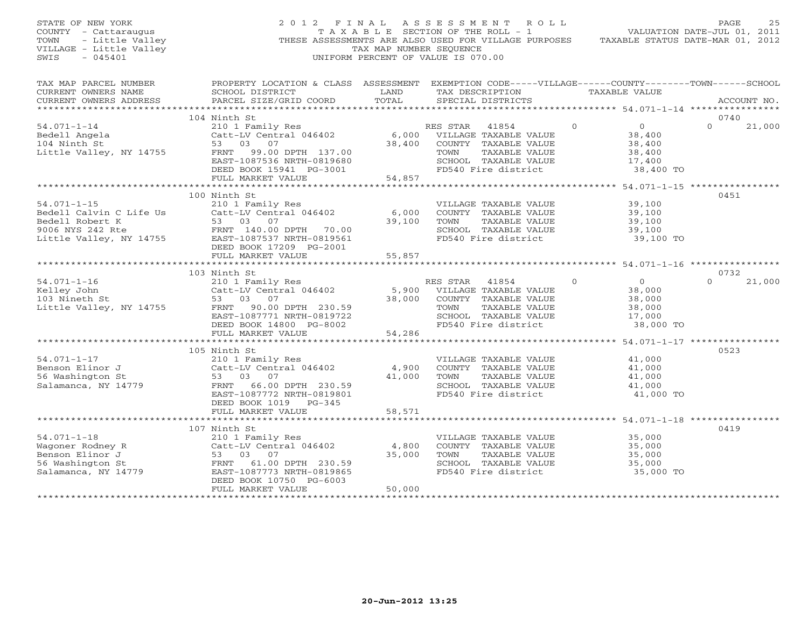| OF NEW YORK<br>1 - Cattaraugus<br>- Little Valley<br>GE - Little Valley<br>STATE OF NEW YORK<br>COUNTY - Cattaraugus<br>TOWN<br>VILLAGE - Little Valley<br>SWIS |                                                                                                                                                                                                                                                                                                                                                                                                                                                                                                                                                                                     | TAX MAP NUMBER SEQUENCE | 2012 FINAL ASSESSMENT ROLL<br>T A X A B L E SECTION OF THE ROLL - 1<br>THESE ASSESSMENTS ARE ALSO USED FOR VILLAGE PURPOSES TAXABLE STATUS DATE-MAR 01, 2012<br>UNIFORM PERCENT OF VALUE IS 070.00 | VALUATION DATE-JUL 01, 2011                                           | PAGE<br>25         |
|-----------------------------------------------------------------------------------------------------------------------------------------------------------------|-------------------------------------------------------------------------------------------------------------------------------------------------------------------------------------------------------------------------------------------------------------------------------------------------------------------------------------------------------------------------------------------------------------------------------------------------------------------------------------------------------------------------------------------------------------------------------------|-------------------------|----------------------------------------------------------------------------------------------------------------------------------------------------------------------------------------------------|-----------------------------------------------------------------------|--------------------|
| TAX MAP PARCEL NUMBER<br>CURRENT OWNERS NAME<br>CURRENT OWNERS ADDRESS                                                                                          | PROPERTY LOCATION & CLASS ASSESSMENT EXEMPTION CODE-----VILLAGE------COUNTY-------TOWN------SCHOOL<br>SCHOOL DISTRICT                      LAND        TAX DESCRIPTION                  TAXABLE VALUE<br>PARCEL SIZE/GRID COORD TOTAL                                                                                                                                                                                                                                                                                                                                               |                         | SPECIAL DISTRICTS                                                                                                                                                                                  |                                                                       | ACCOUNT NO.        |
|                                                                                                                                                                 | 104 Ninth St                                                                                                                                                                                                                                                                                                                                                                                                                                                                                                                                                                        |                         |                                                                                                                                                                                                    |                                                                       | 0740               |
| $54.071 - 1 - 14$                                                                                                                                               | 210 1 Family Res<br>Catt-LV Central 046402 6,000 VILLAGE TAXABLE VALUE<br>53 03 07 38,400 COUNTY TAXABLE VALUE<br>94.071-1-14<br>Bedell Angela<br>104 Ninth St<br>Little Valley, NY 14755<br>$\begin{array}{ccc}\n & \text{2.13} & \text{2.14} & \text{2.15} \\  & \text{5.14} & \text{5.15} & \text{6.16} \\ \text{104} & \text{114} & \text{135} & \text{136} \\ \text{125} & \text{136} & \text{137} & \text{137} \\ \text{136} & \text{137} & \text{138} & \text$<br>FRNT 99.00 DPTH 137.00<br>EAST-1087536 NRTH-0819680<br>DEED BOOK 15941 PG-3001<br>FULL MARKET VALUE 54,857 |                         | TOWN<br>TAXABLE VALUE<br>SCHOOL TAXABLE VALUE                                                                                                                                                      | $\Omega$<br>$\overline{0}$<br>38,400<br>38,400<br>38,400<br>17,400    | $\Omega$<br>21,000 |
|                                                                                                                                                                 |                                                                                                                                                                                                                                                                                                                                                                                                                                                                                                                                                                                     |                         | FD540 Fire district                                                                                                                                                                                | 38,400 TO                                                             |                    |
|                                                                                                                                                                 |                                                                                                                                                                                                                                                                                                                                                                                                                                                                                                                                                                                     |                         |                                                                                                                                                                                                    |                                                                       |                    |
| $54.071 - 1 - 15$                                                                                                                                               | 100 Ninth St<br>210 1 Family Res<br>Catt-LV Central 046402 6,000<br>94.071-1-15<br>Bedell Calvin C Life Us<br>Bedell Robert K<br>9006 NYS 242 Rte<br>Little Valley, NY 14755<br>$\begin{array}{r} 53 & 03 & 07 \\ \text{ExNT} & 140.00 \text{ DPTH} & 70.00 \\ \text{DPTH} & 70.00 \\ \text{Little Valley, NY} & 14755 \end{array}$                                                                                                                                                                                                                                                 |                         | VILLAGE TAXABLE VALUE<br>COUNTY TAXABLE VALUE<br>39,100 TOWN TAXABLE VALUE<br>SCHOOL TAXABLE VALUE<br>FD540 Fire district                                                                          | 39,100<br>39,100<br>39,100<br>39,100<br>39,100<br>39,100<br>39,100 TO | 0451               |
|                                                                                                                                                                 | DEED BOOK 17209 PG-2001<br>FULL MARKET VALUE                                                                                                                                                                                                                                                                                                                                                                                                                                                                                                                                        | 55,857                  |                                                                                                                                                                                                    |                                                                       |                    |
|                                                                                                                                                                 |                                                                                                                                                                                                                                                                                                                                                                                                                                                                                                                                                                                     |                         |                                                                                                                                                                                                    |                                                                       |                    |
|                                                                                                                                                                 |                                                                                                                                                                                                                                                                                                                                                                                                                                                                                                                                                                                     |                         |                                                                                                                                                                                                    |                                                                       | 0732               |
|                                                                                                                                                                 | 103 Ninth St<br>ES STAR 41854<br>ES STAR 41854<br>Kelley John<br>103 Nineth St<br>210 1 Family Res<br>Catt-LV Central 046402<br>5,900 VILLAGE TAXABLE VALUE<br>53 03 07<br>230.59<br>EAST-1087771 NRTH-0819722<br>DEED BOOK 14800 PG-8002<br>FULL MARK                                                                                                                                                                                                                                                                                                                              |                         | TAXABLE VALUE<br>SCHOOL TAXABLE VALUE<br>FD540 Fire district                                                                                                                                       | $\circ$<br>$\overline{0}$<br>38,000<br>38,000<br>38,000<br>17,000     | 21,000<br>$\Omega$ |
|                                                                                                                                                                 |                                                                                                                                                                                                                                                                                                                                                                                                                                                                                                                                                                                     |                         |                                                                                                                                                                                                    | 38,000 TO                                                             |                    |
|                                                                                                                                                                 |                                                                                                                                                                                                                                                                                                                                                                                                                                                                                                                                                                                     |                         |                                                                                                                                                                                                    |                                                                       |                    |
|                                                                                                                                                                 | 105 Ninth St<br>54.071-1-17<br>Benson Elinor J<br>56 Washington St<br>53 03 07<br>Salamanca, NY 14779<br>FRAT 106.000 PTH 230.59<br>EAST-1087772 NRTH-0819801<br>DEED BOOK 1019 PG-345                                                                                                                                                                                                                                                                                                                                                                                              |                         | VILLAGE TAXABLE VALUE<br>4,900 COUNTY TAXABLE VALUE<br>41,000 TOWN TAXABLE VALUE<br>SCHOOL TAXABLE VALUE<br>FD540 Fire district                                                                    | 41,000<br>41,000<br>41,000<br>41,000<br>41,000 TO                     | 0523               |
|                                                                                                                                                                 | FULL MARKET VALUE                                                                                                                                                                                                                                                                                                                                                                                                                                                                                                                                                                   | 58,571                  |                                                                                                                                                                                                    |                                                                       |                    |
|                                                                                                                                                                 |                                                                                                                                                                                                                                                                                                                                                                                                                                                                                                                                                                                     |                         |                                                                                                                                                                                                    |                                                                       |                    |
|                                                                                                                                                                 | 107 Ninth St<br>54.071-1-18<br>Wagoner Rodney R<br>Benson Elinor J<br>56 Washington St<br>Salamanca, NY 14779<br>FRNT 61.00 DPTH 230.59<br>56 Washington St<br>Salamanca, NY 14779<br>FRNT 61.00 DPTH 230.59<br>EAST-1087773 NRTH-0819865                                                                                                                                                                                                                                                                                                                                           |                         | VILLAGE TAXABLE VALUE<br>4,800 COUNTY TAXABLE VALUE<br>35,000 TOWN TAXABLE VALUE<br>SCHOOL TAXABLE VALUE<br>FD540 Fire district                                                                    | 35,000<br>35,000<br>35,000<br>35,000<br>35,000 TO                     | 0419               |
|                                                                                                                                                                 | DEED BOOK 10750 PG-6003<br>FULL MARKET VALUE                                                                                                                                                                                                                                                                                                                                                                                                                                                                                                                                        | 50,000                  |                                                                                                                                                                                                    |                                                                       |                    |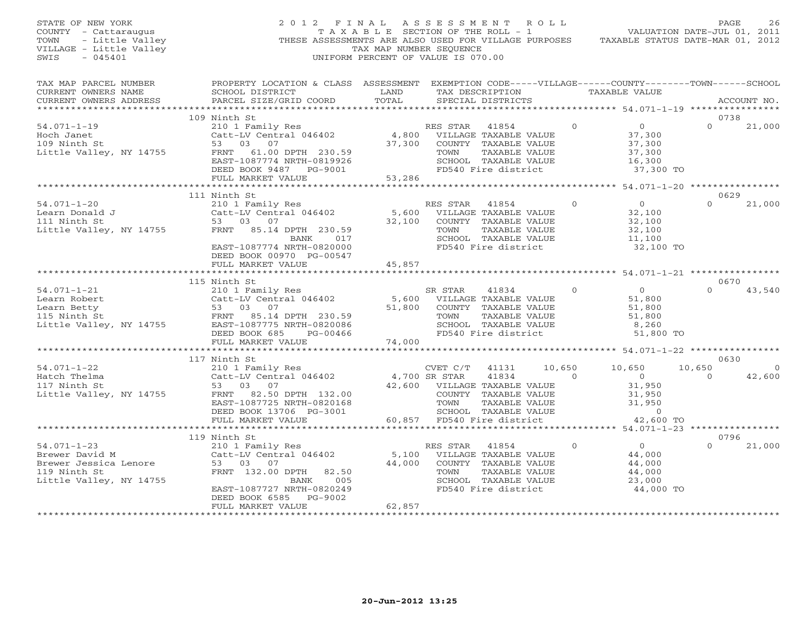STATE OF NEW YORK 2 0 1 2 F I N A L A S S E S S M E N T R O L L PAGE 26 COUNTY - Cattaraugus T A X A B L E SECTION OF THE ROLL - 1 VALUATION DATE-JUL 01, 2011 TOWN - Little Valley THESE ASSESSMENTS ARE ALSO USED FOR VILLAGE PURPOSES TAXABLE STATUS DATE-MAR 01, 2012 VILLAGE - Little Valley TAX MAP NUMBER SEQUENCE SWIS - 045401 UNIFORM PERCENT OF VALUE IS 070.00 TAX MAP PARCEL NUMBER PROPERTY LOCATION & CLASS ASSESSMENT EXEMPTION CODE-----VILLAGE------COUNTY--------TOWN------SCHOOL<br>CURRENT OWNERS NAME SCHOOL DISTRICT LAND TAX DE \*\*\*\*\*\*\*\*\*\*\*\*\*\*\*\*\*\*\*\*\*\*\*\*\*\*\*\*\*\*\*\*\*\*\*\*\*\*\*\*\*\*\*\*\*\*\*\*\*\*\*\*\*\*\*\*\*\*\*\*\*\*\*\*\*\*\*\*\*\*\*\*\*\*\*\*\*\*\*\*\*\*\*\*\*\*\*\*\*\*\*\*\*\*\*\*\*\*\*\*\*\*\* 54.071-1-19 \*\*\*\*\*\*\*\*\*\*\*\*\*\*\*\* 109 Ninth St 0738 $0 \t 21,000$ 54.071-1-19 210 1 Family Res RES STAR 41854 0 0 0 21,000 Hoch Janet Catt-LV Central 046402 4,800 VILLAGE TAXABLE VALUE 37,300 109 Ninth St 53 03 07 37,300 COUNTY TAXABLE VALUE 37,300 Little Valley, NY 14755 FRNT 61.00 DPTH 230.59 TOWN TAXABLE VALUE 37,300 EAST-1087774 NRTH-0819926 SCHOOL TAXABLE VALUE 16,300 DEED BOOK 9487 PG-9001 FD540 Fire district 37,300 TO FULL MARKET VALUE 53,286 \*\*\*\*\*\*\*\*\*\*\*\*\*\*\*\*\*\*\*\*\*\*\*\*\*\*\*\*\*\*\*\*\*\*\*\*\*\*\*\*\*\*\*\*\*\*\*\*\*\*\*\*\*\*\*\*\*\*\*\*\*\*\*\*\*\*\*\*\*\*\*\*\*\*\*\*\*\*\*\*\*\*\*\*\*\*\*\*\*\*\*\*\*\*\*\*\*\*\*\*\*\*\* 54.071-1-20 \*\*\*\*\*\*\*\*\*\*\*\*\*\*\*\* 111 Ninth St 0629 54.071-1-20 210 1 Family Res RES STAR 41854 0 0 0 21,000 Learn Donald J Catt-LV Central 046402 5,600 VILLAGE TAXABLE VALUE 32,100 111 Ninth St 53 03 07 32,100 COUNTY TAXABLE VALUE 32,100 Little Valley, NY 14755 FRNT 85.14 DPTH 230.59 TOWN TAXABLE VALUE 32,100 BANK 017 SCHOOL TAXABLE VALUE 11,100 EAST-1087774 NRTH-0820000 FD540 Fire district 32,100 TO DEED BOOK 00970 PG-00547 FULL MARKET VALUE 45,857 \*\*\*\*\*\*\*\*\*\*\*\*\*\*\*\*\*\*\*\*\*\*\*\*\*\*\*\*\*\*\*\*\*\*\*\*\*\*\*\*\*\*\*\*\*\*\*\*\*\*\*\*\*\*\*\*\*\*\*\*\*\*\*\*\*\*\*\*\*\*\*\*\*\*\*\*\*\*\*\*\*\*\*\*\*\*\*\*\*\*\*\*\*\*\*\*\*\*\*\*\*\*\* 54.071-1-21 \*\*\*\*\*\*\*\*\*\*\*\*\*\*\*\* 115 Ninth St 0670 54.071-1-21 210 1 Family Res SR STAR 41834 0 0 0 43,540 Learn Robert Catt-LV Central 046402 5,600 VILLAGE TAXABLE VALUE 51,800 Learn Betty 53 03 07 51,800 COUNTY TAXABLE VALUE 51,800 115 Ninth St FRNT 85.14 DPTH 230.59 TOWN TAXABLE VALUE 51,800 Little Valley, NY 14755 EAST-1087775 NRTH-0820086 SCHOOL TAXABLE VALUE 8,260 DEED BOOK 685 PG-00466 FD540 Fire district 51,800 TO FULL MARKET VALUE 74,000 \*\*\*\*\*\*\*\*\*\*\*\*\*\*\*\*\*\*\*\*\*\*\*\*\*\*\*\*\*\*\*\*\*\*\*\*\*\*\*\*\*\*\*\*\*\*\*\*\*\*\*\*\*\*\*\*\*\*\*\*\*\*\*\*\*\*\*\*\*\*\*\*\*\*\*\*\*\*\*\*\*\*\*\*\*\*\*\*\*\*\*\*\*\*\*\*\*\*\*\*\*\*\* 54.071-1-22 \*\*\*\*\*\*\*\*\*\*\*\*\*\*\*\* 117 Ninth St 0630 $0630$ 54.071-1-22 210 1 Family Res CVET C/T 41131 10,650 10,650 10,650 0 Hatch Thelma Catt-LV Central 046402 4,700 SR STAR 41834 0 0 0 42,600 117 Ninth St 53 03 07 42,600 VILLAGE TAXABLE VALUE 31,950 Little Valley, NY 14755 FRNT 82.50 DPTH 132.00 COUNTY TAXABLE VALUE 31,950 EAST-1087725 NRTH-0820168 TOWN TAXABLE VALUE 31,950 DEED BOOK 13706 PG-3001 SCHOOL TAXABLE VALUE 0 FULL MARKET VALUE 60,857 FD540 Fire district 42,600 TO \*\*\*\*\*\*\*\*\*\*\*\*\*\*\*\*\*\*\*\*\*\*\*\*\*\*\*\*\*\*\*\*\*\*\*\*\*\*\*\*\*\*\*\*\*\*\*\*\*\*\*\*\*\*\*\*\*\*\*\*\*\*\*\*\*\*\*\*\*\*\*\*\*\*\*\*\*\*\*\*\*\*\*\*\*\*\*\*\*\*\*\*\*\*\*\*\*\*\*\*\*\*\* 54.071-1-23 \*\*\*\*\*\*\*\*\*\*\*\*\*\*\*\* 119 Ninth St 0796 54.071-1-23 210 1 Family Res RES STAR 41854 0 0 0 21,000 Brewer David M Catt-LV Central 046402 5,100 VILLAGE TAXABLE VALUE 44,000 Brewer Jessica Lenore 53 03 07 44,000 COUNTY TAXABLE VALUE 44,000 119 Ninth St FRNT 132.00 DPTH 82.50 TOWN TAXABLE VALUE 44,000 Little Valley, NY 14755 BANK 005 SCHOOL TAXABLE VALUE 23,000 EAST-1087727 NRTH-0820249 FD540 Fire district 44,000 TO DEED BOOK 6585 PG-9002 FULL MARKET VALUE 62,857 \*\*\*\*\*\*\*\*\*\*\*\*\*\*\*\*\*\*\*\*\*\*\*\*\*\*\*\*\*\*\*\*\*\*\*\*\*\*\*\*\*\*\*\*\*\*\*\*\*\*\*\*\*\*\*\*\*\*\*\*\*\*\*\*\*\*\*\*\*\*\*\*\*\*\*\*\*\*\*\*\*\*\*\*\*\*\*\*\*\*\*\*\*\*\*\*\*\*\*\*\*\*\*\*\*\*\*\*\*\*\*\*\*\*\*\*\*\*\*\*\*\*\*\*\*\*\*\*\*\*\*\*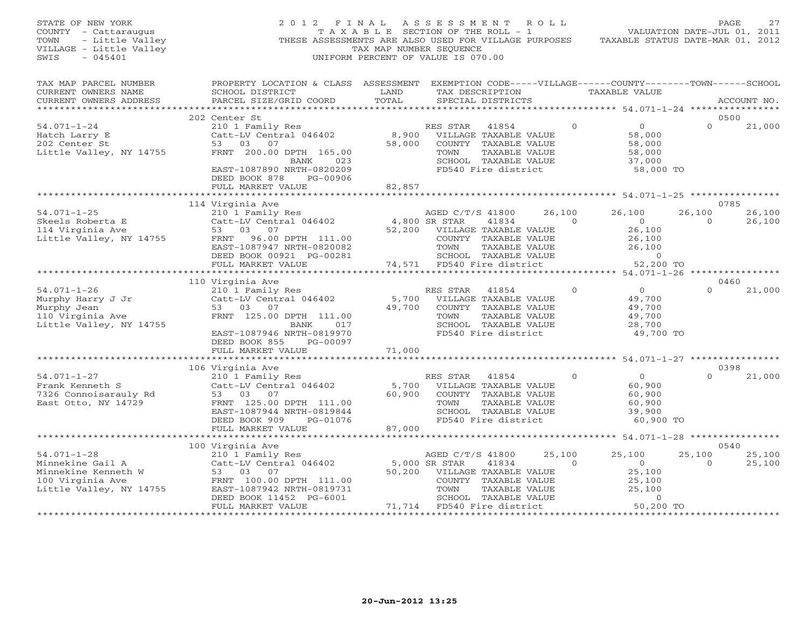| STATE OF NEW YORK<br>COUNTY - Cattaraugus<br>TOWN<br>- Little Valley<br>VILLAGE - Little Valley<br>SWIS<br>$-045401$ | 2012 FINAL<br>THESE ASSESSMENTS ARE ALSO USED FOR VILLAGE PURPOSES                                                                                                                                         | T A X A B L E SECTION OF THE ROLL - 1<br>TAX MAP NUMBER SEQUENCE<br>UNIFORM PERCENT OF VALUE IS 070.00 | A S S E S S M E N T                                                     |                                                                                                                        | R O L L            | TAXABLE STATUS DATE-MAR 01, 2012                                                | PAGE<br>VALUATION DATE-JUL 01, 2011 | 27               |
|----------------------------------------------------------------------------------------------------------------------|------------------------------------------------------------------------------------------------------------------------------------------------------------------------------------------------------------|--------------------------------------------------------------------------------------------------------|-------------------------------------------------------------------------|------------------------------------------------------------------------------------------------------------------------|--------------------|---------------------------------------------------------------------------------|-------------------------------------|------------------|
| TAX MAP PARCEL NUMBER<br>CURRENT OWNERS NAME<br>CURRENT OWNERS ADDRESS<br>***********************                    | PROPERTY LOCATION & CLASS ASSESSMENT EXEMPTION CODE-----VILLAGE------COUNTY-------TOWN------SCHOOL<br>SCHOOL DISTRICT<br>PARCEL SIZE/GRID COORD                                                            | LAND<br>TOTAL                                                                                          |                                                                         | TAX DESCRIPTION<br>SPECIAL DISTRICTS                                                                                   |                    | TAXABLE VALUE                                                                   |                                     | ACCOUNT NO.      |
|                                                                                                                      | 202 Center St                                                                                                                                                                                              |                                                                                                        |                                                                         |                                                                                                                        |                    |                                                                                 | 0.500                               |                  |
| $54.071 - 1 - 24$<br>Hatch Larry E<br>202 Center St<br>Little Valley, NY 14755                                       | 210 1 Family Res<br>Catt-LV Central 046402<br>53 03<br>07<br>FRNT 200.00 DPTH 165.00<br>023<br>BANK<br>EAST-1087890 NRTH-0820209<br>DEED BOOK 878<br>PG-00906                                              | 8,900<br>58,000                                                                                        | RES STAR<br>TOWN                                                        | 41854<br>VILLAGE TAXABLE VALUE<br>COUNTY TAXABLE VALUE<br>TAXABLE VALUE<br>SCHOOL TAXABLE VALUE<br>FD540 Fire district | $\Omega$           | $\overline{0}$<br>58,000<br>58,000<br>58,000<br>37,000<br>58,000 TO             | $\Omega$                            | 21,000           |
|                                                                                                                      | FULL MARKET VALUE                                                                                                                                                                                          | 82,857                                                                                                 |                                                                         |                                                                                                                        |                    |                                                                                 |                                     |                  |
|                                                                                                                      |                                                                                                                                                                                                            |                                                                                                        |                                                                         |                                                                                                                        |                    |                                                                                 |                                     |                  |
| $54.071 - 1 - 25$<br>Skeels Roberta E<br>114 Virginia Ave<br>Little Valley, NY 14755                                 | 114 Virginia Ave<br>210 1 Family Res<br>Catt-LV Central 046402<br>53<br>03<br>07<br>FRNT<br>96.00 DPTH 111.00<br>EAST-1087947 NRTH-0820082<br>DEED BOOK 00921 PG-00281<br>FULL MARKET VALUE                | 52,200                                                                                                 | AGED C/T/S 41800<br>4,800 SR STAR<br>TOWN<br>74,571 FD540 Fire district | 41834<br>VILLAGE TAXABLE VALUE<br>COUNTY TAXABLE VALUE<br>TAXABLE VALUE<br>SCHOOL TAXABLE VALUE                        | 26,100<br>$\Omega$ | 26,100<br>$\Omega$<br>26,100<br>26,100<br>26,100<br>$\overline{O}$<br>52,200 TO | 0785<br>26,100<br>$\Omega$          | 26,100<br>26,100 |
|                                                                                                                      | ***********************                                                                                                                                                                                    |                                                                                                        |                                                                         |                                                                                                                        |                    |                                                                                 |                                     |                  |
| $54.071 - 1 - 26$<br>Murphy Harry J Jr<br>Murphy Jean<br>110 Virginia Ave<br>Little Valley, NY 14755                 | 110 Virginia Ave<br>210 1 Family Res<br>Catt-LV Central 046402<br>53 03 07<br>FRNT 125.00 DPTH 111.00<br><b>BANK</b><br>017<br>EAST-1087946 NRTH-0819970<br>DEED BOOK 855<br>PG-00097<br>FULL MARKET VALUE | 5,700<br>49,700<br>71,000                                                                              | RES STAR<br>TOWN                                                        | 41854<br>VILLAGE TAXABLE VALUE<br>COUNTY TAXABLE VALUE<br>TAXABLE VALUE<br>SCHOOL TAXABLE VALUE<br>FD540 Fire district | $\mathbf{0}$       | $\overline{0}$<br>49,700<br>49,700<br>49,700<br>28,700<br>49,700 TO             | 0460<br>$\Omega$                    | 21,000           |
|                                                                                                                      |                                                                                                                                                                                                            |                                                                                                        |                                                                         |                                                                                                                        |                    |                                                                                 |                                     |                  |
| $54.071 - 1 - 27$<br>Frank Kenneth S<br>7326 Connoisarauly Rd<br>East Otto, NY 14729                                 | 106 Virginia Ave<br>210 1 Family Res<br>Catt-LV Central 046402<br>53<br>03<br>07<br>FRNT 125.00 DPTH 111.00<br>EAST-1087944 NRTH-0819844<br>DEED BOOK 909<br>PG-01076                                      | 5,700<br>60,900                                                                                        | RES STAR<br>TOWN                                                        | 41854<br>VILLAGE TAXABLE VALUE<br>COUNTY TAXABLE VALUE<br>TAXABLE VALUE<br>SCHOOL TAXABLE VALUE<br>FD540 Fire district | $\circ$            | $\circ$<br>60,900<br>60,900<br>60,900<br>39,900<br>60,900 TO                    | 0398<br>$\Omega$                    | 21,000           |
|                                                                                                                      | FULL MARKET VALUE                                                                                                                                                                                          | 87,000                                                                                                 |                                                                         |                                                                                                                        |                    |                                                                                 |                                     |                  |
|                                                                                                                      |                                                                                                                                                                                                            | ***********                                                                                            |                                                                         |                                                                                                                        |                    | ************** 54.071-1-28 *****************                                    |                                     |                  |
| $54.071 - 1 - 28$<br>Minnekine Gail A<br>Minnekine Kenneth W<br>100 Virginia Ave<br>Little Valley, NY 14755          | 100 Virginia Ave<br>210 1 Family Res<br>Catt-LV Central 046402<br>53 03<br>07<br>FRNT 100.00 DPTH 111.00<br>EAST-1087942 NRTH-0819731<br>DEED BOOK 11452 PG-6001                                           | 50,200                                                                                                 | AGED C/T/S 41800<br>5,000 SR STAR<br>TOWN                               | 41834<br>VILLAGE TAXABLE VALUE<br>COUNTY TAXABLE VALUE<br>TAXABLE VALUE<br>SCHOOL TAXABLE VALUE                        | 25,100<br>$\Omega$ | 25,100<br>$\overline{0}$<br>25,100<br>25,100<br>25,100<br>$\Omega$              | 0540<br>25,100<br>$\Omega$          | 25,100<br>25,100 |
|                                                                                                                      | FULL MARKET VALUE<br>* * * * * * * * * * * * * * * * * * *                                                                                                                                                 | **********************************                                                                     | 71,714 FD540 Fire district                                              |                                                                                                                        |                    | 50,200 TO<br>********************                                               | * * * * * * * * * * * * * * * * * * |                  |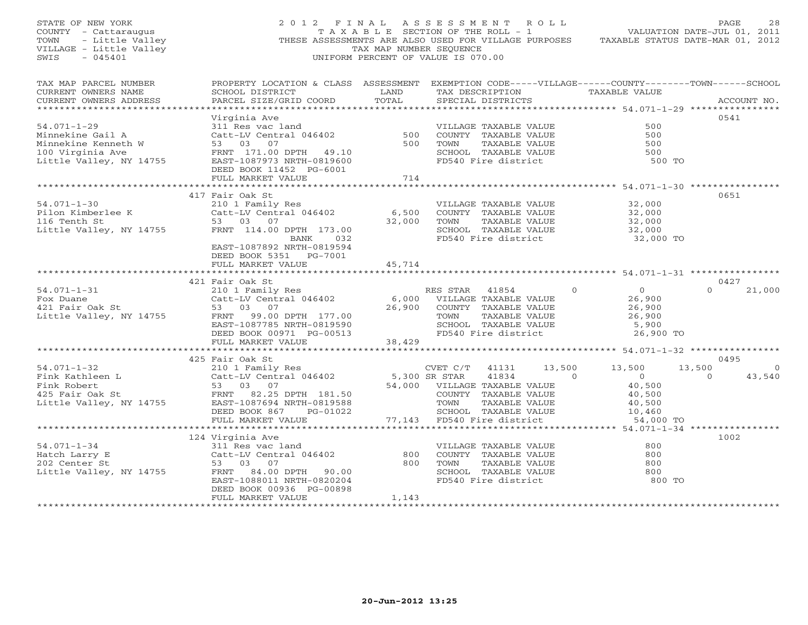| STATE OF NEW YORK<br>COUNTY - Cattaraugus<br>- Little Valley<br>TOWN<br>VILLAGE - Little Valley<br>$-045401$<br>SWIS                         |                                                                                                                                                                                                       | TAX MAP NUMBER SEQUENCE                                        | 2012 FINAL ASSESSMENT ROLL<br>T A X A B L E SECTION OF THE ROLL - 1<br>UNIFORM PERCENT OF VALUE IS 070.00                                                                                                       |                                                                                        | PAGE<br>28<br>VALUATION DATE-JUL 01, 2011<br>THESE ASSESSMENTS ARE ALSO USED FOR VILLAGE PURPOSES TAXABLE STATUS DATE-MAR 01, 2012 |
|----------------------------------------------------------------------------------------------------------------------------------------------|-------------------------------------------------------------------------------------------------------------------------------------------------------------------------------------------------------|----------------------------------------------------------------|-----------------------------------------------------------------------------------------------------------------------------------------------------------------------------------------------------------------|----------------------------------------------------------------------------------------|------------------------------------------------------------------------------------------------------------------------------------|
| TAX MAP PARCEL NUMBER<br>CURRENT OWNERS NAME<br>CURRENT OWNERS ADDRESS                                                                       | PROPERTY LOCATION & CLASS ASSESSMENT EXEMPTION CODE-----VILLAGE------COUNTY-------TOWN------SCHOOL<br>SCHOOL DISTRICT<br>PARCEL SIZE/GRID COORD                                                       | LAND<br>TOTAL                                                  | TAX DESCRIPTION TAXABLE VALUE<br>SPECIAL DISTRICTS                                                                                                                                                              |                                                                                        | ACCOUNT NO.                                                                                                                        |
| $54.071 - 1 - 29$<br>Minnekine Gail A<br>Minnekine Kenneth W<br>100 Virginia Ave<br>Little Valley, NY 14755                                  | Virginia Ave<br>Virginia Ave<br>311 Res vac land<br>Catt-LV Central 046402 500<br>53 03 07 500<br>FRNT 171.00 DPTH 49.10<br>EAST-1087973 NRTH-0819600<br>DEED BOOK 11452 PG-6001<br>FULL MARKET VALUE | 714                                                            | VILLAGE TAXABLE VALUE<br>COUNTY TAXABLE VALUE<br>TOWN<br>TAXABLE VALUE<br>SCHOOL TAXABLE VALUE<br>FD540 Fire district                                                                                           |                                                                                        | 0541<br>500<br>500<br>500<br>500<br>500 TO                                                                                         |
| $54.071 - 1 - 30$<br>Pilon Kimberlee K<br>116 Tenth St<br>116 Tenth St<br>Little Valley, NY 14755                                            | 417 Fair Oak St<br>210 1 Family Res<br>Catt-LV Central 046402<br>53 03 07<br>FRNT 114.00 DPTH 173.00<br>BANK 032<br>EAST-1087892 NRTH-0819594<br>DEED BOOK 5351 PG-7001<br>FULL MARKET VALUE          | 6,500<br>32,000<br>45,714                                      | VILLAGE TAXABLE VALUE<br>COUNTY TAXABLE VALUE<br>TAXABLE VALUE<br>TOWN<br>SCHOOL TAXABLE VALUE<br>FD540 Fire district                                                                                           | 32,000<br>32,000<br>32,000<br>32,000                                                   | 0651<br>32,000 TO                                                                                                                  |
|                                                                                                                                              |                                                                                                                                                                                                       | * * * * * * * * * * * * *                                      |                                                                                                                                                                                                                 |                                                                                        |                                                                                                                                    |
| $54.071 - 1 - 31$<br>Fox Duane<br>421 Fair Oak St<br>Little Valley, NY 14755                                                                 | 421 Fair Oak St<br>210 1 Family Res<br>Catt-LV Central 046402<br>53 03 07<br>FRNT 99.00 DPTH 177.00<br>EAST-1087785 NRTH-0819590<br>DEED BOOK 00971 PG-00513<br>FULL MARKET VALUE                     | 6,000<br>26,900<br>38,429                                      | RES STAR<br>41854<br>VILLAGE TAXABLE VALUE<br>COUNTY TAXABLE VALUE<br>TAXABLE VALUE<br>TOWN<br>SCHOOL TAXABLE VALUE<br>FD540 Fire district                                                                      | $\overline{0}$<br>$\Omega$<br>26,900<br>26,900<br>26,900<br>5,900                      | 0427<br>$\Omega$<br>21,000<br>26,900 TO                                                                                            |
|                                                                                                                                              |                                                                                                                                                                                                       |                                                                |                                                                                                                                                                                                                 |                                                                                        |                                                                                                                                    |
| $54.071 - 1 - 32$<br>Fink Kathleen L<br>Catt-LV Centi<br>53 03 07<br>FRNT 82.25<br>Fink Robert<br>425 Fair Oak St<br>Little Valley, NY 14755 | 425 Fair Oak St<br>210 1 Family Res<br>Catt-LV Central 046402<br>FRNT 82.25 DPTH 181.50<br>EAST-1087694 NRTH-0819588<br>DEED BOOK 867<br>PG-01022                                                     | 5,300 SR STAR                                                  | CVET C/T<br>41131<br>41834<br>54,000 VILLAGE TAXABLE VALUE<br>COUNTY TAXABLE VALUE<br>TOWN<br>TAXABLE VALUE<br>TOWN TAXABLE VALUE<br>SCHOOL TAXABLE VALUE<br>77,143 FD540 Fire district<br>SCHOOL TAXABLE VALUE | 13,500<br>13,500<br>$\Omega$<br>$\overline{0}$<br>40,500<br>40,500<br>40,500<br>10,460 | 0495<br>13,500<br>$\circ$<br>43,540<br>$\Omega$                                                                                    |
|                                                                                                                                              | FULL MARKET VALUE<br>124 Virginia Ave                                                                                                                                                                 |                                                                |                                                                                                                                                                                                                 |                                                                                        | 54,000 TO<br>1002                                                                                                                  |
| $54.071 - 1 - 34$<br>Hatch Larry E<br>202 Center St<br>Little Valley, NY 14755                                                               | 311 Res vac land<br>Catt-LV Central 046402<br>53 03 07<br>FRNT 84.00 DPTH<br>90.00<br>EAST-1088011 NRTH-0820204<br>DEED BOOK 00936 PG-00898<br>FULL MARKET VALUE<br>                                  | 800<br>800<br>1,143<br>+ + + + + + + + + + + + + + + + + + + + | VILLAGE TAXABLE VALUE<br>COUNTY TAXABLE VALUE<br>TOWN<br>TAXABLE VALUE<br>SCHOOL TAXABLE VALUE<br>FD540 Fire district                                                                                           |                                                                                        | 800<br>800<br>800<br>800<br>800 TO                                                                                                 |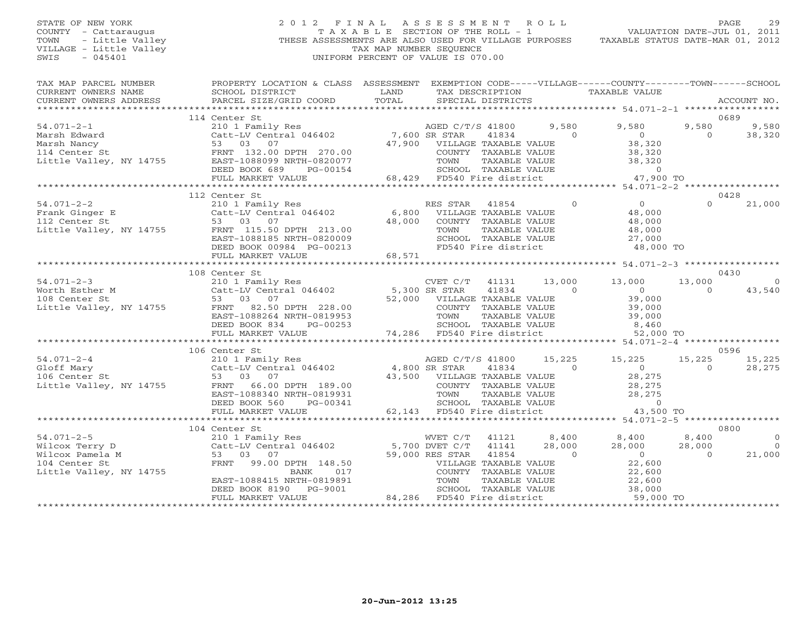## STATE OF NEW YORK 2 0 1 2 F I N A L A S S E S S M E N T R O L L PAGE 29 COUNTY - Cattaraugus T A X A B L E SECTION OF THE ROLL - 1 VALUATION DATE-JUL 01, 2011 TOWN - Little Valley THESE ASSESSMENTS ARE ALSO USED FOR VILLAGE PURPOSES TAXABLE STATUS DATE-MAR 01, 2012 VILLAGE - Little Valley and the Communist Changes of TAX MAP NUMBER SEQUENCE SWIS - 045401 SWIS - 045401 UNIFORM PERCENT OF VALUE IS 070.00

| TAX MAP PARCEL NUMBER<br>CURRENT OWNERS NAME<br>CURRENT OWNERS ADDRESS                                                                                                                                                                                       | PROPERTY LOCATION & CLASS ASSESSMENT EXEMPTION CODE-----VILLAGE------COUNTY-------TOWN------SCHOOL<br>SCHOOL DISTRICT<br>PARCEL SIZE/GRID COORD                                                                                                                                                                             | LAND<br>TOTAL | TAX DESCRIPTION<br>SPECIAL DISTRICTS                                                                              |                                              | TAXABLE VALUE                                                                                                                                         |                             | ACCOUNT NO.                                |
|--------------------------------------------------------------------------------------------------------------------------------------------------------------------------------------------------------------------------------------------------------------|-----------------------------------------------------------------------------------------------------------------------------------------------------------------------------------------------------------------------------------------------------------------------------------------------------------------------------|---------------|-------------------------------------------------------------------------------------------------------------------|----------------------------------------------|-------------------------------------------------------------------------------------------------------------------------------------------------------|-----------------------------|--------------------------------------------|
|                                                                                                                                                                                                                                                              |                                                                                                                                                                                                                                                                                                                             |               |                                                                                                                   |                                              |                                                                                                                                                       |                             |                                            |
|                                                                                                                                                                                                                                                              | 114 Center St                                                                                                                                                                                                                                                                                                               |               |                                                                                                                   |                                              |                                                                                                                                                       |                             | 0689                                       |
| $54.071 - 2 - 1$<br>Marsh Edward<br>Marsh Nancy<br>114 Center St                                                                                                                                                                                             | 210 1 Family Res<br>Catt-LV Central 046402 7,600 SR STAR<br>17,000 MITIM<br>53 03 07<br>FRNT 132.00 DPTH 270.00                                                                                                                                                                                                             |               | AGED C/T/S 41800<br>41834<br>47,900 VILLAGE TAXABLE VALUE<br>COUNTY TAXABLE VALUE                                 | 9,580<br>$\overline{0}$                      | 9,580<br>$\overline{0}$<br>38,320<br>38,320                                                                                                           | 9,580<br>$\Omega$           | 9,580<br>38,320                            |
| Little Valley, NY 14755                                                                                                                                                                                                                                      | EAST-1088099 NRTH-0820077<br>DEED BOOK 689<br>PG-00154<br>FULL MARKET VALUE                                                                                                                                                                                                                                                 |               | .00 COUNTY TAXABLE VALUE<br>077 TOWN TAXABLE VALUE<br>154 68,429 FD540 Fire district                              |                                              | 38,320<br>$\overline{0}$<br>47,900 TO                                                                                                                 |                             |                                            |
|                                                                                                                                                                                                                                                              |                                                                                                                                                                                                                                                                                                                             |               |                                                                                                                   |                                              |                                                                                                                                                       |                             |                                            |
|                                                                                                                                                                                                                                                              | 112 Center St                                                                                                                                                                                                                                                                                                               |               |                                                                                                                   |                                              |                                                                                                                                                       |                             | 0428                                       |
| $54.071 - 2 - 2$<br>Frank Ginger E<br>112 Center St<br>Little Valley, NY 14755 FRNT 115.50 DPTH 213.00                                                                                                                                                       | 210 1 Family Res<br>Catt-LV Central 046402 6,800 VILLAGE TAXABLE VALUE<br>53 03 07<br>EAST-1088185 NRTH-0820009                                                                                                                                                                                                             | 48,000        | RES STAR<br>41854<br>COUNTY TAXABLE VALUE<br>TOWN<br>SCHOOL TAXABLE VALUE<br>FD540 Fire district                  | $\overline{0}$<br>TAXABLE VALUE              | $\overline{0}$<br>48,000<br>48,000<br>48,000<br>$27,000$ TO $48,000$ TO                                                                               | $\cap$                      | 21,000                                     |
|                                                                                                                                                                                                                                                              |                                                                                                                                                                                                                                                                                                                             |               |                                                                                                                   |                                              |                                                                                                                                                       |                             |                                            |
|                                                                                                                                                                                                                                                              | 108 Center St                                                                                                                                                                                                                                                                                                               |               |                                                                                                                   |                                              |                                                                                                                                                       |                             | 0430                                       |
| $54.071 - 2 - 3$<br>Little Valley, NY 14755                                                                                                                                                                                                                  | 210 1 Family Res<br>Catt-LV Central 046402<br>Catt-LV Central 046402<br>52,000 SR STAR 41834<br>53 03 07 52,000 VILLAGE TAXABLE VALUE<br>FRNT 82.50 DPTH 228.00 COUNTY TAXABLE VALUE<br>EAST-1088264 NRTH-0819953 TOWN TAXABLE VALUE<br>DEED BOOK 834<br>PG-00253<br>FULL MARKET VALUE<br>********************************* |               | CVET C/T<br>SCHOOL TAXABLE VALUE<br>74,286 FD540 Fire district                                                    | 13,000<br>41131<br>$\sim$ 0<br>TAXABLE VALUE | 13,000<br>$\begin{array}{c}\n 0 \\  0 \\  39\n \end{array}$<br>39,000<br>39,000<br>8,460<br>52,000 TO                                                 | 13,000<br>$\Omega$          | $\overline{0}$<br>43,540                   |
|                                                                                                                                                                                                                                                              | 106 Center St                                                                                                                                                                                                                                                                                                               |               |                                                                                                                   |                                              |                                                                                                                                                       |                             | 0596                                       |
| 1.071-2-4<br>2101 Family Res<br>2101 Family Res<br>2101 Family Res<br>2101 Family Res<br>2101 Family Res<br>2101 Family Res<br>2101 Family Res<br>2101 Family Res<br>2101 Family Res<br>2103 07<br>230 07<br>25 03 07<br>25 03 07<br>266.00 DPTH 189.00<br>2 | EAST-1088340 NRTH-0819931<br>DEED BOOK 560<br>PG-00341                                                                                                                                                                                                                                                                      |               | AGED C/T/S 41800<br>41834<br>43,500 VILLAGE TAXABLE VALUE<br>COUNTY TAXABLE VALUE<br>TOWN<br>SCHOOL TAXABLE VALUE | $\overline{0}$<br>TAXABLE VALUE              | 15,225 15,225<br>$\overline{0}$<br>28,275<br>28,275<br>28, 275                                                                                        | 15,225<br>$\Omega$          | 15,225<br>28,275                           |
|                                                                                                                                                                                                                                                              | FULL MARKET VALUE                                                                                                                                                                                                                                                                                                           |               | 62,143 FD540 Fire district                                                                                        |                                              | 43,500 TO                                                                                                                                             |                             |                                            |
|                                                                                                                                                                                                                                                              | 104 Center St                                                                                                                                                                                                                                                                                                               |               |                                                                                                                   |                                              |                                                                                                                                                       |                             | 0800                                       |
| $54.071 - 2 - 5$<br>Wilcox Terry D<br>Wilcox Pamela M<br>104 Center St<br>Little Valley, NY 14755                                                                                                                                                            | 210 1 Family Res<br>Catt-LV Central 046402 5,700 DVET C/T<br>53 03 07 59,000 RES STAR<br>FRNT<br>99.00 DPTH 148.50<br>BANK<br>017<br>EAST-1088415 NRTH-0819891 TOWN TAXABLE VALUE<br>DEED BOOK 8190 PG-9001 SCHOOL TAXABLE VALUE<br>FULL MARKET VALUE 84,286 FD540 Fire district                                            |               | WVET C/T 41121<br>41141<br>41854<br>VILLAGE TAXABLE VALUE<br>COUNTY   TAXABLE VALUE                               | 28,000<br>$\overline{0}$                     | 8,400 8,400<br>28,000<br>$\overline{0}$<br>22,600<br>22,600<br>TOWN TAXABLE VALUE 22,600<br>SCHOOL TAXABLE VALUE 38,000<br>FD540 Fire district 59,000 | 8,400<br>28,000<br>$\Omega$ | $\overline{0}$<br>$\overline{0}$<br>21,000 |
|                                                                                                                                                                                                                                                              |                                                                                                                                                                                                                                                                                                                             |               |                                                                                                                   |                                              | 59,000 TO                                                                                                                                             |                             |                                            |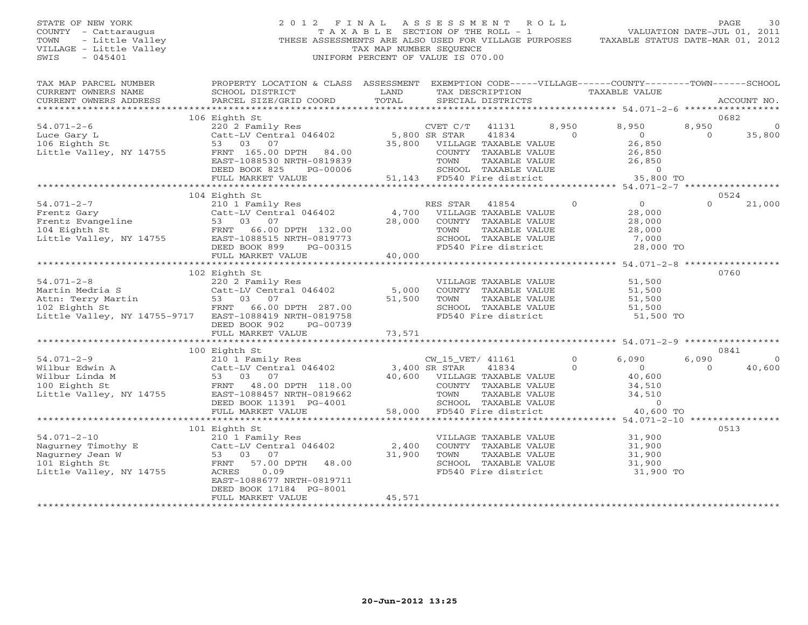## STATE OF NEW YORK 2 0 1 2 F I N A L A S S E S S M E N T R O L L PAGE 30 COUNTY - Cattaraugus T A X A B L E SECTION OF THE ROLL - 1 VALUATION DATE-JUL 01, 2011 TOWN - Little Valley ... THESE ASSESSMENTS ARE ALSO USED FOR VILLAGE PURPOSES TAXABLE STATUS DATE-MAR 01, 2012<br>VILLAGE - Little Valley ... THESE ASSESSMENTS ARE ALSO USED FOR VILLAGE PURPOSES TAXABLE STATUS DATE-MAR 01, 20 VILLAGE - Little Valley and the Communist Communist Communist Communist Communist Communist Communist Communist Communist Communist Communist Communist Communist Communist Communist Communist Communist Communist Communist SWIS - 045401 UNIFORM PERCENT OF VALUE IS 070.00

| TAX MAP PARCEL NUMBER<br>CURRENT OWNERS NAME<br>CURRENT OWNERS ADDRESS<br>************************* | PROPERTY LOCATION & CLASS ASSESSMENT<br>SCHOOL DISTRICT<br>PARCEL SIZE/GRID COORD | LAND<br>TOTAL |                              | TAX DESCRIPTION<br>SPECIAL DISTRICTS |          | EXEMPTION CODE-----VILLAGE------COUNTY-------TOWN------SCHOOL<br><b>TAXABLE VALUE</b> |                   | ACCOUNT NO. |
|-----------------------------------------------------------------------------------------------------|-----------------------------------------------------------------------------------|---------------|------------------------------|--------------------------------------|----------|---------------------------------------------------------------------------------------|-------------------|-------------|
|                                                                                                     | 106 Eighth St                                                                     |               |                              |                                      |          |                                                                                       |                   | 0682        |
| $54.071 - 2 - 6$                                                                                    |                                                                                   |               |                              |                                      | 8,950    |                                                                                       |                   | $\circ$     |
|                                                                                                     | 220 2 Family Res                                                                  |               | CVET C/T                     | 41131                                | $\Omega$ | 8,950<br>$\overline{O}$                                                               | 8,950<br>$\Omega$ |             |
| Luce Gary L<br>106 Eighth St                                                                        | Catt-LV Central 046402<br>53 03<br>07                                             | 5,800 SR STAR | 35,800 VILLAGE TAXABLE VALUE | 41834                                |          | 26,850                                                                                |                   | 35,800      |
| Little Valley, NY 14755                                                                             | FRNT 165.00 DPTH<br>84.00                                                         |               |                              | COUNTY TAXABLE VALUE                 |          | 26,850                                                                                |                   |             |
|                                                                                                     | EAST-1088530 NRTH-0819839                                                         |               | TOWN                         | TAXABLE VALUE                        |          | 26,850                                                                                |                   |             |
|                                                                                                     | DEED BOOK 825<br>PG-00006                                                         |               |                              | SCHOOL TAXABLE VALUE                 |          | $\circ$                                                                               |                   |             |
|                                                                                                     | FULL MARKET VALUE                                                                 | 51,143        |                              | FD540 Fire district                  |          | 35,800 TO                                                                             |                   |             |
|                                                                                                     |                                                                                   |               |                              |                                      |          |                                                                                       |                   |             |
|                                                                                                     | 104 Eighth St                                                                     |               |                              |                                      |          |                                                                                       |                   | 0524        |
| $54.071 - 2 - 7$                                                                                    | 210 1 Family Res                                                                  |               | RES STAR                     | 41854                                | $\circ$  | $\circ$                                                                               | $\Omega$          | 21,000      |
| Frentz Gary                                                                                         | Catt-LV Central 046402                                                            | 4,700         |                              | VILLAGE TAXABLE VALUE                |          | 28,000                                                                                |                   |             |
|                                                                                                     | 53 03<br>07                                                                       | 28,000        |                              | COUNTY TAXABLE VALUE                 |          | 28,000                                                                                |                   |             |
| Frentz Evangeline<br>104 Eighth St<br>104 Eighth St                                                 | 66.00 DPTH 132.00<br>FRNT                                                         |               | TOWN                         | TAXABLE VALUE                        |          | 28,000                                                                                |                   |             |
| Little Valley, NY 14755                                                                             | EAST-1088515 NRTH-0819773                                                         |               |                              | SCHOOL TAXABLE VALUE                 |          | 7,000                                                                                 |                   |             |
|                                                                                                     | DEED BOOK 899<br>PG-00315                                                         |               |                              | FD540 Fire district                  |          | 28,000 TO                                                                             |                   |             |
|                                                                                                     | FULL MARKET VALUE                                                                 | 40,000        |                              |                                      |          |                                                                                       |                   |             |
|                                                                                                     |                                                                                   |               |                              |                                      |          |                                                                                       |                   |             |
|                                                                                                     | 102 Eighth St                                                                     |               |                              |                                      |          |                                                                                       |                   | 0760        |
| $54.071 - 2 - 8$                                                                                    | 220 2 Family Res                                                                  |               |                              | VILLAGE TAXABLE VALUE                |          | 51,500                                                                                |                   |             |
| Martin Medria S                                                                                     | Catt-LV Central 046402                                                            | 5,000         |                              | COUNTY TAXABLE VALUE                 |          | 51,500                                                                                |                   |             |
| Attn: Terry Martin                                                                                  | 53 03<br>07                                                                       | 51,500        | TOWN                         | TAXABLE VALUE                        |          | 51,500                                                                                |                   |             |
| 102 Eighth St                                                                                       | FRNT<br>66.00 DPTH 287.00                                                         |               |                              | SCHOOL TAXABLE VALUE                 |          | 51,500                                                                                |                   |             |
| Little Valley, NY 14755-9717                                                                        | EAST-1088419 NRTH-0819758                                                         |               |                              | FD540 Fire district                  |          | 51,500 TO                                                                             |                   |             |
|                                                                                                     | DEED BOOK 902<br>PG-00739                                                         |               |                              |                                      |          |                                                                                       |                   |             |
|                                                                                                     | FULL MARKET VALUE                                                                 | 73,571        |                              |                                      |          |                                                                                       |                   |             |
|                                                                                                     |                                                                                   |               |                              |                                      |          |                                                                                       |                   |             |
|                                                                                                     | 100 Eighth St                                                                     |               |                              |                                      |          |                                                                                       |                   | 0841        |
| $54.071 - 2 - 9$                                                                                    | 210 1 Family Res                                                                  |               | CW 15 VET/ 41161             |                                      | $\circ$  | 6.090                                                                                 | 6,090             | $\Omega$    |
| Wilbur Edwin A                                                                                      | Catt-LV Central 046402                                                            |               | 3,400 SR STAR                | 41834                                | $\Omega$ | $\Omega$                                                                              | $\Omega$          | 40,600      |
| Wilbur Linda M                                                                                      | 53 03 07                                                                          |               | 40,600 VILLAGE TAXABLE VALUE |                                      |          | 40,600                                                                                |                   |             |
| 100 Eighth St                                                                                       | FRNT 48.00 DPTH 118.00                                                            |               |                              | COUNTY TAXABLE VALUE                 |          | 34,510                                                                                |                   |             |
| Little Valley, NY 14755                                                                             | EAST-1088457 NRTH-0819662                                                         |               | TOWN                         | TAXABLE VALUE                        |          | 34,510                                                                                |                   |             |
|                                                                                                     | DEED BOOK 11391 PG-4001                                                           |               |                              | SCHOOL TAXABLE VALUE                 |          | $\circ$                                                                               |                   |             |
|                                                                                                     | FULL MARKET VALUE                                                                 | 58,000        |                              | FD540 Fire district                  |          | 40,600 TO                                                                             |                   |             |
|                                                                                                     | ******************************                                                    |               |                              |                                      |          |                                                                                       |                   |             |
|                                                                                                     | 101 Eighth St                                                                     |               |                              |                                      |          |                                                                                       |                   | 0513        |
| $54.071 - 2 - 10$                                                                                   | 210 1 Family Res                                                                  |               |                              | VILLAGE TAXABLE VALUE                |          | 31,900                                                                                |                   |             |
| Nagurney Timothy E                                                                                  | Catt-LV Central 046402                                                            | 2,400         |                              | COUNTY TAXABLE VALUE                 |          | 31,900                                                                                |                   |             |
| Nagurney Jean W                                                                                     | 07<br>53 03                                                                       | 31,900        | TOWN                         | TAXABLE VALUE                        |          | 31,900                                                                                |                   |             |
| 101 Eighth St                                                                                       | FRNT<br>57.00 DPTH<br>48.00                                                       |               |                              | SCHOOL TAXABLE VALUE                 |          | 31,900                                                                                |                   |             |
| Little Valley, NY 14755                                                                             | ACRES<br>0.09                                                                     |               |                              | FD540 Fire district                  |          | 31,900 TO                                                                             |                   |             |
|                                                                                                     | EAST-1088677 NRTH-0819711                                                         |               |                              |                                      |          |                                                                                       |                   |             |
|                                                                                                     | DEED BOOK 17184 PG-8001                                                           |               |                              |                                      |          |                                                                                       |                   |             |
|                                                                                                     | FULL MARKET VALUE                                                                 | 45,571        |                              |                                      |          |                                                                                       |                   |             |
|                                                                                                     |                                                                                   |               |                              |                                      |          |                                                                                       |                   |             |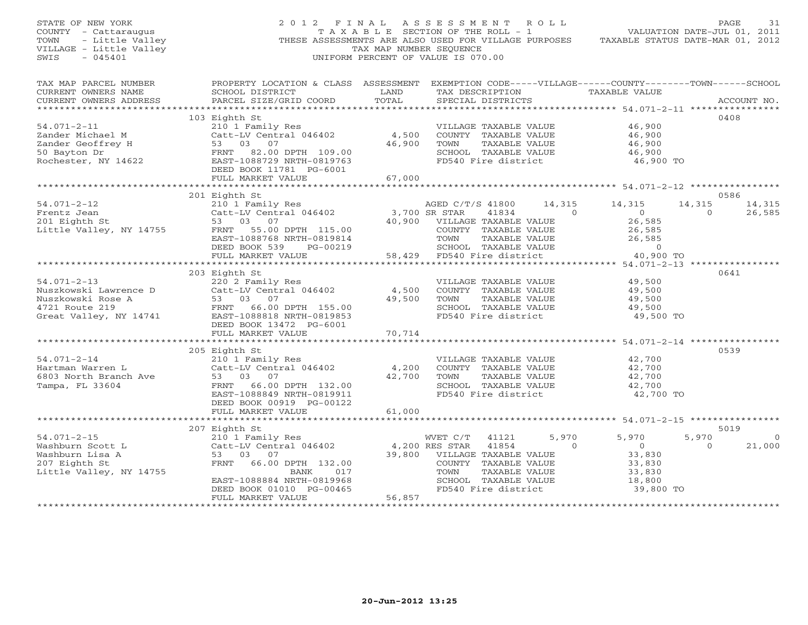| STATE OF NEW YORK<br>COUNTY - Cattaraugus<br>- Little Valley<br>TOWN<br>VILLAGE - Little Valley<br>$-045401$<br>SWIS | 2012 FINAL<br>THESE ASSESSMENTS ARE ALSO USED FOR VILLAGE PURPOSES                                                                                                                 | TAXABLE SECTION OF THE ROLL - 1<br>TAX MAP NUMBER SEQUENCE<br>UNIFORM PERCENT OF VALUE IS 070.00 | ASSESSMENT ROLL                                                    |                                                                                                               |                    | TAXABLE STATUS DATE-MAR 01, 2012                                                                                      |                    | PAGE<br>31<br>VALUATION DATE-JUL 01, 2011 |
|----------------------------------------------------------------------------------------------------------------------|------------------------------------------------------------------------------------------------------------------------------------------------------------------------------------|--------------------------------------------------------------------------------------------------|--------------------------------------------------------------------|---------------------------------------------------------------------------------------------------------------|--------------------|-----------------------------------------------------------------------------------------------------------------------|--------------------|-------------------------------------------|
| TAX MAP PARCEL NUMBER<br>CURRENT OWNERS NAME<br>CURRENT OWNERS ADDRESS                                               | PROPERTY LOCATION & CLASS ASSESSMENT<br>SCHOOL DISTRICT<br>PARCEL SIZE/GRID COORD                                                                                                  | LAND<br>TOTAL<br>**********                                                                      |                                                                    | TAX DESCRIPTION<br>SPECIAL DISTRICTS                                                                          |                    | EXEMPTION CODE-----VILLAGE------COUNTY--------TOWN------SCHOOL<br>TAXABLE VALUE<br>*********** 54.071-2-11 ********** |                    | ACCOUNT NO.                               |
| $54.071 - 2 - 11$<br>Zander Michael M<br>Zander Geoffrey H<br>50 Bayton Dr<br>Rochester, NY 14622                    | 103 Eighth St<br>210 1 Family Res<br>Catt-LV Central 046402<br>53 03 07<br>FRNT 82.00 DPTH 109.00<br>EAST-1088729 NRTH-0819763<br>DEED BOOK 11781 PG-6001<br>FULL MARKET VALUE     | 4,500<br>46,900<br>67,000                                                                        | TOWN                                                               | VILLAGE TAXABLE VALUE<br>COUNTY TAXABLE VALUE<br>TAXABLE VALUE<br>SCHOOL TAXABLE VALUE<br>FD540 Fire district |                    | 46,900<br>46,900<br>46,900<br>46,900<br>46,900 TO                                                                     |                    | 0408                                      |
|                                                                                                                      |                                                                                                                                                                                    |                                                                                                  |                                                                    |                                                                                                               |                    |                                                                                                                       |                    |                                           |
| $54.071 - 2 - 12$<br>Frentz Jean<br>201 Eighth St<br>Little Valley, NY 14755                                         | 201 Eighth St<br>210 1 Family Res<br>Catt-LV Central 046402<br>53 03<br>07<br>FRNT 55.00 DPTH 115.00<br>EAST-1088768 NRTH-0819814                                                  | 40,900                                                                                           | AGED C/T/S 41800<br>3,700 SR STAR<br>VILLAGE TAXABLE VALUE<br>TOWN | 41834<br>COUNTY TAXABLE VALUE<br>TAXABLE VALUE                                                                | 14,315<br>$\Omega$ | 14,315<br>$\overline{0}$<br>26,585<br>26,585<br>26,585                                                                | 14,315<br>$\Omega$ | 0586<br>14,315<br>26,585                  |
|                                                                                                                      | DEED BOOK 539<br>PG-00219<br>FULL MARKET VALUE<br>***********************                                                                                                          | 58,429                                                                                           |                                                                    | SCHOOL TAXABLE VALUE<br>FD540 Fire district                                                                   |                    | $\circ$<br>40,900 TO                                                                                                  |                    |                                           |
| $54.071 - 2 - 13$<br>Nuszkowski Lawrence D<br>Nuszkowski Rose A<br>4721 Route 219<br>Great Valley, NY 14741          | 203 Eighth St<br>220 2 Family Res<br>Catt-LV Central 046402<br>53 03 07<br>FRNT 66.00 DPTH 155.00<br>EAST-1088818 NRTH-0819853<br>DEED BOOK 13472 PG-6001                          | 4,500<br>49,500                                                                                  | TOWN                                                               | VILLAGE TAXABLE VALUE<br>COUNTY TAXABLE VALUE<br>TAXABLE VALUE<br>SCHOOL TAXABLE VALUE<br>FD540 Fire district |                    | 49,500<br>49,500<br>49,500<br>49,500<br>49,500 TO                                                                     |                    | 0641                                      |
|                                                                                                                      | FULL MARKET VALUE                                                                                                                                                                  | 70,714                                                                                           |                                                                    |                                                                                                               |                    |                                                                                                                       |                    |                                           |
| $54.071 - 2 - 14$<br>Hartman Warren L<br>6803 North Branch Ave<br>Tampa, FL 33604                                    | 205 Eighth St<br>210 1 Family Res<br>Catt-LV Central 046402<br>53 03 07<br>66.00 DPTH 132.00<br>FRNT<br>EAST-1088849 NRTH-0819911<br>DEED BOOK 00919 PG-00122<br>FULL MARKET VALUE | 4,200<br>42,700<br>61,000                                                                        | TOWN                                                               | VILLAGE TAXABLE VALUE<br>COUNTY TAXABLE VALUE<br>TAXABLE VALUE<br>SCHOOL TAXABLE VALUE<br>FD540 Fire district |                    | 42,700<br>42,700<br>42,700<br>42,700<br>42,700 TO                                                                     |                    | 0539                                      |
|                                                                                                                      |                                                                                                                                                                                    |                                                                                                  |                                                                    |                                                                                                               |                    |                                                                                                                       |                    |                                           |
| $54.071 - 2 - 15$<br>Washburn Scott L<br>Washburn Lisa A<br>207 Eighth St<br>Little Valley, NY 14755                 | 207 Eighth St<br>210 1 Family Res<br>Catt-LV Central 046402<br>53 03<br>07<br>66.00 DPTH 132.00<br>FRNT<br>BANK<br>017                                                             | 39,800                                                                                           | WVET C/T<br>4,200 RES STAR<br>TOWN                                 | 41121<br>41854<br>VILLAGE TAXABLE VALUE<br>COUNTY TAXABLE VALUE<br>TAXABLE VALUE                              | 5,970<br>$\Omega$  | 5,970<br>$\Omega$<br>33,830<br>33,830<br>33,830                                                                       | 5,970<br>$\Omega$  | 5019<br>$\mathbf{0}$<br>21,000            |
|                                                                                                                      | EAST-1088884 NRTH-0819968<br>DEED BOOK 01010 PG-00465<br>FULL MARKET VALUE                                                                                                         | 56,857<br><b>+++++++++++</b>                                                                     |                                                                    | SCHOOL TAXABLE VALUE<br>FD540 Fire district                                                                   |                    | 18,800<br>39,800 TO                                                                                                   |                    |                                           |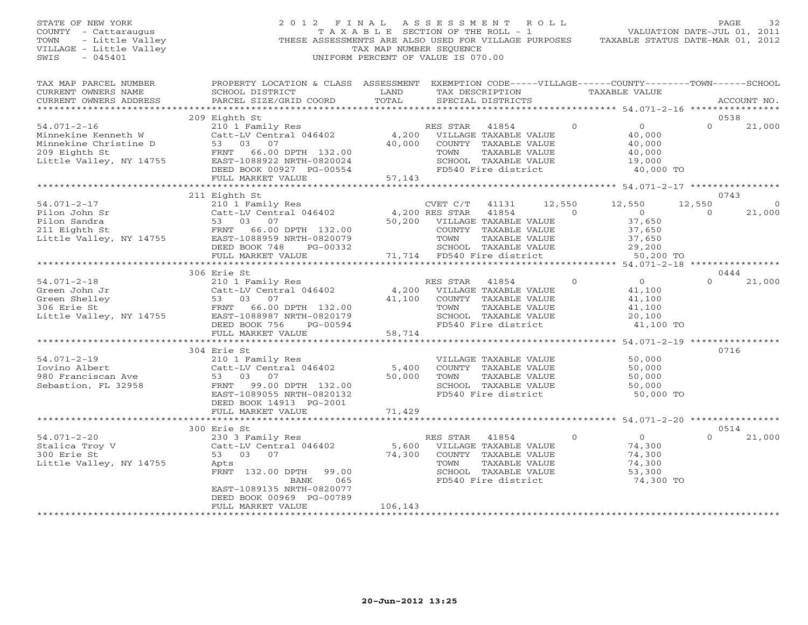STATE OF NEW YORK 2 0 1 2 F I N A L A S S E S S M E N T R O L L PAGE 32 COUNTY - Cattaraugus T A X A B L E SECTION OF THE ROLL - 1 VALUATION DATE-JUL 01, 2011 TOWN - Little Valley **These ASSESSMENTS ARE ALSO USED FOR VILLAGE PURPOSES** TAXABLE STATUS DATE-MAR 01, 2012<br>VILLAGE - Little Valley **These State of Tax Map NUMBER SEQUENCE** VILLAGE - Little Valley and the Communist Communist Communist Communist Communist Communist Communist Communist Communist Communist Communist Communist Communist Communist Communist Communist Communist Communist Communist SWIS - 045401 UNIFORM PERCENT OF VALUE IS 070.00

| TAX MAP PARCEL NUMBER<br>CURRENT OWNERS NAME<br>CURRENT OWNERS ADDRESS                                                                                                                                                                                     | PROPERTY LOCATION & CLASS ASSESSMENT<br>SCHOOL DISTRICT<br>PARCEL SIZE/GRID COORD                             | LAND<br>TOTAL                                             |                             | TAX DESCRIPTION TAXABLE VALUE<br>SPECIAL DISTRICTS |                |               | EXEMPTION CODE-----VILLAGE------COUNTY--------TOWN------SCHOOL |          | ACCOUNT NO.    |
|------------------------------------------------------------------------------------------------------------------------------------------------------------------------------------------------------------------------------------------------------------|---------------------------------------------------------------------------------------------------------------|-----------------------------------------------------------|-----------------------------|----------------------------------------------------|----------------|---------------|----------------------------------------------------------------|----------|----------------|
|                                                                                                                                                                                                                                                            |                                                                                                               |                                                           |                             |                                                    |                |               |                                                                |          |                |
|                                                                                                                                                                                                                                                            | 209 Eighth St                                                                                                 |                                                           |                             |                                                    |                |               |                                                                |          | 0538           |
| $54.071-2-16$<br>Minnekine Kenneth W Catt-LV Central vivi-<br>Minnekine Christine D 53 03 07<br>FRNT 66.00 DPTH 132.00<br>$-2.27 - 1088922$ NRTH-0820024                                                                                                   | 210 1 Family Res<br>Catt-LV Central 046402 4,200 VILLAGE TAXABLE VALUE                                        | 40,000                                                    | RES STAR<br>TOWN            | 41854<br>COUNTY TAXABLE VALUE<br>TAXABLE VALUE     |                | $\Omega$      | $\overline{0}$<br>40,000<br>$\frac{10}{10}$ , 000<br>40,000    | $\Omega$ | 21,000         |
|                                                                                                                                                                                                                                                            | DEED BOOK 00927 PG-00554<br>$\overline{a}$                                                                    |                                                           |                             | SCHOOL TAXABLE VALUE<br>FD540 Fire district        |                |               | 19,000<br>40,000 TO                                            |          |                |
|                                                                                                                                                                                                                                                            | FULL MARKET VALUE<br>********************************                                                         | 57,143                                                    |                             |                                                    |                |               |                                                                |          |                |
|                                                                                                                                                                                                                                                            | 211 Eighth St                                                                                                 |                                                           |                             |                                                    |                |               |                                                                |          | 0743           |
| $54.071 - 2 - 17$                                                                                                                                                                                                                                          | 210 1 Family Res                                                                                              |                                                           | CVET C/T 41131              |                                                    |                | 12,550 12,550 |                                                                | 12,550   | $\overline{0}$ |
| 1991 - 2008 - 2011<br>Pilon John Sr<br>Pilon Sandra<br>Pilon Sandra<br>211 Eighth St<br>211 Eighth St<br>211 Eighth St<br>211 Eighth St<br>211 Eighth St<br>211 Eighth St<br>211 Eighth St<br>211 Eighth St<br>211 Eighth St<br>211 Eighth St<br>211 Eight |                                                                                                               |                                                           |                             | 41854                                              | $\overline{0}$ |               |                                                                | $\Omega$ | 21,000         |
|                                                                                                                                                                                                                                                            |                                                                                                               |                                                           |                             | VILLAGE TAXABLE VALUE                              |                |               | $0$<br>37.650<br>37,650                                        |          |                |
|                                                                                                                                                                                                                                                            |                                                                                                               |                                                           |                             | COUNTY TAXABLE VALUE                               |                |               |                                                                |          |                |
|                                                                                                                                                                                                                                                            |                                                                                                               |                                                           |                             | TAXABLE VALUE                                      |                |               | 37,650<br>37,650                                               |          |                |
|                                                                                                                                                                                                                                                            | DEED BOOK 748<br>PG-00332                                                                                     | -00332 SCHOOL TAXABLE VALUE<br>71,714 FD540 Fire district |                             |                                                    |                |               | 29,200                                                         |          |                |
|                                                                                                                                                                                                                                                            | FULL MARKET VALUE                                                                                             |                                                           |                             |                                                    |                |               | 50,200 TO                                                      |          |                |
|                                                                                                                                                                                                                                                            |                                                                                                               |                                                           |                             |                                                    |                |               |                                                                |          |                |
|                                                                                                                                                                                                                                                            | 306 Erie St                                                                                                   |                                                           |                             |                                                    |                |               |                                                                |          | 0444           |
|                                                                                                                                                                                                                                                            |                                                                                                               |                                                           | RES STAR                    | 41854                                              | $\overline{0}$ |               | $\overline{0}$                                                 | $\Omega$ | 21,000         |
|                                                                                                                                                                                                                                                            | Catt-LV Central 046402 4,200 VILLAGE TAXABLE VALUE                                                            |                                                           |                             |                                                    |                |               | 41,100                                                         |          |                |
|                                                                                                                                                                                                                                                            |                                                                                                               |                                                           | 41,100 COUNTY TAXABLE VALUE |                                                    |                |               | 41,100                                                         |          |                |
|                                                                                                                                                                                                                                                            |                                                                                                               |                                                           | TOWN                        | TAXABLE VALUE<br>SCHOOL TAXABLE VALUE              |                |               | 41,100<br>20,100                                               |          |                |
|                                                                                                                                                                                                                                                            |                                                                                                               |                                                           |                             | FD540 Fire district                                |                |               | 41,100 TO                                                      |          |                |
|                                                                                                                                                                                                                                                            | FULL MARKET VALUE                                                                                             | 58,714                                                    |                             |                                                    |                |               |                                                                |          |                |
|                                                                                                                                                                                                                                                            |                                                                                                               |                                                           |                             |                                                    |                |               |                                                                |          |                |
|                                                                                                                                                                                                                                                            | 304 Erie St                                                                                                   |                                                           |                             |                                                    |                |               |                                                                |          | 0716           |
| $54.071 - 2 - 19$                                                                                                                                                                                                                                          | 210 1 Family Res                                                                                              |                                                           |                             | VILLAGE TAXABLE VALUE                              |                |               | 50,000                                                         |          |                |
| Iovino Albert                                                                                                                                                                                                                                              | $\begin{array}{r}\n\text{Cat} - \text{L} & \text{C} \\ \text{Cat} - \text{L} & \text{C} \\ \end{array}$ 1.400 |                                                           |                             | COUNTY TAXABLE VALUE                               |                |               | $50,000$<br>$50,000$                                           |          |                |
| 980 Franciscan Ave                                                                                                                                                                                                                                         | 53 03 07                                                                                                      | 50,000                                                    | TOWN                        | TAXABLE VALUE                                      |                |               | 50,000                                                         |          |                |
| Sebastion, FL 32958                                                                                                                                                                                                                                        | FRNT<br>99.00 DPTH 132.00                                                                                     |                                                           |                             | SCHOOL TAXABLE VALUE                               |                |               | 50,000                                                         |          |                |
|                                                                                                                                                                                                                                                            | EAST-1089055 NRTH-0820132<br>DEED BOOK 14913 PG-2001                                                          |                                                           |                             | FD540 Fire district                                |                |               | 50,000 TO                                                      |          |                |
|                                                                                                                                                                                                                                                            | FULL MARKET VALUE<br>***************************                                                              | 71,429                                                    |                             |                                                    |                |               | ******************************* 54.071-2-20 *****************  |          |                |
|                                                                                                                                                                                                                                                            | 300 Erie St                                                                                                   |                                                           |                             |                                                    |                |               |                                                                |          | 0514           |
| $54.071 - 2 - 20$                                                                                                                                                                                                                                          |                                                                                                               |                                                           | RES STAR                    | 41854                                              |                | $\Omega$      | $\overline{0}$                                                 | $\Omega$ | 21,000         |
| Stalica Troy V                                                                                                                                                                                                                                             |                                                                                                               | $5,600$ VILLAGE TAXABLE VALUE                             |                             |                                                    |                |               | 74,300                                                         |          |                |
| 300 Erie St                                                                                                                                                                                                                                                | 230 3 Family Res<br>Catt-LV Central 046402<br>53 03 07                                                        | 74,300                                                    |                             | COUNTY TAXABLE VALUE                               |                |               | 74,300                                                         |          |                |
| Little Valley, NY 14755                                                                                                                                                                                                                                    | Apts                                                                                                          |                                                           | TOWN                        | TAXABLE VALUE                                      |                |               | 74,300                                                         |          |                |
|                                                                                                                                                                                                                                                            | FRNT 132.00 DPTH 99.00                                                                                        |                                                           |                             | SCHOOL TAXABLE VALUE                               |                |               | 53,300                                                         |          |                |
|                                                                                                                                                                                                                                                            | 065<br>BANK                                                                                                   |                                                           |                             | FD540 Fire district                                |                |               | 74,300 TO                                                      |          |                |
|                                                                                                                                                                                                                                                            | EAST-1089135 NRTH-0820077                                                                                     |                                                           |                             |                                                    |                |               |                                                                |          |                |
|                                                                                                                                                                                                                                                            | DEED BOOK 00969 PG-00789                                                                                      |                                                           |                             |                                                    |                |               |                                                                |          |                |
|                                                                                                                                                                                                                                                            | FULL MARKET VALUE                                                                                             | 106,143                                                   |                             |                                                    |                |               |                                                                |          |                |
|                                                                                                                                                                                                                                                            |                                                                                                               |                                                           |                             |                                                    |                |               |                                                                |          |                |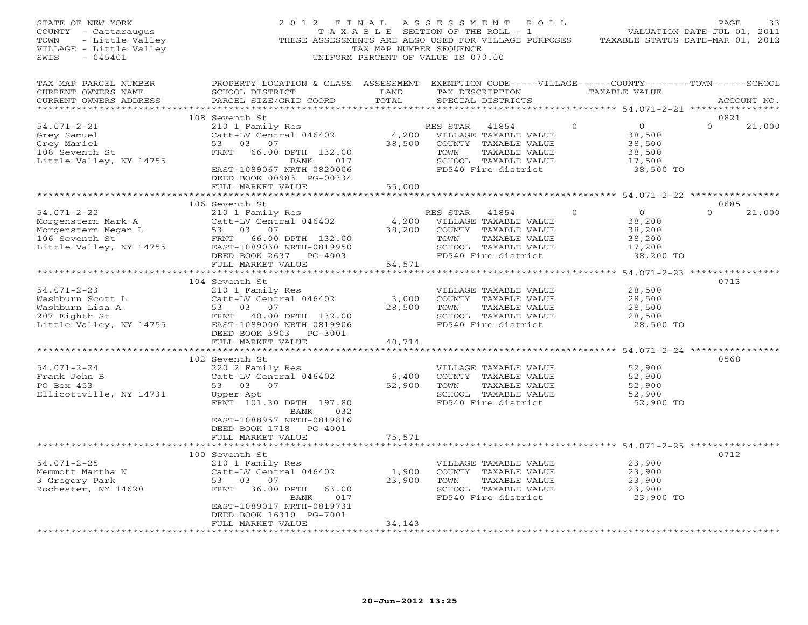| STATE OF NEW YORK<br>COUNTY - Cattaraugus<br>TOWN<br>- Little Valley<br>VILLAGE - Little Valley<br>SWIS<br>$-045401$ |                                                                                                                                                                                   | TAX MAP NUMBER SEQUENCE   | 2012 FINAL ASSESSMENT ROLL<br>T A X A B L E SECTION OF THE ROLL - 1<br>THESE ASSESSMENTS ARE ALSO USED FOR VILLAGE PURPOSES<br>UNIFORM PERCENT OF VALUE IS 070.00 |              | VALUATION DATE-JUL 01, 2011<br>TAXABLE STATUS DATE-MAR 01, 2012     | PAGE        | 33     |
|----------------------------------------------------------------------------------------------------------------------|-----------------------------------------------------------------------------------------------------------------------------------------------------------------------------------|---------------------------|-------------------------------------------------------------------------------------------------------------------------------------------------------------------|--------------|---------------------------------------------------------------------|-------------|--------|
| TAX MAP PARCEL NUMBER<br>CURRENT OWNERS NAME<br>CURRENT OWNERS ADDRESS                                               | PROPERTY LOCATION & CLASS ASSESSMENT EXEMPTION CODE-----VILLAGE------COUNTY-------TOWN------SCHOOL<br>SCHOOL DISTRICT<br>PARCEL SIZE/GRID COORD                                   | LAND<br>TOTAL             | TAX DESCRIPTION<br>SPECIAL DISTRICTS                                                                                                                              |              | TAXABLE VALUE                                                       | ACCOUNT NO. |        |
|                                                                                                                      | 108 Seventh St                                                                                                                                                                    |                           |                                                                                                                                                                   |              |                                                                     | 0821        |        |
| $54.071 - 2 - 21$<br>Grey Samuel<br>Grey Mariel<br>108 Seventh St<br>Little Valley, NY 14755                         | 210 1 Family Res<br>Catt-LV Central 046402<br>53 03<br>07<br>FRNT 66.00 DPTH 132.00<br>BANK<br>017<br>EAST-1089067 NRTH-0820006<br>DEED BOOK 00983 PG-00334                       | 4,200<br>38,500<br>55,000 | RES STAR<br>41854<br>VILLAGE TAXABLE VALUE<br>COUNTY TAXABLE VALUE<br>TAXABLE VALUE<br>TOWN<br>SCHOOL TAXABLE VALUE<br>FD540 Fire district                        | $\mathbf{0}$ | $\circ$<br>38,500<br>38,500<br>38,500<br>17,500<br>38,500 TO        | $\Omega$    | 21,000 |
|                                                                                                                      | FULL MARKET VALUE                                                                                                                                                                 |                           |                                                                                                                                                                   |              |                                                                     |             |        |
|                                                                                                                      | 106 Seventh St                                                                                                                                                                    |                           |                                                                                                                                                                   |              |                                                                     | 0685        |        |
| $54.071 - 2 - 22$<br>Morgenstern Mark A<br>Morgenstern Megan L<br>106 Seventh St<br>Little Valley, NY 14755          | 210 1 Family Res<br>Catt-LV Central 046402<br>53<br>03 07<br>FRNT 66.00 DPTH 132.00<br>EAST-1089030 NRTH-0819950<br>DEED BOOK 2637 PG-4003<br>FULL MARKET VALUE                   | 4,200<br>38,200<br>54,571 | RES STAR 41854<br>VILLAGE TAXABLE VALUE<br>COUNTY TAXABLE VALUE<br>TOWN<br>TAXABLE VALUE<br>SCHOOL TAXABLE VALUE<br>FD540 Fire district                           | $\Omega$     | $\overline{0}$<br>38,200<br>38,200<br>38,200<br>17,200<br>38,200 TO | $\Omega$    | 21,000 |
|                                                                                                                      |                                                                                                                                                                                   |                           |                                                                                                                                                                   |              |                                                                     |             |        |
| $54.071 - 2 - 23$<br>Washburn Scott L<br>Washburn Lisa A<br>207 Eighth St<br>Little Valley, NY 14755                 | 104 Seventh St<br>210 1 Family Res<br>Catt-LV Central 046402<br>53<br>03 07<br>FRNT 40.00 DPTH 132.00<br>EAST-1089000 NRTH-0819906<br>DEED BOOK 3903 PG-3001<br>FULL MARKET VALUE | 3,000<br>28,500<br>40,714 | VILLAGE TAXABLE VALUE<br>COUNTY TAXABLE VALUE<br>TOWN<br>TAXABLE VALUE<br>SCHOOL TAXABLE VALUE<br>FD540 Fire district                                             |              | 28,500<br>28,500<br>28,500<br>28,500<br>28,500 TO                   | 0713        |        |
|                                                                                                                      |                                                                                                                                                                                   |                           |                                                                                                                                                                   |              |                                                                     |             |        |
| $54.071 - 2 - 24$<br>Frank John B<br>PO Box 453<br>Ellicottville, NY 14731                                           | 102 Seventh St<br>220 2 Family Res<br>Catt-LV Central 046402<br>53 03 07<br>Upper Apt<br>FRNT 101.30 DPTH 197.80<br>BANK<br>032                                                   | 6,400<br>52,900           | VILLAGE TAXABLE VALUE<br>COUNTY TAXABLE VALUE<br>TOWN<br>TAXABLE VALUE<br>SCHOOL TAXABLE VALUE<br>FD540 Fire district                                             |              | 52,900<br>52,900<br>52,900<br>52,900<br>52,900 TO                   | 0568        |        |
|                                                                                                                      | EAST-1088957 NRTH-0819816<br>DEED BOOK 1718 PG-4001<br>FULL MARKET VALUE                                                                                                          | 75,571                    |                                                                                                                                                                   |              |                                                                     |             |        |
|                                                                                                                      |                                                                                                                                                                                   |                           |                                                                                                                                                                   |              |                                                                     | 0712        |        |
| $54.071 - 2 - 25$<br>Memmott Martha N<br>3 Gregory Park<br>Rochester, NY 14620                                       | 100 Seventh St<br>210 1 Family Res<br>Catt-LV Central 046402<br>53 03 07<br>FRNT<br>36.00 DPTH<br>63.00<br>017<br>BANK                                                            | 1,900<br>23,900           | VILLAGE TAXABLE VALUE<br>COUNTY TAXABLE VALUE<br>TAXABLE VALUE<br>TOWN<br>SCHOOL TAXABLE VALUE<br>FD540 Fire district                                             |              | 23,900<br>23,900<br>23,900<br>23,900<br>23,900 TO                   |             |        |
|                                                                                                                      | EAST-1089017 NRTH-0819731<br>DEED BOOK 16310 PG-7001<br>FULL MARKET VALUE<br>* * * * * * * * * * * * * * * * * * *                                                                | 34,143                    |                                                                                                                                                                   |              |                                                                     |             |        |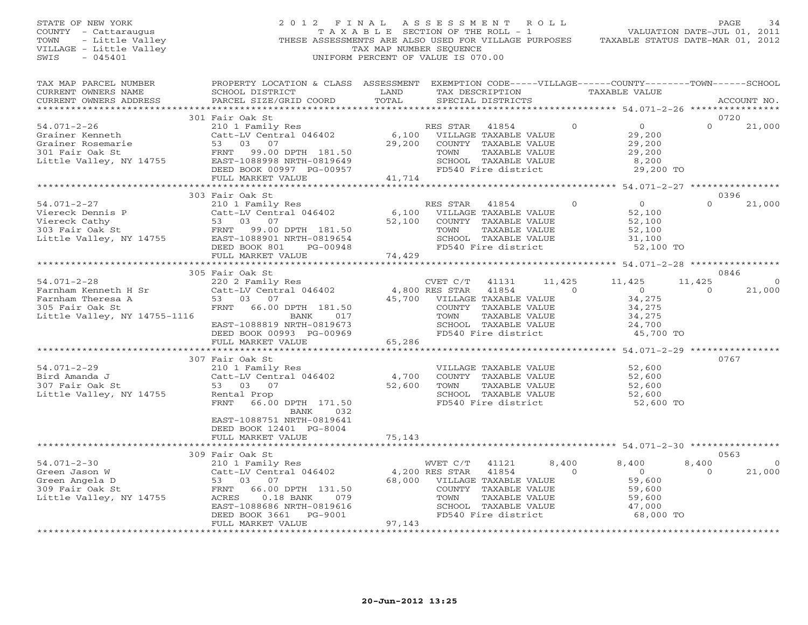STATE OF NEW YORK 2 0 1 2 F I N A L A S S E S S M E N T R O L L PAGE 34COUNTY - Cattaraugus T A X A B L E SECTION OF THE ROLL - 1 VALUATION DATE-JUL 01, 2011 TOWN - Little Valley THESE ASSESSMENTS ARE ALSO USED FOR VILLAGE PURPOSES<br>VILLAGE - Little Valley TAX MAP NUMBER SEQUENCE VILLAGE - Little Valley<br>
SWIS - 045401<br>
UNIFORM PERCENT OF VALUE IS 070 UNIFORM PERCENT OF VALUE IS 070.00

VALUATION DATE-JUL 01, 2011

| TAX MAP PARCEL NUMBER<br>CURRENT OWNERS NAME<br>CURRENT OWNERS ADDRESS                                                                                                                                                                                | PROPERTY LOCATION & CLASS ASSESSMENT EXEMPTION CODE-----VILLAGE------COUNTY-------TOWN------SCHOOL<br>SCHOOL DISTRICT<br>PARCEL SIZE/GRID COORD                                                                             | LAND<br>TOTAL    | TAX DESCRIPTION<br>SPECIAL DISTRICTS                                                                                                                       | TAXABLE VALUE                                                                           | ACCOUNT NO.                           |
|-------------------------------------------------------------------------------------------------------------------------------------------------------------------------------------------------------------------------------------------------------|-----------------------------------------------------------------------------------------------------------------------------------------------------------------------------------------------------------------------------|------------------|------------------------------------------------------------------------------------------------------------------------------------------------------------|-----------------------------------------------------------------------------------------|---------------------------------------|
|                                                                                                                                                                                                                                                       |                                                                                                                                                                                                                             |                  |                                                                                                                                                            |                                                                                         |                                       |
| $54.071 - 2 - 26$                                                                                                                                                                                                                                     | 301 Fair Oak St<br>210 1 Family Res<br>Catt-LV Central 046402<br>DEED BOOK 00997 PG-00957<br>FULL MARKET VALUE                                                                                                              | 29,200<br>41,714 | 41854<br>RES STAR<br>6,100 VILLAGE TAXABLE VALUE<br>COUNTY TAXABLE VALUE<br>TAXABLE VALUE<br>TOWN<br>SCHOOL TAXABLE VALUE<br>FD540 Fire district           | $\circ$<br>$\overline{O}$<br>29,200<br>29,200<br>29,200<br>8,200<br>29,200 TO           | 0720<br>21,000<br>$\Omega$            |
|                                                                                                                                                                                                                                                       |                                                                                                                                                                                                                             |                  |                                                                                                                                                            | ***************** 54.071-2-27 ****************                                          |                                       |
| 54.071-2-27<br>1999) 54.071-2-27 1999 210 1 Family Res (100 KES STAK 41694<br>Viereck Dennis P Catt-LV Central 046402 6,100 VILLAGE TAXABLE VALUE<br>Viereck Cathy 53 03 07<br>303 Fair Oak St FRNT 99.00 DPTH 181.50 TOWN TAXABLE VALUE<br>27.100 CO | 303 Fair Oak St<br>210 1 Family Res<br>DEED BOOK 801<br>FULL MARKET VALUE                                                                                                                                                   |                  | RES STAR<br>41854<br>SCHOOL TAXABLE VALUE<br>FD540 Fire district                                                                                           | $\overline{O}$<br>$\circ$<br>52,100<br>52,100<br>52,100<br>31,100<br>52,100 TO          | 0396<br>21,000<br>$\Omega$            |
|                                                                                                                                                                                                                                                       | 305 Fair Oak St                                                                                                                                                                                                             |                  |                                                                                                                                                            |                                                                                         | 0846                                  |
| 1.071-2-28 (54.071-2-28 (54.071-2-28 (54.071-2-28 (54.071-2-28 (54.071-2-28 (54.5) (54.5) (54.5) (54.5) (54.5<br>Farnham Theresa A (53.03 07 (53.00 DPTH 181.50 (54.700 VILLAGE 51.50 (55.5 mir 0ak St<br>Little Valley, NY 14755-1116                | BANK<br>017<br>EAST-1088819 NRTH-0819673<br>DEED BOOK 00993 PG-00969                                                                                                                                                        |                  | 41131<br>41854<br>$\sim$ 0<br>45,700 VILLAGE TAXABLE VALUE<br>COUNTY TAXABLE VALUE<br>TAXABLE VALUE<br>TOWN<br>SCHOOL TAXABLE VALUE<br>FD540 Fire district | 11,425<br>11,425<br>$\overline{0}$<br>34,275<br>34,275<br>34,275<br>24,700<br>45,700 TO | 11,425<br>21,000<br>$\Omega$          |
|                                                                                                                                                                                                                                                       | FULL MARKET VALUE                                                                                                                                                                                                           | 65,286           |                                                                                                                                                            |                                                                                         |                                       |
| 54.071-2-29<br>Bird Amanda J<br>307 Fair Oak St<br>Little Valley, NY 14755                                                                                                                                                                            | 307 Fair Oak St<br>210 1 Family Res<br>Catt-LV Central 046402<br>53 03 07<br>Rental Prop<br>FRNT<br>66.00 DPTH 171.50<br>BANK<br>032<br>EAST-1088751 NRTH-0819641<br>DEED BOOK 12401 PG-8004                                | 4,700<br>52,600  | VILLAGE TAXABLE VALUE 52,600<br>COUNTY TAXABLE VALUE<br>TOWN<br>TAXABLE VALUE<br>SCHOOL TAXABLE VALUE<br>FD540 Fire district                               | 52,600<br>52,600<br>52,600<br>52,600 TO                                                 | 0767                                  |
|                                                                                                                                                                                                                                                       | FULL MARKET VALUE                                                                                                                                                                                                           | 75,143           |                                                                                                                                                            |                                                                                         |                                       |
|                                                                                                                                                                                                                                                       | 309 Fair Oak St                                                                                                                                                                                                             |                  |                                                                                                                                                            |                                                                                         | 0563                                  |
| $54.071 - 2 - 30$<br>Green Jason W<br>Green Angela D<br>309 Fair Oak St<br>Little Valley, NY 14755                                                                                                                                                    | rair Oak St<br>210 1 Family Res<br>$510$ I Family NCD<br>Catt-LV Central 046402 4,200 RES STAR<br>53 03 07 100 1111 50 68,000 VILLAGE<br>FRNT 66.00 DPTH 131.50<br>ACRES<br>$0.18$ BANK<br>079<br>EAST-1088686 NRTH-0819616 |                  | WVET C/T 41121<br>41854<br>68,000 VILLAGE TAXABLE VALUE<br>COUNTY<br>TAXABLE VALUE<br>TOWN<br>TAXABLE VALUE<br>SCHOOL<br>TAXABLE VALUE                     | 8,400<br>8,400<br>$\Omega$<br>$\overline{0}$<br>59,600<br>59,600<br>59,600<br>47,000    | 8,400<br>$\Omega$<br>21,000<br>$\cap$ |

\*\*\*\*\*\*\*\*\*\*\*\*\*\*\*\*\*\*\*\*\*\*\*\*\*\*\*\*\*\*\*\*\*\*\*\*\*\*\*\*\*\*\*\*\*\*\*\*\*\*\*\*\*\*\*\*\*\*\*\*\*\*\*\*\*\*\*\*\*\*\*\*\*\*\*\*\*\*\*\*\*\*\*\*\*\*\*\*\*\*\*\*\*\*\*\*\*\*\*\*\*\*\*\*\*\*\*\*\*\*\*\*\*\*\*\*\*\*\*\*\*\*\*\*\*\*\*\*\*\*\*\*

FULL MARKET VALUE

DEED BOOK 3661 PG-9001 FD540 Fire district 68,000 TO<br>FULL MARKET VALUE 97,143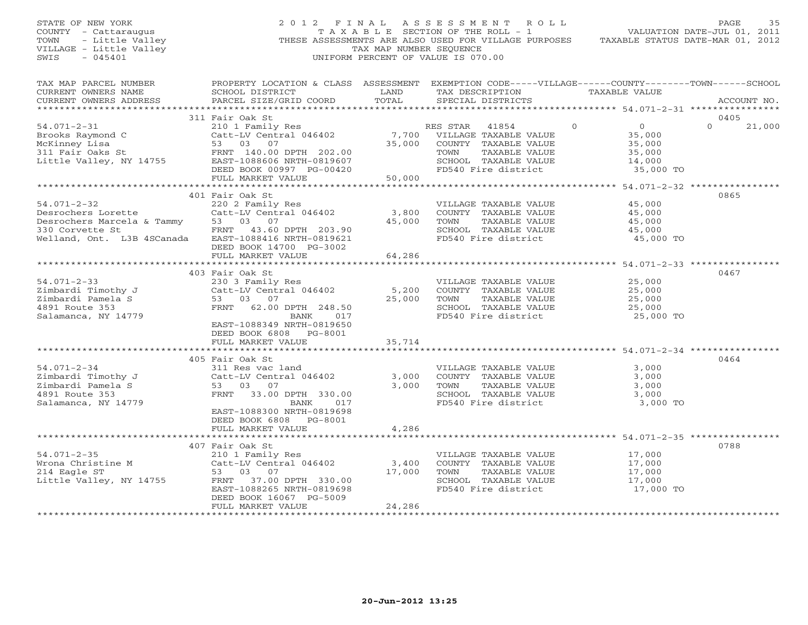STATE OF NEW YORK 2 0 1 2 F I N A L A S S E S S M E N T R O L L PAGE 35 COUNTY - Cattaraugus T A X A B L E SECTION OF THE ROLL - 1 VALUATION DATE-JUL 01, 2011 TOWN - Little Valley **These ASSESSMENTS ARE ALSO USED FOR VILLAGE PURPOSES** TAXABLE STATUS DATE-MAR 01, 2012<br>VILLAGE - Little Valley **These State of Tax Map NUMBER SEQUENCE** VILLAGE - Little Valley and the Communist Communist Communist Communist Communist Communist Communist Communist Communist Communist Communist Communist Communist Communist Communist Communist Communist Communist Communist SWIS - 045401 UNIFORM PERCENT OF VALUE IS 070.00

| TAX MAP PARCEL NUMBER                                                                                                                                                                                                                                      | PROPERTY LOCATION & CLASS ASSESSMENT EXEMPTION CODE-----VILLAGE------COUNTY-------TOWN------SCHOOL |        |                              |                                               |                    |
|------------------------------------------------------------------------------------------------------------------------------------------------------------------------------------------------------------------------------------------------------------|----------------------------------------------------------------------------------------------------|--------|------------------------------|-----------------------------------------------|--------------------|
| CURRENT OWNERS NAME                                                                                                                                                                                                                                        | SCHOOL DISTRICT                                                                                    | LAND   | TAX DESCRIPTION              | TAXABLE VALUE                                 |                    |
| CURRENT OWNERS ADDRESS                                                                                                                                                                                                                                     | PARCEL SIZE/GRID COORD                                                                             | TOTAL  | SPECIAL DISTRICTS            |                                               | ACCOUNT NO.        |
|                                                                                                                                                                                                                                                            |                                                                                                    |        |                              |                                               |                    |
|                                                                                                                                                                                                                                                            | 311 Fair Oak St                                                                                    |        |                              |                                               | 0405               |
| $54.071 - 2 - 31$                                                                                                                                                                                                                                          | 210 1 Family Res                                                                                   |        | RES STAR<br>41854            | $\Omega$<br>0                                 | $\Omega$<br>21,000 |
| Brooks Raymond C                                                                                                                                                                                                                                           | Catt-LV Central 046402 7,700 VILLAGE TAXABLE VALUE                                                 |        |                              | 35,000                                        |                    |
| McKinney Lisa                                                                                                                                                                                                                                              | 53 03 07                                                                                           | 35,000 | COUNTY TAXABLE VALUE         | 35,000                                        |                    |
| 311 Fair Oaks St<br>311 Fair Oaks St<br>311 Fair Oaks St<br>311 Fair Oaks St<br>32.00<br>32.00<br>32.00<br>33.00<br>33.00<br>33.00<br>340.00<br>340.00<br>340.00<br>340.00<br>340.00<br>340.00<br>340.00<br>340.00<br>340.00<br>340.00<br>340.00<br>340.00 |                                                                                                    |        | TAXABLE VALUE<br>TOWN        | 35,000                                        |                    |
|                                                                                                                                                                                                                                                            | EAST-1088606 NRTH-0819607                                                                          |        | SCHOOL TAXABLE VALUE         | 14,000                                        |                    |
|                                                                                                                                                                                                                                                            | DEED BOOK 00997 PG-00420                                                                           |        | FD540 Fire district          | 35,000 TO                                     |                    |
|                                                                                                                                                                                                                                                            | FULL MARKET VALUE                                                                                  | 50,000 |                              |                                               |                    |
|                                                                                                                                                                                                                                                            |                                                                                                    |        |                              |                                               |                    |
|                                                                                                                                                                                                                                                            | 401 Fair Oak St                                                                                    |        |                              |                                               | 0865               |
| $54.071 - 2 - 32$                                                                                                                                                                                                                                          | 220 2 Family Res                                                                                   |        | VILLAGE TAXABLE VALUE        | 45,000                                        |                    |
| Desrochers Lorette                                                                                                                                                                                                                                         | Catt-LV Central 046402                                                                             | 3,800  | COUNTY TAXABLE VALUE         | 45,000                                        |                    |
| Descochers Marcela & Tammy 53 03 07<br>33 07 33 07<br>Welland, Ont. L3B 4SCanada EAST-1088416 NRTH-0819621                                                                                                                                                 |                                                                                                    | 45,000 | TOWN<br>TAXABLE VALUE        | 45,000                                        |                    |
|                                                                                                                                                                                                                                                            |                                                                                                    |        | SCHOOL TAXABLE VALUE         | 45,000                                        |                    |
|                                                                                                                                                                                                                                                            |                                                                                                    |        | FD540 Fire district          | 45,000 TO                                     |                    |
|                                                                                                                                                                                                                                                            | DEED BOOK 14700 PG-3002                                                                            |        |                              |                                               |                    |
|                                                                                                                                                                                                                                                            | FULL MARKET VALUE                                                                                  | 64,286 |                              |                                               |                    |
|                                                                                                                                                                                                                                                            |                                                                                                    |        |                              |                                               |                    |
|                                                                                                                                                                                                                                                            | 403 Fair Oak St                                                                                    |        |                              |                                               | 0467               |
| $54.071 - 2 - 33$                                                                                                                                                                                                                                          | 230 3 Family Res                                                                                   |        | VILLAGE TAXABLE VALUE 25,000 |                                               |                    |
|                                                                                                                                                                                                                                                            | Catt-LV Central 046402                                                                             | 5,200  | COUNTY TAXABLE VALUE         | 25,000                                        |                    |
| Zimbardi Timothy J<br>Zimbardi Pamela S<br>Zimbardi Pamela S                                                                                                                                                                                               | 53 03 07                                                                                           | 25,000 | TOWN<br>TAXABLE VALUE        | 25,000                                        |                    |
| 4891 Route 353                                                                                                                                                                                                                                             | FRNT 62.00 DPTH 248.50                                                                             |        | SCHOOL TAXABLE VALUE         | 25,000                                        |                    |
| Salamanca, NY 14779                                                                                                                                                                                                                                        | BANK<br>017                                                                                        |        | FD540 Fire district          | $25,000$ TO                                   |                    |
|                                                                                                                                                                                                                                                            | EAST-1088349 NRTH-0819650                                                                          |        |                              |                                               |                    |
|                                                                                                                                                                                                                                                            | DEED BOOK 6808 PG-8001                                                                             |        |                              |                                               |                    |
|                                                                                                                                                                                                                                                            | FULL MARKET VALUE                                                                                  | 35,714 |                              |                                               |                    |
|                                                                                                                                                                                                                                                            |                                                                                                    |        |                              |                                               |                    |
|                                                                                                                                                                                                                                                            | 405 Fair Oak St                                                                                    |        |                              |                                               | 0464               |
| $54.071 - 2 - 34$                                                                                                                                                                                                                                          | 311 Res vac land                                                                                   |        | VILLAGE TAXABLE VALUE        | 3,000                                         |                    |
| Zimbardi Timothy J                                                                                                                                                                                                                                         | Catt-LV Central 046402                                                                             | 3,000  | COUNTY TAXABLE VALUE         | 3,000                                         |                    |
| Zimbardi Pamela S                                                                                                                                                                                                                                          | 53 03 07                                                                                           | 3,000  | TOWN<br>TAXABLE VALUE        | 3,000                                         |                    |
| 4891 Route 353                                                                                                                                                                                                                                             | FRNT 33.00 DPTH 330.00                                                                             |        | SCHOOL TAXABLE VALUE         | 3,000                                         |                    |
| Salamanca, NY 14779                                                                                                                                                                                                                                        | BANK<br>017                                                                                        |        | FD540 Fire district          | 3,000 TO                                      |                    |
|                                                                                                                                                                                                                                                            | EAST-1088300 NRTH-0819698                                                                          |        |                              |                                               |                    |
|                                                                                                                                                                                                                                                            | DEED BOOK 6808 PG-8001                                                                             |        |                              |                                               |                    |
|                                                                                                                                                                                                                                                            | FULL MARKET VALUE                                                                                  | 4,286  |                              |                                               |                    |
|                                                                                                                                                                                                                                                            | ************************                                                                           |        |                              | ********************* 54.071-2-35 *********** |                    |
|                                                                                                                                                                                                                                                            | 407 Fair Oak St                                                                                    |        |                              |                                               | 0788               |
| $54.071 - 2 - 35$                                                                                                                                                                                                                                          | 210 1 Family Res                                                                                   |        | VILLAGE TAXABLE VALUE        |                                               |                    |
| Wrona Christine M                                                                                                                                                                                                                                          | Catt-LV Central 046402                                                                             | 3,400  | COUNTY TAXABLE VALUE         | 17,000<br>17,000                              |                    |
| 214 Eagle ST                                                                                                                                                                                                                                               | 53 03 07                                                                                           | 17,000 | TOWN<br>TAXABLE VALUE        | 17,000                                        |                    |
| Little Valley, NY 14755                                                                                                                                                                                                                                    | FRNT 37.00 DPTH 330.00                                                                             |        | SCHOOL TAXABLE VALUE         | 17,000                                        |                    |
|                                                                                                                                                                                                                                                            | EAST-1088265 NRTH-0819698                                                                          |        | FD540 Fire district          | 17,000 TO                                     |                    |
|                                                                                                                                                                                                                                                            | DEED BOOK 16067 PG-5009                                                                            |        |                              |                                               |                    |
|                                                                                                                                                                                                                                                            | FULL MARKET VALUE                                                                                  | 24,286 |                              |                                               |                    |
|                                                                                                                                                                                                                                                            |                                                                                                    |        |                              |                                               |                    |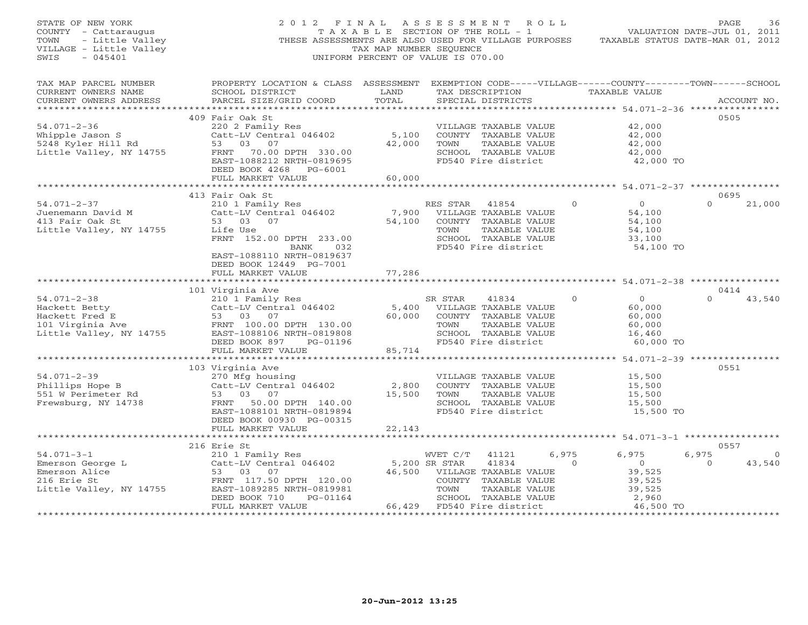| STATE OF NEW YORK<br>COUNTY - Cattaraugus<br>- Little Valley<br>TOWN<br>VILLAGE - Little Valley<br>SWIS<br>$-045401$ | 2012 FINAL<br>THESE ASSESSMENTS ARE ALSO USED FOR VILLAGE PURPOSES                | T A X A B L E SECTION OF THE ROLL - 1<br>TAX MAP NUMBER SEQUENCE<br>UNIFORM PERCENT OF VALUE IS 070.00 | ASSESSMENT ROLL |                                             |         | TAXABLE STATUS DATE-MAR 01, 2012                                                | PAGE<br>VALUATION DATE-JUL 01, 2011 | 36          |
|----------------------------------------------------------------------------------------------------------------------|-----------------------------------------------------------------------------------|--------------------------------------------------------------------------------------------------------|-----------------|---------------------------------------------|---------|---------------------------------------------------------------------------------|-------------------------------------|-------------|
| TAX MAP PARCEL NUMBER<br>CURRENT OWNERS NAME<br>CURRENT OWNERS ADDRESS                                               | PROPERTY LOCATION & CLASS ASSESSMENT<br>SCHOOL DISTRICT<br>PARCEL SIZE/GRID COORD | LAND<br>TOTAL                                                                                          |                 | TAX DESCRIPTION<br>SPECIAL DISTRICTS        |         | EXEMPTION CODE-----VILLAGE------COUNTY--------TOWN------SCHOOL<br>TAXABLE VALUE |                                     | ACCOUNT NO. |
|                                                                                                                      | 409 Fair Oak St                                                                   |                                                                                                        |                 |                                             |         |                                                                                 | 0505                                |             |
| $54.071 - 2 - 36$                                                                                                    | 220 2 Family Res                                                                  |                                                                                                        |                 | VILLAGE TAXABLE VALUE                       |         | 42,000                                                                          |                                     |             |
| Whipple Jason S                                                                                                      | Catt-LV Central 046402                                                            | 5,100                                                                                                  |                 | COUNTY TAXABLE VALUE                        |         | 42,000                                                                          |                                     |             |
| 5248 Kyler Hill Rd                                                                                                   | 53<br>03<br>07                                                                    | 42,000                                                                                                 | TOWN            | TAXABLE VALUE                               |         | 42,000                                                                          |                                     |             |
| Little Valley, NY 14755                                                                                              | 70.00 DPTH 330.00<br>FRNT                                                         |                                                                                                        |                 | SCHOOL TAXABLE VALUE                        |         | 42,000                                                                          |                                     |             |
|                                                                                                                      | EAST-1088212 NRTH-0819695                                                         |                                                                                                        |                 | FD540 Fire district                         |         | 42,000 TO                                                                       |                                     |             |
|                                                                                                                      | DEED BOOK 4268 PG-6001                                                            |                                                                                                        |                 |                                             |         |                                                                                 |                                     |             |
|                                                                                                                      | FULL MARKET VALUE                                                                 | 60,000                                                                                                 |                 |                                             |         |                                                                                 |                                     |             |
|                                                                                                                      | 413 Fair Oak St                                                                   |                                                                                                        |                 |                                             |         | *************** 54.071-2-37 **************                                      | 0695                                |             |
| $54.071 - 2 - 37$                                                                                                    | 210 1 Family Res                                                                  |                                                                                                        | RES STAR        | 41854                                       | $\circ$ | $\overline{0}$                                                                  | $\mathbf{O}$                        | 21,000      |
| Juenemann David M                                                                                                    | Catt-LV Central 046402                                                            | 7,900                                                                                                  |                 | VILLAGE TAXABLE VALUE                       |         | 54,100                                                                          |                                     |             |
| 413 Fair Oak St                                                                                                      | 53 03 07                                                                          | 54,100                                                                                                 |                 | COUNTY TAXABLE VALUE                        |         | 54,100                                                                          |                                     |             |
| Little Valley, NY 14755                                                                                              | Life Use                                                                          |                                                                                                        | TOWN            | TAXABLE VALUE                               |         | 54,100                                                                          |                                     |             |
|                                                                                                                      | FRNT 152.00 DPTH 233.00                                                           |                                                                                                        |                 | SCHOOL TAXABLE VALUE                        |         | 33,100                                                                          |                                     |             |
|                                                                                                                      | BANK<br>032                                                                       |                                                                                                        |                 | FD540 Fire district                         |         | 54,100 TO                                                                       |                                     |             |
|                                                                                                                      | EAST-1088110 NRTH-0819637                                                         |                                                                                                        |                 |                                             |         |                                                                                 |                                     |             |
|                                                                                                                      | DEED BOOK 12449 PG-7001<br>FULL MARKET VALUE                                      | 77,286                                                                                                 |                 |                                             |         |                                                                                 |                                     |             |
|                                                                                                                      |                                                                                   |                                                                                                        |                 |                                             |         |                                                                                 |                                     |             |
|                                                                                                                      | 101 Virginia Ave                                                                  |                                                                                                        |                 |                                             |         |                                                                                 | 0414                                |             |
| $54.071 - 2 - 38$                                                                                                    | 210 1 Family Res                                                                  |                                                                                                        | SR STAR         | 41834                                       | $\circ$ | $\overline{O}$                                                                  | $\cap$                              | 43,540      |
| Hackett Betty                                                                                                        | Catt-LV Central 046402                                                            | 5,400                                                                                                  |                 | VILLAGE TAXABLE VALUE                       |         | 60,000                                                                          |                                     |             |
| Hackett Fred E<br>101 Virginia Ave<br>11th Carlo Title                                                               | 53 03<br>07                                                                       | 60,000                                                                                                 |                 | COUNTY TAXABLE VALUE                        |         | 60,000                                                                          |                                     |             |
|                                                                                                                      | FRNT 100.00 DPTH 130.00                                                           |                                                                                                        | TOWN            | TAXABLE VALUE                               |         | 60,000                                                                          |                                     |             |
| Little Valley, NY 14755                                                                                              | EAST-1088106 NRTH-0819808                                                         |                                                                                                        |                 | SCHOOL TAXABLE VALUE                        |         | 16,460                                                                          |                                     |             |
|                                                                                                                      | DEED BOOK 897<br>PG-01196<br>FULL MARKET VALUE                                    | 85,714                                                                                                 |                 | FD540 Fire district                         |         | 60,000 TO                                                                       |                                     |             |
|                                                                                                                      |                                                                                   |                                                                                                        |                 |                                             |         |                                                                                 |                                     |             |
|                                                                                                                      | 103 Virginia Ave                                                                  |                                                                                                        |                 |                                             |         |                                                                                 | 0551                                |             |
| $54.071 - 2 - 39$                                                                                                    | 270 Mfg housing                                                                   |                                                                                                        |                 | VILLAGE TAXABLE VALUE                       |         | 15,500                                                                          |                                     |             |
| Phillips Hope B                                                                                                      | Catt-LV Central 046402                                                            | 2,800                                                                                                  |                 | COUNTY TAXABLE VALUE                        |         | 15,500                                                                          |                                     |             |
| 551 W Perimeter Rd                                                                                                   | 53 03<br>07                                                                       | 15,500                                                                                                 | TOWN            | TAXABLE VALUE                               |         | 15,500                                                                          |                                     |             |
| Frewsburg, NY 14738                                                                                                  | FRNT 50.00 DPTH 140.00                                                            |                                                                                                        |                 | SCHOOL TAXABLE VALUE                        |         | 15,500                                                                          |                                     |             |
|                                                                                                                      | EAST-1088101 NRTH-0819894                                                         |                                                                                                        |                 | FD540 Fire district                         |         | 15,500 TO                                                                       |                                     |             |
|                                                                                                                      | DEED BOOK 00930 PG-00315<br>FULL MARKET VALUE                                     | 22,143                                                                                                 |                 |                                             |         |                                                                                 |                                     |             |
|                                                                                                                      |                                                                                   | * * * * * * * * * * *                                                                                  |                 |                                             |         | ******************** 54.071-3-1 ******************                              |                                     |             |
|                                                                                                                      | 216 Erie St                                                                       |                                                                                                        |                 |                                             |         |                                                                                 | 0557                                |             |
| $54.071 - 3 - 1$                                                                                                     | 210 1 Family Res                                                                  |                                                                                                        | WVET C/T        | 41121                                       | 6,975   | 6,975                                                                           | 6,975                               | $\circ$     |
| Emerson George L                                                                                                     | Catt-LV Central 046402                                                            |                                                                                                        | 5,200 SR STAR   | 41834                                       | $\circ$ | $\overline{0}$                                                                  | $\circ$                             | 43,540      |
| Emerson Alice                                                                                                        | 53 03<br>07                                                                       | 46,500                                                                                                 |                 | VILLAGE TAXABLE VALUE                       |         | 39,525                                                                          |                                     |             |
| 216 Erie St                                                                                                          | FRNT 117.50 DPTH 120.00                                                           |                                                                                                        |                 | COUNTY TAXABLE VALUE                        |         | 39,525                                                                          |                                     |             |
| Little Valley, NY 14755                                                                                              | EAST-1089285 NRTH-0819981                                                         |                                                                                                        | TOWN            | TAXABLE VALUE                               |         | 39,525                                                                          |                                     |             |
|                                                                                                                      | DEED BOOK 710<br>PG-01164<br>FULL MARKET VALUE                                    | 66,429                                                                                                 |                 | SCHOOL TAXABLE VALUE<br>FD540 Fire district |         | 2,960<br>46,500 TO                                                              |                                     |             |
| *********************                                                                                                | ***********************                                                           |                                                                                                        |                 |                                             |         |                                                                                 | .                                   |             |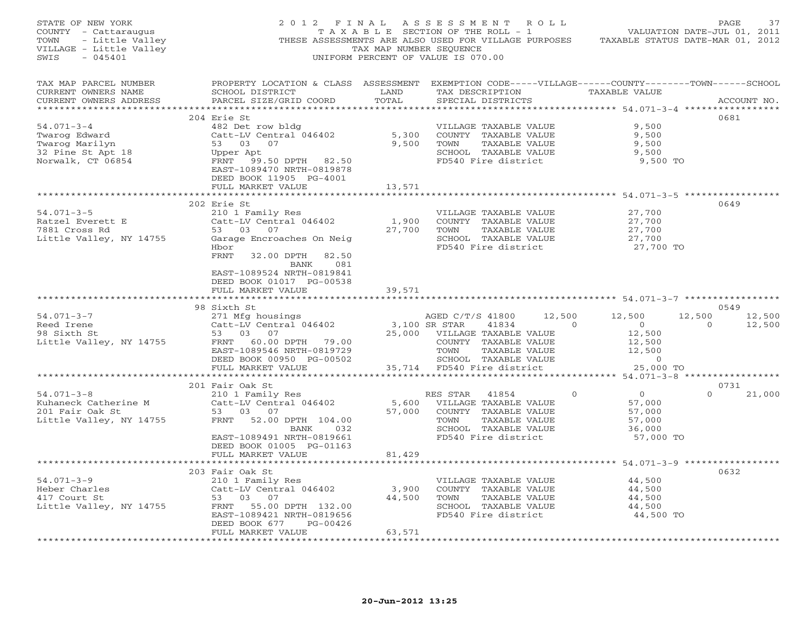| STATE OF NEW YORK<br>TOWN - Little Valley<br>VILLAGE - Little Valley<br>SWIS - 045401<br>$-045401$<br>SWIS | 2012 FINAL                                                                                                                                      | TAX MAP NUMBER SEOUENCE | ASSESSMENT ROLL<br>THESE ASSESSMENTS ARE ALSO USED FOR VILLAGE PURPOSES TAXABLE STATUS DATE-MAR 01, 2012<br>UNIFORM PERCENT OF VALUE IS 070.00 |                                  | PAGE<br>37         |
|------------------------------------------------------------------------------------------------------------|-------------------------------------------------------------------------------------------------------------------------------------------------|-------------------------|------------------------------------------------------------------------------------------------------------------------------------------------|----------------------------------|--------------------|
| TAX MAP PARCEL NUMBER<br>CURRENT OWNERS NAME<br>CURRENT OWNERS ADDRESS                                     | PROPERTY LOCATION & CLASS ASSESSMENT EXEMPTION CODE-----VILLAGE------COUNTY-------TOWN------SCHOOL<br>SCHOOL DISTRICT<br>PARCEL SIZE/GRID COORD | LAND<br>TOTAL           | TAX DESCRIPTION<br>SPECIAL DISTRICTS                                                                                                           | TAXABLE VALUE                    | ACCOUNT NO.        |
|                                                                                                            | 204 Erie St                                                                                                                                     |                         |                                                                                                                                                |                                  | 0681               |
| $54.071 - 3 - 4$                                                                                           | 482 Det row bldg                                                                                                                                |                         | VILLAGE TAXABLE VALUE                                                                                                                          | 9,500                            |                    |
| Twarog Edward                                                                                              | Catt-LV Central 046402                                                                                                                          | 5,300                   | COUNTY TAXABLE VALUE                                                                                                                           | 9.500                            |                    |
| Twarog Marilyn                                                                                             | 53 03 07                                                                                                                                        | 9,500                   | TOWN<br>TAXABLE VALUE                                                                                                                          | 9,500                            |                    |
| 32 Pine St Apt 18                                                                                          | Upper Apt                                                                                                                                       |                         | SCHOOL TAXABLE VALUE                                                                                                                           | 9,500                            |                    |
| Norwalk, CT 06854                                                                                          | FRNT 99.50 DPTH 82.50<br>EAST-1089470 NRTH-0819878<br>DEED BOOK 11905 PG-4001                                                                   |                         | FD540 Fire district                                                                                                                            | 9,500 TO                         |                    |
|                                                                                                            | FULL MARKET VALUE                                                                                                                               | 13,571                  |                                                                                                                                                |                                  |                    |
|                                                                                                            | 202 Erie St                                                                                                                                     |                         |                                                                                                                                                |                                  | 0649               |
| $54.071 - 3 - 5$                                                                                           | 210 1 Family Res                                                                                                                                |                         | VILLAGE TAXABLE VALUE                                                                                                                          | 27,700                           |                    |
| Ratzel Everett E                                                                                           | Catt-LV Central 046402                                                                                                                          | 1,900                   | COUNTY TAXABLE VALUE                                                                                                                           | 27,700                           |                    |
| 7881 Cross Rd                                                                                              | 53 03 07                                                                                                                                        | 27,700                  | TAXABLE VALUE<br>TOWN                                                                                                                          | 27,700                           |                    |
| Little Valley, NY 14755                                                                                    | Garage Encroaches On Neig<br>Hbor                                                                                                               |                         | SCHOOL TAXABLE VALUE<br>FD540 Fire district                                                                                                    | 27,700<br>27,700 TO              |                    |
|                                                                                                            | FRNT<br>32.00 DPTH 82.50                                                                                                                        |                         |                                                                                                                                                |                                  |                    |
|                                                                                                            | BANK<br>081                                                                                                                                     |                         |                                                                                                                                                |                                  |                    |
|                                                                                                            | EAST-1089524 NRTH-0819841                                                                                                                       |                         |                                                                                                                                                |                                  |                    |
|                                                                                                            | DEED BOOK 01017 PG-00538                                                                                                                        |                         |                                                                                                                                                |                                  |                    |
|                                                                                                            | FULL MARKET VALUE                                                                                                                               | 39,571                  |                                                                                                                                                |                                  |                    |
|                                                                                                            | 98 Sixth St                                                                                                                                     |                         |                                                                                                                                                |                                  | 0549               |
| $54.071 - 3 - 7$                                                                                           | 271 Mfg housings                                                                                                                                |                         | AGED C/T/S 41800<br>12,500                                                                                                                     | 12,500                           | 12,500<br>12,500   |
| Reed Irene                                                                                                 | Catt-LV Central 046402<br>53 03 07                                                                                                              | 3,100 SR STAR           | 41834                                                                                                                                          | $\overline{0}$<br>$\overline{0}$ | $\circ$<br>12,500  |
| 98 Sixth St                                                                                                |                                                                                                                                                 |                         | 25,000 VILLAGE TAXABLE VALUE                                                                                                                   | 12,500                           |                    |
| Little Valley, NY 14755                                                                                    | FRNT 60.00 DPTH 79.00                                                                                                                           |                         | COUNTY TAXABLE VALUE                                                                                                                           | 12,500                           |                    |
|                                                                                                            | EAST-1089546 NRTH-0819729<br>DEED BOOK 00950 PG-00502                                                                                           |                         | TOWN<br>TAXABLE VALUE<br>SCHOOL TAXABLE VALUE                                                                                                  | 12,500<br>$\sim$ 0               |                    |
|                                                                                                            | FULL MARKET VALUE                                                                                                                               |                         | 35,714 FD540 Fire district                                                                                                                     | 25,000 TO                        |                    |
|                                                                                                            |                                                                                                                                                 |                         |                                                                                                                                                |                                  |                    |
|                                                                                                            | 201 Fair Oak St                                                                                                                                 |                         |                                                                                                                                                |                                  | 0731               |
| $54.071 - 3 - 8$                                                                                           | 210 1 Family Res                                                                                                                                |                         | RES STAR<br>41854                                                                                                                              | $\Omega$<br>$\overline{0}$       | $\Omega$<br>21,000 |
| Kuhaneck Catherine M<br>201 Fair Oak St                                                                    | Catt-LV Central 046402<br>53 03 07                                                                                                              |                         | 5,600 VILLAGE TAXABLE VALUE<br>57,000 COUNTY TAXABLE VALUE                                                                                     | 57,000<br>57,000                 |                    |
| Little Valley, NY 14755                                                                                    | FRNT 52.00 DPTH 104.00                                                                                                                          |                         | TOWN<br>TAXABLE VALUE                                                                                                                          | 57,000                           |                    |
|                                                                                                            | BANK<br>032                                                                                                                                     |                         | SCHOOL TAXABLE VALUE                                                                                                                           | 36,000                           |                    |
|                                                                                                            | EAST-1089491 NRTH-0819661                                                                                                                       |                         | FD540 Fire district                                                                                                                            | 57,000 TO                        |                    |
|                                                                                                            | DEED BOOK 01005 PG-01163                                                                                                                        |                         |                                                                                                                                                |                                  |                    |
|                                                                                                            | FULL MARKET VALUE<br>************************                                                                                                   | 81,429                  |                                                                                                                                                |                                  |                    |
|                                                                                                            | 203 Fair Oak St                                                                                                                                 |                         |                                                                                                                                                |                                  | 0632               |
| $54.071 - 3 - 9$                                                                                           | 210 1 Family Res                                                                                                                                |                         | VILLAGE TAXABLE VALUE                                                                                                                          | 44,500                           |                    |
| Heber Charles                                                                                              | Catt-LV Central 046402                                                                                                                          | 3,900                   | COUNTY TAXABLE VALUE                                                                                                                           | 44,500                           |                    |
| 417 Court St                                                                                               | 53 03 07                                                                                                                                        | 44,500                  | TOWN<br>TAXABLE VALUE                                                                                                                          | 44,500                           |                    |
| Little Valley, NY 14755                                                                                    | FRNT 55.00 DPTH 132.00                                                                                                                          |                         | SCHOOL TAXABLE VALUE                                                                                                                           | 44,500                           |                    |
|                                                                                                            | EAST-1089421 NRTH-0819656<br>DEED BOOK 677<br>PG-00426                                                                                          |                         | FD540 Fire district                                                                                                                            | 44,500 TO                        |                    |
|                                                                                                            | FULL MARKET VALUE                                                                                                                               | 63,571                  |                                                                                                                                                |                                  |                    |
|                                                                                                            |                                                                                                                                                 | * * * * * * * * * * *   |                                                                                                                                                |                                  |                    |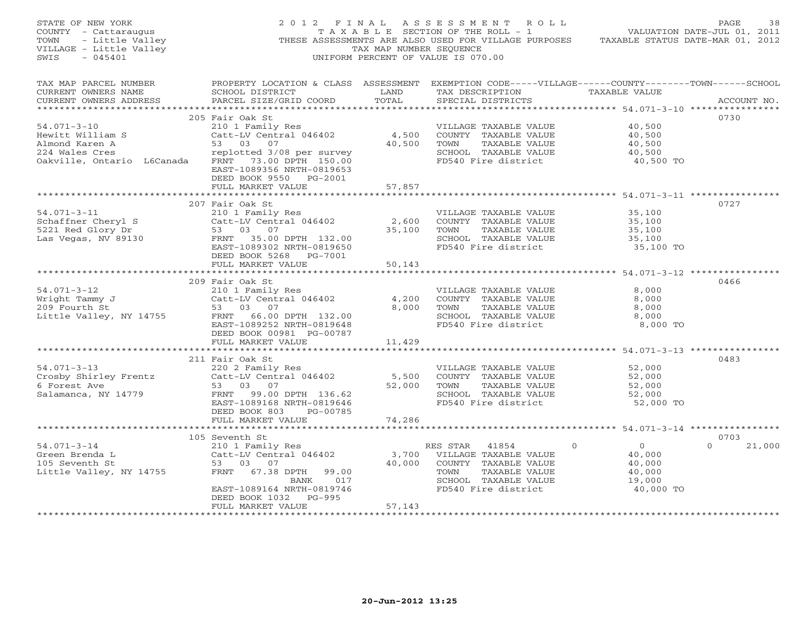| PAGE 38<br>COUNTY - Cattaraugus and the valley of the section of the ROLL - 1<br>TOWN - Little Valley (THESE ASSESSMENTS ARE ALSO USED FOR VILLAGE PURPOSES TAXABLE STATUS DATE-JUL 01, 2012<br>SWILLAGE - Little Valley (THESE ASSESSM<br>$-045401$<br>SWIS                                                |                                                                                                                                                                                                                                                                                                             |                        | UNIFORM PERCENT OF VALUE IS 070.00                                                                                                |                                                                                                            |                            |
|-------------------------------------------------------------------------------------------------------------------------------------------------------------------------------------------------------------------------------------------------------------------------------------------------------------|-------------------------------------------------------------------------------------------------------------------------------------------------------------------------------------------------------------------------------------------------------------------------------------------------------------|------------------------|-----------------------------------------------------------------------------------------------------------------------------------|------------------------------------------------------------------------------------------------------------|----------------------------|
| TAX MAP PARCEL NUMBER THE PROPERTY LOCATION & CLASS ASSESSMENT EXEMPTION CODE-----VILLAGE------COUNTY-------TOWN------SCHOOL<br>CURRENT OWNERS NAME<br>CURRENT OWNERS ADDRESS                                                                                                                               | SCHOOL DISTRICT LAND<br>PARCEL SIZE/GRID COORD                                                                                                                                                                                                                                                              | TOTAL                  | TAX DESCRIPTION TAXABLE VALUE<br>SPECIAL DISTRICTS                                                                                |                                                                                                            | ACCOUNT NO.                |
| $54.071 - 3 - 10$<br>First Milliam S<br>Almond Karen A<br>224 Wales Cres 224 Wales Cres 224 Wales Cres 224 Wales 224 Wales 224 Wales 224 Wales 224 Wales 224 Wales 224 Wales 224 Wales 224 Wales 224 Wales 224 Wales 224 Wales 224 Wales 224 Wales 224<br>Oakville, Ontario L6Canada FRNT 73.00 DPTH 150.00 | 205 Fair Oak St<br>210 1 Family Res<br>Catt-LV Central 046402<br>EAST-1089356 NRTH-0819653<br>DEED BOOK 9550 PG-2001                                                                                                                                                                                        |                        | VILLAGE TAXABLE VALUE<br>4,500 COUNTY TAXABLE VALUE<br>40,500 TOWN TAXABLE VALUE<br>SCHOOL TAXABLE VALUE<br>FD540 Fire district   | 40,500<br>40,500<br>40,500<br>40,500<br>40,500 TO                                                          | 0730                       |
|                                                                                                                                                                                                                                                                                                             | FULL MARKET VALUE                                                                                                                                                                                                                                                                                           | 57,857                 |                                                                                                                                   |                                                                                                            |                            |
|                                                                                                                                                                                                                                                                                                             | 207 Fair Oak St<br>EAST-1089302 NRTH-0819650<br>DEED BOOK 5268 PG-7001<br>FULL MARKET VALUE                                                                                                                                                                                                                 | ************<br>50,143 | FD540 Fire district 35,100 TO                                                                                                     | **********************************54.071-3-11 ****************<br>35,100<br>35,100<br>$35,100$<br>$35,100$ | 0727                       |
|                                                                                                                                                                                                                                                                                                             |                                                                                                                                                                                                                                                                                                             |                        |                                                                                                                                   |                                                                                                            |                            |
| 54.071-3-12<br>Wright Tammy J<br>209 Fourth St 53 03 07<br>Little Valley, NY 14755<br>TACK 108000 DPTH 132.00                                                                                                                                                                                               | 209 Fair Oak St<br>EAST-1089252 NRTH-0819648<br>DEED BOOK 00981 PG-00787                                                                                                                                                                                                                                    |                        | VILLAGE TAXABLE VALUE<br>4,200 COUNTY TAXABLE VALUE<br>8,000 TOWN<br>TAXABLE VALUE<br>SCHOOL TAXABLE VALUE<br>FD540 Fire district | 8,000<br>8,000<br>8,000<br>8,000<br>8,000 TO                                                               | 0466                       |
|                                                                                                                                                                                                                                                                                                             | FULL MARKET VALUE                                                                                                                                                                                                                                                                                           | 11,429                 |                                                                                                                                   |                                                                                                            |                            |
| 54.071-3-13 220 2 Family Res<br>Crosby Shirley Frentz Catt-LV Central 046402<br>6 Forest Ave 53 03 07<br>6 Forest Ave<br>Salamanca, NY 14779                                                                                                                                                                | 211 Fair Oak St<br>53 03 07<br>FRNT 99.00 DPTH 136.62<br>EAST-1089168 NRTH-0819646<br>DEED BOOK 803 PG-00785                                                                                                                                                                                                | 5,500<br>52,000        | VILLAGE TAXABLE VALUE<br>COUNTY TAXABLE VALUE<br>TOWN<br>TAXABLE VALUE<br>SCHOOL TAXABLE VALUE<br>FD540 Fire district             | 52,000<br>52,000<br>52,000<br>52,000<br>52,000 TO                                                          | 0483                       |
|                                                                                                                                                                                                                                                                                                             | FULL MARKET VALUE                                                                                                                                                                                                                                                                                           | 74,286                 |                                                                                                                                   |                                                                                                            |                            |
|                                                                                                                                                                                                                                                                                                             |                                                                                                                                                                                                                                                                                                             |                        |                                                                                                                                   |                                                                                                            |                            |
| $54.071 - 3 - 14$                                                                                                                                                                                                                                                                                           | 105 Seventh St<br>Seventh St<br>210 1 Family Res<br>Catt-LV Central 046402 3,700 VILLAGE TAXABLE VALUE<br>53 03 07 40,000 COUNTY TAXABLE VALUE<br>FRNT 67.38 DPTH 99.00 17 SCHOOL TAXABLE VALUE<br>BANK 017 SCHOOL TAXABLE VALUE<br>EAST-1089164 NRTH-0819746<br>DEED BOOK 1032 PG-995<br>FULL MARKET VALUE | 57,143                 | TAXABLE VALUE<br>FD540 Fire district                                                                                              | $\begin{array}{c} 0 \\ 40,000 \end{array}$<br>$\circ$<br>40,000<br>40,000<br>19,000<br>40,000 TO           | 0703<br>$\Omega$<br>21,000 |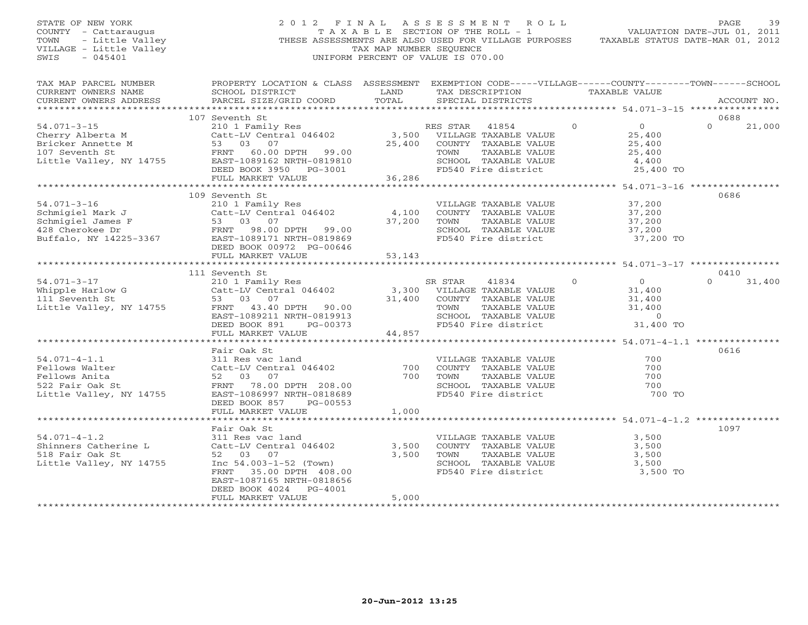# STATE OF NEW YORK 2 0 1 2 F I N A L A S S E S S M E N T R O L L PAGE 39 COUNTY - Cattaraugus T A X A B L E SECTION OF THE ROLL - 1 VALUATION DATE-JUL 01, 2011 TOWN - Little Valley **These ASSESSMENTS ARE ALSO USED FOR VILLAGE PURPOSES** TAXABLE STATUS DATE-MAR 01, 2012<br>VILLAGE - Little Valley **These State of Tax Map NUMBER SEQUENCE** VILLAGE - Little Valley and the Communist Communist Communist Communist Communist Communist Communist Communist Communist Communist Communist Communist Communist Communist Communist Communist Communist Communist Communist SWIS - 045401 UNIFORM PERCENT OF VALUE IS 070.00

| TAX MAP PARCEL NUMBER<br>CURRENT OWNERS NAME                                                                                                                                                                                                                                                                                                                                                                                                                                                                           | PROPERTY LOCATION & CLASS ASSESSMENT EXEMPTION CODE-----VILLAGE------COUNTY-------TOWN------SCHOOL<br>SCHOOL DISTRICT | LAND   | TAX DESCRIPTION TAXABLE VALUE                                                                                                                          |                |                |          |        |
|------------------------------------------------------------------------------------------------------------------------------------------------------------------------------------------------------------------------------------------------------------------------------------------------------------------------------------------------------------------------------------------------------------------------------------------------------------------------------------------------------------------------|-----------------------------------------------------------------------------------------------------------------------|--------|--------------------------------------------------------------------------------------------------------------------------------------------------------|----------------|----------------|----------|--------|
|                                                                                                                                                                                                                                                                                                                                                                                                                                                                                                                        |                                                                                                                       |        |                                                                                                                                                        |                |                |          |        |
| $\begin{minipage}{.45\textwidth} \begin{minipage}{.45\textwidth} \begin{minipage}{.45\textwidth} \begin{minipage}{.45\textwidth} \begin{minipage}{.45\textwidth} \begin{minipage}{.45\textwidth} \begin{minipage}{.45\textwidth} \begin{minipage}{.45\textwidth} \begin{minipage}{.45\textwidth} \begin{minipage}{.45\textwidth} \begin{minipage}{.45\textwidth} \begin{minipage}{.45\textwidth} \begin{minipage}{.45\textwidth} \begin{minipage}{.45\textwidth} \begin{minipage}{.45\textwidth} \begin{minipage}{.45$ |                                                                                                                       |        |                                                                                                                                                        |                |                |          |        |
|                                                                                                                                                                                                                                                                                                                                                                                                                                                                                                                        | 107 Seventh St                                                                                                        |        |                                                                                                                                                        |                |                | 0688     |        |
|                                                                                                                                                                                                                                                                                                                                                                                                                                                                                                                        | 210 1 Family Res<br>Catt-LV Central 046402 (25,400 VILLAGE TAXABLE VALUE<br>53 03 07 (25,400 COUNTY TAXABLE VALUE     |        |                                                                                                                                                        | $\overline{0}$ | $\overline{0}$ | $\Omega$ | 21,000 |
|                                                                                                                                                                                                                                                                                                                                                                                                                                                                                                                        |                                                                                                                       |        |                                                                                                                                                        |                | 25,400         |          |        |
|                                                                                                                                                                                                                                                                                                                                                                                                                                                                                                                        |                                                                                                                       |        | 25,400 COUNTY TAXABLE VALUE                                                                                                                            |                | 25,400         |          |        |
|                                                                                                                                                                                                                                                                                                                                                                                                                                                                                                                        |                                                                                                                       |        |                                                                                                                                                        |                |                |          |        |
|                                                                                                                                                                                                                                                                                                                                                                                                                                                                                                                        |                                                                                                                       |        | $\begin{tabular}{lllllll} \textsc{TOWN} & \textsc{TAXABLE VALUE} & & & & 25,400 \\ \textsc{SCHOOL} & \textsc{TAXABLE VALUE} & & & 4,400 \end{tabular}$ |                |                |          |        |
| $\begin{tabular}{lllllllllllll} \text{54.071--3--15} & \text{21.0} & \text{23.400} & \text{25.400} & \text{36.286} \\ \text{Bricker Annette M} & \text{53} & 03 & 07 & 25.400 & 25.400 \\ \text{107 Seventh St} & \text{FRNT} & 60.00 DPTH & 99.00 & \text{25.400} & \text{25.400} & \text{25.400} \\ \text{Little Valley, NY 14755} & \text{ERNT} & 60.00 DPTH & 99.00$                                                                                                                                               |                                                                                                                       |        | FD540 Fire district                                                                                                                                    |                | 25,400 TO      |          |        |
|                                                                                                                                                                                                                                                                                                                                                                                                                                                                                                                        |                                                                                                                       |        |                                                                                                                                                        |                |                |          |        |
|                                                                                                                                                                                                                                                                                                                                                                                                                                                                                                                        |                                                                                                                       |        |                                                                                                                                                        |                |                |          |        |
|                                                                                                                                                                                                                                                                                                                                                                                                                                                                                                                        | 109 Seventh St                                                                                                        |        |                                                                                                                                                        |                |                | 0686     |        |
| 94.071-3-16<br>Schmigiel Mark J<br>Schmigiel James F<br>4,100<br>Schmigiel James F<br>53 03 07<br>428 Cherokee Dr<br>Buffalo, NY 14225-3367<br>EAST-1089171 NRTH-0819869<br>PRESE PRESE PRESENT PRESENT PRESENT PRESENT<br>FRESE PRESENT PRESENT P                                                                                                                                                                                                                                                                     |                                                                                                                       |        | VILLAGE TAXABLE VALUE                                                                                                                                  |                | 37,200         |          |        |
|                                                                                                                                                                                                                                                                                                                                                                                                                                                                                                                        |                                                                                                                       |        |                                                                                                                                                        |                |                |          |        |
|                                                                                                                                                                                                                                                                                                                                                                                                                                                                                                                        |                                                                                                                       |        | VILLAGE IAAADLE VALUE<br>COUNTY TAXABLE VALUE 37,200<br>TOMM TAXABLE VALUE 37,200                                                                      |                |                |          |        |
|                                                                                                                                                                                                                                                                                                                                                                                                                                                                                                                        |                                                                                                                       |        | SCHOOL TAXABLE VALUE 37,200                                                                                                                            |                |                |          |        |
|                                                                                                                                                                                                                                                                                                                                                                                                                                                                                                                        |                                                                                                                       |        | FD540 Fire district                                                                                                                                    |                | 37,200 TO      |          |        |
|                                                                                                                                                                                                                                                                                                                                                                                                                                                                                                                        |                                                                                                                       |        |                                                                                                                                                        |                |                |          |        |
|                                                                                                                                                                                                                                                                                                                                                                                                                                                                                                                        |                                                                                                                       |        |                                                                                                                                                        |                |                |          |        |
|                                                                                                                                                                                                                                                                                                                                                                                                                                                                                                                        |                                                                                                                       |        |                                                                                                                                                        |                |                |          |        |
|                                                                                                                                                                                                                                                                                                                                                                                                                                                                                                                        |                                                                                                                       |        |                                                                                                                                                        |                |                | 0410     |        |
|                                                                                                                                                                                                                                                                                                                                                                                                                                                                                                                        |                                                                                                                       |        |                                                                                                                                                        | $\Omega$       | $\Omega$       | $\Omega$ | 31,400 |
|                                                                                                                                                                                                                                                                                                                                                                                                                                                                                                                        |                                                                                                                       |        |                                                                                                                                                        |                | 31,400         |          |        |
|                                                                                                                                                                                                                                                                                                                                                                                                                                                                                                                        |                                                                                                                       |        |                                                                                                                                                        |                |                |          |        |
|                                                                                                                                                                                                                                                                                                                                                                                                                                                                                                                        |                                                                                                                       |        | COUNTY TAXABLE VALUE<br>TOWN TAXABLE VALUE 31,400<br>SCHOOL TAXABLE VALUE 31,400<br>FD540 Fire district 31,400 TO                                      |                |                |          |        |
|                                                                                                                                                                                                                                                                                                                                                                                                                                                                                                                        |                                                                                                                       |        |                                                                                                                                                        |                |                |          |        |
|                                                                                                                                                                                                                                                                                                                                                                                                                                                                                                                        |                                                                                                                       |        |                                                                                                                                                        |                |                |          |        |
|                                                                                                                                                                                                                                                                                                                                                                                                                                                                                                                        | FULL MARKET VALUE                                                                                                     | 44,857 |                                                                                                                                                        |                |                |          |        |
|                                                                                                                                                                                                                                                                                                                                                                                                                                                                                                                        |                                                                                                                       |        |                                                                                                                                                        |                |                |          |        |
|                                                                                                                                                                                                                                                                                                                                                                                                                                                                                                                        | Fair Oak St                                                                                                           |        |                                                                                                                                                        |                |                | 0616     |        |
| $54.071 - 4 - 1.1$                                                                                                                                                                                                                                                                                                                                                                                                                                                                                                     |                                                                                                                       |        |                                                                                                                                                        |                |                |          |        |
| Fellows Walter                                                                                                                                                                                                                                                                                                                                                                                                                                                                                                         |                                                                                                                       | 700    |                                                                                                                                                        |                |                |          |        |
| Fellows Anita                                                                                                                                                                                                                                                                                                                                                                                                                                                                                                          |                                                                                                                       | 700    |                                                                                                                                                        |                |                |          |        |
| 522 Fair Oak St                                                                                                                                                                                                                                                                                                                                                                                                                                                                                                        | rair Oak St<br>311 Res vac land<br>Catt-LV Central 046402<br>52 03 07<br>FRNT 78.00 DPTH 208.00                       |        | VILLAGE TAXABLE VALUE 700<br>COUNTY TAXABLE VALUE 700<br>TOWN TAXABLE VALUE 700<br>SCHOOL TAXABLE VALUE 700<br>TOP 700<br>TOP 700                      |                |                |          |        |
| Little Valley, NY 14755                                                                                                                                                                                                                                                                                                                                                                                                                                                                                                | EAST-1086997 NRTH-0818689                                                                                             |        | FD540 Fire district                                                                                                                                    |                | 700 TO         |          |        |
|                                                                                                                                                                                                                                                                                                                                                                                                                                                                                                                        | DEED BOOK 857<br>PG-00553                                                                                             |        |                                                                                                                                                        |                |                |          |        |
|                                                                                                                                                                                                                                                                                                                                                                                                                                                                                                                        | FULL MARKET VALUE                                                                                                     | 1,000  |                                                                                                                                                        |                |                |          |        |
|                                                                                                                                                                                                                                                                                                                                                                                                                                                                                                                        |                                                                                                                       |        |                                                                                                                                                        |                |                |          |        |
|                                                                                                                                                                                                                                                                                                                                                                                                                                                                                                                        | Fair Oak St                                                                                                           |        |                                                                                                                                                        |                |                | 1097     |        |
| $54.071 - 4 - 1.2$                                                                                                                                                                                                                                                                                                                                                                                                                                                                                                     | 311 Res vac land                                                                                                      |        | VILLAGE TAXABLE VALUE                                                                                                                                  |                | 3,500          |          |        |
|                                                                                                                                                                                                                                                                                                                                                                                                                                                                                                                        | Catt-LV Central 046402                                                                                                | 3,500  | COUNTY TAXABLE VALUE                                                                                                                                   |                | 3,500          |          |        |
| Shinners Catherine L<br>518 Fair Oak St<br>Little Vallous Strate                                                                                                                                                                                                                                                                                                                                                                                                                                                       | 52 03 07                                                                                                              | 3,500  | TAXABLE VALUE<br>TAXABLE VALUE<br>TOWN                                                                                                                 |                | 3,500          |          |        |
| Little Valley, NY 14755                                                                                                                                                                                                                                                                                                                                                                                                                                                                                                | Inc 54.003-1-52 (Town)                                                                                                |        | SCHOOL TAXABLE VALUE<br>FD540 Fire district                                                                                                            |                | 3,500          |          |        |
|                                                                                                                                                                                                                                                                                                                                                                                                                                                                                                                        | 35.00 DPTH 408.00<br>FRNT                                                                                             |        |                                                                                                                                                        |                | 3,500 TO       |          |        |
|                                                                                                                                                                                                                                                                                                                                                                                                                                                                                                                        | EAST-1087165 NRTH-0818656                                                                                             |        |                                                                                                                                                        |                |                |          |        |
|                                                                                                                                                                                                                                                                                                                                                                                                                                                                                                                        | DEED BOOK 4024 PG-4001                                                                                                |        |                                                                                                                                                        |                |                |          |        |
|                                                                                                                                                                                                                                                                                                                                                                                                                                                                                                                        | FULL MARKET VALUE                                                                                                     | 5,000  |                                                                                                                                                        |                |                |          |        |
|                                                                                                                                                                                                                                                                                                                                                                                                                                                                                                                        |                                                                                                                       |        |                                                                                                                                                        |                |                |          |        |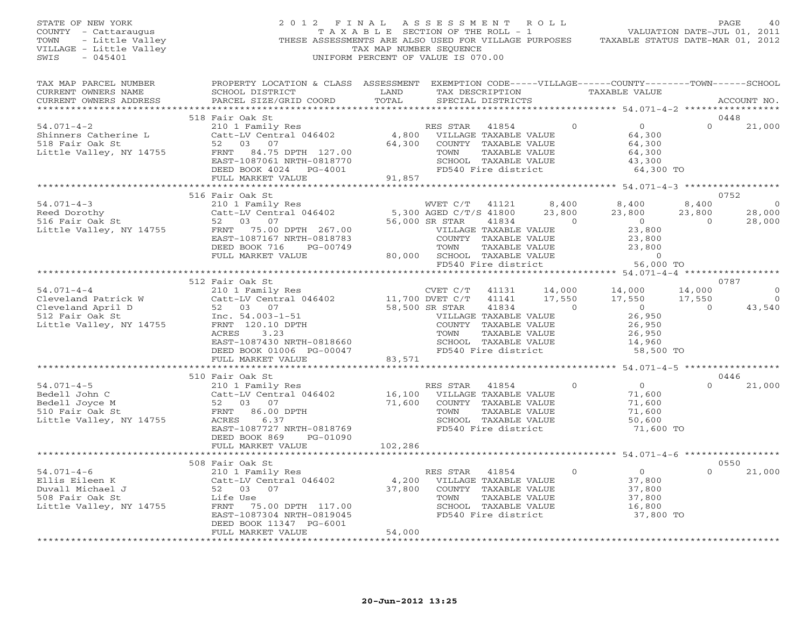| STATE OF NEW YORK<br>COUNTY - Cattaraugus<br>- Little Valley<br>TOWN<br>VILLAGE - Little Valley<br>SWIS<br>$-045401$                                                                                           |                                                                                                                                                                                                                                                   | TAX MAP NUMBER SEQUENCE        | 2012 FINAL ASSESSMENT ROLL<br>T A X A B L E SECTION OF THE ROLL - 1<br>THESE ASSESSMENTS ARE ALSO USED FOR VILLAGE PURPOSES<br>UNIFORM PERCENT OF VALUE IS 070.00 |                                               | VALUATION DATE-JUL 01, 2011<br>TAXABLE STATUS DATE-MAR 01, 2012                                   |                                   | PAGE<br>40                                 |
|----------------------------------------------------------------------------------------------------------------------------------------------------------------------------------------------------------------|---------------------------------------------------------------------------------------------------------------------------------------------------------------------------------------------------------------------------------------------------|--------------------------------|-------------------------------------------------------------------------------------------------------------------------------------------------------------------|-----------------------------------------------|---------------------------------------------------------------------------------------------------|-----------------------------------|--------------------------------------------|
| TAX MAP PARCEL NUMBER<br>CURRENT OWNERS NAME<br>CURRENT OWNERS ADDRESS                                                                                                                                         | PROPERTY LOCATION & CLASS ASSESSMENT EXEMPTION CODE-----VILLAGE------COUNTY-------TOWN------SCHOOL<br>SCHOOL DISTRICT LAND<br>PARCEL SIZE/GRID COORD                                                                                              | TOTAL                          | TAX DESCRIPTION TAXABLE VALUE<br>SPECIAL DISTRICTS                                                                                                                |                                               |                                                                                                   |                                   | ACCOUNT NO.                                |
|                                                                                                                                                                                                                | 518 Fair Oak St                                                                                                                                                                                                                                   |                                |                                                                                                                                                                   |                                               |                                                                                                   |                                   | 0448                                       |
| $54.071 - 4 - 2$<br>Shinners Catherine L<br>518 Fair Oak St<br>Little Valley, NY 14755                                                                                                                         | 210 1 Family Res<br>Catt-LV Central 046402<br>52 03 07<br>FRNT 84.75 DPTH 127.00<br>EAST-1087061 NRTH-0818770<br>DEED BOOK 4024 PG-4001                                                                                                           |                                | RES STAR 41854<br>4,800 VILLAGE TAXABLE VALUE<br>64,300 COUNTY TAXABLE VALUE<br>TOWN<br>TAXABLE VALUE<br>SCHOOL TAXABLE VALUE<br>FD540 Fire district              | $\circ$                                       | $\overline{O}$<br>64,300<br>64,300<br>64,300<br>43,300<br>64,300 TO                               | $\Omega$                          | 21,000                                     |
|                                                                                                                                                                                                                | FULL MARKET VALUE                                                                                                                                                                                                                                 |                                |                                                                                                                                                                   |                                               |                                                                                                   |                                   |                                            |
|                                                                                                                                                                                                                |                                                                                                                                                                                                                                                   |                                |                                                                                                                                                                   |                                               |                                                                                                   |                                   |                                            |
| $54.071 - 4 - 3$<br>Reed Dorothy<br>516 Fair Oak St<br>Little Valley, NY 14755                                                                                                                                 | 516 Fair Oak St<br>210 1 Family Res<br>Catt-LV Central 046402 5,300 AGED C/T/S 41800<br>52 03 07 56,000 SR STAR 41834<br>52<br>FRNT 75.00 DPTH 267.00<br>EAST-1087167 NRTH-0818783<br>DEED BOOK 716 PG-00749<br>FULL MARKET VALUE                 |                                | 56,000 SR STAR<br>41834<br>VILLAGE TAXABLE VALUE<br>COUNTY TAXABLE VALUE<br>TOWN<br>TAXABLE VALUE<br>80,000 SCHOOL TAXABLE VALUE                                  | 8,400<br>23,800<br>$\Omega$                   | 8,400<br>23,800<br>$\overline{0}$<br>23,800<br>23,800<br>23,800<br>$\sim$ 0                       | 8,400<br>23,800<br>$\overline{O}$ | 0752<br>$\overline{0}$<br>28,000<br>28,000 |
|                                                                                                                                                                                                                |                                                                                                                                                                                                                                                   |                                | FD540 Fire district                                                                                                                                               |                                               | 56,000 TO                                                                                         |                                   |                                            |
|                                                                                                                                                                                                                | *********************************                                                                                                                                                                                                                 |                                |                                                                                                                                                                   |                                               |                                                                                                   |                                   |                                            |
|                                                                                                                                                                                                                | 512 Fair Oak St                                                                                                                                                                                                                                   |                                |                                                                                                                                                                   |                                               |                                                                                                   |                                   | 0787                                       |
| $54.071 - 4 - 4$<br>Cleveland Patrick W<br>Cleveland April D<br>Cleveland April D<br>52 03 07<br>512 Fair Oak St<br>Little Valley, NY 14755<br>$\frac{1}{2}$<br>Cleveland April 20.10 DPTH<br>ENNT 120.10 DPTH | Fair Oak St<br>210 1 Family Res<br>Catt-LV Central 046402<br>52 03 07 58,500 SR STAR<br>The 54.003-1-51 70.10 DPTH<br>70.10 DPTH<br>70.10 DPTH<br>ACRES 3.23<br>EAST-1087430 NRTH-0818660<br>DEED BOOK 01006 PG-00047<br>EILT MARKET VALUE 83,571 |                                | 41131<br>41141<br>41834<br>VILLAGE TAXABLE VALUE<br>COUNTY TAXABLE VALUE<br>SCHOOL TAXABLE VALUE<br>FD540 Fire district                                           | 14,000<br>17,550<br>$\Omega$<br>TAXABLE VALUE | 14,000<br>17,550<br>17,550<br>$\overline{0}$<br>26,950<br>26,950<br>26,950<br>14,960<br>58,500 TO | 14,000<br>17,550<br>$\Omega$      | $\overline{0}$<br>$\overline{0}$<br>43,540 |
|                                                                                                                                                                                                                |                                                                                                                                                                                                                                                   |                                |                                                                                                                                                                   |                                               |                                                                                                   |                                   |                                            |
|                                                                                                                                                                                                                | 510 Fair Oak St                                                                                                                                                                                                                                   |                                |                                                                                                                                                                   |                                               |                                                                                                   |                                   | 0446                                       |
| $54.071 - 4 - 5$<br>.14755<br>Bedell John C<br>Bedell Joyce M<br>510 Fair Oak St<br>Little Valley, NY 14755                                                                                                    | 210 1 Family Res<br>Catt-LV Central 046402<br>52 03 07<br>FRNT 86.00 DPTH<br>ACRES<br>6.37<br>EAST-1087727 NRTH-0818769<br>DEED BOOK 869<br>PG-01090<br>FULL MARKET VALUE                                                                         | 71,600<br>102,286              | RES STAR 41854<br>16,100 VILLAGE TAXABLE VALUE<br>COUNTY TAXABLE VALUE<br>TOWN<br>TAXABLE VALUE<br>SCHOOL TAXABLE VALUE<br>FD540 Fire district                    | $\Omega$                                      | $\overline{0}$<br>71,600<br>71,600<br>71,600<br>50,600<br>71,600 TO                               | $\Omega$                          | 21,000                                     |
|                                                                                                                                                                                                                |                                                                                                                                                                                                                                                   |                                |                                                                                                                                                                   |                                               |                                                                                                   |                                   |                                            |
|                                                                                                                                                                                                                | 508 Fair Oak St                                                                                                                                                                                                                                   |                                |                                                                                                                                                                   |                                               |                                                                                                   |                                   | 0550                                       |
| $54.071 - 4 - 6$<br>Ellis Eileen K<br>Duvall Michael J<br>508 Fair Oak St<br>Little Valley, NY 14755                                                                                                           | 210 1 Family Res<br>Catt-LV Central 046402<br>52 03 07<br>Life Vice<br>Life Use<br>FRNT 75.00 DPTH 117.00<br>EAST-1087304 NRTH-0819045<br>DEED BOOK 11347 PG-6001                                                                                 | $4,200$<br>37,800              | RES STAR<br>41854<br>VILLAGE TAXABLE VALUE<br>COUNTY TAXABLE VALUE<br>TOWN<br>TAXABLE VALUE<br>SCHOOL TAXABLE VALUE<br>FD540 Fire district                        | $\Omega$                                      | $\overline{0}$<br>37,800<br>37,800<br>37,800<br>16,800<br>37,800 TO                               | $\Omega$                          | 21,000                                     |
|                                                                                                                                                                                                                | FULL MARKET VALUE                                                                                                                                                                                                                                 | 54,000<br><b>+++++++++++++</b> |                                                                                                                                                                   |                                               |                                                                                                   |                                   |                                            |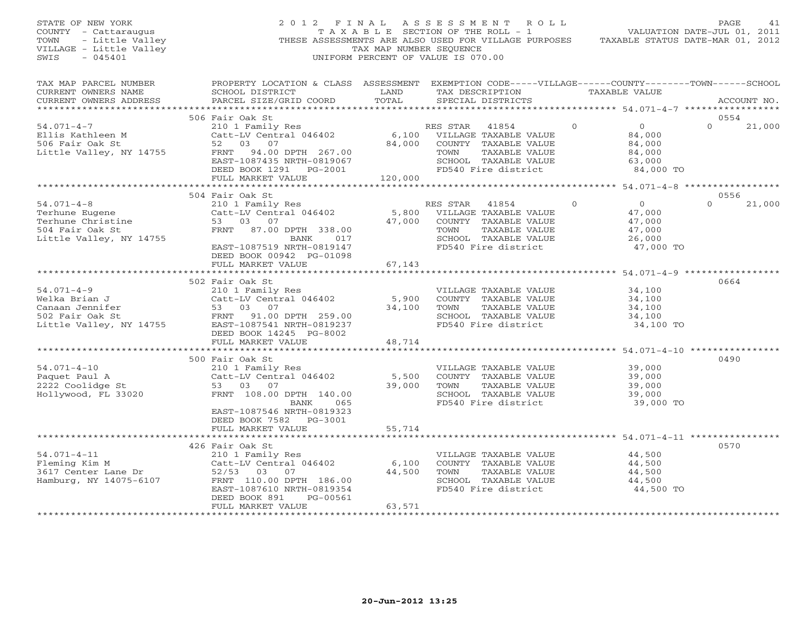| STATE OF NEW YORK<br>COUNTY - Cattaraugus<br>- Little Valley<br>TOWN<br>VILLAGE - Little Valley<br>$-045401$<br>SWIS | 2012 FINAL                                                                                                                                                         | TAX MAP NUMBER SEOUENCE    | A S S E S S M E N T<br>R O L L<br>T A X A B L E SECTION OF THE ROLL - 1<br>THESE ASSESSMENTS ARE ALSO USED FOR VILLAGE PURPOSES<br>UNIFORM PERCENT OF VALUE IS 070.00 |          | VALUATION DATE-JUL 01, 2011<br>TAXABLE STATUS DATE-MAR 01, 2012     | PAGE             | 41          |
|----------------------------------------------------------------------------------------------------------------------|--------------------------------------------------------------------------------------------------------------------------------------------------------------------|----------------------------|-----------------------------------------------------------------------------------------------------------------------------------------------------------------------|----------|---------------------------------------------------------------------|------------------|-------------|
| TAX MAP PARCEL NUMBER<br>CURRENT OWNERS NAME<br>CURRENT OWNERS ADDRESS                                               | PROPERTY LOCATION & CLASS ASSESSMENT EXEMPTION CODE-----VILLAGE------COUNTY-------TOWN------SCHOOL<br>SCHOOL DISTRICT<br>PARCEL SIZE/GRID COORD                    | LAND<br>TOTAL              | TAX DESCRIPTION<br>SPECIAL DISTRICTS                                                                                                                                  |          | TAXABLE VALUE                                                       |                  | ACCOUNT NO. |
|                                                                                                                      | 506 Fair Oak St                                                                                                                                                    |                            |                                                                                                                                                                       |          |                                                                     | 0554             |             |
| $54.071 - 4 - 7$<br>Ellis Kathleen M<br>506 Fair Oak St<br>Little Valley, NY 14755                                   | 210 1 Family Res<br>Catt-LV Central 046402<br>52<br>03 07<br>94.00 DPTH 267.00<br>FRNT<br>EAST-1087435 NRTH-0819067<br>DEED BOOK 1291 PG-2001<br>FULL MARKET VALUE | 6,100<br>84,000<br>120,000 | RES STAR<br>41854<br>VILLAGE TAXABLE VALUE<br>COUNTY TAXABLE VALUE<br>TOWN<br>TAXABLE VALUE<br>SCHOOL TAXABLE VALUE<br>FD540 Fire district                            | $\Omega$ | $\overline{0}$<br>84,000<br>84,000<br>84,000<br>63,000<br>84,000 TO |                  | 21,000      |
|                                                                                                                      |                                                                                                                                                                    |                            |                                                                                                                                                                       |          |                                                                     |                  |             |
| $54.071 - 4 - 8$<br>Terhune Eugene<br>Terhune Christine<br>504 Fair Oak St<br>Little Valley, NY 14755                | 504 Fair Oak St<br>210 1 Family Res<br>Catt-LV Central 046402<br>53 03 07<br>FRNT 87.00 DPTH 338.00<br>017<br>BANK<br>EAST-1087519 NRTH-0819147                    | 5,800<br>47,000            | RES STAR<br>41854<br>VILLAGE TAXABLE VALUE<br>COUNTY TAXABLE VALUE<br>TOWN<br>TAXABLE VALUE<br>SCHOOL TAXABLE VALUE<br>FD540 Fire district                            | $\Omega$ | $\Omega$<br>47,000<br>47,000<br>47,000<br>26,000<br>47,000 TO       | 0556<br>$\Omega$ | 21,000      |
|                                                                                                                      | DEED BOOK 00942 PG-01098<br>FULL MARKET VALUE                                                                                                                      | 67,143                     |                                                                                                                                                                       |          |                                                                     |                  |             |
|                                                                                                                      | ************************                                                                                                                                           | **************             | ********************************* 54.071-4-9 *****************                                                                                                        |          |                                                                     |                  |             |
| $54.071 - 4 - 9$<br>Welka Brian J<br>Canaan Jennifer<br>502 Fair Oak St<br>Little Valley, NY 14755                   | 502 Fair Oak St<br>210 1 Family Res<br>Catt-LV Central 046402<br>53 03 07<br>FRNT 91.00 DPTH 259.00<br>EAST-1087541 NRTH-0819237<br>DEED BOOK 14245 PG-8002        | 5,900<br>34,100            | VILLAGE TAXABLE VALUE<br>COUNTY TAXABLE VALUE<br>TOWN<br>TAXABLE VALUE<br>SCHOOL TAXABLE VALUE<br>FD540 Fire district                                                 |          | 34,100<br>34,100<br>34,100<br>34,100<br>34,100 TO                   | 0664             |             |
|                                                                                                                      | FULL MARKET VALUE                                                                                                                                                  | 48,714                     |                                                                                                                                                                       |          |                                                                     |                  |             |
| $54.071 - 4 - 10$<br>Paquet Paul A<br>2222 Coolidge St<br>Hollywood, FL 33020                                        | 500 Fair Oak St<br>210 1 Family Res<br>Catt-LV Central 046402<br>53 03 07<br>FRNT 108.00 DPTH 140.00<br>BANK<br>065<br>EAST-1087546 NRTH-0819323                   | 5,500<br>39,000            | VILLAGE TAXABLE VALUE<br>COUNTY TAXABLE VALUE<br>TAXABLE VALUE<br>TOWN<br>SCHOOL TAXABLE VALUE<br>FD540 Fire district                                                 |          | 39,000<br>39,000<br>39,000<br>39,000<br>39,000 TO                   | 0490             |             |
|                                                                                                                      | DEED BOOK 7582 PG-3001<br>FULL MARKET VALUE                                                                                                                        | 55,714                     |                                                                                                                                                                       |          |                                                                     |                  |             |
|                                                                                                                      |                                                                                                                                                                    |                            |                                                                                                                                                                       |          |                                                                     |                  |             |
| $54.071 - 4 - 11$<br>Fleming Kim M<br>3617 Center Lane Dr<br>Hamburg, NY 14075-6107                                  | 426 Fair Oak St<br>210 1 Family Res<br>Catt-LV Central 046402<br>52/53 03 07<br>FRNT 110.00 DPTH 186.00<br>EAST-1087610 NRTH-0819354<br>DEED BOOK 891<br>PG-00561  | 6,100<br>44,500            | VILLAGE TAXABLE VALUE<br>COUNTY TAXABLE VALUE<br>TOWN<br>TAXABLE VALUE<br>SCHOOL TAXABLE VALUE<br>FD540 Fire district                                                 |          | 44,500<br>44,500<br>44,500<br>44,500<br>44,500 TO                   | 0570             |             |
| ***********************                                                                                              | FULL MARKET VALUE<br>************************                                                                                                                      | 63,571<br>*************    |                                                                                                                                                                       |          |                                                                     |                  |             |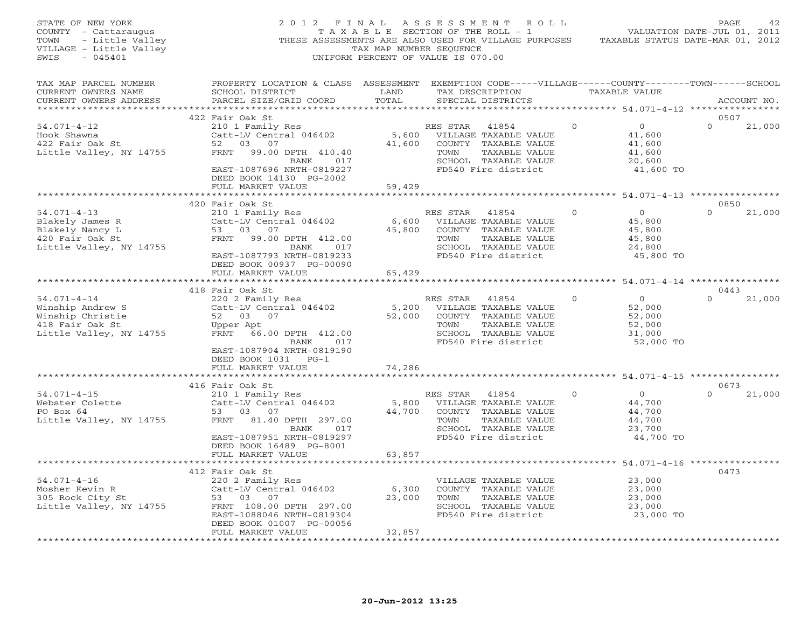| STATE OF NEW YORK<br>COUNTY - Cattaraugus<br>TOWN<br>- Little Valley<br>VILLAGE - Little Valley<br>SWIS<br>$-045401$ | 2012 FINAL                                                                                                                                                                                            | TAX MAP NUMBER SEQUENCE   | A S S E S S M E N T A O L L<br>TAXABLE SECTION OF THE ROLL - 1<br>THESE ASSESSMENTS ARE ALSO USED FOR VILLAGE PURPOSES<br>UNIFORM PERCENT OF VALUE IS 070.00 |          |                                                                     | PAGE<br>42<br>VALUATION DATE-JUL 01, 2011<br>TAXABLE STATUS DATE-MAR 01, 2012 |
|----------------------------------------------------------------------------------------------------------------------|-------------------------------------------------------------------------------------------------------------------------------------------------------------------------------------------------------|---------------------------|--------------------------------------------------------------------------------------------------------------------------------------------------------------|----------|---------------------------------------------------------------------|-------------------------------------------------------------------------------|
| TAX MAP PARCEL NUMBER<br>CURRENT OWNERS NAME<br>CURRENT OWNERS ADDRESS                                               | PROPERTY LOCATION & CLASS ASSESSMENT EXEMPTION CODE-----VILLAGE------COUNTY-------TOWN------SCHOOL<br>SCHOOL DISTRICT<br>PARCEL SIZE/GRID COORD                                                       | LAND<br>TOTAL             | TAX DESCRIPTION TAXABLE VALUE<br>SPECIAL DISTRICTS                                                                                                           |          |                                                                     | ACCOUNT NO.                                                                   |
| $54.071 - 4 - 12$<br>Hook Shawna<br>422 Fair Oak St<br>Little Valley, NY 14755                                       | 422 Fair Oak St<br>210 1 Family Res<br>Catt-LV Central 046402<br>52 03 07<br>FRNT 99.00 DPTH 410.40<br>BANK 017<br>EAST-1087696 NRTH-0819227<br>DEED BOOK 14130 PG-2002<br>FULL MARKET VALUE          | 5,600<br>41,600<br>59,429 | RES STAR<br>41854<br>VILLAGE TAXABLE VALUE<br>COUNTY TAXABLE VALUE<br>TAXABLE VALUE<br>TOWN<br>SCHOOL TAXABLE VALUE<br>FD540 Fire district                   | $\Omega$ | $\overline{0}$<br>41,600<br>41,600<br>41,600<br>20,600<br>41,600 TO | 0507<br>$\Omega$<br>21,000                                                    |
|                                                                                                                      |                                                                                                                                                                                                       |                           |                                                                                                                                                              |          | ************ 54.071-4-13 **************                             |                                                                               |
| $54.071 - 4 - 13$<br>Blakely James R<br>Blakely Nancy L<br>420 Fair Oak St<br>Little Valley, NY 14755                | 420 Fair Oak St<br>210 1 Family Res<br>Catt-LV Central 046402<br>53 03 07<br>FRNT 99.00 DPTH 412.00<br>BANK 017<br>EAST-1087793 NRTH-0819233<br>DEED BOOK 00937 PG-00090                              | 6,600<br>45,800           | RES STAR<br>41854<br>VILLAGE TAXABLE VALUE<br>COUNTY TAXABLE VALUE<br>TOWN<br>TAXABLE VALUE<br>SCHOOL TAXABLE VALUE<br>FD540 Fire district                   | $\circ$  | $\overline{0}$<br>45,800<br>45,800<br>45,800<br>24,800<br>45,800 TO | 0850<br>$\mathbf{0}$<br>21,000                                                |
|                                                                                                                      | FULL MARKET VALUE                                                                                                                                                                                     | 65,429                    |                                                                                                                                                              |          |                                                                     |                                                                               |
|                                                                                                                      |                                                                                                                                                                                                       |                           |                                                                                                                                                              |          |                                                                     |                                                                               |
| $54.071 - 4 - 14$<br>Winship Andrew S<br>Winship Christie<br>418 Fair Oak St<br>Little Valley, NY 14755              | 418 Fair Oak St<br>220 2 Family Res<br>Catt-LV Central 046402<br>52 03 07<br>Upper Apt<br>FRNT 66.00 DPTH 412.00<br>BANK 017<br>EAST-1087904 NRTH-0819190<br>DEED BOOK 1031 PG-1<br>FULL MARKET VALUE | 5,200<br>52,000<br>74,286 | RES STAR<br>41854<br>VILLAGE TAXABLE VALUE<br>COUNTY TAXABLE VALUE<br>TAXABLE VALUE<br>TOWN<br>SCHOOL TAXABLE VALUE<br>FD540 Fire district                   | $\Omega$ | $\overline{0}$<br>52,000<br>52,000<br>52,000<br>31,000<br>52,000 TO | 0443<br>21,000<br>$\Omega$                                                    |
|                                                                                                                      | ***************************                                                                                                                                                                           | ******************        |                                                                                                                                                              |          |                                                                     | ********************* 54.071-4-15 *****************                           |
| $54.071 - 4 - 15$<br>Webster Colette<br>PO Box 64<br>Little Valley, NY 14755                                         | 416 Fair Oak St<br>210 1 Family Res<br>Catt-LV Central 046402<br>53 03 07<br>FRNT 81.40 DPTH 297.00<br>BANK 017<br>EAST-1087951 NRTH-0819297<br>DEED BOOK 16489 PG-8001                               | 5,800<br>44,700           | RES STAR<br>41854<br>VILLAGE TAXABLE VALUE<br>COUNTY TAXABLE VALUE<br>TOWN<br>TAXABLE VALUE<br>SCHOOL TAXABLE VALUE<br>FD540 Fire district                   | $\Omega$ | $\overline{0}$<br>44,700<br>44,700<br>44,700<br>23,700<br>44,700 TO | 0673<br>$\Omega$<br>21,000                                                    |
|                                                                                                                      | FULL MARKET VALUE<br>***********************                                                                                                                                                          | 63,857                    |                                                                                                                                                              |          |                                                                     | **************** 54.071-4-16 ***************                                  |
| $54.071 - 4 - 16$<br>- AGVIN K<br>305 Rock City St<br>Little Vol<br>Little Valley, NY 14755                          | 412 Fair Oak St<br>220 2 Family Res<br>Catt-LV Central 046402<br>53 03 07<br>FRNT 108.00 DPTH 297.00<br>EAST-1088046 NRTH-0819304<br>DEED BOOK 01007 PG-00056<br>FULL MARKET VALUE<br>.               | 6,300<br>23,000<br>32,857 | VILLAGE TAXABLE VALUE<br>COUNTY TAXABLE VALUE<br>TOWN<br>TAXABLE VALUE<br>SCHOOL TAXABLE VALUE<br>FD540 Fire district                                        |          | 23,000<br>23,000<br>23,000<br>23,000<br>23,000 TO                   | 0473                                                                          |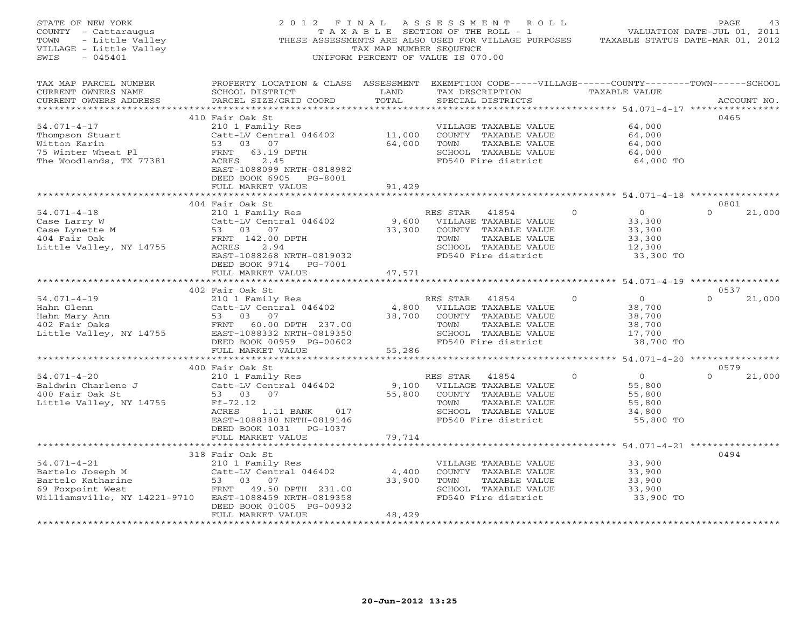| STATE OF NEW YORK<br>COUNTY - Cattaraugus<br>- Little Valley<br>- Little Valley<br>E - Little Valley<br>- 045401<br>TOWN<br>VILLAGE - Little Valley<br>SWIS | 2012 FINAL<br>THESE ASSESSMENTS ARE ALSO USED FOR VILLAGE PURPOSES                                                                                                                                                                      | TAXABLE SECTION OF THE ROLL - 1<br>TAX MAP NUMBER SEQUENCE<br>UNIFORM PERCENT OF VALUE IS 070.00 | ASSESSMENT ROLL                                       |                                                                                                                        |              | TAXABLE STATUS DATE-MAR 01, 2012                                       | PAGE<br>43<br>VALUATION DATE-JUL 01, 2011 |
|-------------------------------------------------------------------------------------------------------------------------------------------------------------|-----------------------------------------------------------------------------------------------------------------------------------------------------------------------------------------------------------------------------------------|--------------------------------------------------------------------------------------------------|-------------------------------------------------------|------------------------------------------------------------------------------------------------------------------------|--------------|------------------------------------------------------------------------|-------------------------------------------|
| TAX MAP PARCEL NUMBER<br>CURRENT OWNERS NAME<br>CURRENT OWNERS ADDRESS                                                                                      | PROPERTY LOCATION & CLASS ASSESSMENT EXEMPTION CODE-----VILLAGE------COUNTY-------TOWN------SCHOOL<br>SCHOOL DISTRICT<br>PARCEL SIZE/GRID COORD                                                                                         | <b>LAND</b><br>TOTAL                                                                             |                                                       | SPECIAL DISTRICTS                                                                                                      |              | TAX DESCRIPTION TAXABLE VALUE                                          | ACCOUNT NO.                               |
| $54.071 - 4 - 17$<br>Thompson Stuart<br>Witton Karin<br>75 Winter Wheat Pl<br>The Woodlands, TX 77381                                                       | 410 Fair Oak St<br>210 1 Family Res<br>Catt-LV Central 046402<br>53 03 07<br>FRNT<br>63.19 DPTH<br>ACRES<br>2.45<br>EAST-1088099 NRTH-0818982<br>DEED BOOK 6905 PG-8001                                                                 | 11,000<br>64,000                                                                                 | TOWN                                                  | VILLAGE TAXABLE VALUE<br>COUNTY TAXABLE VALUE<br>TAXABLE VALUE<br>SCHOOL TAXABLE VALUE<br>FD540 Fire district          |              | 64,000<br>64,000<br>64,000<br>64,000<br>64,000 TO                      | 0465                                      |
|                                                                                                                                                             | FULL MARKET VALUE<br>**************************                                                                                                                                                                                         | 91,429<br>* * * * * * * * * * * * * * *                                                          |                                                       |                                                                                                                        |              | ******************************* 54.071-4-18 ***********                |                                           |
| 54.071-4-18<br>Case Larry W<br>Case Lynette M<br>^^ Fair Oak<br>Little Valley, NY 14755                                                                     | 404 Fair Oak St<br>210 1 Family Res<br>$210 + 41854$<br>Catt-LV Central 046402 9,600 VILLAGE TAXABLE VALUE<br>53 03 07<br>FRNT 142.00 DPTH<br>2.94<br>ACRES<br>EAST-1088268 NRTH-0819032<br>DEED BOOK 9714 PG-7001<br>FULL MARKET VALUE | 33,300<br>47,571                                                                                 | RES STAR<br>TOWN                                      | 41854<br>COUNTY TAXABLE VALUE<br>TAXABLE VALUE<br>SCHOOL TAXABLE VALUE<br>FD540 Fire district                          | $\mathbf{O}$ | $0 \qquad \qquad$<br>33,300<br>33,300<br>33,300<br>12,300<br>33,300 TO | 0801<br>$\Omega$<br>21,000                |
|                                                                                                                                                             |                                                                                                                                                                                                                                         |                                                                                                  |                                                       |                                                                                                                        |              |                                                                        |                                           |
| $54.071 - 4 - 19$<br>Hahn Glenn<br>Hahn Glenn<br>Hahn Mary Ann<br>402 Fair Oaks<br>Little Valley, NY 14755                                                  | 402 Fair Oak St<br>210 1 Family Res<br>Catt-LV Central 046402<br>53 03 07<br>FRNT 60.00 DPTH 237.00<br>EAST-1088332 NRTH-0819350<br>DEED BOOK 00959 PG-00602                                                                            | 4,800<br>38,700                                                                                  | RES STAR<br>TOWN                                      | 41854<br>VILLAGE TAXABLE VALUE<br>COUNTY TAXABLE VALUE<br>TAXABLE VALUE<br>SCHOOL TAXABLE VALUE<br>FD540 Fire district | $\Omega$     | $\overline{0}$<br>38,700<br>38,700<br>38,700<br>17,700<br>38,700 TO    | 0537<br>$\Omega$<br>21,000                |
|                                                                                                                                                             | FULL MARKET VALUE                                                                                                                                                                                                                       | 55,286                                                                                           |                                                       |                                                                                                                        |              | ********************* 54.071-4-20 *****************                    |                                           |
| $54.071 - 4 - 20$<br>Baldwin Charlene J<br>400 Fair Oak St<br>Little Valley, NY 14755                                                                       | 400 Fair Oak St<br>210 1 Family Res<br>Catt-LV Central 046402<br>53 03 07<br>$Ff-72.12$<br>ACRES<br>1.11 BANK 017<br>EAST-1088380 NRTH-0819146                                                                                          | 55,800                                                                                           | RES STAR 41854<br>9,100 VILLAGE TAXABLE VALUE<br>TOWN | COUNTY TAXABLE VALUE<br>TAXABLE VALUE<br>SCHOOL TAXABLE VALUE<br>FD540 Fire district                                   | $\mathbf{O}$ | $\overline{0}$<br>55,800<br>55,800<br>55,800<br>34,800<br>55,800 TO    | 0579<br>$\Omega$<br>21,000                |
|                                                                                                                                                             | DEED BOOK 1031 PG-1037<br>FULL MARKET VALUE<br>*************************                                                                                                                                                                | 79,714<br>*************                                                                          |                                                       |                                                                                                                        |              | ************************ 54.071-4-21 **************                    |                                           |
| $54.071 - 4 - 21$<br>Bartelo Joseph M<br>Bartelo Katharine<br>69 Foxpoint West<br>Williamsville, NY 14221-9710                                              | 318 Fair Oak St<br>210 1 Family Res<br>Catt-LV Central 046402<br>53 03 07<br>FRNT 49.50 DPTH 231.00<br>EAST-1088459 NRTH-0819358<br>DEED BOOK 01005 PG-00932<br>FULL MARKET VALUE                                                       | 4,400<br>33,900<br>48,429<br>+ + + + + + + + + + + + +                                           | TOWN                                                  | VILLAGE TAXABLE VALUE<br>COUNTY TAXABLE VALUE<br>TAXABLE VALUE<br>SCHOOL TAXABLE VALUE<br>FD540 Fire district          |              | 33,900<br>33,900<br>33,900<br>33,900<br>33,900 TO                      | 0494                                      |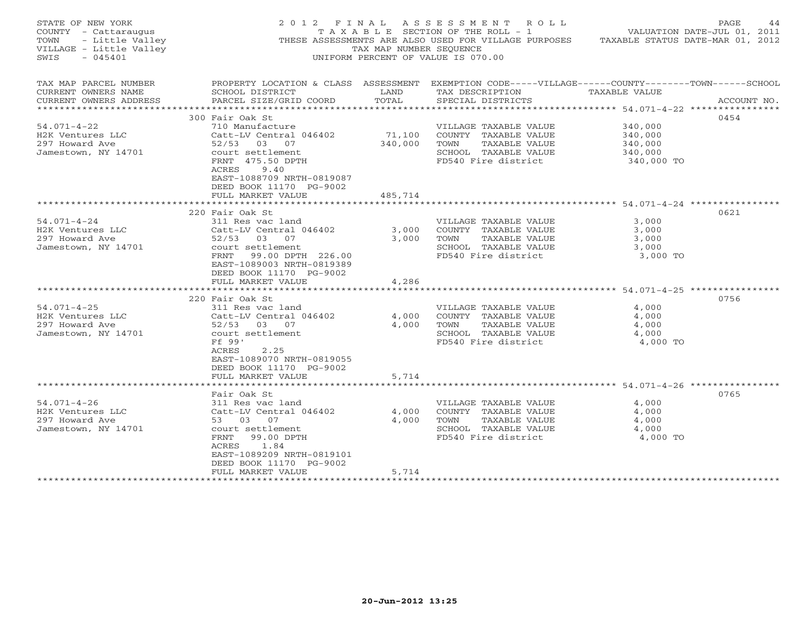| STATE OF NEW YORK<br>COUNTY - Cattaraugus<br>- Little Valley<br>TOWN<br>VILLAGE - Little Valley<br>SWTS<br>$-045401$ |                                                                                                                                                 | TAX MAP NUMBER SEQUENCE | 2012 FINAL ASSESSMENT ROLL<br>T A X A B L E SECTION OF THE ROLL - 1<br>THESE ASSESSMENTS ARE ALSO USED FOR VILLAGE PURPOSES TAXABLE STATUS DATE-MAR 01, 2012<br>UNIFORM PERCENT OF VALUE IS 070.00 | VALUATION DATE-JUL 01, 2011 | PAGE<br>44  |
|----------------------------------------------------------------------------------------------------------------------|-------------------------------------------------------------------------------------------------------------------------------------------------|-------------------------|----------------------------------------------------------------------------------------------------------------------------------------------------------------------------------------------------|-----------------------------|-------------|
| TAX MAP PARCEL NUMBER<br>CURRENT OWNERS NAME<br>CURRENT OWNERS ADDRESS                                               | PROPERTY LOCATION & CLASS ASSESSMENT EXEMPTION CODE-----VILLAGE------COUNTY-------TOWN------SCHOOL<br>SCHOOL DISTRICT<br>PARCEL SIZE/GRID COORD | LAND<br>TOTAL           | TAX DESCRIPTION<br>SPECIAL DISTRICTS                                                                                                                                                               | TAXABLE VALUE               | ACCOUNT NO. |
| ***********************                                                                                              | 300 Fair Oak St                                                                                                                                 |                         |                                                                                                                                                                                                    |                             | 0454        |
| $54.071 - 4 - 22$                                                                                                    | 710 Manufacture                                                                                                                                 |                         |                                                                                                                                                                                                    | 340,000                     |             |
| H2K Ventures LLC<br>297 Howard Ave                                                                                   | Catt-LV Central 046402<br>52/53 03 07                                                                                                           | 71,100<br>340,000       | VILLAGE TAXABLE VALUE<br>COUNTY TAXABLE VALUE<br>TAXABLE VALUE<br>TOWN                                                                                                                             | 340,000<br>340,000          |             |
| Jamestown, NY 14701                                                                                                  | court settlement<br>FRNT 475.50 DPTH<br>ACRES<br>9.40<br>EAST-1088709 NRTH-0819087<br>DEED BOOK 11170 PG-9002                                   |                         | SCHOOL TAXABLE VALUE<br>FD540 Fire district                                                                                                                                                        | 340,000<br>340,000 TO       |             |
|                                                                                                                      | FULL MARKET VALUE                                                                                                                               | 485,714                 |                                                                                                                                                                                                    |                             |             |
|                                                                                                                      |                                                                                                                                                 |                         |                                                                                                                                                                                                    |                             |             |
| $54.071 - 4 - 24$                                                                                                    | 220 Fair Oak St<br>311 Res vac land                                                                                                             |                         | VILLAGE TAXABLE VALUE                                                                                                                                                                              | 3,000                       | 0621        |
| H2K Ventures LLC                                                                                                     | Catt-LV Central 046402                                                                                                                          | 3,000                   | COUNTY TAXABLE VALUE                                                                                                                                                                               | 3,000                       |             |
| 297 Howard Ave                                                                                                       | 52/53 03 07                                                                                                                                     | 3,000                   | TOWN<br>TAXABLE VALUE                                                                                                                                                                              | 3,000                       |             |
| Jamestown, NY 14701                                                                                                  | court settlement                                                                                                                                |                         | SCHOOL TAXABLE VALUE                                                                                                                                                                               | 3,000                       |             |
|                                                                                                                      | FRNT 99.00 DPTH 226.00<br>EAST-1089003 NRTH-0819389<br>DEED BOOK 11170 PG-9002                                                                  |                         | FD540 Fire district                                                                                                                                                                                | 3,000 TO                    |             |
|                                                                                                                      | FULL MARKET VALUE                                                                                                                               | 4,286                   |                                                                                                                                                                                                    |                             |             |
|                                                                                                                      |                                                                                                                                                 |                         |                                                                                                                                                                                                    |                             |             |
| $54.071 - 4 - 25$                                                                                                    | 220 Fair Oak St<br>311 Res vac land                                                                                                             |                         | VILLAGE TAXABLE VALUE                                                                                                                                                                              | 4,000                       | 0756        |
| H2K Ventures LLC                                                                                                     | Catt-LV Central 046402                                                                                                                          | 4,000                   | COUNTY TAXABLE VALUE                                                                                                                                                                               | 4,000                       |             |
|                                                                                                                      |                                                                                                                                                 |                         | TAXABLE VALUE<br>TOWN                                                                                                                                                                              |                             |             |
| 297 Howard Ave                                                                                                       | 52/53 03 07<br>court settlement                                                                                                                 | 4,000                   | SCHOOL TAXABLE VALUE                                                                                                                                                                               | 4,000<br>4,000              |             |
| Jamestown, NY 14701                                                                                                  | Ff 99'                                                                                                                                          |                         | FD540 Fire district                                                                                                                                                                                |                             |             |
|                                                                                                                      | 2.25<br>ACRES<br>EAST-1089070 NRTH-0819055<br>DEED BOOK 11170 PG-9002                                                                           |                         |                                                                                                                                                                                                    | 4,000 TO                    |             |
|                                                                                                                      | FULL MARKET VALUE                                                                                                                               | 5,714                   |                                                                                                                                                                                                    |                             |             |
|                                                                                                                      |                                                                                                                                                 |                         |                                                                                                                                                                                                    |                             |             |
|                                                                                                                      | Fair Oak St                                                                                                                                     |                         |                                                                                                                                                                                                    |                             | 0765        |
| $54.071 - 4 - 26$                                                                                                    | 311 Res vac land                                                                                                                                |                         | VILLAGE TAXABLE VALUE                                                                                                                                                                              | 4,000                       |             |
| H2K Ventures LLC                                                                                                     | Catt-LV Central 046402                                                                                                                          | 4,000                   | COUNTY TAXABLE VALUE                                                                                                                                                                               | 4,000                       |             |
| 297 Howard Ave                                                                                                       | 53 03 07                                                                                                                                        | 4,000                   | TAXABLE VALUE<br>TOWN                                                                                                                                                                              | 4,000                       |             |
| Jamestown, NY 14701                                                                                                  | court settlement                                                                                                                                |                         | SCHOOL TAXABLE VALUE                                                                                                                                                                               | 4,000                       |             |
|                                                                                                                      | FRNT 99.00 DPTH<br>1.84<br>ACRES<br>EAST-1089209 NRTH-0819101<br>DEED BOOK 11170 PG-9002                                                        |                         | FD540 Fire district                                                                                                                                                                                | 4,000 TO                    |             |
|                                                                                                                      | FULL MARKET VALUE                                                                                                                               | 5,714                   |                                                                                                                                                                                                    |                             |             |
|                                                                                                                      |                                                                                                                                                 |                         |                                                                                                                                                                                                    |                             |             |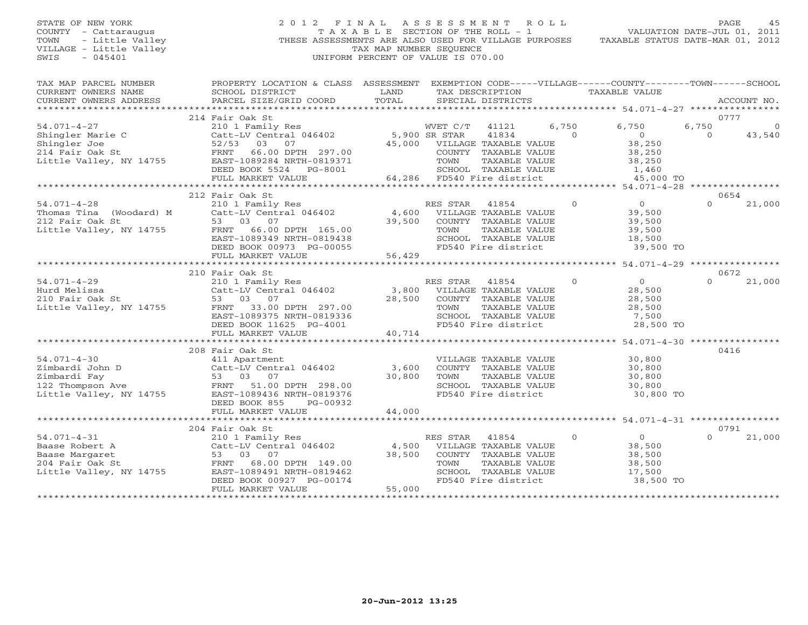# STATE OF NEW YORK 2 0 1 2 F I N A L A S S E S S M E N T R O L L PAGE 45 COUNTY - Cattaraugus T A X A B L E SECTION OF THE ROLL - 1 VALUATION DATE-JUL 01, 2011 TOWN - Little Valley ... THESE ASSESSMENTS ARE ALSO USED FOR VILLAGE PURPOSES TAXABLE STATUS DATE-MAR 01, 2012<br>VILLAGE - Little Valley ... THESE ASSESSMENTS ARE ALSO USED FOR VILLAGE PURPOSES TAXABLE STATUS DATE-MAR 01, 20 VILLAGE - Little Valley and the Communist Communist Communist Communist Communist Communist Communist Communist Communist Communist Communist Communist Communist Communist Communist Communist Communist Communist Communist SWIS - 045401 UNIFORM PERCENT OF VALUE IS 070.00

| TAX MAP PARCEL NUMBER   | PROPERTY LOCATION & CLASS ASSESSMENT                                                                                    |               | EXEMPTION CODE-----VILLAGE------COUNTY-------TOWN------SCHOOL |                |                      |          |             |
|-------------------------|-------------------------------------------------------------------------------------------------------------------------|---------------|---------------------------------------------------------------|----------------|----------------------|----------|-------------|
| CURRENT OWNERS NAME     | SCHOOL DISTRICT                                                                                                         | LAND          | TAX DESCRIPTION                                               |                | <b>TAXABLE VALUE</b> |          |             |
| CURRENT OWNERS ADDRESS  | PARCEL SIZE/GRID COORD                                                                                                  | TOTAL         | SPECIAL DISTRICTS                                             |                |                      |          | ACCOUNT NO. |
|                         |                                                                                                                         |               |                                                               |                |                      |          |             |
|                         | 214 Fair Oak St                                                                                                         |               |                                                               |                |                      |          | 0777        |
| $54.071 - 4 - 27$       | 210 1 Family Res                                                                                                        |               | WVET C/T<br>41121                                             | 6,750          | 6,750                | 6,750    | $\Omega$    |
| Shingler Marie C        | Catt-LV Central 046402                                                                                                  | 5,900 SR STAR | 41834                                                         | $\Omega$       | $\Omega$             | $\Omega$ | 43,540      |
| Shingler Joe            | 52/53 03<br>07                                                                                                          |               | 45,000 VILLAGE TAXABLE VALUE                                  |                | 38,250               |          |             |
| 214 Fair Oak St         |                                                                                                                         |               | COUNTY TAXABLE VALUE                                          |                | 38,250               |          |             |
| Little Valley, NY 14755 | FRNT 66.00 DPTH 297.00<br>2019371 EAST-1089284 NRTH-0819371                                                             |               | TOWN<br>TAXABLE VALUE                                         |                | 38,250               |          |             |
|                         | DEED BOOK 5524<br>PG-8001                                                                                               |               | SCHOOL TAXABLE VALUE                                          |                | 1,460                |          |             |
|                         | FULL MARKET VALUE                                                                                                       |               | 64,286 FD540 Fire district                                    |                | 45,000 TO            |          |             |
|                         | ****************************                                                                                            |               |                                                               |                |                      |          |             |
|                         | 212 Fair Oak St                                                                                                         |               |                                                               |                |                      |          | 0654        |
| $54.071 - 4 - 28$       | 210 1 Family Res                                                                                                        |               | RES STAR<br>41854                                             | $\Omega$       | $\overline{0}$       | $\cap$   | 21,000      |
| Thomas Tina (Woodard) M | Catt-LV Central 046402                                                                                                  |               | 4,600 VILLAGE TAXABLE VALUE                                   |                | 39,500               |          |             |
| 212 Fair Oak St         | 53 03 07                                                                                                                | 39,500        | COUNTY TAXABLE VALUE                                          |                | 39,500               |          |             |
|                         | Little Valley, NY 14755 FRNT 66.00 DPTH 165.00                                                                          |               | TOWN<br>TAXABLE VALUE                                         |                | 39,500               |          |             |
|                         | EAST-1089349 NRTH-0819438                                                                                               |               | SCHOOL TAXABLE VALUE                                          |                | 18,500               |          |             |
|                         | DEED BOOK 00973 PG-00055                                                                                                |               | FD540 Fire district                                           |                | 39,500 TO            |          |             |
|                         | FULL MARKET VALUE                                                                                                       | 56,429        |                                                               |                |                      |          |             |
|                         |                                                                                                                         |               |                                                               |                |                      |          |             |
|                         | 210 Fair Oak St                                                                                                         |               |                                                               |                |                      |          | 0672        |
| $54.071 - 4 - 29$       | 210 1 Family Res<br>Catt-LV Central 046402                                                                              |               | RES STAR<br>41854                                             | $\Omega$       | $\overline{0}$       | $\cap$   | 21,000      |
| Hurd Melissa            |                                                                                                                         |               | 3,800 VILLAGE TAXABLE VALUE                                   |                | 28,500               |          |             |
|                         | Hurd Melissa<br>210 Fair Oak St 53 03 07<br>Little Valley, NY 14755 FRNT 33.00 DPTH 297.00<br>FRNT 3030375 NDMH 0919326 | 28,500        | COUNTY TAXABLE VALUE                                          |                | 28,500               |          |             |
|                         |                                                                                                                         |               | TAXABLE VALUE<br>TOWN                                         |                | 28,500               |          |             |
|                         | EAST-1089375 NRTH-0819336                                                                                               |               | SCHOOL TAXABLE VALUE                                          |                | 7,500                |          |             |
|                         | DEED BOOK 11625 PG-4001                                                                                                 |               | FD540 Fire district                                           |                | 28,500 TO            |          |             |
|                         | FULL MARKET VALUE                                                                                                       | 40,714        |                                                               |                |                      |          |             |
|                         |                                                                                                                         |               |                                                               |                |                      |          |             |
|                         | 208 Fair Oak St                                                                                                         |               |                                                               |                |                      |          | 0416        |
| $54.071 - 4 - 30$       | 411 Apartment                                                                                                           |               | VILLAGE TAXABLE VALUE                                         |                | 30,800               |          |             |
|                         |                                                                                                                         | 3,600         | COUNTY TAXABLE VALUE                                          |                | 30,800               |          |             |
|                         |                                                                                                                         | 30,800        | TOWN<br>TAXABLE VALUE                                         |                | 30,800               |          |             |
|                         | Exambardi John D<br>21 Simbardi Fay<br>21 Simbardi Fay<br>122 Thompson Ave<br>122 Thompson Ave<br>298.00                |               | SCHOOL TAXABLE VALUE                                          |                | 30,800               |          |             |
|                         | Little Valley, NY 14755 EAST-1089436 NRTH-0819376                                                                       |               | FD540 Fire district                                           |                | 30,800 TO            |          |             |
|                         | DEED BOOK 855<br>PG-00932                                                                                               |               |                                                               |                |                      |          |             |
|                         | FULL MARKET VALUE                                                                                                       | 44,000        |                                                               |                |                      |          |             |
|                         |                                                                                                                         |               |                                                               |                |                      |          |             |
|                         | 204 Fair Oak St                                                                                                         |               |                                                               |                |                      |          | 0791        |
| $54.071 - 4 - 31$       | 210 1 Family Res                                                                                                        |               | RES STAR<br>41854                                             | $\overline{0}$ | $\overline{0}$       |          | 21,000      |
| Baase Robert A          |                                                                                                                         | 4,500         | VILLAGE TAXABLE VALUE                                         |                | 38,500               |          |             |
| Baase Margaret          |                                                                                                                         | 38,500        | COUNTY TAXABLE VALUE                                          |                | 38,500               |          |             |
| 204 Fair Oak St         | 210 1 raming nes<br>Catt-LV Central 046402<br>53 03 07<br>FRNT 68.00 DPTH 149.00                                        |               | TAXABLE VALUE<br>TOWN                                         |                | 38,500               |          |             |
| Little Valley, NY 14755 | EAST-1089491 NRTH-0819462                                                                                               |               | SCHOOL TAXABLE VALUE                                          |                | 17,500               |          |             |
|                         | DEED BOOK 00927 PG-00174                                                                                                |               | FD540 Fire district                                           |                | 38,500 TO            |          |             |
|                         | FULL MARKET VALUE                                                                                                       | 55,000        |                                                               |                |                      |          |             |
|                         |                                                                                                                         |               |                                                               |                |                      |          |             |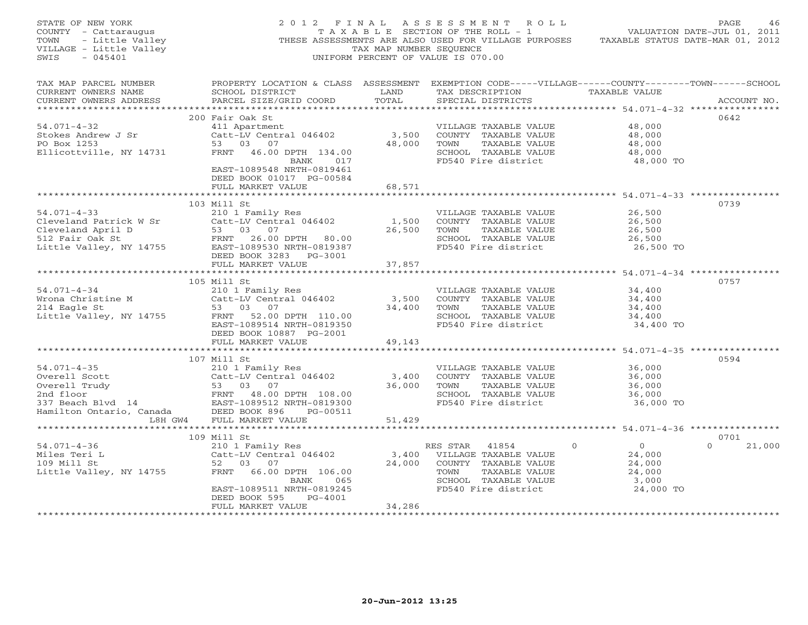| STATE OF NEW YORK<br>COUNTY - Cattaraugus<br>TOWN - Little Valley<br>VILLAGE - Little Valley<br>SWIS - 045401                                                                                                                                                        |                                                                                                                                                                       | TAX MAP NUMBER SEQUENCE | 2012 FINAL ASSESSMENT ROLL<br>TAXABLE SECTION OF THE ROLL - 1 VALUATION DATE-JUL 01, 2011<br>THESE ASSESSMENTS ARE ALSO USED FOR VILLAGE PURPOSES TAXABLE STATUS DATE-MAR 01, 2012<br>UNIFORM PERCENT OF VALUE IS 070.00                                                          |                                                                                      | PAGE<br>46         |
|----------------------------------------------------------------------------------------------------------------------------------------------------------------------------------------------------------------------------------------------------------------------|-----------------------------------------------------------------------------------------------------------------------------------------------------------------------|-------------------------|-----------------------------------------------------------------------------------------------------------------------------------------------------------------------------------------------------------------------------------------------------------------------------------|--------------------------------------------------------------------------------------|--------------------|
| TAX MAP PARCEL NUMBER PROPERTY LOCATION & CLASS ASSESSMENT EXEMPTION CODE-----VILLAGE------COUNTY-------TOWN------SCHOOL<br>CURRENT OWNERS NAME<br>CURRENT OWNERS ADDRESS                                                                                            | SCHOOL DISTRICT LAND<br>PARCEL SIZE/GRID COORD                                                                                                                        | TOTAL                   | TAX DESCRIPTION TAXABLE VALUE<br>SPECIAL DISTRICTS                                                                                                                                                                                                                                |                                                                                      | ACCOUNT NO.        |
| $54.071 - 4 - 32$<br>Stokes Andrew J Sr<br>PO Box 1253<br>Ellicottville, NY 14731                                                                                                                                                                                    | 200 Fair Oak St<br>411 Apartment<br>Catt-LV Central 046402<br>53 03 07<br>FRNT 46.00 DPTH 134.00<br>BANK 017<br>EAST-1089548 NRTH-0819461<br>DEED BOOK 01017 PG-00584 |                         | VILLAGE TAXABLE VALUE<br>$\begin{tabular}{lllllllll} 3,500 & \multicolumn{3}{c}{\text{COUNTY}} & \text{TXABLE VALUE} & & & 48,000 \\ 48,000 & \multicolumn{3}{c}{\text{TOWN}} & \text{TXABLE VALUE} & & & 48,000 \\ \end{tabular}$<br>SCHOOL TAXABLE VALUE<br>FD540 Fire district | 48,000<br>48,000<br>48,000 TO                                                        | 0642               |
|                                                                                                                                                                                                                                                                      | FULL MARKET VALUE<br>103 Mill St                                                                                                                                      | 68,571                  |                                                                                                                                                                                                                                                                                   |                                                                                      | 0739               |
| 54.071-4-33<br>Cleveland Patrick W Sr<br>Cleveland April D<br>Cleveland April D<br>53 03 07<br>512 Fair Oak St<br>ERNT 26.00 DPTH 80.00<br>ERNT 26.00 DPTH 80.00<br>FRNT 26.00 DPTH 80.00<br>26,500 TOWN TAXABLE VALUE<br>SCHOOL TAXABLE VALUE<br>SC                 | DEED BOOK 3283 PG-3001<br>FULL MARKET VALUE                                                                                                                           | 37,857                  | TAXABLE VALUE<br>FD540 Fire district                                                                                                                                                                                                                                              | 26,500<br>26,500<br>26,500<br>26,500<br>26,500 TO                                    |                    |
|                                                                                                                                                                                                                                                                      |                                                                                                                                                                       |                         |                                                                                                                                                                                                                                                                                   |                                                                                      |                    |
| 34,400<br>Wrona Christine M<br>210 1 Family Res<br>210 1 Family Res<br>210 1 Family Res<br>210 1 Family Res<br>214 Eagle St<br>214 Eagle St<br>34,400<br>214 Eagle St<br>34,400<br>214 Eagle St<br>34,400<br>214 Eagle St<br>34,400<br>214 Eagle St<br>34,400<br>    | 105 Mill St<br>EAST-1089514 NRTH-0819350<br>DEED BOOK 10887 PG-2001<br>FULL MARKET VALUE                                                                              | 49,143                  | SCHOOL TAXABLE VALUE<br>FD540 Fire district                                                                                                                                                                                                                                       | 34,400 TO                                                                            | 0757               |
|                                                                                                                                                                                                                                                                      | **************************<br>107 Mill St                                                                                                                             |                         |                                                                                                                                                                                                                                                                                   | ********************************* 54.071-4-35 ***************                        | 0594               |
| 54.071-4-35<br>Overell Scott<br>Overell Scott<br>Overell Trudy<br>Sand Contral 046402<br>2nd floor<br>2nd floor<br>2nd floor<br>2nd floor<br>2nd floor<br>2nd floor<br>2nd floor<br>2nd floor<br>2nd floor<br>2nd floor<br>2nd 53<br>2nd 53<br>2nd 53<br>2nd 53<br>2 |                                                                                                                                                                       | 36,000                  | VILLAGE TAXABLE VALUE<br>COUNTY TAXABLE VALUE<br>TOWN     TAXABLE VALUE<br>SCHOOL TAXABLE VALUE<br>FD540 Fire district                                                                                                                                                            | 36,000<br>36,000<br>36,000<br>36,000<br>36,000 TO                                    |                    |
|                                                                                                                                                                                                                                                                      |                                                                                                                                                                       |                         |                                                                                                                                                                                                                                                                                   |                                                                                      |                    |
|                                                                                                                                                                                                                                                                      | 109 Mill St                                                                                                                                                           |                         |                                                                                                                                                                                                                                                                                   |                                                                                      | 0701               |
| 109 Mill st<br>210 1 Family Res<br>210 1 Family Res<br>210 1 Family Res<br>210 1 Family Res<br>24,000 VILLAGE TAXABLE VALUE<br>3,400 VILLAGE TAXABLE VALUE<br>24,000 COUNTY TAXABLE VALUE<br>24,000 COUNTY TAXABLE VALUE<br>24,000 COUNTY TAXABL                     | EAST-1089511 NRTH-0819245<br>DEED BOOK 595<br>PG-4001                                                                                                                 |                         | FD540 Fire district                                                                                                                                                                                                                                                               | $\begin{array}{c} 0 \\ 24,000 \\ 24,000 \end{array}$<br>24,000<br>3,000<br>24,000 TO | $\Omega$<br>21,000 |
|                                                                                                                                                                                                                                                                      | FULL MARKET VALUE                                                                                                                                                     | 34,286                  |                                                                                                                                                                                                                                                                                   |                                                                                      |                    |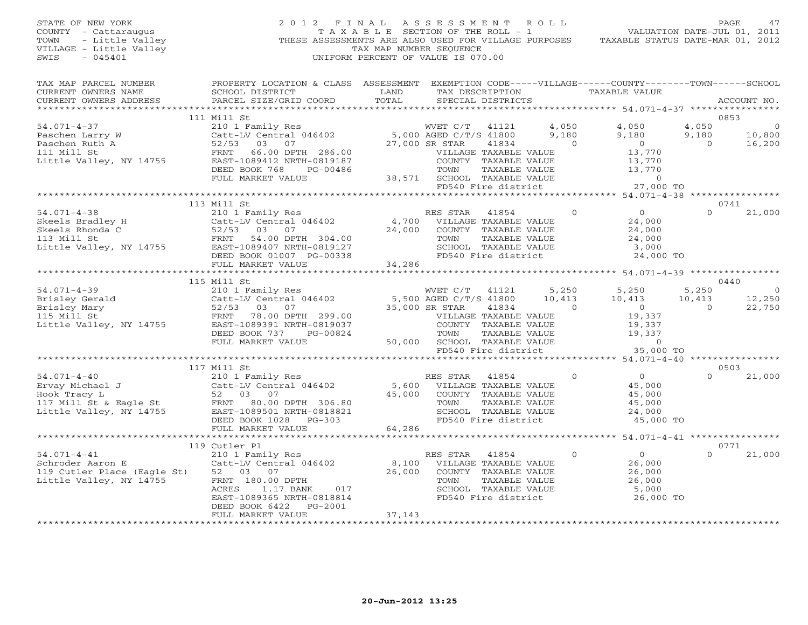# STATE OF NEW YORK 2 0 1 2 F I N A L A S S E S S M E N T R O L L PAGE 47 COUNTY - Cattaraugus T A X A B L E SECTION OF THE ROLL - 1 VALUATION DATE-JUL 01, 2011 TOWN - Little Valley **These ASSESSMENTS ARE ALSO USED FOR VILLAGE PURPOSES** TAXABLE STATUS DATE-MAR 01, 2012<br>VILLAGE - Little Valley **These State of Tax Map NUMBER SEQUENCE** VILLAGE - Little Valley and the Communist Communist Communist Communist Communist Communist Communist Communist Communist Communist Communist Communist Communist Communist Communist Communist Communist Communist Communist SWIS - 045401 UNIFORM PERCENT OF VALUE IS 070.00

| TAX MAP PARCEL NUMBER                                                                                                                                                                                                                                                                                                                                                                                                   | PROPERTY LOCATION & CLASS ASSESSMENT EXEMPTION CODE-----VILLAGE------COUNTY-------TOWN------SCHOOL                                                                                                                                                 |        |                                                    |                |                |                                                                             |
|-------------------------------------------------------------------------------------------------------------------------------------------------------------------------------------------------------------------------------------------------------------------------------------------------------------------------------------------------------------------------------------------------------------------------|----------------------------------------------------------------------------------------------------------------------------------------------------------------------------------------------------------------------------------------------------|--------|----------------------------------------------------|----------------|----------------|-----------------------------------------------------------------------------|
|                                                                                                                                                                                                                                                                                                                                                                                                                         | LAND LAND LAND                                                                                                                                                                                                                                     |        | TAX DESCRIPTION TAXABLE VALUE<br>SPECIAL DISTRICTS |                |                | ACCOUNT NO.                                                                 |
| $\begin{tabular}{lllllllllll} \texttt{CURRENT} & & & & & & & & & 111\ \texttt{Mill St} & & & & & & & & 111\ \texttt{Mill St} & & & & & & & & 111\ \texttt{Mill St} & & & & & & & & 111\ \texttt{Mill St} & & & & & & & & 111\ \texttt{Mill St} & & & & & & & & 111\ \texttt{Mill St} & & & & & & & & 111\ \texttt{Mill St} & & & & & & & & 111\ \texttt{Mill St} & & & & & & & & 111\ \texttt{Mill St} & & & & & & & &$ |                                                                                                                                                                                                                                                    |        |                                                    |                |                |                                                                             |
|                                                                                                                                                                                                                                                                                                                                                                                                                         |                                                                                                                                                                                                                                                    |        |                                                    |                |                | 0853                                                                        |
|                                                                                                                                                                                                                                                                                                                                                                                                                         |                                                                                                                                                                                                                                                    |        |                                                    |                | 4,050          |                                                                             |
|                                                                                                                                                                                                                                                                                                                                                                                                                         |                                                                                                                                                                                                                                                    |        |                                                    |                |                | $\begin{array}{cc} & & & \downarrow \\ & & 10,800 \\ 16,00 & & \end{array}$ |
|                                                                                                                                                                                                                                                                                                                                                                                                                         |                                                                                                                                                                                                                                                    |        |                                                    |                | 9,180          |                                                                             |
|                                                                                                                                                                                                                                                                                                                                                                                                                         |                                                                                                                                                                                                                                                    |        |                                                    |                | $\overline{0}$ |                                                                             |
|                                                                                                                                                                                                                                                                                                                                                                                                                         |                                                                                                                                                                                                                                                    |        |                                                    |                |                |                                                                             |
|                                                                                                                                                                                                                                                                                                                                                                                                                         |                                                                                                                                                                                                                                                    |        |                                                    |                |                |                                                                             |
|                                                                                                                                                                                                                                                                                                                                                                                                                         |                                                                                                                                                                                                                                                    |        |                                                    |                |                |                                                                             |
|                                                                                                                                                                                                                                                                                                                                                                                                                         |                                                                                                                                                                                                                                                    |        |                                                    |                |                |                                                                             |
|                                                                                                                                                                                                                                                                                                                                                                                                                         |                                                                                                                                                                                                                                                    |        |                                                    |                |                |                                                                             |
|                                                                                                                                                                                                                                                                                                                                                                                                                         |                                                                                                                                                                                                                                                    |        |                                                    |                |                |                                                                             |
|                                                                                                                                                                                                                                                                                                                                                                                                                         | 113 Mill St                                                                                                                                                                                                                                        |        |                                                    |                |                | 0741                                                                        |
|                                                                                                                                                                                                                                                                                                                                                                                                                         |                                                                                                                                                                                                                                                    |        |                                                    |                | $\Omega$       | 21,000                                                                      |
|                                                                                                                                                                                                                                                                                                                                                                                                                         |                                                                                                                                                                                                                                                    |        |                                                    |                |                |                                                                             |
|                                                                                                                                                                                                                                                                                                                                                                                                                         |                                                                                                                                                                                                                                                    |        |                                                    |                |                |                                                                             |
|                                                                                                                                                                                                                                                                                                                                                                                                                         |                                                                                                                                                                                                                                                    |        |                                                    |                |                |                                                                             |
|                                                                                                                                                                                                                                                                                                                                                                                                                         |                                                                                                                                                                                                                                                    |        |                                                    |                |                |                                                                             |
|                                                                                                                                                                                                                                                                                                                                                                                                                         |                                                                                                                                                                                                                                                    |        |                                                    |                |                |                                                                             |
|                                                                                                                                                                                                                                                                                                                                                                                                                         |                                                                                                                                                                                                                                                    |        |                                                    |                |                |                                                                             |
|                                                                                                                                                                                                                                                                                                                                                                                                                         |                                                                                                                                                                                                                                                    |        |                                                    |                |                |                                                                             |
|                                                                                                                                                                                                                                                                                                                                                                                                                         |                                                                                                                                                                                                                                                    |        |                                                    |                |                | 0440                                                                        |
|                                                                                                                                                                                                                                                                                                                                                                                                                         |                                                                                                                                                                                                                                                    |        |                                                    |                | 5,250          | $\overline{0}$                                                              |
|                                                                                                                                                                                                                                                                                                                                                                                                                         |                                                                                                                                                                                                                                                    |        |                                                    |                | 10,413         | 12,250                                                                      |
|                                                                                                                                                                                                                                                                                                                                                                                                                         |                                                                                                                                                                                                                                                    |        |                                                    |                | $\overline{0}$ | 22,750                                                                      |
|                                                                                                                                                                                                                                                                                                                                                                                                                         |                                                                                                                                                                                                                                                    |        |                                                    |                |                |                                                                             |
|                                                                                                                                                                                                                                                                                                                                                                                                                         |                                                                                                                                                                                                                                                    |        |                                                    |                |                |                                                                             |
|                                                                                                                                                                                                                                                                                                                                                                                                                         |                                                                                                                                                                                                                                                    |        |                                                    |                |                |                                                                             |
|                                                                                                                                                                                                                                                                                                                                                                                                                         |                                                                                                                                                                                                                                                    |        |                                                    |                |                |                                                                             |
|                                                                                                                                                                                                                                                                                                                                                                                                                         |                                                                                                                                                                                                                                                    |        |                                                    |                |                |                                                                             |
|                                                                                                                                                                                                                                                                                                                                                                                                                         |                                                                                                                                                                                                                                                    |        |                                                    |                |                |                                                                             |
|                                                                                                                                                                                                                                                                                                                                                                                                                         |                                                                                                                                                                                                                                                    |        |                                                    |                |                | 0503                                                                        |
|                                                                                                                                                                                                                                                                                                                                                                                                                         |                                                                                                                                                                                                                                                    |        |                                                    | $\overline{0}$ | $\Omega$       | 21,000                                                                      |
|                                                                                                                                                                                                                                                                                                                                                                                                                         |                                                                                                                                                                                                                                                    |        |                                                    |                |                |                                                                             |
|                                                                                                                                                                                                                                                                                                                                                                                                                         |                                                                                                                                                                                                                                                    |        |                                                    |                |                |                                                                             |
|                                                                                                                                                                                                                                                                                                                                                                                                                         |                                                                                                                                                                                                                                                    |        |                                                    |                |                |                                                                             |
|                                                                                                                                                                                                                                                                                                                                                                                                                         |                                                                                                                                                                                                                                                    |        |                                                    |                |                |                                                                             |
|                                                                                                                                                                                                                                                                                                                                                                                                                         |                                                                                                                                                                                                                                                    |        |                                                    |                |                |                                                                             |
|                                                                                                                                                                                                                                                                                                                                                                                                                         |                                                                                                                                                                                                                                                    |        |                                                    |                |                |                                                                             |
|                                                                                                                                                                                                                                                                                                                                                                                                                         |                                                                                                                                                                                                                                                    |        |                                                    |                |                |                                                                             |
|                                                                                                                                                                                                                                                                                                                                                                                                                         |                                                                                                                                                                                                                                                    |        |                                                    |                |                |                                                                             |
|                                                                                                                                                                                                                                                                                                                                                                                                                         |                                                                                                                                                                                                                                                    |        |                                                    |                | $\cap$         | 0771                                                                        |
| $54.071 - 4 - 41$                                                                                                                                                                                                                                                                                                                                                                                                       |                                                                                                                                                                                                                                                    |        |                                                    |                |                | 21,000                                                                      |
| Schroder Aaron E                                                                                                                                                                                                                                                                                                                                                                                                        |                                                                                                                                                                                                                                                    |        |                                                    |                |                |                                                                             |
| 119 Cutler Place (Eagle St) 52 03 07<br>Little Valley, NY 14755 FRNT 180.00                                                                                                                                                                                                                                                                                                                                             | 119 Cutler P1<br>210 1 Family Res<br>Catt-LV Central 046402<br>(Eagle St) 52 03 07<br>26,000 DPTH<br>26,000 DPTH<br>26,000 SCHOOT, TAXABLE VALUE<br>26,000 SCHOOT, TAXABLE VALUE<br>26,000 SCHOOT, TAXABLE VALUE<br>26,000<br>26,000 SCHOOT, TAXAB |        |                                                    |                |                |                                                                             |
|                                                                                                                                                                                                                                                                                                                                                                                                                         |                                                                                                                                                                                                                                                    |        |                                                    |                |                |                                                                             |
|                                                                                                                                                                                                                                                                                                                                                                                                                         | $017$<br>318914                                                                                                                                                                                                                                    |        |                                                    |                |                |                                                                             |
|                                                                                                                                                                                                                                                                                                                                                                                                                         | EAST-1089365 NRTH-0818814                                                                                                                                                                                                                          |        | FD540 Fire district 26,000 TO                      |                |                |                                                                             |
|                                                                                                                                                                                                                                                                                                                                                                                                                         | DEED BOOK 6422 PG-2001                                                                                                                                                                                                                             |        |                                                    |                |                |                                                                             |
|                                                                                                                                                                                                                                                                                                                                                                                                                         | FULL MARKET VALUE                                                                                                                                                                                                                                  | 37,143 |                                                    |                |                |                                                                             |
|                                                                                                                                                                                                                                                                                                                                                                                                                         |                                                                                                                                                                                                                                                    |        |                                                    |                |                |                                                                             |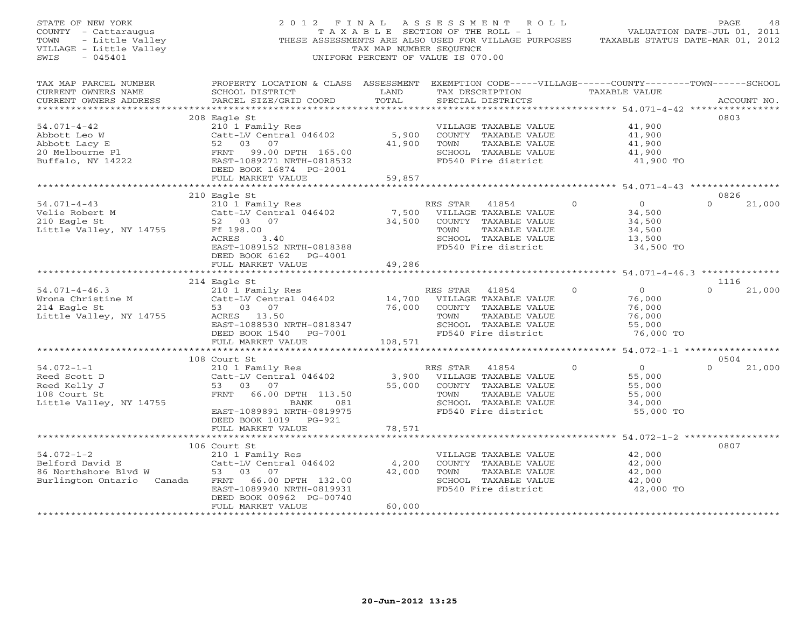| STATE OF NEW YORK<br>COUNTY - Cattaraugus<br>- Little Valley<br>TOWN<br>VILLAGE - Little Valley<br>SWIS<br>$-045401$ | 2012 FINAL                                                                                                                                      | TAX MAP NUMBER SEOUENCE     | ASSESSMENT ROLL<br>T A X A B L E SECTION OF THE ROLL - 1<br>THESE ASSESSMENTS ARE ALSO USED FOR VILLAGE PURPOSES<br>UNIFORM PERCENT OF VALUE IS 070.00 |                                                    | PAGE<br>48<br>VALUATION DATE-JUL 01, 2011<br>TAXABLE STATUS DATE-MAR 01, 2012 |
|----------------------------------------------------------------------------------------------------------------------|-------------------------------------------------------------------------------------------------------------------------------------------------|-----------------------------|--------------------------------------------------------------------------------------------------------------------------------------------------------|----------------------------------------------------|-------------------------------------------------------------------------------|
| TAX MAP PARCEL NUMBER<br>CURRENT OWNERS NAME<br>CURRENT OWNERS ADDRESS<br>***********************                    | PROPERTY LOCATION & CLASS ASSESSMENT EXEMPTION CODE-----VILLAGE------COUNTY-------TOWN------SCHOOL<br>SCHOOL DISTRICT<br>PARCEL SIZE/GRID COORD | LAND<br>TOTAL               | TAX DESCRIPTION TAXABLE VALUE<br>SPECIAL DISTRICTS                                                                                                     |                                                    | ACCOUNT NO.                                                                   |
|                                                                                                                      | 208 Eagle St                                                                                                                                    |                             |                                                                                                                                                        |                                                    | 0803                                                                          |
| $54.071 - 4 - 42$                                                                                                    | 210 1 Family Res                                                                                                                                |                             | VILLAGE TAXABLE VALUE                                                                                                                                  | 41,900                                             |                                                                               |
| Abbott Leo W                                                                                                         | Catt-LV Central 046402                                                                                                                          | 5,900                       | COUNTY TAXABLE VALUE                                                                                                                                   | 41,900                                             |                                                                               |
| Abbott Lacy E                                                                                                        | 52 03 07                                                                                                                                        | 41,900                      | TAXABLE VALUE<br>TOWN                                                                                                                                  | 41,900                                             |                                                                               |
| 20 Melbourne Pl<br>Buffalo, NY 14222                                                                                 | FRNT 99.00 DPTH 165.00<br>EAST-1089271 NRTH-0818532<br>DEED BOOK 16874 PG-2001                                                                  |                             | SCHOOL TAXABLE VALUE<br>FD540 Fire district                                                                                                            | 41,900<br>41,900 TO                                |                                                                               |
|                                                                                                                      | FULL MARKET VALUE                                                                                                                               | 59,857                      |                                                                                                                                                        |                                                    |                                                                               |
|                                                                                                                      | 210 Eagle St                                                                                                                                    |                             |                                                                                                                                                        | ************ 54.071-4-43 *************             | 0826                                                                          |
| $54.071 - 4 - 43$<br>Velie Robert M<br>210 Eagle St                                                                  | 210 1 Family Res<br>Catt-LV Central 046402<br>52 03 07                                                                                          | 7,500<br>34,500             | RES STAR<br>41854<br>VILLAGE TAXABLE VALUE<br>COUNTY TAXABLE VALUE                                                                                     | $\overline{0}$<br>$\circ$<br>34,500<br>34,500      | $\Omega$<br>21,000                                                            |
| Little Valley, NY 14755                                                                                              | Ff 198.00<br>ACRES<br>3.40<br>EAST-1089152 NRTH-0818388<br>DEED BOOK 6162 PG-4001                                                               |                             | TOWN<br>TAXABLE VALUE<br>SCHOOL TAXABLE VALUE<br>FD540 Fire district                                                                                   | 34,500<br>13,500<br>34,500 TO                      |                                                                               |
|                                                                                                                      | FULL MARKET VALUE                                                                                                                               | 49,286                      |                                                                                                                                                        |                                                    |                                                                               |
|                                                                                                                      | 214 Eagle St                                                                                                                                    |                             |                                                                                                                                                        |                                                    | 1116                                                                          |
| $54.071 - 4 - 46.3$                                                                                                  | 210 1 Family Res                                                                                                                                |                             | RES STAR<br>41854                                                                                                                                      | $\overline{0}$<br>$\mathbf 0$                      | $\Omega$<br>21,000                                                            |
| Wrona Christine M                                                                                                    | Catt-LV Central 046402                                                                                                                          | 14,700                      | VILLAGE TAXABLE VALUE                                                                                                                                  | 76,000                                             |                                                                               |
| 214 Eagle St                                                                                                         | 53 03 07                                                                                                                                        | 76,000                      | COUNTY TAXABLE VALUE                                                                                                                                   | 76,000                                             |                                                                               |
| Little Valley, NY 14755                                                                                              | ACRES 13.50                                                                                                                                     |                             | TOWN<br>TAXABLE VALUE                                                                                                                                  | 76,000                                             |                                                                               |
|                                                                                                                      | EAST-1088530 NRTH-0818347                                                                                                                       |                             | SCHOOL TAXABLE VALUE                                                                                                                                   | 55,000                                             |                                                                               |
|                                                                                                                      | DEED BOOK 1540 PG-7001<br>FULL MARKET VALUE                                                                                                     | 108,571                     | FD540 Fire district                                                                                                                                    | 76,000 TO                                          |                                                                               |
|                                                                                                                      | **********************                                                                                                                          |                             |                                                                                                                                                        | ********* 54.072-1-1 *****************             |                                                                               |
|                                                                                                                      | 108 Court St                                                                                                                                    |                             |                                                                                                                                                        |                                                    | 0504                                                                          |
| $54.072 - 1 - 1$                                                                                                     | 210 1 Family Res                                                                                                                                |                             | RES STAR 41854                                                                                                                                         | $\overline{O}$<br>$\Omega$                         | $\Omega$<br>21,000                                                            |
| Reed Scott D                                                                                                         | Catt-LV Central 046402                                                                                                                          | 3,900                       | VILLAGE TAXABLE VALUE                                                                                                                                  | 55,000                                             |                                                                               |
| Reed Kelly J                                                                                                         | 53 03 07                                                                                                                                        | 55,000                      | COUNTY TAXABLE VALUE                                                                                                                                   | 55,000                                             |                                                                               |
| 108 Court St                                                                                                         | FRNT<br>66.00 DPTH 113.50                                                                                                                       |                             | TOWN<br>TAXABLE VALUE<br>SCHOOL TAXABLE VALUE                                                                                                          | 55,000                                             |                                                                               |
| Little Valley, NY 14755                                                                                              | BANK<br>081<br>EAST-1089891 NRTH-0819975                                                                                                        |                             | FD540 Fire district                                                                                                                                    | 34,000<br>55,000 TO                                |                                                                               |
|                                                                                                                      | DEED BOOK 1019 PG-921                                                                                                                           |                             |                                                                                                                                                        |                                                    |                                                                               |
|                                                                                                                      | FULL MARKET VALUE                                                                                                                               | 78,571                      |                                                                                                                                                        |                                                    |                                                                               |
|                                                                                                                      | ****************************                                                                                                                    |                             | ************************                                                                                                                               | ********************* 54.072-1-2 ***************** |                                                                               |
|                                                                                                                      | 106 Court St                                                                                                                                    |                             |                                                                                                                                                        |                                                    | 0807                                                                          |
| $54.072 - 1 - 2$                                                                                                     | 210 1 Family Res                                                                                                                                |                             | VILLAGE TAXABLE VALUE                                                                                                                                  | 42,000                                             |                                                                               |
| Belford David E                                                                                                      | Catt-LV Central 046402                                                                                                                          | 4,200                       | COUNTY TAXABLE VALUE                                                                                                                                   | 42,000                                             |                                                                               |
| 86 Northshore Blvd W                                                                                                 | 53 03 07                                                                                                                                        | 42,000                      | TOWN<br>TAXABLE VALUE                                                                                                                                  | 42,000                                             |                                                                               |
| Burlington Ontario Canada                                                                                            | FRNT<br>66.00 DPTH 132.00<br>EAST-1089940 NRTH-0819931                                                                                          |                             | SCHOOL TAXABLE VALUE<br>FD540 Fire district                                                                                                            | 42,000<br>42,000 TO                                |                                                                               |
|                                                                                                                      | DEED BOOK 00962 PG-00740                                                                                                                        |                             |                                                                                                                                                        |                                                    |                                                                               |
|                                                                                                                      | FULL MARKET VALUE<br>*********************                                                                                                      | 60,000<br>***************** |                                                                                                                                                        |                                                    |                                                                               |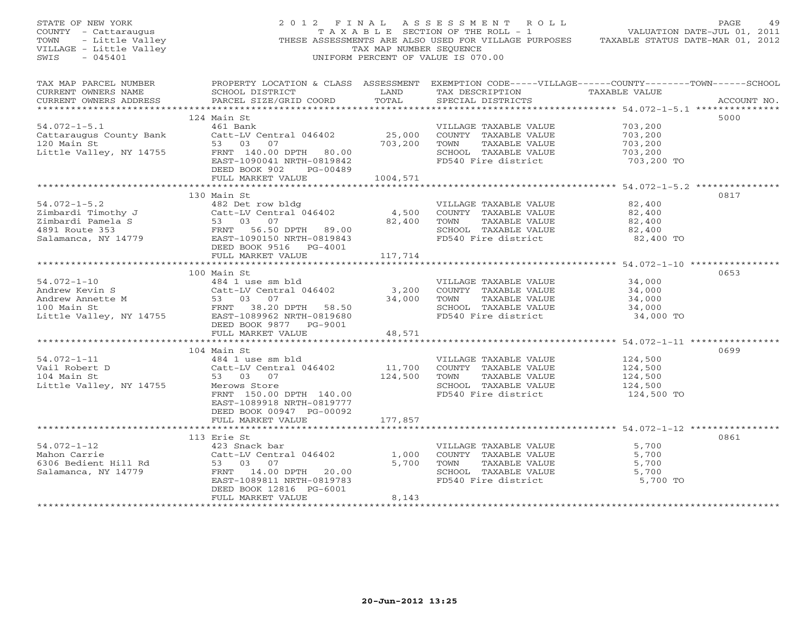|                                                                                                                                                                                                                                                                 | $\begin{array}{cccccccccc} \texttt{STATE OF NEW YORK} & & & & & & 2\ 0 & 1 & 2 & \texttt{F} \texttt{I} \texttt{N} \texttt{A} \texttt{L} & & & & & 2\ 0 & 1 & 2 & \texttt{F} \texttt{I} \texttt{N} \texttt{A} \texttt{L} & & & & & & 2\ 0 & 1 & 2 & \texttt{F} \texttt{I} \texttt{N} \texttt{A} \texttt{L} & & & & & & 5\ \texttt{COUNTY} & - \texttt{Cattaraugus} & & & & & & \texttt{T} \texttt{A} \texttt{X} \texttt{A} \$ |                                                                                                                        |                                                                                                                                                          |                               |             |
|-----------------------------------------------------------------------------------------------------------------------------------------------------------------------------------------------------------------------------------------------------------------|------------------------------------------------------------------------------------------------------------------------------------------------------------------------------------------------------------------------------------------------------------------------------------------------------------------------------------------------------------------------------------------------------------------------------|------------------------------------------------------------------------------------------------------------------------|----------------------------------------------------------------------------------------------------------------------------------------------------------|-------------------------------|-------------|
| CURRENT OWNERS NAME<br>CURRENT OWNERS ADDRESS                                                                                                                                                                                                                   | TAX MAP PARCEL NUMBER PROPERTY LOCATION & CLASS ASSESSMENT EXEMPTION CODE-----VILLAGE------COUNTY--------TOWN------SCHOOL<br>SCHOOL DISTRICT<br>PARCEL SIZE/GRID COORD TOTAL                                                                                                                                                                                                                                                 | <b>EXAMPLE SERVICE SERVICE SERVICE SERVICE SERVICE SERVICE SERVICE SERVICE SERVICE SERVICE SERVICE SERVICE SERVICE</b> | TAX DESCRIPTION TAXABLE VALUE<br>SPECIAL DISTRICTS                                                                                                       |                               | ACCOUNT NO. |
|                                                                                                                                                                                                                                                                 | 124 Main St                                                                                                                                                                                                                                                                                                                                                                                                                  |                                                                                                                        |                                                                                                                                                          |                               | 5000        |
| $54.072 - 1 - 5.1$                                                                                                                                                                                                                                              | 461 Bank                                                                                                                                                                                                                                                                                                                                                                                                                     |                                                                                                                        | VILLAGE TAXABLE VALUE                                                                                                                                    | 703,200                       |             |
| Cattaraugus County Bank                                                                                                                                                                                                                                         |                                                                                                                                                                                                                                                                                                                                                                                                                              |                                                                                                                        | Catt-LV Central 046402<br>Catt-LV Central 046402<br>3 03 07<br>FRNT 140.00 DPTH 80.00<br>EAST-1090041 NRTH-0819842<br>DFRD BOOK 902 PG-00489<br>PG-00489 |                               |             |
| 120 Main St                                                                                                                                                                                                                                                     |                                                                                                                                                                                                                                                                                                                                                                                                                              |                                                                                                                        |                                                                                                                                                          |                               |             |
| Little Valley, NY 14755                                                                                                                                                                                                                                         |                                                                                                                                                                                                                                                                                                                                                                                                                              |                                                                                                                        |                                                                                                                                                          |                               |             |
|                                                                                                                                                                                                                                                                 |                                                                                                                                                                                                                                                                                                                                                                                                                              |                                                                                                                        |                                                                                                                                                          | 703,200 TO                    |             |
|                                                                                                                                                                                                                                                                 | DEED BOOK 902 PG-00489                                                                                                                                                                                                                                                                                                                                                                                                       |                                                                                                                        |                                                                                                                                                          |                               |             |
|                                                                                                                                                                                                                                                                 | FULL MARKET VALUE 1004,571                                                                                                                                                                                                                                                                                                                                                                                                   |                                                                                                                        |                                                                                                                                                          |                               |             |
|                                                                                                                                                                                                                                                                 |                                                                                                                                                                                                                                                                                                                                                                                                                              |                                                                                                                        |                                                                                                                                                          |                               |             |
|                                                                                                                                                                                                                                                                 | 130 Main St                                                                                                                                                                                                                                                                                                                                                                                                                  |                                                                                                                        |                                                                                                                                                          |                               | 0817        |
|                                                                                                                                                                                                                                                                 |                                                                                                                                                                                                                                                                                                                                                                                                                              |                                                                                                                        | VILLAGE TAXABLE VALUE                                                                                                                                    | 82,400                        |             |
|                                                                                                                                                                                                                                                                 |                                                                                                                                                                                                                                                                                                                                                                                                                              |                                                                                                                        | VILLENCE - NEWSTAND - 22,400<br>TOWN TAXABLE VALUE - 22,400<br>TOWN TAXABLE VALUE - 22,400                                                               |                               |             |
|                                                                                                                                                                                                                                                                 |                                                                                                                                                                                                                                                                                                                                                                                                                              |                                                                                                                        |                                                                                                                                                          |                               |             |
|                                                                                                                                                                                                                                                                 | 54.072-1-5.2<br>2imbardi Timothy J<br>2imbardi Pamela S<br>2imbardi Pamela S<br>482 Det row bldg<br>2imbardi Pamela S<br>53 03 07 82,400 TOWN<br>4931 Route 353<br>54.072-1-5.2<br>2inbardi Timothy J<br>54.02 4,500 COUNTY<br>4,500 COUNTY<br>89.00 8                                                                                                                                                                       |                                                                                                                        | SCHOOL TAXABLE VALUE                                                                                                                                     | 82,400                        |             |
|                                                                                                                                                                                                                                                                 |                                                                                                                                                                                                                                                                                                                                                                                                                              |                                                                                                                        | FD540 Fire district                                                                                                                                      | 82,400 TO                     |             |
|                                                                                                                                                                                                                                                                 | DEED BOOK 9516 PG-4001                                                                                                                                                                                                                                                                                                                                                                                                       |                                                                                                                        |                                                                                                                                                          |                               |             |
|                                                                                                                                                                                                                                                                 |                                                                                                                                                                                                                                                                                                                                                                                                                              |                                                                                                                        |                                                                                                                                                          |                               |             |
|                                                                                                                                                                                                                                                                 |                                                                                                                                                                                                                                                                                                                                                                                                                              |                                                                                                                        |                                                                                                                                                          |                               |             |
|                                                                                                                                                                                                                                                                 | 100 Main St                                                                                                                                                                                                                                                                                                                                                                                                                  |                                                                                                                        |                                                                                                                                                          |                               | 0653        |
|                                                                                                                                                                                                                                                                 |                                                                                                                                                                                                                                                                                                                                                                                                                              |                                                                                                                        | VILLAGE TAXABLE VALUE 34,000                                                                                                                             |                               |             |
|                                                                                                                                                                                                                                                                 |                                                                                                                                                                                                                                                                                                                                                                                                                              |                                                                                                                        |                                                                                                                                                          | 34,000                        |             |
|                                                                                                                                                                                                                                                                 |                                                                                                                                                                                                                                                                                                                                                                                                                              |                                                                                                                        |                                                                                                                                                          | $34,000$<br>$34,000$          |             |
| 100 main 50<br>Andrew Kevin S<br>Andrew Annette M<br>Andrew Annette M<br>23 03 07<br>23 03 07<br>23 03 07<br>23 03 07<br>24 1 use sm bld<br>23,200<br>2000NTY TAXABLE VALUE<br>23,200<br>2000NTY TAXABLE VALUE<br>23,200<br>2000NTY TAXABLE VALUE<br>23,200<br> |                                                                                                                                                                                                                                                                                                                                                                                                                              |                                                                                                                        |                                                                                                                                                          |                               |             |
|                                                                                                                                                                                                                                                                 |                                                                                                                                                                                                                                                                                                                                                                                                                              |                                                                                                                        |                                                                                                                                                          | 34,000 TO                     |             |
|                                                                                                                                                                                                                                                                 | DEED BOOK 9877 PG-9001                                                                                                                                                                                                                                                                                                                                                                                                       |                                                                                                                        |                                                                                                                                                          |                               |             |
|                                                                                                                                                                                                                                                                 | FULL MARKET VALUE                                                                                                                                                                                                                                                                                                                                                                                                            | 48,571                                                                                                                 |                                                                                                                                                          |                               |             |
|                                                                                                                                                                                                                                                                 |                                                                                                                                                                                                                                                                                                                                                                                                                              |                                                                                                                        |                                                                                                                                                          |                               |             |
|                                                                                                                                                                                                                                                                 | 104 Main St                                                                                                                                                                                                                                                                                                                                                                                                                  |                                                                                                                        |                                                                                                                                                          |                               | 0699        |
| $54.072 - 1 - 11$                                                                                                                                                                                                                                               |                                                                                                                                                                                                                                                                                                                                                                                                                              |                                                                                                                        | VILLAGE TAXABLE VALUE 124,500                                                                                                                            |                               |             |
| Vail Robert D<br>104 Main St                                                                                                                                                                                                                                    |                                                                                                                                                                                                                                                                                                                                                                                                                              |                                                                                                                        |                                                                                                                                                          |                               |             |
|                                                                                                                                                                                                                                                                 | Main St<br>484 1 use sm bld<br>26 t use sm bld<br>26 t LV Central 046402<br>53 03 07<br>Merows Store<br>FRNT 150.00 DPTH 140.00<br>24,500 TOWN TAXABLE VALUE<br>SCHOOL TAXABLE VALUE<br>SCHOOL TAXABLE VALUE<br>FRNT 150.00 DPTH 140.00                                                                                                                                                                                      |                                                                                                                        | TAXABLE VALUE                                                                                                                                            | 124,500<br>124,500<br>124,500 |             |
| Little Valley, NY 14755                                                                                                                                                                                                                                         |                                                                                                                                                                                                                                                                                                                                                                                                                              |                                                                                                                        | SCHOOL TAXABLE VALUE                                                                                                                                     |                               |             |
|                                                                                                                                                                                                                                                                 |                                                                                                                                                                                                                                                                                                                                                                                                                              |                                                                                                                        | FD540 Fire district                                                                                                                                      | 124,500 TO                    |             |
|                                                                                                                                                                                                                                                                 | EAST-1089918 NRTH-0819777                                                                                                                                                                                                                                                                                                                                                                                                    |                                                                                                                        |                                                                                                                                                          |                               |             |
|                                                                                                                                                                                                                                                                 | DEED BOOK 00947 PG-00092                                                                                                                                                                                                                                                                                                                                                                                                     |                                                                                                                        |                                                                                                                                                          |                               |             |
|                                                                                                                                                                                                                                                                 | FULL MARKET VALUE                                                                                                                                                                                                                                                                                                                                                                                                            | 177,857                                                                                                                |                                                                                                                                                          |                               |             |
|                                                                                                                                                                                                                                                                 |                                                                                                                                                                                                                                                                                                                                                                                                                              |                                                                                                                        |                                                                                                                                                          |                               |             |
|                                                                                                                                                                                                                                                                 | 113 Erie St                                                                                                                                                                                                                                                                                                                                                                                                                  |                                                                                                                        |                                                                                                                                                          |                               | 0861        |
| $54.072 - 1 - 12$                                                                                                                                                                                                                                               | 423 Snack bar                                                                                                                                                                                                                                                                                                                                                                                                                |                                                                                                                        | VILLAGE TAXABLE VALUE                                                                                                                                    | 5,700                         |             |
|                                                                                                                                                                                                                                                                 | 423 Snack bar<br>Catt-LV Central 046402<br>53 - 03 - 07                                                                                                                                                                                                                                                                                                                                                                      | 1,000                                                                                                                  | COUNTY TAXABLE VALUE                                                                                                                                     | 5,700                         |             |
|                                                                                                                                                                                                                                                                 |                                                                                                                                                                                                                                                                                                                                                                                                                              |                                                                                                                        | 5,700 TOWN<br>TOWN      TAXABLE VALUE<br>SCHOOL   TAXABLE VALUE                                                                                          | 5,700                         |             |
|                                                                                                                                                                                                                                                                 | FRNT 14.00 DPTH 20.00                                                                                                                                                                                                                                                                                                                                                                                                        |                                                                                                                        |                                                                                                                                                          | 5,700                         |             |
|                                                                                                                                                                                                                                                                 | EAST-1089811 NRTH-0819783                                                                                                                                                                                                                                                                                                                                                                                                    |                                                                                                                        | FD540 Fire district 5,700 TO                                                                                                                             |                               |             |
|                                                                                                                                                                                                                                                                 | DEED BOOK 12816 PG-6001                                                                                                                                                                                                                                                                                                                                                                                                      |                                                                                                                        |                                                                                                                                                          |                               |             |
|                                                                                                                                                                                                                                                                 | FULL MARKET VALUE                                                                                                                                                                                                                                                                                                                                                                                                            | 8,143                                                                                                                  |                                                                                                                                                          |                               |             |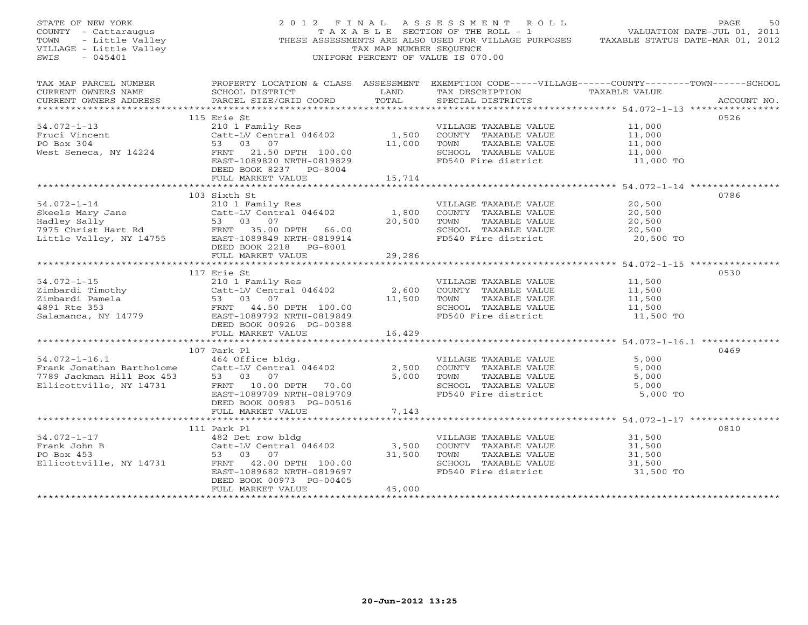| STATE OF NEW YORK<br>STATE OF NEW YORK<br>COUNTY - Cattaraugus<br>TOWN - Little Valley<br>VILLAGE - Little Valley<br>VILLAGE - Little Valley<br>$-045401$<br>SWIS |                                                                                                                                                                                                                                                                                                 | TAX MAP NUMBER SEQUENCE                                                                                                         | 2012 FINAL ASSESSMENT ROLL<br>T A X A B L E SECTION OF THE ROLL - 1<br>THESE ASSESSMENTS ARE ALSO USED FOR VILLAGE PURPOSES TAXABLE STATUS DATE-MAR 01, 2012<br>UNIFORM PERCENT OF VALUE IS 070.00 | VALUATION DATE-JUL 01, 2011                       | PAGE<br>50  |
|-------------------------------------------------------------------------------------------------------------------------------------------------------------------|-------------------------------------------------------------------------------------------------------------------------------------------------------------------------------------------------------------------------------------------------------------------------------------------------|---------------------------------------------------------------------------------------------------------------------------------|----------------------------------------------------------------------------------------------------------------------------------------------------------------------------------------------------|---------------------------------------------------|-------------|
| TAX MAP PARCEL NUMBER<br>CURRENT OWNERS NAME<br>CURRENT OWNERS ADDRESS                                                                                            | SCHOOL DISTRICT<br>PARCEL SIZE/GRID COORD                                                                                                                                                                                                                                                       | <b>EXAMPLE SERVICE SERVICE SERVICE SERVICE SERVICE SERVICE SERVICE SERVICE SERVICE SERVICE SERVICE SERVICE SERVICE</b><br>TOTAL | PROPERTY LOCATION & CLASS ASSESSMENT EXEMPTION CODE-----VILLAGE------COUNTY-------TOWN------SCHOOL<br>TAX DESCRIPTION TAXABLE VALUE<br>SPECIAL DISTRICTS                                           |                                                   | ACCOUNT NO. |
|                                                                                                                                                                   | 115 Erie St                                                                                                                                                                                                                                                                                     |                                                                                                                                 |                                                                                                                                                                                                    |                                                   | 0526        |
| $54.072 - 1 - 13$<br>Fruci Vincent<br>PO Box 304                                                                                                                  | Erie St<br>210 1 Family Res<br>Catt-LV Central 046402 (1,500 COUNTY TAXABLE VALUE<br>11,000 TOWN TAXABLE VALUE<br>COUNTY TAXABLE VALUE<br>West Seneca, NY 14224 FRNT 21.50 DPTH 100.00<br>EAST-1089820 NRTH-0819829<br>DEED BOOK 8237 PG-8004                                                   | 15,714                                                                                                                          | SCHOOL TAXABLE VALUE<br>FD540 Fire district                                                                                                                                                        | 11,000<br>11,000<br>11,000<br>11,000<br>11,000 TO |             |
|                                                                                                                                                                   | FULL MARKET VALUE                                                                                                                                                                                                                                                                               |                                                                                                                                 |                                                                                                                                                                                                    |                                                   |             |
|                                                                                                                                                                   | 103 Sixth St<br>54.072-1-14 210 1 Family Res<br>Skeels Mary Jane Catt-LV Central 046402<br>Hadley Sally 53 03 07<br>7975 Christ Hart Rd FRNT 35.00 DPTH 66.00<br>Little Valley, NY 14755 EAST-1089849 NRTH-0819914                                                                              | 1,800                                                                                                                           | VILLAGE TAXABLE VALUE<br>COUNTY TAXABLE VALUE<br>20,500 TOWN TAXABLE VALUE<br>SCHOOL TAXABLE VALUE<br>FD540 Fire district                                                                          | 20,500<br>20,500<br>20,500<br>20,500<br>20,500 TO | 0786        |
|                                                                                                                                                                   | DEED BOOK 2218 PG-8001<br>FULL MARKET VALUE                                                                                                                                                                                                                                                     | 29,286                                                                                                                          |                                                                                                                                                                                                    |                                                   |             |
|                                                                                                                                                                   |                                                                                                                                                                                                                                                                                                 |                                                                                                                                 |                                                                                                                                                                                                    |                                                   |             |
|                                                                                                                                                                   | 117 Erie St<br>54.072-1-15<br>210 1 Family Res<br>2imbardi Timothy<br>210 1 Family Res<br>210 1 Family Res<br>210 1 Family Res<br>210 1 Family Res<br>210 1 Family Res<br>210 1 Family Res<br>210 1 Family Res<br>210 2010 213849<br>210 210 210897922 NRTH-0819849<br>DEED BOOK 00926 PG-00388 | 2,600                                                                                                                           | VILLAGE TAXABLE VALUE<br>COUNTY TAXABLE VALUE<br>11,500 TOWN TAXABLE VALUE<br>SCHOOL TAXABLE VALUE<br>FD540 Fire district                                                                          | 11,500<br>11,500<br>11,500<br>11,500<br>11,500 TO | 0530        |
|                                                                                                                                                                   | FULL MARKET VALUE                                                                                                                                                                                                                                                                               | 16,429                                                                                                                          |                                                                                                                                                                                                    |                                                   |             |
|                                                                                                                                                                   | 107 Park Pl                                                                                                                                                                                                                                                                                     |                                                                                                                                 |                                                                                                                                                                                                    |                                                   | 0469        |
| $54.072 - 1 - 16.1$<br>Frank Jonathan Bartholome<br>7789 Jackman Hill Box 453<br>Ellicottville, NY 14731                                                          | 464 Office bldg.<br>Catt-LV Central 046402<br>53 03 07<br>FRNT 10.00 DPTH 70.00<br>EAST-1089709 NRTH-0819709<br>DEED BOOK 00983 PG-00516<br>FULL MARKET VALUE                                                                                                                                   | 7,143                                                                                                                           | VILLAGE TAXABLE VALUE<br>2,500 COUNTY TAXABLE VALUE<br>5,000 TOWN TAXABLE VALUE<br>SCHOOL TAXABLE VALUE<br>FD540 Fire district                                                                     | 5,000<br>5,000<br>5,000<br>5,000<br>5,000 TO      |             |
|                                                                                                                                                                   |                                                                                                                                                                                                                                                                                                 |                                                                                                                                 |                                                                                                                                                                                                    |                                                   |             |
| $54.072 - 1 - 17$<br>Frank John B<br>PO Box 453                                                                                                                   | 111 Park Pl<br>482 Det row bldg<br>Catt-LV Central (<br>53 03 07<br>482 Det row bldg<br>Catt-LV Central 046402<br>Ellicottville, NY 14731 FRNT 42.00 DPTH 100.00<br>EAST-1089682 NRTH-0819697<br>DEED BOOK 00973 PG-00405                                                                       |                                                                                                                                 | VILLAGE TAXABLE VALUE<br>3,500 COUNTY TAXABLE VALUE<br>31,500 TOWN TAXABLE VALUE<br>SCHOOL TAXABLE VALUE<br>FD540 Fire district                                                                    | 31,500<br>31,500<br>31,500<br>31,500<br>31,500 TO | 0810        |
|                                                                                                                                                                   | FULL MARKET VALUE                                                                                                                                                                                                                                                                               | 45,000                                                                                                                          |                                                                                                                                                                                                    |                                                   |             |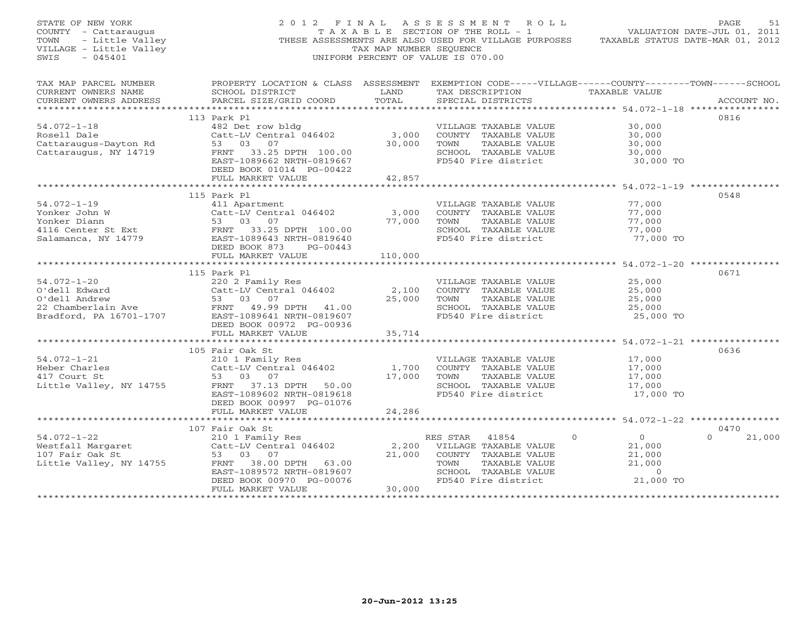| STATE OF NEW YORK<br>COUNTY - Cattaraugus<br>TOWN - Little Valley<br>VILLAGE - Little Valley<br>$-045401$<br>SWIS                                                                                                                                    |                                                                                                                                                                                            | TAX MAP NUMBER SEQUENCE                                                                                                         | 2012 FINAL ASSESSMENT ROLL<br>T A X A B L E SECTION OF THE ROLL - 1<br>THESE ASSESSMENTS ARE ALSO USED FOR VILLAGE PURPOSES TAXABLE STATUS DATE-MAR 01, 2012<br>UNIFORM PERCENT OF VALUE IS 070.00 | VALUATION DATE-JUL 01, 2011                                                                              | PAGE<br>51         |
|------------------------------------------------------------------------------------------------------------------------------------------------------------------------------------------------------------------------------------------------------|--------------------------------------------------------------------------------------------------------------------------------------------------------------------------------------------|---------------------------------------------------------------------------------------------------------------------------------|----------------------------------------------------------------------------------------------------------------------------------------------------------------------------------------------------|----------------------------------------------------------------------------------------------------------|--------------------|
| CURRENT OWNERS NAME<br>CURRENT OWNERS ADDRESS                                                                                                                                                                                                        | TAX MAP PARCEL NUMBER PROPERTY LOCATION & CLASS ASSESSMENT EXEMPTION CODE-----VILLAGE------COUNTY-------TOWN------SCHOOL<br>SCHOOL DISTRICT<br>PARCEL SIZE/GRID COORD                      | <b>EXAMPLE SERVICE SERVICE SERVICE SERVICE SERVICE SERVICE SERVICE SERVICE SERVICE SERVICE SERVICE SERVICE SERVICE</b><br>TOTAL | TAX DESCRIPTION TAXABLE VALUE<br>SPECIAL DISTRICTS                                                                                                                                                 |                                                                                                          | ACCOUNT NO.        |
| $54.072 - 1 - 18$<br>54.072-1-18 482 Det row bldg<br>Rosell Dale Cattarugus-Dayton Rd<br>Cattaraugus, NY 14719 FRNT 33.25 DPTH 100.00<br>Cattaraugus, NY 14719 FRNT 33.25 DPTH 100.00                                                                | 113 Park Pl<br>482 Det row bldg<br>Catt-LV Central 046402 3,000<br>53 03 07 30,000<br>FRNT 33.25 DPTH 100.00<br>EAST-1089662 NRTH-0819667<br>DEED BOOK 01014 PG-00422<br>FULL MARKET VALUE | 30,000<br>42,857                                                                                                                | VILLAGE TAXABLE VALUE<br>COUNTY TAXABLE VALUE<br>TOWN<br>TAXABLE VALUE<br>SCHOOL TAXABLE VALUE 30,000<br>FD540 Fire district 30,000 TO<br>FD540 Fire district                                      | 30,000<br>30,000<br>30,000                                                                               | 0816               |
|                                                                                                                                                                                                                                                      |                                                                                                                                                                                            |                                                                                                                                 |                                                                                                                                                                                                    |                                                                                                          |                    |
| $54.072 - 1 - 19$<br>94.072-1-19<br>Yonker John W Catt-LV Central 046402<br>Yonker Diann 53 03 07<br>4116 Center St Ext FRNT 33.25 DPTH 100.00<br>Salamanca, NY 14779 EAST-1089643 NRTH-0819640<br>DEED BOOK 873 PG-00443                            | 115 Park Pl<br>411 Apartment<br>Catt-LV Central 046402 3,000<br>53 03 07 77,000                                                                                                            |                                                                                                                                 | VILLAGE TAXABLE VALUE<br>COUNTY TAXABLE VALUE<br>TOWN TAXABLE VALUE<br>SCHOOL TAXABLE VALUE<br>FD540 Fire district                                                                                 | 77,000<br>77,000<br>77,000<br>77,000<br>77,000<br>77,000 TO                                              | 0548               |
|                                                                                                                                                                                                                                                      | FULL MARKET VALUE 110,000                                                                                                                                                                  |                                                                                                                                 |                                                                                                                                                                                                    |                                                                                                          |                    |
|                                                                                                                                                                                                                                                      |                                                                                                                                                                                            |                                                                                                                                 |                                                                                                                                                                                                    |                                                                                                          |                    |
| $54.072 - 1 - 20$<br>54.072-1-20<br>0'dell Edward<br>0'dell Andrew<br>22 Chamberlain Ave<br>22 Chamberlain Ave<br>23 03 07<br>22 Chamberlain Ave<br>23 03 07<br>22 Chamberlain Ave<br>23 03 07<br>23 03 07<br>24.00<br>24.00<br>25 2641 NRTH-0819607 | 115 Park Pl                                                                                                                                                                                |                                                                                                                                 | VILLAGE TAXABLE VALUE<br>COUNTY TAXABLE VALUE<br>25,000 TOWN TAXABLE VALUE<br>-CWN - TAXABLE VALUE<br>SCHOOL TAXABLE VALUE - 25,000<br>FD540 Fire district - 25,000 TO                             | 25,000<br>25,000<br>25,000                                                                               | 0671               |
|                                                                                                                                                                                                                                                      | FULL MARKET VALUE                                                                                                                                                                          | 35,714                                                                                                                          |                                                                                                                                                                                                    |                                                                                                          |                    |
| 94.072-1-21<br>Heber Charles<br>Heber Charles<br>210 1 Family Res<br>Catt-LV Central 046402<br>210 1 Family Res<br>Catt-LV Central 046402<br>27.000 COUNTY TAXABLE VALUE<br>27.000 TOWN TAXABLE VALUE<br>27.000 TOWN TAXABLE VALUE<br>27.000 TOWN    | 105 Fair Oak St<br>EAST-1089602 NRTH-0819618<br>DEED BOOK 00997 PG-01076                                                                                                                   |                                                                                                                                 | VILLAGE TAXABLE VALUE 17,000<br>COUNTY TAXABLE VALUE 17,000<br>TOWN TAXABLE VALUE<br>SCHOOL TAXABLE VALUE 17,000 TO<br>17,000 TO 117,000 TO                                                        |                                                                                                          | 0636               |
|                                                                                                                                                                                                                                                      | FULL MARKET VALUE                                                                                                                                                                          | 24,286                                                                                                                          |                                                                                                                                                                                                    |                                                                                                          |                    |
|                                                                                                                                                                                                                                                      | 107 Fair Oak St                                                                                                                                                                            |                                                                                                                                 |                                                                                                                                                                                                    |                                                                                                          | 0470               |
| 1072-1-22<br>Westfall Margaret<br>107 Fair Oak St<br>2.002 Country Res RES STAR 41854<br>2.200 VILLAGE TAXABLE VALUE<br>2.200 VILLAGE TAXABLE VALUE<br>2.200 VILLAGE TAXABLE VALUE<br>2.200 VILLAGE TAXABLE VALUE<br>2.200 VILLAGE TAXABLE VAL       |                                                                                                                                                                                            |                                                                                                                                 | SCHOOL TAXABLE VALUE<br>FD540 Fire district                                                                                                                                                        | $\begin{array}{c} 0 \\ 21,000 \end{array}$<br>21,000<br>$\frac{21,000}{21,000}$<br>$\sim$ 0<br>21,000 TO | $\Omega$<br>21,000 |
|                                                                                                                                                                                                                                                      |                                                                                                                                                                                            |                                                                                                                                 |                                                                                                                                                                                                    |                                                                                                          |                    |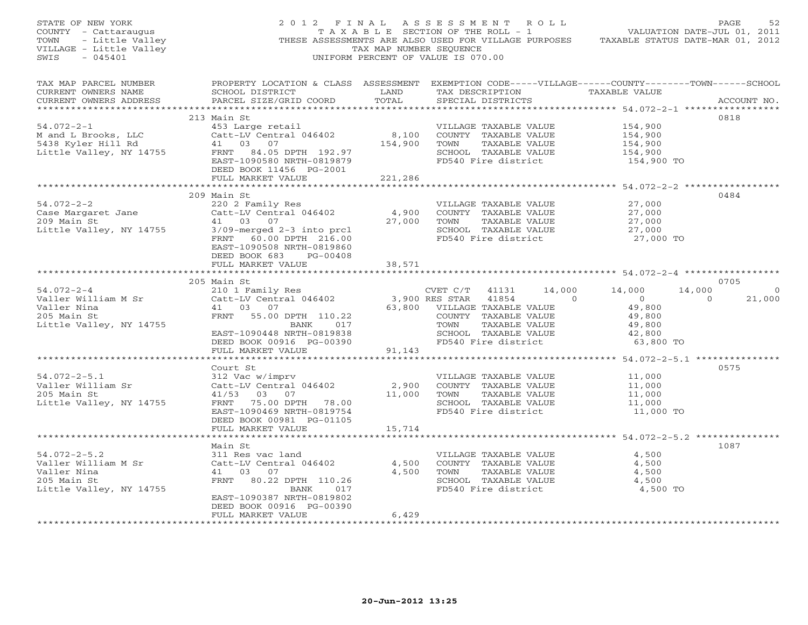| STATE OF NEW YORK<br>STATE OF NEW YORK<br>COUNTY - Cattaraugus<br>TOWN - Little Valley<br>VILLAGE - Little Valley<br>WILLAGE - Little Valley<br>SWIS<br>$-045401$ |                                                                                                                                        | TAX MAP NUMBER SEOUENCE        | 2012 FINAL ASSESSMENT ROLL<br>T A X A B L E SECTION OF THE ROLL - 1<br>THESE ASSESSMENTS ARE ALSO USED FOR VILLAGE PURPOSES<br>UNIFORM PERCENT OF VALUE IS 070.00 | PAGE<br>VALUATION DATE-JUL 01, 2011<br>TAXABLE STATUS DATE-MAR 01, 2012                                           | 52      |
|-------------------------------------------------------------------------------------------------------------------------------------------------------------------|----------------------------------------------------------------------------------------------------------------------------------------|--------------------------------|-------------------------------------------------------------------------------------------------------------------------------------------------------------------|-------------------------------------------------------------------------------------------------------------------|---------|
| TAX MAP PARCEL NUMBER<br>CURRENT OWNERS NAME<br>CURRENT OWNERS ADDRESS                                                                                            | SCHOOL DISTRICT<br>PARCEL SIZE/GRID COORD                                                                                              | LAND<br>TOTAL                  | TAX DESCRIPTION TAXABLE VALUE<br>SPECIAL DISTRICTS                                                                                                                | PROPERTY LOCATION & CLASS ASSESSMENT EXEMPTION CODE-----VILLAGE------COUNTY-------TOWN------SCHOOL<br>ACCOUNT NO. |         |
|                                                                                                                                                                   |                                                                                                                                        |                                |                                                                                                                                                                   |                                                                                                                   |         |
|                                                                                                                                                                   | 213 Main St                                                                                                                            |                                |                                                                                                                                                                   | 0818                                                                                                              |         |
| $54.072 - 2 - 1$<br>M and L Brooks, LLC                                                                                                                           | 453 Large retail and MILLAGE TAXABLE VALUE<br>Catt-LV Central 046402 8,100 COUNTY TAXABLE VALUE<br>41 03 07 154,900 TOWN TAXABLE VALUE |                                |                                                                                                                                                                   | 154,900<br>154,900                                                                                                |         |
| 5438 Kyler Hill Rd                                                                                                                                                |                                                                                                                                        | 154,900                        | TAXABLE VALUE                                                                                                                                                     | 154,900                                                                                                           |         |
| Little Valley, NY 14755                                                                                                                                           | FRNT 84.05 DPTH 192.97                                                                                                                 |                                | SCHOOL TAXABLE VALUE                                                                                                                                              | 154,900                                                                                                           |         |
|                                                                                                                                                                   | EAST-1090580 NRTH-0819879                                                                                                              |                                | FD540 Fire district                                                                                                                                               | 154,900 TO                                                                                                        |         |
|                                                                                                                                                                   | DEED BOOK 11456 PG-2001                                                                                                                |                                |                                                                                                                                                                   |                                                                                                                   |         |
|                                                                                                                                                                   | FULL MARKET VALUE                                                                                                                      | 221,286                        |                                                                                                                                                                   |                                                                                                                   |         |
|                                                                                                                                                                   |                                                                                                                                        |                                |                                                                                                                                                                   |                                                                                                                   |         |
|                                                                                                                                                                   | 209 Main St                                                                                                                            |                                |                                                                                                                                                                   | 0484                                                                                                              |         |
| $54.072 - 2 - 2$                                                                                                                                                  | 220 2 Family Res                                                                                                                       |                                | VILLAGE TAXABLE VALUE                                                                                                                                             | 27,000                                                                                                            |         |
| Case Margaret Jane                                                                                                                                                | $Catt-LV$ Central 046402                                                                                                               | 4,900                          | COUNTY TAXABLE VALUE                                                                                                                                              | 27,000                                                                                                            |         |
| 209 Main St                                                                                                                                                       | 41 03 07                                                                                                                               | 27,000                         | TOWN<br>TAXABLE VALUE                                                                                                                                             | 27,000                                                                                                            |         |
| Little Valley, NY 14755                                                                                                                                           | 3/09-merged 2-3 into prcl<br>FRNT 60.00 DPTH 216.00                                                                                    |                                | SCHOOL TAXABLE VALUE<br>FD540 Fire district                                                                                                                       | 27,000<br>27,000 TO                                                                                               |         |
|                                                                                                                                                                   | EAST-1090508 NRTH-0819860                                                                                                              |                                |                                                                                                                                                                   |                                                                                                                   |         |
|                                                                                                                                                                   | DEED BOOK 683 PG-00408                                                                                                                 |                                |                                                                                                                                                                   |                                                                                                                   |         |
|                                                                                                                                                                   | FULL MARKET VALUE                                                                                                                      | 38,571                         |                                                                                                                                                                   |                                                                                                                   |         |
|                                                                                                                                                                   |                                                                                                                                        |                                |                                                                                                                                                                   |                                                                                                                   |         |
|                                                                                                                                                                   | 205 Main St                                                                                                                            |                                |                                                                                                                                                                   | 0705                                                                                                              |         |
| $54.072 - 2 - 4$                                                                                                                                                  | nd. 1<br>210 1 Family Res<br>Catt-LV Central 046402 3,9<br>41 03 07 63,8                                                               |                                | CVET $C/T$ 41131                                                                                                                                                  | 14,000 14,000<br>14,000                                                                                           | $\circ$ |
| Valler William M Sr                                                                                                                                               |                                                                                                                                        |                                | 3,900 RES STAR 41854<br>$\sim$ 0                                                                                                                                  | $\overline{0}$<br>$\overline{0}$                                                                                  | 21,000  |
| Valler Nina                                                                                                                                                       | 41 03 07                                                                                                                               |                                | 63,800 VILLAGE TAXABLE VALUE                                                                                                                                      | 49,800<br>49,800<br>49,800                                                                                        |         |
| 205 Main St                                                                                                                                                       | FRNT 55.00 DPTH 110.22<br>BANK 017                                                                                                     |                                | COUNTY TAXABLE VALUE<br>TAXABLE VALUE<br>TOWN                                                                                                                     | 49,800                                                                                                            |         |
| Little Valley, NY 14755                                                                                                                                           | EAST-1090448 NRTH-0819838                                                                                                              |                                | SCHOOL TAXABLE VALUE                                                                                                                                              | 42,800                                                                                                            |         |
|                                                                                                                                                                   | DEED BOOK 00916 PG-00390                                                                                                               |                                | SCHOOL TAXABLE VALUE<br>FD540 Fire district                                                                                                                       | 63,800 TO                                                                                                         |         |
|                                                                                                                                                                   | FULL MARKET VALUE                                                                                                                      | 91,143                         |                                                                                                                                                                   |                                                                                                                   |         |
|                                                                                                                                                                   |                                                                                                                                        | **************                 |                                                                                                                                                                   | ************* 54.072-2-5.1 ****************                                                                       |         |
|                                                                                                                                                                   | Court St                                                                                                                               |                                |                                                                                                                                                                   | 0575                                                                                                              |         |
| $54.072 - 2 - 5.1$                                                                                                                                                | 312 Vac w/imprv                                                                                                                        |                                | VILLAGE TAXABLE VALUE                                                                                                                                             | 11,000                                                                                                            |         |
| Valler William Sr                                                                                                                                                 | Catt-LV Central 046402                                                                                                                 | 2,900                          | COUNTY TAXABLE VALUE                                                                                                                                              | 11,000                                                                                                            |         |
| 205 Main St                                                                                                                                                       | 41/53 03 07                                                                                                                            | 11,000                         | TAXABLE VALUE<br>TOWN                                                                                                                                             | 11,000                                                                                                            |         |
| Little Valley, NY 14755                                                                                                                                           | FRNT 75.00 DPTH 78.00                                                                                                                  |                                | SCHOOL TAXABLE VALUE                                                                                                                                              | 11,000                                                                                                            |         |
|                                                                                                                                                                   | EAST-1090469 NRTH-0819754                                                                                                              |                                | FD540 Fire district                                                                                                                                               | 11,000 TO                                                                                                         |         |
|                                                                                                                                                                   |                                                                                                                                        |                                |                                                                                                                                                                   |                                                                                                                   |         |
|                                                                                                                                                                   | DEED BOOK 00981 PG-01105                                                                                                               |                                |                                                                                                                                                                   |                                                                                                                   |         |
|                                                                                                                                                                   | FULL MARKET VALUE                                                                                                                      | 15,714                         |                                                                                                                                                                   |                                                                                                                   |         |
|                                                                                                                                                                   | *******************                                                                                                                    | *************                  |                                                                                                                                                                   | ********************************** 54.072-2-5.2 ***************                                                   |         |
|                                                                                                                                                                   | Main St                                                                                                                                |                                |                                                                                                                                                                   | 1087                                                                                                              |         |
| $54.072 - 2 - 5.2$                                                                                                                                                | 311 Res vac land                                                                                                                       |                                | VILLAGE TAXABLE VALUE                                                                                                                                             | 4,500                                                                                                             |         |
| Valler William M Sr                                                                                                                                               | Catt-LV Central 046402                                                                                                                 | 4,500                          | COUNTY TAXABLE VALUE                                                                                                                                              | 4,500                                                                                                             |         |
| Valler Nina                                                                                                                                                       | 41 03 07                                                                                                                               | 4,500                          | TOWN<br>TAXABLE VALUE                                                                                                                                             | 4,500                                                                                                             |         |
| 205 Main St<br>Little Valley, NY 14755                                                                                                                            | FRNT 80.22 DPTH 110.26<br>BANK<br>017                                                                                                  |                                | SCHOOL TAXABLE VALUE<br>FD540 Fire district                                                                                                                       | 4,500<br>4,500 TO                                                                                                 |         |
|                                                                                                                                                                   | EAST-1090387 NRTH-0819802                                                                                                              |                                |                                                                                                                                                                   |                                                                                                                   |         |
|                                                                                                                                                                   | DEED BOOK 00916 PG-00390                                                                                                               |                                |                                                                                                                                                                   |                                                                                                                   |         |
|                                                                                                                                                                   | FULL MARKET VALUE                                                                                                                      | 6,429<br>+ + + + + + + + + + + |                                                                                                                                                                   |                                                                                                                   |         |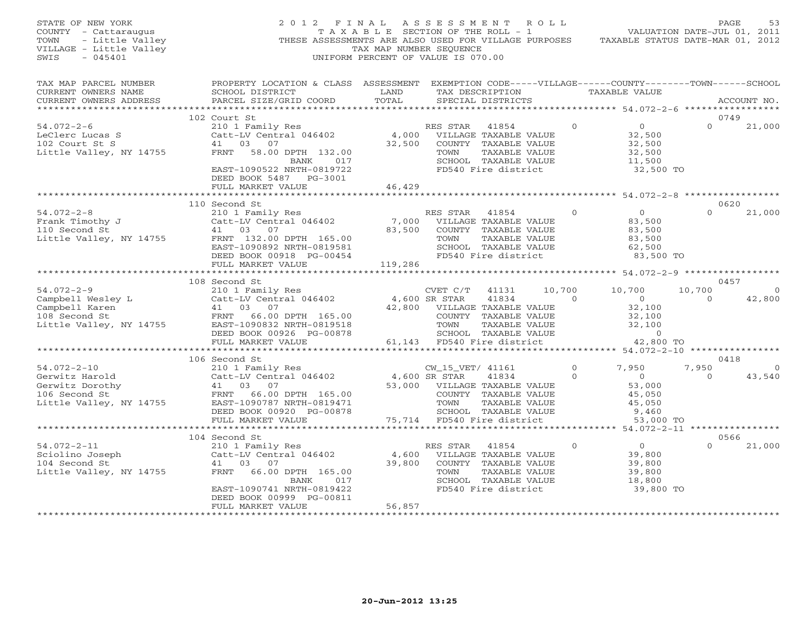| STATE OF NEW YORK<br>OF NEW YORK<br><i>I</i> - Cattaraugus<br>- Little Valley<br>GE - Little Valley<br>COUNTY - Cattaraugus<br>TOWN<br>VILLAGE - Little Valley<br>SWIS<br>$-045401$                                                                                                                                                                          | 2012 FINAL ASSESSMENT ROLL                                                                                                                                                       | TAX MAP NUMBER SEQUENCE                                                  | UNIFORM PERCENT OF VALUE IS 070.00                                                                          |                                                                                                     | C FINAL ASSESSMENT ROLL<br>TAXABLE SECTION OF THE ROLL - 1 VALUATION DATE-JUL 01, 2011<br>THESE ASSESSMENTS ARE ALSO USED FOR VILLAGE PURPOSES TAXABLE STATUS DATE-MAR 01, 2012 | PAGE                             | 53                       |
|--------------------------------------------------------------------------------------------------------------------------------------------------------------------------------------------------------------------------------------------------------------------------------------------------------------------------------------------------------------|----------------------------------------------------------------------------------------------------------------------------------------------------------------------------------|--------------------------------------------------------------------------|-------------------------------------------------------------------------------------------------------------|-----------------------------------------------------------------------------------------------------|---------------------------------------------------------------------------------------------------------------------------------------------------------------------------------|----------------------------------|--------------------------|
| TAX MAP PARCEL NUMBER<br>CURRENT OWNERS NAME<br>CURRENT OWNERS ADDRESS                                                                                                                                                                                                                                                                                       | PROPERTY LOCATION & CLASS ASSESSMENT EXEMPTION CODE-----VILLAGE------COUNTY-------TOWN------SCHOOL<br>SCHOOL DISTRICT<br>PARCEL SIZE/GRID COORD                                  | <b>LAND</b><br>TOTAL                                                     | SPECIAL DISTRICTS                                                                                           |                                                                                                     | TAX DESCRIPTION TAXABLE VALUE                                                                                                                                                   |                                  | ACCOUNT NO.              |
|                                                                                                                                                                                                                                                                                                                                                              | 102 Court St                                                                                                                                                                     |                                                                          |                                                                                                             |                                                                                                     |                                                                                                                                                                                 | 0749                             |                          |
| $54.072 - 2 - 6$<br>LeClerc Lucas S<br>102 Court St S<br>Little Valley, NY 14755                                                                                                                                                                                                                                                                             | 210 1 Family Res<br>Catt-LV Central 046402<br>41 03 07<br>FRNT 58.00 DPTH 132.00<br>BANK 017<br>EAST-1090522 NRTH-0819722<br>DEED BOOK 5487 PG-3001                              |                                                                          | KES STAR 41854<br>4,000 VILLAGE TAXABLE VALUE<br>32,500 COUNTY TAXABLE<br>TOWN                              | TAXABLE VALUE<br>SCHOOL TAXABLE VALUE<br>FD540 Fire district                                        | $\Omega$<br>$\overline{0}$<br>32,500<br>32,500<br>32,500<br>11,500<br>32,500 TO                                                                                                 | $\Omega$                         | 21,000                   |
|                                                                                                                                                                                                                                                                                                                                                              | FULL MARKET VALUE                                                                                                                                                                | 46,429                                                                   |                                                                                                             |                                                                                                     |                                                                                                                                                                                 |                                  |                          |
|                                                                                                                                                                                                                                                                                                                                                              |                                                                                                                                                                                  |                                                                          |                                                                                                             |                                                                                                     |                                                                                                                                                                                 |                                  |                          |
| $54.072 - 2 - 8$<br><sup>54.072-2-8</sup><br>Frank Timothy J<br>110 Second St<br>Little Valley, NY 14755                                                                                                                                                                                                                                                     | 110 Second St<br>210 1 Family Res<br>Catt-LV Central 046402<br>41 03 07<br>FRNT 132.00 DPTH 165.00<br>EAST-1090892 NRTH-0819581<br>DEED BOOK 00918 PG-00454<br>FULL MARKET VALUE | 119,286                                                                  | RES STAR 41854<br>7,000 VILLAGE TAXABLE VALUE<br>83,500 COUNTY TAXABLE VALUE<br>TOWN<br>FD540 Fire district | TAXABLE VALUE<br>SCHOOL TAXABLE VALUE                                                               | $\overline{O}$<br>$\Omega$<br>83,500<br>83,500<br>83,500<br>62,500<br>83,500 TO                                                                                                 | 0620                             | 21,000                   |
|                                                                                                                                                                                                                                                                                                                                                              |                                                                                                                                                                                  |                                                                          |                                                                                                             |                                                                                                     |                                                                                                                                                                                 |                                  |                          |
| $54.072 - 2 - 9$<br>94.072-2-9<br>Campbell Wesley L<br>Campbell Karen 103 07<br>108 Second St<br>Little Valley, NY 14755<br>EAST-1090832 NRTH-0819518                                                                                                                                                                                                        | 108 Second St<br>CVET C/T<br>210 1 Family Res<br>Catt-LV Central 046402 4,600 SR STAR<br>1.600 SR STAR<br>DEED BOOK 00926 PG-00878                                               |                                                                          | CVET C/T<br>42,800 VILLAGE TAXABLE VALUE<br>COUNTY TAXABLE VALUE                                            | 10,700<br>41131<br>41834<br>$\sim$ 0<br>TAXABLE VALUE<br>TOWN TAXABLE VILLE<br>SCHOOL TAXABLE VALUE | 10,700<br>$\overline{0}$<br>32,100<br>32,100<br>32,100<br>$\overline{0}$                                                                                                        | 0457<br>10,700<br>$\overline{0}$ | $\overline{0}$<br>42,800 |
|                                                                                                                                                                                                                                                                                                                                                              | FULL MARKET VALUE<br>************************                                                                                                                                    |                                                                          |                                                                                                             |                                                                                                     | 42,800 TO                                                                                                                                                                       |                                  |                          |
|                                                                                                                                                                                                                                                                                                                                                              | 106 Second St                                                                                                                                                                    |                                                                          |                                                                                                             |                                                                                                     |                                                                                                                                                                                 | 0418                             |                          |
| $54.072 - 2 - 10$<br>$\begin{array}{lllllll} 54.072 - 2 - 10 & 210 & 1000000 \\ \text{Gerwitz Harold} & & & & \text{Catt-LW Central 046402} \\ \text{Gerwitz Dorothy} & & & & 41 & 03 & 07 \\ 106 \text{ Second St} & & & \text{FRNT} & 66.00 DPTH 165.00 \\ \text{Little Valley, NY 14755} & & & & \text{EAST-109078} & \text{NRTH-0819471} \\ \end{array}$ | 210 1 Family Res<br>$Cat-LV$ Central $046402$<br>DEED BOOK 00920 PG-00878                                                                                                        | 4,600 SR STAR<br>53,000 VILLAG<br>53,000 VILLAG<br>COUNTY<br>TOWN SCHOOL | CW_15_VET/ 41161<br>53,000 VILLAGE TAXABLE VALUE                                                            | 41834<br>COUNTY TAXABLE VALUE<br>TAXABLE VALUE<br>SCHOOL TAXABLE VALUE                              | $\Omega$<br>7,950<br>$\circ$<br>$\overline{0}$<br>53,000<br>45,050<br>45,050<br>9,460                                                                                           | 7,950<br>$\overline{0}$          | $\circ$<br>43,540        |
|                                                                                                                                                                                                                                                                                                                                                              | FULL MARKET VALUE                                                                                                                                                                |                                                                          | 75,714 FD540 Fire district                                                                                  |                                                                                                     | 53,000 TO                                                                                                                                                                       |                                  |                          |
|                                                                                                                                                                                                                                                                                                                                                              | 104 Second St                                                                                                                                                                    |                                                                          |                                                                                                             |                                                                                                     |                                                                                                                                                                                 | 0566                             |                          |
| $54.072 - 2 - 11$<br>Sciolino Joseph<br>104 Second St<br>Little Valley, NY 14755                                                                                                                                                                                                                                                                             | 210 1 Family Res<br>Catt-LV Central 046402<br>41 03 07<br>FRNT<br>66.00 DPTH 165.00<br>017<br>BANK<br>EAST-1090741 NRTH-0819422<br>DEED BOOK 00999 PG-00811                      | 39,800                                                                   | RES STAR<br>4,600 VILLAGE TAXABLE VALUE<br>TOWN                                                             | 41854<br>COUNTY TAXABLE VALUE<br>TAXABLE VALUE<br>SCHOOL TAXABLE VALUE<br>FD540 Fire district       | $\overline{0}$<br>$\Omega$<br>39,800<br>39,800<br>39,800<br>18,800<br>39,800 TO                                                                                                 |                                  | 21,000                   |
|                                                                                                                                                                                                                                                                                                                                                              | FULL MARKET VALUE<br>***********************                                                                                                                                     | 56,857<br>******************                                             |                                                                                                             |                                                                                                     |                                                                                                                                                                                 |                                  |                          |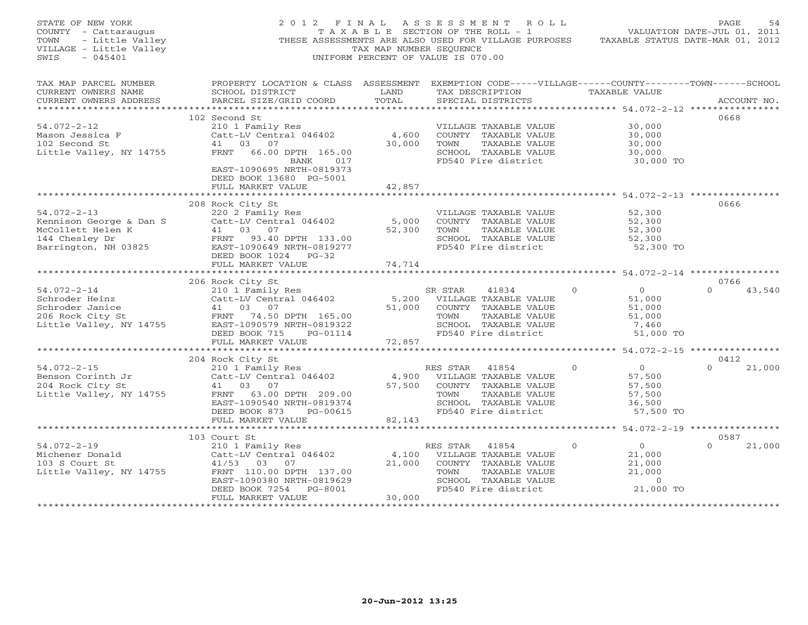| STATE OF NEW YORK<br>COUNTY - Cattaraugus<br>- Little Valley<br>TOWN<br>VILLAGE - Little Valley<br>$-045401$<br>SWIS | 2012 FINAL                                                                                                            | TAX MAP NUMBER SEQUENCE   | A S S E S S M E N T<br>R O L L<br>T A X A B L E SECTION OF THE ROLL - 1<br>THESE ASSESSMENTS ARE ALSO USED FOR VILLAGE PURPOSES TAXABLE STATUS DATE-MAR 01, 2012<br>UNIFORM PERCENT OF VALUE IS 070.00 |                                       | PAGE<br>54<br>VALUATION DATE-JUL 01, 2011 |
|----------------------------------------------------------------------------------------------------------------------|-----------------------------------------------------------------------------------------------------------------------|---------------------------|--------------------------------------------------------------------------------------------------------------------------------------------------------------------------------------------------------|---------------------------------------|-------------------------------------------|
| TAX MAP PARCEL NUMBER<br>CURRENT OWNERS NAME                                                                         | PROPERTY LOCATION & CLASS ASSESSMENT EXEMPTION CODE-----VILLAGE------COUNTY-------TOWN------SCHOOL<br>SCHOOL DISTRICT | LAND                      | TAX DESCRIPTION TAXABLE VALUE                                                                                                                                                                          |                                       |                                           |
| CURRENT OWNERS ADDRESS                                                                                               | PARCEL SIZE/GRID COORD                                                                                                | TOTAL                     | SPECIAL DISTRICTS                                                                                                                                                                                      |                                       | ACCOUNT NO.                               |
|                                                                                                                      | 102 Second St                                                                                                         |                           |                                                                                                                                                                                                        |                                       | 0668                                      |
| $54.072 - 2 - 12$                                                                                                    | 210 1 Family Res                                                                                                      |                           | VILLAGE TAXABLE VALUE                                                                                                                                                                                  | 30,000                                |                                           |
| Mason Jessica F                                                                                                      | Catt-LV Central 046402                                                                                                | 4,600                     | COUNTY TAXABLE VALUE                                                                                                                                                                                   | 30,000                                |                                           |
| 102 Second St                                                                                                        | 41 03<br>07                                                                                                           | 30,000                    | TOWN<br>TAXABLE VALUE                                                                                                                                                                                  | 30,000                                |                                           |
| Little Valley, NY 14755                                                                                              | FRNT<br>66.00 DPTH 165.00                                                                                             |                           | SCHOOL TAXABLE VALUE                                                                                                                                                                                   | 30,000                                |                                           |
|                                                                                                                      | BANK<br>017                                                                                                           |                           | FD540 Fire district                                                                                                                                                                                    | 30,000 TO                             |                                           |
|                                                                                                                      | EAST-1090695 NRTH-0819373                                                                                             |                           |                                                                                                                                                                                                        |                                       |                                           |
|                                                                                                                      | DEED BOOK 13680 PG-5001                                                                                               |                           |                                                                                                                                                                                                        |                                       |                                           |
|                                                                                                                      | FULL MARKET VALUE                                                                                                     | 42,857                    |                                                                                                                                                                                                        |                                       |                                           |
|                                                                                                                      | 208 Rock City St                                                                                                      |                           |                                                                                                                                                                                                        |                                       | 0666                                      |
| $54.072 - 2 - 13$                                                                                                    | 220 2 Family Res                                                                                                      |                           | VILLAGE TAXABLE VALUE                                                                                                                                                                                  | 52,300                                |                                           |
| Kennison George & Dan S                                                                                              | Catt-LV Central 046402                                                                                                | 5,000                     | COUNTY TAXABLE VALUE                                                                                                                                                                                   | 52,300                                |                                           |
| McCollett Helen K                                                                                                    | 41 03 07                                                                                                              | 52,300                    | TAXABLE VALUE<br>TOWN                                                                                                                                                                                  | 52,300                                |                                           |
| 144 Chesley Dr                                                                                                       | FRNT 93.40 DPTH 133.00                                                                                                |                           | SCHOOL TAXABLE VALUE                                                                                                                                                                                   | 52,300                                |                                           |
| Barrington, NH 03825                                                                                                 | EAST-1090649 NRTH-0819277                                                                                             |                           | FD540 Fire district                                                                                                                                                                                    | 52,300 TO                             |                                           |
|                                                                                                                      | DEED BOOK 1024 PG-32                                                                                                  |                           |                                                                                                                                                                                                        |                                       |                                           |
|                                                                                                                      | FULL MARKET VALUE                                                                                                     | 74,714                    |                                                                                                                                                                                                        |                                       |                                           |
|                                                                                                                      |                                                                                                                       |                           |                                                                                                                                                                                                        |                                       | 0766                                      |
| $54.072 - 2 - 14$                                                                                                    | 206 Rock City St                                                                                                      |                           | SR STAR<br>41834                                                                                                                                                                                       | $\mathbf{0}$<br>$\overline{0}$        | $\Omega$                                  |
| Schroder Heinz                                                                                                       | 210 1 Family Res<br>Catt-LV Central 046402                                                                            | 5,200                     | VILLAGE TAXABLE VALUE                                                                                                                                                                                  | 51,000                                | 43,540                                    |
| Schroder Janice                                                                                                      | 41 03 07                                                                                                              | 51,000                    | COUNTY TAXABLE VALUE                                                                                                                                                                                   | 51,000                                |                                           |
| 206 Rock City St                                                                                                     | FRNT 74.50 DPTH 165.00                                                                                                |                           | TOWN<br>TAXABLE VALUE                                                                                                                                                                                  | 51,000                                |                                           |
| Little Valley, NY 14755                                                                                              | EAST-1090579 NRTH-0819322                                                                                             |                           | SCHOOL TAXABLE VALUE                                                                                                                                                                                   | 7,460                                 |                                           |
|                                                                                                                      | DEED BOOK 715<br>PG-01114                                                                                             |                           | FD540 Fire district                                                                                                                                                                                    | 51,000 TO                             |                                           |
|                                                                                                                      | FULL MARKET VALUE                                                                                                     | 72,857                    |                                                                                                                                                                                                        |                                       |                                           |
|                                                                                                                      |                                                                                                                       | ***********               |                                                                                                                                                                                                        | ******** 54.072-2-15 **************** |                                           |
|                                                                                                                      | 204 Rock City St                                                                                                      |                           |                                                                                                                                                                                                        |                                       | 0412                                      |
| $54.072 - 2 - 15$<br>Benson Corinth Jr                                                                               | 210 1 Family Res<br>Catt-LV Central 046402                                                                            | 4,900                     | RES STAR<br>41854<br>VILLAGE TAXABLE VALUE                                                                                                                                                             | $\overline{0}$<br>$\Omega$<br>57,500  | $\Omega$<br>21,000                        |
| 204 Rock City St                                                                                                     | 41 03 07                                                                                                              | 57,500                    | COUNTY TAXABLE VALUE                                                                                                                                                                                   | 57,500                                |                                           |
| Little Valley, NY 14755                                                                                              | FRNT 63.00 DPTH 209.00                                                                                                |                           | TAXABLE VALUE<br>TOWN                                                                                                                                                                                  | 57,500                                |                                           |
|                                                                                                                      | EAST-1090540 NRTH-0819374                                                                                             |                           | SCHOOL TAXABLE VALUE                                                                                                                                                                                   | 36,500                                |                                           |
|                                                                                                                      | DEED BOOK 873<br>PG-00615                                                                                             |                           | FD540 Fire district                                                                                                                                                                                    | 57,500 TO                             |                                           |
|                                                                                                                      | FULL MARKET VALUE                                                                                                     | 82,143                    |                                                                                                                                                                                                        |                                       |                                           |
|                                                                                                                      |                                                                                                                       |                           |                                                                                                                                                                                                        |                                       |                                           |
|                                                                                                                      | 103 Court St                                                                                                          |                           |                                                                                                                                                                                                        |                                       | 0587                                      |
| $54.072 - 2 - 19$                                                                                                    | 210 1 Family Res                                                                                                      |                           | RES STAR<br>41854                                                                                                                                                                                      | $\overline{0}$<br>$\Omega$            | $\Omega$<br>21,000                        |
| Michener Donald                                                                                                      | Catt-LV Central 046402                                                                                                | 4,100                     | VILLAGE TAXABLE VALUE                                                                                                                                                                                  | 21,000                                |                                           |
| 103 S Court St<br>Little Valley, NY 14755                                                                            | 41/53 03<br>07<br>FRNT 110.00 DPTH 137.00                                                                             | 21,000                    | COUNTY TAXABLE VALUE<br>TOWN<br>TAXABLE VALUE                                                                                                                                                          | 21,000<br>21,000                      |                                           |
|                                                                                                                      | EAST-1090380 NRTH-0819629                                                                                             |                           | SCHOOL TAXABLE VALUE                                                                                                                                                                                   | $\Omega$                              |                                           |
|                                                                                                                      | DEED BOOK 7254<br>PG-8001                                                                                             |                           | FD540 Fire district                                                                                                                                                                                    | 21,000 TO                             |                                           |
|                                                                                                                      | FULL MARKET VALUE                                                                                                     | 30,000                    |                                                                                                                                                                                                        |                                       |                                           |
|                                                                                                                      |                                                                                                                       | + + + + + + + + + + + + + |                                                                                                                                                                                                        |                                       |                                           |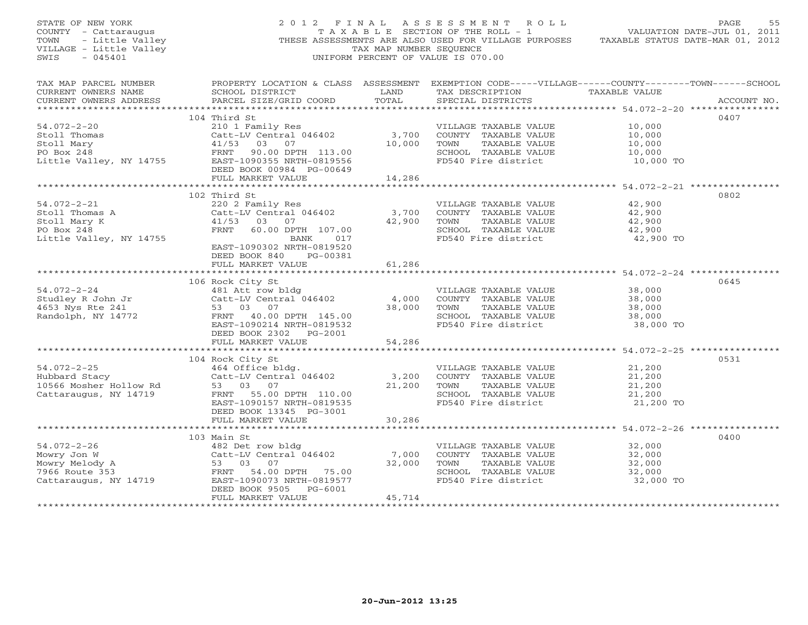| STATE OF NEW YORK<br>STATE OF NEW YORK<br>COUNTY - Cattaraugus<br>TOWN - Little Valley<br>VILLAGE - Little Valley<br>"LILAGE - Little Valley<br>$-045401$<br>SWIS |                                                                                                                                                                                                                                      | TAX MAP NUMBER SEOUENCE   | 2012 FINAL ASSESSMENT ROLL<br>TAXABLE SECTION OF THE ROLL - 1<br>THESE ASSESSMENTS ARE ALSO USED FOR VILLAGE PURPOSES TAXABLE STATUS DATE-MAR 01, 2012<br>UNIFORM PERCENT OF VALUE IS 070.00 | VALUATION DATE-JUL 01, 2011                                       | PAGE<br>55  |
|-------------------------------------------------------------------------------------------------------------------------------------------------------------------|--------------------------------------------------------------------------------------------------------------------------------------------------------------------------------------------------------------------------------------|---------------------------|----------------------------------------------------------------------------------------------------------------------------------------------------------------------------------------------|-------------------------------------------------------------------|-------------|
| TAX MAP PARCEL NUMBER<br>CURRENT OWNERS NAME<br>CURRENT OWNERS ADDRESS                                                                                            | PROPERTY LOCATION & CLASS ASSESSMENT EXEMPTION CODE-----VILLAGE------COUNTY-------TOWN------SCHOOL<br>SCHOOL DISTRICT                     LAND        TAX DESCRIPTION                  TAXABLE VALUE<br>PARCEL SIZE/GRID COORD TOTAL |                           | SPECIAL DISTRICTS                                                                                                                                                                            |                                                                   | ACCOUNT NO. |
| $54.072 - 2 - 20$                                                                                                                                                 | 104 Third St<br>210 1 Family Res<br>Catt-LV Central 046402<br>41/53 03 07<br>DEED BOOK 00984 PG-00649<br>FULL MARKET VALUE 14,286                                                                                                    | 10,000                    | VILLAGE TAXABLE VALUE<br>3,700 COUNTY TAXABLE VALUE<br>TAXABLE VALUE<br>TOWN<br>SCHOOL TAXABLE VALUE<br>FD540 Fire district                                                                  | 10,000<br>10,000<br>10,000<br>10,000<br>10,000 TO                 | 0407        |
|                                                                                                                                                                   |                                                                                                                                                                                                                                      |                           |                                                                                                                                                                                              |                                                                   |             |
| $54.072 - 2 - 21$<br>Stoll Thomas A<br>Stoll Mary K<br>PO Box 248<br>Little Valley, NY 14755                                                                      | 102 Third St<br>220 2 Family Res<br>Catt-LV Central 046402<br>41/53 03 07<br>FRNT 60.00 DPTH 107.00<br>BANK 017<br>EAST-1090302 NRTH-0819520                                                                                         | 3,700<br>42,900           | VILLAGE TAXABLE VALUE<br>COUNTY TAXABLE VALUE<br>TOWN     TAXABLE VALUE<br>TOWN<br>SCHOOL TAXABLE VALUE<br>FD540 Fire district                                                               | 42,900<br>42,900<br>$42,900$<br>$42,900$<br>42,900<br>42,900 TO   | 0802        |
|                                                                                                                                                                   | DEED BOOK 840 PG-00381<br>FULL MARKET VALUE                                                                                                                                                                                          | 61,286<br>************    |                                                                                                                                                                                              |                                                                   |             |
| $54.072 - 2 - 24$                                                                                                                                                 | 106 Rock City St<br>481 Att row bldg<br>Catt-LV Central 046402<br>53 03 07<br>EAST-1090214 NRTH-0819532<br>DEED BOOK 2302 PG-2001                                                                                                    | $\frac{4,000}{38,000}$    | VILLAGE TAXABLE VALUE<br>COUNTY TAXABLE VALUE<br>TOWN<br>TAXABLE VALUE<br>SCHOOL TAXABLE VALUE 38,000<br>FD540 Fire district 38,000 TO                                                       | 38,000<br>38,000<br>38,000<br>38,000<br>38,000                    | 0645        |
|                                                                                                                                                                   | FULL MARKET VALUE                                                                                                                                                                                                                    | 54,286                    |                                                                                                                                                                                              |                                                                   |             |
| $54.072 - 2 - 25$<br>Hubbard Stacy<br>10566 Mosher Hollow Rd 53 03 07<br>Cattaraugus, NY 14719                                                                    | 104 Rock City St<br>464 Office bldg.<br>Catt-LV Central 046402<br>53 03 07<br>FRNT 55.00 DPTH 110.00<br>EAST-1090157 NRTH-0819535<br>DEED BOOK 13345 PG-3001                                                                         | 3,200<br>21,200           | VILLAGE TAXABLE VALUE<br>COUNTY TAXABLE VALUE<br>TOWN     TAXABLE VALUE<br>TOWN<br>SCHOOL TAXABLE VALUE<br>FD540 Fire district                                                               | 21,200<br>21,200<br>$\frac{21}{21}$ , 200<br>21, 200<br>21,200 TO | 0531        |
|                                                                                                                                                                   | FULL MARKET VALUE                                                                                                                                                                                                                    | 30,286                    |                                                                                                                                                                                              |                                                                   |             |
|                                                                                                                                                                   | Catt-LV Central $046402$<br>53 03 07<br>FULL MARKET VALUE                                                                                                                                                                            | 7,000<br>32,000<br>45,714 | VILLAGE TAXABLE VALUE<br>COUNTY TAXABLE VALUE<br>TAXABLE VALUE<br>TOWN<br>SCHOOL TAXABLE VALUE<br>FD540 Fire district                                                                        | 32,000<br>32,000<br>32,000<br>32,000<br>32,000 TO                 | 0400        |
|                                                                                                                                                                   |                                                                                                                                                                                                                                      |                           |                                                                                                                                                                                              |                                                                   |             |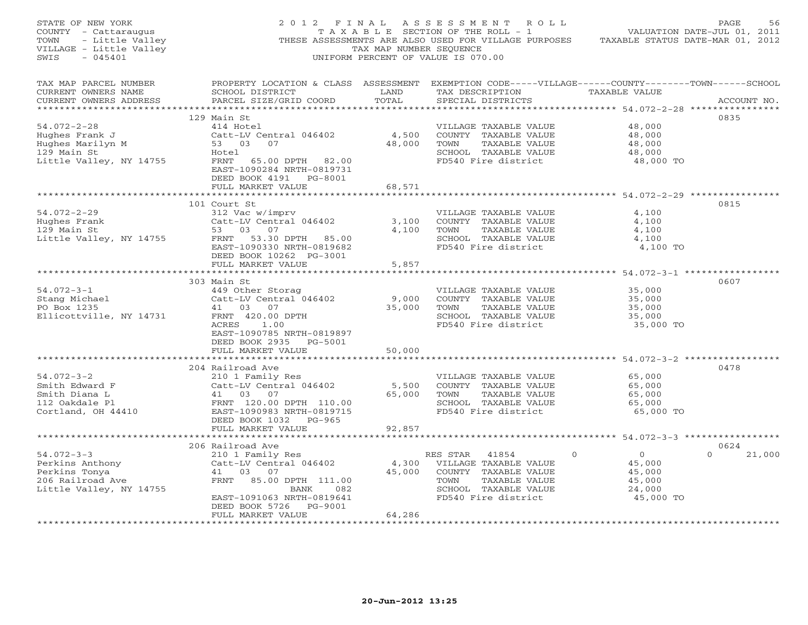| FACE 56<br>COUNTY - Cattaraugus<br>TAXABLE SECTION OF THE ROLL - 1<br>TOWN - Little Valley THESE ASSESSMENTS ARE ALSO USED FOR VILLAGE PURPOSES TAXABLE STATUS DATE-JUL 01, 2011<br>TOWN - Little Valley THESE ASSESSMENTS ARE ALSO US<br>$SWIS - 045401$ |                                                                                                                                                 |        | UNIFORM PERCENT OF VALUE IS 070.00                                |                                                       |                    |
|-----------------------------------------------------------------------------------------------------------------------------------------------------------------------------------------------------------------------------------------------------------|-------------------------------------------------------------------------------------------------------------------------------------------------|--------|-------------------------------------------------------------------|-------------------------------------------------------|--------------------|
| TAX MAP PARCEL NUMBER<br>CURRENT OWNERS NAME<br>CURRENT OWNERS ADDRESS                                                                                                                                                                                    | PROPERTY LOCATION & CLASS ASSESSMENT EXEMPTION CODE-----VILLAGE------COUNTY-------TOWN------SCHOOL<br>SCHOOL DISTRICT<br>PARCEL SIZE/GRID COORD | TOTAL  | LAND TAX DESCRIPTION TAXABLE VALUE<br>SPECIAL DISTRICTS           |                                                       | ACCOUNT NO.        |
|                                                                                                                                                                                                                                                           | 129 Main St                                                                                                                                     |        |                                                                   |                                                       | 0835               |
| $54.072 - 2 - 28$                                                                                                                                                                                                                                         | 414 Hotel                                                                                                                                       |        | VILLAGE TAXABLE VALUE                                             | 48,000                                                |                    |
|                                                                                                                                                                                                                                                           |                                                                                                                                                 |        |                                                                   | 48,000                                                |                    |
|                                                                                                                                                                                                                                                           |                                                                                                                                                 |        |                                                                   |                                                       |                    |
|                                                                                                                                                                                                                                                           |                                                                                                                                                 |        |                                                                   |                                                       |                    |
| Little Valley, NY 14755                                                                                                                                                                                                                                   | Hotel<br>FRNT 65.00 DPTH 82.00<br>EAST-1090284 NRTH-0819731<br>DEED BOOK 4191 PG-8001<br>FULL MARKET VALUE                                      | 68,571 | FD540 Fire district                                               | $\frac{48,000}{48,000}$<br>$\frac{48,000}{48,000}$ TO |                    |
|                                                                                                                                                                                                                                                           |                                                                                                                                                 |        |                                                                   |                                                       |                    |
|                                                                                                                                                                                                                                                           | 101 Court St                                                                                                                                    |        |                                                                   |                                                       | 0815               |
| 54.072-2-29<br>Hughes Frank<br>All Contains St                                                                                                                                                                                                            |                                                                                                                                                 |        |                                                                   | 4,100                                                 |                    |
|                                                                                                                                                                                                                                                           |                                                                                                                                                 |        | COUNTY TAXABLE VALUE                                              | 4,100                                                 |                    |
|                                                                                                                                                                                                                                                           |                                                                                                                                                 |        |                                                                   | 4,100                                                 |                    |
|                                                                                                                                                                                                                                                           |                                                                                                                                                 |        | SCHOOL TAXABLE VALUE                                              | 4,100                                                 |                    |
|                                                                                                                                                                                                                                                           |                                                                                                                                                 |        | FD540 Fire district                                               | 4,100 TO                                              |                    |
|                                                                                                                                                                                                                                                           | DEED BOOK 10262 PG-3001<br>FULL MARKET VALUE                                                                                                    | 5,857  |                                                                   |                                                       |                    |
|                                                                                                                                                                                                                                                           |                                                                                                                                                 |        |                                                                   |                                                       |                    |
|                                                                                                                                                                                                                                                           | 303 Main St<br>Main St<br>449 Other Storag<br>Catt-LV Central 046402 9,000 COUNTY<br>41 03 07 35,000 TOWN<br>420.00 DPTH 35,000 FD540 Fi        |        |                                                                   |                                                       | 0607               |
| $54.072 - 3 - 1$                                                                                                                                                                                                                                          |                                                                                                                                                 |        | VILLAGE TAXABLE VALUE                                             |                                                       |                    |
| Stang Michael<br>PO Box 1235                                                                                                                                                                                                                              |                                                                                                                                                 |        | COUNTY TAXABLE VALUE                                              | 35,000<br>35,000                                      |                    |
| PO Box 1235                                                                                                                                                                                                                                               |                                                                                                                                                 |        | TOWN     TAXABLE VALUE<br>SCHOOL   TAXABLE VALUE                  | $35,000$<br>$35,000$                                  |                    |
| Ellicottville, NY 14731                                                                                                                                                                                                                                   |                                                                                                                                                 |        |                                                                   |                                                       |                    |
|                                                                                                                                                                                                                                                           |                                                                                                                                                 |        | FD540 Fire district                                               | 35,000 TO                                             |                    |
|                                                                                                                                                                                                                                                           | EAST-1090785 NRTH-0819897<br>DEED BOOK 2935 PG-5001                                                                                             |        |                                                                   |                                                       |                    |
|                                                                                                                                                                                                                                                           | FULL MARKET VALUE                                                                                                                               | 50,000 |                                                                   |                                                       |                    |
|                                                                                                                                                                                                                                                           |                                                                                                                                                 |        |                                                                   |                                                       |                    |
|                                                                                                                                                                                                                                                           | 204 Railroad Ave                                                                                                                                |        |                                                                   |                                                       | 0478               |
| $54.072 - 3 - 2$                                                                                                                                                                                                                                          |                                                                                                                                                 |        | VILLAGE TAXABLE VALUE 65,000                                      |                                                       |                    |
|                                                                                                                                                                                                                                                           | XIILLAGE TAXABLE VALUE<br>210 1 Family Res<br>Catt-LV Central 046402 5,500 COUNTY TAXABLE VALUE<br>41 03 07 65,000 TOWN TAXABLE VALUE           |        |                                                                   | 65,000                                                |                    |
|                                                                                                                                                                                                                                                           |                                                                                                                                                 |        |                                                                   | 65,000                                                |                    |
|                                                                                                                                                                                                                                                           |                                                                                                                                                 |        | SCHOOL TAXABLE VALUE                                              | 65,000                                                |                    |
|                                                                                                                                                                                                                                                           |                                                                                                                                                 |        | FD540 Fire district                                               | 65,000 TO                                             |                    |
|                                                                                                                                                                                                                                                           | DEED BOOK 1032 PG-965<br>FULL MARKET VALUE                                                                                                      | 92,857 |                                                                   |                                                       |                    |
|                                                                                                                                                                                                                                                           |                                                                                                                                                 |        | *********************************** 54.072-3-3 ****************** |                                                       |                    |
|                                                                                                                                                                                                                                                           | 206 Railroad Ave                                                                                                                                |        |                                                                   |                                                       | 0624               |
| $54.072 - 3 - 3$                                                                                                                                                                                                                                          |                                                                                                                                                 |        |                                                                   | $\overline{0}$                                        | 21,000<br>$\Omega$ |
| Perkins Anthony<br>Perkins Tonya<br>206 Railroad Ave                                                                                                                                                                                                      |                                                                                                                                                 |        |                                                                   | 45,000                                                |                    |
|                                                                                                                                                                                                                                                           |                                                                                                                                                 |        |                                                                   | 45,000                                                |                    |
|                                                                                                                                                                                                                                                           |                                                                                                                                                 |        |                                                                   | 45,000                                                |                    |
| Little Valley, NY 14755                                                                                                                                                                                                                                   | BANK 082<br>EAST-1091063 NRTH-0819641                                                                                                           |        | SCHOOL TAXABLE VALUE<br>FD540 Fire district                       | 24,000<br>45,000 TO                                   |                    |
|                                                                                                                                                                                                                                                           | DEED BOOK 5726 PG-9001                                                                                                                          |        |                                                                   |                                                       |                    |
|                                                                                                                                                                                                                                                           | FULL MARKET VALUE                                                                                                                               | 64,286 |                                                                   |                                                       |                    |
|                                                                                                                                                                                                                                                           |                                                                                                                                                 |        |                                                                   |                                                       |                    |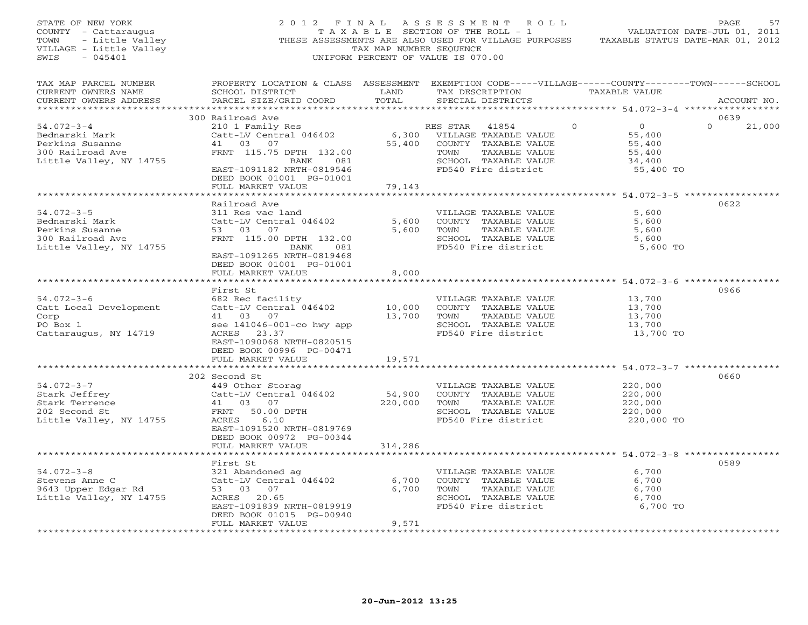| STATE OF NEW YORK<br>COUNTY - Cattaraugus<br>TOWN<br>- Little Valley<br>VILLAGE - Little Valley<br>$-045401$<br>SWIS | 2012 FINAL                                                                                                                                                                    | TAX MAP NUMBER SEQUENCE      | A S S E S S M E N T<br>R O L L<br>T A X A B L E SECTION OF THE ROLL - 1<br>THESE ASSESSMENTS ARE ALSO USED FOR VILLAGE PURPOSES<br>UNIFORM PERCENT OF VALUE IS 070.00 |               | VALUATION DATE-JUL 01, 2011<br>TAXABLE STATUS DATE-MAR 01, 2012 | PAGE<br>57         |
|----------------------------------------------------------------------------------------------------------------------|-------------------------------------------------------------------------------------------------------------------------------------------------------------------------------|------------------------------|-----------------------------------------------------------------------------------------------------------------------------------------------------------------------|---------------|-----------------------------------------------------------------|--------------------|
| TAX MAP PARCEL NUMBER<br>CURRENT OWNERS NAME<br>CURRENT OWNERS ADDRESS<br>**************************                 | PROPERTY LOCATION & CLASS ASSESSMENT EXEMPTION CODE-----VILLAGE------COUNTY-------TOWN------SCHOOL<br>SCHOOL DISTRICT<br>PARCEL SIZE/GRID COORD                               | LAND<br>TOTAL                | TAX DESCRIPTION<br>SPECIAL DISTRICTS                                                                                                                                  | TAXABLE VALUE |                                                                 | ACCOUNT NO.        |
|                                                                                                                      | 300 Railroad Ave                                                                                                                                                              |                              |                                                                                                                                                                       |               |                                                                 | 0639               |
| $54.072 - 3 - 4$<br>Bednarski Mark<br>Perkins Susanne<br>300 Railroad Ave<br>Little Valley, NY 14755                 | 210 1 Family Res<br>Catt-LV Central 046402<br>41<br>03<br>07<br>FRNT 115.75 DPTH 132.00<br>BANK<br>081<br>EAST-1091182 NRTH-0819546                                           | 6,300<br>55,400              | RES STAR<br>41854<br>VILLAGE TAXABLE VALUE<br>COUNTY TAXABLE VALUE<br>TAXABLE VALUE<br>TOWN<br>SCHOOL TAXABLE VALUE<br>FD540 Fire district                            | $\mathbf 0$   | $\circ$<br>55,400<br>55,400<br>55,400<br>34,400<br>55,400 TO    | $\Omega$<br>21,000 |
|                                                                                                                      | DEED BOOK 01001 PG-01001                                                                                                                                                      |                              |                                                                                                                                                                       |               |                                                                 |                    |
|                                                                                                                      | FULL MARKET VALUE                                                                                                                                                             | 79,143                       |                                                                                                                                                                       |               |                                                                 |                    |
| $54.072 - 3 - 5$<br>Bednarski Mark<br>Perkins Susanne<br>300 Railroad Ave<br>Little Valley, NY 14755                 | Railroad Ave<br>311 Res vac land<br>Catt-LV Central 046402<br>53 03 07<br>FRNT 115.00 DPTH 132.00<br>BANK<br>081<br>EAST-1091265 NRTH-0819468<br>DEED BOOK 01001 PG-01001     | 5,600<br>5,600               | VILLAGE TAXABLE VALUE<br>COUNTY TAXABLE VALUE<br>TAXABLE VALUE<br>TOWN<br>SCHOOL TAXABLE VALUE<br>FD540 Fire district                                                 |               | 5,600<br>5,600<br>5,600<br>5,600<br>5,600 TO                    | 0622               |
|                                                                                                                      | FULL MARKET VALUE                                                                                                                                                             | 8,000                        |                                                                                                                                                                       |               |                                                                 |                    |
| $54.072 - 3 - 6$<br>Catt Local Development<br>Corp<br>PO Box 1<br>Cattaraugus, NY 14719                              | First St<br>682 Rec facility<br>Catt-LV Central 046402<br>41<br>03<br>07<br>see 141046-001-co hwy app<br>ACRES 23.37<br>EAST-1090068 NRTH-0820515<br>DEED BOOK 00996 PG-00471 | 10,000<br>13,700             | VILLAGE TAXABLE VALUE<br>COUNTY TAXABLE VALUE<br>TAXABLE VALUE<br>TOWN<br>SCHOOL TAXABLE VALUE<br>FD540 Fire district                                                 |               | 13,700<br>13,700<br>13,700<br>13,700<br>13,700 TO               | 0966               |
|                                                                                                                      | FULL MARKET VALUE                                                                                                                                                             | 19,571                       |                                                                                                                                                                       |               |                                                                 |                    |
| $54.072 - 3 - 7$<br>Stark Jeffrey<br>Stark Terrence<br>202 Second St<br>Little Valley, NY 14755                      | 202 Second St<br>449 Other Storag<br>Catt-LV Central 046402<br>41<br>03 07<br>50.00 DPTH<br>FRNT<br>6.10<br>ACRES<br>EAST-1091520 NRTH-0819769<br>DEED BOOK 00972 PG-00344    | 54,900<br>220,000<br>314,286 | VILLAGE TAXABLE VALUE<br>COUNTY TAXABLE VALUE<br>TOWN<br>TAXABLE VALUE<br>SCHOOL TAXABLE VALUE<br>FD540 Fire district                                                 |               | 220,000<br>220,000<br>220,000<br>220,000<br>220,000 TO          | 0660               |
|                                                                                                                      | FULL MARKET VALUE<br>**********************                                                                                                                                   |                              | ********************************** 54.072-3-8 ***************                                                                                                         |               |                                                                 |                    |
| $54.072 - 3 - 8$<br>Stevens Anne C<br>9643 Upper Edgar Rd<br>Little Valley, NY 14755                                 | First St<br>321 Abandoned ag<br>Catt-LV Central 046402<br>03<br>53<br>07<br>ACRES 20.65<br>EAST-1091839 NRTH-0819919<br>DEED BOOK 01015 PG-00940                              | 6,700<br>6,700               | VILLAGE TAXABLE VALUE<br>COUNTY TAXABLE VALUE<br>TAXABLE VALUE<br>TOWN<br>SCHOOL TAXABLE VALUE<br>FD540 Fire district                                                 |               | 6,700<br>6,700<br>6,700<br>6,700<br>6,700 TO                    | 0589               |
| **********************                                                                                               | FULL MARKET VALUE                                                                                                                                                             | 9,571                        |                                                                                                                                                                       |               |                                                                 |                    |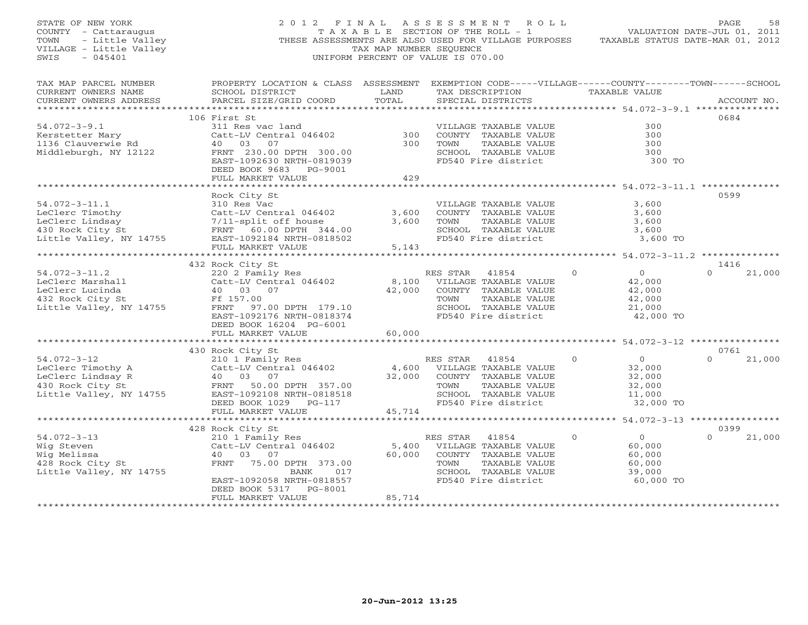| STATE OF NEW YORK<br>COUNTY - Cattaraugus<br>TOWN<br>- Little Valley<br>VILLAGE - Little Valley<br>SWIS<br>$-045401$ | 2012 FINAL                                                                                                                                                                                      | TAX MAP NUMBER SEQUENCE   | ASSESSMENT ROLL<br>T A X A B L E SECTION OF THE ROLL - 1<br>THESE ASSESSMENTS ARE ALSO USED FOR VILLAGE PURPOSES<br>UNIFORM PERCENT OF VALUE IS 070.00 |                                                                                | PAGE<br>58<br>VALUATION DATE-JUL 01, 2011<br>TAXABLE STATUS DATE-MAR 01, 2012 |
|----------------------------------------------------------------------------------------------------------------------|-------------------------------------------------------------------------------------------------------------------------------------------------------------------------------------------------|---------------------------|--------------------------------------------------------------------------------------------------------------------------------------------------------|--------------------------------------------------------------------------------|-------------------------------------------------------------------------------|
| TAX MAP PARCEL NUMBER<br>CURRENT OWNERS NAME<br>CURRENT OWNERS ADDRESS<br>**********************                     | PROPERTY LOCATION & CLASS ASSESSMENT EXEMPTION CODE-----VILLAGE------COUNTY-------TOWN------SCHOOL<br>SCHOOL DISTRICT<br>PARCEL SIZE/GRID COORD                                                 | LAND<br>TOTAL             | TAX DESCRIPTION TAXABLE VALUE<br>SPECIAL DISTRICTS                                                                                                     |                                                                                | ACCOUNT NO.                                                                   |
| $54.072 - 3 - 9.1$<br>Kerstetter Mary<br>1136 Clauverwie Rd<br>Middleburgh, NY 12122                                 | 106 First St<br>311 Res vac land<br>Catt-LV Central 046402<br>40 03<br>07<br>FRNT 230.00 DPTH 300.00<br>EAST-1092630 NRTH-0819039<br>DEED BOOK 9683 PG-9001<br>FULL MARKET VALUE                | 300<br>300<br>429         | VILLAGE TAXABLE VALUE<br>COUNTY TAXABLE VALUE<br>TOWN<br>TAXABLE VALUE<br>SCHOOL TAXABLE VALUE<br>FD540 Fire district                                  | 300<br>300<br>300<br>300<br>300 TO                                             | 0684                                                                          |
| $54.072 - 3 - 11.1$<br>LeClerc Timothy<br>LeClerc Lindsay<br>430 Rock City St<br>Little Valley, NY 14755             | * * * * * * * * * * * * * * * * * * * *<br>Rock City St<br>310 Res Vac<br>Catt-LV Central<br>7/11-split off house<br>FRNT 60.00 DPTH 344.00<br>-- 1002184 NRTH-0818502                          | 3,600<br>3,600            | VILLAGE TAXABLE VALUE<br>COUNTY TAXABLE VALUE<br>TOWN<br>TAXABLE VALUE<br>SCHOOL TAXABLE VALUE<br>FD540 Fire district                                  | 3,600<br>3,600<br>3,600<br>3,600<br>3,600 TO                                   | 0599                                                                          |
|                                                                                                                      | FULL MARKET VALUE<br>432 Rock City St                                                                                                                                                           | 5,143                     |                                                                                                                                                        |                                                                                | 1416                                                                          |
| $54.072 - 3 - 11.2$<br>LeClerc Marshall<br>LeClerc Lucinda<br>432 Rock City St<br>Little Valley, NY 14755            | 220 2 Family Res<br>Catt-LV Central 046402<br>40 03 07<br>Ff 157.00<br>FRNT 97.00 DPTH 179.10<br>EAST-1092176 NRTH-0818374<br>DEED BOOK 16204 PG-6001                                           | 8,100<br>42,000           | RES STAR 41854<br>VILLAGE TAXABLE VALUE<br>COUNTY TAXABLE VALUE<br>TOWN<br>TAXABLE VALUE<br>SCHOOL TAXABLE VALUE<br>FD540 Fire district                | $\circ$<br>$\overline{0}$<br>42,000<br>42,000<br>42,000<br>21,000<br>42,000 TO | $\Omega$<br>21,000                                                            |
|                                                                                                                      | FULL MARKET VALUE                                                                                                                                                                               | 60,000                    |                                                                                                                                                        |                                                                                |                                                                               |
| $54.072 - 3 - 12$<br>LeClerc Timothy A<br>LeClerc Lindsay R<br>430 Rock City St<br>Little Valley, NY 14755           | 430 Rock City St<br>210 1 Family Res<br>$Catt-LV$ Central $046402$<br>40 03 07<br>FRNT 50.00 DPTH 357.00<br>EAST-1092108 NRTH-0818518                                                           | 32,000                    | 41854<br>RES STAR<br>4,600 VILLAGE TAXABLE VALUE<br>COUNTY TAXABLE VALUE<br>TAXABLE VALUE<br>TOWN<br>SCHOOL TAXABLE VALUE                              | $\Omega$<br>$\overline{0}$<br>32,000<br>32,000<br>32,000<br>11,000             | 0761<br>21,000<br>$\Omega$                                                    |
|                                                                                                                      | DEED BOOK 1029 PG-117<br>FULL MARKET VALUE                                                                                                                                                      | 45,714                    | FD540 Fire district                                                                                                                                    | 32,000 TO                                                                      |                                                                               |
| $54.072 - 3 - 13$<br>Wig Steven<br>Wig Melissa<br>428 Rock City St<br>Little Valley, NY 14755                        | 428 Rock City St<br>210 1 Family Res<br>Catt-LV Central 046402<br>40 03 07<br>FRNT 75.00 DPTH 373.00<br>017<br>BANK<br>EAST-1092058 NRTH-0818557<br>DEED BOOK 5317 PG-8001<br>FULL MARKET VALUE | 5,400<br>60,000<br>85,714 | RES STAR<br>41854<br>VILLAGE TAXABLE VALUE<br>COUNTY TAXABLE VALUE<br>TOWN<br>TAXABLE VALUE<br>SCHOOL TAXABLE VALUE<br>FD540 Fire district             | $\overline{0}$<br>$\circ$<br>60,000<br>60,000<br>60,000<br>39,000<br>60,000 TO | 0399<br>$\circ$<br>21,000                                                     |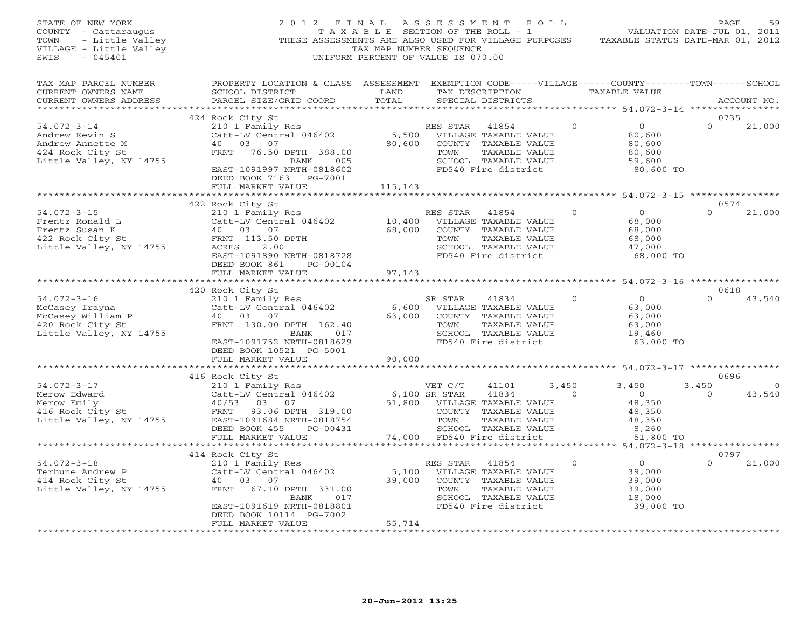| STATE OF NEW YORK<br>COUNTY - Cattaraugus<br>- Little Valley<br>TOWN<br>VILLAGE - Little Valley<br>SWIS<br>$-045401$ | 2012 FINAL                                                                                                                                                                      | TAX MAP NUMBER SEQUENCE           | A S S E S S M E N T<br>T A X A B L E SECTION OF THE ROLL - 1<br>THESE ASSESSMENTS ARE ALSO USED FOR VILLAGE PURPOSES<br>UNIFORM PERCENT OF VALUE IS 070.00 | R O L L                                  |                                                                             | PAGE<br>VALUATION DATE-JUL 01, 2011<br>TAXABLE STATUS DATE-MAR 01, 2012 | 59             |
|----------------------------------------------------------------------------------------------------------------------|---------------------------------------------------------------------------------------------------------------------------------------------------------------------------------|-----------------------------------|------------------------------------------------------------------------------------------------------------------------------------------------------------|------------------------------------------|-----------------------------------------------------------------------------|-------------------------------------------------------------------------|----------------|
| TAX MAP PARCEL NUMBER<br>CURRENT OWNERS NAME<br>CURRENT OWNERS ADDRESS                                               | PROPERTY LOCATION & CLASS ASSESSMENT EXEMPTION CODE-----VILLAGE------COUNTY-------TOWN------SCHOOL<br>SCHOOL DISTRICT<br>PARCEL SIZE/GRID COORD                                 | LAND<br>TOTAL                     | TAX DESCRIPTION<br>SPECIAL DISTRICTS                                                                                                                       |                                          | TAXABLE VALUE                                                               | ACCOUNT NO.                                                             |                |
| ***********************                                                                                              | 424 Rock City St                                                                                                                                                                |                                   |                                                                                                                                                            |                                          |                                                                             | ****************<br>0735                                                |                |
| $54.072 - 3 - 14$<br>Andrew Kevin S<br>Andrew Annette M<br>424 Rock City St<br>Little Valley, NY 14755               | 210 1 Family Res<br>Catt-LV Central 046402<br>40 03 07<br>FRNT 76.50 DPTH 388.00<br>005<br>BANK<br>EAST-1091997 NRTH-0818602<br>DEED BOOK 7163 PG-7001<br>FULL MARKET VALUE     | 5,500<br>80,600<br>115,143        | RES STAR<br>41854<br>VILLAGE TAXABLE VALUE<br>COUNTY TAXABLE VALUE<br>TOWN<br>SCHOOL TAXABLE VALUE<br>FD540 Fire district                                  | $\circ$<br>TAXABLE VALUE                 | $\overline{0}$<br>80,600<br>80,600<br>80,600<br>59,600<br>80,600 TO         | $\Omega$<br>21,000                                                      |                |
|                                                                                                                      |                                                                                                                                                                                 |                                   |                                                                                                                                                            |                                          |                                                                             |                                                                         |                |
| $54.072 - 3 - 15$<br>Frentz Ronald L<br>Frentz Susan K<br>422 Rock City St<br>Little Valley, NY 14755                | 422 Rock City St<br>210 1 Family Res<br>Catt-LV Central 046402<br>40 03 07<br>FRNT 113.50 DPTH<br>ACRES<br>2.00<br>EAST-1091890 NRTH-0818728<br>DEED BOOK 861<br>PG-00104       | 10,400<br>68,000                  | RES STAR 41854<br>VILLAGE TAXABLE VALUE<br>COUNTY TAXABLE VALUE<br>TOWN<br>SCHOOL TAXABLE VALUE<br>FD540 Fire district                                     | $\Omega$<br>TAXABLE VALUE                | $\overline{0}$<br>68,000<br>68,000<br>68,000<br>47,000<br>68,000 TO         | 0574<br>$\Omega$<br>21,000                                              |                |
|                                                                                                                      | FULL MARKET VALUE                                                                                                                                                               | 97,143                            |                                                                                                                                                            |                                          |                                                                             |                                                                         |                |
| $54.072 - 3 - 16$<br>McCasey Irayna<br>McCasey William P<br>420 Rock City St<br>Little Valley, NY 14755              | 420 Rock City St<br>210 1 Family Res<br>Catt-LV Central 046402<br>40 03<br>07<br>FRNT 130.00 DPTH 162.40<br>BANK<br>017<br>EAST-1091752 NRTH-0818629<br>DEED BOOK 10521 PG-5001 | 6,600<br>63,000                   | SR STAR<br>41834<br>VILLAGE TAXABLE VALUE<br>COUNTY TAXABLE VALUE<br>TOWN<br>SCHOOL TAXABLE VALUE<br>FD540 Fire district                                   | $\Omega$<br>TAXABLE VALUE                | $\Omega$<br>63,000<br>63,000<br>63,000<br>19,460<br>63,000 TO               | 0618<br>$\Omega$<br>43,540                                              |                |
|                                                                                                                      | FULL MARKET VALUE                                                                                                                                                               | 90,000                            |                                                                                                                                                            |                                          |                                                                             |                                                                         |                |
|                                                                                                                      | 416 Rock City St                                                                                                                                                                |                                   |                                                                                                                                                            |                                          |                                                                             | 0696                                                                    |                |
| $54.072 - 3 - 17$<br>Merow Edward<br>Merow Emily<br>416 Rock City St<br>Little Valley, NY 14755                      | 210 1 Family Res<br>Catt-LV Central 046402<br>40/53 03 07<br>FRNT<br>93.06 DPTH 319.00<br>EAST-1091684 NRTH-0818754<br>DEED BOOK 455<br>PG-00431<br>FULL MARKET VALUE           | 51,800<br>74,000                  | VET C/T<br>41101<br>6,100 SR STAR<br>41834<br>VILLAGE TAXABLE VALUE<br>COUNTY TAXABLE VALUE<br>TOWN<br>SCHOOL TAXABLE VALUE<br>FD540 Fire district         | 3,450<br>$\overline{0}$<br>TAXABLE VALUE | 3,450<br>$\overline{0}$<br>48,350<br>48,350<br>48,350<br>8,260<br>51,800 TO | 3,450<br>43,540<br>$\circ$                                              | $\overline{0}$ |
|                                                                                                                      | ************************                                                                                                                                                        |                                   |                                                                                                                                                            |                                          |                                                                             |                                                                         |                |
| $54.072 - 3 - 18$<br>Terhune Andrew P<br>414 Rock City St<br>Little Valley, NY 14755                                 | 414 Rock City St<br>210 1 Family Res<br>Catt-LV Central 046402<br>40 03 07<br>FRNT<br>67.10 DPTH 331.00<br>BANK<br>017<br>EAST-1091619 NRTH-0818801<br>DEED BOOK 10114 PG-7002  | 5,100<br>39,000                   | RES STAR<br>41854<br>VILLAGE TAXABLE VALUE<br>COUNTY TAXABLE VALUE<br>TOWN<br>SCHOOL TAXABLE VALUE<br>FD540 Fire district                                  | $\Omega$<br>TAXABLE VALUE                | $\overline{0}$<br>39,000<br>39,000<br>39,000<br>18,000<br>39,000 TO         | 0797<br>$\Omega$<br>21,000                                              |                |
|                                                                                                                      | FULL MARKET VALUE<br>* * * * * * * * * * * * * * * * * * *                                                                                                                      | 55,714<br>* * * * * * * * * * * * |                                                                                                                                                            |                                          |                                                                             |                                                                         |                |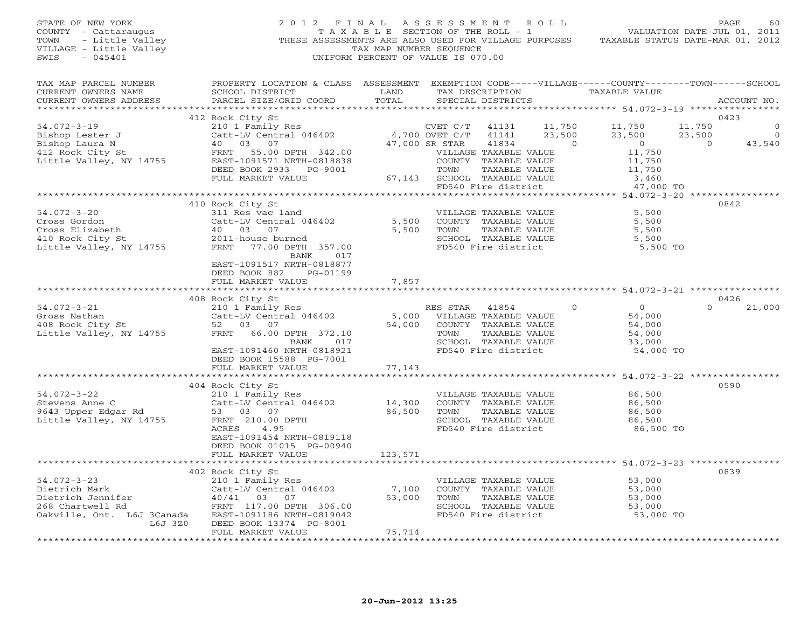| STATE OF NEW YORK<br>COUNTY - Cattaraugus<br>TOWN - Little Valley<br>VILLAGE - Little Valley<br>SWIS<br>$-045401$                                                                                                                                                                                                                                                   | 2 0 1 2                                                                                                                                                                                          | TAX MAP NUMBER SEQUENCE                         | FINAL ASSESSMENT ROLL<br>T A X A B L E SECTION OF THE ROLL - 1<br>UNIFORM PERCENT OF VALUE IS 070.00                                      |                                                              | THESE ASSESSMENTS ARE ALSO USED FOR VILLAGE PURPOSES TAXABLE STATUS DATE-MAR 01, 2012       | PAGE<br>VALUATION DATE-JUL 01, 2011        | 60                    |
|---------------------------------------------------------------------------------------------------------------------------------------------------------------------------------------------------------------------------------------------------------------------------------------------------------------------------------------------------------------------|--------------------------------------------------------------------------------------------------------------------------------------------------------------------------------------------------|-------------------------------------------------|-------------------------------------------------------------------------------------------------------------------------------------------|--------------------------------------------------------------|---------------------------------------------------------------------------------------------|--------------------------------------------|-----------------------|
| TAX MAP PARCEL NUMBER<br>CURRENT OWNERS NAME<br>CURRENT OWNERS ADDRESS                                                                                                                                                                                                                                                                                              | PROPERTY LOCATION & CLASS ASSESSMENT EXEMPTION CODE-----VILLAGE------COUNTY-------TOWN------SCHOOL                                                                                               |                                                 | TAX DESCRIPTION<br>SPECIAL DISTRICTS                                                                                                      |                                                              | TAXABLE VALUE                                                                               |                                            | ACCOUNT NO.           |
| $54.072 - 3 - 19$<br>Bishop Lester J<br>Bishop Lester 0<br>Bishop Laura N<br>40 03 07<br>412 Rock City St<br>Little Valley, NY 14755<br>ERNT 55.00 DPTH 342.00<br>ERST-109151 NRTH-0818838                                                                                                                                                                          | 412 Rock City St<br>210 1 Family Res<br>Catt-LV Central 046402<br>40 03 07<br>DEED BOOK 2933 PG-9001<br>FULL MARKET VALUE                                                                        | $4,700$ DVET $C/T$<br>47,000 SR STAR            | CVET C/T<br>41131<br>41834<br>VILLAGE TAXABLE VALUE<br>COUNTY TAXABLE VALUE<br>TOWN<br>67,143 SCHOOL TAXABLE VALUE<br>FD540 Fire district | 11,750<br>41141<br>23,500<br>$\overline{O}$<br>TAXABLE VALUE | 11,750<br>23,500<br>$\overline{0}$<br>11,750<br>11,750<br>11,750<br>3,460<br>47,000 TO      | 0423<br>11,750<br>23,500<br>$\overline{0}$ | $\mathbf 0$<br>43,540 |
| $54.072 - 3 - 20$<br>Cross Gordon<br>Cross Gordon<br>Cross Elizabeth (10 03 07<br>40 03 07<br>410 Rock City St (2011-house burned<br>Little Valley, NY 14755 (17.00 DPTH 357.00                                                                                                                                                                                     | 410 Rock City St<br>311 Res vac land<br>Catt-LV Central 046402<br>BANK 017<br>EAST-1091517 NRTH-0818877<br>DEED BOOK 882 PG-01199<br>FULL MARKET VALUE                                           | 7,857                                           | VILLAGE TAXABLE VALUE<br>5,500 COUNTY TAXABLE VALUE<br>5,500 TOWN<br>SCHOOL TAXABLE VALUE<br>FD540 Fire district                          | TAXABLE VALUE                                                | 5,500<br>5,500<br>5,500<br>5,500<br>5,500 TO                                                | 0842                                       |                       |
| $54.072 - 3 - 21$<br>Gross Nathan<br>408 Rock City St<br>408 Rock City St<br>Little Valley, NY 14755                                                                                                                                                                                                                                                                | 408 Rock City St<br>210 1 Family Res<br>Catt-LV Central 046402<br>52 03 07<br>FRNT 66.00 DPTH 372.10<br>017<br>BANK<br>EAST-1091460 NRTH-0818921<br>DEED BOOK 15588 PG-7001<br>FULL MARKET VALUE | 77,143                                          | RES STAR 41854<br>5,000 VILLAGE TAXABLE VALUE<br>54,000 COUNTY TAXABLE VALUE<br>TOWN<br>SCHOOL TAXABLE VALUE<br>FD540 Fire district       | $\Omega$<br>TAXABLE VALUE                                    | $\overline{0}$<br>54,000<br>54,000<br>54,000<br>33,000<br>54,000 TO                         | 0426<br>$\Omega$                           | 21,000                |
| $54.072 - 3 - 22$<br>Catt-LV Central 046402<br>9643 Upper Edgar Rd 53 03 07<br>Little Valley, NY 14755 FRNT 210 00 DPMIT                                                                                                                                                                                                                                            | 404 Rock City St<br>210 1 Family Res<br>Catt-LV Central 046402<br>4.95<br>ACRES<br>EAST-1091454 NRTH-0819118<br>DEED BOOK 01015 PG-00940<br>FULL MARKET VALUE                                    | * * * * * * * * * * * * *<br>123,571            | VILLAGE TAXABLE VALUE<br>14,300 COUNTY TAXABLE VALUE<br>86,500 TOWN<br>SCHOOL TAXABLE VALUE<br>FD540 Fire district                        | TAXABLE VALUE                                                | ************ 54.072-3-22 *************<br>86,500<br>86,500<br>86,500<br>86,500<br>86,500 TO | 0590                                       |                       |
| $54.072 - 3 - 23$<br>Dietrich Mark<br>Dietrich Jennifer<br>268 Chartwell Rd 268 Chartwell Rd 268 Chartwell Rd 268 Chartwell Rd 268 Chartwell Rd 268 Chartwell Rd 268 Chartwell Rd 268 Chartwell Rd 268 Chartwell Rd 268 Chartwell Rd 268 Chartwell Rd 268 Chartwell Rd<br>Oakville, Ont. L6J 3Canada EAST-1091186 NRTH-0819042<br>L6J 3Z0<br>********************** | 402 Rock City St<br>210 1 Family Res<br>Catt-LV Central 046402<br>40/41 03 07<br>DEED BOOK 13374 PG-8001<br>FULL MARKET VALUE                                                                    | 7,100<br>53,000<br>75,714<br>****************** | VILLAGE TAXABLE VALUE<br>COUNTY TAXABLE VALUE<br>TOWN<br>SCHOOL TAXABLE VALUE<br>FD540 Fire district                                      | TAXABLE VALUE                                                | 53,000<br>53,000<br>53,000<br>53,000<br>53,000 TO                                           | 0839                                       |                       |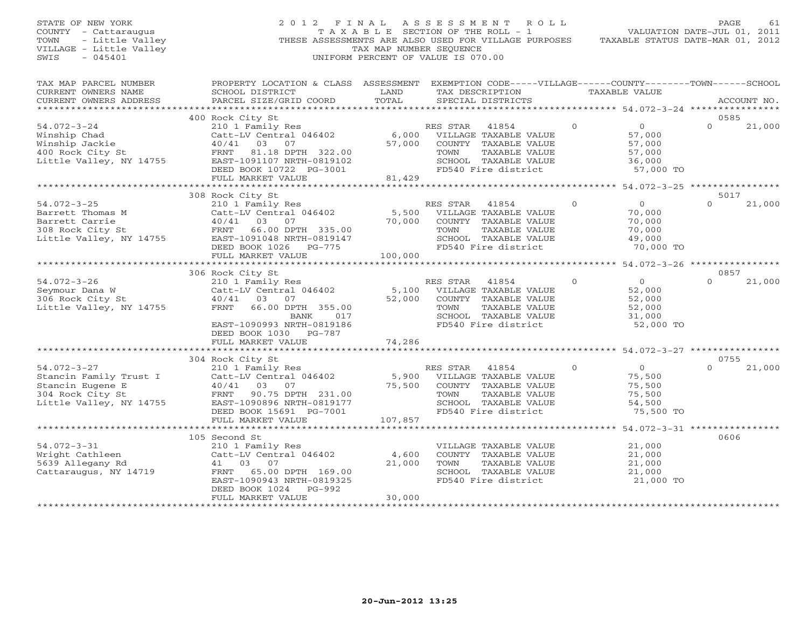# STATE OF NEW YORK 2 0 1 2 F I N A L A S S E S S M E N T R O L L PAGE 61 COUNTY - Cattaraugus T A X A B L E SECTION OF THE ROLL - 1 VALUATION DATE-JUL 01, 2011 TOWN - Little Valley **These ASSESSMENTS ARE ALSO USED FOR VILLAGE PURPOSES** TAXABLE STATUS DATE-MAR 01, 2012<br>VILLAGE - Little Valley **These State of Tax Map NUMBER SEQUENCE** VILLAGE - Little Valley and the Communist Communist Communist Communist Communist Communist Communist Communist Communist Communist Communist Communist Communist Communist Communist Communist Communist Communist Communist SWIS - 045401 UNIFORM PERCENT OF VALUE IS 070.00

| TAX MAP PARCEL NUMBER<br>CURRENT OWNERS NAME<br>CURRENT OWNERS ADDRESS                                         | PROPERTY LOCATION & CLASS<br>SCHOOL DISTRICT<br>PARCEL SIZE/GRID COORD                                                                                                                                    | ASSESSMENT<br>LAND<br>TOTAL | EXEMPTION CODE-----VILLAGE------COUNTY--------TOWN------SCHOOL<br>TAX DESCRIPTION<br>SPECIAL DISTRICTS                                            |              | TAXABLE VALUE                                                 |                  | ACCOUNT NO. |
|----------------------------------------------------------------------------------------------------------------|-----------------------------------------------------------------------------------------------------------------------------------------------------------------------------------------------------------|-----------------------------|---------------------------------------------------------------------------------------------------------------------------------------------------|--------------|---------------------------------------------------------------|------------------|-------------|
|                                                                                                                | 400 Rock City St                                                                                                                                                                                          |                             |                                                                                                                                                   |              |                                                               | 0585             |             |
| $54.072 - 3 - 24$<br>Winship Chad<br>Winship Jackie<br>400 Rock City St<br>Little Valley, NY 14755             | 210 1 Family Res<br>Catt-LV Central 046402<br>40/41<br>03<br>07<br>FRNT<br>81.18 DPTH 322.00<br>EAST-1091107 NRTH-0819102<br>DEED BOOK 10722 PG-3001<br>FULL MARKET VALUE                                 | 6,000<br>57,000<br>81,429   | 41854<br>RES STAR<br>VILLAGE TAXABLE VALUE<br>COUNTY TAXABLE VALUE<br>TOWN<br>TAXABLE VALUE<br>SCHOOL TAXABLE VALUE<br>FD540 Fire district        | $\circ$      | $\circ$<br>57,000<br>57,000<br>57,000<br>36,000<br>57,000 TO  | $\Omega$         | 21,000      |
|                                                                                                                |                                                                                                                                                                                                           | ***********                 |                                                                                                                                                   |              | *********** 54.072-3-25 ****************                      |                  |             |
| $54.072 - 3 - 25$<br>Barrett Thomas M<br>Barrett Carrie<br>308 Rock City St<br>Little Valley, NY 14755         | 308 Rock City St<br>210 1 Family Res<br>Catt-LV Central 046402<br>40/41<br>03<br>07<br>FRNT<br>66.00 DPTH 335.00<br>EAST-1091048 NRTH-0819147<br>DEED BOOK 1026<br>PG-775<br>FULL MARKET VALUE            | 5,500<br>70,000<br>100,000  | RES STAR<br>41854<br>VILLAGE TAXABLE VALUE<br>COUNTY TAXABLE VALUE<br>TOWN<br><b>TAXABLE VALUE</b><br>SCHOOL TAXABLE VALUE<br>FD540 Fire district | $\mathbf{0}$ | $\circ$<br>70,000<br>70,000<br>70,000<br>49,000<br>70,000 TO  | 5017<br>$\Omega$ | 21,000      |
|                                                                                                                |                                                                                                                                                                                                           |                             |                                                                                                                                                   |              | **** 54.072-3-26 **********                                   |                  |             |
| $54.072 - 3 - 26$<br>Seymour Dana W<br>306 Rock City St<br>Little Valley, NY 14755                             | 306 Rock City St<br>210 1 Family Res<br>Catt-LV Central 046402<br>$40/41$ 03<br>07<br>66.00 DPTH 355.00<br>FRNT<br>BANK<br>017<br>EAST-1090993 NRTH-0819186<br>DEED BOOK 1030 PG-787<br>FULL MARKET VALUE | 5,100<br>52,000<br>74,286   | RES STAR<br>41854<br>VILLAGE TAXABLE VALUE<br>COUNTY TAXABLE VALUE<br>TOWN<br>TAXABLE VALUE<br>SCHOOL TAXABLE VALUE<br>FD540 Fire district        | $\Omega$     | $\Omega$<br>52,000<br>52,000<br>52,000<br>31,000<br>52,000 TO | 0857<br>$\Omega$ | 21,000      |
|                                                                                                                |                                                                                                                                                                                                           |                             | ***********************                                                                                                                           |              | ******************* 54.072-3-27 **********                    |                  |             |
|                                                                                                                | 304 Rock City St                                                                                                                                                                                          |                             |                                                                                                                                                   |              |                                                               | 0755             |             |
| $54.072 - 3 - 27$<br>Stancin Family Trust I<br>Stancin Eugene E<br>304 Rock City St<br>Little Valley, NY 14755 | 210 1 Family Res<br>Catt-LV Central 046402<br>03<br>40/41<br>07<br>FRNT<br>90.75 DPTH 231.00<br>EAST-1090896 NRTH-0819177<br>DEED BOOK 15691 PG-7001<br>FULL MARKET VALUE                                 | 5,900<br>75,500<br>107,857  | RES STAR<br>41854<br>VILLAGE TAXABLE VALUE<br>COUNTY TAXABLE VALUE<br>TOWN<br>TAXABLE VALUE<br>SCHOOL TAXABLE VALUE<br>FD540 Fire district        | $\Omega$     | $\Omega$<br>75,500<br>75,500<br>75,500<br>54,500<br>75,500 TO | $\Omega$         | 21,000      |
|                                                                                                                | **********************                                                                                                                                                                                    |                             |                                                                                                                                                   |              |                                                               |                  |             |
| $54.072 - 3 - 31$<br>Wright Cathleen<br>5639 Allegany Rd<br>Cattaraugus, NY 14719                              | 105 Second St<br>210 1 Family Res<br>Catt-LV Central 046402<br>41<br>03<br>07<br>65.00 DPTH 169.00<br>FRNT<br>EAST-1090943 NRTH-0819325<br>$PG-992$<br>DEED BOOK 1024<br>FULL MARKET VALUE                | 4,600<br>21,000<br>30,000   | VILLAGE TAXABLE VALUE<br>COUNTY TAXABLE VALUE<br>TOWN<br>TAXABLE VALUE<br>SCHOOL TAXABLE VALUE<br>FD540 Fire district                             |              | 21,000<br>21,000<br>21,000<br>21,000<br>21,000 TO             | 0606             |             |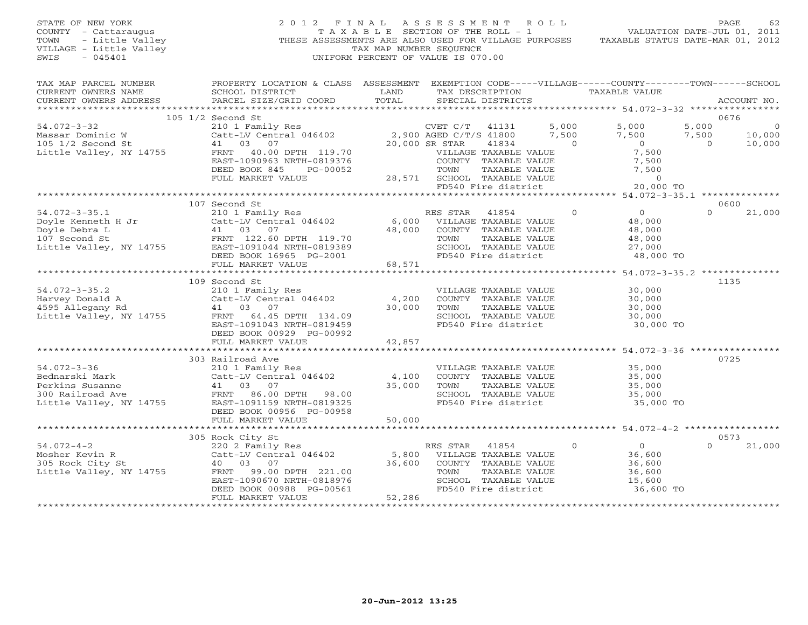### STATE OF NEW YORK 2 0 1 2 F I N A L A S S E S S M E N T R O L L PAGE 62 COUNTY - Cattaraugus T A X A B L E SECTION OF THE ROLL - 1 VALUATION DATE-JUL 01, 2011 TOWN - Little Valley ... THESE ASSESSMENTS ARE ALSO USED FOR VILLAGE PURPOSES TAXABLE STATUS DATE-MAR 01, 2012<br>VILLAGE - Little Valley ... THESE ASSESSMENTS ARE ALSO USED FOR VILLAGE PURPOSES TAXABLE STATUS DATE-MAR 01, 20 VILLAGE - Little Valley and the Communist Communist Communist Communist Communist Communist Communist Communist Communist Communist Communist Communist Communist Communist Communist Communist Communist Communist Communist SWIS - 045401 UNIFORM PERCENT OF VALUE IS 070.00

| TAX MAP PARCEL NUMBER<br>CURRENT OWNERS NAME<br>CURRENT OWNERS ADDRESS                                                                                                                              | PROPERTY LOCATION & CLASS ASSESSMENT EXEMPTION CODE-----VILLAGE------COUNTY-------TOWN------SCHOOL<br>SCHOOL DISTRICT<br>PARCEL SIZE/GRID COORD                                                                                          | LAND<br>TOTAL | TAX DESCRIPTION TAXABLE VALUE<br>SPECIAL DISTRICTS                                      |          |                                              |          | ACCOUNT NO.               |
|-----------------------------------------------------------------------------------------------------------------------------------------------------------------------------------------------------|------------------------------------------------------------------------------------------------------------------------------------------------------------------------------------------------------------------------------------------|---------------|-----------------------------------------------------------------------------------------|----------|----------------------------------------------|----------|---------------------------|
|                                                                                                                                                                                                     |                                                                                                                                                                                                                                          |               |                                                                                         |          |                                              |          |                           |
|                                                                                                                                                                                                     | 105 1/2 Second St                                                                                                                                                                                                                        |               |                                                                                         |          |                                              |          | 0676                      |
| $54.072 - 3 - 32$                                                                                                                                                                                   |                                                                                                                                                                                                                                          |               |                                                                                         |          | 5,000 5,000                                  | 5,000    | $\overline{0}$            |
|                                                                                                                                                                                                     |                                                                                                                                                                                                                                          |               |                                                                                         |          | 7,500                                        |          | $7,500$ $10,000$ $10,000$ |
| Massar Dominic W Catt-LV Centr<br>105 1/2 Second St 11 03 07<br>Little Valley, NY 14755 FRNT 40.00                                                                                                  |                                                                                                                                                                                                                                          |               |                                                                                         |          | $0$<br>0                                     |          | 10,000                    |
|                                                                                                                                                                                                     | Second Strain (1997)<br>2010 I Family Res (1997)<br>Catt-LV Central 046402 2,900 AGED C/T/S 41800 7,500<br>41 03 07 20,000 SR STAR 41834 0<br>FRNT 40.00 DPTH 119.70 VILLAGE TAXABLE VALUE<br>EAST-1090963 NRTH-0819376 COUNTY TAXABLE V |               |                                                                                         |          | 7,500                                        |          |                           |
|                                                                                                                                                                                                     |                                                                                                                                                                                                                                          |               |                                                                                         |          | 7,500                                        |          |                           |
|                                                                                                                                                                                                     | DEED BOOK 845<br>PG-00052<br>FULL MARKET VALUE                                                                                                                                                                                           |               |                                                                                         |          |                                              |          |                           |
|                                                                                                                                                                                                     |                                                                                                                                                                                                                                          |               | TOWN TAXABLE VALUE 7,500<br>28,571 SCHOOL TAXABLE VALUE 0<br>FD540 Fire district 20,000 |          | 20,000 TO                                    |          |                           |
|                                                                                                                                                                                                     |                                                                                                                                                                                                                                          |               |                                                                                         |          |                                              |          |                           |
|                                                                                                                                                                                                     | 107 Second St                                                                                                                                                                                                                            |               |                                                                                         |          |                                              |          | 0600                      |
| $54.072 - 3 - 35.1$                                                                                                                                                                                 | 210 1 Family Res                                                                                                                                                                                                                         |               | RES STAR<br>41854                                                                       | $\Omega$ | $\overline{0}$                               | $\Omega$ | 21,000                    |
| 54.072-3-35.1 210 1 Family Res<br>Doyle Kenneth H Jr Catt-LV Central 046402<br>Doyle Debra L 41 03 07<br>107 Second St FRNT 122.60 DPTH 119.70<br>Little Valley, NY 14755 EAST-1091044 NRTH-0819389 |                                                                                                                                                                                                                                          |               | 6,000 VILLAGE TAXABLE VALUE                                                             |          | 48,000                                       |          |                           |
|                                                                                                                                                                                                     |                                                                                                                                                                                                                                          | 48,000        | COUNTY TAXABLE VALUE                                                                    |          | 48,000                                       |          |                           |
|                                                                                                                                                                                                     |                                                                                                                                                                                                                                          |               | TAXABLE VALUE<br>TOWN                                                                   |          | 48,000                                       |          |                           |
|                                                                                                                                                                                                     |                                                                                                                                                                                                                                          |               | SCHOOL TAXABLE VALUE                                                                    |          | 27,000                                       |          |                           |
|                                                                                                                                                                                                     | DEED BOOK 16965 PG-2001                                                                                                                                                                                                                  |               | FD540 Fire district                                                                     |          | 48,000 TO                                    |          |                           |
|                                                                                                                                                                                                     | FULL MARKET VALUE                                                                                                                                                                                                                        | 68,571        |                                                                                         |          |                                              |          |                           |
|                                                                                                                                                                                                     |                                                                                                                                                                                                                                          |               |                                                                                         |          |                                              |          |                           |
|                                                                                                                                                                                                     | 109 Second St                                                                                                                                                                                                                            |               |                                                                                         |          |                                              |          | 1135                      |
| $54.072 - 3 - 35.2$                                                                                                                                                                                 | 210 1 Family Res                                                                                                                                                                                                                         |               | VILLAGE TAXABLE VALUE                                                                   |          | 30,000                                       |          |                           |
| 94.072-3-35.2<br>Harvey Donald A (200)<br>4595 Allegany Rd (2011 - 41 03 07 (30,000)<br>4595 Allegany Rd (41 03 07 30,000)                                                                          |                                                                                                                                                                                                                                          |               | COUNTY TAXABLE VALUE                                                                    |          | 30,000                                       |          |                           |
|                                                                                                                                                                                                     |                                                                                                                                                                                                                                          |               | TOWN<br>TOWN      TAXABLE VALUE<br>SCHOOL   TAXABLE VALUE                               |          | 30,000                                       |          |                           |
|                                                                                                                                                                                                     |                                                                                                                                                                                                                                          |               |                                                                                         |          | 30,000                                       |          |                           |
|                                                                                                                                                                                                     | EAST-1091043 NRTH-0819459<br>DEED BOOK 00929 PG-00992                                                                                                                                                                                    |               | FD540 Fire district                                                                     |          | 30,000 TO                                    |          |                           |
|                                                                                                                                                                                                     | FULL MARKET VALUE                                                                                                                                                                                                                        | 42,857        |                                                                                         |          |                                              |          |                           |
|                                                                                                                                                                                                     |                                                                                                                                                                                                                                          |               |                                                                                         |          |                                              |          |                           |
|                                                                                                                                                                                                     | 303 Railroad Ave                                                                                                                                                                                                                         |               |                                                                                         |          |                                              |          | 0725                      |
| $54.072 - 3 - 36$                                                                                                                                                                                   | 210 1 Family Res                                                                                                                                                                                                                         |               | VILLAGE TAXABLE VALUE 35,000                                                            |          |                                              |          |                           |
|                                                                                                                                                                                                     | Catt-LV Central $046402$ 4,100                                                                                                                                                                                                           |               | COUNTY TAXABLE VALUE                                                                    |          |                                              |          |                           |
|                                                                                                                                                                                                     |                                                                                                                                                                                                                                          | 35,000        | TOWN                                                                                    |          | TAXABLE VALUE 35,000<br>TAXABLE VALUE 35,000 |          |                           |
|                                                                                                                                                                                                     |                                                                                                                                                                                                                                          |               |                                                                                         |          | 35,000                                       |          |                           |
| Bednarski Mark<br>Perkins Susanne (att-LV Central 046402)<br>300 Railroad Ave (att-LV Central 046402)<br>58.00 DPTH 98.00<br>Little Valley, NY 14755 (EAST-1091159 NRTH-0819325)                    |                                                                                                                                                                                                                                          |               | SCHOOL TAXABLE VALUE<br>FD540 Fire district                                             |          | 35,000 TO                                    |          |                           |
|                                                                                                                                                                                                     | DEED BOOK 00956 PG-00958                                                                                                                                                                                                                 |               |                                                                                         |          |                                              |          |                           |
|                                                                                                                                                                                                     | FULL MARKET VALUE                                                                                                                                                                                                                        | 50,000        |                                                                                         |          |                                              |          |                           |
|                                                                                                                                                                                                     |                                                                                                                                                                                                                                          |               |                                                                                         |          |                                              |          |                           |
|                                                                                                                                                                                                     | 305 Rock City St                                                                                                                                                                                                                         |               |                                                                                         |          |                                              |          | 0573                      |
|                                                                                                                                                                                                     |                                                                                                                                                                                                                                          |               |                                                                                         | $\circ$  | $\overline{0}$                               | $\Omega$ | 21,000                    |
|                                                                                                                                                                                                     |                                                                                                                                                                                                                                          |               |                                                                                         |          | 36,600                                       |          |                           |
|                                                                                                                                                                                                     |                                                                                                                                                                                                                                          |               |                                                                                         |          | 36,600                                       |          |                           |
|                                                                                                                                                                                                     |                                                                                                                                                                                                                                          |               |                                                                                         |          | 36,600                                       |          |                           |
|                                                                                                                                                                                                     | EAST-1090670 NRTH-0818976<br>DEED BOOK 00988 PG-00561                                                                                                                                                                                    |               | SCHOOL TAXABLE VALUE<br>FD540 Fire district                                             |          | 15,600<br>36,600 TO                          |          |                           |
|                                                                                                                                                                                                     | FULL MARKET VALUE                                                                                                                                                                                                                        | 52,286        |                                                                                         |          |                                              |          |                           |
|                                                                                                                                                                                                     |                                                                                                                                                                                                                                          |               |                                                                                         |          |                                              |          |                           |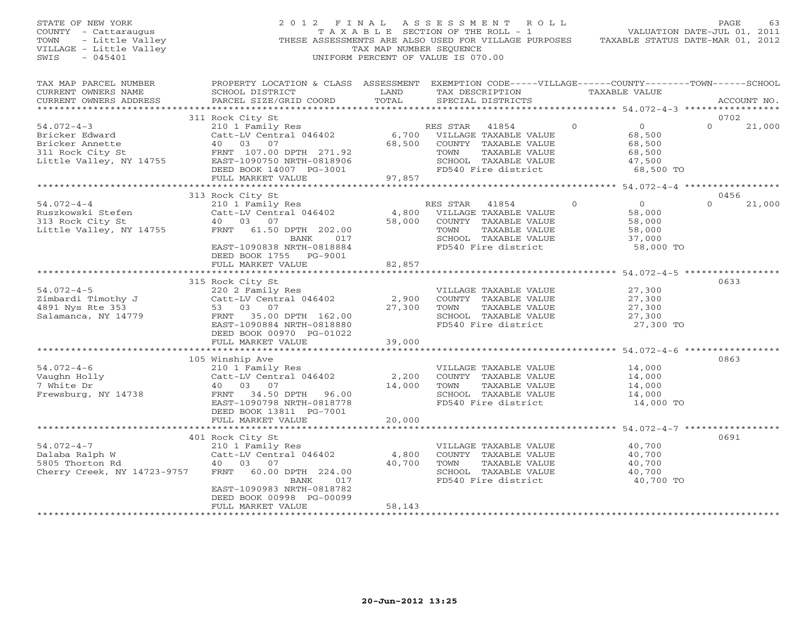STATE OF NEW YORK 2 0 1 2 F I N A L A S S E S S M E N T R O L L PAGE 63 COUNTY - Cattaraugus T A X A B L E SECTION OF THE ROLL - 1 VALUATION DATE-JUL 01, 2011 TOWN - Little Valley THESE ASSESSMENTS ARE ALSO USED FOR VILLAGE PURPOSES TAXABLE STATUS DATE-MAR 01, 2012 VILLAGE - Little Valley TAX MAP NUMBER SEQUENCE SWIS - 045401 UNIFORM PERCENT OF VALUE IS 070.00 TAX MAP PARCEL NUMBER PROPERTY LOCATION & CLASS ASSESSMENT EXEMPTION CODE-----VILLAGE------COUNTY--------TOWN------SCHOOL<br>CURRENT OWNERS NAME SCHOOL DISTRICT LAND TAX DE \*\*\*\*\*\*\*\*\*\*\*\*\*\*\*\*\*\*\*\*\*\*\*\*\*\*\*\*\*\*\*\*\*\*\*\*\*\*\*\*\*\*\*\*\*\*\*\*\*\*\*\*\*\*\*\*\*\*\*\*\*\*\*\*\*\*\*\*\*\*\*\*\*\*\*\*\*\*\*\*\*\*\*\*\*\*\*\*\*\*\*\*\*\*\*\*\*\*\*\*\*\*\* 54.072-4-3 \*\*\*\*\*\*\*\*\*\*\*\*\*\*\*\*\* 311 Rock City St 0702 54.072-4-3 210 1 Family Res RES STAR 41854 0 0 0 21,000 Bricker Edward Catt-LV Central 046402 6,700 VILLAGE TAXABLE VALUE 68,500 Bricker Annette 40 03 07 68,500 COUNTY TAXABLE VALUE 68,500 311 Rock City St FRNT 107.00 DPTH 271.92 TOWN TAXABLE VALUE 68,500 Little Valley, NY 14755 EAST-1090750 NRTH-0818906 SCHOOL TAXABLE VALUE 47,500 DEED BOOK 14007 PG-3001 FD540 Fire district 68,500 TO FULL MARKET VALUE 97,857 \*\*\*\*\*\*\*\*\*\*\*\*\*\*\*\*\*\*\*\*\*\*\*\*\*\*\*\*\*\*\*\*\*\*\*\*\*\*\*\*\*\*\*\*\*\*\*\*\*\*\*\*\*\*\*\*\*\*\*\*\*\*\*\*\*\*\*\*\*\*\*\*\*\*\*\*\*\*\*\*\*\*\*\*\*\*\*\*\*\*\*\*\*\*\*\*\*\*\*\*\*\*\* 54.072-4-4 \*\*\*\*\*\*\*\*\*\*\*\*\*\*\*\*\* 313 Rock City St 0456 54.072-4-4 210 1 Family Res RES STAR 41854 0 0 0 21,000 Ruszkowski Stefen Catt-LV Central 046402 4,800 VILLAGE TAXABLE VALUE 58,000 313 Rock City St 40 03 07 58,000 COUNTY TAXABLE VALUE 58,000 Little Valley, NY 14755 FRNT 61.50 DPTH 202.00 TOWN TAXABLE VALUE 58,000 BANK 017 SCHOOL TAXABLE VALUE 37,000 EAST-1090838 NRTH-0818884 FD540 Fire district 58,000 TO DEED BOOK 1755 PG-9001 FULL MARKET VALUE 82,857 \*\*\*\*\*\*\*\*\*\*\*\*\*\*\*\*\*\*\*\*\*\*\*\*\*\*\*\*\*\*\*\*\*\*\*\*\*\*\*\*\*\*\*\*\*\*\*\*\*\*\*\*\*\*\*\*\*\*\*\*\*\*\*\*\*\*\*\*\*\*\*\*\*\*\*\*\*\*\*\*\*\*\*\*\*\*\*\*\*\*\*\*\*\*\*\*\*\*\*\*\*\*\* 54.072-4-5 \*\*\*\*\*\*\*\*\*\*\*\*\*\*\*\*\* 315 Rock City St 0633 54.072-4-5 220 2 Family Res VILLAGE TAXABLE VALUE 27,300 Zimbardi Timothy J Catt-LV Central 046402 2,900 COUNTY TAXABLE VALUE 27,300 4891 Nys Rte 353 53 03 07 27,300 TOWN TAXABLE VALUE 27,300 Salamanca, NY 14779 FRNT 35.00 DPTH 162.00 SCHOOL TAXABLE VALUE 27,300 EAST-1090884 NRTH-0818880 FD540 Fire district 27,300 TO DEED BOOK 00970 PG-01022 FULL MARKET VALUE 39,000 \*\*\*\*\*\*\*\*\*\*\*\*\*\*\*\*\*\*\*\*\*\*\*\*\*\*\*\*\*\*\*\*\*\*\*\*\*\*\*\*\*\*\*\*\*\*\*\*\*\*\*\*\*\*\*\*\*\*\*\*\*\*\*\*\*\*\*\*\*\*\*\*\*\*\*\*\*\*\*\*\*\*\*\*\*\*\*\*\*\*\*\*\*\*\*\*\*\*\*\*\*\*\* 54.072-4-6 \*\*\*\*\*\*\*\*\*\*\*\*\*\*\*\*\* 105 Winship Ave 0863 54.072-4-6 210 1 Family Res VILLAGE TAXABLE VALUE 14,000 Vaughn Holly Catt-LV Central 046402 2,200 COUNTY TAXABLE VALUE 14,000 7 White Dr 40 03 07 14,000 TOWN TAXABLE VALUE 14,000 Frewsburg, NY 14738 FRNT 34.50 DPTH 96.00 SCHOOL TAXABLE VALUE 14,000 EAST-1090798 NRTH-0818778 FD540 Fire district 14,000 TO<br>DEED BOOK 13811 PG-7001 20,000<br>FULL MARKET VALUE 20,000 FULL FOR THE 20,000 FULL FOR THE 20,000 FULL FOR THE 20,000 FOR TO DEED POST TULL MARKET VALUE 401 Rock City St 0691 54.072-4-7 210 1 Family Res VILLAGE TAXABLE VALUE 40,700 Dalaba Ralph W Catt-LV Central 046402 4,800 COUNTY TAXABLE VALUE 40,700 5805 Thorton Rd 40 03 07 40,700 TOWN TAXABLE VALUE 40,700 Cherry Creek, NY 14723-9757 FRNT 60.00 DPTH 224.00 SCHOOL TAXABLE VALUE 40,700 BANK 017 FD540 Fire district 40,700 TO<br>EAST-1090983 NRTH-0818782<br>DEED BOOK 00998 PG-00099 FULL MARKET VALUE 58,143 \*\*\*\*\*\*\*\*\*\*\*\*\*\*\*\*\*\*\*\*\*\*\*\*\*\*\*\*\*\*\*\*\*\*\*\*\*\*\*\*\*\*\*\*\*\*\*\*\*\*\*\*\*\*\*\*\*\*\*\*\*\*\*\*\*\*\*\*\*\*\*\*\*\*\*\*\*\*\*\*\*\*\*\*\*\*\*\*\*\*\*\*\*\*\*\*\*\*\*\*\*\*\*\*\*\*\*\*\*\*\*\*\*\*\*\*\*\*\*\*\*\*\*\*\*\*\*\*\*\*\*\*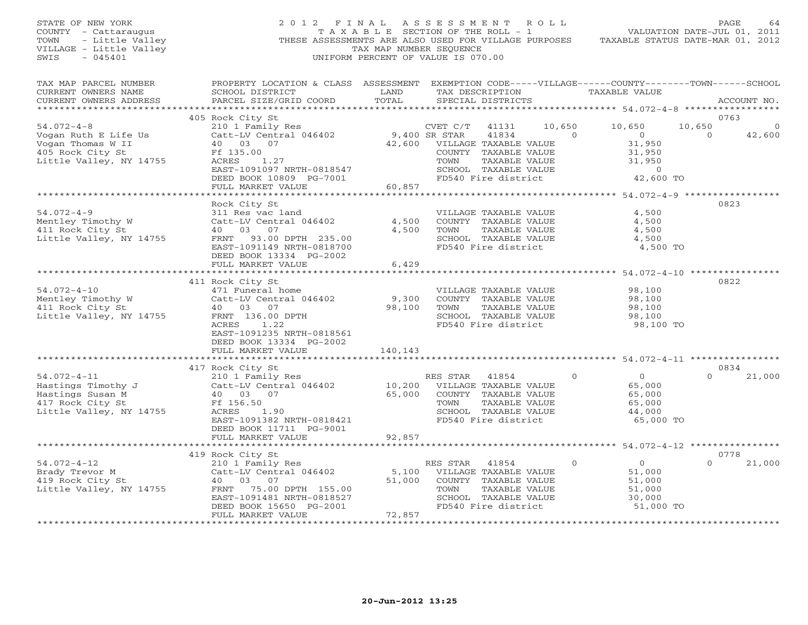STATE OF NEW YORK 2 0 1 2 F I N A L A S S E S S M E N T R O L L PAGE 64 COUNTY - Cattaraugus T A X A B L E SECTION OF THE ROLL - 1 VALUATION DATE-JUL 01, 2011 TOWN - Little Valley THESE ASSESSMENTS ARE ALSO USED FOR VILLAGE PURPOSES TAXABLE STATUS DATE-MAR 01, 2012 VILLAGE - Little Valley and the Communist Changes of TAX MAP NUMBER SEQUENCE SWIS - 045401 SWIS - 045401 UNIFORM PERCENT OF VALUE IS 070.00

| TAX MAP PARCEL NUMBER<br>CURRENT OWNERS NAME<br>CURRENT OWNERS ADDRESS                                     | PROPERTY LOCATION & CLASS ASSESSMENT<br>SCHOOL DISTRICT<br>PARCEL SIZE/GRID COORD                                                                                                            | LAND<br>TOTAL              |                                                       | TAX DESCRIPTION<br>SPECIAL DISTRICTS                                                                                   |                          |                | EXEMPTION CODE-----VILLAGE------COUNTY--------TOWN------SCHOOL<br>TAXABLE VALUE |                    | ACCOUNT NO.      |
|------------------------------------------------------------------------------------------------------------|----------------------------------------------------------------------------------------------------------------------------------------------------------------------------------------------|----------------------------|-------------------------------------------------------|------------------------------------------------------------------------------------------------------------------------|--------------------------|----------------|---------------------------------------------------------------------------------|--------------------|------------------|
| ********************                                                                                       | ****************************                                                                                                                                                                 |                            |                                                       |                                                                                                                        |                          |                |                                                                                 |                    |                  |
| $54.072 - 4 - 8$                                                                                           | 405 Rock City St<br>210 1 Family Res                                                                                                                                                         |                            | CVET C/T                                              | 41131<br>41834                                                                                                         | 10,650<br>$\overline{0}$ |                | 10,650<br>$\Omega$                                                              | 10,650<br>$\Omega$ | 0763<br>$\Omega$ |
| Vogan Ruth E Life Us<br>Vogan Thomas W II<br>405 Rock City St<br>Little Valley, NY 14755                   | Catt-LV Central 046402<br>40 03 07<br>Ff 135.00<br>ACRES<br>1.27<br>EAST-1091097 NRTH-0818547<br>DEED BOOK 10809 PG-7001                                                                     | 42,600                     | 9,400 SR STAR<br>TOWN                                 | VILLAGE TAXABLE VALUE<br>COUNTY TAXABLE VALUE<br>TAXABLE VALUE<br>SCHOOL TAXABLE VALUE<br>FD540 Fire district          |                          |                | 31,950<br>31,950<br>31,950<br>$\Omega$<br>42,600 TO                             |                    | 42,600           |
|                                                                                                            | FULL MARKET VALUE                                                                                                                                                                            | 60,857                     |                                                       |                                                                                                                        |                          |                |                                                                                 |                    |                  |
|                                                                                                            | Rock City St                                                                                                                                                                                 |                            |                                                       |                                                                                                                        |                          |                |                                                                                 |                    | 0823             |
| $54.072 - 4 - 9$<br>Mentley Timothy W<br>411 Rock City St<br>Little Valley, NY 14755                       | 311 Res vac land<br>Catt-LV Central 046402<br>40 03 07<br>FRNT 93.00 DPTH 235.00<br>EAST-1091149 NRTH-0818700<br>DEED BOOK 13334 PG-2002<br>FULL MARKET VALUE                                | 4,500<br>4,500<br>6,429    | TOWN                                                  | VILLAGE TAXABLE VALUE<br>COUNTY TAXABLE VALUE<br>TAXABLE VALUE<br>SCHOOL TAXABLE VALUE<br>FD540 Fire district          |                          |                | 4,500<br>4,500<br>4,500<br>4,500<br>4,500 TO                                    |                    |                  |
|                                                                                                            | ***************************                                                                                                                                                                  |                            |                                                       |                                                                                                                        |                          |                | *************** 54.072-4-10 **********                                          |                    |                  |
| $54.072 - 4 - 10$<br>Mentley Timothy W<br>411 Rock City St<br>Little Valley, NY 14755                      | 411 Rock City St<br>471 Funeral home<br>Catt-LV Central 046402<br>40 03 07<br>FRNT 136.00 DPTH<br>1.22<br>ACRES<br>EAST-1091235 NRTH-0818561<br>DEED BOOK 13334 PG-2002<br>FULL MARKET VALUE | 9,300<br>98,100<br>140,143 | TOWN                                                  | VILLAGE TAXABLE VALUE<br>COUNTY TAXABLE VALUE<br>TAXABLE VALUE<br>SCHOOL TAXABLE VALUE<br>FD540 Fire district          |                          |                | 98,100<br>98,100<br>98,100<br>98,100<br>98,100 TO                               |                    | 0822             |
|                                                                                                            |                                                                                                                                                                                              |                            |                                                       |                                                                                                                        |                          |                |                                                                                 |                    |                  |
| $54.072 - 4 - 11$<br>Hastings Timothy J<br>Hastings Susan M<br>417 Rock City St<br>Little Valley, NY 14755 | 417 Rock City St<br>210 1 Family Res<br>Catt-LV Central 046402<br>40 03 07<br>Ff 156.50<br>ACRES<br>1.90<br>EAST-1091382 NRTH-0818421<br>DEED BOOK 11711 PG-9001<br>FULL MARKET VALUE        | 10,200<br>65,000<br>92,857 | RES STAR<br>TOWN                                      | 41854<br>VILLAGE TAXABLE VALUE<br>COUNTY TAXABLE VALUE<br>TAXABLE VALUE<br>SCHOOL TAXABLE VALUE<br>FD540 Fire district |                          | $\Omega$       | 0<br>65,000<br>65,000<br>65,000<br>44,000<br>65,000 TO                          | $\Omega$           | 0834<br>21,000   |
|                                                                                                            |                                                                                                                                                                                              |                            |                                                       |                                                                                                                        |                          |                |                                                                                 |                    |                  |
|                                                                                                            | 419 Rock City St                                                                                                                                                                             |                            |                                                       |                                                                                                                        |                          |                |                                                                                 |                    | 0778             |
| $54.072 - 4 - 12$<br>Brady Trevor M<br>419 Rock City St<br>Little Valley, NY 14755                         | 210 1 Family Res<br>Catt-LV Central 046402<br>40 03 07<br>FRNT 75.00 DPTH 155.00<br>EAST-1091481 NRTH-0818527<br>DEED BOOK 15650 PG-2001<br>FULL MARKET VALUE                                | 51,000<br>72,857           | RES STAR 41854<br>5,100 VILLAGE TAXABLE VALUE<br>TOWN | COUNTY TAXABLE VALUE<br>TAXABLE VALUE<br>SCHOOL TAXABLE VALUE<br>FD540 Fire district                                   |                          | $\overline{0}$ | $\overline{0}$<br>51,000<br>51,000<br>51,000<br>30,000<br>51,000 TO             | $\Omega$           | 21,000           |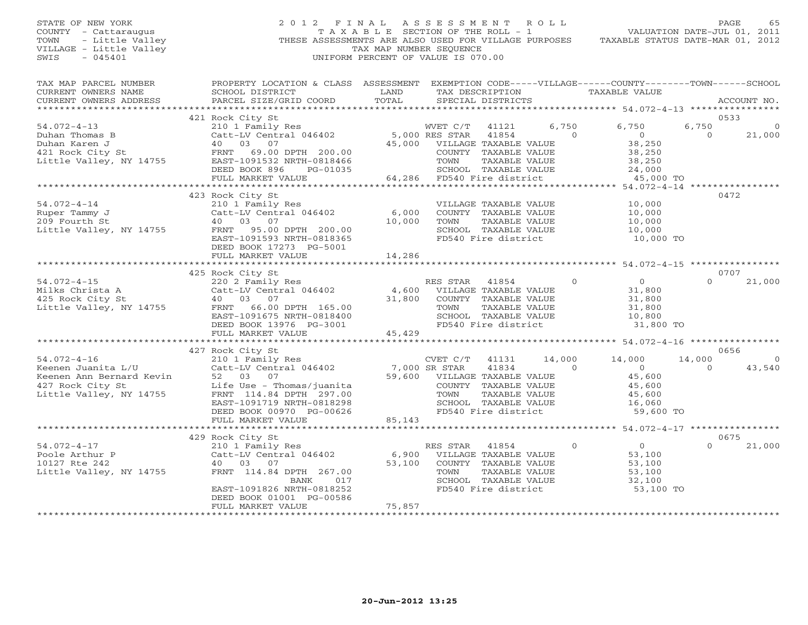## STATE OF NEW YORK 2 0 1 2 F I N A L A S S E S S M E N T R O L L PAGE 65 COUNTY - Cattaraugus T A X A B L E SECTION OF THE ROLL - 1 VALUATION DATE-JUL 01, 2011 TOWN - Little Valley ... THESE ASSESSMENTS ARE ALSO USED FOR VILLAGE PURPOSES TAXABLE STATUS DATE-MAR 01, 2012<br>VILLAGE - Little Valley ... THESE ASSESSMENTS ARE ALSO USED FOR VILLAGE PURPOSES TAXABLE STATUS DATE-MAR 01, 20 VILLAGE - Little Valley and the Communist Communist Communist Communist Communist Communist Communist Communist Communist Communist Communist Communist Communist Communist Communist Communist Communist Communist Communist SWIS - 045401 UNIFORM PERCENT OF VALUE IS 070.00

| TAX MAP PARCEL NUMBER<br>CURRENT OWNERS NAME<br>CURRENT OWNERS ADDRESS                                             | PROPERTY LOCATION & CLASS ASSESSMENT<br>SCHOOL DISTRICT<br>PARCEL SIZE/GRID COORD                                                                                                                                | LAND<br>TOTAL             | EXEMPTION CODE-----VILLAGE------COUNTY-------TOWN------SCHOOL<br>TAX DESCRIPTION<br>SPECIAL DISTRICTS                                                      |                          | TAXABLE VALUE                                                             |                    | ACCOUNT NO.                |
|--------------------------------------------------------------------------------------------------------------------|------------------------------------------------------------------------------------------------------------------------------------------------------------------------------------------------------------------|---------------------------|------------------------------------------------------------------------------------------------------------------------------------------------------------|--------------------------|---------------------------------------------------------------------------|--------------------|----------------------------|
|                                                                                                                    |                                                                                                                                                                                                                  |                           |                                                                                                                                                            |                          |                                                                           |                    |                            |
| $54.072 - 4 - 13$<br>Duhan Thomas B<br>Duhan Karen J<br>421 Rock City St<br>Little Valley, NY 14755                | 421 Rock City St<br>210 1 Family Res<br>Catt-LV Central 046402<br>40 03 07<br>FRNT 69.00 DPTH 200.00<br>EAST-1091532 NRTH-0818466<br>DEED BOOK 896<br>PG-01035                                                   | 45,000                    | 41121<br>WVET C/T<br>5,000 RES STAR<br>41854<br>VILLAGE TAXABLE VALUE<br>COUNTY TAXABLE VALUE<br>TOWN<br>TAXABLE VALUE<br>SCHOOL TAXABLE VALUE             | 6,750<br>$\Omega$        | 6,750<br>$\circ$<br>38,250<br>38,250<br>38,250<br>24,000                  | 6,750<br>$\Omega$  | 0533<br>21,000             |
|                                                                                                                    | FULL MARKET VALUE<br>***************************                                                                                                                                                                 | ************************* | 64,286 FD540 Fire district                                                                                                                                 |                          | 45,000 TO<br>*************************** 54.072-4-14 ***************      |                    |                            |
| $54.072 - 4 - 14$<br>Ruper Tammy J<br>209 Fourth St<br>Little Valley, NY 14755                                     | 423 Rock City St<br>210 1 Family Res<br>Catt-LV Central 046402<br>40 03 07<br>FRNT 95.00 DPTH 200.00<br>EAST-1091593 NRTH-0818365<br>DEED BOOK 17273 PG-5001<br>FULL MARKET VALUE                                | 6,000<br>10,000<br>14,286 | VILLAGE TAXABLE VALUE<br>COUNTY TAXABLE VALUE<br>TOWN<br>TAXABLE VALUE<br>SCHOOL TAXABLE VALUE<br>FD540 Fire district                                      |                          | 10,000<br>10,000<br>10,000<br>10,000<br>10,000 TO                         |                    | 0472                       |
|                                                                                                                    |                                                                                                                                                                                                                  |                           |                                                                                                                                                            |                          |                                                                           |                    | 0707                       |
| $54.072 - 4 - 15$<br>Milks Christa A<br>425 Rock City St<br>Little Valley, NY 14755                                | 425 Rock City St<br>220 2 Family Res<br>Catt-LV Central 046402<br>40 03 07<br>FRNT 66.00 DPTH 165.00<br>EAST-1091675 NRTH-0818400<br>DEED BOOK 13976 PG-3001<br>FULL MARKET VALUE                                | 31,800<br>45,429          | RES STAR<br>41854<br>4,600 VILLAGE TAXABLE VALUE<br>COUNTY TAXABLE VALUE<br>TAXABLE VALUE<br>TOWN<br>SCHOOL TAXABLE VALUE<br>FD540 Fire district           | $\Omega$                 | $\Omega$<br>31,800<br>31,800<br>31,800<br>10,800<br>31,800 TO             | $\Omega$           | 21,000                     |
|                                                                                                                    |                                                                                                                                                                                                                  |                           |                                                                                                                                                            |                          |                                                                           |                    |                            |
| $54.072 - 4 - 16$<br>Keenen Juanita L/U<br>Keenen Ann Bernard Kevin<br>427 Rock City St<br>Little Valley, NY 14755 | 427 Rock City St<br>210 1 Family Res<br>Catt-LV Central 046402<br>52 03 07<br>Life Use - Thomas/juanita<br>FRNT 114.84 DPTH 297.00<br>EAST-1091719 NRTH-0818298<br>DEED BOOK 00970 PG-00626<br>FULL MARKET VALUE | 7,000 SR STAR<br>85,143   | CVET C/T<br>41131<br>41834<br>59,600 VILLAGE TAXABLE VALUE<br>COUNTY TAXABLE VALUE<br>TOWN<br>TAXABLE VALUE<br>SCHOOL TAXABLE VALUE<br>FD540 Fire district | 14,000<br>$\overline{0}$ | 14,000<br>$\bigcirc$<br>45,600<br>45,600<br>45,600<br>16,060<br>59,600 TO | 14,000<br>$\Omega$ | 0656<br>$\Omega$<br>43,540 |
|                                                                                                                    |                                                                                                                                                                                                                  |                           |                                                                                                                                                            |                          | ********** 54.072-4-17 ****************                                   |                    |                            |
| $54.072 - 4 - 17$<br>Poole Arthur P<br>10127 Rte 242<br>Little Valley, NY 14755                                    | 429 Rock City St<br>210 1 Family Res<br>Catt-LV Central 046402<br>40 03 07<br>FRNT 114.84 DPTH 267.00<br>BANK<br>017<br>EAST-1091826 NRTH-0818252<br>DEED BOOK 01001 PG-00586<br>FULL MARKET VALUE               | 6,900<br>53,100<br>75,857 | RES STAR<br>41854<br>VILLAGE TAXABLE VALUE<br>COUNTY TAXABLE VALUE<br>TOWN<br>TAXABLE VALUE<br>SCHOOL TAXABLE VALUE<br>FD540 Fire district                 | $\circ$                  | $\overline{0}$<br>53,100<br>53,100<br>53,100<br>32,100<br>53,100 TO       | $\Omega$           | 0675<br>21,000             |
|                                                                                                                    |                                                                                                                                                                                                                  |                           |                                                                                                                                                            |                          |                                                                           |                    |                            |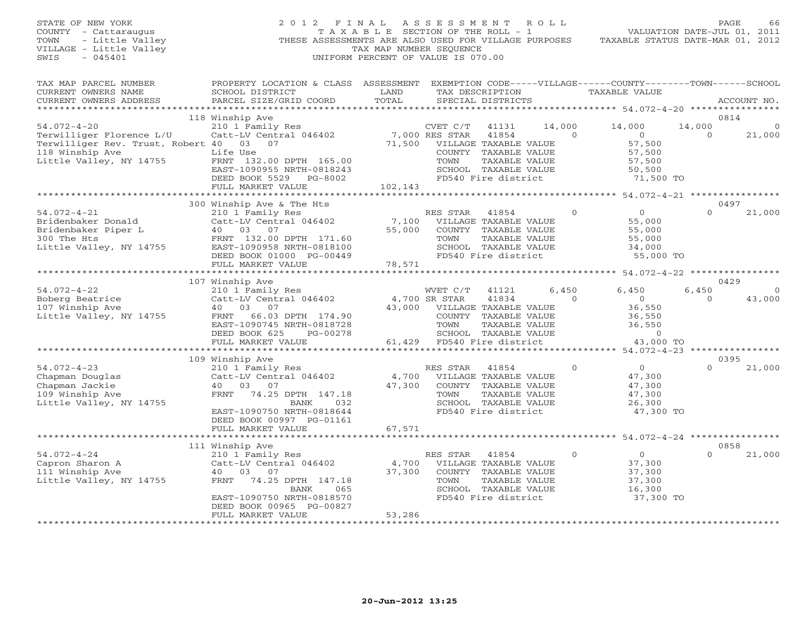# STATE OF NEW YORK 2 0 1 2 F I N A L A S S E S S M E N T R O L L PAGE 66 COUNTY - Cattaraugus T A X A B L E SECTION OF THE ROLL - 1 VALUATION DATE-JUL 01, 2011 TOWN - Little Valley **These ASSESSMENTS ARE ALSO USED FOR VILLAGE PURPOSES** TAXABLE STATUS DATE-MAR 01, 2012<br>VILLAGE - Little Valley **These State of Tax Map NUMBER SEQUENCE** VILLAGE - Little Valley and the Communist Communist Communist Communist Communist Communist Communist Communist Communist Communist Communist Communist Communist Communist Communist Communist Communist Communist Communist SWIS - 045401 UNIFORM PERCENT OF VALUE IS 070.00

| TAX MAP PARCEL NUMBER<br>CURRENT OWNERS NAME<br>CURRENT OWNERS ADDRESS<br>*************************                              | PROPERTY LOCATION & CLASS ASSESSMENT<br>SCHOOL DISTRICT<br>PARCEL SIZE/GRID COORD                                                                                                               | LAND<br>TOTAL                       | EXEMPTION CODE-----VILLAGE------COUNTY-------TOWN------SCHOOL<br>TAX DESCRIPTION<br>SPECIAL DISTRICTS                                                                      |                    | TAXABLE VALUE                                                                  |                    | ACCOUNT NO.        |
|----------------------------------------------------------------------------------------------------------------------------------|-------------------------------------------------------------------------------------------------------------------------------------------------------------------------------------------------|-------------------------------------|----------------------------------------------------------------------------------------------------------------------------------------------------------------------------|--------------------|--------------------------------------------------------------------------------|--------------------|--------------------|
|                                                                                                                                  |                                                                                                                                                                                                 |                                     |                                                                                                                                                                            |                    |                                                                                |                    |                    |
| $54.072 - 4 - 20$<br>Terwilliger Florence L/U<br>Terwilliger Rev. Trust, Robert 40<br>118 Winship Ave<br>Little Valley, NY 14755 | 118 Winship Ave<br>210 1 Family Res<br>Catt-LV Central 046402<br>03<br>07<br>Life Use<br>FRNT 132.00 DPTH 165.00<br>EAST-1090955 NRTH-0818243<br>DEED BOOK 5529<br>PG-8002<br>FULL MARKET VALUE | 71,500<br>102,143                   | CVET C/T<br>41131<br>7,000 RES STAR<br>41854<br>VILLAGE TAXABLE VALUE<br>COUNTY<br>TAXABLE VALUE<br>TOWN<br>TAXABLE VALUE<br>SCHOOL TAXABLE VALUE<br>FD540 Fire district   | 14,000<br>$\Omega$ | 14,000<br>$\overline{0}$<br>57,500<br>57,500<br>57,500<br>50,500<br>71,500 TO  | 14,000<br>$\Omega$ | 0814<br>21,000     |
|                                                                                                                                  |                                                                                                                                                                                                 |                                     |                                                                                                                                                                            |                    |                                                                                |                    |                    |
| $54.072 - 4 - 21$<br>Bridenbaker Donald<br>Bridenbaker Piper L<br>300 The Hts<br>Little Valley, NY 14755                         | 300 Winship Ave & The Hts<br>210 1 Family Res<br>Catt-LV Central 046402<br>03 07<br>40<br>FRNT 132.00 DPTH 171.60<br>EAST-1090958 NRTH-0818100<br>DEED BOOK 01000 PG-00449<br>FULL MARKET VALUE | 7,100<br>55,000<br>78,571           | RES STAR<br>41854<br>VILLAGE TAXABLE VALUE<br>COUNTY TAXABLE VALUE<br>TOWN<br>TAXABLE VALUE<br>SCHOOL TAXABLE VALUE<br>FD540 Fire district                                 | $\Omega$           | $\Omega$<br>55,000<br>55,000<br>55,000<br>34,000<br>55,000 TO                  | $\Omega$           | 0497<br>21,000     |
|                                                                                                                                  | **********************                                                                                                                                                                          | ******************                  |                                                                                                                                                                            |                    | *********** 54.072-4-22 ****************                                       |                    |                    |
|                                                                                                                                  | 107 Winship Ave                                                                                                                                                                                 |                                     |                                                                                                                                                                            |                    |                                                                                |                    | 0429               |
| $54.072 - 4 - 22$<br>Boberg Beatrice<br>107 Winship Ave<br>Little Valley, NY 14755                                               | 210 1 Family Res<br>Catt-LV Central 046402<br>40<br>0.3<br>07<br>FRNT<br>66.03 DPTH 174.90<br>EAST-1090745 NRTH-0818728<br>DEED BOOK 625<br>PG-00278<br>FULL MARKET VALUE                       | 43,000<br>61,429                    | WVET C/T<br>41121<br>4,700 SR STAR<br>41834<br>VILLAGE TAXABLE VALUE<br>COUNTY<br>TAXABLE VALUE<br>TOWN<br>TAXABLE VALUE<br>SCHOOL<br>TAXABLE VALUE<br>FD540 Fire district | 6,450<br>$\Omega$  | 6,450<br>$\overline{0}$<br>36,550<br>36,550<br>36,550<br>$\Omega$<br>43,000 TO | 6,450<br>$\Omega$  | $\Omega$<br>43,000 |
|                                                                                                                                  | *******************                                                                                                                                                                             |                                     |                                                                                                                                                                            |                    | **** 54.072-4-23 *************                                                 |                    |                    |
| $54.072 - 4 - 23$<br>Chapman Douglas<br>Chapman Jackie<br>109 Winship Ave<br>Little Valley, NY 14755                             | 109 Winship Ave<br>210 1 Family Res<br>Catt-LV Central 046402<br>40<br>03<br>07<br>FRNT<br>74.25 DPTH 147.18<br>BANK<br>032<br>EAST-1090750 NRTH-0818644<br>DEED BOOK 00997 PG-01161            | 4,700<br>47,300                     | RES STAR<br>41854<br>VILLAGE TAXABLE VALUE<br>COUNTY TAXABLE VALUE<br><b>TAXABLE VALUE</b><br>TOWN<br>SCHOOL TAXABLE VALUE<br>FD540 Fire district                          | $\Omega$           | $\circ$<br>47,300<br>47,300<br>47,300<br>26,300<br>47,300 TO                   | $\Omega$           | 0395<br>21,000     |
|                                                                                                                                  | FULL MARKET VALUE<br>********************                                                                                                                                                       | 67,571                              |                                                                                                                                                                            |                    | *********** 54.072-4-24 *********                                              |                    |                    |
|                                                                                                                                  | 111 Winship Ave                                                                                                                                                                                 |                                     |                                                                                                                                                                            |                    |                                                                                |                    | 0858               |
| $54.072 - 4 - 24$<br>Capron Sharon A<br>111 Winship Ave<br>Little Valley, NY 14755                                               | 210 1 Family Res<br>Catt-LV Central 046402<br>40<br>03<br>07<br>74.25 DPTH 147.18<br>FRNT<br>065<br><b>BANK</b><br>EAST-1090750 NRTH-0818570<br>DEED BOOK 00965 PG-00827                        | 4,700<br>37,300                     | RES STAR<br>41854<br>VILLAGE TAXABLE VALUE<br>COUNTY TAXABLE VALUE<br>TOWN<br>TAXABLE VALUE<br>SCHOOL TAXABLE VALUE<br>FD540 Fire district                                 | $\mathbf{0}$       | $\overline{O}$<br>37,300<br>37,300<br>37,300<br>16,300<br>37,300 TO            | $\Omega$           | 21,000             |
|                                                                                                                                  | FULL MARKET VALUE<br>********************                                                                                                                                                       | 53,286<br>* * * * * * * * * * * * * |                                                                                                                                                                            |                    |                                                                                |                    |                    |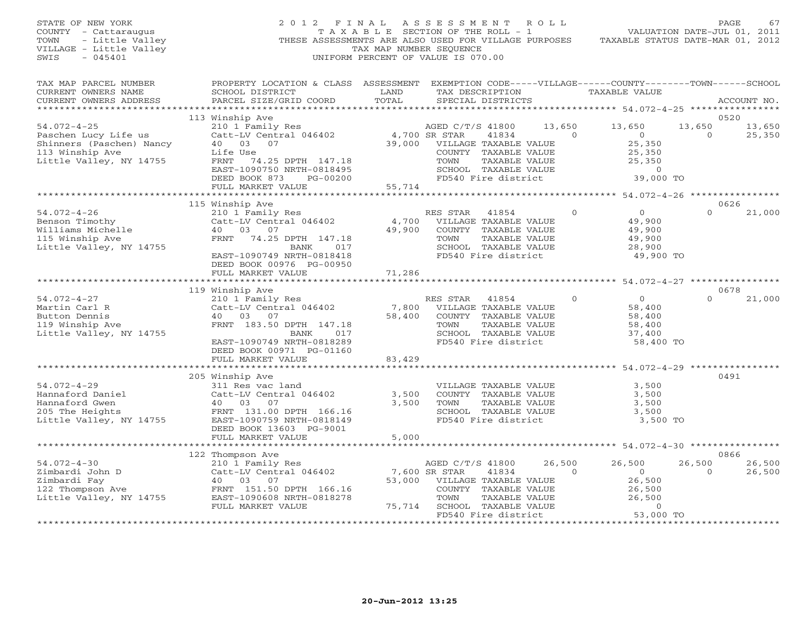| STATE OF NEW YORK<br>COUNTY - Cattaraugus<br>TOWN<br>- Little Valley<br>VILLAGE - Little Valley<br>$-045401$<br>SWIS                                 | 2 0 1 2<br>THESE ASSESSMENTS ARE ALSO USED FOR VILLAGE PURPOSES                                                                                                                                   | FINAL<br>TAX MAP NUMBER SEQUENCE        | A S S E S S M E N T<br>T A X A B L E SECTION OF THE ROLL - 1<br>UNIFORM PERCENT OF VALUE IS 070.00                              |                        | R O L L            | TAXABLE STATUS DATE-MAR 01, 2012                                                | VALUATION DATE-JUL 01, 2011   | PAGE<br>67               |
|------------------------------------------------------------------------------------------------------------------------------------------------------|---------------------------------------------------------------------------------------------------------------------------------------------------------------------------------------------------|-----------------------------------------|---------------------------------------------------------------------------------------------------------------------------------|------------------------|--------------------|---------------------------------------------------------------------------------|-------------------------------|--------------------------|
| TAX MAP PARCEL NUMBER<br>CURRENT OWNERS NAME<br>CURRENT OWNERS ADDRESS<br>***********************                                                    | PROPERTY LOCATION & CLASS ASSESSMENT EXEMPTION CODE-----VILLAGE------COUNTY-------TOWN------SCHOOL<br>SCHOOL DISTRICT<br>PARCEL SIZE/GRID COORD                                                   | LAND<br>TOTAL                           | TAX DESCRIPTION<br>SPECIAL DISTRICTS                                                                                            |                        |                    | TAXABLE VALUE                                                                   |                               | ACCOUNT NO.              |
| $54.072 - 4 - 25$<br>Paschen Lucy Life us<br>Shinners (Paschen) Nancy<br>113 Winship Ave<br>Little Valley, NY 14755                                  | 113 Winship Ave<br>210 1 Family Res<br>Catt-LV Central 046402<br>40 03 07<br>Life Use<br>74.25 DPTH 147.18<br>FRNT<br>EAST-1090750 NRTH-0818495<br>DEED BOOK 873<br>PG-00200<br>FULL MARKET VALUE | 4,700 SR STAR<br>39,000 VILLA<br>55,714 | AGED C/T/S 41800<br>VILLAGE TAXABLE VALUE<br>COUNTY TAXABLE VALUE<br>TOWN<br>SCHOOL TAXABLE VALUE<br>FD540 Fire district        | 41834<br>TAXABLE VALUE | 13,650<br>$\Omega$ | 13,650<br>$\overline{0}$<br>25,350<br>25,350<br>25,350<br>$\sim$ 0<br>39,000 TO | 0520<br>13,650<br>$\Omega$    | 13,650<br>25,350         |
|                                                                                                                                                      |                                                                                                                                                                                                   |                                         |                                                                                                                                 |                        |                    |                                                                                 |                               |                          |
| $54.072 - 4 - 26$<br>Benson Timothy<br>Williams Michelle<br>115 Winchin Ave<br>115 Winship Ave<br>Little Valley, NY 14755                            | 115 Winship Ave<br>210 1 Family Res<br>Catt-LV Central 046402<br>40 03 07<br>FRNT 74.25 DPTH 147.18<br>BANK<br>017<br>EAST-1090749 NRTH-0818418<br>DEED BOOK 00976 PG-00950                       | 4,700<br>49,900                         | RES STAR 41854<br>VILLAGE TAXABLE VALUE<br>COUNTY TAXABLE VALUE<br>TOWN<br>SCHOOL TAXABLE VALUE<br>FD540 Fire district          | TAXABLE VALUE          | $\circ$            | $\overline{0}$<br>49,900<br>49,900<br>49,900<br>28,900<br>49,900 TO             | $\Omega$                      | 0626<br>21,000           |
|                                                                                                                                                      | FULL MARKET VALUE<br>**************************                                                                                                                                                   | 71,286                                  |                                                                                                                                 |                        |                    |                                                                                 |                               |                          |
| $54.072 - 4 - 27$<br>Martin Carl R<br>Button Dennis<br>119 Winship Ave<br>Little Valley, NY 14755                                                    | 119 Winship Ave<br>210 1 Family Res<br>Catt-LV Central 046402<br>40 03<br>07<br>FRNT 183.50 DPTH 147.18<br>BANK<br>017                                                                            | 7,800<br>58,400                         | RES STAR<br>VILLAGE TAXABLE VALUE<br>COUNTY TAXABLE VALUE<br>TOWN<br>SCHOOL TAXABLE VALUE                                       | 41854<br>TAXABLE VALUE | $\circ$            | $\overline{0}$<br>58,400<br>58,400<br>58,400<br>37,400                          | 0678<br>$\Omega$              | 21,000                   |
|                                                                                                                                                      | EAST-1090749 NRTH-0818289<br>DEED BOOK 00971 PG-01160<br>FULL MARKET VALUE                                                                                                                        | 83,429                                  | FD540 Fire district                                                                                                             |                        |                    | 58,400 TO                                                                       |                               |                          |
| $54.072 - 4 - 29$<br>Hannaford Daniel<br>Hannaford Gwen<br>nainiairche dweit<br>205 The Heights<br>Little Valley, NY 14755 EAST-1090759 NRTH-0818149 | 205 Winship Ave<br>311 Res vac land<br>Catt-LV Central 046402<br>40 03 07                                                                                                                         | 3,500<br>3,500                          | VILLAGE TAXABLE VALUE<br>COUNTY TAXABLE VALUE<br>TOWN<br>SCHOOL TAXABLE VALUE<br>FD540 Fire district                            | TAXABLE VALUE          |                    | 3,500<br>3,500<br>3,500<br>3,500<br>3,500 TO                                    | 0491                          |                          |
|                                                                                                                                                      | DEED BOOK 13603 PG-9001<br>FULL MARKET VALUE                                                                                                                                                      | 5,000<br>************                   |                                                                                                                                 |                        |                    | ********************** 54.072-4-30 *****************                            |                               |                          |
| $54.072 - 4 - 30$<br>Zimbardi John D<br>Zimbardi Fay<br>$122$ Thompson Ave<br>Little Valley, NY 14755                                                | 122 Thompson Ave<br>210 1 Family Res<br>Catt-LV Central 046402<br>40 03<br>07<br>FRNT 151.50 DPTH 166.16<br>EAST-1090608 NRTH-0818278<br>FULL MARKET VALUE                                        | 7,600 SR STAR<br>53,000                 | AGED C/T/S 41800<br>VILLAGE TAXABLE VALUE<br>COUNTY TAXABLE VALUE<br>TOWN<br>75,714 SCHOOL TAXABLE VALUE<br>FD540 Fire district | 41834<br>TAXABLE VALUE | 26,500<br>$\circ$  | 26,500<br>$\overline{0}$<br>26,500<br>26,500<br>26,500<br>$\circ$<br>53,000 TO  | 26,500<br>$\overline{0}$<br>. | 0866<br>26,500<br>26,500 |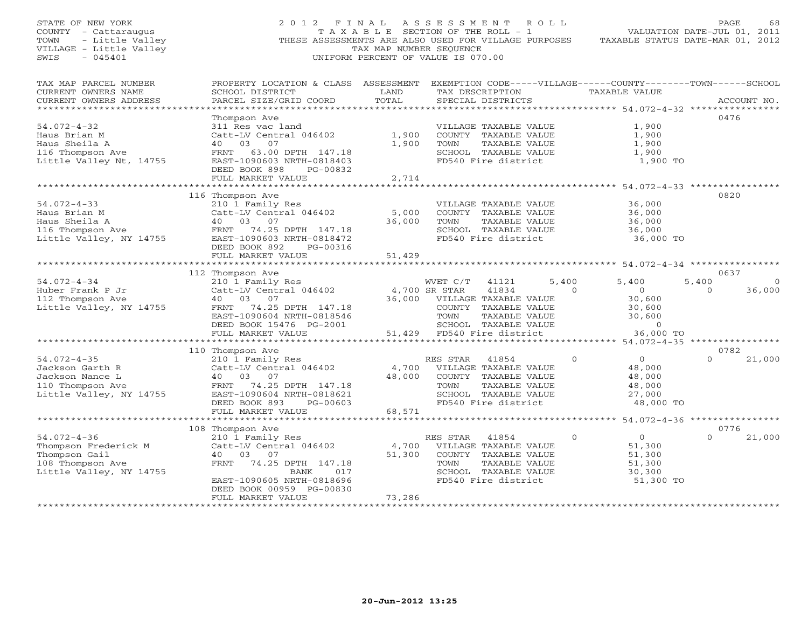STATE OF NEW YORK 2 0 1 2 F I N A L A S S E S S M E N T R O L L PAGE 68 COUNTY - Cattaraugus T A X A B L E SECTION OF THE ROLL - 1 VALUATION DATE-JUL 01, 2011 TOWN - Little Valley THESE ASSESSMENTS ARE ALSO USED FOR VILLAGE PURPOSES TAXABLE STATUS DATE-MAR 01, 2012 VILLAGE - Little Valley TAX MAP NUMBER SEQUENCE SWIS - 045401 UNIFORM PERCENT OF VALUE IS 070.00 TAX MAP PARCEL NUMBER PROPERTY LOCATION & CLASS ASSESSMENT EXEMPTION CODE-----VILLAGE------COUNTY--------TOWN------SCHOOL<br>CURRENT OWNERS NAME SCHOOL DISTRICT LAND TAX DE \*\*\*\*\*\*\*\*\*\*\*\*\*\*\*\*\*\*\*\*\*\*\*\*\*\*\*\*\*\*\*\*\*\*\*\*\*\*\*\*\*\*\*\*\*\*\*\*\*\*\*\*\*\*\*\*\*\*\*\*\*\*\*\*\*\*\*\*\*\*\*\*\*\*\*\*\*\*\*\*\*\*\*\*\*\*\*\*\*\*\*\*\*\*\*\*\*\*\*\*\*\*\* 54.072-4-32 \*\*\*\*\*\*\*\*\*\*\*\*\*\*\*\* Thompson Ave 0476 54.072-4-32 311 Res vac land VILLAGE TAXABLE VALUE 1,900 Haus Brian M Catt-LV Central 046402 1,900 COUNTY TAXABLE VALUE 1,900 Haus Sheila A 40 03 07 1,900 TOWN TAXABLE VALUE 1,900 116 Thompson Ave FRNT 63.00 DPTH 147.18 SCHOOL TAXABLE VALUE 1,900 Little Valley Nt, 14755 EAST-1090603 NRTH-0818403 FD540 Fire district 1,900 TO DEED BOOK 898 PG-00832 FULL MARKET VALUE 2,714 \*\*\*\*\*\*\*\*\*\*\*\*\*\*\*\*\*\*\*\*\*\*\*\*\*\*\*\*\*\*\*\*\*\*\*\*\*\*\*\*\*\*\*\*\*\*\*\*\*\*\*\*\*\*\*\*\*\*\*\*\*\*\*\*\*\*\*\*\*\*\*\*\*\*\*\*\*\*\*\*\*\*\*\*\*\*\*\*\*\*\*\*\*\*\*\*\*\*\*\*\*\*\* 54.072-4-33 \*\*\*\*\*\*\*\*\*\*\*\*\*\*\*\* 116 Thompson Ave 0820 54.072-4-33 210 1 Family Res VILLAGE TAXABLE VALUE 36,000 Haus Brian M Catt-LV Central 046402 5,000 COUNTY TAXABLE VALUE 36,000 Haus Sheila A 40 03 07 36,000 TOWN TAXABLE VALUE 36,000 116 Thompson Ave FRNT 74.25 DPTH 147.18 SCHOOL TAXABLE VALUE 36,000 Little Valley, NY 14755 EAST-1090603 NRTH-0818472 FD540 Fire district 36,000 TO DEED BOOK 892 PG-00316 FULL MARKET VALUE 51,429 \*\*\*\*\*\*\*\*\*\*\*\*\*\*\*\*\*\*\*\*\*\*\*\*\*\*\*\*\*\*\*\*\*\*\*\*\*\*\*\*\*\*\*\*\*\*\*\*\*\*\*\*\*\*\*\*\*\*\*\*\*\*\*\*\*\*\*\*\*\*\*\*\*\*\*\*\*\*\*\*\*\*\*\*\*\*\*\*\*\*\*\*\*\*\*\*\*\*\*\*\*\*\* 54.072-4-34 \*\*\*\*\*\*\*\*\*\*\*\*\*\*\*\* 112 Thompson Ave 0637 54.072-4-34 210 1 Family Res WVET C/T 41121 5,400 5,400 5,400 0 Huber Frank P Jr Catt-LV Central 046402 4,700 SR STAR 41834 0 0 0 36,000 112 Thompson Ave 40 03 07 36,000 VILLAGE TAXABLE VALUE 30,600 Little Valley, NY 14755 FRNT 74.25 DPTH 147.18 COUNTY TAXABLE VALUE 30,600 EAST-1090604 NRTH-0818546 TOWN TAXABLE VALUE 30,600 DEED BOOK 15476 PG-2001 SCHOOL TAXABLE VALUE 0 FULL MARKET VALUE 51,429 FD540 Fire district 36,000 TO \*\*\*\*\*\*\*\*\*\*\*\*\*\*\*\*\*\*\*\*\*\*\*\*\*\*\*\*\*\*\*\*\*\*\*\*\*\*\*\*\*\*\*\*\*\*\*\*\*\*\*\*\*\*\*\*\*\*\*\*\*\*\*\*\*\*\*\*\*\*\*\*\*\*\*\*\*\*\*\*\*\*\*\*\*\*\*\*\*\*\*\*\*\*\*\*\*\*\*\*\*\*\* 54.072-4-35 \*\*\*\*\*\*\*\*\*\*\*\*\*\*\*\* 110 Thompson Ave 0782 54.072-4-35 210 1 Family Res RES STAR 41854 0 0 0 21,000 Jackson Garth R Catt-LV Central 046402 4,700 VILLAGE TAXABLE VALUE 48,000 Jackson Nance L 40 03 07 48,000 COUNTY TAXABLE VALUE 48,000 110 Thompson Ave FRNT 74.25 DPTH 147.18 TOWN TAXABLE VALUE 48,000 Little Valley, NY 14755 EAST-1090604 NRTH-0818621 SCHOOL TAXABLE VALUE 27,000 DEED BOOK 893 PG-00603 FD540 Fire district 48,000 TO FULL MARKET VALUE 68,571 \*\*\*\*\*\*\*\*\*\*\*\*\*\*\*\*\*\*\*\*\*\*\*\*\*\*\*\*\*\*\*\*\*\*\*\*\*\*\*\*\*\*\*\*\*\*\*\*\*\*\*\*\*\*\*\*\*\*\*\*\*\*\*\*\*\*\*\*\*\*\*\*\*\*\*\*\*\*\*\*\*\*\*\*\*\*\*\*\*\*\*\*\*\*\*\*\*\*\*\*\*\*\* 54.072-4-36 \*\*\*\*\*\*\*\*\*\*\*\*\*\*\*\* 108 Thompson Ave 0776 54.072-4-36 210 1 Family Res RES STAR 41854 0 0 0 21,000 Thompson Frederick M Catt-LV Central 046402 4,700 VILLAGE TAXABLE VALUE 51,300 Thompson Gail 40 03 07 51,300 COUNTY TAXABLE VALUE 51,300 108 Thompson Ave FRNT 74.25 DPTH 147.18 TOWN TAXABLE VALUE 51,300 Little Valley, NY 14755 BANK 017 SCHOOL TAXABLE VALUE 30,300 EAST-1090605 NRTH-0818696 FD540 Fire district 51,300 TO DEED BOOK 00959 PG-00830EAST-1090605 NKIN-volver:<br>DEED BOOK 00959 PG-00830<br>------ ''''E FULL MARKET VALUE 73,286 \*\*\*\*\*\*\*\*\*\*\*\*\*\*\*\*\*\*\*\*\*\*\*\*\*\*\*\*\*\*\*\*\*\*\*\*\*\*\*\*\*\*\*\*\*\*\*\*\*\*\*\*\*\*\*\*\*\*\*\*\*\*\*\*\*\*\*\*\*\*\*\*\*\*\*\*\*\*\*\*\*\*\*\*\*\*\*\*\*\*\*\*\*\*\*\*\*\*\*\*\*\*\*\*\*\*\*\*\*\*\*\*\*\*\*\*\*\*\*\*\*\*\*\*\*\*\*\*\*\*\*\*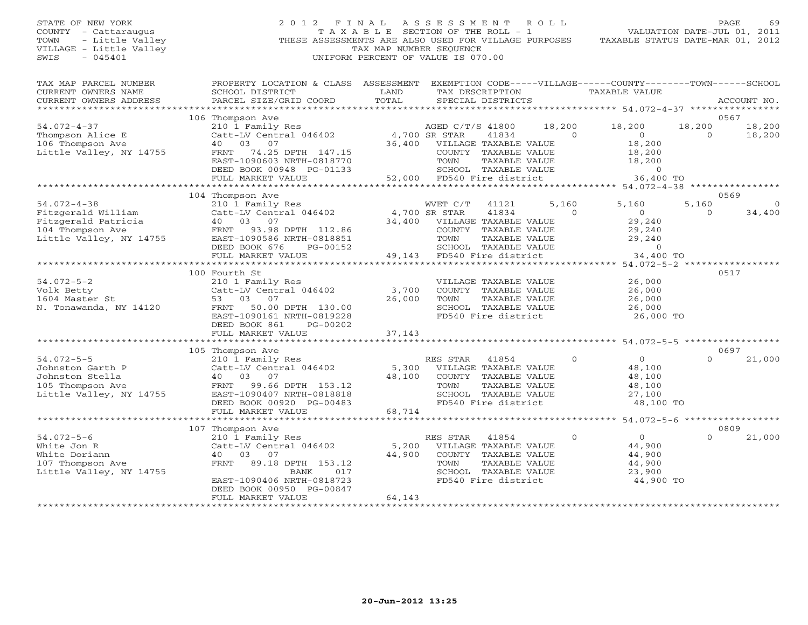# STATE OF NEW YORK 2 0 1 2 F I N A L A S S E S S M E N T R O L L PAGE 69 COUNTY - Cattaraugus T A X A B L E SECTION OF THE ROLL - 1 VALUATION DATE-JUL 01, 2011 TOWN - Little Valley **These ASSESSMENTS ARE ALSO USED FOR VILLAGE PURPOSES** TAXABLE STATUS DATE-MAR 01, 2012<br>VILLAGE - Little Valley **These State of Tax Map NUMBER SEQUENCE** VILLAGE - Little Valley and the Communist Communist Communist Communist Communist Communist Communist Communist Communist Communist Communist Communist Communist Communist Communist Communist Communist Communist Communist SWIS - 045401 UNIFORM PERCENT OF VALUE IS 070.00

| TAX MAP PARCEL NUMBER                           | PROPERTY LOCATION & CLASS ASSESSMENT |        | EXEMPTION CODE-----VILLAGE------COUNTY-------TOWN------SCHOOL |              |                      |          |             |
|-------------------------------------------------|--------------------------------------|--------|---------------------------------------------------------------|--------------|----------------------|----------|-------------|
| CURRENT OWNERS NAME                             | SCHOOL DISTRICT                      | LAND   | TAX DESCRIPTION                                               |              | <b>TAXABLE VALUE</b> |          |             |
| CURRENT OWNERS ADDRESS<br>********************* | PARCEL SIZE/GRID COORD               | TOTAL  | SPECIAL DISTRICTS                                             |              |                      |          | ACCOUNT NO. |
|                                                 |                                      |        |                                                               |              |                      |          |             |
|                                                 | 106 Thompson Ave                     |        |                                                               |              |                      |          | 0567        |
| $54.072 - 4 - 37$                               | 210 1 Family Res                     |        | AGED C/T/S 41800                                              | 18,200       | 18,200               | 18,200   | 18,200      |
| Thompson Alice E                                | Catt-LV Central 046402               |        | 4,700 SR STAR<br>41834                                        | $\Omega$     | $\Omega$             | $\Omega$ | 18,200      |
| 106 Thompson Ave                                | 03 07<br>40                          | 36,400 | VILLAGE TAXABLE VALUE                                         |              | 18,200               |          |             |
| Little Valley, NY 14755                         | 74.25 DPTH 147.15<br>FRNT            |        | COUNTY TAXABLE VALUE                                          |              | 18,200               |          |             |
|                                                 | EAST-1090603 NRTH-0818770            |        | TOWN<br>TAXABLE VALUE                                         |              | 18,200               |          |             |
|                                                 | DEED BOOK 00948 PG-01133             |        | SCHOOL TAXABLE VALUE                                          |              | $\Omega$             |          |             |
|                                                 | FULL MARKET VALUE                    | 52,000 | FD540 Fire district                                           |              | 36,400 TO            |          |             |
|                                                 | ******************************       |        |                                                               |              |                      |          |             |
|                                                 | 104 Thompson Ave                     |        |                                                               |              |                      |          | 0569        |
| $54.072 - 4 - 38$                               | 210 1 Family Res                     |        | WVET C/T<br>41121                                             | 5,160        | 5,160                | 5,160    | $\Omega$    |
| Fitzgerald William                              | Catt-LV Central 046402               |        | 41834<br>4,700 SR STAR                                        | $\Omega$     | $\circ$              | $\Omega$ | 34,400      |
| Fitzgerald Patricia                             | 40 03<br>07                          | 34,400 | VILLAGE TAXABLE VALUE                                         |              | 29,240               |          |             |
| 104 Thompson Ave                                | 93.98 DPTH 112.86<br>FRNT            |        | COUNTY TAXABLE VALUE                                          |              | 29,240               |          |             |
| Little Valley, NY 14755                         | EAST-1090586 NRTH-0818851            |        | TOWN<br>TAXABLE VALUE                                         |              | 29,240               |          |             |
|                                                 | DEED BOOK 676<br>PG-00152            |        | SCHOOL TAXABLE VALUE                                          |              | $\Omega$             |          |             |
|                                                 | FULL MARKET VALUE                    | 49,143 | FD540 Fire district                                           |              | 34,400 TO            |          |             |
|                                                 |                                      |        |                                                               |              |                      |          |             |
|                                                 | 100 Fourth St                        |        |                                                               |              |                      |          | 0517        |
| $54.072 - 5 - 2$                                | 210 1 Family Res                     |        | VILLAGE TAXABLE VALUE                                         |              | 26,000               |          |             |
| Volk Betty                                      | Catt-LV Central 046402               | 3,700  | COUNTY TAXABLE VALUE                                          |              | 26,000               |          |             |
| 1604 Master St                                  | 53 03<br>07                          | 26,000 | TOWN<br>TAXABLE VALUE                                         |              | 26,000               |          |             |
| N. Tonawanda, NY 14120                          | 50.00 DPTH 130.00<br>FRNT            |        | SCHOOL TAXABLE VALUE                                          |              | 26,000               |          |             |
|                                                 | EAST-1090161 NRTH-0819228            |        | FD540 Fire district                                           |              | 26,000 TO            |          |             |
|                                                 | DEED BOOK 861<br>$PG-00202$          |        |                                                               |              |                      |          |             |
|                                                 | FULL MARKET VALUE                    | 37,143 |                                                               |              |                      |          |             |
|                                                 |                                      |        |                                                               |              |                      |          |             |
|                                                 | 105 Thompson Ave                     |        |                                                               |              |                      |          | 0697        |
| $54.072 - 5 - 5$                                | 210 1 Family Res                     |        | RES STAR<br>41854                                             | $\Omega$     | $\overline{0}$       | $\Omega$ | 21,000      |
|                                                 |                                      |        |                                                               |              |                      |          |             |
| Johnston Garth P                                | Catt-LV Central 046402               | 5,300  | VILLAGE TAXABLE VALUE                                         |              | 48,100               |          |             |
| Johnston Stella                                 | 40 03 07                             | 48,100 | COUNTY TAXABLE VALUE                                          |              | 48,100               |          |             |
| 105 Thompson Ave                                | FRNT 99.66 DPTH 153.12               |        | TOWN<br>TAXABLE VALUE                                         |              | 48,100               |          |             |
| Little Valley, NY 14755                         | EAST-1090407 NRTH-0818818            |        | SCHOOL TAXABLE VALUE                                          |              | 27,100               |          |             |
|                                                 | DEED BOOK 00920 PG-00483             |        | FD540 Fire district                                           |              | 48,100 TO            |          |             |
|                                                 | FULL MARKET VALUE                    | 68,714 |                                                               |              |                      |          |             |
|                                                 |                                      |        |                                                               |              |                      |          |             |
|                                                 | 107 Thompson Ave                     |        |                                                               |              |                      |          | 0809        |
| $54.072 - 5 - 6$                                | 210 1 Family Res                     |        | RES STAR<br>41854                                             | $\mathbf{0}$ | $\Omega$             | $\Omega$ | 21,000      |
| White Jon R                                     | Catt-LV Central 046402               | 5,200  | VILLAGE TAXABLE VALUE                                         |              | 44,900               |          |             |
| White Doriann                                   | 40<br>- 03<br>07                     | 44,900 | COUNTY TAXABLE VALUE                                          |              | 44,900               |          |             |
| 107 Thompson Ave                                | FRNT<br>89.18 DPTH 153.12            |        | TOWN<br>TAXABLE VALUE                                         |              | 44,900               |          |             |
| Little Valley, NY 14755                         | 017<br>BANK                          |        | SCHOOL TAXABLE VALUE                                          |              | 23,900               |          |             |
|                                                 | EAST-1090406 NRTH-0818723            |        | FD540 Fire district                                           |              | 44,900 TO            |          |             |
|                                                 | DEED BOOK 00950 PG-00847             |        |                                                               |              |                      |          |             |
|                                                 | FULL MARKET VALUE                    | 64,143 |                                                               |              |                      |          |             |
|                                                 |                                      |        |                                                               |              |                      |          |             |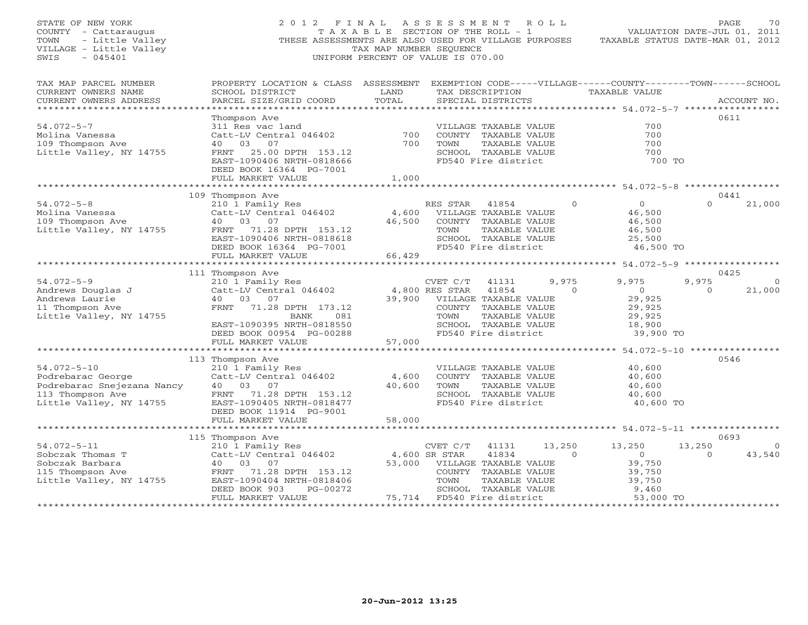| STATE OF NEW YORK<br>COUNTY - Cattaraugus<br>TOWN<br>- Little Valley<br>VILLAGE - Little Valley<br>SWIS<br>$-045401$ | 2012 FINAL<br>THESE ASSESSMENTS ARE ALSO USED FOR VILLAGE PURPOSES                                                                                                                                 | T A X A B L E SECTION OF THE ROLL - 1<br>TAX MAP NUMBER SEQUENCE<br>UNIFORM PERCENT OF VALUE IS 070.00 | A S S E S S M E N T                                 |                                                                                                                                 | R O L L           | TAXABLE STATUS DATE-MAR 01, 2012                                                                          | PAGE<br>VALUATION DATE-JUL 01, 2011 | 70                 |
|----------------------------------------------------------------------------------------------------------------------|----------------------------------------------------------------------------------------------------------------------------------------------------------------------------------------------------|--------------------------------------------------------------------------------------------------------|-----------------------------------------------------|---------------------------------------------------------------------------------------------------------------------------------|-------------------|-----------------------------------------------------------------------------------------------------------|-------------------------------------|--------------------|
| TAX MAP PARCEL NUMBER<br>CURRENT OWNERS NAME<br>CURRENT OWNERS ADDRESS<br>***********************                    | PROPERTY LOCATION & CLASS ASSESSMENT EXEMPTION CODE-----VILLAGE------COUNTY-------TOWN------SCHOOL<br>SCHOOL DISTRICT<br>PARCEL SIZE/GRID COORD                                                    | LAND<br>TOTAL                                                                                          |                                                     | TAX DESCRIPTION<br>SPECIAL DISTRICTS                                                                                            |                   | TAXABLE VALUE                                                                                             |                                     | ACCOUNT NO.        |
| $54.072 - 5 - 7$<br>Molina Vanessa<br>109 Thompson Ave<br>Little Valley, NY 14755                                    | Thompson Ave<br>311 Res vac land<br>Catt-LV Central 046402<br>40 03<br>07<br>FRNT<br>25.00 DPTH 153.12<br>EAST-1090406 NRTH-0818666<br>DEED BOOK 16364 PG-7001<br>FULL MARKET VALUE                | 700<br>700<br>1,000                                                                                    | TOWN                                                | VILLAGE TAXABLE VALUE<br>COUNTY TAXABLE VALUE<br>TAXABLE VALUE<br>SCHOOL TAXABLE VALUE<br>FD540 Fire district                   |                   | 700<br>700<br>700<br>700<br>700 TO                                                                        | 0611                                |                    |
|                                                                                                                      |                                                                                                                                                                                                    |                                                                                                        |                                                     |                                                                                                                                 |                   |                                                                                                           |                                     |                    |
| $54.072 - 5 - 8$<br>Molina Vanessa<br>109 Thompson Ave<br>Little Valley, NY 14755                                    | 109 Thompson Ave<br>210 1 Family Res<br>Catt-LV Central 046402<br>40 03 07<br>FRNT 71.28 DPTH 153.12<br>EAST-1090406 NRTH-0818618<br>DEED BOOK 16364 PG-7001                                       | 4,600<br>46,500                                                                                        | RES STAR<br>TOWN                                    | 41854<br>VILLAGE TAXABLE VALUE<br>COUNTY TAXABLE VALUE<br>TAXABLE VALUE<br>SCHOOL TAXABLE VALUE<br>FD540 Fire district          | $\Omega$          | $\overline{O}$<br>46,500<br>46,500<br>46,500<br>25,500<br>46,500 TO                                       | 0441<br>$\Omega$                    | 21,000             |
|                                                                                                                      | FULL MARKET VALUE                                                                                                                                                                                  | 66,429                                                                                                 |                                                     |                                                                                                                                 |                   |                                                                                                           |                                     |                    |
| $54.072 - 5 - 9$<br>Andrews Douglas J<br>Andrews Laurie<br>11 Thompson Ave<br>Little Valley, NY 14755                | 111 Thompson Ave<br>210 1 Family Res<br>Catt-LV Central 046402<br>40 03 07<br>FRNT 71.28 DPTH 173.12<br><b>BANK</b><br>081<br>EAST-1090395 NRTH-0818550<br>DEED BOOK 00954 PG-00288                | 39,900                                                                                                 | CVET C/T<br>4,800 RES STAR<br>TOWN                  | 41131<br>41854<br>VILLAGE TAXABLE VALUE<br>COUNTY TAXABLE VALUE<br>TAXABLE VALUE<br>SCHOOL TAXABLE VALUE<br>FD540 Fire district | 9,975<br>$\Omega$ | 9,975<br>$\overline{0}$<br>29,925<br>29,925<br>29,925<br>18,900<br>39,900 TO                              | 0425<br>9,975<br>$\Omega$           | $\Omega$<br>21,000 |
|                                                                                                                      | FULL MARKET VALUE                                                                                                                                                                                  | 57,000                                                                                                 |                                                     |                                                                                                                                 |                   |                                                                                                           |                                     |                    |
| $54.072 - 5 - 10$<br>Podrebarac George<br>Podrebarac Snejezana Nancy<br>113 Thompson Ave<br>Little Valley, NY 14755  | **********************************<br>113 Thompson Ave<br>210 1 Family Res<br>Catt-LV Central 046402<br>40 03 07<br>FRNT 71.28 DPTH 153.12<br>EAST-1090405 NRTH-0818477<br>DEED BOOK 11914 PG-9001 | ************************<br>4,600<br>40,600                                                            | TOWN                                                | VILLAGE TAXABLE VALUE<br>COUNTY TAXABLE VALUE<br>TAXABLE VALUE<br>SCHOOL TAXABLE VALUE<br>FD540 Fire district                   |                   | ********************** 54.072-5-10 *****************<br>40,600<br>40,600<br>40,600<br>40,600<br>40,600 TO | 0546                                |                    |
|                                                                                                                      | FULL MARKET VALUE                                                                                                                                                                                  | 58,000                                                                                                 |                                                     |                                                                                                                                 |                   |                                                                                                           |                                     |                    |
| $54.072 - 5 - 11$                                                                                                    | *************************<br>115 Thompson Ave<br>210 1 Family Res                                                                                                                                  |                                                                                                        | CVET C/T                                            | 41131                                                                                                                           | 13,250            | 13,250                                                                                                    | 0693<br>13,250                      | $\overline{0}$     |
| Sobczak Thomas T<br>Sobczak Barbara<br>115 Thompson Ave<br>Little Valley, NY 14755<br>********************           | Catt-LV Central 046402<br>40 03<br>07<br>FRNT 71.28 DPTH 153.12<br>EAST-1090404 NRTH-0818406<br>DEED BOOK 903<br>PG-00272<br>FULL MARKET VALUE                                                     | 53,000                                                                                                 | 4,600 SR STAR<br>TOWN<br>75,714 FD540 Fire district | 41834<br>VILLAGE TAXABLE VALUE<br>COUNTY TAXABLE VALUE<br>TAXABLE VALUE<br>SCHOOL TAXABLE VALUE                                 | $\Omega$          | $\overline{O}$<br>39,750<br>39,750<br>39,750<br>9,460<br>53,000 TO                                        | $\Omega$                            | 43,540             |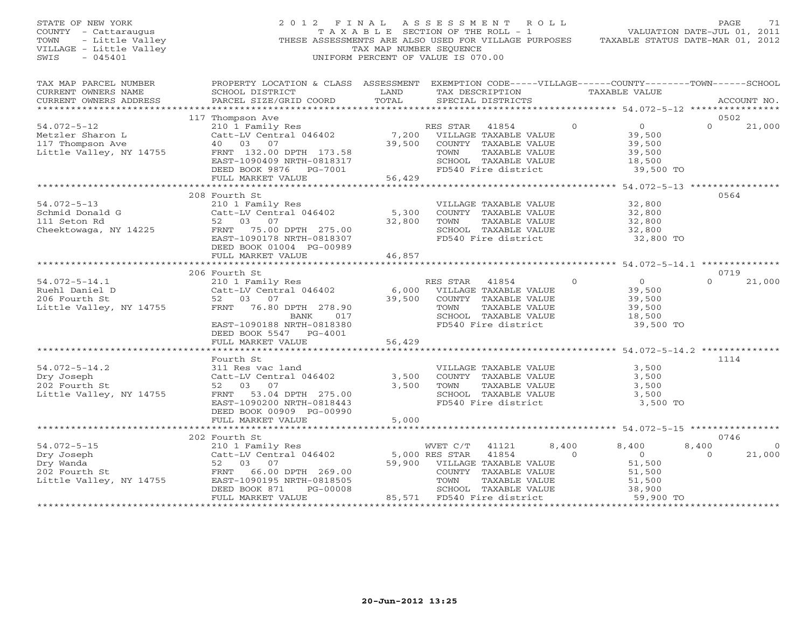| STATE OF NEW YORK<br>COUNTY - Cattaraugus<br>- Little Valley<br>TOWN<br>VILLAGE - Little Valley<br>$-045401$<br>SWIS |                                                                                                                                                 | TAX MAP NUMBER SEQUENCE | 2012 FINAL ASSESSMENT ROLL<br>T A X A B L E SECTION OF THE ROLL - 1<br>THESE ASSESSMENTS ARE ALSO USED FOR VILLAGE PURPOSES<br>UNIFORM PERCENT OF VALUE IS 070.00 |                   |                          | PAGE<br>71<br>VALUATION DATE-JUL 01, 2011<br>TAXABLE STATUS DATE-MAR 01, 2012 |
|----------------------------------------------------------------------------------------------------------------------|-------------------------------------------------------------------------------------------------------------------------------------------------|-------------------------|-------------------------------------------------------------------------------------------------------------------------------------------------------------------|-------------------|--------------------------|-------------------------------------------------------------------------------|
| TAX MAP PARCEL NUMBER<br>CURRENT OWNERS NAME<br>CURRENT OWNERS ADDRESS                                               | PROPERTY LOCATION & CLASS ASSESSMENT EXEMPTION CODE-----VILLAGE------COUNTY-------TOWN------SCHOOL<br>SCHOOL DISTRICT<br>PARCEL SIZE/GRID COORD | LAND<br>TOTAL           | TAX DESCRIPTION TAXABLE VALUE<br>SPECIAL DISTRICTS                                                                                                                |                   |                          | ACCOUNT NO.                                                                   |
|                                                                                                                      | 117 Thompson Ave                                                                                                                                |                         |                                                                                                                                                                   |                   |                          | 0502                                                                          |
| $54.072 - 5 - 12$                                                                                                    |                                                                                                                                                 |                         | RES STAR  41854                                                                                                                                                   | $\Omega$          | $\overline{0}$           | $\Omega$<br>21,000                                                            |
| Metzler Sharon L                                                                                                     | - A Family Res<br>Catt-LV Central 046402<br>40 03 07<br>FRNT 132.00 -                                                                           | 7,200                   | VILLAGE TAXABLE VALUE                                                                                                                                             |                   | 39,500                   |                                                                               |
| 117 Thompson Ave                                                                                                     |                                                                                                                                                 |                         | 39,500 COUNTY TAXABLE VALUE                                                                                                                                       |                   | 39,500                   |                                                                               |
| Little Valley, NY 14755                                                                                              | FRNT 132.00 DPTH 173.58                                                                                                                         |                         | TOWN<br>TAXABLE VALUE                                                                                                                                             |                   | 39,500                   |                                                                               |
|                                                                                                                      | EAST-1090409 NRTH-0818317                                                                                                                       |                         | SCHOOL TAXABLE VALUE                                                                                                                                              |                   | 18,500                   |                                                                               |
|                                                                                                                      | DEED BOOK 9876 PG-7001                                                                                                                          |                         | FD540 Fire district                                                                                                                                               |                   | 39,500 TO                |                                                                               |
|                                                                                                                      | FULL MARKET VALUE                                                                                                                               | 56,429                  |                                                                                                                                                                   |                   |                          |                                                                               |
|                                                                                                                      | 208 Fourth St                                                                                                                                   |                         |                                                                                                                                                                   |                   |                          | 0564                                                                          |
| $54.072 - 5 - 13$                                                                                                    | 210 1 Family Res                                                                                                                                |                         | VILLAGE TAXABLE VALUE                                                                                                                                             |                   | 32,800                   |                                                                               |
| Schmid Donald G                                                                                                      | Catt-LV Central 046402                                                                                                                          | 5,300                   | COUNTY TAXABLE VALUE                                                                                                                                              |                   | 32,800                   |                                                                               |
| 111 Seton Rd                                                                                                         | 52 03 07                                                                                                                                        | 32,800                  | TAXABLE VALUE<br>TOWN                                                                                                                                             |                   | 32,800                   |                                                                               |
| Cheektowaga, NY 14225                                                                                                | FRNT 75.00 DPTH 275.00                                                                                                                          |                         | SCHOOL TAXABLE VALUE                                                                                                                                              |                   | 32,800                   |                                                                               |
|                                                                                                                      | EAST-1090178 NRTH-0818307                                                                                                                       |                         | FD540 Fire district                                                                                                                                               |                   | 32,800 TO                |                                                                               |
|                                                                                                                      | DEED BOOK 01004 PG-00989                                                                                                                        |                         |                                                                                                                                                                   |                   |                          |                                                                               |
|                                                                                                                      | FULL MARKET VALUE                                                                                                                               | 46,857                  |                                                                                                                                                                   |                   |                          |                                                                               |
|                                                                                                                      |                                                                                                                                                 |                         |                                                                                                                                                                   |                   |                          |                                                                               |
|                                                                                                                      | 206 Fourth St<br>210 1 Family Res                                                                                                               |                         | 41854                                                                                                                                                             | $\Omega$          | $\overline{0}$           | 0719<br>$\Omega$                                                              |
| $54.072 - 5 - 14.1$<br>Ruehl Daniel D                                                                                | Catt-LV Central 046402                                                                                                                          | 6,000                   | RES STAR<br>VILLAGE TAXABLE VALUE                                                                                                                                 |                   | 39,500                   | 21,000                                                                        |
| 206 Fourth St                                                                                                        | 52 03 07                                                                                                                                        | 39,500                  | COUNTY TAXABLE VALUE                                                                                                                                              |                   | 39,500                   |                                                                               |
| Little Valley, NY 14755                                                                                              | FRNT 76.80 DPTH 278.90                                                                                                                          |                         | TOWN<br>TAXABLE VALUE                                                                                                                                             |                   | 39,500                   |                                                                               |
|                                                                                                                      | BANK 017                                                                                                                                        |                         | SCHOOL TAXABLE VALUE                                                                                                                                              |                   | 18,500                   |                                                                               |
|                                                                                                                      | EAST-1090188 NRTH-0818380                                                                                                                       |                         | FD540 Fire district                                                                                                                                               |                   | 39,500 TO                |                                                                               |
|                                                                                                                      | DEED BOOK 5547 PG-4001                                                                                                                          |                         |                                                                                                                                                                   |                   |                          |                                                                               |
|                                                                                                                      | FULL MARKET VALUE                                                                                                                               | 56,429                  |                                                                                                                                                                   |                   |                          |                                                                               |
|                                                                                                                      |                                                                                                                                                 |                         |                                                                                                                                                                   |                   |                          |                                                                               |
|                                                                                                                      | Fourth St                                                                                                                                       |                         |                                                                                                                                                                   |                   |                          | 1114                                                                          |
| $54.072 - 5 - 14.2$<br>Dry Joseph                                                                                    | 311 Res vac land<br>Catt-LV Central 046402                                                                                                      | 3,500                   | VILLAGE TAXABLE VALUE<br>COUNTY TAXABLE VALUE                                                                                                                     |                   | 3,500<br>3,500           |                                                                               |
| 202 Fourth St                                                                                                        | 52 03 07                                                                                                                                        | 3,500                   | TAXABLE VALUE<br>TOWN                                                                                                                                             |                   | 3,500                    |                                                                               |
| Little Valley, NY 14755                                                                                              | FRNT 53.04 DPTH 275.00                                                                                                                          |                         | SCHOOL TAXABLE VALUE                                                                                                                                              |                   | 3,500                    |                                                                               |
|                                                                                                                      | EAST-1090200 NRTH-0818443                                                                                                                       |                         | FD540 Fire district                                                                                                                                               |                   | 3,500 TO                 |                                                                               |
|                                                                                                                      | DEED BOOK 00909 PG-00990                                                                                                                        |                         |                                                                                                                                                                   |                   |                          |                                                                               |
|                                                                                                                      | FULL MARKET VALUE                                                                                                                               | 5,000                   |                                                                                                                                                                   |                   |                          |                                                                               |
|                                                                                                                      |                                                                                                                                                 |                         |                                                                                                                                                                   |                   |                          |                                                                               |
|                                                                                                                      | 202 Fourth St                                                                                                                                   |                         |                                                                                                                                                                   |                   |                          | 0746                                                                          |
| $54.072 - 5 - 15$                                                                                                    | 210 1 Family Res<br>Catt-LV Central 046402                                                                                                      |                         | WVET C/T<br>41121                                                                                                                                                 | 8,400<br>$\Omega$ | 8,400                    | 8,400<br>$\overline{0}$<br>$\Omega$                                           |
| Dry Joseph<br>Dry Wanda                                                                                              | 52 03 07                                                                                                                                        |                         | 5,000 RES STAR<br>41854<br>59,900 VILLAGE TAXABLE VALUE                                                                                                           |                   | $\overline{0}$<br>51,500 | 21,000                                                                        |
| 202 Fourth St                                                                                                        | FRNT 66.00 DPTH 269.00                                                                                                                          |                         | COUNTY TAXABLE VALUE                                                                                                                                              |                   | 51,500                   |                                                                               |
| Little Valley, NY 14755                                                                                              | EAST-1090195 NRTH-0818505                                                                                                                       |                         | TOWN<br>TAXABLE VALUE                                                                                                                                             |                   | 51,500                   |                                                                               |
|                                                                                                                      | DEED BOOK 871<br>PG-00008                                                                                                                       |                         | SCHOOL TAXABLE VALUE                                                                                                                                              |                   | 38,900                   |                                                                               |
|                                                                                                                      | FULL MARKET VALUE                                                                                                                               |                         | 85,571 FD540 Fire district                                                                                                                                        |                   | 59,900 TO                |                                                                               |
|                                                                                                                      |                                                                                                                                                 |                         |                                                                                                                                                                   |                   |                          |                                                                               |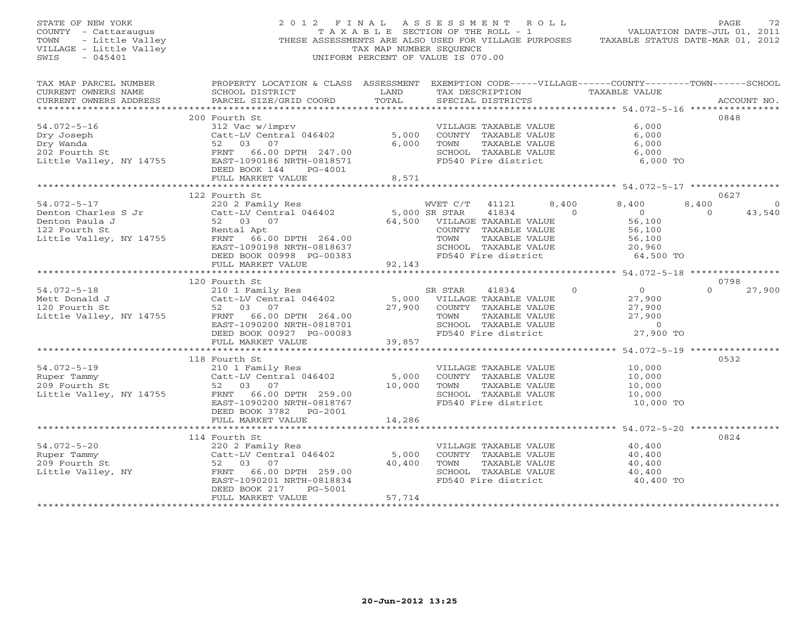| STATE OF NEW YORK<br>VF NEW YORK<br>T - Cattaraugus<br>- Little Valley<br>3E - Little Valley<br>045401<br>COUNTY - Cattaraugus<br>TOWN<br>VILLAGE - Little Valley<br>SWIS<br>$-045401$ |                                                                                                                                                                                                                                                                           | TAX MAP NUMBER SEQUENCE                           | 2012 FINAL ASSESSMENT ROLL<br>T A X A B L E SECTION OF THE ROLL - 1<br>THESE ASSESSMENTS ARE ALSO USED FOR VILLAGE PURPOSES TAXABLE STATUS DATE-MAR 01, 2012<br>UNIFORM PERCENT OF VALUE IS 070.00 |                                                                                             | PAGE<br>VALUATION DATE-JUL 01, 2011     | 72          |
|----------------------------------------------------------------------------------------------------------------------------------------------------------------------------------------|---------------------------------------------------------------------------------------------------------------------------------------------------------------------------------------------------------------------------------------------------------------------------|---------------------------------------------------|----------------------------------------------------------------------------------------------------------------------------------------------------------------------------------------------------|---------------------------------------------------------------------------------------------|-----------------------------------------|-------------|
| TAX MAP PARCEL NUMBER<br>CURRENT OWNERS NAME<br>CURRENT OWNERS ADDRESS<br>***********************                                                                                      | PROPERTY LOCATION & CLASS ASSESSMENT EXEMPTION CODE-----VILLAGE------COUNTY-------TOWN------SCHOOL<br>SCHOOL DISTRICT<br><b>EXAMPLE SERVICE SERVICE SERVICE SERVICE SERVICE SERVICE SERVICE SERVICE SERVICE SERVICE SERVICE SERVICE SERVICE</b><br>PARCEL SIZE/GRID COORD | TOTAL                                             | TAX DESCRIPTION TAXABLE VALUE<br>SPECIAL DISTRICTS                                                                                                                                                 |                                                                                             |                                         | ACCOUNT NO. |
| $54.072 - 5 - 16$<br>Dry Joseph<br>Dry Wanda<br>202 Fourth St                                                                                                                          | 200 Fourth St<br>312 Vac w/imprv<br>Catt-LV Central 046402<br>FRNT 66.00 DPTH 247.00<br>DEED BOOK 144 PG-4001<br>FULL MARKET VALUE                                                                                                                                        | 5,000<br>6,000<br>8,571                           | VILLAGE TAXABLE VALUE<br>COUNTY TAXABLE VALUE<br>TOWN<br>TAXABLE VALUE<br>SCHOOL TAXABLE VALUE<br>FD540 Fire district                                                                              | 6,000<br>6,000<br>6,000<br>6,000                                                            | 0848<br>6,000 TO                        |             |
|                                                                                                                                                                                        |                                                                                                                                                                                                                                                                           |                                                   |                                                                                                                                                                                                    |                                                                                             |                                         |             |
| $54.072 - 5 - 17$<br>Denton Charles S Jr<br>Denton Paula J<br>122 Fourth St<br>Little Valley, NY 14755                                                                                 | 122 Fourth St<br>220 2 Family Res<br>Catt-LV Central 046402<br>52 03 07<br>Rental Apt<br>Rental Apt<br>FRNT 66.00 DPTH 264.00<br>EAST-1090198 NRTH-0818637<br>DEED BOOK 00998 PG-00383                                                                                    | 5,000 SR STAR                                     | WVET C/T<br>41121<br>41834<br>64,500 VILLAGE TAXABLE VALUE<br>COUNTY TAXABLE VALUE<br>TOWN<br>TAXABLE VALUE<br>SCHOOL TAXABLE VALUE<br>FD540 Fire district                                         | 8,400<br>8,400<br>$\Omega$<br>$\overline{0}$<br>56,100<br>56,100<br>56,100<br>20,960        | 0627<br>8,400<br>$\bigcap$<br>64,500 TO | 0<br>43,540 |
|                                                                                                                                                                                        | FULL MARKET VALUE                                                                                                                                                                                                                                                         | 92,143<br>*********************                   |                                                                                                                                                                                                    | ********** 54.072-5-18 *****************                                                    |                                         |             |
|                                                                                                                                                                                        | 120 Fourth St                                                                                                                                                                                                                                                             |                                                   |                                                                                                                                                                                                    |                                                                                             | 0798                                    |             |
| $54.072 - 5 - 18$<br>Mett Donald J                                                                                                                                                     | 210 1 Family Res<br>Catt-LV Central 046402<br>52 03 07<br>FRNT 66.00 DPTH 264.00<br>EAST-1090200 NRTH-0818701<br>DEED BOOK 00927 PG-00083                                                                                                                                 | 27,900                                            | SR STAR<br>41834<br>5,000 VILLAGE TAXABLE VALUE<br>COUNTY TAXABLE VALUE<br>TOWN<br>TAXABLE VALUE<br>SCHOOL TAXABLE VALUE<br>FD540 Fire district                                                    | $\overline{0}$<br>$\Omega$<br>27,900<br>27,900<br>27,900<br>$\overline{0}$                  | $\cap$<br>27,900 TO                     | 27,900      |
|                                                                                                                                                                                        | FULL MARKET VALUE                                                                                                                                                                                                                                                         | 39,857                                            |                                                                                                                                                                                                    |                                                                                             |                                         |             |
| $54.072 - 5 - 19$<br>Ruper Tammy<br>209 Fourth St<br>Little Valley, NY 14755                                                                                                           | 118 Fourth St<br>210 1 Family Res<br>Catt-LV Central 046402<br>52 03 07<br>FRNT 66.00 DPTH 259.00<br>EAST-1090200 NRTH-0818767<br>DEED BOOK 3782 PG-2001                                                                                                                  | 5,000<br>10,000                                   | VILLAGE TAXABLE VALUE<br>COUNTY TAXABLE VALUE<br>TAXABLE VALUE<br>TOWN<br>SCHOOL TAXABLE VALUE<br>FD540 Fire district                                                                              | 10,000<br>10,000<br>10,000<br>10,000                                                        | 0532<br>10,000 TO                       |             |
|                                                                                                                                                                                        | FULL MARKET VALUE                                                                                                                                                                                                                                                         | 14,286                                            |                                                                                                                                                                                                    |                                                                                             |                                         |             |
| $54.072 - 5 - 20$<br>209 Fourth St<br>209 Fourth St 52 03 07<br>Little Valley, NY FRNT 66 00                                                                                           | 114 Fourth St<br>220 2 Family Res<br>Catt-LV Central 046402<br>FRNT 66.00 DPTH 259.00<br>EAST-1090201 NRTH-0818834                                                                                                                                                        | ******************************<br>5,000<br>40,400 | VILLAGE TAXABLE VALUE<br>COUNTY TAXABLE VALUE<br>TAXABLE VALUE<br>TOWN<br>SCHOOL TAXABLE VALUE<br>FD540 Fire district                                                                              | ********************** 54.072-5-20 ****************<br>40,400<br>40,400<br>40,400<br>40,400 | 0824<br>40,400 TO                       |             |
|                                                                                                                                                                                        | DEED BOOK 217<br>PG-5001<br>FULL MARKET VALUE                                                                                                                                                                                                                             | 57,714                                            |                                                                                                                                                                                                    |                                                                                             |                                         |             |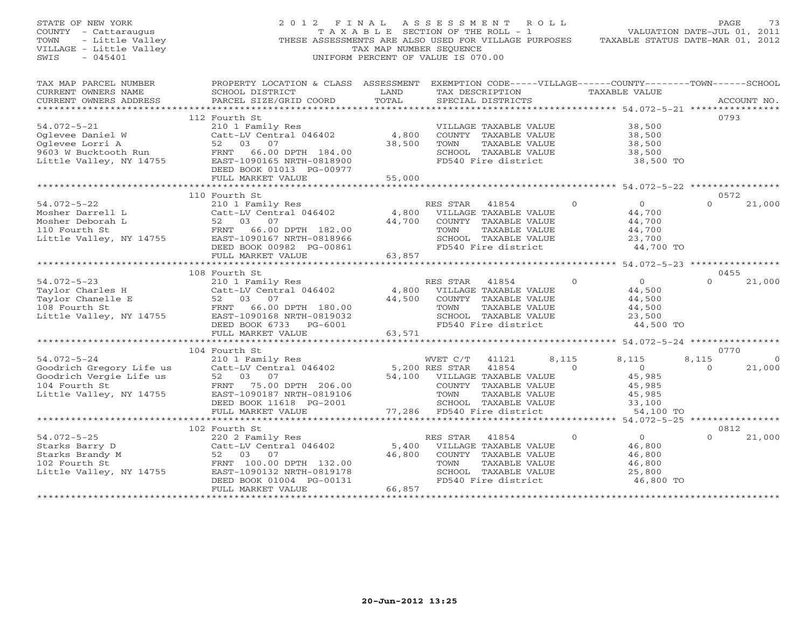| STATE OF NEW YORK<br>COUNTY - Cattaraugus<br>- Little Valley<br>TOWN<br>VILLAGE - Little Valley<br>$-045401$<br>SWIS | 2012 FINAL ASSESSMENT ROLL<br>THESE ASSESSMENTS ARE ALSO USED FOR VILLAGE PURPOSES                                                                                                                                                                                                                                                  | TAX MAP NUMBER SEOUENCE<br>UNIFORM PERCENT OF VALUE IS 070.00 |                                | T A X A B L E SECTION OF THE ROLL - 1                                                                                        |                | VALUATION DATE-JUL 01, 2011<br>TAXABLE STATUS DATE-MAR 01, 2012     | PAGE              | 73             |
|----------------------------------------------------------------------------------------------------------------------|-------------------------------------------------------------------------------------------------------------------------------------------------------------------------------------------------------------------------------------------------------------------------------------------------------------------------------------|---------------------------------------------------------------|--------------------------------|------------------------------------------------------------------------------------------------------------------------------|----------------|---------------------------------------------------------------------|-------------------|----------------|
| TAX MAP PARCEL NUMBER<br>CURRENT OWNERS NAME<br>CURRENT OWNERS ADDRESS                                               | PROPERTY LOCATION & CLASS ASSESSMENT EXEMPTION CODE-----VILLAGE------COUNTY-------TOWN------SCHOOL<br>SCHOOL DISTRICT<br>PARCEL SIZE/GRID COORD                                                                                                                                                                                     | LAND<br>TOTAL                                                 |                                | SPECIAL DISTRICTS                                                                                                            |                | TAX DESCRIPTION TAXABLE VALUE                                       |                   | ACCOUNT NO.    |
| 54.072-5-21<br>Oglevee Daniel W<br>Tarri A                                                                           | 112 Fourth St<br>210 1 Family Res<br>Catt-LV Central 046402<br>Oglevee Daniel W Catt-LV Central 046402<br>Oglevee Lorri A 52 03 07<br>9603 W Bucktooth Run FRNT 66.00 DPTH 184.00<br>Little Valley, NY 14755 EAST-1090165 NRTH-0818900<br>DEED BOOK 01013 PG-00977<br>FULL MARKET VALUE                                             | 4,800<br>38,500<br>55,000                                     | TOWN                           | VILLAGE TAXABLE VALUE<br>COUNTY TAXABLE VALUE<br>TAXABLE VALUE<br>SCHOOL TAXABLE VALUE<br>FD540 Fire district                |                | 38,500<br>38,500<br>38,500<br>38,500<br>38,500 TO                   | 0793              |                |
|                                                                                                                      |                                                                                                                                                                                                                                                                                                                                     |                                                               |                                |                                                                                                                              |                |                                                                     |                   |                |
| $54.072 - 5 - 22$                                                                                                    | 110 Fourth St<br>210 1 Family Res<br>Catt-LV Central 046402<br>DEED BOOK 00982 PG-00861                                                                                                                                                                                                                                             |                                                               | RES STAR 41854<br>TOWN         | 4,800 VILLAGE TAXABLE VALUE<br>44,700 COUNTY TAXABLE VALUE<br>TAXABLE VALUE<br>SCHOOL TAXABLE VALUE<br>FD540 Fire district   | $\Omega$       | $\overline{0}$<br>44,700<br>44,700<br>44,700<br>23,700<br>44,700 TO | 0.572<br>$\Omega$ | 21,000         |
|                                                                                                                      | FULL MARKET VALUE                                                                                                                                                                                                                                                                                                                   | 63,857                                                        |                                |                                                                                                                              |                |                                                                     |                   |                |
|                                                                                                                      | 108 Fourth St                                                                                                                                                                                                                                                                                                                       |                                                               |                                |                                                                                                                              |                |                                                                     | 0455              |                |
| $54.072 - 5 - 23$<br>Little Valley, NY 14755                                                                         | 210 1 Family Res<br>Catt-LV Central 046402<br>74.072-3-23<br>Taylor Charles H Catt-LV Central 046402<br>Taylor Chanelle E 52 03 07<br>108 Fourth St FRNT 66.00 DPTH 180.00<br>EAST-1090168 NRTH-0819032<br>DEED BOOK 6733 PG-6001                                                                                                   |                                                               | RES STAR 41854<br>TOWN         | 4,800 VILLAGE TAXABLE VALUE<br>44,500 COUNTY TAXABLE VALUE<br>TAXABLE VALUE<br>SCHOOL TAXABLE VALUE<br>FD540 Fire district   | $\circ$        | $\overline{O}$<br>44,500<br>44,500<br>44,500<br>23,500<br>44,500 TO | $\Omega$          | 21,000         |
|                                                                                                                      | FULL MARKET VALUE                                                                                                                                                                                                                                                                                                                   | 63,571                                                        |                                |                                                                                                                              |                |                                                                     |                   |                |
| $54.072 - 5 - 24$                                                                                                    | 104 Fourth St                                                                                                                                                                                                                                                                                                                       |                                                               | WVET C/T                       | 41121                                                                                                                        | 8,115          | 8,115                                                               | 0770<br>8,115     | $\overline{0}$ |
| Goodrich Gregory Life us<br>Goodrich Vergie Life us<br>104 Fourth St<br>Little Valley, NY 14755                      | 210 1 Family Res<br>Catt-LV Central 046402<br>52 03 07<br>FRNT 75.00 DPTH 206.00<br>EAST-1090187 NRTH-0819106<br>DEED BOOK 11618 PG-2001<br>FULL MARKET VALUE                                                                                                                                                                       |                                                               | $5,200$ RES STAR 41854<br>TOWN | 54,100 VILLAGE TAXABLE VALUE<br>COUNTY TAXABLE VALUE<br>TAXABLE VALUE<br>SCHOOL TAXABLE VALUE<br>77,286 FD540 Fire district  | $\overline{0}$ | $\overline{0}$<br>45,985<br>45,985<br>45,985<br>33,100<br>54,100 TO | $\overline{0}$    | 21,000         |
|                                                                                                                      |                                                                                                                                                                                                                                                                                                                                     |                                                               |                                |                                                                                                                              |                |                                                                     |                   |                |
|                                                                                                                      | 102 Fourth St<br>.<br>220 2 Family Res<br>Catt-LV Central 046402<br>54.072-5-25<br>Starks Barry D<br>Starks Brandy M<br>102 Fourth St<br>102 Fourth St<br>52 03 07<br>102 Fourth St<br>52 03 07<br>FRNT 100.00 DPTH 132.00<br>Little Valley, NY 14755<br>EAST-1090132 NRTH-0819178<br>DEED BOOK 01004 PG-00131<br>FULL MARKET VALUE | 46,800<br>66,857                                              | RES STAR<br>TOWN               | 41854<br>5,400 VILLAGE TAXABLE VALUE<br>COUNTY TAXABLE VALUE<br>TAXABLE VALUE<br>SCHOOL TAXABLE VALUE<br>FD540 Fire district | $\Omega$       | $\overline{O}$<br>46,800<br>46,800<br>46,800<br>25,800<br>46,800 TO | 0812<br>$\Omega$  | 21,000         |
| ***********************                                                                                              | ****************************                                                                                                                                                                                                                                                                                                        | *******************                                           |                                |                                                                                                                              |                |                                                                     |                   |                |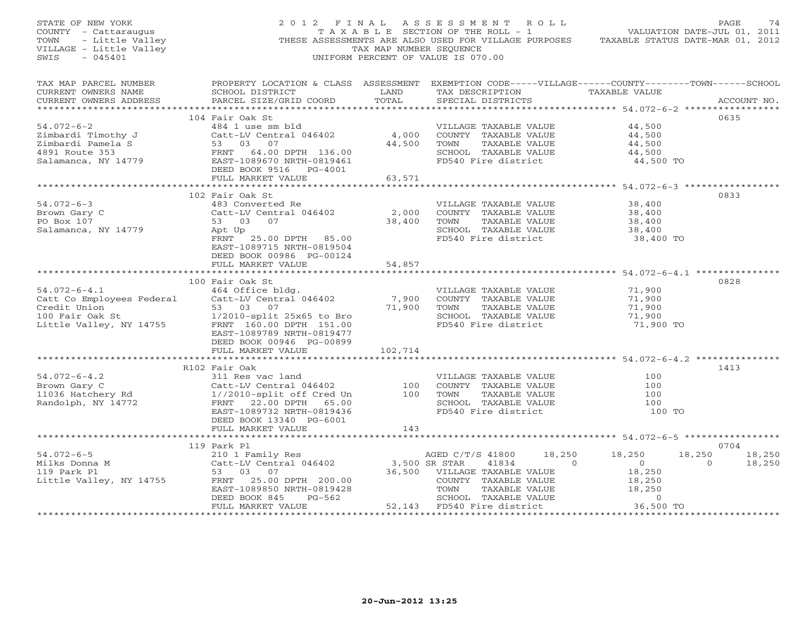| STATE OF NEW YORK<br>COUNTY - Cattaraugus<br>Y – Cattaraugus<br>- Little Valley<br>3E – Little Valley<br>TOWN<br>VILLAGE - Little Valley<br>SWIS<br>$-045401$ |                                                                                                                                                                                                                       | TAX MAP NUMBER SEQUENCE   | 2012 FINAL ASSESSMENT ROLL<br>TAXABLE SECTION OF THE ROLL - 1<br>THESE ASSESSMENTS ARE ALSO USED FOR VILLAGE PURPOSES TAXABLE STATUS DATE-MAR 01, 2012<br>UNIFORM PERCENT OF VALUE IS 070.00   | VALUATION DATE-JUL 01, 2011                                                  | PAGE<br>74                             |
|---------------------------------------------------------------------------------------------------------------------------------------------------------------|-----------------------------------------------------------------------------------------------------------------------------------------------------------------------------------------------------------------------|---------------------------|------------------------------------------------------------------------------------------------------------------------------------------------------------------------------------------------|------------------------------------------------------------------------------|----------------------------------------|
| TAX MAP PARCEL NUMBER<br>CURRENT OWNERS NAME<br>CURRENT OWNERS ADDRESS                                                                                        | SCHOOL DISTRICT<br>PARCEL SIZE/GRID COORD                                                                                                                                                                             | LAND<br>TOTAL             | PROPERTY LOCATION & CLASS ASSESSMENT EXEMPTION CODE-----VILLAGE------COUNTY-------TOWN------SCHOOL<br>TAX DESCRIPTION TAXABLE VALUE<br>SPECIAL DISTRICTS                                       |                                                                              | ACCOUNT NO.                            |
|                                                                                                                                                               | 104 Fair Oak St                                                                                                                                                                                                       |                           |                                                                                                                                                                                                |                                                                              | 0635                                   |
|                                                                                                                                                               | $Cat-LV$ Central 046402<br>21 mbardi Pamela S<br>4891 Route 353<br>Salamanca, NY 14779<br>2007 EAST-1089670 NRTH-0810107                                                                                              | 44,500                    | VILLAGE TAXABLE VALUE<br>4,000 COUNTY TAXABLE VALUE<br>TAXABLE VALUE<br>TOWN<br>SCHOOL TAXABLE VALUE<br>FD540 Fire district                                                                    | 44,500<br>44,500<br>44,500<br>44,500<br>44,500 TO                            |                                        |
|                                                                                                                                                               | FULL MARKET VALUE                                                                                                                                                                                                     | 63,571                    |                                                                                                                                                                                                |                                                                              |                                        |
| $54.072 - 6 - 3$<br>Brown Gary C<br>PO Box 107<br>Salamanca, NY 14779                                                                                         | 102 Fair Oak St<br>483 Converted Re<br>Catt-LV Central 046402<br>53 03 07<br>https:<br>Apt Up<br>FRNT 25.00 DPTH 85.00<br>EAST-1089715 NRTH-0819504<br>DEED BOOK 00986 PG-00124<br>FULL MARKET VALUE                  | 2,000<br>38,400<br>54,857 | VILLAGE TAXABLE VALUE<br>COUNTY TAXABLE VALUE<br>TOWN<br>TAXABLE VALUE<br>SCHOOL TAXABLE VALUE<br>FD540 Fire district                                                                          | 38,400<br>38,400<br>38,400<br>38,400<br>38,400 TO                            | 0833                                   |
|                                                                                                                                                               |                                                                                                                                                                                                                       |                           |                                                                                                                                                                                                |                                                                              |                                        |
| $54.072 - 6 - 4.1$<br>Catt Co Employees Federal<br>Credit Union<br>100 Fair Oak St<br>Little Valley, NY 14755                                                 | 100 Fair Oak St<br>1464 Office bldg.<br>Catt-LV Central 046402<br>53 03 07<br>$1/2010$ -split $25x65$ to Bro<br>FRNT 160.00 DPTH 151.00<br>EAST-1089789 NRTH-0819477<br>DEED BOOK 00946 PG-00899<br>FULL MARKET VALUE | 7,900<br>102,714          | VILLAGE TAXABLE VALUE<br>COUNTY TAXABLE VALUE<br>71,900 TOWN<br>TAXABLE VALUE<br>SCHOOL TAXABLE VALUE<br>FD540 Fire district                                                                   | 71,900<br>71,900<br>71,900<br>71,900<br>71,900 TO                            | 0828                                   |
|                                                                                                                                                               |                                                                                                                                                                                                                       |                           |                                                                                                                                                                                                |                                                                              |                                        |
| $54.072 - 6 - 4.2$<br>Brown Gary C<br>Brown Gary C<br>11036 Hatchery Rd<br>Randolph, NY 14772                                                                 | R102 Fair Oak<br>311 Res vac land<br>Catt-LV Central 046402<br>1//2010-split off Cred Un<br>FRNT 22.00 DPTH 65.00<br>EAST-1089732 NRTH-0819436<br>DEED BOOK 13340 PG-6001                                             | 100<br>100                | VILLAGE TAXABLE VALUE<br>COUNTY TAXABLE VALUE<br>TAXABLE VALUE<br>TOWN<br>SCHOOL TAXABLE VALUE<br>FD540 Fire district                                                                          | 100<br>100<br>100<br>100<br>100 TO                                           | 1413                                   |
|                                                                                                                                                               | FULL MARKET VALUE                                                                                                                                                                                                     | 143                       |                                                                                                                                                                                                |                                                                              |                                        |
|                                                                                                                                                               |                                                                                                                                                                                                                       | *************             |                                                                                                                                                                                                | ********************* 54.072-6-5 ******************                          |                                        |
| $54.072 - 6 - 5$<br>Milks Donna M<br>119 Park Pl<br>Little Valley, NY 14755                                                                                   | 119 Park Pl<br>210 1 Family Res<br>Catt-LV Central 046402<br>53 03 07<br>FRNT 25.00 DPTH 200.00<br>EAST-1089850 NRTH-0819428<br>PG-562<br>DEED BOOK 845                                                               | $3,500$ SR STAR           | 18,250<br>AGED C/T/S 41800<br>41834<br>$\overline{0}$<br>36,500 VILLAGE TAXABLE VALUE<br>COUNTY TAXABLE VALUE<br>TOWN<br>TAXABLE VALUE<br>SCHOOL TAXABLE VALUE<br>$52,143$ FD540 Fire district | 18,250<br>18,250<br>$\overline{0}$<br>18,250<br>18,250<br>18,250<br>$\sim$ 0 | 0704<br>18,250<br>18,250<br>$\bigcirc$ |
|                                                                                                                                                               | FULL MARKET VALUE                                                                                                                                                                                                     |                           |                                                                                                                                                                                                | 36,500 TO                                                                    |                                        |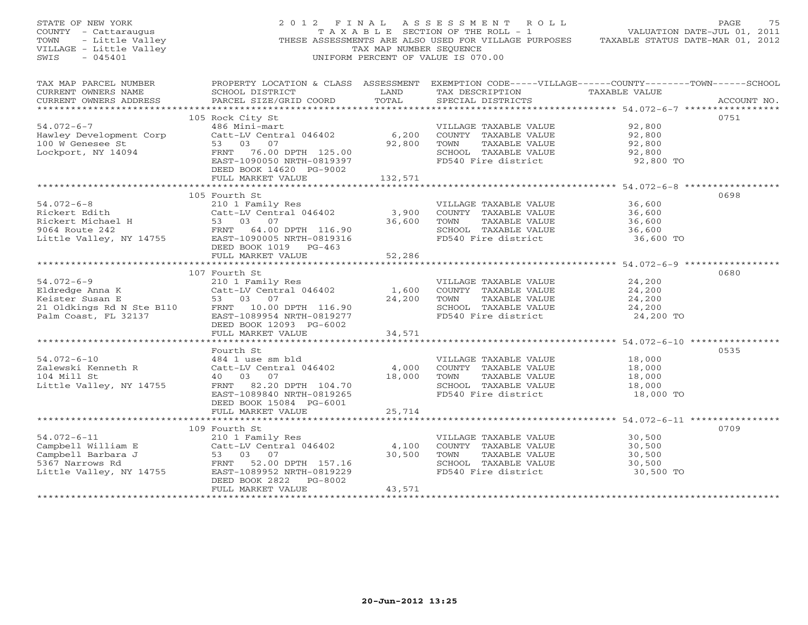| OF NEW YORK<br>Y - Cattaraugus<br>- Little Valley<br>GE - Little Valley<br>STATE OF NEW YORK<br>COUNTY - Cattaraugus<br>TOWN<br>VILLAGE - Little Valley<br>$-045401$<br>SWIS |                                                                                                                                                                                                                                                                                                                                                      | TAX MAP NUMBER SEQUENCE                                                                                                         | 2012 FINAL ASSESSMENT ROLL<br>T A X A B L E SECTION OF THE ROLL - 1<br>THESE ASSESSMENTS ARE ALSO USED FOR VILLAGE PURPOSES TAXABLE STATUS DATE-MAR 01, 2012<br>UNIFORM PERCENT OF VALUE IS 070.00 | VALUATION DATE-JUL 01, 2011                        | PAGE<br>75  |
|------------------------------------------------------------------------------------------------------------------------------------------------------------------------------|------------------------------------------------------------------------------------------------------------------------------------------------------------------------------------------------------------------------------------------------------------------------------------------------------------------------------------------------------|---------------------------------------------------------------------------------------------------------------------------------|----------------------------------------------------------------------------------------------------------------------------------------------------------------------------------------------------|----------------------------------------------------|-------------|
| TAX MAP PARCEL NUMBER<br>CURRENT OWNERS NAME<br>CURRENT OWNERS ADDRESS                                                                                                       | PROPERTY LOCATION & CLASS ASSESSMENT EXEMPTION CODE-----VILLAGE------COUNTY-------TOWN------SCHOOL<br>SCHOOL DISTRICT<br>PARCEL SIZE/GRID COORD                                                                                                                                                                                                      | <b>EXAMPLE SERVICE SERVICE SERVICE SERVICE SERVICE SERVICE SERVICE SERVICE SERVICE SERVICE SERVICE SERVICE SERVICE</b><br>TOTAL | TAX DESCRIPTION TAXABLE VALUE<br>SPECIAL DISTRICTS                                                                                                                                                 |                                                    | ACCOUNT NO. |
| $54.072 - 6 - 7$<br>Hawley Development Corp<br>100 W Genesee St<br>Lockport, NY 14094                                                                                        | 105 Rock City St<br>486 Mini-mart<br>Catt-LV Central 046402 6,200 COUNTY TAXABLE VALUE<br>53 03 07<br>FRNT 76.00 DPTH 125.00<br>EAST-1090050 NRTH-0819397<br>DEED BOOK 14620 PG-9002<br>FULL MARKET VALUE                                                                                                                                            | 132,571                                                                                                                         | VILLAGE TAXABLE VALUE<br>92,800 TOWN TAXABLE VALUE<br>SCHOOL TAXABLE VALUE<br>FD540 Fire district                                                                                                  | 92,800<br>92,800<br>92,800<br>92,800<br>92,800 TO  | 0751        |
|                                                                                                                                                                              |                                                                                                                                                                                                                                                                                                                                                      |                                                                                                                                 |                                                                                                                                                                                                    |                                                    | 0698        |
| $54.072 - 6 - 8$                                                                                                                                                             | 105 Fourth St<br>210 1 Family Res<br>$210$ T Tuming Res<br>Catt-LV Central 046402 3,900<br>Pickert Edith<br>Rickert Michael H and Catt-LV Central 046402<br>Rickert Michael H 53 03 07<br>9064 Route 242 FRNT 64.00 DPTH 116.90<br>Little Valley, NY 14755 EAST-1090005 NRTH-0819316                                                                 | 36,600                                                                                                                          | VILLAGE TAXABLE VALUE<br>COUNTY TAXABLE VALUE<br>TOWN TAXABLE VALUE<br>SCHOOL TAXABLE VALUE<br>FD540 Fire district                                                                                 | 36,600<br>36,600<br>36,600<br>36,600<br>36,600 TO  |             |
|                                                                                                                                                                              | DEED BOOK 1019 PG-463<br>FULL MARKET VALUE                                                                                                                                                                                                                                                                                                           | 52,286                                                                                                                          |                                                                                                                                                                                                    |                                                    |             |
|                                                                                                                                                                              |                                                                                                                                                                                                                                                                                                                                                      |                                                                                                                                 |                                                                                                                                                                                                    |                                                    |             |
| $54.072 - 6 - 9$                                                                                                                                                             | 107 Fourth St<br>210 1 Family Res<br>Catt-LV Central 046402 1,600<br>94.072-6-9<br>Eldredge Anna K<br>Eldredge Anna K<br>Keister Susan E<br>21 Oldkings Rd N Ste B110<br>Palm Coast, FL 32137<br>Palm Coast, FL 32137<br>Palm Coast, FL 32137<br>Palm Coast, FL 32137<br>Palm Coast, FL 32137<br>Palm Coast, FL 32137<br><br>DEED BOOK 12093 PG-6002 | 24,200                                                                                                                          | VILLAGE TAXABLE VALUE<br>COUNTY TAXABLE VALUE<br>TOWN TAXABLE VALUE<br>SCHOOL TAXABLE VALUE<br>FD540 Fire district                                                                                 | 24,200<br>24,200<br>24,200<br>24, 200<br>24,200 TO | 0680        |
|                                                                                                                                                                              | FULL MARKET VALUE                                                                                                                                                                                                                                                                                                                                    | 34,571                                                                                                                          |                                                                                                                                                                                                    |                                                    |             |
| $54.072 - 6 - 10$<br>24.072 v -<br>Zalewski Kenneth R<br>104 Mill St<br>Little Valley, NY 14755                                                                              | Fourth St<br>484 1 use sm bld<br>Catt-LV Central 046402<br>40 03 07<br>FRNT 82.20 DPTH 104.70<br>EAST-1089840 NRTH-0819265<br>DEED BOOK 15084 PG-6001                                                                                                                                                                                                | 4,000                                                                                                                           | VILLAGE TAXABLE VALUE<br>COUNTY TAXABLE VALUE<br>18,000 TOWN TAXABLE VALUE<br>SCHOOL TAXABLE VALUE<br>FD540 Fire district                                                                          | 18,000<br>18,000<br>18,000<br>18,000<br>18,000 TO  | 0535        |
|                                                                                                                                                                              | FULL MARKET VALUE                                                                                                                                                                                                                                                                                                                                    | 25,714                                                                                                                          |                                                                                                                                                                                                    |                                                    |             |
| $54.072 - 6 - 11$                                                                                                                                                            | 109 Fourth St<br>210 1 Family Res                                                                                                                                                                                                                                                                                                                    |                                                                                                                                 | VILLAGE TAXABLE VALUE                                                                                                                                                                              | 30,500                                             | 0709        |
| Campbell William E<br>Campbell Barbara J<br>Campbell Barbara J<br>5367 Narrows Rd<br>Little Valley, NY 14755                                                                 | 2.<br>Catt-LV Cenc.<br>53 03 07<br>FRNT 52.00<br>3.cm-1089952<br>Catt-LV Central 046402<br>FRNT 52.00 DPTH 157.16<br>EAST-1089952 NRTH-0819229<br>DEED BOOK 2822 PG-8002<br>FULL MARKET VALUE                                                                                                                                                        | 43,571                                                                                                                          | 4,100 COUNTY TAXABLE VALUE<br>30,500 TOWN TAXABLE VALUE<br>SCHOOL TAXABLE VALUE<br>FD540 Fire district                                                                                             | 30,500<br>30,500<br>30,500<br>30,500 TO            |             |
|                                                                                                                                                                              |                                                                                                                                                                                                                                                                                                                                                      |                                                                                                                                 |                                                                                                                                                                                                    |                                                    |             |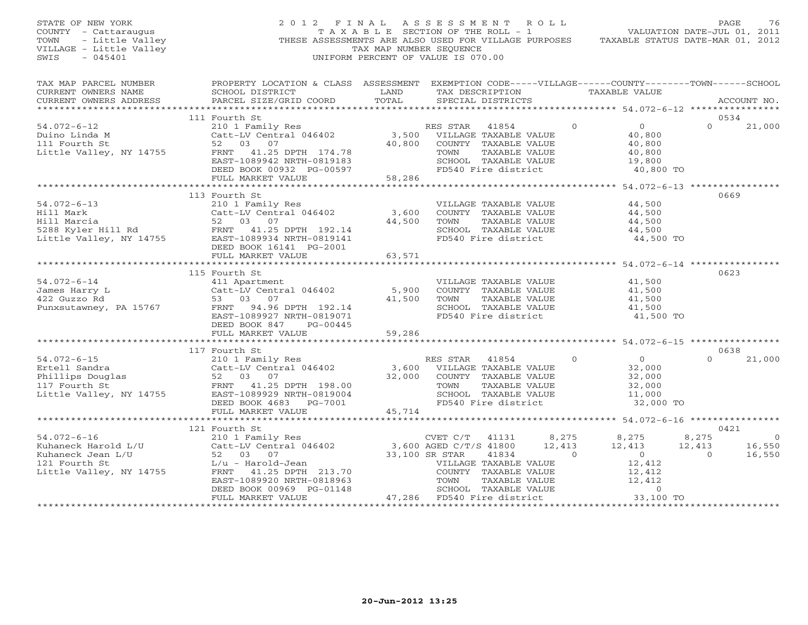| STATE OF NEW YORK<br>COUNTY - Cattaraugus<br>- Little Valley<br>TOWN<br>VILLAGE - Little Valley<br>SWIS<br>$-045401$ |                                                                                                                                                                       | TAX MAP NUMBER SEQUENCE | 2012 FINAL ASSESSMENT ROLL<br>T A X A B L E SECTION OF THE ROLL - 1<br>THESE ASSESSMENTS ARE ALSO USED FOR VILLAGE PURPOSES<br>UNIFORM PERCENT OF VALUE IS 070.00 |                             |                                                                     | PAGE<br>76<br>VALUATION DATE-JUL 01, 2011<br>TAXABLE STATUS DATE-MAR 01, 2012 |
|----------------------------------------------------------------------------------------------------------------------|-----------------------------------------------------------------------------------------------------------------------------------------------------------------------|-------------------------|-------------------------------------------------------------------------------------------------------------------------------------------------------------------|-----------------------------|---------------------------------------------------------------------|-------------------------------------------------------------------------------|
| TAX MAP PARCEL NUMBER<br>CURRENT OWNERS NAME<br>CURRENT OWNERS ADDRESS                                               | PROPERTY LOCATION & CLASS ASSESSMENT EXEMPTION CODE-----VILLAGE------COUNTY-------TOWN------SCHOOL<br>SCHOOL DISTRICT<br>PARCEL SIZE/GRID COORD                       | LAND<br>TOTAL           | TAX DESCRIPTION<br>SPECIAL DISTRICTS                                                                                                                              |                             | TAXABLE VALUE                                                       | ACCOUNT NO.                                                                   |
|                                                                                                                      |                                                                                                                                                                       |                         |                                                                                                                                                                   |                             |                                                                     |                                                                               |
| $54.072 - 6 - 12$                                                                                                    | 111 Fourth St                                                                                                                                                         |                         |                                                                                                                                                                   | $\circ$                     | $\overline{0}$                                                      | 0534<br>$\Omega$<br>21,000                                                    |
| Duino Linda M<br>111 Fourth St<br>Little Valley, NY 14755                                                            | 210 1 Family Res<br>Catt-LV Central 046402 3,500 VILLAGE TAXABLE VALUE<br>52 03 07<br>FRNT 41.25 DPTH 174.78<br>EAST-1089942 NRTH-0819183<br>DEED BOOK 00932 PG-00597 | 40,800                  | COUNTY TAXABLE VALUE<br>TOWN<br>TAXABLE VALUE<br>SCHOOL TAXABLE VALUE<br>FD540 Fire district                                                                      |                             | 40,800<br>40,800<br>40,800<br>19,800<br>40,800 TO                   |                                                                               |
|                                                                                                                      | FULL MARKET VALUE                                                                                                                                                     | 58,286                  |                                                                                                                                                                   |                             |                                                                     |                                                                               |
| $54.072 - 6 - 13$                                                                                                    | 113 Fourth St<br>210 1 Family Res                                                                                                                                     |                         | VILLAGE TAXABLE VALUE                                                                                                                                             |                             | 44,500                                                              | 0669                                                                          |
| Hill Mark                                                                                                            | Catt-LV Central 046402<br>DEED BOOK 16141 PG-2001                                                                                                                     | 3,600<br>44,500         | COUNTY TAXABLE VALUE<br>TAXABLE VALUE<br>TOWN<br>SCHOOL TAXABLE VALUE<br>FD540 Fire district                                                                      |                             | 44,500<br>44,500<br>44,500<br>44,500 TO                             |                                                                               |
|                                                                                                                      | FULL MARKET VALUE                                                                                                                                                     | 63,571                  |                                                                                                                                                                   |                             |                                                                     |                                                                               |
|                                                                                                                      | *****************************                                                                                                                                         |                         |                                                                                                                                                                   |                             |                                                                     |                                                                               |
| $54.072 - 6 - 14$<br>James Harry L<br>422 Guzzo Rd<br>Punxsutawney, PA 15767                                         | 115 Fourth St<br>411 Apartment<br>Catt-LV Central 046402<br>53 03<br>- 07<br>FRNT 94.96 DPTH 192.14<br>EAST-1089927 NRTH-0819071<br>DEED BOOK 847<br>PG-00445         | 5,900<br>41,500         | VILLAGE TAXABLE VALUE<br>COUNTY TAXABLE VALUE<br>TOWN<br>TAXABLE VALUE<br>SCHOOL TAXABLE VALUE<br>FD540 Fire district                                             |                             | 41,500<br>41,500<br>41,500<br>41,500<br>41,500 TO                   | 0623                                                                          |
|                                                                                                                      | FULL MARKET VALUE                                                                                                                                                     | 59,286                  |                                                                                                                                                                   |                             |                                                                     |                                                                               |
|                                                                                                                      | 117 Fourth St                                                                                                                                                         |                         |                                                                                                                                                                   |                             |                                                                     | 0638                                                                          |
| $54.072 - 6 - 15$<br>Ertell Sandra                                                                                   | 210 1 Family Res<br>Catt-LV Central 046402<br>DEED BOOK 4683 PG-7001                                                                                                  | 3,600<br>32,000         | RES STAR<br>41854<br>VILLAGE TAXABLE VALUE<br>COUNTY TAXABLE VALUE<br>TOWN<br>TAXABLE VALUE<br>SCHOOL TAXABLE VALUE<br>FD540 Fire district                        | $\circ$                     | $\overline{0}$<br>32,000<br>32,000<br>32,000<br>11,000<br>32,000 TO | $\Omega$<br>21,000                                                            |
|                                                                                                                      | FULL MARKET VALUE                                                                                                                                                     | 45,714                  |                                                                                                                                                                   |                             |                                                                     |                                                                               |
|                                                                                                                      | 121 Fourth St                                                                                                                                                         |                         |                                                                                                                                                                   |                             |                                                                     | 0421                                                                          |
| $54.072 - 6 - 16$<br>Kuhaneck Harold L/U<br>Kuhaneck Jean L/U                                                        | 210 1 Family Res<br>Catt-LV Central 046402<br>52 03 07                                                                                                                |                         | CVET C/T<br>41131<br>3,600 AGED C/T/S 41800<br>33,100 SR STAR<br>41834                                                                                            | 8,275<br>12,413<br>$\Omega$ | 8,275<br>12,413<br>$\overline{0}$                                   | 8,275<br>$\circ$<br>16,550<br>12,413<br>$\Omega$<br>16,550                    |
| 121 Fourth St<br>Little Valley, NY 14755                                                                             | L/u - Harold-Jean<br>FRNT 41.25 DPTH 213.70<br>EAST-1089920 NRTH-0818963<br>DEED BOOK 00969 PG-01148<br>FULL MARKET VALUE                                             |                         | VILLAGE TAXABLE VALUE<br>COUNTY TAXABLE VALUE<br>TOWN<br>TAXABLE VALUE<br>SCHOOL TAXABLE VALUE<br>47,286 FD540 Fire district                                      |                             | 12,412<br>12,412<br>12,412<br>$\overline{0}$<br>33,100 TO           |                                                                               |
|                                                                                                                      |                                                                                                                                                                       |                         |                                                                                                                                                                   |                             |                                                                     |                                                                               |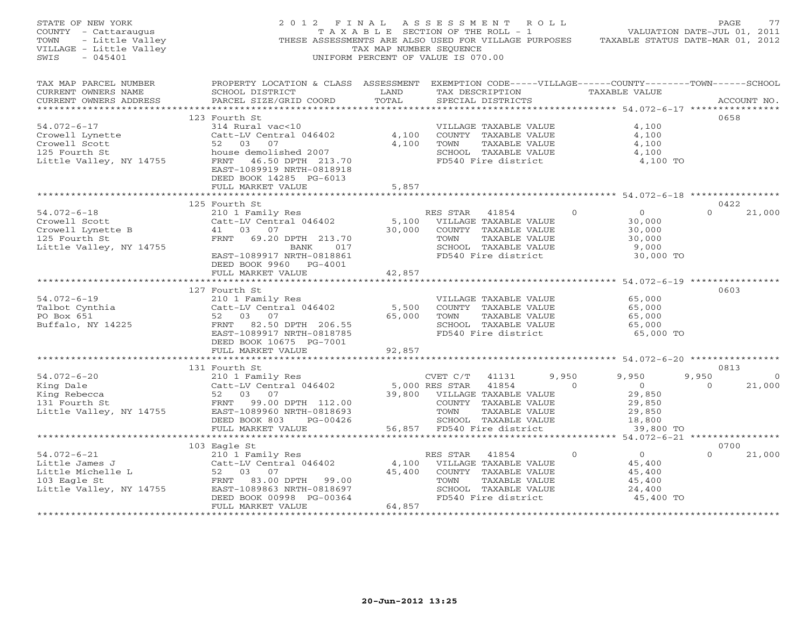| STATE OF NEW YORK<br>COUNTY - Cattaraugus<br>- Little Valley<br>TOWN<br>VILLAGE - Little Valley<br>$-045401$<br>SWIS         | 2012 FINAL<br>THESE ASSESSMENTS ARE ALSO USED FOR VILLAGE PURPOSES TAXABLE STATUS DATE-MAR 01, 2012                                                                                                   | TAX MAP NUMBER SEQUENCE<br>UNIFORM PERCENT OF VALUE IS 070.00 |                        | ASSESSMENT ROLL                                                                                                        |          | T A X A B L E SECTION OF THE ROLL - 1 VALUATION DATE-JUL 01, 2011   | PAGE             | 77           |
|------------------------------------------------------------------------------------------------------------------------------|-------------------------------------------------------------------------------------------------------------------------------------------------------------------------------------------------------|---------------------------------------------------------------|------------------------|------------------------------------------------------------------------------------------------------------------------|----------|---------------------------------------------------------------------|------------------|--------------|
| TAX MAP PARCEL NUMBER<br>CURRENT OWNERS NAME<br>CURRENT OWNERS ADDRESS                                                       | PROPERTY LOCATION & CLASS ASSESSMENT EXEMPTION CODE-----VILLAGE------COUNTY-------TOWN------SCHOOL<br>SCHOOL DISTRICT<br>PARCEL SIZE/GRID COORD                                                       | LAND<br>TOTAL                                                 |                        | TAX DESCRIPTION TAXABLE VALUE<br>SPECIAL DISTRICTS                                                                     |          |                                                                     |                  | ACCOUNT NO.  |
| $54.072 - 6 - 17$<br>Crowell Lynette<br>Crowell Scott<br>125 Fourth St<br>Little Valley, NY 14755                            | 123 Fourth St<br>314 Rural vac<10<br>Catt-LV Central 046402<br>52 03 07<br>house demolished 2007<br>FRNT 46.50 DPTH 213.70<br>EAST-1089919 NRTH-0818918<br>DEED BOOK 14285 PG-6013                    | 4,100<br>4,100                                                | TOWN                   | VILLAGE TAXABLE VALUE<br>COUNTY TAXABLE VALUE<br>TAXABLE VALUE<br>SCHOOL TAXABLE VALUE<br>FD540 Fire district          |          | 4,100<br>4,100<br>4,100<br>4,100<br>4,100 TO                        | 0658             |              |
|                                                                                                                              | FULL MARKET VALUE                                                                                                                                                                                     | 5,857<br>* * * * * * * * *                                    |                        |                                                                                                                        |          | ********************** 54.072-6-18 *****************                |                  |              |
| $54.072 - 6 - 18$                                                                                                            | 125 Fourth St<br>210 1 Family Res                                                                                                                                                                     |                                                               | RES STAR               | 41854                                                                                                                  | $\Omega$ | $\circ$                                                             | 0422<br>$\Omega$ | 21,000       |
| Crowell Scott<br>Crowell Lynette B<br>125 Fourth St<br>Little Valley, NY 14755                                               | Catt-LV Central 046402<br>41 03 07<br>FRNT 69.20 DPTH 213.70<br>017<br>BANK<br>EAST-1089917 NRTH-0818861<br>DEED BOOK 9960 PG-4001                                                                    | 5,100<br>30,000                                               | TOWN                   | VILLAGE TAXABLE VALUE<br>COUNTY TAXABLE VALUE<br>TAXABLE VALUE<br>SCHOOL TAXABLE VALUE<br>FD540 Fire district          |          | 30,000<br>30,000<br>30,000<br>9,000<br>30,000 TO                    |                  |              |
|                                                                                                                              | FULL MARKET VALUE                                                                                                                                                                                     | 42,857                                                        |                        |                                                                                                                        |          |                                                                     |                  |              |
| $54.072 - 6 - 19$<br>Talbot Cynthia<br>PO Box 651<br>Buffalo, NY 14225                                                       | 127 Fourth St<br>210 1 Family Res<br>Catt-LV Central 046402<br>52 03 07<br>FRNT 82.50 DPTH 206.55<br>EAST-1089917 NRTH-0818785<br>DEED BOOK 10675 PG-7001                                             | 5,500<br>65,000                                               | TOWN                   | VILLAGE TAXABLE VALUE<br>COUNTY TAXABLE VALUE<br>TAXABLE VALUE<br>SCHOOL TAXABLE VALUE<br>FD540 Fire district          |          | 65,000<br>65,000<br>65,000<br>65,000<br>65,000 TO                   | 0603             |              |
|                                                                                                                              | FULL MARKET VALUE                                                                                                                                                                                     | 92,857                                                        |                        |                                                                                                                        |          |                                                                     |                  |              |
| $54.072 - 6 - 20$                                                                                                            | 131 Fourth St<br>210 1 Family Res                                                                                                                                                                     |                                                               | CVET C/T               | 41131                                                                                                                  | 9,950    | 9,950                                                               | 0813<br>9,950    | $\mathbf{0}$ |
| King Dale<br>King Rebecca<br>131 Fourth St<br>Little Valley, NY 14755                                                        | Catt-LV Central 046402<br>52 03 07<br>FRNT 99.00 DPTH 112.00<br>EAST-1089960 NRTH-0818693<br>DEED BOOK 803<br>PG-00426                                                                                | 39,800                                                        | 5,000 RES STAR<br>TOWN | 41854<br>VILLAGE TAXABLE VALUE<br>COUNTY TAXABLE VALUE<br>TAXABLE VALUE<br>SCHOOL TAXABLE VALUE                        | $\Omega$ | $\overline{0}$<br>29,850<br>29,850<br>29,850<br>18,800              | $\Omega$         | 21,000       |
|                                                                                                                              | FULL MARKET VALUE                                                                                                                                                                                     | 56,857                                                        |                        | FD540 Fire district                                                                                                    |          | 39,800 TO<br>**** 54.072-6-21 ****************                      |                  |              |
| $54.072 - 6 - 21$<br>Little James J<br>Little Michelle L<br>103 Eagle St<br>Little Valley, NY 14755<br>********************* | 103 Eagle St<br>210 1 Family Res<br>Catt-LV Central 046402<br>52 03 07<br>FRNT 83.00 DPTH 99.00<br>EAST-1089863 NRTH-0818697<br>DEED BOOK 00998 PG-00364<br>FULL MARKET VALUE<br>******************** | 4,100<br>45,400<br>64,857<br>· * * * * * * * * * * * * * *    | RES STAR<br>TOWN       | 41854<br>VILLAGE TAXABLE VALUE<br>COUNTY TAXABLE VALUE<br>TAXABLE VALUE<br>SCHOOL TAXABLE VALUE<br>FD540 Fire district | $\circ$  | $\overline{O}$<br>45,400<br>45,400<br>45,400<br>24,400<br>45,400 TO | 0700<br>$\Omega$ | 21,000       |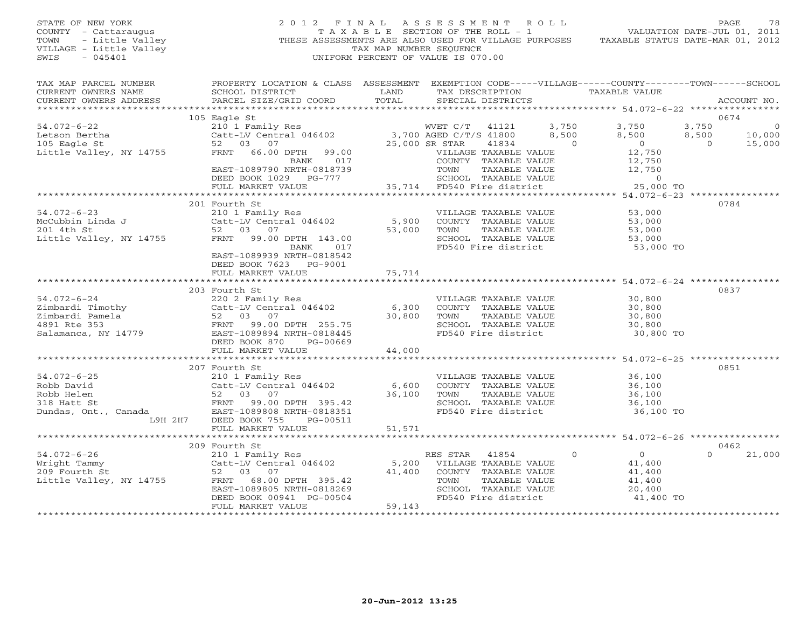### STATE OF NEW YORK 2 0 1 2 F I N A L A S S E S S M E N T R O L L PAGE 78 COUNTY - Cattaraugus T A X A B L E SECTION OF THE ROLL - 1 VALUATION DATE-JUL 01, 2011 TOWN - Little Valley ... THESE ASSESSMENTS ARE ALSO USED FOR VILLAGE PURPOSES TAXABLE STATUS DATE-MAR 01, 2012<br>VILLAGE - Little Valley ... THESE ASSESSMENTS ARE ALSO USED FOR VILLAGE PURPOSES TAXABLE STATUS DATE-MAR 01, 20 VILLAGE - Little Valley and the Communist Communist Communist Communist Communist Communist Communist Communist Communist Communist Communist Communist Communist Communist Communist Communist Communist Communist Communist SWIS - 045401 UNIFORM PERCENT OF VALUE IS 070.00

| TAX MAP PARCEL NUMBER<br>CURRENT OWNERS NAME<br>CURRENT OWNERS ADDRESS                   | PROPERTY LOCATION & CLASS ASSESSMENT EXEMPTION CODE-----VILLAGE------COUNTY-------TOWN------SCHOOL<br>SCHOOL DISTRICT<br>PARCEL SIZE/GRID COORD | LAND<br>TOTAL | TAX DESCRIPTION TAXABLE VALUE<br>SPECIAL DISTRICTS |                |                |          | ACCOUNT NO.    |
|------------------------------------------------------------------------------------------|-------------------------------------------------------------------------------------------------------------------------------------------------|---------------|----------------------------------------------------|----------------|----------------|----------|----------------|
|                                                                                          | 105 Eagle St                                                                                                                                    |               |                                                    |                |                |          | 0674           |
| $54.072 - 6 - 22$                                                                        | 210 1 Family Res                                                                                                                                |               | WVET C/T 41121                                     | 3,750          | 3,750          | 3,750    | $\overline{0}$ |
| Letson Bertha                                                                            | Catt-LV Central 046402 3,700 AGED C/T/S 41800                                                                                                   |               |                                                    | 8,500          | 8,500          | 8,500    | 10,000         |
| 105 Eagle St                                                                             | 52 03<br>07                                                                                                                                     |               | 25,000 SR STAR<br>41834                            | $\overline{0}$ | $\overline{0}$ | $\Omega$ | 15,000         |
| Little Valley, NY 14755                                                                  | FRNT<br>66.00 DPTH<br>99.00                                                                                                                     |               | VILLAGE TAXABLE VALUE                              |                | 12,750         |          |                |
|                                                                                          | 017<br>BANK                                                                                                                                     |               | COUNTY TAXABLE VALUE                               |                | 12,750         |          |                |
|                                                                                          | EAST-1089790 NRTH-0818739                                                                                                                       |               |                                                    |                | 12,750         |          |                |
|                                                                                          | DEED BOOK 1029 PG-777                                                                                                                           |               |                                                    |                | $\Omega$       |          |                |
|                                                                                          | FULL MARKET VALUE                                                                                                                               |               | 35,714 FD540 Fire district                         |                | 25,000 TO      |          |                |
|                                                                                          |                                                                                                                                                 |               |                                                    |                |                |          |                |
|                                                                                          | 201 Fourth St                                                                                                                                   |               |                                                    |                |                |          | 0784           |
| $54.072 - 6 - 23$                                                                        | 210 1 Family Res                                                                                                                                |               | VILLAGE TAXABLE VALUE                              |                | 53,000         |          |                |
|                                                                                          | Catt-LV Central 046402                                                                                                                          | 5,900         | COUNTY TAXABLE VALUE                               |                | 53,000         |          |                |
| McCubbin Linda J<br>201 4th St<br>Little Valley, NY 14755                                | 52 03 07                                                                                                                                        | 53,000        | TOWN<br>TAXABLE VALUE                              |                | 53,000         |          |                |
|                                                                                          | FRNT 99.00 DPTH 143.00                                                                                                                          |               | SCHOOL TAXABLE VALUE                               |                | 53,000         |          |                |
|                                                                                          | BANK<br>017                                                                                                                                     |               | FD540 Fire district                                |                | 53,000 TO      |          |                |
|                                                                                          | EAST-1089939 NRTH-0818542                                                                                                                       |               |                                                    |                |                |          |                |
|                                                                                          | DEED BOOK 7623 PG-9001                                                                                                                          |               |                                                    |                |                |          |                |
|                                                                                          | FULL MARKET VALUE                                                                                                                               | 75,714        |                                                    |                |                |          |                |
|                                                                                          |                                                                                                                                                 |               |                                                    |                |                |          |                |
|                                                                                          | 203 Fourth St                                                                                                                                   |               |                                                    |                |                |          | 0837           |
| $54.072 - 6 - 24$                                                                        | 220 2 Family Res                                                                                                                                |               | VILLAGE TAXABLE VALUE                              |                | 30,800         |          |                |
|                                                                                          | 220 2 Family Res<br>Catt-LV Central 046402 6,300                                                                                                |               | COUNTY TAXABLE VALUE                               |                | 30,800         |          |                |
| Zimbardi Timothy<br>Zimbardi Pamela 52<br>4891 Rte 353 FRNT<br>Salamanca, NY 14779 EAST- | 52 03 07                                                                                                                                        | 30,800        | TAXABLE VALUE<br>TOWN                              |                | 30,800         |          |                |
|                                                                                          | 99.00 DPTH 255.75                                                                                                                               |               | SCHOOL TAXABLE VALUE                               |                | 30,800         |          |                |
|                                                                                          | EAST-1089894 NRTH-0818445                                                                                                                       |               | FD540 Fire district                                |                | 30,800 TO      |          |                |
|                                                                                          | DEED BOOK 870<br>PG-00669                                                                                                                       |               |                                                    |                |                |          |                |
|                                                                                          | FULL MARKET VALUE                                                                                                                               | 44,000        |                                                    |                |                |          |                |
|                                                                                          |                                                                                                                                                 |               |                                                    |                |                |          |                |
|                                                                                          | 207 Fourth St                                                                                                                                   |               |                                                    |                |                |          | 0851           |
| $54.072 - 6 - 25$                                                                        | 210 1 Family Res                                                                                                                                |               | VILLAGE TAXABLE VALUE                              |                | 36,100         |          |                |
| Robb David                                                                               | Catt-LV Central 046402                                                                                                                          | 6,600         | COUNTY TAXABLE VALUE                               |                | 36,100         |          |                |
| Robb Helen                                                                               | 52 03 07                                                                                                                                        | 36,100        | TOWN<br>TAXABLE VALUE                              |                | 36,100         |          |                |
| 318 Hatt St                                                                              | FRNT 99.00 DPTH 395.42                                                                                                                          |               | SCHOOL TAXABLE VALUE                               |                | 36,100         |          |                |
| Dundas, Ont., Canada                                                                     | EAST-1089808 NRTH-0818351                                                                                                                       |               | FD540 Fire district                                |                | 36,100 TO      |          |                |
| L9H 2H7                                                                                  | DEED BOOK 755<br>PG-00511                                                                                                                       |               |                                                    |                |                |          |                |
|                                                                                          | FULL MARKET VALUE                                                                                                                               | 51,571        |                                                    |                |                |          |                |
|                                                                                          | ***************************                                                                                                                     |               |                                                    |                |                |          |                |
|                                                                                          | 209 Fourth St                                                                                                                                   |               |                                                    |                |                |          | 0462           |
| $54.072 - 6 - 26$                                                                        | 210 1 Family Res                                                                                                                                |               | RES STAR<br>41854                                  | $\circ$        | $\overline{0}$ | $\Omega$ | 21,000         |
| Wright Tammy                                                                             | Catt-LV Central 046402                                                                                                                          | 5,200         | VILLAGE TAXABLE VALUE                              |                | 41,400         |          |                |
| 209 Fourth St                                                                            | 52 03 07                                                                                                                                        | 41,400        | COUNTY TAXABLE VALUE                               |                | 41,400         |          |                |
| Little Valley, NY 14755                                                                  | FRNT<br>68.00 DPTH 395.42                                                                                                                       |               | TOWN<br>TAXABLE VALUE                              |                | 41,400         |          |                |
|                                                                                          | EAST-1089805 NRTH-0818269                                                                                                                       |               | SCHOOL TAXABLE VALUE                               |                | 20,400         |          |                |
|                                                                                          | DEED BOOK 00941 PG-00504                                                                                                                        |               | FD540 Fire district                                |                | 41,400 TO      |          |                |
|                                                                                          | FULL MARKET VALUE                                                                                                                               | 59,143        |                                                    |                |                |          |                |
|                                                                                          |                                                                                                                                                 |               |                                                    |                |                |          |                |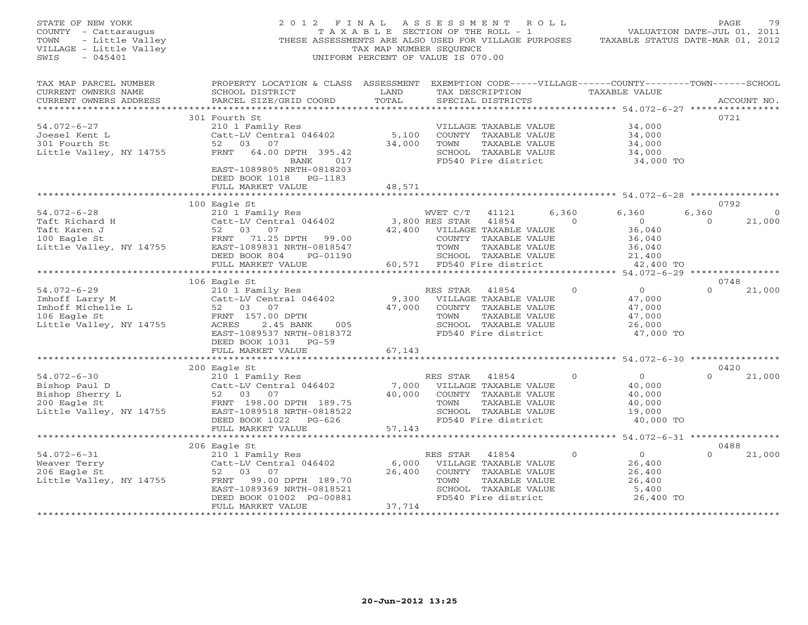| STATE OF NEW YORK<br>COUNTY - Cattaraugus<br>- Little Valley<br>TOWN<br>VILLAGE - Little Valley<br>$-045401$<br>SWIS | 2012 FINAL ASSESSMENT ROLL                                                                                                                                                                        | TAX MAP NUMBER SEOUENCE<br>UNIFORM PERCENT OF VALUE IS 070.00 |                        |                                                                                                                                      |                | THESE ASSESSMENTS ARE ALSO USED FOR VILLAGE PURPOSES TAXABLE STATUS DATE-MAR 01, 2012 | PAGE             | 79             |
|----------------------------------------------------------------------------------------------------------------------|---------------------------------------------------------------------------------------------------------------------------------------------------------------------------------------------------|---------------------------------------------------------------|------------------------|--------------------------------------------------------------------------------------------------------------------------------------|----------------|---------------------------------------------------------------------------------------|------------------|----------------|
| TAX MAP PARCEL NUMBER<br>CURRENT OWNERS NAME<br>CURRENT OWNERS ADDRESS<br>**********************                     | PROPERTY LOCATION & CLASS ASSESSMENT EXEMPTION CODE-----VILLAGE------COUNTY-------TOWN------SCHOOL<br>SCHOOL DISTRICT<br>PARCEL SIZE/GRID COORD                                                   | LAND<br>TOTAL                                                 |                        | TAX DESCRIPTION<br>SPECIAL DISTRICTS                                                                                                 |                | TAXABLE VALUE<br>********************************* 54.072-6-27 ****************       |                  | ACCOUNT NO.    |
| 54.072-6-27<br>Joesel Kent L<br>301 Fourth St<br>Little Valley, NY 14755                                             | 301 Fourth St<br>210 1 Family Res<br>Catt-LV Central 046402<br>52 03 07<br>FRNT 64.00 DPTH 395.42<br>017<br>BANK<br>EAST-1089805 NRTH-0818203<br>DEED BOOK 1018 PG-1183                           | 5,100<br>34,000                                               | TOWN                   | VILLAGE TAXABLE VALUE<br>COUNTY TAXABLE VALUE<br>TAXABLE VALUE<br>SCHOOL TAXABLE VALUE<br>FD540 Fire district                        |                | 34,000<br>34,000<br>34,000<br>34,000<br>34,000 TO                                     | 0721             |                |
|                                                                                                                      | FULL MARKET VALUE                                                                                                                                                                                 | 48,571                                                        |                        |                                                                                                                                      |                |                                                                                       |                  |                |
| $54.072 - 6 - 28$                                                                                                    | 100 Eagle St<br>210 1 Family Res                                                                                                                                                                  |                                                               | WVET C/T               | 41121                                                                                                                                | 6,360          | 6,360                                                                                 | 0792<br>6,360    | $\overline{0}$ |
| Taft Richard H<br>Taft Karen J<br>100 Eagle St<br>Little Valley, NY 14755                                            | Catt-LV Central 046402<br>52<br>03 07<br>FRNT 71.25 DPTH<br>99.00<br>EAST-1089831 NRTH-0818547<br>DEED BOOK 804<br>PG-01190<br>FULL MARKET VALUE                                                  |                                                               | 3,800 RES STAR<br>TOWN | 41854<br>42,400 VILLAGE TAXABLE VALUE<br>COUNTY TAXABLE VALUE<br>TAXABLE VALUE<br>SCHOOL TAXABLE VALUE<br>60,571 FD540 Fire district | $\overline{a}$ | $\overline{0}$<br>36,040<br>36,040<br>36,040<br>21,400<br>42,400 TO                   | $\Omega$         | 21,000         |
|                                                                                                                      | ***********************                                                                                                                                                                           |                                                               |                        |                                                                                                                                      |                |                                                                                       |                  |                |
| $54.072 - 6 - 29$<br>Imhoff Larry M<br>Imhoff Michelle L<br>106 Fagle St<br>106 Eagle St<br>Little Valley, NY 14755  | 106 Eagle St<br>210 1 Family Res<br>Catt-LV Central 046402<br>52 03 07<br>FRNT 157.00 DPTH<br>2.45 BANK<br>ACRES<br>005<br>EAST-1089537 NRTH-0818372<br>DEED BOOK 1031 PG-59<br>FULL MARKET VALUE | 67,143                                                        | RES STAR<br>TOWN       | 41854<br>9,300 VILLAGE TAXABLE VALUE<br>47,000 COUNTY TAXABLE VALUE<br>TAXABLE VALUE<br>SCHOOL TAXABLE VALUE<br>FD540 Fire district  | $\Omega$       | $\overline{0}$<br>47,000<br>47,000<br>47,000<br>26,000<br>47,000 TO                   | 0748<br>$\Omega$ | 21,000         |
|                                                                                                                      |                                                                                                                                                                                                   |                                                               |                        |                                                                                                                                      |                |                                                                                       |                  |                |
| $54.072 - 6 - 30$<br>Bishop Paul D<br>Bishop Sherry L<br>200 Eagle St<br>Little Valley, NY 14755                     | 200 Eagle St<br>210 1 Family Res<br>Catt-LV Central 046402<br>52 03 07<br>FRNT 198.00 DPTH 189.75<br>EAST-1089518 NRTH-0818522<br>DEED BOOK 1022 PG-626                                           | 7,000<br>40,000                                               | RES STAR<br>TOWN       | 41854<br>VILLAGE TAXABLE VALUE<br>COUNTY TAXABLE VALUE<br>TAXABLE VALUE<br>SCHOOL TAXABLE VALUE<br>FD540 Fire district               | $\circ$        | $\overline{0}$<br>40,000<br>40,000<br>40,000<br>19,000<br>40,000 TO                   | 0420<br>$\Omega$ | 21,000         |
|                                                                                                                      | FULL MARKET VALUE                                                                                                                                                                                 | 57,143                                                        |                        |                                                                                                                                      |                |                                                                                       |                  |                |
|                                                                                                                      | 206 Eagle St                                                                                                                                                                                      | *******************                                           |                        |                                                                                                                                      |                | ************** 54.072-6-31 *****************                                          | 0488             |                |
| $54.072 - 6 - 31$<br>Weaver Terry<br>206 Eagle St<br>Little Valley, NY 14755                                         | 210 1 Family Res<br>Catt-LV Central 046402<br>52<br>03 07<br>FRNT<br>99.00 DPTH 189.70<br>EAST-1089369 NRTH-0818521<br>DEED BOOK 01002 PG-00881<br>FULL MARKET VALUE                              | 6,000<br>26,400<br>37,714                                     | RES STAR<br>TOWN       | 41854<br>VILLAGE TAXABLE VALUE<br>COUNTY TAXABLE VALUE<br>TAXABLE VALUE<br>SCHOOL TAXABLE VALUE<br>FD540 Fire district               | $\Omega$       | $\overline{0}$<br>26,400<br>26,400<br>26,400<br>5,400<br>26,400 TO                    | $\Omega$         | 21,000         |
| ************************                                                                                             |                                                                                                                                                                                                   | * * * * * * * * * * * * * *                                   |                        |                                                                                                                                      |                |                                                                                       |                  |                |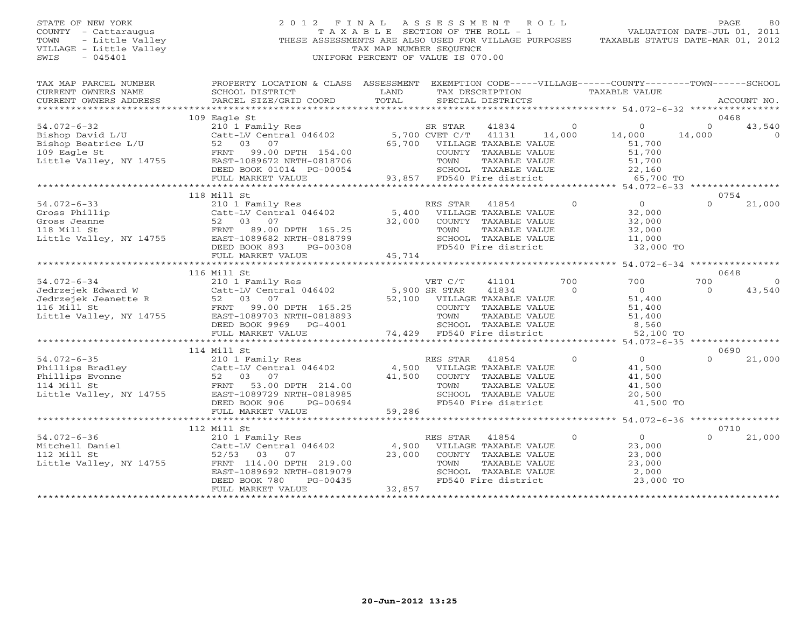### STATE OF NEW YORK 2 0 1 2 F I N A L A S S E S S M E N T R O L L PAGE 80 COUNTY - Cattaraugus T A X A B L E SECTION OF THE ROLL - 1 VALUATION DATE-JUL 01, 2011 TOWN - Little Valley ... THESE ASSESSMENTS ARE ALSO USED FOR VILLAGE PURPOSES TAXABLE STATUS DATE-MAR 01, 2012<br>VILLAGE - Little Valley ... THESE ASSESSMENTS ARE ALSO USED FOR VILLAGE PURPOSES TAXABLE STATUS DATE-MAR 01, 20 VILLAGE - Little Valley and the Communist Communist Communist Communist Communist Communist Communist Communist Communist Communist Communist Communist Communist Communist Communist Communist Communist Communist Communist SWIS - 045401 UNIFORM PERCENT OF VALUE IS 070.00

| TAX MAP PARCEL NUMBER<br>CURRENT OWNERS NAME<br>CURRENT OWNERS ADDRESS                                                  | PROPERTY LOCATION & CLASS ASSESSMENT EXEMPTION CODE-----VILLAGE------COUNTY-------TOWN------SCHOOL<br>SCHOOL DISTRICT<br>PARCEL SIZE/GRID COORD                                                                                                                                                                                                                                                                                                 | LAND<br>TOTAL             | TAX DESCRIPTION TAXABLE VALUE<br>SPECIAL DISTRICTS                                                                                                               |                          |                                                                               |                    | ACCOUNT NO.                |
|-------------------------------------------------------------------------------------------------------------------------|-------------------------------------------------------------------------------------------------------------------------------------------------------------------------------------------------------------------------------------------------------------------------------------------------------------------------------------------------------------------------------------------------------------------------------------------------|---------------------------|------------------------------------------------------------------------------------------------------------------------------------------------------------------|--------------------------|-------------------------------------------------------------------------------|--------------------|----------------------------|
| $54.072 - 6 - 32$<br>Bishop David L/U<br>Bishop Beatrice L/U<br>109 Eagle St<br>109 Eagle St<br>Little Valley, NY 14755 | 109 Eagle St<br>210 1 Family Res SR STAR<br>Catt-LV Central 046402 5,700 CVET C/T<br>52 03 07<br>FRNT 99.00 DPTH 154.00<br>EAST-1089672 NRTH-0818706<br>DEED BOOK 01014 PG-00054<br>FULL MARKET VALUE                                                                                                                                                                                                                                           |                           | 41834<br>41131<br>65,700 VILLAGE TAXABLE VALUE<br>COUNTY TAXABLE VALUE<br>TOWN<br>TAXABLE VALUE<br>SCHOOL TAXABLE VALUE<br>93,857 FD540 Fire district            | $\overline{0}$<br>14,000 | $\overline{0}$<br>14,000<br>51,700<br>51,700<br>51,700<br>22,160<br>65,700 TO | $\Omega$<br>14,000 | 0468<br>43,540<br>$\Omega$ |
|                                                                                                                         | 118 Mill St                                                                                                                                                                                                                                                                                                                                                                                                                                     |                           |                                                                                                                                                                  |                          |                                                                               |                    | 0754                       |
| $54.072 - 6 - 33$                                                                                                       | 210 1 Family Res<br>Catt-LV Central 046402 5,400<br>34.072-0-33<br>Gross Phillip<br>Gross Jeanne<br>118 Mill St<br>118 Mill St<br>Little Valley, NY 14755<br>$\begin{array}{r} \text{F2NT} \\ \text{F2NT} \\ \text{B3P} \\ \text{F2NT} \\ \text{F2NT} \\ \text{B3P} \\ \text{F2NT} \\ \text{B4P} \\ \text{F2NT} \\ \text{B5P} \\ \text{F2NT} \\ \text{B6P} \\ \text{F2NT} \\ \text{B7P} \\ \$<br>DEED BOOK 893<br>PG-00308<br>FULL MARKET VALUE | 32,000<br>45,714          | RES STAR<br>41854<br>VILLAGE TAXABLE VALUE<br>COUNTY TAXABLE VALUE<br>TAXABLE VALUE<br>TOWN<br>SCHOOL TAXABLE VALUE<br>FD540 Fire district                       | $\overline{0}$           | $\overline{0}$<br>32,000<br>32,000<br>32,000<br>11,000<br>32,000 TO           | $\Omega$           | 21,000                     |
|                                                                                                                         | 116 Mill St                                                                                                                                                                                                                                                                                                                                                                                                                                     |                           |                                                                                                                                                                  |                          |                                                                               |                    | 0648                       |
| $54.072 - 6 - 34$<br>116 Mill St<br>Little Valley, NY 14755                                                             | 210 1 Family Res<br>Catt-LV Central 046402<br>07<br>99.00 DPTH 165.25<br>FRNT<br>EAST-1089703 NRTH-0818893<br>DEED BOOK 9969 PG-4001<br>FULL MARKET VALUE                                                                                                                                                                                                                                                                                       | 5,900 SR STAR             | VET C/T<br>41101<br>41834<br>52,100 VILLAGE TAXABLE VALUE<br>COUNTY TAXABLE VALUE<br>TOWN<br>TAXABLE VALUE<br>SCHOOL TAXABLE VALUE<br>74,429 FD540 Fire district | 700<br>$\Omega$          | 700<br>$\overline{0}$<br>51,400<br>51,400<br>51,400<br>8,560<br>52,100 TO     | 700<br>$\Omega$    | $\Omega$<br>43,540         |
|                                                                                                                         | ************************                                                                                                                                                                                                                                                                                                                                                                                                                        |                           | ***********************************                                                                                                                              |                          | ******** 54.072-6-35 *****************                                        |                    |                            |
| $54.072 - 6 - 35$<br>Phillips Bradley<br>Phillips Evonne<br>114 Mill St<br>114 Mill St<br>Little Valley, NY 14755       | 114 Mill St<br>210 1 Family Res<br>Catt-LV Central 046402 4,500 VILLAGE TAXABLE VALUE<br>52 03 07<br>FRNT 53.00 DPTH 214.00<br>EAST-1089729 NRTH-0818985<br>DEED BOOK 906<br>PG-00694                                                                                                                                                                                                                                                           | 41,500<br>59,286          | COUNTY TAXABLE VALUE<br>TAXABLE VALUE<br>TOWN<br>SCHOOL TAXABLE VALUE<br>FD540 Fire district                                                                     | $\Omega$                 | $\Omega$<br>41,500<br>41,500<br>41,500<br>20,500<br>41,500 TO                 | $\Omega$           | 0690<br>21,000             |
|                                                                                                                         | FULL MARKET VALUE                                                                                                                                                                                                                                                                                                                                                                                                                               |                           |                                                                                                                                                                  |                          |                                                                               |                    |                            |
|                                                                                                                         | 112 Mill St                                                                                                                                                                                                                                                                                                                                                                                                                                     |                           |                                                                                                                                                                  |                          |                                                                               |                    | 0710                       |
| $54.072 - 6 - 36$<br>Mitchell Daniel<br>112 Mill St<br>Little Valley, NY 14755                                          | 210 1 Family Res<br>Catt-LV Central 046402<br>$52/53$ 03<br>07<br>FRNT 114.00 DPTH 219.00<br>EAST-1089692 NRTH-0819079<br>PG-00435<br>DEED BOOK 780<br>FULL MARKET VALUE                                                                                                                                                                                                                                                                        | 4,900<br>23,000<br>32,857 | RES STAR<br>41854<br>VILLAGE TAXABLE VALUE<br>COUNTY TAXABLE VALUE<br>TOWN<br>TAXABLE VALUE<br>SCHOOL TAXABLE VALUE<br>FD540 Fire district                       | $\circ$                  | $\Omega$<br>23,000<br>23,000<br>23,000<br>2,000<br>23,000 TO                  | $\Omega$           | 21,000                     |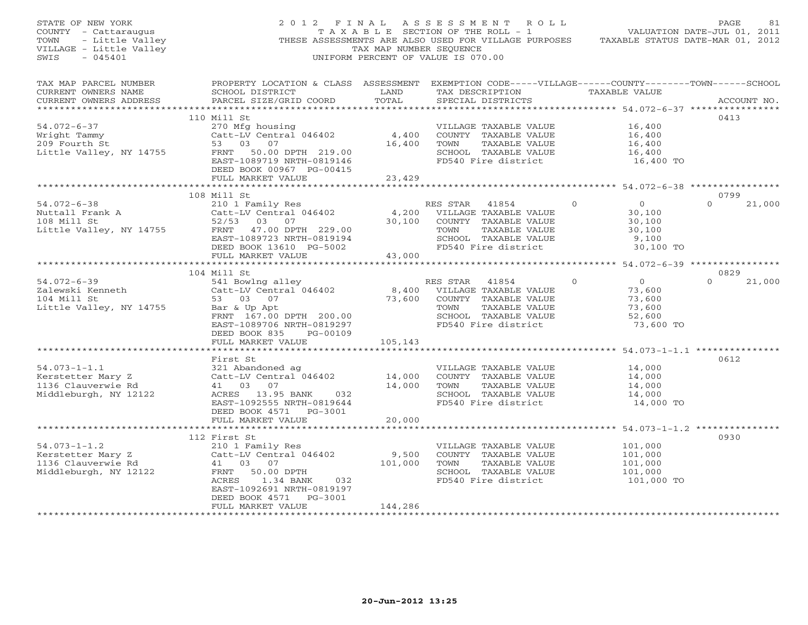| STATE OF NEW YORK<br>OF NEW YORK<br>The Cattaraugus<br>- Little Valley<br>BE - Little Valley<br>- Little Valley<br>COUNTY - Cattaraugus<br>TOWN<br>VILLAGE - Little Valley<br>SWIS<br>$-045401$ |                                                                                                                                                                  | TAX MAP NUMBER SEQUENCE                         | 2012 FINAL ASSESSMENT ROLL<br>T A X A B L E SECTION OF THE ROLL - 1<br>THESE ASSESSMENTS ARE ALSO USED FOR VILLAGE PURPOSES<br>UNIFORM PERCENT OF VALUE IS 070.00 | TAXABLE STATUS DATE-MAR 01, 2012                                                | PAGE<br>81<br>VALUATION DATE-JUL 01, 2011 |
|-------------------------------------------------------------------------------------------------------------------------------------------------------------------------------------------------|------------------------------------------------------------------------------------------------------------------------------------------------------------------|-------------------------------------------------|-------------------------------------------------------------------------------------------------------------------------------------------------------------------|---------------------------------------------------------------------------------|-------------------------------------------|
| TAX MAP PARCEL NUMBER<br>CURRENT OWNERS NAME<br>CURRENT OWNERS ADDRESS                                                                                                                          | PROPERTY LOCATION & CLASS ASSESSMENT EXEMPTION CODE-----VILLAGE------COUNTY-------TOWN------SCHOOL<br>SCHOOL DISTRICT<br>PARCEL SIZE/GRID COORD                  | LAND<br>TOTAL                                   | TAX DESCRIPTION TAXABLE VALUE<br>SPECIAL DISTRICTS                                                                                                                |                                                                                 | ACCOUNT NO.                               |
|                                                                                                                                                                                                 |                                                                                                                                                                  |                                                 |                                                                                                                                                                   |                                                                                 |                                           |
| $54.072 - 6 - 37$                                                                                                                                                                               | 110 Mill St<br>270 Mfg housing                                                                                                                                   |                                                 | VILLAGE TAXABLE VALUE                                                                                                                                             | 16,400                                                                          | 0413                                      |
| Wright Tammy<br>209 Fourth St<br>Little Valley, NY 14755                                                                                                                                        | Catt-LV Central 046402<br>53 03 07<br>FRNT 50.00 DPTH 219.00<br>EAST-1089719 NRTH-0819146<br>DEED BOOK 00967 PG-00415                                            | 4,400<br>16,400                                 | COUNTY TAXABLE VALUE<br>TAXABLE VALUE<br>TOWN<br>SCHOOL TAXABLE VALUE<br>FD540 Fire district                                                                      | 16,400<br>16,400<br>16,400<br>16,400 TO                                         |                                           |
|                                                                                                                                                                                                 | FULL MARKET VALUE                                                                                                                                                | 23,429                                          |                                                                                                                                                                   |                                                                                 |                                           |
|                                                                                                                                                                                                 |                                                                                                                                                                  |                                                 |                                                                                                                                                                   |                                                                                 |                                           |
| $54.072 - 6 - 38$<br>Nuttall Frank A<br>108 Mill St<br>108 Mill St<br>Little Valley, NY 14755                                                                                                   | 108 Mill St<br>210 1 Family Res<br>Catt-LV Central 046402<br>52/53 03 07<br>FRNT 47.00 DPTH 229.00<br>EAST-1089723 NRTH-0819194<br>DEED BOOK 13610 PG-5002       | 4,200<br>30,100                                 | RES STAR<br>41854<br>VILLAGE TAXABLE VALUE<br>COUNTY TAXABLE VALUE<br>TOWN<br>TAXABLE VALUE<br>SCHOOL TAXABLE VALUE<br>FD540 Fire district                        | $\circ$<br>$\overline{0}$<br>30,100<br>30,100<br>30,100<br>9,100<br>30,100 TO   | 0799<br>$\Omega$<br>21,000                |
|                                                                                                                                                                                                 | FULL MARKET VALUE<br>**************************                                                                                                                  | 43,000<br>************                          | ********************************* 54.072-6-39 ****************                                                                                                    |                                                                                 |                                           |
|                                                                                                                                                                                                 | 104 Mill St                                                                                                                                                      |                                                 |                                                                                                                                                                   |                                                                                 | 0829                                      |
| $54.072 - 6 - 39$<br>Zalewski Kenneth<br>104 Mill St<br>Little Valley, NY 14755                                                                                                                 | 541 Bowlng alley<br>Catt-LV Central 046402<br>53 03<br>07<br>Bar & Up Apt<br>FRNT 167.00 DPTH 200.00<br>EAST-1089706 NRTH-0819297<br>DEED BOOK 835<br>PG-00109   | $\begin{array}{c} 8,400 \\ 73,60 \end{array}$ F | RES STAR<br>41854<br>VILLAGE TAXABLE VALUE<br>COUNTY TAXABLE VALUE<br>TOWN<br>TAXABLE VALUE<br>SCHOOL TAXABLE VALUE<br>FD540 Fire district                        | $\overline{O}$<br>$\Omega$<br>73,600<br>73,600<br>73,600<br>52,600<br>73,600 TO | $\Omega$<br>21,000                        |
|                                                                                                                                                                                                 | FULL MARKET VALUE                                                                                                                                                | 105,143                                         |                                                                                                                                                                   | ********************** 54.073-1-1.1 **************                              |                                           |
| $54.073 - 1 - 1.1$<br>Kerstetter Mary Z<br>1136 Clauverwie Rd<br>Middleburgh, NY 12122                                                                                                          | First St<br>321 Abandoned ag<br>Catt-LV Central 046402<br>41 03 07<br>ACRES 13.95 BANK 032<br>EAST-1092555 NRTH-0819644<br>DEED BOOK 4571 PG-3001                | 14,000<br>14,000                                | VILLAGE TAXABLE VALUE<br>COUNTY TAXABLE VALUE<br>TAXABLE VALUE<br>TOWN<br>SCHOOL TAXABLE VALUE<br>FD540 Fire district                                             | 14,000<br>14,000<br>14,000<br>14,000<br>14,000 TO                               | 0612                                      |
|                                                                                                                                                                                                 | FULL MARKET VALUE                                                                                                                                                | 20,000                                          |                                                                                                                                                                   |                                                                                 |                                           |
|                                                                                                                                                                                                 | 112 First St                                                                                                                                                     |                                                 |                                                                                                                                                                   |                                                                                 | 0930                                      |
| $54.073 - 1 - 1.2$<br>Kerstetter Mary Z<br>1136 Clauverwie Rd<br>Middleburgh, NY 12122                                                                                                          | 210 1 Family Res<br>Catt-LV Central 046402<br>41 03 07<br>50.00 DPTH<br>FRNT<br>1.34 BANK<br>ACRES<br>032<br>EAST-1092691 NRTH-0819197<br>DEED BOOK 4571 PG-3001 | 9,500<br>101,000                                | VILLAGE TAXABLE VALUE<br>COUNTY TAXABLE VALUE<br>TOWN<br>TAXABLE VALUE<br>SCHOOL TAXABLE VALUE<br>FD540 Fire district                                             | 101,000<br>101,000<br>101,000<br>101,000<br>101,000 TO                          |                                           |
| *************************                                                                                                                                                                       | FULL MARKET VALUE<br>**********************                                                                                                                      | 144,286<br>****************                     |                                                                                                                                                                   |                                                                                 |                                           |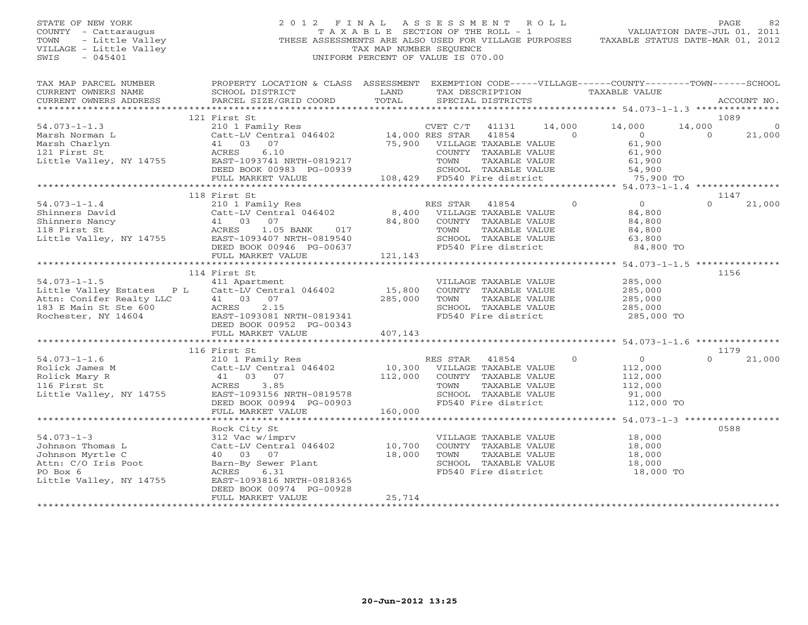### STATE OF NEW YORK 2 0 1 2 F I N A L A S S E S S M E N T R O L L PAGE 82 COUNTY - Cattaraugus T A X A B L E SECTION OF THE ROLL - 1 VALUATION DATE-JUL 01, 2011 TOWN - Little Valley ... THESE ASSESSMENTS ARE ALSO USED FOR VILLAGE PURPOSES TAXABLE STATUS DATE-MAR 01, 2012<br>VILLAGE - Little Valley ... THESE ASSESSMENTS ARE ALSO USED FOR VILLAGE PURPOSES TAXABLE STATUS DATE-MAR 01, 20 VILLAGE - Little Valley and the Communist Communist Communist Communist Communist Communist Communist Communist Communist Communist Communist Communist Communist Communist Communist Communist Communist Communist Communist SWIS - 045401 UNIFORM PERCENT OF VALUE IS 070.00

| TAX MAP PARCEL NUMBER<br>CURRENT OWNERS NAME                                           | PROPERTY LOCATION & CLASS ASSESSMENT EXEMPTION CODE-----VILLAGE------COUNTY-------TOWN------SCHOOL<br>SCHOOL DISTRICT | LAND    | TAX DESCRIPTION                                      |                 |                | TAXABLE VALUE            |                    |                |
|----------------------------------------------------------------------------------------|-----------------------------------------------------------------------------------------------------------------------|---------|------------------------------------------------------|-----------------|----------------|--------------------------|--------------------|----------------|
| CURRENT OWNERS ADDRESS                                                                 | PARCEL SIZE/GRID COORD                                                                                                | TOTAL   | SPECIAL DISTRICTS                                    |                 |                |                          |                    | ACCOUNT NO.    |
|                                                                                        |                                                                                                                       |         |                                                      |                 |                |                          |                    |                |
|                                                                                        | 121 First St                                                                                                          |         |                                                      |                 |                |                          |                    | 1089           |
| $54.073 - 1 - 1.3$                                                                     | 210 1 Family Res                                                                                                      |         | CVET C/T                                             | 14,000<br>41131 | $\overline{0}$ | 14,000                   | 14,000<br>$\Omega$ |                |
| Marsh Norman L<br>Marsh Charlyn                                                        | Catt-LV Central 046402 14,000 RES STAR<br>07<br>41 03                                                                 | 75,900  | VILLAGE TAXABLE VALUE                                | 41854           |                | $\overline{0}$<br>61,900 |                    | 21,000         |
| 121 First St                                                                           | 6.10<br>ACRES                                                                                                         |         | COUNTY TAXABLE VALUE                                 |                 |                | 61,900                   |                    |                |
| Little Valley, NY 14755                                                                | EAST-1093741 NRTH-0819217                                                                                             |         | TOWN                                                 | TAXABLE VALUE   |                | 61,900                   |                    |                |
|                                                                                        | DEED BOOK 00983 PG-00939                                                                                              |         | SCHOOL TAXABLE VALUE                                 |                 |                | 54,900                   |                    |                |
|                                                                                        | FULL MARKET VALUE                                                                                                     |         | 108,429 FD540 Fire district                          |                 |                | 75,900 TO                |                    |                |
|                                                                                        |                                                                                                                       |         |                                                      |                 |                |                          |                    |                |
|                                                                                        | 118 First St                                                                                                          |         |                                                      |                 |                |                          |                    | 1147           |
| $54.073 - 1 - 1.4$                                                                     | 210 1 Family Res                                                                                                      |         | RES STAR                                             | 41854           | $\circ$        | $\overline{0}$           | $\Omega$           | 21,000         |
| Shinners David                                                                         | Catt-LV Central 046402                                                                                                | 8,400   | VILLAGE TAXABLE VALUE                                |                 |                | 84,800                   |                    |                |
| Shinners Nancy<br>118 First St<br>118 First St<br>118 EAST-1093407<br>118 EAST-1093407 |                                                                                                                       | 84,800  | COUNTY TAXABLE VALUE                                 |                 |                | 84,800                   |                    |                |
|                                                                                        | 1.05 BANK<br>017                                                                                                      |         | TOWN                                                 | TAXABLE VALUE   |                | 84,800                   |                    |                |
|                                                                                        | EAST-1093407 NRTH-0819540                                                                                             |         | SCHOOL TAXABLE VALUE                                 |                 |                | 63,800                   |                    |                |
|                                                                                        | DEED BOOK 00946 PG-00637                                                                                              |         | FD540 Fire district                                  |                 |                | 84,800 TO                |                    |                |
|                                                                                        | FULL MARKET VALUE                                                                                                     | 121,143 |                                                      |                 |                |                          |                    |                |
|                                                                                        |                                                                                                                       |         |                                                      |                 |                |                          |                    |                |
|                                                                                        | 114 First St                                                                                                          |         |                                                      |                 |                |                          |                    | 1156           |
| $54.073 - 1 - 1.5$                                                                     | 411 Apartment                                                                                                         |         | VILLAGE TAXABLE VALUE                                |                 |                | 285,000                  |                    |                |
| Little Valley Estates P L                                                              | Catt-LV Central 046402                                                                                                | 15,800  | COUNTY TAXABLE VALUE                                 |                 |                | 285,000                  |                    |                |
| Attn: Conifer Realty LLC                                                               | 41 03<br>07                                                                                                           | 285,000 | TOWN                                                 | TAXABLE VALUE   |                | 285,000                  |                    |                |
| 183 E Main St Ste 600                                                                  | ACRES<br>2.15                                                                                                         |         | SCHOOL TAXABLE VALUE                                 |                 |                | 285,000                  |                    |                |
| Rochester, NY 14604                                                                    | EAST-1093081 NRTH-0819341                                                                                             |         | FD540 Fire district                                  |                 |                | 285,000 TO               |                    |                |
|                                                                                        | DEED BOOK 00952 PG-00343                                                                                              |         |                                                      |                 |                |                          |                    |                |
|                                                                                        | FULL MARKET VALUE                                                                                                     | 407,143 |                                                      |                 |                |                          |                    |                |
|                                                                                        |                                                                                                                       |         |                                                      |                 |                |                          |                    |                |
| $54.073 - 1 - 1.6$                                                                     | 116 First St                                                                                                          |         | RES STAR                                             | 41854           | $\Omega$       | $\Omega$                 | $\Omega$           | 1179<br>21,000 |
|                                                                                        | 210 1 Family Res                                                                                                      |         |                                                      |                 |                |                          |                    |                |
| Rolick James M<br>Rolick Mary R                                                        | Catt-LV Central 046402<br>41 03 07                                                                                    | 112,000 | 10,300 VILLAGE TAXABLE VALUE<br>COUNTY TAXABLE VALUE |                 |                | 112,000<br>112,000       |                    |                |
| 116 First St                                                                           | 3.85<br>ACRES                                                                                                         |         | TOWN                                                 | TAXABLE VALUE   |                | 112,000                  |                    |                |
| Little Valley, NY 14755                                                                | EAST-1093156 NRTH-0819578                                                                                             |         | SCHOOL TAXABLE VALUE                                 |                 |                | 91,000                   |                    |                |
|                                                                                        | DEED BOOK 00994 PG-00903                                                                                              |         | FD540 Fire district                                  |                 |                | 112,000 TO               |                    |                |
|                                                                                        | FULL MARKET VALUE                                                                                                     | 160,000 |                                                      |                 |                |                          |                    |                |
|                                                                                        |                                                                                                                       |         |                                                      |                 |                |                          |                    |                |
|                                                                                        | Rock City St                                                                                                          |         |                                                      |                 |                |                          |                    | 0588           |
| $54.073 - 1 - 3$                                                                       | 312 Vac w/imprv                                                                                                       |         | VILLAGE TAXABLE VALUE                                |                 |                | 18,000                   |                    |                |
| Johnson Thomas L                                                                       | Catt-LV Central 046402                                                                                                | 10,700  | COUNTY TAXABLE VALUE                                 |                 |                | 18,000                   |                    |                |
| Johnson Myrtle C                                                                       | 40 03 07                                                                                                              | 18,000  | TOWN                                                 | TAXABLE VALUE   |                | 18,000                   |                    |                |
| Attn: C/O Iris Poot                                                                    | Barn-By Sewer Plant                                                                                                   |         | SCHOOL TAXABLE VALUE                                 |                 |                | 18,000                   |                    |                |
| PO Box 6                                                                               | ACRES<br>6.31                                                                                                         |         | FD540 Fire district                                  |                 |                | 18,000 TO                |                    |                |
| Little Valley, NY 14755                                                                | EAST-1093816 NRTH-0818365                                                                                             |         |                                                      |                 |                |                          |                    |                |
|                                                                                        | DEED BOOK 00974 PG-00928                                                                                              |         |                                                      |                 |                |                          |                    |                |
|                                                                                        | FULL MARKET VALUE                                                                                                     | 25,714  |                                                      |                 |                |                          |                    |                |
|                                                                                        |                                                                                                                       |         |                                                      |                 |                |                          |                    |                |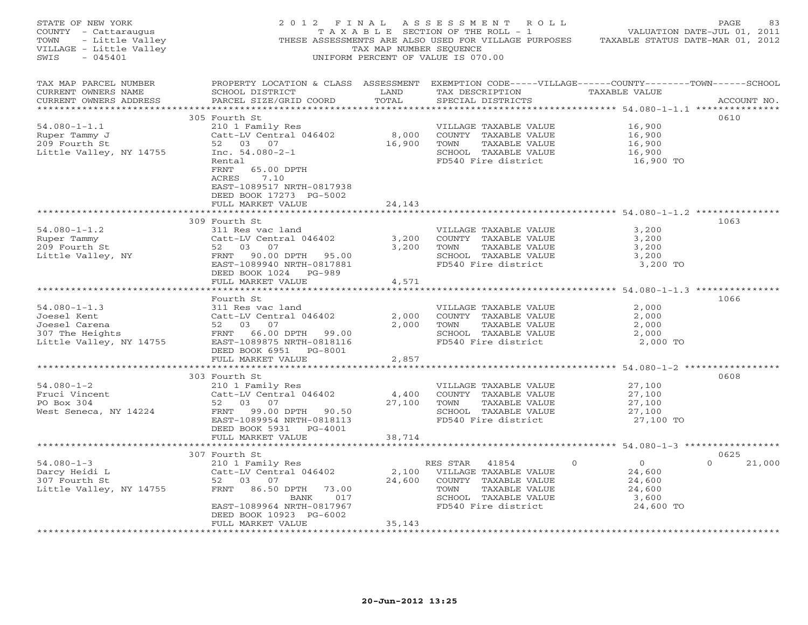| STATE OF NEW YORK<br>COUNTY - Cattaraugus (2012 FAXABLE SECTION OF THE ROLL - 1 WALUATION DATE-UUD ULLAGE<br>TOWN - Little Valley (THESE ASSESSMENTS ARE ALSO USED FOR VILLAGE PURPOSES TAXABLE STATUS DATE-MAR 01, 2012<br>TAXAB N                                                                                                                                                                                           |                                                                                                                             |        |                                                                                                                                                                                                                                                                                                                                                                                                                                                                                                                   |                               |               |
|-------------------------------------------------------------------------------------------------------------------------------------------------------------------------------------------------------------------------------------------------------------------------------------------------------------------------------------------------------------------------------------------------------------------------------|-----------------------------------------------------------------------------------------------------------------------------|--------|-------------------------------------------------------------------------------------------------------------------------------------------------------------------------------------------------------------------------------------------------------------------------------------------------------------------------------------------------------------------------------------------------------------------------------------------------------------------------------------------------------------------|-------------------------------|---------------|
| TAX MAP PARCEL NUMBER THE PROPERTY LOCATION & CLASS ASSESSMENT EXEMPTION CODE-----VILLAGE------COUNTY-------TOWN------SCHOOL<br>CURRENT OWNERS NAME<br>CURRENT OWNERS ADDRESS                                                                                                                                                                                                                                                 |                                                                                                                             |        |                                                                                                                                                                                                                                                                                                                                                                                                                                                                                                                   |                               | ACCOUNT NO.   |
| 54.080-1-1.1<br>Ruper Tammy J<br>200 1 Family Res<br>200 Fourth St<br>200 Fourth St<br>200 Fourth St<br>200 Fourth St<br>200 Fourth St<br>200 Fourth St<br>200 Fourth St<br>200 Fourth St<br>200 Fourth St<br>200 Fourth St<br>200 Fourth St<br>200 Fourth                                                                                                                                                                    | 305 Fourth St<br>FRNT 65.00 DPTH<br>ACRES 7.10<br>EAST-1089517 NRTH-0817938<br>DEED BOOK 17273 PG-5002<br>FULL MARKET VALUE | 24,143 | VILLAGE TAXABLE VALUE 16,900<br>COUNTY TAXABLE VALUE 16,900<br>TOWN TAXABLE VALUE 16,900<br>SCHOOL TAXABLE VALUE 16,900<br>FD540 Fire district 16,900 TO                                                                                                                                                                                                                                                                                                                                                          |                               | 0610          |
|                                                                                                                                                                                                                                                                                                                                                                                                                               |                                                                                                                             |        |                                                                                                                                                                                                                                                                                                                                                                                                                                                                                                                   |                               |               |
| 311 Res vac land<br>Ruper Tammy catt-LV Central 046402<br>209 Fourth St<br>209 Fourth St<br>209 Fourth St<br>3,200<br>209 Fourth St<br>3,200<br>209 Fourth St<br>3,200<br>209 Fourth St<br>3,200<br>209 Fourth St<br>3,200<br>209 Fourth St<br>3,200<br>209 Fo                                                                                                                                                                | 309 Fourth St<br>DEED BOOK 1024 PG-989<br>FULL MARKET VALUE                                                                 | 4,571  | FOR TAXABLE VALUE<br>SCHOOL TAXABLE VALUE 3,200<br>FD540 Fire district 3,200 TO                                                                                                                                                                                                                                                                                                                                                                                                                                   |                               | 1063          |
|                                                                                                                                                                                                                                                                                                                                                                                                                               |                                                                                                                             |        |                                                                                                                                                                                                                                                                                                                                                                                                                                                                                                                   |                               |               |
| 54.080-1-1.3<br>Joesel Kent<br>Joesel Kent<br>Sall Resource Carena<br>Sall Resource Carena<br>Sall Resource Carena<br>Sall Resource Carena<br>Sall Control of the Sall School COUNTY TAXABLE VALUE<br>Sall Control Of the Sall School COUNTY T                                                                                                                                                                                | Fourth St<br>DEED BOOK 6951 PG-8001<br>FULL MARKET VALUE                                                                    | 2,857  | VILLAGE TAXABLE VALUE $2,000$ COUNTY TAXABLE VALUE $2,000$ TOWN TAXABLE VALUE $2,000$ SCHOOL TAXABLE VALUE $2,000$ SCHOOL TAXABLE VALUE $2,000$ TO FD540 Fire district $2,000$ TO                                                                                                                                                                                                                                                                                                                                 |                               | 1066          |
|                                                                                                                                                                                                                                                                                                                                                                                                                               |                                                                                                                             |        |                                                                                                                                                                                                                                                                                                                                                                                                                                                                                                                   |                               |               |
| $\begin{array}{lllllllllllll} 54.080-1-2 & 303\text{ Fourth St} & \text{VILLAGE TAXABLE VALUE} \\ \text{Fruci Vincent} & \text{Catt-LV Central 046402} & 4,400\text{ COUNTY TAXABLE VALUE} \\ \text{PO Box 304} & 52& 03& 07& 27,100\text{ TOWIN} & \text{TAXABLE VALUE} \\ \text{West Seneca, NY 14224} & \text{ERNIT-L099.50} & \text{RANTt-D93.113} & \text{SCHOOL TAXABLE VALUE} \\ & \text{RANTt-D93.00 DPTH} & 90.50 &$ | 303 Fourth St<br>DEED BOOK 5931 PG-4001                                                                                     |        | $\begin{tabular}{lllllllllll} \multicolumn{2}{c}{\textbf{VILLAGE} & \textbf{VALUE} & \textbf{27,100} \\ \multicolumn{2}{c}{\textbf{COUNTY} & \textbf{TAXABLE} & \textbf{VALUE} & \textbf{27,100} \\ \multicolumn{2}{c}{\textbf{100}} & \multicolumn{2}{c}{\textbf{100}} & \multicolumn{2}{c}{\textbf{100}} & \multicolumn{2}{c}{\textbf{100}} & \multicolumn{2}{c}{\textbf{100}} & \multicolumn{2}{c}{\textbf{100}} & \multicolumn{2}{c}{\textbf$<br>TAXABLE VALUE<br>SCHOOL TAXABLE VALUE<br>FD540 Fire district | 27,100<br>27,100<br>27,100 TO | 0608          |
|                                                                                                                                                                                                                                                                                                                                                                                                                               | FULL MARKET VALUE 38,714                                                                                                    |        |                                                                                                                                                                                                                                                                                                                                                                                                                                                                                                                   |                               |               |
|                                                                                                                                                                                                                                                                                                                                                                                                                               | 307 Fourth St                                                                                                               |        |                                                                                                                                                                                                                                                                                                                                                                                                                                                                                                                   |                               | 0625          |
| $[54.080-1-3 \newline \n  1080-1-3 \newline \n  210 1 Family Res \newline \n  307 Fourth St \newline \n  52 03 07 \newline \n  53 07 Fourth St \newline \n  52 03 07 \newline \n  54.600 \newline \n  24.600 \newline \n  307 Fourth St \newline \n  24.600 \newline \n  24.600 \newline \n  24.600 \newline \n  24.600 \newline \n  24.600 \newline \n  24.600 \newline \n  24.600 \newline \n  24.60$                       | DEED BOOK 10923 PG-6002                                                                                                     |        |                                                                                                                                                                                                                                                                                                                                                                                                                                                                                                                   |                               | $0 \t 21,000$ |
|                                                                                                                                                                                                                                                                                                                                                                                                                               | FULL MARKET VALUE                                                                                                           | 35,143 |                                                                                                                                                                                                                                                                                                                                                                                                                                                                                                                   |                               |               |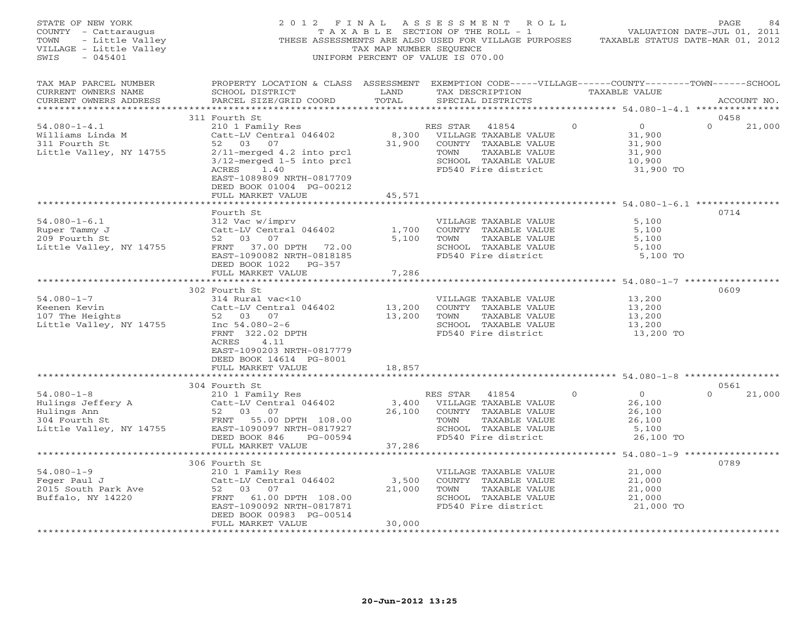| STATE OF NEW YORK<br>COUNTY - Cattaraugus<br>TOWN<br>- Little Valley<br>VILLAGE - Little Valley<br>$-045401$<br>SWIS | 2012 FINAL                                                                                                                                                                                                        | TAX MAP NUMBER SEOUENCE    | ASSESSMENT ROLL<br>T A X A B L E SECTION OF THE ROLL - 1<br>THESE ASSESSMENTS ARE ALSO USED FOR VILLAGE PURPOSES<br>UNIFORM PERCENT OF VALUE IS 070.00 |          | VALUATION DATE-JUL 01, 2011<br>TAXABLE STATUS DATE-MAR 01, 2012     | PAGE             | 84          |
|----------------------------------------------------------------------------------------------------------------------|-------------------------------------------------------------------------------------------------------------------------------------------------------------------------------------------------------------------|----------------------------|--------------------------------------------------------------------------------------------------------------------------------------------------------|----------|---------------------------------------------------------------------|------------------|-------------|
| TAX MAP PARCEL NUMBER<br>CURRENT OWNERS NAME<br>CURRENT OWNERS ADDRESS                                               | PROPERTY LOCATION & CLASS ASSESSMENT EXEMPTION CODE-----VILLAGE------COUNTY-------TOWN------SCHOOL<br>SCHOOL DISTRICT<br>PARCEL SIZE/GRID COORD                                                                   | LAND<br>TOTAL              | TAX DESCRIPTION<br>SPECIAL DISTRICTS                                                                                                                   |          | TAXABLE VALUE                                                       |                  | ACCOUNT NO. |
|                                                                                                                      | 311 Fourth St                                                                                                                                                                                                     |                            |                                                                                                                                                        |          |                                                                     | 0458             |             |
| $54.080 - 1 - 4.1$<br>Williams Linda M<br>311 Fourth St<br>Little Valley, NY 14755                                   | 210 1 Family Res<br>Catt-LV Central 046402<br>52 03 07<br>2/11-merged 4.2 into prcl<br>3/12-merged 1-5 into prcl<br>ACRES<br>1.40<br>EAST-1089809 NRTH-0817709<br>DEED BOOK 01004 PG-00212<br>FULL MARKET VALUE   | 8,300<br>31,900<br>45,571  | RES STAR<br>41854<br>VILLAGE TAXABLE VALUE<br>COUNTY TAXABLE VALUE<br>TOWN<br>TAXABLE VALUE<br>SCHOOL TAXABLE VALUE<br>FD540 Fire district             | $\circ$  | $\overline{0}$<br>31,900<br>31,900<br>31,900<br>10,900<br>31,900 TO | $\Omega$         | 21,000      |
|                                                                                                                      | *******************                                                                                                                                                                                               | ************               |                                                                                                                                                        |          | $**************************54.080-1-6.1*****************$           |                  |             |
| $54.080 - 1 - 6.1$<br>Ruper Tammy J<br>209 Fourth St<br>Little Valley, NY 14755                                      | Fourth St<br>312 Vac w/imprv<br>Catt-LV Central 046402<br>52 03 07<br>FRNT 37.00 DPTH 72.00<br>EAST-1090082 NRTH-0818185<br>DEED BOOK 1022 PG-357<br>FULL MARKET VALUE                                            | 1,700<br>5,100<br>7,286    | VILLAGE TAXABLE VALUE<br>COUNTY TAXABLE VALUE<br>TOWN<br>TAXABLE VALUE<br>SCHOOL TAXABLE VALUE<br>FD540 Fire district                                  |          | 5,100<br>5,100<br>5,100<br>5,100<br>5,100 TO                        | 0714             |             |
|                                                                                                                      | *************************                                                                                                                                                                                         |                            |                                                                                                                                                        |          |                                                                     | 0609             |             |
| $54.080 - 1 - 7$<br>Keenen Kevin<br>107 The Heights<br>Little Valley, NY 14755                                       | 302 Fourth St<br>314 Rural vac<10<br>Catt-LV Central 046402<br>52 03 07<br>Inc $54.080 - 2 - 6$<br>FRNT 322.02 DPTH<br>ACRES<br>4.11<br>EAST-1090203 NRTH-0817779<br>DEED BOOK 14614 PG-8001<br>FULL MARKET VALUE | 13,200<br>13,200<br>18,857 | VILLAGE TAXABLE VALUE<br>COUNTY TAXABLE VALUE<br>TOWN<br>TAXABLE VALUE<br>SCHOOL TAXABLE VALUE<br>FD540 Fire district                                  |          | 13,200<br>13,200<br>13,200<br>13,200<br>13,200 TO                   |                  |             |
|                                                                                                                      |                                                                                                                                                                                                                   |                            |                                                                                                                                                        |          |                                                                     |                  |             |
| $54.080 - 1 - 8$<br>Hulings Jeffery A<br>Hulings Ann<br>304 Fourth St<br>Little Valley, NY 14755                     | 304 Fourth St<br>210 1 Family Res<br>Catt-LV Central 046402<br>52 03 07<br>FRNT 55.00 DPTH 108.00<br>EAST-1090097 NRTH-0817927<br>DEED BOOK 846<br>PG-00594<br>FULL MARKET VALUE                                  | 3,400<br>26,100<br>37,286  | RES STAR 41854<br>VILLAGE TAXABLE VALUE<br>COUNTY TAXABLE VALUE<br>TAXABLE VALUE<br>TOWN<br>SCHOOL TAXABLE VALUE<br>FD540 Fire district                | $\Omega$ | $\overline{0}$<br>26,100<br>26,100<br>26,100<br>5,100<br>26,100 TO  | 0561<br>$\Omega$ | 21,000      |
|                                                                                                                      |                                                                                                                                                                                                                   |                            |                                                                                                                                                        |          |                                                                     |                  |             |
| $54.080 - 1 - 9$<br>Feger Paul J<br>2015 South Park Ave<br>Buffalo, NY 14220                                         | 306 Fourth St<br>210 1 Family Res<br>Catt-LV Central 046402<br>52<br>03 07<br>FRNT 61.00 DPTH 108.00<br>EAST-1090092 NRTH-0817871<br>DEED BOOK 00983 PG-00514                                                     | 3,500<br>21,000<br>30,000  | VILLAGE TAXABLE VALUE<br>COUNTY TAXABLE VALUE<br>TAXABLE VALUE<br>TOWN<br>SCHOOL TAXABLE VALUE<br>FD540 Fire district                                  |          | 21,000<br>21,000<br>21,000<br>21,000<br>21,000 TO                   | 0789             |             |
| ******************************                                                                                       | FULL MARKET VALUE<br>******************                                                                                                                                                                           | * * * * * * * * * * *      |                                                                                                                                                        |          |                                                                     |                  |             |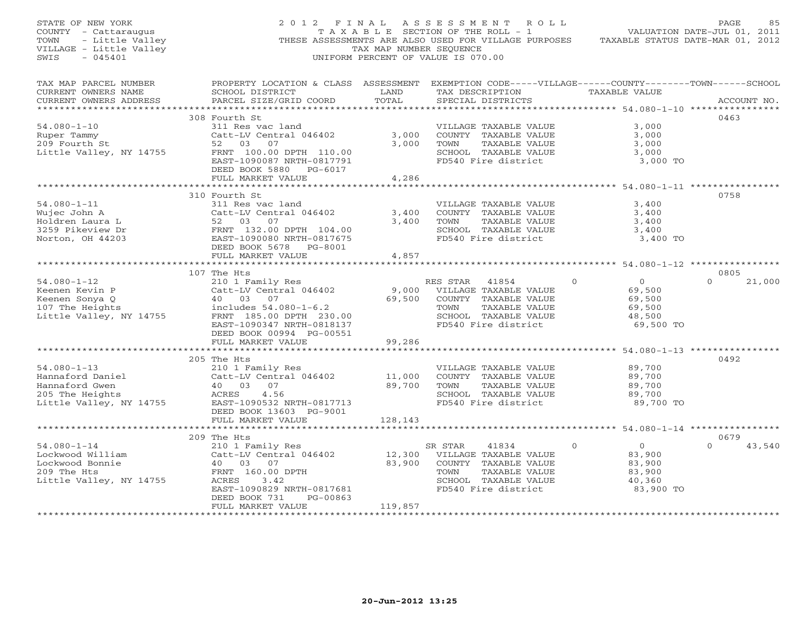| STATE OF NEW YORK<br>COUNTY - Cattaraugus<br>TOWN<br>- Little Valley<br>VILLAGE - Little Valley<br>SWIS<br>$-045401$          |                                                                                                                                                                                                                        | TAX MAP NUMBER SEQUENCE                            | 2012 FINAL ASSESSMENT ROLL<br>T A X A B L E SECTION OF THE ROLL - 1<br>THESE ASSESSMENTS ARE ALSO USED FOR VILLAGE PURPOSES<br>UNIFORM PERCENT OF VALUE IS 070.00 |                                                                                                                   | PAGE<br>85<br>VALUATION DATE-JUL 01, 2011<br>TAXABLE STATUS DATE-MAR 01, 2012 |
|-------------------------------------------------------------------------------------------------------------------------------|------------------------------------------------------------------------------------------------------------------------------------------------------------------------------------------------------------------------|----------------------------------------------------|-------------------------------------------------------------------------------------------------------------------------------------------------------------------|-------------------------------------------------------------------------------------------------------------------|-------------------------------------------------------------------------------|
| TAX MAP PARCEL NUMBER<br>CURRENT OWNERS NAME<br>CURRENT OWNERS ADDRESS                                                        | PROPERTY LOCATION & CLASS ASSESSMENT EXEMPTION CODE-----VILLAGE------COUNTY-------TOWN------SCHOOL<br>SCHOOL DISTRICT<br>PARCEL SIZE/GRID COORD                                                                        | LAND<br>TOTAL                                      | SPECIAL DISTRICTS                                                                                                                                                 | TAX DESCRIPTION TAXABLE VALUE                                                                                     | ACCOUNT NO.                                                                   |
|                                                                                                                               | 308 Fourth St                                                                                                                                                                                                          |                                                    |                                                                                                                                                                   |                                                                                                                   | 0463                                                                          |
| $54.080 - 1 - 10$<br>Ruper Tammy<br>209 Fourth St<br>Little Valley, NY 14755                                                  | 311 Res vac land<br>Catt-LV Central 046402<br>52 03<br>07<br>FRNT 100.00 DPTH 110.00<br>EAST-1090087 NRTH-0817791<br>DEED BOOK 5880 PG-6017                                                                            | 3,000<br>3,000                                     | VILLAGE TAXABLE VALUE<br>COUNTY TAXABLE VALUE<br>TOWN<br>TAXABLE VALUE<br>SCHOOL TAXABLE VALUE<br>FD540 Fire district                                             | 3,000<br>3,000<br>3,000<br>3,000<br>3,000 TO                                                                      |                                                                               |
|                                                                                                                               | FULL MARKET VALUE                                                                                                                                                                                                      | 4,286                                              |                                                                                                                                                                   |                                                                                                                   |                                                                               |
| $54.080 - 1 - 11$<br>Wujec John A<br>Holdren Laura L<br>3259 Pikeview Dr<br>Norton, OH 44203                                  | 310 Fourth St<br>311 Res vac land<br>Catt-LV Central 046402<br>52 03 07<br>FRNT 132.00 DPTH 104.00<br>EAST-1090080 NRTH-0917655<br>DEED BOOK 5678 PG-8001                                                              | 3,400<br>3,400                                     | VILLAGE TAXABLE VALUE<br>COUNTY TAXABLE VALUE<br>TOWN<br>TAXABLE VALUE<br>SCHOOL TAXABLE VALUE<br>FD540 Fire district                                             | ************************************ 54.080-1-11 ****************<br>3,400<br>3,400<br>3,400<br>3,400<br>3,400 TO | 0758                                                                          |
|                                                                                                                               | FULL MARKET VALUE                                                                                                                                                                                                      | 4,857                                              |                                                                                                                                                                   |                                                                                                                   |                                                                               |
|                                                                                                                               |                                                                                                                                                                                                                        |                                                    |                                                                                                                                                                   |                                                                                                                   |                                                                               |
| $54.080 - 1 - 12$<br>Keenen Kevin P<br>Keenen Sonya Q<br>107 The Heights<br>Little Valley, NY 14755                           | 107 The Hts<br>210 1 Family Res<br>Catt-LV Central 046402<br>40 03 07<br>includes 54.080-1-6.2<br>FRNT 185.00 DPTH 230.00<br>EAST-1090347 NRTH-0818137<br>DEED BOOK 00994 PG-00551                                     | 9,000<br>69,500                                    | RES STAR<br>41854<br>VILLAGE TAXABLE VALUE<br>COUNTY TAXABLE VALUE<br>TAXABLE VALUE<br>TOWN<br>SCHOOL TAXABLE VALUE<br>FD540 Fire district                        | $\Omega$<br>$\overline{0}$<br>69,500<br>69,500<br>69,500<br>48,500<br>69,500 TO                                   | 0805<br>$\Omega$<br>21,000                                                    |
|                                                                                                                               | FULL MARKET VALUE                                                                                                                                                                                                      | 99,286                                             |                                                                                                                                                                   |                                                                                                                   |                                                                               |
| $54.080 - 1 - 13$<br>Hannaford Daniel<br>Hannaford Gwen<br>205 The Heights<br>205 The Heights<br>Little Valley, NY 14755      | ************************<br>205 The Hts<br>210 1 Family Res<br>Catt-LV Central 046402<br>07<br>40 03<br>ACRES<br>4.56<br>EAST-1090532 NRTH-0817713<br>DEED BOOK 13603 PG-9001                                          | 11,000<br>89,700                                   | VILLAGE TAXABLE VALUE<br>COUNTY TAXABLE VALUE<br>TAXABLE VALUE<br>TOWN<br>SCHOOL TAXABLE VALUE<br>FD540 Fire district                                             | 89,700<br>89,700<br>89,700<br>89,700<br>89,700 TO                                                                 | 0492                                                                          |
|                                                                                                                               | FULL MARKET VALUE                                                                                                                                                                                                      | 128,143                                            |                                                                                                                                                                   |                                                                                                                   |                                                                               |
|                                                                                                                               |                                                                                                                                                                                                                        |                                                    |                                                                                                                                                                   |                                                                                                                   |                                                                               |
| $54.080 - 1 - 14$<br>Lockwood William<br>Lockwood Bonnie<br>209 The Hts<br>Little Valley, NY 14755<br>*********************** | 209 The Hts<br>210 1 Family Res<br>Catt-LV Central 046402<br>40 03 07<br>FRNT 160.00 DPTH<br>3.42<br>ACRES<br>EAST-1090829 NRTH-0817681<br>PG-00863<br>DEED BOOK 731<br>FULL MARKET VALUE<br>************************* | 12,300<br>83,900<br>119,857<br>******************* | SR STAR<br>41834<br>VILLAGE TAXABLE VALUE<br>COUNTY TAXABLE VALUE<br>TOWN<br>TAXABLE VALUE<br>SCHOOL TAXABLE VALUE<br>FD540 Fire district                         | $\overline{0}$<br>$\Omega$<br>83,900<br>83,900<br>83,900<br>40,360<br>83,900 TO                                   | 0679<br>$\Omega$<br>43,540                                                    |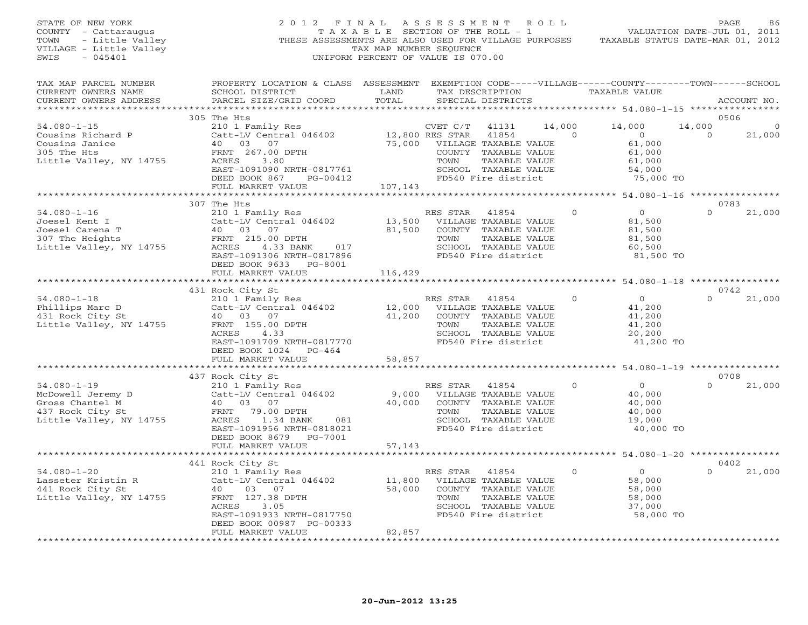| STATE OF NEW YORK<br>COUNTY - Cattaraugus<br>TOWN<br>- Little Valley<br>VILLAGE - Little Valley<br>$-045401$<br>SWIS | 2012 FINAL<br>THESE ASSESSMENTS ARE ALSO USED FOR VILLAGE PURPOSES                                                                                                                                                            | T A X A B L E SECTION OF THE ROLL - 1<br>TAX MAP NUMBER SEQUENCE<br>UNIFORM PERCENT OF VALUE IS 070.00 | ASSESSMENT ROLL        |                                                                                                                        |                          | VALUATION DATE-JUL 01, 2011<br>TAXABLE STATUS DATE-MAR 01, 2012               | PAGE                         |                          |
|----------------------------------------------------------------------------------------------------------------------|-------------------------------------------------------------------------------------------------------------------------------------------------------------------------------------------------------------------------------|--------------------------------------------------------------------------------------------------------|------------------------|------------------------------------------------------------------------------------------------------------------------|--------------------------|-------------------------------------------------------------------------------|------------------------------|--------------------------|
| TAX MAP PARCEL NUMBER<br>CURRENT OWNERS NAME<br>CURRENT OWNERS ADDRESS                                               | PROPERTY LOCATION & CLASS ASSESSMENT EXEMPTION CODE-----VILLAGE------COUNTY-------TOWN------SCHOOL<br>SCHOOL DISTRICT<br>PARCEL SIZE/GRID COORD                                                                               | LAND<br>TOTAL                                                                                          |                        | SPECIAL DISTRICTS                                                                                                      |                          | TAX DESCRIPTION TAXABLE VALUE                                                 |                              | ACCOUNT NO.              |
| $54.080 - 1 - 15$<br>Cousins Richard P<br>Cousins Janice<br>305 The Hts<br>Little Valley, NY 14755                   | 305 The Hts<br>210 1 Family Res<br>Catt-LV Central 046402<br>40 03 07 12,800 RES STAR 41854<br>40 03 07 75,000 VILLAGE TAXABLE VALUE<br>FRNT 267.00 DPTH<br>ACRES 3.80<br>EAST-1091090 NRTH-0817761<br>DEED BOOK 867 PG-00412 |                                                                                                        | CVET C/T<br>TOWN       | 41131<br>COUNTY TAXABLE VALUE<br>TAXABLE VALUE<br>SCHOOL TAXABLE VALUE<br>FD540 Fire district                          | 14,000<br>$\overline{O}$ | 14,000<br>$\overline{0}$<br>61,000<br>61,000<br>61,000<br>54,000<br>75,000 TO | 0506<br>14,000<br>$\bigcirc$ | $\overline{0}$<br>21,000 |
|                                                                                                                      | FULL MARKET VALUE                                                                                                                                                                                                             | 107,143                                                                                                |                        |                                                                                                                        |                          |                                                                               |                              |                          |
| $54.080 - 1 - 16$<br>Joesel Kent I<br>Joesel Carena T<br>307 The Heights<br>Little Valley, NY 14755                  | 307 The Hts<br>210 1 Family Res<br>Catt-LV Central 046402<br>40 03 07 81<br>FRNT 215.00 DPTH<br>ACRES 4.33 BANK 017<br>EAST-1091306 NRTH-0817896                                                                              | 13,500 VILLAGE TAXABLE VALUE<br>81,500                                                                 | RES STAR<br>TOWN       | 41854<br>COUNTY TAXABLE VALUE<br>TAXABLE VALUE<br>SCHOOL TAXABLE VALUE<br>FD540 Fire district                          | $\mathbf{0}$             | $\overline{0}$<br>81,500<br>81,500<br>81,500<br>60,500<br>81,500 TO           | 0783<br>$\Omega$             | 21,000                   |
|                                                                                                                      | DEED BOOK 9633 PG-8001<br>FULL MARKET VALUE<br>************************                                                                                                                                                       | 116,429                                                                                                |                        |                                                                                                                        |                          |                                                                               | 0742                         |                          |
| $54.080 - 1 - 18$<br>Phillips Marc D<br>431 Rock City St<br>Little Valley, NY 14755                                  | 431 Rock City St<br>210 1 Family Res<br>Catt-LV Central 046402<br>40 03 07<br>FRNT 155.00 DPTH<br>ACRES<br>4.33<br>EAST-1091709 NRTH-0817770<br>DEED BOOK 1024 PG-464                                                         | F<br>12,000<br>41,200                                                                                  | RES STAR<br>TOWN       | 41854<br>VILLAGE TAXABLE VALUE<br>COUNTY TAXABLE VALUE<br>TAXABLE VALUE<br>SCHOOL TAXABLE VALUE<br>FD540 Fire district | $\Omega$                 | $\overline{O}$<br>41,200<br>41,200<br>41,200<br>20,200<br>41,200 TO           |                              | 21,000                   |
|                                                                                                                      | FULL MARKET VALUE                                                                                                                                                                                                             | 58,857                                                                                                 |                        |                                                                                                                        |                          |                                                                               |                              |                          |
|                                                                                                                      | *****************<br>437 Rock City St                                                                                                                                                                                         |                                                                                                        |                        |                                                                                                                        |                          | *********** 54.080-1-19 *****************                                     | 0708                         |                          |
| $54.080 - 1 - 19$<br>McDowell Jeremy D<br>Gross Chantel M<br>437 Rock City St<br>Little Valley, NY 14755             | 210 1 Family Res<br>Catt-LV Central 046402<br>40 03 07<br>FRNT 79.00 DPTH<br>ACRES<br>1.34 BANK<br>081<br>EAST-1091956 NRTH-0818021                                                                                           | 9,000<br>40,000                                                                                        | RES STAR 41854<br>TOWN | VILLAGE TAXABLE VALUE<br>COUNTY TAXABLE VALUE<br>TAXABLE VALUE<br>SCHOOL TAXABLE VALUE<br>FD540 Fire district          | $\Omega$                 | $\overline{0}$<br>40,000<br>40,000<br>40,000<br>19,000<br>40,000 TO           | $\Omega$                     | 21,000                   |
|                                                                                                                      | DEED BOOK 8679 PG-7001<br>FULL MARKET VALUE                                                                                                                                                                                   | 57,143                                                                                                 |                        |                                                                                                                        |                          |                                                                               |                              |                          |
| $54.080 - 1 - 20$<br>Lasseter Kristin R<br>441 Rock City St<br>Little Valley, NY 14755                               | 441 Rock City St<br>210 1 Family Res<br>Catt-LV Central 046402<br>40<br>03 07<br>FRNT 127.38 DPTH<br>ACRES<br>3.05<br>EAST-1091933 NRTH-0817750<br>DEED BOOK 00987 PG-00333<br>FULL MARKET VALUE                              | 11,800<br>58,000<br>82,857                                                                             | RES STAR<br>TOWN       | 41854<br>VILLAGE TAXABLE VALUE<br>COUNTY TAXABLE VALUE<br>TAXABLE VALUE<br>SCHOOL TAXABLE VALUE<br>FD540 Fire district | $\Omega$                 | $\overline{0}$<br>58,000<br>58,000<br>58,000<br>37,000<br>58,000 TO           | 0402<br>$\Omega$             | 21,000                   |
|                                                                                                                      |                                                                                                                                                                                                                               | + + + + + + + + + + + +                                                                                |                        |                                                                                                                        |                          |                                                                               |                              |                          |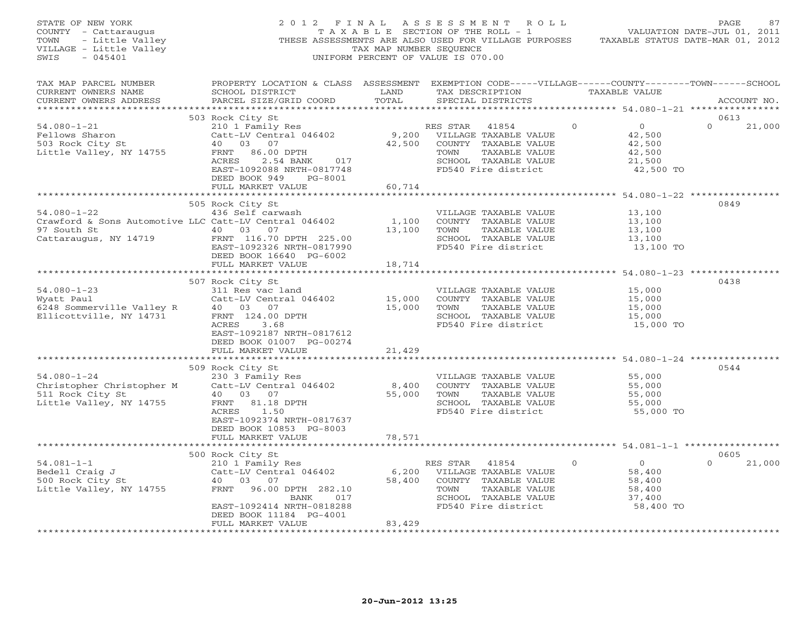| STATE OF NEW YORK<br>SIALE OF NEW YORK<br>COUNTY - Cattaraugus<br>TAXABLE SECTION OF THE ROLL - 1<br>TOWN - Little Valley<br>THESE ASSESSMENTS ARE ALSO USED FOR VILLAGE PURPOSES<br>TAXABLE STATUS DATE-MAR 01, 2012<br>THESE ASSESSMENT ARE NUMBER SEQUENCE<br><br>$-045401$<br>SWIS |                                                                                                                                                                                                                                                                                                                     |                          | 2012 FINAL ASSESSMENT ROLL<br>UNIFORM PERCENT OF VALUE IS 070.00                                                                                                     |                                                                                  | PAGE<br>87                              |
|----------------------------------------------------------------------------------------------------------------------------------------------------------------------------------------------------------------------------------------------------------------------------------------|---------------------------------------------------------------------------------------------------------------------------------------------------------------------------------------------------------------------------------------------------------------------------------------------------------------------|--------------------------|----------------------------------------------------------------------------------------------------------------------------------------------------------------------|----------------------------------------------------------------------------------|-----------------------------------------|
| TAX MAP PARCEL NUMBER<br>CURRENT OWNERS NAME<br>CURRENT OWNERS ADDRESS                                                                                                                                                                                                                 | PROPERTY LOCATION & CLASS ASSESSMENT EXEMPTION CODE-----VILLAGE------COUNTY-------TOWN------SCHOOL                                                                                                                                                                                                                  |                          |                                                                                                                                                                      |                                                                                  | ACCOUNT NO.                             |
| $54.080 - 1 - 21$<br>Fellows Sharon<br>503 Rock City St<br>Little Valley, NY 14755                                                                                                                                                                                                     | 503 Rock City St<br>3 Rock City St<br>210 1 Family Res<br>Catt-LV Central 046402 9,200 VILLAGE TAXABLE VALUE<br>40 03 07 42,500 COUNTY TAXABLE VALUE<br>42,500 FRNT 86.00 DPTH<br>ACRES 2.54 BANK 017 TOWN TAXABLE VALUE<br>EAST 1092088 NRTH-0817748 FD540 Fi<br>DEED BOOK 949 PG-8001<br>FULL MARKET VALUE        | 60,714                   |                                                                                                                                                                      |                                                                                  | 0613<br>$\Omega$<br>21,000<br>42,500 TO |
| 54.080-1-22<br>436 Self carwash<br>Crawford & Sons Automotive LLC Catt-LV Central 046402<br>97 South St<br>2010 03 07<br>Cattaraugus, NY 14719<br>TAXABLE VALUE<br>225.00<br>TAXABLE VALUE<br>225.00<br>TAXABLE VALUE<br>225.00<br>TOWN TAXABLE VALUE<br>                              | 505 Rock City St<br>EAST-1092326 NRTH-0817990<br>DEED BOOK 16640 PG-6002<br>FULL MARKET VALUE                                                                                                                                                                                                                       | **************<br>18,714 | FD540 Fire district                                                                                                                                                  | 13,100<br>13,100<br>13,100<br>13,100                                             | 0849<br>13,100 TO                       |
| 54.080-1-23<br>507 KOCK CILY 50<br>311 Res vac land<br>Catt-LV Central 046402<br>Catt-LV Central 046402<br>Catt-LV Central 046402<br>15,000 COUNTY TAXABLE VALUE<br>15,000 COUNTY TAXABLE VALUE<br>15,000 TOWN TAXABLE VALUE<br>15,000 ISON TOWN                                       | 507 Rock City St<br>EAST-1092187 NRTH-0817612<br>DEED BOOK 01007 PG-00274<br>FULL MARKET VALUE                                                                                                                                                                                                                      | 21,429                   |                                                                                                                                                                      | 15,000 TO                                                                        | 0438                                    |
| $54.080 - 1 - 24$<br>Christopher Christopher M<br>511 Rock City St<br>Little Valley, NY 14755                                                                                                                                                                                          | 509 Rock City St<br>Rock City St<br>230 3 Family Res<br>Catt-LV Central 046402 8,400 COUNTY TAXABLE VALUE<br>40 03 07 55,000 TOWN TAXABLE VALUE<br>FRNT 81.18 DPTH 555,000 FOWN SCHOOL TAXABLE VALUE<br>7CPFS 1.50 FD540 Fire district<br>EAST-1092374 NRTH-0817637<br>DEED BOOK 10853 PG-8003<br>FULL MARKET VALUE | 78,571                   | VILLAGE TAXABLE VALUE 55,000<br>COUNTY TAXABLE VALUE 55,000<br>TOWN TAXABLE VALUE 55,000<br>SCHOOL TAXABLE VALUE 55,000<br>FD540 Fire district 55,000 TO             |                                                                                  | 0544                                    |
| 500 Rock City St<br>54.081-1-1<br>Bedell Craig J<br>500 Rock City St<br>500 Rock City St<br>40 03 07<br>Little Valley, NY 14755<br>FRNT 96.00 DPTH 282.10                                                                                                                              | BANK 017<br>EAST-1092414 NRTH-0818288<br>DEED BOOK 11184 PG-4001                                                                                                                                                                                                                                                    |                          | KES STAR 41854 0<br>6,200 VILLAGE TAXABLE VALUE<br>58,400 COUNTY TAXABLE VALUE<br>TOWN TAXABLE VALUE<br>SCHOOL TAXABLE VALUE 37,400<br>FD540 Fire district 58,400 TO | $\overline{0}$<br>$\begin{array}{c} 0 \\ 58,400 \\ 58,400 \\ 58,400 \end{array}$ | 0605<br>$\Omega$<br>21,000              |
| *************************                                                                                                                                                                                                                                                              | FULL MARKET VALUE<br>************************                                                                                                                                                                                                                                                                       | 83,429                   |                                                                                                                                                                      |                                                                                  |                                         |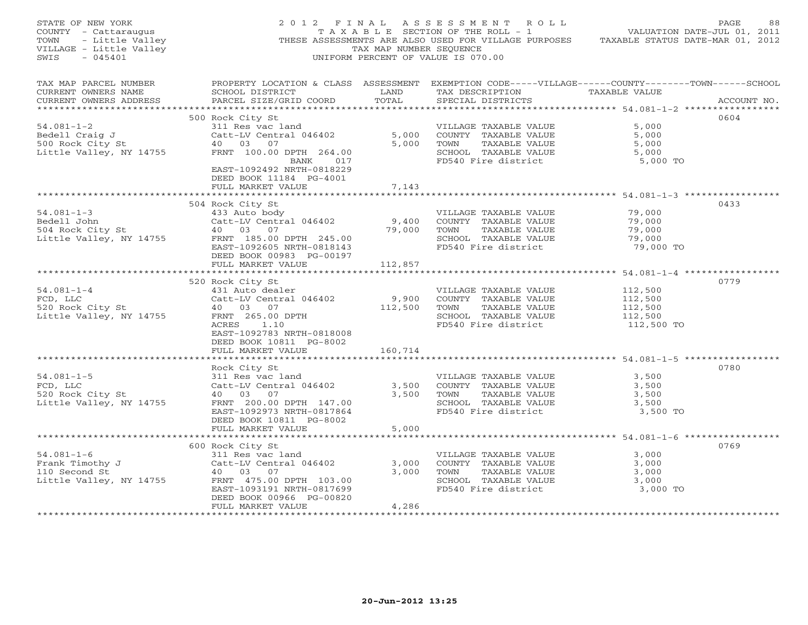| STATE OF NEW YORK<br>- - cattaraugus<br>- Little Valley<br>3E - Little Valley<br>- 045401<br>COUNTY - Cattaraugus<br>TOWN<br>VILLAGE - Little Valley<br>SWIS |                                                                                                                                                                                                                                         | TAX MAP NUMBER SEQUENCE                                                                                                         | 2012 FINAL ASSESSMENT ROLL<br>UNIFORM PERCENT OF VALUE IS 070.00                                                         | PAGE<br>T A X A B L E SECTION OF THE ROLL - 1 WALUATION DATE-JUL 01, 2011<br>THESE ASSESSMENTS ARE ALSO USED FOR VILLAGE PURPOSES TAXABLE STATUS DATE-MAR 01, 2012 | 88 |
|--------------------------------------------------------------------------------------------------------------------------------------------------------------|-----------------------------------------------------------------------------------------------------------------------------------------------------------------------------------------------------------------------------------------|---------------------------------------------------------------------------------------------------------------------------------|--------------------------------------------------------------------------------------------------------------------------|--------------------------------------------------------------------------------------------------------------------------------------------------------------------|----|
| TAX MAP PARCEL NUMBER<br>CURRENT OWNERS NAME<br>CURRENT OWNERS ADDRESS                                                                                       | SCHOOL DISTRICT<br>PARCEL SIZE/GRID COORD                                                                                                                                                                                               | <b>EXAMPLE SERVICE SERVICE SERVICE SERVICE SERVICE SERVICE SERVICE SERVICE SERVICE SERVICE SERVICE SERVICE SERVICE</b><br>TOTAL | TAX DESCRIPTION TAXABLE VALUE<br>SPECIAL DISTRICTS                                                                       | PROPERTY LOCATION & CLASS ASSESSMENT EXEMPTION CODE-----VILLAGE------COUNTY-------TOWN------SCHOOL<br>ACCOUNT NO.                                                  |    |
| $54.081 - 1 - 2$<br>Bedell Craig J<br>500 Rock City St<br>Little Valley, NY 14755                                                                            | 500 Rock City St<br>311 Res vac land<br>Catt-LV Central 046402<br>40 03 07<br>FRNT 100.00 DPTH 264.00<br>BANK 017<br>EAST-1092492 NRTH-0818229                                                                                          | 5,000<br>5,000                                                                                                                  | VILLAGE TAXABLE VALUE<br>COUNTY TAXABLE VALUE<br>TOWN TAXABLE VALUE<br>SCHOOL TAXABLE VALUE<br>FD540 Fire district       | 0604<br>5,000<br>5,000<br>5,000<br>5,000<br>5,000 TO                                                                                                               |    |
|                                                                                                                                                              | DEED BOOK 11184 PG-4001<br>FULL MARKET VALUE                                                                                                                                                                                            | 7,143                                                                                                                           |                                                                                                                          |                                                                                                                                                                    |    |
| $54.081 - 1 - 3$<br>Bedell John<br>Bedeil John<br>504 Rock City St<br>Little Valley, NY 14755<br>Little Valley, NY 14755                                     | 504 Rock City St<br>433 Auto body<br>Catt-LV Central 046402<br>40 03 07<br>40 03 07<br>FRNT 185.00 DPTH 245.00<br>EAST-1092605 NRTH-0818143<br>DEED BOOK 00983 PG-00197<br>FULL MARKET VALUE                                            | 9,400<br>79,000<br>112,857                                                                                                      | VILLAGE TAXABLE VALUE<br>COUNTY TAXABLE VALUE<br>TOWN<br>TAXABLE VALUE<br>SCHOOL TAXABLE VALUE<br>FD540 Fire district    | 0433<br>79,000<br>79,000<br>79,000<br>79,000<br>79,000 TO                                                                                                          |    |
| $54.081 - 1 - 4$<br>FCD, LLC<br>520 Rock City St<br>Little Valley, NY 14755                                                                                  | 520 Rock City St<br>431 Auto dealer<br>Catt-LV Central 046402<br>40 03 07<br>FRNT 265.00 DPTH<br>ACRES 1.10<br>EAST-1092783 NRTH-0818008<br>DEED BOOK 10811 PG-8002                                                                     | 9,900<br>112,500                                                                                                                | VILLAGE TAXABLE VALUE<br>COUNTY TAXABLE VALUE<br>TOWN TAXABLE VALUE<br>SCHOOL TAXABLE VALUE<br>FD540 Fire district       | 0779<br>112,500<br>112,500<br>112,500<br>112,500<br>112,500 TO                                                                                                     |    |
|                                                                                                                                                              | FULL MARKET VALUE                                                                                                                                                                                                                       | 160,714                                                                                                                         |                                                                                                                          |                                                                                                                                                                    |    |
| $54.081 - 1 - 5$<br>FCD, LLC<br>520 Rock City St<br>Little Valley, NY 14755                                                                                  | Rock City St<br>311 Res vac land<br>$\begin{array}{r}\n\text{Cat}-\text{LV} \text{ Central} & 046402 \\ \text{Cat}-\text{LV} \text{ Central} & 046402\n\end{array}$<br>40 03 07<br>FRNT 200.00 DPTH 147.00<br>EAST-1092973 NRTH-0817864 | 3,500                                                                                                                           | VILLAGE TAXABLE VALUE<br>COUNTY TAXABLE VALUE<br>TOWN TAXABLE VALUE<br>SCHOOL TAXABLE VALUE<br>FD540 Fire district       | 0780<br>3,500<br>3,500<br>3,500<br>3,500<br>3,500 TO                                                                                                               |    |
|                                                                                                                                                              | DEED BOOK 10811 PG-8002<br>FULL MARKET VALUE                                                                                                                                                                                            | 5,000                                                                                                                           |                                                                                                                          |                                                                                                                                                                    |    |
| $54.081 - 1 - 6$<br>Frank Timothy J<br>110 Second St<br>Little Valley, NY 14755                                                                              | 600 Rock City St<br>311 Res vac land<br>Catt-LV Central 046402<br>40 03 07<br>Catt-LV Centr<br>40 03 07<br>FRNT 475.00 DPTH 103.00<br>EAST-1093191 NRTH-0817699<br>DEED BOOK 00966 PG-00820<br>FULL MARKET VALUE                        | 3,000<br>4,286                                                                                                                  | VILLAGE TAXABLE VALUE<br>COUNTY TAXABLE VALUE<br>3,000 TOWN TAXABLE VALUE<br>SCHOOL TAXABLE VALUE<br>FD540 Fire district | 0769<br>3,000<br>3,000<br>3,000<br>3,000<br>3,000 TO                                                                                                               |    |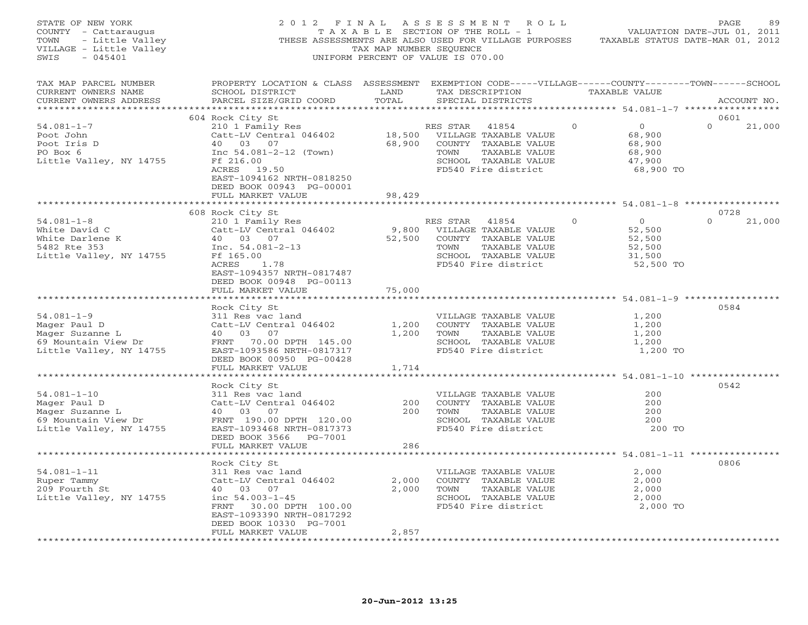| STATE OF NEW YORK<br>COUNTY - Cattaraugus<br>TOWN<br>- Little Valley<br>VILLAGE - Little Valley<br>SWIS<br>$-045401$ | 2012 FINAL<br>THESE ASSESSMENTS ARE ALSO USED FOR VILLAGE PURPOSES                                                                              | T A X A B L E SECTION OF THE ROLL - 1<br>TAX MAP NUMBER SEQUENCE<br>UNIFORM PERCENT OF VALUE IS 070.00 |                  | ASSESSMENT ROLL                                                                                                        |          |                                                              | PAGE<br>89<br>VALUATION DATE-JUL 01, 2011<br>TAXABLE STATUS DATE-MAR 01, 2012 |
|----------------------------------------------------------------------------------------------------------------------|-------------------------------------------------------------------------------------------------------------------------------------------------|--------------------------------------------------------------------------------------------------------|------------------|------------------------------------------------------------------------------------------------------------------------|----------|--------------------------------------------------------------|-------------------------------------------------------------------------------|
| TAX MAP PARCEL NUMBER<br>CURRENT OWNERS NAME<br>CURRENT OWNERS ADDRESS                                               | PROPERTY LOCATION & CLASS ASSESSMENT EXEMPTION CODE-----VILLAGE------COUNTY-------TOWN------SCHOOL<br>SCHOOL DISTRICT<br>PARCEL SIZE/GRID COORD | LAND<br>TOTAL                                                                                          | TAX DESCRIPTION  | SPECIAL DISTRICTS                                                                                                      |          | TAXABLE VALUE                                                | ACCOUNT NO.                                                                   |
|                                                                                                                      | 604 Rock City St                                                                                                                                |                                                                                                        |                  |                                                                                                                        |          |                                                              | 0601                                                                          |
| $54.081 - 1 - 7$<br>Poot John<br>Poot Iris D<br>PO Box 6<br>Little Valley, NY 14755                                  | 210 1 Family Res<br>Catt-LV Central 046402<br>40 03 07<br>Inc $54.081 - 2 - 12$ (Town)<br>Ff 216.00<br>ACRES 19.50                              | 18,500<br>68,900                                                                                       | RES STAR<br>TOWN | 41854<br>VILLAGE TAXABLE VALUE<br>COUNTY TAXABLE VALUE<br>TAXABLE VALUE<br>SCHOOL TAXABLE VALUE<br>FD540 Fire district | $\Omega$ | $\circ$<br>68,900<br>68,900<br>68,900<br>47,900<br>68,900 TO | $\Omega$<br>21,000                                                            |
|                                                                                                                      | EAST-1094162 NRTH-0818250<br>DEED BOOK 00943 PG-00001<br>FULL MARKET VALUE                                                                      | 98,429                                                                                                 |                  |                                                                                                                        |          |                                                              |                                                                               |
|                                                                                                                      | 608 Rock City St                                                                                                                                |                                                                                                        |                  |                                                                                                                        |          |                                                              | 0728                                                                          |
| $54.081 - 1 - 8$<br>White David C                                                                                    | 210 1 Family Res<br>Catt-LV Central 046402                                                                                                      | 9,800                                                                                                  | RES STAR         | 41854<br>VILLAGE TAXABLE VALUE                                                                                         | $\Omega$ | $\circ$<br>52,500                                            | $\Omega$<br>21,000                                                            |
| White Darlene K<br>5482 Rte 353<br>Little Valley, NY 14755                                                           | 40 03 07<br>Inc. $54.081 - 2 - 13$<br>Ff 165.00<br>ACRES<br>1.78<br>EAST-1094357 NRTH-0817487                                                   | 52,500                                                                                                 | TOWN             | COUNTY TAXABLE VALUE<br>TAXABLE VALUE<br>SCHOOL TAXABLE VALUE<br>FD540 Fire district                                   |          | 52,500<br>52,500<br>31,500<br>52,500 TO                      |                                                                               |
|                                                                                                                      | DEED BOOK 00948 PG-00113<br>FULL MARKET VALUE                                                                                                   | 75,000                                                                                                 |                  |                                                                                                                        |          |                                                              |                                                                               |
|                                                                                                                      | * * * * * * * * * * * * * *                                                                                                                     |                                                                                                        |                  |                                                                                                                        |          |                                                              |                                                                               |
|                                                                                                                      | Rock City St                                                                                                                                    |                                                                                                        |                  |                                                                                                                        |          |                                                              | 0584                                                                          |
| $54.081 - 1 - 9$                                                                                                     | 311 Res vac land                                                                                                                                |                                                                                                        |                  | VILLAGE TAXABLE VALUE                                                                                                  |          | 1,200                                                        |                                                                               |
| Mager Paul D<br>Mager Suzanne L                                                                                      | Catt-LV Central 046402<br>40 03 07                                                                                                              | 1,200<br>1,200                                                                                         | TOWN             | COUNTY TAXABLE VALUE<br>TAXABLE VALUE                                                                                  |          | 1,200<br>1,200                                               |                                                                               |
| 69 Mountain View Dr                                                                                                  | FRNT 70.00 DPTH 145.00                                                                                                                          |                                                                                                        |                  | SCHOOL TAXABLE VALUE                                                                                                   |          | 1,200                                                        |                                                                               |
| Little Valley, NY 14755                                                                                              | EAST-1093586 NRTH-0817317<br>DEED BOOK 00950 PG-00428                                                                                           |                                                                                                        |                  | FD540 Fire district                                                                                                    |          | 1,200 TO                                                     |                                                                               |
|                                                                                                                      | FULL MARKET VALUE<br>************************                                                                                                   | 1,714                                                                                                  |                  |                                                                                                                        |          |                                                              |                                                                               |
|                                                                                                                      | Rock City St                                                                                                                                    |                                                                                                        |                  |                                                                                                                        |          |                                                              | 0542                                                                          |
| $54.081 - 1 - 10$                                                                                                    | 311 Res vac land                                                                                                                                |                                                                                                        |                  | VILLAGE TAXABLE VALUE                                                                                                  |          | 200                                                          |                                                                               |
| Mager Paul D                                                                                                         | Catt-LV Central 046402                                                                                                                          | 200                                                                                                    |                  | COUNTY TAXABLE VALUE                                                                                                   |          | 200                                                          |                                                                               |
| Mager Suzanne L                                                                                                      | 40 03 07                                                                                                                                        | 200                                                                                                    | TOWN             | TAXABLE VALUE                                                                                                          |          | 200                                                          |                                                                               |
| 69 Mountain View Dr                                                                                                  | FRNT 190.00 DPTH 120.00                                                                                                                         |                                                                                                        |                  | SCHOOL TAXABLE VALUE                                                                                                   |          | 200                                                          |                                                                               |
| Little Valley, NY 14755                                                                                              | EAST-1093468 NRTH-0817373<br>DEED BOOK 3566<br>PG-7001<br>FULL MARKET VALUE                                                                     | 286                                                                                                    |                  | FD540 Fire district                                                                                                    |          | 200 TO                                                       |                                                                               |
|                                                                                                                      | ********************                                                                                                                            |                                                                                                        |                  |                                                                                                                        |          |                                                              |                                                                               |
|                                                                                                                      | Rock City St                                                                                                                                    |                                                                                                        |                  |                                                                                                                        |          |                                                              | 0806                                                                          |
| $54.081 - 1 - 11$                                                                                                    | 311 Res vac land                                                                                                                                |                                                                                                        |                  | VILLAGE TAXABLE VALUE                                                                                                  |          | 2,000                                                        |                                                                               |
| Ruper Tammy                                                                                                          | Catt-LV Central 046402                                                                                                                          | 2,000                                                                                                  |                  | COUNTY TAXABLE VALUE                                                                                                   |          | 2,000                                                        |                                                                               |
| 209 Fourth St                                                                                                        | 03 07<br>40                                                                                                                                     | 2,000                                                                                                  | TOWN             | TAXABLE VALUE                                                                                                          |          | 2,000                                                        |                                                                               |
| Little Valley, NY 14755                                                                                              | inc $54.003 - 1 - 45$<br>30.00 DPTH 100.00<br>FRNT<br>EAST-1093390 NRTH-0817292<br>DEED BOOK 10330 PG-7001                                      |                                                                                                        |                  | SCHOOL TAXABLE VALUE<br>FD540 Fire district                                                                            |          | 2,000<br>2,000 TO                                            |                                                                               |
|                                                                                                                      | FULL MARKET VALUE<br>.                                                                                                                          | 2,857                                                                                                  |                  |                                                                                                                        |          |                                                              |                                                                               |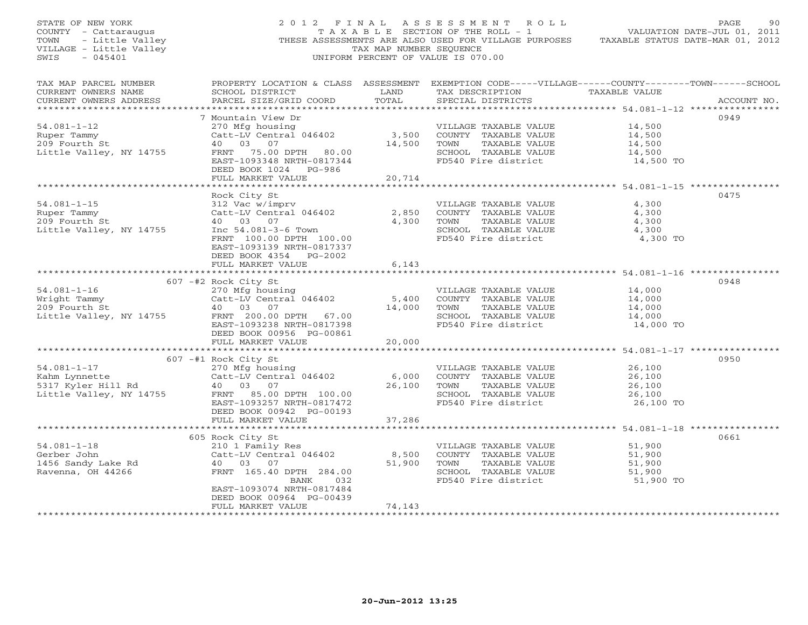| STATE OF NEW YORK<br>COUNTY - Cattaraugus<br>TOWN<br>- Little Valley<br>VILLAGE - Little Valley<br>SWIS<br>$-045401$ | 2012 FINAL                                          | TAX MAP NUMBER SEQUENCE | A S S E S S M E N T<br>ROLL<br>T A X A B L E SECTION OF THE ROLL - 1<br>THESE ASSESSMENTS ARE ALSO USED FOR VILLAGE PURPOSES<br>UNIFORM PERCENT OF VALUE IS 070.00 |                                 | 90<br>PAGE<br>VALUATION DATE-JUL 01, 2011<br>TAXABLE STATUS DATE-MAR 01, 2012 |
|----------------------------------------------------------------------------------------------------------------------|-----------------------------------------------------|-------------------------|--------------------------------------------------------------------------------------------------------------------------------------------------------------------|---------------------------------|-------------------------------------------------------------------------------|
| TAX MAP PARCEL NUMBER<br>CURRENT OWNERS NAME<br>CURRENT OWNERS ADDRESS                                               | SCHOOL DISTRICT<br>PARCEL SIZE/GRID COORD           | LAND<br>TOTAL           | PROPERTY LOCATION & CLASS ASSESSMENT EXEMPTION CODE-----VILLAGE------COUNTY-------TOWN------SCHOOL<br>TAX DESCRIPTION<br>SPECIAL DISTRICTS                         | TAXABLE VALUE                   | ACCOUNT NO.                                                                   |
|                                                                                                                      |                                                     |                         |                                                                                                                                                                    |                                 | 0949                                                                          |
| $54.081 - 1 - 12$                                                                                                    | 7 Mountain View Dr<br>270 Mfg housing               |                         | VILLAGE TAXABLE VALUE                                                                                                                                              | 14,500                          |                                                                               |
| Ruper Tammy                                                                                                          | Catt-LV Central 046402                              | 3,500                   | COUNTY TAXABLE VALUE                                                                                                                                               | 14,500                          |                                                                               |
| 209 Fourth St                                                                                                        | 40 03 07                                            | 14,500                  | TAXABLE VALUE<br>TOWN                                                                                                                                              | 14,500                          |                                                                               |
| Little Valley, NY 14755                                                                                              | FRNT 75.00 DPTH 80.00                               |                         | SCHOOL TAXABLE VALUE                                                                                                                                               | 14,500                          |                                                                               |
|                                                                                                                      | EAST-1093348 NRTH-0817344                           |                         | FD540 Fire district                                                                                                                                                | 14,500 TO                       |                                                                               |
|                                                                                                                      | DEED BOOK 1024 PG-986                               |                         |                                                                                                                                                                    |                                 |                                                                               |
|                                                                                                                      | FULL MARKET VALUE<br>**************************     | 20,714                  |                                                                                                                                                                    |                                 |                                                                               |
|                                                                                                                      | Rock City St                                        |                         |                                                                                                                                                                    |                                 | 0475                                                                          |
| $54.081 - 1 - 15$                                                                                                    | 312 Vac w/imprv                                     |                         | VILLAGE TAXABLE VALUE                                                                                                                                              | 4,300                           |                                                                               |
| Ruper Tammy                                                                                                          | Catt-LV Central 046402                              | 2,850                   | COUNTY TAXABLE VALUE                                                                                                                                               | 4,300                           |                                                                               |
| 209 Fourth St                                                                                                        | 40 03 07                                            | 4,300                   | TOWN<br>TAXABLE VALUE                                                                                                                                              | 4,300                           |                                                                               |
| Little Valley, NY 14755                                                                                              | Inc 54.081-3-6 Town                                 |                         | SCHOOL TAXABLE VALUE                                                                                                                                               | 4,300                           |                                                                               |
|                                                                                                                      | FRNT 100.00 DPTH 100.00                             |                         | FD540 Fire district                                                                                                                                                | 4,300 TO                        |                                                                               |
|                                                                                                                      | EAST-1093139 NRTH-0817337<br>DEED BOOK 4354 PG-2002 |                         |                                                                                                                                                                    |                                 |                                                                               |
|                                                                                                                      | FULL MARKET VALUE                                   | 6,143                   |                                                                                                                                                                    |                                 |                                                                               |
|                                                                                                                      |                                                     |                         |                                                                                                                                                                    |                                 |                                                                               |
|                                                                                                                      | 607 -#2 Rock City St                                |                         |                                                                                                                                                                    |                                 | 0948                                                                          |
| $54.081 - 1 - 16$                                                                                                    | 270 Mfg housing                                     |                         | VILLAGE TAXABLE VALUE                                                                                                                                              | 14,000                          |                                                                               |
| Wright Tammy                                                                                                         | Catt-LV Central 046402                              | 5,400                   | COUNTY TAXABLE VALUE                                                                                                                                               | 14,000                          |                                                                               |
| 209 Fourth St                                                                                                        | 40 03<br>07                                         | 14,000                  | TAXABLE VALUE<br>TOWN                                                                                                                                              | 14,000                          |                                                                               |
| Little Valley, NY 14755                                                                                              | FRNT 200.00 DPTH 67.00<br>EAST-1093238 NRTH-0817398 |                         | SCHOOL TAXABLE VALUE<br>FD540 Fire district                                                                                                                        | 14,000<br>14,000 TO             |                                                                               |
|                                                                                                                      | DEED BOOK 00956 PG-00861                            |                         |                                                                                                                                                                    |                                 |                                                                               |
|                                                                                                                      | FULL MARKET VALUE                                   | 20,000                  |                                                                                                                                                                    |                                 |                                                                               |
|                                                                                                                      |                                                     |                         |                                                                                                                                                                    |                                 |                                                                               |
|                                                                                                                      | 607 -#1 Rock City St                                |                         |                                                                                                                                                                    |                                 | 0950                                                                          |
| $54.081 - 1 - 17$                                                                                                    | 270 Mfg housing                                     |                         | VILLAGE TAXABLE VALUE                                                                                                                                              | 26,100                          |                                                                               |
| Kahm Lynnette                                                                                                        | Catt-LV Central 046402                              | 6,000                   | COUNTY TAXABLE VALUE                                                                                                                                               | 26,100                          |                                                                               |
| 5317 Kyler Hill Rd                                                                                                   | 40 03 07                                            | 26,100                  | TAXABLE VALUE<br>TOWN                                                                                                                                              | 26,100                          |                                                                               |
| Little Valley, NY 14755                                                                                              | FRNT 85.00 DPTH 100.00<br>EAST-1093257 NRTH-0817472 |                         | SCHOOL TAXABLE VALUE<br>FD540 Fire district                                                                                                                        | 26,100<br>26,100 TO             |                                                                               |
|                                                                                                                      | DEED BOOK 00942 PG-00193                            |                         |                                                                                                                                                                    |                                 |                                                                               |
|                                                                                                                      | FULL MARKET VALUE                                   | 37,286                  |                                                                                                                                                                    |                                 |                                                                               |
|                                                                                                                      |                                                     |                         |                                                                                                                                                                    | ****** 54.081-1-18 ************ |                                                                               |
|                                                                                                                      | 605 Rock City St                                    |                         |                                                                                                                                                                    |                                 | 0661                                                                          |
| $54.081 - 1 - 18$                                                                                                    | 210 1 Family Res                                    |                         | VILLAGE TAXABLE VALUE                                                                                                                                              | 51,900                          |                                                                               |
| Gerber John                                                                                                          | Catt-LV Central 046402                              | 8,500                   | COUNTY TAXABLE VALUE                                                                                                                                               | 51,900                          |                                                                               |
| 1456 Sandy Lake Rd<br>Ravenna, OH 44266                                                                              | 40 03 07<br>FRNT 165.40 DPTH 284.00                 | 51,900                  | TAXABLE VALUE<br>TOWN<br>SCHOOL TAXABLE VALUE                                                                                                                      | 51,900<br>51,900                |                                                                               |
|                                                                                                                      | BANK<br>032                                         |                         | FD540 Fire district                                                                                                                                                | 51,900 TO                       |                                                                               |
|                                                                                                                      | EAST-1093074 NRTH-0817484                           |                         |                                                                                                                                                                    |                                 |                                                                               |
|                                                                                                                      | DEED BOOK 00964 PG-00439                            |                         |                                                                                                                                                                    |                                 |                                                                               |
|                                                                                                                      | FULL MARKET VALUE                                   | 74,143                  |                                                                                                                                                                    |                                 |                                                                               |
| *************************                                                                                            | ***************************                         | ************            |                                                                                                                                                                    |                                 |                                                                               |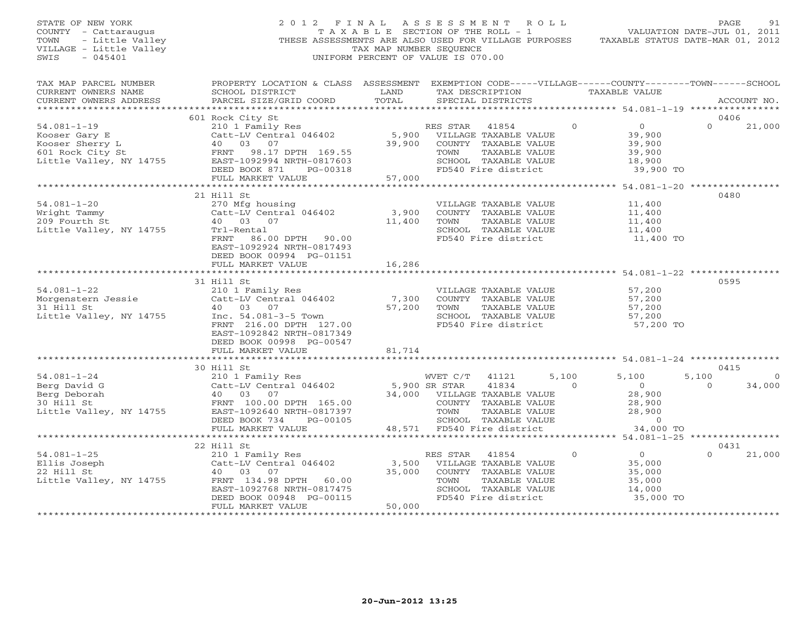### STATE OF NEW YORK 2 0 1 2 F I N A L A S S E S S M E N T R O L L PAGE 91 COUNTY - Cattaraugus T A X A B L E SECTION OF THE ROLL - 1 VALUATION DATE-JUL 01, 2011 TOWN - Little Valley ... THESE ASSESSMENTS ARE ALSO USED FOR VILLAGE PURPOSES TAXABLE STATUS DATE-MAR 01, 2012<br>VILLAGE - Little Valley ... THESE ASSESSMENTS ARE ALSO USED FOR VILLAGE PURPOSES TAXABLE STATUS DATE-MAR 01, 20 VILLAGE - Little Valley and the Communist Communist Communist Communist Communist Communist Communist Communist Communist Communist Communist Communist Communist Communist Communist Communist Communist Communist Communist SWIS - 045401 UNIFORM PERCENT OF VALUE IS 070.00

| TAX MAP PARCEL NUMBER<br>CURRENT OWNERS NAME                                                                                                                                                                                                                     | PROPERTY LOCATION & CLASS ASSESSMENT EXEMPTION CODE-----VILLAGE------COUNTY-------TOWN------SCHOOL<br>SCHOOL DISTRICT<br><b>Example 12 TEAND</b> |        | TAX DESCRIPTION                                                                           | TAXABLE VALUE |          |             |
|------------------------------------------------------------------------------------------------------------------------------------------------------------------------------------------------------------------------------------------------------------------|--------------------------------------------------------------------------------------------------------------------------------------------------|--------|-------------------------------------------------------------------------------------------|---------------|----------|-------------|
| CURRENT OWNERS ADDRESS PARCEL SIZE/GRID COORD                                                                                                                                                                                                                    |                                                                                                                                                  | TOTAL  | SPECIAL DISTRICTS                                                                         |               |          | ACCOUNT NO. |
|                                                                                                                                                                                                                                                                  |                                                                                                                                                  |        |                                                                                           |               |          |             |
|                                                                                                                                                                                                                                                                  | 601 Rock City St                                                                                                                                 |        |                                                                                           |               | 0406     |             |
| 34.081-1-19<br>Wood Kooser Gary E<br>Expect Gary E<br>Expect Gary E<br>Expect Sherry L<br>40 03 07 39,900 COUNTY TAXABLE VALUE<br>40 03 07 39,900 COUNTY TAXABLE VALUE<br>5,900 COUNTY TAXABLE VALUE<br>TOWN TAXABLE VALUE<br>TOWN TAXABLE VALUE                 |                                                                                                                                                  |        |                                                                                           |               | $\Omega$ | 21,000      |
|                                                                                                                                                                                                                                                                  |                                                                                                                                                  |        |                                                                                           |               |          |             |
|                                                                                                                                                                                                                                                                  |                                                                                                                                                  |        |                                                                                           |               |          |             |
|                                                                                                                                                                                                                                                                  |                                                                                                                                                  |        |                                                                                           |               |          |             |
|                                                                                                                                                                                                                                                                  |                                                                                                                                                  |        |                                                                                           |               |          |             |
|                                                                                                                                                                                                                                                                  |                                                                                                                                                  |        |                                                                                           |               |          |             |
|                                                                                                                                                                                                                                                                  |                                                                                                                                                  |        |                                                                                           |               |          |             |
|                                                                                                                                                                                                                                                                  |                                                                                                                                                  |        |                                                                                           |               |          |             |
|                                                                                                                                                                                                                                                                  | 21 Hill St                                                                                                                                       |        |                                                                                           |               | 0480     |             |
| 34.081-1-20<br>Wright Tammy<br>270 Mfg housing<br>Catt-LV Central 046402 3,900 COUNTY TAXABLE VALUE 11,400<br>209 Fourth St 40 03 07<br>Little Valley, NY 14755 Trl-Rental<br>ERNT 86.00 DPTH 90.00 11,400 FD540 Fire district 11,400 TOWN                       |                                                                                                                                                  |        |                                                                                           |               |          |             |
|                                                                                                                                                                                                                                                                  |                                                                                                                                                  |        |                                                                                           |               |          |             |
|                                                                                                                                                                                                                                                                  |                                                                                                                                                  |        |                                                                                           |               |          |             |
|                                                                                                                                                                                                                                                                  |                                                                                                                                                  |        |                                                                                           |               |          |             |
|                                                                                                                                                                                                                                                                  |                                                                                                                                                  |        | FD540 Fire district                                                                       |               |          |             |
|                                                                                                                                                                                                                                                                  | FRNT 86.00 DPTH 90.00<br>EAST-1092924 NPTH 90.00<br>EAST-1092924 NRTH-0817493                                                                    |        |                                                                                           |               |          |             |
|                                                                                                                                                                                                                                                                  | DEED BOOK 00994 PG-01151                                                                                                                         |        |                                                                                           |               |          |             |
|                                                                                                                                                                                                                                                                  |                                                                                                                                                  |        |                                                                                           |               |          |             |
|                                                                                                                                                                                                                                                                  |                                                                                                                                                  |        |                                                                                           |               |          |             |
|                                                                                                                                                                                                                                                                  | 31 Hill St                                                                                                                                       |        |                                                                                           |               | 0595     |             |
| 31 HILL ST<br>21 HILL ST<br>210 1 Family Res<br>210 1 Family Res<br>210 1 Family Res<br>216.00 DPTH 127.00<br>216.00 DPTH 127.00<br>216.00 DPTH 127.00<br>216.00 DPTH 127.00<br>216.00 DPTH 127.00<br>216.00 DPTH 127.00<br>216.00 DPTH 127.00<br>216.           |                                                                                                                                                  |        |                                                                                           |               |          |             |
|                                                                                                                                                                                                                                                                  |                                                                                                                                                  |        |                                                                                           |               |          |             |
|                                                                                                                                                                                                                                                                  |                                                                                                                                                  |        |                                                                                           |               |          |             |
|                                                                                                                                                                                                                                                                  |                                                                                                                                                  |        |                                                                                           |               |          |             |
|                                                                                                                                                                                                                                                                  |                                                                                                                                                  |        |                                                                                           |               |          |             |
|                                                                                                                                                                                                                                                                  | EAST-1092842 NRTH-0817349                                                                                                                        |        |                                                                                           |               |          |             |
|                                                                                                                                                                                                                                                                  | DEED BOOK 00998 PG-00547                                                                                                                         |        |                                                                                           |               |          |             |
|                                                                                                                                                                                                                                                                  | FULL MARKET VALUE                                                                                                                                | 81,714 |                                                                                           |               |          |             |
|                                                                                                                                                                                                                                                                  |                                                                                                                                                  |        |                                                                                           |               |          |             |
|                                                                                                                                                                                                                                                                  | 30 Hill St                                                                                                                                       |        |                                                                                           |               | 0415     |             |
|                                                                                                                                                                                                                                                                  |                                                                                                                                                  |        |                                                                                           |               |          |             |
|                                                                                                                                                                                                                                                                  |                                                                                                                                                  |        |                                                                                           |               |          |             |
|                                                                                                                                                                                                                                                                  |                                                                                                                                                  |        |                                                                                           |               |          |             |
|                                                                                                                                                                                                                                                                  |                                                                                                                                                  |        |                                                                                           |               |          |             |
|                                                                                                                                                                                                                                                                  |                                                                                                                                                  |        |                                                                                           |               |          |             |
|                                                                                                                                                                                                                                                                  |                                                                                                                                                  |        |                                                                                           |               |          |             |
|                                                                                                                                                                                                                                                                  |                                                                                                                                                  |        |                                                                                           |               |          |             |
|                                                                                                                                                                                                                                                                  |                                                                                                                                                  |        |                                                                                           |               |          |             |
|                                                                                                                                                                                                                                                                  | 22 Hill St                                                                                                                                       |        |                                                                                           |               | 0431     |             |
|                                                                                                                                                                                                                                                                  |                                                                                                                                                  |        |                                                                                           |               | $\Omega$ | 21,000      |
|                                                                                                                                                                                                                                                                  |                                                                                                                                                  |        |                                                                                           |               |          |             |
| 34.081-1-25<br>Ellis Joseph 22 Hill St<br>22 Hill St<br>22 Hill St<br>22 Hill St<br>22 Hill St<br>22 Hill St<br>22 Hill St<br>22 Hill St<br>22 Hill St<br>22 Hill St<br>22 Hill St<br>22 Hill St<br>23 Hill St<br>23 Hill St<br>24 03 07<br>23 15,000<br>23 16,0 |                                                                                                                                                  |        |                                                                                           |               |          |             |
|                                                                                                                                                                                                                                                                  |                                                                                                                                                  |        |                                                                                           |               |          |             |
|                                                                                                                                                                                                                                                                  |                                                                                                                                                  |        |                                                                                           |               |          |             |
|                                                                                                                                                                                                                                                                  |                                                                                                                                                  |        | TOWN TAXABLE VALUE 35,000<br>SCHOOL TAXABLE VALUE 35,000<br>FD540 Fire district 35,000 TO |               |          |             |
|                                                                                                                                                                                                                                                                  | FULL MARKET VALUE                                                                                                                                | 50,000 |                                                                                           |               |          |             |
|                                                                                                                                                                                                                                                                  |                                                                                                                                                  |        |                                                                                           |               |          |             |
|                                                                                                                                                                                                                                                                  |                                                                                                                                                  |        |                                                                                           |               |          |             |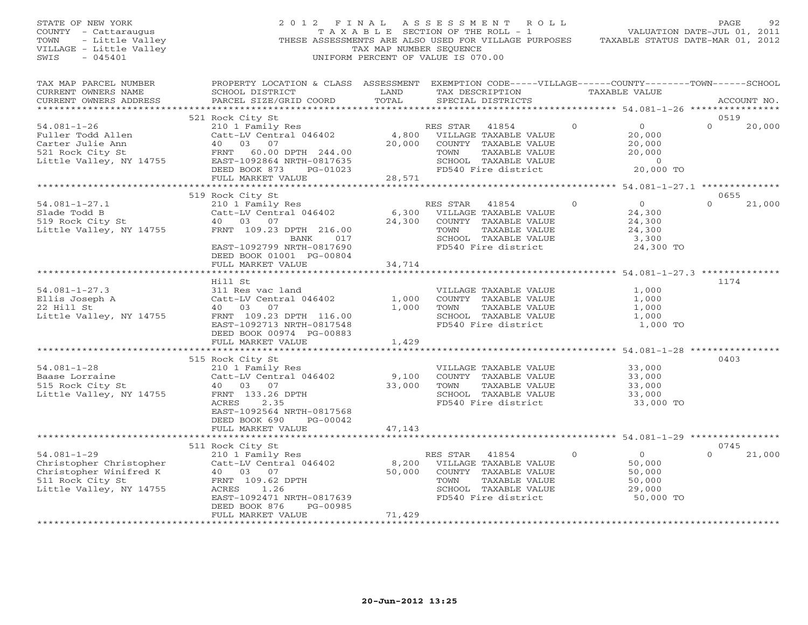STATE OF NEW YORK 2 0 1 2 F I N A L A S S E S S M E N T R O L L PAGE 92 COUNTY - Cattaraugus T A X A B L E SECTION OF THE ROLL - 1 VALUATION DATE-JUL 01, 2011 TOWN - Little Valley THESE ASSESSMENTS ARE ALSO USED FOR VILLAGE PURPOSES TAXABLE STATUS DATE-MAR 01, 2012 VILLAGE - Little Valley TAX MAP NUMBER SEQUENCE SWIS - 045401 UNIFORM PERCENT OF VALUE IS 070.00 TAX MAP PARCEL NUMBER PROPERTY LOCATION & CLASS ASSESSMENT EXEMPTION CODE-----VILLAGE------COUNTY--------TOWN------SCHOOL<br>CURRENT OWNERS NAME SCHOOL DISTRICT LAND TAX DE \*\*\*\*\*\*\*\*\*\*\*\*\*\*\*\*\*\*\*\*\*\*\*\*\*\*\*\*\*\*\*\*\*\*\*\*\*\*\*\*\*\*\*\*\*\*\*\*\*\*\*\*\*\*\*\*\*\*\*\*\*\*\*\*\*\*\*\*\*\*\*\*\*\*\*\*\*\*\*\*\*\*\*\*\*\*\*\*\*\*\*\*\*\*\*\*\*\*\*\*\*\*\* 54.081-1-26 \*\*\*\*\*\*\*\*\*\*\*\*\*\*\*\* 521 Rock City St 0519 54.081-1-26 210 1 Family Res RES STAR 41854 0 0 0 20,000 Fuller Todd Allen Catt-LV Central 046402 4,800 VILLAGE TAXABLE VALUE 20,000 Carter Julie Ann 40 03 07 20,000 COUNTY TAXABLE VALUE 20,000 521 Rock City St FRNT 60.00 DPTH 244.00 TOWN TAXABLE VALUE 20,000 Little Valley, NY 14755 EAST-1092864 NRTH-0817635 SCHOOL TAXABLE VALUE 0 DEED BOOK 873 PG-01023 FD540 Fire district 20,000 TO FULL MARKET VALUE 28,571 \*\*\*\*\*\*\*\*\*\*\*\*\*\*\*\*\*\*\*\*\*\*\*\*\*\*\*\*\*\*\*\*\*\*\*\*\*\*\*\*\*\*\*\*\*\*\*\*\*\*\*\*\*\*\*\*\*\*\*\*\*\*\*\*\*\*\*\*\*\*\*\*\*\*\*\*\*\*\*\*\*\*\*\*\*\*\*\*\*\*\*\*\*\*\*\*\*\*\*\*\*\*\* 54.081-1-27.1 \*\*\*\*\*\*\*\*\*\*\*\*\*\* 519 Rock City St 0655 54.081-1-27.1 210 1 Family Res RES STAR 41854 0 0 0 21,000 Slade Todd B Catt-LV Central 046402 6,300 VILLAGE TAXABLE VALUE 24,300 519 Rock City St 40 03 07 24,300 COUNTY TAXABLE VALUE 24,300 Little Valley, NY 14755 FRNT 109.23 DPTH 216.00 TOWN TAXABLE VALUE 24,300 BANK 017 SCHOOL TAXABLE VALUE 3,300 EAST-1092799 NRTH-0817690 FD540 Fire district 24,300 TO DEED BOOK 01001 PG-00804 FULL MARKET VALUE 34,714 \*\*\*\*\*\*\*\*\*\*\*\*\*\*\*\*\*\*\*\*\*\*\*\*\*\*\*\*\*\*\*\*\*\*\*\*\*\*\*\*\*\*\*\*\*\*\*\*\*\*\*\*\*\*\*\*\*\*\*\*\*\*\*\*\*\*\*\*\*\*\*\*\*\*\*\*\*\*\*\*\*\*\*\*\*\*\*\*\*\*\*\*\*\*\*\*\*\*\*\*\*\*\* 54.081-1-27.3 \*\*\*\*\*\*\*\*\*\*\*\*\*\* Hill St 117454.081-1-27.3 311 Res vac land VILLAGE TAXABLE VALUE 1,000 Ellis Joseph A Catt-LV Central 046402 1,000 COUNTY TAXABLE VALUE 1,000 22 Hill St 40 03 07 1,000 TOWN TAXABLE VALUE 1,000 Little Valley, NY 14755 FRNT 109.23 DPTH 116.00 SCHOOL TAXABLE VALUE 1,000 EAST-1092713 NRTH-0817548 FD540 Fire district 1,000 TO<br>DEED BOOK 00974 PG-00883 1,429<br>FULL MARKET VALUE 1,429 \*\*\*\*\*\*\*\*\*\*\*\*\*\*\*\*\*\*\*\*\*\*\*\*\*\*\*\*\*\*\*\*\*\*\*\*\*\*\*\*\*\*\*\*\*\*\*\*\*\*\*\*\*\*\*\*\*\*\*\*\*\*\*\*\*\*\*\*\*\*\*\*\*\*\*\*\*\*\*\*\*\*\*\*\*\*\*\*\*\*\*\*\*\*\*\*\*\*\*\*\*\*\* 54.081-1-28 \*\*\*\*\*\*\*\*\*\*\*\*\*\*\*\* 515 Rock City St 0403 54.081-1-28 210 1 Family Res VILLAGE TAXABLE VALUE 33,000 Baase Lorraine Catt-LV Central 046402 9,100 COUNTY TAXABLE VALUE 33,000 515 Rock City St 40 03 07 33,000 TOWN TAXABLE VALUE 33,000 Little Valley, NY 14755 FRNT 133.26 DPTH SCHOOL TAXABLE VALUE 33,000 ACRES 2.35 FD540 Fire district 33,000 TO EAST-1092564 NRTH-0817568 DEED BOOK 690 PG-00042 FULL MARKET VALUE 47,143 \*\*\*\*\*\*\*\*\*\*\*\*\*\*\*\*\*\*\*\*\*\*\*\*\*\*\*\*\*\*\*\*\*\*\*\*\*\*\*\*\*\*\*\*\*\*\*\*\*\*\*\*\*\*\*\*\*\*\*\*\*\*\*\*\*\*\*\*\*\*\*\*\*\*\*\*\*\*\*\*\*\*\*\*\*\*\*\*\*\*\*\*\*\*\*\*\*\*\*\*\*\*\* 54.081-1-29 \*\*\*\*\*\*\*\*\*\*\*\*\*\*\*\* 511 Rock City St 0745 54.081-1-29 210 1 Family Res RES STAR 41854 0 0 0 21,000 Christopher Christopher Catt-LV Central 046402 8,200 VILLAGE TAXABLE VALUE 50,000 Christopher Winifred K 40 03 07 50,000 COUNTY TAXABLE VALUE 50,000 511 Rock City St FRNT 109.62 DPTH TOWN TAXABLE VALUE 50,000 Little Valley, NY 14755 ACRES 1.26 SCHOOL TAXABLE VALUE 29,000 EAST-1092471 NRTH-0817639 FD540 Fire district 50,000 TO DEED BOOK 876 PG-00985FULL MARKET VALUE 71,429 \*\*\*\*\*\*\*\*\*\*\*\*\*\*\*\*\*\*\*\*\*\*\*\*\*\*\*\*\*\*\*\*\*\*\*\*\*\*\*\*\*\*\*\*\*\*\*\*\*\*\*\*\*\*\*\*\*\*\*\*\*\*\*\*\*\*\*\*\*\*\*\*\*\*\*\*\*\*\*\*\*\*\*\*\*\*\*\*\*\*\*\*\*\*\*\*\*\*\*\*\*\*\*\*\*\*\*\*\*\*\*\*\*\*\*\*\*\*\*\*\*\*\*\*\*\*\*\*\*\*\*\*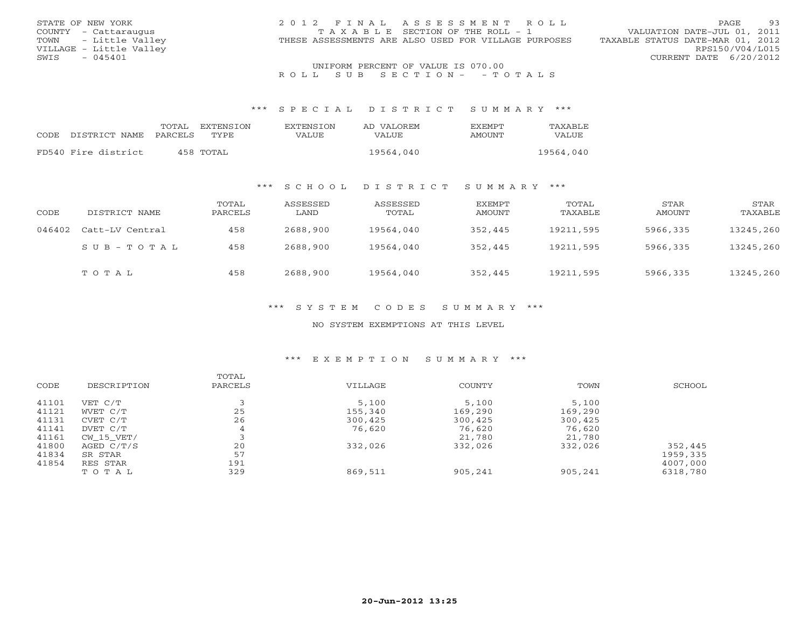| STATE OF NEW YORK       | 2012 FINAL ASSESSMENT ROLL                           | -93<br>PAGE.                     |
|-------------------------|------------------------------------------------------|----------------------------------|
| COUNTY - Cattaraugus    | T A X A B L E SECTION OF THE ROLL - 1                | VALUATION DATE-JUL 01, 2011      |
| TOWN - Little Valley    | THESE ASSESSMENTS ARE ALSO USED FOR VILLAGE PURPOSES | TAXABLE STATUS DATE-MAR 01, 2012 |
| VILLAGE - Little Valley |                                                      | RPS150/V04/L015                  |
| $-045401$<br>SWIS       |                                                      | CURRENT DATE 6/20/2012           |
|                         | UNIFORM PERCENT OF VALUE IS 070.00                   |                                  |

# UNIFORM PERCENT OF VALUE IS 070.00<br>R O L L S U B S E C T I O N – – T O T A L S

#### \*\*\* S P E C I A L D I S T R I C T S U M M A R Y \*\*\*

|                     | TOTAL          | EXTENSION | <b>EXTENSION</b> | AD VALOREM   | <b>FXFMPT</b> | TAXABLE   |
|---------------------|----------------|-----------|------------------|--------------|---------------|-----------|
| CODE DISTRICT NAME  | <b>PARCELS</b> | TYPE.     | VALUE            | <b>VALUE</b> | AMOUNT        | VALUE     |
|                     |                |           |                  |              |               |           |
| FD540 Fire district |                | 458 TOTAL |                  | 19564,040    |               | 19564,040 |

### \*\*\* S C H O O L D I S T R I C T S U M M A R Y \*\*\*

| CODE   | DISTRICT NAME   | TOTAL<br>PARCELS | ASSESSED<br>LAND | ASSESSED<br>TOTAL | EXEMPT<br>AMOUNT | TOTAL<br>TAXABLE | STAR<br>AMOUNT | STAR<br>TAXABLE |
|--------|-----------------|------------------|------------------|-------------------|------------------|------------------|----------------|-----------------|
| 046402 | Catt-LV Central | 458              | 2688,900         | 19564,040         | 352,445          | 19211,595        | 5966,335       | 13245,260       |
|        | SUB-TOTAL       | 458              | 2688,900         | 19564,040         | 352,445          | 19211,595        | 5966,335       | 13245,260       |
|        | TOTAL           | 458              | 2688,900         | 19564,040         | 352,445          | 19211,595        | 5966,335       | 13245,260       |

### \*\*\* S Y S T E M C O D E S S U M M A R Y \*\*\*

### NO SYSTEM EXEMPTIONS AT THIS LEVEL

### \*\*\* E X E M P T I O N S U M M A R Y \*\*\*

| CODE  | DESCRIPTION | TOTAL<br>PARCELS | VILLAGE | COUNTY  | TOWN    | SCHOOL   |
|-------|-------------|------------------|---------|---------|---------|----------|
| 41101 | VET C/T     |                  | 5,100   | 5,100   | 5,100   |          |
| 41121 | WVET C/T    | 25               | 155,340 | 169,290 | 169,290 |          |
| 41131 | CVET C/T    | 26               | 300,425 | 300,425 | 300,425 |          |
| 41141 | DVET C/T    | 4                | 76,620  | 76,620  | 76,620  |          |
| 41161 | CW 15 VET/  |                  |         | 21,780  | 21,780  |          |
| 41800 | AGED C/T/S  | 20               | 332,026 | 332,026 | 332,026 | 352,445  |
| 41834 | SR STAR     | 57               |         |         |         | 1959,335 |
| 41854 | RES STAR    | 191              |         |         |         | 4007,000 |
|       | TOTAL       | 329              | 869,511 | 905,241 | 905,241 | 6318,780 |
|       |             |                  |         |         |         |          |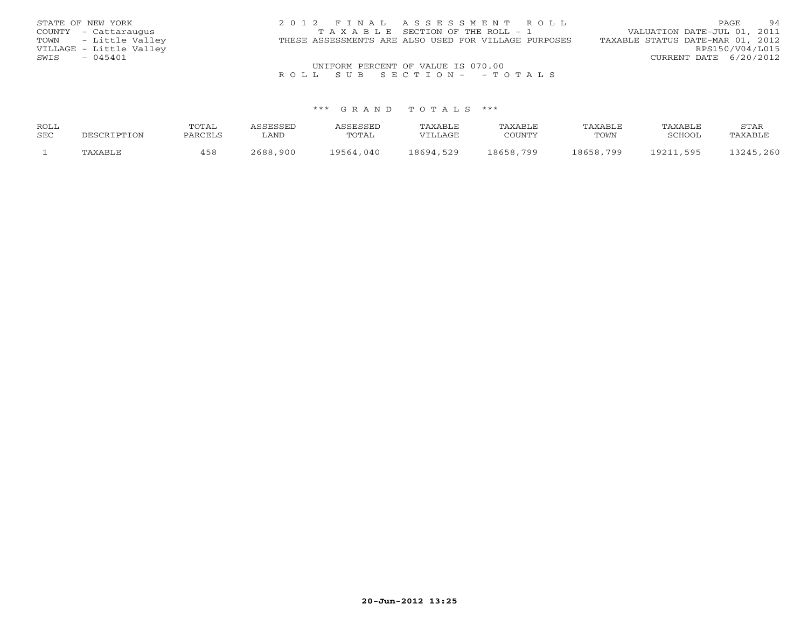| STATE OF NEW YORK       | 2012 FINAL ASSESSMENT ROLL                           | 94<br>PAGE                       |
|-------------------------|------------------------------------------------------|----------------------------------|
| COUNTY - Cattaraugus    | TAXABLE SECTION OF THE ROLL - 1                      | VALUATION DATE-JUL 01, 2011      |
| TOWN - Little Valley    | THESE ASSESSMENTS ARE ALSO USED FOR VILLAGE PURPOSES | TAXABLE STATUS DATE-MAR 01, 2012 |
| VILLAGE - Little Valley |                                                      | RPS150/V04/L015                  |
| $-045401$<br>SWIS       |                                                      | CURRENT DATE 6/20/2012           |
|                         | UNIFORM PERCENT OF VALUE IS 070.00                   |                                  |

# UNIFORM PERCENT OF VALUE IS 070.00<br>R O L L S U B S E C T I O N – – T O T A L S

| ROLL |             | TOTAL   | ASSESSED | ASSESSED  | TAXABLE   | TAXABLE   | TAXABLE   | TAXABLE   | STAR      |
|------|-------------|---------|----------|-----------|-----------|-----------|-----------|-----------|-----------|
| SEC  | DESCRIPTION | PARCELS | LAND     | TOTAL     | VILLAGE   | COUNTY    | TOWN      | SCHOOL    | TAXABLE   |
|      | TAXABLE     | 458     | 2688,900 | 19564,040 | 18694,529 | 18658,799 | 18658,799 | 19211,595 | 13245,260 |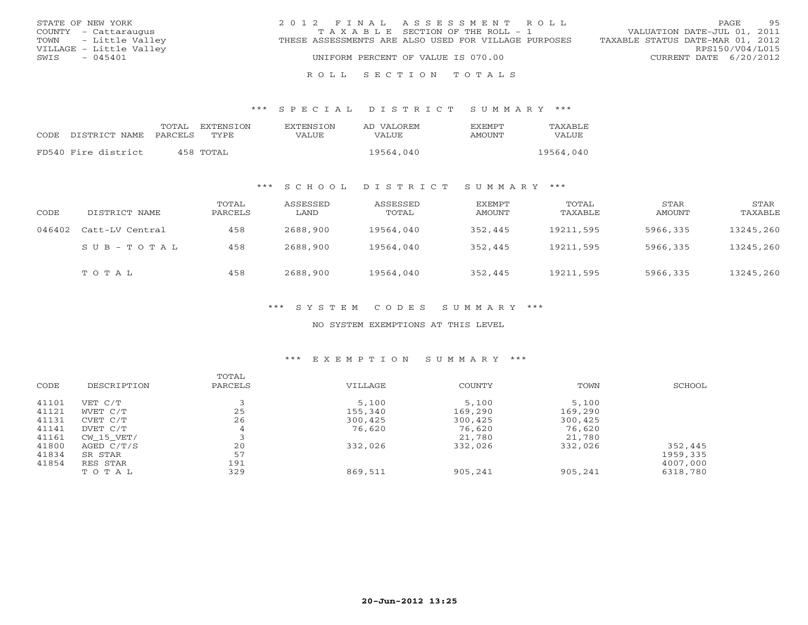| STATE OF NEW YORK       | 2012 FINAL ASSESSMENT ROLL                           | 95<br>PAGE.                      |
|-------------------------|------------------------------------------------------|----------------------------------|
| COUNTY - Cattaraugus    | T A X A B L E SECTION OF THE ROLL - 1                | VALUATION DATE-JUL 01, 2011      |
| TOWN - Little Valley    | THESE ASSESSMENTS ARE ALSO USED FOR VILLAGE PURPOSES | TAXABLE STATUS DATE-MAR 01, 2012 |
| VILLAGE - Little Valley |                                                      | RPS150/V04/L015                  |
| $-045401$<br>SWIS       | UNIFORM PERCENT OF VALUE IS 070.00                   | CURRENT DATE 6/20/2012           |
|                         |                                                      |                                  |

R O L L S E C T I O N T O T A L S

\*\*\* S P E C I A L D I S T R I C T S U M M A R Y \*\*\*

|      |                     | TOTAL   | EXTENSTON   | <b>EXTENSION</b> | AD VALOREM | <b>EXEMPT</b> | TAXABLE   |
|------|---------------------|---------|-------------|------------------|------------|---------------|-----------|
| CODE | DISTRICT NAME       | PARCELS | <b>TYPE</b> | VALUE            | VALUE      | AMOUNT        | VALUE     |
|      |                     |         |             |                  |            |               | 19564,040 |
|      | FD540 Fire district |         | 458 TOTAL   |                  | 19564,040  |               |           |

### \*\*\* S C H O O L D I S T R I C T S U M M A R Y \*\*\*

| CODE   | DISTRICT NAME       | TOTAL<br>PARCELS | ASSESSED<br>LAND | ASSESSED<br>TOTAL | EXEMPT<br>AMOUNT | TOTAL<br>TAXABLE | STAR<br>AMOUNT | STAR<br>TAXABLE |
|--------|---------------------|------------------|------------------|-------------------|------------------|------------------|----------------|-----------------|
| 046402 | Catt-LV Central     | 458              | 2688,900         | 19564,040         | 352,445          | 19211,595        | 5966,335       | 13245,260       |
|        | $S$ U B - T O T A L | 458              | 2688,900         | 19564,040         | 352,445          | 19211,595        | 5966,335       | 13245,260       |
|        | TOTAL               | 458              | 2688,900         | 19564,040         | 352,445          | 19211,595        | 5966,335       | 13245,260       |

### \*\*\* S Y S T E M C O D E S S U M M A R Y \*\*\*

### NO SYSTEM EXEMPTIONS AT THIS LEVEL

### \*\*\* E X E M P T I O N S U M M A R Y \*\*\*

| CODE  | DESCRIPTION | TOTAL<br>PARCELS | VILLAGE | COUNTY  | TOWN    | SCHOOL   |
|-------|-------------|------------------|---------|---------|---------|----------|
| 41101 | VET C/T     |                  | 5,100   | 5,100   | 5,100   |          |
| 41121 | WVET C/T    | 25               | 155,340 | 169,290 | 169,290 |          |
| 41131 | CVET C/T    | 26               | 300,425 | 300,425 | 300,425 |          |
| 41141 | DVET C/T    | 4                | 76,620  | 76,620  | 76,620  |          |
| 41161 | CW 15 VET/  |                  |         | 21,780  | 21,780  |          |
| 41800 | AGED C/T/S  | 20               | 332,026 | 332,026 | 332,026 | 352,445  |
| 41834 | SR STAR     | 57               |         |         |         | 1959,335 |
| 41854 | RES STAR    | 191              |         |         |         | 4007,000 |
|       | TOTAL       | 329              | 869,511 | 905,241 | 905,241 | 6318,780 |
|       |             |                  |         |         |         |          |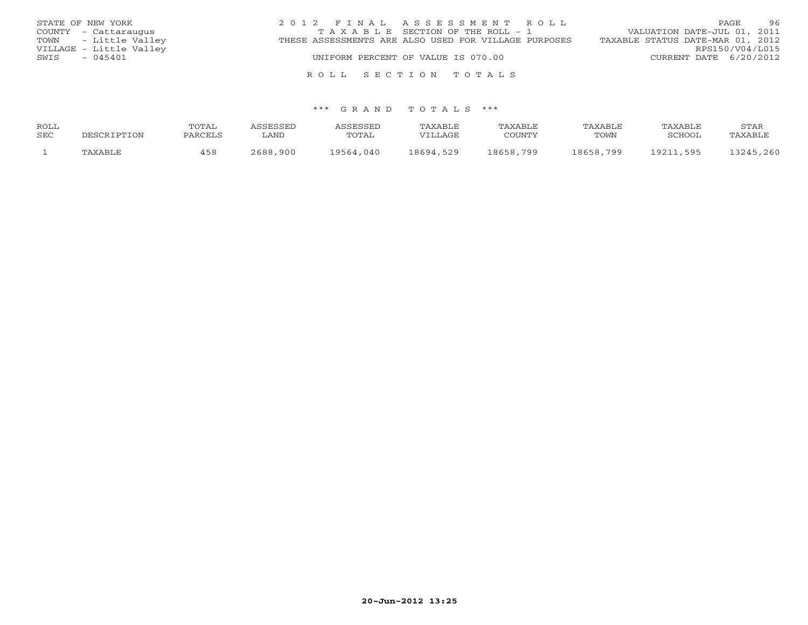| STATE OF NEW YORK       | 2012 FINAL ASSESSMENT ROLL                           | 96<br>PAGE                       |
|-------------------------|------------------------------------------------------|----------------------------------|
| COUNTY - Cattaraugus    | TAXABLE SECTION OF THE ROLL - 1                      | VALUATION DATE-JUL 01, 2011      |
| TOWN - Little Valley    | THESE ASSESSMENTS ARE ALSO USED FOR VILLAGE PURPOSES | TAXABLE STATUS DATE-MAR 01, 2012 |
| VILLAGE - Little Valley |                                                      | RPS150/V04/L015                  |
| $-045401$<br>SWIS       | UNIFORM PERCENT OF VALUE IS 070.00                   | CURRENT DATE 6/20/2012           |
|                         |                                                      |                                  |

### \*\*\* G R A N D T O T A L S \*\*\*

R O L L S E C T I O N T O T A L S

| ROLL |             | <b>TOTAL</b> | ASSESSED | ASSESSED  | TAXABLE   | TAXABLE   | TAXABLE   | TAXABLE   | STAR      |
|------|-------------|--------------|----------|-----------|-----------|-----------|-----------|-----------|-----------|
| SEC  | DESCRIPTION | PARCELS      | ∟AND     | TOTAL     | VILLAGE   | COUNTY    | TOWN      | SCHOOL    | TAXABLE   |
|      | TAXABLE     | 458          | 2688,900 | 19564,040 | 18694,529 | 18658,799 | 18658,799 | 19211,595 | 13245,260 |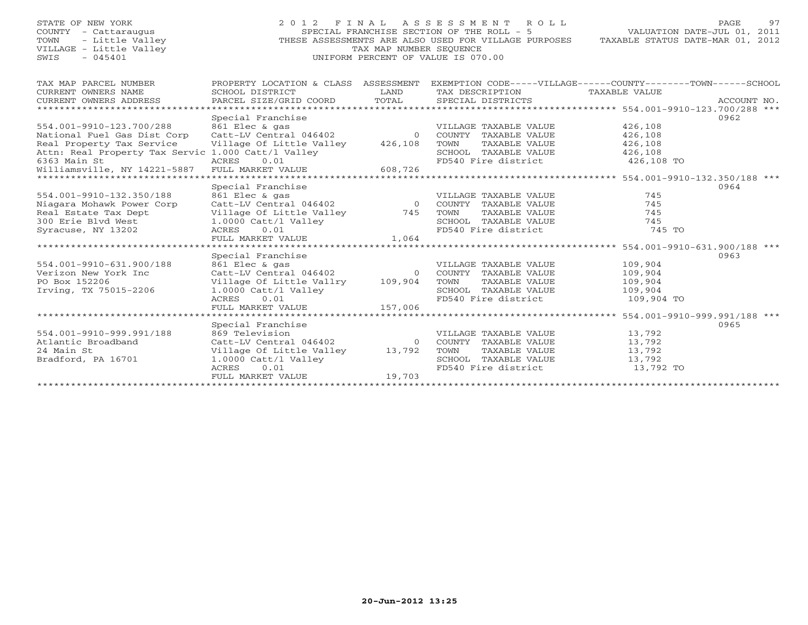TOWN - Little Valley<br>VILLAGE - Little Valley<br>SWIS - 045401

STATE OF NEW YORK 2 0 1 2 F I N A L A S S E S S M E N T R O L L PAGE 97 COUNTY - Cattaraugus SPECIAL FRANCHISE SECTION OF THE ROLL - 5 VALUATION DATE-JUL 01, 2011 THESE ASSESSMENTS ARE ALSO USED FOR VILLAGE PURPOSES TAXABLE STATUS DATE-MAR 01, 2012 SWIS - 045401 UNIFORM PERCENT OF VALUE IS 070.00

| TAX MAP PARCEL NUMBER                                          | PROPERTY LOCATION & CLASS ASSESSMENT                                                                              |        | EXEMPTION CODE-----VILLAGE------COUNTY-------TOWN------SCHOOL |                                                   |             |
|----------------------------------------------------------------|-------------------------------------------------------------------------------------------------------------------|--------|---------------------------------------------------------------|---------------------------------------------------|-------------|
| CURRENT OWNERS NAME                                            | SCHOOL DISTRICT                                                                                                   | LAND   | TAX DESCRIPTION                                               | TAXABLE VALUE                                     |             |
| CURRENT OWNERS ADDRESS                                         | PARCEL SIZE/GRID COORD                                                                                            |        | TOTAL SPECIAL DISTRICTS                                       |                                                   | ACCOUNT NO. |
|                                                                |                                                                                                                   |        |                                                               |                                                   |             |
|                                                                | Special Franchise                                                                                                 |        |                                                               |                                                   | 0962        |
|                                                                |                                                                                                                   |        | VILLAGE TAXABLE VALUE                                         | 426,108                                           |             |
|                                                                |                                                                                                                   |        |                                                               | 426,108                                           |             |
| Real Property Tax Service Village Of Little Valley 426,108     |                                                                                                                   |        |                                                               | 426,108                                           |             |
| Attn: Real Property Tax Servic 1.000 Catt/l Valley             |                                                                                                                   |        | TOWN TAXABLE VALUE<br>SCHOOL TAXABLE VALUE                    | 426,108<br>426,108                                |             |
| 6363 Main St                                                   | ACRES 0.01                                                                                                        |        | FD540 Fire district 426,108 TO                                |                                                   |             |
| 0.01<br>williamsville, NY 14221-5887 FULL MARKET VALUE 608,726 |                                                                                                                   |        |                                                               |                                                   |             |
|                                                                |                                                                                                                   |        |                                                               |                                                   |             |
|                                                                | Special Franchise                                                                                                 |        |                                                               |                                                   | 0964        |
| 554.001-9910-132.350/188                                       |                                                                                                                   |        | VILLAGE TAXABLE VALUE                                         | 745                                               |             |
| Niagara Mohawk Power Corp                                      |                                                                                                                   |        |                                                               | 745                                               |             |
| Real Estate Tax Dept                                           |                                                                                                                   |        | TOWN<br>TAXABLE VALUE                                         | 745                                               |             |
| 300 Erie Blvd West                                             | Village Of Little Valley<br>1.0000 Catt/l Valley<br>ACRES 0.01<br>FULL MARKET VALUE 1,064<br>1.0000 Catt/l Valley |        | SCHOOL TAXABLE VALUE<br>FD540 Fire district                   | 745                                               |             |
| Syracuse, NY 13202                                             |                                                                                                                   |        |                                                               | 745 TO                                            |             |
|                                                                |                                                                                                                   |        |                                                               |                                                   |             |
|                                                                |                                                                                                                   |        |                                                               | $*******************554.001-9910-631.900/188$ *** |             |
|                                                                | Special Franchise                                                                                                 |        |                                                               |                                                   | 0963        |
| 554.001-9910-631.900/188                                       | 861 Elec & gas                                                                                                    |        | VILLAGE TAXABLE VALUE                                         | 109,904                                           |             |
| Verizon New York Inc                                           |                                                                                                                   |        | Catt-LV Central 046402 0 COUNTY TAXABLE VALUE                 | 109,904                                           |             |
| PO Box 152206                                                  | Village Of Little Vallry 109,904                                                                                  |        | TOWN<br>TAXABLE VALUE                                         | 109,904                                           |             |
| Irving, TX 75015-2206                                          | 1.0000 Catt/1 Valley<br>ACRES 0.01                                                                                |        | SCHOOL TAXABLE VALUE 109,904                                  |                                                   |             |
|                                                                |                                                                                                                   |        | FD540 Fire district 109,904 TO                                |                                                   |             |
|                                                                | FULL MARKET VALUE 157,006                                                                                         |        |                                                               |                                                   |             |
|                                                                |                                                                                                                   |        |                                                               |                                                   |             |
|                                                                | Special Franchise                                                                                                 |        |                                                               |                                                   | 0965        |
| 554.001-9910-999.991/188                                       | 869 Television                                                                                                    |        | VILLAGE TAXABLE VALUE                                         | 13,792                                            |             |
| Atlantic Broadband                                             |                                                                                                                   |        |                                                               | 13,792                                            |             |
| 24 Main St                                                     | Village Of Little Valley 13,792                                                                                   |        | TAXABLE VALUE<br>TOWN                                         | 13,792                                            |             |
| Bradford, PA 16701                                             | 1.0000 Catt/l Valley                                                                                              |        | SCHOOL TAXABLE VALUE 13,792                                   |                                                   |             |
|                                                                | 0.01<br>ACRES                                                                                                     |        | FD540 Fire district 13,792 TO                                 |                                                   |             |
|                                                                | FULL MARKET VALUE                                                                                                 | 19.703 |                                                               |                                                   |             |
|                                                                |                                                                                                                   |        |                                                               |                                                   |             |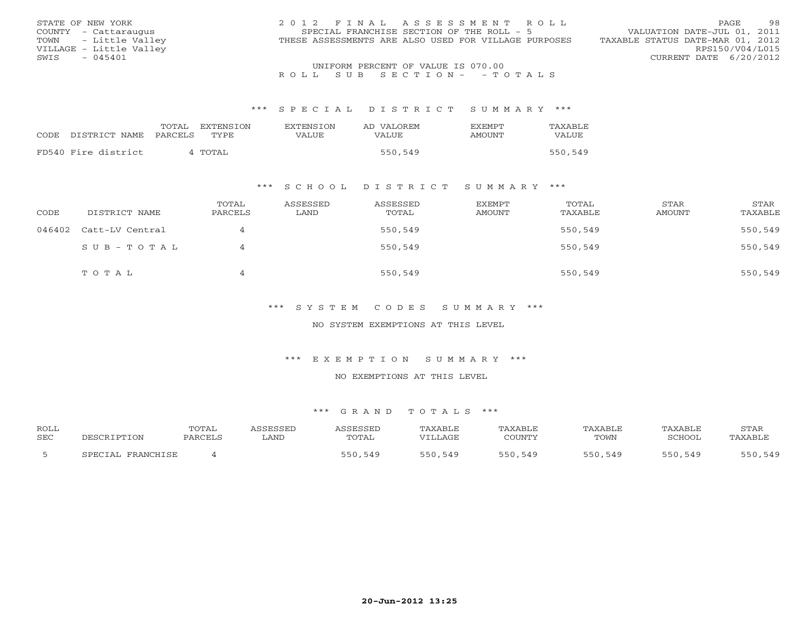| STATE OF NEW YORK       | 2012 FINAL ASSESSMENT ROLL                           | -98<br>PAGE                      |
|-------------------------|------------------------------------------------------|----------------------------------|
| COUNTY - Cattaraugus    | SPECIAL FRANCHISE SECTION OF THE ROLL - 5            | VALUATION DATE-JUL 01, 2011      |
| TOWN - Little Valley    | THESE ASSESSMENTS ARE ALSO USED FOR VILLAGE PURPOSES | TAXABLE STATUS DATE-MAR 01, 2012 |
| VILLAGE - Little Valley |                                                      | RPS150/V04/L015                  |
| $-045401$<br>SWIS       |                                                      | CURRENT DATE 6/20/2012           |
|                         | UNIFORM PERCENT OF VALUE IS 070.00                   |                                  |

## R O L L S U B S E C T I O N - - T O T A L S

#### \*\*\* S P E C I A L D I S T R I C T S U M M A R Y \*\*\*

|      |                     | TOTAL<br>EXTENSION | <b>EXTENSION</b> | AD VALOREM | <b>FXFMPT</b> | TAXABLE |
|------|---------------------|--------------------|------------------|------------|---------------|---------|
| CODE | DISTRICT NAME       | PARCELS<br>TYPE.   | VALUE            | VALUE.     | AMOUNT        | VALUE   |
|      |                     |                    |                  |            |               |         |
|      | FD540 Fire district | 4 TOTAL            |                  | 550,549    |               | 550,549 |

### \*\*\* S C H O O L D I S T R I C T S U M M A R Y \*\*\*

| CODE | DISTRICT NAME          | TOTAL<br>PARCELS | ASSESSED<br>LAND | ASSESSED<br>TOTAL | EXEMPT<br>AMOUNT | TOTAL<br>TAXABLE | STAR<br>AMOUNT | STAR<br>TAXABLE |
|------|------------------------|------------------|------------------|-------------------|------------------|------------------|----------------|-----------------|
|      | 046402 Catt-LV Central | 4                |                  | 550,549           |                  | 550,549          |                | 550,549         |
|      | SUB-TOTAL              | 4                |                  | 550,549           |                  | 550,549          |                | 550,549         |
|      | TOTAL                  | 4                |                  | 550,549           |                  | 550,549          |                | 550,549         |

### \*\*\* S Y S T E M C O D E S S U M M A R Y \*\*\*

### NO SYSTEM EXEMPTIONS AT THIS LEVEL

### \*\*\* E X E M P T I O N S U M M A R Y \*\*\*

#### NO EXEMPTIONS AT THIS LEVEL

| <b>ROLL</b><br><b>SEC</b> |                       | TOTAL<br>PARCELS | SSESSED<br>∟AND | <b><i>ASSESSED</i></b><br>TOTAL | TAXABLE<br>VILLAGE | 'AXABLE<br>COUNTY | TAXABLE<br>TOWN | TAXABLE<br>SCHOOL | STAR<br>TAXABLE |
|---------------------------|-----------------------|------------------|-----------------|---------------------------------|--------------------|-------------------|-----------------|-------------------|-----------------|
|                           | FRANCHICF<br>CDFCTAL. |                  |                 | ,549<br>550                     | 550,549            | 550<br>,549       | 550,549         | 550<br>549        | 550,549         |
|                           |                       |                  |                 |                                 |                    |                   |                 |                   |                 |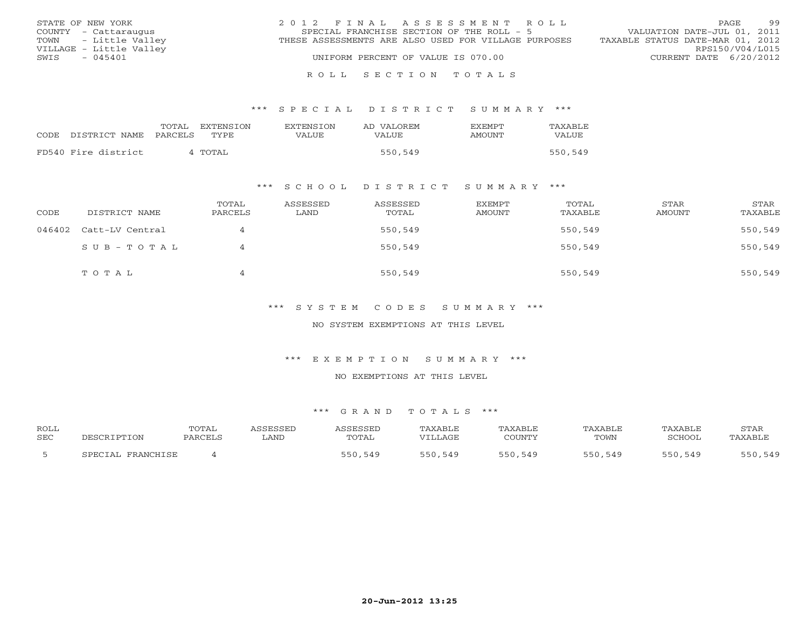| STATE OF NEW YORK       | 2012 FINAL ASSESSMENT ROLL                           | 99<br>PAGE.                      |
|-------------------------|------------------------------------------------------|----------------------------------|
| COUNTY - Cattaraugus    | SPECIAL FRANCHISE SECTION OF THE ROLL - 5            | VALUATION DATE-JUL 01, 2011      |
| TOWN - Little Valley    | THESE ASSESSMENTS ARE ALSO USED FOR VILLAGE PURPOSES | TAXABLE STATUS DATE-MAR 01, 2012 |
| VILLAGE - Little Valley |                                                      | RPS150/V04/L015                  |
| - 045401<br>SWIS        | UNIFORM PERCENT OF VALUE IS 070.00                   | CURRENT DATE 6/20/2012           |
|                         |                                                      |                                  |

#### R O L L S E C T I O N T O T A L S

### \*\*\* S P E C I A L D I S T R I C T S U M M A R Y \*\*\*

|                     | TOTAL   | EXTENSION   | <b>EXTENSION</b> | AD VALOREM | <b>EXEMPT</b> | TAXABLE |
|---------------------|---------|-------------|------------------|------------|---------------|---------|
| CODE DISTRICT NAME  | PARCELS | <b>TYPE</b> | VALUE            | VALUE      | AMOUNT        | VALUE   |
| FD540 Fire district |         | 4 TOTAL     |                  | 550,549    |               | 550,549 |
|                     |         |             |                  |            |               |         |

### \*\*\* S C H O O L D I S T R I C T S U M M A R Y \*\*\*

| CODE | DISTRICT NAME          | TOTAL<br>PARCELS | ASSESSED<br>LAND | ASSESSED<br>TOTAL | EXEMPT<br>AMOUNT | TOTAL<br>TAXABLE | STAR<br>AMOUNT | STAR<br>TAXABLE |
|------|------------------------|------------------|------------------|-------------------|------------------|------------------|----------------|-----------------|
|      | 046402 Catt-LV Central | $\overline{4}$   |                  | 550,549           |                  | 550,549          |                | 550,549         |
|      | SUB-TOTAL              | 4                |                  | 550,549           |                  | 550,549          |                | 550,549         |
|      | TOTAL                  | $\overline{4}$   |                  | 550,549           |                  | 550,549          |                | 550,549         |

### \*\*\* S Y S T E M C O D E S S U M M A R Y \*\*\*

### NO SYSTEM EXEMPTIONS AT THIS LEVEL

#### \*\*\* E X E M P T I O N S U M M A R Y \*\*\*

#### NO EXEMPTIONS AT THIS LEVEL

| <b>ROLL</b> |                   | <b>TOTAL</b> | <i><b>\SSESSED</b></i> | ASSESSED     | TAXABLE | TAXABLE | <b>TAXABLE</b> | TAXABLE | STAF    |
|-------------|-------------------|--------------|------------------------|--------------|---------|---------|----------------|---------|---------|
| <b>SEC</b>  | DESCRIPTION       | PARCELS      | LAND                   | <b>TOTAL</b> | VILLAGE | COUNTY  | TOWN           | SCHOOL  | TAXABLE |
|             | SPECIAL FRANCHISE |              |                        | 550,549      | 550,549 | 550,549 | 550,549        | 550,549 | 550,549 |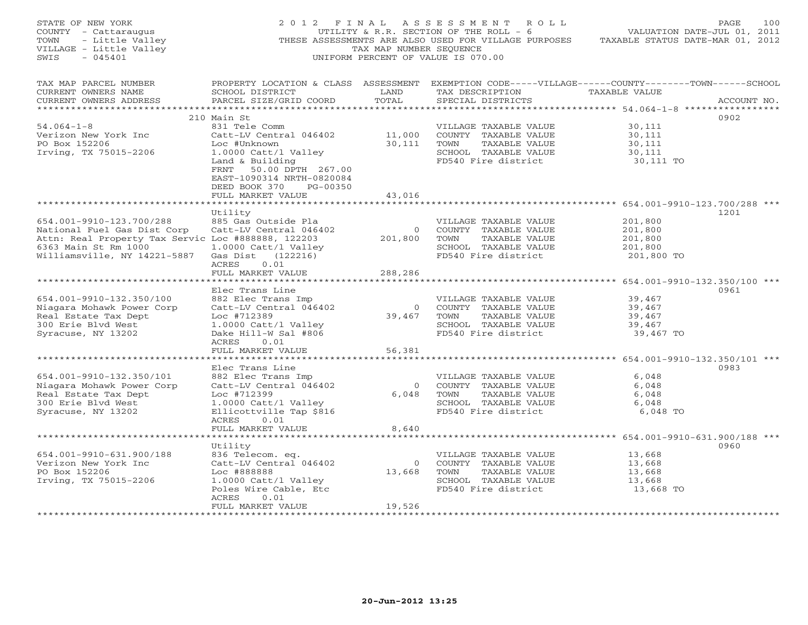| STATE OF NEW YORK<br>COUNTY - Cattaraugus<br>- Little Valley<br>TOWN<br>VILLAGE - Little Valley<br>$-045401$<br>SWIS | 2012 FINAL                                                                       | TAX MAP NUMBER SEQUENCE | ASSESSMENT ROLL<br>UTILITY & R.R. SECTION OF THE ROLL - 6<br>THESE ASSESSMENTS ARE ALSO USED FOR VILLAGE PURPOSES TAXABLE STATUS DATE-MAR 01, 2012<br>UNIFORM PERCENT OF VALUE IS 070.00 | PAGE<br>VALUATION DATE-JUL 01, 2011 | 100         |
|----------------------------------------------------------------------------------------------------------------------|----------------------------------------------------------------------------------|-------------------------|------------------------------------------------------------------------------------------------------------------------------------------------------------------------------------------|-------------------------------------|-------------|
| TAX MAP PARCEL NUMBER<br>CURRENT OWNERS NAME<br>CURRENT OWNERS ADDRESS                                               | SCHOOL DISTRICT<br>PARCEL SIZE/GRID COORD                                        | LAND<br>TOTAL           | PROPERTY LOCATION & CLASS ASSESSMENT EXEMPTION CODE-----VILLAGE------COUNTY-------TOWN------SCHOOL<br>TAX DESCRIPTION TAXABLE VALUE<br>SPECIAL DISTRICTS                                 |                                     | ACCOUNT NO. |
| ***********************                                                                                              | 210 Main St                                                                      |                         |                                                                                                                                                                                          | 0902                                |             |
| $54.064 - 1 - 8$                                                                                                     | 831 Tele Comm                                                                    |                         | VILLAGE TAXABLE VALUE                                                                                                                                                                    | 30,111                              |             |
| Verizon New York Inc                                                                                                 | Catt-LV Central 046402                                                           | 11,000                  | COUNTY TAXABLE VALUE                                                                                                                                                                     | 30,111                              |             |
| PO Box 152206                                                                                                        | Loc #Unknown                                                                     | 30,111                  | TAXABLE VALUE<br>TOWN                                                                                                                                                                    | 30,111                              |             |
| Irving, TX 75015-2206                                                                                                | 1.0000 Catt/l Valley                                                             |                         | SCHOOL TAXABLE VALUE                                                                                                                                                                     | 30,111                              |             |
|                                                                                                                      | Land & Building                                                                  |                         | FD540 Fire district                                                                                                                                                                      | 30,111 TO                           |             |
|                                                                                                                      | 50.00 DPTH 267.00<br>FRNT<br>EAST-1090314 NRTH-0820084<br>DEED BOOK 370 PG-00350 |                         |                                                                                                                                                                                          |                                     |             |
|                                                                                                                      | FULL MARKET VALUE                                                                | 43,016                  |                                                                                                                                                                                          |                                     |             |
|                                                                                                                      |                                                                                  |                         |                                                                                                                                                                                          |                                     |             |
| 654.001-9910-123.700/288                                                                                             | Utility<br>885 Gas Outside Pla                                                   |                         | VILLAGE TAXABLE VALUE                                                                                                                                                                    | 1201<br>201,800                     |             |
| National Fuel Gas Dist Corp                                                                                          | Catt-LV Central 046402                                                           | $\overline{0}$          | COUNTY TAXABLE VALUE                                                                                                                                                                     | 201,800                             |             |
| Attn: Real Property Tax Servic Loc #888888, 122203                                                                   |                                                                                  | 201,800                 | TOWN<br>TAXABLE VALUE                                                                                                                                                                    | 201,800                             |             |
| 6363 Main St Rm 1000                                                                                                 | $1.0000$ Catt/l Valley                                                           |                         | SCHOOL TAXABLE VALUE                                                                                                                                                                     | 201,800                             |             |
| Williamsville, NY 14221-5887                                                                                         | Gas Dist (122216)                                                                |                         | FD540 Fire district                                                                                                                                                                      | 201,800 TO                          |             |
|                                                                                                                      | 0.01<br>ACRES                                                                    |                         |                                                                                                                                                                                          |                                     |             |
|                                                                                                                      | FULL MARKET VALUE                                                                | 288,286                 |                                                                                                                                                                                          |                                     |             |
|                                                                                                                      |                                                                                  |                         |                                                                                                                                                                                          |                                     |             |
|                                                                                                                      | Elec Trans Line                                                                  |                         |                                                                                                                                                                                          | 0961                                |             |
| 654.001-9910-132.350/100                                                                                             | 882 Elec Trans Imp                                                               |                         | VILLAGE TAXABLE VALUE                                                                                                                                                                    | 39,467                              |             |
| Niagara Mohawk Power Corp                                                                                            | Catt-LV Central 046402                                                           | $\overline{0}$          | COUNTY TAXABLE VALUE                                                                                                                                                                     | 39,467                              |             |
| Real Estate Tax Dept                                                                                                 | Loc #712389                                                                      | 39,467                  | TOWN<br>TAXABLE VALUE                                                                                                                                                                    | 39,467                              |             |
| 300 Erie Blvd West                                                                                                   | 1.0000 Catt/l Valley                                                             |                         | SCHOOL TAXABLE VALUE                                                                                                                                                                     | 39,467                              |             |
| Syracuse, NY 13202                                                                                                   | Dake Hill-W Sal #806                                                             |                         | FD540 Fire district                                                                                                                                                                      | 39,467 TO                           |             |
|                                                                                                                      | ACRES<br>0.01                                                                    |                         |                                                                                                                                                                                          |                                     |             |
|                                                                                                                      | FULL MARKET VALUE<br>**************************                                  | 56,381                  |                                                                                                                                                                                          |                                     |             |
|                                                                                                                      | Elec Trans Line                                                                  |                         |                                                                                                                                                                                          | 0983                                |             |
| 654.001-9910-132.350/101                                                                                             | 882 Elec Trans Imp                                                               |                         | VILLAGE TAXABLE VALUE                                                                                                                                                                    | 6,048                               |             |
| Niagara Mohawk Power Corp                                                                                            | Catt-LV Central 046402                                                           | $\overline{0}$          | COUNTY TAXABLE VALUE                                                                                                                                                                     | 6,048                               |             |
| Real Estate Tax Dept                                                                                                 | Loc #712399                                                                      | 6,048                   | TOWN<br>TAXABLE VALUE                                                                                                                                                                    | 6,048                               |             |
| 300 Erie Blvd West                                                                                                   | 1.0000 Catt/l Valley                                                             |                         | SCHOOL TAXABLE VALUE                                                                                                                                                                     | 6,048                               |             |
| Syracuse, NY 13202                                                                                                   | Ellicottville Tap \$816                                                          |                         | FD540 Fire district                                                                                                                                                                      | 6,048 TO                            |             |
|                                                                                                                      | 0.01<br>ACRES                                                                    |                         |                                                                                                                                                                                          |                                     |             |
|                                                                                                                      | FULL MARKET VALUE                                                                | 8,640                   |                                                                                                                                                                                          |                                     |             |
|                                                                                                                      | **************************                                                       |                         |                                                                                                                                                                                          |                                     |             |
|                                                                                                                      | Utility                                                                          |                         |                                                                                                                                                                                          | 0960                                |             |
| 654.001-9910-631.900/188                                                                                             | 836 Telecom. eq.                                                                 |                         | VILLAGE TAXABLE VALUE                                                                                                                                                                    | 13,668                              |             |
| Verizon New York Inc                                                                                                 | Catt-LV Central 046402                                                           | $\overline{0}$          | COUNTY TAXABLE VALUE                                                                                                                                                                     | 13,668                              |             |
| PO Box 152206                                                                                                        | Loc #888888                                                                      | 13,668                  | TOWN<br>TAXABLE VALUE                                                                                                                                                                    | 13,668                              |             |
| Irving, TX 75015-2206                                                                                                | 1.0000 Catt/l Valley                                                             |                         | SCHOOL TAXABLE VALUE                                                                                                                                                                     | 13,668                              |             |
|                                                                                                                      | Poles Wire Cable, Etc                                                            |                         | FD540 Fire district                                                                                                                                                                      | 13,668 TO                           |             |
|                                                                                                                      | ACRES<br>0.01                                                                    |                         |                                                                                                                                                                                          |                                     |             |
| *************************                                                                                            | FULL MARKET VALUE<br>***********************************                         | 19,526                  |                                                                                                                                                                                          |                                     |             |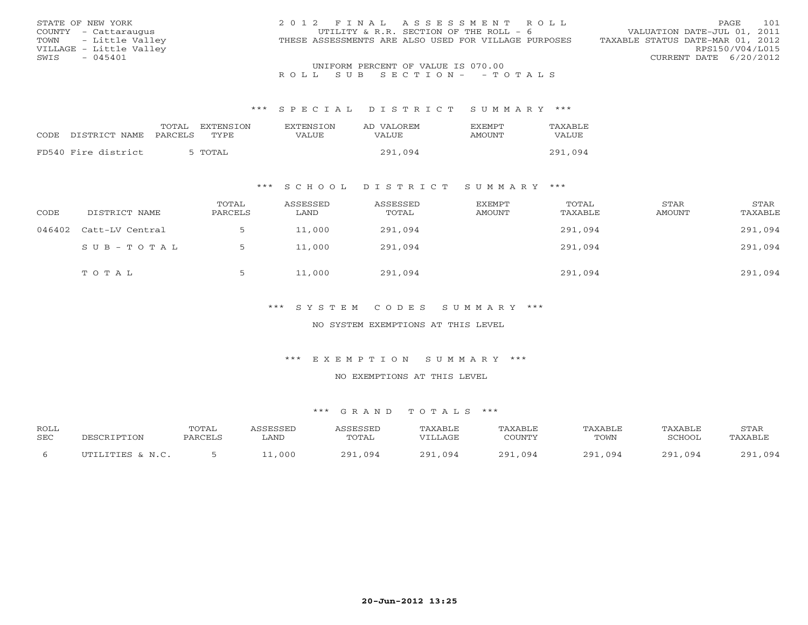| STATE OF NEW YORK       | 2012 FINAL ASSESSMENT ROLL                           | 101<br>PAGE                      |
|-------------------------|------------------------------------------------------|----------------------------------|
| COUNTY - Cattaraugus    | UTILITY & R.R. SECTION OF THE ROLL - 6               | VALUATION DATE-JUL 01, 2011      |
| TOWN - Little Valley    | THESE ASSESSMENTS ARE ALSO USED FOR VILLAGE PURPOSES | TAXABLE STATUS DATE-MAR 01, 2012 |
| VILLAGE - Little Valley |                                                      | RPS150/V04/L015                  |
| $-045401$<br>SWIS       |                                                      | CURRENT DATE 6/20/2012           |
|                         | UNIFORM PERCENT OF VALUE IS 070.00                   |                                  |

## R O L L S U B S E C T I O N - - T O T A L S

#### \*\*\* S P E C I A L D I S T R I C T S U M M A R Y \*\*\*

|                     | TOTAL<br>EXTENSION | <b>EXTENSION</b> | AD VALOREM   | <b>FXFMPT</b> | TAXABLE |
|---------------------|--------------------|------------------|--------------|---------------|---------|
| CODE DISTRICT NAME  | PARCELS<br>TYPE.   | VALUE            | <b>VALUE</b> | AMOUNT        | VALUE   |
|                     |                    |                  |              |               |         |
| FD540 Fire district | 5 TOTAL            |                  | 291,094      |               | 291,094 |

### \*\*\* S C H O O L D I S T R I C T S U M M A R Y \*\*\*

| CODE   | DISTRICT NAME   | TOTAL<br>PARCELS | ASSESSED<br>LAND | ASSESSED<br>TOTAL | EXEMPT<br>AMOUNT | TOTAL<br>TAXABLE | STAR<br>AMOUNT | STAR<br>TAXABLE |
|--------|-----------------|------------------|------------------|-------------------|------------------|------------------|----------------|-----------------|
| 046402 | Catt-LV Central |                  | 11,000           | 291,094           |                  | 291,094          |                | 291,094         |
|        | SUB-TOTAL       |                  | 11,000           | 291,094           |                  | 291,094          |                | 291,094         |
|        | TOTAL           |                  | 11,000           | 291,094           |                  | 291,094          |                | 291,094         |

### \*\*\* S Y S T E M C O D E S S U M M A R Y \*\*\*

### NO SYSTEM EXEMPTIONS AT THIS LEVEL

### \*\*\* E X E M P T I O N S U M M A R Y \*\*\*

#### NO EXEMPTIONS AT THIS LEVEL

| <b>ROLL</b> |                  | <b>TOTAL</b> | ASSESSED | ASSESSED    | TAXABLE     | TAXABLE | TAXABLE       | TAXABLE | STAR        |
|-------------|------------------|--------------|----------|-------------|-------------|---------|---------------|---------|-------------|
| <b>SEC</b>  | DESCRIPTION      | PARCELS      | LAND     | TOTAL       | VILLAGE     | COUNTY  | TOWN          | SCHOOL  | TAXABLE     |
|             | UTILITIES & N.C. |              | 11,000   | 291<br>.094 | 291<br>.094 | 291,094 | 291<br>,1,094 | 291,094 | ,094<br>つQ1 |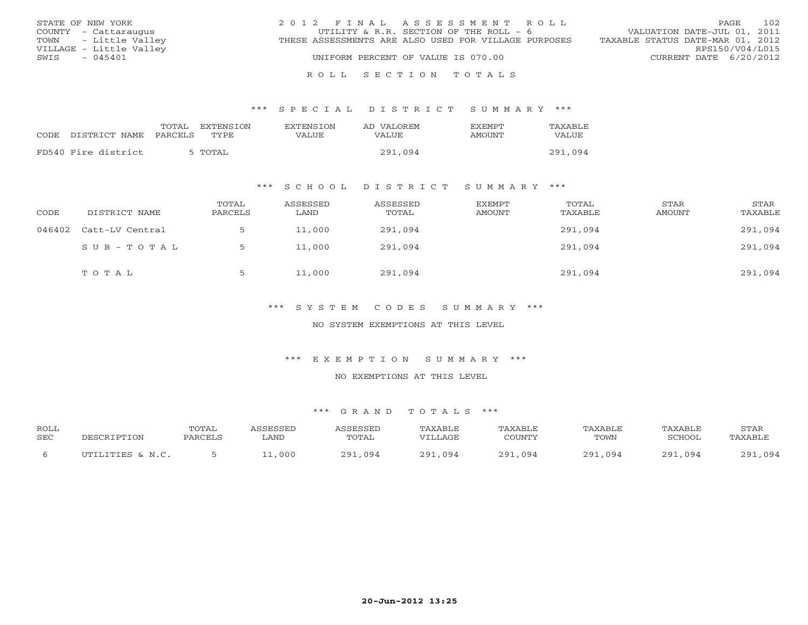| STATE OF NEW YORK       | 2012 FINAL ASSESSMENT ROLL                           | 102<br>PAGE                      |
|-------------------------|------------------------------------------------------|----------------------------------|
| COUNTY - Cattaraugus    | UTILITY & R.R. SECTION OF THE ROLL - 6               | VALUATION DATE-JUL 01, 2011      |
| TOWN - Little Valley    | THESE ASSESSMENTS ARE ALSO USED FOR VILLAGE PURPOSES | TAXABLE STATUS DATE-MAR 01, 2012 |
| VILLAGE - Little Valley |                                                      | RPS150/V04/L015                  |
| $-045401$<br>SWIS       | UNIFORM PERCENT OF VALUE IS 070.00                   | CURRENT DATE 6/20/2012           |
|                         |                                                      |                                  |

#### R O L L S E C T I O N T O T A L S

### \*\*\* S P E C I A L D I S T R I C T S U M M A R Y \*\*\*

|                     | TOTAL   | EXTENSION | <b>EXTENSION</b> | AD VALOREM | <b>FXFMPT</b> | TAXABLE      |
|---------------------|---------|-----------|------------------|------------|---------------|--------------|
| CODE DISTRICT NAME  | PARCELS | TYPE.     | VALUE            | VALUE      | <b>AMOUNT</b> | <b>VALUE</b> |
| FD540 Fire district |         | 5 TOTAL   |                  | 291,094    |               | 291,094      |
|                     |         |           |                  |            |               |              |

### \*\*\* S C H O O L D I S T R I C T S U M M A R Y \*\*\*

| CODE | DISTRICT NAME          | TOTAL<br>PARCELS | ASSESSED<br>LAND | ASSESSED<br>TOTAL | EXEMPT<br>AMOUNT | TOTAL<br>TAXABLE | STAR<br>AMOUNT | STAR<br>TAXABLE |
|------|------------------------|------------------|------------------|-------------------|------------------|------------------|----------------|-----------------|
|      | 046402 Catt-LV Central |                  | 11,000           | 291,094           |                  | 291,094          |                | 291,094         |
|      | SUB-TOTAL              |                  | 11,000           | 291,094           |                  | 291,094          |                | 291,094         |
|      | TOTAL                  |                  | 11,000           | 291,094           |                  | 291,094          |                | 291,094         |

### \*\*\* S Y S T E M C O D E S S U M M A R Y \*\*\*

### NO SYSTEM EXEMPTIONS AT THIS LEVEL

#### \*\*\* E X E M P T I O N S U M M A R Y \*\*\*

#### NO EXEMPTIONS AT THIS LEVEL

| <b>ROLL</b> |                  | TOTAL   | <i><b>\SSESSED</b></i> | ASSESSED    | TAXABLE | TAXABLE     | TAXABLE     | TAXABLE | STAR        |
|-------------|------------------|---------|------------------------|-------------|---------|-------------|-------------|---------|-------------|
| <b>SEC</b>  | PESCRIPTION      | PARCELS | LAND                   | TOTAL       | "TLLAGE | COUNTY      | TOWN        | SCHOOL  | TAXABLE     |
|             | UTILITIES & N.C. |         | 1.000                  | .094<br>291 | 291,094 | 291<br>,094 | 291<br>,094 | 291,094 | ,094<br>201 |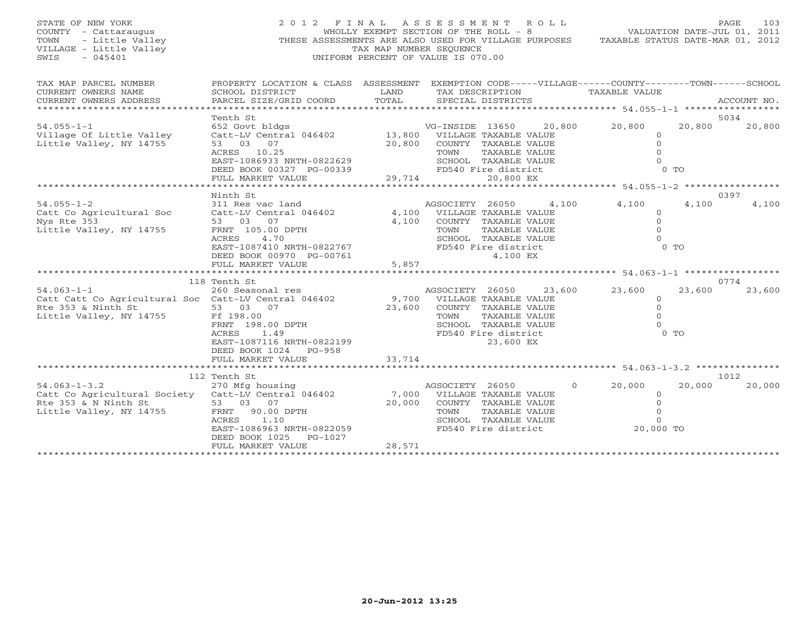| STATE OF NEW YORK<br>COUNTY - Cattaraugus<br>- Little Valley<br>TOWN<br>VILLAGE - Little Valley<br>$-045401$<br>SWIS                                                                                                | 2012 FINAL ASSESSMENT ROLL<br>THESE ASSESSMENTS ARE ALSO USED FOR VILLAGE PURPOSES TAXABLE STATUS DATE-MAR 01, 2012                                                                                                                                                                     | WHOLLY EXEMPT SECTION OF THE ROLL - 8<br>TAX MAP NUMBER SEOUENCE<br>UNIFORM PERCENT OF VALUE IS 070.00 |                                                    |                                                                                                                                                                                                                                                               |                 | VALUATION DATE-JUL 01, 2011                                                                                  |                                     | 103<br>PAGE                     |
|---------------------------------------------------------------------------------------------------------------------------------------------------------------------------------------------------------------------|-----------------------------------------------------------------------------------------------------------------------------------------------------------------------------------------------------------------------------------------------------------------------------------------|--------------------------------------------------------------------------------------------------------|----------------------------------------------------|---------------------------------------------------------------------------------------------------------------------------------------------------------------------------------------------------------------------------------------------------------------|-----------------|--------------------------------------------------------------------------------------------------------------|-------------------------------------|---------------------------------|
| TAX MAP PARCEL NUMBER<br>CURRENT OWNERS NAME<br>CURRENT OWNERS ADDRESS<br>******************************                                                                                                            | PROPERTY LOCATION & CLASS ASSESSMENT EXEMPTION CODE-----VILLAGE------COUNTY-------TOWN------SCHOOL<br>SCHOOL DISTRICT<br>PARCEL SIZE/GRID COORD                                                                                                                                         | LAND<br>TOTAL                                                                                          |                                                    | TAX DESCRIPTION<br>SPECIAL DISTRICTS                                                                                                                                                                                                                          |                 | TAXABLE VALUE                                                                                                |                                     | ACCOUNT NO.                     |
| $54.055 - 1 - 1$<br>Village Of Little Valley<br>Little Valley, NY 14755                                                                                                                                             | Tenth St<br>652 Govt bldgs<br>Catt-LV Central 046402 13,800 VILLAGE TAXABLE VALUE<br>53 03 07<br>ACRES 10.25<br>EAST-1086933 NRTH-0822629<br>DEED BOOK 00327 PG-00339<br>FULL MARKET VALUE                                                                                              | $0339$ 29,714<br>29,714                                                                                | TOWN                                               | VG-INSIDE 13650 20,800 20,800<br>20,800 COUNTY TAXABLE VALUE<br>TAXABLE VALUE<br>SCHOOL TAXABLE VALUE<br>FD540 Fire district<br>20,800 EX                                                                                                                     |                 | $\overline{0}$<br>$\Omega$<br>$\Omega$<br>$\Omega$                                                           | 20,800<br>$0$ TO                    | 5034<br>20,800                  |
|                                                                                                                                                                                                                     |                                                                                                                                                                                                                                                                                         |                                                                                                        |                                                    |                                                                                                                                                                                                                                                               |                 |                                                                                                              |                                     |                                 |
| $54.055 - 1 - 2$<br>Catt Co Agricultural Soc<br>Nys Rte 353<br>Little Valley, NY 14755<br>$54.063 - 1 - 1$<br>Catt Catt Co Agricultural Soc Catt-LV Central 046402<br>Rte 353 & Ninth St<br>Little Valley, NY 14755 | Ninth St<br>311 Res vac land<br>Catt-LV Central 046402<br>53 03 07<br>FRNT 105.00 DPTH<br>ACRES<br>4.70<br>EAST-1087410 NRTH-0822767<br>DEED BOOK 00970 PG-00761<br>FULL MARKET VALUE<br>118 Tenth St<br>260 Seasonal res<br>53 03 07<br>Ff 198.00<br>FRNT 198.00 DPTH<br>ACRES<br>1.49 | 4,100<br>5,857                                                                                         | AGSOCIETY 26050<br>TOWN<br>AGSOCIETY 26050<br>TOWN | 4,100 VILLAGE TAXABLE VALUE<br>COUNTY TAXABLE VALUE<br>TAXABLE VALUE<br>SCHOOL TAXABLE VALUE<br>FD540 Fire district<br>4,100 EX<br>9,700 VILLAGE TAXABLE VALUE<br>23,600 COUNTY TAXABLE VALUE<br>TAXABLE VALUE<br>SCHOOL TAXABLE VALUE<br>FD540 Fire district | 4,100<br>23,600 | 4,100<br>$\Omega$<br>$\circ$<br>$\Omega$<br>$\Omega$<br>23,600<br>$\circ$<br>$\circ$<br>$\Omega$<br>$\Omega$ | 4,100<br>$0$ TO<br>23,600<br>$0$ TO | 0397<br>4,100<br>0774<br>23,600 |
|                                                                                                                                                                                                                     | EAST-1087116 NRTH-0822199<br>DEED BOOK 1024 PG-958<br>FULL MARKET VALUE                                                                                                                                                                                                                 | 33,714                                                                                                 |                                                    | 23,600 EX                                                                                                                                                                                                                                                     |                 |                                                                                                              |                                     |                                 |
|                                                                                                                                                                                                                     | 112 Tenth St                                                                                                                                                                                                                                                                            |                                                                                                        |                                                    |                                                                                                                                                                                                                                                               |                 |                                                                                                              |                                     | 1012                            |
| $54.063 - 1 - 3.2$<br>Catt Co Agricultural Society Catt-LV Central 046402<br>Rte 353 & N Ninth St<br>Little Valley, NY 14755                                                                                        | 270 Mfg housing<br>53 03 07<br>90.00 DPTH<br>FRNT<br>ACRES<br>1.10<br>EAST-1086963 NRTH-0822059<br>DEED BOOK 1025 PG-1027<br>FULL MARKET VALUE                                                                                                                                          | 28,571                                                                                                 | AGSOCIETY 26050<br>TOWN                            | 7,000 VILLAGE TAXABLE VALUE<br>20,000 COUNTY TAXABLE VALUE<br>TAXABLE VALUE<br>SCHOOL TAXABLE VALUE<br>FD540 Fire district                                                                                                                                    | $\overline{0}$  | 20,000<br>$\circ$<br>$\overline{0}$<br>$\Omega$<br>$\Omega$<br>20,000 TO                                     | 20,000                              | 20,000                          |
|                                                                                                                                                                                                                     |                                                                                                                                                                                                                                                                                         |                                                                                                        |                                                    |                                                                                                                                                                                                                                                               |                 |                                                                                                              |                                     |                                 |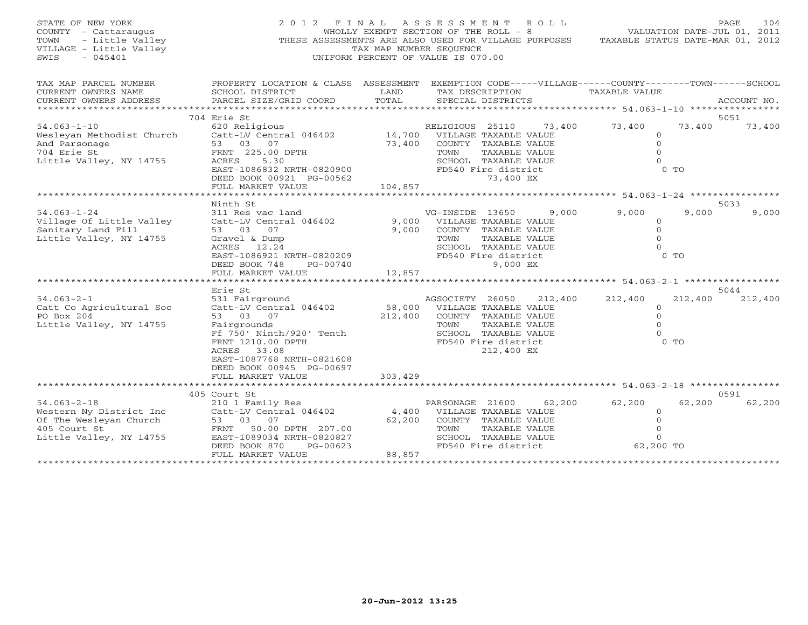| STATE OF NEW YORK<br>COUNTY - Cattaraugus<br>- Little Valley<br>TOWN<br>VILLAGE - Little Valley<br>$-045401$<br>SWIS |                                                        | TAX MAP NUMBER SEOUENCE | 2012 FINAL ASSESSMENT ROLL<br>WHOLLY EXEMPT SECTION OF THE ROLL - 8<br>THESE ASSESSMENTS ARE ALSO USED FOR VILLAGE PURPOSES TAXABLE STATUS DATE-MAR 01, 2012<br>UNIFORM PERCENT OF VALUE IS 070.00 | VALUATION DATE-JUL 01, 2011 | PAGE<br>104    |
|----------------------------------------------------------------------------------------------------------------------|--------------------------------------------------------|-------------------------|----------------------------------------------------------------------------------------------------------------------------------------------------------------------------------------------------|-----------------------------|----------------|
| TAX MAP PARCEL NUMBER                                                                                                |                                                        |                         | PROPERTY LOCATION & CLASS ASSESSMENT EXEMPTION CODE-----VILLAGE------COUNTY-------TOWN------SCHOOL                                                                                                 |                             |                |
| CURRENT OWNERS NAME                                                                                                  | SCHOOL DISTRICT                                        | LAND                    | TAX DESCRIPTION                                                                                                                                                                                    | TAXABLE VALUE               |                |
| CURRENT OWNERS ADDRESS                                                                                               | PARCEL SIZE/GRID COORD                                 | TOTAL                   | SPECIAL DISTRICTS                                                                                                                                                                                  |                             | ACCOUNT NO.    |
|                                                                                                                      | 704 Erie St                                            |                         |                                                                                                                                                                                                    |                             | 5051           |
| $54.063 - 1 - 10$                                                                                                    | 620 Religious                                          |                         | 73,400<br>RELIGIOUS 25110                                                                                                                                                                          | 73,400<br>73,400            | 73,400         |
| Wesleyan Methodist Church                                                                                            | Catt-LV Central 046402 14,700 VILLAGE TAXABLE VALUE    |                         |                                                                                                                                                                                                    | $\circ$                     |                |
| And Parsonage                                                                                                        | 53 03 07                                               | 73,400                  | COUNTY TAXABLE VALUE                                                                                                                                                                               | $\Omega$                    |                |
| 704 Erie St                                                                                                          | FRNT 225.00 DPTH                                       |                         | TOWN<br>TAXABLE VALUE                                                                                                                                                                              | $\Omega$                    |                |
| Little Valley, NY 14755                                                                                              | ACRES<br>5.30                                          |                         | SCHOOL TAXABLE VALUE                                                                                                                                                                               | $\Omega$                    |                |
|                                                                                                                      | EAST-1086832 NRTH-0820900<br>DEED BOOK 00921 PG-00562  |                         | FD540 Fire district<br>73,400 EX                                                                                                                                                                   | $0$ TO                      |                |
|                                                                                                                      | FULL MARKET VALUE                                      | 104,857                 |                                                                                                                                                                                                    |                             |                |
|                                                                                                                      |                                                        |                         |                                                                                                                                                                                                    |                             |                |
|                                                                                                                      | Ninth St                                               |                         |                                                                                                                                                                                                    |                             | 5033           |
| $54.063 - 1 - 24$                                                                                                    | 311 Res vac land                                       |                         | VG-INSIDE 13650<br>9,000                                                                                                                                                                           | 9,000                       | 9,000<br>9,000 |
| Village Of Little Valley                                                                                             | Catt-LV Central 046402                                 | 9,000                   | VILLAGE TAXABLE VALUE                                                                                                                                                                              | $\circ$                     |                |
| Sanitary Land Fill                                                                                                   | 53 03 07                                               | 9,000                   | COUNTY TAXABLE VALUE                                                                                                                                                                               | $\Omega$                    |                |
| Little Valley, NY 14755                                                                                              | Gravel & Dump                                          |                         | TOWN<br>TAXABLE VALUE                                                                                                                                                                              | $\Omega$                    |                |
|                                                                                                                      | ACRES 12.24                                            |                         | SCHOOL TAXABLE VALUE                                                                                                                                                                               | $\Omega$<br>0 <sub>0</sub>  |                |
|                                                                                                                      | EAST-1086921 NRTH-0820209<br>DEED BOOK 748<br>PG-00740 |                         | FD540 Fire district<br>9,000 EX                                                                                                                                                                    |                             |                |
|                                                                                                                      | FULL MARKET VALUE                                      | 12,857                  |                                                                                                                                                                                                    |                             |                |
|                                                                                                                      |                                                        |                         |                                                                                                                                                                                                    |                             |                |
|                                                                                                                      | Erie St                                                |                         |                                                                                                                                                                                                    |                             | 5044           |
| $54.063 - 2 - 1$                                                                                                     | 531 Fairground                                         |                         | AGSOCIETY 26050<br>212,400                                                                                                                                                                         | 212,400<br>212,400          | 212,400        |
| Catt Co Agricultural Soc                                                                                             | Catt-LV Central 046402                                 |                         | 58,000 VILLAGE TAXABLE VALUE                                                                                                                                                                       | $\circ$                     |                |
| PO Box 204                                                                                                           | 53 03 07                                               | 212,400                 | COUNTY TAXABLE VALUE                                                                                                                                                                               | $\mathbf{0}$                |                |
| Little Valley, NY 14755                                                                                              | Fairgrounds                                            |                         | TOWN<br>TAXABLE VALUE                                                                                                                                                                              | $\Omega$                    |                |
|                                                                                                                      | Ff 750' Ninth/920' Tenth                               |                         | SCHOOL TAXABLE VALUE                                                                                                                                                                               | $\Omega$                    |                |
|                                                                                                                      | FRNT 1210.00 DPTH                                      |                         | FD540 Fire district                                                                                                                                                                                | $0$ TO                      |                |
|                                                                                                                      | ACRES 33.08                                            |                         | 212,400 EX                                                                                                                                                                                         |                             |                |
|                                                                                                                      | EAST-1087768 NRTH-0821608                              |                         |                                                                                                                                                                                                    |                             |                |
|                                                                                                                      | DEED BOOK 00945 PG-00697                               |                         |                                                                                                                                                                                                    |                             |                |
|                                                                                                                      | FULL MARKET VALUE                                      | 303,429                 |                                                                                                                                                                                                    |                             |                |
|                                                                                                                      | 405 Court St                                           |                         |                                                                                                                                                                                                    |                             | 0591           |
| $54.063 - 2 - 18$                                                                                                    | 210 1 Family Res                                       |                         | 62,200<br>PARSONAGE 21600                                                                                                                                                                          | 62,200<br>62,200            | 62,200         |
| Western Ny District Inc                                                                                              | Catt-LV Central 046402                                 | 4,400                   | VILLAGE TAXABLE VALUE                                                                                                                                                                              | $\circ$                     |                |
| Of The Wesleyan Church                                                                                               | 53 03 07                                               | 62,200                  | COUNTY TAXABLE VALUE                                                                                                                                                                               | $\mathbf{0}$                |                |
| 405 Court St                                                                                                         | FRNT 50.00 DPTH 207.00                                 |                         | TAXABLE VALUE<br>TOWN                                                                                                                                                                              | $\circ$                     |                |
| Little Valley, NY 14755                                                                                              | EAST-1089034 NRTH-0820827                              |                         | SCHOOL TAXABLE VALUE                                                                                                                                                                               | $\Omega$                    |                |
|                                                                                                                      | DEED BOOK 870<br>$PG-00623$                            |                         | FD540 Fire district                                                                                                                                                                                | 62,200 TO                   |                |
|                                                                                                                      | FULL MARKET VALUE                                      | 88,857                  |                                                                                                                                                                                                    |                             |                |
|                                                                                                                      |                                                        |                         |                                                                                                                                                                                                    |                             |                |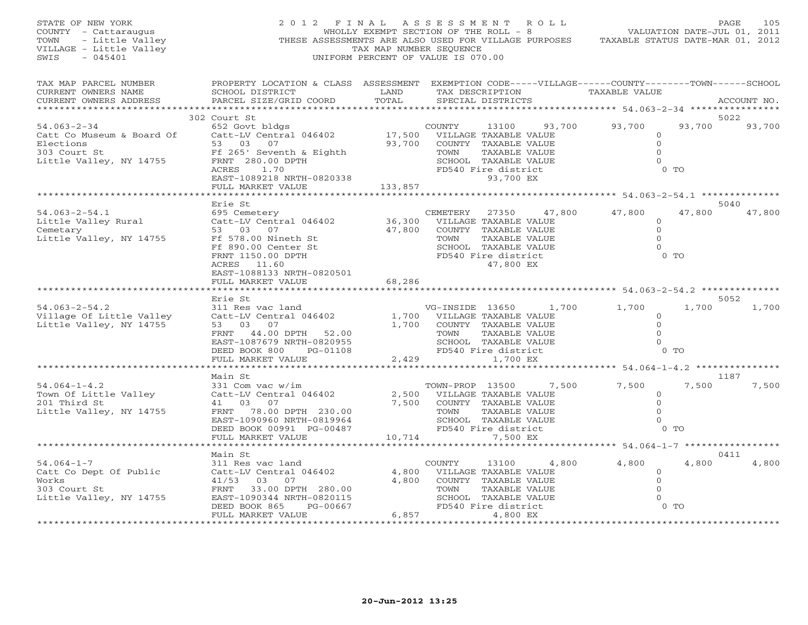| STATE OF NEW YORK                                                                        | 2012                                                                                                |                         | FINAL ASSESSMENT<br>R O L L           |                                            |                   |             |  |  |
|------------------------------------------------------------------------------------------|-----------------------------------------------------------------------------------------------------|-------------------------|---------------------------------------|--------------------------------------------|-------------------|-------------|--|--|
| COUNTY - Cattaraugus<br>TOWN - Little Valley<br>VILLAGE - Little Valley<br>SWIS - 045401 |                                                                                                     |                         | WHOLLY EXEMPT SECTION OF THE ROLL - 8 | 2011 - PAGE<br>VALUATION DATE-JUL 01, 2011 |                   |             |  |  |
|                                                                                          | THESE ASSESSMENTS ARE ALSO USED FOR VILLAGE PURPOSES TAXABLE STATUS DATE-MAR 01, 2012               |                         |                                       |                                            |                   |             |  |  |
|                                                                                          |                                                                                                     | TAX MAP NUMBER SEQUENCE |                                       |                                            |                   |             |  |  |
|                                                                                          |                                                                                                     |                         | UNIFORM PERCENT OF VALUE IS 070.00    |                                            |                   |             |  |  |
| TAX MAP PARCEL NUMBER                                                                    | PROPERTY LOCATION & CLASS ASSESSMENT EXEMPTION CODE-----VILLAGE------COUNTY--------TOWN------SCHOOL |                         |                                       |                                            |                   |             |  |  |
| CURRENT OWNERS NAME                                                                      | SCHOOL DISTRICT                                                                                     | LAND                    | TAX DESCRIPTION                       | TAXABLE VALUE                              |                   |             |  |  |
| CURRENT OWNERS ADDRESS                                                                   | PARCEL SIZE/GRID COORD                                                                              | TOTAL                   | SPECIAL DISTRICTS                     |                                            |                   | ACCOUNT NO. |  |  |
|                                                                                          |                                                                                                     |                         |                                       |                                            |                   |             |  |  |
|                                                                                          | 302 Court St                                                                                        |                         |                                       |                                            | 5022              |             |  |  |
| $54.063 - 2 - 34$                                                                        | 652 Govt bldgs                                                                                      |                         | 93,700<br>COUNTY<br>13100             | 93,700                                     | 93,700            | 93,700      |  |  |
|                                                                                          |                                                                                                     |                         | 17,500 VILLAGE TAXABLE VALUE          | $\circ$                                    |                   |             |  |  |
|                                                                                          |                                                                                                     | 93,700                  | COUNTY TAXABLE VALUE                  | $\mathbf 0$                                |                   |             |  |  |
| 303 Court St                                                                             | Ff 265' Seventh & Eighth                                                                            |                         | TOWN<br>TAXABLE VALUE                 | $\mathbf{0}$                               |                   |             |  |  |
| Little Valley, NY 14755                                                                  | FRNT 280.00 DPTH                                                                                    |                         | SCHOOL TAXABLE VALUE                  | $\Omega$                                   |                   |             |  |  |
|                                                                                          | ACRES 1.70                                                                                          |                         | FD540 Fire district                   |                                            | $0$ TO            |             |  |  |
|                                                                                          | EAST-1089218 NRTH-0820338                                                                           |                         | 93,700 EX                             |                                            |                   |             |  |  |
|                                                                                          | FULL MARKET VALUE                                                                                   | 133,857                 |                                       |                                            |                   |             |  |  |
|                                                                                          |                                                                                                     |                         |                                       |                                            |                   |             |  |  |
|                                                                                          | Erie St                                                                                             |                         |                                       |                                            | 5040              |             |  |  |
| 54.063-2-54.1                                                                            | 695 Cemetery                                                                                        |                         | CEMETERY 27350 47,800                 | 47,800                                     | 47,800            | 47,800      |  |  |
| Little Valley Rural                                                                      | Catt-LV Central 046402                                                                              |                         | 36,300 VILLAGE TAXABLE VALUE          | $\circ$                                    |                   |             |  |  |
| Cemetary                                                                                 | 53 03 07                                                                                            | 47,800                  | COUNTY TAXABLE VALUE                  | $\Omega$                                   |                   |             |  |  |
| Little Valley, NY 14755 Ff 578.00 Nineth St                                              |                                                                                                     |                         | TOWN<br>TAXABLE VALUE                 | $\Omega$                                   |                   |             |  |  |
|                                                                                          | Ff 890.00 Center St                                                                                 |                         | SCHOOL TAXABLE VALUE                  | $\Omega$                                   |                   |             |  |  |
|                                                                                          | FRNT 1150.00 DPTH                                                                                   |                         | FD540 Fire district                   |                                            | $0$ TO            |             |  |  |
|                                                                                          | ACRES 11.60                                                                                         |                         | 47,800 EX                             |                                            |                   |             |  |  |
|                                                                                          | EAST-1088133 NRTH-0820501                                                                           |                         |                                       |                                            |                   |             |  |  |
|                                                                                          | FULL MARKET VALUE                                                                                   | 68,286                  |                                       |                                            |                   |             |  |  |
|                                                                                          |                                                                                                     |                         |                                       |                                            | 5052              |             |  |  |
| $54.063 - 2 - 54.2$                                                                      | Erie St<br>311 Res vac land                                                                         |                         | VG-INSIDE 13650 1,700                 | 1,700                                      | 1,700             | 1,700       |  |  |
|                                                                                          | Catt-LV Central 046402                                                                              |                         | 1,700 VILLAGE TAXABLE VALUE           | $\circ$                                    |                   |             |  |  |
| Village Of Little Valley<br>Little Valley - NY 14755<br>Little Valley, NY 14755          | 53 03 07                                                                                            |                         | 1,700 COUNTY TAXABLE VALUE            | $\circ$                                    |                   |             |  |  |
|                                                                                          | FRNT 44.00 DPTH 52.00                                                                               |                         | TOWN<br>TAXABLE VALUE                 | $\Omega$                                   |                   |             |  |  |
|                                                                                          | EAST-1087679 NRTH-0820955                                                                           |                         | SCHOOL TAXABLE VALUE                  | $\Omega$                                   |                   |             |  |  |
|                                                                                          | DEED BOOK 800<br>PG-01108                                                                           |                         | FD540 Fire district                   |                                            | $0$ TO            |             |  |  |
|                                                                                          | FULL MARKET VALUE                                                                                   |                         | 2,429<br>1,700 EX                     |                                            |                   |             |  |  |
|                                                                                          |                                                                                                     |                         |                                       | ************ 54.064-1-4.2 **************** |                   |             |  |  |
|                                                                                          | Main St                                                                                             |                         |                                       |                                            | 1187              |             |  |  |
| $54.064 - 1 - 4.2$                                                                       | 331 Com vac w/im                                                                                    |                         | TOWN-PROP 13500 7,500                 | 7,500                                      | 7,500             | 7,500       |  |  |
| Town Of Little Valley                                                                    | SSI COM vac w/im<br>Catt-LV Central 046402<br>41 03 07                                              |                         | 2,500 VILLAGE TAXABLE VALUE           | $\circ$                                    |                   |             |  |  |
| 201 Third St                                                                             | 41 03 07                                                                                            | 7,500                   | COUNTY TAXABLE VALUE                  | $\Omega$                                   |                   |             |  |  |
| Little Valley, NY 14755                                                                  | FRNT 78.00 DPTH 230.00                                                                              |                         | TOWN<br>TAXABLE VALUE                 |                                            |                   |             |  |  |
|                                                                                          | EAST-1090960 NRTH-0819964                                                                           |                         | SCHOOL TAXABLE VALUE                  |                                            |                   |             |  |  |
|                                                                                          | DEED BOOK 00991 PG-00487                                                                            |                         | FD540 Fire district                   |                                            | $0$ TO            |             |  |  |
|                                                                                          | FULL MARKET VALUE                                                                                   | 10,714                  | 7,500 EX                              |                                            |                   |             |  |  |
|                                                                                          |                                                                                                     |                         |                                       | ********* 54.064-1-7 *****************     |                   |             |  |  |
|                                                                                          | Main St                                                                                             |                         |                                       |                                            | 0411              |             |  |  |
| 54.064-1-7                                                                               | 311 Res vac land                                                                                    |                         | COUNTY<br>13100 4,800                 | 4,800                                      | $4\,$ , $8\,0\,0$ | 4,800       |  |  |
|                                                                                          |                                                                                                     |                         | 4,800 VILLAGE TAXABLE VALUE           | $\circ$                                    |                   |             |  |  |
|                                                                                          |                                                                                                     | 4,800                   | COUNTY TAXABLE VALUE                  | $\Omega$                                   |                   |             |  |  |
|                                                                                          |                                                                                                     |                         | TOWN<br>TAXABLE VALUE                 | $\Omega$                                   |                   |             |  |  |
| Little Valley, NY 14755                                                                  | EAST-1090344 NRTH-0820115                                                                           |                         | SCHOOL TAXABLE VALUE                  | $\Omega$                                   | $0$ TO            |             |  |  |
|                                                                                          | DEED BOOK 865<br>PG-00667<br>FULL MARKET VALUE                                                      | 6,857                   | FD540 Fire district<br>4,800 EX       |                                            |                   |             |  |  |
|                                                                                          |                                                                                                     |                         |                                       |                                            |                   |             |  |  |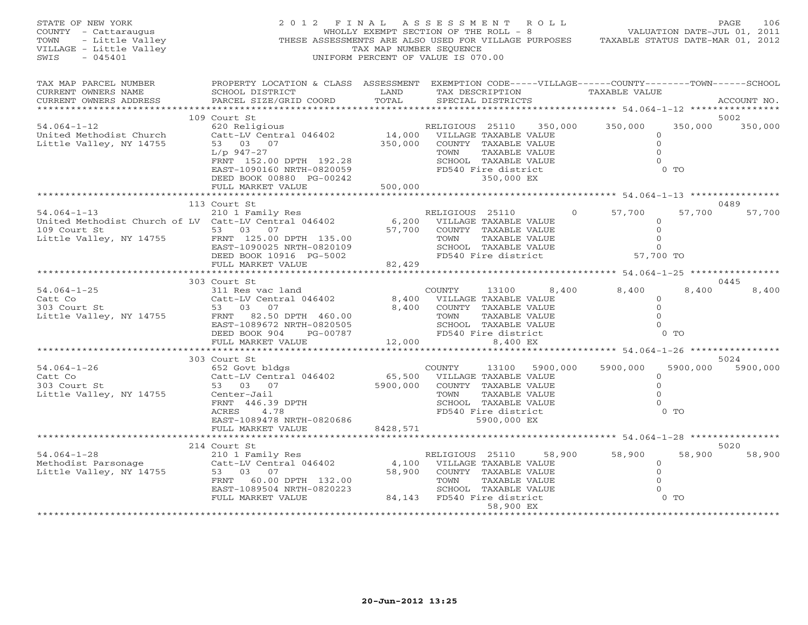| STATE OF NEW YORK<br>COUNTY - Cattaraugus<br>TOWN - Little Valley<br>VILLAGE - Little Valley<br>- 2015101 | 2012 FINAL ASSESSMENT ROLL<br>THESE ASSESSMENTS ARE ALSO USED FOR VILLAGE PURPOSES TAXABLE STATUS DATE-MAR 01, 2012                                                                                                                                                                                                                                                                                                                                                                                                                                                                                                                             | TAX MAP NUMBER SEQUENCE<br>UNIFORM PERCENT OF VALUE IS 070.00 |                            |                              |                                                                                            | $F$ $I$ $N$ $A$ $L$ $A$ $S$ $S$ $E$ $S$ $S$ $M$ $E$ $N$ $T$ $K$ $0$ $L$ $L$<br>$V$ $N$ $N$ $L$ $M$ $T$ $T$ $N$ $S$ $R$ $S$ $K$ $S$ $S$ $M$ $E$ $N$ $T$ $K$ $0$ $L$ $L$ $T$ $S$ $T$ $S$ $K$ $N$ $T$ $N$ $S$ $T$ $S$ $N$ $T$ $T$ |                  | 106<br>PAGE               |
|-----------------------------------------------------------------------------------------------------------|-------------------------------------------------------------------------------------------------------------------------------------------------------------------------------------------------------------------------------------------------------------------------------------------------------------------------------------------------------------------------------------------------------------------------------------------------------------------------------------------------------------------------------------------------------------------------------------------------------------------------------------------------|---------------------------------------------------------------|----------------------------|------------------------------|--------------------------------------------------------------------------------------------|--------------------------------------------------------------------------------------------------------------------------------------------------------------------------------------------------------------------------------|------------------|---------------------------|
| TAX MAP PARCEL NUMBER<br>CURRENT OWNERS NAME<br>CURRENT OWNERS ADDRESS                                    | PROPERTY LOCATION & CLASS ASSESSMENT EXEMPTION CODE-----VILLAGE------COUNTY-------TOWN------SCHOOL<br>SCHOOL DISTRICT<br>PARCEL SIZE/GRID COORD                                                                                                                                                                                                                                                                                                                                                                                                                                                                                                 | TOTAL                                                         | SPECIAL DISTRICTS          |                              |                                                                                            | LAND TAX DESCRIPTION TAXABLE VALUE                                                                                                                                                                                             |                  | ACCOUNT NO.               |
|                                                                                                           | 109 Court St                                                                                                                                                                                                                                                                                                                                                                                                                                                                                                                                                                                                                                    |                                                               |                            |                              |                                                                                            |                                                                                                                                                                                                                                |                  | 5002                      |
| $54.064 - 1 - 12$<br>United Methodist Church<br>Tittle Valley, NY 14755<br>Little Valley, NY 14755        | 620 Religious<br>Catt-LV Central 046402 14,000 VILLAGE TAXABLE VALUE<br>53 03 07 350,000 COUNTY TAXABLE VALUE<br>620 Religious<br>CALLE 14,000 VILLAGE TAXABLE VALUE<br>53 03 07 350,000 COUNTY TAXABLE VALUE<br>70WN TAXABLE VALUE<br>$\begin{tabular}{lllllllllllllllllll} \textsc{L/p} & 947-27 & \textsc{TONN} & \textsc{TAXABLE} \textsc{VAL} \\ \textsc{FRNT} & 152.00 \textsc{DPTH} & 192.28 & \textsc{SCHOOL} & \textsc{TAXABLE} \textsc{VAL} \\ \textsc{EST--1090160} & \textsc{RFH--0820059} & \textsc{FD540} \textsc{F1} & \textsc{F1} \\ \textsc{DEED BOK} & 00880 & \textsc{PG--00242} & 350,000 \textsc{EX} \\ \textsc{FULL} & \$ |                                                               | SCHOOL TAXABLE VALUE       |                              | SCHOOL TAXABLE VALUE<br>FD540 Fire district                                                | $\Omega$                                                                                                                                                                                                                       | $0$ TO           | 350,000 350,000           |
|                                                                                                           |                                                                                                                                                                                                                                                                                                                                                                                                                                                                                                                                                                                                                                                 |                                                               |                            |                              |                                                                                            |                                                                                                                                                                                                                                |                  |                           |
|                                                                                                           |                                                                                                                                                                                                                                                                                                                                                                                                                                                                                                                                                                                                                                                 |                                                               |                            |                              |                                                                                            |                                                                                                                                                                                                                                |                  |                           |
|                                                                                                           |                                                                                                                                                                                                                                                                                                                                                                                                                                                                                                                                                                                                                                                 |                                                               |                            |                              |                                                                                            |                                                                                                                                                                                                                                |                  | 0489                      |
|                                                                                                           |                                                                                                                                                                                                                                                                                                                                                                                                                                                                                                                                                                                                                                                 |                                                               |                            |                              |                                                                                            | $0 \t 57,700$<br>$\circ$<br>$\overline{0}$<br>$\circ$<br>$\circ$<br>57,700 TO                                                                                                                                                  | 57,700           | 57,700                    |
|                                                                                                           |                                                                                                                                                                                                                                                                                                                                                                                                                                                                                                                                                                                                                                                 |                                                               |                            |                              |                                                                                            |                                                                                                                                                                                                                                |                  |                           |
|                                                                                                           |                                                                                                                                                                                                                                                                                                                                                                                                                                                                                                                                                                                                                                                 |                                                               |                            |                              |                                                                                            |                                                                                                                                                                                                                                |                  |                           |
|                                                                                                           | 303 Court St                                                                                                                                                                                                                                                                                                                                                                                                                                                                                                                                                                                                                                    |                                                               |                            |                              |                                                                                            |                                                                                                                                                                                                                                |                  | 0445                      |
|                                                                                                           | 311 Res vac land<br>Catt-LV Central 046402 (3,400 VILLAGE TAXABLE VALUE<br>53 03 07 (3,400 COUNTY TAXABLE VALUE                                                                                                                                                                                                                                                                                                                                                                                                                                                                                                                                 |                                                               |                            |                              | 8,400                                                                                      | 8,400<br>$\circ$<br>$\Omega$<br>$\Omega$<br>$\Omega$                                                                                                                                                                           | 8,400<br>$0$ TO  | 8,400                     |
|                                                                                                           |                                                                                                                                                                                                                                                                                                                                                                                                                                                                                                                                                                                                                                                 |                                                               |                            |                              |                                                                                            |                                                                                                                                                                                                                                |                  |                           |
|                                                                                                           |                                                                                                                                                                                                                                                                                                                                                                                                                                                                                                                                                                                                                                                 |                                                               |                            |                              |                                                                                            | *********************************** 54.064-1-26 ******************                                                                                                                                                             |                  |                           |
| 54.064-1-26<br>Catt Co<br>- ----- St.<br>Little Valley, NY 14755                                          | 303 Court St<br>652 Govt bldgs<br>Catt-LV Central 046402 65,500 VILLAGE TAXABLE VALUE 53 03 07 5900,000 COUNTY TAXABLE VALUE<br>Center-Jail<br>FRNT 446.39 DPTH<br>ACRES 4.78<br>EAST-1089478 NRTH-0820686<br>TILL 10791478 NRTH-0820686                                                                                                                                                                                                                                                                                                                                                                                                        |                                                               | TOWN                       | TAXABLE VALUE<br>5900,000 EX | COUNTY 13100 5900,000<br>TOWN TAXABLE VALUE<br>SCHOOL TAXABLE VALUE<br>FD540 Fire district | 5900,000<br>$\Omega$<br>$\Omega$<br>$\Omega$<br>$\Omega$                                                                                                                                                                       | $0$ TO           | 5024<br>5900,000 5900,000 |
|                                                                                                           | FULL MARKET VALUE                                                                                                                                                                                                                                                                                                                                                                                                                                                                                                                                                                                                                               | 8428,571                                                      |                            |                              |                                                                                            |                                                                                                                                                                                                                                |                  |                           |
|                                                                                                           |                                                                                                                                                                                                                                                                                                                                                                                                                                                                                                                                                                                                                                                 |                                                               |                            |                              |                                                                                            |                                                                                                                                                                                                                                |                  |                           |
| 54.064-1-28<br>Methodist Parsonage 210 1 Family Res<br>Little Valley, NY 14755 53 03 07                   | 214 Court St<br>210 Taniily Ness (2008)<br>Catt-LV Central 046402 4,100 VILLAGE TAXABLE VALUE<br>53 03 07 58,900 COUNTY TAXABLE VALUE<br>FRNT 60.00 DPTH 132.00 58,900 TOWN TAXABLE VALUE<br>EAST-1089504 NRTH-0820223 SCHOOL TAXABLE VALUE<br>FULL MARKET VALUE                                                                                                                                                                                                                                                                                                                                                                                |                                                               | 84,143 FD540 Fire district |                              |                                                                                            | RELIGIOUS 25110 58,900 58,900<br>$\Omega$<br>$\Omega$<br>$\Omega$<br>$\Omega$                                                                                                                                                  | 58,900<br>$0$ TO | 5020<br>58,900            |
|                                                                                                           |                                                                                                                                                                                                                                                                                                                                                                                                                                                                                                                                                                                                                                                 |                                                               |                            | 58,900 EX                    |                                                                                            |                                                                                                                                                                                                                                |                  |                           |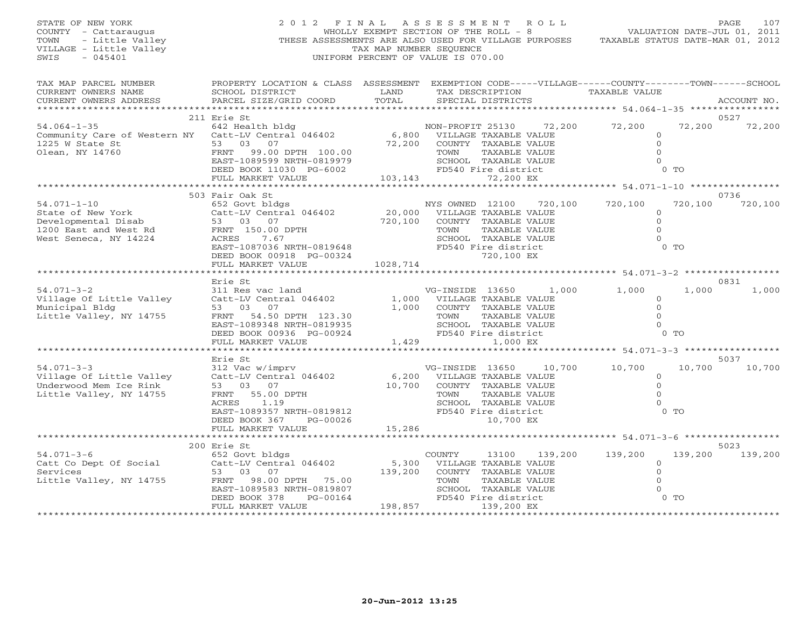### STATE OF NEW YORK 2 0 1 2 F I N A L A S S E S S M E N T R O L L PAGE 107 COUNTY - Cattaraugus WHOLLY EXEMPT SECTION OF THE ROLL - 8 VALUATION DATE-JUL 01, 2011 TOWN - Little Valley THESE ASSESSMENTS ARE ALSO USED FOR VILLAGE PURPOSES TAXABLE STATUS DATE-MAR 01, 2012 VILLAGE - Little Valley and the Communist Communist Communist Communist Communist Communist Communist Communist Communist Communist Communist Communist Communist Communist Communist Communist Communist Communist Communist SWIS - 045401 UNIFORM PERCENT OF VALUE IS 070.00

|  | IAAADDB UIAIUU DAIBTTAN VI, AVIA |  |  |
|--|----------------------------------|--|--|
|  |                                  |  |  |
|  |                                  |  |  |

| TAX MAP PARCEL NUMBER<br>CURRENT OWNERS NAME<br>CURRENT OWNERS ADDRESS                                                                                                  | PROPERTY LOCATION & CLASS ASSESSMENT EXEMPTION CODE-----VILLAGE------COUNTY-------TOWN------SCHOOL<br>SCHOOL DISTRICT<br>PARCEL SIZE/GRID COORD                                                                    | LAND<br>TOTAL                               | TAX DESCRIPTION<br>SPECIAL DISTRICTS                                                                                                                        | TAXABLE VALUE                                                    |                          | ACCOUNT NO.     |
|-------------------------------------------------------------------------------------------------------------------------------------------------------------------------|--------------------------------------------------------------------------------------------------------------------------------------------------------------------------------------------------------------------|---------------------------------------------|-------------------------------------------------------------------------------------------------------------------------------------------------------------|------------------------------------------------------------------|--------------------------|-----------------|
|                                                                                                                                                                         |                                                                                                                                                                                                                    |                                             |                                                                                                                                                             |                                                                  |                          |                 |
| , 52 - 54.064-1-35 54.064-1-35 642 Health bldg<br>Community Care of Western NY Catt-LV Central 046402 6,800 VILLAGE TAXABLE VALUE<br>1225 W State St<br>Olean, NY 14760 | 211 Erie St<br>53 03 07<br>FRNT 99.00 DPTH 100.00<br>EAST-1089599 NRTH-0819979                                                                                                                                     | 72,200                                      | NON-PROFIT 25130 72,200 72,200<br>COUNTY TAXABLE VALUE<br>TOWN<br>TAXABLE VALUE<br>SCHOOL TAXABLE VALUE                                                     | $\circ$<br>$\circ$<br>$\Omega$<br>$\Omega$                       | 72,200                   | 0527<br>72,200  |
|                                                                                                                                                                         | DEED BOOK 11030 PG-6002<br>FULL MARKET VALUE                                                                                                                                                                       | 103, 143                                    | FD540 Fire district<br>72,200 EX                                                                                                                            |                                                                  | $0$ TO                   |                 |
|                                                                                                                                                                         |                                                                                                                                                                                                                    |                                             |                                                                                                                                                             |                                                                  |                          |                 |
| $54.071-1-10$<br>$54.071-1-10$<br>$54.071-1-10$<br>$53.03.07$<br>$52.03.07$<br>$53.03.07$<br>$56.00$<br>1200 East and West Rd<br>West Seneca, NY 14224                  | 503 Fair Oak St<br>652 Govt bldgs<br>Catt-LV Central 046402<br>FRNT 150.00 DPTH<br>ACRES 7.67<br>EAST-1087036 NRTH-0819648 FD540<br>FD540<br>PC-00324<br>FULL MARKET VALUE                                         | $\frac{20,000}{700}$<br>720,100<br>1028,714 | NYS OWNED 12100<br>VILLAGE TAXABLE VALUE<br>COUNTY TAXABLE VALUE<br>TOWN<br>TAXABLE VALUE<br>SCHOOL TAXABLE VALUE<br>FD540 Fire district<br>720,100 EX      | 720,100 720,100<br>$\mathbf{O}$<br>$\circ$<br>$\Omega$<br>$\cap$ | 720,100<br>$0$ TO        | 0736<br>720,100 |
|                                                                                                                                                                         |                                                                                                                                                                                                                    |                                             |                                                                                                                                                             |                                                                  |                          |                 |
| $54.071 - 3 - 2$<br>Village Of Little Valley<br>Municipal Bldg<br>Little Valley, NY 14755                                                                               | Erie St<br>311 Res vac land<br>Catt-LV Central 046402 (1,000 VILLAGE TAXABLE VALUE<br>53 03 07<br>53 03 07<br>FRNT 54.50 DPTH 123.30<br>EAST-1089348 NRTH-0819935<br>DEED BOOK 00936 PG-00924<br>FULL MARKET VALUE | 1,000<br>1,429                              | VG-INSIDE 13650 1,000 1,000<br>COUNTY TAXABLE VALUE<br>TOWN<br>TAXABLE VALUE<br>SCHOOL TAXABLE VALUE<br>FD540 Fire district<br>1,000 EX                     | $\Omega$<br>$\Omega$<br>$\Omega$<br>$\Omega$                     | 1,000<br>0 <sub>0</sub>  | 0831<br>1,000   |
|                                                                                                                                                                         | Erie St                                                                                                                                                                                                            |                                             |                                                                                                                                                             |                                                                  |                          | 5037            |
| $54.071 - 3 - 3$<br>Village Of Little Valley<br>Underwood Mem Ice Rink<br>Little Valley, NY 14755                                                                       | 312 Vac w/imprv<br>Catt-LV Central 046402<br>53 03 07<br>FRNT 55.00 DPTH<br>1.19<br>ACRES<br>EAST-1089357 NRTH-0819812<br>DEED BOOK 367<br>PG-00026<br>FULL MARKET VALUE                                           | 10,700<br>15,286                            | VG-INSIDE 13650<br>6,200 VILLAGE TAXABLE VALUE<br>COUNTY TAXABLE VALUE<br>TAXABLE VALUE<br>TOWN<br>SCHOOL TAXABLE VALUE<br>FD540 Fire district<br>10,700 EX | 10,700 10,700<br>$\circ$<br>$\Omega$<br>$\Omega$                 | 10,700<br>0 <sub>0</sub> | 10,700          |
|                                                                                                                                                                         |                                                                                                                                                                                                                    |                                             |                                                                                                                                                             |                                                                  |                          |                 |
| 54.071-3-6 652 Govt bldgs<br>Catt Co Dept Of Social 652 Catt-LV Central 046402<br>Services<br>Little Valley, NY 14755                                                   | 200 Erie St<br>53 03 07<br>FRNT 98.00 DPTH 75.00<br>EAST-1089583 NRTH-0819807<br>PG-00164<br>DEED BOOK 378                                                                                                         | 5,300<br>139,200                            | COUNTY<br>13100<br>VILLAGE TAXABLE VALUE<br>COUNTY TAXABLE VALUE<br>TOWN<br>TAXABLE VALUE<br>SCHOOL TAXABLE VALUE<br>FD540 Fire district                    | 139,200 139,200<br>$\Omega$<br>$\mathbf{0}$<br>$0$ TO            | 139,200                  | 5023<br>139,200 |
|                                                                                                                                                                         | FULL MARKET VALUE                                                                                                                                                                                                  | 198,857                                     | 139,200 EX                                                                                                                                                  |                                                                  |                          |                 |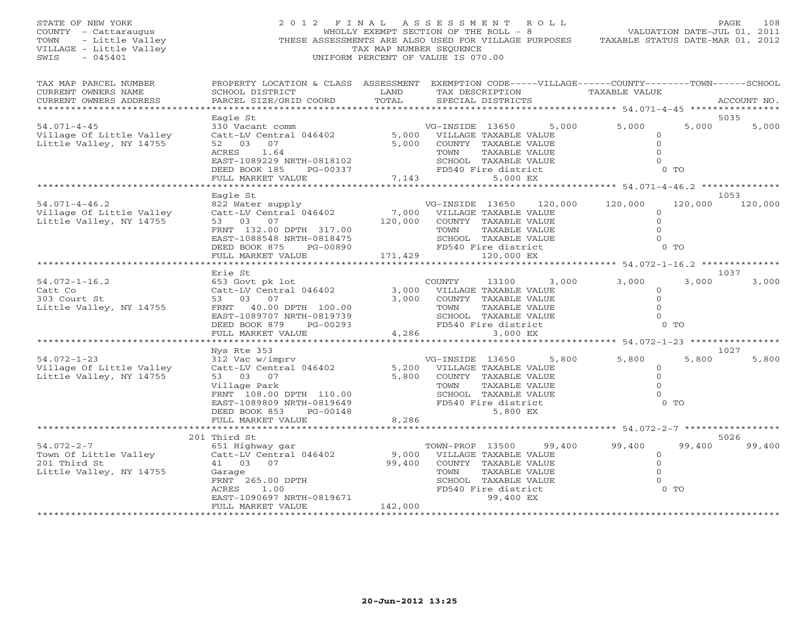| STATE OF NEW YORK<br>COUNTY - Cattaraugus<br>TOWN<br>- Little Valley<br>VILLAGE - Little Valley<br>$-045401$<br>SWIS | 2012 FINAL                                                                                                                                                                                     | TAX MAP NUMBER SEQUENCE     | A S S E S S M E N T<br>R O L L<br>WHOLLY EXEMPT SECTION OF THE ROLL - 8<br>THESE ASSESSMENTS ARE ALSO USED FOR VILLAGE PURPOSES<br>UNIFORM PERCENT OF VALUE IS 070.00 |                                                                            | PAGE<br>108<br>VALUATION DATE-JUL 01, 2011<br>TAXABLE STATUS DATE-MAR 01, 2012 |
|----------------------------------------------------------------------------------------------------------------------|------------------------------------------------------------------------------------------------------------------------------------------------------------------------------------------------|-----------------------------|-----------------------------------------------------------------------------------------------------------------------------------------------------------------------|----------------------------------------------------------------------------|--------------------------------------------------------------------------------|
| TAX MAP PARCEL NUMBER<br>CURRENT OWNERS NAME<br>CURRENT OWNERS ADDRESS                                               | SCHOOL DISTRICT<br>PARCEL SIZE/GRID COORD                                                                                                                                                      | LAND<br>TOTAL               | PROPERTY LOCATION & CLASS ASSESSMENT EXEMPTION CODE-----VILLAGE------COUNTY-------TOWN------SCHOOL<br>TAX DESCRIPTION<br>SPECIAL DISTRICTS                            | TAXABLE VALUE                                                              | ACCOUNT NO.                                                                    |
| *************************                                                                                            | Eagle St                                                                                                                                                                                       |                             |                                                                                                                                                                       |                                                                            | 5035                                                                           |
| $54.071 - 4 - 45$<br>Village Of Little Valley<br>Little Valley, NY 14755                                             | 330 Vacant comm<br>Catt-LV Central 046402<br>52 03 07<br>ACRES<br>1.64<br>EAST-1089229 NRTH-0818102<br>DEED BOOK 185<br>PG-00337                                                               | 5,000                       | 5,000<br>VG-INSIDE 13650<br>5,000 VILLAGE TAXABLE VALUE<br>COUNTY TAXABLE VALUE<br>TOWN<br>TAXABLE VALUE<br>SCHOOL TAXABLE VALUE<br>FD540 Fire district               | 5,000<br>$\circ$<br>$\Omega$<br>$\Omega$<br>$\Omega$<br>$0$ TO             | 5,000<br>5,000                                                                 |
|                                                                                                                      | FULL MARKET VALUE                                                                                                                                                                              |                             | 7,143<br>5,000 EX                                                                                                                                                     |                                                                            |                                                                                |
|                                                                                                                      |                                                                                                                                                                                                |                             |                                                                                                                                                                       |                                                                            | 1053                                                                           |
| $54.071 - 4 - 46.2$<br>Village Of Little Valley<br>Little Valley, NY 14755                                           | Eagle St<br>822 Water supply<br>Catt-LV Central 046402<br>53 03 07<br>FRNT 132.00 DPTH 317.00<br>EAST-1088548 NRTH-0818475<br>DEED BOOK 875 PG-00890<br>FULL MARKET VALUE                      | 7,000<br>120,000<br>171,429 | VG-INSIDE 13650<br>120,000<br>VILLAGE TAXABLE VALUE<br>COUNTY TAXABLE VALUE<br>TOWN<br>TAXABLE VALUE<br>SCHOOL TAXABLE VALUE<br>FD540 Fire district<br>120,000 EX     | 120,000<br>$\circ$<br>$\overline{O}$<br>$\mathbf{0}$<br>$\Omega$<br>$0$ TO | 120,000<br>120,000                                                             |
|                                                                                                                      |                                                                                                                                                                                                | * * * * * * * * * *         |                                                                                                                                                                       | ********* 54.072-1-16.2 *************                                      |                                                                                |
| $54.072 - 1 - 16.2$<br>Catt Co<br>303 Court St<br>Little Valley, NY 14755                                            | Erie St<br>653 Govt pk lot<br>Catt-LV Central 046402<br>53 03 07<br>FRNT 40.00 DPTH 100.00<br>EAST-1089707 NRTH-0819739<br>DEED BOOK 879<br>PG-00293<br>FULL MARKET VALUE                      | 3,000<br>3,000<br>4,286     | 3,000<br>COUNTY<br>13100<br>VILLAGE TAXABLE VALUE<br>COUNTY TAXABLE VALUE<br>TAXABLE VALUE<br>TOWN<br>SCHOOL TAXABLE VALUE<br>FD540 Fire district<br>3,000 EX         | 3,000<br>$\circ$<br>$\Omega$<br>$\mathbf{O}$<br>$\Omega$<br>$0$ TO         | 1037<br>3,000<br>3,000                                                         |
|                                                                                                                      | **************************                                                                                                                                                                     |                             |                                                                                                                                                                       |                                                                            |                                                                                |
| $54.072 - 1 - 23$<br>Village Of Little Valley<br>Little Valley, NY 14755                                             | Nys Rte 353<br>312 Vac w/imprv<br>Catt-LV Central 046402<br>53 03 07<br>Village Park<br>FRNT 108.00 DPTH 110.00<br>EAST-1089809 NRTH-0819649<br>DEED BOOK 853<br>PG-00148<br>FULL MARKET VALUE | 5,200<br>5,800<br>8,286     | 5,800<br>VG-INSIDE 13650<br>VILLAGE TAXABLE VALUE<br>COUNTY TAXABLE VALUE<br>TOWN<br>TAXABLE VALUE<br>SCHOOL TAXABLE VALUE<br>FD540 Fire district<br>5,800 EX         | 5,800<br>$\mathbf{0}$<br>$\Omega$<br>$\Omega$<br>$\Omega$<br>$0$ TO        | 1027<br>5,800<br>5,800                                                         |
|                                                                                                                      | ************************                                                                                                                                                                       |                             |                                                                                                                                                                       |                                                                            |                                                                                |
| $54.072 - 2 - 7$<br>Town Of Little Valley<br>201 Third St                                                            | 201 Third St<br>651 Highway gar<br>Catt-LV Central 046402<br>41 03 07                                                                                                                          | 9,000<br>99,400             | 99,400<br>TOWN-PROP 13500<br>VILLAGE TAXABLE VALUE<br>COUNTY TAXABLE VALUE                                                                                            | 99,400<br>$\circ$<br>$\overline{0}$                                        | 5026<br>99,400<br>99,400                                                       |
| Little Valley, NY 14755                                                                                              | Garage<br>FRNT 265.00 DPTH<br>ACRES<br>1.00<br>EAST-1090697 NRTH-0819671<br>FULL MARKET VALUE                                                                                                  | 142,000                     | TAXABLE VALUE<br>TOWN<br>SCHOOL TAXABLE VALUE<br>FD540 Fire district<br>99,400 EX                                                                                     | $\mathbf{0}$<br>$\mathbf{0}$<br>$0$ TO                                     |                                                                                |
| *************************                                                                                            | *******************                                                                                                                                                                            | **************              |                                                                                                                                                                       |                                                                            |                                                                                |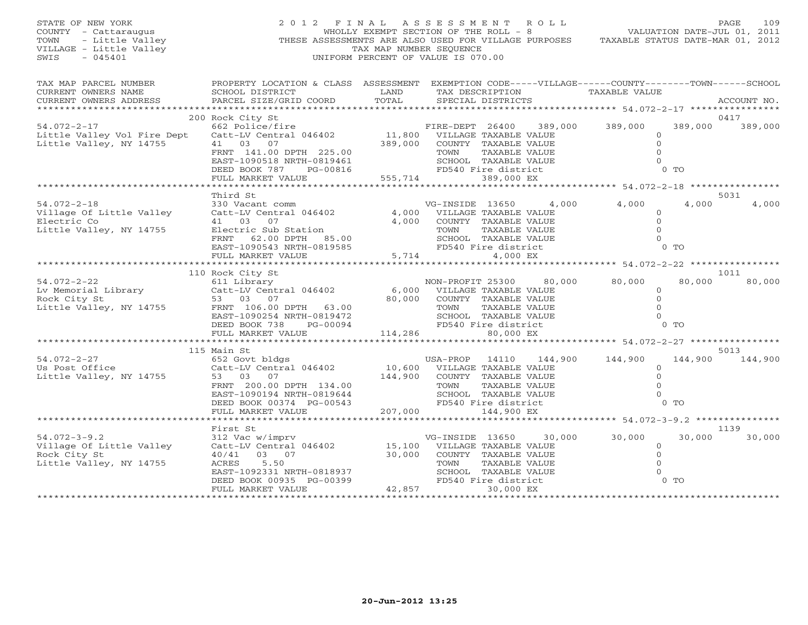VILLAGE - Little Valley<br>SWIS - 045401

STATE OF NEW YORK 2 0 1 2 F I N A L A S S E S S M E N T R O L L PAGE 109 COUNTY - Cattaraugus WHOLLY EXEMPT SECTION OF THE ROLL - 8 VALUATION DATE-JUL 01, 2011 TOWN - Little Valley **These ASSESSMENTS ARE ALSO USED FOR VILLAGE PURPOSES** TAXABLE STATUS DATE-MAR 01, 2012<br>VILLAGE - Little Valley **These State of Tax Mar NUMBER SEQUENCE** SWIS - 045401 UNIFORM PERCENT OF VALUE IS 070.00

| TAX MAP PARCEL NUMBER<br>CURRENT OWNERS NAME     | SCHOOL DISTRICT                                                                                                                                                                    | <b>LAND</b> | PROPERTY LOCATION & CLASS ASSESSMENT EXEMPTION CODE-----VILLAGE------COUNTY-------TOWN------SCHOOL<br>TAX DESCRIPTION TAXABLE VALUE |                |                    |
|--------------------------------------------------|------------------------------------------------------------------------------------------------------------------------------------------------------------------------------------|-------------|-------------------------------------------------------------------------------------------------------------------------------------|----------------|--------------------|
| CURRENT OWNERS ADDRESS                           | PARCEL SIZE/GRID COORD                                                                                                                                                             | TOTAL       | SPECIAL DISTRICTS                                                                                                                   |                | ACCOUNT NO.        |
|                                                  |                                                                                                                                                                                    |             |                                                                                                                                     |                |                    |
|                                                  | 200 Rock City St                                                                                                                                                                   |             | 662 Police/fire<br>662 Police/fire 662 Police/fire 500 PTRE-DEPT 26400 389,000 389,000                                              |                | 0417               |
| $54.072 - 2 - 17$<br>Little Valley Vol Fire Dept | Catt-LV Central 046402 11,800 VILLAGE TAXABLE VALUE                                                                                                                                |             |                                                                                                                                     | $\Omega$       | 389,000<br>389,000 |
| Little Valley, NY 14755                          | 41 03 07                                                                                                                                                                           |             | 389,000 COUNTY TAXABLE VALUE                                                                                                        | $\Omega$       |                    |
|                                                  | FRNT 141.00 DPTH 225.00                                                                                                                                                            |             | TAXABLE VALUE<br>TOWN                                                                                                               |                |                    |
|                                                  | EAST-1090518 NRTH-0819461                                                                                                                                                          |             | SCHOOL TAXABLE VALUE                                                                                                                |                |                    |
|                                                  | DEED BOOK 787 PG-00816                                                                                                                                                             |             | $-00816$<br>$-00816$<br>$-00816$<br>$-00816$<br>$-00816$<br>$-00816$<br>$-00816$<br>$-00816$<br>$-00816$<br>$-00816$<br>$-00816$    | 0 <sub>T</sub> |                    |
|                                                  | FULL MARKET VALUE                                                                                                                                                                  |             |                                                                                                                                     |                |                    |
|                                                  | Third St                                                                                                                                                                           |             |                                                                                                                                     |                | 5031               |
| $54.072 - 2 - 18$                                |                                                                                                                                                                                    |             | VG-INSIDE 13650 4,000 4,000                                                                                                         |                | 4,000<br>4,000     |
| Village Of Little Valley                         | 330 Vacant comm<br>Catt-LV Central 046402 4,000                                                                                                                                    |             | 4,000 VILLAGE TAXABLE VALUE                                                                                                         | $\Omega$       |                    |
| Electric Co                                      | 41 03 07                                                                                                                                                                           |             | 4,000 COUNTY TAXABLE VALUE                                                                                                          | $\Omega$       |                    |
| Little Valley, NY 14755                          | Electric Sub Station                                                                                                                                                               |             | TAXABLE VALUE<br>TOWN                                                                                                               |                |                    |
|                                                  | FRNT 62.00 DPTH 85.00                                                                                                                                                              |             | SCHOOL TAXABLE VALUE                                                                                                                |                |                    |
|                                                  | EAST-1090543 NRTH-0819585<br>FULL MARKET VALUE 5,714                                                                                                                               |             | FD540 Fire district                                                                                                                 | 0 <sub>0</sub> |                    |
|                                                  |                                                                                                                                                                                    | 5,714       | 4,000 EX                                                                                                                            |                |                    |
|                                                  |                                                                                                                                                                                    |             |                                                                                                                                     |                | 1011               |
|                                                  |                                                                                                                                                                                    |             | NON-PROFIT 25300 80,000                                                                                                             | 80,000         | 80,000<br>80,000   |
|                                                  |                                                                                                                                                                                    |             |                                                                                                                                     | $\Omega$       |                    |
|                                                  |                                                                                                                                                                                    |             |                                                                                                                                     | $\Omega$       |                    |
|                                                  |                                                                                                                                                                                    |             |                                                                                                                                     |                |                    |
|                                                  |                                                                                                                                                                                    |             |                                                                                                                                     |                |                    |
|                                                  | DEED BOOK 738<br>PG-00094                                                                                                                                                          |             | 9472<br>9472<br>9694<br>114,286<br>114,286<br>114,286<br>114,286<br>114,286                                                         | $0$ TO         |                    |
|                                                  | FULL MARKET VALUE                                                                                                                                                                  |             |                                                                                                                                     |                |                    |
|                                                  | 115 Main St                                                                                                                                                                        |             |                                                                                                                                     |                | 5013               |
| $54.072 - 2 - 27$                                |                                                                                                                                                                                    |             |                                                                                                                                     |                | 144,900 144,900    |
| Us Post Office                                   |                                                                                                                                                                                    |             |                                                                                                                                     | $\Omega$       |                    |
| Little Valley, NY 14755                          | 53 03 07                                                                                                                                                                           |             | 144,900 COUNTY TAXABLE VALUE                                                                                                        |                |                    |
|                                                  | FRNT 200.00 DPTH 134.00                                                                                                                                                            |             | TOWN<br>TAXABLE VALUE                                                                                                               |                |                    |
|                                                  |                                                                                                                                                                                    |             |                                                                                                                                     |                |                    |
|                                                  |                                                                                                                                                                                    |             |                                                                                                                                     |                |                    |
|                                                  |                                                                                                                                                                                    |             |                                                                                                                                     |                |                    |
|                                                  | First St                                                                                                                                                                           |             |                                                                                                                                     |                | 1139               |
| $54.072 - 3 - 9.2$                               |                                                                                                                                                                                    |             |                                                                                                                                     | 30,000 30,000  | 30,000 30,000      |
| Village Of Little Valley                         | $312 \text{ Vac } \text{w/imprv} \qquad \qquad \text{VG-INSIDE} \qquad 13650 \qquad 30 \\ \text{Catt-LV Central } 046402 \qquad \qquad 15,100 \qquad \text{VILLAGE TAXABLE VALUE}$ |             |                                                                                                                                     | $\Omega$       |                    |
| Rock City St                                     | 40/41 03 07                                                                                                                                                                        | 30,000      | COUNTY TAXABLE VALUE                                                                                                                | $\Omega$       |                    |
| Little Valley, NY 14755                          |                                                                                                                                                                                    |             | TAXABLE VALUE                                                                                                                       |                |                    |
|                                                  | ACRES 5.50 TOWN<br>EAST-1092331 NRTH-0818937 SCHOOL<br>DEED BOOK 00935 PG-00399 42,857<br>FULL MARKET VALUE 42,857                                                                 |             | SCHOOL TAXABLE VALUE                                                                                                                |                |                    |
|                                                  |                                                                                                                                                                                    |             | FD540 Fire district<br>30,000 EX                                                                                                    | $0$ TO         |                    |
|                                                  |                                                                                                                                                                                    |             |                                                                                                                                     |                |                    |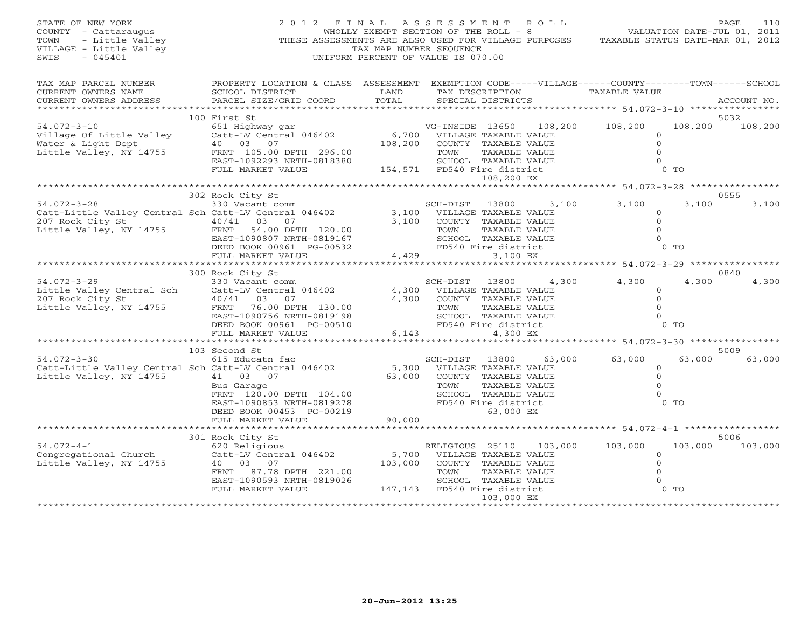| STATE OF NEW YORK<br>COUNTY - Cattaraugus<br>- Little Valley<br>TOWN<br>VILLAGE - Little Valley<br>$-045401$<br>SWIS | 2012 FINAL                                                                                                                                                                             | TAX MAP NUMBER SEQUENCE | ASSESSMENT ROLL<br>WHOLLY EXEMPT SECTION OF THE ROLL - 8<br>THESE ASSESSMENTS ARE ALSO USED FOR VILLAGE PURPOSES<br>UNIFORM PERCENT OF VALUE IS 070.00                               | VALUATION DATE-JUL 01, 2011<br>TAXABLE STATUS DATE-MAR 01, 2012              | PAGE<br>110     |
|----------------------------------------------------------------------------------------------------------------------|----------------------------------------------------------------------------------------------------------------------------------------------------------------------------------------|-------------------------|--------------------------------------------------------------------------------------------------------------------------------------------------------------------------------------|------------------------------------------------------------------------------|-----------------|
| TAX MAP PARCEL NUMBER<br>CURRENT OWNERS NAME<br>CURRENT OWNERS ADDRESS                                               | SCHOOL DISTRICT<br>PARCEL SIZE/GRID COORD                                                                                                                                              | LAND<br>TOTAL           | PROPERTY LOCATION & CLASS ASSESSMENT EXEMPTION CODE-----VILLAGE------COUNTY-------TOWN------SCHOOL<br>TAX DESCRIPTION<br>SPECIAL DISTRICTS                                           | TAXABLE VALUE                                                                | ACCOUNT NO.     |
| $54.072 - 3 - 10$<br>Village Of Little Valley<br>Water & Light Dept<br>Little Valley, NY 14755                       | 100 First St<br>651 Highway gar<br>Catt-LV Central 046402<br>40 03 07<br>FRNT 105.00 DPTH 296.00<br>EAST-1092293 NRTH-0818380<br>FULL MARKET VALUE                                     | 108,200                 | VG-INSIDE 13650 108,200 108,200<br>6,700 VILLAGE TAXABLE VALUE<br>COUNTY TAXABLE VALUE<br>TOWN<br>TAXABLE VALUE<br>SCHOOL TAXABLE VALUE<br>154,571 FD540 Fire district<br>108,200 EX | 108,200<br>$\circ$<br>$\Omega$<br>$\Omega$<br>$\Omega$<br>$0$ TO             | 5032<br>108,200 |
|                                                                                                                      |                                                                                                                                                                                        |                         |                                                                                                                                                                                      |                                                                              |                 |
| $54.072 - 3 - 28$<br>207 Rock City St<br>Little Valley, NY 14755                                                     | 302 Rock City St<br>330 Vacant comm<br>Catt-Little Valley Central Sch Catt-LV Central 046402<br>$40/41$ 03<br>07<br>FRNT 54.00 DPTH 120.00<br>EAST-1090807 NRTH-0819167                | 3,100                   | 3,100<br>SCH-DIST 13800<br>3,100 VILLAGE TAXABLE VALUE<br>COUNTY TAXABLE VALUE<br>TOWN<br>TAXABLE VALUE<br>SCHOOL TAXABLE VALUE                                                      | 3,100<br>3,100<br>$\circ$<br>$\circ$<br>$\Omega$<br>$\Omega$                 | 0555<br>3,100   |
|                                                                                                                      | DEED BOOK 00961 PG-00532<br>FULL MARKET VALUE                                                                                                                                          |                         | FD540 Fire district<br>4,429<br>3,100 EX                                                                                                                                             | $0$ TO                                                                       |                 |
| $54.072 - 3 - 29$<br>Little Valley Central Sch<br>207 Rock City St<br>Little Valley, NY 14755                        | 300 Rock City St<br>330 Vacant comm<br>Catt-LV Central 046402<br>$40/41$ 03<br>07<br>FRNT 76.00 DPTH 130.00<br>EAST-1090756 NRTH-0819198<br>DEED BOOK 00961 PG-00510                   | 4,300<br>4,300          | 4,300<br>SCH-DIST 13800<br>VILLAGE TAXABLE VALUE<br>COUNTY TAXABLE VALUE<br>TAXABLE VALUE<br>TOWN<br>SCHOOL TAXABLE VALUE<br>FD540 Fire district<br>6,143<br>4,300 EX                | 4,300<br>4,300<br>$\circ$<br>$\Omega$<br>$\Omega$<br>$\Omega$<br>$0$ TO      | 0840<br>4,300   |
|                                                                                                                      | FULL MARKET VALUE                                                                                                                                                                      |                         |                                                                                                                                                                                      | ********************** 54.072-3-30 **************                            |                 |
|                                                                                                                      | 103 Second St                                                                                                                                                                          |                         |                                                                                                                                                                                      |                                                                              | 5009            |
| $54.072 - 3 - 30$<br>Little Valley, NY 14755                                                                         | 615 Educatn fac<br>Catt-Little Valley Central Sch Catt-LV Central 046402<br>41 03 07<br>Bus Garage<br>FRNT 120.00 DPTH 104.00<br>EAST-1090853 NRTH-0819278<br>DEED BOOK 00453 PG-00219 | 5,300<br>63,000         | 63,000<br>SCH-DIST<br>13800<br>VILLAGE TAXABLE VALUE<br>COUNTY TAXABLE VALUE<br>TAXABLE VALUE<br>TOWN<br>SCHOOL TAXABLE VALUE<br>FD540 Fire district<br>63,000 EX                    | 63,000<br>63,000<br>$\circ$<br>$\circ$<br>$\Omega$<br>$\Omega$<br>$0$ TO     | 63,000          |
|                                                                                                                      | FULL MARKET VALUE                                                                                                                                                                      | 90,000                  |                                                                                                                                                                                      |                                                                              |                 |
|                                                                                                                      |                                                                                                                                                                                        |                         |                                                                                                                                                                                      |                                                                              |                 |
| $54.072 - 4 - 1$<br>Congregational Church<br>Little Valley, NY 14755                                                 | 301 Rock City St<br>620 Religious<br>Catt-LV Central 046402<br>40 03 07<br>FRNT 87.78 DPTH 221.00<br>EAST-1090593 NRTH-0819026<br>FULL MARKET VALUE                                    | 5,700<br>103,000        | 103,000<br>RELIGIOUS 25110<br>VILLAGE TAXABLE VALUE<br>COUNTY TAXABLE VALUE<br>TOWN<br>TAXABLE VALUE<br>SCHOOL TAXABLE VALUE<br>147,143 FD540 Fire district                          | 103,000<br>103,000<br>$\circ$<br>$\mathbf 0$<br>$\circ$<br>$\circ$<br>$0$ TO | 5006<br>103,000 |
|                                                                                                                      |                                                                                                                                                                                        |                         | 103,000 EX                                                                                                                                                                           |                                                                              |                 |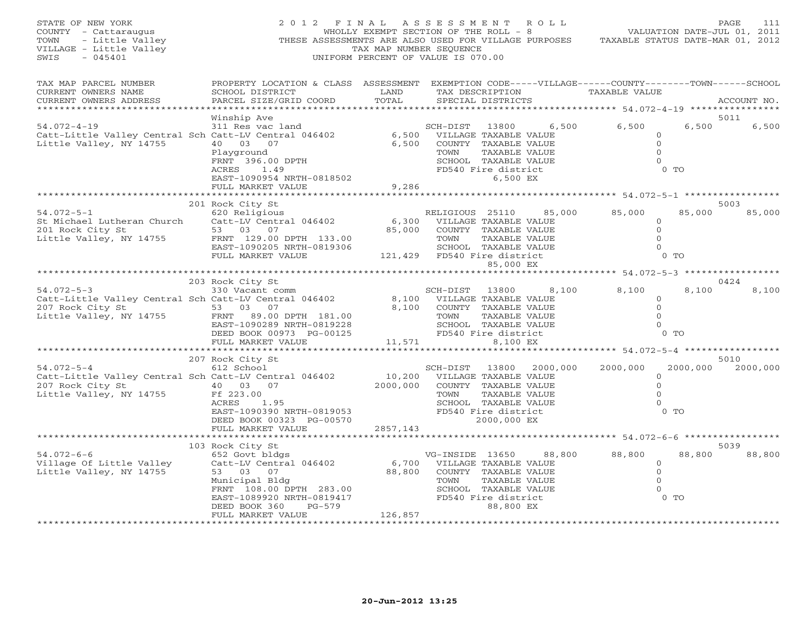| STATE OF NEW YORK<br>COUNTY - Cattaraugus<br>TOWN<br>VILLAGE - Little Valley<br>SWIS                                                                                          |                                                                                                                                                                                                                    |                                | 2012 FINAL ASSESSMENT ROLL<br>OF NEW YORK<br>Y - Cattaraugus (You Ally EXEMPT SECTION OF THE ROLL - 8<br>- Little Valley (THESE ASSESSMENTS ARE ALSO USED FOR VILLAGE PURPOSES TAXABLE STATUS DATE-MAR 01, 2012<br>THESE ASSESSMENTS ARE ALSO USED FOR VILLAGE PUR |                                                                               | PAGE<br>111                  |
|-------------------------------------------------------------------------------------------------------------------------------------------------------------------------------|--------------------------------------------------------------------------------------------------------------------------------------------------------------------------------------------------------------------|--------------------------------|--------------------------------------------------------------------------------------------------------------------------------------------------------------------------------------------------------------------------------------------------------------------|-------------------------------------------------------------------------------|------------------------------|
| TAX MAP PARCEL NUMBER<br>CURRENT OWNERS NAME<br>CURRENT OWNERS ADDRESS                                                                                                        | SCHOOL DISTRICT<br>PARCEL SIZE/GRID COORD                                                                                                                                                                          | LAND<br>TOTAL                  | PROPERTY LOCATION & CLASS ASSESSMENT EXEMPTION CODE-----VILLAGE------COUNTY-------TOWN------SCHOOL<br>TAX DESCRIPTION<br>SPECIAL DISTRICTS                                                                                                                         | TAXABLE VALUE                                                                 | ACCOUNT NO.                  |
| 13800 6, 311 Res vac land<br>Catt-Little Valley Central Sch Catt-LV Central 046402 6,500 VILLAGE TAXABLE VALUE<br>Little Valley, NY 14755 40 03 07 6,500 COUNTY TAXABLE VALUE | Winship Ave<br>Playground<br>Playground<br>FRNT 396.00 DPTH<br>ACRES 1.49<br>EAST-1090954 NRTH-0818502<br>FULL MARKET VALUE                                                                                        |                                | TAXABLE VALUE<br>TOWN<br>SCHOOL TAXABLE VALUE<br>FD540 Fire district<br>6,500 EX                                                                                                                                                                                   | 6,500 6,500<br>$\circ$<br>$\overline{O}$<br>$\Omega$<br>$\Omega$<br>$00$ TO   | 5011<br>6,500<br>6,500       |
|                                                                                                                                                                               |                                                                                                                                                                                                                    |                                |                                                                                                                                                                                                                                                                    |                                                                               |                              |
| $54.072 - 5 - 1$<br>St Michael Lutheran Church<br>201 Rock City St                                                                                                            | 201 Rock City St<br>620 Religious<br>Catt-LV Central 046402<br>53 03 07                                                                                                                                            |                                | RELIGIOUS 25110<br>85,000<br>6,300 VILLAGE TAXABLE VALUE<br>85,000 COUNTY TAXABLE VALUE                                                                                                                                                                            | 85,000<br>$\circ$<br>$\Omega$                                                 | 5003<br>85,000<br>85,000     |
| Little Valley, NY 14755                                                                                                                                                       | FRNT 129.00 DPTH 133.00<br>EAST-1090205 NRTH-0819306<br>FULL MARKET VALUE                                                                                                                                          |                                | TOWN TAXABLE VALUE<br>SCHOOL TAXABLE VALUE<br>TREAGETTE district<br>919306 SCHOOL TAXABLE VALUE<br>121,429 FD540 Fire district<br>85,000 EX                                                                                                                        | $\Omega$<br>$\circ$<br>$0$ TO                                                 |                              |
|                                                                                                                                                                               | 203 Rock City St                                                                                                                                                                                                   |                                |                                                                                                                                                                                                                                                                    |                                                                               | 0424                         |
| $54.072 - 5 - 3$<br>Catt-Little Valley Central Sch Catt-LV Central 046402<br>207 Rock City St 53 03 07<br>207 Rock City St<br>Little Valley, NY 14755                         | 330 Vacant comm<br>53 03 07<br>FRNT 89.00 DPTH 181.00<br>EAST-1090289 NRTH-0819228<br>DEED BOOK 00973 PG-00125<br>FULL MARKET VALUE                                                                                |                                | 8,100<br>SCH-DIST 13800<br>8,100 VILLAGE TAXABLE VALUE<br>8,100 COUNTY TAXABLE VALUE<br>TOWN<br>TAXABLE VALUE<br>TOWN     TAXABLE VALUE<br>SCHOOL   TAXABLE VALUE<br>FD540 Fire district<br>FD540 Fire district<br>11,571<br>8,100 EX                              | 8,100<br>$\circ$<br>$\circ$<br>$\Omega$<br>$\Omega$<br>$0$ TO                 | 8,100<br>8,100               |
|                                                                                                                                                                               |                                                                                                                                                                                                                    |                                |                                                                                                                                                                                                                                                                    |                                                                               |                              |
| $54.072 - 5 - 4$<br>Catt-Little Valley Central Sch Catt-LV Central 046402<br>207 Rock City St<br>Little Valley, NY 14755                                                      | 207 Rock City St<br>612 School<br>40 03 07<br>Ff 223.00<br>ACRES<br>1.95<br>EAST-1090390 NRTH-0819053<br>DEED BOOK 00323 PG-00570<br>FULL MARKET VALUE                                                             | 10,200<br>2000,000<br>2857,143 | 2000,000<br>SCH-DIST 13800<br>VILLAGE TAXABLE VALUE<br>COUNTY TAXABLE VALUE<br>TOWN<br>TAXABLE VALUE<br>SCHOOL TAXABLE VALUE<br>SCHOOL TAXABLE VALUE<br>FD540 Fire district<br>2000,000 EX                                                                         | 2000,000<br>$\circ$<br>$\Omega$<br>$\mathbf{0}$<br>$\Omega$<br>0 <sub>T</sub> | 5010<br>2000,000<br>2000,000 |
|                                                                                                                                                                               | ***************************                                                                                                                                                                                        |                                |                                                                                                                                                                                                                                                                    |                                                                               |                              |
| $54.072 - 6 - 6$<br>Village Of Little Valley<br>Little Valley, NY 14755                                                                                                       | 103 Rock City St<br>ROCK City St<br>652 Govt bldgs<br>Catt-LV Central 046402<br>53 03 07<br>Municipal Bldg<br>FRNT 108.00 DPTH 283.00<br>EAST-1089920 NRTH-0819417<br>PG-579<br>DEED BOOK 360<br>FULL MARKET VALUE | 88,800<br>126,857              | 88,800<br>VG-INSIDE 13650<br>6,700 VILLAGE TAXABLE VALUE<br>COUNTY TAXABLE VALUE<br>TAXABLE VALUE<br>TOWN<br>SCHOOL TAXABLE VALUE<br>FD540 Fire district<br>88,800 EX                                                                                              | 88,800<br>$\overline{0}$<br>$\circ$<br>$\Omega$<br>$\Omega$<br>$0$ TO         | 5039<br>88,800<br>88,800     |
| **********************                                                                                                                                                        |                                                                                                                                                                                                                    |                                |                                                                                                                                                                                                                                                                    |                                                                               |                              |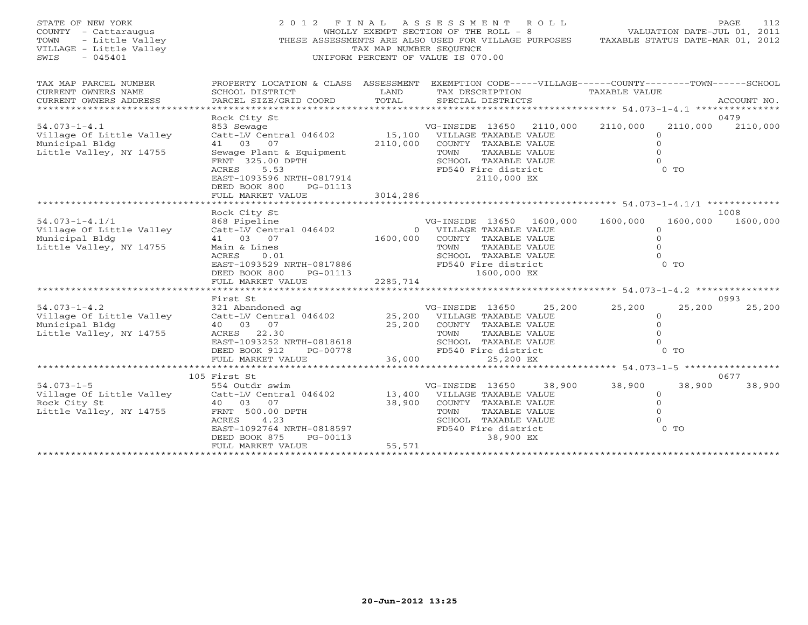| STATE OF NEW YORK<br>COUNTY - Cattaraugus<br>- Little Valley<br>TOWN<br>VILLAGE - Little Valley<br>SWIS<br>$-045401$ | 2012 FINAL                                                                                                                                                                                                          | TAX MAP NUMBER SEQUENCE    | ASSESSMENT ROLL<br>WHOLLY EXEMPT SECTION OF THE ROLL - 8<br>THESE ASSESSMENTS ARE ALSO USED FOR VILLAGE PURPOSES<br>UNIFORM PERCENT OF VALUE IS 070.00                     | VALUATION DATE-JUL 01, 2011<br>TAXABLE STATUS DATE-MAR 01, 2012                  | PAGE<br>112      |
|----------------------------------------------------------------------------------------------------------------------|---------------------------------------------------------------------------------------------------------------------------------------------------------------------------------------------------------------------|----------------------------|----------------------------------------------------------------------------------------------------------------------------------------------------------------------------|----------------------------------------------------------------------------------|------------------|
| TAX MAP PARCEL NUMBER<br>CURRENT OWNERS NAME<br>CURRENT OWNERS ADDRESS<br>******************************             | SCHOOL DISTRICT<br>PARCEL SIZE/GRID COORD                                                                                                                                                                           | LAND<br>TOTAL              | PROPERTY LOCATION & CLASS ASSESSMENT EXEMPTION CODE-----VILLAGE------COUNTY-------TOWN------SCHOOL<br>TAX DESCRIPTION<br>SPECIAL DISTRICTS                                 | <b>TAXABLE VALUE</b>                                                             | ACCOUNT NO.      |
| $54.073 - 1 - 4.1$<br>Village Of Little Valley<br>Municipal Bldg<br>Little Valley, NY 14755                          | Rock City St<br>853 Sewage<br>Catt-LV Central 046402<br>41 03 07<br>Sewage Plant & Equipment<br>FRNT 325.00 DPTH<br>ACRES<br>5.53<br>EAST-1093596 NRTH-0817914<br>DEED BOOK 800<br>PG-01113<br>FULL MARKET VALUE    | 2110,000<br>3014,286       | VG-INSIDE 13650<br>2110,000<br>15,100 VILLAGE TAXABLE VALUE<br>COUNTY TAXABLE VALUE<br>TOWN<br>TAXABLE VALUE<br>SCHOOL TAXABLE VALUE<br>FD540 Fire district<br>2110,000 EX | 2110,000<br>2110,000<br>$\circ$<br>$\circ$<br>$\Omega$<br>$\Omega$<br>$0$ TO     | 0479<br>2110,000 |
| $54.073 - 1 - 4.1/1$<br>Village Of Little Valley<br>Municipal Bldg<br>Little Valley, NY 14755                        | Rock City St<br>868 Pipeline<br>Catt-LV Central 046402<br>41 03 07<br>Main & Lines<br>ACRES<br>0.01<br>EAST-1093529 NRTH-0817886<br>DEED BOOK 800<br>PG-01113<br>FULL MARKET VALUE                                  | 1600,000<br>2285,714       | VG-INSIDE 13650 1600,000<br>0 VILLAGE TAXABLE VALUE<br>COUNTY TAXABLE VALUE<br>TOWN<br>TAXABLE VALUE<br>SCHOOL TAXABLE VALUE<br>FD540 Fire district<br>1600,000 EX         | 1600,000<br>1600,000<br>$\circ$<br>$\Omega$<br>$\Omega$<br>$\Omega$<br>$0$ TO    | 1008<br>1600,000 |
|                                                                                                                      |                                                                                                                                                                                                                     |                            |                                                                                                                                                                            |                                                                                  |                  |
| $54.073 - 1 - 4.2$<br>Village Of Little Valley<br>Municipal Bldg<br>Little Valley, NY 14755                          | First St<br>321 Abandoned ag $VG-INSIDE$ 13650 25,<br>Catt-LV Central 046402 25,200 VILLAGE TAXABLE VALUE<br>40 03 07<br>ACRES 22.30<br>EAST-1093252 NRTH-0818618<br>DEED BOOK 912<br>PG-00778<br>FULL MARKET VALUE | 25,200<br>36000            | 25,200<br>COUNTY TAXABLE VALUE<br>TAXABLE VALUE<br>TOWN<br>SCHOOL TAXABLE VALUE<br>FD540 Fire district<br>36,000<br>25,200 EX                                              | 25,200<br>25,200<br>$\Omega$<br>$\Omega$<br>$\circ$<br>$\Omega$<br>$0$ TO        | 0993<br>25,200   |
|                                                                                                                      | **************************                                                                                                                                                                                          |                            |                                                                                                                                                                            |                                                                                  |                  |
| $54.073 - 1 - 5$<br>Village Of Little Valley<br>Rock City St<br>Little Valley, NY 14755                              | 105 First St<br>554 Outdr swim<br>Catt-LV Central 046402<br>40 03 07<br>FRNT 500.00 DPTH<br>ACRES<br>4.23<br>EAST-1092764 NRTH-0818597<br>PG-00113<br>DEED BOOK 875<br>FULL MARKET VALUE                            | 13,400<br>38,900<br>55,571 | VG-INSIDE 13650<br>38,900<br>VILLAGE TAXABLE VALUE<br>COUNTY TAXABLE VALUE<br>TAXABLE VALUE<br>TOWN<br>SCHOOL TAXABLE VALUE<br>FD540 Fire district<br>38,900 EX            | 38,900<br>38,900<br>$\Omega$<br>$\overline{0}$<br>$\Omega$<br>$\Omega$<br>$0$ TO | 0677<br>38,900   |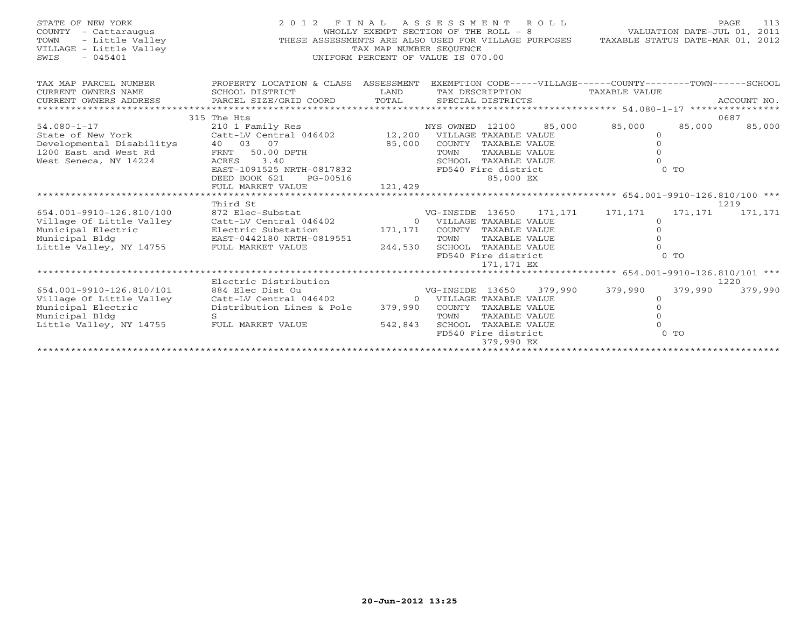| STATE OF NEW YORK<br>COUNTY - Cattaraugus<br>JF NEW YORK<br>- Cattaraugus<br>- Little Valley<br><sup>GR</sup> - Little Valley<br>TOWN<br>VILLAGE - Little Valley<br>SWIS | 2012 FINAL ASSESSMENT ROLL<br>THESE ASSESSMENTS ARE ALSO USED FOR VILLAGE PURPOSES                                                                                                                                       | WHOLLY EXEMPT SECTION OF THE ROLL - 8<br>TAX MAP NUMBER SEQUENCE<br>UNIFORM PERCENT OF VALUE IS 070.00 |                                                                        |                                                                                                    |         | VALUATION DATE-JUL 01, 2011<br>TAXABLE STATUS DATE-MAR 01, 2012                |                               | 113<br><b>PAGE</b> |
|--------------------------------------------------------------------------------------------------------------------------------------------------------------------------|--------------------------------------------------------------------------------------------------------------------------------------------------------------------------------------------------------------------------|--------------------------------------------------------------------------------------------------------|------------------------------------------------------------------------|----------------------------------------------------------------------------------------------------|---------|--------------------------------------------------------------------------------|-------------------------------|--------------------|
| TAX MAP PARCEL NUMBER<br>CURRENT OWNERS NAME<br>CURRENT OWNERS ADDRESS                                                                                                   | PROPERTY LOCATION & CLASS ASSESSMENT<br>SCHOOL DISTRICT<br>PARCEL SIZE/GRID COORD                                                                                                                                        | LAND<br>TOTAL                                                                                          | TAX DESCRIPTION                                                        | SPECIAL DISTRICTS                                                                                  |         | EXEMPTION CODE-----VILLAGE------COUNTY-------TOWN------SCHOOL<br>TAXABLE VALUE |                               | ACCOUNT NO.        |
| $54.080 - 1 - 17$<br>State of New York<br>Developmental Disabilitys<br>1200 East and West Rd<br>West Seneca, NY 14224                                                    | 315 The Hts<br>210 1 Family Res<br>Catt-LV Central 046402 12,200 VILLAGE TAXABLE VALUE<br>40 03 07<br>50.00 DPTH<br>FRNT<br>3.40<br>ACRES<br>EAST-1091525 NRTH-0817832<br>DEED BOOK 621<br>PG-00516<br>FULL MARKET VALUE | 85,000<br>121,429                                                                                      | NYS OWNED 12100<br>TOWN                                                | COUNTY TAXABLE VALUE<br>TAXABLE VALUE<br>SCHOOL TAXABLE VALUE<br>FD540 Fire district<br>85,000 EX  | 85,000  | 85,000<br>$\circ$<br>$\mathbf{0}$<br>$\Omega$                                  | 85,000<br>$0$ TO              | 0687<br>85,000     |
|                                                                                                                                                                          | Third St                                                                                                                                                                                                                 |                                                                                                        |                                                                        |                                                                                                    |         |                                                                                |                               | 1219               |
| 654.001-9910-126.810/100<br>Village Of Little Valley<br>Municipal Electric<br>Municipal Bldg<br>Little Valley, NY 14755                                                  | 872 Elec-Substat<br>Catt-LV Central 046402<br>Electric Substation<br>EAST-0442180 NRTH-0819551<br>FULL MARKET VALUE                                                                                                      | 171,171<br>244,530                                                                                     | VG-INSIDE 13650<br>0 VILLAGE TAXABLE VALUE<br>TOWN                     | COUNTY TAXABLE VALUE<br>TAXABLE VALUE<br>SCHOOL TAXABLE VALUE<br>FD540 Fire district<br>171,171 EX | 171,171 | 171,171<br>$\circ$<br>$\mathbf{0}$<br>$\Omega$                                 | 171,171<br>$0$ TO             | 171,171            |
|                                                                                                                                                                          | Electric Distribution                                                                                                                                                                                                    |                                                                                                        |                                                                        |                                                                                                    |         |                                                                                |                               | 1220               |
| 654.001-9910-126.810/101<br>Village Of Little Valley<br>Municipal Electric<br>Municipal Bldg<br>Little Valley, NY 14755                                                  | 884 Elec Dist Ou<br>Catt-LV Central 046402<br>Distribution Lines & Pole<br>$\mathbf{S}$<br>FULL MARKET VALUE                                                                                                             | 379,990<br>542,843                                                                                     | VG-INSIDE 13650<br>0 VILLAGE TAXABLE VALUE<br>COUNTY<br>TOWN<br>SCHOOL | TAXABLE VALUE<br>TAXABLE VALUE<br>TAXABLE VALUE<br>FD540 Fire district<br>379,990 EX               | 379,990 | 379,990<br>$\Omega$<br>$\Omega$<br>$\Omega$                                    | 379,990<br>$\Omega$<br>$0$ TO | 379,990            |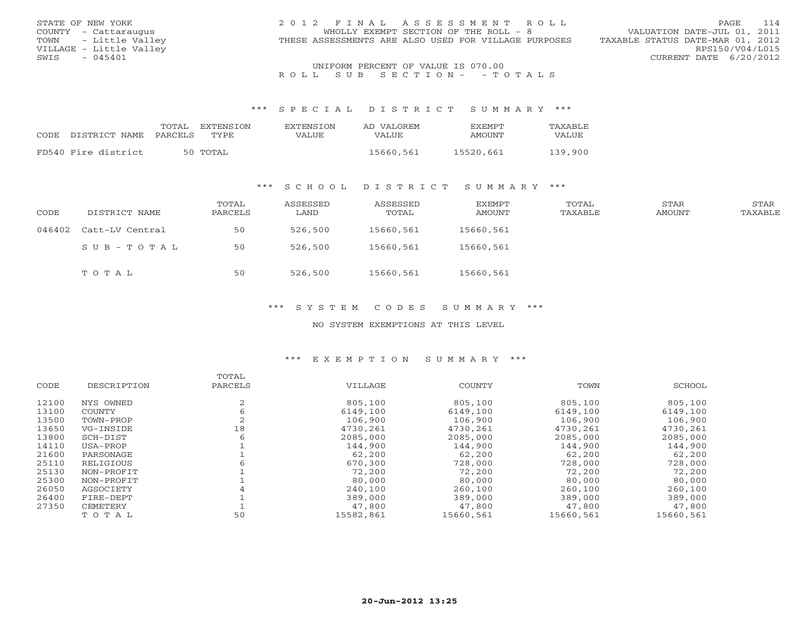| STATE OF NEW YORK       | 2012 FINAL ASSESSMENT ROLL                           | 114<br>PAGE                      |
|-------------------------|------------------------------------------------------|----------------------------------|
| COUNTY - Cattaraugus    | WHOLLY EXEMPT SECTION OF THE ROLL - 8                | VALUATION DATE-JUL 01, 2011      |
| TOWN - Little Valley    | THESE ASSESSMENTS ARE ALSO USED FOR VILLAGE PURPOSES | TAXABLE STATUS DATE-MAR 01, 2012 |
| VILLAGE - Little Valley |                                                      | RPS150/V04/L015                  |
| $-045401$<br>SWIS       |                                                      | CURRENT DATE 6/20/2012           |
|                         | UNIFORM PERCENT OF VALUE IS 070.00                   |                                  |

UNIFORM PERCENT OF VALUE IS 070.00<br>R O L L S U B S E C T I O N – – T O T A L S

#### \*\*\* S P E C I A L D I S T R I C T S U M M A R Y \*\*\*

|      |                     | TOTAL   | EXTENSTON | <b>EXTENSION</b> | AD VALOREM | <b>EXEMPT</b> | <b>TAXABLE</b> |
|------|---------------------|---------|-----------|------------------|------------|---------------|----------------|
| CODE | DISTRICT NAME       | PARCELS | TYPE.     | VALUE            | VALUE.     | AMOUNT        | VALUE          |
|      | FD540 Fire district |         | 50 TOTAL  |                  | 15660,561  | 15520,661     | 139,900        |
|      |                     |         |           |                  |            |               |                |

### \*\*\* S C H O O L D I S T R I C T S U M M A R Y \*\*\*

| CODE   | DISTRICT NAME   | TOTAL<br>PARCELS | ASSESSED<br>LAND | ASSESSED<br>TOTAL | EXEMPT<br>AMOUNT | TOTAL<br>TAXABLE | STAR<br>AMOUNT | <b>STAR</b><br>TAXABLE |
|--------|-----------------|------------------|------------------|-------------------|------------------|------------------|----------------|------------------------|
| 046402 | Catt-LV Central | 50               | 526,500          | 15660,561         | 15660,561        |                  |                |                        |
|        | SUB-TOTAL       | 50               | 526,500          | 15660,561         | 15660,561        |                  |                |                        |
|        | TOTAL           | 50               | 526,500          | 15660,561         | 15660,561        |                  |                |                        |

### \*\*\* S Y S T E M C O D E S S U M M A R Y \*\*\*

#### NO SYSTEM EXEMPTIONS AT THIS LEVEL

#### \*\*\* E X E M P T I O N S U M M A R Y \*\*\*

|       |             | TOTAL   |           |           |           |           |
|-------|-------------|---------|-----------|-----------|-----------|-----------|
| CODE  | DESCRIPTION | PARCELS | VILLAGE   | COUNTY    | TOWN      | SCHOOL    |
| 12100 | NYS OWNED   |         | 805,100   | 805,100   | 805,100   | 805,100   |
| 13100 | COUNTY      |         | 6149,100  | 6149,100  | 6149,100  | 6149,100  |
| 13500 | TOWN-PROP   |         | 106,900   | 106,900   | 106,900   | 106,900   |
| 13650 | VG-INSIDE   | 18      | 4730,261  | 4730,261  | 4730,261  | 4730,261  |
| 13800 | SCH-DIST    |         | 2085,000  | 2085,000  | 2085,000  | 2085,000  |
| 14110 | USA-PROP    |         | 144,900   | 144,900   | 144,900   | 144,900   |
| 21600 | PARSONAGE   |         | 62,200    | 62,200    | 62,200    | 62,200    |
| 25110 | RELIGIOUS   |         | 670,300   | 728,000   | 728,000   | 728,000   |
| 25130 | NON-PROFIT  |         | 72,200    | 72,200    | 72,200    | 72,200    |
| 25300 | NON-PROFIT  |         | 80,000    | 80,000    | 80,000    | 80,000    |
| 26050 | AGSOCIETY   |         | 240,100   | 260,100   | 260,100   | 260,100   |
| 26400 | FIRE-DEPT   |         | 389,000   | 389,000   | 389,000   | 389,000   |
| 27350 | CEMETERY    |         | 47,800    | 47,800    | 47,800    | 47,800    |
|       | TOTAL       | 50      | 15582,861 | 15660,561 | 15660,561 | 15660,561 |
|       |             |         |           |           |           |           |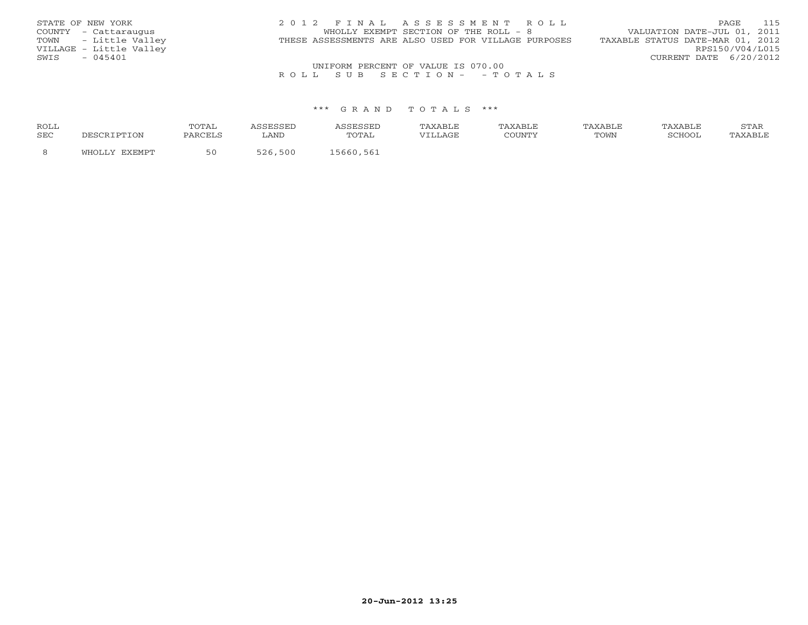| STATE OF NEW YORK       | 2012 FINAL ASSESSMENT ROLL                           | 115<br>PAGE                      |
|-------------------------|------------------------------------------------------|----------------------------------|
| COUNTY - Cattaraugus    | WHOLLY EXEMPT SECTION OF THE ROLL - 8                | VALUATION DATE-JUL 01, 2011      |
| TOWN - Little Valley    | THESE ASSESSMENTS ARE ALSO USED FOR VILLAGE PURPOSES | TAXABLE STATUS DATE-MAR 01, 2012 |
| VILLAGE - Little Valley |                                                      | RPS150/V04/L015                  |
| $-045401$<br>SWIS       |                                                      | CURRENT DATE 6/20/2012           |
|                         | UNIFORM PERCENT OF VALUE IS 070.00                   |                                  |

### R O L L S U B S E C T I O N - - T O T A L S

#### \*\*\* G R A N D T O T A L S \*\*\*

| <b>ROLL</b> | איו ו<br>------ |                       |     | TAXABLE                | PAXABLE | זם ∆ צ∆י |                      | STAR |
|-------------|-----------------|-----------------------|-----|------------------------|---------|----------|----------------------|------|
| <b>SEC</b>  | DARCEL.         | $\pi \pi \pi$<br>LANL | ''A | $T \times T$<br>uAGP - |         | TOWN     | <b>BOUOO</b><br>,,,, |      |
|             |                 |                       |     |                        |         |          |                      |      |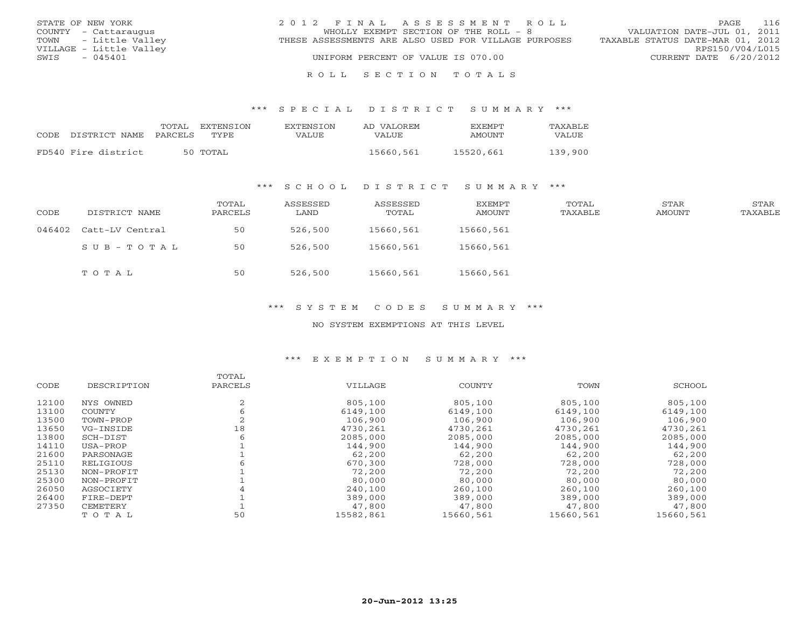| STATE OF NEW YORK       | 2012 FINAL ASSESSMENT ROLL                           | 116<br>PAGE                      |
|-------------------------|------------------------------------------------------|----------------------------------|
| COUNTY - Cattaraugus    | WHOLLY EXEMPT SECTION OF THE ROLL - 8                | VALUATION DATE-JUL 01, 2011      |
| TOWN - Little Valley    | THESE ASSESSMENTS ARE ALSO USED FOR VILLAGE PURPOSES | TAXABLE STATUS DATE-MAR 01, 2012 |
| VILLAGE - Little Valley |                                                      | RPS150/V04/L015                  |
| $-045401$<br>SWIS       | UNIFORM PERCENT OF VALUE IS 070.00                   | CURRENT DATE 6/20/2012           |
|                         |                                                      |                                  |

#### R O L L S E C T I O N T O T A L S

#### \*\*\* S P E C I A L D I S T R I C T S U M M A R Y \*\*\*

|      |                       | TOTAL | EXTENSTON | <b>EXTENSION</b> | AD VALOREM | <b>FXFMPT</b> | <b>TAXABLE</b> |
|------|-----------------------|-------|-----------|------------------|------------|---------------|----------------|
| CODE | DISTRICT NAME PARCELS |       | TYPE.     | VALUE            | VALUE      | AMOUNT        | VALUE          |
|      | FD540 Fire district   |       | 50 TOTAL  |                  | 15660,561  | 15520,661     | 139,900        |

### \*\*\* S C H O O L D I S T R I C T S U M M A R Y \*\*\*

| CODE | DISTRICT NAME          | TOTAL<br>PARCELS | ASSESSED<br>LAND | ASSESSED<br>TOTAL | EXEMPT<br>AMOUNT | TOTAL<br>TAXABLE | STAR<br>AMOUNT | STAR<br>TAXABLE |
|------|------------------------|------------------|------------------|-------------------|------------------|------------------|----------------|-----------------|
|      | 046402 Catt-LV Central | 50               | 526,500          | 15660,561         | 15660,561        |                  |                |                 |
|      | SUB-TOTAL              | 50               | 526,500          | 15660,561         | 15660,561        |                  |                |                 |
|      | TOTAL                  | 50               | 526,500          | 15660,561         | 15660,561        |                  |                |                 |

### \*\*\* S Y S T E M C O D E S S U M M A R Y \*\*\*

#### NO SYSTEM EXEMPTIONS AT THIS LEVEL

#### \*\*\* E X E M P T I O N S U M M A R Y \*\*\*

|       |             | TOTAL   |           |           |           |           |
|-------|-------------|---------|-----------|-----------|-----------|-----------|
| CODE  | DESCRIPTION | PARCELS | VILLAGE   | COUNTY    | TOWN      | SCHOOL    |
| 12100 | NYS OWNED   |         | 805,100   | 805,100   | 805,100   | 805,100   |
| 13100 | COUNTY      |         | 6149,100  | 6149,100  | 6149,100  | 6149,100  |
| 13500 | TOWN-PROP   |         | 106,900   | 106,900   | 106,900   | 106,900   |
| 13650 | VG-INSIDE   | 18      | 4730,261  | 4730,261  | 4730,261  | 4730,261  |
| 13800 | SCH-DIST    |         | 2085,000  | 2085,000  | 2085,000  | 2085,000  |
| 14110 | USA-PROP    |         | 144,900   | 144,900   | 144,900   | 144,900   |
| 21600 | PARSONAGE   |         | 62,200    | 62,200    | 62,200    | 62,200    |
| 25110 | RELIGIOUS   |         | 670,300   | 728,000   | 728,000   | 728,000   |
| 25130 | NON-PROFIT  |         | 72,200    | 72,200    | 72,200    | 72,200    |
| 25300 | NON-PROFIT  |         | 80,000    | 80,000    | 80,000    | 80,000    |
| 26050 | AGSOCIETY   |         | 240,100   | 260,100   | 260,100   | 260,100   |
| 26400 | FIRE-DEPT   |         | 389,000   | 389,000   | 389,000   | 389,000   |
| 27350 | CEMETERY    |         | 47,800    | 47,800    | 47,800    | 47,800    |
|       | TOTAL       | 50      | 15582,861 | 15660,561 | 15660,561 | 15660,561 |
|       |             |         |           |           |           |           |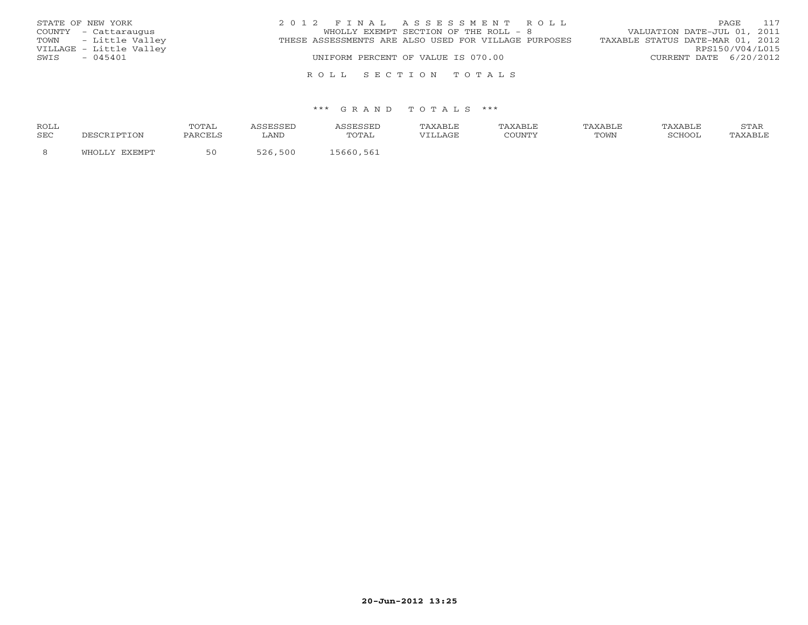| STATE OF NEW YORK       | 2012 FINAL ASSESSMENT ROLL                           | 117<br>PAGE                      |
|-------------------------|------------------------------------------------------|----------------------------------|
| COUNTY - Cattaraugus    | WHOLLY EXEMPT SECTION OF THE ROLL - 8                | VALUATION DATE-JUL 01, 2011      |
| TOWN - Little Valley    | THESE ASSESSMENTS ARE ALSO USED FOR VILLAGE PURPOSES | TAXABLE STATUS DATE-MAR 01, 2012 |
| VILLAGE - Little Valley |                                                      | RPS150/V04/L015                  |
| $-045401$<br>SWIS       | UNIFORM PERCENT OF VALUE IS 070.00                   | CURRENT DATE $6/20/2012$         |
|                         |                                                      |                                  |
|                         | ROLL SECTION TOTALS                                  |                                  |

#### \*\*\* G R A N D T O T A L S \*\*\*

| <b>ROLL</b> |       | TOTAI   |                             | SSESSED     | TAXABLE | TAXABLE | TAXABLE | TAXABLE | $cm\pi$<br>بمدعدت |
|-------------|-------|---------|-----------------------------|-------------|---------|---------|---------|---------|-------------------|
| SEC         | `TON  | PARCELS | LAND                        | TOTAL       | VILLAGE | COUNTY  | TOWN    | SCHOOL  |                   |
|             | ™HOT… |         | 500<br>$=$ $\cap$ $\subset$ | 561<br>5661 |         |         |         |         |                   |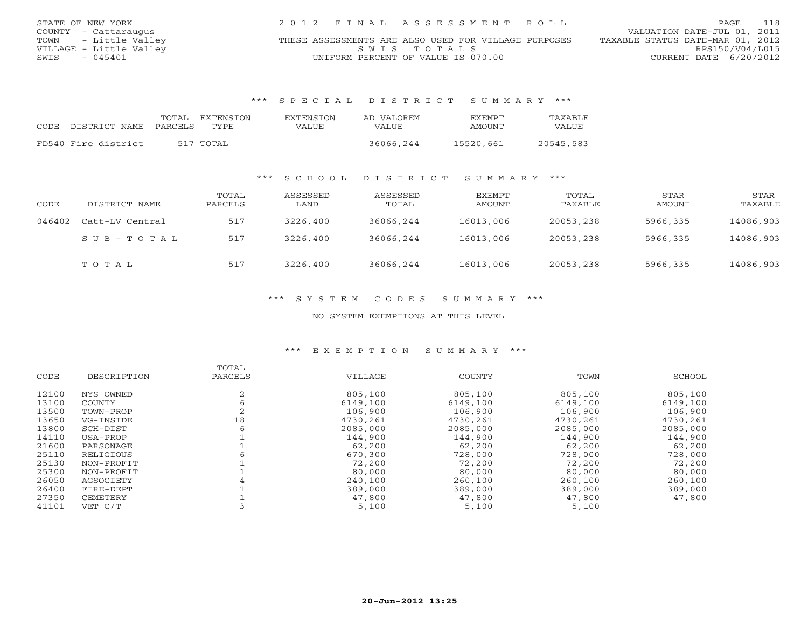| STATE OF NEW YORK       | 2012 FINAL ASSESSMENT ROLL                           | 118<br>PAGE.                     |
|-------------------------|------------------------------------------------------|----------------------------------|
| COUNTY - Cattaraugus    |                                                      | VALUATION DATE-JUL 01, 2011      |
| TOWN - Little Valley    | THESE ASSESSMENTS ARE ALSO USED FOR VILLAGE PURPOSES | TAXABLE STATUS DATE-MAR 01, 2012 |
| VILLAGE - Little Valley | SWIS TOTALS                                          | RPS150/V04/L015                  |
| $-045401$<br>SWIS       | UNIFORM PERCENT OF VALUE IS 070.00                   | CURRENT DATE 6/20/2012           |

#### \*\*\* S P E C I A L D I S T R I C T S U M M A R Y \*\*\*

| CODE. | DISTRICT NAME PARCELS | TOTAL. | EXTENSTON<br>TYPE. | EXTENSION<br>VALUE | AD VALOREM<br>VALUE | <b>FXEMPT</b><br>AMOUNT | TAXARLE.<br><b>VALUE</b> |
|-------|-----------------------|--------|--------------------|--------------------|---------------------|-------------------------|--------------------------|
|       | FD540 Fire district   |        | 517 TOTAL          |                    | 36066,244           | 15520,661               | 20545,583                |

### \*\*\* S C H O O L D I S T R I C T S U M M A R Y \*\*\*

| CODE   | DISTRICT NAME   | TOTAL<br>PARCELS | ASSESSED<br>LAND | ASSESSED<br>TOTAL | EXEMPT<br>AMOUNT | TOTAL<br>TAXABLE | STAR<br>AMOUNT | STAR<br>TAXABLE |
|--------|-----------------|------------------|------------------|-------------------|------------------|------------------|----------------|-----------------|
| 046402 | Catt-LV Central | 517              | 3226,400         | 36066,244         | 16013,006        | 20053,238        | 5966,335       | 14086,903       |
|        | SUB-TOTAL       | 517              | 3226,400         | 36066,244         | 16013,006        | 20053,238        | 5966,335       | 14086,903       |
|        | TOTAL           | 517              | 3226,400         | 36066,244         | 16013,006        | 20053,238        | 5966,335       | 14086,903       |

### \*\*\* S Y S T E M C O D E S S U M M A R Y \*\*\*

#### NO SYSTEM EXEMPTIONS AT THIS LEVEL

#### \*\*\* E X E M P T I O N S U M M A R Y \*\*\*

|               | TOTAL   |          |               |          |          |
|---------------|---------|----------|---------------|----------|----------|
| DESCRIPTION   | PARCELS | VILLAGE  | <b>COUNTY</b> | TOWN     | SCHOOL   |
| NYS OWNED     |         | 805,100  | 805,100       | 805,100  | 805,100  |
| <b>COUNTY</b> |         | 6149,100 | 6149,100      | 6149,100 | 6149,100 |
| TOWN-PROP     |         | 106,900  | 106,900       | 106,900  | 106,900  |
| VG-INSIDE     | 18      | 4730,261 | 4730,261      | 4730,261 | 4730,261 |
| SCH-DIST      | 6       | 2085,000 | 2085,000      | 2085,000 | 2085,000 |
| USA-PROP      |         | 144,900  | 144,900       | 144,900  | 144,900  |
| PARSONAGE     |         | 62,200   | 62,200        | 62,200   | 62,200   |
| RELIGIOUS     |         | 670,300  | 728,000       | 728,000  | 728,000  |
| NON-PROFIT    |         | 72,200   | 72,200        | 72,200   | 72,200   |
| NON-PROFIT    |         | 80,000   | 80,000        | 80,000   | 80,000   |
| AGSOCIETY     |         | 240,100  | 260,100       | 260,100  | 260,100  |
| FIRE-DEPT     |         | 389,000  | 389,000       | 389,000  | 389,000  |
| CEMETERY      |         | 47,800   | 47,800        | 47,800   | 47,800   |
| VET C/T       |         | 5,100    | 5,100         | 5,100    |          |
|               |         |          |               |          |          |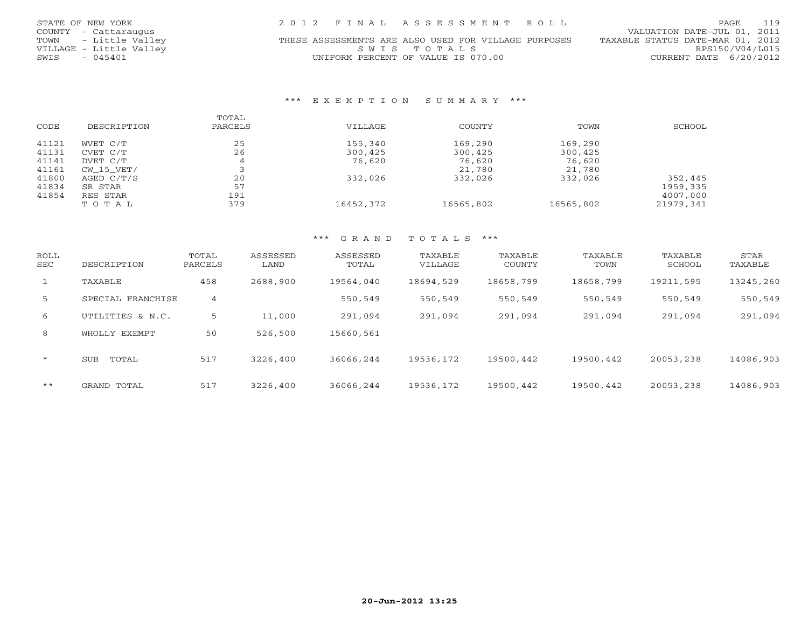| STATE OF NEW YORK       | 2012 FINAL ASSESSMENT ROLL                           | 119<br>PAGE                      |
|-------------------------|------------------------------------------------------|----------------------------------|
| COUNTY - Cattaraugus    |                                                      | VALUATION DATE-JUL 01, 2011      |
| TOWN - Little Valley    | THESE ASSESSMENTS ARE ALSO USED FOR VILLAGE PURPOSES | TAXABLE STATUS DATE-MAR 01, 2012 |
| VILLAGE - Little Valley | SWIS TOTALS                                          | RPS150/V04/L015                  |
| - 045401<br>SWIS        | UNIFORM PERCENT OF VALUE IS 070.00                   | CURRENT DATE $6/20/2012$         |

#### \*\*\* E X E M P T I O N S U M M A R Y \*\*\*

|       |             | TOTAL   |           |           |           |           |
|-------|-------------|---------|-----------|-----------|-----------|-----------|
| CODE  | DESCRIPTION | PARCELS | VILLAGE   | COUNTY    | TOWN      | SCHOOL    |
| 41121 | WVET C/T    | 25      | 155,340   | 169,290   | 169,290   |           |
| 41131 | CVET C/T    | 26      | 300,425   | 300,425   | 300,425   |           |
| 41141 | DVET C/T    | 4       | 76,620    | 76,620    | 76,620    |           |
| 41161 | CW 15 VET/  |         |           | 21,780    | 21,780    |           |
| 41800 | AGED C/T/S  | 20      | 332,026   | 332,026   | 332,026   | 352,445   |
| 41834 | SR STAR     | 57      |           |           |           | 1959,335  |
| 41854 | RES STAR    | 191     |           |           |           | 4007,000  |
|       | TOTAL       | 379     | 16452,372 | 16565,802 | 16565,802 | 21979,341 |

### \*\*\* G R A N D T O T A L S \*\*\*

| ROLL<br>SEC    | DESCRIPTION       | TOTAL<br>PARCELS | ASSESSED<br>LAND | ASSESSED<br>TOTAL | TAXABLE<br>VILLAGE | TAXABLE<br>COUNTY | TAXABLE<br>TOWN | TAXABLE<br>SCHOOL | STAR<br>TAXABLE |
|----------------|-------------------|------------------|------------------|-------------------|--------------------|-------------------|-----------------|-------------------|-----------------|
| $\mathbf{1}$   | TAXABLE           | 458              | 2688,900         | 19564,040         | 18694,529          | 18658,799         | 18658,799       | 19211,595         | 13245,260       |
| 5 <sup>1</sup> | SPECIAL FRANCHISE | 4                |                  | 550,549           | 550,549            | 550,549           | 550,549         | 550,549           | 550,549         |
| 6              | UTILITIES & N.C.  | 5                | 11,000           | 291,094           | 291,094            | 291,094           | 291,094         | 291,094           | 291,094         |
| 8              | WHOLLY EXEMPT     | 50               | 526,500          | 15660,561         |                    |                   |                 |                   |                 |
| $\star$        | TOTAL<br>SUB      | 517              | 3226,400         | 36066,244         | 19536,172          | 19500,442         | 19500,442       | 20053,238         | 14086,903       |
| $***$          | GRAND TOTAL       | 517              | 3226,400         | 36066,244         | 19536,172          | 19500,442         | 19500,442       | 20053,238         | 14086,903       |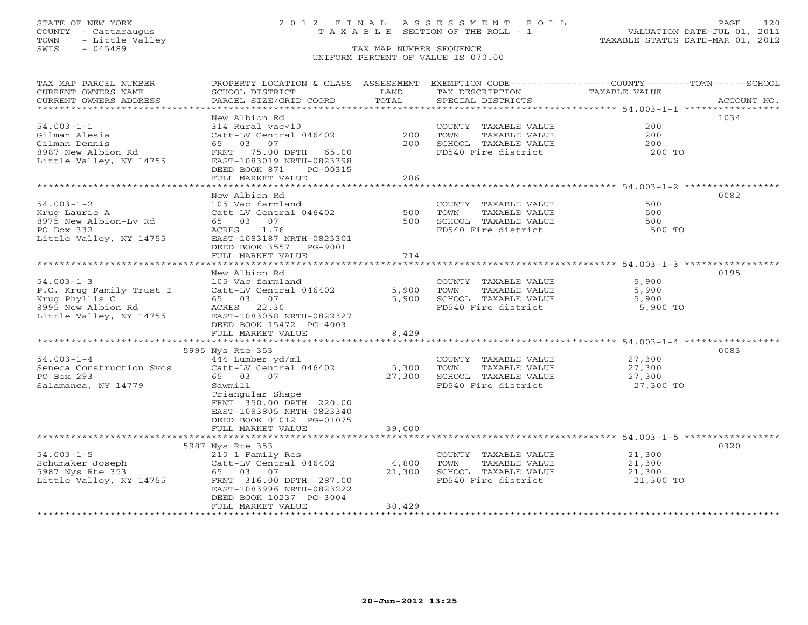### STATE OF NEW YORK 2 0 1 2 F I N A L A S S E S S M E N T R O L L PAGE 120 COUNTY - Cattaraugus T A X A B L E SECTION OF THE ROLL - 1 VALUATION DATE-JUL 01, 2011

| TAX MAP PARCEL NUMBER<br>CURRENT OWNERS NAME<br>CURRENT OWNERS ADDRESS | PROPERTY LOCATION & CLASS ASSESSMENT<br>SCHOOL DISTRICT<br>PARCEL SIZE/GRID COORD | LAND<br>TOTAL | TAX DESCRIPTION<br>SPECIAL DISTRICTS | EXEMPTION CODE-----------------COUNTY-------TOWN------SCHOOL<br>TAXABLE VALUE | ACCOUNT NO. |
|------------------------------------------------------------------------|-----------------------------------------------------------------------------------|---------------|--------------------------------------|-------------------------------------------------------------------------------|-------------|
|                                                                        |                                                                                   |               |                                      |                                                                               |             |
|                                                                        | New Albion Rd                                                                     |               |                                      | 1034                                                                          |             |
| $54.003 - 1 - 1$                                                       | 314 Rural vac<10                                                                  |               | COUNTY TAXABLE VALUE                 | 200                                                                           |             |
| Gilman Alesia                                                          | Catt-LV Central 046402                                                            | 200           | TOWN<br>TAXABLE VALUE                | 200                                                                           |             |
| Gilman Dennis                                                          | 65 03<br>07                                                                       | 200           | SCHOOL TAXABLE VALUE                 | 200                                                                           |             |
| 8987 New Albion Rd                                                     | FRNT 75.00 DPTH 65.00                                                             |               | FD540 Fire district                  | 200 TO                                                                        |             |
| Little Valley, NY 14755                                                | EAST-1083019 NRTH-0823398                                                         |               |                                      |                                                                               |             |
|                                                                        | DEED BOOK 871<br>PG-00315<br>FULL MARKET VALUE                                    | 286           |                                      |                                                                               |             |
|                                                                        | ********************                                                              |               |                                      |                                                                               |             |
|                                                                        | New Albion Rd                                                                     |               |                                      | 0082                                                                          |             |
| $54.003 - 1 - 2$                                                       | 105 Vac farmland                                                                  |               | COUNTY TAXABLE VALUE                 | 500                                                                           |             |
| Krug Laurie A                                                          | Catt-LV Central 046402                                                            | 500           | TAXABLE VALUE<br>TOWN                | 500                                                                           |             |
| 8975 New Albion-Lv Rd                                                  | 65 03 07                                                                          | 500           | SCHOOL TAXABLE VALUE                 | 500                                                                           |             |
| PO Box 332                                                             | 1.76<br>ACRES                                                                     |               | FD540 Fire district                  | 500 TO                                                                        |             |
| Little Valley, NY 14755                                                | EAST-1083187 NRTH-0823301                                                         |               |                                      |                                                                               |             |
|                                                                        | DEED BOOK 3557<br>PG-9001                                                         |               |                                      |                                                                               |             |
|                                                                        | FULL MARKET VALUE                                                                 | 714           |                                      |                                                                               |             |
|                                                                        |                                                                                   |               |                                      |                                                                               |             |
|                                                                        | New Albion Rd                                                                     |               |                                      | 0195                                                                          |             |
| $54.003 - 1 - 3$                                                       | 105 Vac farmland                                                                  |               | COUNTY TAXABLE VALUE                 | 5,900                                                                         |             |
| P.C. Krug Family Trust I                                               | Catt-LV Central 046402                                                            | 5,900         | TOWN<br>TAXABLE VALUE                | 5,900                                                                         |             |
| Krug Phyllis C                                                         | 65 03 07                                                                          | 5,900         | SCHOOL TAXABLE VALUE                 | 5,900                                                                         |             |
| 8995 New Albion Rd                                                     | ACRES<br>22.30                                                                    |               | FD540 Fire district                  | 5,900 TO                                                                      |             |
| Little Valley, NY 14755                                                | EAST-1083058 NRTH-0822327                                                         |               |                                      |                                                                               |             |
|                                                                        | DEED BOOK 15472 PG-4003                                                           |               |                                      |                                                                               |             |
|                                                                        | FULL MARKET VALUE                                                                 | 8,429         |                                      |                                                                               |             |
|                                                                        |                                                                                   |               |                                      |                                                                               |             |
|                                                                        | 5995 Nys Rte 353                                                                  |               |                                      | 0083                                                                          |             |
| $54.003 - 1 - 4$                                                       | 444 Lumber yd/ml                                                                  |               | COUNTY TAXABLE VALUE                 | 27,300                                                                        |             |
| Seneca Construction Svcs                                               | Catt-LV Central 046402                                                            | 5,300         | TOWN<br>TAXABLE VALUE                | 27,300                                                                        |             |
| PO Box 293                                                             | 65 03 07                                                                          | 27,300        | SCHOOL TAXABLE VALUE                 | 27,300                                                                        |             |
| Salamanca, NY 14779                                                    | Sawmill                                                                           |               | FD540 Fire district                  | 27,300 TO                                                                     |             |
|                                                                        | Triangular Shape<br>FRNT 350.00 DPTH 220.00                                       |               |                                      |                                                                               |             |
|                                                                        | EAST-1083805 NRTH-0823340                                                         |               |                                      |                                                                               |             |
|                                                                        | DEED BOOK 01012 PG-01075                                                          |               |                                      |                                                                               |             |
|                                                                        | FULL MARKET VALUE                                                                 | 39,000        |                                      |                                                                               |             |
|                                                                        |                                                                                   |               |                                      |                                                                               |             |
|                                                                        | 5987 Nys Rte 353                                                                  |               |                                      | 0320                                                                          |             |
| $54.003 - 1 - 5$                                                       | 210 1 Family Res                                                                  |               | COUNTY TAXABLE VALUE                 | 21,300                                                                        |             |
| Schumaker Joseph                                                       | Catt-LV Central 046402                                                            | 4,800         | TOWN<br>TAXABLE VALUE                | 21,300                                                                        |             |
| 5987 Nys Rte 353                                                       | 65 03 07                                                                          | 21,300        | SCHOOL TAXABLE VALUE                 | 21,300                                                                        |             |
| Little Valley, NY 14755                                                | FRNT 316.00 DPTH 287.00                                                           |               | FD540 Fire district                  | 21,300 TO                                                                     |             |
|                                                                        | EAST-1083996 NRTH-0823222                                                         |               |                                      |                                                                               |             |
|                                                                        | DEED BOOK 10237 PG-3004                                                           |               |                                      |                                                                               |             |
|                                                                        | FULL MARKET VALUE                                                                 | 30,429        |                                      |                                                                               |             |
| *********************                                                  |                                                                                   |               |                                      |                                                                               |             |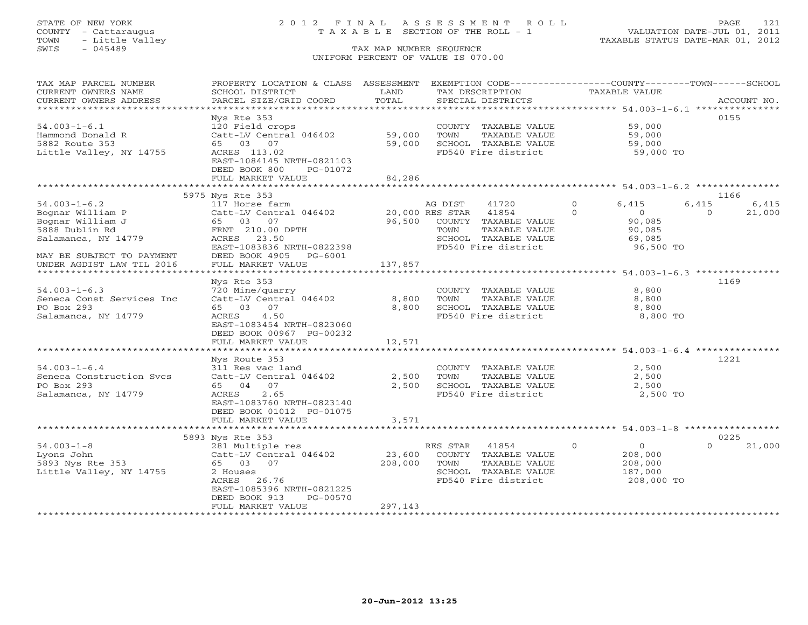## STATE OF NEW YORK 2 0 1 2 F I N A L A S S E S S M E N T R O L L PAGE 121 COUNTY - Cattaraugus T A X A B L E SECTION OF THE ROLL - 1 VALUATION DATE-JUL 01, 2011

| TAX MAP PARCEL NUMBER<br>CURRENT OWNERS NAME | PROPERTY LOCATION & CLASS ASSESSMENT<br>SCHOOL DISTRICT | LAND    |                 | EXEMPTION CODE-----------------COUNTY-------TOWN------SCHOOL<br>TAX DESCRIPTION |          | <b>TAXABLE VALUE</b>                    |          |             |
|----------------------------------------------|---------------------------------------------------------|---------|-----------------|---------------------------------------------------------------------------------|----------|-----------------------------------------|----------|-------------|
| CURRENT OWNERS ADDRESS                       | PARCEL SIZE/GRID COORD                                  | TOTAL   |                 | SPECIAL DISTRICTS                                                               |          |                                         |          | ACCOUNT NO. |
| ***********************                      |                                                         |         |                 |                                                                                 |          |                                         |          |             |
|                                              | Nys Rte 353                                             |         |                 |                                                                                 |          |                                         |          | 0155        |
| $54.003 - 1 - 6.1$                           | 120 Field crops                                         |         |                 | COUNTY TAXABLE VALUE                                                            |          | 59,000                                  |          |             |
| Hammond Donald R                             | Catt-LV Central 046402                                  | 59,000  | TOWN            | TAXABLE VALUE                                                                   |          | 59,000                                  |          |             |
| 5882 Route 353                               | 65 03 07                                                | 59,000  |                 | SCHOOL TAXABLE VALUE                                                            |          | 59,000                                  |          |             |
| Little Valley, NY 14755                      | ACRES 113.02                                            |         |                 | FD540 Fire district                                                             |          | 59,000 TO                               |          |             |
|                                              | EAST-1084145 NRTH-0821103                               |         |                 |                                                                                 |          |                                         |          |             |
|                                              | DEED BOOK 800<br>PG-01072                               |         |                 |                                                                                 |          |                                         |          |             |
|                                              | FULL MARKET VALUE                                       | 84,286  |                 |                                                                                 |          |                                         |          |             |
|                                              |                                                         |         |                 |                                                                                 |          |                                         |          |             |
|                                              | 5975 Nys Rte 353                                        |         |                 |                                                                                 |          |                                         |          | 1166        |
| $54.003 - 1 - 6.2$                           | 117 Horse farm                                          |         | AG DIST         | 41720                                                                           | $\Omega$ | 6,415                                   | 6,415    | 6,415       |
| Bognar William P                             | Catt-LV Central 046402                                  |         | 20,000 RES STAR | 41854                                                                           | $\Omega$ | $\overline{0}$                          | $\Omega$ | 21,000      |
| Bognar William J                             | 65 03 07                                                | 96,500  |                 | COUNTY TAXABLE VALUE                                                            |          | 90,085                                  |          |             |
| 5888 Dublin Rd                               | FRNT 210.00 DPTH                                        |         | TOWN            | TAXABLE VALUE                                                                   |          | 90,085                                  |          |             |
| Salamanca, NY 14779                          | ACRES<br>23.50                                          |         |                 | SCHOOL TAXABLE VALUE                                                            |          | 69,085                                  |          |             |
|                                              | EAST-1083836 NRTH-0822398                               |         |                 | FD540 Fire district                                                             |          | 96,500 TO                               |          |             |
| MAY BE SUBJECT TO PAYMENT                    | DEED BOOK 4905<br>PG-6001                               |         |                 |                                                                                 |          |                                         |          |             |
| UNDER AGDIST LAW TIL 2016                    | FULL MARKET VALUE                                       | 137,857 |                 |                                                                                 |          |                                         |          |             |
| *******************                          |                                                         |         |                 |                                                                                 |          | *********** 54.003-1-6.3 ************** |          |             |
|                                              | Nys Rte 353                                             |         |                 |                                                                                 |          |                                         |          | 1169        |
| $54.003 - 1 - 6.3$                           | 720 Mine/quarry                                         |         |                 | COUNTY TAXABLE VALUE                                                            |          | 8,800                                   |          |             |
| Seneca Const Services Inc                    | Catt-LV Central 046402                                  | 8,800   | TOWN            | TAXABLE VALUE                                                                   |          | 8,800                                   |          |             |
| PO Box 293                                   | 65 03 07                                                | 8,800   |                 | SCHOOL TAXABLE VALUE                                                            |          | 8,800                                   |          |             |
| Salamanca, NY 14779                          | 4.50<br>ACRES                                           |         |                 | FD540 Fire district                                                             |          | 8,800 TO                                |          |             |
|                                              | EAST-1083454 NRTH-0823060                               |         |                 |                                                                                 |          |                                         |          |             |
|                                              | DEED BOOK 00967 PG-00232                                |         |                 |                                                                                 |          |                                         |          |             |
|                                              | FULL MARKET VALUE                                       | 12,571  |                 |                                                                                 |          |                                         |          |             |
|                                              |                                                         |         |                 |                                                                                 |          |                                         |          |             |
|                                              | Nys Route 353                                           |         |                 |                                                                                 |          |                                         |          | 1221        |
| $54.003 - 1 - 6.4$                           | 311 Res vac land                                        |         |                 | COUNTY TAXABLE VALUE                                                            |          | 2,500                                   |          |             |
| Seneca Construction Svcs                     | Catt-LV Central 046402                                  | 2,500   | TOWN            | TAXABLE VALUE                                                                   |          | 2,500                                   |          |             |
| PO Box 293                                   | 65 04<br>07                                             | 2,500   |                 | SCHOOL TAXABLE VALUE                                                            |          | 2,500                                   |          |             |
| Salamanca, NY 14779                          | 2.65<br>ACRES                                           |         |                 | FD540 Fire district                                                             |          | 2,500 TO                                |          |             |
|                                              | EAST-1083760 NRTH-0823140                               |         |                 |                                                                                 |          |                                         |          |             |
|                                              | DEED BOOK 01012 PG-01075                                |         |                 |                                                                                 |          |                                         |          |             |
|                                              | FULL MARKET VALUE                                       | 3,571   |                 |                                                                                 |          |                                         |          |             |
|                                              |                                                         |         |                 |                                                                                 |          |                                         |          |             |
|                                              | 5893 Nys Rte 353                                        |         |                 |                                                                                 |          |                                         |          | 0225        |
| $54.003 - 1 - 8$                             | 281 Multiple res                                        |         | RES STAR        | 41854                                                                           | $\circ$  | $\overline{O}$                          | $\Omega$ | 21,000      |
| Lyons John                                   | Catt-LV Central 046402                                  | 23,600  |                 | COUNTY TAXABLE VALUE                                                            |          | 208,000                                 |          |             |
| 5893 Nys Rte 353                             | 65 03 07                                                | 208,000 | TOWN            | TAXABLE VALUE                                                                   |          | 208,000                                 |          |             |
| Little Valley, NY 14755                      | 2 Houses                                                |         |                 | SCHOOL TAXABLE VALUE                                                            |          | 187,000                                 |          |             |
|                                              | 26.76<br>ACRES                                          |         |                 | FD540 Fire district                                                             |          | 208,000 TO                              |          |             |
|                                              | EAST-1085396 NRTH-0821225                               |         |                 |                                                                                 |          |                                         |          |             |
|                                              | DEED BOOK 913<br>PG-00570                               |         |                 |                                                                                 |          |                                         |          |             |
|                                              | FULL MARKET VALUE                                       | 297,143 |                 |                                                                                 |          |                                         |          |             |
|                                              |                                                         |         |                 |                                                                                 |          |                                         |          |             |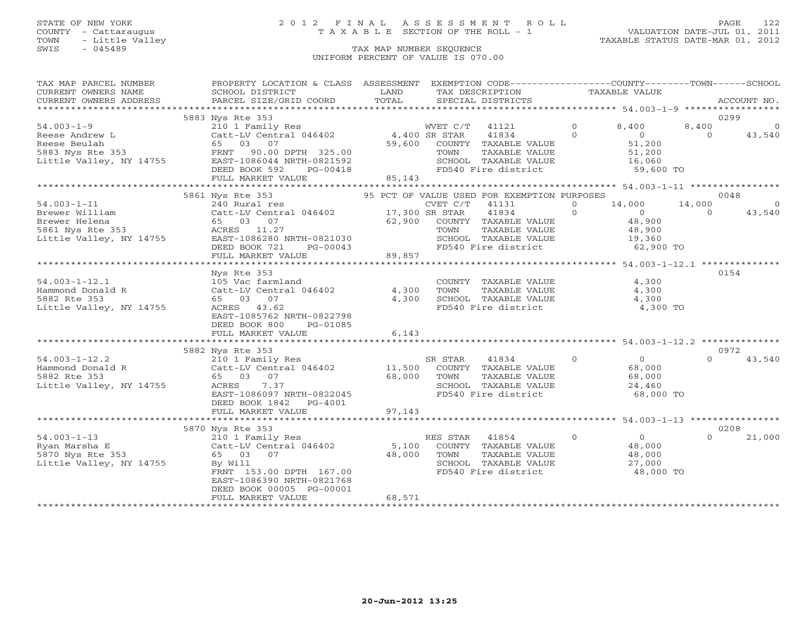## STATE OF NEW YORK 2 0 1 2 F I N A L A S S E S S M E N T R O L L PAGE 122 COUNTY - Cattaraugus T A X A B L E SECTION OF THE ROLL - 1 VALUATION DATE-JUL 01, 2011

| TAX MAP PARCEL NUMBER                         | PROPERTY LOCATION & CLASS ASSESSMENT EXEMPTION CODE----------------COUNTY-------TOWN------SCHOOL                                                    |               |                                                              |                | TAXABLE VALUE             |          |                |
|-----------------------------------------------|-----------------------------------------------------------------------------------------------------------------------------------------------------|---------------|--------------------------------------------------------------|----------------|---------------------------|----------|----------------|
| CURRENT OWNERS NAME<br>CURRENT OWNERS ADDRESS | SCHOOL DISTRICT<br>PARCEL SIZE/GRID COORD                                                                                                           | LAND<br>TOTAL | TAX DESCRIPTION<br>SPECIAL DISTRICTS                         |                |                           |          | ACCOUNT NO.    |
|                                               |                                                                                                                                                     |               |                                                              |                |                           |          |                |
|                                               | 5883 Nys Rte 353                                                                                                                                    |               |                                                              |                |                           | 0299     |                |
| $54.003 - 1 - 9$                              | 210 1 Family Res<br>210 1 Family Res<br>Catt-LV Central 046402 4,400 SR STAR<br>CE 02 07 59.600 COUNTY                                              |               | WVET C/T 41121                                               | $\overline{0}$ | 8,400                     | 8,400    | $\circ$        |
|                                               |                                                                                                                                                     |               | 41834                                                        | $\Omega$       | $\overline{0}$            | $\Omega$ | 43,540         |
|                                               |                                                                                                                                                     |               | 59,600 COUNTY TAXABLE VALUE                                  |                | 51,200                    |          |                |
|                                               |                                                                                                                                                     |               | TAXABLE VALUE<br>TOWN                                        |                | 51,200                    |          |                |
|                                               |                                                                                                                                                     |               | SCHOOL TAXABLE VALUE                                         |                | 16,060                    |          |                |
|                                               | DEED BOOK 592<br>PG-00418                                                                                                                           |               | FD540 Fire district                                          |                | 59,600 TO                 |          |                |
|                                               | FULL MARKET VALUE                                                                                                                                   | 85,143        |                                                              |                |                           |          |                |
|                                               |                                                                                                                                                     |               |                                                              |                |                           |          |                |
|                                               | 5861 Nys Rte 353                                                                                                                                    |               | 95 PCT OF VALUE USED FOR EXEMPTION PURPOSES                  |                |                           |          | 0048           |
| $54.003 - 1 - 11$                             | 240 Rural res                                                                                                                                       |               | $CVET C/T$ 41131                                             | $\Omega$       | 14,000                    | 14,000   | $\overline{0}$ |
|                                               | 194.003-1-11<br>Brewer William Catt-LV Central 046402 17,300 SR STAR<br>Brewer Helena 65 03 07 62,900 COUNTY<br>5861 Nys Rte 353 ACRES 11.27 TOWN 7 |               | 41834                                                        | $\Omega$       | $\overline{0}$            | $\cap$   | 43,540         |
|                                               |                                                                                                                                                     |               | 62,900 COUNTY TAXABLE VALUE                                  |                | 48,900                    |          |                |
|                                               |                                                                                                                                                     |               | TAXABLE VALUE                                                |                | 48,900                    |          |                |
| Little Valley, NY 14755                       |                                                                                                                                                     |               | SCHOOL TAXABLE VALUE 19,360<br>FD540 Fire district 62,900 TO |                |                           |          |                |
|                                               | ACRES 11.27<br>EAST-1086280 NRTH-0821030<br>DEED BOOK 721 PG-00043<br>FULL MARKET VALUE 89,857                                                      |               |                                                              |                |                           |          |                |
|                                               |                                                                                                                                                     |               |                                                              |                |                           |          |                |
|                                               | Nys Rte 353                                                                                                                                         |               |                                                              |                |                           |          | 0154           |
| $54.003 - 1 - 12.1$                           | 105 Vac farmland                                                                                                                                    |               | COUNTY TAXABLE VALUE                                         |                | 4,300                     |          |                |
| Hammond Donald R                              | Catt-LV Central 046402                                                                                                                              | 4,300         |                                                              |                | 4,300                     |          |                |
| 5882 Rte 353                                  | 65 03 07                                                                                                                                            | 4,300         | TOWN       TAXABLE  VALUE<br>SCHOOL    TAXABLE  VALUE        |                | 4,300                     |          |                |
| Little Valley, NY 14755                       | ACRES 43.62                                                                                                                                         |               | FD540 Fire district                                          |                | 4,300 TO                  |          |                |
|                                               | EAST-1085762 NRTH-0822798                                                                                                                           |               |                                                              |                |                           |          |                |
|                                               | DEED BOOK 800<br>PG-01085                                                                                                                           |               |                                                              |                |                           |          |                |
|                                               | FULL MARKET VALUE                                                                                                                                   | 6,143         |                                                              |                |                           |          |                |
|                                               |                                                                                                                                                     |               |                                                              |                |                           |          |                |
|                                               | 5882 Nys Rte 353                                                                                                                                    |               |                                                              |                |                           |          | 0972           |
| $54.003 - 1 - 12.2$                           | 210 1 Family Res                                                                                                                                    |               | $\overline{0}$<br>41834<br>SR STAR                           |                | $0$<br>68.000             |          | $0 \t 43,540$  |
| Hammond Donald R                              | 210 1 Family Res<br>Catt-LV Central 046402 11,500<br>65 03 07 68,000                                                                                |               | COUNTY TAXABLE VALUE                                         |                |                           |          |                |
| 5882 Rte 353                                  |                                                                                                                                                     | 68,000 TOWN   |                                                              |                | 68,000                    |          |                |
| Little Valley, NY 14755                       | ACRES<br>7.37                                                                                                                                       |               | TOWN      TAXABLE VALUE<br>SCHOOL   TAXABLE VALUE            |                | 24,460                    |          |                |
|                                               | EAST-1086097 NRTH-0822045                                                                                                                           |               | FD540 Fire district                                          |                | 68,000 TO                 |          |                |
|                                               | DEED BOOK 1842<br>PG-4001                                                                                                                           |               |                                                              |                |                           |          |                |
|                                               | FULL MARKET VALUE                                                                                                                                   | 97,143        |                                                              |                |                           |          |                |
|                                               |                                                                                                                                                     |               |                                                              |                |                           |          |                |
|                                               | 5870 Nys Rte 353                                                                                                                                    |               |                                                              |                |                           |          | 0208           |
| $54.003 - 1 - 13$                             | 210 1 Family Res                                                                                                                                    |               | $\overline{0}$<br>RES STAR<br>41854                          |                | $\overline{0}$            | $\Omega$ | 21,000         |
| Ryan Marsha E                                 | Catt-LV Central 046402<br>65 03 07<br>By Will                                                                                                       |               | 5,100 COUNTY TAXABLE VALUE                                   |                | 48,∪J<br>48,000<br>?7.000 |          |                |
| 5870 Nys Rte 353                              |                                                                                                                                                     | 48,000        | TAXABLE VALUE<br>TOWN                                        |                |                           |          |                |
| Little Valley, NY 14755                       | By Will<br>FRNT 153.00 DPTH 167.00                                                                                                                  |               | SCHOOL TAXABLE VALUE<br>FD540 Fire district                  |                | 48,000 TO                 |          |                |
|                                               | EAST-1086390 NRTH-0821768                                                                                                                           |               |                                                              |                |                           |          |                |
|                                               | DEED BOOK 00005 PG-00001                                                                                                                            |               |                                                              |                |                           |          |                |
|                                               | FULL MARKET VALUE                                                                                                                                   | 68,571        |                                                              |                |                           |          |                |
|                                               |                                                                                                                                                     |               |                                                              |                |                           |          |                |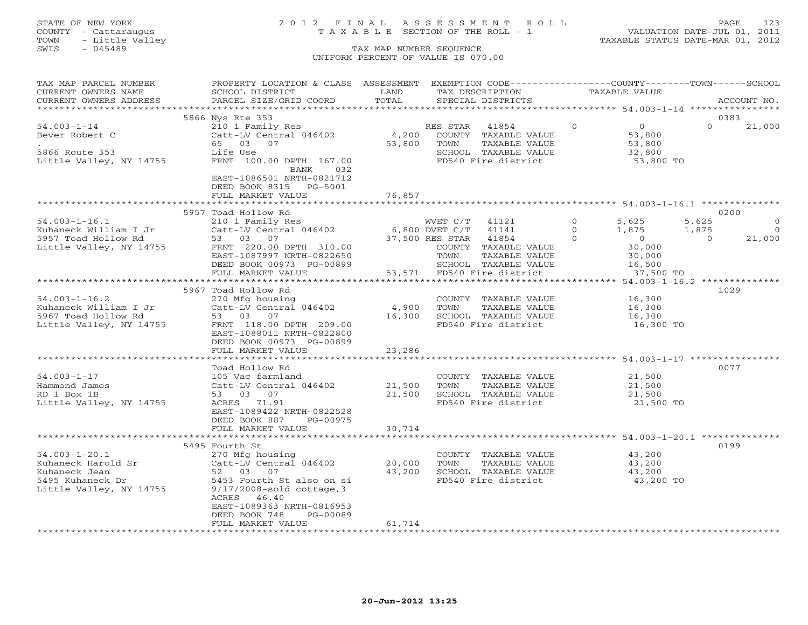## STATE OF NEW YORK 2 0 1 2 F I N A L A S S E S S M E N T R O L L PAGE 123 COUNTY - Cattaraugus T A X A B L E SECTION OF THE ROLL - 1 VALUATION DATE-JUL 01, 2011

| TAX MAP PARCEL NUMBER     | PROPERTY LOCATION & CLASS ASSESSMENT EXEMPTION CODE----------------COUNTY-------TOWN------SCHOOL |        |                                                 |          |                |          |             |
|---------------------------|--------------------------------------------------------------------------------------------------|--------|-------------------------------------------------|----------|----------------|----------|-------------|
| CURRENT OWNERS NAME       | SCHOOL DISTRICT                                                                                  | LAND   | TAX DESCRIPTION                                 |          | TAXABLE VALUE  |          |             |
| CURRENT OWNERS ADDRESS    | PARCEL SIZE/GRID COORD                                                                           | TOTAL  | SPECIAL DISTRICTS                               |          |                |          | ACCOUNT NO. |
|                           |                                                                                                  |        |                                                 |          |                |          |             |
|                           | 5866 Nys Rte 353                                                                                 |        |                                                 |          |                |          | 0383        |
| $54.003 - 1 - 14$         | 210 1 Family Res                                                                                 |        | RES STAR<br>41854                               | $\Omega$ | $\overline{0}$ | $\Omega$ | 21,000      |
| Bever Robert C            | Catt-LV Central 046402                                                                           | 4,200  | COUNTY TAXABLE VALUE                            |          | 53,800         |          |             |
|                           | 65 03 07                                                                                         | 53,800 | TAXABLE VALUE<br>TOWN                           |          | 53,800         |          |             |
| 5866 Route 353            | Life Use                                                                                         |        | SCHOOL TAXABLE VALUE                            |          | 32,800         |          |             |
| Little Valley, NY 14755   | FRNT 100.00 DPTH 167.00                                                                          |        | FD540 Fire district                             |          | 53,800 TO      |          |             |
|                           | BANK<br>032                                                                                      |        |                                                 |          |                |          |             |
|                           | EAST-1086501 NRTH-0821712                                                                        |        |                                                 |          |                |          |             |
|                           | DEED BOOK 8315 PG-5001                                                                           |        |                                                 |          |                |          |             |
|                           | FULL MARKET VALUE                                                                                | 76,857 |                                                 |          |                |          |             |
|                           |                                                                                                  |        |                                                 |          |                |          |             |
|                           | 5957 Toad Hollow Rd                                                                              |        |                                                 |          |                |          | 0200        |
| $54.003 - 1 - 16.1$       | 210 1 Family Res                                                                                 |        | WVET C/T<br>41121                               | $\Omega$ | 5,625          | 5,625    | $\Omega$    |
| Kuhaneck William I Jr     | Catt-LV Central 046402                                                                           |        | 6,800 DVET C/T<br>41141                         | $\Omega$ | 1,875          | 1,875    | $\circ$     |
| 5957 Toad Hollow Rd       | 53 03 07                                                                                         |        | 37,500 RES STAR<br>41854                        | $\Omega$ | $\overline{0}$ | $\Omega$ | 21,000      |
| Little Valley, NY 14755   | FRNT 220.00 DPTH 310.00                                                                          |        | COUNTY TAXABLE VALUE                            |          | 30,000         |          |             |
|                           | EAST-1087997 NRTH-0822650                                                                        |        | TAXABLE VALUE<br>TOWN                           |          | 30,000         |          |             |
|                           | DEED BOOK 00973 PG-00899                                                                         |        | SCHOOL TAXABLE VALUE                            |          | 16,500         |          |             |
|                           | FULL MARKET VALUE                                                                                |        | 53,571 FD540 Fire district                      |          | 37,500 TO      |          |             |
|                           |                                                                                                  |        |                                                 |          |                |          |             |
|                           | 5967 Toad Hollow Rd                                                                              |        |                                                 |          |                |          | 1029        |
| $54.003 - 1 - 16.2$       | 270 Mfg housing                                                                                  |        | COUNTY TAXABLE VALUE                            |          | 16,300         |          |             |
| Kuhaneck William I Jr     | Catt-LV Central 046402                                                                           | 4,900  | TOWN<br>TAXABLE VALUE                           |          | 16,300         |          |             |
| 5967 Toad Hollow Rd       | 53 03 07                                                                                         | 16,300 | SCHOOL TAXABLE VALUE                            |          | 16,300         |          |             |
| Little Valley, NY 14755   | FRNT 118.00 DPTH 209.00                                                                          |        | FD540 Fire district                             |          | 16,300 TO      |          |             |
|                           | EAST-1088011 NRTH-0822800                                                                        |        |                                                 |          |                |          |             |
|                           | DEED BOOK 00973 PG-00899                                                                         |        |                                                 |          |                |          |             |
|                           | FULL MARKET VALUE                                                                                | 23,286 |                                                 |          |                |          |             |
|                           |                                                                                                  |        | *********************** 54.003-1-17 *********** |          |                |          |             |
|                           | Toad Hollow Rd                                                                                   |        |                                                 |          |                |          | 0077        |
| $54.003 - 1 - 17$         | 105 Vac farmland                                                                                 |        | COUNTY TAXABLE VALUE                            |          | 21,500         |          |             |
| Hammond James             | Catt-LV Central 046402                                                                           | 21,500 | TAXABLE VALUE<br>TOWN                           |          | 21,500         |          |             |
| RD 1 Box 1B               | 53 03 07                                                                                         | 21,500 | SCHOOL TAXABLE VALUE                            |          | 21,500         |          |             |
| Little Valley, NY 14755   | ACRES 71.91                                                                                      |        | FD540 Fire district                             |          | 21,500 TO      |          |             |
|                           | EAST-1089422 NRTH-0822528                                                                        |        |                                                 |          |                |          |             |
|                           | DEED BOOK 887<br>PG-00975                                                                        |        |                                                 |          |                |          |             |
|                           | FULL MARKET VALUE                                                                                | 30,714 |                                                 |          |                |          |             |
|                           |                                                                                                  |        |                                                 |          |                |          |             |
|                           | 5495 Fourth St                                                                                   |        |                                                 |          |                |          | 0199        |
| $54.003 - 1 - 20.1$       | 270 Mfg housing                                                                                  |        | COUNTY TAXABLE VALUE                            |          | 43,200         |          |             |
| Kuhaneck Harold Sr        | Catt-LV Central 046402                                                                           | 20,000 | TOWN<br>TAXABLE VALUE                           |          | 43,200         |          |             |
| Kuhaneck Jean             | 52 03 07                                                                                         | 43,200 | SCHOOL TAXABLE VALUE                            |          | 43,200         |          |             |
| 5495 Kuhaneck Dr          | 5453 Fourth St also on si                                                                        |        | FD540 Fire district                             |          | 43,200 TO      |          |             |
| Little Valley, NY 14755   | 9/17/2008-sold cottage, 3                                                                        |        |                                                 |          |                |          |             |
|                           | ACRES 46.40                                                                                      |        |                                                 |          |                |          |             |
|                           | EAST-1089363 NRTH-0816953                                                                        |        |                                                 |          |                |          |             |
|                           | DEED BOOK 748<br>PG-00089                                                                        |        |                                                 |          |                |          |             |
|                           | FULL MARKET VALUE                                                                                | 61,714 |                                                 |          |                |          |             |
| ************************* |                                                                                                  |        |                                                 |          |                |          |             |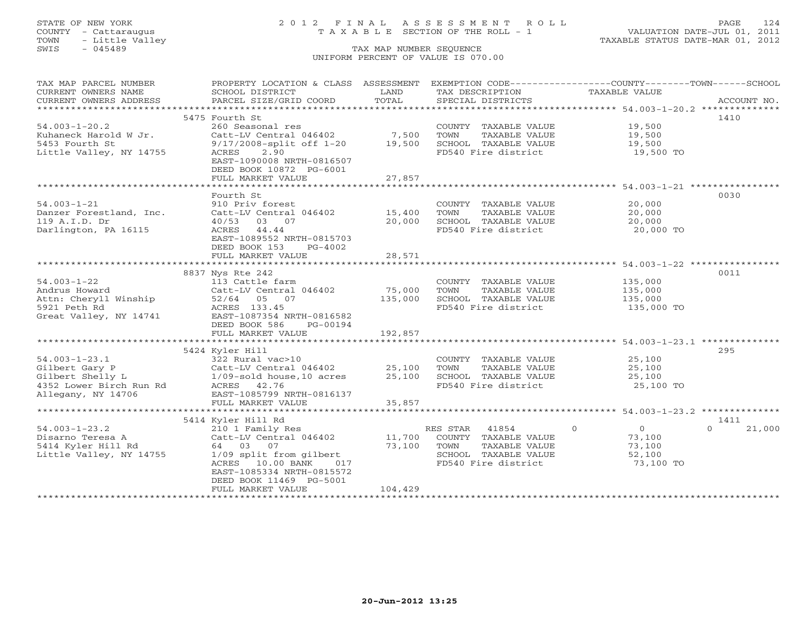## STATE OF NEW YORK 2 0 1 2 F I N A L A S S E S S M E N T R O L L PAGE 124 COUNTY - Cattaraugus T A X A B L E SECTION OF THE ROLL - 1 VALUATION DATE-JUL 01, 2011

| TAX MAP PARCEL NUMBER                              | PROPERTY LOCATION & CLASS ASSESSMENT                                                                            |               | EXEMPTION CODE-----------------COUNTY-------TOWN------SCHOOL |                            |                    |
|----------------------------------------------------|-----------------------------------------------------------------------------------------------------------------|---------------|--------------------------------------------------------------|----------------------------|--------------------|
| CURRENT OWNERS NAME                                | SCHOOL DISTRICT                                                                                                 | LAND<br>TOTAL | TAX DESCRIPTION                                              | TAXABLE VALUE              | ACCOUNT NO.        |
| CURRENT OWNERS ADDRESS                             | PARCEL SIZE/GRID COORD                                                                                          |               | SPECIAL DISTRICTS                                            |                            |                    |
|                                                    | 5475 Fourth St                                                                                                  |               |                                                              |                            | 1410               |
| $54.003 - 1 - 20.2$                                | 260 Seasonal res                                                                                                |               | COUNTY TAXABLE VALUE                                         | 19,500                     |                    |
| Kuhaneck Harold W Jr.                              | Catt-LV Central 046402                                                                                          | 7,500         | TOWN<br>TAXABLE VALUE                                        | 19,500                     |                    |
| 5453 Fourth St                                     | 9/17/2008-split off 1-20                                                                                        | 19,500        | SCHOOL TAXABLE VALUE                                         | 19,500                     |                    |
| Little Valley, NY 14755                            | 2.90<br>ACRES                                                                                                   |               | FD540 Fire district                                          | 19,500 TO                  |                    |
|                                                    | EAST-1090008 NRTH-0816507                                                                                       |               |                                                              |                            |                    |
|                                                    | DEED BOOK 10872 PG-6001                                                                                         |               |                                                              |                            |                    |
|                                                    | FULL MARKET VALUE                                                                                               | 27,857        |                                                              |                            |                    |
|                                                    |                                                                                                                 |               |                                                              |                            |                    |
|                                                    | Fourth St                                                                                                       |               |                                                              |                            | 0030               |
| $54.003 - 1 - 21$                                  | 910 Priv forest                                                                                                 |               | COUNTY TAXABLE VALUE                                         | 20,000                     |                    |
| Danzer Forestland, Inc.                            | Catt-LV Central 046402                                                                                          | 15,400        | TOWN<br>TAXABLE VALUE                                        | 20,000                     |                    |
| 119 A.I.D. Dr                                      | 40/53 03 07                                                                                                     | 20,000        | SCHOOL TAXABLE VALUE                                         | 20,000                     |                    |
| Darlington, PA 16115                               | ACRES 44.44                                                                                                     |               | FD540 Fire district                                          | 20,000 TO                  |                    |
|                                                    | EAST-1089552 NRTH-0815703                                                                                       |               |                                                              |                            |                    |
|                                                    | DEED BOOK 153<br>PG-4002                                                                                        |               |                                                              |                            |                    |
|                                                    | FULL MARKET VALUE                                                                                               | 28,571        |                                                              |                            |                    |
|                                                    | 8837 Nys Rte 242                                                                                                |               |                                                              |                            | 0011               |
| $54.003 - 1 - 22$                                  | 113 Cattle farm                                                                                                 |               | COUNTY TAXABLE VALUE                                         | 135,000                    |                    |
| Andrus Howard                                      | Catt-LV Central 046402                                                                                          | 75,000        | TOWN<br>TAXABLE VALUE                                        | 135,000                    |                    |
| Attn: Cheryll Winship 52/64 05 07                  |                                                                                                                 | 135,000       | SCHOOL TAXABLE VALUE                                         | 135,000                    |                    |
| 5921 Peth Rd                                       | ACRES 133.45                                                                                                    |               | FD540 Fire district                                          | 135,000 TO                 |                    |
| Great Valley, NY 14741                             | EAST-1087354 NRTH-0816582                                                                                       |               |                                                              |                            |                    |
|                                                    | DEED BOOK 586<br>PG-00194                                                                                       |               |                                                              |                            |                    |
|                                                    | FULL MARKET VALUE                                                                                               | 192,857       |                                                              |                            |                    |
|                                                    |                                                                                                                 |               |                                                              |                            |                    |
|                                                    | 5424 Kyler Hill                                                                                                 |               |                                                              |                            | 295                |
| $54.003 - 1 - 23.1$                                | 322 Rural vac>10                                                                                                |               | COUNTY TAXABLE VALUE                                         | 25,100                     |                    |
| Gilbert Gary P                                     |                                                                                                                 | 25,100        | TAXABLE VALUE<br>TOWN                                        | 25,100                     |                    |
|                                                    |                                                                                                                 | 25,100        | SCHOOL TAXABLE VALUE                                         | 25,100                     |                    |
| GILDETT Shelly L<br>4352 Lower Birch Run Rd<br>111 | 322 kurai vaczio<br>Catt-LV Central 046402<br>1/09-sold house,10 acres<br>ACRES 42.76<br>CI 1005700 NPT-0816137 |               | FD540 Fire district                                          | 25,100 TO                  |                    |
| Allegany, NY 14706                                 | EAST-1085799 NRTH-0816137                                                                                       |               |                                                              |                            |                    |
|                                                    | FULL MARKET VALUE                                                                                               | 35,857        |                                                              |                            |                    |
|                                                    | 5414 Kyler Hill Rd                                                                                              |               |                                                              |                            | 1411               |
| $54.003 - 1 - 23.2$                                | 210 1 Family Res                                                                                                |               | RES STAR<br>41854                                            | $\Omega$<br>$\overline{0}$ | 21,000<br>$\Omega$ |
| Disarno Teresa A                                   | Catt-LV Central 046402                                                                                          | 11,700        | COUNTY TAXABLE VALUE                                         | 73,100                     |                    |
| 5414 Kyler Hill Rd                                 | 64 03 07                                                                                                        | 73,100        | TOWN<br>TAXABLE VALUE                                        | 73,100                     |                    |
| Little Valley, NY 14755                            | 1/09 split from gilbert                                                                                         |               | SCHOOL TAXABLE VALUE                                         | 52,100                     |                    |
|                                                    | ACRES 10.00 BANK<br>017                                                                                         |               | FD540 Fire district                                          | 73,100 TO                  |                    |
|                                                    | EAST-1085334 NRTH-0815572                                                                                       |               |                                                              |                            |                    |
|                                                    | DEED BOOK 11469 PG-5001                                                                                         |               |                                                              |                            |                    |
|                                                    | FULL MARKET VALUE                                                                                               | 104,429       |                                                              |                            |                    |
|                                                    |                                                                                                                 |               |                                                              |                            |                    |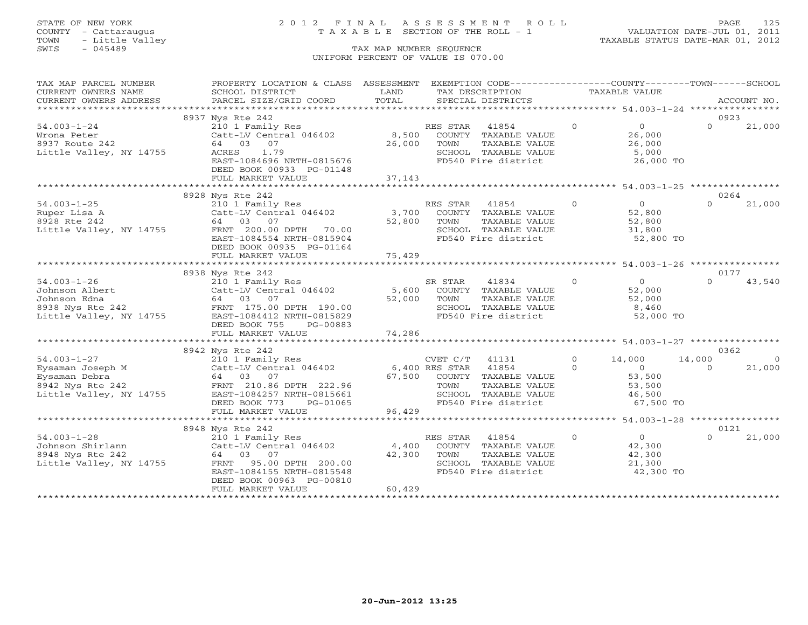## STATE OF NEW YORK 2 0 1 2 F I N A L A S S E S S M E N T R O L L PAGE 125 COUNTY - Cattaraugus T A X A B L E SECTION OF THE ROLL - 1 VALUATION DATE-JUL 01, 2011

| TAX MAP PARCEL NUMBER                | PROPERTY LOCATION & CLASS ASSESSMENT EXEMPTION CODE---------------COUNTY-------TOWN------SCHOOL                                                                                                                                                                                                                        |             |                                               |                |                                         |                  |            |
|--------------------------------------|------------------------------------------------------------------------------------------------------------------------------------------------------------------------------------------------------------------------------------------------------------------------------------------------------------------------|-------------|-----------------------------------------------|----------------|-----------------------------------------|------------------|------------|
| CURRENT OWNERS NAME                  | SCHOOL DISTRICT                                                                                                                                                                                                                                                                                                        | LAND        | TAX DESCRIPTION                               | TAXABLE VALUE  |                                         |                  |            |
|                                      |                                                                                                                                                                                                                                                                                                                        |             |                                               |                |                                         |                  |            |
|                                      |                                                                                                                                                                                                                                                                                                                        |             |                                               |                |                                         |                  |            |
|                                      | 8937 Nys Rte 242                                                                                                                                                                                                                                                                                                       |             |                                               |                |                                         | 0923             |            |
| $54.003 - 1 - 24$                    | 210 1 Family Res                                                                                                                                                                                                                                                                                                       |             | RES STAR 41854                                | $\Omega$       | $\overline{0}$                          | $\Omega$         | 21,000     |
| Wrona Peter                          | Catt-LV Central 046402 8,500 COUNTY TAXABLE VALUE                                                                                                                                                                                                                                                                      |             |                                               |                | 26,000                                  |                  |            |
| 8937 Route 242                       | 64 03 07                                                                                                                                                                                                                                                                                                               | 26,000      | TOWN<br>TAXABLE VALUE                         |                | 26,000                                  |                  |            |
| Little Valley, NY 14755              | ACRES<br>1.79                                                                                                                                                                                                                                                                                                          |             | SCHOOL TAXABLE VALUE<br>FD540 Fire district   |                | 5,000                                   |                  |            |
|                                      | EAST-1084696 NRTH-0815676                                                                                                                                                                                                                                                                                              |             |                                               |                | 26,000 TO                               |                  |            |
|                                      | DEED BOOK 00933 PG-01148                                                                                                                                                                                                                                                                                               |             |                                               |                |                                         |                  |            |
|                                      | FULL MARKET VALUE                                                                                                                                                                                                                                                                                                      | 37,143      |                                               |                |                                         |                  |            |
|                                      |                                                                                                                                                                                                                                                                                                                        |             |                                               |                |                                         |                  |            |
|                                      | 8928 Nys Rte 242                                                                                                                                                                                                                                                                                                       |             |                                               | $\Omega$       | $\overline{0}$                          | 0264<br>$\Omega$ |            |
| $54.003 - 1 - 25$                    |                                                                                                                                                                                                                                                                                                                        |             |                                               |                |                                         |                  | 21,000     |
| Ruper Lisa A<br>8928 Rte 242         | 210 1 Family Res<br>Catt-LV Central 046402 3,700 COUNTY TAXABLE VALUE<br>64 03 07 52,800 TOWN TAXABLE VALUE                                                                                                                                                                                                            | 52,800      | TAXABLE VALUE                                 |                | 52,800<br>52,800                        |                  |            |
| Little Valley, NY 14755              | FRNT 200.00 DPTH 70.00                                                                                                                                                                                                                                                                                                 |             |                                               |                | 31,800                                  |                  |            |
|                                      | EAST-1084554 NRTH-0815904                                                                                                                                                                                                                                                                                              |             | SCHOOL TAXABLE VALUE<br>FD540 Fire district   |                | 52,800 TO                               |                  |            |
|                                      | DEED BOOK 00935 PG-01164                                                                                                                                                                                                                                                                                               |             |                                               |                |                                         |                  |            |
|                                      | FULL MARKET VALUE                                                                                                                                                                                                                                                                                                      | 75,429      |                                               |                |                                         |                  |            |
|                                      |                                                                                                                                                                                                                                                                                                                        |             |                                               |                |                                         |                  |            |
|                                      | 8938 Nys Rte 242                                                                                                                                                                                                                                                                                                       |             |                                               |                |                                         | 0177             |            |
| $54.003 - 1 - 26$                    |                                                                                                                                                                                                                                                                                                                        |             |                                               | $\overline{0}$ |                                         | $\Omega$         | 43,540     |
|                                      | $\begin{array}{lllllllllll} & & & & & 54.003 - 1 - 20 & & & & & & \text{Catt-LV Central v} \text{Johnson Albert} & & & & & & 64 & 03 & 07 & & & & \text{52,000} \ & & & & & & & & \text{FRNT} & 175.00 \text{ DPTH} & 190.00 & & & & & \text{738 Nvs Rte 242} & & & & & \text{FART -1084412 NRTH-0815829} \end{array}$ |             |                                               |                | $\begin{bmatrix} 0 \\ 52 \end{bmatrix}$ |                  |            |
|                                      |                                                                                                                                                                                                                                                                                                                        | 52,000 TOWN | TAXABLE VALUE                                 |                | 52,000                                  |                  |            |
|                                      |                                                                                                                                                                                                                                                                                                                        |             | SCHOOL TAXABLE VALUE                          |                | 8,460                                   |                  |            |
|                                      |                                                                                                                                                                                                                                                                                                                        |             | FD540 Fire district                           |                | 52,000 TO                               |                  |            |
|                                      | DEED BOOK 755<br>PG-00883                                                                                                                                                                                                                                                                                              |             |                                               |                |                                         |                  |            |
|                                      | FULL MARKET VALUE                                                                                                                                                                                                                                                                                                      | 74,286      |                                               |                |                                         |                  |            |
|                                      |                                                                                                                                                                                                                                                                                                                        |             |                                               |                |                                         |                  |            |
|                                      | 8942 Nys Rte 242                                                                                                                                                                                                                                                                                                       |             |                                               |                |                                         | 0362             |            |
| $54.003 - 1 - 27$                    | 210 1 Family Res                                                                                                                                                                                                                                                                                                       |             | CVET C/T 41131                                | $\Omega$       | 14,000                                  | 14,000           | $\bigcirc$ |
|                                      |                                                                                                                                                                                                                                                                                                                        |             |                                               | $\Omega$       | $\overline{0}$                          | $\cap$           | 21,000     |
|                                      | 94.003-1-27<br>Eysaman Jobra (210 LET 1046402 6,400 RES STAR 41854<br>Eysaman Jobra (4 03 07 67,500 COUNTY TAXABLE<br>8942 Nys Rte 242 FRNT 210.86 DPTH 222.96 TOWN TAXABLE                                                                                                                                            |             | 67,500 COUNTY TAXABLE VALUE                   |                | 53,500                                  |                  |            |
|                                      |                                                                                                                                                                                                                                                                                                                        |             | TAXABLE VALUE                                 |                | 53,500                                  |                  |            |
| Little Valley, NY 14755              | EAST-1084257 NRTH-0815661<br>DEED BOOK 773 PG-01065                                                                                                                                                                                                                                                                    |             | SCHOOL TAXABLE VALUE                          |                | 46,500                                  |                  |            |
|                                      |                                                                                                                                                                                                                                                                                                                        |             | FD540 Fire district                           |                | 67,500 TO                               |                  |            |
|                                      | FULL MARKET VALUE                                                                                                                                                                                                                                                                                                      | 96,429      |                                               |                |                                         |                  |            |
|                                      |                                                                                                                                                                                                                                                                                                                        |             |                                               |                |                                         |                  |            |
|                                      | 8948 Nys Rte 242                                                                                                                                                                                                                                                                                                       |             |                                               |                | $\overline{0}$                          | 0121<br>$\Omega$ |            |
| $54.003 - 1 - 28$                    | $C$ <sub>4</sub> ,400 $C$ att-LV Central 046402 $C$ 4,400                                                                                                                                                                                                                                                              |             | RES STAR 41854                                | $\Omega$       |                                         |                  | 21,000     |
| Johnson Shirlann<br>8948 Nys Rte 242 | 64 03 07                                                                                                                                                                                                                                                                                                               | 42,300      | COUNTY TAXABLE VALUE                          |                | 42,300                                  |                  |            |
| Little Valley, NY 14755              | 95.00 DPTH 200.00<br>FRNT                                                                                                                                                                                                                                                                                              |             | TOWN<br>TAXABLE VALUE<br>SCHOOL TAXABLE VALUE |                | 42,300<br>21,300                        |                  |            |
|                                      | EAST-1084155 NRTH-0815548                                                                                                                                                                                                                                                                                              |             | FD540 Fire district                           |                | 42,300 TO                               |                  |            |
|                                      | DEED BOOK 00963 PG-00810                                                                                                                                                                                                                                                                                               |             |                                               |                |                                         |                  |            |
|                                      | FULL MARKET VALUE                                                                                                                                                                                                                                                                                                      | 60,429      |                                               |                |                                         |                  |            |
|                                      |                                                                                                                                                                                                                                                                                                                        |             |                                               |                |                                         |                  |            |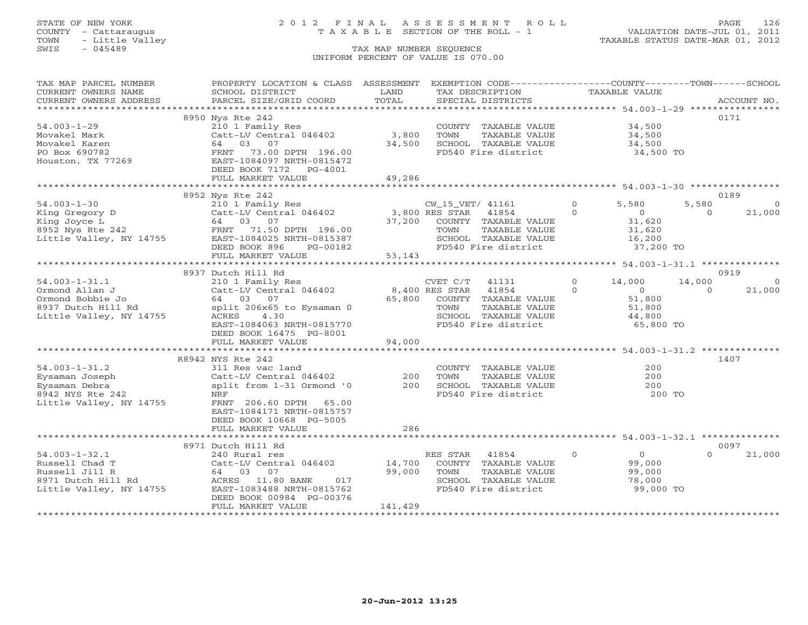## STATE OF NEW YORK 2 0 1 2 F I N A L A S S E S S M E N T R O L L PAGE 126 COUNTY - Cattaraugus T A X A B L E SECTION OF THE ROLL - 1 VALUATION DATE-JUL 01, 2011

| TAX MAP PARCEL NUMBER                | PROPERTY LOCATION & CLASS ASSESSMENT                                                                                                                                                                                                                                                          |                                       | EXEMPTION CODE----------------COUNTY-------TOWN------SCHOOL |                                                        |                          |
|--------------------------------------|-----------------------------------------------------------------------------------------------------------------------------------------------------------------------------------------------------------------------------------------------------------------------------------------------|---------------------------------------|-------------------------------------------------------------|--------------------------------------------------------|--------------------------|
| CURRENT OWNERS NAME                  | SCHOOL DISTRICT                                                                                                                                                                                                                                                                               | LAND                                  | TAX DESCRIPTION                                             | <b>TAXABLE VALUE</b>                                   |                          |
| CURRENT OWNERS ADDRESS               | PARCEL SIZE/GRID COORD                                                                                                                                                                                                                                                                        | TOTAL                                 | SPECIAL DISTRICTS                                           |                                                        | ACCOUNT NO.              |
| ***********************              |                                                                                                                                                                                                                                                                                               |                                       |                                                             |                                                        |                          |
|                                      | 8950 Nys Rte 242                                                                                                                                                                                                                                                                              |                                       |                                                             |                                                        | 0171                     |
| $54.003 - 1 - 29$                    | 210 1 Family Res                                                                                                                                                                                                                                                                              |                                       | COUNTY TAXABLE VALUE                                        | 34,500                                                 |                          |
| Movakel Mark                         | Catt-LV Central 046402                                                                                                                                                                                                                                                                        | 3,800                                 | TOWN<br>TAXABLE VALUE                                       | 34,500                                                 |                          |
| Movakel Karen                        | 64 03 07                                                                                                                                                                                                                                                                                      | 34,500                                | SCHOOL TAXABLE VALUE                                        | 34,500                                                 |                          |
| PO Box 690782                        | 73.00 DPTH 196.00<br>FRNT                                                                                                                                                                                                                                                                     |                                       | FD540 Fire district                                         | 34,500 TO                                              |                          |
| Houston, TX 77269                    | EAST-1084097 NRTH-0815472                                                                                                                                                                                                                                                                     |                                       |                                                             |                                                        |                          |
|                                      | DEED BOOK 7172 PG-4001                                                                                                                                                                                                                                                                        |                                       |                                                             |                                                        |                          |
|                                      | FULL MARKET VALUE                                                                                                                                                                                                                                                                             | 49,286                                |                                                             |                                                        |                          |
|                                      |                                                                                                                                                                                                                                                                                               |                                       |                                                             |                                                        |                          |
|                                      | 8952 Nys Rte 242                                                                                                                                                                                                                                                                              |                                       |                                                             |                                                        | 0189                     |
| $54.003 - 1 - 30$                    | 210 1 Family Res                                                                                                                                                                                                                                                                              | UW_15_VET<br>3,800 RES STAR<br>37 200 | CW_15_VET/ 41161                                            | $\circ$<br>5,580                                       | 5,580<br>$\overline{0}$  |
|                                      | 94.003-1-30<br>King Gregory D<br>King Gregory D<br>210 1 Family Res<br>Catt-LV Central 046402<br>64 03 07<br>8952 Nys Rte 242<br>Little Valley, NY 14755<br>EAST-1084025 NRTH-0815387                                                                                                         |                                       | 41854                                                       | $\circ$<br>$\overline{0}$                              | $\Omega$<br>21,000       |
|                                      |                                                                                                                                                                                                                                                                                               | 37,200                                | COUNTY TAXABLE VALUE                                        | 31,620                                                 |                          |
|                                      |                                                                                                                                                                                                                                                                                               |                                       | TOWN<br>TAXABLE VALUE                                       | 31,620                                                 |                          |
|                                      |                                                                                                                                                                                                                                                                                               |                                       | SCHOOL TAXABLE VALUE                                        | 16,200                                                 |                          |
|                                      | DEED BOOK 896<br>PG-00182                                                                                                                                                                                                                                                                     |                                       | FD540 Fire district                                         | 37,200 TO                                              |                          |
|                                      | FULL MARKET VALUE                                                                                                                                                                                                                                                                             | 53,143                                |                                                             |                                                        |                          |
|                                      |                                                                                                                                                                                                                                                                                               |                                       |                                                             |                                                        |                          |
|                                      | 8937 Dutch Hill Rd                                                                                                                                                                                                                                                                            |                                       |                                                             |                                                        | 0919                     |
| $54.003 - 1 - 31.1$                  | 210 1 Family Res                                                                                                                                                                                                                                                                              |                                       | CVET C/T 41131                                              | $0 \t 14,000$                                          | 14,000<br>$\overline{0}$ |
|                                      | Catt-LV Central 046402 8,400 RES STAR<br>Ormond Allan J<br>Ormond Bobbie Jo<br>8937 Dutch Hill Rd<br>5937 Dutch Hill Rd<br>5937 Dutch Hill Rd<br>5937 Dutch Hill Rd<br>5937 Dutch Hill Rd<br>5937 Dutch Hill Rd<br>5937 Dutch Hill Rd<br>5937 Dutch Hill Rd<br>5937 Nutch Hill Rd<br>5937 Nut |                                       | 41854                                                       | $\Omega$<br>$\begin{array}{c} 0 \\ 51.800 \end{array}$ | $\Omega$<br>21,000       |
|                                      |                                                                                                                                                                                                                                                                                               |                                       | 65,800 COUNTY TAXABLE VALUE                                 | 51,800                                                 |                          |
|                                      |                                                                                                                                                                                                                                                                                               |                                       | TOWN<br>TAXABLE VALUE                                       | 51,800<br>44,800                                       |                          |
|                                      |                                                                                                                                                                                                                                                                                               |                                       | SCHOOL TAXABLE VALUE                                        |                                                        |                          |
|                                      | EAST-1084063 NRTH-0815770                                                                                                                                                                                                                                                                     |                                       | FD540 Fire district                                         | 65,800 TO                                              |                          |
|                                      | DEED BOOK 16475 PG-8001                                                                                                                                                                                                                                                                       |                                       |                                                             |                                                        |                          |
|                                      | FULL MARKET VALUE                                                                                                                                                                                                                                                                             | 94,000                                |                                                             |                                                        |                          |
|                                      |                                                                                                                                                                                                                                                                                               |                                       |                                                             |                                                        |                          |
|                                      | R8942 NYS Rte 242                                                                                                                                                                                                                                                                             |                                       |                                                             |                                                        | 1407                     |
| $54.003 - 1 - 31.2$                  | 311 Res vac land                                                                                                                                                                                                                                                                              |                                       | COUNTY TAXABLE VALUE                                        | 200                                                    |                          |
| Eysaman Joseph                       | Catt-LV Central 046402                                                                                                                                                                                                                                                                        | 200                                   | TAXABLE VALUE<br>TOWN                                       | 200                                                    |                          |
| Eysaman Debra                        | split from 1-31 Ormond '0                                                                                                                                                                                                                                                                     | 200                                   | SCHOOL TAXABLE VALUE                                        | 200                                                    |                          |
| 8942 NYS Rte 242                     | NRF                                                                                                                                                                                                                                                                                           |                                       | FD540 Fire district                                         | 200 TO                                                 |                          |
| Little Valley, NY 14755              | FRNT 206.60 DPTH<br>65.00                                                                                                                                                                                                                                                                     |                                       |                                                             |                                                        |                          |
|                                      | EAST-1084171 NRTH-0815757                                                                                                                                                                                                                                                                     |                                       |                                                             |                                                        |                          |
|                                      | DEED BOOK 10668 PG-5005                                                                                                                                                                                                                                                                       | 286                                   |                                                             |                                                        |                          |
|                                      | FULL MARKET VALUE                                                                                                                                                                                                                                                                             | ***********                           |                                                             | ********************* 54.003-1-32.1 ***************    |                          |
|                                      |                                                                                                                                                                                                                                                                                               |                                       |                                                             |                                                        | 0097                     |
| $54.003 - 1 - 32.1$                  | 8971 Dutch Hill Rd<br>240 Rural res                                                                                                                                                                                                                                                           |                                       | $\sim$ 0<br>RES STAR<br>41854                               | $\frac{0}{90}$                                         | $\Omega$<br>21,000       |
|                                      | Catt-LV Central 046402 14,700                                                                                                                                                                                                                                                                 |                                       |                                                             |                                                        |                          |
| Russell Chad T                       |                                                                                                                                                                                                                                                                                               | 99,000                                | COUNTY TAXABLE VALUE                                        |                                                        |                          |
| Russell Jill R<br>8971 Dutch Hill Rd | Catt-LV Central 046<br>Catt-LV Central 046<br>64 03 07<br>d ACRES 11.80 BANK<br>017                                                                                                                                                                                                           |                                       | TAXABLE VALUE<br>TOWN<br>SCHOOL TAXABLE VALUE               | 99,000<br>78,000                                       |                          |
| Little Valley, NY 14755              | EAST-1083488 NRTH-0815762                                                                                                                                                                                                                                                                     |                                       | FD540 Fire district                                         | 99,000 TO                                              |                          |
|                                      | DEED BOOK 00984 PG-00376                                                                                                                                                                                                                                                                      |                                       |                                                             |                                                        |                          |
|                                      | FULL MARKET VALUE                                                                                                                                                                                                                                                                             | 141,429                               |                                                             |                                                        |                          |
|                                      |                                                                                                                                                                                                                                                                                               |                                       |                                                             |                                                        |                          |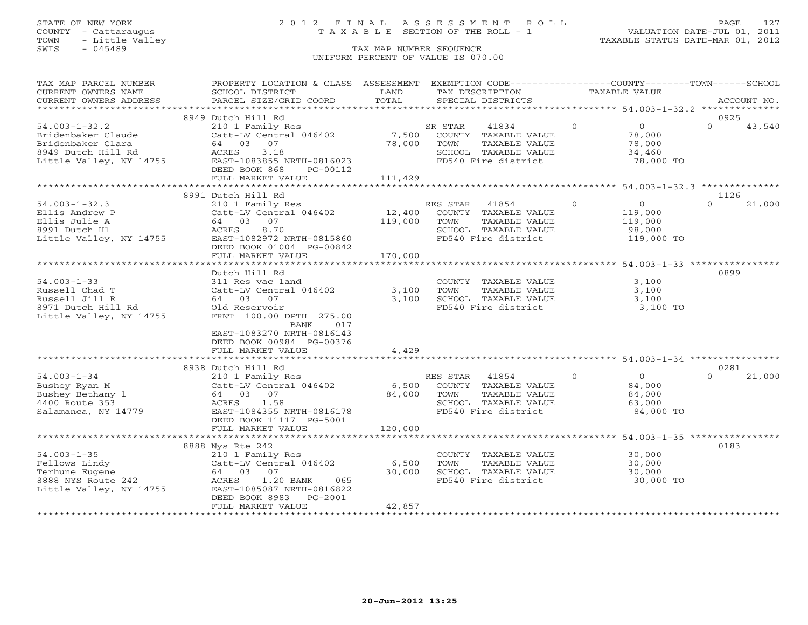## STATE OF NEW YORK 2 0 1 2 F I N A L A S S E S S M E N T R O L L PAGE 127 COUNTY - Cattaraugus T A X A B L E SECTION OF THE ROLL - 1 VALUATION DATE-JUL 01, 2011

| TAX MAP PARCEL NUMBER<br>CURRENT OWNERS NAME                                                                    | PROPERTY LOCATION & CLASS ASSESSMENT<br>SCHOOL DISTRICT                                                                                                                                                          | LAND                         | EXEMPTION CODE----------------COUNTY-------TOWN------SCHOOL<br>TAX DESCRIPTION                                    |          | TAXABLE VALUE                                                |                  |             |
|-----------------------------------------------------------------------------------------------------------------|------------------------------------------------------------------------------------------------------------------------------------------------------------------------------------------------------------------|------------------------------|-------------------------------------------------------------------------------------------------------------------|----------|--------------------------------------------------------------|------------------|-------------|
| CURRENT OWNERS ADDRESS<br>*************************                                                             | PARCEL SIZE/GRID COORD                                                                                                                                                                                           | TOTAL                        | SPECIAL DISTRICTS                                                                                                 |          |                                                              |                  | ACCOUNT NO. |
|                                                                                                                 | 8949 Dutch Hill Rd                                                                                                                                                                                               |                              |                                                                                                                   |          |                                                              | 0925             |             |
| $54.003 - 1 - 32.2$<br>Bridenbaker Claude<br>Bridenbaker Clara<br>8949 Dutch Hill Rd<br>Little Valley, NY 14755 | 210 1 Family Res<br>Catt-LV Central 046402<br>64 03 07<br>ACRES<br>3.18<br>EAST-1083855 NRTH-0816023<br>DEED BOOK 868<br>PG-00112<br>FULL MARKET VALUE                                                           | 7,500<br>78,000<br>111,429   | 41834<br>SR STAR<br>COUNTY TAXABLE VALUE<br>TOWN<br>TAXABLE VALUE<br>SCHOOL TAXABLE VALUE<br>FD540 Fire district  | $\Omega$ | $\overline{0}$<br>78,000<br>78,000<br>34,460<br>78,000 TO    | $\Omega$         | 43,540      |
|                                                                                                                 |                                                                                                                                                                                                                  |                              |                                                                                                                   |          |                                                              |                  |             |
|                                                                                                                 | 8991 Dutch Hill Rd                                                                                                                                                                                               |                              |                                                                                                                   |          |                                                              | 1126             |             |
| $54.003 - 1 - 32.3$<br>Ellis Andrew P<br>Ellis Julie A<br>8991 Dutch Hl<br>Little Valley, NY 14755              | 210 1 Family Res<br>Catt-LV Central 046402<br>64 03<br>07<br>8.70<br>ACRES<br>EAST-1082972 NRTH-0815860<br>DEED BOOK 01004 PG-00842<br>FULL MARKET VALUE                                                         | 12,400<br>119,000<br>170,000 | RES STAR<br>41854<br>COUNTY TAXABLE VALUE<br>TOWN<br>TAXABLE VALUE<br>SCHOOL TAXABLE VALUE<br>FD540 Fire district | $\Omega$ | $\overline{0}$<br>119,000<br>119,000<br>98,000<br>119,000 TO | $\Omega$         | 21,000      |
|                                                                                                                 |                                                                                                                                                                                                                  |                              |                                                                                                                   |          |                                                              |                  |             |
| $54.003 - 1 - 33$<br>Russell Chad T<br>Russell Jill R<br>8971 Dutch Hill Rd<br>Little Valley, NY 14755          | Dutch Hill Rd<br>311 Res vac land<br>Catt-LV Central 046402<br>64 03 07<br>Old Reservoir<br>FRNT 100.00 DPTH 275.00<br>BANK<br>017<br>EAST-1083270 NRTH-0816143<br>DEED BOOK 00984 PG-00376<br>FULL MARKET VALUE | 3,100<br>3,100<br>4,429      | COUNTY TAXABLE VALUE<br>TOWN<br>TAXABLE VALUE<br>SCHOOL TAXABLE VALUE<br>FD540 Fire district                      |          | 3,100<br>3,100<br>3,100<br>3,100 TO                          | 0899             |             |
|                                                                                                                 |                                                                                                                                                                                                                  |                              |                                                                                                                   |          |                                                              |                  |             |
| $54.003 - 1 - 34$<br>Bushey Ryan M<br>Bushey Bethany 1<br>4400 Route 353<br>Salamanca, NY 14779                 | 8938 Dutch Hill Rd<br>210 1 Family Res<br>Catt-LV Central 046402<br>64 03 07<br>ACRES<br>1.58<br>EAST-1084355 NRTH-0816178<br>DEED BOOK 11117 PG-5001                                                            | 6,500<br>84,000              | RES STAR<br>41854<br>COUNTY TAXABLE VALUE<br>TAXABLE VALUE<br>TOWN<br>SCHOOL TAXABLE VALUE<br>FD540 Fire district | $\Omega$ | $\Omega$<br>84,000<br>84,000<br>63,000<br>84,000 TO          | 0281<br>$\Omega$ | 21,000      |
|                                                                                                                 | FULL MARKET VALUE                                                                                                                                                                                                | 120,000                      |                                                                                                                   |          |                                                              |                  |             |
| $54.003 - 1 - 35$<br>Fellows Lindy<br>Terhune Eugene<br>8888 NYS Route 242<br>Little Valley, NY 14755           | 8888 Nys Rte 242<br>210 1 Family Res<br>Catt-LV Central 046402<br>64 03 07<br>ACRES<br>$1.20$ BANK<br>065<br>EAST-1085087 NRTH-0816822<br>DEED BOOK 8983<br>PG-2001                                              | 6,500<br>30,000              | COUNTY TAXABLE VALUE<br>TOWN<br>TAXABLE VALUE<br>SCHOOL TAXABLE VALUE<br>FD540 Fire district                      |          | 30,000<br>30,000<br>30,000<br>30,000 TO                      | 0183             |             |
|                                                                                                                 | FULL MARKET VALUE                                                                                                                                                                                                | 42,857                       |                                                                                                                   |          |                                                              |                  |             |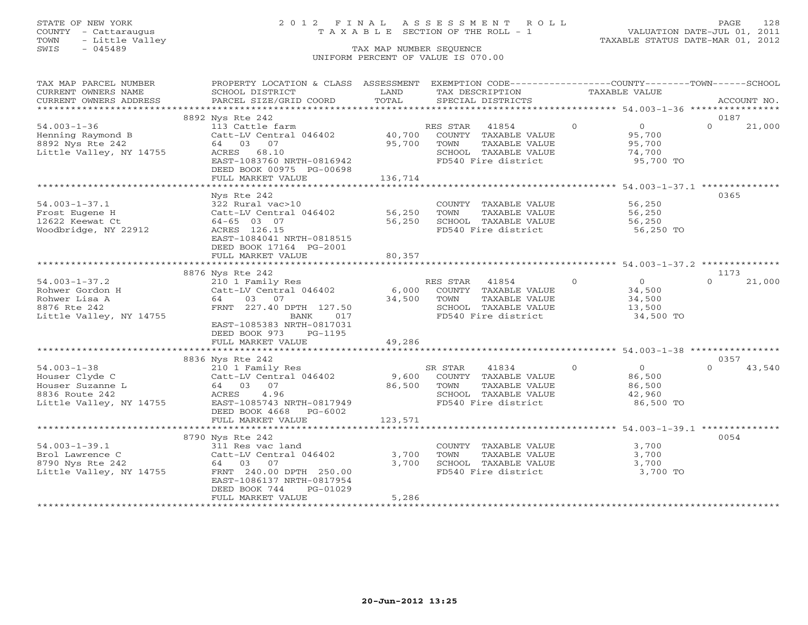## STATE OF NEW YORK 2 0 1 2 F I N A L A S S E S S M E N T R O L L PAGE 128 COUNTY - Cattaraugus T A X A B L E SECTION OF THE ROLL - 1 VALUATION DATE-JUL 01, 2011

| TAX MAP PARCEL NUMBER   | PROPERTY LOCATION & CLASS ASSESSMENT EXEMPTION CODE---------------COUNTY-------TOWN-----SCHOOL |             |                                             |                |                                                  |          |             |
|-------------------------|------------------------------------------------------------------------------------------------|-------------|---------------------------------------------|----------------|--------------------------------------------------|----------|-------------|
| CURRENT OWNERS NAME     | SCHOOL DISTRICT                                                                                | LAND        | TAX DESCRIPTION                             |                | TAXABLE VALUE                                    |          |             |
| CURRENT OWNERS ADDRESS  | PARCEL SIZE/GRID COORD                                                                         | TOTAL       | SPECIAL DISTRICTS                           |                |                                                  |          | ACCOUNT NO. |
|                         |                                                                                                |             |                                             |                |                                                  |          |             |
|                         | 8892 Nys Rte 242                                                                               |             |                                             |                |                                                  | 0187     |             |
| $54.003 - 1 - 36$       | 113 Cattle farm                                                                                |             | RES STAR 41854                              | $\Omega$       | $\Omega$                                         | $\Omega$ | 21,000      |
| Henning Raymond B       | 113 Cattle farm<br>Catt-LV Central 046402      40,700  COUNTY TAXABLE VALUE                    |             |                                             |                | 95,700                                           |          |             |
| 8892 Nys Rte 242        | 64 03 07                                                                                       | 95,700      | TAXABLE VALUE<br>TOWN                       |                | 95,700                                           |          |             |
| Little Valley, NY 14755 | ACRES 68.10                                                                                    |             | SCHOOL TAXABLE VALUE                        |                | 74,700                                           |          |             |
|                         | EAST-1083760 NRTH-0816942                                                                      |             | FD540 Fire district                         |                | 95,700 TO                                        |          |             |
|                         | DEED BOOK 00975 PG-00698                                                                       |             |                                             |                |                                                  |          |             |
|                         |                                                                                                | 136,714     |                                             |                |                                                  |          |             |
|                         | FULL MARKET VALUE                                                                              |             |                                             |                |                                                  |          |             |
|                         |                                                                                                |             |                                             |                |                                                  |          |             |
|                         | Nys Rte 242                                                                                    |             |                                             |                |                                                  | 0365     |             |
| $54.003 - 1 - 37.1$     | 322 Rural vac>10                                                                               |             | COUNTY TAXABLE VALUE                        |                | 56,250                                           |          |             |
| Frost Eugene H          | Catt-LV Central 046402 56,250                                                                  |             | TAXABLE VALUE<br>TOWN                       |                | 56,250                                           |          |             |
| 12622 Keewat Ct         | 64-65 03 07                                                                                    | 56,250      | SCHOOL TAXABLE VALUE                        |                | 56,250                                           |          |             |
| Woodbridge, NY 22912    | ACRES 126.15                                                                                   |             | FD540 Fire district                         |                | 56,250 TO                                        |          |             |
|                         | EAST-1084041 NRTH-0818515                                                                      |             |                                             |                |                                                  |          |             |
|                         | DEED BOOK 17164 PG-2001                                                                        |             |                                             |                |                                                  |          |             |
|                         | FULL MARKET VALUE                                                                              | 80,357      |                                             |                |                                                  |          |             |
|                         |                                                                                                |             |                                             |                |                                                  |          |             |
|                         | 8876 Nys Rte 242                                                                               |             |                                             |                |                                                  | 1173     |             |
| $54.003 - 1 - 37.2$     |                                                                                                |             | RES STAR 41854                              | $\overline{0}$ |                                                  | $\cap$   | 21,000      |
| Rohwer Gordon H         | 210 1 Family Res<br>Catt-LV Central 046402                                                     |             | 6,000 COUNTY TAXABLE VALUE                  |                | $\begin{array}{c}0\\34.500\end{array}$<br>34,500 |          |             |
| Rohwer Lisa A           | 64 03 07                                                                                       | 34,500 TOWN | TAXABLE VALUE                               |                | 34,500                                           |          |             |
| 8876 Rte 242            | FRNT 227.40 DPTH 127.50                                                                        |             |                                             |                | 13,500                                           |          |             |
|                         | BANK<br>017                                                                                    |             | SCHOOL TAXABLE VALUE<br>FD540 Fire district |                | 34,500 TO                                        |          |             |
| Little Valley, NY 14755 |                                                                                                |             |                                             |                |                                                  |          |             |
|                         | EAST-1085383 NRTH-0817031                                                                      |             |                                             |                |                                                  |          |             |
|                         | DEED BOOK 973<br>PG-1195                                                                       |             |                                             |                |                                                  |          |             |
|                         | FULL MARKET VALUE                                                                              | 49,286      |                                             |                |                                                  |          |             |
|                         |                                                                                                |             |                                             |                |                                                  |          |             |
|                         | 8836 Nys Rte 242                                                                               |             |                                             |                |                                                  | 0357     |             |
| $54.003 - 1 - 38$       | 210 1 Family Res                                                                               |             | SR STAR<br>41834 0                          |                | $\overline{0}$                                   | $\cap$   | 43,540      |
| Houser Clyde C          | Catt-LV Central 046402 9,600 COUNTY TAXABLE VALUE                                              |             |                                             |                | 86,500                                           |          |             |
| Houser Suzanne L        | 210 1 Family<br>Catt-LV Centr<br>64 03 07                                                      | 86,500 TOWN | TAXABLE VALUE                               |                | 86,500                                           |          |             |
| 8836 Route 242          |                                                                                                |             |                                             |                | 42,960                                           |          |             |
|                         | Little Valley, NY 14755 EAST-1085743 NRTH-0817949                                              |             | SCHOOL TAXABLE VALUE<br>FD540 Fire district |                | 86,500 TO                                        |          |             |
|                         | DEED BOOK 4668 PG-6002                                                                         |             |                                             |                |                                                  |          |             |
|                         | FULL MARKET VALUE                                                                              | 123,571     |                                             |                |                                                  |          |             |
|                         |                                                                                                |             |                                             |                |                                                  |          |             |
|                         | 8790 Nys Rte 242                                                                               |             |                                             |                |                                                  | 0054     |             |
| $54.003 - 1 - 39.1$     | 311 Res vac land                                                                               |             | COUNTY TAXABLE VALUE                        |                | 3,700                                            |          |             |
| Brol Lawrence C         | 311 Res vac land<br>Catt-LV Central 046402                                                     | 3,700       | TAXABLE VALUE<br>TOWN                       |                | 3,700                                            |          |             |
| 8790 Nys Rte 242        | 64 03 07                                                                                       | 3,700       | SCHOOL TAXABLE VALUE                        |                | 3,700                                            |          |             |
|                         | Little Valley, NY 14755 FRNT 240.00 DPTH 250.00                                                |             | VALUE VALUE<br>FD540 Fire district          |                | 3,700 TO                                         |          |             |
|                         |                                                                                                |             |                                             |                |                                                  |          |             |
|                         | EAST-1086137 NRTH-0817954                                                                      |             |                                             |                |                                                  |          |             |
|                         | DEED BOOK 744<br>PG-01029                                                                      |             |                                             |                |                                                  |          |             |
|                         | FULL MARKET VALUE                                                                              | 5,286       |                                             |                |                                                  |          |             |
|                         |                                                                                                |             |                                             |                |                                                  |          |             |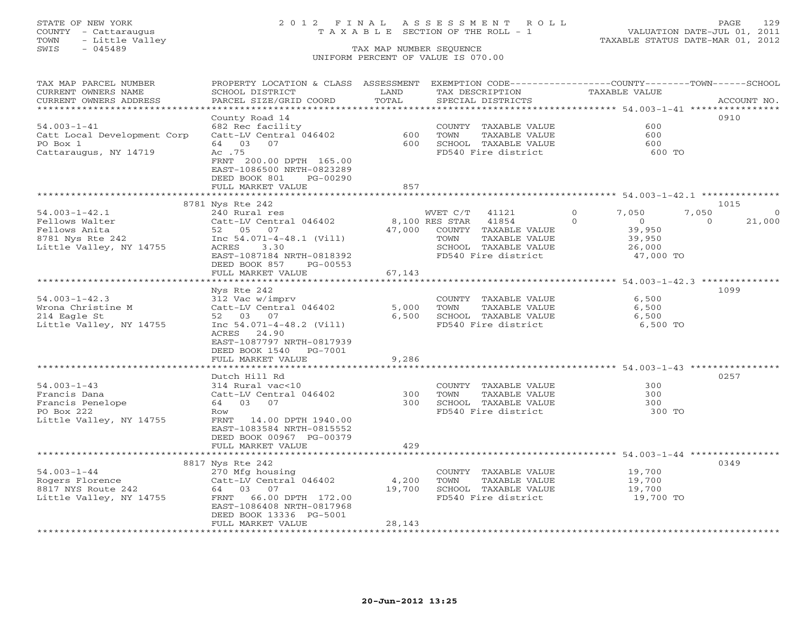## STATE OF NEW YORK 2 0 1 2 F I N A L A S S E S S M E N T R O L L PAGE 129 COUNTY - Cattaraugus T A X A B L E SECTION OF THE ROLL - 1 VALUATION DATE-JUL 01, 2011

| TAX MAP PARCEL NUMBER                             | PROPERTY LOCATION & CLASS ASSESSMENT                 |                       | EXEMPTION CODE-----------------COUNTY-------TOWN------SCHOOL |                                                              |                    |
|---------------------------------------------------|------------------------------------------------------|-----------------------|--------------------------------------------------------------|--------------------------------------------------------------|--------------------|
| CURRENT OWNERS NAME                               | SCHOOL DISTRICT                                      | LAND                  | TAX DESCRIPTION                                              | <b>TAXABLE VALUE</b>                                         |                    |
| CURRENT OWNERS ADDRESS<br>*********************** | PARCEL SIZE/GRID COORD                               | TOTAL                 | SPECIAL DISTRICTS                                            |                                                              | ACCOUNT NO.        |
|                                                   | County Road 14                                       |                       |                                                              |                                                              | 0910               |
| $54.003 - 1 - 41$                                 | 682 Rec facility                                     |                       |                                                              | 600                                                          |                    |
| Catt Local Development Corp                       | Catt-LV Central 046402                               | 600                   | COUNTY TAXABLE VALUE<br>TAXABLE VALUE<br>TOWN                | 600                                                          |                    |
| PO Box 1                                          | 64 03 07                                             | 600                   | SCHOOL TAXABLE VALUE                                         | 600                                                          |                    |
| Cattaraugus, NY 14719                             | Ac .75                                               |                       | FD540 Fire district                                          | 600 TO                                                       |                    |
|                                                   | FRNT 200.00 DPTH 165.00                              |                       |                                                              |                                                              |                    |
|                                                   | EAST-1086500 NRTH-0823289                            |                       |                                                              |                                                              |                    |
|                                                   | DEED BOOK 801<br>PG-00290                            |                       |                                                              |                                                              |                    |
|                                                   | FULL MARKET VALUE                                    | 857                   |                                                              |                                                              |                    |
|                                                   |                                                      | * * * * * * * * * *   |                                                              | ******************************* 54.003-1-42.1 ************** |                    |
|                                                   | 8781 Nys Rte 242                                     |                       |                                                              |                                                              | 1015               |
| $54.003 - 1 - 42.1$                               | 240 Rural res                                        |                       | WVET C/T<br>41121                                            | 7,050<br>$\Omega$                                            | 7,050<br>$\Omega$  |
| Fellows Walter                                    | Catt-LV Central 046402                               |                       | 8,100 RES STAR<br>41854                                      | $\Omega$<br>$\overline{0}$                                   | 21,000<br>$\Omega$ |
| Fellows Anita                                     | 52 05 07                                             | 47,000                | COUNTY TAXABLE VALUE                                         | 39,950                                                       |                    |
| 8781 Nys Rte 242                                  | Inc $54.071-4-48.1$ (Vill)                           |                       | TOWN<br>TAXABLE VALUE                                        | 39,950                                                       |                    |
| Little Valley, NY 14755                           | 3.30<br>ACRES                                        |                       | SCHOOL TAXABLE VALUE                                         | 26,000                                                       |                    |
|                                                   | EAST-1087184 NRTH-0818392                            |                       | FD540 Fire district                                          | 47,000 TO                                                    |                    |
|                                                   | DEED BOOK 857<br>PG-00553                            |                       |                                                              |                                                              |                    |
|                                                   | FULL MARKET VALUE                                    | 67,143                |                                                              |                                                              |                    |
|                                                   | * * * * * * * * * * * * * * * * * * * *              | * * * * * * * * * * * |                                                              | ****************** 54.003-1-42.3 ***************             |                    |
|                                                   | Nys Rte 242                                          |                       |                                                              |                                                              | 1099               |
| $54.003 - 1 - 42.3$                               | 312 Vac w/imprv                                      |                       | COUNTY TAXABLE VALUE                                         | 6,500                                                        |                    |
| Wrona Christine M                                 | Catt-LV Central 046402                               | 5,000                 | TOWN<br>TAXABLE VALUE                                        | 6,500                                                        |                    |
| 214 Eagle St                                      | 52 03 07                                             | 6,500                 | SCHOOL TAXABLE VALUE                                         | 6,500                                                        |                    |
| Little Valley, NY 14755                           | Inc $54.071-4-48.2$ (Vill)                           |                       | FD540 Fire district                                          | 6,500 TO                                                     |                    |
|                                                   | 24.90<br>ACRES                                       |                       |                                                              |                                                              |                    |
|                                                   | EAST-1087797 NRTH-0817939                            |                       |                                                              |                                                              |                    |
|                                                   | DEED BOOK 1540<br>PG-7001                            |                       |                                                              |                                                              |                    |
|                                                   | FULL MARKET VALUE                                    | 9,286                 |                                                              |                                                              |                    |
|                                                   |                                                      |                       |                                                              |                                                              |                    |
|                                                   | Dutch Hill Rd                                        |                       |                                                              |                                                              | 0257               |
| $54.003 - 1 - 43$                                 | 314 Rural vac<10                                     |                       | COUNTY TAXABLE VALUE                                         | 300                                                          |                    |
| Francis Dana                                      | Catt-LV Central 046402                               | 300<br>300            | TOWN<br>TAXABLE VALUE                                        | 300                                                          |                    |
| Francis Penelope<br>PO Box 222                    | 64 03 07                                             |                       | SCHOOL TAXABLE VALUE<br>FD540 Fire district                  | 300<br>300 TO                                                |                    |
|                                                   | Row                                                  |                       |                                                              |                                                              |                    |
| Little Valley, NY 14755                           | FRNT 14.00 DPTH 1940.00<br>EAST-1083584 NRTH-0815552 |                       |                                                              |                                                              |                    |
|                                                   | DEED BOOK 00967 PG-00379                             |                       |                                                              |                                                              |                    |
|                                                   | FULL MARKET VALUE                                    | 429                   |                                                              |                                                              |                    |
|                                                   |                                                      | **********            |                                                              | *** 54.003-1-44 *****                                        |                    |
|                                                   | 8817 Nys Rte 242                                     |                       |                                                              |                                                              | 0349               |
| $54.003 - 1 - 44$                                 | 270 Mfg housing                                      |                       | COUNTY TAXABLE VALUE                                         | 19,700                                                       |                    |
| Rogers Florence                                   | Catt-LV Central 046402                               | 4,200                 | TOWN<br>TAXABLE VALUE                                        | 19,700                                                       |                    |
| 8817 NYS Route 242                                | 64 03 07                                             | 19,700                | SCHOOL TAXABLE VALUE                                         | 19,700                                                       |                    |
| Little Valley, NY 14755                           | FRNT 66.00 DPTH 172.00                               |                       | FD540 Fire district                                          | 19,700 TO                                                    |                    |
|                                                   | EAST-1086408 NRTH-0817968                            |                       |                                                              |                                                              |                    |
|                                                   | DEED BOOK 13336 PG-5001                              |                       |                                                              |                                                              |                    |
|                                                   | FULL MARKET VALUE                                    | 28,143                |                                                              |                                                              |                    |
|                                                   |                                                      |                       |                                                              |                                                              |                    |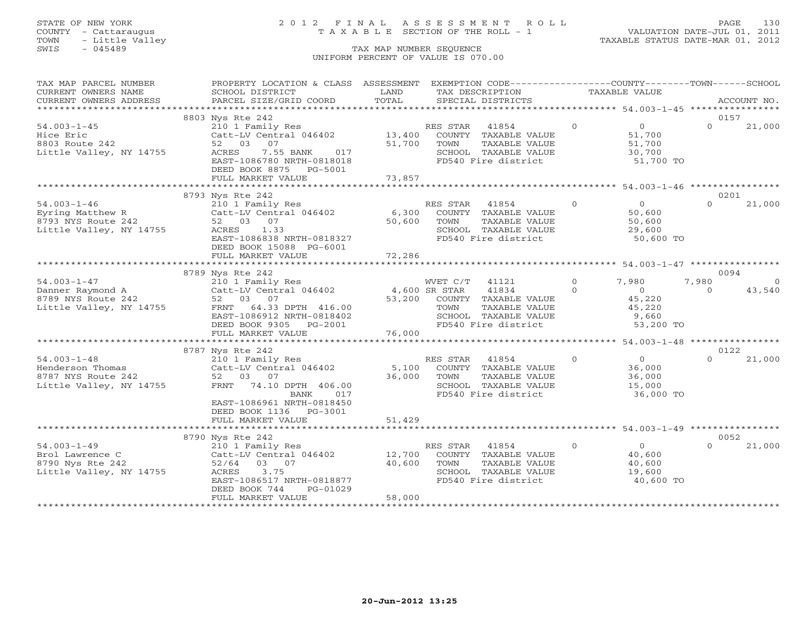## STATE OF NEW YORK 2 0 1 2 F I N A L A S S E S S M E N T R O L L PAGE 130 COUNTY - Cattaraugus T A X A B L E SECTION OF THE ROLL - 1 VALUATION DATE-JUL 01, 2011

| TAX MAP PARCEL NUMBER   | PROPERTY LOCATION & CLASS ASSESSMENT |                             | EXEMPTION CODE----------------COUNTY-------TOWN------SCHOOL   |          |                      |          |             |
|-------------------------|--------------------------------------|-----------------------------|---------------------------------------------------------------|----------|----------------------|----------|-------------|
| CURRENT OWNERS NAME     | SCHOOL DISTRICT                      | LAND                        | TAX DESCRIPTION                                               |          | <b>TAXABLE VALUE</b> |          |             |
| CURRENT OWNERS ADDRESS  | PARCEL SIZE/GRID COORD               | TOTAL                       | SPECIAL DISTRICTS                                             |          |                      |          | ACCOUNT NO. |
| *******************     |                                      | ************************    | ************************* 54.003-1-45 *****************       |          |                      |          |             |
|                         | 8803 Nys Rte 242                     |                             |                                                               |          |                      | 0157     |             |
| $54.003 - 1 - 45$       | 210 1 Family Res                     |                             | RES STAR<br>41854                                             | $\circ$  | $\overline{O}$       | $\Omega$ | 21,000      |
| Hice Eric               | Catt-LV Central 046402               | 13,400                      | COUNTY TAXABLE VALUE                                          |          | 51,700               |          |             |
| 8803 Route 242          | 52 03 07                             | 51,700                      | TOWN<br>TAXABLE VALUE                                         |          | 51,700               |          |             |
| Little Valley, NY 14755 | 7.55 BANK<br>ACRES<br>017            |                             | SCHOOL TAXABLE VALUE                                          |          | 30,700               |          |             |
|                         | EAST-1086780 NRTH-0818018            |                             | FD540 Fire district                                           |          | 51,700 TO            |          |             |
|                         | DEED BOOK 8875 PG-5001               |                             |                                                               |          |                      |          |             |
|                         | FULL MARKET VALUE                    | 73,857                      |                                                               |          |                      |          |             |
|                         |                                      |                             |                                                               |          |                      |          |             |
|                         | 8793 Nys Rte 242                     |                             |                                                               |          |                      | 0201     |             |
| $54.003 - 1 - 46$       | 210 1 Family Res                     |                             | RES STAR<br>41854                                             | $\Omega$ | $\Omega$             | $\Omega$ | 21,000      |
| Eyring Matthew R        | Catt-LV Central 046402               | 6,300                       | COUNTY TAXABLE VALUE                                          |          | 50,600               |          |             |
| 8793 NYS Route 242      | 52 03 07                             | 50,600                      | TAXABLE VALUE<br>TOWN                                         |          | 50,600               |          |             |
| Little Valley, NY 14755 | 1.33<br>ACRES                        |                             | SCHOOL TAXABLE VALUE                                          |          | 29,600               |          |             |
|                         | EAST-1086838 NRTH-0818327            |                             | FD540 Fire district                                           |          | 50,600 TO            |          |             |
|                         | DEED BOOK 15088 PG-6001              |                             |                                                               |          |                      |          |             |
|                         | FULL MARKET VALUE                    | 72,286                      |                                                               |          |                      |          |             |
|                         |                                      |                             |                                                               |          |                      |          |             |
|                         | 8789 Nys Rte 242                     |                             |                                                               |          |                      | 0094     |             |
| $54.003 - 1 - 47$       | 210 1 Family Res                     |                             | WVET C/T<br>41121                                             | $\Omega$ | 7,980                | 7,980    | $\circ$     |
| Danner Raymond A        | Catt-LV Central 046402               | 4,600 SR STAR               | 41834                                                         | $\Omega$ | $\overline{O}$       | $\Omega$ | 43,540      |
| 8789 NYS Route 242      | 52 03 07                             | 53,200                      | COUNTY TAXABLE VALUE                                          |          | 45,220               |          |             |
| Little Valley, NY 14755 | FRNT 64.33 DPTH 416.00               |                             | TAXABLE VALUE<br>TOWN                                         |          | 45,220               |          |             |
|                         | EAST-1086912 NRTH-0818402            |                             | SCHOOL TAXABLE VALUE                                          |          | 9,660                |          |             |
|                         | DEED BOOK 9305 PG-2001               |                             | FD540 Fire district                                           |          | 53,200 TO            |          |             |
|                         | FULL MARKET VALUE                    | 76,000                      |                                                               |          |                      |          |             |
|                         |                                      |                             |                                                               |          |                      |          |             |
|                         | 8787 Nys Rte 242                     |                             |                                                               |          |                      | 0122     |             |
| $54.003 - 1 - 48$       | 210 1 Family Res                     |                             | RES STAR<br>41854                                             | $\Omega$ | $\Omega$             | $\Omega$ | 21,000      |
| Henderson Thomas        | Catt-LV Central 046402               | 5,100                       | COUNTY TAXABLE VALUE                                          |          | 36,000               |          |             |
| 8787 NYS Route 242      | 52 03 07                             | 36,000                      | TOWN<br>TAXABLE VALUE                                         |          | 36,000               |          |             |
| Little Valley, NY 14755 | FRNT 74.10 DPTH 406.00               |                             | SCHOOL TAXABLE VALUE                                          |          | 15,000               |          |             |
|                         | 017<br>BANK                          |                             | FD540 Fire district                                           |          | 36,000 TO            |          |             |
|                         | EAST-1086961 NRTH-0818450            |                             |                                                               |          |                      |          |             |
|                         | DEED BOOK 1136 PG-3001               |                             |                                                               |          |                      |          |             |
|                         | FULL MARKET VALUE                    | 51,429                      |                                                               |          |                      |          |             |
|                         |                                      | * * * * * * * * * * * * * * | ******************************** 54.003-1-49 **************** |          |                      |          |             |
|                         | 8790 Nys Rte 242                     |                             |                                                               |          |                      | 0052     |             |
| $54.003 - 1 - 49$       | 210 1 Family Res                     |                             | RES STAR<br>41854                                             | $\circ$  | $\overline{0}$       | $\Omega$ | 21,000      |
| Brol Lawrence C         | Catt-LV Central 046402               | 12,700                      | COUNTY TAXABLE VALUE                                          |          | 40,600               |          |             |
| 8790 Nys Rte 242        | 03 07<br>52/64                       | 40,600                      | TAXABLE VALUE<br>TOWN                                         |          | 40,600               |          |             |
| Little Valley, NY 14755 | ACRES<br>3.75                        |                             | SCHOOL TAXABLE VALUE                                          |          | 19,600               |          |             |
|                         | EAST-1086517 NRTH-0818877            |                             | FD540 Fire district                                           |          | 40,600 TO            |          |             |
|                         | DEED BOOK 744<br>PG-01029            |                             |                                                               |          |                      |          |             |
|                         | FULL MARKET VALUE                    | 58,000                      |                                                               |          |                      |          |             |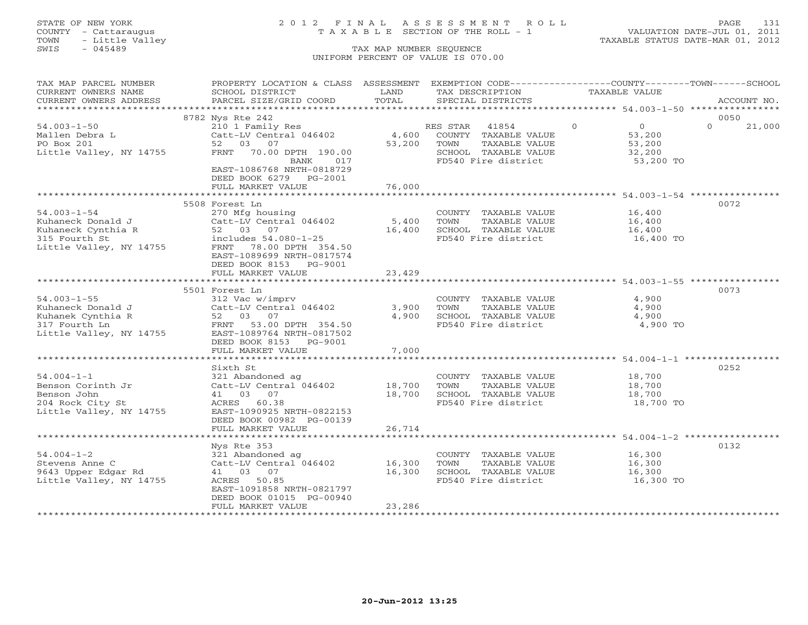## STATE OF NEW YORK 2 0 1 2 F I N A L A S S E S S M E N T R O L L PAGE 131 COUNTY - Cattaraugus T A X A B L E SECTION OF THE ROLL - 1 VALUATION DATE-JUL 01, 2011

| TAX MAP PARCEL NUMBER                                | PROPERTY LOCATION & CLASS ASSESSMENT EXEMPTION CODE---------------COUNTY-------TOWN------SCHOOL |               |                       |                            |                    |
|------------------------------------------------------|-------------------------------------------------------------------------------------------------|---------------|-----------------------|----------------------------|--------------------|
| CURRENT OWNERS NAME                                  | SCHOOL DISTRICT                                                                                 | LAND<br>TOTAL | TAX DESCRIPTION       | TAXABLE VALUE              | ACCOUNT NO.        |
| CURRENT OWNERS ADDRESS                               | PARCEL SIZE/GRID COORD                                                                          |               | SPECIAL DISTRICTS     |                            |                    |
|                                                      | 8782 Nys Rte 242                                                                                |               |                       |                            | 0050               |
| $54.003 - 1 - 50$                                    | 210 1 Family Res                                                                                |               | RES STAR<br>41854     | $\Omega$<br>$\overline{O}$ | $\Omega$<br>21,000 |
| Mallen Debra L                                       | Catt-LV Central 046402                                                                          | 4,600         | COUNTY TAXABLE VALUE  | 53,200                     |                    |
| PO Box 201                                           | 52 03 07                                                                                        | 53,200        | TOWN<br>TAXABLE VALUE | 53,200                     |                    |
| Little Valley, NY 14755                              | FRNT 70.00 DPTH 190.00                                                                          |               | SCHOOL TAXABLE VALUE  | 32,200                     |                    |
|                                                      | BANK<br>017                                                                                     |               | FD540 Fire district   | 53,200 TO                  |                    |
|                                                      | EAST-1086768 NRTH-0818729                                                                       |               |                       |                            |                    |
|                                                      | DEED BOOK 6279 PG-2001                                                                          |               |                       |                            |                    |
|                                                      | FULL MARKET VALUE                                                                               | 76,000        |                       |                            |                    |
|                                                      |                                                                                                 |               |                       |                            |                    |
|                                                      | 5508 Forest Ln                                                                                  |               |                       |                            | 0072               |
| $54.003 - 1 - 54$                                    | 270 Mfg housing                                                                                 |               | COUNTY TAXABLE VALUE  | 16,400                     |                    |
| Kuhaneck Donald J                                    | Catt-LV Central 046402                                                                          | 5,400         | TOWN<br>TAXABLE VALUE | 16,400                     |                    |
|                                                      | 52 03 07                                                                                        | 16,400        | SCHOOL TAXABLE VALUE  | 16,400                     |                    |
| Kuhaneck Cynthia R<br>315 Fourth St<br>315 Fourth St | includes 54.080-1-25                                                                            |               | FD540 Fire district   | 16,400 TO                  |                    |
| Little Valley, NY 14755                              | FRNT 78.00 DPTH 354.50                                                                          |               |                       |                            |                    |
|                                                      | EAST-1089699 NRTH-0817574                                                                       |               |                       |                            |                    |
|                                                      | DEED BOOK 8153 PG-9001                                                                          |               |                       |                            |                    |
|                                                      | FULL MARKET VALUE                                                                               | 23,429        |                       |                            |                    |
|                                                      |                                                                                                 |               |                       |                            |                    |
|                                                      | 5501 Forest Ln                                                                                  |               |                       |                            | 0073               |
| $54.003 - 1 - 55$                                    | 312 Vac w/imprv                                                                                 |               | COUNTY TAXABLE VALUE  | 4,900                      |                    |
| Kuhaneck Donald J                                    | Catt-LV Central 046402                                                                          | 3,900         | TOWN<br>TAXABLE VALUE | 4,900                      |                    |
| Kuhanek Cynthia R                                    | 52 03 07                                                                                        | 4,900         | SCHOOL TAXABLE VALUE  | 4,900                      |                    |
| 317 Fourth Ln                                        | FRNT 53.00 DPTH 354.50                                                                          |               | FD540 Fire district   | 4,900 TO                   |                    |
| Little Valley, NY 14755                              | EAST-1089764 NRTH-0817502                                                                       |               |                       |                            |                    |
|                                                      | DEED BOOK 8153 PG-9001                                                                          |               |                       |                            |                    |
|                                                      | FULL MARKET VALUE                                                                               | 7,000         |                       |                            |                    |
|                                                      |                                                                                                 |               |                       |                            |                    |
|                                                      | Sixth St                                                                                        |               |                       |                            | 0252               |
| $54.004 - 1 - 1$                                     | 321 Abandoned ag                                                                                |               | COUNTY TAXABLE VALUE  | 18,700                     |                    |
| Benson Corinth Jr                                    | Catt-LV Central 046402                                                                          | 18,700        | TOWN<br>TAXABLE VALUE | 18,700                     |                    |
| Benson John                                          | 41 03 07                                                                                        | 18,700        | SCHOOL TAXABLE VALUE  | 18,700                     |                    |
| 204 Rock City St                                     | ACRES 60.38                                                                                     |               | FD540 Fire district   | 18,700 TO                  |                    |
| Little Valley, NY 14755                              | EAST-1090925 NRTH-0822153                                                                       |               |                       |                            |                    |
|                                                      | DEED BOOK 00982 PG-00139                                                                        |               |                       |                            |                    |
|                                                      | FULL MARKET VALUE                                                                               | 26,714        |                       |                            |                    |
|                                                      |                                                                                                 |               |                       |                            |                    |
|                                                      | Nys Rte 353                                                                                     |               |                       |                            | 0132               |
| $54.004 - 1 - 2$                                     | 321 Abandoned ag                                                                                |               | COUNTY TAXABLE VALUE  | 16,300                     |                    |
| Stevens Anne C                                       | Catt-LV Central 046402                                                                          | 16,300        | TOWN<br>TAXABLE VALUE | 16,300                     |                    |
| 9643 Upper Edgar Rd                                  | 41 03 07                                                                                        | 16,300        | SCHOOL TAXABLE VALUE  | 16,300                     |                    |
| Little Valley, NY 14755                              | ACRES 50.85                                                                                     |               | FD540 Fire district   | 16,300 TO                  |                    |
|                                                      | EAST-1091858 NRTH-0821797                                                                       |               |                       |                            |                    |
|                                                      | DEED BOOK 01015 PG-00940                                                                        |               |                       |                            |                    |
|                                                      | FULL MARKET VALUE                                                                               | 23,286        |                       |                            |                    |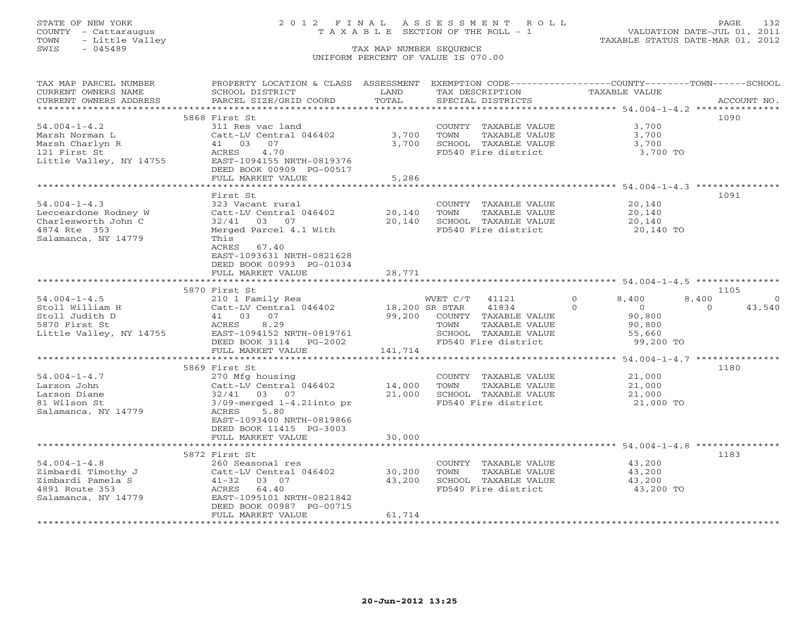## STATE OF NEW YORK 2 0 1 2 F I N A L A S S E S S M E N T R O L L PAGE 132 COUNTY - Cattaraugus T A X A B L E SECTION OF THE ROLL - 1 VALUATION DATE-JUL 01, 2011

| TAX MAP PARCEL NUMBER                   | PROPERTY LOCATION & CLASS ASSESSMENT EXEMPTION CODE---------------COUNTY-------TOWN------SCHOOL |                    |                                               |                                                                                   |                    |
|-----------------------------------------|-------------------------------------------------------------------------------------------------|--------------------|-----------------------------------------------|-----------------------------------------------------------------------------------|--------------------|
| CURRENT OWNERS NAME                     | SCHOOL DISTRICT                                                                                 | LAND               | TAX DESCRIPTION                               | TAXABLE VALUE                                                                     |                    |
| CURRENT OWNERS ADDRESS                  | PARCEL SIZE/GRID COORD                                                                          | TOTAL              | SPECIAL DISTRICTS                             |                                                                                   | ACCOUNT NO.        |
|                                         |                                                                                                 |                    |                                               |                                                                                   |                    |
|                                         | 5868 First St                                                                                   |                    |                                               |                                                                                   | 1090               |
| $54.004 - 1 - 4.2$                      | 311 Res vac land                                                                                |                    | COUNTY TAXABLE VALUE                          | 3,700                                                                             |                    |
| Marsh Norman L                          | Catt-LV Central 046402                                                                          | 3,700              | TOWN<br>TAXABLE VALUE                         | 3,700                                                                             |                    |
| Marsh Charlyn R                         | 41 03 07                                                                                        | 3,700              | SCHOOL TAXABLE VALUE                          | 3,700                                                                             |                    |
| 121 First St<br>Little Valley, NY 14755 | 4.70<br>ACRES<br>EAST-1094155 NRTH-0819376                                                      |                    | FD540 Fire district                           | 3,700 TO                                                                          |                    |
|                                         | DEED BOOK 00909 PG-00517                                                                        |                    |                                               |                                                                                   |                    |
|                                         | FULL MARKET VALUE                                                                               | 5,286              |                                               |                                                                                   |                    |
|                                         | ***************************                                                                     |                    |                                               | ********************************** 54.004-1-4.3 ********************************* |                    |
|                                         | First St                                                                                        |                    |                                               |                                                                                   | 1091               |
| $54.004 - 1 - 4.3$                      | 323 Vacant rural                                                                                |                    | COUNTY TAXABLE VALUE                          | 20,140                                                                            |                    |
| Lecceardone Rodney W                    | Catt-LV Central 046402                                                                          | 20,140             | TOWN<br>TAXABLE VALUE                         | 20,140                                                                            |                    |
| Charlesworth John C                     | 32/41 03 07                                                                                     | 20,140             | SCHOOL TAXABLE VALUE                          | 20,140                                                                            |                    |
| 4874 Rte 353                            | Merged Parcel 4.1 With                                                                          |                    | FD540 Fire district                           | 20,140 TO                                                                         |                    |
| Salamanca, NY 14779                     | This                                                                                            |                    |                                               |                                                                                   |                    |
|                                         | ACRES 67.40                                                                                     |                    |                                               |                                                                                   |                    |
|                                         | EAST-1093631 NRTH-0821628                                                                       |                    |                                               |                                                                                   |                    |
|                                         | DEED BOOK 00993 PG-01034                                                                        |                    |                                               |                                                                                   |                    |
|                                         | FULL MARKET VALUE                                                                               | 28,771             |                                               |                                                                                   |                    |
|                                         |                                                                                                 |                    |                                               |                                                                                   |                    |
|                                         | 5870 First St                                                                                   |                    |                                               |                                                                                   | 1105               |
| $54.004 - 1 - 4.5$                      | 210 1 Family Res                                                                                |                    | WVET C/T<br>41121                             | $\Omega$<br>8,400                                                                 | 8,400<br>$\cap$    |
| Stoll William H                         | Catt-LV Central 046402                                                                          | 18,200 SR STAR     | 41834                                         | $\overline{0}$<br>$\Omega$                                                        | $\Omega$<br>43,540 |
| Stoll Judith D                          | 41 03 07                                                                                        |                    | 99,200 COUNTY TAXABLE VALUE                   | 90,800                                                                            |                    |
| 5870 First St                           | 8.29<br>ACRES                                                                                   |                    | TAXABLE VALUE<br>TOWN                         | 90,800                                                                            |                    |
| Little Valley, NY 14755                 | EAST-1094152 NRTH-0819761                                                                       |                    | SCHOOL TAXABLE VALUE                          | 55,660                                                                            |                    |
|                                         | DEED BOOK 3114 PG-2002                                                                          |                    | FD540 Fire district                           | 99,200 TO                                                                         |                    |
|                                         | FULL MARKET VALUE                                                                               | 141,714            |                                               |                                                                                   |                    |
|                                         |                                                                                                 |                    |                                               | *********** 54.004-1-4.7 ***************                                          |                    |
|                                         | 5869 First St                                                                                   |                    |                                               |                                                                                   | 1180               |
| $54.004 - 1 - 4.7$                      | 270 Mfg housing                                                                                 |                    | COUNTY TAXABLE VALUE                          | 21,000                                                                            |                    |
| Larson John                             | Catt-LV Central 046402                                                                          | 14,000             | TOWN<br>TAXABLE VALUE                         | 21,000                                                                            |                    |
| Larson Diane                            | 32/41 03 07                                                                                     | 21,000             | SCHOOL TAXABLE VALUE                          | 21,000                                                                            |                    |
| 81 Wilson St                            | $3/09$ -merged $1-4.21$ into pr                                                                 |                    | VALUE على مستمين.<br>FD540 Fire district      | $21,000$ TO                                                                       |                    |
| Salamanca, NY 14779                     | ACRES 5.80                                                                                      |                    |                                               |                                                                                   |                    |
|                                         | EAST-1093400 NRTH-0819866                                                                       |                    |                                               |                                                                                   |                    |
|                                         | DEED BOOK 11415 PG-3003                                                                         |                    |                                               |                                                                                   |                    |
|                                         | FULL MARKET VALUE                                                                               | 30,000             |                                               |                                                                                   |                    |
|                                         |                                                                                                 |                    |                                               |                                                                                   |                    |
| $54.004 - 1 - 4.8$                      | 5872 First St                                                                                   |                    |                                               | 43,200                                                                            | 1183               |
|                                         | 260 Seasonal res<br>Catt-LV Central 046402                                                      | 30,200             | COUNTY TAXABLE VALUE<br>TOWN<br>TAXABLE VALUE | 43,200                                                                            |                    |
| Zimbardi Timothy J<br>Zimbardi Pamela S | $41 - 32$ 03 07                                                                                 | 43,200             | SCHOOL TAXABLE VALUE                          | 45,200<br>43,200                                                                  |                    |
| 4891 Route 353                          | ACRES 64.40                                                                                     |                    | FD540 Fire district                           | 43,200 TO                                                                         |                    |
| Salamanca, NY 14779                     | EAST-1095101 NRTH-0821842                                                                       |                    |                                               |                                                                                   |                    |
|                                         | DEED BOOK 00987 PG-00715                                                                        |                    |                                               |                                                                                   |                    |
|                                         | FULL MARKET VALUE                                                                               | 61,714             |                                               |                                                                                   |                    |
|                                         |                                                                                                 | ****************** |                                               |                                                                                   |                    |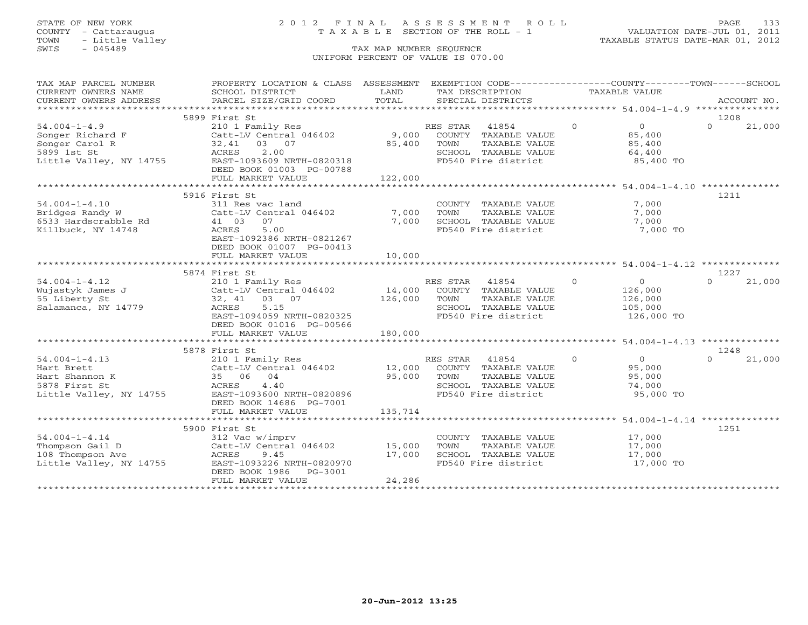## STATE OF NEW YORK 2 0 1 2 F I N A L A S S E S S M E N T R O L L PAGE 133 COUNTY - Cattaraugus T A X A B L E SECTION OF THE ROLL - 1 VALUATION DATE-JUL 01, 2011

| TAX MAP PARCEL NUMBER                                                                              | PROPERTY LOCATION & CLASS ASSESSMENT                                                                                                                                      |                             | EXEMPTION CODE-----------------COUNTY-------TOWN------SCHOOL                                                      |                                                                             |                    |
|----------------------------------------------------------------------------------------------------|---------------------------------------------------------------------------------------------------------------------------------------------------------------------------|-----------------------------|-------------------------------------------------------------------------------------------------------------------|-----------------------------------------------------------------------------|--------------------|
| CURRENT OWNERS NAME<br>CURRENT OWNERS ADDRESS                                                      | SCHOOL DISTRICT<br>PARCEL SIZE/GRID COORD                                                                                                                                 | LAND<br>TOTAL               | TAX DESCRIPTION<br>SPECIAL DISTRICTS                                                                              | TAXABLE VALUE                                                               | ACCOUNT NO.        |
|                                                                                                    |                                                                                                                                                                           |                             |                                                                                                                   |                                                                             |                    |
|                                                                                                    | 5899 First St                                                                                                                                                             |                             |                                                                                                                   |                                                                             | 1208               |
| $54.004 - 1 - 4.9$<br>Songer Richard F<br>Songer Carol R<br>5899 1st St<br>Little Valley, NY 14755 | 210 1 Family Res<br>Catt-LV Central 046402<br>32,41 03 07<br>2.00<br>ACRES<br>EAST-1093609 NRTH-0820318<br>DEED BOOK 01003 PG-00788<br>FULL MARKET VALUE                  | 9,000<br>85,400<br>122,000  | RES STAR<br>41854<br>COUNTY TAXABLE VALUE<br>TOWN<br>TAXABLE VALUE<br>SCHOOL TAXABLE VALUE<br>FD540 Fire district | $\overline{O}$<br>$\overline{0}$<br>85,400<br>85,400<br>64,400<br>85,400 TO | $\Omega$<br>21,000 |
|                                                                                                    |                                                                                                                                                                           |                             |                                                                                                                   |                                                                             |                    |
| $54.004 - 1 - 4.10$<br>Bridges Randy W<br>6533 Hardscrabble Rd<br>Killbuck, NY 14748               | 5916 First St<br>311 Res vac land<br>Catt-LV Central 046402<br>41 03<br>07<br>5.00<br>ACRES<br>EAST-1092386 NRTH-0821267<br>DEED BOOK 01007 PG-00413<br>FULL MARKET VALUE | 7,000<br>7,000<br>10,000    | COUNTY TAXABLE VALUE<br>TOWN<br>TAXABLE VALUE<br>SCHOOL TAXABLE VALUE<br>FD540 Fire district                      | 7,000<br>7,000<br>7,000<br>7,000 TO                                         | 1211               |
|                                                                                                    |                                                                                                                                                                           |                             |                                                                                                                   |                                                                             |                    |
|                                                                                                    | 5874 First St                                                                                                                                                             |                             |                                                                                                                   |                                                                             | 1227               |
| $54.004 - 1 - 4.12$<br>Wujastyk James J<br>55 Liberty St<br>Salamanca, NY 14779                    | 210 1 Family Res<br>Catt-LV Central 046402<br>32, 41<br>03 07<br>5.15<br>ACRES<br>EAST-1094059 NRTH-0820325<br>DEED BOOK 01016 PG-00566                                   | 14,000<br>126,000           | RES STAR 41854<br>COUNTY TAXABLE VALUE<br>TAXABLE VALUE<br>TOWN<br>SCHOOL TAXABLE VALUE<br>FD540 Fire district    | $\Omega$<br>0<br>126,000<br>126,000<br>105,000<br>126,000 TO                | $\Omega$<br>21,000 |
|                                                                                                    | FULL MARKET VALUE                                                                                                                                                         | 180,000                     |                                                                                                                   |                                                                             |                    |
|                                                                                                    | 5878 First St                                                                                                                                                             |                             |                                                                                                                   |                                                                             | 1248               |
| $54.004 - 1 - 4.13$<br>Hart Brett<br>Hart Shannon K<br>5878 First St<br>Little Valley, NY 14755    | 210 1 Family Res<br>Catt-LV Central 046402<br>35 06 04<br>4.40<br>ACRES<br>EAST-1093600 NRTH-0820896<br>DEED BOOK 14686 PG-7001<br>FULL MARKET VALUE                      | 12,000<br>95,000<br>135,714 | RES STAR<br>41854<br>COUNTY TAXABLE VALUE<br>TOWN<br>TAXABLE VALUE<br>SCHOOL TAXABLE VALUE<br>FD540 Fire district | $\Omega$<br>$\overline{0}$<br>95,000<br>95,000<br>74,000<br>95,000 TO       | 21,000<br>$\Omega$ |
|                                                                                                    | **********************************                                                                                                                                        | ********************        |                                                                                                                   |                                                                             |                    |
| $54.004 - 1 - 4.14$<br>Thompson Gail D<br>108 Thompson Ave<br>Little Valley, NY 14755              | 5900 First St<br>312 Vac w/imprv<br>Catt-LV Central 046402<br>ACRES<br>9.45<br>EAST-1093226 NRTH-0820970<br>DEED BOOK 1986<br>PG-3001<br>FULL MARKET VALUE                | 15,000<br>17,000<br>24,286  | COUNTY TAXABLE VALUE<br>TAXABLE VALUE<br>TOWN<br>SCHOOL TAXABLE VALUE<br>FD540 Fire district                      | 17,000<br>17,000<br>17,000<br>17,000 TO                                     | 1251               |
|                                                                                                    |                                                                                                                                                                           |                             |                                                                                                                   |                                                                             |                    |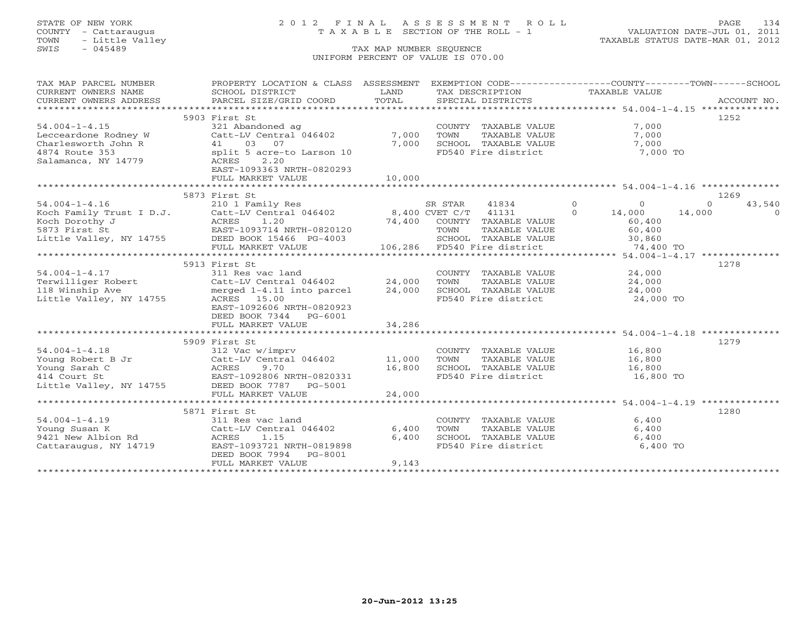## STATE OF NEW YORK 2 0 1 2 F I N A L A S S E S S M E N T R O L L PAGE 134 COUNTY - Cattaraugus T A X A B L E SECTION OF THE ROLL - 1 VALUATION DATE-JUL 01, 2011

| TAX MAP PARCEL NUMBER   | PROPERTY LOCATION & CLASS ASSESSMENT EXEMPTION CODE---------------COUNTY-------TOWN------SCHOOL |        |                             |                    |                                                      |
|-------------------------|-------------------------------------------------------------------------------------------------|--------|-----------------------------|--------------------|------------------------------------------------------|
| CURRENT OWNERS NAME     | SCHOOL DISTRICT                                                                                 | T.AND  | TAX DESCRIPTION             | TAXABLE VALUE      |                                                      |
| CURRENT OWNERS ADDRESS  | PARCEL SIZE/GRID COORD                                                                          | TOTAL  | SPECIAL DISTRICTS           |                    | ACCOUNT NO.                                          |
|                         |                                                                                                 |        |                             |                    |                                                      |
|                         | 5903 First St                                                                                   |        |                             |                    | 1252                                                 |
| $54.004 - 1 - 4.15$     | 321 Abandoned ag                                                                                |        | COUNTY TAXABLE VALUE        |                    | 7,000                                                |
| Lecceardone Rodney W    | Catt-LV Central 046402                                                                          | 7,000  | TOWN<br>TAXABLE VALUE       |                    | 7,000                                                |
| Charlesworth John R     | 41 03 07                                                                                        | 7,000  | SCHOOL TAXABLE VALUE        |                    | 7,000                                                |
| 4874 Route 353          | split 5 acre-to Larson 10<br>ACRES 2.20                                                         |        | FD540 Fire district         |                    | 7,000 TO                                             |
| Salamanca, NY 14779     | ACRES<br>2.20                                                                                   |        |                             |                    |                                                      |
|                         | EAST-1093363 NRTH-0820293                                                                       |        |                             |                    |                                                      |
|                         | FULL MARKET VALUE                                                                               | 10,000 |                             |                    |                                                      |
|                         |                                                                                                 |        |                             |                    |                                                      |
|                         | 5873 First St                                                                                   |        |                             |                    | 1269                                                 |
| $54.004 - 1 - 4.16$     | 210 1 Family Res                                                                                |        | SR STAR<br>41834            | $\Omega$           | $\circ$<br>$\Omega$<br>43,540                        |
|                         | Koch Family Trust I D.J. Catt-LV Central 046402 8,400 CVET C/T 41131                            |        |                             | $\Omega$<br>14,000 | 14,000<br>$\Omega$                                   |
| Koch Dorothy J          | 1.20                                                                                            | 74,400 | COUNTY TAXABLE VALUE        |                    | 60,400                                               |
| 5873 First St           | ACRES 1.20<br>EAST-1093714 NRTH-0820120                                                         |        | TOWN<br>TAXABLE VALUE       |                    | 60,400                                               |
|                         | Little Valley, NY 14755 DEED BOOK 15466 PG-4003                                                 |        | SCHOOL TAXABLE VALUE        |                    | 30,860                                               |
|                         | FULL MARKET VALUE                                                                               |        | 106,286 FD540 Fire district |                    | 74,400 TO                                            |
|                         |                                                                                                 |        |                             |                    |                                                      |
|                         | 5913 First St                                                                                   |        |                             |                    | 1278                                                 |
| $54.004 - 1 - 4.17$     | 311 Res vac land                                                                                |        | COUNTY TAXABLE VALUE        |                    | 24,000                                               |
| Terwilliger Robert      | Catt-LV Central 046402                                                                          | 24,000 | TOWN<br>TAXABLE VALUE       |                    | 24,000                                               |
| 118 Winship Ave         | merged 1-4.11 into parcel                                                                       | 24,000 | SCHOOL TAXABLE VALUE        |                    | 24,000                                               |
| Little Valley, NY 14755 | ACRES 15.00                                                                                     |        | FD540 Fire district         |                    | 24,000 TO                                            |
|                         | EAST-1092606 NRTH-0820923                                                                       |        |                             |                    |                                                      |
|                         | DEED BOOK 7344 PG-6001                                                                          |        |                             |                    |                                                      |
|                         | FULL MARKET VALUE                                                                               | 34,286 |                             |                    |                                                      |
|                         |                                                                                                 |        |                             |                    |                                                      |
|                         | 5909 First St                                                                                   |        |                             |                    | 1279                                                 |
| $54.004 - 1 - 4.18$     | 312 Vac w/imprv                                                                                 |        | COUNTY TAXABLE VALUE        |                    | 16,800                                               |
| Young Robert B Jr       | Catt-LV Central 046402                                                                          | 11,000 | TOWN<br>TAXABLE VALUE       |                    | 16,800                                               |
| Young Sarah C           | ACRES 9.70<br>EAST-1092806 NRTH-0820331                                                         | 16,800 | SCHOOL TAXABLE VALUE        |                    | 16,800                                               |
| 414 Court St            |                                                                                                 |        | FD540 Fire district         |                    | 16,800 TO                                            |
| Little Valley, NY 14755 | DEED BOOK 7787 PG-5001                                                                          |        |                             |                    |                                                      |
|                         | FULL MARKET VALUE                                                                               | 24,000 |                             |                    |                                                      |
|                         |                                                                                                 |        |                             |                    | *********************** 54.004-1-4.19 ************** |
|                         | 5871 First St                                                                                   |        |                             |                    | 1280                                                 |
| $54.004 - 1 - 4.19$     | 311 Res vac land                                                                                |        | COUNTY TAXABLE VALUE        |                    | 6,400                                                |
| Young Susan K           | Catt-LV Central 046402                                                                          | 6,400  | TOWN<br>TAXABLE VALUE       |                    | 6,400                                                |
| 9421 New Albion Rd      | ACRES<br>1.15                                                                                   | 6,400  | SCHOOL TAXABLE VALUE        |                    | 6,400                                                |
| Cattaraugus, NY 14719   | EAST-1093721 NRTH-0819898                                                                       |        | FD540 Fire district         |                    | 6,400 TO                                             |
|                         | DEED BOOK 7994<br>PG-8001                                                                       |        |                             |                    |                                                      |
|                         | FULL MARKET VALUE                                                                               | 9,143  |                             |                    |                                                      |
|                         |                                                                                                 |        |                             |                    |                                                      |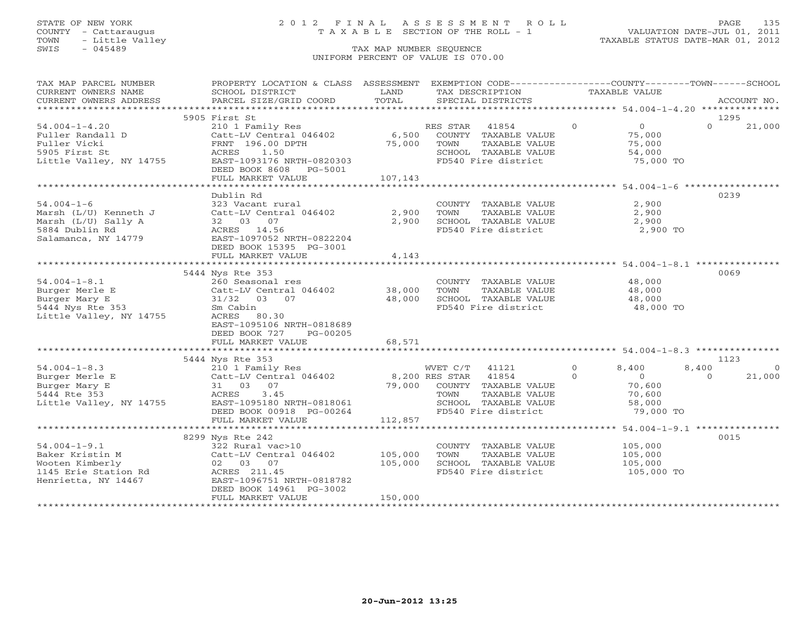## STATE OF NEW YORK 2 0 1 2 F I N A L A S S E S S M E N T R O L L PAGE 135 COUNTY - Cattaraugus T A X A B L E SECTION OF THE ROLL - 1 VALUATION DATE-JUL 01, 2011

| TAX MAP PARCEL NUMBER | PROPERTY LOCATION & CLASS ASSESSMENT EXEMPTION CODE---------------COUNTY-------TOWN------SCHOOL                                                                                                                                                      |         |                                                                  |               |                |                |             |
|-----------------------|------------------------------------------------------------------------------------------------------------------------------------------------------------------------------------------------------------------------------------------------------|---------|------------------------------------------------------------------|---------------|----------------|----------------|-------------|
| CURRENT OWNERS NAME   | SCHOOL DISTRICT                                                                                                                                                                                                                                      | LAND    | TAX DESCRIPTION                                                  | TAXABLE VALUE |                |                |             |
|                       | CURRENT OWNERS ADDRESS PARCEL SIZE/GRID COORD                                                                                                                                                                                                        | TOTAL   | SPECIAL DISTRICTS                                                |               |                |                | ACCOUNT NO. |
|                       | 1.004-1-4.20<br>Fuller Randall D<br>Fuller Randall D<br>Fuller Vicki<br>Supervised by the Catt-LV Central 046402<br>Fuller Vicki<br>FRABLE VALUE<br>FRABLE VALUE<br>SUPERVISED DPTH<br>SUPERVISED 25,000 TOWN TAXABLE VALUE<br>SUPERVISED ACRES<br>A |         |                                                                  |               |                |                |             |
|                       |                                                                                                                                                                                                                                                      |         |                                                                  |               |                | 1295           |             |
|                       |                                                                                                                                                                                                                                                      |         | RES STAR 41854 0                                                 |               | $\overline{0}$ | $\Omega$       | 21,000      |
|                       |                                                                                                                                                                                                                                                      |         |                                                                  |               | 75,000         |                |             |
|                       |                                                                                                                                                                                                                                                      |         |                                                                  |               |                |                |             |
|                       |                                                                                                                                                                                                                                                      |         |                                                                  |               |                |                |             |
|                       |                                                                                                                                                                                                                                                      |         | FD540 Fire district                                              |               | 75,000 TO      |                |             |
|                       |                                                                                                                                                                                                                                                      |         |                                                                  |               |                |                |             |
|                       | FULL MARKET VALUE                                                                                                                                                                                                                                    | 107,143 |                                                                  |               |                |                |             |
|                       |                                                                                                                                                                                                                                                      |         |                                                                  |               |                |                |             |
|                       | Dublin Rd                                                                                                                                                                                                                                            |         |                                                                  |               |                | 0239           |             |
|                       |                                                                                                                                                                                                                                                      |         |                                                                  |               |                |                |             |
| $54.004 - 1 - 6$      | 323 Vacant rural                                                                                                                                                                                                                                     |         | COUNTY TAXABLE VALUE                                             |               | 2,900          |                |             |
|                       |                                                                                                                                                                                                                                                      |         | TAXABLE VALUE 2,900<br>TOWN                                      |               |                |                |             |
|                       |                                                                                                                                                                                                                                                      |         | SCHOOL TAXABLE VALUE                                             |               | 2,900          |                |             |
|                       |                                                                                                                                                                                                                                                      |         | FD540 Fire district 2,900 TO                                     |               |                |                |             |
| Salamanca, NY 14779   |                                                                                                                                                                                                                                                      |         |                                                                  |               |                |                |             |
|                       | DEED BOOK 15395 PG-3001                                                                                                                                                                                                                              |         |                                                                  |               |                |                |             |
|                       | FULL MARKET VALUE                                                                                                                                                                                                                                    | 4,143   |                                                                  |               |                |                |             |
|                       |                                                                                                                                                                                                                                                      |         |                                                                  |               |                |                |             |
|                       | 5444 Nys Rte 353                                                                                                                                                                                                                                     |         |                                                                  |               |                | 0069           |             |
| $54.004 - 1 - 8.1$    |                                                                                                                                                                                                                                                      |         |                                                                  |               |                |                |             |
|                       | 54.004-1-8.1<br>Burger Merle E Catt-LV Central 046402 38,000<br>Burger Mary E 31/32 03 07 48,000<br>5444 Nys Rte 353 Sm Cabin<br>Little Valley, NY 14755 ACRES 80.30<br>Little Valley, NY 14755 ACRES 80.30<br>ACRES 80.30                           |         | COUNTY TAXABLE VALUE 48,000<br>TOWN TAXABLE VALUE 48,000<br>TOWN |               |                |                |             |
|                       |                                                                                                                                                                                                                                                      |         | 48,000 SCHOOL TAXABLE VALUE 48,000                               |               |                |                |             |
|                       |                                                                                                                                                                                                                                                      |         | FD540 Fire district                                              |               | 48,000 TO      |                |             |
|                       |                                                                                                                                                                                                                                                      |         |                                                                  |               |                |                |             |
|                       | EAST-1095106 NRTH-0818689                                                                                                                                                                                                                            |         |                                                                  |               |                |                |             |
|                       | DEED BOOK 727 PG-00205                                                                                                                                                                                                                               |         |                                                                  |               |                |                |             |
|                       | FULL MARKET VALUE                                                                                                                                                                                                                                    | 68,571  |                                                                  |               |                |                |             |
|                       |                                                                                                                                                                                                                                                      |         |                                                                  |               |                |                |             |
|                       | 5444 Nys Rte 353                                                                                                                                                                                                                                     |         |                                                                  |               |                | 1123           |             |
| $54.004 - 1 - 8.3$    |                                                                                                                                                                                                                                                      |         |                                                                  |               |                | 8,400          | $\Omega$    |
|                       |                                                                                                                                                                                                                                                      |         |                                                                  |               |                | $\overline{0}$ | 21,000      |
| Burger Merle E        |                                                                                                                                                                                                                                                      |         |                                                                  |               |                |                |             |
| Burger Mary E         |                                                                                                                                                                                                                                                      |         |                                                                  |               |                |                |             |
| 5444 Rte 353          | E 210 1 Family Res 210 1 Family Res 210 1 Family Res 210 1 Family Res 210 1 Family Res 210 1 Family Res 210 1 Family Res 210 1 Family Res 210 1 Family Res 210 1 Family Res 210 1 Family Res 21 0 3 07 21475 200 RES STAR 2148                       |         |                                                                  |               |                |                |             |
|                       | Little Valley, NY 14755<br>DEED BOOK 00918 PG-00264                                                                                                                                                                                                  |         | SCHOOL TAXABLE VALUE 58,000                                      |               |                |                |             |
|                       |                                                                                                                                                                                                                                                      |         | FD540 Fire district                                              |               | 79,000 TO      |                |             |
|                       | FULL MARKET VALUE                                                                                                                                                                                                                                    | 112,857 |                                                                  |               |                |                |             |
|                       |                                                                                                                                                                                                                                                      |         |                                                                  |               |                |                |             |
|                       | 8299 Nys Rte 242                                                                                                                                                                                                                                     |         |                                                                  |               |                | 0015           |             |
|                       |                                                                                                                                                                                                                                                      |         | COUNTY TAXABLE VALUE 105,000<br>TOWN TAXABLE VALUE 105,000       |               |                |                |             |
|                       |                                                                                                                                                                                                                                                      |         |                                                                  |               |                |                |             |
|                       |                                                                                                                                                                                                                                                      |         | SCHOOL TAXABLE VALUE 105,000<br>FD540 Fire district 105,000 TO   |               |                |                |             |
|                       |                                                                                                                                                                                                                                                      |         |                                                                  |               |                |                |             |
|                       |                                                                                                                                                                                                                                                      |         |                                                                  |               |                |                |             |
|                       | DEED BOOK 14961 PG-3002                                                                                                                                                                                                                              |         |                                                                  |               |                |                |             |
|                       | FULL MARKET VALUE                                                                                                                                                                                                                                    | 150,000 |                                                                  |               |                |                |             |
|                       |                                                                                                                                                                                                                                                      |         |                                                                  |               |                |                |             |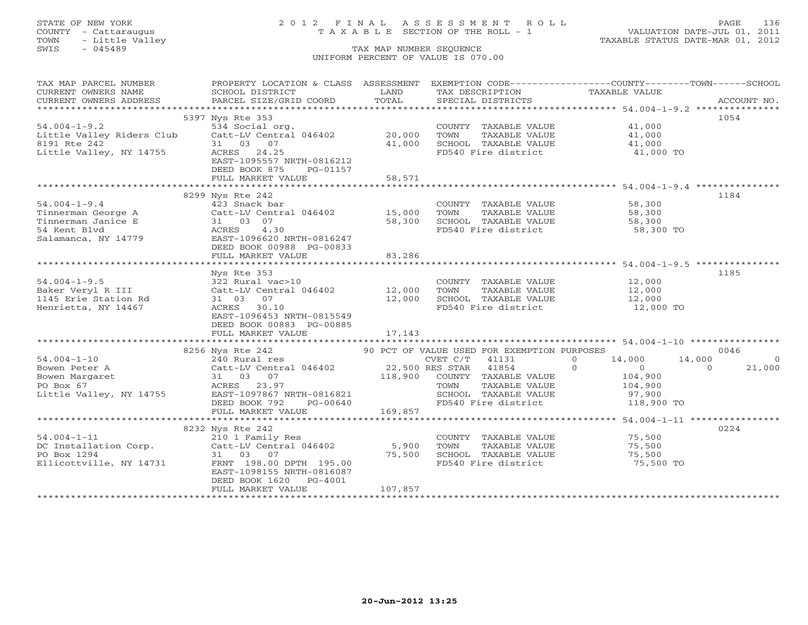## STATE OF NEW YORK 2 0 1 2 F I N A L A S S E S S M E N T R O L L PAGE 136 COUNTY - Cattaraugus T A X A B L E SECTION OF THE ROLL - 1 VALUATION DATE-JUL 01, 2011

| TAX MAP PARCEL NUMBER THE PROPERTY LOCATION & CLASS ASSESSMENT EXEMPTION CODE--------------COUNTY-------TOWN------SCHOOL                                                                                                                                   |         |                                                                                                       |                      |      |
|------------------------------------------------------------------------------------------------------------------------------------------------------------------------------------------------------------------------------------------------------------|---------|-------------------------------------------------------------------------------------------------------|----------------------|------|
|                                                                                                                                                                                                                                                            |         |                                                                                                       |                      |      |
|                                                                                                                                                                                                                                                            |         |                                                                                                       |                      |      |
|                                                                                                                                                                                                                                                            |         |                                                                                                       |                      |      |
| 5397 Nys Rte 353                                                                                                                                                                                                                                           |         |                                                                                                       |                      | 1054 |
|                                                                                                                                                                                                                                                            |         |                                                                                                       |                      |      |
|                                                                                                                                                                                                                                                            |         |                                                                                                       |                      |      |
|                                                                                                                                                                                                                                                            |         |                                                                                                       |                      |      |
| 54.004-1-9.2<br>11,000 Eittle Valley Riders Club (att-LV Central 046402 20,000 TOWN TAXABLE VALUE 41,000<br>8191 Rte 242 31 03 07 41,000 SCHOOL TAXABLE VALUE 41,000<br>11,000 ECHOOL TAXABLE VALUE 41,000 41,000 FOR 41,000 FOR 41,                       |         |                                                                                                       |                      |      |
| EAST-1095557 NRTH-0816212                                                                                                                                                                                                                                  |         |                                                                                                       |                      |      |
| DEED BOOK 875<br>PG-01157                                                                                                                                                                                                                                  |         |                                                                                                       |                      |      |
| FULL MARKET VALUE                                                                                                                                                                                                                                          | 58,571  |                                                                                                       |                      |      |
|                                                                                                                                                                                                                                                            |         |                                                                                                       |                      |      |
| 8299 Nys Rte 242                                                                                                                                                                                                                                           |         |                                                                                                       |                      | 1184 |
| 54.004-1-9.4<br>Tinnerman George A<br>Tinnerman Janice E<br>Salamanca, NY 14779<br>Salamanca, NY 14779<br>Salamanca, NY 14779<br>SEED BOOK 00988 PG-00833<br>FULL MARKET VALUE<br>THE MARKET VALUE<br>SALAMARKET VALUE<br>21 03 07<br>58,300 SCHOOL        |         |                                                                                                       |                      |      |
|                                                                                                                                                                                                                                                            |         | COUNTY TAXABLE VALUE 58,300<br>TOWN TAXABLE VALUE 58,300                                              |                      |      |
|                                                                                                                                                                                                                                                            |         | 58,300 SCHOOL TAXABLE VALUE 58,300 TO 58,300 SCHOOL TAXABLE VALUE 58,300 TO                           |                      |      |
|                                                                                                                                                                                                                                                            |         | FD540 Fire district                                                                                   |                      |      |
|                                                                                                                                                                                                                                                            |         |                                                                                                       |                      |      |
|                                                                                                                                                                                                                                                            |         |                                                                                                       |                      |      |
| FULL MARKET VALUE                                                                                                                                                                                                                                          | 83,286  |                                                                                                       |                      |      |
|                                                                                                                                                                                                                                                            |         |                                                                                                       |                      |      |
| Nys Rte 353                                                                                                                                                                                                                                                |         |                                                                                                       |                      | 1185 |
|                                                                                                                                                                                                                                                            |         |                                                                                                       |                      |      |
|                                                                                                                                                                                                                                                            |         | COUNTY TAXABLE VALUE 12,000<br>TOWN TAXABLE VALUE 12,000                                              |                      |      |
| 54.004-1-9.5<br>Baker Veryl R III 322 Rural vac>10 COUNT<br>1145 Erie Station Rd 31 03 07 12,000 SCHOO<br>Henrietta, NY 14467 ACRES 30.10 FD540<br>EAST-1096453 NRTH-0815549                                                                               |         |                                                                                                       |                      |      |
|                                                                                                                                                                                                                                                            |         | 12,000 SCHOOL TAXABLE VALUE 12,000<br>FD540 Fire district 12,000 TO                                   |                      |      |
| EAST-1096453 NRTH-0815549                                                                                                                                                                                                                                  |         |                                                                                                       |                      |      |
| DEED BOOK 00883 PG-00885                                                                                                                                                                                                                                   |         |                                                                                                       |                      |      |
|                                                                                                                                                                                                                                                            |         |                                                                                                       |                      |      |
|                                                                                                                                                                                                                                                            |         |                                                                                                       |                      |      |
| 33.56 Nys Rte 242<br>3256 Nys Rte 242<br>30 PCT OF VALUE USED FOR EXEMPTION PURPOSES<br>240 Rural res<br>240 Rural res<br>240 Rural 1255<br>23.97<br>27,500 RES 23.97<br>27,500 RES 23.97<br>27,500 RES 23.97<br>27,900<br>21,000<br>21,000<br>21,000<br>2 |         |                                                                                                       |                      |      |
|                                                                                                                                                                                                                                                            |         |                                                                                                       |                      |      |
|                                                                                                                                                                                                                                                            |         |                                                                                                       |                      |      |
|                                                                                                                                                                                                                                                            |         |                                                                                                       |                      |      |
|                                                                                                                                                                                                                                                            |         |                                                                                                       |                      |      |
|                                                                                                                                                                                                                                                            |         |                                                                                                       |                      |      |
|                                                                                                                                                                                                                                                            |         |                                                                                                       |                      |      |
|                                                                                                                                                                                                                                                            |         |                                                                                                       |                      |      |
|                                                                                                                                                                                                                                                            |         |                                                                                                       |                      |      |
|                                                                                                                                                                                                                                                            |         |                                                                                                       |                      |      |
|                                                                                                                                                                                                                                                            |         |                                                                                                       |                      | 0224 |
|                                                                                                                                                                                                                                                            |         | COUNTY TAXABLE VALUE 75,500                                                                           |                      |      |
|                                                                                                                                                                                                                                                            |         | TOWN                                                                                                  | TAXABLE VALUE 75,500 |      |
|                                                                                                                                                                                                                                                            |         | SCHOOL TAXABLE VALUE                     75,500<br>FD540 Fire district                      75,500 TO |                      |      |
|                                                                                                                                                                                                                                                            |         |                                                                                                       |                      |      |
| EAST-1098155 NRTH-0816087                                                                                                                                                                                                                                  |         |                                                                                                       |                      |      |
| DEED BOOK 1620 PG-4001                                                                                                                                                                                                                                     |         |                                                                                                       |                      |      |
| FULL MARKET VALUE                                                                                                                                                                                                                                          | 107,857 |                                                                                                       |                      |      |
|                                                                                                                                                                                                                                                            |         |                                                                                                       |                      |      |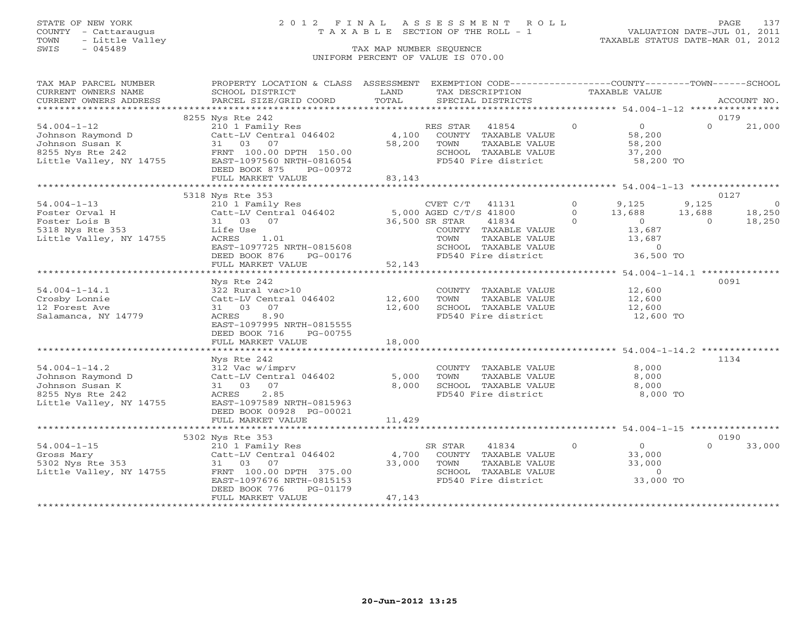## STATE OF NEW YORK 2 0 1 2 F I N A L A S S E S S M E N T R O L L PAGE 137 COUNTY - Cattaraugus T A X A B L E SECTION OF THE ROLL - 1 VALUATION DATE-JUL 01, 2011

| TAX MAP PARCEL NUMBER                                                                         | PROPERTY LOCATION & CLASS ASSESSMENT                                                                                                                                                                                                                                                                                                                         |        | EXEMPTION CODE----------------COUNTY-------TOWN------SCHOOL   |                |                     |                |                |
|-----------------------------------------------------------------------------------------------|--------------------------------------------------------------------------------------------------------------------------------------------------------------------------------------------------------------------------------------------------------------------------------------------------------------------------------------------------------------|--------|---------------------------------------------------------------|----------------|---------------------|----------------|----------------|
| CURRENT OWNERS NAME                                                                           | SCHOOL DISTRICT                                                                                                                                                                                                                                                                                                                                              | LAND   | TAX DESCRIPTION                                               |                | TAXABLE VALUE       |                |                |
| CURRENT OWNERS ADDRESS                                                                        | PARCEL SIZE/GRID COORD                                                                                                                                                                                                                                                                                                                                       | TOTAL  | SPECIAL DISTRICTS                                             |                |                     |                | ACCOUNT NO.    |
|                                                                                               |                                                                                                                                                                                                                                                                                                                                                              |        |                                                               |                |                     |                |                |
|                                                                                               | 8255 Nys Rte 242                                                                                                                                                                                                                                                                                                                                             |        |                                                               |                |                     |                | 0179           |
| $54.004 - 1 - 12$                                                                             |                                                                                                                                                                                                                                                                                                                                                              |        |                                                               | $\overline{0}$ | $\overline{0}$      | $\Omega$       | 21,000         |
| Johnson Raymond D                                                                             | 210 1 Family Res<br>Catt-LV Central 046402 4,100 COUNTY TAXABLE VALUE                                                                                                                                                                                                                                                                                        |        |                                                               |                | 58,200              |                |                |
| Johnson Susan K                                                                               | 31 03 07                                                                                                                                                                                                                                                                                                                                                     |        | 58,200 TOWN<br>TAXABLE VALUE                                  |                | 58,200              |                |                |
| 8255 Nys Rte 242                                                                              | FRNT 100.00 DPTH 150.00                                                                                                                                                                                                                                                                                                                                      |        | SCHOOL TAXABLE VALUE                                          |                | 37,200              |                |                |
|                                                                                               | Little Valley, NY 14755 EAST-1097560 NRTH-0816054                                                                                                                                                                                                                                                                                                            |        | FD540 Fire district                                           |                | 58,200 TO           |                |                |
|                                                                                               | DEED BOOK 875<br>PG-00972                                                                                                                                                                                                                                                                                                                                    |        |                                                               |                |                     |                |                |
|                                                                                               | FULL MARKET VALUE                                                                                                                                                                                                                                                                                                                                            | 83,143 |                                                               |                |                     |                |                |
|                                                                                               |                                                                                                                                                                                                                                                                                                                                                              |        |                                                               |                |                     |                |                |
|                                                                                               | 5318 Nys Rte 353                                                                                                                                                                                                                                                                                                                                             |        |                                                               |                |                     |                | 0127           |
| $54.004 - 1 - 13$                                                                             | 210 1 Family Res                                                                                                                                                                                                                                                                                                                                             |        | CVET C/T 41131                                                | $\circ$        | 9,125               | 9,125          | $\overline{0}$ |
| Foster Orval H                                                                                | $\begin{array}{lllllll} \text{210} & \text{1} & \text{5} & \text{000} & \text{0.000} & \text{0.000} & \text{0.000} & \text{0.000} & \text{0.000} & \text{0.000} & \text{0.000} & \text{0.000} & \text{0.000} & \text{0.000} & \text{0.000} & \text{0.000} & \text{0.000} & \text{0.000} & \text{0.000} & \text{0.000} & \text{0.000} & \text{0.000} & \text$ |        |                                                               | $\Omega$       | 13,688              | 13,688         | 18,250         |
|                                                                                               |                                                                                                                                                                                                                                                                                                                                                              |        |                                                               | $\Omega$       | $\overline{0}$      | $\overline{0}$ | 18,250         |
|                                                                                               |                                                                                                                                                                                                                                                                                                                                                              |        | COUNTY TAXABLE VALUE                                          |                | 13,687              |                |                |
| Little Valley, NY 14755                                                                       | ACRES 1.01                                                                                                                                                                                                                                                                                                                                                   |        |                                                               |                |                     |                |                |
|                                                                                               | EAST-1097725 NRTH-0815608                                                                                                                                                                                                                                                                                                                                    |        | TOWN      TAXABLE VALUE<br>SCHOOL   TAXABLE VALUE             |                | 13,687              |                |                |
|                                                                                               | DEED BOOK 876<br>PG-00176                                                                                                                                                                                                                                                                                                                                    |        | FD540 Fire district                                           |                | 36,500 TO           |                |                |
|                                                                                               | FULL MARKET VALUE                                                                                                                                                                                                                                                                                                                                            | 52,143 |                                                               |                |                     |                |                |
|                                                                                               |                                                                                                                                                                                                                                                                                                                                                              |        |                                                               |                |                     |                |                |
|                                                                                               | Nys Rte 242                                                                                                                                                                                                                                                                                                                                                  |        |                                                               |                |                     |                | 0091           |
| $54.004 - 1 - 14.1$                                                                           | 322 Rural vac>10                                                                                                                                                                                                                                                                                                                                             |        | COUNTY TAXABLE VALUE                                          |                | 12,600              |                |                |
| Crosby Lonnie                                                                                 | Catt-LV Central 046402 12,600                                                                                                                                                                                                                                                                                                                                |        | TAXABLE VALUE<br>TOWN                                         |                | 12,600              |                |                |
| 12 Forest Ave                                                                                 | 31 03 07                                                                                                                                                                                                                                                                                                                                                     | 12,600 |                                                               |                |                     |                |                |
| Salamanca, NY 14779                                                                           | 8.90<br>ACRES                                                                                                                                                                                                                                                                                                                                                |        | SCHOOL TAXABLE VALUE<br>FD540 Fire district                   |                | 12,600<br>12,600 TO |                |                |
|                                                                                               | EAST-1097995 NRTH-0815555                                                                                                                                                                                                                                                                                                                                    |        |                                                               |                |                     |                |                |
|                                                                                               | DEED BOOK 716<br>PG-00755                                                                                                                                                                                                                                                                                                                                    |        |                                                               |                |                     |                |                |
|                                                                                               | FULL MARKET VALUE                                                                                                                                                                                                                                                                                                                                            | 18,000 |                                                               |                |                     |                |                |
|                                                                                               |                                                                                                                                                                                                                                                                                                                                                              |        |                                                               |                |                     |                |                |
|                                                                                               |                                                                                                                                                                                                                                                                                                                                                              |        |                                                               |                |                     |                | 1134           |
|                                                                                               | Nys Rte 242<br>312 Vac w/imprv                                                                                                                                                                                                                                                                                                                               |        |                                                               |                |                     |                |                |
| $54.004 - 1 - 14.2$<br>Johnson Raymond D                                                      |                                                                                                                                                                                                                                                                                                                                                              | 5,000  | COUNTY TAXABLE VALUE<br>TAXABLE VALUE                         |                | 8,000<br>8,000      |                |                |
|                                                                                               | Catt-LV Central 046402<br>31 03 07                                                                                                                                                                                                                                                                                                                           |        | TOWN<br>TOWN       TAXABLE  VALUE<br>SCHOOL    TAXABLE  VALUE |                | 8,000               |                |                |
| Johnson Susan K                                                                               |                                                                                                                                                                                                                                                                                                                                                              | 8,000  |                                                               |                |                     |                |                |
| 8255 Nys Rte 242                                                                              | 2.85<br>ACRES                                                                                                                                                                                                                                                                                                                                                |        | FD540 Fire district                                           |                | 8,000 TO            |                |                |
| Little Valley, NY 14755                                                                       | EAST-1097589 NRTH-0815963                                                                                                                                                                                                                                                                                                                                    |        |                                                               |                |                     |                |                |
|                                                                                               | DEED BOOK 00928 PG-00021                                                                                                                                                                                                                                                                                                                                     |        |                                                               |                |                     |                |                |
|                                                                                               | FULL MARKET VALUE                                                                                                                                                                                                                                                                                                                                            | 11,429 |                                                               |                |                     |                |                |
|                                                                                               |                                                                                                                                                                                                                                                                                                                                                              |        |                                                               |                |                     |                |                |
|                                                                                               | 5302 Nys Rte 353                                                                                                                                                                                                                                                                                                                                             |        |                                                               |                |                     |                | 0190           |
| $54.004 - 1 - 15$<br>54.004-1-15<br>Gross Mary<br>5302 Nys Rte 353<br>Little Valley, NY 14755 | 210 1 Family Res 5F<br>Catt-LV Central 046402 4,700                                                                                                                                                                                                                                                                                                          |        | SR STAR<br>41834                                              | $\circ$        | $\overline{0}$      | $\Omega$       | 33,000         |
|                                                                                               |                                                                                                                                                                                                                                                                                                                                                              |        | COUNTY TAXABLE VALUE                                          |                | 33,000              |                |                |
|                                                                                               | 31 03 07                                                                                                                                                                                                                                                                                                                                                     | 33,000 | TAXABLE VALUE<br>TAXABLE VALUE<br>TOWN                        |                |                     |                |                |
|                                                                                               | FRNT 100.00 DPTH 375.00                                                                                                                                                                                                                                                                                                                                      |        | SCHOOL TAXABLE VALUE                                          |                | $33,000$<br>0       |                |                |
|                                                                                               | EAST-1097676 NRTH-0815153                                                                                                                                                                                                                                                                                                                                    |        | FD540 Fire district                                           |                | 33,000 TO           |                |                |
|                                                                                               | PG-01179<br>DEED BOOK 776                                                                                                                                                                                                                                                                                                                                    |        |                                                               |                |                     |                |                |
|                                                                                               | FULL MARKET VALUE                                                                                                                                                                                                                                                                                                                                            | 47,143 |                                                               |                |                     |                |                |
|                                                                                               |                                                                                                                                                                                                                                                                                                                                                              |        |                                                               |                |                     |                |                |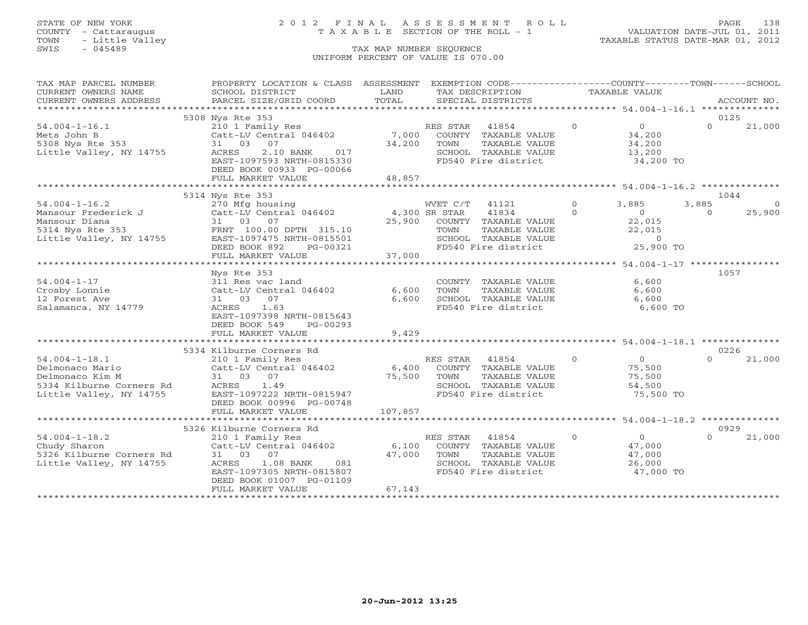## STATE OF NEW YORK 2 0 1 2 F I N A L A S S E S S M E N T R O L L PAGE 138 COUNTY - Cattaraugus T A X A B L E SECTION OF THE ROLL - 1 VALUATION DATE-JUL 01, 2011

| TAX MAP PARCEL NUMBER                       | PROPERTY LOCATION & CLASS ASSESSMENT      |                 | EXEMPTION CODE-----------------COUNTY-------TOWN------SCHOOL |          |                                                       |          |             |
|---------------------------------------------|-------------------------------------------|-----------------|--------------------------------------------------------------|----------|-------------------------------------------------------|----------|-------------|
| CURRENT OWNERS NAME                         | SCHOOL DISTRICT                           | LAND            | TAX DESCRIPTION                                              |          | TAXABLE VALUE                                         |          |             |
| CURRENT OWNERS ADDRESS                      | PARCEL SIZE/GRID COORD                    | TOTAL           | SPECIAL DISTRICTS                                            |          |                                                       |          | ACCOUNT NO. |
|                                             |                                           |                 |                                                              |          |                                                       |          |             |
|                                             | 5308 Nys Rte 353                          |                 |                                                              |          |                                                       | 0125     |             |
| $54.004 - 1 - 16.1$                         | 210 1 Family Res                          |                 | RES STAR<br>41854                                            | $\Omega$ | $\overline{0}$                                        | $\Omega$ | 21,000      |
| Mets John B                                 | Catt-LV Central 046402                    |                 | 7,000 COUNTY TAXABLE VALUE                                   |          | 34,200                                                |          |             |
| 5308 Nys Rte 353                            | 07<br>31 03                               | 34,200          | TAXABLE VALUE<br>TOWN                                        |          | 34,200                                                |          |             |
| Little Valley, NY 14755                     | 2.10 BANK<br>ACRES<br>017                 |                 | SCHOOL TAXABLE VALUE                                         |          | 13,200                                                |          |             |
|                                             | EAST-1097593 NRTH-0815330                 |                 | FD540 Fire district                                          |          | 34,200 TO                                             |          |             |
|                                             | DEED BOOK 00933 PG-00066                  |                 |                                                              |          |                                                       |          |             |
|                                             | FULL MARKET VALUE                         | 48,857          |                                                              |          |                                                       |          |             |
|                                             | ****************************              | *************   |                                                              |          | *********************** 54.004-1-16.2 *************** |          |             |
|                                             | 5314 Nys Rte 353                          |                 |                                                              |          |                                                       | 1044     |             |
| $54.004 - 1 - 16.2$                         | 270 Mfg housing                           |                 | WVET C/T<br>41121                                            | $\Omega$ | 3,885                                                 | 3,885    |             |
| Mansour Frederick J                         | Catt-LV Central 046402                    | 4,300 SR STAR   | 41834                                                        | $\Omega$ | $\Omega$                                              | $\Omega$ | 25,900      |
| Mansour Diana                               | 31 03 07                                  |                 | 25,900 COUNTY TAXABLE VALUE                                  |          | 22,015                                                |          |             |
| 5314 Nys Rte 353<br>Little Valley, NY 14755 | FRNT 100.00 DPTH 315.10                   |                 | TAXABLE VALUE<br>TOWN                                        |          | 22,015                                                |          |             |
|                                             | EAST-1097475 NRTH-0815501                 |                 | SCHOOL TAXABLE VALUE                                         |          | $\sim$ 0                                              |          |             |
|                                             | DEED BOOK 892<br>PG-00321                 |                 | FD540 Fire district                                          |          | 25,900 TO                                             |          |             |
|                                             | FULL MARKET VALUE                         | 37,000          |                                                              |          |                                                       |          |             |
|                                             |                                           |                 |                                                              |          |                                                       |          |             |
|                                             | Nys Rte 353                               |                 |                                                              |          |                                                       | 1057     |             |
| $54.004 - 1 - 17$                           | 311 Res vac land                          |                 | COUNTY TAXABLE VALUE                                         |          | 6,600                                                 |          |             |
| Crosby Lonnie                               | Catt-LV Central 046402                    | 6,600           | TOWN<br>TAXABLE VALUE                                        |          | 6,600                                                 |          |             |
| 12 Forest Ave                               | 31 03 07                                  | 6,600           | SCHOOL TAXABLE VALUE                                         |          | 6,600                                                 |          |             |
| Salamanca, NY 14779                         | ACRES<br>1.63                             |                 | FD540 Fire district                                          |          | 6,600 TO                                              |          |             |
|                                             | EAST-1097398 NRTH-0815643                 |                 |                                                              |          |                                                       |          |             |
|                                             | DEED BOOK 549<br>PG-00293                 |                 |                                                              |          |                                                       |          |             |
|                                             | FULL MARKET VALUE                         | 9,429           |                                                              |          |                                                       |          |             |
|                                             |                                           |                 |                                                              |          |                                                       |          |             |
|                                             | 5334 Kilburne Corners Rd                  |                 |                                                              |          |                                                       | 0226     |             |
| $54.004 - 1 - 18.1$                         | 210 1 Family Res                          |                 | RES STAR<br>41854                                            | $\circ$  | 0                                                     | $\cap$   | 21,000      |
| Delmonaco Mario                             | Catt-LV Central 046402                    | 6,400           | COUNTY TAXABLE VALUE                                         |          | 75,500                                                |          |             |
| Delmonaco Kim M                             | 31 03 07                                  | 75,500          | TOWN<br>TAXABLE VALUE                                        |          | 75,500                                                |          |             |
| 5334 Kilburne Corners Rd                    | 1.49<br>ACRES                             |                 | SCHOOL TAXABLE VALUE                                         |          | 54,500                                                |          |             |
| Little Valley, NY 14755                     | EAST-1097222 NRTH-0815947                 |                 | FD540 Fire district                                          |          | 75,500 TO                                             |          |             |
|                                             | DEED BOOK 00996 PG-00748                  |                 |                                                              |          |                                                       |          |             |
|                                             | FULL MARKET VALUE                         | 107,857         |                                                              |          |                                                       |          |             |
|                                             |                                           |                 |                                                              |          |                                                       | 0929     |             |
|                                             | 5326 Kilburne Corners Rd                  |                 |                                                              | $\circ$  | $\overline{0}$                                        | $\Omega$ |             |
| $54.004 - 1 - 18.2$                         | 210 1 Family Res                          |                 | RES STAR<br>41854                                            |          |                                                       |          | 21,000      |
| Chudy Sharon<br>5326 Kilburne Corners Rd    | Catt-LV Central 046402<br>31 03 07        | 6,100<br>47,000 | COUNTY TAXABLE VALUE<br>TAXABLE VALUE                        |          | 47,000                                                |          |             |
| Little Valley, NY 14755                     | 1.08 BANK                                 |                 | TOWN<br>SCHOOL TAXABLE VALUE                                 |          | 47,000                                                |          |             |
|                                             | ACRES<br>081<br>EAST-1097305 NRTH-0815807 |                 | FD540 Fire district                                          |          | 26,000<br>47,000 TO                                   |          |             |
|                                             | DEED BOOK 01007 PG-01109                  |                 |                                                              |          |                                                       |          |             |
|                                             | FULL MARKET VALUE                         | 67,143          |                                                              |          |                                                       |          |             |
|                                             |                                           |                 |                                                              |          |                                                       |          |             |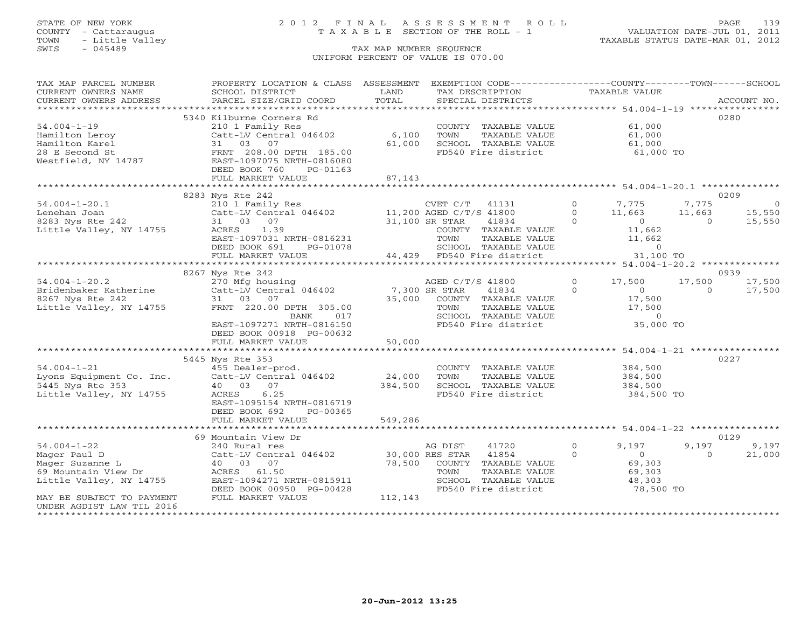## STATE OF NEW YORK 2 0 1 2 F I N A L A S S E S S M E N T R O L L PAGE 139 COUNTY - Cattaraugus T A X A B L E SECTION OF THE ROLL - 1 VALUATION DATE-JUL 01, 2011

| TAX MAP PARCEL NUMBER                                    | PROPERTY LOCATION & CLASS ASSESSMENT          |               | EXEMPTION CODE-----------------COUNTY-------TOWN------SCHOOL |                      |          |             |
|----------------------------------------------------------|-----------------------------------------------|---------------|--------------------------------------------------------------|----------------------|----------|-------------|
| CURRENT OWNERS NAME<br>CURRENT OWNERS ADDRESS            | SCHOOL DISTRICT<br>PARCEL SIZE/GRID COORD     | LAND<br>TOTAL | TAX DESCRIPTION<br>SPECIAL DISTRICTS                         | <b>TAXABLE VALUE</b> |          | ACCOUNT NO. |
| *************************                                |                                               |               |                                                              |                      |          |             |
|                                                          | 5340 Kilburne Corners Rd                      |               |                                                              |                      | 0280     |             |
| $54.004 - 1 - 19$                                        | 210 1 Family Res                              |               | COUNTY TAXABLE VALUE                                         | 61,000               |          |             |
| Hamilton Leroy                                           | Catt-LV Central 046402                        | 6,100         | TOWN<br>TAXABLE VALUE                                        | 61,000               |          |             |
| Hamilton Karel                                           | 31 03<br>07                                   | 61,000        | SCHOOL TAXABLE VALUE                                         | 61,000               |          |             |
| 28 E Second St                                           | FRNT 208.00 DPTH 185.00                       |               | FD540 Fire district                                          | 61,000 TO            |          |             |
| Westfield, NY 14787                                      | EAST-1097075 NRTH-0816080                     |               |                                                              |                      |          |             |
|                                                          | DEED BOOK 760<br>PG-01163                     |               |                                                              |                      |          |             |
|                                                          | FULL MARKET VALUE                             | 87,143        |                                                              |                      |          |             |
|                                                          |                                               |               |                                                              |                      |          |             |
|                                                          | 8283 Nys Rte 242                              |               |                                                              |                      |          | 0209        |
| $54.004 - 1 - 20.1$                                      | 210 1 Family Res                              |               | CVET C/T<br>41131                                            | $\Omega$<br>7,775    | 7,775    | $\bigcirc$  |
| Lenehan Joan                                             | Catt-LV Central 046402                        |               | 11,200 AGED C/T/S 41800                                      | $\Omega$<br>11,663   | 11,663   | 15,550      |
| 8283 Nys Rte 242                                         | 31 03 07                                      |               | 31,100 SR STAR<br>41834                                      | $\Omega$<br>$\Omega$ | $\Omega$ | 15,550      |
| Little Valley, NY 14755                                  | 1.39<br>ACRES                                 |               | COUNTY TAXABLE VALUE                                         | 11,662               |          |             |
|                                                          | EAST-1097031 NRTH-0816231                     |               | TOWN<br>TAXABLE VALUE                                        | 11,662               |          |             |
|                                                          | DEED BOOK 691<br>PG-01078                     |               | SCHOOL TAXABLE VALUE                                         | $\circ$              |          |             |
|                                                          | FULL MARKET VALUE                             |               | 44,429 FD540 Fire district                                   | 31,100 TO            |          |             |
|                                                          |                                               |               |                                                              |                      |          |             |
|                                                          | 8267 Nys Rte 242                              |               |                                                              |                      |          | 0939        |
| $54.004 - 1 - 20.2$                                      | 270 Mfg housing                               |               | AGED C/T/S 41800                                             | $\Omega$<br>17,500   | 17,500   | 17,500      |
| Bridenbaker Katherine                                    | Catt-LV Central 046402                        |               | 7,300 SR STAR<br>41834                                       | $\Omega$<br>$\Omega$ | $\Omega$ | 17,500      |
| 8267 Nys Rte 242                                         | 31 03<br>07                                   | 35,000        | COUNTY TAXABLE VALUE                                         | 17,500               |          |             |
| Little Valley, NY 14755                                  | FRNT 220.00 DPTH 305.00                       |               | TAXABLE VALUE<br>TOWN                                        | 17,500               |          |             |
|                                                          | BANK<br>017                                   |               | SCHOOL TAXABLE VALUE                                         | $\circ$              |          |             |
|                                                          | EAST-1097271 NRTH-0816150                     |               | FD540 Fire district                                          | 35,000 TO            |          |             |
|                                                          | DEED BOOK 00918 PG-00632<br>FULL MARKET VALUE | 50,000        |                                                              |                      |          |             |
|                                                          |                                               |               |                                                              |                      |          |             |
|                                                          | 5445 Nys Rte 353                              |               |                                                              |                      |          | 0227        |
| $54.004 - 1 - 21$                                        | 455 Dealer-prod.                              |               | COUNTY TAXABLE VALUE                                         | 384,500              |          |             |
| Lyons Equipment Co. Inc.                                 | Catt-LV Central 046402                        | 24,000        | TOWN<br>TAXABLE VALUE                                        | 384,500              |          |             |
| 5445 Nys Rte 353                                         | 40 03 07                                      | 384,500       | SCHOOL TAXABLE VALUE                                         | 384,500              |          |             |
| Little Valley, NY 14755                                  | 6.25<br>ACRES                                 |               | FD540 Fire district                                          | 384,500 TO           |          |             |
|                                                          | EAST-1095154 NRTH-0816719                     |               |                                                              |                      |          |             |
|                                                          | DEED BOOK 692<br>PG-00365                     |               |                                                              |                      |          |             |
|                                                          | FULL MARKET VALUE                             | 549,286       |                                                              |                      |          |             |
|                                                          | ********************                          |               |                                                              |                      |          |             |
|                                                          | 69 Mountain View Dr                           |               |                                                              |                      |          | 0129        |
| $54.004 - 1 - 22$                                        | 240 Rural res                                 |               | AG DIST<br>41720                                             | $\Omega$<br>9,197    | 9,197    | 9,197       |
| Mager Paul D                                             | Catt-LV Central 046402                        |               | 30,000 RES STAR<br>41854                                     | $\Omega$<br>$\Omega$ | $\Omega$ | 21,000      |
| Mager Suzanne L                                          | 07<br>40 03                                   | 78,500        | COUNTY TAXABLE VALUE                                         | 69,303               |          |             |
| 69 Mountain View Dr                                      | ACRES 61.50                                   |               | TOWN<br>TAXABLE VALUE                                        | 69,303               |          |             |
| Little Valley, NY 14755                                  | EAST-1094271 NRTH-0815911                     |               | SCHOOL TAXABLE VALUE                                         | 48,303               |          |             |
|                                                          | DEED BOOK 00950 PG-00428                      |               | FD540 Fire district                                          | 78,500 TO            |          |             |
| MAY BE SUBJECT TO PAYMENT                                | FULL MARKET VALUE                             | 112,143       |                                                              |                      |          |             |
| UNDER AGDIST LAW TIL 2016<br>*************************** |                                               |               |                                                              |                      |          |             |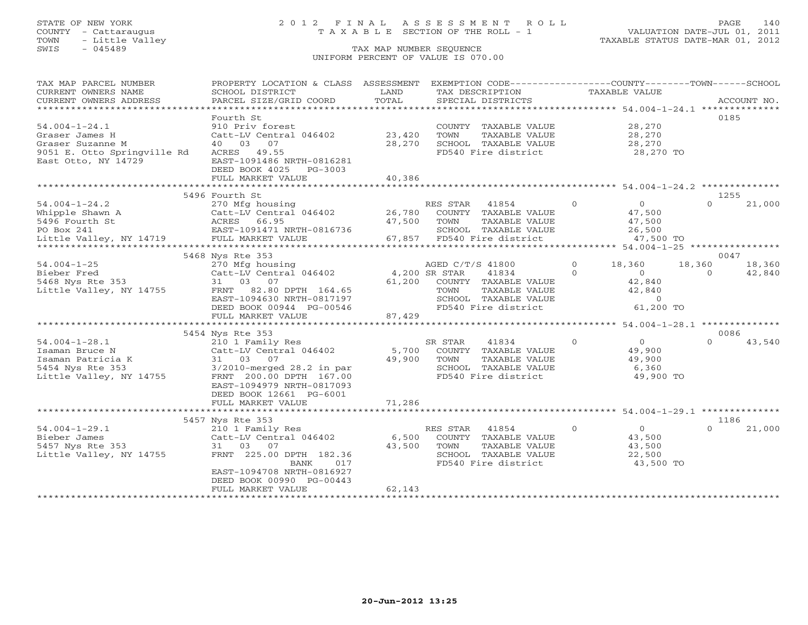## STATE OF NEW YORK 2 0 1 2 F I N A L A S S E S S M E N T R O L L PAGE 140 COUNTY - Cattaraugus T A X A B L E SECTION OF THE ROLL - 1 VALUATION DATE-JUL 01, 2011

| TAX MAP PARCEL NUMBER<br>CURRENT OWNERS NAME<br>CURRENT OWNERS ADDRESS | PROPERTY LOCATION & CLASS ASSESSMENT<br>SCHOOL DISTRICT<br>PARCEL SIZE/GRID COORD | LAND<br>TOTAL                         | EXEMPTION CODE-----------------COUNTY-------TOWN------SCHOOL<br>TAX DESCRIPTION<br>SPECIAL DISTRICTS | TAXABLE VALUE                          | ACCOUNT NO.        |
|------------------------------------------------------------------------|-----------------------------------------------------------------------------------|---------------------------------------|------------------------------------------------------------------------------------------------------|----------------------------------------|--------------------|
| ************************                                               |                                                                                   |                                       |                                                                                                      |                                        |                    |
|                                                                        | Fourth St                                                                         |                                       |                                                                                                      |                                        | 0185               |
| $54.004 - 1 - 24.1$                                                    | 910 Priv forest                                                                   |                                       | COUNTY TAXABLE VALUE                                                                                 | 28,270                                 |                    |
| Graser James H                                                         | Catt-LV Central 046402                                                            | 23,420                                | TOWN<br>TAXABLE VALUE                                                                                | 28,270                                 |                    |
| Graser Suzanne M                                                       | 40 03<br>07                                                                       | 28,270                                | SCHOOL TAXABLE VALUE                                                                                 | 28,270                                 |                    |
| 9051 E. Otto Springville Rd                                            | 49.55<br>ACRES                                                                    |                                       | FD540 Fire district                                                                                  | 28,270 TO                              |                    |
| East Otto, NY 14729                                                    | EAST-1091486 NRTH-0816281                                                         |                                       |                                                                                                      |                                        |                    |
|                                                                        | DEED BOOK 4025<br>$PG-3003$                                                       |                                       |                                                                                                      |                                        |                    |
|                                                                        | FULL MARKET VALUE                                                                 | 40,386                                |                                                                                                      |                                        |                    |
|                                                                        | 5496 Fourth St                                                                    |                                       |                                                                                                      |                                        | 1255               |
| $54.004 - 1 - 24.2$                                                    | 270 Mfg housing                                                                   |                                       | RES STAR<br>41854                                                                                    | $\Omega$<br>$\overline{0}$             | $\Omega$<br>21,000 |
| Whipple Shawn A                                                        | Catt-LV Central 046402                                                            | 26,780                                | COUNTY TAXABLE VALUE                                                                                 | 47,500                                 |                    |
| 5496 Fourth St                                                         | 66.95<br>ACRES                                                                    | 47,500                                | TAXABLE VALUE<br>TOWN                                                                                | 47,500                                 |                    |
| PO Box 241                                                             | EAST-1091471 NRTH-0816736                                                         |                                       | SCHOOL TAXABLE VALUE                                                                                 | 26,500                                 |                    |
| Little Valley, NY 14719                                                | FULL MARKET VALUE                                                                 | 67,857                                | FD540 Fire district                                                                                  | 47,500 TO                              |                    |
| ***********************                                                | ******************************                                                    | * * * * * * * * * * *                 | ********************************* 54.004-1-25 ****************                                       |                                        |                    |
|                                                                        | 5468 Nys Rte 353                                                                  |                                       |                                                                                                      |                                        | 0047               |
| $54.004 - 1 - 25$                                                      | 270 Mfg housing                                                                   |                                       | AGED C/T/S 41800                                                                                     | $\Omega$<br>18,360                     | 18,360<br>18,360   |
| Bieber Fred                                                            | Catt-LV Central 046402                                                            |                                       | 4,200 SR STAR<br>41834                                                                               | $\Omega$<br>$\Omega$                   | 42,840<br>$\Omega$ |
| 5468 Nys Rte 353                                                       | 31 03 07                                                                          | 61,200                                | COUNTY TAXABLE VALUE                                                                                 | 42,840                                 |                    |
| Little Valley, NY 14755                                                | 82.80 DPTH 164.65<br>FRNT                                                         |                                       | TAXABLE VALUE<br>TOWN                                                                                | 42,840                                 |                    |
|                                                                        | EAST-1094630 NRTH-0817197                                                         |                                       | SCHOOL TAXABLE VALUE                                                                                 | $\Omega$                               |                    |
|                                                                        | DEED BOOK 00944 PG-00546                                                          |                                       | FD540 Fire district                                                                                  | 61,200 TO                              |                    |
|                                                                        | FULL MARKET VALUE                                                                 | 87,429                                |                                                                                                      |                                        |                    |
|                                                                        |                                                                                   |                                       |                                                                                                      | ********* 54.004-1-28.1 ************** |                    |
|                                                                        | 5454 Nys Rte 353                                                                  |                                       |                                                                                                      |                                        | 0086               |
| $54.004 - 1 - 28.1$                                                    | 210 1 Family Res                                                                  |                                       | SR STAR<br>41834                                                                                     | $\mathbf{0}$<br>$\circ$                | $\Omega$<br>43,540 |
| Isaman Bruce N                                                         | Catt-LV Central 046402                                                            | 5,700                                 | COUNTY TAXABLE VALUE                                                                                 | 49,900                                 |                    |
| Isaman Patricia K                                                      | 31 03 07                                                                          | 49,900                                | TOWN<br>TAXABLE VALUE                                                                                | 49,900                                 |                    |
| 5454 Nys Rte 353                                                       | $3/2010$ -merged $28.2$ in par                                                    |                                       | SCHOOL TAXABLE VALUE                                                                                 | 6,360                                  |                    |
| Little Valley, NY 14755                                                | FRNT 200.00 DPTH 167.00                                                           |                                       | FD540 Fire district                                                                                  | 49,900 TO                              |                    |
|                                                                        | EAST-1094979 NRTH-0817093                                                         |                                       |                                                                                                      |                                        |                    |
|                                                                        | DEED BOOK 12661 PG-6001                                                           |                                       |                                                                                                      |                                        |                    |
|                                                                        | FULL MARKET VALUE<br>***********************                                      | 71,286<br>* * * * * * * * * * * * * * |                                                                                                      |                                        |                    |
|                                                                        |                                                                                   |                                       | ******************************* 54.004-1-29.1 **************                                         |                                        |                    |
|                                                                        | 5457 Nys Rte 353                                                                  |                                       |                                                                                                      | $\Omega$<br>$\Omega$                   | 1186<br>$\Omega$   |
| $54.004 - 1 - 29.1$                                                    | 210 1 Family Res                                                                  |                                       | RES STAR<br>41854                                                                                    |                                        | 21,000             |
| Bieber James                                                           | Catt-LV Central 046402<br>03                                                      | 6,500                                 | COUNTY TAXABLE VALUE                                                                                 | 43,500                                 |                    |
| 5457 Nys Rte 353<br>Little Valley, NY 14755                            | 07<br>31<br>FRNT 225.00 DPTH 182.36                                               | 43,500                                | TOWN<br>TAXABLE VALUE<br>SCHOOL TAXABLE VALUE                                                        | 43,500<br>22,500                       |                    |
|                                                                        | 017<br>BANK                                                                       |                                       | FD540 Fire district                                                                                  | 43,500 TO                              |                    |
|                                                                        | EAST-1094708 NRTH-0816927                                                         |                                       |                                                                                                      |                                        |                    |
|                                                                        | DEED BOOK 00990 PG-00443                                                          |                                       |                                                                                                      |                                        |                    |
|                                                                        | FULL MARKET VALUE                                                                 | 62,143                                |                                                                                                      |                                        |                    |
|                                                                        | ******************                                                                |                                       |                                                                                                      |                                        |                    |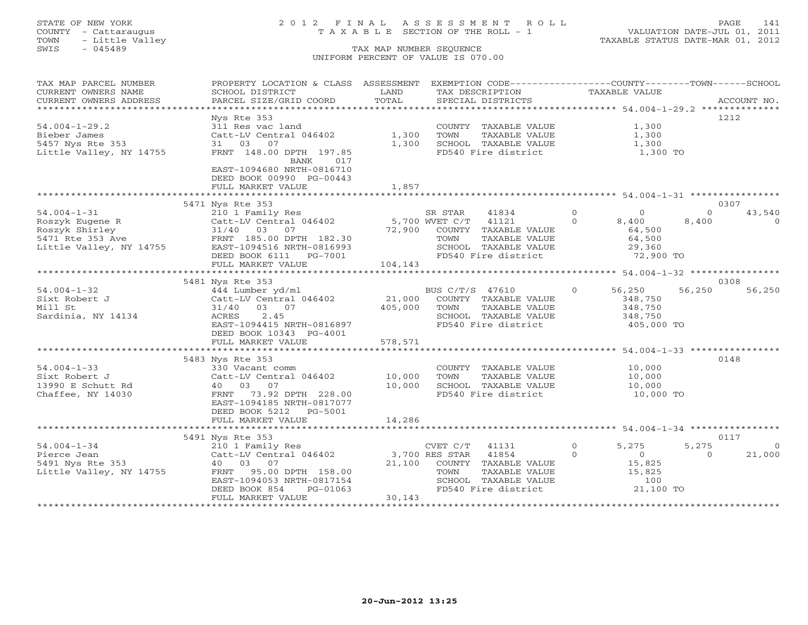## STATE OF NEW YORK 2 0 1 2 F I N A L A S S E S S M E N T R O L L PAGE 141 COUNTY - Cattaraugus T A X A B L E SECTION OF THE ROLL - 1 VALUATION DATE-JUL 01, 2011

| TAX MAP PARCEL NUMBER   | PROPERTY LOCATION & CLASS ASSESSMENT EXEMPTION CODE----------------COUNTY-------TOWN------SCHOOL                                                                                                                                             |         |                                                           |                            |                         |
|-------------------------|----------------------------------------------------------------------------------------------------------------------------------------------------------------------------------------------------------------------------------------------|---------|-----------------------------------------------------------|----------------------------|-------------------------|
| CURRENT OWNERS NAME     | SCHOOL DISTRICT                                                                                                                                                                                                                              | LAND    | TAX DESCRIPTION                                           | TAXABLE VALUE              |                         |
| CURRENT OWNERS ADDRESS  | PARCEL SIZE/GRID COORD                                                                                                                                                                                                                       | TOTAL   | SPECIAL DISTRICTS                                         |                            | ACCOUNT NO.             |
| **********************  |                                                                                                                                                                                                                                              |         |                                                           |                            |                         |
|                         | Nys Rte 353                                                                                                                                                                                                                                  |         |                                                           |                            | 1212                    |
| $54.004 - 1 - 29.2$     | 311 Res vac land                                                                                                                                                                                                                             |         | COUNTY TAXABLE VALUE                                      | 1,300                      |                         |
| Bieber James            | Catt-LV Central 046402                                                                                                                                                                                                                       | 1,300   | TOWN<br>TAXABLE VALUE                                     | 1,300                      |                         |
| 5457 Nys Rte 353        | 31 03<br>07                                                                                                                                                                                                                                  | 1,300   | SCHOOL TAXABLE VALUE                                      | 1,300                      |                         |
| Little Valley, NY 14755 | FRNT 148.00 DPTH 197.85                                                                                                                                                                                                                      |         | FD540 Fire district                                       | 1,300 TO                   |                         |
|                         | BANK<br>017                                                                                                                                                                                                                                  |         |                                                           |                            |                         |
|                         | EAST-1094680 NRTH-0816710                                                                                                                                                                                                                    |         |                                                           |                            |                         |
|                         | DEED BOOK 00990 PG-00443                                                                                                                                                                                                                     |         |                                                           |                            |                         |
|                         | FULL MARKET VALUE                                                                                                                                                                                                                            | 1,857   |                                                           |                            |                         |
|                         |                                                                                                                                                                                                                                              |         |                                                           |                            |                         |
|                         | 5471 Nys Rte 353                                                                                                                                                                                                                             |         |                                                           |                            | 0307                    |
|                         | 54.004-1-31<br>Roszyk Eugene R (210 1 Family Res<br>Roszyk Shirley (210 1 Family Res<br>Catt-LV Central 046402<br>Roszyk Shirley (21/40 03 07<br>5471 Rte 353 Ave FRNT 185.00 DPTH 182.30<br>Little Valley, NY 14755<br>EAST-1094516 NRTH-08 |         | $\overline{0}$<br>SR STAR<br>41834                        | $\overline{0}$             | 43,540<br>$\Omega$      |
|                         |                                                                                                                                                                                                                                              |         | $5,700$ WVET $C/T$ 41121                                  | $\circ$<br>8,400           | 8,400<br>$\Omega$       |
|                         |                                                                                                                                                                                                                                              |         | 72,900 COUNTY TAXABLE VALUE                               | 64,500                     |                         |
|                         |                                                                                                                                                                                                                                              |         | TOWN<br>TAXABLE VALUE                                     | 64,500                     |                         |
|                         |                                                                                                                                                                                                                                              |         |                                                           |                            |                         |
|                         |                                                                                                                                                                                                                                              |         | SCHOOL TAXABLE VALUE                                      |                            |                         |
|                         | DEED BOOK 6111 PG-7001                                                                                                                                                                                                                       |         | FD540 Fire district                                       | 29,360<br>72,900 TO        |                         |
|                         | FULL MARKET VALUE                                                                                                                                                                                                                            | 104,143 |                                                           |                            |                         |
|                         |                                                                                                                                                                                                                                              |         |                                                           |                            |                         |
|                         | 5481 Nys Rte 353                                                                                                                                                                                                                             |         |                                                           |                            | 0308                    |
| $54.004 - 1 - 32$       | 444 Lumber yd/ml                                                                                                                                                                                                                             |         | BUS C/T/S 47610 0                                         | 56,250                     | 56,250<br>56,250        |
| Sixt Robert J           | Catt-LV Central 046402 21,000 COUNTY TAXABLE VALUE                                                                                                                                                                                           |         |                                                           | 348,750                    |                         |
| Mill St                 | 31/40 03 07                                                                                                                                                                                                                                  | 405,000 | TOWN<br>TAXABLE VALUE                                     | 348,750                    |                         |
| Sardinia, NY 14134      | 2.45<br>ACRES                                                                                                                                                                                                                                |         | SCHOOL TAXABLE VALUE                                      | 348,750                    |                         |
|                         | EAST-1094415 NRTH-0816897                                                                                                                                                                                                                    |         | FD540 Fire district                                       | 405,000 TO                 |                         |
|                         | DEED BOOK 10343 PG-4001                                                                                                                                                                                                                      |         |                                                           |                            |                         |
|                         | FULL MARKET VALUE                                                                                                                                                                                                                            | 578,571 |                                                           |                            |                         |
|                         |                                                                                                                                                                                                                                              |         |                                                           |                            |                         |
|                         | 5483 Nys Rte 353                                                                                                                                                                                                                             |         |                                                           |                            | 0148                    |
| $54.004 - 1 - 33$       | 330 Vacant comm<br>Catt-LV Central 046402 10,000                                                                                                                                                                                             |         | COUNTY TAXABLE VALUE                                      | 10,000                     |                         |
| Sixt Robert J           |                                                                                                                                                                                                                                              |         | TOWN<br>TAXABLE VALUE                                     | 10,000                     |                         |
| 13990 E Schutt Rd       | 40 03 07                                                                                                                                                                                                                                     | 10,000  | SCHOOL TAXABLE VALUE                                      | 10,000                     |                         |
| Chaffee, NY 14030       | FRNT 73.92 DPTH 228.00                                                                                                                                                                                                                       |         | FD540 Fire district                                       | 10,000 TO                  |                         |
|                         | EAST-1094185 NRTH-0817077                                                                                                                                                                                                                    |         |                                                           |                            |                         |
|                         | DEED BOOK 5212<br>PG-5001                                                                                                                                                                                                                    |         |                                                           |                            |                         |
|                         | FULL MARKET VALUE                                                                                                                                                                                                                            | 14,286  |                                                           |                            |                         |
|                         |                                                                                                                                                                                                                                              |         |                                                           |                            |                         |
|                         | 5491 Nys Rte 353                                                                                                                                                                                                                             |         |                                                           |                            | 0117                    |
|                         |                                                                                                                                                                                                                                              |         | CVET $C/T$ 41131                                          | $\Omega$<br>5,275          | 5,275<br>$\overline{0}$ |
|                         |                                                                                                                                                                                                                                              |         |                                                           | $\Omega$<br>$\overline{0}$ | 21,000<br>$\Omega$      |
|                         |                                                                                                                                                                                                                                              |         | 21,100 COUNTY TAXABLE VALUE                               | 15,825                     |                         |
| Little Valley, NY 14755 | FRNT 95.00 DPTH 158.00                                                                                                                                                                                                                       |         | TAXABLE VALUE<br>TOWN                                     | 15,825                     |                         |
|                         | EAST-1094053 NRTH-0817154                                                                                                                                                                                                                    |         |                                                           |                            |                         |
|                         | DEED BOOK 854<br>PG-01063                                                                                                                                                                                                                    |         | SCHOOL TAXABLE VALUE 100<br>FD540 Fire district 21,100 TO |                            |                         |
|                         | FULL MARKET VALUE                                                                                                                                                                                                                            | 30,143  |                                                           |                            |                         |
|                         |                                                                                                                                                                                                                                              |         |                                                           |                            |                         |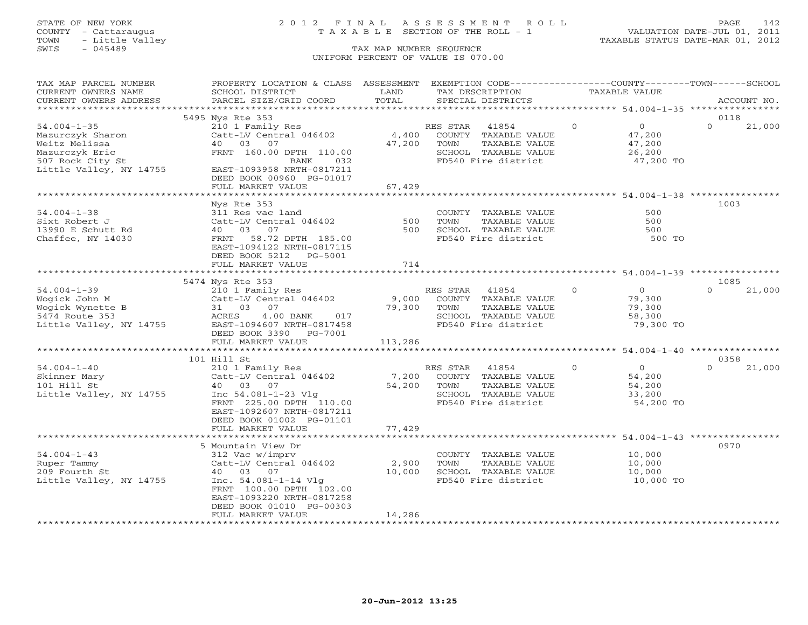## STATE OF NEW YORK 2 0 1 2 F I N A L A S S E S S M E N T R O L L PAGE 142 COUNTY - Cattaraugus T A X A B L E SECTION OF THE ROLL - 1 VALUATION DATE-JUL 01, 2011

| TAX MAP PARCEL NUMBER   | PROPERTY LOCATION & CLASS ASSESSMENT                |         | EXEMPTION CODE----------------COUNTY-------TOWN------SCHOOL |              |                                     |          |             |
|-------------------------|-----------------------------------------------------|---------|-------------------------------------------------------------|--------------|-------------------------------------|----------|-------------|
| CURRENT OWNERS NAME     | SCHOOL DISTRICT                                     | LAND    | TAX DESCRIPTION                                             |              | TAXABLE VALUE                       |          |             |
| CURRENT OWNERS ADDRESS  | PARCEL SIZE/GRID COORD                              | TOTAL   | SPECIAL DISTRICTS                                           |              |                                     |          | ACCOUNT NO. |
|                         | 5495 Nys Rte 353                                    |         |                                                             |              |                                     | 0118     |             |
| $54.004 - 1 - 35$       | 210 1 Family Res                                    |         | RES STAR<br>41854                                           | $\mathbf{0}$ | $\overline{0}$                      | $\Omega$ | 21,000      |
| Mazurczyk Sharon        | Catt-LV Central 046402                              | 4,400   | COUNTY TAXABLE VALUE                                        |              | 47,200                              |          |             |
| Weitz Melissa           | 40 03 07                                            | 47,200  | TOWN<br>TAXABLE VALUE                                       |              | 47,200                              |          |             |
| Mazurczyk Eric          | FRNT 160.00 DPTH 110.00                             |         | SCHOOL TAXABLE VALUE                                        |              | 26,200                              |          |             |
| 507 Rock City St        | BANK<br>032                                         |         | FD540 Fire district                                         |              | 47,200 TO                           |          |             |
| Little Valley, NY 14755 | EAST-1093958 NRTH-0817211                           |         |                                                             |              |                                     |          |             |
|                         | DEED BOOK 00960 PG-01017                            |         |                                                             |              |                                     |          |             |
|                         | FULL MARKET VALUE                                   | 67,429  |                                                             |              |                                     |          |             |
|                         |                                                     |         |                                                             |              |                                     |          |             |
|                         | Nys Rte 353                                         |         |                                                             |              |                                     | 1003     |             |
| $54.004 - 1 - 38$       | 311 Res vac land                                    |         | COUNTY TAXABLE VALUE                                        |              | 500                                 |          |             |
| Sixt Robert J           | Catt-LV Central 046402                              | 500     | TOWN<br>TAXABLE VALUE                                       |              | 500                                 |          |             |
| 13990 E Schutt Rd       | 40 03<br>07                                         | 500     | SCHOOL TAXABLE VALUE                                        |              | 500                                 |          |             |
| Chaffee, NY 14030       | FRNT 58.72 DPTH 185.00                              |         | FD540 Fire district                                         |              | 500 TO                              |          |             |
|                         | EAST-1094122 NRTH-0817115                           |         |                                                             |              |                                     |          |             |
|                         | DEED BOOK 5212 PG-5001                              |         |                                                             |              |                                     |          |             |
|                         | FULL MARKET VALUE                                   | 714     |                                                             |              |                                     |          |             |
|                         |                                                     |         |                                                             |              |                                     |          |             |
|                         | 5474 Nys Rte 353                                    |         |                                                             |              |                                     | 1085     |             |
| $54.004 - 1 - 39$       | 210 1 Family Res                                    |         | RES STAR<br>41854                                           | $\Omega$     | $\Omega$                            | $\Omega$ | 21,000      |
| Wogick John M           | Catt-LV Central 046402                              | 9,000   | COUNTY TAXABLE VALUE                                        |              | 79,300                              |          |             |
| Wogick Wynette B        | 31 03<br>07                                         | 79,300  | TOWN<br>TAXABLE VALUE                                       |              | 79,300                              |          |             |
| 5474 Route 353          | ACRES<br>$4.00$ BANK<br>017                         |         | SCHOOL TAXABLE VALUE<br>FD540 Fire district                 |              | 58,300<br>79,300 TO                 |          |             |
| Little Valley, NY 14755 | EAST-1094607 NRTH-0817458<br>DEED BOOK 3390 PG-7001 |         |                                                             |              |                                     |          |             |
|                         | FULL MARKET VALUE                                   | 113,286 |                                                             |              |                                     |          |             |
|                         | *****************************                       |         |                                                             |              | *********** 54.004-1-40 *********** |          |             |
|                         | 101 Hill St                                         |         |                                                             |              |                                     | 0358     |             |
| $54.004 - 1 - 40$       | 210 1 Family Res                                    |         | RES STAR<br>41854                                           | $\circ$      | $\overline{O}$                      | $\Omega$ | 21,000      |
| Skinner Mary            | Catt-LV Central 046402                              | 7,200   | COUNTY TAXABLE VALUE                                        |              | 54,200                              |          |             |
| 101 Hill St             | 40 03 07                                            | 54,200  | TOWN<br>TAXABLE VALUE                                       |              | 54,200                              |          |             |
| Little Valley, NY 14755 | Inc $54.081 - 1 - 23$ Vlg                           |         | SCHOOL TAXABLE VALUE                                        |              | 33,200                              |          |             |
|                         | FRNT 225.00 DPTH 110.00                             |         | FD540 Fire district                                         |              | 54,200 TO                           |          |             |
|                         | EAST-1092607 NRTH-0817211                           |         |                                                             |              |                                     |          |             |
|                         | DEED BOOK 01002 PG-01101                            |         |                                                             |              |                                     |          |             |
|                         | FULL MARKET VALUE                                   | 77,429  |                                                             |              |                                     |          |             |
|                         |                                                     |         | *********************** 54.004-1-43 **********              |              |                                     |          |             |
|                         | 5 Mountain View Dr                                  |         |                                                             |              |                                     | 0970     |             |
| $54.004 - 1 - 43$       | 312 Vac w/imprv                                     |         | COUNTY TAXABLE VALUE                                        |              | 10,000                              |          |             |
| Ruper Tammy             | Catt-LV Central 046402                              | 2,900   | TAXABLE VALUE<br>TOWN                                       |              | 10,000                              |          |             |
| 209 Fourth St           | 40 03 07                                            | 10,000  | SCHOOL TAXABLE VALUE                                        |              | 10,000                              |          |             |
| Little Valley, NY 14755 | Inc. $54.081 - 1 - 14$ Vlg                          |         | FD540 Fire district                                         |              | 10,000 TO                           |          |             |
|                         | FRNT 100.00 DPTH 102.00                             |         |                                                             |              |                                     |          |             |
|                         | EAST-1093220 NRTH-0817258                           |         |                                                             |              |                                     |          |             |
|                         | DEED BOOK 01010 PG-00303<br>FULL MARKET VALUE       | 14,286  |                                                             |              |                                     |          |             |
|                         |                                                     |         |                                                             |              |                                     |          |             |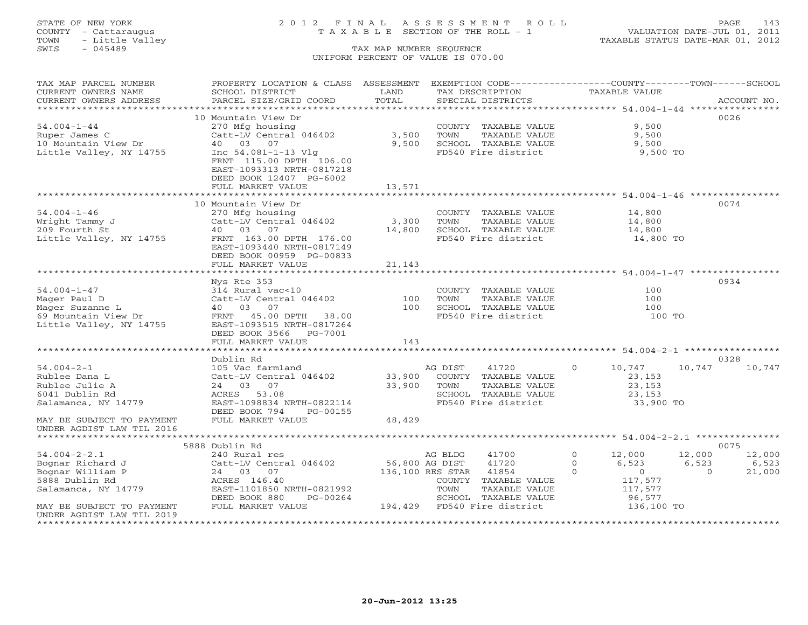TOWN - Little Valley TAXABLE STATUS DATE-MAR 01, 2012 TOWN - Little Valley<br>
SWIS - 045489 TAX MAP NUMBER SEQUENCE

## STATE OF NEW YORK 2 0 1 2 F I N A L A S S E S S M E N T R O L L PAGE 143 COUNTY - Cattaraugus T A X A B L E SECTION OF THE ROLL - 1 VALUATION DATE-JUL 01, 2011

# UNIFORM PERCENT OF VALUE IS 070.00

| ********************************<br>.<br>************** 54.004-1-44 *****************<br>0026<br>10 Mountain View Dr<br>$54.004 - 1 - 44$<br>9,500<br>270 Mfg housing<br>COUNTY TAXABLE VALUE<br>3,500<br>Catt-LV Central 046402<br>9,500<br>Ruper James C<br>TOWN<br>TAXABLE VALUE<br>40 03<br>07<br>9,500<br>SCHOOL TAXABLE VALUE<br>10 Mountain View Dr<br>9,500<br>Little Valley, NY 14755<br>Inc 54.081-1-13 Vlg<br>FD540 Fire district<br>9,500 TO<br>FRNT 115.00 DPTH 106.00<br>EAST-1093313 NRTH-0817218<br>DEED BOOK 12407 PG-6002<br>FULL MARKET VALUE<br>13,571<br>0074<br>10 Mountain View Dr<br>$54.004 - 1 - 46$<br>270 Mfg housing<br>COUNTY TAXABLE VALUE<br>14,800<br>Catt-LV Central 046402<br>3,300<br>14,800<br>Wright Tammy J<br>TOWN<br>TAXABLE VALUE<br>209 Fourth St<br>40 03 07<br>14,800<br>SCHOOL TAXABLE VALUE<br>14,800<br>FD540 Fire district<br>Little Valley, NY 14755<br>FRNT 163.00 DPTH 176.00<br>14,800 TO<br>EAST-1093440 NRTH-0817149<br>DEED BOOK 00959 PG-00833<br>FULL MARKET VALUE<br>21,143<br>********************* 54.004-1-47 ***********<br>*******************<br>0934<br>Nys Rte 353<br>$54.004 - 1 - 47$<br>314 Rural vac<10<br>COUNTY TAXABLE VALUE<br>100<br>Catt-LV Central 046402<br>100<br>100<br>Mager Paul D<br>TOWN<br>TAXABLE VALUE<br>100<br>100<br>Mager Suzanne L<br>40 03 07<br>SCHOOL TAXABLE VALUE<br>FRNT 45.00 DPTH 38.00<br>FD540 Fire district<br>69 Mountain View Dr<br>100 TO<br>Little Valley, NY 14755<br>EAST-1093515 NRTH-0817264<br>DEED BOOK 3566 PG-7001<br>FULL MARKET VALUE<br>143<br>0328<br>Dublin Rd<br>$54.004 - 2 - 1$<br>105 Vac farmland<br>AG DIST<br>41720<br>$\circ$<br>10,747<br>10,747<br>10,747<br>Catt-LV Central 046402<br>33,900<br>COUNTY TAXABLE VALUE<br>23,153<br>Rublee Dana L<br>33,900<br>Rublee Julie A<br>24 03 07<br>TOWN<br>TAXABLE VALUE<br>23,153<br>6041 Dublin Rd<br>ACRES<br>53.08<br>SCHOOL TAXABLE VALUE<br>23,153<br>EAST-1098834 NRTH-0822114<br>FD540 Fire district<br>33,900 TO<br>Salamanca, NY 14779<br>DEED BOOK 794<br>PG-00155<br>48,429<br>FULL MARKET VALUE<br>MAY BE SUBJECT TO PAYMENT<br>UNDER AGDIST LAW TIL 2016<br>0075<br>5888 Dublin Rd<br>$54.004 - 2 - 2.1$<br>240 Rural res<br>AG BLDG<br>41700<br>$\circ$<br>12,000<br>12,000<br>12,000<br>Bognar Richard J<br>56,800 AG DIST<br>41720<br>$\circ$<br>6,523<br>6,523<br>6,523<br>Catt-LV Central 046402<br>$\overline{0}$<br>Bognar William P<br>136,100 RES STAR<br>41854<br>$\Omega$<br>$\overline{0}$<br>21,000<br>24 03 07<br>5888 Dublin Rd<br>ACRES 146.40<br>117,577<br>COUNTY TAXABLE VALUE<br>Salamanca, NY 14779<br>EAST-1101850 NRTH-0821992<br>TOWN<br>TAXABLE VALUE<br>117,577<br>DEED BOOK 880<br>PG-00264<br>SCHOOL TAXABLE VALUE<br>96,577<br>FULL MARKET VALUE<br>194,429 FD540 Fire district<br>136,100 TO<br>MAY BE SUBJECT TO PAYMENT<br>UNDER AGDIST LAW TIL 2019 | TAX MAP PARCEL NUMBER<br>CURRENT OWNERS NAME<br>CURRENT OWNERS ADDRESS | PROPERTY LOCATION & CLASS ASSESSMENT<br>SCHOOL DISTRICT<br>PARCEL SIZE/GRID COORD | LAND<br>TOTAL | EXEMPTION CODE-----------------COUNTY-------TOWN------SCHOOL<br>TAX DESCRIPTION<br>SPECIAL DISTRICTS | TAXABLE VALUE | ACCOUNT NO. |
|--------------------------------------------------------------------------------------------------------------------------------------------------------------------------------------------------------------------------------------------------------------------------------------------------------------------------------------------------------------------------------------------------------------------------------------------------------------------------------------------------------------------------------------------------------------------------------------------------------------------------------------------------------------------------------------------------------------------------------------------------------------------------------------------------------------------------------------------------------------------------------------------------------------------------------------------------------------------------------------------------------------------------------------------------------------------------------------------------------------------------------------------------------------------------------------------------------------------------------------------------------------------------------------------------------------------------------------------------------------------------------------------------------------------------------------------------------------------------------------------------------------------------------------------------------------------------------------------------------------------------------------------------------------------------------------------------------------------------------------------------------------------------------------------------------------------------------------------------------------------------------------------------------------------------------------------------------------------------------------------------------------------------------------------------------------------------------------------------------------------------------------------------------------------------------------------------------------------------------------------------------------------------------------------------------------------------------------------------------------------------------------------------------------------------------------------------------------------------------------------------------------------------------------------------------------------------------------------------------------------------------------------------------------------------------------------------------------------------------------------------------------------------------------------------------------------------------------------------------------------------------|------------------------------------------------------------------------|-----------------------------------------------------------------------------------|---------------|------------------------------------------------------------------------------------------------------|---------------|-------------|
|                                                                                                                                                                                                                                                                                                                                                                                                                                                                                                                                                                                                                                                                                                                                                                                                                                                                                                                                                                                                                                                                                                                                                                                                                                                                                                                                                                                                                                                                                                                                                                                                                                                                                                                                                                                                                                                                                                                                                                                                                                                                                                                                                                                                                                                                                                                                                                                                                                                                                                                                                                                                                                                                                                                                                                                                                                                                                |                                                                        |                                                                                   |               |                                                                                                      |               |             |
|                                                                                                                                                                                                                                                                                                                                                                                                                                                                                                                                                                                                                                                                                                                                                                                                                                                                                                                                                                                                                                                                                                                                                                                                                                                                                                                                                                                                                                                                                                                                                                                                                                                                                                                                                                                                                                                                                                                                                                                                                                                                                                                                                                                                                                                                                                                                                                                                                                                                                                                                                                                                                                                                                                                                                                                                                                                                                |                                                                        |                                                                                   |               |                                                                                                      |               |             |
|                                                                                                                                                                                                                                                                                                                                                                                                                                                                                                                                                                                                                                                                                                                                                                                                                                                                                                                                                                                                                                                                                                                                                                                                                                                                                                                                                                                                                                                                                                                                                                                                                                                                                                                                                                                                                                                                                                                                                                                                                                                                                                                                                                                                                                                                                                                                                                                                                                                                                                                                                                                                                                                                                                                                                                                                                                                                                |                                                                        |                                                                                   |               |                                                                                                      |               |             |
|                                                                                                                                                                                                                                                                                                                                                                                                                                                                                                                                                                                                                                                                                                                                                                                                                                                                                                                                                                                                                                                                                                                                                                                                                                                                                                                                                                                                                                                                                                                                                                                                                                                                                                                                                                                                                                                                                                                                                                                                                                                                                                                                                                                                                                                                                                                                                                                                                                                                                                                                                                                                                                                                                                                                                                                                                                                                                |                                                                        |                                                                                   |               |                                                                                                      |               |             |
|                                                                                                                                                                                                                                                                                                                                                                                                                                                                                                                                                                                                                                                                                                                                                                                                                                                                                                                                                                                                                                                                                                                                                                                                                                                                                                                                                                                                                                                                                                                                                                                                                                                                                                                                                                                                                                                                                                                                                                                                                                                                                                                                                                                                                                                                                                                                                                                                                                                                                                                                                                                                                                                                                                                                                                                                                                                                                |                                                                        |                                                                                   |               |                                                                                                      |               |             |
|                                                                                                                                                                                                                                                                                                                                                                                                                                                                                                                                                                                                                                                                                                                                                                                                                                                                                                                                                                                                                                                                                                                                                                                                                                                                                                                                                                                                                                                                                                                                                                                                                                                                                                                                                                                                                                                                                                                                                                                                                                                                                                                                                                                                                                                                                                                                                                                                                                                                                                                                                                                                                                                                                                                                                                                                                                                                                |                                                                        |                                                                                   |               |                                                                                                      |               |             |
|                                                                                                                                                                                                                                                                                                                                                                                                                                                                                                                                                                                                                                                                                                                                                                                                                                                                                                                                                                                                                                                                                                                                                                                                                                                                                                                                                                                                                                                                                                                                                                                                                                                                                                                                                                                                                                                                                                                                                                                                                                                                                                                                                                                                                                                                                                                                                                                                                                                                                                                                                                                                                                                                                                                                                                                                                                                                                |                                                                        |                                                                                   |               |                                                                                                      |               |             |
|                                                                                                                                                                                                                                                                                                                                                                                                                                                                                                                                                                                                                                                                                                                                                                                                                                                                                                                                                                                                                                                                                                                                                                                                                                                                                                                                                                                                                                                                                                                                                                                                                                                                                                                                                                                                                                                                                                                                                                                                                                                                                                                                                                                                                                                                                                                                                                                                                                                                                                                                                                                                                                                                                                                                                                                                                                                                                |                                                                        |                                                                                   |               |                                                                                                      |               |             |
|                                                                                                                                                                                                                                                                                                                                                                                                                                                                                                                                                                                                                                                                                                                                                                                                                                                                                                                                                                                                                                                                                                                                                                                                                                                                                                                                                                                                                                                                                                                                                                                                                                                                                                                                                                                                                                                                                                                                                                                                                                                                                                                                                                                                                                                                                                                                                                                                                                                                                                                                                                                                                                                                                                                                                                                                                                                                                |                                                                        |                                                                                   |               |                                                                                                      |               |             |
|                                                                                                                                                                                                                                                                                                                                                                                                                                                                                                                                                                                                                                                                                                                                                                                                                                                                                                                                                                                                                                                                                                                                                                                                                                                                                                                                                                                                                                                                                                                                                                                                                                                                                                                                                                                                                                                                                                                                                                                                                                                                                                                                                                                                                                                                                                                                                                                                                                                                                                                                                                                                                                                                                                                                                                                                                                                                                |                                                                        |                                                                                   |               |                                                                                                      |               |             |
|                                                                                                                                                                                                                                                                                                                                                                                                                                                                                                                                                                                                                                                                                                                                                                                                                                                                                                                                                                                                                                                                                                                                                                                                                                                                                                                                                                                                                                                                                                                                                                                                                                                                                                                                                                                                                                                                                                                                                                                                                                                                                                                                                                                                                                                                                                                                                                                                                                                                                                                                                                                                                                                                                                                                                                                                                                                                                |                                                                        |                                                                                   |               |                                                                                                      |               |             |
|                                                                                                                                                                                                                                                                                                                                                                                                                                                                                                                                                                                                                                                                                                                                                                                                                                                                                                                                                                                                                                                                                                                                                                                                                                                                                                                                                                                                                                                                                                                                                                                                                                                                                                                                                                                                                                                                                                                                                                                                                                                                                                                                                                                                                                                                                                                                                                                                                                                                                                                                                                                                                                                                                                                                                                                                                                                                                |                                                                        |                                                                                   |               |                                                                                                      |               |             |
|                                                                                                                                                                                                                                                                                                                                                                                                                                                                                                                                                                                                                                                                                                                                                                                                                                                                                                                                                                                                                                                                                                                                                                                                                                                                                                                                                                                                                                                                                                                                                                                                                                                                                                                                                                                                                                                                                                                                                                                                                                                                                                                                                                                                                                                                                                                                                                                                                                                                                                                                                                                                                                                                                                                                                                                                                                                                                |                                                                        |                                                                                   |               |                                                                                                      |               |             |
|                                                                                                                                                                                                                                                                                                                                                                                                                                                                                                                                                                                                                                                                                                                                                                                                                                                                                                                                                                                                                                                                                                                                                                                                                                                                                                                                                                                                                                                                                                                                                                                                                                                                                                                                                                                                                                                                                                                                                                                                                                                                                                                                                                                                                                                                                                                                                                                                                                                                                                                                                                                                                                                                                                                                                                                                                                                                                |                                                                        |                                                                                   |               |                                                                                                      |               |             |
|                                                                                                                                                                                                                                                                                                                                                                                                                                                                                                                                                                                                                                                                                                                                                                                                                                                                                                                                                                                                                                                                                                                                                                                                                                                                                                                                                                                                                                                                                                                                                                                                                                                                                                                                                                                                                                                                                                                                                                                                                                                                                                                                                                                                                                                                                                                                                                                                                                                                                                                                                                                                                                                                                                                                                                                                                                                                                |                                                                        |                                                                                   |               |                                                                                                      |               |             |
|                                                                                                                                                                                                                                                                                                                                                                                                                                                                                                                                                                                                                                                                                                                                                                                                                                                                                                                                                                                                                                                                                                                                                                                                                                                                                                                                                                                                                                                                                                                                                                                                                                                                                                                                                                                                                                                                                                                                                                                                                                                                                                                                                                                                                                                                                                                                                                                                                                                                                                                                                                                                                                                                                                                                                                                                                                                                                |                                                                        |                                                                                   |               |                                                                                                      |               |             |
|                                                                                                                                                                                                                                                                                                                                                                                                                                                                                                                                                                                                                                                                                                                                                                                                                                                                                                                                                                                                                                                                                                                                                                                                                                                                                                                                                                                                                                                                                                                                                                                                                                                                                                                                                                                                                                                                                                                                                                                                                                                                                                                                                                                                                                                                                                                                                                                                                                                                                                                                                                                                                                                                                                                                                                                                                                                                                |                                                                        |                                                                                   |               |                                                                                                      |               |             |
|                                                                                                                                                                                                                                                                                                                                                                                                                                                                                                                                                                                                                                                                                                                                                                                                                                                                                                                                                                                                                                                                                                                                                                                                                                                                                                                                                                                                                                                                                                                                                                                                                                                                                                                                                                                                                                                                                                                                                                                                                                                                                                                                                                                                                                                                                                                                                                                                                                                                                                                                                                                                                                                                                                                                                                                                                                                                                |                                                                        |                                                                                   |               |                                                                                                      |               |             |
|                                                                                                                                                                                                                                                                                                                                                                                                                                                                                                                                                                                                                                                                                                                                                                                                                                                                                                                                                                                                                                                                                                                                                                                                                                                                                                                                                                                                                                                                                                                                                                                                                                                                                                                                                                                                                                                                                                                                                                                                                                                                                                                                                                                                                                                                                                                                                                                                                                                                                                                                                                                                                                                                                                                                                                                                                                                                                |                                                                        |                                                                                   |               |                                                                                                      |               |             |
|                                                                                                                                                                                                                                                                                                                                                                                                                                                                                                                                                                                                                                                                                                                                                                                                                                                                                                                                                                                                                                                                                                                                                                                                                                                                                                                                                                                                                                                                                                                                                                                                                                                                                                                                                                                                                                                                                                                                                                                                                                                                                                                                                                                                                                                                                                                                                                                                                                                                                                                                                                                                                                                                                                                                                                                                                                                                                |                                                                        |                                                                                   |               |                                                                                                      |               |             |
|                                                                                                                                                                                                                                                                                                                                                                                                                                                                                                                                                                                                                                                                                                                                                                                                                                                                                                                                                                                                                                                                                                                                                                                                                                                                                                                                                                                                                                                                                                                                                                                                                                                                                                                                                                                                                                                                                                                                                                                                                                                                                                                                                                                                                                                                                                                                                                                                                                                                                                                                                                                                                                                                                                                                                                                                                                                                                |                                                                        |                                                                                   |               |                                                                                                      |               |             |
|                                                                                                                                                                                                                                                                                                                                                                                                                                                                                                                                                                                                                                                                                                                                                                                                                                                                                                                                                                                                                                                                                                                                                                                                                                                                                                                                                                                                                                                                                                                                                                                                                                                                                                                                                                                                                                                                                                                                                                                                                                                                                                                                                                                                                                                                                                                                                                                                                                                                                                                                                                                                                                                                                                                                                                                                                                                                                |                                                                        |                                                                                   |               |                                                                                                      |               |             |
|                                                                                                                                                                                                                                                                                                                                                                                                                                                                                                                                                                                                                                                                                                                                                                                                                                                                                                                                                                                                                                                                                                                                                                                                                                                                                                                                                                                                                                                                                                                                                                                                                                                                                                                                                                                                                                                                                                                                                                                                                                                                                                                                                                                                                                                                                                                                                                                                                                                                                                                                                                                                                                                                                                                                                                                                                                                                                |                                                                        |                                                                                   |               |                                                                                                      |               |             |
|                                                                                                                                                                                                                                                                                                                                                                                                                                                                                                                                                                                                                                                                                                                                                                                                                                                                                                                                                                                                                                                                                                                                                                                                                                                                                                                                                                                                                                                                                                                                                                                                                                                                                                                                                                                                                                                                                                                                                                                                                                                                                                                                                                                                                                                                                                                                                                                                                                                                                                                                                                                                                                                                                                                                                                                                                                                                                |                                                                        |                                                                                   |               |                                                                                                      |               |             |
|                                                                                                                                                                                                                                                                                                                                                                                                                                                                                                                                                                                                                                                                                                                                                                                                                                                                                                                                                                                                                                                                                                                                                                                                                                                                                                                                                                                                                                                                                                                                                                                                                                                                                                                                                                                                                                                                                                                                                                                                                                                                                                                                                                                                                                                                                                                                                                                                                                                                                                                                                                                                                                                                                                                                                                                                                                                                                |                                                                        |                                                                                   |               |                                                                                                      |               |             |
|                                                                                                                                                                                                                                                                                                                                                                                                                                                                                                                                                                                                                                                                                                                                                                                                                                                                                                                                                                                                                                                                                                                                                                                                                                                                                                                                                                                                                                                                                                                                                                                                                                                                                                                                                                                                                                                                                                                                                                                                                                                                                                                                                                                                                                                                                                                                                                                                                                                                                                                                                                                                                                                                                                                                                                                                                                                                                |                                                                        |                                                                                   |               |                                                                                                      |               |             |
|                                                                                                                                                                                                                                                                                                                                                                                                                                                                                                                                                                                                                                                                                                                                                                                                                                                                                                                                                                                                                                                                                                                                                                                                                                                                                                                                                                                                                                                                                                                                                                                                                                                                                                                                                                                                                                                                                                                                                                                                                                                                                                                                                                                                                                                                                                                                                                                                                                                                                                                                                                                                                                                                                                                                                                                                                                                                                |                                                                        |                                                                                   |               |                                                                                                      |               |             |
|                                                                                                                                                                                                                                                                                                                                                                                                                                                                                                                                                                                                                                                                                                                                                                                                                                                                                                                                                                                                                                                                                                                                                                                                                                                                                                                                                                                                                                                                                                                                                                                                                                                                                                                                                                                                                                                                                                                                                                                                                                                                                                                                                                                                                                                                                                                                                                                                                                                                                                                                                                                                                                                                                                                                                                                                                                                                                |                                                                        |                                                                                   |               |                                                                                                      |               |             |
|                                                                                                                                                                                                                                                                                                                                                                                                                                                                                                                                                                                                                                                                                                                                                                                                                                                                                                                                                                                                                                                                                                                                                                                                                                                                                                                                                                                                                                                                                                                                                                                                                                                                                                                                                                                                                                                                                                                                                                                                                                                                                                                                                                                                                                                                                                                                                                                                                                                                                                                                                                                                                                                                                                                                                                                                                                                                                |                                                                        |                                                                                   |               |                                                                                                      |               |             |
|                                                                                                                                                                                                                                                                                                                                                                                                                                                                                                                                                                                                                                                                                                                                                                                                                                                                                                                                                                                                                                                                                                                                                                                                                                                                                                                                                                                                                                                                                                                                                                                                                                                                                                                                                                                                                                                                                                                                                                                                                                                                                                                                                                                                                                                                                                                                                                                                                                                                                                                                                                                                                                                                                                                                                                                                                                                                                |                                                                        |                                                                                   |               |                                                                                                      |               |             |
|                                                                                                                                                                                                                                                                                                                                                                                                                                                                                                                                                                                                                                                                                                                                                                                                                                                                                                                                                                                                                                                                                                                                                                                                                                                                                                                                                                                                                                                                                                                                                                                                                                                                                                                                                                                                                                                                                                                                                                                                                                                                                                                                                                                                                                                                                                                                                                                                                                                                                                                                                                                                                                                                                                                                                                                                                                                                                |                                                                        |                                                                                   |               |                                                                                                      |               |             |
|                                                                                                                                                                                                                                                                                                                                                                                                                                                                                                                                                                                                                                                                                                                                                                                                                                                                                                                                                                                                                                                                                                                                                                                                                                                                                                                                                                                                                                                                                                                                                                                                                                                                                                                                                                                                                                                                                                                                                                                                                                                                                                                                                                                                                                                                                                                                                                                                                                                                                                                                                                                                                                                                                                                                                                                                                                                                                |                                                                        |                                                                                   |               |                                                                                                      |               |             |
|                                                                                                                                                                                                                                                                                                                                                                                                                                                                                                                                                                                                                                                                                                                                                                                                                                                                                                                                                                                                                                                                                                                                                                                                                                                                                                                                                                                                                                                                                                                                                                                                                                                                                                                                                                                                                                                                                                                                                                                                                                                                                                                                                                                                                                                                                                                                                                                                                                                                                                                                                                                                                                                                                                                                                                                                                                                                                |                                                                        |                                                                                   |               |                                                                                                      |               |             |
|                                                                                                                                                                                                                                                                                                                                                                                                                                                                                                                                                                                                                                                                                                                                                                                                                                                                                                                                                                                                                                                                                                                                                                                                                                                                                                                                                                                                                                                                                                                                                                                                                                                                                                                                                                                                                                                                                                                                                                                                                                                                                                                                                                                                                                                                                                                                                                                                                                                                                                                                                                                                                                                                                                                                                                                                                                                                                |                                                                        |                                                                                   |               |                                                                                                      |               |             |
|                                                                                                                                                                                                                                                                                                                                                                                                                                                                                                                                                                                                                                                                                                                                                                                                                                                                                                                                                                                                                                                                                                                                                                                                                                                                                                                                                                                                                                                                                                                                                                                                                                                                                                                                                                                                                                                                                                                                                                                                                                                                                                                                                                                                                                                                                                                                                                                                                                                                                                                                                                                                                                                                                                                                                                                                                                                                                |                                                                        |                                                                                   |               |                                                                                                      |               |             |
|                                                                                                                                                                                                                                                                                                                                                                                                                                                                                                                                                                                                                                                                                                                                                                                                                                                                                                                                                                                                                                                                                                                                                                                                                                                                                                                                                                                                                                                                                                                                                                                                                                                                                                                                                                                                                                                                                                                                                                                                                                                                                                                                                                                                                                                                                                                                                                                                                                                                                                                                                                                                                                                                                                                                                                                                                                                                                |                                                                        |                                                                                   |               |                                                                                                      |               |             |
|                                                                                                                                                                                                                                                                                                                                                                                                                                                                                                                                                                                                                                                                                                                                                                                                                                                                                                                                                                                                                                                                                                                                                                                                                                                                                                                                                                                                                                                                                                                                                                                                                                                                                                                                                                                                                                                                                                                                                                                                                                                                                                                                                                                                                                                                                                                                                                                                                                                                                                                                                                                                                                                                                                                                                                                                                                                                                |                                                                        |                                                                                   |               |                                                                                                      |               |             |
|                                                                                                                                                                                                                                                                                                                                                                                                                                                                                                                                                                                                                                                                                                                                                                                                                                                                                                                                                                                                                                                                                                                                                                                                                                                                                                                                                                                                                                                                                                                                                                                                                                                                                                                                                                                                                                                                                                                                                                                                                                                                                                                                                                                                                                                                                                                                                                                                                                                                                                                                                                                                                                                                                                                                                                                                                                                                                |                                                                        |                                                                                   |               |                                                                                                      |               |             |
|                                                                                                                                                                                                                                                                                                                                                                                                                                                                                                                                                                                                                                                                                                                                                                                                                                                                                                                                                                                                                                                                                                                                                                                                                                                                                                                                                                                                                                                                                                                                                                                                                                                                                                                                                                                                                                                                                                                                                                                                                                                                                                                                                                                                                                                                                                                                                                                                                                                                                                                                                                                                                                                                                                                                                                                                                                                                                |                                                                        |                                                                                   |               |                                                                                                      |               |             |
|                                                                                                                                                                                                                                                                                                                                                                                                                                                                                                                                                                                                                                                                                                                                                                                                                                                                                                                                                                                                                                                                                                                                                                                                                                                                                                                                                                                                                                                                                                                                                                                                                                                                                                                                                                                                                                                                                                                                                                                                                                                                                                                                                                                                                                                                                                                                                                                                                                                                                                                                                                                                                                                                                                                                                                                                                                                                                |                                                                        |                                                                                   |               |                                                                                                      |               |             |
|                                                                                                                                                                                                                                                                                                                                                                                                                                                                                                                                                                                                                                                                                                                                                                                                                                                                                                                                                                                                                                                                                                                                                                                                                                                                                                                                                                                                                                                                                                                                                                                                                                                                                                                                                                                                                                                                                                                                                                                                                                                                                                                                                                                                                                                                                                                                                                                                                                                                                                                                                                                                                                                                                                                                                                                                                                                                                |                                                                        |                                                                                   |               |                                                                                                      |               |             |
|                                                                                                                                                                                                                                                                                                                                                                                                                                                                                                                                                                                                                                                                                                                                                                                                                                                                                                                                                                                                                                                                                                                                                                                                                                                                                                                                                                                                                                                                                                                                                                                                                                                                                                                                                                                                                                                                                                                                                                                                                                                                                                                                                                                                                                                                                                                                                                                                                                                                                                                                                                                                                                                                                                                                                                                                                                                                                |                                                                        |                                                                                   |               |                                                                                                      |               |             |
|                                                                                                                                                                                                                                                                                                                                                                                                                                                                                                                                                                                                                                                                                                                                                                                                                                                                                                                                                                                                                                                                                                                                                                                                                                                                                                                                                                                                                                                                                                                                                                                                                                                                                                                                                                                                                                                                                                                                                                                                                                                                                                                                                                                                                                                                                                                                                                                                                                                                                                                                                                                                                                                                                                                                                                                                                                                                                |                                                                        |                                                                                   |               |                                                                                                      |               |             |
|                                                                                                                                                                                                                                                                                                                                                                                                                                                                                                                                                                                                                                                                                                                                                                                                                                                                                                                                                                                                                                                                                                                                                                                                                                                                                                                                                                                                                                                                                                                                                                                                                                                                                                                                                                                                                                                                                                                                                                                                                                                                                                                                                                                                                                                                                                                                                                                                                                                                                                                                                                                                                                                                                                                                                                                                                                                                                |                                                                        |                                                                                   |               |                                                                                                      |               |             |
|                                                                                                                                                                                                                                                                                                                                                                                                                                                                                                                                                                                                                                                                                                                                                                                                                                                                                                                                                                                                                                                                                                                                                                                                                                                                                                                                                                                                                                                                                                                                                                                                                                                                                                                                                                                                                                                                                                                                                                                                                                                                                                                                                                                                                                                                                                                                                                                                                                                                                                                                                                                                                                                                                                                                                                                                                                                                                |                                                                        |                                                                                   |               |                                                                                                      |               |             |
|                                                                                                                                                                                                                                                                                                                                                                                                                                                                                                                                                                                                                                                                                                                                                                                                                                                                                                                                                                                                                                                                                                                                                                                                                                                                                                                                                                                                                                                                                                                                                                                                                                                                                                                                                                                                                                                                                                                                                                                                                                                                                                                                                                                                                                                                                                                                                                                                                                                                                                                                                                                                                                                                                                                                                                                                                                                                                |                                                                        |                                                                                   |               |                                                                                                      |               |             |
|                                                                                                                                                                                                                                                                                                                                                                                                                                                                                                                                                                                                                                                                                                                                                                                                                                                                                                                                                                                                                                                                                                                                                                                                                                                                                                                                                                                                                                                                                                                                                                                                                                                                                                                                                                                                                                                                                                                                                                                                                                                                                                                                                                                                                                                                                                                                                                                                                                                                                                                                                                                                                                                                                                                                                                                                                                                                                |                                                                        |                                                                                   |               |                                                                                                      |               |             |
|                                                                                                                                                                                                                                                                                                                                                                                                                                                                                                                                                                                                                                                                                                                                                                                                                                                                                                                                                                                                                                                                                                                                                                                                                                                                                                                                                                                                                                                                                                                                                                                                                                                                                                                                                                                                                                                                                                                                                                                                                                                                                                                                                                                                                                                                                                                                                                                                                                                                                                                                                                                                                                                                                                                                                                                                                                                                                |                                                                        |                                                                                   |               |                                                                                                      |               |             |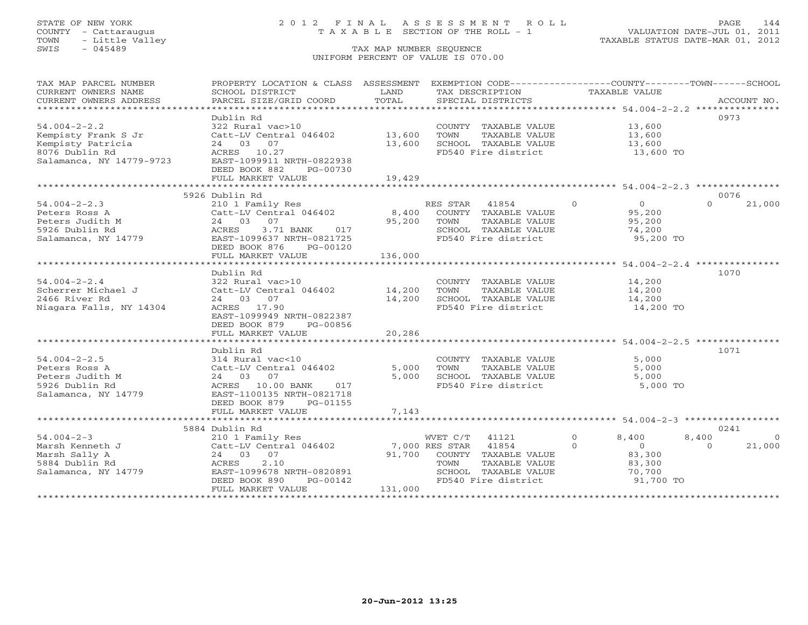## STATE OF NEW YORK 2 0 1 2 F I N A L A S S E S S M E N T R O L L PAGE 144 COUNTY - Cattaraugus T A X A B L E SECTION OF THE ROLL - 1 VALUATION DATE-JUL 01, 2011

| TAX MAP PARCEL NUMBER<br>CURRENT OWNERS NAME | PROPERTY LOCATION & CLASS ASSESSMENT EXEMPTION CODE---------------COUNTY-------TOWN------SCHOOL<br>SCHOOL DISTRICT | LAND    | TAX DESCRIPTION                             | TAXABLE VALUE              |                         |
|----------------------------------------------|--------------------------------------------------------------------------------------------------------------------|---------|---------------------------------------------|----------------------------|-------------------------|
| CURRENT OWNERS ADDRESS                       | PARCEL SIZE/GRID COORD                                                                                             | TOTAL   | SPECIAL DISTRICTS                           |                            | ACCOUNT NO.             |
|                                              |                                                                                                                    |         |                                             |                            |                         |
|                                              | Dublin Rd                                                                                                          |         |                                             |                            | 0973                    |
| $54.004 - 2 - 2.2$                           | 322 Rural vac>10                                                                                                   |         | COUNTY TAXABLE VALUE 13,600                 |                            |                         |
| Kempisty Frank S Jr                          | Catt-LV Central 046402 13,600                                                                                      |         | TOWN<br>TAXABLE VALUE                       | 13,600                     |                         |
| Kempisty Patricia                            | 24 03 07                                                                                                           | 13,600  | SCHOOL TAXABLE VALUE                        | 13,600                     |                         |
| 8076 Dublin Rd                               | ACRES 10.27                                                                                                        |         | FD540 Fire district                         | 13,600 TO                  |                         |
| Salamanca, NY 14779-9723                     | EAST-1099911 NRTH-0822938                                                                                          |         |                                             |                            |                         |
|                                              | DEED BOOK 882<br>PG-00730                                                                                          |         |                                             |                            |                         |
|                                              | FULL MARKET VALUE                                                                                                  | 19,429  |                                             |                            |                         |
|                                              |                                                                                                                    |         |                                             |                            |                         |
|                                              | 5926 Dublin Rd                                                                                                     |         |                                             |                            | 0076                    |
| $54.004 - 2 - 2.3$                           | 210 1 Family Res                                                                                                   |         | RES STAR 41854                              | $\Omega$<br>$\overline{0}$ | 21,000<br>$\Omega$      |
| Peters Ross A                                | Catt-LV Central 046402                                                                                             |         | 8,400 COUNTY TAXABLE VALUE                  | 95,200                     |                         |
| Peters Judith M                              |                                                                                                                    | 95,200  | TOWN<br>TAXABLE VALUE                       | 95,200                     |                         |
| 5926 Dublin Rd                               | 3.71 BANK 017                                                                                                      |         | SCHOOL TAXABLE VALUE                        | 74,200                     |                         |
| Salamanca, NY 14779                          | Catt-LV Central 040402<br>24 03 07<br>ACRES 3.71 BANK 017<br>EAST-1099637 NRTH-0821725                             |         | FD540 Fire district                         | 95,200 TO                  |                         |
|                                              | DEED BOOK 876<br>PG-00120                                                                                          |         |                                             |                            |                         |
|                                              | FULL MARKET VALUE                                                                                                  | 136,000 |                                             |                            |                         |
| 1070<br>Dublin Rd                            |                                                                                                                    |         |                                             |                            |                         |
| $54.004 - 2 - 2.4$                           | 322 Rural vac>10                                                                                                   |         | COUNTY TAXABLE VALUE                        | 14,200                     |                         |
| Scherrer Michael J                           | Catt-LV Central 046402 14,200                                                                                      |         | TOWN<br>TAXABLE VALUE                       | 14,200                     |                         |
| 2466 River Rd                                | 24 03 07                                                                                                           | 14,200  | SCHOOL TAXABLE VALUE                        | 14,200                     |                         |
| Niagara Falls, NY 14304                      | ACRES 17.90                                                                                                        |         | FD540 Fire district                         | 14,200 TO                  |                         |
|                                              | EAST-1099949 NRTH-0822387                                                                                          |         |                                             |                            |                         |
|                                              | DEED BOOK 879<br>PG-00856                                                                                          |         |                                             |                            |                         |
|                                              | FULL MARKET VALUE                                                                                                  | 20,286  |                                             |                            |                         |
|                                              |                                                                                                                    |         |                                             |                            |                         |
|                                              | Dublin Rd                                                                                                          |         |                                             |                            | 1071                    |
| $54.004 - 2 - 2.5$                           | 314 Rural vac<10                                                                                                   |         | COUNTY TAXABLE VALUE                        | 5,000                      |                         |
| Peters Ross A                                | Catt-LV Central 046402                                                                                             | 5,000   | TAXABLE VALUE<br>TOWN                       | 5,000                      |                         |
| Peters Judith M                              | 24 03 07                                                                                                           | 5,000   | SCHOOL TAXABLE VALUE                        | 5,000                      |                         |
| 5926 Dublin Rd                               | ACRES 10.00 BANK<br>017                                                                                            |         | FD540 Fire district                         | 5,000 TO                   |                         |
| Salamanca, NY 14779                          | EAST-1100135 NRTH-0821718                                                                                          |         |                                             |                            |                         |
|                                              | PG-01155<br>DEED BOOK 879                                                                                          |         |                                             |                            |                         |
|                                              | FULL MARKET VALUE                                                                                                  | 7,143   |                                             |                            |                         |
|                                              |                                                                                                                    |         |                                             |                            |                         |
|                                              | 5884 Dublin Rd                                                                                                     |         |                                             |                            | 0241                    |
| $54.004 - 2 - 3$                             | 210 1 Family Res                                                                                                   |         | WVET C/T 41121                              | $\Omega$<br>8,400          | 8,400<br>$\overline{0}$ |
| Marsh Kenneth J                              | Catt-LV Central 046402                                                                                             |         | 7,000 RES STAR 41854                        | $\Omega$<br>$\overline{0}$ | $\Omega$<br>21,000      |
| Marsh Sally A                                | 24 03 07                                                                                                           |         | 91,700 COUNTY TAXABLE VALUE                 | 83,300                     |                         |
| 5884 Dublin Rd                               | 2.10<br>ACRES                                                                                                      |         | TOWN<br>TAXABLE VALUE                       | 83,300                     |                         |
| Salamanca, NY 14779                          | EAST-1099678 NRTH-0820891<br>DEED BOOK 890<br>PG-00142                                                             |         | SCHOOL TAXABLE VALUE<br>FD540 Fire district | 70,700<br>91,700 TO        |                         |
|                                              | FULL MARKET VALUE                                                                                                  | 131,000 |                                             |                            |                         |
|                                              |                                                                                                                    |         |                                             |                            |                         |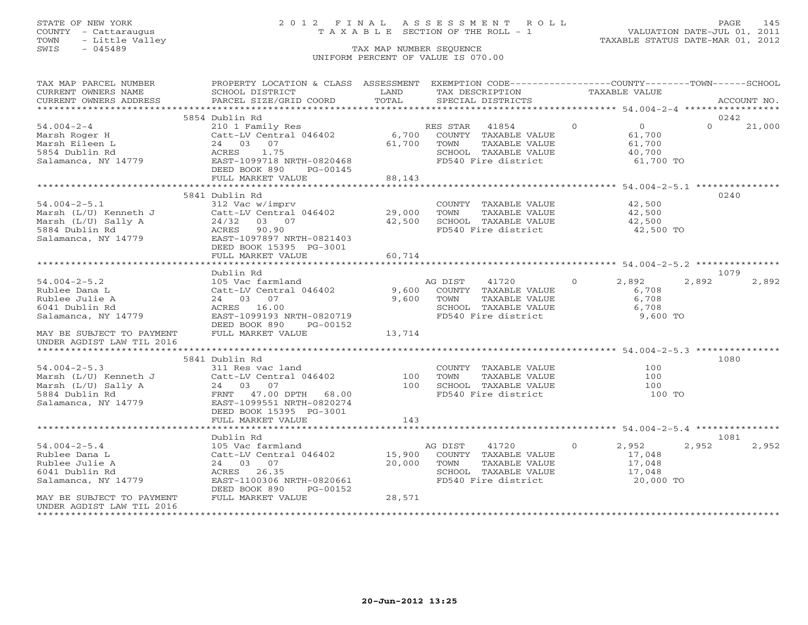# STATE OF NEW YORK 2 0 1 2 F I N A L A S S E S S M E N T R O L L PAGE 145 COUNTY - Cattaraugus T A X A B L E SECTION OF THE ROLL - 1 VALUATION DATE-JUL 01, 2011

| TAX MAP PARCEL NUMBER                                                                                                          | PROPERTY LOCATION & CLASS ASSESSMENT EXEMPTION CODE---------------COUNTY-------TOWN------SCHOOL |                                           |                                                           |               |                            |          |             |
|--------------------------------------------------------------------------------------------------------------------------------|-------------------------------------------------------------------------------------------------|-------------------------------------------|-----------------------------------------------------------|---------------|----------------------------|----------|-------------|
| CURRENT OWNERS NAME                                                                                                            | SCHOOL DISTRICT                                                                                 | LAND                                      | TAX DESCRIPTION                                           | TAXABLE VALUE |                            |          |             |
| CURRENT OWNERS ADDRESS                                                                                                         | PARCEL SIZE/GRID COORD                                                                          | TOTAL                                     | SPECIAL DISTRICTS                                         |               |                            |          | ACCOUNT NO. |
|                                                                                                                                |                                                                                                 |                                           |                                                           |               |                            |          |             |
|                                                                                                                                | 5854 Dublin Rd                                                                                  |                                           |                                                           |               |                            | 0242     |             |
| $54.004 - 2 - 4$                                                                                                               | 210 1 Family Res<br>Catt-LV Central 046402 6,700 COUNTY TAXABLE VALUE                           |                                           | RES STAR 41854                                            | $\circ$       | $\overline{0}$             | $\Omega$ | 21,000      |
| Marsh Roger H                                                                                                                  |                                                                                                 |                                           |                                                           |               | 61,700                     |          |             |
| Marsh Eileen L                                                                                                                 | 24 03 07                                                                                        | 61,700                                    | TOWN<br>TOWN      TAXABLE VALUE<br>SCHOOL   TAXABLE VALUE |               | 61,700<br>61,700<br>40,700 |          |             |
| 5854 Dublin Rd                                                                                                                 | 1.75<br>ACRES                                                                                   |                                           |                                                           |               |                            |          |             |
| Salamanca, NY 14779                                                                                                            | EAST-1099718 NRTH-0820468                                                                       |                                           | FD540 Fire district                                       |               | 61,700 TO                  |          |             |
|                                                                                                                                | DEED BOOK 890<br>PG-00145                                                                       |                                           |                                                           |               |                            |          |             |
|                                                                                                                                | FULL MARKET VALUE                                                                               | 88,143                                    |                                                           |               |                            |          |             |
|                                                                                                                                |                                                                                                 |                                           |                                                           |               |                            |          |             |
|                                                                                                                                | 5841 Dublin Rd                                                                                  |                                           |                                                           |               |                            | 0240     |             |
| $54.004 - 2 - 5.1$                                                                                                             | 312 Vac w/imprv                                                                                 |                                           | COUNTY TAXABLE VALUE                                      | 42,500        |                            |          |             |
|                                                                                                                                | Catt-LV Central 046402                                                                          | 29,000<br>42,500                          | TAXABLE VALUE<br>TOWN<br>SCHOOL TAXABLE VALUE             |               | 42,500<br>42,500           |          |             |
|                                                                                                                                |                                                                                                 |                                           | FD540 Fire district                                       |               |                            |          |             |
|                                                                                                                                | EAST-1097897 NRTH-0821403                                                                       |                                           |                                                           |               | 42,500 TO                  |          |             |
|                                                                                                                                | DEED BOOK 15395 PG-3001                                                                         |                                           |                                                           |               |                            |          |             |
|                                                                                                                                | FULL MARKET VALUE                                                                               | 60,714                                    |                                                           |               |                            |          |             |
|                                                                                                                                |                                                                                                 |                                           |                                                           |               |                            |          |             |
|                                                                                                                                | Dublin Rd                                                                                       |                                           |                                                           |               |                            | 1079     |             |
| $54.004 - 2 - 5.2$                                                                                                             | 105 Vac farmland                                                                                |                                           | AG DIST 41720 0 2,892                                     |               |                            | 2,892    | 2,892       |
| Rublee Dana L                                                                                                                  | Catt-LV Central 046402 9,600 COUNTY TAXABLE VALUE                                               |                                           |                                                           |               | 6,708                      |          |             |
| Rublee Julie A                                                                                                                 | 24 03 07                                                                                        |                                           | 9,600 TOWN<br>TAXABLE VALUE                               |               | 6,708                      |          |             |
| 6041 Dublin Rd                                                                                                                 | ACRES 16.00                                                                                     |                                           |                                                           |               |                            |          |             |
| Salamanca, NY 14779                                                                                                            | EAST-1099193 NRTH-0820719                                                                       |                                           |                                                           |               |                            |          |             |
|                                                                                                                                | DEED BOOK 890<br>PG-00152                                                                       |                                           |                                                           |               |                            |          |             |
| MAY BE SUBJECT TO PAYMENT                                                                                                      | FULL MARKET VALUE                                                                               | 13,714                                    |                                                           |               |                            |          |             |
| UNDER AGDIST LAW TIL 2016                                                                                                      |                                                                                                 |                                           |                                                           |               |                            |          |             |
|                                                                                                                                |                                                                                                 |                                           |                                                           |               |                            |          |             |
|                                                                                                                                | 5841 Dublin Rd                                                                                  |                                           |                                                           |               |                            | 1080     |             |
| $54.004 - 2 - 5.3$                                                                                                             | 311 Res vac land                                                                                |                                           | COUNTY TAXABLE VALUE                                      |               | 100                        |          |             |
|                                                                                                                                | Catt-LV Central 046402<br>24 03 07                                                              |                                           | TAXABLE VALUE<br>TOWN                                     |               | 100                        |          |             |
|                                                                                                                                |                                                                                                 | $\begin{array}{c} 100 \\ 100 \end{array}$ |                                                           |               | 100                        |          |             |
| Marsh (L/U) Kenneth J<br>Marsh (L/U) Sally A<br>24 03 07<br>5884 Dublin Rd<br>Salamanca, NY 14779<br>EAST-1099551 NRTH-0820274 |                                                                                                 |                                           | FD540 Fire district                                       |               | 100 TO                     |          |             |
|                                                                                                                                |                                                                                                 |                                           |                                                           |               |                            |          |             |
|                                                                                                                                | DEED BOOK 15395 PG-3001                                                                         |                                           |                                                           |               |                            |          |             |
|                                                                                                                                | FULL MARKET VALUE                                                                               | 143                                       |                                                           |               |                            |          |             |
|                                                                                                                                |                                                                                                 |                                           |                                                           |               |                            |          |             |
|                                                                                                                                | Dublin Rd                                                                                       |                                           |                                                           |               |                            | 1081     |             |
| $54.004 - 2 - 5.4$                                                                                                             | 105 Vac farmland                                                                                |                                           | AG DIST<br>41720                                          |               | $0 \t 2,952$               | 2,952    | 2,952       |
| Rublee Dana L                                                                                                                  | Catt-LV Central 046402 15,900                                                                   |                                           | COUNTY TAXABLE VALUE                                      |               | 17,048                     |          |             |
| Rublee Julie A                                                                                                                 | 24 03 07                                                                                        | 20,000                                    | TOWN<br>TAXABLE VALUE<br>SCHOOL TAXABLE VALUE 17,048      |               | 17,048                     |          |             |
| 6041 Dublin Rd                                                                                                                 | ACRES 26.35                                                                                     |                                           |                                                           |               |                            |          |             |
| Salamanca, NY 14779                                                                                                            | EAST-1100306 NRTH-0820661<br>DEED BOOK 890<br>PG-00152                                          |                                           | FD540 Fire district                                       |               | 20,000 TO                  |          |             |
| MAY BE SUBJECT TO PAYMENT                                                                                                      | FULL MARKET VALUE                                                                               | 28,571                                    |                                                           |               |                            |          |             |
| UNDER AGDIST LAW TIL 2016                                                                                                      |                                                                                                 |                                           |                                                           |               |                            |          |             |
|                                                                                                                                |                                                                                                 |                                           |                                                           |               |                            |          |             |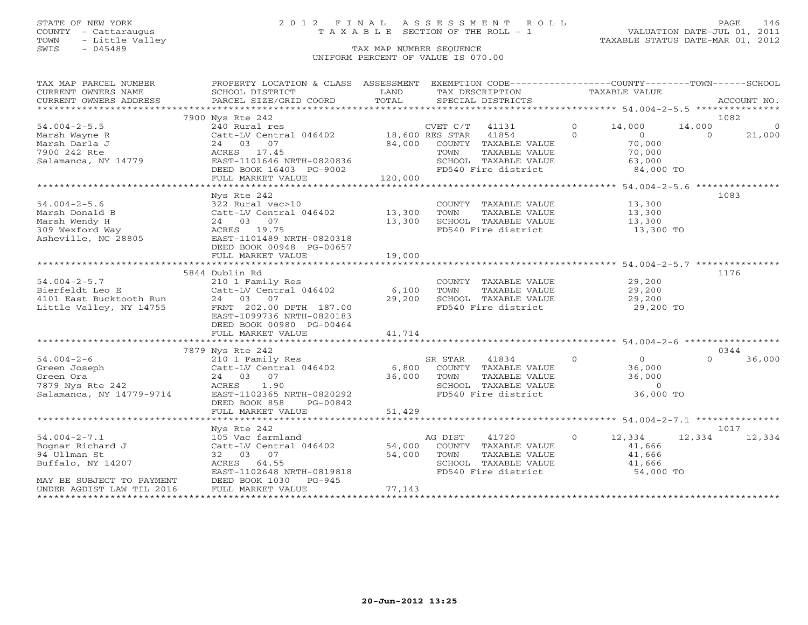# STATE OF NEW YORK 2 0 1 2 F I N A L A S S E S S M E N T R O L L PAGE 146 COUNTY - Cattaraugus T A X A B L E SECTION OF THE ROLL - 1 VALUATION DATE-JUL 01, 2011

| TAX MAP PARCEL NUMBER<br>CURRENT OWNERS NAME<br>CURRENT OWNERS ADDRESS | PROPERTY LOCATION & CLASS ASSESSMENT<br>SCHOOL DISTRICT<br>PARCEL SIZE/GRID COORD | LAND<br>TOTAL |                | EXEMPTION CODE-----------------COUNTY-------TOWN------SCHOOL<br>TAX DESCRIPTION<br>SPECIAL DISTRICTS |                | TAXABLE VALUE                  |          | ACCOUNT NO.    |
|------------------------------------------------------------------------|-----------------------------------------------------------------------------------|---------------|----------------|------------------------------------------------------------------------------------------------------|----------------|--------------------------------|----------|----------------|
|                                                                        |                                                                                   |               |                |                                                                                                      |                |                                |          |                |
|                                                                        | 7900 Nys Rte 242                                                                  |               |                |                                                                                                      |                |                                |          | 1082           |
| $54.004 - 2 - 5.5$                                                     | 240 Rural res                                                                     |               | CVET C/T 41131 |                                                                                                      | $\bigcirc$     | 14,000                         | 14,000   | $\overline{0}$ |
| Marsh Wayne R                                                          | Catt-LV Central 046402 18,600 RES STAR                                            |               |                | 41854                                                                                                | $\Omega$       | $\overline{0}$                 | $\Omega$ | 21,000         |
| Marsh Darla J<br>7900 242 Rte                                          | 24 03 07                                                                          |               |                | 84,000 COUNTY TAXABLE VALUE                                                                          |                | 70,000                         |          |                |
| Salamanca, NY 14779                                                    | ACRES 17.45<br>EAST-1101646 NRTH-0820836                                          |               | TOWN           | TAXABLE VALUE<br>SCHOOL TAXABLE VALUE                                                                |                | 70,000<br>63,000               |          |                |
|                                                                        | DEED BOOK 16403 PG-9002                                                           |               |                | FD540 Fire district                                                                                  |                | 84,000 TO                      |          |                |
|                                                                        | FULL MARKET VALUE                                                                 | 120,000       |                |                                                                                                      |                |                                |          |                |
|                                                                        |                                                                                   |               |                |                                                                                                      |                |                                |          |                |
|                                                                        | Nys Rte 242                                                                       |               |                |                                                                                                      |                |                                |          | 1083           |
| $54.004 - 2 - 5.6$                                                     | 322 Rural vac>10                                                                  |               |                | COUNTY TAXABLE VALUE                                                                                 |                | 13,300                         |          |                |
| Marsh Donald B                                                         | Catt-LV Central 046402 13,300                                                     |               | TOWN           | TAXABLE VALUE                                                                                        |                | 13,300                         |          |                |
| Marsh Wendy H                                                          | 24 03 07                                                                          | 13,300        |                | SCHOOL TAXABLE VALUE                                                                                 |                | $\frac{1}{13}, \frac{300}{20}$ |          |                |
| 309 Wexford Way                                                        | ACRES 19.75                                                                       |               |                | FD540 Fire district                                                                                  |                | 13,300 TO                      |          |                |
| Asheville, NC 28805                                                    | EAST-1101489 NRTH-0820318                                                         |               |                |                                                                                                      |                |                                |          |                |
|                                                                        | DEED BOOK 00948 PG-00657                                                          |               |                |                                                                                                      |                |                                |          |                |
|                                                                        | FULL MARKET VALUE                                                                 | 19,000        |                |                                                                                                      |                |                                |          |                |
|                                                                        |                                                                                   |               |                |                                                                                                      |                |                                |          |                |
|                                                                        | 5844 Dublin Rd                                                                    |               |                |                                                                                                      |                |                                |          | 1176           |
| $54.004 - 2 - 5.7$                                                     | 210 1 Family Res                                                                  |               |                | COUNTY TAXABLE VALUE                                                                                 |                | 29,200                         |          |                |
| Bierfeldt Leo E<br>4101 East Bucktooth Run                             | Catt-LV Central 046402                                                            | 6,100         | TOWN           | TAXABLE VALUE                                                                                        |                | 29,200                         |          |                |
|                                                                        | 24 03 07                                                                          | 29,200        |                | SCHOOL TAXABLE VALUE                                                                                 |                | 29,200                         |          |                |
| Little Valley, NY 14755                                                | FRNT 202.00 DPTH 187.00                                                           |               |                | FD540 Fire district                                                                                  |                | 29,200 TO                      |          |                |
|                                                                        | EAST-1099736 NRTH-0820183                                                         |               |                |                                                                                                      |                |                                |          |                |
|                                                                        | DEED BOOK 00980 PG-00464                                                          |               |                |                                                                                                      |                |                                |          |                |
|                                                                        | FULL MARKET VALUE                                                                 | 41,714        |                |                                                                                                      |                |                                |          |                |
|                                                                        | 7879 Nys Rte 242                                                                  |               |                |                                                                                                      |                |                                |          | 0344           |
| $54.004 - 2 - 6$                                                       | 210 1 Family Res                                                                  |               | SR STAR        | 41834                                                                                                | $\overline{0}$ | $\overline{0}$                 | $\Omega$ | 36,000         |
| Green Joseph                                                           | Catt-LV Central 046402                                                            | 6,800         |                | COUNTY TAXABLE VALUE                                                                                 |                | 36,000                         |          |                |
| Green Ora                                                              | 24 03 07                                                                          | 36,000        | TOWN           | TAXABLE VALUE                                                                                        |                | 36,000                         |          |                |
| 7879 Nys Rte 242                                                       | ACRES<br>1.90                                                                     |               |                | SCHOOL TAXABLE VALUE                                                                                 |                | $\Omega$                       |          |                |
| Salamanca, NY 14779-9714                                               | EAST-1102365 NRTH-0820292                                                         |               |                | FD540 Fire district                                                                                  |                | 36,000 TO                      |          |                |
|                                                                        | DEED BOOK 858<br>PG-00842                                                         |               |                |                                                                                                      |                |                                |          |                |
|                                                                        | FULL MARKET VALUE                                                                 | 51,429        |                |                                                                                                      |                |                                |          |                |
|                                                                        |                                                                                   |               |                |                                                                                                      |                |                                |          |                |
|                                                                        | Nys Rte 242                                                                       |               |                |                                                                                                      |                |                                |          | 1017           |
| $54.004 - 2 - 7.1$                                                     | 105 Vac farmland                                                                  |               | AG DIST        | 41720                                                                                                | $\circ$        | 12,334                         | 12,334   | 12,334         |
| Bognar Richard J                                                       | Catt-LV Central 046402                                                            | 54,000        |                | COUNTY TAXABLE VALUE                                                                                 |                | 41,666                         |          |                |
| 94 Ullman St                                                           | 32 03 07                                                                          | 54,000        | TOWN           | TAXABLE VALUE                                                                                        |                | 41,666                         |          |                |
| Buffalo, NY 14207                                                      | ACRES 64.55                                                                       |               |                | SCHOOL TAXABLE VALUE                                                                                 |                | 41,666                         |          |                |
|                                                                        | EAST-1102648 NRTH-0819818                                                         |               |                | FD540 Fire district                                                                                  |                | 54,000 TO                      |          |                |
| MAY BE SUBJECT TO PAYMENT                                              | DEED BOOK 1030<br>$PG-945$                                                        |               |                |                                                                                                      |                |                                |          |                |
| UNDER AGDIST LAW TIL 2016                                              | FULL MARKET VALUE                                                                 | 77,143        |                |                                                                                                      |                |                                |          |                |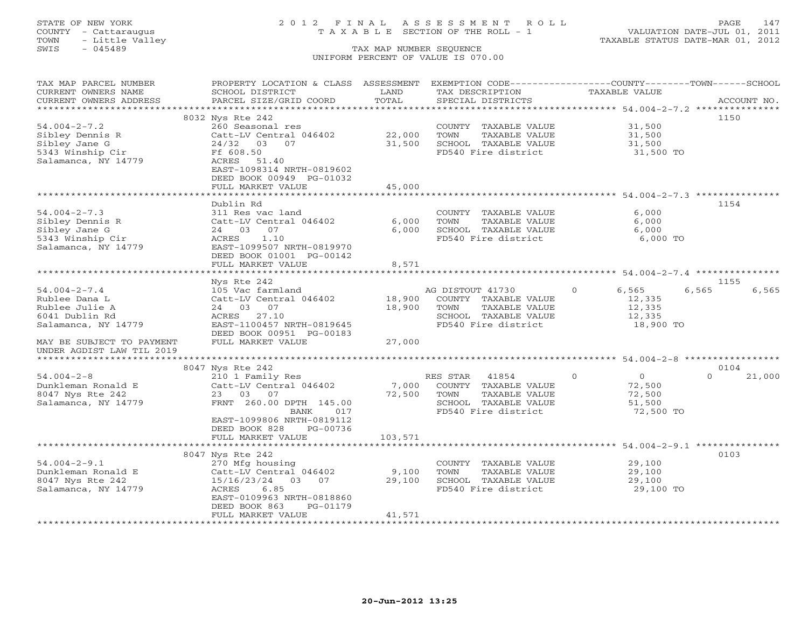# STATE OF NEW YORK 2 0 1 2 F I N A L A S S E S S M E N T R O L L PAGE 147 COUNTY - Cattaraugus T A X A B L E SECTION OF THE ROLL - 1 VALUATION DATE-JUL 01, 2011

| TAX MAP PARCEL NUMBER<br>CURRENT OWNERS NAME<br>CURRENT OWNERS ADDRESS | PROPERTY LOCATION & CLASS<br>SCHOOL DISTRICT<br>PARCEL SIZE/GRID COORD | ASSESSMENT<br>LAND<br>TOTAL | EXEMPTION CODE-----------------COUNTY-------TOWN------SCHOOL<br>TAX DESCRIPTION<br>SPECIAL DISTRICTS | TAXABLE VALUE                             | ACCOUNT NO.        |
|------------------------------------------------------------------------|------------------------------------------------------------------------|-----------------------------|------------------------------------------------------------------------------------------------------|-------------------------------------------|--------------------|
|                                                                        |                                                                        | **********                  |                                                                                                      | *********** 54.004-2-7.2 **************** |                    |
|                                                                        | 8032 Nys Rte 242                                                       |                             |                                                                                                      |                                           | 1150               |
| $54.004 - 2 - 7.2$                                                     | 260 Seasonal res                                                       |                             | COUNTY TAXABLE VALUE                                                                                 | 31,500                                    |                    |
| Sibley Dennis R                                                        | Catt-LV Central 046402                                                 | 22,000                      | TOWN<br>TAXABLE VALUE                                                                                | 31,500                                    |                    |
| Sibley Jane G                                                          | $24/32$ 03<br>07                                                       | 31,500                      | SCHOOL TAXABLE VALUE                                                                                 | 31,500                                    |                    |
| 5343 Winship Cir                                                       | Ff 608.50                                                              |                             | FD540 Fire district                                                                                  | 31,500 TO                                 |                    |
| Salamanca, NY 14779                                                    | ACRES<br>51.40                                                         |                             |                                                                                                      |                                           |                    |
|                                                                        | EAST-1098314 NRTH-0819602                                              |                             |                                                                                                      |                                           |                    |
|                                                                        | DEED BOOK 00949 PG-01032                                               |                             |                                                                                                      |                                           |                    |
|                                                                        | FULL MARKET VALUE                                                      | 45,000                      |                                                                                                      |                                           |                    |
|                                                                        |                                                                        |                             |                                                                                                      |                                           |                    |
|                                                                        | Dublin Rd                                                              |                             |                                                                                                      |                                           | 1154               |
| $54.004 - 2 - 7.3$                                                     | 311 Res vac land                                                       |                             | COUNTY TAXABLE VALUE                                                                                 | 6,000                                     |                    |
| Sibley Dennis R                                                        | Catt-LV Central 046402                                                 | 6,000                       | TOWN<br>TAXABLE VALUE                                                                                | 6,000                                     |                    |
| Sibley Jane G                                                          | 07<br>24 03                                                            | 6,000                       | SCHOOL TAXABLE VALUE                                                                                 | 6,000                                     |                    |
| 5343 Winship Cir                                                       | ACRES<br>1.10                                                          |                             | FD540 Fire district                                                                                  | 6,000 TO                                  |                    |
| Salamanca, NY 14779                                                    | EAST-1099507 NRTH-0819970                                              |                             |                                                                                                      |                                           |                    |
|                                                                        | DEED BOOK 01001 PG-00142                                               |                             |                                                                                                      |                                           |                    |
|                                                                        | FULL MARKET VALUE                                                      | 8,571                       |                                                                                                      |                                           |                    |
|                                                                        |                                                                        |                             |                                                                                                      |                                           |                    |
|                                                                        | Nys Rte 242                                                            |                             |                                                                                                      |                                           | 1155               |
| $54.004 - 2 - 7.4$                                                     | 105 Vac farmland                                                       |                             | AG DISTOUT 41730                                                                                     | $\circ$<br>6,565                          | 6,565<br>6,565     |
| Rublee Dana L                                                          | Catt-LV Central 046402                                                 | 18,900                      | COUNTY TAXABLE VALUE                                                                                 | 12,335                                    |                    |
| Rublee Julie A                                                         | 24 03<br>07                                                            | 18,900                      | TOWN<br>TAXABLE VALUE                                                                                | 12,335                                    |                    |
| 6041 Dublin Rd                                                         | ACRES<br>27.10                                                         |                             | SCHOOL TAXABLE VALUE                                                                                 | 12,335                                    |                    |
| Salamanca, NY 14779                                                    | EAST-1100457 NRTH-0819645<br>DEED BOOK 00951 PG-00183                  |                             | FD540 Fire district                                                                                  | 18,900 TO                                 |                    |
| MAY BE SUBJECT TO PAYMENT                                              | FULL MARKET VALUE                                                      | 27,000                      |                                                                                                      |                                           |                    |
| UNDER AGDIST LAW TIL 2019                                              |                                                                        |                             |                                                                                                      |                                           |                    |
|                                                                        |                                                                        |                             |                                                                                                      |                                           |                    |
|                                                                        | 8047 Nys Rte 242                                                       |                             |                                                                                                      |                                           | 0104               |
| $54.004 - 2 - 8$                                                       | 210 1 Family Res                                                       |                             | RES STAR<br>41854                                                                                    | $\circ$<br>$\overline{O}$                 | $\Omega$<br>21,000 |
| Dunkleman Ronald E                                                     | Catt-LV Central 046402                                                 | 7,000                       | COUNTY TAXABLE VALUE                                                                                 | 72,500                                    |                    |
| 8047 Nys Rte 242                                                       | 23 03 07                                                               | 72,500                      | TOWN<br>TAXABLE VALUE                                                                                | 72,500                                    |                    |
| Salamanca, NY 14779                                                    | FRNT 260.00 DPTH 145.00                                                |                             | SCHOOL TAXABLE VALUE                                                                                 | 51,500                                    |                    |
|                                                                        | 017<br>BANK                                                            |                             | FD540 Fire district                                                                                  | 72,500 TO                                 |                    |
|                                                                        | EAST-1099806 NRTH-0819112                                              |                             |                                                                                                      |                                           |                    |
|                                                                        | DEED BOOK 828<br>PG-00736                                              |                             |                                                                                                      |                                           |                    |
|                                                                        | FULL MARKET VALUE                                                      | 103,571                     |                                                                                                      |                                           |                    |
|                                                                        |                                                                        |                             |                                                                                                      |                                           |                    |
|                                                                        | 8047 Nys Rte 242                                                       |                             |                                                                                                      |                                           | 0103               |
| $54.004 - 2 - 9.1$                                                     | 270 Mfg housing                                                        |                             | COUNTY TAXABLE VALUE                                                                                 | 29,100                                    |                    |
| Dunkleman Ronald E                                                     | Catt-LV Central 046402                                                 | 9,100                       | TOWN<br>TAXABLE VALUE                                                                                | 29,100                                    |                    |
| 8047 Nys Rte 242                                                       | 15/16/23/24<br>03<br>07                                                | 29,100                      | SCHOOL TAXABLE VALUE                                                                                 | 29,100                                    |                    |
| Salamanca, NY 14779                                                    | ACRES<br>6.85                                                          |                             | FD540 Fire district                                                                                  | 29,100 TO                                 |                    |
|                                                                        | EAST-0109963 NRTH-0818860                                              |                             |                                                                                                      |                                           |                    |
|                                                                        | DEED BOOK 863<br>PG-01179                                              |                             |                                                                                                      |                                           |                    |
|                                                                        | FULL MARKET VALUE                                                      | 41,571                      |                                                                                                      |                                           |                    |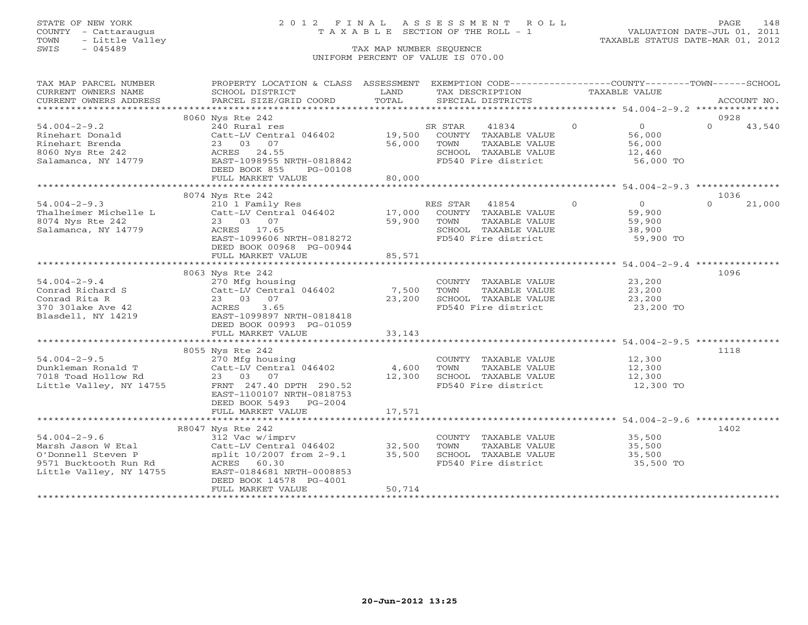# STATE OF NEW YORK 2 0 1 2 F I N A L A S S E S S M E N T R O L L PAGE 148 COUNTY - Cattaraugus T A X A B L E SECTION OF THE ROLL - 1 VALUATION DATE-JUL 01, 2011

| SCHOOL DISTRICT                                                                                               | LAND                                                                                                                                                                                                                                                                                     | TAX DESCRIPTION                                                                               |                                                                                                                                                                                                                                                                                                                                                                                                                                         |                                                                                                                                                                                                                                                                                                                                                                                                                                                                          |                                                                                                                                                                                                                                                                                                                                                                                             |
|---------------------------------------------------------------------------------------------------------------|------------------------------------------------------------------------------------------------------------------------------------------------------------------------------------------------------------------------------------------------------------------------------------------|-----------------------------------------------------------------------------------------------|-----------------------------------------------------------------------------------------------------------------------------------------------------------------------------------------------------------------------------------------------------------------------------------------------------------------------------------------------------------------------------------------------------------------------------------------|--------------------------------------------------------------------------------------------------------------------------------------------------------------------------------------------------------------------------------------------------------------------------------------------------------------------------------------------------------------------------------------------------------------------------------------------------------------------------|---------------------------------------------------------------------------------------------------------------------------------------------------------------------------------------------------------------------------------------------------------------------------------------------------------------------------------------------------------------------------------------------|
|                                                                                                               |                                                                                                                                                                                                                                                                                          |                                                                                               |                                                                                                                                                                                                                                                                                                                                                                                                                                         |                                                                                                                                                                                                                                                                                                                                                                                                                                                                          | ACCOUNT NO.                                                                                                                                                                                                                                                                                                                                                                                 |
|                                                                                                               |                                                                                                                                                                                                                                                                                          |                                                                                               |                                                                                                                                                                                                                                                                                                                                                                                                                                         |                                                                                                                                                                                                                                                                                                                                                                                                                                                                          | 0928                                                                                                                                                                                                                                                                                                                                                                                        |
| 240 Rural res<br>23 03 07<br>DEED BOOK 855<br>PG-00108<br>FULL MARKET VALUE                                   |                                                                                                                                                                                                                                                                                          | SR STAR<br>41834<br>TOWN                                                                      |                                                                                                                                                                                                                                                                                                                                                                                                                                         | $\Omega$                                                                                                                                                                                                                                                                                                                                                                                                                                                                 | 43,540                                                                                                                                                                                                                                                                                                                                                                                      |
|                                                                                                               |                                                                                                                                                                                                                                                                                          |                                                                                               |                                                                                                                                                                                                                                                                                                                                                                                                                                         |                                                                                                                                                                                                                                                                                                                                                                                                                                                                          |                                                                                                                                                                                                                                                                                                                                                                                             |
| 23 03 07<br>ACRES 17.65<br>DEED BOOK 00968 PG-00944                                                           |                                                                                                                                                                                                                                                                                          | TOWN                                                                                          |                                                                                                                                                                                                                                                                                                                                                                                                                                         | $\Omega$                                                                                                                                                                                                                                                                                                                                                                                                                                                                 | 1036<br>21,000                                                                                                                                                                                                                                                                                                                                                                              |
|                                                                                                               |                                                                                                                                                                                                                                                                                          |                                                                                               |                                                                                                                                                                                                                                                                                                                                                                                                                                         |                                                                                                                                                                                                                                                                                                                                                                                                                                                                          |                                                                                                                                                                                                                                                                                                                                                                                             |
| 270 Mfg housing<br>23 03 07<br>3.65<br>EAST-1099897 NRTH-0818418                                              |                                                                                                                                                                                                                                                                                          | TOWN                                                                                          |                                                                                                                                                                                                                                                                                                                                                                                                                                         |                                                                                                                                                                                                                                                                                                                                                                                                                                                                          | 1096                                                                                                                                                                                                                                                                                                                                                                                        |
| FULL MARKET VALUE                                                                                             | 33,143                                                                                                                                                                                                                                                                                   |                                                                                               |                                                                                                                                                                                                                                                                                                                                                                                                                                         |                                                                                                                                                                                                                                                                                                                                                                                                                                                                          |                                                                                                                                                                                                                                                                                                                                                                                             |
|                                                                                                               |                                                                                                                                                                                                                                                                                          |                                                                                               |                                                                                                                                                                                                                                                                                                                                                                                                                                         |                                                                                                                                                                                                                                                                                                                                                                                                                                                                          |                                                                                                                                                                                                                                                                                                                                                                                             |
| 270 Mfg housing<br>23 03 07<br>FRNT 247.40 DPTH 290.52<br>EAST-1100107 NRTH-0818753<br>DEED BOOK 5493 PG-2004 |                                                                                                                                                                                                                                                                                          |                                                                                               |                                                                                                                                                                                                                                                                                                                                                                                                                                         |                                                                                                                                                                                                                                                                                                                                                                                                                                                                          | 1118                                                                                                                                                                                                                                                                                                                                                                                        |
| FULL MARKET VALUE                                                                                             | 17,571                                                                                                                                                                                                                                                                                   |                                                                                               |                                                                                                                                                                                                                                                                                                                                                                                                                                         |                                                                                                                                                                                                                                                                                                                                                                                                                                                                          |                                                                                                                                                                                                                                                                                                                                                                                             |
|                                                                                                               |                                                                                                                                                                                                                                                                                          |                                                                                               |                                                                                                                                                                                                                                                                                                                                                                                                                                         |                                                                                                                                                                                                                                                                                                                                                                                                                                                                          |                                                                                                                                                                                                                                                                                                                                                                                             |
| DEED BOOK 14578 PG-4001<br>FULL MARKET VALUE                                                                  | 50,714                                                                                                                                                                                                                                                                                   | TOWN                                                                                          |                                                                                                                                                                                                                                                                                                                                                                                                                                         |                                                                                                                                                                                                                                                                                                                                                                                                                                                                          | 1402                                                                                                                                                                                                                                                                                                                                                                                        |
|                                                                                                               | PARCEL SIZE/GRID COORD<br>8060 Nys Rte 242<br>25<br>ACRES 24.55<br>EAST-1098955 I<br>8074 Nys Rte 242<br>Thalheimer Michelle L<br>FULL MARKET VALUE<br>8063 Nys Rte 242<br>Catt-LV C<br>23 03<br>ACRES<br>EAST-1099<br>DEED BOOK 00993 PG-01059<br>8055 Nys Rte 242<br>R8047 Nys Rte 242 | TOTAL<br>EAST-1098955 NRTH-0818842<br>210 1 Family Res<br>EAST-1099606 NRTH-0818272<br>85,571 | SPECIAL DISTRICTS<br>Catt-LV Central 046402 19,500 COUNTY TAXABLE VALUE<br>56,000<br>80,000<br>59,900<br>$Cat$ -LV Central $046402$ 7,500<br>23,200<br>Catt-LV Central 046402 4,600 TOWN<br>12,300<br>54.004-2-9.6<br>Marsh Jason W Etal Catt-LV Central 046402 32,500<br>0'Donnell Steven P split 10/2007 from 2-9.1 35,500<br>9571 Bucktooth Run Rd ACRES 60.30<br>Little Valley, NY 14755 EAST-0184681 NRTH-0008853<br>$\frac{1}{2}$ | $\overline{0}$<br>TAXABLE VALUE<br>SCHOOL TAXABLE VALUE<br>FD540 Fire district<br>RES STAR 41854 0<br>Catt-LV Central 046402 17,000 COUNTY TAXABLE VALUE<br>TAXABLE VALUE<br>SCHOOL TAXABLE VALUE<br>FD540 Fire district<br>TAXABLE VALUE<br>SCHOOL TAXABLE VALUE<br>FD540 Fire district<br>COUNTY TAXABLE VALUE<br>TAXABLE VALUE<br>SCHOOL TAXABLE VALUE<br>FD540 Fire district<br>COUNTY TAXABLE VALUE<br>TAXABLE VALUE<br>SCHOOL TAXABLE VALUE<br>FD540 Fire district | PROPERTY LOCATION & CLASS ASSESSMENT EXEMPTION CODE----------------COUNTY-------TOWN------SCHOOL<br>TAXABLE VALUE<br>$\overline{0}$<br>56,000<br>56,000<br>12,460<br>56,000 TO<br>$\sim$ 0<br>59,900<br>59,900<br>38,900<br>59,900 TO<br>COUNTY TAXABLE VALUE 23,200<br>23,200<br>23,200<br>23,200 TO<br>12,300<br>12,300<br>12,300<br>12,300 TO<br>35,500<br>35,500<br>35,500<br>35,500 TO |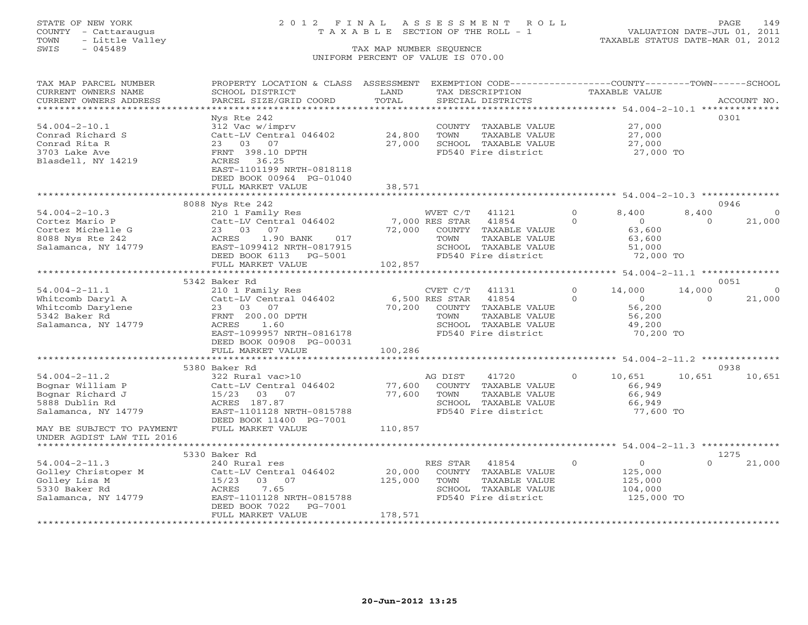# STATE OF NEW YORK 2 0 1 2 F I N A L A S S E S S M E N T R O L L PAGE 149 COUNTY - Cattaraugus T A X A B L E SECTION OF THE ROLL - 1 VALUATION DATE-JUL 01, 2011

| TAX MAP PARCEL NUMBER<br>CURRENT OWNERS NAME<br>CURRENT OWNERS ADDRESS                                                       | PROPERTY LOCATION & CLASS ASSESSMENT<br>SCHOOL DISTRICT<br>PARCEL SIZE/GRID COORD                                                                                         | LAND<br>TOTAL                      |                                    | EXEMPTION CODE-----------------COUNTY-------TOWN------SCHOOL<br>TAX DESCRIPTION<br>SPECIAL DISTRICTS   |                      | TAXABLE VALUE                                                       |                    | ACCOUNT NO.              |
|------------------------------------------------------------------------------------------------------------------------------|---------------------------------------------------------------------------------------------------------------------------------------------------------------------------|------------------------------------|------------------------------------|--------------------------------------------------------------------------------------------------------|----------------------|---------------------------------------------------------------------|--------------------|--------------------------|
| *************************<br>$54.004 - 2 - 10.1$<br>Conrad Richard S<br>Conrad Rita R<br>3703 Lake Ave<br>Blasdell, NY 14219 | Nys Rte 242<br>312 Vac w/imprv<br>Catt-LV Central 046402<br>23 03 07<br>FRNT 398.10 DPTH<br>ACRES 36.25                                                                   | 24,800<br>27,000                   | TOWN                               | COUNTY TAXABLE VALUE<br>TAXABLE VALUE<br>SCHOOL TAXABLE VALUE<br>FD540 Fire district                   |                      | 27,000<br>27,000<br>27,000<br>27,000 TO                             |                    | 0301                     |
|                                                                                                                              | EAST-1101199 NRTH-0818118<br>DEED BOOK 00964 PG-01040<br>FULL MARKET VALUE                                                                                                | 38,571                             |                                    |                                                                                                        |                      |                                                                     |                    |                          |
|                                                                                                                              | 8088 Nys Rte 242                                                                                                                                                          |                                    |                                    |                                                                                                        |                      |                                                                     |                    | 0946                     |
| $54.004 - 2 - 10.3$<br>Cortez Mario P<br>Cortez Michelle G<br>8088 Nys Rte 242<br>Salamanca, NY 14779                        | 210 1 Family Res<br>Catt-LV Central 046402<br>23 03 07<br>ACRES<br>$1.90$ BANK<br>017<br>EAST-1099412 NRTH-0817915<br>DEED BOOK 6113 PG-5001                              | 72,000                             | WVET C/T<br>7,000 RES STAR<br>TOWN | 41121<br>41854<br>COUNTY TAXABLE VALUE<br>TAXABLE VALUE<br>SCHOOL TAXABLE VALUE<br>FD540 Fire district | $\Omega$<br>$\Omega$ | 8,400<br>$\overline{0}$<br>63,600<br>63,600<br>51,000<br>72,000 TO  | 8,400<br>$\Omega$  | $\Omega$<br>21,000       |
|                                                                                                                              | FULL MARKET VALUE                                                                                                                                                         | 102,857<br>*********************** |                                    |                                                                                                        |                      |                                                                     |                    |                          |
|                                                                                                                              | 5342 Baker Rd                                                                                                                                                             |                                    |                                    |                                                                                                        |                      | ************* 54.004-2-11.1 ***************                         |                    | 0051                     |
| $54.004 - 2 - 11.1$<br>Whitcomb Daryl A<br>Whitcomb Darylene<br>5342 Baker Rd<br>Salamanca, NY 14779                         | 210 1 Family Res<br>Catt-LV Central 046402<br>23 03 07<br>FRNT 200.00 DPTH<br>ACRES<br>1.60<br>EAST-1099957 NRTH-0816178<br>DEED BOOK 00908 PG-00031<br>FULL MARKET VALUE | 70,200<br>100,286                  | CVET C/T<br>6,500 RES STAR<br>TOWN | 41131<br>41854<br>COUNTY TAXABLE VALUE<br>TAXABLE VALUE<br>SCHOOL TAXABLE VALUE<br>FD540 Fire district | $\Omega$<br>$\Omega$ | 14,000<br>$\overline{0}$<br>56,200<br>56,200<br>49,200<br>70,200 TO | 14,000<br>$\Omega$ | $\overline{0}$<br>21,000 |
|                                                                                                                              |                                                                                                                                                                           | ************                       |                                    | ************************ 54.004-2-11.2 **************                                                  |                      |                                                                     |                    |                          |
| $54.004 - 2 - 11.2$<br>Bognar William P<br>Bognar Richard J<br>5888 Dublin Rd<br>Salamanca, NY 14779                         | 5380 Baker Rd<br>322 Rural vac>10<br>Catt-LV Central 046402<br>15/23 03 07<br>ACRES 187.87<br>EAST-1101128 NRTH-0815788<br>DEED BOOK 11400 PG-7001                        | 77,600<br>77,600                   | AG DIST<br>TOWN                    | 41720<br>COUNTY TAXABLE VALUE<br>TAXABLE VALUE<br>SCHOOL TAXABLE VALUE<br>FD540 Fire district          | $\circ$              | 10,651<br>66,949<br>66,949<br>66,949<br>77,600 TO                   | 10,651             | 0938<br>10,651           |
| MAY BE SUBJECT TO PAYMENT<br>UNDER AGDIST LAW TIL 2016                                                                       | FULL MARKET VALUE                                                                                                                                                         | 110,857                            |                                    |                                                                                                        |                      |                                                                     |                    |                          |
|                                                                                                                              | 5330 Baker Rd                                                                                                                                                             |                                    |                                    |                                                                                                        |                      |                                                                     |                    | 1275                     |
| $54.004 - 2 - 11.3$<br>Golley Christoper M<br>Golley Lisa M<br>5330 Baker Rd<br>Salamanca, NY 14779                          | 240 Rural res<br>Catt-LV Central 046402<br>15/23<br>03 07<br>7.65<br>ACRES<br>EAST-1101128 NRTH-0815788<br>DEED BOOK 7022<br>PG-7001<br>FULL MARKET VALUE                 | 20,000<br>125,000<br>178,571       | RES STAR<br>TOWN                   | 41854<br>COUNTY TAXABLE VALUE<br>TAXABLE VALUE<br>SCHOOL TAXABLE VALUE<br>FD540 Fire district          | $\Omega$             | $\overline{0}$<br>125,000<br>125,000<br>104,000<br>125,000 TO       | $\Omega$           | 21,000                   |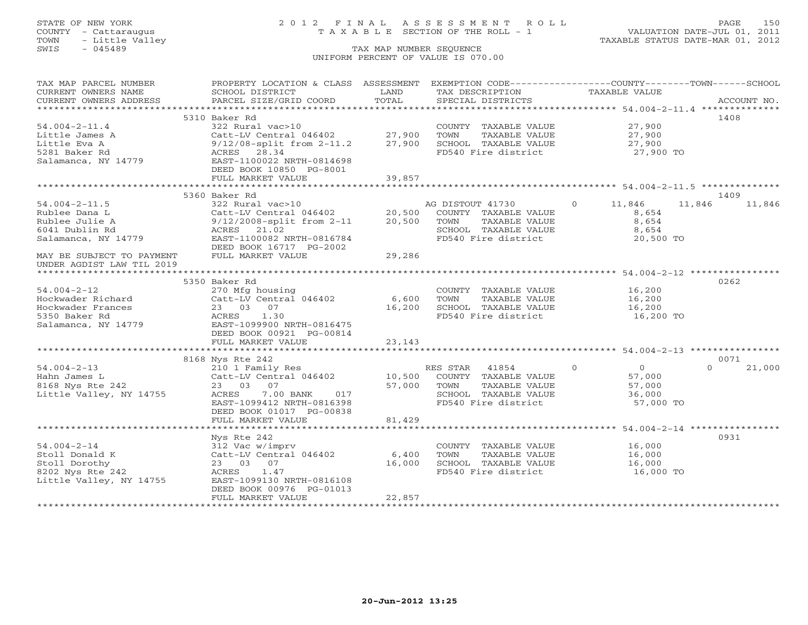# STATE OF NEW YORK 2 0 1 2 F I N A L A S S E S S M E N T R O L L PAGE 150 COUNTY - Cattaraugus T A X A B L E SECTION OF THE ROLL - 1 VALUATION DATE-JUL 01, 2011

| TAX MAP PARCEL NUMBER     | PROPERTY LOCATION & CLASS ASSESSMENT                                                                                                                       |        | EXEMPTION CODE-----------------COUNTY-------TOWN------SCHOOL |                          |                    |
|---------------------------|------------------------------------------------------------------------------------------------------------------------------------------------------------|--------|--------------------------------------------------------------|--------------------------|--------------------|
| CURRENT OWNERS NAME       | SCHOOL DISTRICT                                                                                                                                            | LAND   | TAX DESCRIPTION                                              | TAXABLE VALUE            |                    |
| CURRENT OWNERS ADDRESS    | PARCEL SIZE/GRID COORD                                                                                                                                     | TOTAL  | SPECIAL DISTRICTS                                            |                          | ACCOUNT NO.        |
| ***********************   |                                                                                                                                                            |        |                                                              |                          |                    |
|                           | 5310 Baker Rd                                                                                                                                              |        |                                                              |                          | 1408               |
| $54.004 - 2 - 11.4$       | 322 Rural vac>10                                                                                                                                           |        | COUNTY TAXABLE VALUE                                         | 27,900                   |                    |
| Little James A            | Catt-LV Central 046402                                                                                                                                     | 27,900 | TOWN<br>TAXABLE VALUE                                        | 27,900                   |                    |
| Little Eva A              | $9/12/08$ -split from $2-11.2$ 27,900                                                                                                                      |        | SCHOOL TAXABLE VALUE                                         | 27,900                   |                    |
| 5281 Baker Rd             | ACRES 28.34                                                                                                                                                |        | FD540 Fire district                                          | 27,900 TO                |                    |
| Salamanca, NY 14779       | EAST-1100022 NRTH-0814698                                                                                                                                  |        |                                                              |                          |                    |
|                           | DEED BOOK 10850 PG-8001                                                                                                                                    |        |                                                              |                          |                    |
|                           | FULL MARKET VALUE                                                                                                                                          | 39,857 |                                                              |                          |                    |
|                           |                                                                                                                                                            |        |                                                              |                          |                    |
|                           | 5360 Baker Rd                                                                                                                                              |        |                                                              |                          | 1409               |
| $54.004 - 2 - 11.5$       | 322 Rural vac>10                                                                                                                                           |        | AG DISTOUT 41730                                             | 11,846<br>$\overline{0}$ | 11,846<br>11,846   |
| Rublee Dana L             | Catt-LV Central 046402 20,500                                                                                                                              |        | COUNTY TAXABLE VALUE                                         | 8,654                    |                    |
| Rublee Julie A            | 9/12/2008-split from 2-11 20,500                                                                                                                           |        | TOWN<br>TAXABLE VALUE                                        | 8,654                    |                    |
| 6041 Dublin Rd            | ACRES<br>21.02                                                                                                                                             |        | SCHOOL TAXABLE VALUE                                         | 8,654                    |                    |
| Salamanca, NY 14779       | EAST-1100082 NRTH-0816784                                                                                                                                  |        | FD540 Fire district                                          | 20,500 TO                |                    |
|                           | DEED BOOK 16717 PG-2002                                                                                                                                    |        |                                                              |                          |                    |
| MAY BE SUBJECT TO PAYMENT | FULL MARKET VALUE                                                                                                                                          | 29,286 |                                                              |                          |                    |
| UNDER AGDIST LAW TIL 2019 |                                                                                                                                                            |        |                                                              |                          |                    |
|                           |                                                                                                                                                            |        |                                                              |                          |                    |
|                           | 5350 Baker Rd                                                                                                                                              |        |                                                              |                          | 0262               |
| $54.004 - 2 - 12$         | 270 Mfg housing                                                                                                                                            |        | COUNTY TAXABLE VALUE                                         | 16,200                   |                    |
| Hockwader Richard         | Catt-LV Central 046402 6,600<br>$\begin{array}{cc} 1/0 & 1 \\ \mathrm{Catt-L} \\ 23 & 05 \\ \mathrm{ACRES} \\ \mathrm{EAST-}1 \\ \mathrm{P}^r \end{array}$ |        | TAXABLE VALUE<br>TOWN                                        | 16,200                   |                    |
| Hockwader Frances         | 23 03 07                                                                                                                                                   | 16,200 | SCHOOL TAXABLE VALUE                                         | 16,200                   |                    |
| 5350 Baker Rd             | 1.30                                                                                                                                                       |        | FD540 Fire district                                          | 16,200 TO                |                    |
| Salamanca, NY 14779       | EAST-1099900 NRTH-0816475                                                                                                                                  |        |                                                              |                          |                    |
|                           | DEED BOOK 00921 PG-00814                                                                                                                                   |        |                                                              |                          |                    |
|                           | FULL MARKET VALUE                                                                                                                                          | 23,143 |                                                              |                          |                    |
|                           |                                                                                                                                                            |        |                                                              |                          |                    |
|                           | 8168 Nys Rte 242                                                                                                                                           |        |                                                              |                          | 0071               |
| $54.004 - 2 - 13$         | 210 1 Family Res                                                                                                                                           |        | RES STAR 41854 0                                             | $\overline{0}$           | 21,000<br>$\Omega$ |
| Hahn James L              | Catt-LV Central 046402 10,500 COUNTY TAXABLE VALUE                                                                                                         |        |                                                              | 57,000                   |                    |
| 8168 Nys Rte 242          | 23 03 07                                                                                                                                                   | 57,000 | TOWN<br>TAXABLE VALUE                                        | 57,000                   |                    |
| Little Valley, NY 14755   | 7.00 BANK 017<br>ACRES                                                                                                                                     |        | SCHOOL TAXABLE VALUE                                         | 36,000                   |                    |
|                           | EAST-1099412 NRTH-0816398                                                                                                                                  |        | FD540 Fire district                                          | 57,000 TO                |                    |
|                           | DEED BOOK 01017 PG-00838                                                                                                                                   |        |                                                              |                          |                    |
|                           | FULL MARKET VALUE                                                                                                                                          | 81,429 |                                                              |                          |                    |
|                           |                                                                                                                                                            |        |                                                              |                          |                    |
|                           | Nys Rte 242                                                                                                                                                |        |                                                              |                          | 0931               |
| $54.004 - 2 - 14$         | 312 Vac w/imprv                                                                                                                                            |        | COUNTY TAXABLE VALUE                                         | 16,000                   |                    |
| Stoll Donald K            | Catt-LV Central 046402 6,400                                                                                                                               |        | TOWN<br>TAXABLE VALUE                                        | 16,000                   |                    |
| Stoll Dorothy             | 23 03 07                                                                                                                                                   | 16,000 | SCHOOL TAXABLE VALUE                                         | 16,000                   |                    |
| 8202 Nys Rte 242          | ACRES 1.47                                                                                                                                                 |        | FD540 Fire district                                          | 16,000 TO                |                    |
| Little Valley, NY 14755   | EAST-1099130 NRTH-0816108                                                                                                                                  |        |                                                              |                          |                    |
|                           | DEED BOOK 00976 PG-01013                                                                                                                                   |        |                                                              |                          |                    |
|                           | FULL MARKET VALUE                                                                                                                                          | 22,857 |                                                              |                          |                    |
|                           |                                                                                                                                                            |        |                                                              |                          |                    |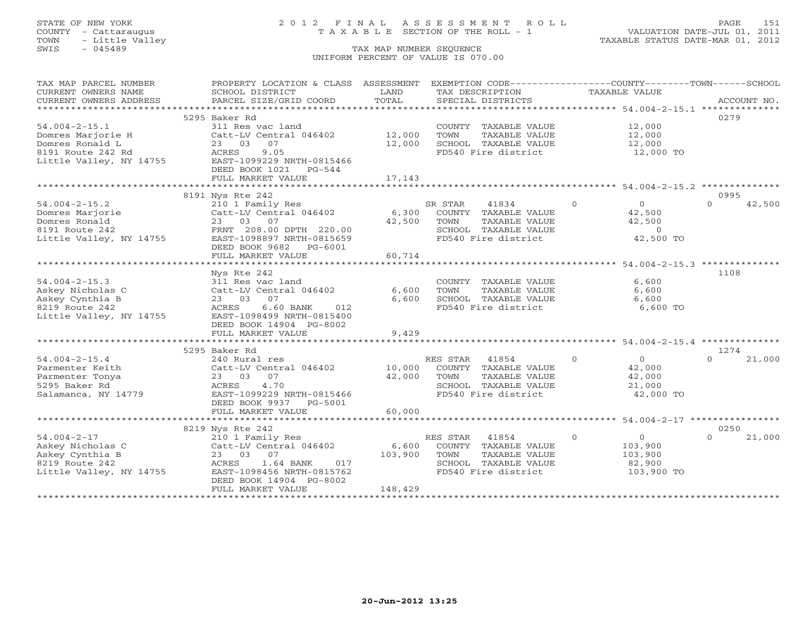# STATE OF NEW YORK 2 0 1 2 F I N A L A S S E S S M E N T R O L L PAGE 151 COUNTY - Cattaraugus T A X A B L E SECTION OF THE ROLL - 1 VALUATION DATE-JUL 01, 2011

| TAX MAP PARCEL NUMBER<br>CURRENT OWNERS NAME | PROPERTY LOCATION & CLASS ASSESSMENT<br>SCHOOL DISTRICT | LAND    |          | EXEMPTION CODE-----------------COUNTY-------TOWN------SCHOOL<br>TAX DESCRIPTION | TAXABLE VALUE  |                      |          |             |
|----------------------------------------------|---------------------------------------------------------|---------|----------|---------------------------------------------------------------------------------|----------------|----------------------|----------|-------------|
| CURRENT OWNERS ADDRESS                       | PARCEL SIZE/GRID COORD                                  | TOTAL   |          | SPECIAL DISTRICTS                                                               |                |                      |          | ACCOUNT NO. |
|                                              |                                                         |         |          |                                                                                 |                |                      |          |             |
|                                              | 5295 Baker Rd                                           |         |          |                                                                                 |                |                      | 0279     |             |
| $54.004 - 2 - 15.1$                          | 311 Res vac land                                        |         |          | COUNTY TAXABLE VALUE                                                            |                | 12,000               |          |             |
| Domres Marjorie H                            | Catt-LV Central 046402                                  | 12,000  | TOWN     | TAXABLE VALUE                                                                   |                | 12,000               |          |             |
| Domres Ronald L                              | 23 03<br>07                                             | 12,000  |          | SCHOOL TAXABLE VALUE                                                            |                | 12,000               |          |             |
| 8191 Route 242 Rd                            | ACRES<br>9.05                                           |         |          | FD540 Fire district                                                             |                | 12,000 TO            |          |             |
| Little Valley, NY 14755                      | EAST-1099229 NRTH-0815466                               |         |          |                                                                                 |                |                      |          |             |
|                                              | DEED BOOK 1021<br>PG-544                                |         |          |                                                                                 |                |                      |          |             |
|                                              | FULL MARKET VALUE                                       | 17,143  |          |                                                                                 |                |                      |          |             |
|                                              |                                                         |         |          |                                                                                 |                |                      |          |             |
|                                              | 8191 Nys Rte 242                                        |         |          |                                                                                 |                |                      | 0995     |             |
| $54.004 - 2 - 15.2$                          | 210 1 Family Res                                        |         | SR STAR  | 41834                                                                           | $\overline{0}$ | $\overline{0}$       | $\Omega$ | 42,500      |
| Domres Marjorie                              | Catt-LV Central 046402                                  |         |          | 6,300 COUNTY TAXABLE VALUE                                                      |                | 42,500               |          |             |
| Domres Ronald                                | 23 03 07                                                | 42,500  | TOWN     | TAXABLE VALUE                                                                   |                | 42,500               |          |             |
| 8191 Route 242                               | FRNT 208.00 DPTH 220.00                                 |         |          | SCHOOL TAXABLE VALUE                                                            |                | $\overline{0}$       |          |             |
| Little Valley, NY 14755                      | EAST-1098897 NRTH-0815659                               |         |          | FD540 Fire district                                                             |                | 42,500 TO            |          |             |
|                                              | DEED BOOK 9682 PG-6001                                  |         |          |                                                                                 |                |                      |          |             |
|                                              | FULL MARKET VALUE                                       | 60,714  |          |                                                                                 |                |                      |          |             |
|                                              | Nys Rte 242                                             |         |          |                                                                                 |                |                      | 1108     |             |
| $54.004 - 2 - 15.3$                          | 311 Res vac land                                        |         |          | COUNTY TAXABLE VALUE                                                            |                | 6,600                |          |             |
| Askey Nicholas C                             | Catt-LV Central 046402                                  | 6,600   | TOWN     | TAXABLE VALUE                                                                   |                | 6,600                |          |             |
| Askey Cynthia B                              | 23 03<br>07                                             | 6,600   |          | SCHOOL TAXABLE VALUE                                                            |                | 6,600                |          |             |
| 8219 Route 242                               | ACRES<br>6.60 BANK<br>012                               |         |          | FD540 Fire district                                                             |                | 6,600 TO             |          |             |
| Little Valley, NY 14755                      | EAST-1098499 NRTH-0815400                               |         |          |                                                                                 |                |                      |          |             |
|                                              | DEED BOOK 14904 PG-8002                                 |         |          |                                                                                 |                |                      |          |             |
|                                              | FULL MARKET VALUE                                       | 9,429   |          |                                                                                 |                |                      |          |             |
|                                              |                                                         |         |          |                                                                                 |                |                      |          |             |
|                                              | 5295 Baker Rd                                           |         |          |                                                                                 |                |                      | 1274     |             |
| $54.004 - 2 - 15.4$                          | 240 Rural res                                           |         | RES STAR | 41854                                                                           | $\Omega$       | $\overline{0}$       | $\Omega$ | 21,000      |
| Parmenter Keith                              | Catt-LV Central 046402                                  | 10,000  |          | COUNTY TAXABLE VALUE                                                            |                | 42,000               |          |             |
| Parmenter Tonya                              | 23 03 07                                                | 42,000  | TOWN     | TAXABLE VALUE                                                                   |                | 42,000               |          |             |
| 5295 Baker Rd                                | 4.70<br>ACRES                                           |         |          | SCHOOL TAXABLE VALUE                                                            |                | 21,000               |          |             |
| Salamanca, NY 14779                          | EAST-1099229 NRTH-0815466                               |         |          | FD540 Fire district                                                             |                | 42,000 TO            |          |             |
|                                              | DEED BOOK 9937 PG-5001                                  |         |          |                                                                                 |                |                      |          |             |
|                                              | FULL MARKET VALUE                                       | 60,000  |          |                                                                                 |                |                      |          |             |
|                                              |                                                         |         |          |                                                                                 |                |                      |          |             |
|                                              | 8219 Nys Rte 242                                        |         |          |                                                                                 |                |                      | 0250     |             |
| $54.004 - 2 - 17$                            | 210 1 Family Res                                        |         | RES STAR | 41854                                                                           | $\Omega$       | $\overline{O}$       | $\Omega$ | 21,000      |
| Askey Nicholas C                             | Catt-LV Central 046402                                  | 6,600   |          | COUNTY TAXABLE VALUE                                                            |                | 103,900              |          |             |
| Askey Cynthia B<br>8219 Route 242            | 23 03 07<br>ACRES<br>017                                | 103,900 | TOWN     | TAXABLE VALUE<br>SCHOOL TAXABLE VALUE                                           |                | 103,900              |          |             |
| Little Valley, NY 14755                      | 1.64 BANK<br>EAST-1098456 NRTH-0815762                  |         |          | FD540 Fire district                                                             |                | 82,900<br>103,900 TO |          |             |
|                                              | DEED BOOK 14904 PG-8002                                 |         |          |                                                                                 |                |                      |          |             |
|                                              | FULL MARKET VALUE                                       | 148,429 |          |                                                                                 |                |                      |          |             |
|                                              |                                                         |         |          |                                                                                 |                |                      |          |             |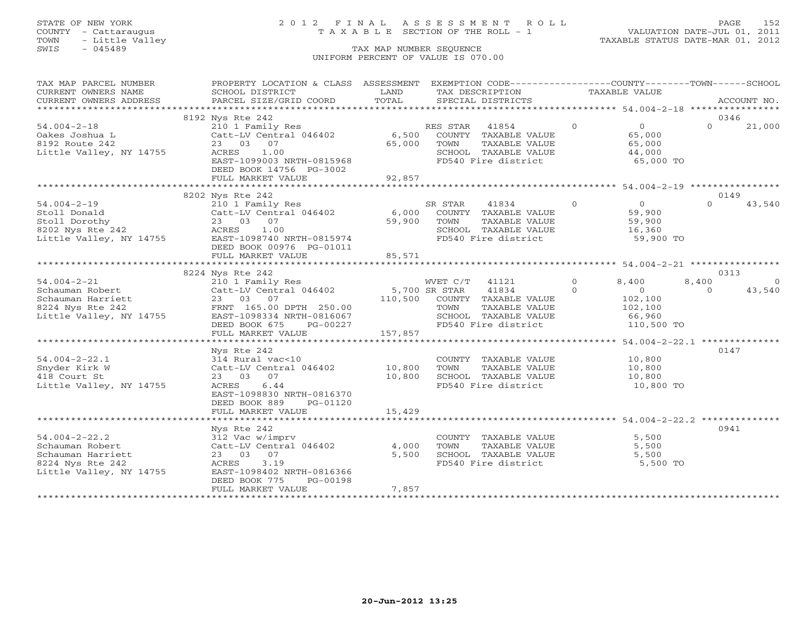# STATE OF NEW YORK 2 0 1 2 F I N A L A S S E S S M E N T R O L L PAGE 152 COUNTY - Cattaraugus T A X A B L E SECTION OF THE ROLL - 1 VALUATION DATE-JUL 01, 2011

| TAX MAP PARCEL NUMBER                                                                                                                                                                                                                          | PROPERTY LOCATION & CLASS ASSESSMENT EXEMPTION CODE----------------COUNTY-------TOWN------SCHOOL                                                      |         |                                             |               |                     |          |         |
|------------------------------------------------------------------------------------------------------------------------------------------------------------------------------------------------------------------------------------------------|-------------------------------------------------------------------------------------------------------------------------------------------------------|---------|---------------------------------------------|---------------|---------------------|----------|---------|
| CURRENT OWNERS NAME                                                                                                                                                                                                                            | SCHOOL DISTRICT                                                                                                                                       | LAND    | TAX DESCRIPTION                             | TAXABLE VALUE |                     |          |         |
|                                                                                                                                                                                                                                                |                                                                                                                                                       |         |                                             |               |                     |          |         |
| .CURRENT OWNERS ADDRESS PARCEL SIZE/GRID COORD TOTAL SPECIAL DISTRICTS ACCOUNT NO ACCOUNT NO ACCOUNT NO ARE A LOST AND A LOST A LOST AND A LOST A LOST AND A LOST A LOST AND A LOST A LOST AND A LOST A LOST AND A LOST A LOST                 |                                                                                                                                                       |         |                                             |               |                     |          |         |
|                                                                                                                                                                                                                                                | 8192 Nys Rte 242                                                                                                                                      |         |                                             |               |                     | 0346     |         |
| $54.004 - 2 - 18$                                                                                                                                                                                                                              | 210 1 Family Res                                                                                                                                      |         | RES STAR 41854                              | $\Omega$      | $\overline{0}$      | $\Omega$ | 21,000  |
| Oakes Joshua L                                                                                                                                                                                                                                 | Catt-LV Central 046402                                                                                                                                |         | 6,500 COUNTY TAXABLE VALUE                  |               | 65,000              |          |         |
| 8192 Route 242                                                                                                                                                                                                                                 | 23 03 07                                                                                                                                              | 65,000  | TAXABLE VALUE<br>TOWN                       |               | 65,000              |          |         |
| Little Valley, NY 14755                                                                                                                                                                                                                        | ACRES<br>1.00                                                                                                                                         |         |                                             |               |                     |          |         |
|                                                                                                                                                                                                                                                | EAST-1099003 NRTH-0815968                                                                                                                             |         | SCHOOL TAXABLE VALUE<br>FD540 Fire district |               | 44,000<br>65,000 TO |          |         |
|                                                                                                                                                                                                                                                | DEED BOOK 14756 PG-3002                                                                                                                               |         |                                             |               |                     |          |         |
|                                                                                                                                                                                                                                                | FULL MARKET VALUE                                                                                                                                     | 92,857  |                                             |               |                     |          |         |
|                                                                                                                                                                                                                                                |                                                                                                                                                       |         |                                             |               |                     |          |         |
|                                                                                                                                                                                                                                                | 8202 Nys Rte 242                                                                                                                                      |         |                                             |               |                     | 0149     |         |
| $54.004 - 2 - 19$                                                                                                                                                                                                                              | 210 1 Family Res<br>Catt-LV Central 046402 6,000 COUNTY TAXABLE VALUE<br>23 03 07 59,900 TOWN TAXABLE VALUE<br>ACRES 1.00 59,900 SCHOOL TAXABLE VALUE |         | $\overline{0}$                              |               | 0<br>59,900         | $\Omega$ | 43,540  |
|                                                                                                                                                                                                                                                |                                                                                                                                                       |         |                                             |               |                     |          |         |
|                                                                                                                                                                                                                                                |                                                                                                                                                       |         | TAXABLE VALUE                               |               | 59,900              |          |         |
|                                                                                                                                                                                                                                                |                                                                                                                                                       |         |                                             |               | 16,360              |          |         |
| 54.004-2-19 210 1 Family Res<br>Stoll Donald Catt-LV Central 046402<br>Stoll Dorothy 23 03 07<br>8202 Nys Rte 242 ACRES 1.00<br>Little Valley, NY 14755 EAST-1098740 NRTH-0815974                                                              |                                                                                                                                                       |         | SCHOOL TAXABLE VALUE<br>FD540 Fire district |               | 59,900 TO           |          |         |
|                                                                                                                                                                                                                                                | DEED BOOK 00976 PG-01011                                                                                                                              |         |                                             |               |                     |          |         |
|                                                                                                                                                                                                                                                | FULL MARKET VALUE                                                                                                                                     | 85,571  |                                             |               |                     |          |         |
|                                                                                                                                                                                                                                                |                                                                                                                                                       |         |                                             |               |                     |          |         |
|                                                                                                                                                                                                                                                | 8224 Nys Rte 242                                                                                                                                      |         |                                             |               |                     | 0313     |         |
|                                                                                                                                                                                                                                                |                                                                                                                                                       |         |                                             |               | 8,400               | 8,400    | $\circ$ |
|                                                                                                                                                                                                                                                |                                                                                                                                                       |         |                                             |               | $\sim$ 0            | $\Omega$ | 43,540  |
| 54.004-2-21<br>Schauman Robert<br>Schauman Harriett Catt-LV Central 046402<br>Schauman Harriett 23 03 07<br>FRNT 165.00 DPTH 250.00<br>Little Valley, NY 14755<br>EAST-109834 NRTH-0816067<br>EAST-109834 NRTH-0816067<br>EAST-109834 NRTH-081 |                                                                                                                                                       |         |                                             |               | 102,100             |          |         |
|                                                                                                                                                                                                                                                |                                                                                                                                                       |         |                                             |               | 102,100             |          |         |
|                                                                                                                                                                                                                                                |                                                                                                                                                       |         | SCHOOL TAXABLE VALUE 66,960                 |               |                     |          |         |
|                                                                                                                                                                                                                                                | DEED BOOK 675<br>PG-00227                                                                                                                             |         | FD540 Fire district                         |               | 110,500 TO          |          |         |
|                                                                                                                                                                                                                                                | FULL MARKET VALUE                                                                                                                                     | 157,857 |                                             |               |                     |          |         |
|                                                                                                                                                                                                                                                |                                                                                                                                                       |         |                                             |               |                     |          |         |
|                                                                                                                                                                                                                                                | Nys Rte 242                                                                                                                                           |         |                                             |               |                     | 0147     |         |
| $54.004 - 2 - 22.1$                                                                                                                                                                                                                            | 314 Rural vac<10                                                                                                                                      |         | COUNTY TAXABLE VALUE 10,800                 |               |                     |          |         |
| Snyder Kirk W                                                                                                                                                                                                                                  | Catt-LV Central 046402 10,800 TOWN                                                                                                                    |         | TAXABLE VALUE                               |               | 10,800              |          |         |
| 418 Court St                                                                                                                                                                                                                                   | 23 03 07                                                                                                                                              |         |                                             |               |                     |          |         |
| Little Valley, NY 14755                                                                                                                                                                                                                        | ACRES 6.44                                                                                                                                            | 10,800  | SCHOOL TAXABLE VALUE<br>FD540 Fire district |               | 10,800<br>10,800 TO |          |         |
|                                                                                                                                                                                                                                                | EAST-1098830 NRTH-0816370                                                                                                                             |         |                                             |               |                     |          |         |
|                                                                                                                                                                                                                                                |                                                                                                                                                       |         |                                             |               |                     |          |         |
|                                                                                                                                                                                                                                                | DEED BOOK 889<br>PG-01120                                                                                                                             | 15,429  |                                             |               |                     |          |         |
|                                                                                                                                                                                                                                                | FULL MARKET VALUE                                                                                                                                     |         |                                             |               |                     |          |         |
|                                                                                                                                                                                                                                                |                                                                                                                                                       |         |                                             |               |                     |          |         |
|                                                                                                                                                                                                                                                | Nys Rte 242                                                                                                                                           |         |                                             |               |                     | 0941     |         |
| $54.004 - 2 - 22.2$                                                                                                                                                                                                                            | 312 Vac w/imprv<br>Catt-LV Central 046402 4,000                                                                                                       |         | COUNTY TAXABLE VALUE                        |               | 5,500               |          |         |
| Schauman Robert                                                                                                                                                                                                                                |                                                                                                                                                       |         | TAXABLE VALUE<br>TOWN                       |               | 5,500               |          |         |
| Schauman Harriett                                                                                                                                                                                                                              | 23 03 07                                                                                                                                              | 5,500   | SCHOOL TAXABLE VALUE<br>FD540 Fire district |               | 5,500               |          |         |
| 8224 Nys Rte 242                                                                                                                                                                                                                               | 3.19<br>ACRES                                                                                                                                         |         |                                             |               | 5,500 TO            |          |         |
| Little Valley, NY 14755                                                                                                                                                                                                                        | EAST-1098402 NRTH-0816366                                                                                                                             |         |                                             |               |                     |          |         |
|                                                                                                                                                                                                                                                | DEED BOOK 775<br>PG-00198                                                                                                                             |         |                                             |               |                     |          |         |
|                                                                                                                                                                                                                                                | FULL MARKET VALUE                                                                                                                                     | 7,857   |                                             |               |                     |          |         |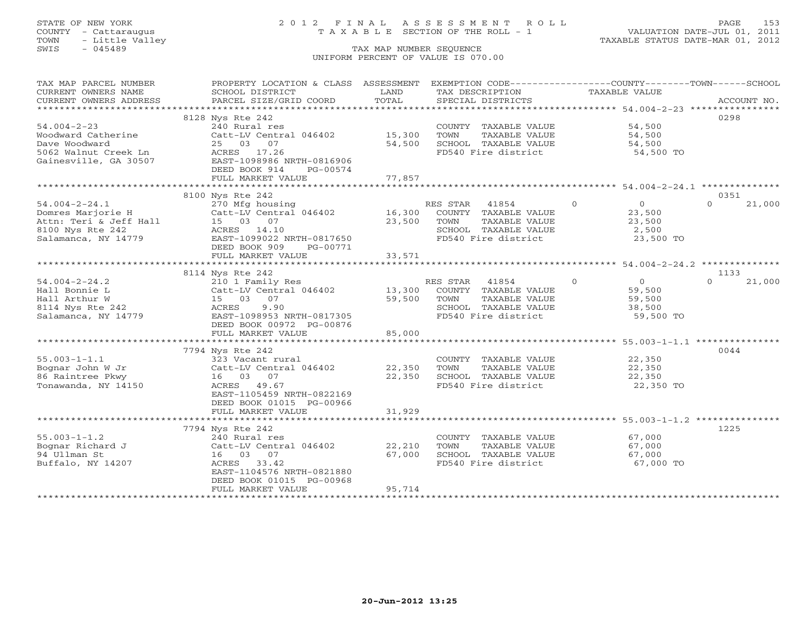# STATE OF NEW YORK 2 0 1 2 F I N A L A S S E S S M E N T R O L L PAGE 153 COUNTY - Cattaraugus T A X A B L E SECTION OF THE ROLL - 1 VALUATION DATE-JUL 01, 2011

| TAX MAP PARCEL NUMBER  | PROPERTY LOCATION & CLASS ASSESSMENT |                  | EXEMPTION CODE----------------COUNTY-------TOWN------SCHOOL |                                                           |                    |
|------------------------|--------------------------------------|------------------|-------------------------------------------------------------|-----------------------------------------------------------|--------------------|
| CURRENT OWNERS NAME    | SCHOOL DISTRICT                      | LAND             | TAX DESCRIPTION                                             | <b>TAXABLE VALUE</b>                                      |                    |
| CURRENT OWNERS ADDRESS | PARCEL SIZE/GRID COORD               | TOTAL            | SPECIAL DISTRICTS                                           |                                                           | ACCOUNT NO.        |
|                        |                                      |                  |                                                             |                                                           |                    |
|                        | 8128 Nys Rte 242                     |                  |                                                             |                                                           | 0298               |
| $54.004 - 2 - 23$      | 240 Rural res                        |                  | COUNTY TAXABLE VALUE                                        | 54,500                                                    |                    |
| Woodward Catherine     | Catt-LV Central 046402               | 15,300           | TOWN<br>TAXABLE VALUE                                       | 54,500                                                    |                    |
| Dave Woodward          | 25 03 07                             | 54,500           | SCHOOL TAXABLE VALUE                                        | 54,500                                                    |                    |
| 5062 Walnut Creek Ln   | ACRES 17.26                          |                  | FD540 Fire district                                         | 54,500 TO                                                 |                    |
| Gainesville, GA 30507  | EAST-1098986 NRTH-0816906            |                  |                                                             |                                                           |                    |
|                        | DEED BOOK 914<br>PG-00574            |                  |                                                             |                                                           |                    |
|                        | FULL MARKET VALUE                    | 77,857           |                                                             |                                                           |                    |
|                        | *************************            | *************    |                                                             | ********************************* 54.004-2-24.1 ********* |                    |
|                        | 8100 Nys Rte 242                     |                  |                                                             |                                                           | 0351               |
| $54.004 - 2 - 24.1$    | 270 Mfg housing                      |                  | RES STAR<br>41854                                           | $\Omega$<br>$\overline{0}$                                | $\cap$<br>21,000   |
| Domres Marjorie H      | Catt-LV Central 046402               | 16,300           | COUNTY TAXABLE VALUE                                        | 23,500                                                    |                    |
| Attn: Teri & Jeff Hall | 15 03 07                             | 23,500           | TAXABLE VALUE<br>TOWN                                       | 23,500                                                    |                    |
| 8100 Nys Rte 242       | ACRES 14.10                          |                  | SCHOOL TAXABLE VALUE                                        | 2,500                                                     |                    |
| Salamanca, NY 14779    | EAST-1099022 NRTH-0817650            |                  | FD540 Fire district                                         | 23,500 TO                                                 |                    |
|                        | DEED BOOK 909<br>PG-00771            |                  |                                                             |                                                           |                    |
|                        | FULL MARKET VALUE                    | 33,571           |                                                             |                                                           |                    |
|                        |                                      |                  |                                                             |                                                           |                    |
|                        | 8114 Nys Rte 242                     |                  |                                                             |                                                           | 1133               |
| $54.004 - 2 - 24.2$    | 210 1 Family Res                     |                  | RES STAR<br>41854                                           | $\Omega$<br>$\overline{0}$                                | $\Omega$<br>21,000 |
| Hall Bonnie L          | Catt-LV Central 046402               | 13,300           | COUNTY TAXABLE VALUE                                        | 59,500                                                    |                    |
| Hall Arthur W          | 15 03 07                             | 59,500           | TOWN<br>TAXABLE VALUE                                       | 59,500                                                    |                    |
| 8114 Nys Rte 242       | 9.90<br>ACRES                        |                  | SCHOOL TAXABLE VALUE                                        | 38,500                                                    |                    |
| Salamanca, NY 14779    | EAST-1098953 NRTH-0817305            |                  | FD540 Fire district                                         | 59,500 TO                                                 |                    |
|                        | DEED BOOK 00972 PG-00876             |                  |                                                             |                                                           |                    |
|                        | FULL MARKET VALUE                    | 85,000           |                                                             |                                                           |                    |
|                        |                                      |                  |                                                             |                                                           |                    |
|                        | 7794 Nys Rte 242                     |                  |                                                             |                                                           | 0044               |
| $55.003 - 1 - 1.1$     | 323 Vacant rural                     |                  | COUNTY TAXABLE VALUE                                        | 22,350                                                    |                    |
| Bognar John W Jr       | Catt-LV Central 046402               | 22,350<br>22,350 | TAXABLE VALUE<br>TOWN                                       | 22,350                                                    |                    |
| 86 Raintree Pkwy       | 16 03 07<br>ACRES 49.67              |                  | SCHOOL TAXABLE VALUE                                        | 22,350                                                    |                    |
| Tonawanda, NY 14150    | EAST-1105459 NRTH-0822169            |                  | FD540 Fire district                                         | 22,350 TO                                                 |                    |
|                        | DEED BOOK 01015 PG-00966             |                  |                                                             |                                                           |                    |
|                        | FULL MARKET VALUE                    | 31,929           |                                                             |                                                           |                    |
|                        |                                      |                  |                                                             |                                                           |                    |
|                        | 7794 Nys Rte 242                     |                  |                                                             |                                                           | 1225               |
| $55.003 - 1 - 1.2$     | 240 Rural res                        |                  | COUNTY TAXABLE VALUE                                        | 67,000                                                    |                    |
| Bognar Richard J       | Catt-LV Central 046402               | 22,210           | TAXABLE VALUE<br>TOWN                                       | 67,000                                                    |                    |
| 94 Ullman St           | 16 03 07                             | 67,000           | SCHOOL TAXABLE VALUE                                        | 67,000                                                    |                    |
| Buffalo, NY 14207      | ACRES 33.42                          |                  | FD540 Fire district                                         | 67,000 TO                                                 |                    |
|                        | EAST-1104576 NRTH-0821880            |                  |                                                             |                                                           |                    |
|                        | DEED BOOK 01015 PG-00968             |                  |                                                             |                                                           |                    |
|                        | FULL MARKET VALUE                    | 95,714           |                                                             |                                                           |                    |
|                        |                                      |                  |                                                             |                                                           |                    |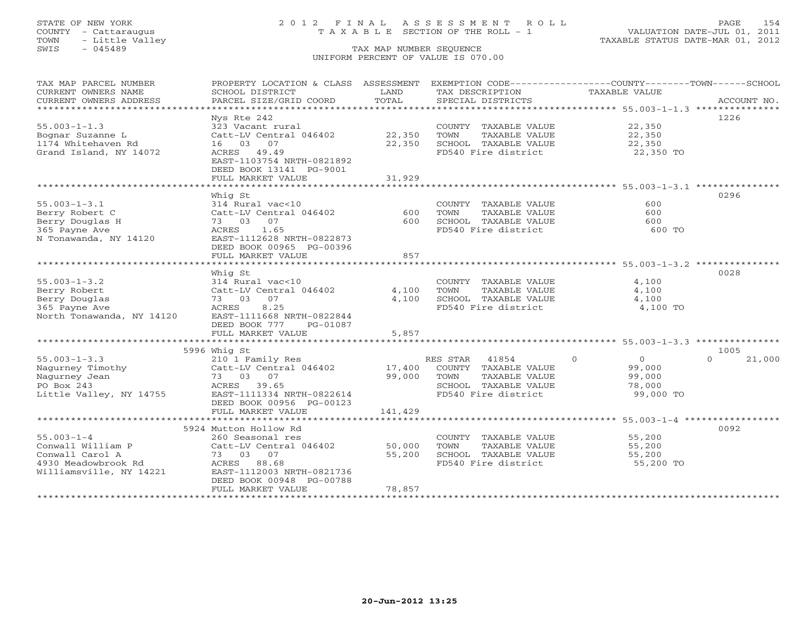# STATE OF NEW YORK 2 0 1 2 F I N A L A S S E S S M E N T R O L L PAGE 154 COUNTY - Cattaraugus T A X A B L E SECTION OF THE ROLL - 1 VALUATION DATE-JUL 01, 2011

| TAX MAP PARCEL NUMBER                         | PROPERTY LOCATION & CLASS ASSESSMENT      |               | EXEMPTION CODE-----------------COUNTY-------TOWN------SCHOOL |                                                 |                    |
|-----------------------------------------------|-------------------------------------------|---------------|--------------------------------------------------------------|-------------------------------------------------|--------------------|
| CURRENT OWNERS NAME<br>CURRENT OWNERS ADDRESS | SCHOOL DISTRICT<br>PARCEL SIZE/GRID COORD | LAND<br>TOTAL | TAX DESCRIPTION<br>SPECIAL DISTRICTS                         | <b>TAXABLE VALUE</b>                            | ACCOUNT NO.        |
| *****************************                 |                                           |               |                                                              |                                                 |                    |
|                                               | Nys Rte 242                               |               |                                                              |                                                 | 1226               |
| $55.003 - 1 - 1.3$                            | 323 Vacant rural                          |               | COUNTY TAXABLE VALUE                                         | 22,350                                          |                    |
| Bognar Suzanne L                              | Catt-LV Central 046402                    | 22,350        | TOWN<br>TAXABLE VALUE                                        | 22,350                                          |                    |
| 1174 Whitehaven Rd                            | 07<br>16 03                               | 22,350        | SCHOOL TAXABLE VALUE                                         | 22,350                                          |                    |
| Grand Island, NY 14072                        | ACRES<br>49.49                            |               | FD540 Fire district                                          | 22,350 TO                                       |                    |
|                                               | EAST-1103754 NRTH-0821892                 |               |                                                              |                                                 |                    |
|                                               | DEED BOOK 13141 PG-9001                   |               |                                                              |                                                 |                    |
|                                               | FULL MARKET VALUE                         | 31,929        |                                                              |                                                 |                    |
|                                               |                                           |               |                                                              |                                                 |                    |
|                                               | Whiq St                                   |               |                                                              |                                                 | 0296               |
| $55.003 - 1 - 3.1$                            | 314 Rural vac<10                          |               | COUNTY TAXABLE VALUE                                         | 600                                             |                    |
| Berry Robert C                                | Catt-LV Central 046402                    | 600           | TOWN<br>TAXABLE VALUE                                        | 600                                             |                    |
| Berry Douglas H                               | 73 03<br>07                               | 600           | SCHOOL TAXABLE VALUE                                         | 600                                             |                    |
| 365 Payne Ave                                 | 1.65<br>ACRES                             |               | FD540 Fire district                                          | 600 TO                                          |                    |
| N Tonawanda, NY 14120                         | EAST-1112628 NRTH-0822873                 |               |                                                              |                                                 |                    |
|                                               | DEED BOOK 00965 PG-00396                  |               |                                                              |                                                 |                    |
|                                               | FULL MARKET VALUE                         | 857           |                                                              |                                                 |                    |
|                                               |                                           | **********    |                                                              | *********************** 55.003-1-3.2 ********** |                    |
|                                               | Whig St                                   |               |                                                              |                                                 | 0028               |
| $55.003 - 1 - 3.2$                            | 314 Rural vac<10                          |               | COUNTY TAXABLE VALUE                                         | 4,100                                           |                    |
| Berry Robert                                  | Catt-LV Central 046402                    | 4,100         | TOWN<br>TAXABLE VALUE                                        | 4,100                                           |                    |
| Berry Douglas                                 | 73 03<br>07                               | 4,100         | SCHOOL TAXABLE VALUE                                         | 4,100                                           |                    |
| 365 Payne Ave                                 | 8.25<br>ACRES                             |               | FD540 Fire district                                          | 4,100 TO                                        |                    |
| North Tonawanda, NY 14120                     | EAST-1111668 NRTH-0822844                 |               |                                                              |                                                 |                    |
|                                               | DEED BOOK 777<br>PG-01087                 |               |                                                              |                                                 |                    |
|                                               | FULL MARKET VALUE                         | 5,857         |                                                              |                                                 |                    |
|                                               |                                           |               |                                                              |                                                 |                    |
|                                               | 5996 Whig St                              |               |                                                              |                                                 | 1005               |
| $55.003 - 1 - 3.3$                            | 210 1 Family Res                          |               | 41854<br>RES STAR                                            | $\circ$<br>$\overline{0}$                       | $\Omega$<br>21,000 |
| Nagurney Timothy                              | Catt-LV Central 046402                    | 17,400        | COUNTY TAXABLE VALUE                                         | 99,000                                          |                    |
| Nagurney Jean                                 | 73 03 07                                  | 99,000        | TOWN<br>TAXABLE VALUE                                        | 99,000                                          |                    |
| PO Box 243                                    | ACRES 39.65                               |               | SCHOOL TAXABLE VALUE                                         | 78,000                                          |                    |
| Little Valley, NY 14755                       | EAST-1111334 NRTH-0822614                 |               | FD540 Fire district                                          | 99,000 TO                                       |                    |
|                                               | DEED BOOK 00956 PG-00123                  |               |                                                              |                                                 |                    |
|                                               | FULL MARKET VALUE                         | 141,429       |                                                              |                                                 |                    |
|                                               |                                           |               |                                                              |                                                 |                    |
|                                               | 5924 Mutton Hollow Rd                     |               |                                                              |                                                 | 0092               |
| $55.003 - 1 - 4$                              | 260 Seasonal res                          |               | COUNTY TAXABLE VALUE                                         | 55,200                                          |                    |
| Conwall William P                             | Catt-LV Central 046402                    | 50,000        | TOWN<br>TAXABLE VALUE                                        | 55,200                                          |                    |
| Conwall Carol A                               | 73 03 07                                  | 55,200        | SCHOOL TAXABLE VALUE                                         | 55,200                                          |                    |
| 4930 Meadowbrook Rd                           | 88.68<br>ACRES                            |               | FD540 Fire district                                          | 55,200 TO                                       |                    |
| Williamsville, NY 14221                       | EAST-1112003 NRTH-0821736                 |               |                                                              |                                                 |                    |
|                                               | DEED BOOK 00948 PG-00788                  |               |                                                              |                                                 |                    |
| **********************                        | FULL MARKET VALUE                         | 78,857        |                                                              |                                                 |                    |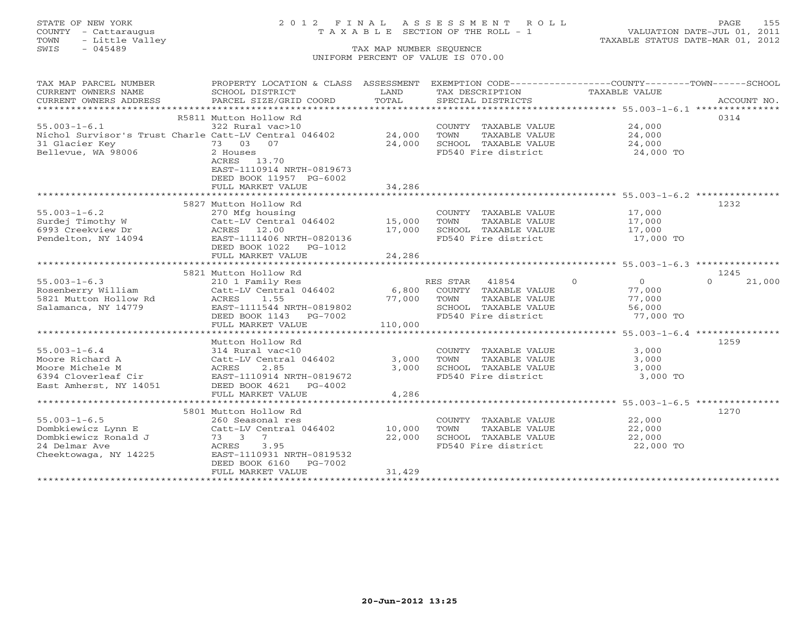# STATE OF NEW YORK 2 0 1 2 F I N A L A S S E S S M E N T R O L L PAGE 155 COUNTY - Cattaraugus T A X A B L E SECTION OF THE ROLL - 1 VALUATION DATE-JUL 01, 2011

| TAX MAP PARCEL NUMBER                  | PROPERTY LOCATION & CLASS ASSESSMENT                         |                           | EXEMPTION CODE-----------------COUNTY-------TOWN------SCHOOL |                      |                    |
|----------------------------------------|--------------------------------------------------------------|---------------------------|--------------------------------------------------------------|----------------------|--------------------|
| CURRENT OWNERS NAME                    | SCHOOL DISTRICT                                              | LAND                      | TAX DESCRIPTION                                              | TAXABLE VALUE        |                    |
| CURRENT OWNERS ADDRESS                 | PARCEL SIZE/GRID COORD                                       | TOTAL                     | SPECIAL DISTRICTS                                            |                      | ACCOUNT NO.        |
|                                        |                                                              |                           |                                                              |                      |                    |
|                                        | R5811 Mutton Hollow Rd                                       |                           |                                                              |                      | 0314               |
| $55.003 - 1 - 6.1$                     | 322 Rural vac>10                                             |                           | COUNTY TAXABLE VALUE                                         | 24,000               |                    |
|                                        | Nichol Survisor's Trust Charle Catt-LV Central 046402 24,000 |                           | TOWN<br>TAXABLE VALUE                                        | 24,000               |                    |
| 31 Glacier Key                         | 73 03 07                                                     | 24,000                    | SCHOOL TAXABLE VALUE                                         | 24,000               |                    |
| Bellevue, WA 98006                     | 2 Houses                                                     |                           | FD540 Fire district                                          | 24,000 TO            |                    |
|                                        | ACRES 13.70                                                  |                           |                                                              |                      |                    |
|                                        | EAST-1110914 NRTH-0819673                                    |                           |                                                              |                      |                    |
|                                        | DEED BOOK 11957 PG-6002                                      |                           |                                                              |                      |                    |
|                                        | FULL MARKET VALUE                                            | 34,286                    |                                                              |                      |                    |
|                                        |                                                              |                           |                                                              |                      |                    |
|                                        | 5827 Mutton Hollow Rd                                        |                           |                                                              |                      | 1232               |
| $55.003 - 1 - 6.2$                     | 270 Mfg housing                                              |                           | COUNTY TAXABLE VALUE                                         | 17,000               |                    |
| Surdej Timothy W                       | Catt-LV Central 046402                                       | 15,000                    | TOWN<br>TAXABLE VALUE                                        | 17,000               |                    |
| 6993 Creekview Dr                      | ACRES 12.00                                                  | 17,000                    | SCHOOL TAXABLE VALUE                                         | 17,000               |                    |
| Pendelton, NY 14094                    | EAST-1111406 NRTH-0820136                                    |                           | FD540 Fire district                                          | 17,000 TO            |                    |
|                                        | DEED BOOK 1022<br>PG-1012                                    |                           |                                                              |                      |                    |
|                                        | FULL MARKET VALUE                                            | 24,286                    |                                                              |                      |                    |
|                                        |                                                              |                           |                                                              |                      |                    |
|                                        | 5821 Mutton Hollow Rd                                        |                           |                                                              |                      | 1245               |
| $55.003 - 1 - 6.3$                     | 210 1 Family Res                                             |                           | RES STAR 41854                                               | $\Omega$<br>$\Omega$ | 21,000<br>$\Omega$ |
| Rosenberry William                     | Catt-LV Central 046402                                       | 6,800                     | COUNTY TAXABLE VALUE                                         | 77,000               |                    |
| 5821 Mutton Hollow Rd                  | ACRES<br>1.55                                                | 77,000                    | TOWN<br>TAXABLE VALUE                                        | 77,000               |                    |
| Salamanca, NY 14779                    | EAST-1111544 NRTH-0819802                                    |                           | SCHOOL TAXABLE VALUE                                         | 56,000               |                    |
|                                        | DEED BOOK 1143 PG-7002                                       |                           | FD540 Fire district                                          | 77,000 TO            |                    |
|                                        | FULL MARKET VALUE<br>******************************          | 110,000<br>************** |                                                              |                      |                    |
|                                        |                                                              |                           |                                                              |                      | 1259               |
| $55.003 - 1 - 6.4$                     | Mutton Hollow Rd                                             |                           |                                                              | 3,000                |                    |
| Moore Richard A                        | 314 Rural vac<10<br>Catt-LV Central 046402                   | 3,000                     | COUNTY TAXABLE VALUE<br>TOWN<br>TAXABLE VALUE                | 3,000                |                    |
|                                        |                                                              |                           |                                                              |                      |                    |
| Moore Michele M<br>6394 Cloverleaf Cir | ACRES<br>2.85<br>EAST-1110914 NRTH-0819672                   | 3,000                     | SCHOOL TAXABLE VALUE<br>FD540 Fire district                  | 3,000<br>3,000 TO    |                    |
| East Amherst, NY 14051                 | DEED BOOK 4621 PG-4002                                       |                           |                                                              |                      |                    |
|                                        | FULL MARKET VALUE                                            | 4,286                     |                                                              |                      |                    |
|                                        |                                                              |                           |                                                              |                      |                    |
|                                        | 5801 Mutton Hollow Rd                                        |                           |                                                              |                      | 1270               |
| $55.003 - 1 - 6.5$                     | 260 Seasonal res                                             |                           | COUNTY TAXABLE VALUE                                         | 22,000               |                    |
| Dombkiewicz Lynn E                     | Catt-LV Central 046402                                       | 10,000                    | TAXABLE VALUE<br>TOWN                                        | 22,000               |                    |
| Dombkiewicz Ronald J                   | $7\overline{ }$<br>73 3                                      | 22,000                    | SCHOOL TAXABLE VALUE                                         | 22,000               |                    |
| 24 Delmar Ave                          | ACRES<br>3.95                                                |                           | FD540 Fire district                                          | 22,000 TO            |                    |
| Cheektowaga, NY 14225                  | EAST-1110931 NRTH-0819532                                    |                           |                                                              |                      |                    |
|                                        | DEED BOOK 6160<br>PG-7002                                    |                           |                                                              |                      |                    |
|                                        | FULL MARKET VALUE                                            | 31,429                    |                                                              |                      |                    |
|                                        |                                                              |                           |                                                              |                      |                    |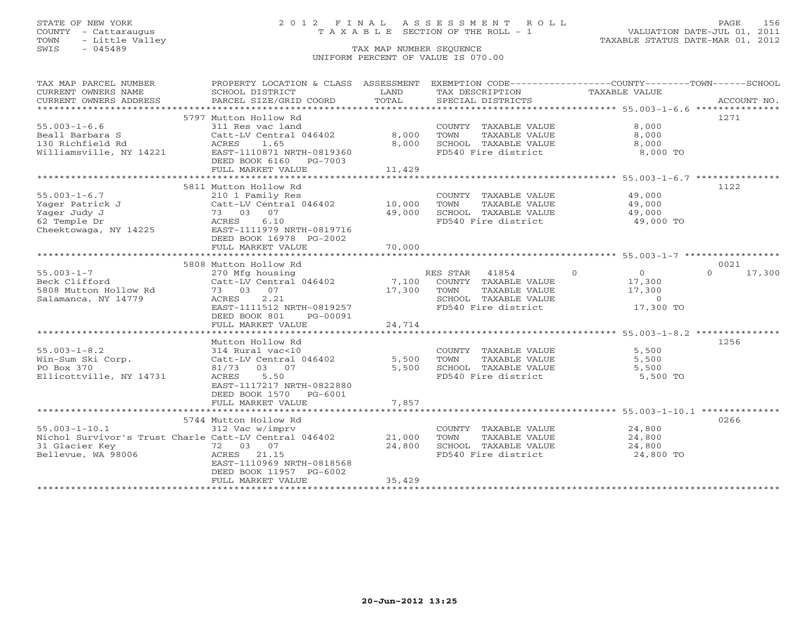# STATE OF NEW YORK 2 0 1 2 F I N A L A S S E S S M E N T R O L L PAGE 156 COUNTY - Cattaraugus T A X A B L E SECTION OF THE ROLL - 1 VALUATION DATE-JUL 01, 2011

| TAX MAP PARCEL NUMBER<br>CURRENT OWNERS NAME<br>CURRENT OWNERS ADDRESS                                               | PROPERTY LOCATION & CLASS ASSESSMENT<br>SCHOOL DISTRICT<br>PARCEL SIZE/GRID COORD                                                                                                                              | LAND<br>TOTAL              | TAX DESCRIPTION<br>SPECIAL DISTRICTS                                                                              | EXEMPTION CODE-----------------COUNTY-------TOWN------SCHOOL<br>TAXABLE VALUE                 | ACCOUNT NO.                |
|----------------------------------------------------------------------------------------------------------------------|----------------------------------------------------------------------------------------------------------------------------------------------------------------------------------------------------------------|----------------------------|-------------------------------------------------------------------------------------------------------------------|-----------------------------------------------------------------------------------------------|----------------------------|
| *************************<br>$55.003 - 1 - 6.6$<br>Beall Barbara S<br>130 Richfield Rd<br>Williamsville, NY 14221    | 5797 Mutton Hollow Rd<br>311 Res vac land<br>Catt-LV Central 046402<br>ACRES<br>1.65<br>EAST-1110871 NRTH-0819360<br>DEED BOOK 6160 PG-7003<br>FULL MARKET VALUE                                               | 8,000<br>8,000<br>11,429   | COUNTY TAXABLE VALUE<br>TOWN<br>TAXABLE VALUE<br>SCHOOL TAXABLE VALUE<br>FD540 Fire district                      | 8,000<br>8,000<br>8,000<br>8,000 TO                                                           | 1271                       |
| $55.003 - 1 - 6.7$<br>Yager Patrick J<br>Yager Judy J<br>62 Temple Dr<br>Cheektowaga, NY 14225                       | 5811 Mutton Hollow Rd<br>210 1 Family Res<br>Catt-LV Central 046402<br>73 03 07<br>6.10<br>ACRES<br>EAST-1111979 NRTH-0819716<br>DEED BOOK 16978 PG-2002<br>FULL MARKET VALUE                                  | 10,000<br>49,000<br>70,000 | COUNTY TAXABLE VALUE<br>TOWN<br>TAXABLE VALUE<br>SCHOOL TAXABLE VALUE<br>FD540 Fire district                      | 49,000<br>49,000<br>49,000<br>49,000 TO                                                       | 1122                       |
| $55.003 - 1 - 7$<br>Beck Clifford<br>5808 Mutton Hollow Rd<br>Salamanca, NY 14779                                    | 5808 Mutton Hollow Rd<br>270 Mfg housing<br>Catt-LV Central 046402<br>73 03 07<br>ACRES<br>2.21<br>EAST-1111512 NRTH-0819257<br>DEED BOOK 801<br>PG-00091<br>FULL MARKET VALUE                                 | 7,100<br>17,300<br>24,714  | RES STAR<br>41854<br>COUNTY TAXABLE VALUE<br>TAXABLE VALUE<br>TOWN<br>SCHOOL TAXABLE VALUE<br>FD540 Fire district | $\Omega$<br>$\overline{0}$<br>17,300<br>17,300<br>$\circ$<br>17,300 TO                        | 0021<br>$\Omega$<br>17,300 |
| $55.003 - 1 - 8.2$<br>Win-Sum Ski Corp.<br>PO Box 370<br>Ellicottville, NY 14731                                     | *****************************<br>Mutton Hollow Rd<br>314 Rural vac<10<br>Catt-LV Central 046402<br>81/73 03 07<br>ACRES<br>5.50<br>EAST-1117217 NRTH-0822880<br>DEED BOOK 1570<br>PG-6001<br>FULL MARKET VALUE | 5,500<br>5,500<br>7,857    | COUNTY TAXABLE VALUE<br>TOWN<br>TAXABLE VALUE<br>SCHOOL TAXABLE VALUE<br>FD540 Fire district                      | ************************ 55.003-1-8.2 ****************<br>5,500<br>5,500<br>5,500<br>5,500 TO | 1256                       |
| $55.003 - 1 - 10.1$<br>Nichol Survivor's Trust Charle Catt-LV Central 046402<br>31 Glacier Key<br>Bellevue, WA 98006 | *******************<br>5744 Mutton Hollow Rd<br>312 Vac w/imprv<br>72 03 07<br>ACRES 21.15<br>EAST-1110969 NRTH-0818568<br>DEED BOOK 11957 PG-6002<br>FULL MARKET VALUE<br>************************            | 21,000<br>24,800<br>35,429 | COUNTY TAXABLE VALUE<br>TOWN<br>TAXABLE VALUE<br>SCHOOL TAXABLE VALUE<br>FD540 Fire district                      | ********************* 55.003-1-10.1 **************<br>24,800<br>24,800<br>24,800<br>24,800 TO | 0266                       |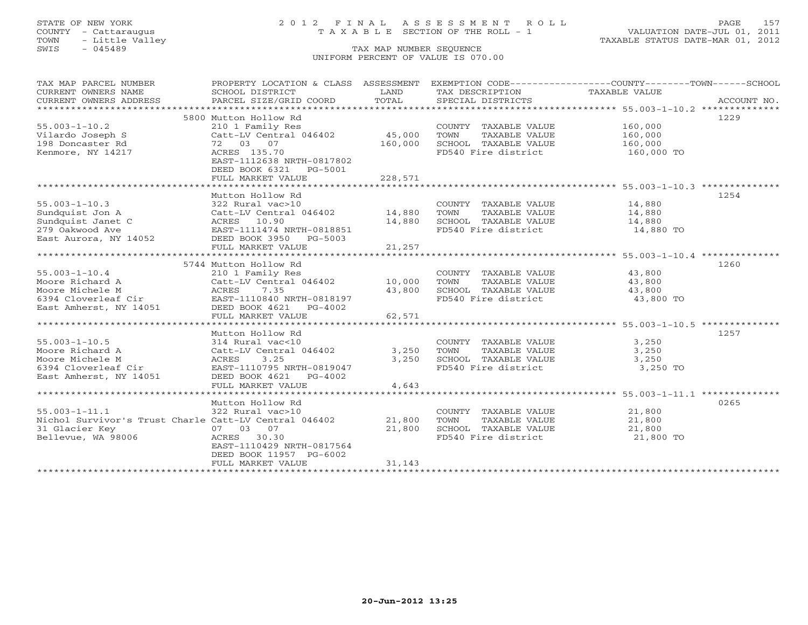# STATE OF NEW YORK 2 0 1 2 F I N A L A S S E S S M E N T R O L L PAGE 157 COUNTY - Cattaraugus T A X A B L E SECTION OF THE ROLL - 1 VALUATION DATE-JUL 01, 2011

| TAX MAP PARCEL NUMBER<br>CURRENT OWNERS NAME<br>CURRENT OWNERS ADDRESS | PROPERTY LOCATION & CLASS ASSESSMENT<br>SCHOOL DISTRICT<br>PARCEL SIZE/GRID COORD | LAND<br>TOTAL | TAX DESCRIPTION<br>SPECIAL DISTRICTS          | EXEMPTION CODE----------------COUNTY-------TOWN------SCHOOL<br>TAXABLE VALUE<br>ACCOUNT NO. |
|------------------------------------------------------------------------|-----------------------------------------------------------------------------------|---------------|-----------------------------------------------|---------------------------------------------------------------------------------------------|
|                                                                        |                                                                                   |               |                                               |                                                                                             |
|                                                                        | 5800 Mutton Hollow Rd                                                             |               |                                               | 1229                                                                                        |
| $55.003 - 1 - 10.2$                                                    | 210 1 Family Res                                                                  |               | COUNTY TAXABLE VALUE                          | 160,000                                                                                     |
| Vilardo Joseph S                                                       | Catt-LV Central 046402                                                            | 45,000        | TOWN<br>TAXABLE VALUE                         | 160,000                                                                                     |
| 198 Doncaster Rd                                                       | 72 03 07                                                                          | 160,000       | SCHOOL TAXABLE VALUE                          | 160,000                                                                                     |
| Kenmore, NY 14217                                                      | ACRES 135.70                                                                      |               | FD540 Fire district                           | 160,000 TO                                                                                  |
|                                                                        | EAST-1112638 NRTH-0817802                                                         |               |                                               |                                                                                             |
|                                                                        | DEED BOOK 6321 PG-5001                                                            |               |                                               |                                                                                             |
|                                                                        | FULL MARKET VALUE                                                                 | 228,571       |                                               |                                                                                             |
|                                                                        |                                                                                   |               |                                               |                                                                                             |
|                                                                        | Mutton Hollow Rd                                                                  |               |                                               | 1254                                                                                        |
| $55.003 - 1 - 10.3$                                                    | 322 Rural vac>10                                                                  |               | COUNTY TAXABLE VALUE                          | 14,880                                                                                      |
| Sundquist Jon A                                                        | Catt-LV Central 046402 14,880                                                     |               | TOWN<br>TAXABLE VALUE                         | 14,880                                                                                      |
| Sundquist Janet C                                                      | ACRES 10.90                                                                       | 14,880        | SCHOOL TAXABLE VALUE                          | 14,880                                                                                      |
| 279 Oakwood Ave                                                        | EAST-1111474 NRTH-0818851                                                         |               | FD540 Fire district                           | 14,880 TO                                                                                   |
| East Aurora, NY 14052                                                  | DEED BOOK 3950 PG-5003                                                            |               |                                               |                                                                                             |
|                                                                        | FULL MARKET VALUE                                                                 | 21,257        |                                               |                                                                                             |
|                                                                        |                                                                                   |               |                                               |                                                                                             |
|                                                                        | 5744 Mutton Hollow Rd                                                             |               |                                               | 1260                                                                                        |
| $55.003 - 1 - 10.4$                                                    | 210 1 Family Res                                                                  |               | COUNTY TAXABLE VALUE                          | 43,800                                                                                      |
| Moore Richard A                                                        | Catt-LV Central 046402                                                            | 10,000        | TOWN<br>TAXABLE VALUE<br>SCHOOL TAXABLE VALUE | 43,800                                                                                      |
| Moore Michele M<br>6394 Cloverleaf Cir                                 | 7.35<br>ACRES<br>EAST-1110840 NRTH-0818197                                        | 43,800        | FD540 Fire district                           | 43,800<br>43,800 TO                                                                         |
| East Amherst, NY 14051                                                 | DEED BOOK 4621 PG-4002                                                            |               |                                               |                                                                                             |
|                                                                        | FULL MARKET VALUE                                                                 | 62,571        |                                               |                                                                                             |
|                                                                        |                                                                                   |               |                                               |                                                                                             |
|                                                                        | Mutton Hollow Rd                                                                  |               |                                               | 1257                                                                                        |
| $55.003 - 1 - 10.5$                                                    | 314 Rural vac<10                                                                  |               | COUNTY TAXABLE VALUE                          | 3,250                                                                                       |
| Moore Richard A                                                        | Catt-LV Central 046402                                                            | 3,250         | TAXABLE VALUE<br>TOWN                         | 3,250                                                                                       |
| Moore Michele M                                                        | ACRES<br>3.25                                                                     | 3,250         | SCHOOL TAXABLE VALUE                          | 3,250                                                                                       |
| 6394 Cloverleaf Cir                                                    | EAST-1110795 NRTH-0819047                                                         |               | FD540 Fire district                           | 3,250 TO                                                                                    |
| East Amherst, NY 14051                                                 | DEED BOOK 4621<br>PG-4002                                                         |               |                                               |                                                                                             |
|                                                                        | FULL MARKET VALUE                                                                 | 4,643         |                                               |                                                                                             |
|                                                                        |                                                                                   |               |                                               |                                                                                             |
|                                                                        | Mutton Hollow Rd                                                                  |               |                                               | 0265                                                                                        |
| $55.003 - 1 - 11.1$                                                    | 322 Rural vac>10                                                                  |               | COUNTY TAXABLE VALUE                          | 21,800                                                                                      |
| Nichol Survivor's Trust Charle Catt-LV Central 046402                  |                                                                                   | 21,800        | TOWN<br>TAXABLE VALUE                         | 21,800                                                                                      |
| 31 Glacier Key                                                         | 07 03 07                                                                          | 21,800        | SCHOOL TAXABLE VALUE                          | 21,800                                                                                      |
| Bellevue, WA 98006                                                     | ACRES 30.30                                                                       |               | FD540 Fire district                           | 21,800 TO                                                                                   |
|                                                                        | EAST-1110429 NRTH-0817564                                                         |               |                                               |                                                                                             |
|                                                                        | DEED BOOK 11957 PG-6002                                                           |               |                                               |                                                                                             |
|                                                                        | FULL MARKET VALUE                                                                 | 31,143        |                                               |                                                                                             |
|                                                                        |                                                                                   |               |                                               |                                                                                             |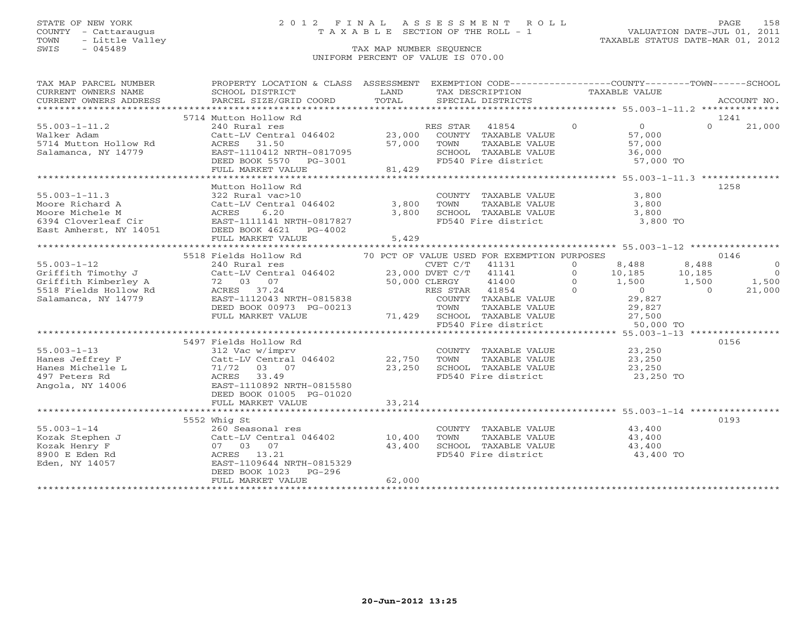### STATE OF NEW YORK 2 0 1 2 F I N A L A S S E S S M E N T R O L L PAGE 158 COUNTY - Cattaraugus T A X A B L E SECTION OF THE ROLL - 1 VALUATION DATE-JUL 01, 2011

| TAX MAP PARCEL NUMBER                                                                                           | PROPERTY LOCATION & CLASS ASSESSMENT EXEMPTION CODE---------------COUNTY-------TOWN------SCHOOL<br>TA PIE TAND TRINITY AND TRINITY IN THE TAND TRINITY OWNERS NOTICE THE SCHOOL DISTRICT TO LAND TAXABLE VALUE<br>CURRENT OWNERS ADDRESS BARCEL SIZE/GRID COORD TOTAL SPECIAL DISTRICTS ACCOUNT NO.<br>******************************** |                            |                                                                                                                                                                                    |                                                                                      |                                                                                                         |
|-----------------------------------------------------------------------------------------------------------------|-----------------------------------------------------------------------------------------------------------------------------------------------------------------------------------------------------------------------------------------------------------------------------------------------------------------------------------------|----------------------------|------------------------------------------------------------------------------------------------------------------------------------------------------------------------------------|--------------------------------------------------------------------------------------|---------------------------------------------------------------------------------------------------------|
|                                                                                                                 | 5714 Mutton Hollow Rd                                                                                                                                                                                                                                                                                                                   |                            |                                                                                                                                                                                    |                                                                                      | 1241                                                                                                    |
| $55.003 - 1 - 11.2$<br>Walker Adam<br>5714 Mutton Hollow Rd<br>Salamanca, NY 14779                              | 240 Rural res<br>Catt-LV Central 046402 23,000 COUNTY TAXABLE VALUE<br>ACRES 31.50 57,000<br>EAST-1110412 NRTH-0817095<br>DEED BOOK 5570 PG-3001<br>FULL MARKET VALUE 81,429                                                                                                                                                            |                            | RES STAR 41854 0<br>COUNTY TAXABLE VALUE 67,000<br>57,000 TOWN<br>TOWN TAXABLE VALUE 57,000<br>SCHOOL TAXABLE VALUE 36,000<br>FD540 Fire district 57,000 TO                        |                                                                                      | $0 \t 21,000$                                                                                           |
|                                                                                                                 |                                                                                                                                                                                                                                                                                                                                         |                            |                                                                                                                                                                                    |                                                                                      |                                                                                                         |
| $55.003 - 1 - 11.3$<br>Moore Richard A                                                                          | Mutton Hollow Rd<br>322 Rural vac>10<br>Catt-LV Central 046402 3,800<br>Moore Michele M<br>6394 Cloverleaf Cir EAST-1111141 NKIR-001.<br>NEED BOOK 4621 PG-4002<br>EAST-1111141 NRTH-0817827<br>FULL MARKET VALUE                                                                                                                       | 3,800<br>5,429             | COUNTY TAXABLE VALUE<br>FD540 Fire district 3,800 TO                                                                                                                               | 3,800                                                                                | 1258                                                                                                    |
|                                                                                                                 |                                                                                                                                                                                                                                                                                                                                         |                            |                                                                                                                                                                                    |                                                                                      |                                                                                                         |
| $55.003 - 1 - 12$<br>Griffith Timothy J<br>Griffith Kimberley A<br>5518 Fields Hollow Rd<br>Salamanca, NY 14779 | 5518 Fields Hollow Rd<br>72 03 07<br>50,000 CLERGY<br>RES STAR<br>$72$ 03 07<br>ACRES 37.24<br>FULL MARKET VALUE                                                                                                                                                                                                                        |                            | 70 PCT OF VALUE USED FOR EXEMPTION PURPOSES<br>CLERGY 41400 0<br>RES STAR 41854 0<br>71,429 SCHOOL TAXABLE VALUE<br>SCHOOL TAXABLE VALUE $27,500$<br>FD540 Fire district 50,000 TO | 8,488<br>10,185 10,185<br>1,500 1,500<br>1,500<br>$\overline{0}$<br>29,827<br>29,827 | 0146<br>8,488<br>$\overline{0}$<br>$\overline{0}$<br>$\frac{1,500}{21,000}$<br>$\overline{0}$<br>21,000 |
| $55.003 - 1 - 13$<br>Hanes Jeffrey F<br>Hanes Michelle L<br>497 Peters Rd<br>Angola, NY 14006                   | 5497 Fields Hollow Rd<br>312 Vac w/imprv<br>Catt-LV Central<br>71/72 03 07<br>ACRES 33.49<br>EAST-1110892 NRT<br>Catt-LV Central 046402<br>EAST-1110892 NRTH-0815580<br>DEED BOOK 01005 PG-01020<br>FULL MARKET VALUE                                                                                                                   | 22,750<br>23,250<br>33,214 | COUNTY TAXABLE VALUE 23,250<br>TOWN<br>TOWN TAXABLE VALUE 23,250<br>SCHOOL TAXABLE VALUE 23,250<br>FD540 Fire district 23,250 TO                                                   |                                                                                      | 0156                                                                                                    |
| $55.003 - 1 - 14$<br>Kozak Stephen J<br>Kozak Henry F<br>8900 E Eden Rd<br>Eden, NY 14057                       | 5552 Whig St<br>260 Seasonal res<br>260 Seasonal res<br>Catt-LV Central 046402<br>07 03 07<br>ACRES 13.21<br>EAST-1109644 NRTH-0815329<br>EAST-1109644 NRTH-0815329<br>DEED BOOK 1023<br>PG-296<br>FULL MARKET VALUE                                                                                                                    | 10,400<br>43,400<br>62,000 | COUNTY TAXABLE VALUE 43,400<br>TOWN      TAXABLE  VALUE<br>SCHOOL    TAXABLE  VALUE<br>FD540 Fire district 43,400 TO                                                               | 43,400<br>43,400                                                                     | 0193                                                                                                    |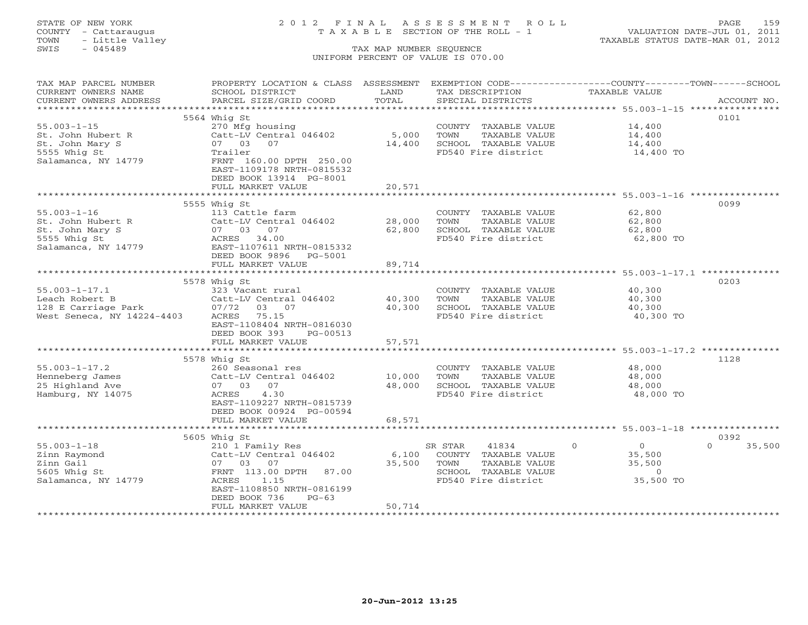# STATE OF NEW YORK 2 0 1 2 F I N A L A S S E S S M E N T R O L L PAGE 159 COUNTY - Cattaraugus T A X A B L E SECTION OF THE ROLL - 1 VALUATION DATE-JUL 01, 2011

| CURRENT OWNERS NAME<br>SCHOOL DISTRICT<br>LAND<br>TAX DESCRIPTION<br>TAXABLE VALUE<br>TOTAL<br>CURRENT OWNERS ADDRESS<br>PARCEL SIZE/GRID COORD<br>SPECIAL DISTRICTS<br>ACCOUNT NO.<br>0101<br>5564 Whig St<br>$55.003 - 1 - 15$<br>270 Mfg housing<br>14,400<br>COUNTY TAXABLE VALUE<br>5,000<br>St. John Hubert R<br>Catt-LV Central 046402<br>TOWN<br>TAXABLE VALUE<br>14,400<br>St. John Mary S<br>07 03<br>07<br>14,400<br>SCHOOL TAXABLE VALUE<br>14,400<br>5555 Whig St<br>Trailer<br>FD540 Fire district<br>14,400 TO<br>Salamanca, NY 14779<br>FRNT 160.00 DPTH 250.00<br>EAST-1109178 NRTH-0815532<br>DEED BOOK 13914 PG-8001<br>20,571<br>FULL MARKET VALUE<br>0099<br>5555 Whig St<br>$55.003 - 1 - 16$<br>113 Cattle farm<br>62,800<br>COUNTY TAXABLE VALUE<br>Catt-LV Central 046402<br>28,000<br>TAXABLE VALUE<br>62,800<br>St. John Hubert R<br>TOWN<br>07 03 07<br>62,800<br>SCHOOL TAXABLE VALUE<br>62,800<br>St. John Mary S<br>FD540 Fire district<br>62,800 TO<br>5555 Whig St<br>ACRES 34.00<br>Salamanca, NY 14779<br>EAST-1107611 NRTH-0815332<br>DEED BOOK 9896 PG-5001<br>FULL MARKET VALUE<br>89,714<br>***********************************55.003-1-17.1 ***************<br>**************<br>0203<br>5578 Whig St<br>$55.003 - 1 - 17.1$<br>323 Vacant rural<br>COUNTY TAXABLE VALUE<br>40,300<br>40,300<br>Leach Robert B<br>Catt-LV Central 046402<br>TAXABLE VALUE<br>TOWN<br>40,300<br>128 E Carriage Park<br>40,300<br>07/72 03 07<br>SCHOOL TAXABLE VALUE<br>40,300<br>West Seneca, NY 14224-4403<br>ACRES 75.15<br>FD540 Fire district<br>40,300 TO<br>EAST-1108404 NRTH-0816030<br>DEED BOOK 393<br>PG-00513<br>FULL MARKET VALUE<br>57,571<br>1128<br>5578 Whig St<br>$55.003 - 1 - 17.2$<br>260 Seasonal res<br>COUNTY TAXABLE VALUE<br>48,000<br>Henneberg James<br>10,000<br>TOWN<br>TAXABLE VALUE<br>48,000<br>Catt-LV Central 046402<br>25 Highland Ave<br>07 03 07<br>48,000<br>SCHOOL TAXABLE VALUE<br>48,000<br>4.30<br>FD540 Fire district<br>48,000 TO<br>Hamburg, NY 14075<br>ACRES<br>EAST-1109227 NRTH-0815739<br>DEED BOOK 00924 PG-00594<br>68,571<br>FULL MARKET VALUE<br>0392<br>5605 Whig St<br>$\Omega$<br>$\Omega$<br>$55.003 - 1 - 18$<br>210 1 Family Res<br>SR STAR<br>41834<br>$\Omega$<br>35,500<br>Catt-LV Central 046402<br>6,100<br>COUNTY TAXABLE VALUE<br>35,500<br>Zinn Raymond<br>Zinn Gail<br>35,500<br>TAXABLE VALUE<br>35,500<br>07 03 07<br>TOWN<br>SCHOOL TAXABLE VALUE<br>5605 Whig St<br>FRNT 113.00 DPTH<br>87.00<br>$\circ$<br>35,500 TO<br>Salamanca, NY 14779<br>ACRES<br>1.15<br>FD540 Fire district<br>EAST-1108850 NRTH-0816199<br>DEED BOOK 736<br>$PG-63$<br>FULL MARKET VALUE<br>50,714 | TAX MAP PARCEL NUMBER | PROPERTY LOCATION & CLASS ASSESSMENT EXEMPTION CODE---------------COUNTY-------TOWN------SCHOOL |  |  |
|-------------------------------------------------------------------------------------------------------------------------------------------------------------------------------------------------------------------------------------------------------------------------------------------------------------------------------------------------------------------------------------------------------------------------------------------------------------------------------------------------------------------------------------------------------------------------------------------------------------------------------------------------------------------------------------------------------------------------------------------------------------------------------------------------------------------------------------------------------------------------------------------------------------------------------------------------------------------------------------------------------------------------------------------------------------------------------------------------------------------------------------------------------------------------------------------------------------------------------------------------------------------------------------------------------------------------------------------------------------------------------------------------------------------------------------------------------------------------------------------------------------------------------------------------------------------------------------------------------------------------------------------------------------------------------------------------------------------------------------------------------------------------------------------------------------------------------------------------------------------------------------------------------------------------------------------------------------------------------------------------------------------------------------------------------------------------------------------------------------------------------------------------------------------------------------------------------------------------------------------------------------------------------------------------------------------------------------------------------------------------------------------------------------------------------------------------------------------------------------------------------------------------------------------------------------------------------------------------------------------------------------------------------------------------------|-----------------------|-------------------------------------------------------------------------------------------------|--|--|
|                                                                                                                                                                                                                                                                                                                                                                                                                                                                                                                                                                                                                                                                                                                                                                                                                                                                                                                                                                                                                                                                                                                                                                                                                                                                                                                                                                                                                                                                                                                                                                                                                                                                                                                                                                                                                                                                                                                                                                                                                                                                                                                                                                                                                                                                                                                                                                                                                                                                                                                                                                                                                                                                               |                       |                                                                                                 |  |  |
|                                                                                                                                                                                                                                                                                                                                                                                                                                                                                                                                                                                                                                                                                                                                                                                                                                                                                                                                                                                                                                                                                                                                                                                                                                                                                                                                                                                                                                                                                                                                                                                                                                                                                                                                                                                                                                                                                                                                                                                                                                                                                                                                                                                                                                                                                                                                                                                                                                                                                                                                                                                                                                                                               |                       |                                                                                                 |  |  |
|                                                                                                                                                                                                                                                                                                                                                                                                                                                                                                                                                                                                                                                                                                                                                                                                                                                                                                                                                                                                                                                                                                                                                                                                                                                                                                                                                                                                                                                                                                                                                                                                                                                                                                                                                                                                                                                                                                                                                                                                                                                                                                                                                                                                                                                                                                                                                                                                                                                                                                                                                                                                                                                                               |                       |                                                                                                 |  |  |
|                                                                                                                                                                                                                                                                                                                                                                                                                                                                                                                                                                                                                                                                                                                                                                                                                                                                                                                                                                                                                                                                                                                                                                                                                                                                                                                                                                                                                                                                                                                                                                                                                                                                                                                                                                                                                                                                                                                                                                                                                                                                                                                                                                                                                                                                                                                                                                                                                                                                                                                                                                                                                                                                               |                       |                                                                                                 |  |  |
|                                                                                                                                                                                                                                                                                                                                                                                                                                                                                                                                                                                                                                                                                                                                                                                                                                                                                                                                                                                                                                                                                                                                                                                                                                                                                                                                                                                                                                                                                                                                                                                                                                                                                                                                                                                                                                                                                                                                                                                                                                                                                                                                                                                                                                                                                                                                                                                                                                                                                                                                                                                                                                                                               |                       |                                                                                                 |  |  |
|                                                                                                                                                                                                                                                                                                                                                                                                                                                                                                                                                                                                                                                                                                                                                                                                                                                                                                                                                                                                                                                                                                                                                                                                                                                                                                                                                                                                                                                                                                                                                                                                                                                                                                                                                                                                                                                                                                                                                                                                                                                                                                                                                                                                                                                                                                                                                                                                                                                                                                                                                                                                                                                                               |                       |                                                                                                 |  |  |
|                                                                                                                                                                                                                                                                                                                                                                                                                                                                                                                                                                                                                                                                                                                                                                                                                                                                                                                                                                                                                                                                                                                                                                                                                                                                                                                                                                                                                                                                                                                                                                                                                                                                                                                                                                                                                                                                                                                                                                                                                                                                                                                                                                                                                                                                                                                                                                                                                                                                                                                                                                                                                                                                               |                       |                                                                                                 |  |  |
|                                                                                                                                                                                                                                                                                                                                                                                                                                                                                                                                                                                                                                                                                                                                                                                                                                                                                                                                                                                                                                                                                                                                                                                                                                                                                                                                                                                                                                                                                                                                                                                                                                                                                                                                                                                                                                                                                                                                                                                                                                                                                                                                                                                                                                                                                                                                                                                                                                                                                                                                                                                                                                                                               |                       |                                                                                                 |  |  |
|                                                                                                                                                                                                                                                                                                                                                                                                                                                                                                                                                                                                                                                                                                                                                                                                                                                                                                                                                                                                                                                                                                                                                                                                                                                                                                                                                                                                                                                                                                                                                                                                                                                                                                                                                                                                                                                                                                                                                                                                                                                                                                                                                                                                                                                                                                                                                                                                                                                                                                                                                                                                                                                                               |                       |                                                                                                 |  |  |
|                                                                                                                                                                                                                                                                                                                                                                                                                                                                                                                                                                                                                                                                                                                                                                                                                                                                                                                                                                                                                                                                                                                                                                                                                                                                                                                                                                                                                                                                                                                                                                                                                                                                                                                                                                                                                                                                                                                                                                                                                                                                                                                                                                                                                                                                                                                                                                                                                                                                                                                                                                                                                                                                               |                       |                                                                                                 |  |  |
|                                                                                                                                                                                                                                                                                                                                                                                                                                                                                                                                                                                                                                                                                                                                                                                                                                                                                                                                                                                                                                                                                                                                                                                                                                                                                                                                                                                                                                                                                                                                                                                                                                                                                                                                                                                                                                                                                                                                                                                                                                                                                                                                                                                                                                                                                                                                                                                                                                                                                                                                                                                                                                                                               |                       |                                                                                                 |  |  |
|                                                                                                                                                                                                                                                                                                                                                                                                                                                                                                                                                                                                                                                                                                                                                                                                                                                                                                                                                                                                                                                                                                                                                                                                                                                                                                                                                                                                                                                                                                                                                                                                                                                                                                                                                                                                                                                                                                                                                                                                                                                                                                                                                                                                                                                                                                                                                                                                                                                                                                                                                                                                                                                                               |                       |                                                                                                 |  |  |
|                                                                                                                                                                                                                                                                                                                                                                                                                                                                                                                                                                                                                                                                                                                                                                                                                                                                                                                                                                                                                                                                                                                                                                                                                                                                                                                                                                                                                                                                                                                                                                                                                                                                                                                                                                                                                                                                                                                                                                                                                                                                                                                                                                                                                                                                                                                                                                                                                                                                                                                                                                                                                                                                               |                       |                                                                                                 |  |  |
|                                                                                                                                                                                                                                                                                                                                                                                                                                                                                                                                                                                                                                                                                                                                                                                                                                                                                                                                                                                                                                                                                                                                                                                                                                                                                                                                                                                                                                                                                                                                                                                                                                                                                                                                                                                                                                                                                                                                                                                                                                                                                                                                                                                                                                                                                                                                                                                                                                                                                                                                                                                                                                                                               |                       |                                                                                                 |  |  |
|                                                                                                                                                                                                                                                                                                                                                                                                                                                                                                                                                                                                                                                                                                                                                                                                                                                                                                                                                                                                                                                                                                                                                                                                                                                                                                                                                                                                                                                                                                                                                                                                                                                                                                                                                                                                                                                                                                                                                                                                                                                                                                                                                                                                                                                                                                                                                                                                                                                                                                                                                                                                                                                                               |                       |                                                                                                 |  |  |
|                                                                                                                                                                                                                                                                                                                                                                                                                                                                                                                                                                                                                                                                                                                                                                                                                                                                                                                                                                                                                                                                                                                                                                                                                                                                                                                                                                                                                                                                                                                                                                                                                                                                                                                                                                                                                                                                                                                                                                                                                                                                                                                                                                                                                                                                                                                                                                                                                                                                                                                                                                                                                                                                               |                       |                                                                                                 |  |  |
|                                                                                                                                                                                                                                                                                                                                                                                                                                                                                                                                                                                                                                                                                                                                                                                                                                                                                                                                                                                                                                                                                                                                                                                                                                                                                                                                                                                                                                                                                                                                                                                                                                                                                                                                                                                                                                                                                                                                                                                                                                                                                                                                                                                                                                                                                                                                                                                                                                                                                                                                                                                                                                                                               |                       |                                                                                                 |  |  |
|                                                                                                                                                                                                                                                                                                                                                                                                                                                                                                                                                                                                                                                                                                                                                                                                                                                                                                                                                                                                                                                                                                                                                                                                                                                                                                                                                                                                                                                                                                                                                                                                                                                                                                                                                                                                                                                                                                                                                                                                                                                                                                                                                                                                                                                                                                                                                                                                                                                                                                                                                                                                                                                                               |                       |                                                                                                 |  |  |
|                                                                                                                                                                                                                                                                                                                                                                                                                                                                                                                                                                                                                                                                                                                                                                                                                                                                                                                                                                                                                                                                                                                                                                                                                                                                                                                                                                                                                                                                                                                                                                                                                                                                                                                                                                                                                                                                                                                                                                                                                                                                                                                                                                                                                                                                                                                                                                                                                                                                                                                                                                                                                                                                               |                       |                                                                                                 |  |  |
|                                                                                                                                                                                                                                                                                                                                                                                                                                                                                                                                                                                                                                                                                                                                                                                                                                                                                                                                                                                                                                                                                                                                                                                                                                                                                                                                                                                                                                                                                                                                                                                                                                                                                                                                                                                                                                                                                                                                                                                                                                                                                                                                                                                                                                                                                                                                                                                                                                                                                                                                                                                                                                                                               |                       |                                                                                                 |  |  |
|                                                                                                                                                                                                                                                                                                                                                                                                                                                                                                                                                                                                                                                                                                                                                                                                                                                                                                                                                                                                                                                                                                                                                                                                                                                                                                                                                                                                                                                                                                                                                                                                                                                                                                                                                                                                                                                                                                                                                                                                                                                                                                                                                                                                                                                                                                                                                                                                                                                                                                                                                                                                                                                                               |                       |                                                                                                 |  |  |
|                                                                                                                                                                                                                                                                                                                                                                                                                                                                                                                                                                                                                                                                                                                                                                                                                                                                                                                                                                                                                                                                                                                                                                                                                                                                                                                                                                                                                                                                                                                                                                                                                                                                                                                                                                                                                                                                                                                                                                                                                                                                                                                                                                                                                                                                                                                                                                                                                                                                                                                                                                                                                                                                               |                       |                                                                                                 |  |  |
|                                                                                                                                                                                                                                                                                                                                                                                                                                                                                                                                                                                                                                                                                                                                                                                                                                                                                                                                                                                                                                                                                                                                                                                                                                                                                                                                                                                                                                                                                                                                                                                                                                                                                                                                                                                                                                                                                                                                                                                                                                                                                                                                                                                                                                                                                                                                                                                                                                                                                                                                                                                                                                                                               |                       |                                                                                                 |  |  |
|                                                                                                                                                                                                                                                                                                                                                                                                                                                                                                                                                                                                                                                                                                                                                                                                                                                                                                                                                                                                                                                                                                                                                                                                                                                                                                                                                                                                                                                                                                                                                                                                                                                                                                                                                                                                                                                                                                                                                                                                                                                                                                                                                                                                                                                                                                                                                                                                                                                                                                                                                                                                                                                                               |                       |                                                                                                 |  |  |
|                                                                                                                                                                                                                                                                                                                                                                                                                                                                                                                                                                                                                                                                                                                                                                                                                                                                                                                                                                                                                                                                                                                                                                                                                                                                                                                                                                                                                                                                                                                                                                                                                                                                                                                                                                                                                                                                                                                                                                                                                                                                                                                                                                                                                                                                                                                                                                                                                                                                                                                                                                                                                                                                               |                       |                                                                                                 |  |  |
|                                                                                                                                                                                                                                                                                                                                                                                                                                                                                                                                                                                                                                                                                                                                                                                                                                                                                                                                                                                                                                                                                                                                                                                                                                                                                                                                                                                                                                                                                                                                                                                                                                                                                                                                                                                                                                                                                                                                                                                                                                                                                                                                                                                                                                                                                                                                                                                                                                                                                                                                                                                                                                                                               |                       |                                                                                                 |  |  |
|                                                                                                                                                                                                                                                                                                                                                                                                                                                                                                                                                                                                                                                                                                                                                                                                                                                                                                                                                                                                                                                                                                                                                                                                                                                                                                                                                                                                                                                                                                                                                                                                                                                                                                                                                                                                                                                                                                                                                                                                                                                                                                                                                                                                                                                                                                                                                                                                                                                                                                                                                                                                                                                                               |                       |                                                                                                 |  |  |
|                                                                                                                                                                                                                                                                                                                                                                                                                                                                                                                                                                                                                                                                                                                                                                                                                                                                                                                                                                                                                                                                                                                                                                                                                                                                                                                                                                                                                                                                                                                                                                                                                                                                                                                                                                                                                                                                                                                                                                                                                                                                                                                                                                                                                                                                                                                                                                                                                                                                                                                                                                                                                                                                               |                       |                                                                                                 |  |  |
|                                                                                                                                                                                                                                                                                                                                                                                                                                                                                                                                                                                                                                                                                                                                                                                                                                                                                                                                                                                                                                                                                                                                                                                                                                                                                                                                                                                                                                                                                                                                                                                                                                                                                                                                                                                                                                                                                                                                                                                                                                                                                                                                                                                                                                                                                                                                                                                                                                                                                                                                                                                                                                                                               |                       |                                                                                                 |  |  |
|                                                                                                                                                                                                                                                                                                                                                                                                                                                                                                                                                                                                                                                                                                                                                                                                                                                                                                                                                                                                                                                                                                                                                                                                                                                                                                                                                                                                                                                                                                                                                                                                                                                                                                                                                                                                                                                                                                                                                                                                                                                                                                                                                                                                                                                                                                                                                                                                                                                                                                                                                                                                                                                                               |                       |                                                                                                 |  |  |
|                                                                                                                                                                                                                                                                                                                                                                                                                                                                                                                                                                                                                                                                                                                                                                                                                                                                                                                                                                                                                                                                                                                                                                                                                                                                                                                                                                                                                                                                                                                                                                                                                                                                                                                                                                                                                                                                                                                                                                                                                                                                                                                                                                                                                                                                                                                                                                                                                                                                                                                                                                                                                                                                               |                       |                                                                                                 |  |  |
|                                                                                                                                                                                                                                                                                                                                                                                                                                                                                                                                                                                                                                                                                                                                                                                                                                                                                                                                                                                                                                                                                                                                                                                                                                                                                                                                                                                                                                                                                                                                                                                                                                                                                                                                                                                                                                                                                                                                                                                                                                                                                                                                                                                                                                                                                                                                                                                                                                                                                                                                                                                                                                                                               |                       |                                                                                                 |  |  |
|                                                                                                                                                                                                                                                                                                                                                                                                                                                                                                                                                                                                                                                                                                                                                                                                                                                                                                                                                                                                                                                                                                                                                                                                                                                                                                                                                                                                                                                                                                                                                                                                                                                                                                                                                                                                                                                                                                                                                                                                                                                                                                                                                                                                                                                                                                                                                                                                                                                                                                                                                                                                                                                                               |                       |                                                                                                 |  |  |
|                                                                                                                                                                                                                                                                                                                                                                                                                                                                                                                                                                                                                                                                                                                                                                                                                                                                                                                                                                                                                                                                                                                                                                                                                                                                                                                                                                                                                                                                                                                                                                                                                                                                                                                                                                                                                                                                                                                                                                                                                                                                                                                                                                                                                                                                                                                                                                                                                                                                                                                                                                                                                                                                               |                       |                                                                                                 |  |  |
|                                                                                                                                                                                                                                                                                                                                                                                                                                                                                                                                                                                                                                                                                                                                                                                                                                                                                                                                                                                                                                                                                                                                                                                                                                                                                                                                                                                                                                                                                                                                                                                                                                                                                                                                                                                                                                                                                                                                                                                                                                                                                                                                                                                                                                                                                                                                                                                                                                                                                                                                                                                                                                                                               |                       |                                                                                                 |  |  |
|                                                                                                                                                                                                                                                                                                                                                                                                                                                                                                                                                                                                                                                                                                                                                                                                                                                                                                                                                                                                                                                                                                                                                                                                                                                                                                                                                                                                                                                                                                                                                                                                                                                                                                                                                                                                                                                                                                                                                                                                                                                                                                                                                                                                                                                                                                                                                                                                                                                                                                                                                                                                                                                                               |                       |                                                                                                 |  |  |
|                                                                                                                                                                                                                                                                                                                                                                                                                                                                                                                                                                                                                                                                                                                                                                                                                                                                                                                                                                                                                                                                                                                                                                                                                                                                                                                                                                                                                                                                                                                                                                                                                                                                                                                                                                                                                                                                                                                                                                                                                                                                                                                                                                                                                                                                                                                                                                                                                                                                                                                                                                                                                                                                               |                       |                                                                                                 |  |  |
|                                                                                                                                                                                                                                                                                                                                                                                                                                                                                                                                                                                                                                                                                                                                                                                                                                                                                                                                                                                                                                                                                                                                                                                                                                                                                                                                                                                                                                                                                                                                                                                                                                                                                                                                                                                                                                                                                                                                                                                                                                                                                                                                                                                                                                                                                                                                                                                                                                                                                                                                                                                                                                                                               |                       |                                                                                                 |  |  |
|                                                                                                                                                                                                                                                                                                                                                                                                                                                                                                                                                                                                                                                                                                                                                                                                                                                                                                                                                                                                                                                                                                                                                                                                                                                                                                                                                                                                                                                                                                                                                                                                                                                                                                                                                                                                                                                                                                                                                                                                                                                                                                                                                                                                                                                                                                                                                                                                                                                                                                                                                                                                                                                                               |                       |                                                                                                 |  |  |
|                                                                                                                                                                                                                                                                                                                                                                                                                                                                                                                                                                                                                                                                                                                                                                                                                                                                                                                                                                                                                                                                                                                                                                                                                                                                                                                                                                                                                                                                                                                                                                                                                                                                                                                                                                                                                                                                                                                                                                                                                                                                                                                                                                                                                                                                                                                                                                                                                                                                                                                                                                                                                                                                               |                       |                                                                                                 |  |  |
|                                                                                                                                                                                                                                                                                                                                                                                                                                                                                                                                                                                                                                                                                                                                                                                                                                                                                                                                                                                                                                                                                                                                                                                                                                                                                                                                                                                                                                                                                                                                                                                                                                                                                                                                                                                                                                                                                                                                                                                                                                                                                                                                                                                                                                                                                                                                                                                                                                                                                                                                                                                                                                                                               |                       |                                                                                                 |  |  |
|                                                                                                                                                                                                                                                                                                                                                                                                                                                                                                                                                                                                                                                                                                                                                                                                                                                                                                                                                                                                                                                                                                                                                                                                                                                                                                                                                                                                                                                                                                                                                                                                                                                                                                                                                                                                                                                                                                                                                                                                                                                                                                                                                                                                                                                                                                                                                                                                                                                                                                                                                                                                                                                                               |                       |                                                                                                 |  |  |
|                                                                                                                                                                                                                                                                                                                                                                                                                                                                                                                                                                                                                                                                                                                                                                                                                                                                                                                                                                                                                                                                                                                                                                                                                                                                                                                                                                                                                                                                                                                                                                                                                                                                                                                                                                                                                                                                                                                                                                                                                                                                                                                                                                                                                                                                                                                                                                                                                                                                                                                                                                                                                                                                               |                       |                                                                                                 |  |  |
|                                                                                                                                                                                                                                                                                                                                                                                                                                                                                                                                                                                                                                                                                                                                                                                                                                                                                                                                                                                                                                                                                                                                                                                                                                                                                                                                                                                                                                                                                                                                                                                                                                                                                                                                                                                                                                                                                                                                                                                                                                                                                                                                                                                                                                                                                                                                                                                                                                                                                                                                                                                                                                                                               |                       |                                                                                                 |  |  |
|                                                                                                                                                                                                                                                                                                                                                                                                                                                                                                                                                                                                                                                                                                                                                                                                                                                                                                                                                                                                                                                                                                                                                                                                                                                                                                                                                                                                                                                                                                                                                                                                                                                                                                                                                                                                                                                                                                                                                                                                                                                                                                                                                                                                                                                                                                                                                                                                                                                                                                                                                                                                                                                                               |                       |                                                                                                 |  |  |
|                                                                                                                                                                                                                                                                                                                                                                                                                                                                                                                                                                                                                                                                                                                                                                                                                                                                                                                                                                                                                                                                                                                                                                                                                                                                                                                                                                                                                                                                                                                                                                                                                                                                                                                                                                                                                                                                                                                                                                                                                                                                                                                                                                                                                                                                                                                                                                                                                                                                                                                                                                                                                                                                               |                       |                                                                                                 |  |  |
|                                                                                                                                                                                                                                                                                                                                                                                                                                                                                                                                                                                                                                                                                                                                                                                                                                                                                                                                                                                                                                                                                                                                                                                                                                                                                                                                                                                                                                                                                                                                                                                                                                                                                                                                                                                                                                                                                                                                                                                                                                                                                                                                                                                                                                                                                                                                                                                                                                                                                                                                                                                                                                                                               |                       |                                                                                                 |  |  |
|                                                                                                                                                                                                                                                                                                                                                                                                                                                                                                                                                                                                                                                                                                                                                                                                                                                                                                                                                                                                                                                                                                                                                                                                                                                                                                                                                                                                                                                                                                                                                                                                                                                                                                                                                                                                                                                                                                                                                                                                                                                                                                                                                                                                                                                                                                                                                                                                                                                                                                                                                                                                                                                                               |                       |                                                                                                 |  |  |
|                                                                                                                                                                                                                                                                                                                                                                                                                                                                                                                                                                                                                                                                                                                                                                                                                                                                                                                                                                                                                                                                                                                                                                                                                                                                                                                                                                                                                                                                                                                                                                                                                                                                                                                                                                                                                                                                                                                                                                                                                                                                                                                                                                                                                                                                                                                                                                                                                                                                                                                                                                                                                                                                               |                       |                                                                                                 |  |  |
|                                                                                                                                                                                                                                                                                                                                                                                                                                                                                                                                                                                                                                                                                                                                                                                                                                                                                                                                                                                                                                                                                                                                                                                                                                                                                                                                                                                                                                                                                                                                                                                                                                                                                                                                                                                                                                                                                                                                                                                                                                                                                                                                                                                                                                                                                                                                                                                                                                                                                                                                                                                                                                                                               |                       |                                                                                                 |  |  |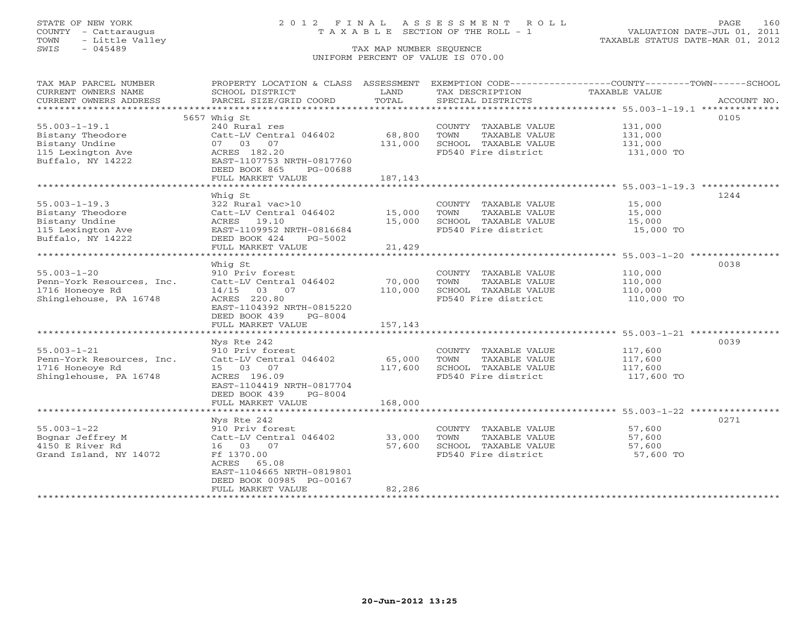# STATE OF NEW YORK 2 0 1 2 F I N A L A S S E S S M E N T R O L L PAGE 160 COUNTY - Cattaraugus T A X A B L E SECTION OF THE ROLL - 1 VALUATION DATE-JUL 01, 2011

| TAX MAP PARCEL NUMBER<br>CURRENT OWNERS NAME | PROPERTY LOCATION & CLASS ASSESSMENT<br>SCHOOL DISTRICT | LAND    | EXEMPTION CODE-----------------COUNTY-------TOWN------SCHOOL<br>TAX DESCRIPTION | TAXABLE VALUE |             |
|----------------------------------------------|---------------------------------------------------------|---------|---------------------------------------------------------------------------------|---------------|-------------|
| CURRENT OWNERS ADDRESS                       | PARCEL SIZE/GRID COORD                                  | TOTAL   | SPECIAL DISTRICTS                                                               |               | ACCOUNT NO. |
|                                              |                                                         |         |                                                                                 |               |             |
|                                              | 5657 Whig St                                            |         |                                                                                 |               | 0105        |
| $55.003 - 1 - 19.1$                          | 240 Rural res                                           |         | COUNTY TAXABLE VALUE                                                            | 131,000       |             |
| Bistany Theodore                             | Catt-LV Central 046402                                  | 68,800  | TOWN<br>TAXABLE VALUE                                                           | 131,000       |             |
| Bistany Undine                               | 07 03 07                                                | 131,000 | SCHOOL TAXABLE VALUE                                                            | 131,000       |             |
| 115 Lexington Ave                            | ACRES 182.20                                            |         | FD540 Fire district                                                             | 131,000 TO    |             |
| Buffalo, NY 14222                            | EAST-1107753 NRTH-0817760                               |         |                                                                                 |               |             |
|                                              | DEED BOOK 865<br>PG-00688                               |         |                                                                                 |               |             |
|                                              | FULL MARKET VALUE                                       | 187,143 |                                                                                 |               |             |
|                                              |                                                         |         |                                                                                 |               |             |
|                                              | Whiq St                                                 |         |                                                                                 |               | 1244        |
| $55.003 - 1 - 19.3$                          | 322 Rural vac>10                                        |         | COUNTY TAXABLE VALUE                                                            | 15,000        |             |
| Bistany Theodore                             | Catt-LV Central 046402                                  | 15,000  | TOWN<br>TAXABLE VALUE                                                           | 15,000        |             |
| Bistany Undine                               | ACRES<br>19.10                                          | 15,000  | SCHOOL TAXABLE VALUE                                                            | 15,000        |             |
| 115 Lexington Ave                            | EAST-1109952 NRTH-0816684                               |         | FD540 Fire district                                                             | 15,000 TO     |             |
| Buffalo, NY 14222                            | DEED BOOK 424<br>PG-5002                                |         |                                                                                 |               |             |
|                                              | FULL MARKET VALUE                                       | 21,429  |                                                                                 |               |             |
|                                              |                                                         |         |                                                                                 |               |             |
|                                              | Whig St                                                 |         |                                                                                 |               | 0038        |
| $55.003 - 1 - 20$                            | 910 Priv forest                                         |         | COUNTY TAXABLE VALUE                                                            | 110,000       |             |
| Penn-York Resources, Inc.                    | Catt-LV Central 046402                                  | 70,000  | TOWN<br>TAXABLE VALUE                                                           | 110,000       |             |
| 1716 Honeoye Rd                              | 14/15 03 07                                             | 110,000 | SCHOOL TAXABLE VALUE                                                            | 110,000       |             |
| Shinglehouse, PA 16748                       | ACRES 220.80                                            |         | FD540 Fire district                                                             | 110,000 TO    |             |
|                                              | EAST-1104392 NRTH-0815220                               |         |                                                                                 |               |             |
|                                              | DEED BOOK 439<br>$PG-8004$                              |         |                                                                                 |               |             |
|                                              | FULL MARKET VALUE                                       | 157,143 |                                                                                 |               |             |
|                                              |                                                         |         |                                                                                 |               |             |
|                                              | Nys Rte 242                                             |         |                                                                                 |               | 0039        |
| $55.003 - 1 - 21$                            | 910 Priv forest                                         |         | COUNTY TAXABLE VALUE                                                            | 117,600       |             |
| Penn-York Resources, Inc.                    | Catt-LV Central 046402                                  | 65,000  | TOWN<br>TAXABLE VALUE                                                           | 117,600       |             |
| 1716 Honeove Rd                              | 15 03 07<br>ACRES 196.09                                | 117,600 | SCHOOL TAXABLE VALUE                                                            | 117,600       |             |
| Shinglehouse, PA 16748                       | EAST-1104419 NRTH-0817704                               |         | FD540 Fire district                                                             | 117,600 TO    |             |
|                                              | DEED BOOK 439<br>$PG-8004$                              |         |                                                                                 |               |             |
|                                              | FULL MARKET VALUE                                       | 168,000 |                                                                                 |               |             |
|                                              |                                                         |         |                                                                                 |               |             |
|                                              | Nys Rte 242                                             |         |                                                                                 |               | 0271        |
| $55.003 - 1 - 22$                            | 910 Priv forest                                         |         | COUNTY TAXABLE VALUE                                                            | 57,600        |             |
| Bognar Jeffrey M                             | Catt-LV Central 046402                                  | 33,000  | TOWN<br>TAXABLE VALUE                                                           | 57,600        |             |
| 4150 E River Rd                              | 16 03 07                                                | 57,600  | SCHOOL TAXABLE VALUE                                                            | 57,600        |             |
| Grand Island, NY 14072                       | Ff 1370.00                                              |         | FD540 Fire district                                                             | 57,600 TO     |             |
|                                              | ACRES<br>65.08                                          |         |                                                                                 |               |             |
|                                              | EAST-1104665 NRTH-0819801                               |         |                                                                                 |               |             |
|                                              | DEED BOOK 00985 PG-00167                                |         |                                                                                 |               |             |
|                                              | FULL MARKET VALUE                                       | 82,286  |                                                                                 |               |             |
|                                              | **********************                                  |         | ***********************                                                         |               |             |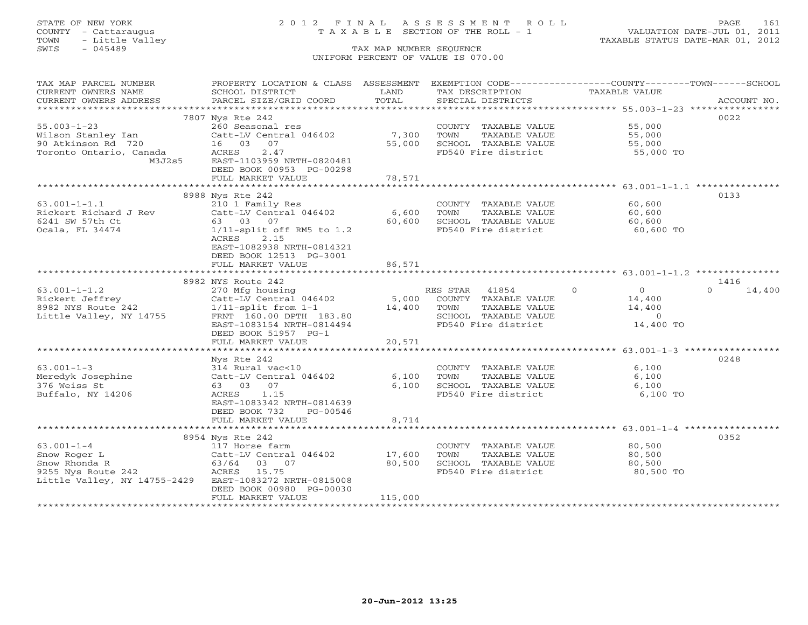# STATE OF NEW YORK 2 0 1 2 F I N A L A S S E S S M E N T R O L L PAGE 161 COUNTY - Cattaraugus T A X A B L E SECTION OF THE ROLL - 1 VALUATION DATE-JUL 01, 2011

| TAX MAP PARCEL NUMBER                                                                                                                                                                                                                               | PROPERTY LOCATION & CLASS ASSESSMENT EXEMPTION CODE---------------COUNTY-------TOWN-----SCHOOL |         |                                                                      |                                              |                    |
|-----------------------------------------------------------------------------------------------------------------------------------------------------------------------------------------------------------------------------------------------------|------------------------------------------------------------------------------------------------|---------|----------------------------------------------------------------------|----------------------------------------------|--------------------|
| CURRENT OWNERS NAME                                                                                                                                                                                                                                 | SCHOOL DISTRICT                                                                                | LAND    | TAX DESCRIPTION                                                      | TAXABLE VALUE                                |                    |
| CURRENT OWNERS ADDRESS                                                                                                                                                                                                                              | PARCEL SIZE/GRID COORD TOTAL                                                                   |         | SPECIAL DISTRICTS                                                    |                                              | ACCOUNT NO.        |
|                                                                                                                                                                                                                                                     |                                                                                                |         |                                                                      |                                              |                    |
|                                                                                                                                                                                                                                                     | 7807 Nys Rte 242                                                                               |         |                                                                      |                                              | 0022               |
| $55.003 - 1 - 23$                                                                                                                                                                                                                                   | 260 Seasonal res                                                                               |         | COUNTY TAXABLE VALUE                                                 | 55,000<br>55,000                             |                    |
| Wilson Stanley Ian                                                                                                                                                                                                                                  | $Cat-LV$ Central 046402 7,300                                                                  |         | TAXABLE VALUE<br>TOWN                                                |                                              |                    |
|                                                                                                                                                                                                                                                     |                                                                                                | 55,000  |                                                                      |                                              |                    |
|                                                                                                                                                                                                                                                     | 2.47                                                                                           |         | SCHOOL TAXABLE VALUE 55,000<br>FD540 Fire district 55,000 TO         |                                              |                    |
| M3J2s5                                                                                                                                                                                                                                              | EAST-1103959 NRTH-0820481                                                                      |         |                                                                      |                                              |                    |
|                                                                                                                                                                                                                                                     | DEED BOOK 00953 PG-00298                                                                       |         |                                                                      |                                              |                    |
|                                                                                                                                                                                                                                                     | FULL MARKET VALUE                                                                              | 78,571  |                                                                      |                                              |                    |
|                                                                                                                                                                                                                                                     |                                                                                                |         |                                                                      |                                              |                    |
|                                                                                                                                                                                                                                                     | 8988 Nys Rte 242                                                                               |         |                                                                      |                                              | 0133               |
| $63.001 - 1 - 1.1$                                                                                                                                                                                                                                  | 210 1 Family Res                                                                               |         | COUNTY TAXABLE VALUE                                                 | 60,600                                       |                    |
| Rickert Richard J Rev Catt-LV Central 046402 6,600                                                                                                                                                                                                  |                                                                                                |         | TOWN                                                                 |                                              |                    |
| 6241 SW 57th Ct                                                                                                                                                                                                                                     | 63 03 07                                                                                       | 60,600  | SCHOOL TAXABLE VALUE                                                 | TAXABLE VALUE 60,600<br>TAXABLE VALUE 60,600 |                    |
| Ocala, FL 34474                                                                                                                                                                                                                                     | $1/11$ -split off RM5 to $1.2$                                                                 |         | FD540 Fire district 60,600 TO                                        |                                              |                    |
|                                                                                                                                                                                                                                                     | ACRES 2.15                                                                                     |         |                                                                      |                                              |                    |
|                                                                                                                                                                                                                                                     | EAST-1082938 NRTH-0814321                                                                      |         |                                                                      |                                              |                    |
|                                                                                                                                                                                                                                                     | DEED BOOK 12513 PG-3001                                                                        |         |                                                                      |                                              |                    |
|                                                                                                                                                                                                                                                     | FULL MARKET VALUE                                                                              | 86,571  |                                                                      |                                              |                    |
|                                                                                                                                                                                                                                                     |                                                                                                |         |                                                                      |                                              |                    |
|                                                                                                                                                                                                                                                     |                                                                                                |         |                                                                      |                                              | 1416               |
| 8982 NYS Route 242<br>8982 NYS Route 242<br>270 Mfg housing<br>Catt-LV Central 046402<br>270 Mfg housing<br>Catt-LV Central 046402<br>270 Mfg housing<br>270 Mfg housing<br>Catt-LV Central 046402<br>270 Mfg housing<br>270 Mfg housing<br>270 Mfg |                                                                                                |         | RES STAR 41854 0                                                     | $\overline{0}$                               | $\Omega$<br>14,400 |
|                                                                                                                                                                                                                                                     |                                                                                                |         |                                                                      | 14,400                                       |                    |
|                                                                                                                                                                                                                                                     |                                                                                                |         |                                                                      |                                              |                    |
|                                                                                                                                                                                                                                                     |                                                                                                |         | TOWN      TAXABLE VALUE<br>SCHOOL   TAXABLE VALUE                    | $14,400$<br>0                                |                    |
|                                                                                                                                                                                                                                                     |                                                                                                |         |                                                                      |                                              |                    |
|                                                                                                                                                                                                                                                     | EAST-1083154 NRTH-0814494                                                                      |         | FD540 Fire district                                                  | 14,400 TO                                    |                    |
|                                                                                                                                                                                                                                                     | DEED BOOK 51957 PG-1                                                                           |         |                                                                      |                                              |                    |
|                                                                                                                                                                                                                                                     | FULL MARKET VALUE                                                                              | 20,571  |                                                                      |                                              |                    |
|                                                                                                                                                                                                                                                     |                                                                                                |         |                                                                      |                                              |                    |
|                                                                                                                                                                                                                                                     | Nys Rte 242                                                                                    |         |                                                                      |                                              | 0248               |
| $63.001 - 1 - 3$                                                                                                                                                                                                                                    | 314 Rural vac<10                                                                               |         | COUNTY TAXABLE VALUE                                                 | 6,100                                        |                    |
| Meredyk Josephine Catt-LV Central 046402                                                                                                                                                                                                            |                                                                                                |         | 6,100 TOWN<br>6,100 TOWN TAXABLE VALUE<br>6,100 SCHOOL TAXABLE VALUE | 6,100                                        |                    |
| 376 Weiss St                                                                                                                                                                                                                                        | 63 03 07                                                                                       |         |                                                                      | 6,100                                        |                    |
| Buffalo, NY 14206                                                                                                                                                                                                                                   | ACRES 1.15                                                                                     |         | FD540 Fire district                                                  | 6,100 TO                                     |                    |
|                                                                                                                                                                                                                                                     | EAST-1083342 NRTH-0814639                                                                      |         |                                                                      |                                              |                    |
|                                                                                                                                                                                                                                                     | DEED BOOK 732<br>PG-00546                                                                      |         |                                                                      |                                              |                    |
|                                                                                                                                                                                                                                                     | FULL MARKET VALUE                                                                              | 8,714   |                                                                      |                                              |                    |
|                                                                                                                                                                                                                                                     |                                                                                                |         |                                                                      |                                              |                    |
|                                                                                                                                                                                                                                                     | 8954 Nys Rte 242                                                                               |         |                                                                      |                                              | 0352               |
|                                                                                                                                                                                                                                                     |                                                                                                |         | COUNTY TAXABLE VALUE                                                 | 80,500<br>80,500                             |                    |
|                                                                                                                                                                                                                                                     |                                                                                                |         | TOWN<br>TAXABLE VALUE                                                |                                              |                    |
|                                                                                                                                                                                                                                                     |                                                                                                |         | SCHOOL TAXABLE VALUE 80,500                                          |                                              |                    |
|                                                                                                                                                                                                                                                     |                                                                                                |         | FD540 Fire district                                                  | 80,500 TO                                    |                    |
| Little Valley, NY 14755-2429 EAST-1083272 NRTH-0815008                                                                                                                                                                                              |                                                                                                |         |                                                                      |                                              |                    |
|                                                                                                                                                                                                                                                     | DEED BOOK 00980 PG-00030                                                                       |         |                                                                      |                                              |                    |
|                                                                                                                                                                                                                                                     | FULL MARKET VALUE                                                                              | 115,000 |                                                                      |                                              |                    |
|                                                                                                                                                                                                                                                     |                                                                                                |         |                                                                      |                                              |                    |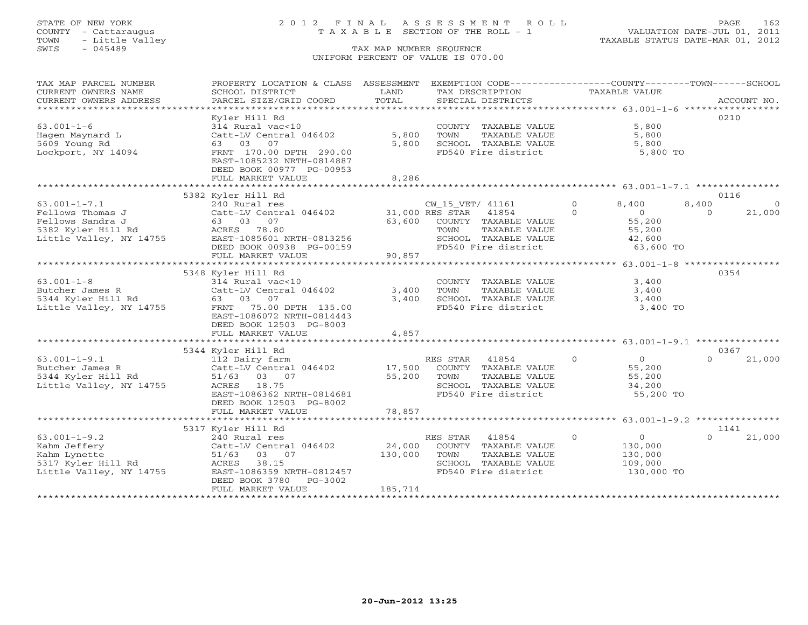### STATE OF NEW YORK 2 0 1 2 F I N A L A S S E S S M E N T R O L L PAGE 162 COUNTY - Cattaraugus T A X A B L E SECTION OF THE ROLL - 1 VALUATION DATE-JUL 01, 2011

| TAX MAP PARCEL NUMBER<br>CURRENT OWNERS NAME<br>CURRENT OWNERS ADDRESS<br>*************************         | PROPERTY LOCATION & CLASS ASSESSMENT<br>SCHOOL DISTRICT<br>PARCEL SIZE/GRID COORD                                                                                                | LAND<br>TOTAL                | EXEMPTION CODE-----------------COUNTY-------TOWN------SCHOOL<br>TAX DESCRIPTION<br>SPECIAL DISTRICTS                                         | TAXABLE VALUE                                                                 |                                | ACCOUNT NO. |
|-------------------------------------------------------------------------------------------------------------|----------------------------------------------------------------------------------------------------------------------------------------------------------------------------------|------------------------------|----------------------------------------------------------------------------------------------------------------------------------------------|-------------------------------------------------------------------------------|--------------------------------|-------------|
| $63.001 - 1 - 6$<br>Hagen Maynard L<br>5609 Young Rd<br>Lockport, NY 14094                                  | Kyler Hill Rd<br>314 Rural vac<10<br>Catt-LV Central 046402<br>63 03 07<br>FRNT 170.00 DPTH 290.00<br>EAST-1085232 NRTH-0814887<br>DEED BOOK 00977 PG-00953<br>FULL MARKET VALUE | 5,800<br>5,800<br>8,286      | COUNTY TAXABLE VALUE<br>TOWN<br>TAXABLE VALUE<br>SCHOOL TAXABLE VALUE<br>FD540 Fire district                                                 | 5,800<br>5,800<br>5,800                                                       | 5,800 TO                       | 0210        |
|                                                                                                             | 5382 Kyler Hill Rd                                                                                                                                                               |                              |                                                                                                                                              |                                                                               |                                | 0116        |
| $63.001 - 1 - 7.1$<br>Fellows Thomas J<br>Fellows Sandra J<br>5382 Kyler Hill Rd<br>Little Valley, NY 14755 | 240 Rural res<br>Catt-LV Central 046402<br>63 03 07<br>ACRES 78.80<br>EAST-1085601 NRTH-0813256<br>DEED BOOK 00938 PG-00159<br>FULL MARKET VALUE                                 | 63,600<br>90,857             | CW_15_VET/ 41161<br>31,000 RES STAR<br>41854<br>COUNTY TAXABLE VALUE<br>TOWN<br>TAXABLE VALUE<br>SCHOOL TAXABLE VALUE<br>FD540 Fire district | $\Omega$<br>8,400<br>$\Omega$<br>$\overline{0}$<br>55,200<br>55,200<br>42,600 | 8,400<br>$\Omega$<br>63,600 TO | 21,000      |
|                                                                                                             | 5348 Kyler Hill Rd                                                                                                                                                               |                              |                                                                                                                                              |                                                                               |                                | 0354        |
| $63.001 - 1 - 8$<br>Butcher James R<br>5344 Kyler Hill Rd<br>Little Valley, NY 14755                        | 314 Rural vac<10<br>Catt-LV Central 046402<br>63 03 07<br>FRNT 75.00 DPTH 135.00<br>EAST-1086072 NRTH-0814443<br>DEED BOOK 12503 PG-8003                                         | 3,400<br>3,400               | COUNTY TAXABLE VALUE<br>TOWN<br>TAXABLE VALUE<br>SCHOOL TAXABLE VALUE<br>FD540 Fire district                                                 | 3,400<br>3,400<br>3,400                                                       | 3,400 TO                       |             |
|                                                                                                             | FULL MARKET VALUE                                                                                                                                                                | 4,857                        |                                                                                                                                              |                                                                               |                                |             |
|                                                                                                             | 5344 Kyler Hill Rd                                                                                                                                                               |                              |                                                                                                                                              |                                                                               |                                | 0367        |
| $63.001 - 1 - 9.1$<br>Butcher James R<br>5344 Kyler Hill Rd<br>Little Valley, NY 14755                      | 112 Dairy farm<br>Catt-LV Central 046402<br>51/63 03 07<br>18.75<br>ACRES<br>EAST-1086362 NRTH-0814681<br>DEED BOOK 12503 PG-8002                                                | 17,500<br>55,200             | 41854<br>RES STAR<br>COUNTY TAXABLE VALUE<br>TOWN<br>TAXABLE VALUE<br>SCHOOL TAXABLE VALUE<br>FD540 Fire district                            | $\circ$<br>$\circ$<br>55,200<br>55,200<br>34,200                              | $\Omega$<br>55,200 TO          | 21,000      |
|                                                                                                             | FULL MARKET VALUE                                                                                                                                                                | 78,857                       |                                                                                                                                              |                                                                               |                                |             |
|                                                                                                             | 5317 Kyler Hill Rd                                                                                                                                                               |                              |                                                                                                                                              |                                                                               |                                | 1141        |
| $63.001 - 1 - 9.2$<br>Kahm Jeffery<br>Kahm Lynette<br>5317 Kyler Hill Rd<br>Little Valley, NY 14755         | 240 Rural res<br>Catt-LV Central 046402<br>51/63 03 07<br>38.15<br>ACRES<br>EAST-1086359 NRTH-0812457<br>DEED BOOK 3780<br>$PG-3002$<br>FULL MARKET VALUE                        | 24,000<br>130,000<br>185,714 | RES STAR 41854<br>COUNTY TAXABLE VALUE<br>TOWN<br>TAXABLE VALUE<br>SCHOOL TAXABLE VALUE<br>FD540 Fire district                               | $\circ$<br>$\Omega$<br>130,000<br>130,000<br>109,000                          | $\Omega$<br>130,000 TO         | 21,000      |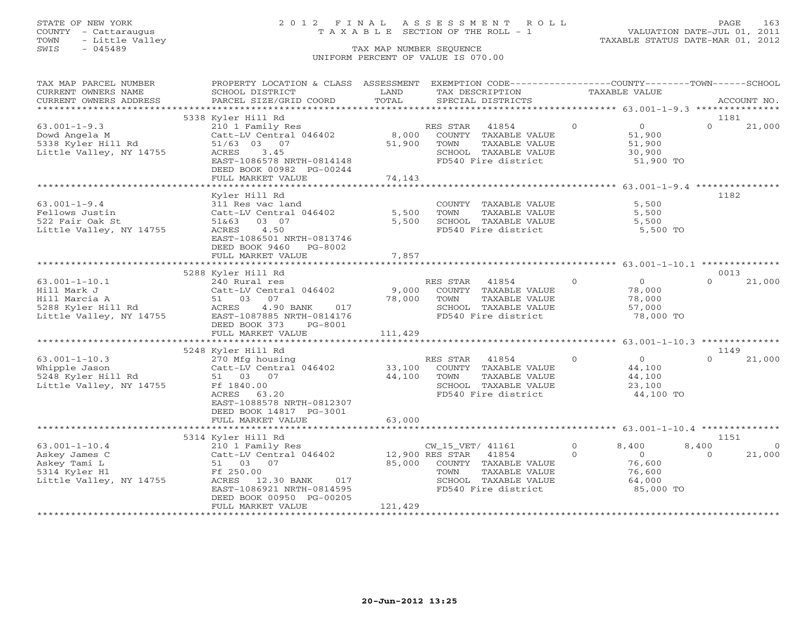### STATE OF NEW YORK 2 0 1 2 F I N A L A S S E S S M E N T R O L L PAGE 163 COUNTY - Cattaraugus T A X A B L E SECTION OF THE ROLL - 1 VALUATION DATE-JUL 01, 2011

| TAX MAP PARCEL NUMBER<br>CURRENT OWNERS NAME                                                         | PROPERTY LOCATION & CLASS ASSESSMENT<br>SCHOOL DISTRICT                                                                                                                                                  | LAND                                 | EXEMPTION CODE-----------------COUNTY-------TOWN------SCHOOL<br>TAX DESCRIPTION                                           |                      | TAXABLE VALUE                                                      |                           |                   |
|------------------------------------------------------------------------------------------------------|----------------------------------------------------------------------------------------------------------------------------------------------------------------------------------------------------------|--------------------------------------|---------------------------------------------------------------------------------------------------------------------------|----------------------|--------------------------------------------------------------------|---------------------------|-------------------|
| CURRENT OWNERS ADDRESS                                                                               | PARCEL SIZE/GRID COORD                                                                                                                                                                                   | TOTAL                                | SPECIAL DISTRICTS                                                                                                         |                      |                                                                    |                           | ACCOUNT NO.       |
|                                                                                                      |                                                                                                                                                                                                          |                                      |                                                                                                                           |                      |                                                                    |                           |                   |
| $63.001 - 1 - 9.3$<br>Dowd Angela M<br>5338 Kyler Hill Rd<br>Little Valley, NY 14755                 | 5338 Kyler Hill Rd<br>210 1 Family Res<br>Catt-LV Central 046402<br>51/63 03 07<br>ACRES<br>3.45<br>EAST-1086578 NRTH-0814148<br>DEED BOOK 00982 PG-00244                                                | 8,000<br>51,900                      | RES STAR<br>41854<br>COUNTY TAXABLE VALUE<br>TAXABLE VALUE<br>TOWN<br>SCHOOL TAXABLE VALUE<br>FD540 Fire district         | $\circ$              | $\overline{0}$<br>51,900<br>51,900<br>30,900<br>51,900 TO          | 1181<br>$\Omega$          | 21,000            |
|                                                                                                      | FULL MARKET VALUE                                                                                                                                                                                        | 74,143                               |                                                                                                                           |                      |                                                                    |                           |                   |
|                                                                                                      |                                                                                                                                                                                                          |                                      |                                                                                                                           |                      |                                                                    |                           |                   |
| $63.001 - 1 - 9.4$<br>Fellows Justin<br>522 Fair Oak St<br>Little Valley, NY 14755                   | Kyler Hill Rd<br>311 Res vac land<br>Catt-LV Central 046402<br>51&63<br>03 07<br>4.50<br>ACRES<br>EAST-1086501 NRTH-0813746<br>DEED BOOK 9460 PG-8002<br>FULL MARKET VALUE                               | 5,500<br>5,500<br>7,857              | COUNTY TAXABLE VALUE<br>TOWN<br>TAXABLE VALUE<br>SCHOOL TAXABLE VALUE<br>FD540 Fire district                              |                      | 5,500<br>5,500<br>5,500<br>5,500 TO                                | 1182                      |                   |
|                                                                                                      |                                                                                                                                                                                                          |                                      |                                                                                                                           |                      |                                                                    |                           |                   |
|                                                                                                      | 5288 Kyler Hill Rd                                                                                                                                                                                       |                                      |                                                                                                                           |                      |                                                                    | 0013                      |                   |
| $63.001 - 1 - 10.1$<br>Hill Mark J<br>Hill Marcia A<br>5288 Kyler Hill Rd<br>Little Valley, NY 14755 | 240 Rural res<br>Catt-LV Central 046402<br>51 03<br>07<br>ACRES<br>4.90 BANK<br>017<br>EAST-1087885 NRTH-0814176<br>DEED BOOK 373<br>PG-8001                                                             | 9,000<br>78,000                      | RES STAR<br>41854<br>COUNTY TAXABLE VALUE<br>TOWN<br>TAXABLE VALUE<br>SCHOOL TAXABLE VALUE<br>FD540 Fire district         | $\circ$              | $\overline{0}$<br>78,000<br>78,000<br>57,000<br>78,000 TO          | $\Omega$                  | 21,000            |
|                                                                                                      | FULL MARKET VALUE                                                                                                                                                                                        | 111,429                              |                                                                                                                           |                      |                                                                    |                           |                   |
|                                                                                                      |                                                                                                                                                                                                          |                                      |                                                                                                                           |                      |                                                                    | 1149                      |                   |
| $63.001 - 1 - 10.3$<br>Whipple Jason<br>5248 Kyler Hill Rd<br>Little Valley, NY 14755                | 5248 Kyler Hill Rd<br>270 Mfg housing<br>Catt-LV Central 046402<br>51 03 07<br>Ff 1840.00<br>ACRES<br>63.20<br>EAST-1088578 NRTH-0812307<br>DEED BOOK 14817 PG-3001                                      | 33,100<br>44,100                     | RES STAR<br>41854<br>COUNTY TAXABLE VALUE<br>TOWN<br>TAXABLE VALUE<br>SCHOOL TAXABLE VALUE<br>FD540 Fire district         | $\circ$              | $\overline{0}$<br>44,100<br>44,100<br>23,100<br>44,100 TO          | $\cap$                    | 21,000            |
|                                                                                                      | FULL MARKET VALUE                                                                                                                                                                                        | 63,000                               |                                                                                                                           |                      |                                                                    |                           |                   |
|                                                                                                      |                                                                                                                                                                                                          |                                      |                                                                                                                           |                      |                                                                    |                           |                   |
| $63.001 - 1 - 10.4$<br>Askey James C<br>Askey Tami L<br>5314 Kyler Hl<br>Little Valley, NY 14755     | 5314 Kyler Hill Rd<br>210 1 Family Res<br>Catt-LV Central 046402<br>51 03<br>07<br>Ff 250.00<br>ACRES<br>12.30 BANK<br>017<br>EAST-1086921 NRTH-0814595<br>DEED BOOK 00950 PG-00205<br>FULL MARKET VALUE | 12,900 RES STAR<br>85,000<br>121,429 | CW_15_VET/ 41161<br>41854<br>COUNTY TAXABLE VALUE<br>TAXABLE VALUE<br>TOWN<br>SCHOOL TAXABLE VALUE<br>FD540 Fire district | $\Omega$<br>$\Omega$ | 8,400<br>$\overline{O}$<br>76,600<br>76,600<br>64,000<br>85,000 TO | 1151<br>8,400<br>$\Omega$ | $\circ$<br>21,000 |
|                                                                                                      |                                                                                                                                                                                                          |                                      |                                                                                                                           |                      |                                                                    |                           |                   |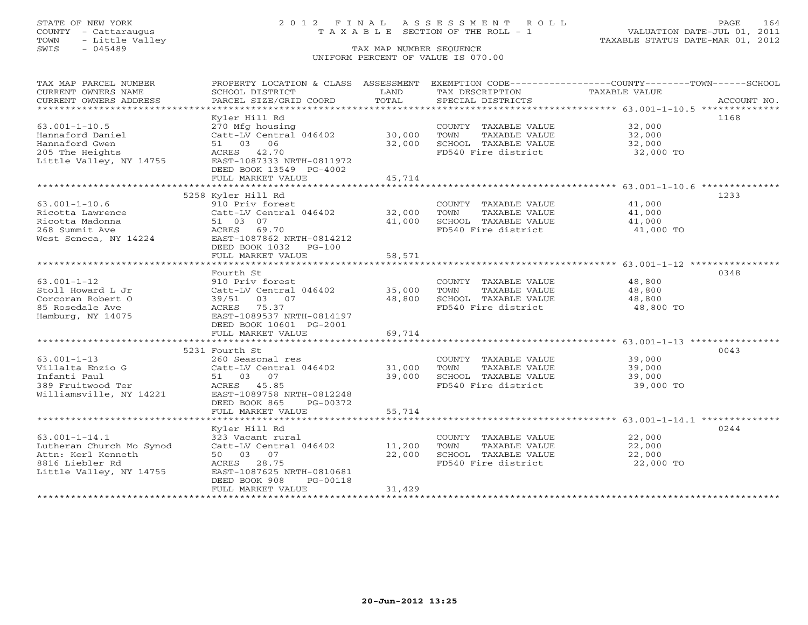### STATE OF NEW YORK 2 0 1 2 F I N A L A S S E S S M E N T R O L L PAGE 164 COUNTY - Cattaraugus T A X A B L E SECTION OF THE ROLL - 1 VALUATION DATE-JUL 01, 2011

| TAX MAP PARCEL NUMBER<br>CURRENT OWNERS NAME<br>CURRENT OWNERS ADDRESS | SCHOOL DISTRICT<br>PARCEL SIZE/GRID COORD    | LAND<br>TOTAL            | TAX DESCRIPTION<br>SPECIAL DISTRICTS | PROPERTY LOCATION & CLASS ASSESSMENT EXEMPTION CODE----------------COUNTY-------TOWN------SCHOOL<br>TAXABLE VALUE<br>ACCOUNT NO. |
|------------------------------------------------------------------------|----------------------------------------------|--------------------------|--------------------------------------|----------------------------------------------------------------------------------------------------------------------------------|
|                                                                        |                                              |                          |                                      |                                                                                                                                  |
|                                                                        | Kyler Hill Rd                                |                          |                                      | 1168                                                                                                                             |
| $63.001 - 1 - 10.5$                                                    | 270 Mfg housing                              |                          | COUNTY TAXABLE VALUE                 | 32,000                                                                                                                           |
| Hannaford Daniel                                                       | Catt-LV Central 046402                       | 30,000                   | TOWN<br>TAXABLE VALUE                | 32,000                                                                                                                           |
| Hannaford Gwen                                                         | 51 03 06                                     | 32,000                   | SCHOOL TAXABLE VALUE                 | 32,000                                                                                                                           |
| 205 The Heights                                                        | ACRES 42.70                                  |                          | FD540 Fire district                  | 32,000 TO                                                                                                                        |
| Little Valley, NY 14755                                                | EAST-1087333 NRTH-0811972                    |                          |                                      |                                                                                                                                  |
|                                                                        | DEED BOOK 13549 PG-4002                      |                          |                                      |                                                                                                                                  |
|                                                                        | FULL MARKET VALUE                            | 45,714                   |                                      |                                                                                                                                  |
|                                                                        |                                              |                          |                                      |                                                                                                                                  |
|                                                                        | 5258 Kyler Hill Rd                           |                          |                                      | 1233                                                                                                                             |
| $63.001 - 1 - 10.6$                                                    | 910 Priv forest                              |                          | COUNTY TAXABLE VALUE                 | 41,000                                                                                                                           |
| Ricotta Lawrence                                                       | Catt-LV Central 046402                       | 32,000                   | TOWN<br>TAXABLE VALUE                | 41,000                                                                                                                           |
| Ricotta Madonna                                                        | 51 03 07                                     | 41,000                   | SCHOOL TAXABLE VALUE                 | 41,000                                                                                                                           |
| 268 Summit Ave                                                         | ACRES 69.70                                  |                          | FD540 Fire district                  | 41,000 TO                                                                                                                        |
| West Seneca, NY 14224                                                  | EAST-1087862 NRTH-0814212                    |                          |                                      |                                                                                                                                  |
|                                                                        | DEED BOOK 1032<br>$PG-100$                   |                          |                                      |                                                                                                                                  |
|                                                                        | FULL MARKET VALUE                            | 58,571<br>************** |                                      |                                                                                                                                  |
|                                                                        |                                              |                          |                                      |                                                                                                                                  |
|                                                                        | Fourth St                                    |                          |                                      | 0348                                                                                                                             |
| $63.001 - 1 - 12$                                                      | 910 Priv forest                              |                          | COUNTY TAXABLE VALUE                 | 48,800                                                                                                                           |
| Stoll Howard L Jr                                                      | Catt-LV Central 046402                       | 35,000                   | TOWN<br>TAXABLE VALUE                | 48,800                                                                                                                           |
| Corcoran Robert O                                                      | 39/51 03 07                                  | 48,800                   | SCHOOL TAXABLE VALUE                 | 48,800                                                                                                                           |
| 85 Rosedale Ave                                                        | ACRES 75.37                                  |                          | FD540 Fire district                  | 48,800 TO                                                                                                                        |
| Hamburg, NY 14075                                                      | EAST-1089537 NRTH-0814197                    |                          |                                      |                                                                                                                                  |
|                                                                        | DEED BOOK 10601 PG-2001<br>FULL MARKET VALUE | 69,714                   |                                      |                                                                                                                                  |
|                                                                        |                                              |                          |                                      |                                                                                                                                  |
|                                                                        | 5231 Fourth St                               |                          |                                      | 0043                                                                                                                             |
| $63.001 - 1 - 13$                                                      | 260 Seasonal res                             |                          | COUNTY TAXABLE VALUE                 | 39,000                                                                                                                           |
| Villalta Enzio G                                                       | Catt-LV Central 046402                       | 31,000                   | TOWN<br>TAXABLE VALUE                | 39,000                                                                                                                           |
| Infanti Paul                                                           | 51 03 07                                     | 39,000                   | SCHOOL TAXABLE VALUE                 | 39,000                                                                                                                           |
| 389 Fruitwood Ter                                                      | ACRES 45.85                                  |                          | FD540 Fire district                  | 39,000 TO                                                                                                                        |
| Williamsville, NY 14221                                                | EAST-1089758 NRTH-0812248                    |                          |                                      |                                                                                                                                  |
|                                                                        | DEED BOOK 865<br>PG-00372                    |                          |                                      |                                                                                                                                  |
|                                                                        | FULL MARKET VALUE                            | 55,714                   |                                      |                                                                                                                                  |
|                                                                        |                                              |                          |                                      |                                                                                                                                  |
|                                                                        | Kyler Hill Rd                                |                          |                                      | 0244                                                                                                                             |
| $63.001 - 1 - 14.1$                                                    | 323 Vacant rural                             |                          | COUNTY TAXABLE VALUE                 | 22,000                                                                                                                           |
| Lutheran Church Mo Synod                                               | Catt-LV Central 046402                       | 11,200                   | TAXABLE VALUE<br>TOWN                | 22,000                                                                                                                           |
| Attn: Kerl Kenneth                                                     | 50 03 07                                     | 22,000                   | SCHOOL TAXABLE VALUE                 | 22,000                                                                                                                           |
| 8816 Liebler Rd                                                        | ACRES 28.75                                  |                          | FD540 Fire district                  | 22,000 TO                                                                                                                        |
| Little Valley, NY 14755                                                | EAST-1087625 NRTH-0810681                    |                          |                                      |                                                                                                                                  |
|                                                                        | DEED BOOK 908<br>PG-00118                    |                          |                                      |                                                                                                                                  |
|                                                                        | FULL MARKET VALUE                            | 31,429                   |                                      |                                                                                                                                  |
|                                                                        |                                              |                          |                                      |                                                                                                                                  |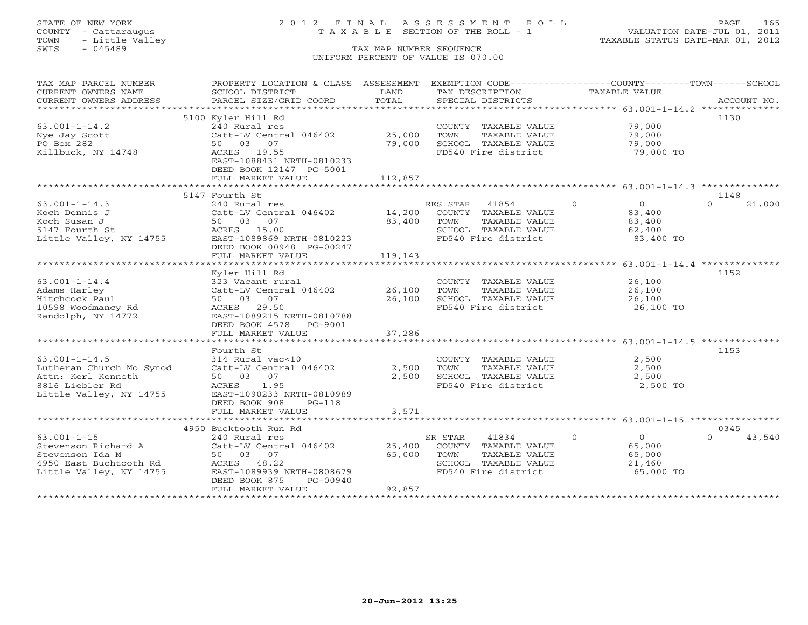# STATE OF NEW YORK 2 0 1 2 F I N A L A S S E S S M E N T R O L L PAGE 165 COUNTY - Cattaraugus T A X A B L E SECTION OF THE ROLL - 1 VALUATION DATE-JUL 01, 2011

| TAX MAP PARCEL NUMBER                     | PROPERTY LOCATION & CLASS ASSESSMENT EXEMPTION CODE---------------COUNTY-------TOWN------SCHOOL |                  |                                               |                                  |                    |
|-------------------------------------------|-------------------------------------------------------------------------------------------------|------------------|-----------------------------------------------|----------------------------------|--------------------|
| CURRENT OWNERS NAME                       | SCHOOL DISTRICT                                                                                 | LAND             | TAX DESCRIPTION                               | TAXABLE VALUE                    |                    |
| CURRENT OWNERS ADDRESS                    | PARCEL SIZE/GRID COORD                                                                          | TOTAL            | SPECIAL DISTRICTS                             |                                  | ACCOUNT NO.        |
|                                           | 5100 Kyler Hill Rd                                                                              |                  |                                               |                                  | 1130               |
| $63.001 - 1 - 14.2$                       | 240 Rural res                                                                                   |                  | COUNTY TAXABLE VALUE                          | 79,000                           |                    |
| Nye Jay Scott                             | Catt-LV Central 046402                                                                          | 25,000           | TOWN<br>TAXABLE VALUE                         | 79,000                           |                    |
| PO Box 282                                | 50 03 07                                                                                        | 79,000           | SCHOOL TAXABLE VALUE                          | 79,000                           |                    |
| Killbuck, NY 14748                        | ACRES 19.55                                                                                     |                  | FD540 Fire district                           | 79,000 TO                        |                    |
|                                           | EAST-1088431 NRTH-0810233                                                                       |                  |                                               |                                  |                    |
|                                           | DEED BOOK 12147 PG-5001                                                                         |                  |                                               |                                  |                    |
|                                           | FULL MARKET VALUE                                                                               | 112,857          |                                               |                                  |                    |
|                                           |                                                                                                 |                  |                                               |                                  |                    |
|                                           | 5147 Fourth St                                                                                  |                  |                                               |                                  | 1148               |
| $63.001 - 1 - 14.3$                       | 240 Rural res                                                                                   |                  | RES STAR 41854                                | $\Omega$<br>$\overline{0}$       | 21,000<br>$\Omega$ |
| Koch Dennis J                             | Catt-LV Central 046402                                                                          |                  | 14,200 COUNTY TAXABLE VALUE                   | 83,400                           |                    |
| Koch Susan J                              | 50 03 07                                                                                        | 83,400           | TAXABLE VALUE<br>TOWN                         | 83,400                           |                    |
| 5147 Fourth St                            | ACRES 15.00                                                                                     |                  | SCHOOL TAXABLE VALUE                          | 62,400                           |                    |
| Little Valley, NY 14755                   | EAST-1089869 NRTH-0810223                                                                       |                  | FD540 Fire district                           | 83,400 TO                        |                    |
|                                           | DEED BOOK 00948 PG-00247                                                                        |                  |                                               |                                  |                    |
|                                           | FULL MARKET VALUE                                                                               | 119,143          |                                               |                                  |                    |
|                                           |                                                                                                 |                  |                                               |                                  |                    |
|                                           | Kyler Hill Rd                                                                                   |                  |                                               |                                  | 1152               |
| $63.001 - 1 - 14.4$                       | 323 Vacant rural                                                                                |                  | COUNTY TAXABLE VALUE                          | 26,100                           |                    |
| Adams Harley<br>Hitchcock Paul            | Catt-LV Central 046402<br>50 03 07                                                              | 26,100<br>26,100 | TOWN<br>TAXABLE VALUE<br>SCHOOL TAXABLE VALUE | 26,100<br>26,100                 |                    |
| 10598 Woodmancy Rd                        | ACRES 29.50                                                                                     |                  | FD540 Fire district                           | 26,100 TO                        |                    |
| Randolph, NY 14772                        | EAST-1089215 NRTH-0810788                                                                       |                  |                                               |                                  |                    |
|                                           | DEED BOOK 4578<br>PG-9001                                                                       |                  |                                               |                                  |                    |
|                                           | FULL MARKET VALUE                                                                               | 37,286           |                                               |                                  |                    |
|                                           |                                                                                                 |                  |                                               |                                  |                    |
|                                           | Fourth St                                                                                       |                  |                                               |                                  | 1153               |
| $63.001 - 1 - 14.5$                       | 314 Rural vac<10                                                                                |                  | COUNTY TAXABLE VALUE                          | 2,500                            |                    |
| Lutheran Church Mo Synod                  | Catt-LV Central 046402                                                                          | 2,500            | TOWN<br>TAXABLE VALUE                         | 2,500                            |                    |
| Attn: Kerl Kenneth                        | 50 03 07                                                                                        | 2,500            | SCHOOL TAXABLE VALUE                          | 2,500                            |                    |
| 8816 Liebler Rd                           | ACRES 1.95                                                                                      |                  | FD540 Fire district                           | 2,500 TO                         |                    |
| Little Valley, NY 14755                   | EAST-1090233 NRTH-0810989                                                                       |                  |                                               |                                  |                    |
|                                           | DEED BOOK 908<br>$PG-118$                                                                       |                  |                                               |                                  |                    |
|                                           | FULL MARKET VALUE                                                                               | 3,571            |                                               |                                  |                    |
|                                           |                                                                                                 |                  |                                               |                                  |                    |
|                                           | 4950 Bucktooth Run Rd                                                                           |                  |                                               |                                  | 0345               |
| $63.001 - 1 - 15$                         | 240 Rural res                                                                                   |                  | 41834<br>SR STAR                              | $\overline{0}$<br>$\overline{0}$ | $\Omega$<br>43,540 |
| Stevenson Richard A                       | Catt-LV Central 046402                                                                          | 25,400           | COUNTY TAXABLE VALUE                          | 65,000                           |                    |
| Stevenson Ida M<br>4950 East Buchtooth Rd | 50 03 07                                                                                        | 65,000           | TAXABLE VALUE<br>TOWN                         | 65,000                           |                    |
| Little Valley, NY 14755                   | ACRES 48.22<br>EAST-1089939 NRTH-0808679                                                        |                  | SCHOOL TAXABLE VALUE<br>FD540 Fire district   | 21,460<br>65,000 TO              |                    |
|                                           | DEED BOOK 875<br>PG-00940                                                                       |                  |                                               |                                  |                    |
|                                           | FULL MARKET VALUE                                                                               | 92,857           |                                               |                                  |                    |
|                                           |                                                                                                 |                  |                                               |                                  |                    |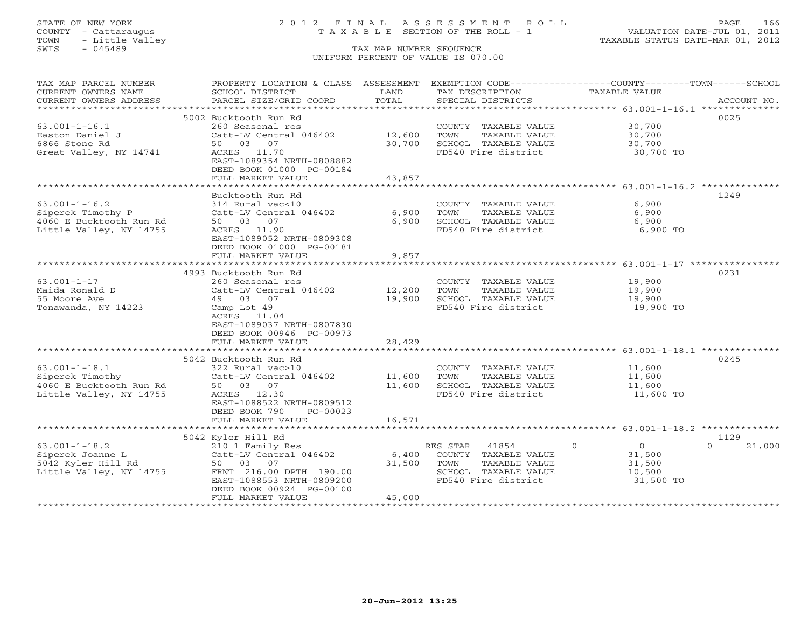# STATE OF NEW YORK 2 0 1 2 F I N A L A S S E S S M E N T R O L L PAGE 166 COUNTY - Cattaraugus T A X A B L E SECTION OF THE ROLL - 1 VALUATION DATE-JUL 01, 2011

| TAX MAP PARCEL NUMBER                                             | PROPERTY LOCATION & CLASS ASSESSMENT |        | EXEMPTION CODE----------------COUNTY-------TOWN------SCHOOL |                            |                    |
|-------------------------------------------------------------------|--------------------------------------|--------|-------------------------------------------------------------|----------------------------|--------------------|
| CURRENT OWNERS NAME                                               | SCHOOL DISTRICT                      | LAND   | TAX DESCRIPTION                                             | TAXABLE VALUE              |                    |
| CURRENT OWNERS ADDRESS                                            | PARCEL SIZE/GRID COORD               | TOTAL  | SPECIAL DISTRICTS                                           |                            | ACCOUNT NO.        |
| ***********************                                           |                                      |        |                                                             |                            |                    |
|                                                                   | 5002 Bucktooth Run Rd                |        |                                                             |                            | 0025               |
| $63.001 - 1 - 16.1$                                               | 260 Seasonal res                     |        | COUNTY TAXABLE VALUE                                        | 30,700                     |                    |
| Easton Daniel J                                                   | Catt-LV Central 046402               | 12,600 | TOWN<br>TAXABLE VALUE                                       | 30,700                     |                    |
| 6866 Stone Rd                                                     | 50 03 07                             | 30,700 | SCHOOL TAXABLE VALUE                                        | 30,700                     |                    |
| Great Valley, NY 14741                                            | ACRES 11.70                          |        | FD540 Fire district                                         | 30,700 TO                  |                    |
|                                                                   | EAST-1089354 NRTH-0808882            |        |                                                             |                            |                    |
|                                                                   | DEED BOOK 01000 PG-00184             |        |                                                             |                            |                    |
|                                                                   | FULL MARKET VALUE                    | 43,857 |                                                             |                            |                    |
|                                                                   |                                      |        |                                                             |                            |                    |
|                                                                   | Bucktooth Run Rd                     |        |                                                             |                            | 1249               |
| $63.001 - 1 - 16.2$                                               | 314 Rural vac<10                     |        | COUNTY TAXABLE VALUE                                        | 6,900                      |                    |
| Siperek Timothy P                                                 | Catt-LV Central 046402               | 6,900  | TOWN<br>TAXABLE VALUE                                       | 6,900                      |                    |
| 4060 E Bucktooth Run Rd                                           | 50 03 07                             | 6,900  | SCHOOL TAXABLE VALUE                                        | 6,900                      |                    |
| Little Valley, NY 14755                                           | ACRES 11.90                          |        | FD540 Fire district                                         | 6,900 TO                   |                    |
|                                                                   | EAST-1089052 NRTH-0809308            |        |                                                             |                            |                    |
|                                                                   | DEED BOOK 01000 PG-00181             |        |                                                             |                            |                    |
|                                                                   | FULL MARKET VALUE                    | 9,857  |                                                             |                            |                    |
|                                                                   |                                      |        |                                                             |                            |                    |
|                                                                   | 4993 Bucktooth Run Rd                |        |                                                             |                            | 0231               |
| $63.001 - 1 - 17$                                                 | 260 Seasonal res                     |        | COUNTY TAXABLE VALUE                                        | 19,900                     |                    |
| Maida Ronald D                                                    | Catt-LV Central 046402               | 12,200 | TAXABLE VALUE<br>TOWN                                       | 19,900                     |                    |
| 55 Moore Ave                                                      | 49 03 07                             | 19,900 | SCHOOL TAXABLE VALUE                                        | 19,900                     |                    |
| Tonawanda, NY 14223                                               | Camp Lot 49                          |        | FD540 Fire district                                         | 19,900 TO                  |                    |
|                                                                   | ACRES 11.04                          |        |                                                             |                            |                    |
|                                                                   | EAST-1089037 NRTH-0807830            |        |                                                             |                            |                    |
|                                                                   | DEED BOOK 00946 PG-00973             |        |                                                             |                            |                    |
|                                                                   | FULL MARKET VALUE                    | 28,429 |                                                             |                            |                    |
|                                                                   |                                      |        |                                                             |                            |                    |
|                                                                   | 5042 Bucktooth Run Rd                |        |                                                             |                            | 0245               |
| $63.001 - 1 - 18.1$                                               | 322 Rural vac>10                     |        | COUNTY TAXABLE VALUE 11,600                                 |                            |                    |
| Siperek Timothy                                                   | Catt-LV Central 046402               | 11,600 | TAXABLE VALUE<br>TOWN                                       | 11,600                     |                    |
| 4060 E Bucktooth Run Rd                                           | 50 03 07                             | 11,600 | SCHOOL TAXABLE VALUE                                        | 11,600                     |                    |
| Little Valley, NY 14755                                           | ACRES 12.30                          |        | FD540 Fire district                                         | 11,600 TO                  |                    |
|                                                                   | EAST-1088522 NRTH-0809512            |        |                                                             |                            |                    |
|                                                                   | DEED BOOK 790<br>PG-00023            |        |                                                             |                            |                    |
|                                                                   | FULL MARKET VALUE                    | 16,571 |                                                             |                            |                    |
|                                                                   |                                      |        |                                                             |                            |                    |
|                                                                   | 5042 Kyler Hill Rd                   |        |                                                             |                            | 1129               |
| $63.001 - 1 - 18.2$                                               | 210 1 Family Res                     |        | RES STAR<br>41854                                           | $\Omega$<br>$\overline{0}$ | 21,000<br>$\Omega$ |
|                                                                   | Catt-LV Central 046402               | 6,400  | COUNTY TAXABLE VALUE                                        | 31,500                     |                    |
| Siperek Joanne L<br>5042 Kyler Hill Rd<br>Little Valley, NY 14755 | 50 03 07                             | 31,500 | TAXABLE VALUE<br>TOWN                                       | 31,500                     |                    |
|                                                                   | FRNT 216.00 DPTH 190.00              |        | SCHOOL TAXABLE VALUE                                        | 10,500                     |                    |
|                                                                   | EAST-1088553 NRTH-0809200            |        | FD540 Fire district                                         | 31,500 TO                  |                    |
|                                                                   | DEED BOOK 00924 PG-00100             |        |                                                             |                            |                    |
|                                                                   | FULL MARKET VALUE                    | 45,000 |                                                             |                            |                    |
|                                                                   |                                      |        |                                                             |                            |                    |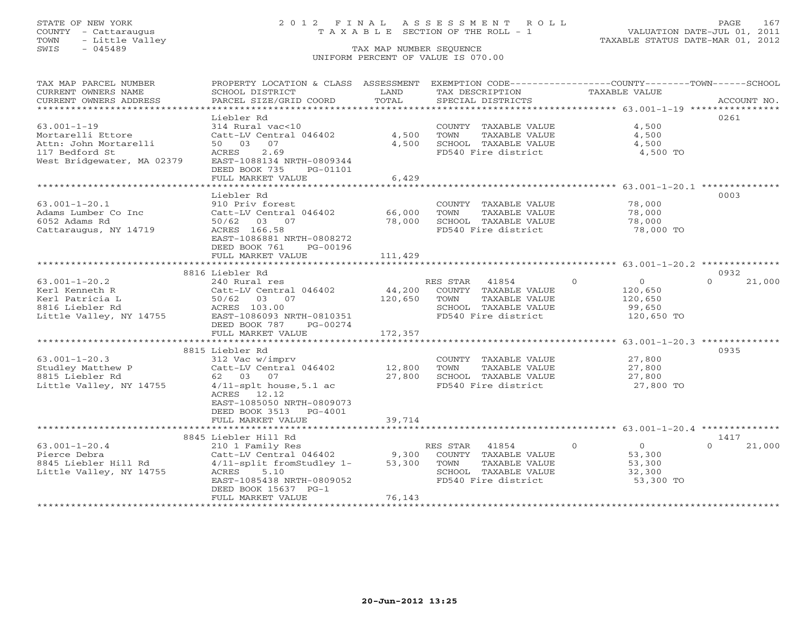### STATE OF NEW YORK 2 0 1 2 F I N A L A S S E S S M E N T R O L L PAGE 167 COUNTY - Cattaraugus T A X A B L E SECTION OF THE ROLL - 1 VALUATION DATE-JUL 01, 2011

| TAX MAP PARCEL NUMBER                         | PROPERTY LOCATION & CLASS ASSESSMENT EXEMPTION CODE----------------COUNTY-------TOWN------SCHOOL |               |                                             |                            |                    |
|-----------------------------------------------|--------------------------------------------------------------------------------------------------|---------------|---------------------------------------------|----------------------------|--------------------|
| CURRENT OWNERS NAME<br>CURRENT OWNERS ADDRESS | SCHOOL DISTRICT<br>PARCEL SIZE/GRID COORD                                                        | LAND<br>TOTAL | TAX DESCRIPTION<br>SPECIAL DISTRICTS        | <b>TAXABLE VALUE</b>       | ACCOUNT NO.        |
| ************************                      |                                                                                                  |               |                                             |                            |                    |
|                                               | Liebler Rd                                                                                       |               |                                             |                            | 0261               |
| $63.001 - 1 - 19$                             | 314 Rural vac<10                                                                                 |               | COUNTY TAXABLE VALUE                        | 4,500                      |                    |
| Mortarelli Ettore                             | Catt-LV Central 046402                                                                           | 4,500         | TOWN<br>TAXABLE VALUE                       | 4,500                      |                    |
| Attn: John Mortarelli                         | 50 03<br>07                                                                                      | 4,500         | SCHOOL TAXABLE VALUE                        | 4,500                      |                    |
| 117 Bedford St                                | 2.69<br>ACRES                                                                                    |               | FD540 Fire district                         | 4,500 TO                   |                    |
| West Bridgewater, MA 02379                    | EAST-1088134 NRTH-0809344                                                                        |               |                                             |                            |                    |
|                                               | DEED BOOK 735<br>PG-01101                                                                        |               |                                             |                            |                    |
|                                               | FULL MARKET VALUE<br>***********************                                                     | 6,429         |                                             |                            |                    |
|                                               | Liebler Rd                                                                                       |               |                                             |                            | 0003               |
| $63.001 - 1 - 20.1$                           | 910 Priv forest                                                                                  |               | COUNTY TAXABLE VALUE                        | 78,000                     |                    |
| Adams Lumber Co Inc                           | Catt-LV Central 046402                                                                           | 66,000        | TOWN<br>TAXABLE VALUE                       | 78,000                     |                    |
| 6052 Adams Rd                                 | 50/62 03 07                                                                                      | 78,000        | SCHOOL TAXABLE VALUE                        | 78,000                     |                    |
| Cattaraugus, NY 14719                         | ACRES 166.58                                                                                     |               | FD540 Fire district                         | 78,000 TO                  |                    |
|                                               | EAST-1086881 NRTH-0808272                                                                        |               |                                             |                            |                    |
|                                               | DEED BOOK 761<br>PG-00196                                                                        |               |                                             |                            |                    |
|                                               | FULL MARKET VALUE                                                                                | 111,429       |                                             |                            |                    |
|                                               |                                                                                                  |               |                                             |                            |                    |
|                                               | 8816 Liebler Rd                                                                                  |               |                                             |                            | 0932               |
| $63.001 - 1 - 20.2$                           | 240 Rural res                                                                                    |               | RES STAR<br>41854                           | $\Omega$<br>$\overline{O}$ | 21,000<br>$\Omega$ |
| Kerl Kenneth R                                | Catt-LV Central 046402                                                                           | 44,200        | COUNTY TAXABLE VALUE                        | 120,650                    |                    |
| Kerl Patricia L                               | 50/62 03 07                                                                                      | 120,650       | TOWN<br>TAXABLE VALUE                       | 120,650                    |                    |
| 8816 Liebler Rd                               | ACRES 103.00                                                                                     |               | SCHOOL TAXABLE VALUE                        | 99,650                     |                    |
| Little Valley, NY 14755                       | EAST-1086093 NRTH-0810351                                                                        |               | FD540 Fire district                         | 120,650 TO                 |                    |
|                                               | DEED BOOK 787<br>PG-00274                                                                        |               |                                             |                            |                    |
|                                               | FULL MARKET VALUE                                                                                | 172,357       |                                             |                            |                    |
|                                               |                                                                                                  |               |                                             |                            |                    |
|                                               | 8815 Liebler Rd                                                                                  |               |                                             |                            | 0935               |
| $63.001 - 1 - 20.3$                           | 312 Vac w/imprv                                                                                  |               | COUNTY TAXABLE VALUE                        | 27,800                     |                    |
| Studley Matthew P                             | Catt-LV Central 046402                                                                           | 12,800        | TOWN<br>TAXABLE VALUE                       | 27,800                     |                    |
| 8815 Liebler Rd                               | 62 03 07<br>$4/11$ -splt house, $5.1$ ac                                                         | 27,800        | SCHOOL TAXABLE VALUE<br>FD540 Fire district | 27,800<br>27,800 TO        |                    |
| Little Valley, NY 14755                       | ACRES 12.12                                                                                      |               |                                             |                            |                    |
|                                               | EAST-1085050 NRTH-0809073                                                                        |               |                                             |                            |                    |
|                                               | DEED BOOK 3513<br>PG-4001                                                                        |               |                                             |                            |                    |
|                                               | FULL MARKET VALUE                                                                                | 39,714        |                                             |                            |                    |
|                                               |                                                                                                  |               |                                             |                            |                    |
|                                               | 8845 Liebler Hill Rd                                                                             |               |                                             |                            | 1417               |
| $63.001 - 1 - 20.4$                           | 210 1 Family Res                                                                                 |               | RES STAR<br>41854                           | $\circ$<br>0               | 21,000             |
| Pierce Debra                                  | Catt-LV Central 046402                                                                           | 9,300         | COUNTY TAXABLE VALUE                        | 53,300                     |                    |
| 8845 Liebler Hill Rd                          | 4/11-split fromStudley 1-                                                                        | 53,300        | TOWN<br>TAXABLE VALUE                       | 53,300                     |                    |
| Little Valley, NY 14755                       | ACRES<br>5.10                                                                                    |               | SCHOOL TAXABLE VALUE                        | 32,300                     |                    |
|                                               | EAST-1085438 NRTH-0809052                                                                        |               | FD540 Fire district                         | 53,300 TO                  |                    |
|                                               | DEED BOOK 15637 PG-1                                                                             |               |                                             |                            |                    |
|                                               | FULL MARKET VALUE                                                                                | 76,143        |                                             |                            |                    |
|                                               |                                                                                                  |               |                                             |                            |                    |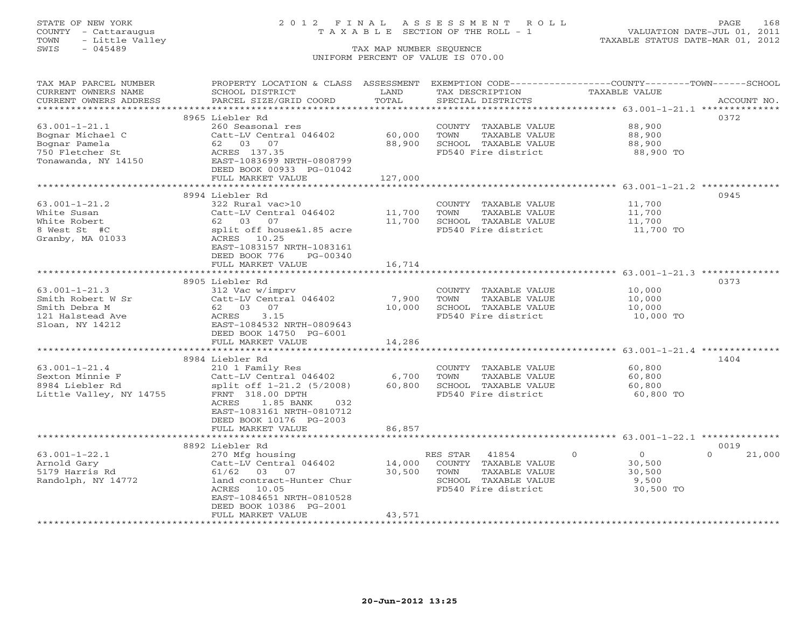# STATE OF NEW YORK 2 0 1 2 F I N A L A S S E S S M E N T R O L L PAGE 168 COUNTY - Cattaraugus T A X A B L E SECTION OF THE ROLL - 1 VALUATION DATE-JUL 01, 2011

| TAX MAP PARCEL NUMBER   | PROPERTY LOCATION & CLASS ASSESSMENT |                   |                       | EXEMPTION CODE-----------------COUNTY-------TOWN------SCHOOL |                    |
|-------------------------|--------------------------------------|-------------------|-----------------------|--------------------------------------------------------------|--------------------|
| CURRENT OWNERS NAME     | SCHOOL DISTRICT                      | LAND              | TAX DESCRIPTION       | TAXABLE VALUE                                                |                    |
| CURRENT OWNERS ADDRESS  | PARCEL SIZE/GRID COORD               | TOTAL             | SPECIAL DISTRICTS     |                                                              | ACCOUNT NO.        |
| **********************  |                                      |                   |                       |                                                              |                    |
|                         | 8965 Liebler Rd                      |                   |                       |                                                              | 0372               |
| $63.001 - 1 - 21.1$     | 260 Seasonal res                     |                   | COUNTY TAXABLE VALUE  | 88,900                                                       |                    |
| Bognar Michael C        | Catt-LV Central 046402               | 60,000            | TOWN<br>TAXABLE VALUE | 88,900                                                       |                    |
| Bognar Pamela           | 62 03 07                             | 88,900            | SCHOOL TAXABLE VALUE  | 88,900                                                       |                    |
| 750 Fletcher St         | ACRES 137.35                         |                   | FD540 Fire district   | 88,900 TO                                                    |                    |
| Tonawanda, NY 14150     | EAST-1083699 NRTH-0808799            |                   |                       |                                                              |                    |
|                         | DEED BOOK 00933 PG-01042             |                   |                       |                                                              |                    |
|                         | FULL MARKET VALUE                    | 127,000           |                       |                                                              |                    |
|                         | *************************            | ***************** |                       |                                                              |                    |
|                         | 8994 Liebler Rd                      |                   |                       |                                                              | 0945               |
| $63.001 - 1 - 21.2$     | 322 Rural vac>10                     |                   | COUNTY TAXABLE VALUE  | 11,700                                                       |                    |
| White Susan             | Catt-LV Central 046402               | 11,700            | TOWN<br>TAXABLE VALUE | 11,700                                                       |                    |
| White Robert            | 62 03 07                             | 11,700            | SCHOOL TAXABLE VALUE  | 11,700                                                       |                    |
| 8 West St #C            | split off house&1.85 acre            |                   | FD540 Fire district   | 11,700 TO                                                    |                    |
| Granby, MA 01033        | ACRES 10.25                          |                   |                       |                                                              |                    |
|                         | EAST-1083157 NRTH-1083161            |                   |                       |                                                              |                    |
|                         | DEED BOOK 776<br>PG-00340            |                   |                       |                                                              |                    |
|                         | FULL MARKET VALUE                    | 16,714            |                       |                                                              |                    |
|                         | ***********************              | *************     |                       |                                                              |                    |
|                         | 8905 Liebler Rd                      |                   |                       |                                                              | 0373               |
| $63.001 - 1 - 21.3$     | 312 Vac w/imprv                      |                   | COUNTY TAXABLE VALUE  | 10,000                                                       |                    |
| Smith Robert W Sr       | Catt-LV Central 046402               | 7,900             | TOWN<br>TAXABLE VALUE | 10,000                                                       |                    |
| Smith Debra M           | 62 03 07                             | 10,000            | SCHOOL TAXABLE VALUE  | 10,000                                                       |                    |
| 121 Halstead Ave        | 3.15<br>ACRES                        |                   | FD540 Fire district   | 10,000 TO                                                    |                    |
| Sloan, NY 14212         | EAST-1084532 NRTH-0809643            |                   |                       |                                                              |                    |
|                         | DEED BOOK 14750 PG-6001              |                   |                       |                                                              |                    |
|                         | FULL MARKET VALUE                    | 14,286            |                       |                                                              |                    |
|                         |                                      |                   |                       | ************************ 63.001-1-21.4 ***************       |                    |
|                         | 8984 Liebler Rd                      |                   |                       |                                                              | 1404               |
| $63.001 - 1 - 21.4$     | 210 1 Family Res                     |                   | COUNTY TAXABLE VALUE  | 60,800                                                       |                    |
| Sexton Minnie F         | Catt-LV Central 046402               | 6,700             | TOWN<br>TAXABLE VALUE | 60,800                                                       |                    |
| 8984 Liebler Rd         | split off 1-21.2 (5/2008)            | 60,800            | SCHOOL TAXABLE VALUE  | 60,800                                                       |                    |
| Little Valley, NY 14755 | FRNT 318.00 DPTH                     |                   | FD540 Fire district   | 60,800 TO                                                    |                    |
|                         | 1.85 BANK<br>ACRES<br>032            |                   |                       |                                                              |                    |
|                         | EAST-1083161 NRTH-0810712            |                   |                       |                                                              |                    |
|                         | DEED BOOK 10176 PG-2003              |                   |                       |                                                              |                    |
|                         | FULL MARKET VALUE                    | 86,857            |                       |                                                              |                    |
|                         | *********************                |                   |                       |                                                              |                    |
|                         | 8892 Liebler Rd                      |                   |                       |                                                              | 0019               |
| $63.001 - 1 - 22.1$     | 270 Mfg housing                      |                   | RES STAR<br>41854     | $\circ$<br>$\overline{0}$                                    | $\Omega$<br>21,000 |
| Arnold Gary             | Catt-LV Central 046402               | 14,000            | COUNTY TAXABLE VALUE  | 30,500                                                       |                    |
| 5179 Harris Rd          | 61/62 03 07                          | 30,500            | TOWN<br>TAXABLE VALUE | 30,500                                                       |                    |
| Randolph, NY 14772      | land contract-Hunter Chur            |                   | SCHOOL TAXABLE VALUE  | 9,500                                                        |                    |
|                         | 10.05<br>ACRES                       |                   | FD540 Fire district   | 30,500 TO                                                    |                    |
|                         | EAST-1084651 NRTH-0810528            |                   |                       |                                                              |                    |
|                         | DEED BOOK 10386 PG-2001              |                   |                       |                                                              |                    |
|                         | FULL MARKET VALUE                    | 43,571            |                       |                                                              |                    |
| *********************** |                                      |                   |                       |                                                              |                    |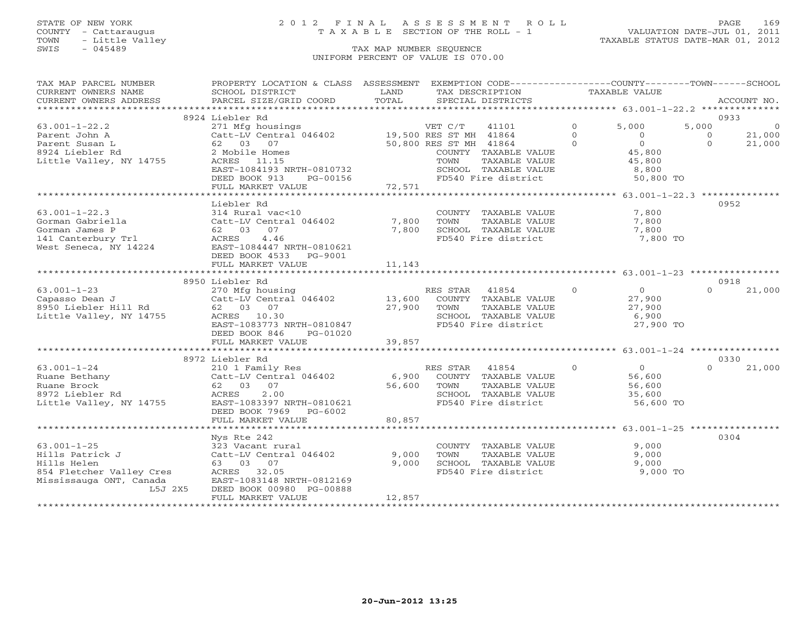# STATE OF NEW YORK 2 0 1 2 F I N A L A S S E S S M E N T R O L L PAGE 169 COUNTY - Cattaraugus T A X A B L E SECTION OF THE ROLL - 1 VALUATION DATE-JUL 01, 2011

| TAX MAP PARCEL NUMBER                                                                                                                                                                        | PROPERTY LOCATION & CLASS ASSESSMENT EXEMPTION CODE----------------COUNTY-------TOWN------SCHOOL                                                                                                                                   |        |                                                               |                           |          |                |
|----------------------------------------------------------------------------------------------------------------------------------------------------------------------------------------------|------------------------------------------------------------------------------------------------------------------------------------------------------------------------------------------------------------------------------------|--------|---------------------------------------------------------------|---------------------------|----------|----------------|
|                                                                                                                                                                                              |                                                                                                                                                                                                                                    |        |                                                               |                           |          |                |
|                                                                                                                                                                                              |                                                                                                                                                                                                                                    |        |                                                               |                           |          |                |
|                                                                                                                                                                                              | 8924 Liebler Rd                                                                                                                                                                                                                    |        |                                                               |                           |          | 0933           |
|                                                                                                                                                                                              |                                                                                                                                                                                                                                    |        | VET C/T 41101 0 5,000                                         |                           | 5,000    | $\overline{0}$ |
|                                                                                                                                                                                              |                                                                                                                                                                                                                                    |        |                                                               |                           |          |                |
|                                                                                                                                                                                              |                                                                                                                                                                                                                                    |        |                                                               |                           |          |                |
|                                                                                                                                                                                              |                                                                                                                                                                                                                                    |        |                                                               |                           |          |                |
|                                                                                                                                                                                              |                                                                                                                                                                                                                                    |        |                                                               |                           |          |                |
|                                                                                                                                                                                              |                                                                                                                                                                                                                                    |        |                                                               |                           |          |                |
|                                                                                                                                                                                              |                                                                                                                                                                                                                                    |        |                                                               |                           |          |                |
|                                                                                                                                                                                              |                                                                                                                                                                                                                                    |        |                                                               |                           |          |                |
|                                                                                                                                                                                              | Liebler Rd                                                                                                                                                                                                                         |        |                                                               |                           |          | 0952           |
|                                                                                                                                                                                              |                                                                                                                                                                                                                                    |        |                                                               | 7,800                     |          |                |
|                                                                                                                                                                                              |                                                                                                                                                                                                                                    |        | COUNTY TAXABLE VALUE                                          |                           |          |                |
|                                                                                                                                                                                              |                                                                                                                                                                                                                                    |        |                                                               | 7,800<br>7,800            |          |                |
|                                                                                                                                                                                              |                                                                                                                                                                                                                                    |        |                                                               |                           |          |                |
|                                                                                                                                                                                              |                                                                                                                                                                                                                                    |        |                                                               | 7,800 TO                  |          |                |
|                                                                                                                                                                                              |                                                                                                                                                                                                                                    |        |                                                               |                           |          |                |
|                                                                                                                                                                                              | DEED BOOK 4533 PG-9001                                                                                                                                                                                                             |        |                                                               |                           |          |                |
|                                                                                                                                                                                              | FULL MARKET VALUE 11,143                                                                                                                                                                                                           |        |                                                               |                           |          |                |
|                                                                                                                                                                                              | 8950 Liebler Rd                                                                                                                                                                                                                    |        |                                                               |                           |          | 0918           |
|                                                                                                                                                                                              |                                                                                                                                                                                                                                    |        |                                                               | $[0]$ 0 0<br>VALUE 27,900 | $\Omega$ | 21,000         |
|                                                                                                                                                                                              |                                                                                                                                                                                                                                    |        |                                                               |                           |          |                |
|                                                                                                                                                                                              |                                                                                                                                                                                                                                    |        |                                                               |                           |          |                |
|                                                                                                                                                                                              |                                                                                                                                                                                                                                    |        |                                                               |                           |          |                |
|                                                                                                                                                                                              | EAST-1083773 NRTH-0810847                                                                                                                                                                                                          |        | FD540 Fire district                                           | 27,900 TO                 |          |                |
|                                                                                                                                                                                              | DEED BOOK 846<br>PG-01020                                                                                                                                                                                                          |        |                                                               |                           |          |                |
|                                                                                                                                                                                              | FULL MARKET VALUE                                                                                                                                                                                                                  | 39,857 |                                                               |                           |          |                |
|                                                                                                                                                                                              |                                                                                                                                                                                                                                    |        |                                                               |                           |          |                |
|                                                                                                                                                                                              | 8972 Liebler Rd                                                                                                                                                                                                                    |        |                                                               |                           |          | 0330           |
| $63.001 - 1 - 24$                                                                                                                                                                            | 210 1 Fm = 1 = 210 1 Fm = 1 = 210 1 Fm = 1 = 210 1 Fm = 1 = 210 1 = 210 1 = 210 1 = 210 1 = 210 1 = 210 1 = 2<br>Catt-LV Central 046402 = 26,900 COUNTY TAXABLE VALUE 56,600<br>62 = 03 = 07 = 26,600 500 56,600 500 500 500 500 5 |        |                                                               |                           | $\Omega$ | 21,000         |
|                                                                                                                                                                                              |                                                                                                                                                                                                                                    |        |                                                               |                           |          |                |
|                                                                                                                                                                                              |                                                                                                                                                                                                                                    |        |                                                               |                           |          |                |
|                                                                                                                                                                                              |                                                                                                                                                                                                                                    |        |                                                               |                           |          |                |
| 63.001-1-24 210 1 Family Res<br>Ruane Bethany Catt-LV Central 046402 6,900<br>Ruane Brock 62 03 07 56,600<br>8972 Liebler Rd ACRES 2.00<br>Little Valley, NY 14755 EAST-1083397 NRTH-0810621 |                                                                                                                                                                                                                                    |        | SCHOOL TAXABLE VALUE 35,600<br>FD540 Fire district 56,600 TO  |                           |          |                |
|                                                                                                                                                                                              | DEED BOOK 7969 PG-6002                                                                                                                                                                                                             |        |                                                               |                           |          |                |
|                                                                                                                                                                                              | FULL MARKET VALUE                                                                                                                                                                                                                  | 80,857 |                                                               |                           |          |                |
|                                                                                                                                                                                              |                                                                                                                                                                                                                                    |        |                                                               |                           |          |                |
|                                                                                                                                                                                              | Nys Rte 242                                                                                                                                                                                                                        |        |                                                               |                           |          | 0304           |
|                                                                                                                                                                                              |                                                                                                                                                                                                                                    |        |                                                               | 9,000                     |          |                |
|                                                                                                                                                                                              |                                                                                                                                                                                                                                    |        | COUNTY TAXABLE VALUE<br>TOWN TAXABLE VALUE                    | 9,000                     |          |                |
|                                                                                                                                                                                              |                                                                                                                                                                                                                                    |        |                                                               |                           |          |                |
|                                                                                                                                                                                              |                                                                                                                                                                                                                                    |        | 9,000 SCHOOL TAXABLE VALUE 9,000<br>FD540 Fire district 9,000 | 9,000 TO                  |          |                |
|                                                                                                                                                                                              | EAST-1083148 NRTH-0812169                                                                                                                                                                                                          |        |                                                               |                           |          |                |
| L5J 2X5                                                                                                                                                                                      | DEED BOOK 00980 PG-00888                                                                                                                                                                                                           |        |                                                               |                           |          |                |
|                                                                                                                                                                                              | FULL MARKET VALUE                                                                                                                                                                                                                  | 12,857 |                                                               |                           |          |                |
|                                                                                                                                                                                              |                                                                                                                                                                                                                                    |        |                                                               |                           |          |                |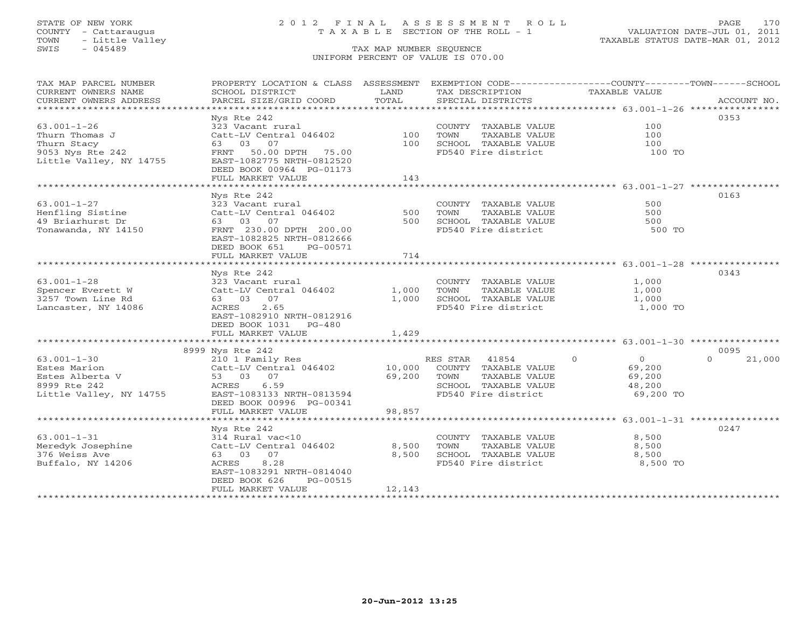TOWN - Little Valley TAXABLE STATUS DATE-MAR 01, 2012 TOWN - Little Valley<br>
SWIS - 045489 TAX MAP NUMBER SEQUENCE

# STATE OF NEW YORK 2 0 1 2 F I N A L A S S E S S M E N T R O L L PAGE 170 COUNTY - Cattaraugus T A X A B L E SECTION OF THE ROLL - 1 VALUATION DATE-JUL 01, 2011

UNIFORM PERCENT OF VALUE IS 070.00

| TAX MAP PARCEL NUMBER                       | PROPERTY LOCATION & CLASS ASSESSMENT                  |            | EXEMPTION CODE-----------------COUNTY-------TOWN------SCHOOL |                           |                  |
|---------------------------------------------|-------------------------------------------------------|------------|--------------------------------------------------------------|---------------------------|------------------|
| CURRENT OWNERS NAME                         | SCHOOL DISTRICT                                       | LAND       | TAX DESCRIPTION                                              | <b>TAXABLE VALUE</b>      |                  |
| CURRENT OWNERS ADDRESS                      | PARCEL SIZE/GRID COORD                                | TOTAL      | SPECIAL DISTRICTS                                            |                           | ACCOUNT NO.      |
| ******************************              |                                                       |            |                                                              |                           |                  |
|                                             | Nys Rte 242                                           |            |                                                              |                           | 0353             |
| $63.001 - 1 - 26$                           | 323 Vacant rural                                      |            | COUNTY TAXABLE VALUE                                         | 100                       |                  |
| Thurn Thomas J                              | Catt-LV Central 046402<br>63 03<br>07                 | 100<br>100 | TOWN<br>TAXABLE VALUE                                        | 100<br>100                |                  |
| Thurn Stacy                                 |                                                       |            | SCHOOL TAXABLE VALUE<br>FD540 Fire district                  |                           |                  |
| 9053 Nys Rte 242<br>Little Valley, NY 14755 | 50.00 DPTH 75.00<br>FRNT<br>EAST-1082775 NRTH-0812520 |            |                                                              | 100 TO                    |                  |
|                                             | DEED BOOK 00964 PG-01173                              |            |                                                              |                           |                  |
|                                             | FULL MARKET VALUE                                     | 143        |                                                              |                           |                  |
|                                             |                                                       |            |                                                              |                           |                  |
|                                             | Nys Rte 242                                           |            |                                                              |                           | 0163             |
| $63.001 - 1 - 27$                           | 323 Vacant rural                                      |            | COUNTY TAXABLE VALUE                                         | 500                       |                  |
| Henfling Sistine                            | Catt-LV Central 046402                                | 500        | TOWN<br>TAXABLE VALUE                                        | 500                       |                  |
| 49 Briarhurst Dr                            | 63 03 07                                              | 500        | SCHOOL TAXABLE VALUE                                         | 500                       |                  |
| Tonawanda, NY 14150                         | FRNT 230.00 DPTH 200.00                               |            | FD540 Fire district                                          | 500 TO                    |                  |
|                                             | EAST-1082825 NRTH-0812666                             |            |                                                              |                           |                  |
|                                             | DEED BOOK 651<br>PG-00571                             |            |                                                              |                           |                  |
|                                             | FULL MARKET VALUE                                     | 714        |                                                              |                           |                  |
|                                             |                                                       |            |                                                              |                           |                  |
|                                             | Nys Rte 242                                           |            |                                                              |                           | 0343             |
| $63.001 - 1 - 28$                           | 323 Vacant rural                                      |            | COUNTY TAXABLE VALUE                                         | 1,000                     |                  |
| Spencer Everett W                           | Catt-LV Central 046402                                | 1,000      | TOWN<br>TAXABLE VALUE                                        | 1,000                     |                  |
| 3257 Town Line Rd                           | 63 03 07                                              | 1,000      | SCHOOL TAXABLE VALUE                                         | 1,000                     |                  |
| Lancaster, NY 14086                         | ACRES<br>2.65                                         |            | FD540 Fire district                                          | 1,000 TO                  |                  |
|                                             | EAST-1082910 NRTH-0812916                             |            |                                                              |                           |                  |
|                                             | DEED BOOK 1031 PG-480                                 |            |                                                              |                           |                  |
|                                             | FULL MARKET VALUE                                     | 1,429      |                                                              |                           |                  |
|                                             |                                                       |            |                                                              |                           |                  |
| $63.001 - 1 - 30$                           | 8999 Nys Rte 242                                      |            | RES STAR<br>41854                                            | $\circ$<br>$\overline{0}$ | 0095<br>$\Omega$ |
| Estes Marion                                | 210 1 Family Res<br>Catt-LV Central 046402            | 10,000     | COUNTY TAXABLE VALUE                                         | 69,200                    | 21,000           |
| Estes Alberta V                             | 53 03 07                                              | 69,200     | TAXABLE VALUE<br>TOWN                                        | 69,200                    |                  |
| 8999 Rte 242                                | ACRES<br>6.59                                         |            | SCHOOL TAXABLE VALUE                                         | 48,200                    |                  |
| Little Valley, NY 14755                     | EAST-1083133 NRTH-0813594                             |            | FD540 Fire district                                          | 69,200 TO                 |                  |
|                                             | DEED BOOK 00996 PG-00341                              |            |                                                              |                           |                  |
|                                             | FULL MARKET VALUE                                     | 98,857     |                                                              |                           |                  |
|                                             |                                                       |            |                                                              |                           |                  |
|                                             | Nys Rte 242                                           |            |                                                              |                           | 0247             |
| $63.001 - 1 - 31$                           | 314 Rural vac<10                                      |            | COUNTY TAXABLE VALUE                                         | 8,500                     |                  |
| Meredyk Josephine                           | Catt-LV Central 046402                                | 8,500      | TOWN<br>TAXABLE VALUE                                        | 8,500                     |                  |
| 376 Weiss Ave                               | 63 03 07                                              | 8,500      | SCHOOL TAXABLE VALUE                                         | 8,500                     |                  |
| Buffalo, NY 14206                           | ACRES<br>8.28                                         |            | FD540 Fire district                                          | 8,500 TO                  |                  |
|                                             | EAST-1083291 NRTH-0814040                             |            |                                                              |                           |                  |
|                                             | DEED BOOK 626<br>PG-00515                             |            |                                                              |                           |                  |
|                                             | FULL MARKET VALUE                                     | 12,143     |                                                              |                           |                  |
|                                             |                                                       |            |                                                              |                           |                  |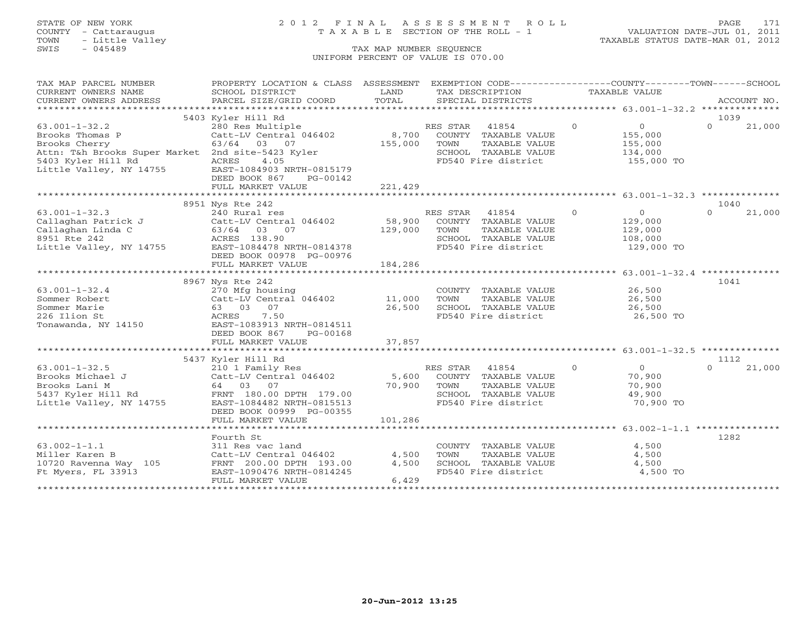# STATE OF NEW YORK 2 0 1 2 F I N A L A S S E S S M E N T R O L L PAGE 171 COUNTY - Cattaraugus T A X A B L E SECTION OF THE ROLL - 1 VALUATION DATE-JUL 01, 2011

| TAX MAP PARCEL NUMBER                                                                                          | PROPERTY LOCATION & CLASS ASSESSMENT EXEMPTION CODE----------------COUNTY-------TOWN------SCHOOL                                   |         |                   |                                       |                  |                     |          |             |
|----------------------------------------------------------------------------------------------------------------|------------------------------------------------------------------------------------------------------------------------------------|---------|-------------------|---------------------------------------|------------------|---------------------|----------|-------------|
| CURRENT OWNERS NAME                                                                                            | SCHOOL DISTRICT                                                                                                                    | LAND    | TAX DESCRIPTION   |                                       | TAXABLE VALUE    |                     |          |             |
| CURRENT OWNERS ADDRESS                                                                                         | PARCEL SIZE/GRID COORD                                                                                                             | TOTAL   | SPECIAL DISTRICTS |                                       |                  |                     |          | ACCOUNT NO. |
|                                                                                                                | 5403 Kyler Hill Rd                                                                                                                 |         |                   |                                       |                  |                     | 1039     |             |
| $63.001 - 1 - 32.2$                                                                                            | nyier niil Rd<br>280 Res Multiple                                                                                                  |         | RES STAR 41854    | $\overline{0}$                        |                  | $\overline{0}$      | $\Omega$ | 21,000      |
| Brooks Thomas P                                                                                                | Catt-LV Central 046402                                                                                                             | 8,700   |                   | COUNTY TAXABLE VALUE                  |                  | 155,000             |          |             |
| Brooks Cherry                                                                                                  | 63/64 03 07                                                                                                                        | 155,000 | TOWN              | TAXABLE VALUE                         |                  | 155,000             |          |             |
| Attn: T&h Brooks Super Market 2nd site-5423 Kyler                                                              |                                                                                                                                    |         |                   | SCHOOL TAXABLE VALUE                  |                  | 134,000             |          |             |
| 5403 Kyler Hill Rd               ACRES       4.05<br>Little Valley, NY 14755         EAST-1084903 NRTH-0815179 |                                                                                                                                    |         |                   | FD540 Fire district                   |                  | 155,000 TO          |          |             |
|                                                                                                                |                                                                                                                                    |         |                   |                                       |                  |                     |          |             |
|                                                                                                                | DEED BOOK 867<br>PG-00142<br>FULL MARKET VALUE                                                                                     | 221,429 |                   |                                       |                  |                     |          |             |
|                                                                                                                |                                                                                                                                    |         |                   |                                       |                  |                     |          |             |
|                                                                                                                | 8951 Nys Rte 242                                                                                                                   |         |                   |                                       |                  |                     | 1040     |             |
| $63.001 - 1 - 32.3$                                                                                            | 240 Rural res                                                                                                                      |         | RES STAR          | 41854 0                               |                  | $\overline{0}$      | $\cap$   | 21,000      |
|                                                                                                                |                                                                                                                                    |         |                   |                                       |                  | 129,000             |          |             |
|                                                                                                                |                                                                                                                                    |         |                   | TAXABLE VALUE                         |                  | 129,000             |          |             |
|                                                                                                                |                                                                                                                                    |         |                   | SCHOOL TAXABLE VALUE                  |                  | 108,000             |          |             |
|                                                                                                                |                                                                                                                                    |         |                   | FD540 Fire district                   |                  | 129,000 TO          |          |             |
|                                                                                                                | DEED BOOK 00978 PG-00976                                                                                                           |         |                   |                                       |                  |                     |          |             |
|                                                                                                                | FULL MARKET VALUE                                                                                                                  | 184,286 |                   |                                       |                  |                     |          |             |
|                                                                                                                |                                                                                                                                    |         |                   |                                       |                  |                     |          |             |
| $63.001 - 1 - 32.4$                                                                                            | 8967 Nys Rte 242<br>270 Mfg housing                                                                                                |         |                   | COUNTY TAXABLE VALUE 26,500           |                  |                     | 1041     |             |
| Sommer Robert                                                                                                  | Catt-LV Central 046402 11,000                                                                                                      |         | TOWN              | TAXABLE VALUE                         |                  |                     |          |             |
| Sommer Marie                                                                                                   | 63 03 07                                                                                                                           | 26,500  |                   | SCHOOL TAXABLE VALUE                  | 26,500<br>26,500 |                     |          |             |
| 226 Ilion St                                                                                                   | 7.50<br>ACRES                                                                                                                      |         |                   | FD540 Fire district                   |                  | 26,500 TO           |          |             |
| Tonawanda, NY 14150                                                                                            | EAST-1083913 NRTH-0814511                                                                                                          |         |                   |                                       |                  |                     |          |             |
|                                                                                                                | DEED BOOK 867<br>PG-00168                                                                                                          |         |                   |                                       |                  |                     |          |             |
|                                                                                                                | FULL MARKET VALUE                                                                                                                  | 37,857  |                   |                                       |                  |                     |          |             |
|                                                                                                                |                                                                                                                                    |         |                   |                                       |                  |                     |          |             |
|                                                                                                                | 5437 Kyler Hill Rd                                                                                                                 |         |                   |                                       |                  |                     | 1112     |             |
| $63.001 - 1 - 32.5$                                                                                            | 210 1 Family Res                                                                                                                   |         | RES STAR 41854    | $\overline{0}$                        |                  | $\overline{0}$      | $\cap$   | 21,000      |
| Brooks Michael J                                                                                               | 210 1 Family Res<br>Catt-LV Central 046402 5,600 COUNTY TAXABLE VALUE<br>64 03 07 70,900 TOWN TAXABLE VALUE<br>RES STAR 41854 2010 |         |                   |                                       |                  | 70,900              |          |             |
| Brooks Lani M                                                                                                  |                                                                                                                                    |         |                   | TAXABLE VALUE<br>SCHOOL TAXABLE VALUE |                  | 70,900              |          |             |
| 5437 Kyler Hill Rd<br>Little Valley, NY 14755                                                                  | EAST-1084482 NRTH-0815513                                                                                                          |         |                   | FD540 Fire district                   |                  | 49,900<br>70,900 TO |          |             |
|                                                                                                                | DEED BOOK 00999 PG-00355                                                                                                           |         |                   |                                       |                  |                     |          |             |
|                                                                                                                | FULL MARKET VALUE                                                                                                                  | 101,286 |                   |                                       |                  |                     |          |             |
|                                                                                                                |                                                                                                                                    |         |                   |                                       |                  |                     |          |             |
|                                                                                                                | Fourth St                                                                                                                          |         |                   |                                       |                  |                     | 1282     |             |
| $63.002 - 1 - 1.1$                                                                                             | 311 Res vac land                                                                                                                   |         |                   | COUNTY TAXABLE VALUE                  |                  | 4,500               |          |             |
| Miller Karen B                                                                                                 | 311 Res vac Iano<br>Catt-LV Central 046402                                                                                         | 4,500   | TOWN              | TAXABLE VALUE                         |                  | 4,500               |          |             |
| 10720 Ravenna Way 105 FRNT 200.00 DPTH 193.00<br>Ft Myers, FL 33913 EAST-1090476 NRTH-0814245                  |                                                                                                                                    | 4,500   |                   | SCHOOL TAXABLE VALUE                  |                  | 4,500               |          |             |
| Ft Myers, FL 33913                                                                                             | EAST-1090476 NRTH-0814245                                                                                                          |         |                   | FD540 Fire district                   |                  | 4,500 TO            |          |             |
|                                                                                                                | FULL MARKET VALUE                                                                                                                  | 6,429   |                   |                                       |                  |                     |          |             |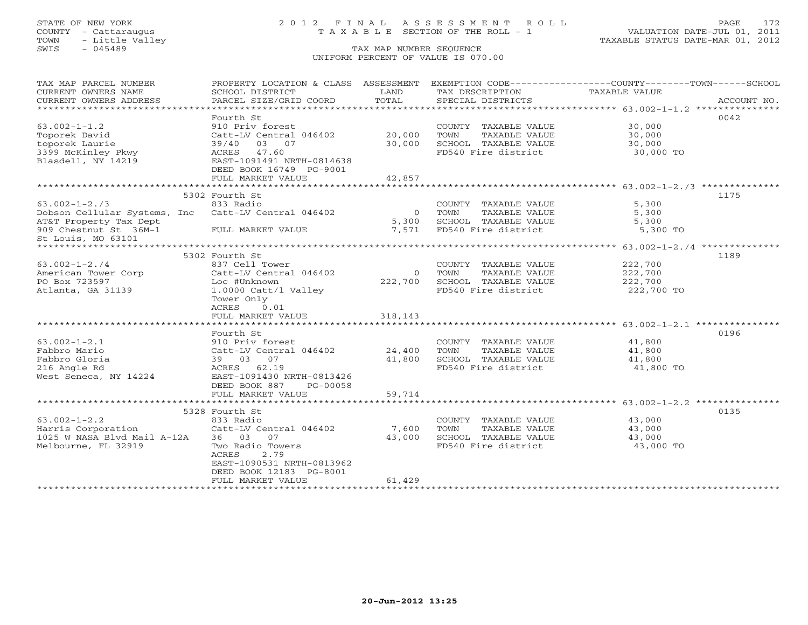# STATE OF NEW YORK 2 0 1 2 F I N A L A S S E S S M E N T R O L L PAGE 172 COUNTY - Cattaraugus T A X A B L E SECTION OF THE ROLL - 1 VALUATION DATE-JUL 01, 2011

| TAX MAP PARCEL NUMBER                               | PROPERTY LOCATION & CLASS ASSESSMENT EXEMPTION CODE----------------COUNTY-------TOWN------SCHOOL |                |                                             |                     |             |
|-----------------------------------------------------|--------------------------------------------------------------------------------------------------|----------------|---------------------------------------------|---------------------|-------------|
| CURRENT OWNERS NAME<br>CURRENT OWNERS ADDRESS       | SCHOOL DISTRICT<br>PARCEL SIZE/GRID COORD                                                        | LAND<br>TOTAL  | TAX DESCRIPTION<br>SPECIAL DISTRICTS        | TAXABLE VALUE       | ACCOUNT NO. |
|                                                     |                                                                                                  |                |                                             |                     |             |
|                                                     | Fourth St                                                                                        |                |                                             |                     | 0042        |
| $63.002 - 1 - 1.2$                                  | 910 Priv forest                                                                                  |                | COUNTY TAXABLE VALUE                        | 30,000              |             |
| Toporek David                                       | Catt-LV Central 046402 20,000                                                                    |                | TOWN<br>TAXABLE VALUE                       | 30,000              |             |
| toporek Laurie                                      | 39/40 03 07                                                                                      | 30,000         |                                             |                     |             |
| 3399 McKinley Pkwy                                  | ACRES 47.60                                                                                      |                | SCHOOL TAXABLE VALUE<br>FD540 Fire district | 30,000<br>30,000 TO |             |
| Blasdell, NY 14219                                  | EAST-1091491 NRTH-0814638                                                                        |                |                                             |                     |             |
|                                                     | DEED BOOK 16749 PG-9001                                                                          |                |                                             |                     |             |
|                                                     | FULL MARKET VALUE                                                                                | 42,857         |                                             |                     |             |
|                                                     |                                                                                                  |                |                                             |                     |             |
|                                                     | 5302 Fourth St                                                                                   |                |                                             |                     | 1175        |
| $63.002 - 1 - 2.73$                                 | 833 Radio                                                                                        |                | COUNTY TAXABLE VALUE                        | 5,300               |             |
| Dobson Cellular Systems, Inc Catt-LV Central 046402 |                                                                                                  |                | 0 TOWN<br>TAXABLE VALUE                     | 5,300               |             |
| AT&T Property Tax Dept                              |                                                                                                  | 5,300          | SCHOOL TAXABLE VALUE                        | 5,300               |             |
| 909 Chestnut St 36M-1 FULL MARKET VALUE             |                                                                                                  | 7,571          | FD540 Fire district                         | 5,300 TO            |             |
| St Louis, MO 63101                                  |                                                                                                  |                |                                             |                     |             |
| ********************                                |                                                                                                  |                |                                             |                     |             |
|                                                     | 5302 Fourth St                                                                                   |                |                                             |                     | 1189        |
| $63.002 - 1 - 2.74$                                 | 837 Cell Tower                                                                                   |                | COUNTY TAXABLE VALUE                        | 222,700             |             |
| American Tower Corp                                 | Catt-LV Central 046402                                                                           | $\overline{0}$ | TAXABLE VALUE<br>TOWN                       | 222,700             |             |
| PO Box 723597                                       | Loc #Unknown                                                                                     | 222,700        | SCHOOL TAXABLE VALUE                        | 222,700             |             |
| Atlanta, GA 31139                                   | 1.0000 Catt/l Valley                                                                             |                | FD540 Fire district                         | 222,700 TO          |             |
|                                                     | Tower Only                                                                                       |                |                                             |                     |             |
|                                                     | ACRES<br>0.01<br>FULL MARKET VALUE                                                               | 318,143        |                                             |                     |             |
|                                                     |                                                                                                  |                |                                             |                     |             |
|                                                     | Fourth St                                                                                        |                |                                             |                     | 0196        |
| $63.002 - 1 - 2.1$                                  | 910 Priv forest                                                                                  |                | COUNTY TAXABLE VALUE                        | 41,800              |             |
| Fabbro Mario                                        | Catt-LV Central 046402 24,400                                                                    |                | TOWN<br>TAXABLE VALUE                       | 41,800              |             |
| Fabbro Gloria                                       |                                                                                                  | 41,800         | SCHOOL TAXABLE VALUE                        | 41,800              |             |
| 216 Angle Rd                                        | 39 03 07<br>ACRES 62.19                                                                          |                | FD540 Fire district                         | 41,800 TO           |             |
| West Seneca, NY 14224                               | EAST-1091430 NRTH-0813426                                                                        |                |                                             |                     |             |
|                                                     | DEED BOOK 887<br>PG-00058                                                                        |                |                                             |                     |             |
|                                                     | FULL MARKET VALUE                                                                                | 59,714         |                                             |                     |             |
|                                                     |                                                                                                  |                |                                             |                     |             |
|                                                     | 5328 Fourth St                                                                                   |                |                                             |                     | 0135        |
| $63.002 - 1 - 2.2$                                  | 833 Radio                                                                                        |                | COUNTY TAXABLE VALUE                        | 43,000              |             |
| b3.002-1-2.2<br>Harris Corporation                  | Catt-LV Central 046402                                                                           | 7,600          | TOWN<br>TAXABLE VALUE                       | 43,000              |             |
| 1025 W NASA Blvd Mail A-12A                         | 36 03 07                                                                                         | 43,000         | SCHOOL TAXABLE VALUE 43,000                 |                     |             |
| Melbourne, FL 32919                                 | Two Radio Towers                                                                                 |                | FD540 Fire district                         | 43,000 TO           |             |
|                                                     | 2.79<br>ACRES                                                                                    |                |                                             |                     |             |
|                                                     | EAST-1090531 NRTH-0813962                                                                        |                |                                             |                     |             |
|                                                     | DEED BOOK 12183 PG-8001                                                                          |                |                                             |                     |             |
|                                                     | FULL MARKET VALUE                                                                                | 61,429         |                                             |                     |             |
|                                                     |                                                                                                  |                |                                             |                     |             |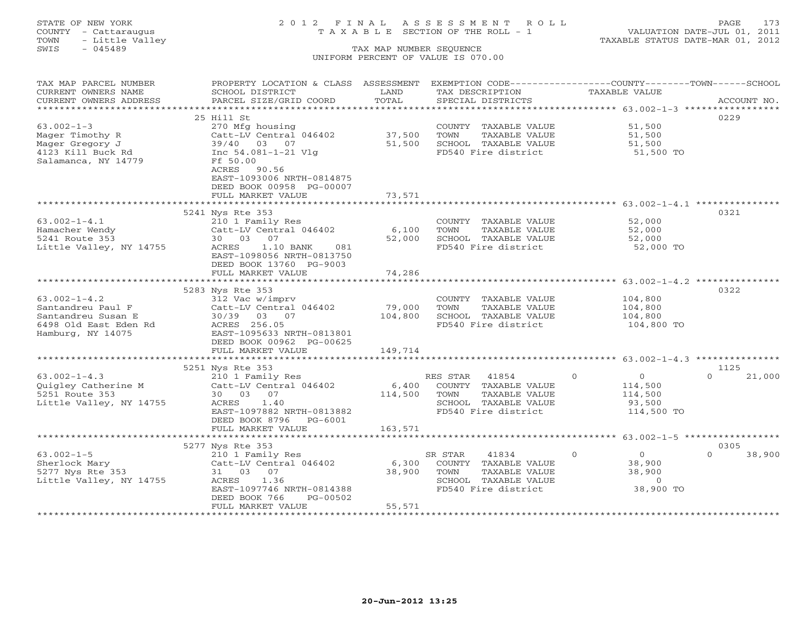# STATE OF NEW YORK 2 0 1 2 F I N A L A S S E S S M E N T R O L L PAGE 173 COUNTY - Cattaraugus T A X A B L E SECTION OF THE ROLL - 1 VALUATION DATE-JUL 01, 2011

| CURRENT OWNERS NAME<br>SCHOOL DISTRICT<br>LAND<br>TAX DESCRIPTION<br>TAXABLE VALUE<br>TOTAL<br>CURRENT OWNERS ADDRESS<br>PARCEL SIZE/GRID COORD<br>SPECIAL DISTRICTS<br>ACCOUNT NO.<br>***********************<br>0229<br>25 Hill St<br>270 Mfg housing<br>51,500<br>COUNTY TAXABLE VALUE<br>37,500<br>Catt-LV Central 046402<br>TOWN<br>TAXABLE VALUE<br>51,500<br>39/40 03 07<br>51,500<br>SCHOOL TAXABLE VALUE<br>51,500<br>FD540 Fire district<br>Inc 54.081-1-21 Vlg<br>51,500 TO<br>Ff 50.00<br>ACRES<br>90.56<br>EAST-1093006 NRTH-0814875<br>DEED BOOK 00958 PG-00007<br>FULL MARKET VALUE<br>73,571<br>0321<br>5241 Nys Rte 353<br>$63.002 - 1 - 4.1$<br>52,000<br>210 1 Family Res<br>COUNTY TAXABLE VALUE<br>6,100<br>Catt-LV Central 046402<br>TOWN<br>TAXABLE VALUE<br>52,000<br>30 03 07<br>52,000<br>SCHOOL TAXABLE VALUE<br>52,000<br>1.10 BANK<br>081<br>FD540 Fire district<br>52,000 TO<br>ACRES<br>EAST-1098056 NRTH-0813750<br>DEED BOOK 13760 PG-9003<br>74,286<br>FULL MARKET VALUE<br>5283 Nys Rte 353<br>0322<br>$63.002 - 1 - 4.2$<br>312 Vac w/imprv<br>COUNTY TAXABLE VALUE<br>104,800<br>79,000<br>Santandreu Paul F<br>Catt-LV Central 046402<br>TOWN<br>TAXABLE VALUE<br>104,800<br>104,800<br>Santandreu Susan E<br>30/39<br>03 07<br>SCHOOL TAXABLE VALUE<br>104,800<br>ACRES 256.05<br>FD540 Fire district<br>6498 Old East Eden Rd<br>104,800 TO<br>EAST-1095633 NRTH-0813801<br>DEED BOOK 00962 PG-00625<br>149,714<br>FULL MARKET VALUE<br>1125<br>5251 Nys Rte 353<br>$\circ$<br>$\Omega$<br>210 1 Family Res<br>RES STAR 41854<br>$\overline{0}$<br>21,000<br>Catt-LV Central 046402<br>6,400<br>COUNTY TAXABLE VALUE<br>114,500<br>5251 Route 353<br>30 03 07<br>114,500<br>TOWN<br>TAXABLE VALUE<br>114,500<br>Little Valley, NY 14755<br>1.40<br>SCHOOL TAXABLE VALUE<br>ACRES<br>93,500<br>EAST-1097882 NRTH-0813882<br>FD540 Fire district<br>114,500 TO<br>DEED BOOK 8796<br>PG-6001<br>163,571<br>FULL MARKET VALUE<br>*****************************<br>0305<br>5277 Nys Rte 353<br>$\Omega$<br>$63.002 - 1 - 5$<br>41834<br>$\overline{0}$<br>$\Omega$<br>38,900<br>210 1 Family Res<br>SR STAR<br>Sherlock Mary<br>Catt-LV Central 046402<br>6,300<br>COUNTY TAXABLE VALUE<br>38,900<br>38,900<br>38,900<br>5277 Nys Rte 353<br>31 03 07<br>TOWN<br>TAXABLE VALUE<br>SCHOOL TAXABLE VALUE<br>ACRES<br>1.36<br>$\circ$<br>38,900 TO<br>EAST-1097746 NRTH-0814388<br>FD540 Fire district<br>DEED BOOK 766<br>PG-00502<br>FULL MARKET VALUE<br>55,571 | TAX MAP PARCEL NUMBER   | PROPERTY LOCATION & CLASS ASSESSMENT | EXEMPTION CODE-----------------COUNTY-------TOWN------SCHOOL |  |
|----------------------------------------------------------------------------------------------------------------------------------------------------------------------------------------------------------------------------------------------------------------------------------------------------------------------------------------------------------------------------------------------------------------------------------------------------------------------------------------------------------------------------------------------------------------------------------------------------------------------------------------------------------------------------------------------------------------------------------------------------------------------------------------------------------------------------------------------------------------------------------------------------------------------------------------------------------------------------------------------------------------------------------------------------------------------------------------------------------------------------------------------------------------------------------------------------------------------------------------------------------------------------------------------------------------------------------------------------------------------------------------------------------------------------------------------------------------------------------------------------------------------------------------------------------------------------------------------------------------------------------------------------------------------------------------------------------------------------------------------------------------------------------------------------------------------------------------------------------------------------------------------------------------------------------------------------------------------------------------------------------------------------------------------------------------------------------------------------------------------------------------------------------------------------------------------------------------------------------------------------------------------------------------------------------------------------------------------------------------------------------------------------------------------------------------------------------------------------------------------------|-------------------------|--------------------------------------|--------------------------------------------------------------|--|
|                                                                                                                                                                                                                                                                                                                                                                                                                                                                                                                                                                                                                                                                                                                                                                                                                                                                                                                                                                                                                                                                                                                                                                                                                                                                                                                                                                                                                                                                                                                                                                                                                                                                                                                                                                                                                                                                                                                                                                                                                                                                                                                                                                                                                                                                                                                                                                                                                                                                                                    |                         |                                      |                                                              |  |
|                                                                                                                                                                                                                                                                                                                                                                                                                                                                                                                                                                                                                                                                                                                                                                                                                                                                                                                                                                                                                                                                                                                                                                                                                                                                                                                                                                                                                                                                                                                                                                                                                                                                                                                                                                                                                                                                                                                                                                                                                                                                                                                                                                                                                                                                                                                                                                                                                                                                                                    |                         |                                      |                                                              |  |
|                                                                                                                                                                                                                                                                                                                                                                                                                                                                                                                                                                                                                                                                                                                                                                                                                                                                                                                                                                                                                                                                                                                                                                                                                                                                                                                                                                                                                                                                                                                                                                                                                                                                                                                                                                                                                                                                                                                                                                                                                                                                                                                                                                                                                                                                                                                                                                                                                                                                                                    |                         |                                      |                                                              |  |
|                                                                                                                                                                                                                                                                                                                                                                                                                                                                                                                                                                                                                                                                                                                                                                                                                                                                                                                                                                                                                                                                                                                                                                                                                                                                                                                                                                                                                                                                                                                                                                                                                                                                                                                                                                                                                                                                                                                                                                                                                                                                                                                                                                                                                                                                                                                                                                                                                                                                                                    |                         |                                      |                                                              |  |
|                                                                                                                                                                                                                                                                                                                                                                                                                                                                                                                                                                                                                                                                                                                                                                                                                                                                                                                                                                                                                                                                                                                                                                                                                                                                                                                                                                                                                                                                                                                                                                                                                                                                                                                                                                                                                                                                                                                                                                                                                                                                                                                                                                                                                                                                                                                                                                                                                                                                                                    | $63.002 - 1 - 3$        |                                      |                                                              |  |
|                                                                                                                                                                                                                                                                                                                                                                                                                                                                                                                                                                                                                                                                                                                                                                                                                                                                                                                                                                                                                                                                                                                                                                                                                                                                                                                                                                                                                                                                                                                                                                                                                                                                                                                                                                                                                                                                                                                                                                                                                                                                                                                                                                                                                                                                                                                                                                                                                                                                                                    | Mager Timothy R         |                                      |                                                              |  |
|                                                                                                                                                                                                                                                                                                                                                                                                                                                                                                                                                                                                                                                                                                                                                                                                                                                                                                                                                                                                                                                                                                                                                                                                                                                                                                                                                                                                                                                                                                                                                                                                                                                                                                                                                                                                                                                                                                                                                                                                                                                                                                                                                                                                                                                                                                                                                                                                                                                                                                    | Mager Gregory J         |                                      |                                                              |  |
|                                                                                                                                                                                                                                                                                                                                                                                                                                                                                                                                                                                                                                                                                                                                                                                                                                                                                                                                                                                                                                                                                                                                                                                                                                                                                                                                                                                                                                                                                                                                                                                                                                                                                                                                                                                                                                                                                                                                                                                                                                                                                                                                                                                                                                                                                                                                                                                                                                                                                                    | 4123 Kill Buck Rd       |                                      |                                                              |  |
|                                                                                                                                                                                                                                                                                                                                                                                                                                                                                                                                                                                                                                                                                                                                                                                                                                                                                                                                                                                                                                                                                                                                                                                                                                                                                                                                                                                                                                                                                                                                                                                                                                                                                                                                                                                                                                                                                                                                                                                                                                                                                                                                                                                                                                                                                                                                                                                                                                                                                                    | Salamanca, NY 14779     |                                      |                                                              |  |
|                                                                                                                                                                                                                                                                                                                                                                                                                                                                                                                                                                                                                                                                                                                                                                                                                                                                                                                                                                                                                                                                                                                                                                                                                                                                                                                                                                                                                                                                                                                                                                                                                                                                                                                                                                                                                                                                                                                                                                                                                                                                                                                                                                                                                                                                                                                                                                                                                                                                                                    |                         |                                      |                                                              |  |
|                                                                                                                                                                                                                                                                                                                                                                                                                                                                                                                                                                                                                                                                                                                                                                                                                                                                                                                                                                                                                                                                                                                                                                                                                                                                                                                                                                                                                                                                                                                                                                                                                                                                                                                                                                                                                                                                                                                                                                                                                                                                                                                                                                                                                                                                                                                                                                                                                                                                                                    |                         |                                      |                                                              |  |
|                                                                                                                                                                                                                                                                                                                                                                                                                                                                                                                                                                                                                                                                                                                                                                                                                                                                                                                                                                                                                                                                                                                                                                                                                                                                                                                                                                                                                                                                                                                                                                                                                                                                                                                                                                                                                                                                                                                                                                                                                                                                                                                                                                                                                                                                                                                                                                                                                                                                                                    |                         |                                      |                                                              |  |
|                                                                                                                                                                                                                                                                                                                                                                                                                                                                                                                                                                                                                                                                                                                                                                                                                                                                                                                                                                                                                                                                                                                                                                                                                                                                                                                                                                                                                                                                                                                                                                                                                                                                                                                                                                                                                                                                                                                                                                                                                                                                                                                                                                                                                                                                                                                                                                                                                                                                                                    |                         |                                      |                                                              |  |
|                                                                                                                                                                                                                                                                                                                                                                                                                                                                                                                                                                                                                                                                                                                                                                                                                                                                                                                                                                                                                                                                                                                                                                                                                                                                                                                                                                                                                                                                                                                                                                                                                                                                                                                                                                                                                                                                                                                                                                                                                                                                                                                                                                                                                                                                                                                                                                                                                                                                                                    |                         |                                      |                                                              |  |
|                                                                                                                                                                                                                                                                                                                                                                                                                                                                                                                                                                                                                                                                                                                                                                                                                                                                                                                                                                                                                                                                                                                                                                                                                                                                                                                                                                                                                                                                                                                                                                                                                                                                                                                                                                                                                                                                                                                                                                                                                                                                                                                                                                                                                                                                                                                                                                                                                                                                                                    |                         |                                      |                                                              |  |
|                                                                                                                                                                                                                                                                                                                                                                                                                                                                                                                                                                                                                                                                                                                                                                                                                                                                                                                                                                                                                                                                                                                                                                                                                                                                                                                                                                                                                                                                                                                                                                                                                                                                                                                                                                                                                                                                                                                                                                                                                                                                                                                                                                                                                                                                                                                                                                                                                                                                                                    |                         |                                      |                                                              |  |
|                                                                                                                                                                                                                                                                                                                                                                                                                                                                                                                                                                                                                                                                                                                                                                                                                                                                                                                                                                                                                                                                                                                                                                                                                                                                                                                                                                                                                                                                                                                                                                                                                                                                                                                                                                                                                                                                                                                                                                                                                                                                                                                                                                                                                                                                                                                                                                                                                                                                                                    | Hamacher Wendy          |                                      |                                                              |  |
|                                                                                                                                                                                                                                                                                                                                                                                                                                                                                                                                                                                                                                                                                                                                                                                                                                                                                                                                                                                                                                                                                                                                                                                                                                                                                                                                                                                                                                                                                                                                                                                                                                                                                                                                                                                                                                                                                                                                                                                                                                                                                                                                                                                                                                                                                                                                                                                                                                                                                                    | 5241 Route 353          |                                      |                                                              |  |
|                                                                                                                                                                                                                                                                                                                                                                                                                                                                                                                                                                                                                                                                                                                                                                                                                                                                                                                                                                                                                                                                                                                                                                                                                                                                                                                                                                                                                                                                                                                                                                                                                                                                                                                                                                                                                                                                                                                                                                                                                                                                                                                                                                                                                                                                                                                                                                                                                                                                                                    | Little Valley, NY 14755 |                                      |                                                              |  |
|                                                                                                                                                                                                                                                                                                                                                                                                                                                                                                                                                                                                                                                                                                                                                                                                                                                                                                                                                                                                                                                                                                                                                                                                                                                                                                                                                                                                                                                                                                                                                                                                                                                                                                                                                                                                                                                                                                                                                                                                                                                                                                                                                                                                                                                                                                                                                                                                                                                                                                    |                         |                                      |                                                              |  |
|                                                                                                                                                                                                                                                                                                                                                                                                                                                                                                                                                                                                                                                                                                                                                                                                                                                                                                                                                                                                                                                                                                                                                                                                                                                                                                                                                                                                                                                                                                                                                                                                                                                                                                                                                                                                                                                                                                                                                                                                                                                                                                                                                                                                                                                                                                                                                                                                                                                                                                    |                         |                                      |                                                              |  |
|                                                                                                                                                                                                                                                                                                                                                                                                                                                                                                                                                                                                                                                                                                                                                                                                                                                                                                                                                                                                                                                                                                                                                                                                                                                                                                                                                                                                                                                                                                                                                                                                                                                                                                                                                                                                                                                                                                                                                                                                                                                                                                                                                                                                                                                                                                                                                                                                                                                                                                    |                         |                                      |                                                              |  |
|                                                                                                                                                                                                                                                                                                                                                                                                                                                                                                                                                                                                                                                                                                                                                                                                                                                                                                                                                                                                                                                                                                                                                                                                                                                                                                                                                                                                                                                                                                                                                                                                                                                                                                                                                                                                                                                                                                                                                                                                                                                                                                                                                                                                                                                                                                                                                                                                                                                                                                    |                         |                                      |                                                              |  |
|                                                                                                                                                                                                                                                                                                                                                                                                                                                                                                                                                                                                                                                                                                                                                                                                                                                                                                                                                                                                                                                                                                                                                                                                                                                                                                                                                                                                                                                                                                                                                                                                                                                                                                                                                                                                                                                                                                                                                                                                                                                                                                                                                                                                                                                                                                                                                                                                                                                                                                    |                         |                                      |                                                              |  |
|                                                                                                                                                                                                                                                                                                                                                                                                                                                                                                                                                                                                                                                                                                                                                                                                                                                                                                                                                                                                                                                                                                                                                                                                                                                                                                                                                                                                                                                                                                                                                                                                                                                                                                                                                                                                                                                                                                                                                                                                                                                                                                                                                                                                                                                                                                                                                                                                                                                                                                    |                         |                                      |                                                              |  |
|                                                                                                                                                                                                                                                                                                                                                                                                                                                                                                                                                                                                                                                                                                                                                                                                                                                                                                                                                                                                                                                                                                                                                                                                                                                                                                                                                                                                                                                                                                                                                                                                                                                                                                                                                                                                                                                                                                                                                                                                                                                                                                                                                                                                                                                                                                                                                                                                                                                                                                    |                         |                                      |                                                              |  |
|                                                                                                                                                                                                                                                                                                                                                                                                                                                                                                                                                                                                                                                                                                                                                                                                                                                                                                                                                                                                                                                                                                                                                                                                                                                                                                                                                                                                                                                                                                                                                                                                                                                                                                                                                                                                                                                                                                                                                                                                                                                                                                                                                                                                                                                                                                                                                                                                                                                                                                    |                         |                                      |                                                              |  |
|                                                                                                                                                                                                                                                                                                                                                                                                                                                                                                                                                                                                                                                                                                                                                                                                                                                                                                                                                                                                                                                                                                                                                                                                                                                                                                                                                                                                                                                                                                                                                                                                                                                                                                                                                                                                                                                                                                                                                                                                                                                                                                                                                                                                                                                                                                                                                                                                                                                                                                    |                         |                                      |                                                              |  |
|                                                                                                                                                                                                                                                                                                                                                                                                                                                                                                                                                                                                                                                                                                                                                                                                                                                                                                                                                                                                                                                                                                                                                                                                                                                                                                                                                                                                                                                                                                                                                                                                                                                                                                                                                                                                                                                                                                                                                                                                                                                                                                                                                                                                                                                                                                                                                                                                                                                                                                    | Hamburg, NY 14075       |                                      |                                                              |  |
|                                                                                                                                                                                                                                                                                                                                                                                                                                                                                                                                                                                                                                                                                                                                                                                                                                                                                                                                                                                                                                                                                                                                                                                                                                                                                                                                                                                                                                                                                                                                                                                                                                                                                                                                                                                                                                                                                                                                                                                                                                                                                                                                                                                                                                                                                                                                                                                                                                                                                                    |                         |                                      |                                                              |  |
|                                                                                                                                                                                                                                                                                                                                                                                                                                                                                                                                                                                                                                                                                                                                                                                                                                                                                                                                                                                                                                                                                                                                                                                                                                                                                                                                                                                                                                                                                                                                                                                                                                                                                                                                                                                                                                                                                                                                                                                                                                                                                                                                                                                                                                                                                                                                                                                                                                                                                                    |                         |                                      |                                                              |  |
|                                                                                                                                                                                                                                                                                                                                                                                                                                                                                                                                                                                                                                                                                                                                                                                                                                                                                                                                                                                                                                                                                                                                                                                                                                                                                                                                                                                                                                                                                                                                                                                                                                                                                                                                                                                                                                                                                                                                                                                                                                                                                                                                                                                                                                                                                                                                                                                                                                                                                                    |                         |                                      |                                                              |  |
|                                                                                                                                                                                                                                                                                                                                                                                                                                                                                                                                                                                                                                                                                                                                                                                                                                                                                                                                                                                                                                                                                                                                                                                                                                                                                                                                                                                                                                                                                                                                                                                                                                                                                                                                                                                                                                                                                                                                                                                                                                                                                                                                                                                                                                                                                                                                                                                                                                                                                                    |                         |                                      |                                                              |  |
|                                                                                                                                                                                                                                                                                                                                                                                                                                                                                                                                                                                                                                                                                                                                                                                                                                                                                                                                                                                                                                                                                                                                                                                                                                                                                                                                                                                                                                                                                                                                                                                                                                                                                                                                                                                                                                                                                                                                                                                                                                                                                                                                                                                                                                                                                                                                                                                                                                                                                                    | $63.002 - 1 - 4.3$      |                                      |                                                              |  |
|                                                                                                                                                                                                                                                                                                                                                                                                                                                                                                                                                                                                                                                                                                                                                                                                                                                                                                                                                                                                                                                                                                                                                                                                                                                                                                                                                                                                                                                                                                                                                                                                                                                                                                                                                                                                                                                                                                                                                                                                                                                                                                                                                                                                                                                                                                                                                                                                                                                                                                    | Quigley Catherine M     |                                      |                                                              |  |
|                                                                                                                                                                                                                                                                                                                                                                                                                                                                                                                                                                                                                                                                                                                                                                                                                                                                                                                                                                                                                                                                                                                                                                                                                                                                                                                                                                                                                                                                                                                                                                                                                                                                                                                                                                                                                                                                                                                                                                                                                                                                                                                                                                                                                                                                                                                                                                                                                                                                                                    |                         |                                      |                                                              |  |
|                                                                                                                                                                                                                                                                                                                                                                                                                                                                                                                                                                                                                                                                                                                                                                                                                                                                                                                                                                                                                                                                                                                                                                                                                                                                                                                                                                                                                                                                                                                                                                                                                                                                                                                                                                                                                                                                                                                                                                                                                                                                                                                                                                                                                                                                                                                                                                                                                                                                                                    |                         |                                      |                                                              |  |
|                                                                                                                                                                                                                                                                                                                                                                                                                                                                                                                                                                                                                                                                                                                                                                                                                                                                                                                                                                                                                                                                                                                                                                                                                                                                                                                                                                                                                                                                                                                                                                                                                                                                                                                                                                                                                                                                                                                                                                                                                                                                                                                                                                                                                                                                                                                                                                                                                                                                                                    |                         |                                      |                                                              |  |
|                                                                                                                                                                                                                                                                                                                                                                                                                                                                                                                                                                                                                                                                                                                                                                                                                                                                                                                                                                                                                                                                                                                                                                                                                                                                                                                                                                                                                                                                                                                                                                                                                                                                                                                                                                                                                                                                                                                                                                                                                                                                                                                                                                                                                                                                                                                                                                                                                                                                                                    |                         |                                      |                                                              |  |
|                                                                                                                                                                                                                                                                                                                                                                                                                                                                                                                                                                                                                                                                                                                                                                                                                                                                                                                                                                                                                                                                                                                                                                                                                                                                                                                                                                                                                                                                                                                                                                                                                                                                                                                                                                                                                                                                                                                                                                                                                                                                                                                                                                                                                                                                                                                                                                                                                                                                                                    |                         |                                      |                                                              |  |
|                                                                                                                                                                                                                                                                                                                                                                                                                                                                                                                                                                                                                                                                                                                                                                                                                                                                                                                                                                                                                                                                                                                                                                                                                                                                                                                                                                                                                                                                                                                                                                                                                                                                                                                                                                                                                                                                                                                                                                                                                                                                                                                                                                                                                                                                                                                                                                                                                                                                                                    |                         |                                      |                                                              |  |
|                                                                                                                                                                                                                                                                                                                                                                                                                                                                                                                                                                                                                                                                                                                                                                                                                                                                                                                                                                                                                                                                                                                                                                                                                                                                                                                                                                                                                                                                                                                                                                                                                                                                                                                                                                                                                                                                                                                                                                                                                                                                                                                                                                                                                                                                                                                                                                                                                                                                                                    |                         |                                      |                                                              |  |
|                                                                                                                                                                                                                                                                                                                                                                                                                                                                                                                                                                                                                                                                                                                                                                                                                                                                                                                                                                                                                                                                                                                                                                                                                                                                                                                                                                                                                                                                                                                                                                                                                                                                                                                                                                                                                                                                                                                                                                                                                                                                                                                                                                                                                                                                                                                                                                                                                                                                                                    |                         |                                      |                                                              |  |
|                                                                                                                                                                                                                                                                                                                                                                                                                                                                                                                                                                                                                                                                                                                                                                                                                                                                                                                                                                                                                                                                                                                                                                                                                                                                                                                                                                                                                                                                                                                                                                                                                                                                                                                                                                                                                                                                                                                                                                                                                                                                                                                                                                                                                                                                                                                                                                                                                                                                                                    |                         |                                      |                                                              |  |
|                                                                                                                                                                                                                                                                                                                                                                                                                                                                                                                                                                                                                                                                                                                                                                                                                                                                                                                                                                                                                                                                                                                                                                                                                                                                                                                                                                                                                                                                                                                                                                                                                                                                                                                                                                                                                                                                                                                                                                                                                                                                                                                                                                                                                                                                                                                                                                                                                                                                                                    |                         |                                      |                                                              |  |
|                                                                                                                                                                                                                                                                                                                                                                                                                                                                                                                                                                                                                                                                                                                                                                                                                                                                                                                                                                                                                                                                                                                                                                                                                                                                                                                                                                                                                                                                                                                                                                                                                                                                                                                                                                                                                                                                                                                                                                                                                                                                                                                                                                                                                                                                                                                                                                                                                                                                                                    | Little Valley, NY 14755 |                                      |                                                              |  |
|                                                                                                                                                                                                                                                                                                                                                                                                                                                                                                                                                                                                                                                                                                                                                                                                                                                                                                                                                                                                                                                                                                                                                                                                                                                                                                                                                                                                                                                                                                                                                                                                                                                                                                                                                                                                                                                                                                                                                                                                                                                                                                                                                                                                                                                                                                                                                                                                                                                                                                    |                         |                                      |                                                              |  |
|                                                                                                                                                                                                                                                                                                                                                                                                                                                                                                                                                                                                                                                                                                                                                                                                                                                                                                                                                                                                                                                                                                                                                                                                                                                                                                                                                                                                                                                                                                                                                                                                                                                                                                                                                                                                                                                                                                                                                                                                                                                                                                                                                                                                                                                                                                                                                                                                                                                                                                    |                         |                                      |                                                              |  |
|                                                                                                                                                                                                                                                                                                                                                                                                                                                                                                                                                                                                                                                                                                                                                                                                                                                                                                                                                                                                                                                                                                                                                                                                                                                                                                                                                                                                                                                                                                                                                                                                                                                                                                                                                                                                                                                                                                                                                                                                                                                                                                                                                                                                                                                                                                                                                                                                                                                                                                    |                         |                                      |                                                              |  |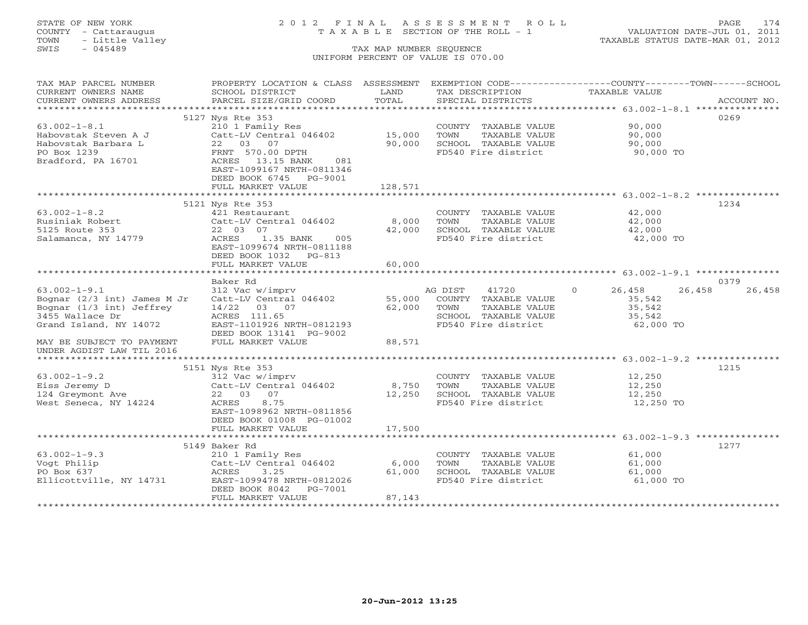# STATE OF NEW YORK 2 0 1 2 F I N A L A S S E S S M E N T R O L L PAGE 174 COUNTY - Cattaraugus T A X A B L E SECTION OF THE ROLL - 1 VALUATION DATE-JUL 01, 2011

| TAX MAP PARCEL NUMBER              | PROPERTY LOCATION & CLASS ASSESSMENT |                  |                                               | EXEMPTION CODE-----------------COUNTY-------TOWN------SCHOOL |                |
|------------------------------------|--------------------------------------|------------------|-----------------------------------------------|--------------------------------------------------------------|----------------|
| CURRENT OWNERS NAME                | SCHOOL DISTRICT                      | LAND             | TAX DESCRIPTION                               | TAXABLE VALUE                                                |                |
| CURRENT OWNERS ADDRESS             | PARCEL SIZE/GRID COORD               | TOTAL            | SPECIAL DISTRICTS                             |                                                              | ACCOUNT NO.    |
|                                    |                                      |                  |                                               |                                                              |                |
|                                    | 5127 Nys Rte 353                     |                  |                                               |                                                              | 0269           |
| $63.002 - 1 - 8.1$                 | 210 1 Family Res                     |                  | COUNTY TAXABLE VALUE                          | 90,000                                                       |                |
| Habovstak Steven A J               | Catt-LV Central 046402<br>22 03 07   | 15,000<br>90,000 | TOWN<br>TAXABLE VALUE<br>SCHOOL TAXABLE VALUE | 90,000                                                       |                |
| Habovstak Barbara L<br>PO Box 1239 | FRNT 570.00 DPTH                     |                  | FD540 Fire district                           | 90,000<br>90,000 TO                                          |                |
| Bradford, PA 16701                 | ACRES 13.15 BANK<br>081              |                  |                                               |                                                              |                |
|                                    | EAST-1099167 NRTH-0811346            |                  |                                               |                                                              |                |
|                                    | DEED BOOK 6745 PG-9001               |                  |                                               |                                                              |                |
|                                    | FULL MARKET VALUE                    | 128,571          |                                               |                                                              |                |
|                                    |                                      |                  |                                               |                                                              |                |
|                                    | 5121 Nys Rte 353                     |                  |                                               |                                                              | 1234           |
| $63.002 - 1 - 8.2$                 | 421 Restaurant                       |                  | COUNTY TAXABLE VALUE                          | 42,000                                                       |                |
| Rusiniak Robert                    | Catt-LV Central 046402               | 8,000            | TOWN<br>TAXABLE VALUE                         | 42,000                                                       |                |
| 5125 Route 353                     | 22 03 07                             | 42,000           | SCHOOL TAXABLE VALUE                          | 42,000                                                       |                |
| Salamanca, NY 14779                | ACRES<br>1.35 BANK<br>005            |                  | FD540 Fire district                           | 42,000 TO                                                    |                |
|                                    | EAST-1099674 NRTH-0811188            |                  |                                               |                                                              |                |
|                                    | DEED BOOK 1032 PG-813                |                  |                                               |                                                              |                |
|                                    | FULL MARKET VALUE                    | 60,000           |                                               |                                                              |                |
|                                    |                                      |                  |                                               |                                                              |                |
| $63.002 - 1 - 9.1$                 | Baker Rd<br>312 Vac w/imprv          |                  | AG DIST<br>41720                              | $\Omega$<br>26,458<br>26,458                                 | 0379<br>26,458 |
| Bognar $(2/3$ int) James M Jr      | Catt-LV Central 046402               | 55,000           | COUNTY TAXABLE VALUE                          | 35,542                                                       |                |
| Bognar (1/3 int) Jeffrey           | $14/22$ 03 07                        | 62,000           | TOWN<br>TAXABLE VALUE                         | 35,542                                                       |                |
| 3455 Wallace Dr                    | ACRES 111.65                         |                  | SCHOOL TAXABLE VALUE                          | 35,542                                                       |                |
| Grand Island, NY 14072             | EAST-1101926 NRTH-0812193            |                  | FD540 Fire district                           | 62,000 TO                                                    |                |
|                                    | DEED BOOK 13141 PG-9002              |                  |                                               |                                                              |                |
| MAY BE SUBJECT TO PAYMENT          | FULL MARKET VALUE                    | 88,571           |                                               |                                                              |                |
| UNDER AGDIST LAW TIL 2016          |                                      |                  |                                               |                                                              |                |
|                                    |                                      |                  |                                               |                                                              |                |
|                                    | 5151 Nys Rte 353                     |                  |                                               |                                                              | 1215           |
| $63.002 - 1 - 9.2$                 | 312 Vac w/imprv                      |                  | COUNTY TAXABLE VALUE                          | 12,250                                                       |                |
| Eiss Jeremy D                      | Catt-LV Central 046402               | 8,750            | TOWN<br>TAXABLE VALUE                         | 12,250                                                       |                |
| 124 Greymont Ave                   | 22 03 07                             | 12,250           | SCHOOL TAXABLE VALUE                          | 12,250                                                       |                |
| West Seneca, NY 14224              | 8.75<br>ACRES                        |                  | FD540 Fire district                           | 12,250 TO                                                    |                |
|                                    | EAST-1098962 NRTH-0811856            |                  |                                               |                                                              |                |
|                                    | DEED BOOK 01008 PG-01002             | 17,500           |                                               |                                                              |                |
|                                    | FULL MARKET VALUE                    |                  |                                               |                                                              |                |
|                                    | 5149 Baker Rd                        |                  |                                               |                                                              | 1277           |
| $63.002 - 1 - 9.3$                 | 210 1 Family Res                     |                  | COUNTY TAXABLE VALUE                          | 61,000                                                       |                |
| Vogt Philip                        | Catt-LV Central 046402               | 6,000            | TOWN<br>TAXABLE VALUE                         | 61,000                                                       |                |
| PO Box 637                         | ACRES<br>3.25                        | 61,000           | SCHOOL TAXABLE VALUE                          | 61,000                                                       |                |
| Ellicottville, NY 14731            | EAST-1099478 NRTH-0812026            |                  | FD540 Fire district                           | 61,000 TO                                                    |                |
|                                    | DEED BOOK 8042<br>PG-7001            |                  |                                               |                                                              |                |
|                                    | FULL MARKET VALUE                    | 87,143           |                                               |                                                              |                |
|                                    |                                      |                  |                                               |                                                              |                |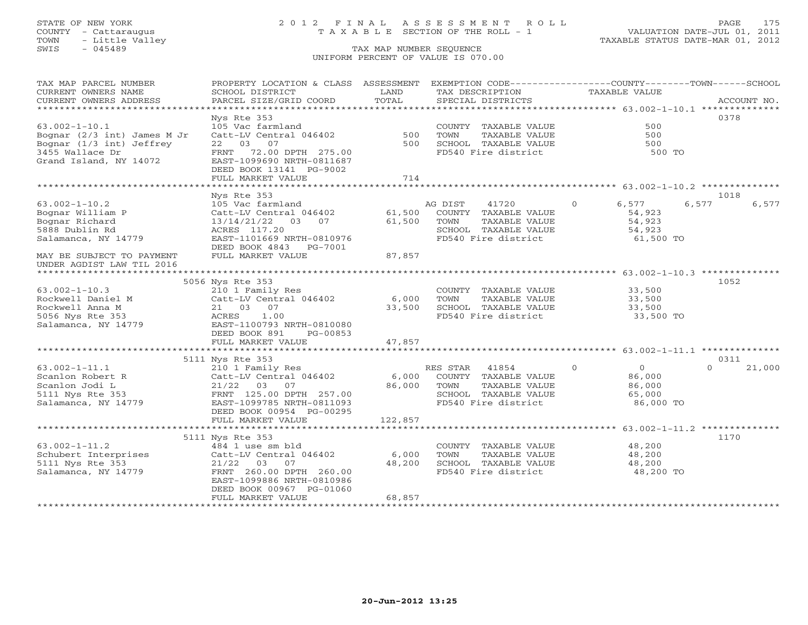# STATE OF NEW YORK 2 0 1 2 F I N A L A S S E S S M E N T R O L L PAGE 175 COUNTY - Cattaraugus T A X A B L E SECTION OF THE ROLL - 1 VALUATION DATE-JUL 01, 2011

| TAX MAP PARCEL NUMBER         | PROPERTY LOCATION & CLASS ASSESSMENT         |         |          | EXEMPTION CODE-----------------COUNTY-------TOWN------SCHOOL |               |                |          |             |
|-------------------------------|----------------------------------------------|---------|----------|--------------------------------------------------------------|---------------|----------------|----------|-------------|
| CURRENT OWNERS NAME           | SCHOOL DISTRICT                              | LAND    |          | TAX DESCRIPTION                                              | TAXABLE VALUE |                |          |             |
| CURRENT OWNERS ADDRESS        | PARCEL SIZE/GRID COORD                       | TOTAL   |          | SPECIAL DISTRICTS                                            |               |                |          | ACCOUNT NO. |
| ***********************       |                                              |         |          |                                                              |               |                |          |             |
|                               | Nys Rte 353                                  |         |          |                                                              |               |                | 0378     |             |
| $63.002 - 1 - 10.1$           | 105 Vac farmland                             |         |          | COUNTY TAXABLE VALUE                                         |               | 500            |          |             |
| Bognar $(2/3$ int) James M Jr | Catt-LV Central 046402                       | 500     | TOWN     | TAXABLE VALUE                                                |               | 500            |          |             |
| Bognar (1/3 int) Jeffrey      | 22 03 07                                     | 500     |          | SCHOOL TAXABLE VALUE                                         |               | 500            |          |             |
| 3455 Wallace Dr               | FRNT 72.00 DPTH 275.00                       |         |          | FD540 Fire district                                          |               | 500 TO         |          |             |
| Grand Island, NY 14072        | EAST-1099690 NRTH-0811687                    |         |          |                                                              |               |                |          |             |
|                               | DEED BOOK 13141 PG-9002<br>FULL MARKET VALUE | 714     |          |                                                              |               |                |          |             |
|                               |                                              |         |          |                                                              |               |                |          |             |
|                               | Nys Rte 353                                  |         |          |                                                              |               |                | 1018     |             |
| $63.002 - 1 - 10.2$           | 105 Vac farmland                             |         | AG DIST  | 41720                                                        | $\circ$       | 6,577          | 6,577    | 6,577       |
| Bognar William P              | Catt-LV Central 046402                       | 61,500  |          | COUNTY TAXABLE VALUE                                         |               | 54,923         |          |             |
| Bognar Richard                | 13/14/21/22 03 07                            | 61,500  | TOWN     | TAXABLE VALUE                                                |               | 54,923         |          |             |
| 5888 Dublin Rd                | ACRES 117.20                                 |         |          | SCHOOL TAXABLE VALUE                                         |               | 54,923         |          |             |
| Salamanca, NY 14779           | EAST-1101669 NRTH-0810976                    |         |          | FD540 Fire district                                          |               | 61,500 TO      |          |             |
|                               |                                              |         |          |                                                              |               |                |          |             |
|                               | DEED BOOK 4843 PG-7001                       | 87,857  |          |                                                              |               |                |          |             |
| MAY BE SUBJECT TO PAYMENT     | FULL MARKET VALUE                            |         |          |                                                              |               |                |          |             |
| UNDER AGDIST LAW TIL 2016     |                                              |         |          |                                                              |               |                |          |             |
|                               | 5056 Nys Rte 353                             |         |          |                                                              |               |                | 1052     |             |
| $63.002 - 1 - 10.3$           | 210 1 Family Res                             |         |          | COUNTY TAXABLE VALUE                                         |               | 33,500         |          |             |
| Rockwell Daniel M             | Catt-LV Central 046402 6,000                 |         | TOWN     | TAXABLE VALUE                                                |               | 33,500         |          |             |
| Rockwell Anna M               | 21 03 07                                     | 33,500  |          | SCHOOL TAXABLE VALUE                                         |               | 33,500         |          |             |
| 5056 Nys Rte 353              | ACRES<br>1.00                                |         |          | FD540 Fire district                                          |               | 33,500 TO      |          |             |
| Salamanca, NY 14779           | EAST-1100793 NRTH-0810080                    |         |          |                                                              |               |                |          |             |
|                               | DEED BOOK 891<br>PG-00853                    |         |          |                                                              |               |                |          |             |
|                               | FULL MARKET VALUE                            | 47,857  |          |                                                              |               |                |          |             |
|                               |                                              |         |          |                                                              |               |                |          |             |
|                               | 5111 Nys Rte 353                             |         |          |                                                              |               |                | 0311     |             |
| $63.002 - 1 - 11.1$           | 210 1 Family Res                             |         | RES STAR | $\overline{0}$<br>41854                                      |               | $\overline{0}$ | $\Omega$ | 21,000      |
| Scanlon Robert R              | Catt-LV Central 046402                       |         |          | 6,000 COUNTY TAXABLE VALUE                                   |               | 86,000         |          |             |
| Scanlon Jodi L                | 21/22 03 07                                  | 86,000  | TOWN     | TAXABLE VALUE                                                |               | 86,000         |          |             |
| 5111 Nys Rte 353              | FRNT 125.00 DPTH 257.00                      |         |          | SCHOOL TAXABLE VALUE                                         |               | 65,000         |          |             |
| Salamanca, NY 14779           | EAST-1099785 NRTH-0811093                    |         |          | FD540 Fire district                                          |               | 86,000 TO      |          |             |
|                               | DEED BOOK 00954 PG-00295                     |         |          |                                                              |               |                |          |             |
|                               | FULL MARKET VALUE                            | 122,857 |          |                                                              |               |                |          |             |
|                               |                                              |         |          |                                                              |               |                |          |             |
|                               | 5111 Nys Rte 353                             |         |          |                                                              |               |                | 1170     |             |
| $63.002 - 1 - 11.2$           | 484 1 use sm bld                             |         |          | COUNTY TAXABLE VALUE                                         |               | 48,200         |          |             |
| Schubert Interprises          | Catt-LV Central 046402                       | 6,000   | TOWN     | TAXABLE VALUE                                                |               | 48,200         |          |             |
| 5111 Nys Rte 353              | $21/22$ 03<br>07                             | 48,200  |          | SCHOOL TAXABLE VALUE                                         |               | 48,200         |          |             |
| Salamanca, NY 14779           | FRNT 260.00 DPTH 260.00                      |         |          | FD540 Fire district                                          |               | 48,200 TO      |          |             |
|                               | EAST-1099886 NRTH-0810986                    |         |          |                                                              |               |                |          |             |
|                               | DEED BOOK 00967 PG-01060                     |         |          |                                                              |               |                |          |             |
|                               | FULL MARKET VALUE                            | 68,857  |          |                                                              |               |                |          |             |
|                               |                                              |         |          |                                                              |               |                |          |             |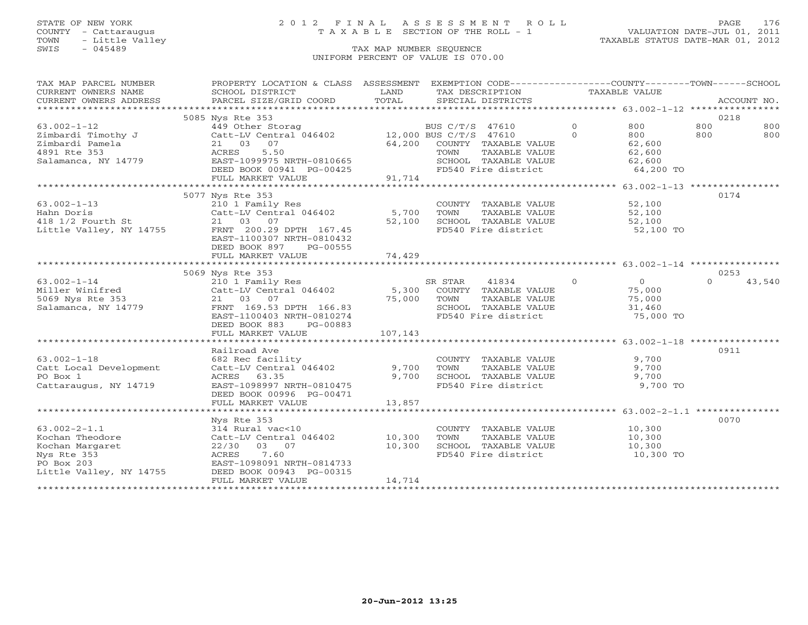# STATE OF NEW YORK 2 0 1 2 F I N A L A S S E S S M E N T R O L L PAGE 176 COUNTY - Cattaraugus T A X A B L E SECTION OF THE ROLL - 1 VALUATION DATE-JUL 01, 2011

| TOTAL<br>PARCEL SIZE/GRID COORD<br>SPECIAL DISTRICTS<br>ACCOUNT NO.<br>5085 Nys Rte 353<br>0218<br>$\overline{0}$<br>800<br>$63.002 - 1 - 12$<br>800<br>800<br>449 Other Storag<br>BUS C/T/S 47610<br>Catt-LV Central 046402 12,000 BUS C/T/S 47610<br>$\Omega$<br>800<br>Zimbardi Timothy J<br>800<br>800<br>21 03 07<br>64,200 COUNTY TAXABLE VALUE<br>Zimbardi Pamela<br>62,600<br>4891 Rte 353<br>5.50<br>TAXABLE VALUE<br>ACRES<br>TOWN<br>62,600<br>Salamanca, NY 14779<br>EAST-1099975 NRTH-0810665<br>SCHOOL TAXABLE VALUE<br>62,600<br>FD540 Fire district<br>DEED BOOK 00941 PG-00425<br>64,200 TO<br>91,714<br>FULL MARKET VALUE<br>0174<br>5077 Nys Rte 353<br>$63.002 - 1 - 13$<br>210 1 Family Res<br>COUNTY TAXABLE VALUE<br>52,100<br>Catt-LV Central $046402$ 5,700<br>52,100<br>TAXABLE VALUE<br>Hahn Doris<br>TOWN<br>418 1/2 Fourth St<br>14755 21 03 07<br>Little Valley, NY 14755 FRNT 200.29 DPTH 167.45<br>52,100<br>TOWN LOWELL<br>SCHOOL TAXABLE VALUE<br>52,100<br>52,100 TO<br>EAST-1100307 NRTH-0810432<br>DEED BOOK 897<br>PG-00555<br>74,429<br>FULL MARKET VALUE<br>0253<br>5069 Nys Rte 353<br>$\Omega$<br>$\Omega$<br>43,540<br>$63.002 - 1 - 14$<br>210 1 Family Res<br>SR STAR<br>41834<br>$\overline{0}$<br>Catt-LV Central 046402<br>5,300 COUNTY TAXABLE VALUE<br>Miller Winifred<br>75,000<br>21 03 07<br>FRNT 169.53 DPTH 166.83 5CHOC<br>5069 Nys Rte 353<br>TAXABLE VALUE<br>75,000<br>Salamanca, NY 14779<br>SCHOOL TAXABLE VALUE<br>31,460<br>FD540 Fire district<br>EAST-1100403 NRTH-0810274<br>75,000 TO<br>DEED BOOK 883<br>PG-00883<br>107,143<br>FULL MARKET VALUE<br>0911<br>Railroad Ave<br>9,700<br>682 Rec facility<br>COUNTY TAXABLE VALUE<br>Catt-LV Central 046402<br>9,700<br>9,700<br>TOWN<br>TAXABLE VALUE<br>9,700<br>ACRES<br>63.35<br>SCHOOL TAXABLE VALUE<br>9,700<br>EAST-1098997 NRTH-0810475<br>FD540 Fire district<br>9,700 TO<br>DEED BOOK 00996 PG-00471<br>13,857<br>FULL MARKET VALUE | TAX MAP PARCEL NUMBER<br>CURRENT OWNERS NAME | PROPERTY LOCATION & CLASS ASSESSMENT<br>SCHOOL DISTRICT | LAND | EXEMPTION CODE-----------------COUNTY-------TOWN------SCHOOL<br>TAX DESCRIPTION | TAXABLE VALUE |  |
|----------------------------------------------------------------------------------------------------------------------------------------------------------------------------------------------------------------------------------------------------------------------------------------------------------------------------------------------------------------------------------------------------------------------------------------------------------------------------------------------------------------------------------------------------------------------------------------------------------------------------------------------------------------------------------------------------------------------------------------------------------------------------------------------------------------------------------------------------------------------------------------------------------------------------------------------------------------------------------------------------------------------------------------------------------------------------------------------------------------------------------------------------------------------------------------------------------------------------------------------------------------------------------------------------------------------------------------------------------------------------------------------------------------------------------------------------------------------------------------------------------------------------------------------------------------------------------------------------------------------------------------------------------------------------------------------------------------------------------------------------------------------------------------------------------------------------------------------------------------------------------------------------------------------------------------------------------------|----------------------------------------------|---------------------------------------------------------|------|---------------------------------------------------------------------------------|---------------|--|
|                                                                                                                                                                                                                                                                                                                                                                                                                                                                                                                                                                                                                                                                                                                                                                                                                                                                                                                                                                                                                                                                                                                                                                                                                                                                                                                                                                                                                                                                                                                                                                                                                                                                                                                                                                                                                                                                                                                                                                | CURRENT OWNERS ADDRESS                       |                                                         |      |                                                                                 |               |  |
|                                                                                                                                                                                                                                                                                                                                                                                                                                                                                                                                                                                                                                                                                                                                                                                                                                                                                                                                                                                                                                                                                                                                                                                                                                                                                                                                                                                                                                                                                                                                                                                                                                                                                                                                                                                                                                                                                                                                                                |                                              |                                                         |      |                                                                                 |               |  |
|                                                                                                                                                                                                                                                                                                                                                                                                                                                                                                                                                                                                                                                                                                                                                                                                                                                                                                                                                                                                                                                                                                                                                                                                                                                                                                                                                                                                                                                                                                                                                                                                                                                                                                                                                                                                                                                                                                                                                                |                                              |                                                         |      |                                                                                 |               |  |
|                                                                                                                                                                                                                                                                                                                                                                                                                                                                                                                                                                                                                                                                                                                                                                                                                                                                                                                                                                                                                                                                                                                                                                                                                                                                                                                                                                                                                                                                                                                                                                                                                                                                                                                                                                                                                                                                                                                                                                |                                              |                                                         |      |                                                                                 |               |  |
|                                                                                                                                                                                                                                                                                                                                                                                                                                                                                                                                                                                                                                                                                                                                                                                                                                                                                                                                                                                                                                                                                                                                                                                                                                                                                                                                                                                                                                                                                                                                                                                                                                                                                                                                                                                                                                                                                                                                                                |                                              |                                                         |      |                                                                                 |               |  |
|                                                                                                                                                                                                                                                                                                                                                                                                                                                                                                                                                                                                                                                                                                                                                                                                                                                                                                                                                                                                                                                                                                                                                                                                                                                                                                                                                                                                                                                                                                                                                                                                                                                                                                                                                                                                                                                                                                                                                                |                                              |                                                         |      |                                                                                 |               |  |
|                                                                                                                                                                                                                                                                                                                                                                                                                                                                                                                                                                                                                                                                                                                                                                                                                                                                                                                                                                                                                                                                                                                                                                                                                                                                                                                                                                                                                                                                                                                                                                                                                                                                                                                                                                                                                                                                                                                                                                |                                              |                                                         |      |                                                                                 |               |  |
|                                                                                                                                                                                                                                                                                                                                                                                                                                                                                                                                                                                                                                                                                                                                                                                                                                                                                                                                                                                                                                                                                                                                                                                                                                                                                                                                                                                                                                                                                                                                                                                                                                                                                                                                                                                                                                                                                                                                                                |                                              |                                                         |      |                                                                                 |               |  |
|                                                                                                                                                                                                                                                                                                                                                                                                                                                                                                                                                                                                                                                                                                                                                                                                                                                                                                                                                                                                                                                                                                                                                                                                                                                                                                                                                                                                                                                                                                                                                                                                                                                                                                                                                                                                                                                                                                                                                                |                                              |                                                         |      |                                                                                 |               |  |
|                                                                                                                                                                                                                                                                                                                                                                                                                                                                                                                                                                                                                                                                                                                                                                                                                                                                                                                                                                                                                                                                                                                                                                                                                                                                                                                                                                                                                                                                                                                                                                                                                                                                                                                                                                                                                                                                                                                                                                |                                              |                                                         |      |                                                                                 |               |  |
|                                                                                                                                                                                                                                                                                                                                                                                                                                                                                                                                                                                                                                                                                                                                                                                                                                                                                                                                                                                                                                                                                                                                                                                                                                                                                                                                                                                                                                                                                                                                                                                                                                                                                                                                                                                                                                                                                                                                                                |                                              |                                                         |      |                                                                                 |               |  |
|                                                                                                                                                                                                                                                                                                                                                                                                                                                                                                                                                                                                                                                                                                                                                                                                                                                                                                                                                                                                                                                                                                                                                                                                                                                                                                                                                                                                                                                                                                                                                                                                                                                                                                                                                                                                                                                                                                                                                                |                                              |                                                         |      |                                                                                 |               |  |
|                                                                                                                                                                                                                                                                                                                                                                                                                                                                                                                                                                                                                                                                                                                                                                                                                                                                                                                                                                                                                                                                                                                                                                                                                                                                                                                                                                                                                                                                                                                                                                                                                                                                                                                                                                                                                                                                                                                                                                |                                              |                                                         |      |                                                                                 |               |  |
|                                                                                                                                                                                                                                                                                                                                                                                                                                                                                                                                                                                                                                                                                                                                                                                                                                                                                                                                                                                                                                                                                                                                                                                                                                                                                                                                                                                                                                                                                                                                                                                                                                                                                                                                                                                                                                                                                                                                                                |                                              |                                                         |      |                                                                                 |               |  |
|                                                                                                                                                                                                                                                                                                                                                                                                                                                                                                                                                                                                                                                                                                                                                                                                                                                                                                                                                                                                                                                                                                                                                                                                                                                                                                                                                                                                                                                                                                                                                                                                                                                                                                                                                                                                                                                                                                                                                                |                                              |                                                         |      |                                                                                 |               |  |
|                                                                                                                                                                                                                                                                                                                                                                                                                                                                                                                                                                                                                                                                                                                                                                                                                                                                                                                                                                                                                                                                                                                                                                                                                                                                                                                                                                                                                                                                                                                                                                                                                                                                                                                                                                                                                                                                                                                                                                |                                              |                                                         |      |                                                                                 |               |  |
|                                                                                                                                                                                                                                                                                                                                                                                                                                                                                                                                                                                                                                                                                                                                                                                                                                                                                                                                                                                                                                                                                                                                                                                                                                                                                                                                                                                                                                                                                                                                                                                                                                                                                                                                                                                                                                                                                                                                                                |                                              |                                                         |      |                                                                                 |               |  |
|                                                                                                                                                                                                                                                                                                                                                                                                                                                                                                                                                                                                                                                                                                                                                                                                                                                                                                                                                                                                                                                                                                                                                                                                                                                                                                                                                                                                                                                                                                                                                                                                                                                                                                                                                                                                                                                                                                                                                                |                                              |                                                         |      |                                                                                 |               |  |
|                                                                                                                                                                                                                                                                                                                                                                                                                                                                                                                                                                                                                                                                                                                                                                                                                                                                                                                                                                                                                                                                                                                                                                                                                                                                                                                                                                                                                                                                                                                                                                                                                                                                                                                                                                                                                                                                                                                                                                |                                              |                                                         |      |                                                                                 |               |  |
|                                                                                                                                                                                                                                                                                                                                                                                                                                                                                                                                                                                                                                                                                                                                                                                                                                                                                                                                                                                                                                                                                                                                                                                                                                                                                                                                                                                                                                                                                                                                                                                                                                                                                                                                                                                                                                                                                                                                                                |                                              |                                                         |      |                                                                                 |               |  |
|                                                                                                                                                                                                                                                                                                                                                                                                                                                                                                                                                                                                                                                                                                                                                                                                                                                                                                                                                                                                                                                                                                                                                                                                                                                                                                                                                                                                                                                                                                                                                                                                                                                                                                                                                                                                                                                                                                                                                                |                                              |                                                         |      |                                                                                 |               |  |
|                                                                                                                                                                                                                                                                                                                                                                                                                                                                                                                                                                                                                                                                                                                                                                                                                                                                                                                                                                                                                                                                                                                                                                                                                                                                                                                                                                                                                                                                                                                                                                                                                                                                                                                                                                                                                                                                                                                                                                |                                              |                                                         |      |                                                                                 |               |  |
|                                                                                                                                                                                                                                                                                                                                                                                                                                                                                                                                                                                                                                                                                                                                                                                                                                                                                                                                                                                                                                                                                                                                                                                                                                                                                                                                                                                                                                                                                                                                                                                                                                                                                                                                                                                                                                                                                                                                                                |                                              |                                                         |      |                                                                                 |               |  |
|                                                                                                                                                                                                                                                                                                                                                                                                                                                                                                                                                                                                                                                                                                                                                                                                                                                                                                                                                                                                                                                                                                                                                                                                                                                                                                                                                                                                                                                                                                                                                                                                                                                                                                                                                                                                                                                                                                                                                                |                                              |                                                         |      |                                                                                 |               |  |
|                                                                                                                                                                                                                                                                                                                                                                                                                                                                                                                                                                                                                                                                                                                                                                                                                                                                                                                                                                                                                                                                                                                                                                                                                                                                                                                                                                                                                                                                                                                                                                                                                                                                                                                                                                                                                                                                                                                                                                |                                              |                                                         |      |                                                                                 |               |  |
|                                                                                                                                                                                                                                                                                                                                                                                                                                                                                                                                                                                                                                                                                                                                                                                                                                                                                                                                                                                                                                                                                                                                                                                                                                                                                                                                                                                                                                                                                                                                                                                                                                                                                                                                                                                                                                                                                                                                                                |                                              |                                                         |      |                                                                                 |               |  |
|                                                                                                                                                                                                                                                                                                                                                                                                                                                                                                                                                                                                                                                                                                                                                                                                                                                                                                                                                                                                                                                                                                                                                                                                                                                                                                                                                                                                                                                                                                                                                                                                                                                                                                                                                                                                                                                                                                                                                                |                                              |                                                         |      |                                                                                 |               |  |
|                                                                                                                                                                                                                                                                                                                                                                                                                                                                                                                                                                                                                                                                                                                                                                                                                                                                                                                                                                                                                                                                                                                                                                                                                                                                                                                                                                                                                                                                                                                                                                                                                                                                                                                                                                                                                                                                                                                                                                |                                              |                                                         |      |                                                                                 |               |  |
|                                                                                                                                                                                                                                                                                                                                                                                                                                                                                                                                                                                                                                                                                                                                                                                                                                                                                                                                                                                                                                                                                                                                                                                                                                                                                                                                                                                                                                                                                                                                                                                                                                                                                                                                                                                                                                                                                                                                                                |                                              |                                                         |      |                                                                                 |               |  |
|                                                                                                                                                                                                                                                                                                                                                                                                                                                                                                                                                                                                                                                                                                                                                                                                                                                                                                                                                                                                                                                                                                                                                                                                                                                                                                                                                                                                                                                                                                                                                                                                                                                                                                                                                                                                                                                                                                                                                                | $63.002 - 1 - 18$                            |                                                         |      |                                                                                 |               |  |
|                                                                                                                                                                                                                                                                                                                                                                                                                                                                                                                                                                                                                                                                                                                                                                                                                                                                                                                                                                                                                                                                                                                                                                                                                                                                                                                                                                                                                                                                                                                                                                                                                                                                                                                                                                                                                                                                                                                                                                | Catt Local Development                       |                                                         |      |                                                                                 |               |  |
|                                                                                                                                                                                                                                                                                                                                                                                                                                                                                                                                                                                                                                                                                                                                                                                                                                                                                                                                                                                                                                                                                                                                                                                                                                                                                                                                                                                                                                                                                                                                                                                                                                                                                                                                                                                                                                                                                                                                                                | PO Box 1                                     |                                                         |      |                                                                                 |               |  |
|                                                                                                                                                                                                                                                                                                                                                                                                                                                                                                                                                                                                                                                                                                                                                                                                                                                                                                                                                                                                                                                                                                                                                                                                                                                                                                                                                                                                                                                                                                                                                                                                                                                                                                                                                                                                                                                                                                                                                                | Cattaraugus, NY 14719                        |                                                         |      |                                                                                 |               |  |
|                                                                                                                                                                                                                                                                                                                                                                                                                                                                                                                                                                                                                                                                                                                                                                                                                                                                                                                                                                                                                                                                                                                                                                                                                                                                                                                                                                                                                                                                                                                                                                                                                                                                                                                                                                                                                                                                                                                                                                |                                              |                                                         |      |                                                                                 |               |  |
|                                                                                                                                                                                                                                                                                                                                                                                                                                                                                                                                                                                                                                                                                                                                                                                                                                                                                                                                                                                                                                                                                                                                                                                                                                                                                                                                                                                                                                                                                                                                                                                                                                                                                                                                                                                                                                                                                                                                                                |                                              |                                                         |      |                                                                                 |               |  |
|                                                                                                                                                                                                                                                                                                                                                                                                                                                                                                                                                                                                                                                                                                                                                                                                                                                                                                                                                                                                                                                                                                                                                                                                                                                                                                                                                                                                                                                                                                                                                                                                                                                                                                                                                                                                                                                                                                                                                                |                                              |                                                         |      |                                                                                 |               |  |
| 0070<br>Nys Rte 353                                                                                                                                                                                                                                                                                                                                                                                                                                                                                                                                                                                                                                                                                                                                                                                                                                                                                                                                                                                                                                                                                                                                                                                                                                                                                                                                                                                                                                                                                                                                                                                                                                                                                                                                                                                                                                                                                                                                            |                                              |                                                         |      |                                                                                 |               |  |
| 314 Rural vac<10<br>COUNTY TAXABLE VALUE<br>10,300                                                                                                                                                                                                                                                                                                                                                                                                                                                                                                                                                                                                                                                                                                                                                                                                                                                                                                                                                                                                                                                                                                                                                                                                                                                                                                                                                                                                                                                                                                                                                                                                                                                                                                                                                                                                                                                                                                             | $63.002 - 2 - 1.1$                           |                                                         |      |                                                                                 |               |  |
| Catt-LV Central 046402 10,300<br>TOWN<br>TAXABLE VALUE<br>10,300                                                                                                                                                                                                                                                                                                                                                                                                                                                                                                                                                                                                                                                                                                                                                                                                                                                                                                                                                                                                                                                                                                                                                                                                                                                                                                                                                                                                                                                                                                                                                                                                                                                                                                                                                                                                                                                                                               | Kochan Theodore                              |                                                         |      |                                                                                 |               |  |
| 22/30 03 07<br>10,300<br>SCHOOL TAXABLE VALUE<br>10,300                                                                                                                                                                                                                                                                                                                                                                                                                                                                                                                                                                                                                                                                                                                                                                                                                                                                                                                                                                                                                                                                                                                                                                                                                                                                                                                                                                                                                                                                                                                                                                                                                                                                                                                                                                                                                                                                                                        | Kochan Margaret                              |                                                         |      |                                                                                 |               |  |
| 7.60<br>FD540 Fire district<br>10,300 TO<br>ACRES                                                                                                                                                                                                                                                                                                                                                                                                                                                                                                                                                                                                                                                                                                                                                                                                                                                                                                                                                                                                                                                                                                                                                                                                                                                                                                                                                                                                                                                                                                                                                                                                                                                                                                                                                                                                                                                                                                              | Nys Rte 353                                  |                                                         |      |                                                                                 |               |  |
| EAST-1098091 NRTH-0814733                                                                                                                                                                                                                                                                                                                                                                                                                                                                                                                                                                                                                                                                                                                                                                                                                                                                                                                                                                                                                                                                                                                                                                                                                                                                                                                                                                                                                                                                                                                                                                                                                                                                                                                                                                                                                                                                                                                                      | PO Box 203                                   |                                                         |      |                                                                                 |               |  |
| DEED BOOK 00943 PG-00315                                                                                                                                                                                                                                                                                                                                                                                                                                                                                                                                                                                                                                                                                                                                                                                                                                                                                                                                                                                                                                                                                                                                                                                                                                                                                                                                                                                                                                                                                                                                                                                                                                                                                                                                                                                                                                                                                                                                       | Little Valley, NY 14755                      |                                                         |      |                                                                                 |               |  |
| 14,714<br>FULL MARKET VALUE                                                                                                                                                                                                                                                                                                                                                                                                                                                                                                                                                                                                                                                                                                                                                                                                                                                                                                                                                                                                                                                                                                                                                                                                                                                                                                                                                                                                                                                                                                                                                                                                                                                                                                                                                                                                                                                                                                                                    |                                              |                                                         |      |                                                                                 |               |  |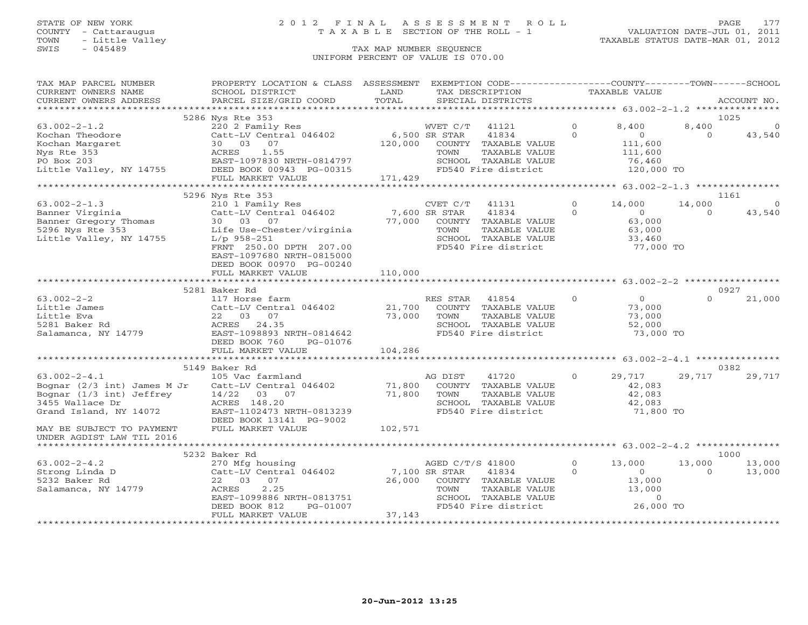# STATE OF NEW YORK 2 0 1 2 F I N A L A S S E S S M E N T R O L L PAGE 177 COUNTY - Cattaraugus T A X A B L E SECTION OF THE ROLL - 1 VALUATION DATE-JUL 01, 2011

| TAX MAP PARCEL NUMBER<br>CURRENT OWNERS NAME<br>CURRENT OWNERS ADDRESS PARCEL SIZE/GRID COORD                                                                                                                                                                                                                                                                                       | PROPERTY LOCATION & CLASS ASSESSMENT EXEMPTION CODE----------------COUNTY-------TOWN------SCHOOL                                                                                                                                           | LAND<br>TOTAL | TAX DESCRIPTION TAXABLE VALUE<br>SPECIAL DISTRICTS                                                                                                                             |                                 |                          | ACCOUNT NO.      |
|-------------------------------------------------------------------------------------------------------------------------------------------------------------------------------------------------------------------------------------------------------------------------------------------------------------------------------------------------------------------------------------|--------------------------------------------------------------------------------------------------------------------------------------------------------------------------------------------------------------------------------------------|---------------|--------------------------------------------------------------------------------------------------------------------------------------------------------------------------------|---------------------------------|--------------------------|------------------|
|                                                                                                                                                                                                                                                                                                                                                                                     |                                                                                                                                                                                                                                            |               |                                                                                                                                                                                |                                 |                          |                  |
|                                                                                                                                                                                                                                                                                                                                                                                     | 5286 Nys Rte 353                                                                                                                                                                                                                           |               |                                                                                                                                                                                |                                 | 1025                     |                  |
|                                                                                                                                                                                                                                                                                                                                                                                     |                                                                                                                                                                                                                                            |               |                                                                                                                                                                                |                                 |                          |                  |
|                                                                                                                                                                                                                                                                                                                                                                                     |                                                                                                                                                                                                                                            |               |                                                                                                                                                                                |                                 |                          |                  |
|                                                                                                                                                                                                                                                                                                                                                                                     |                                                                                                                                                                                                                                            |               |                                                                                                                                                                                |                                 |                          |                  |
|                                                                                                                                                                                                                                                                                                                                                                                     |                                                                                                                                                                                                                                            |               |                                                                                                                                                                                |                                 |                          |                  |
|                                                                                                                                                                                                                                                                                                                                                                                     |                                                                                                                                                                                                                                            |               |                                                                                                                                                                                |                                 |                          |                  |
|                                                                                                                                                                                                                                                                                                                                                                                     |                                                                                                                                                                                                                                            |               |                                                                                                                                                                                |                                 |                          |                  |
|                                                                                                                                                                                                                                                                                                                                                                                     |                                                                                                                                                                                                                                            |               |                                                                                                                                                                                |                                 |                          |                  |
|                                                                                                                                                                                                                                                                                                                                                                                     |                                                                                                                                                                                                                                            |               |                                                                                                                                                                                |                                 |                          |                  |
|                                                                                                                                                                                                                                                                                                                                                                                     | 5296 Nys Rte 353                                                                                                                                                                                                                           |               |                                                                                                                                                                                |                                 | 1161                     |                  |
|                                                                                                                                                                                                                                                                                                                                                                                     |                                                                                                                                                                                                                                            |               | CVET C/T 41131 0 14,000 14,00<br>SR STAR 41834 0 0<br>COUNTY TAXABLE VALUE 63,000<br>TOWN TAXABLE VALUE 63,000<br>SCHOOL TAXABLE VALUE 33,460<br>FD540 Fire district 77,000 TO |                                 | 14,000                   | $\overline{0}$   |
|                                                                                                                                                                                                                                                                                                                                                                                     |                                                                                                                                                                                                                                            |               |                                                                                                                                                                                |                                 | $\Omega$                 | 43,540           |
|                                                                                                                                                                                                                                                                                                                                                                                     |                                                                                                                                                                                                                                            |               |                                                                                                                                                                                |                                 |                          |                  |
|                                                                                                                                                                                                                                                                                                                                                                                     |                                                                                                                                                                                                                                            |               |                                                                                                                                                                                |                                 |                          |                  |
|                                                                                                                                                                                                                                                                                                                                                                                     |                                                                                                                                                                                                                                            |               |                                                                                                                                                                                |                                 |                          |                  |
|                                                                                                                                                                                                                                                                                                                                                                                     | FRNT 250.00 DPTH 207.00                                                                                                                                                                                                                    |               |                                                                                                                                                                                |                                 |                          |                  |
|                                                                                                                                                                                                                                                                                                                                                                                     | EAST-1097680 NRTH-0815000                                                                                                                                                                                                                  |               |                                                                                                                                                                                |                                 |                          |                  |
|                                                                                                                                                                                                                                                                                                                                                                                     | DEED BOOK 00970 PG-00240                                                                                                                                                                                                                   |               |                                                                                                                                                                                |                                 |                          |                  |
|                                                                                                                                                                                                                                                                                                                                                                                     |                                                                                                                                                                                                                                            |               |                                                                                                                                                                                |                                 |                          |                  |
|                                                                                                                                                                                                                                                                                                                                                                                     |                                                                                                                                                                                                                                            |               |                                                                                                                                                                                |                                 |                          |                  |
|                                                                                                                                                                                                                                                                                                                                                                                     | 5281 Baker Rd                                                                                                                                                                                                                              |               | RES STAR 41854 0<br>COUNTY TAXABLE VALUE 73,000<br>TOWN TAXABLE VALUE 73,000                                                                                                   |                                 | 0927                     |                  |
|                                                                                                                                                                                                                                                                                                                                                                                     |                                                                                                                                                                                                                                            |               |                                                                                                                                                                                |                                 | $\Omega$                 | 21,000           |
|                                                                                                                                                                                                                                                                                                                                                                                     |                                                                                                                                                                                                                                            |               |                                                                                                                                                                                |                                 |                          |                  |
|                                                                                                                                                                                                                                                                                                                                                                                     |                                                                                                                                                                                                                                            |               |                                                                                                                                                                                |                                 |                          |                  |
|                                                                                                                                                                                                                                                                                                                                                                                     |                                                                                                                                                                                                                                            |               | SCHOOL TAXABLE VALUE<br>FD540 Fire district 52,000 TO                                                                                                                          |                                 |                          |                  |
|                                                                                                                                                                                                                                                                                                                                                                                     |                                                                                                                                                                                                                                            |               | FD540 Fire district                                                                                                                                                            |                                 |                          |                  |
|                                                                                                                                                                                                                                                                                                                                                                                     |                                                                                                                                                                                                                                            |               |                                                                                                                                                                                |                                 |                          |                  |
|                                                                                                                                                                                                                                                                                                                                                                                     |                                                                                                                                                                                                                                            |               |                                                                                                                                                                                |                                 |                          |                  |
|                                                                                                                                                                                                                                                                                                                                                                                     |                                                                                                                                                                                                                                            |               |                                                                                                                                                                                |                                 |                          |                  |
| $\begin{tabular}{lllllllllllllllllllllll} \hline $\log{101} & $\log{101} & $\log{101} & $\log{101} & $\log{101} & $\log{101} & $\log{101} & $\log{101} & $\log{101} & $\log{101} & $\log{101} & $\log{101} & $\log{101} & $\log{101} & $\log{101} & $\log{101} & $\log{101} & $\log{101} & $\log{101} & $\log{101} & $\log{101} & $\log{101} & $\log{101} & $\log{101} & $\log{101$ | 5149 Baker Rd                                                                                                                                                                                                                              |               |                                                                                                                                                                                |                                 | 0382                     |                  |
|                                                                                                                                                                                                                                                                                                                                                                                     |                                                                                                                                                                                                                                            |               | 41720                                                                                                                                                                          | $0 \qquad 29,717 \qquad 29,717$ |                          | 29,717           |
|                                                                                                                                                                                                                                                                                                                                                                                     |                                                                                                                                                                                                                                            |               | COUNTY TAXABLE VALUE                                                                                                                                                           | 42,083                          |                          |                  |
|                                                                                                                                                                                                                                                                                                                                                                                     |                                                                                                                                                                                                                                            |               |                                                                                                                                                                                |                                 |                          |                  |
|                                                                                                                                                                                                                                                                                                                                                                                     |                                                                                                                                                                                                                                            |               | COUNTY IAAADDE WILLE<br>TOWN TAXABLE VALUE 42,083<br>SCHOOL TAXABLE VALUE 42,083<br>1,800                                                                                      |                                 |                          |                  |
|                                                                                                                                                                                                                                                                                                                                                                                     |                                                                                                                                                                                                                                            |               | FD540 Fire district                                                                                                                                                            | 71,800 TO                       |                          |                  |
|                                                                                                                                                                                                                                                                                                                                                                                     |                                                                                                                                                                                                                                            |               |                                                                                                                                                                                |                                 |                          |                  |
|                                                                                                                                                                                                                                                                                                                                                                                     |                                                                                                                                                                                                                                            |               |                                                                                                                                                                                |                                 |                          |                  |
|                                                                                                                                                                                                                                                                                                                                                                                     |                                                                                                                                                                                                                                            |               |                                                                                                                                                                                |                                 |                          |                  |
|                                                                                                                                                                                                                                                                                                                                                                                     |                                                                                                                                                                                                                                            |               |                                                                                                                                                                                |                                 | 1000                     |                  |
|                                                                                                                                                                                                                                                                                                                                                                                     | 5232 Baker Rd                                                                                                                                                                                                                              |               |                                                                                                                                                                                |                                 |                          |                  |
| $63.002 - 2 - 4.2$<br>strong Linda D<br>5232 Baker Rd<br>Salamanca NV 14770                                                                                                                                                                                                                                                                                                         |                                                                                                                                                                                                                                            |               |                                                                                                                                                                                |                                 | 13,000<br>$\overline{0}$ | 13,000<br>13,000 |
|                                                                                                                                                                                                                                                                                                                                                                                     |                                                                                                                                                                                                                                            |               |                                                                                                                                                                                |                                 |                          |                  |
| Salamanca, NY 14779                                                                                                                                                                                                                                                                                                                                                                 |                                                                                                                                                                                                                                            |               |                                                                                                                                                                                |                                 |                          |                  |
|                                                                                                                                                                                                                                                                                                                                                                                     |                                                                                                                                                                                                                                            |               |                                                                                                                                                                                |                                 |                          |                  |
|                                                                                                                                                                                                                                                                                                                                                                                     |                                                                                                                                                                                                                                            |               | TOWN TAXABLE VALUE 13,000<br>SCHOOL TAXABLE VALUE 0<br>FD540 Fire district 26,000 TO                                                                                           |                                 |                          |                  |
|                                                                                                                                                                                                                                                                                                                                                                                     | Baker Rd<br>270 Mfg housing<br>Cat-LV Central 046402 7,100 SR STAR 41834 0<br>22 03 07 26,000 COUNTY TAXABLE VALUE 13,000<br>ACRES 2.25 TOWN TAXABLE VALUE 13,000<br>EAST-1099886 NRTH-0813751 SCHOOL TAXABLE VALUE 13,000<br>DEED BOOK 81 |               |                                                                                                                                                                                |                                 |                          |                  |
|                                                                                                                                                                                                                                                                                                                                                                                     |                                                                                                                                                                                                                                            |               |                                                                                                                                                                                |                                 |                          |                  |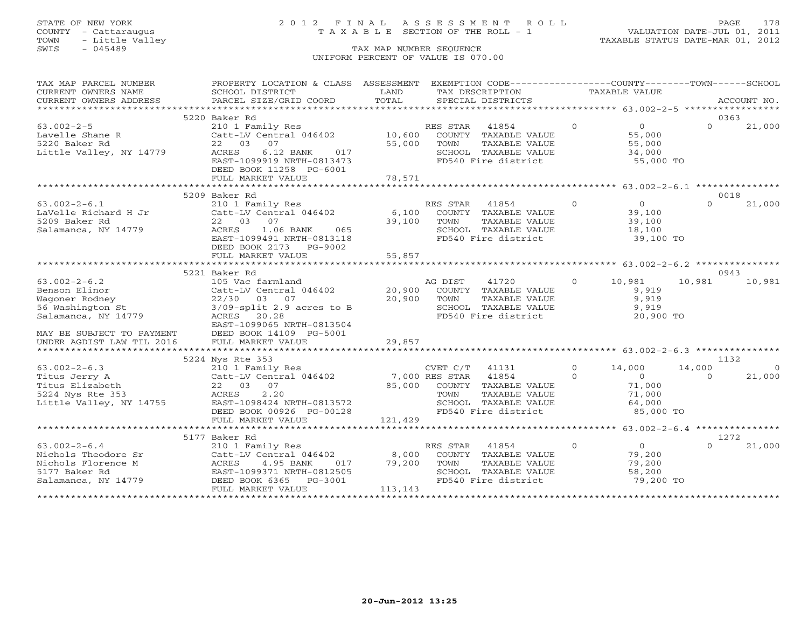TOWN - Little Valley TAXABLE STATUS DATE-MAR 01, 2012 TOWN - Little Valley<br>
SWIS - 045489 TAX MAP NUMBER SEQUENCE

# STATE OF NEW YORK 2 0 1 2 F I N A L A S S E S S M E N T R O L L PAGE 178 COUNTY - Cattaraugus T A X A B L E SECTION OF THE ROLL - 1 VALUATION DATE-JUL 01, 2011

# UNIFORM PERCENT OF VALUE IS 070.00

| TAXABLE VALUE<br>TAX DESCRIPTION<br>TOTAL<br>PARCEL SIZE/GRID COORD<br>SPECIAL DISTRICTS<br>CURRENT OWNERS ADDRESS<br>ACCOUNT NO.<br>5220 Baker Rd<br>0363<br>210 1 Family Res<br>$63.002 - 2 - 5$<br>$\circ$<br>$\Omega$<br>21,000<br>RES STAR<br>41854<br>$\overline{0}$<br>10,600 COUNTY TAXABLE VALUE<br>Lavelle Shane R<br>Catt-LV Central 046402<br>55,000<br>5220 Baker Rd<br>22 03<br>07<br>55,000<br>TAXABLE VALUE<br>55,000<br>TOWN<br>Little Valley, NY 14779<br>ACRES<br>6.12 BANK<br>SCHOOL TAXABLE VALUE<br>FD540 Fire district<br>017<br>34,000<br>EAST-1099919 NRTH-0813473<br>55,000 TO<br>DEED BOOK 11258 PG-6001<br>78,571<br>FULL MARKET VALUE<br>********************** 63.002-2-6.1 ****************<br>***************************<br>**************<br>0018<br>5209 Baker Rd<br>$\overline{0}$<br>$63.002 - 2 - 6.1$<br>210 1 Family Res<br>$\overline{0}$<br>21,000<br>RES STAR<br>41854<br>$\Omega$<br>Catt-LV Central 046402<br>LaVelle Richard H Jr<br>6,100<br>COUNTY TAXABLE VALUE<br>39,100<br>5209 Baker Rd<br>22 03 07<br>39,100<br>TOWN<br>TAXABLE VALUE<br>39,100<br>Salamanca, NY 14779<br>ACRES<br>1.06 BANK 065<br>SCHOOL TAXABLE VALUE<br>FD540 Fire district<br>18,100<br>39,100 TO<br>EAST-1099491 NRTH-0813118<br>DEED BOOK 2173 PG-9002<br>FULL MARKET VALUE<br>55,857<br>5221 Baker Rd<br>0943<br>$63.002 - 2 - 6.2$<br>$\overline{O}$<br>10,981<br>10,981<br>10,981<br>105 Vac farmland<br>AG DIST<br>41720<br>20,900 COUNTY TAXABLE VALUE<br>Benson Elinor<br>Catt-LV Central 046402<br>9,919<br>$22/30$ 03 07<br>3/09-split 2.9 acres to B<br>20,900<br>9,919<br>Wagoner Rodney<br>TOWN<br>TAXABLE VALUE<br>56 Washington St<br>SCHOOL TAXABLE VALUE<br>9,919<br>FD540 Fire district<br>Salamanca, NY 14779<br>ACRES 20.28<br>20,900 TO<br>EAST-1099065 NRTH-0813504<br>MAY BE SUBJECT TO PAYMENT<br>UNDER AGDIST LAW TIL 2016<br>DEED BOOK 14109 PG-5001<br>FULL MARKET VALUE<br>29,857<br>5224 Nys Rte 353<br>1132<br>$63.002 - 2 - 6.3$<br>210 1 Family Res<br>$\Omega$<br>14,000<br>$\overline{0}$<br>CVET C/T<br>41131<br>14,000<br>14755<br>Catt-LV Central 046402 7,000 RES STAR<br>41854<br>Titus Jerry A<br>$\circ$<br>$\overline{0}$<br>$\Omega$<br>21,000<br>Titus Elizabeth<br>22 03 07<br>85,000<br>COUNTY TAXABLE VALUE<br>71,000<br>2.20<br>5224 Nys Rte 353<br>ACRES<br>TOWN TAXABLE VALUE<br>SCHOOL TAXABLE VALUE<br>71,000<br>64,000<br>$2.22$<br>EAST-1098424 NRTH-0813572<br>Little Valley, NY 14755<br>FD540 Fire district<br>DEED BOOK 00926 PG-00128<br>85,000 TO<br>121,429<br>FULL MARKET VALUE<br>1272<br>5177 Baker Rd<br>$\overline{O}$<br>$63.002 - 2 - 6.4$<br>$\Omega$<br>21,000<br>210 1 Family Res<br>RES STAR<br>41854<br>$\Omega$<br>Catt-LV Central 046402<br>8,000<br>Nichols Theodore Sr<br>79,200<br>COUNTY TAXABLE VALUE<br>79,200<br>Nichols Florence M<br>4.95 BANK<br>79,200<br>ACRES<br>017<br>TOWN<br>TAXABLE VALUE<br>EAST-1099371 NRTH-0812505<br>SCHOOL TAXABLE VALUE<br>FD540 Fire district<br>5177 Baker Rd<br>58,200<br>DEED BOOK 6365<br>79,200 TO<br>Salamanca, NY 14779<br>PG-3001<br>113,143<br>FULL MARKET VALUE | TAX MAP PARCEL NUMBER | PROPERTY LOCATION & CLASS ASSESSMENT |      | EXEMPTION CODE----------------COUNTY-------TOWN------SCHOOL |  |  |
|-------------------------------------------------------------------------------------------------------------------------------------------------------------------------------------------------------------------------------------------------------------------------------------------------------------------------------------------------------------------------------------------------------------------------------------------------------------------------------------------------------------------------------------------------------------------------------------------------------------------------------------------------------------------------------------------------------------------------------------------------------------------------------------------------------------------------------------------------------------------------------------------------------------------------------------------------------------------------------------------------------------------------------------------------------------------------------------------------------------------------------------------------------------------------------------------------------------------------------------------------------------------------------------------------------------------------------------------------------------------------------------------------------------------------------------------------------------------------------------------------------------------------------------------------------------------------------------------------------------------------------------------------------------------------------------------------------------------------------------------------------------------------------------------------------------------------------------------------------------------------------------------------------------------------------------------------------------------------------------------------------------------------------------------------------------------------------------------------------------------------------------------------------------------------------------------------------------------------------------------------------------------------------------------------------------------------------------------------------------------------------------------------------------------------------------------------------------------------------------------------------------------------------------------------------------------------------------------------------------------------------------------------------------------------------------------------------------------------------------------------------------------------------------------------------------------------------------------------------------------------------------------------------------------------------------------------------------------------------------------------------------------------------------------------------------------------------------------------------------------------|-----------------------|--------------------------------------|------|-------------------------------------------------------------|--|--|
|                                                                                                                                                                                                                                                                                                                                                                                                                                                                                                                                                                                                                                                                                                                                                                                                                                                                                                                                                                                                                                                                                                                                                                                                                                                                                                                                                                                                                                                                                                                                                                                                                                                                                                                                                                                                                                                                                                                                                                                                                                                                                                                                                                                                                                                                                                                                                                                                                                                                                                                                                                                                                                                                                                                                                                                                                                                                                                                                                                                                                                                                                                                         | CURRENT OWNERS NAME   | SCHOOL DISTRICT                      | LAND |                                                             |  |  |
|                                                                                                                                                                                                                                                                                                                                                                                                                                                                                                                                                                                                                                                                                                                                                                                                                                                                                                                                                                                                                                                                                                                                                                                                                                                                                                                                                                                                                                                                                                                                                                                                                                                                                                                                                                                                                                                                                                                                                                                                                                                                                                                                                                                                                                                                                                                                                                                                                                                                                                                                                                                                                                                                                                                                                                                                                                                                                                                                                                                                                                                                                                                         |                       |                                      |      |                                                             |  |  |
|                                                                                                                                                                                                                                                                                                                                                                                                                                                                                                                                                                                                                                                                                                                                                                                                                                                                                                                                                                                                                                                                                                                                                                                                                                                                                                                                                                                                                                                                                                                                                                                                                                                                                                                                                                                                                                                                                                                                                                                                                                                                                                                                                                                                                                                                                                                                                                                                                                                                                                                                                                                                                                                                                                                                                                                                                                                                                                                                                                                                                                                                                                                         |                       |                                      |      |                                                             |  |  |
|                                                                                                                                                                                                                                                                                                                                                                                                                                                                                                                                                                                                                                                                                                                                                                                                                                                                                                                                                                                                                                                                                                                                                                                                                                                                                                                                                                                                                                                                                                                                                                                                                                                                                                                                                                                                                                                                                                                                                                                                                                                                                                                                                                                                                                                                                                                                                                                                                                                                                                                                                                                                                                                                                                                                                                                                                                                                                                                                                                                                                                                                                                                         |                       |                                      |      |                                                             |  |  |
|                                                                                                                                                                                                                                                                                                                                                                                                                                                                                                                                                                                                                                                                                                                                                                                                                                                                                                                                                                                                                                                                                                                                                                                                                                                                                                                                                                                                                                                                                                                                                                                                                                                                                                                                                                                                                                                                                                                                                                                                                                                                                                                                                                                                                                                                                                                                                                                                                                                                                                                                                                                                                                                                                                                                                                                                                                                                                                                                                                                                                                                                                                                         |                       |                                      |      |                                                             |  |  |
|                                                                                                                                                                                                                                                                                                                                                                                                                                                                                                                                                                                                                                                                                                                                                                                                                                                                                                                                                                                                                                                                                                                                                                                                                                                                                                                                                                                                                                                                                                                                                                                                                                                                                                                                                                                                                                                                                                                                                                                                                                                                                                                                                                                                                                                                                                                                                                                                                                                                                                                                                                                                                                                                                                                                                                                                                                                                                                                                                                                                                                                                                                                         |                       |                                      |      |                                                             |  |  |
|                                                                                                                                                                                                                                                                                                                                                                                                                                                                                                                                                                                                                                                                                                                                                                                                                                                                                                                                                                                                                                                                                                                                                                                                                                                                                                                                                                                                                                                                                                                                                                                                                                                                                                                                                                                                                                                                                                                                                                                                                                                                                                                                                                                                                                                                                                                                                                                                                                                                                                                                                                                                                                                                                                                                                                                                                                                                                                                                                                                                                                                                                                                         |                       |                                      |      |                                                             |  |  |
|                                                                                                                                                                                                                                                                                                                                                                                                                                                                                                                                                                                                                                                                                                                                                                                                                                                                                                                                                                                                                                                                                                                                                                                                                                                                                                                                                                                                                                                                                                                                                                                                                                                                                                                                                                                                                                                                                                                                                                                                                                                                                                                                                                                                                                                                                                                                                                                                                                                                                                                                                                                                                                                                                                                                                                                                                                                                                                                                                                                                                                                                                                                         |                       |                                      |      |                                                             |  |  |
|                                                                                                                                                                                                                                                                                                                                                                                                                                                                                                                                                                                                                                                                                                                                                                                                                                                                                                                                                                                                                                                                                                                                                                                                                                                                                                                                                                                                                                                                                                                                                                                                                                                                                                                                                                                                                                                                                                                                                                                                                                                                                                                                                                                                                                                                                                                                                                                                                                                                                                                                                                                                                                                                                                                                                                                                                                                                                                                                                                                                                                                                                                                         |                       |                                      |      |                                                             |  |  |
|                                                                                                                                                                                                                                                                                                                                                                                                                                                                                                                                                                                                                                                                                                                                                                                                                                                                                                                                                                                                                                                                                                                                                                                                                                                                                                                                                                                                                                                                                                                                                                                                                                                                                                                                                                                                                                                                                                                                                                                                                                                                                                                                                                                                                                                                                                                                                                                                                                                                                                                                                                                                                                                                                                                                                                                                                                                                                                                                                                                                                                                                                                                         |                       |                                      |      |                                                             |  |  |
|                                                                                                                                                                                                                                                                                                                                                                                                                                                                                                                                                                                                                                                                                                                                                                                                                                                                                                                                                                                                                                                                                                                                                                                                                                                                                                                                                                                                                                                                                                                                                                                                                                                                                                                                                                                                                                                                                                                                                                                                                                                                                                                                                                                                                                                                                                                                                                                                                                                                                                                                                                                                                                                                                                                                                                                                                                                                                                                                                                                                                                                                                                                         |                       |                                      |      |                                                             |  |  |
|                                                                                                                                                                                                                                                                                                                                                                                                                                                                                                                                                                                                                                                                                                                                                                                                                                                                                                                                                                                                                                                                                                                                                                                                                                                                                                                                                                                                                                                                                                                                                                                                                                                                                                                                                                                                                                                                                                                                                                                                                                                                                                                                                                                                                                                                                                                                                                                                                                                                                                                                                                                                                                                                                                                                                                                                                                                                                                                                                                                                                                                                                                                         |                       |                                      |      |                                                             |  |  |
|                                                                                                                                                                                                                                                                                                                                                                                                                                                                                                                                                                                                                                                                                                                                                                                                                                                                                                                                                                                                                                                                                                                                                                                                                                                                                                                                                                                                                                                                                                                                                                                                                                                                                                                                                                                                                                                                                                                                                                                                                                                                                                                                                                                                                                                                                                                                                                                                                                                                                                                                                                                                                                                                                                                                                                                                                                                                                                                                                                                                                                                                                                                         |                       |                                      |      |                                                             |  |  |
|                                                                                                                                                                                                                                                                                                                                                                                                                                                                                                                                                                                                                                                                                                                                                                                                                                                                                                                                                                                                                                                                                                                                                                                                                                                                                                                                                                                                                                                                                                                                                                                                                                                                                                                                                                                                                                                                                                                                                                                                                                                                                                                                                                                                                                                                                                                                                                                                                                                                                                                                                                                                                                                                                                                                                                                                                                                                                                                                                                                                                                                                                                                         |                       |                                      |      |                                                             |  |  |
|                                                                                                                                                                                                                                                                                                                                                                                                                                                                                                                                                                                                                                                                                                                                                                                                                                                                                                                                                                                                                                                                                                                                                                                                                                                                                                                                                                                                                                                                                                                                                                                                                                                                                                                                                                                                                                                                                                                                                                                                                                                                                                                                                                                                                                                                                                                                                                                                                                                                                                                                                                                                                                                                                                                                                                                                                                                                                                                                                                                                                                                                                                                         |                       |                                      |      |                                                             |  |  |
|                                                                                                                                                                                                                                                                                                                                                                                                                                                                                                                                                                                                                                                                                                                                                                                                                                                                                                                                                                                                                                                                                                                                                                                                                                                                                                                                                                                                                                                                                                                                                                                                                                                                                                                                                                                                                                                                                                                                                                                                                                                                                                                                                                                                                                                                                                                                                                                                                                                                                                                                                                                                                                                                                                                                                                                                                                                                                                                                                                                                                                                                                                                         |                       |                                      |      |                                                             |  |  |
|                                                                                                                                                                                                                                                                                                                                                                                                                                                                                                                                                                                                                                                                                                                                                                                                                                                                                                                                                                                                                                                                                                                                                                                                                                                                                                                                                                                                                                                                                                                                                                                                                                                                                                                                                                                                                                                                                                                                                                                                                                                                                                                                                                                                                                                                                                                                                                                                                                                                                                                                                                                                                                                                                                                                                                                                                                                                                                                                                                                                                                                                                                                         |                       |                                      |      |                                                             |  |  |
|                                                                                                                                                                                                                                                                                                                                                                                                                                                                                                                                                                                                                                                                                                                                                                                                                                                                                                                                                                                                                                                                                                                                                                                                                                                                                                                                                                                                                                                                                                                                                                                                                                                                                                                                                                                                                                                                                                                                                                                                                                                                                                                                                                                                                                                                                                                                                                                                                                                                                                                                                                                                                                                                                                                                                                                                                                                                                                                                                                                                                                                                                                                         |                       |                                      |      |                                                             |  |  |
|                                                                                                                                                                                                                                                                                                                                                                                                                                                                                                                                                                                                                                                                                                                                                                                                                                                                                                                                                                                                                                                                                                                                                                                                                                                                                                                                                                                                                                                                                                                                                                                                                                                                                                                                                                                                                                                                                                                                                                                                                                                                                                                                                                                                                                                                                                                                                                                                                                                                                                                                                                                                                                                                                                                                                                                                                                                                                                                                                                                                                                                                                                                         |                       |                                      |      |                                                             |  |  |
|                                                                                                                                                                                                                                                                                                                                                                                                                                                                                                                                                                                                                                                                                                                                                                                                                                                                                                                                                                                                                                                                                                                                                                                                                                                                                                                                                                                                                                                                                                                                                                                                                                                                                                                                                                                                                                                                                                                                                                                                                                                                                                                                                                                                                                                                                                                                                                                                                                                                                                                                                                                                                                                                                                                                                                                                                                                                                                                                                                                                                                                                                                                         |                       |                                      |      |                                                             |  |  |
|                                                                                                                                                                                                                                                                                                                                                                                                                                                                                                                                                                                                                                                                                                                                                                                                                                                                                                                                                                                                                                                                                                                                                                                                                                                                                                                                                                                                                                                                                                                                                                                                                                                                                                                                                                                                                                                                                                                                                                                                                                                                                                                                                                                                                                                                                                                                                                                                                                                                                                                                                                                                                                                                                                                                                                                                                                                                                                                                                                                                                                                                                                                         |                       |                                      |      |                                                             |  |  |
|                                                                                                                                                                                                                                                                                                                                                                                                                                                                                                                                                                                                                                                                                                                                                                                                                                                                                                                                                                                                                                                                                                                                                                                                                                                                                                                                                                                                                                                                                                                                                                                                                                                                                                                                                                                                                                                                                                                                                                                                                                                                                                                                                                                                                                                                                                                                                                                                                                                                                                                                                                                                                                                                                                                                                                                                                                                                                                                                                                                                                                                                                                                         |                       |                                      |      |                                                             |  |  |
|                                                                                                                                                                                                                                                                                                                                                                                                                                                                                                                                                                                                                                                                                                                                                                                                                                                                                                                                                                                                                                                                                                                                                                                                                                                                                                                                                                                                                                                                                                                                                                                                                                                                                                                                                                                                                                                                                                                                                                                                                                                                                                                                                                                                                                                                                                                                                                                                                                                                                                                                                                                                                                                                                                                                                                                                                                                                                                                                                                                                                                                                                                                         |                       |                                      |      |                                                             |  |  |
|                                                                                                                                                                                                                                                                                                                                                                                                                                                                                                                                                                                                                                                                                                                                                                                                                                                                                                                                                                                                                                                                                                                                                                                                                                                                                                                                                                                                                                                                                                                                                                                                                                                                                                                                                                                                                                                                                                                                                                                                                                                                                                                                                                                                                                                                                                                                                                                                                                                                                                                                                                                                                                                                                                                                                                                                                                                                                                                                                                                                                                                                                                                         |                       |                                      |      |                                                             |  |  |
|                                                                                                                                                                                                                                                                                                                                                                                                                                                                                                                                                                                                                                                                                                                                                                                                                                                                                                                                                                                                                                                                                                                                                                                                                                                                                                                                                                                                                                                                                                                                                                                                                                                                                                                                                                                                                                                                                                                                                                                                                                                                                                                                                                                                                                                                                                                                                                                                                                                                                                                                                                                                                                                                                                                                                                                                                                                                                                                                                                                                                                                                                                                         |                       |                                      |      |                                                             |  |  |
|                                                                                                                                                                                                                                                                                                                                                                                                                                                                                                                                                                                                                                                                                                                                                                                                                                                                                                                                                                                                                                                                                                                                                                                                                                                                                                                                                                                                                                                                                                                                                                                                                                                                                                                                                                                                                                                                                                                                                                                                                                                                                                                                                                                                                                                                                                                                                                                                                                                                                                                                                                                                                                                                                                                                                                                                                                                                                                                                                                                                                                                                                                                         |                       |                                      |      |                                                             |  |  |
|                                                                                                                                                                                                                                                                                                                                                                                                                                                                                                                                                                                                                                                                                                                                                                                                                                                                                                                                                                                                                                                                                                                                                                                                                                                                                                                                                                                                                                                                                                                                                                                                                                                                                                                                                                                                                                                                                                                                                                                                                                                                                                                                                                                                                                                                                                                                                                                                                                                                                                                                                                                                                                                                                                                                                                                                                                                                                                                                                                                                                                                                                                                         |                       |                                      |      |                                                             |  |  |
|                                                                                                                                                                                                                                                                                                                                                                                                                                                                                                                                                                                                                                                                                                                                                                                                                                                                                                                                                                                                                                                                                                                                                                                                                                                                                                                                                                                                                                                                                                                                                                                                                                                                                                                                                                                                                                                                                                                                                                                                                                                                                                                                                                                                                                                                                                                                                                                                                                                                                                                                                                                                                                                                                                                                                                                                                                                                                                                                                                                                                                                                                                                         |                       |                                      |      |                                                             |  |  |
|                                                                                                                                                                                                                                                                                                                                                                                                                                                                                                                                                                                                                                                                                                                                                                                                                                                                                                                                                                                                                                                                                                                                                                                                                                                                                                                                                                                                                                                                                                                                                                                                                                                                                                                                                                                                                                                                                                                                                                                                                                                                                                                                                                                                                                                                                                                                                                                                                                                                                                                                                                                                                                                                                                                                                                                                                                                                                                                                                                                                                                                                                                                         |                       |                                      |      |                                                             |  |  |
|                                                                                                                                                                                                                                                                                                                                                                                                                                                                                                                                                                                                                                                                                                                                                                                                                                                                                                                                                                                                                                                                                                                                                                                                                                                                                                                                                                                                                                                                                                                                                                                                                                                                                                                                                                                                                                                                                                                                                                                                                                                                                                                                                                                                                                                                                                                                                                                                                                                                                                                                                                                                                                                                                                                                                                                                                                                                                                                                                                                                                                                                                                                         |                       |                                      |      |                                                             |  |  |
|                                                                                                                                                                                                                                                                                                                                                                                                                                                                                                                                                                                                                                                                                                                                                                                                                                                                                                                                                                                                                                                                                                                                                                                                                                                                                                                                                                                                                                                                                                                                                                                                                                                                                                                                                                                                                                                                                                                                                                                                                                                                                                                                                                                                                                                                                                                                                                                                                                                                                                                                                                                                                                                                                                                                                                                                                                                                                                                                                                                                                                                                                                                         |                       |                                      |      |                                                             |  |  |
|                                                                                                                                                                                                                                                                                                                                                                                                                                                                                                                                                                                                                                                                                                                                                                                                                                                                                                                                                                                                                                                                                                                                                                                                                                                                                                                                                                                                                                                                                                                                                                                                                                                                                                                                                                                                                                                                                                                                                                                                                                                                                                                                                                                                                                                                                                                                                                                                                                                                                                                                                                                                                                                                                                                                                                                                                                                                                                                                                                                                                                                                                                                         |                       |                                      |      |                                                             |  |  |
|                                                                                                                                                                                                                                                                                                                                                                                                                                                                                                                                                                                                                                                                                                                                                                                                                                                                                                                                                                                                                                                                                                                                                                                                                                                                                                                                                                                                                                                                                                                                                                                                                                                                                                                                                                                                                                                                                                                                                                                                                                                                                                                                                                                                                                                                                                                                                                                                                                                                                                                                                                                                                                                                                                                                                                                                                                                                                                                                                                                                                                                                                                                         |                       |                                      |      |                                                             |  |  |
|                                                                                                                                                                                                                                                                                                                                                                                                                                                                                                                                                                                                                                                                                                                                                                                                                                                                                                                                                                                                                                                                                                                                                                                                                                                                                                                                                                                                                                                                                                                                                                                                                                                                                                                                                                                                                                                                                                                                                                                                                                                                                                                                                                                                                                                                                                                                                                                                                                                                                                                                                                                                                                                                                                                                                                                                                                                                                                                                                                                                                                                                                                                         |                       |                                      |      |                                                             |  |  |
|                                                                                                                                                                                                                                                                                                                                                                                                                                                                                                                                                                                                                                                                                                                                                                                                                                                                                                                                                                                                                                                                                                                                                                                                                                                                                                                                                                                                                                                                                                                                                                                                                                                                                                                                                                                                                                                                                                                                                                                                                                                                                                                                                                                                                                                                                                                                                                                                                                                                                                                                                                                                                                                                                                                                                                                                                                                                                                                                                                                                                                                                                                                         |                       |                                      |      |                                                             |  |  |
|                                                                                                                                                                                                                                                                                                                                                                                                                                                                                                                                                                                                                                                                                                                                                                                                                                                                                                                                                                                                                                                                                                                                                                                                                                                                                                                                                                                                                                                                                                                                                                                                                                                                                                                                                                                                                                                                                                                                                                                                                                                                                                                                                                                                                                                                                                                                                                                                                                                                                                                                                                                                                                                                                                                                                                                                                                                                                                                                                                                                                                                                                                                         |                       |                                      |      |                                                             |  |  |
|                                                                                                                                                                                                                                                                                                                                                                                                                                                                                                                                                                                                                                                                                                                                                                                                                                                                                                                                                                                                                                                                                                                                                                                                                                                                                                                                                                                                                                                                                                                                                                                                                                                                                                                                                                                                                                                                                                                                                                                                                                                                                                                                                                                                                                                                                                                                                                                                                                                                                                                                                                                                                                                                                                                                                                                                                                                                                                                                                                                                                                                                                                                         |                       |                                      |      |                                                             |  |  |
|                                                                                                                                                                                                                                                                                                                                                                                                                                                                                                                                                                                                                                                                                                                                                                                                                                                                                                                                                                                                                                                                                                                                                                                                                                                                                                                                                                                                                                                                                                                                                                                                                                                                                                                                                                                                                                                                                                                                                                                                                                                                                                                                                                                                                                                                                                                                                                                                                                                                                                                                                                                                                                                                                                                                                                                                                                                                                                                                                                                                                                                                                                                         |                       |                                      |      |                                                             |  |  |
|                                                                                                                                                                                                                                                                                                                                                                                                                                                                                                                                                                                                                                                                                                                                                                                                                                                                                                                                                                                                                                                                                                                                                                                                                                                                                                                                                                                                                                                                                                                                                                                                                                                                                                                                                                                                                                                                                                                                                                                                                                                                                                                                                                                                                                                                                                                                                                                                                                                                                                                                                                                                                                                                                                                                                                                                                                                                                                                                                                                                                                                                                                                         |                       |                                      |      |                                                             |  |  |
|                                                                                                                                                                                                                                                                                                                                                                                                                                                                                                                                                                                                                                                                                                                                                                                                                                                                                                                                                                                                                                                                                                                                                                                                                                                                                                                                                                                                                                                                                                                                                                                                                                                                                                                                                                                                                                                                                                                                                                                                                                                                                                                                                                                                                                                                                                                                                                                                                                                                                                                                                                                                                                                                                                                                                                                                                                                                                                                                                                                                                                                                                                                         |                       |                                      |      |                                                             |  |  |
|                                                                                                                                                                                                                                                                                                                                                                                                                                                                                                                                                                                                                                                                                                                                                                                                                                                                                                                                                                                                                                                                                                                                                                                                                                                                                                                                                                                                                                                                                                                                                                                                                                                                                                                                                                                                                                                                                                                                                                                                                                                                                                                                                                                                                                                                                                                                                                                                                                                                                                                                                                                                                                                                                                                                                                                                                                                                                                                                                                                                                                                                                                                         |                       |                                      |      |                                                             |  |  |
|                                                                                                                                                                                                                                                                                                                                                                                                                                                                                                                                                                                                                                                                                                                                                                                                                                                                                                                                                                                                                                                                                                                                                                                                                                                                                                                                                                                                                                                                                                                                                                                                                                                                                                                                                                                                                                                                                                                                                                                                                                                                                                                                                                                                                                                                                                                                                                                                                                                                                                                                                                                                                                                                                                                                                                                                                                                                                                                                                                                                                                                                                                                         |                       |                                      |      |                                                             |  |  |
|                                                                                                                                                                                                                                                                                                                                                                                                                                                                                                                                                                                                                                                                                                                                                                                                                                                                                                                                                                                                                                                                                                                                                                                                                                                                                                                                                                                                                                                                                                                                                                                                                                                                                                                                                                                                                                                                                                                                                                                                                                                                                                                                                                                                                                                                                                                                                                                                                                                                                                                                                                                                                                                                                                                                                                                                                                                                                                                                                                                                                                                                                                                         |                       |                                      |      |                                                             |  |  |
|                                                                                                                                                                                                                                                                                                                                                                                                                                                                                                                                                                                                                                                                                                                                                                                                                                                                                                                                                                                                                                                                                                                                                                                                                                                                                                                                                                                                                                                                                                                                                                                                                                                                                                                                                                                                                                                                                                                                                                                                                                                                                                                                                                                                                                                                                                                                                                                                                                                                                                                                                                                                                                                                                                                                                                                                                                                                                                                                                                                                                                                                                                                         |                       |                                      |      |                                                             |  |  |
|                                                                                                                                                                                                                                                                                                                                                                                                                                                                                                                                                                                                                                                                                                                                                                                                                                                                                                                                                                                                                                                                                                                                                                                                                                                                                                                                                                                                                                                                                                                                                                                                                                                                                                                                                                                                                                                                                                                                                                                                                                                                                                                                                                                                                                                                                                                                                                                                                                                                                                                                                                                                                                                                                                                                                                                                                                                                                                                                                                                                                                                                                                                         |                       |                                      |      |                                                             |  |  |
|                                                                                                                                                                                                                                                                                                                                                                                                                                                                                                                                                                                                                                                                                                                                                                                                                                                                                                                                                                                                                                                                                                                                                                                                                                                                                                                                                                                                                                                                                                                                                                                                                                                                                                                                                                                                                                                                                                                                                                                                                                                                                                                                                                                                                                                                                                                                                                                                                                                                                                                                                                                                                                                                                                                                                                                                                                                                                                                                                                                                                                                                                                                         |                       |                                      |      |                                                             |  |  |
|                                                                                                                                                                                                                                                                                                                                                                                                                                                                                                                                                                                                                                                                                                                                                                                                                                                                                                                                                                                                                                                                                                                                                                                                                                                                                                                                                                                                                                                                                                                                                                                                                                                                                                                                                                                                                                                                                                                                                                                                                                                                                                                                                                                                                                                                                                                                                                                                                                                                                                                                                                                                                                                                                                                                                                                                                                                                                                                                                                                                                                                                                                                         |                       |                                      |      |                                                             |  |  |
|                                                                                                                                                                                                                                                                                                                                                                                                                                                                                                                                                                                                                                                                                                                                                                                                                                                                                                                                                                                                                                                                                                                                                                                                                                                                                                                                                                                                                                                                                                                                                                                                                                                                                                                                                                                                                                                                                                                                                                                                                                                                                                                                                                                                                                                                                                                                                                                                                                                                                                                                                                                                                                                                                                                                                                                                                                                                                                                                                                                                                                                                                                                         |                       |                                      |      |                                                             |  |  |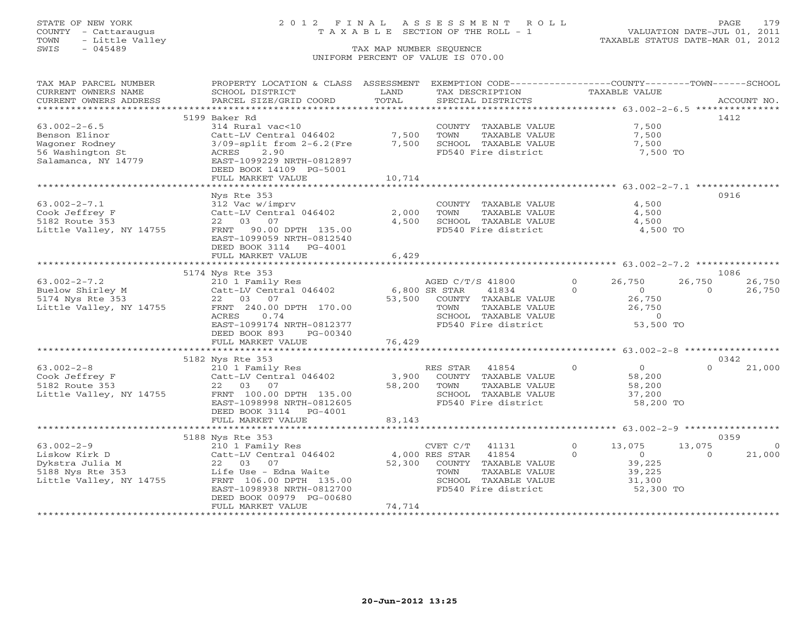### STATE OF NEW YORK 2 0 1 2 F I N A L A S S E S S M E N T R O L L PAGE 179 COUNTY - Cattaraugus T A X A B L E SECTION OF THE ROLL - 1 VALUATION DATE-JUL 01, 2011

| TAX MAP PARCEL NUMBER   | PROPERTY LOCATION & CLASS ASSESSMENT |                | EXEMPTION CODE----------------COUNTY-------TOWN------SCHOOL |                            |                          |
|-------------------------|--------------------------------------|----------------|-------------------------------------------------------------|----------------------------|--------------------------|
| CURRENT OWNERS NAME     | SCHOOL DISTRICT                      | LAND           | TAX DESCRIPTION                                             | <b>TAXABLE VALUE</b>       |                          |
| CURRENT OWNERS ADDRESS  | PARCEL SIZE/GRID COORD               | TOTAL          | SPECIAL DISTRICTS                                           |                            | ACCOUNT NO.              |
| *********************   | *****************************        |                |                                                             |                            |                          |
|                         | 5199 Baker Rd                        |                |                                                             |                            | 1412                     |
| $63.002 - 2 - 6.5$      | 314 Rural vac<10                     |                | COUNTY TAXABLE VALUE                                        | 7,500                      |                          |
| Benson Elinor           | Catt-LV Central 046402               | 7,500          | TOWN<br>TAXABLE VALUE                                       | 7,500                      |                          |
| Wagoner Rodney          | $3/09$ -split from $2-6.2$ (Fre      | 7,500          | SCHOOL TAXABLE VALUE                                        | 7,500                      |                          |
| 56 Washington St        | 2.90<br>ACRES                        |                | FD540 Fire district                                         | 7,500 TO                   |                          |
| Salamanca, NY 14779     | EAST-1099229 NRTH-0812897            |                |                                                             |                            |                          |
|                         | DEED BOOK 14109 PG-5001              |                |                                                             |                            |                          |
|                         | FULL MARKET VALUE                    | 10,714         |                                                             |                            |                          |
|                         |                                      |                |                                                             |                            |                          |
|                         | Nys Rte 353                          |                |                                                             |                            | 0916                     |
| $63.002 - 2 - 7.1$      | 312 Vac w/imprv                      |                | COUNTY TAXABLE VALUE                                        | 4,500                      |                          |
| Cook Jeffrey F          | Catt-LV Central 046402               | 2,000          | TOWN<br>TAXABLE VALUE                                       | 4,500                      |                          |
| 5182 Route 353          | 22 03 07                             | 4,500          | SCHOOL TAXABLE VALUE                                        | 4,500                      |                          |
| Little Valley, NY 14755 | FRNT 90.00 DPTH 135.00               |                | FD540 Fire district                                         | 4,500 TO                   |                          |
|                         | EAST-1099059 NRTH-0812540            |                |                                                             |                            |                          |
|                         | DEED BOOK 3114 PG-4001               | 6,429          |                                                             |                            |                          |
|                         | FULL MARKET VALUE                    |                |                                                             |                            |                          |
|                         | 5174 Nys Rte 353                     |                |                                                             |                            | 1086                     |
| $63.002 - 2 - 7.2$      | 210 1 Family Res                     |                | AGED C/T/S 41800                                            | $\circ$<br>26,750          | 26,750<br>26,750         |
| Buelow Shirley M        | Catt-LV Central 046402 6,800 SR STAR |                | 41834                                                       | $\Omega$<br>$\overline{0}$ | $\Omega$<br>26,750       |
| 5174 Nys Rte 353        | 22 03 07                             |                | 53,500 COUNTY TAXABLE VALUE                                 | 26,750                     |                          |
| Little Valley, NY 14755 | FRNT 240.00 DPTH 170.00              |                | TOWN<br>TAXABLE VALUE                                       | 26,750                     |                          |
|                         | ACRES<br>0.74                        |                | SCHOOL TAXABLE VALUE                                        | $\overline{0}$             |                          |
|                         | EAST-1099174 NRTH-0812377            |                | FD540 Fire district                                         | 53,500 TO                  |                          |
|                         | DEED BOOK 893<br>PG-00340            |                |                                                             |                            |                          |
|                         | FULL MARKET VALUE                    | 76,429         |                                                             |                            |                          |
|                         |                                      |                |                                                             |                            |                          |
|                         | 5182 Nys Rte 353                     |                |                                                             |                            | 0342                     |
| $63.002 - 2 - 8$        | 210 1 Family Res                     |                | RES STAR<br>41854                                           | $\Omega$<br>$\overline{0}$ | $\Omega$<br>21,000       |
| Cook Jeffrey F          | Catt-LV Central 046402               | 3,900          | COUNTY TAXABLE VALUE                                        | 58,200                     |                          |
| 5182 Route 353          | 22 03 07                             | 58,200         | TOWN<br>TAXABLE VALUE                                       | 58,200                     |                          |
| Little Valley, NY 14755 | FRNT 100.00 DPTH 135.00              |                | SCHOOL TAXABLE VALUE                                        | 37,200                     |                          |
|                         | EAST-1098998 NRTH-0812605            |                | FD540 Fire district                                         | 58,200 TO                  |                          |
|                         | DEED BOOK 3114 PG-4001               |                |                                                             |                            |                          |
|                         | FULL MARKET VALUE                    | 83,143         |                                                             |                            |                          |
|                         |                                      |                |                                                             |                            |                          |
|                         | 5188 Nys Rte 353                     |                |                                                             |                            | 0359                     |
| $63.002 - 2 - 9$        | 210 1 Family Res                     |                | CVET C/T<br>41131                                           | $\overline{0}$<br>13,075   | 13,075<br>$\overline{0}$ |
| Liskow Kirk D           | Catt-LV Central 046402               | 4,000 RES STAR | 41854                                                       | $\circ$<br>$\overline{0}$  | 21,000<br>$\Omega$       |
| Dykstra Julia M         | 22 03 07                             |                | 52,300 COUNTY TAXABLE VALUE                                 | 39,225                     |                          |
| 5188 Nys Rte 353        | Life Use - Edna Waite                |                | TOWN<br>TAXABLE VALUE                                       | 39,225                     |                          |
| Little Valley, NY 14755 | FRNT 106.00 DPTH 135.00              |                | SCHOOL TAXABLE VALUE                                        | 31,300                     |                          |
|                         | EAST-1098938 NRTH-0812700            |                | FD540 Fire district                                         | 52,300 TO                  |                          |
|                         | DEED BOOK 00979 PG-00680             |                |                                                             |                            |                          |
|                         | FULL MARKET VALUE                    | 74,714         |                                                             |                            |                          |
|                         |                                      |                |                                                             |                            |                          |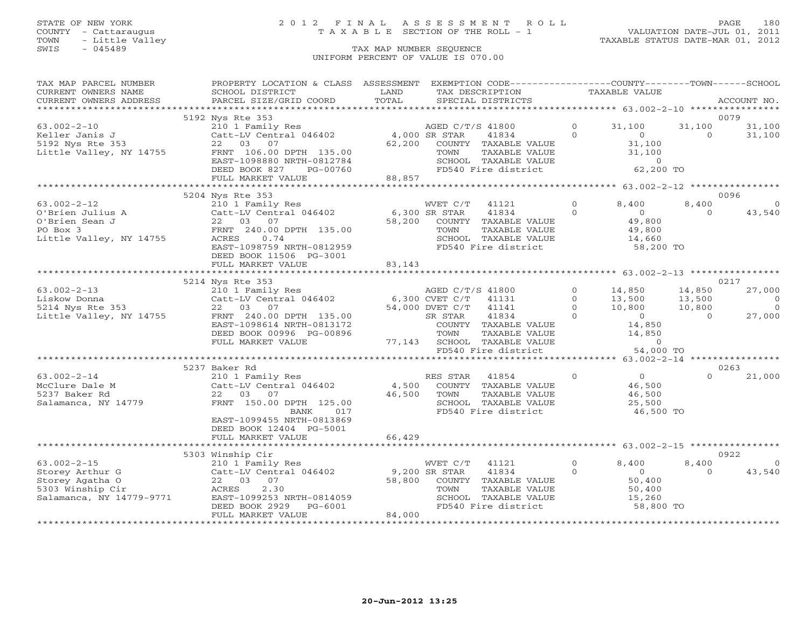# STATE OF NEW YORK 2 0 1 2 F I N A L A S S E S S M E N T R O L L PAGE 180 COUNTY - Cattaraugus T A X A B L E SECTION OF THE ROLL - 1 VALUATION DATE-JUL 01, 2011

| TAX MAP PARCEL NUMBER    | PROPERTY LOCATION & CLASS ASSESSMENT |               | EXEMPTION CODE-----------------COUNTY-------TOWN------SCHOOL |              |                |          |                |
|--------------------------|--------------------------------------|---------------|--------------------------------------------------------------|--------------|----------------|----------|----------------|
| CURRENT OWNERS NAME      | SCHOOL DISTRICT                      | LAND          | TAX DESCRIPTION                                              |              | TAXABLE VALUE  |          |                |
| CURRENT OWNERS ADDRESS   | PARCEL SIZE/GRID COORD               | TOTAL         | SPECIAL DISTRICTS                                            |              |                |          | ACCOUNT NO.    |
|                          |                                      |               |                                                              |              |                |          |                |
|                          | 5192 Nys Rte 353                     |               |                                                              |              |                |          | 0079           |
| $63.002 - 2 - 10$        | 210 1 Family Res                     |               | AGED C/T/S 41800                                             | $\Omega$     | 31,100         | 31,100   | 31,100         |
| Keller Janis J           | Catt-LV Central 046402 4,000 SR STAR |               | 41834                                                        | $\Omega$     | $\overline{0}$ | $\Omega$ | 31,100         |
| 5192 Nys Rte 353         | 22 03 07                             | 62,200        | COUNTY TAXABLE VALUE                                         |              | 31,100         |          |                |
| Little Valley, NY 14755  | FRNT 106.00 DPTH 135.00              |               | TAXABLE VALUE<br>TOWN                                        |              | 31,100         |          |                |
|                          | EAST-1098880 NRTH-0812784            |               | SCHOOL TAXABLE VALUE<br>FD540 Fire district                  |              | $\circ$        |          |                |
|                          | DEED BOOK 827<br>PG-00760            |               |                                                              |              | 62,200 TO      |          |                |
|                          | FULL MARKET VALUE                    | 88,857        |                                                              |              |                |          |                |
|                          |                                      |               |                                                              |              |                |          |                |
|                          | 5204 Nys Rte 353                     |               |                                                              |              |                |          | 0096           |
| $63.002 - 2 - 12$        | 210 1 Family Res                     |               | WVET C/T<br>41121                                            | $\Omega$     | 8,400          | 8,400    | $\Omega$       |
| O'Brien Julius A         | Catt-LV Central 046402               | 6,300 SR STAR | 41834                                                        | $\Omega$     | $\overline{0}$ | $\Omega$ | 43,540         |
| O'Brien Sean J           | 22 03 07                             | 58,200        | COUNTY TAXABLE VALUE                                         |              | 49,800         |          |                |
| PO Box 3                 | FRNT 240.00 DPTH 135.00              |               | TAXABLE VALUE<br>TOWN                                        |              | 49,800         |          |                |
| Little Valley, NY 14755  | ACRES<br>0.74                        |               | SCHOOL TAXABLE VALUE                                         |              | 14,660         |          |                |
|                          | EAST-1098759 NRTH-0812959            |               | FD540 Fire district                                          |              | 58,200 TO      |          |                |
|                          | DEED BOOK 11506 PG-3001              |               |                                                              |              |                |          |                |
|                          | FULL MARKET VALUE                    | 83,143        |                                                              |              |                |          |                |
|                          |                                      |               |                                                              |              |                |          |                |
|                          | 5214 Nys Rte 353                     |               |                                                              |              |                |          | 0217           |
| $63.002 - 2 - 13$        | 210 1 Family Res                     |               | AGED C/T/S 41800                                             | $\Omega$     | 14,850         | 14,850   | 27,000         |
| Liskow Donna             | Catt-LV Central 046402               |               | 6,300 CVET C/T<br>41131                                      | $\circ$      | 13,500         | 13,500   | $\overline{0}$ |
| 5214 Nys Rte 353         | 22 03 07                             |               | 54,000 DVET C/T<br>41141                                     | $\Omega$     | 10,800         | 10,800   | $\overline{0}$ |
| Little Valley, NY 14755  | FRNT 240.00 DPTH 135.00              |               | 41834<br>SR STAR                                             | $\Omega$     | $\overline{0}$ | $\Omega$ | 27,000         |
|                          | EAST-1098614 NRTH-0813172            |               | COUNTY TAXABLE VALUE                                         |              | 14,850         |          |                |
|                          | DEED BOOK 00996 PG-00896             |               | TOWN<br>TAXABLE VALUE                                        |              | 14,850         |          |                |
|                          | FULL MARKET VALUE                    |               | 77,143 SCHOOL TAXABLE VALUE                                  |              | $\sim$ 0       |          |                |
|                          |                                      |               | FD540 Fire district                                          |              | 54,000 TO      |          |                |
|                          |                                      |               |                                                              |              |                |          |                |
|                          | 5237 Baker Rd                        |               |                                                              |              |                |          | 0263           |
| $63.002 - 2 - 14$        | 210 1 Family Res                     |               | RES STAR<br>41854                                            | $\circ$      | $\overline{0}$ | $\cap$   | 21,000         |
| McClure Dale M           | Catt-LV Central 046402               | 4,500         | COUNTY TAXABLE VALUE                                         |              | 46,500         |          |                |
| 5237 Baker Rd            | 22 03 07                             | 46,500        | TOWN<br>TAXABLE VALUE                                        |              | 46,500         |          |                |
| Salamanca, NY 14779      | FRNT 150.00 DPTH 125.00              |               | SCHOOL TAXABLE VALUE                                         |              | 25,500         |          |                |
|                          | BANK<br>017                          |               | FD540 Fire district                                          |              | 46,500 TO      |          |                |
|                          | EAST-1099455 NRTH-0813869            |               |                                                              |              |                |          |                |
|                          | DEED BOOK 12404 PG-5001              | 66,429        |                                                              |              |                |          |                |
|                          | FULL MARKET VALUE                    |               |                                                              |              |                |          |                |
|                          | 5303 Winship Cir                     |               |                                                              |              |                |          | 0922           |
| $63.002 - 2 - 15$        | 210 1 Family Res                     |               | 41121<br>WVET C/T                                            | $\Omega$     | 8,400          | 8,400    | $\Omega$       |
| Storey Arthur G          | Catt-LV Central 046402               | 9,200 SR STAR | 41834                                                        | $\mathbf{O}$ | $\overline{0}$ | $\Omega$ | 43,540         |
| Storey Agatha O          | 22 03 07                             | 58,800        | COUNTY TAXABLE VALUE                                         |              | 50,400         |          |                |
| 5303 Winship Cir         | 2.30<br>ACRES                        |               | TAXABLE VALUE<br>TOWN                                        |              | 50,400         |          |                |
| Salamanca, NY 14779-9771 | EAST-1099253 NRTH-0814059            |               | SCHOOL TAXABLE VALUE                                         |              | 15,260         |          |                |
|                          | DEED BOOK 2929<br>PG-6001            |               | FD540 Fire district                                          |              | 58,800 TO      |          |                |
|                          | FULL MARKET VALUE                    | 84,000        |                                                              |              |                |          |                |
|                          |                                      |               |                                                              |              |                |          |                |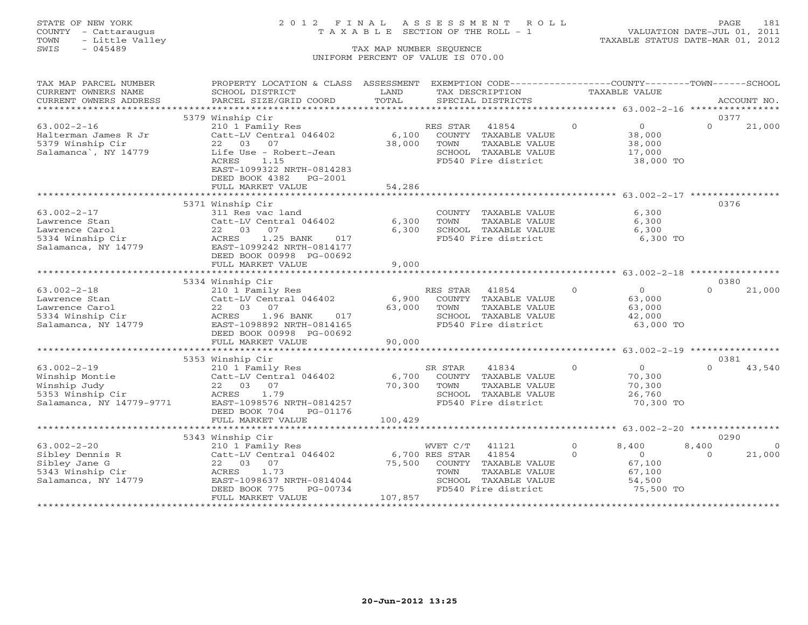# STATE OF NEW YORK 2 0 1 2 F I N A L A S S E S S M E N T R O L L PAGE 181 COUNTY - Cattaraugus T A X A B L E SECTION OF THE ROLL - 1 VALUATION DATE-JUL 01, 2011

| TAX MAP PARCEL NUMBER    | PROPERTY LOCATION & CLASS ASSESSMENT |         | EXEMPTION CODE----------------COUNTY-------TOWN------SCHOOL |                |                |          |             |
|--------------------------|--------------------------------------|---------|-------------------------------------------------------------|----------------|----------------|----------|-------------|
| CURRENT OWNERS NAME      | SCHOOL DISTRICT                      | LAND    | TAX DESCRIPTION                                             |                | TAXABLE VALUE  |          |             |
| CURRENT OWNERS ADDRESS   | PARCEL SIZE/GRID COORD               | TOTAL   | SPECIAL DISTRICTS                                           |                |                |          | ACCOUNT NO. |
|                          |                                      |         |                                                             |                |                |          |             |
|                          | 5379 Winship Cir                     |         |                                                             |                |                | 0377     |             |
| $63.002 - 2 - 16$        | 210 1 Family Res                     |         | RES STAR<br>41854                                           | $\Omega$       | $\overline{0}$ | $\Omega$ | 21,000      |
| Halterman James R Jr     | Catt-LV Central 046402               | 6,100   | COUNTY TAXABLE VALUE                                        |                | 38,000         |          |             |
| 5379 Winship Cir         | 07<br>22 03                          | 38,000  | TAXABLE VALUE<br>TOWN                                       |                | 38,000         |          |             |
| Salamanca , NY 14779     | Life Use - Robert-Jean               |         | SCHOOL TAXABLE VALUE                                        |                | 17,000         |          |             |
|                          | ACRES<br>1.15                        |         | FD540 Fire district                                         |                | 38,000 TO      |          |             |
|                          | EAST-1099322 NRTH-0814283            |         |                                                             |                |                |          |             |
|                          | DEED BOOK 4382 PG-2001               |         |                                                             |                |                |          |             |
|                          | FULL MARKET VALUE                    | 54,286  |                                                             |                |                |          |             |
|                          |                                      |         |                                                             |                |                |          |             |
|                          | 5371 Winship Cir                     |         |                                                             |                |                | 0376     |             |
| $63.002 - 2 - 17$        | 311 Res vac land                     |         | COUNTY TAXABLE VALUE                                        |                | 6,300          |          |             |
| Lawrence Stan            | Catt-LV Central 046402               | 6,300   | TAXABLE VALUE<br>TOWN                                       |                | 6,300          |          |             |
| Lawrence Carol           | 22 03<br>07                          | 6,300   | SCHOOL TAXABLE VALUE                                        |                | 6,300          |          |             |
| 5334 Winship Cir         | 1.25 BANK<br>ACRES<br>017            |         | FD540 Fire district                                         |                | 6,300 TO       |          |             |
| Salamanca, NY 14779      | EAST-1099242 NRTH-0814177            |         |                                                             |                |                |          |             |
|                          | DEED BOOK 00998 PG-00692             |         |                                                             |                |                |          |             |
|                          | FULL MARKET VALUE                    | 9,000   |                                                             |                |                |          |             |
|                          |                                      |         |                                                             |                |                |          |             |
|                          | 5334 Winship Cir                     |         |                                                             |                |                | 0380     |             |
| $63.002 - 2 - 18$        | 210 1 Family Res                     |         | RES STAR<br>41854                                           | $\Omega$       | $\Omega$       | $\Omega$ | 21,000      |
| Lawrence Stan            | Catt-LV Central 046402               | 6,900   | COUNTY TAXABLE VALUE                                        |                | 63,000         |          |             |
| Lawrence Carol           | 22 03 07                             | 63,000  | TOWN<br>TAXABLE VALUE                                       |                | 63,000         |          |             |
| 5334 Winship Cir         | ACRES<br>1.96 BANK<br>017            |         | SCHOOL TAXABLE VALUE                                        |                | 42,000         |          |             |
| Salamanca, NY 14779      | EAST-1098892 NRTH-0814165            |         | FD540 Fire district                                         |                | 63,000 TO      |          |             |
|                          | DEED BOOK 00998 PG-00692             |         |                                                             |                |                |          |             |
|                          | FULL MARKET VALUE                    | 90,000  |                                                             |                |                |          |             |
|                          |                                      |         |                                                             |                |                |          |             |
|                          | 5353 Winship Cir                     |         |                                                             |                |                | 0381     |             |
| $63.002 - 2 - 19$        | 210 1 Family Res                     |         | SR STAR<br>41834                                            | $\overline{0}$ | $\overline{0}$ | $\Omega$ | 43,540      |
| Winship Montie           | Catt-LV Central 046402               | 6,700   | COUNTY TAXABLE VALUE                                        |                | 70,300         |          |             |
| Winship Judy             | 22 03 07                             | 70,300  | TOWN<br>TAXABLE VALUE                                       |                | 70,300         |          |             |
| 5353 Winship Cir         | 1.79<br>ACRES                        |         | SCHOOL TAXABLE VALUE                                        |                | 26,760         |          |             |
| Salamanca, NY 14779-9771 | EAST-1098576 NRTH-0814257            |         | FD540 Fire district                                         |                | 70,300 TO      |          |             |
|                          | DEED BOOK 704<br>PG-01176            |         |                                                             |                |                |          |             |
|                          | FULL MARKET VALUE                    | 100,429 |                                                             |                |                |          |             |
|                          | *************************            |         |                                                             |                |                |          |             |
|                          | 5343 Winship Cir                     |         |                                                             |                |                | 0290     |             |
| $63.002 - 2 - 20$        | 210 1 Family Res                     |         | WVET C/T<br>41121                                           | $\Omega$       | 8,400          | 8,400    | $\Omega$    |
| Sibley Dennis R          | Catt-LV Central 046402               |         | 6,700 RES STAR<br>41854                                     | $\circ$        | $\circ$        | $\Omega$ | 21,000      |
| Sibley Jane G            | 22 03 07                             | 75,500  | COUNTY TAXABLE VALUE                                        |                | 67,100         |          |             |
| 5343 Winship Cir         | ACRES<br>1.73                        |         | TOWN<br>TAXABLE VALUE                                       |                | 67,100         |          |             |
| Salamanca, NY 14779      | EAST-1098637 NRTH-0814044            |         | SCHOOL TAXABLE VALUE                                        |                | 54,500         |          |             |
|                          | PG-00734<br>DEED BOOK 775            |         | FD540 Fire district                                         |                | 75,500 TO      |          |             |
|                          | FULL MARKET VALUE                    | 107,857 |                                                             |                |                |          |             |
|                          |                                      |         |                                                             |                |                |          |             |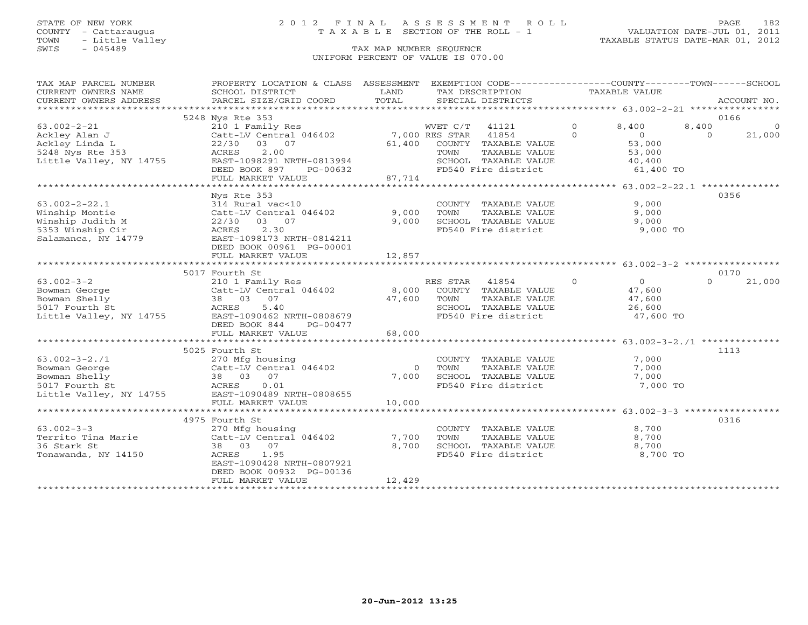# STATE OF NEW YORK 2 0 1 2 F I N A L A S S E S S M E N T R O L L PAGE 182 COUNTY - Cattaraugus T A X A B L E SECTION OF THE ROLL - 1 VALUATION DATE-JUL 01, 2011

| TAX MAP PARCEL NUMBER<br>CURRENT OWNERS NAME | PROPERTY LOCATION & CLASS ASSESSMENT EXEMPTION CODE----------------COUNTY-------TOWN------SCHOOL<br>SCHOOL DISTRICT | LAND           | TAX DESCRIPTION                               | TAXABLE VALUE                                   |                            |                          |
|----------------------------------------------|---------------------------------------------------------------------------------------------------------------------|----------------|-----------------------------------------------|-------------------------------------------------|----------------------------|--------------------------|
| CURRENT OWNERS ADDRESS                       | PARCEL SIZE/GRID COORD                                                                                              | TOTAL          | SPECIAL DISTRICTS                             |                                                 |                            | ACCOUNT NO.              |
|                                              |                                                                                                                     |                |                                               |                                                 |                            |                          |
|                                              | 5248 Nys Rte 353                                                                                                    |                |                                               |                                                 |                            | 0166                     |
| $63.002 - 2 - 21$<br>Ackley Alan J           | 210 1 Family Res<br>Catt-LV Central 046402 7,000 RES STAR                                                           |                | WVET C/T 41121<br>41854                       | $\Omega$<br>8,400<br>$\Omega$<br>$\overline{0}$ | 8,400<br>$\Omega$          | $\overline{0}$<br>21,000 |
| Ackley Linda L                               | 22/30 03 07                                                                                                         |                | 61,400 COUNTY TAXABLE VALUE                   | 53,000                                          |                            |                          |
| 5248 Nys Rte 353                             | 2.00<br>ACRES                                                                                                       |                | TAXABLE VALUE<br>TOWN                         | 53,000                                          |                            |                          |
| Little Valley, NY 14755                      | EAST-1098291 NRTH-0813994                                                                                           |                | SCHOOL TAXABLE VALUE                          | 40,400                                          |                            |                          |
|                                              | DEED BOOK 897<br>PG-00632                                                                                           |                | SCHOOL TAXABLE VALUE<br>FD540 Fire district   |                                                 | $40, -2$<br>61,400 TO      |                          |
|                                              | FULL MARKET VALUE                                                                                                   | 87,714         |                                               |                                                 |                            |                          |
|                                              | Nys Rte 353                                                                                                         |                |                                               |                                                 |                            | 0356                     |
| $63.002 - 2 - 22.1$                          | 314 Rural vac<10                                                                                                    |                | COUNTY TAXABLE VALUE                          |                                                 | 9,000                      |                          |
| Winship Montie                               | Catt-LV Central 046402                                                                                              | 9,000          | TOWN<br>TAXABLE VALUE                         |                                                 | 9,000                      |                          |
| Winship Judith M                             | 22/30 03 07                                                                                                         | 9,000          | SCHOOL TAXABLE VALUE                          | 9,000                                           |                            |                          |
| 5353 Winship Cir                             | 2.30<br>ACRES                                                                                                       |                | FD540 Fire district                           |                                                 | 9,000 TO                   |                          |
| Salamanca, NY 14779                          | EAST-1098173 NRTH-0814211                                                                                           |                |                                               |                                                 |                            |                          |
|                                              | DEED BOOK 00961 PG-00001                                                                                            |                |                                               |                                                 |                            |                          |
|                                              | FULL MARKET VALUE                                                                                                   | 12,857         |                                               |                                                 |                            |                          |
|                                              |                                                                                                                     |                |                                               |                                                 |                            | 0170                     |
| $63.002 - 3 - 2$                             | 5017 Fourth St<br>210 1 Family Res                                                                                  |                | RES STAR 41854                                | $\Omega$                                        | $\Omega$<br>$\overline{O}$ | 21,000                   |
| Bowman George                                |                                                                                                                     |                |                                               | 47,600                                          |                            |                          |
| Bowman Shelly                                | Catt-LV Central 046402<br>38 03 07 47,600 TOWN TAXABLE VALUE<br>ACRES 5.40 SCHOOL TAXABLE VALUE                     |                | TAXABLE VALUE                                 | 47,600                                          |                            |                          |
| 5017 Fourth St                               |                                                                                                                     |                | SCHOOL TAXABLE VALUE                          | 26,600                                          |                            |                          |
| Little Valley, NY 14755                      | EAST-1090462 NRTH-0808679                                                                                           |                | FD540 Fire district                           |                                                 | 47,600 TO                  |                          |
|                                              | DEED BOOK 844<br>PG-00477                                                                                           |                |                                               |                                                 |                            |                          |
|                                              | FULL MARKET VALUE                                                                                                   | 68,000         |                                               |                                                 |                            |                          |
|                                              |                                                                                                                     |                |                                               |                                                 |                            |                          |
| $63.002 - 3 - 2.71$                          | 5025 Fourth St                                                                                                      |                |                                               |                                                 | 7,000                      | 1113                     |
| Bowman George                                | 270 Mfg housing                                                                                                     | $\overline{0}$ | COUNTY TAXABLE VALUE<br>TAXABLE VALUE<br>TOWN |                                                 | 7,000                      |                          |
| Bowman Shelly                                |                                                                                                                     | 7,000          | SCHOOL TAXABLE VALUE                          |                                                 | 7,000                      |                          |
| 5017 Fourth St                               | $210$ $\mu$ $100$<br>Catt-LV Central 046402<br>38 03 07<br>ACRES 0.01                                               |                | FD540 Fire district                           |                                                 | 7,000 TO                   |                          |
| Little Valley, NY 14755                      | EAST-1090489 NRTH-0808655                                                                                           |                |                                               |                                                 |                            |                          |
|                                              | FULL MARKET VALUE                                                                                                   | 10,000         |                                               |                                                 |                            |                          |
|                                              |                                                                                                                     |                |                                               |                                                 |                            |                          |
|                                              | 4975 Fourth St                                                                                                      |                |                                               |                                                 |                            | 0316                     |
| $63.002 - 3 - 3$                             | 270 Mfg housing                                                                                                     |                | COUNTY TAXABLE VALUE                          |                                                 | 8,700                      |                          |
| Territo Tina Marie<br>36 Stark St            | Catt-LV Central 046402<br>38 03 07                                                                                  | 7,700<br>8,700 | TOWN<br>TAXABLE VALUE                         |                                                 | 8,700                      |                          |
| Tonawanda, NY 14150                          | 1.95<br>ACRES                                                                                                       |                | SCHOOL TAXABLE VALUE<br>FD540 Fire district   |                                                 | 8,700<br>8,700 TO          |                          |
|                                              | EAST-1090428 NRTH-0807921                                                                                           |                |                                               |                                                 |                            |                          |
|                                              | DEED BOOK 00932 PG-00136                                                                                            |                |                                               |                                                 |                            |                          |
|                                              | FULL MARKET VALUE                                                                                                   | 12,429         |                                               |                                                 |                            |                          |
|                                              |                                                                                                                     |                |                                               |                                                 |                            |                          |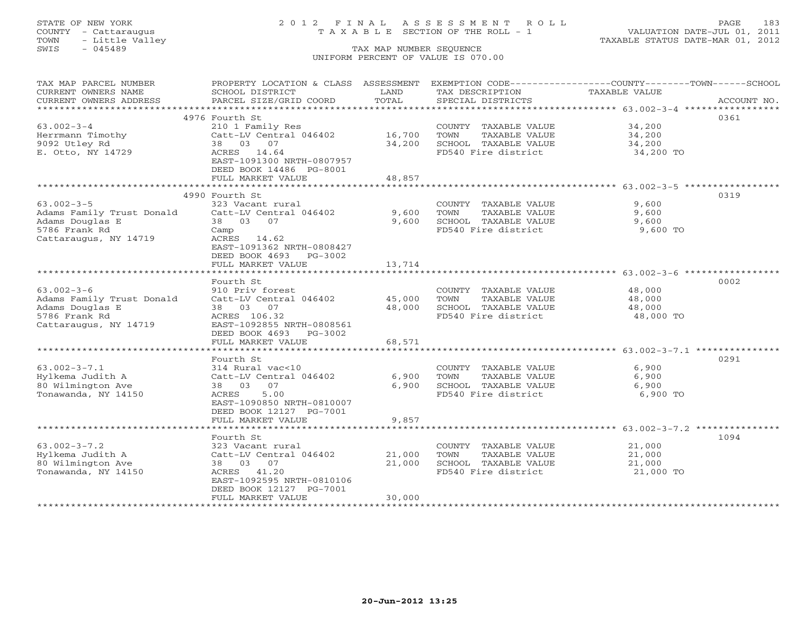# STATE OF NEW YORK 2 0 1 2 F I N A L A S S E S S M E N T R O L L PAGE 183 COUNTY - Cattaraugus T A X A B L E SECTION OF THE ROLL - 1 VALUATION DATE-JUL 01, 2011

| TAX MAP PARCEL NUMBER     | PROPERTY LOCATION & CLASS ASSESSMENT EXEMPTION CODE---------------COUNTY-------TOWN-----SCHOOL |        |                                             |                        |      |
|---------------------------|------------------------------------------------------------------------------------------------|--------|---------------------------------------------|------------------------|------|
| CURRENT OWNERS NAME       | SCHOOL DISTRICT                                                                                | LAND   | TAX DESCRIPTION                             | TAXABLE VALUE          |      |
| CURRENT OWNERS ADDRESS    |                                                                                                | TOTAL  |                                             |                        |      |
|                           |                                                                                                |        |                                             |                        |      |
|                           | 4976 Fourth St                                                                                 |        |                                             |                        | 0361 |
| $63.002 - 3 - 4$          | 210 1 Family Res                                                                               |        | COUNTY TAXABLE VALUE                        | 34,200                 |      |
| Herrmann Timothy          | Catt-LV Central 046402                                                                         | 16,700 | TOWN<br>TAXABLE VALUE                       | 34,200                 |      |
| 9092 Utley Rd             | 38 03 07                                                                                       | 34,200 | SCHOOL TAXABLE VALUE                        | 34,200                 |      |
| E. Otto, NY 14729         | ACRES 14.64                                                                                    |        | FD540 Fire district                         | 34,200 TO              |      |
|                           | EAST-1091300 NRTH-0807957                                                                      |        |                                             |                        |      |
|                           | DEED BOOK 14486 PG-8001                                                                        |        |                                             |                        |      |
|                           | FULL MARKET VALUE                                                                              | 48,857 |                                             |                        |      |
|                           |                                                                                                |        |                                             |                        |      |
|                           | 4990 Fourth St                                                                                 |        |                                             |                        | 0319 |
| $63.002 - 3 - 5$          | 323 Vacant rural                                                                               |        | COUNTY TAXABLE VALUE                        | 9,600                  |      |
| Adams Family Trust Donald | Catt-LV Central 046402                                                                         | 9,600  | TAXABLE VALUE<br>TOWN                       | 9,600                  |      |
| Adams Douglas E           | 38 03 07                                                                                       | 9,600  | SCHOOL TAXABLE VALUE                        | 9,600                  |      |
| 5786 Frank Rd             | Camp                                                                                           |        | FD540 Fire district                         | 9,600 TO               |      |
| Cattaraugus, NY 14719     | ACRES 14.62                                                                                    |        |                                             |                        |      |
|                           | EAST-1091362 NRTH-0808427                                                                      |        |                                             |                        |      |
|                           | DEED BOOK 4693 PG-3002                                                                         |        |                                             |                        |      |
|                           | FULL MARKET VALUE                                                                              | 13,714 |                                             |                        |      |
|                           |                                                                                                |        |                                             |                        |      |
|                           | Fourth St                                                                                      |        |                                             |                        | 0002 |
| $63.002 - 3 - 6$          | 910 Priv forest                                                                                |        | COUNTY TAXABLE VALUE                        | 48,000                 |      |
| Adams Family Trust Donald | Catt-LV Central 046402                                                                         | 45,000 | TAXABLE VALUE<br>TOWN                       | 48,000                 |      |
| Adams Douglas E           | 38 03 07                                                                                       | 48,000 |                                             |                        |      |
| 5786 Frank Rd             | ACRES 106.32                                                                                   |        | SCHOOL TAXABLE VALUE<br>FD540 Fire district | 48,000 TO<br>48,000 TO |      |
| Cattaraugus, NY 14719     | EAST-1092855 NRTH-0808561                                                                      |        |                                             |                        |      |
|                           | DEED BOOK 4693<br>PG-3002                                                                      |        |                                             |                        |      |
|                           | FULL MARKET VALUE                                                                              | 68,571 |                                             |                        |      |
|                           |                                                                                                |        |                                             |                        |      |
|                           | Fourth St                                                                                      |        |                                             |                        | 0291 |
| $63.002 - 3 - 7.1$        | 314 Rural vac<10                                                                               |        | COUNTY TAXABLE VALUE                        | 6,900                  |      |
| Hylkema Judith A          | Catt-LV Central 046402                                                                         | 6,900  | TOWN<br>TAXABLE VALUE                       | 6,900                  |      |
| 80 Wilmington Ave         | 07<br>38 03                                                                                    | 6,900  | SCHOOL TAXABLE VALUE                        | 6,900                  |      |
| Tonawanda, NY 14150       | ACRES<br>5.00                                                                                  |        | FD540 Fire district                         | 6,900 TO               |      |
|                           | EAST-1090850 NRTH-0810007                                                                      |        |                                             |                        |      |
|                           | DEED BOOK 12127 PG-7001                                                                        |        |                                             |                        |      |
|                           | FULL MARKET VALUE                                                                              | 9,857  |                                             |                        |      |
|                           |                                                                                                |        |                                             |                        |      |
|                           | Fourth St                                                                                      |        |                                             |                        | 1094 |
| $63.002 - 3 - 7.2$        | 323 Vacant rural                                                                               |        | COUNTY TAXABLE VALUE                        | 21,000                 |      |
| Hylkema Judith A          | Catt-LV Central 046402                                                                         | 21,000 | TOWN<br>TAXABLE VALUE                       | 21,000                 |      |
| 80 Wilmington Ave         | 38 03 07                                                                                       | 21,000 | SCHOOL TAXABLE VALUE                        | 21,000                 |      |
| Tonawanda, NY 14150       | ACRES 41.20                                                                                    |        | FD540 Fire district                         | 21,000 TO              |      |
|                           | EAST-1092595 NRTH-0810106                                                                      |        |                                             |                        |      |
|                           | DEED BOOK 12127 PG-7001                                                                        |        |                                             |                        |      |
|                           | FULL MARKET VALUE                                                                              | 30,000 |                                             |                        |      |
|                           |                                                                                                |        |                                             |                        |      |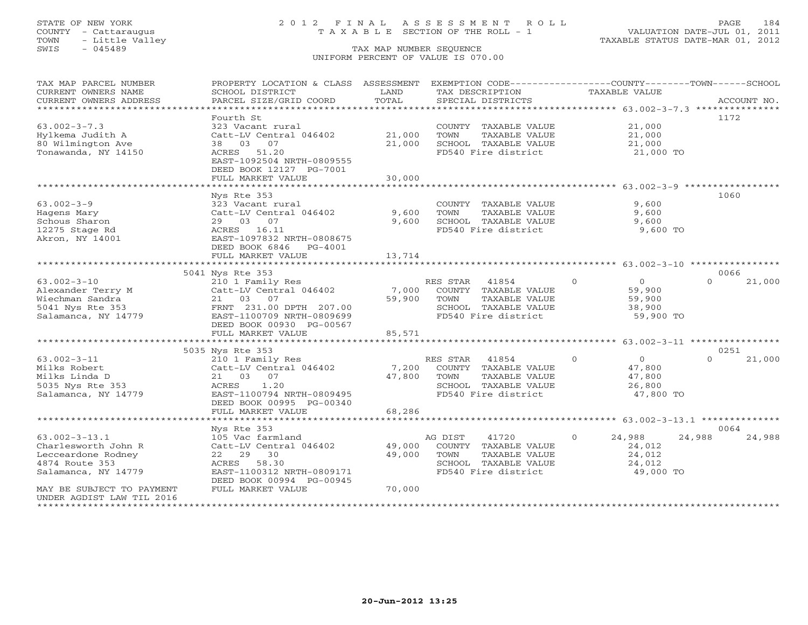# STATE OF NEW YORK 2 0 1 2 F I N A L A S S E S S M E N T R O L L PAGE 184 COUNTY - Cattaraugus T A X A B L E SECTION OF THE ROLL - 1 VALUATION DATE-JUL 01, 2011

| TAX MAP PARCEL NUMBER<br>CURRENT OWNERS NAME<br>CURRENT OWNERS ADDRESS | PROPERTY LOCATION & CLASS ASSESSMENT<br>SCHOOL DISTRICT<br>PARCEL SIZE/GRID COORD | LAND<br>TOTAL  | EXEMPTION CODE----------------COUNTY-------TOWN-----SCHOOL<br>TAX DESCRIPTION<br>SPECIAL DISTRICTS | <b>TAXABLE VALUE</b> | ACCOUNT NO.        |
|------------------------------------------------------------------------|-----------------------------------------------------------------------------------|----------------|----------------------------------------------------------------------------------------------------|----------------------|--------------------|
| *************************                                              |                                                                                   |                |                                                                                                    |                      |                    |
|                                                                        | Fourth St                                                                         |                |                                                                                                    |                      | 1172               |
| $63.002 - 3 - 7.3$                                                     | 323 Vacant rural                                                                  | 21,000         | COUNTY TAXABLE VALUE<br>TOWN                                                                       | 21,000<br>21,000     |                    |
| Hylkema Judith A<br>80 Wilmington Ave                                  | Catt-LV Central 046402<br>03<br>07<br>38                                          | 21,000         | TAXABLE VALUE<br>SCHOOL TAXABLE VALUE                                                              | 21,000               |                    |
| Tonawanda, NY 14150                                                    | ACRES<br>51.20                                                                    |                | FD540 Fire district                                                                                | 21,000 TO            |                    |
|                                                                        | EAST-1092504 NRTH-0809555                                                         |                |                                                                                                    |                      |                    |
|                                                                        | DEED BOOK 12127 PG-7001                                                           |                |                                                                                                    |                      |                    |
|                                                                        | FULL MARKET VALUE                                                                 | 30,000         |                                                                                                    |                      |                    |
|                                                                        |                                                                                   |                |                                                                                                    |                      |                    |
|                                                                        | Nys Rte 353                                                                       |                |                                                                                                    |                      | 1060               |
| $63.002 - 3 - 9$                                                       | 323 Vacant rural                                                                  |                | COUNTY TAXABLE VALUE                                                                               | 9,600                |                    |
| Hagens Mary                                                            | Catt-LV Central 046402                                                            | 9,600<br>9,600 | TOWN<br>TAXABLE VALUE                                                                              | 9,600                |                    |
| Schous Sharon<br>12275 Stage Rd                                        | 29 03 07<br>ACRES 16.11                                                           |                | SCHOOL TAXABLE VALUE<br>FD540 Fire district                                                        | 9,600<br>9,600 TO    |                    |
| Akron, NY 14001                                                        | EAST-1097832 NRTH-0808675                                                         |                |                                                                                                    |                      |                    |
|                                                                        | DEED BOOK 6846<br>PG-4001                                                         |                |                                                                                                    |                      |                    |
|                                                                        | FULL MARKET VALUE                                                                 | 13,714         |                                                                                                    |                      |                    |
|                                                                        |                                                                                   |                |                                                                                                    |                      |                    |
|                                                                        | 5041 Nys Rte 353                                                                  |                |                                                                                                    |                      | 0066               |
| $63.002 - 3 - 10$                                                      | 210 1 Family Res                                                                  |                | RES STAR<br>41854                                                                                  | $\Omega$<br>$\Omega$ | $\Omega$<br>21,000 |
| Alexander Terry M                                                      | Catt-LV Central 046402                                                            | 7,000          | COUNTY TAXABLE VALUE                                                                               | 59,900               |                    |
| Wiechman Sandra                                                        | 21 03<br>07                                                                       | 59,900         | TOWN<br>TAXABLE VALUE                                                                              | 59,900               |                    |
| 5041 Nys Rte 353                                                       | FRNT 231.00 DPTH 207.00                                                           |                | SCHOOL TAXABLE VALUE                                                                               | 38,900               |                    |
| Salamanca, NY 14779                                                    | EAST-1100709 NRTH-0809699                                                         |                | FD540 Fire district                                                                                | 59,900 TO            |                    |
|                                                                        | DEED BOOK 00930 PG-00567<br>FULL MARKET VALUE                                     | 85,571         |                                                                                                    |                      |                    |
|                                                                        |                                                                                   |                |                                                                                                    |                      |                    |
|                                                                        | 5035 Nys Rte 353                                                                  |                |                                                                                                    |                      | 0251               |
| $63.002 - 3 - 11$                                                      | 210 1 Family Res                                                                  |                | RES STAR<br>41854                                                                                  | $\Omega$<br>$\Omega$ | $\Omega$<br>21,000 |
| Milks Robert                                                           | Catt-LV Central 046402                                                            | 7,200          | COUNTY TAXABLE VALUE                                                                               | 47,800               |                    |
| Milks Linda D                                                          | 21 03 07                                                                          | 47,800         | TOWN<br>TAXABLE VALUE                                                                              | 47,800               |                    |
| 5035 Nys Rte 353                                                       | 1.20<br>ACRES                                                                     |                | SCHOOL TAXABLE VALUE                                                                               | 26,800               |                    |
| Salamanca, NY 14779                                                    | EAST-1100794 NRTH-0809495                                                         |                | FD540 Fire district                                                                                | 47,800 TO            |                    |
|                                                                        | DEED BOOK 00995 PG-00340                                                          | 68,286         |                                                                                                    |                      |                    |
|                                                                        | FULL MARKET VALUE                                                                 |                |                                                                                                    |                      |                    |
|                                                                        | Nys Rte 353                                                                       |                |                                                                                                    |                      | 0064               |
| $63.002 - 3 - 13.1$                                                    | 105 Vac farmland                                                                  |                | 41720<br>AG DIST                                                                                   | $\Omega$<br>24,988   | 24,988<br>24,988   |
| Charlesworth John R                                                    | Catt-LV Central 046402                                                            | 49,000         | COUNTY TAXABLE VALUE                                                                               | 24,012               |                    |
| Lecceardone Rodney                                                     | 22 29<br>30                                                                       | 49,000         | TOWN<br>TAXABLE VALUE                                                                              | 24,012               |                    |
| 4874 Route 353                                                         | 58.30<br>ACRES                                                                    |                | SCHOOL TAXABLE VALUE                                                                               | 24,012               |                    |
| Salamanca, NY 14779                                                    | EAST-1100312 NRTH-0809171                                                         |                | FD540 Fire district                                                                                | 49,000 TO            |                    |
|                                                                        | DEED BOOK 00994 PG-00945                                                          |                |                                                                                                    |                      |                    |
| MAY BE SUBJECT TO PAYMENT                                              | FULL MARKET VALUE                                                                 | 70,000         |                                                                                                    |                      |                    |
| UNDER AGDIST LAW TIL 2016                                              |                                                                                   |                |                                                                                                    |                      |                    |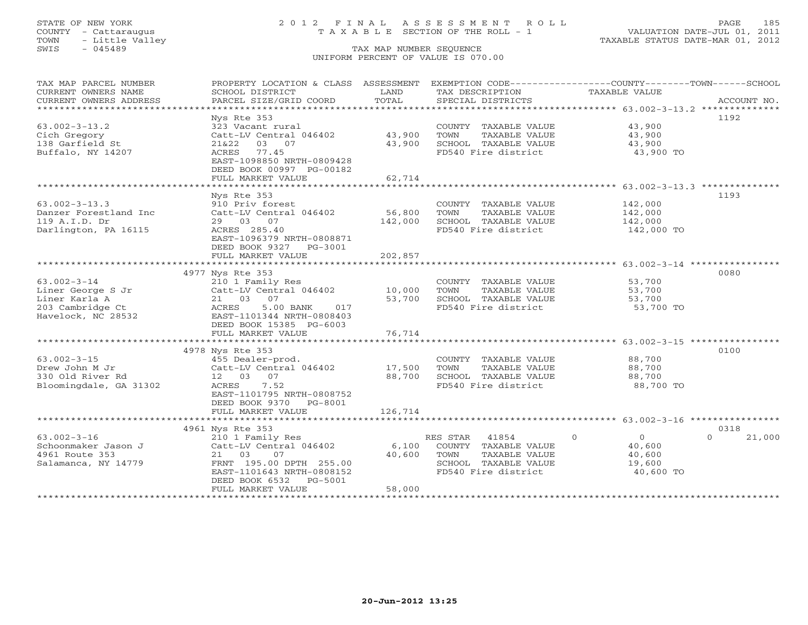# STATE OF NEW YORK 2 0 1 2 F I N A L A S S E S S M E N T R O L L PAGE 185 COUNTY - Cattaraugus T A X A B L E SECTION OF THE ROLL - 1 VALUATION DATE-JUL 01, 2011

| TAX MAP PARCEL NUMBER                         | PROPERTY LOCATION & CLASS ASSESSMENT EXEMPTION CODE---------------COUNTY-------TOWN------SCHOOL |               |                                               |                       |                    |
|-----------------------------------------------|-------------------------------------------------------------------------------------------------|---------------|-----------------------------------------------|-----------------------|--------------------|
| CURRENT OWNERS NAME<br>CURRENT OWNERS ADDRESS | SCHOOL DISTRICT<br>PARCEL SIZE/GRID COORD                                                       | LAND<br>TOTAL | TAX DESCRIPTION<br>SPECIAL DISTRICTS          | TAXABLE VALUE         | ACCOUNT NO.        |
|                                               |                                                                                                 |               |                                               |                       |                    |
|                                               | Nys Rte 353                                                                                     |               |                                               |                       | 1192               |
| $63.002 - 3 - 13.2$                           | 323 Vacant rural                                                                                |               | COUNTY TAXABLE VALUE                          | 43,900                |                    |
| Cich Gregory                                  | Catt-LV Central 046402                                                                          | 43,900        | TOWN<br>TAXABLE VALUE                         | 43,900                |                    |
| 138 Garfield St                               | 21&22<br>03 07                                                                                  | 43,900        | SCHOOL TAXABLE VALUE                          | 43,900                |                    |
| Buffalo, NY 14207                             | ACRES<br>77.45                                                                                  |               | FD540 Fire district                           | 43,900 TO             |                    |
|                                               | EAST-1098850 NRTH-0809428                                                                       |               |                                               |                       |                    |
|                                               | DEED BOOK 00997 PG-00182                                                                        |               |                                               |                       |                    |
|                                               | FULL MARKET VALUE                                                                               | 62,714        |                                               |                       |                    |
|                                               |                                                                                                 |               |                                               |                       |                    |
|                                               | Nys Rte 353                                                                                     |               |                                               |                       | 1193               |
| $63.002 - 3 - 13.3$                           | 910 Priv forest                                                                                 |               | COUNTY TAXABLE VALUE                          | 142,000               |                    |
| Danzer Forestland Inc                         | Catt-LV Central 046402<br>29 03 07                                                              | 56,800        | TOWN<br>TAXABLE VALUE                         | 142,000               |                    |
| 119 A.I.D. Dr<br>Darlington, PA 16115         | ACRES 285.40                                                                                    | 142,000       | SCHOOL TAXABLE VALUE                          | 142,000<br>142,000 TO |                    |
|                                               | EAST-1096379 NRTH-0808871                                                                       |               | FD540 Fire district                           |                       |                    |
|                                               | DEED BOOK 9327 PG-3001                                                                          |               |                                               |                       |                    |
|                                               | FULL MARKET VALUE                                                                               | 202,857       |                                               |                       |                    |
|                                               |                                                                                                 |               |                                               |                       |                    |
|                                               | 4977 Nys Rte 353                                                                                |               |                                               |                       | 0080               |
| $63.002 - 3 - 14$                             | 210 1 Family Res                                                                                |               | COUNTY TAXABLE VALUE                          | 53,700                |                    |
| Liner George S Jr                             | Catt-LV Central 046402                                                                          | 10,000        | TOWN<br>TAXABLE VALUE                         | 53,700                |                    |
| Liner Karla A                                 | 21 03 07                                                                                        | 53,700        | SCHOOL TAXABLE VALUE                          | 53,700                |                    |
| 203 Cambridge Ct                              | ACRES<br>5.00 BANK<br>017                                                                       |               | FD540 Fire district                           | 53,700 TO             |                    |
| Havelock, NC 28532                            | EAST-1101344 NRTH-0808403                                                                       |               |                                               |                       |                    |
|                                               | DEED BOOK 15385 PG-6003                                                                         |               |                                               |                       |                    |
|                                               | FULL MARKET VALUE                                                                               | 76,714        |                                               |                       |                    |
|                                               |                                                                                                 |               |                                               |                       |                    |
|                                               | 4978 Nys Rte 353                                                                                |               |                                               |                       | 0100               |
| $63.002 - 3 - 15$                             | 455 Dealer-prod.<br>Catt-LV Central 046402                                                      | 17,500        | COUNTY TAXABLE VALUE                          | 88,700                |                    |
| Drew John M Jr<br>330 Old River Rd            | 12  03  07                                                                                      | 88,700        | TAXABLE VALUE<br>TOWN<br>SCHOOL TAXABLE VALUE | 88,700<br>88,700      |                    |
| Bloomingdale, GA 31302                        | ACRES 7.52                                                                                      |               | FD540 Fire district                           | 88,700 TO             |                    |
|                                               | EAST-1101795 NRTH-0808752                                                                       |               |                                               |                       |                    |
|                                               | DEED BOOK 9370 PG-8001                                                                          |               |                                               |                       |                    |
|                                               | FULL MARKET VALUE                                                                               | 126,714       |                                               |                       |                    |
|                                               |                                                                                                 |               |                                               |                       |                    |
|                                               | 4961 Nys Rte 353                                                                                |               |                                               |                       | 0318               |
| $63.002 - 3 - 16$                             | 210 1 Family Res                                                                                |               | RES STAR<br>41854                             | $\Omega$<br>$\Omega$  | $\Omega$<br>21,000 |
| Schoonmaker Jason J                           | Catt-LV Central 046402                                                                          | 6,100         | COUNTY TAXABLE VALUE                          | 40,600                |                    |
| 4961 Route 353                                | 21 03<br>07                                                                                     | 40,600        | TAXABLE VALUE<br>TOWN                         | 40,600                |                    |
| Salamanca, NY 14779                           | FRNT 195.00 DPTH 255.00                                                                         |               | SCHOOL TAXABLE VALUE                          | 19,600                |                    |
|                                               | EAST-1101643 NRTH-0808152                                                                       |               | FD540 Fire district                           | 40,600 TO             |                    |
|                                               | DEED BOOK 6532<br>PG-5001                                                                       | 58,000        |                                               |                       |                    |
|                                               | FULL MARKET VALUE                                                                               |               |                                               |                       |                    |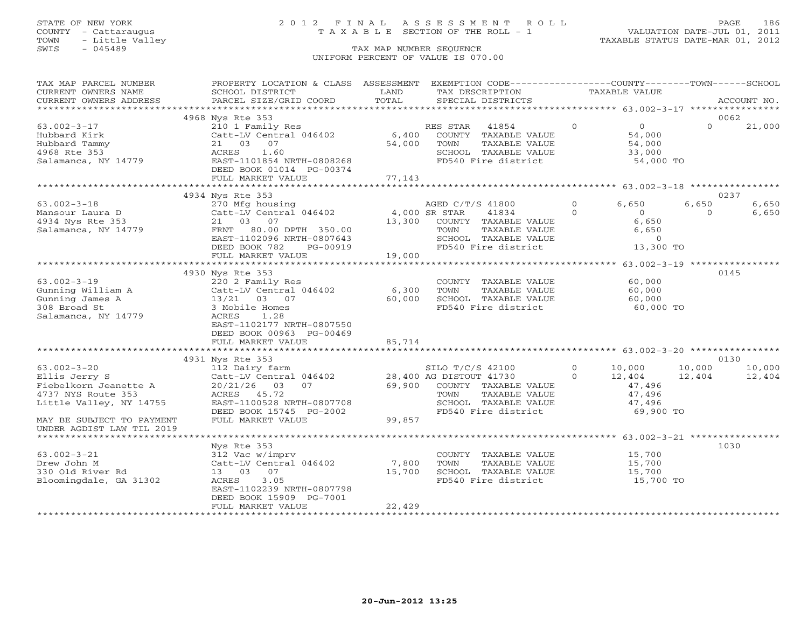# STATE OF NEW YORK 2 0 1 2 F I N A L A S S E S S M E N T R O L L PAGE 186 COUNTY - Cattaraugus T A X A B L E SECTION OF THE ROLL - 1 VALUATION DATE-JUL 01, 2011

| TAX MAP PARCEL NUMBER                | PROPERTY LOCATION & CLASS ASSESSMENT         |               |                         | EXEMPTION CODE-----------------COUNTY-------TOWN------SCHOOL |               |                     |          |             |
|--------------------------------------|----------------------------------------------|---------------|-------------------------|--------------------------------------------------------------|---------------|---------------------|----------|-------------|
| CURRENT OWNERS NAME                  | SCHOOL DISTRICT                              | LAND          | TAX DESCRIPTION         |                                                              | TAXABLE VALUE |                     |          |             |
| CURRENT OWNERS ADDRESS               | PARCEL SIZE/GRID COORD                       | TOTAL         |                         | SPECIAL DISTRICTS                                            |               |                     |          | ACCOUNT NO. |
| **********************               |                                              |               |                         |                                                              |               |                     |          |             |
|                                      | 4968 Nys Rte 353                             |               |                         |                                                              |               |                     | 0062     |             |
| $63.002 - 3 - 17$                    | 210 1 Family Res                             |               | RES STAR                | 41854                                                        | $\circ$       | $\overline{O}$      | $\Omega$ | 21,000      |
| Hubbard Kirk                         | Catt-LV Central 046402                       | 6,400         |                         | COUNTY TAXABLE VALUE                                         |               | 54,000              |          |             |
| Hubbard Tammy                        | 21 03 07                                     | 54,000        | TOWN                    | TAXABLE VALUE                                                |               | 54,000              |          |             |
| 4968 Rte 353                         | 1.60<br>ACRES                                |               |                         | SCHOOL TAXABLE VALUE                                         |               | 33,000              |          |             |
| Salamanca, NY 14779                  | EAST-1101854 NRTH-0808268                    |               |                         | FD540 Fire district                                          |               | 54,000 TO           |          |             |
|                                      | DEED BOOK 01014 PG-00374                     |               |                         |                                                              |               |                     |          |             |
|                                      | FULL MARKET VALUE                            | 77,143        |                         |                                                              |               |                     |          |             |
|                                      |                                              |               |                         |                                                              |               |                     |          |             |
|                                      | 4934 Nys Rte 353                             |               |                         |                                                              |               |                     |          | 0237        |
| $63.002 - 3 - 18$                    | 270 Mfg housing                              |               | AGED C/T/S 41800        |                                                              | $\Omega$      | 6,650               | 6,650    | 6,650       |
| Mansour Laura D                      | Catt-LV Central 046402                       | 4,000 SR STAR |                         | 41834                                                        | $\Omega$      | $\overline{0}$      | $\Omega$ | 6,650       |
| 4934 Nys Rte 353                     | 21 03 07                                     | 13,300        |                         | COUNTY TAXABLE VALUE                                         |               | 6,650               |          |             |
| Salamanca, NY 14779                  | FRNT 80.00 DPTH 350.00                       |               | TOWN                    | TAXABLE VALUE                                                |               | 6,650               |          |             |
|                                      | EAST-1102096 NRTH-0807643                    |               |                         | SCHOOL TAXABLE VALUE                                         |               | $\Omega$            |          |             |
|                                      | DEED BOOK 782<br>PG-00919                    |               |                         | FD540 Fire district                                          |               | 13,300 TO           |          |             |
|                                      | FULL MARKET VALUE                            | 19,000        |                         |                                                              |               |                     |          |             |
|                                      |                                              |               |                         |                                                              |               |                     |          |             |
|                                      | 4930 Nys Rte 353                             |               |                         |                                                              |               |                     | 0145     |             |
| $63.002 - 3 - 19$                    | 220 2 Family Res                             |               |                         | COUNTY TAXABLE VALUE                                         |               | 60,000              |          |             |
| Gunning William A<br>Gunning James A | Catt-LV Central 046402                       | 6,300         | TOWN                    | TAXABLE VALUE                                                |               | 60,000              |          |             |
| Gunning James A                      | 13/21 03 07                                  | 60,000        |                         | SCHOOL TAXABLE VALUE                                         |               | 60,000              |          |             |
| 308 Broad St                         | 3 Mobile Homes                               |               |                         | FD540 Fire district                                          |               | 60,000 TO           |          |             |
| Salamanca, NY 14779                  | ACRES<br>1.28                                |               |                         |                                                              |               |                     |          |             |
|                                      | EAST-1102177 NRTH-0807550                    |               |                         |                                                              |               |                     |          |             |
|                                      | DEED BOOK 00963 PG-00469                     |               |                         |                                                              |               |                     |          |             |
|                                      | FULL MARKET VALUE                            | 85,714        |                         |                                                              |               |                     |          |             |
|                                      |                                              |               |                         |                                                              |               |                     |          |             |
|                                      | 4931 Nys Rte 353                             |               |                         |                                                              |               |                     |          | 0130        |
| $63.002 - 3 - 20$                    | 112 Dairy farm                               |               | SILO T/C/S 42100        |                                                              | $\Omega$      | 10,000              | 10,000   | 10,000      |
| Ellis Jerry S                        | Catt-LV Central 046402                       |               | 28,400 AG DISTOUT 41730 |                                                              | $\Omega$      | 12,404              | 12,404   | 12,404      |
| Fiebelkorn Jeanette A                | $20/21/26$ 03<br>07                          | 69,900        |                         | COUNTY TAXABLE VALUE                                         |               | 47,496              |          |             |
| 4737 NYS Route 353                   | ACRES 45.72                                  |               | TOWN                    | TAXABLE VALUE                                                |               | 47,496              |          |             |
| Little Valley, NY 14755              | EAST-1100528 NRTH-0807708                    |               |                         | SCHOOL TAXABLE VALUE<br>FD540 Fire district                  |               | 47,496<br>69,900 TO |          |             |
|                                      | DEED BOOK 15745 PG-2002<br>FULL MARKET VALUE |               |                         |                                                              |               |                     |          |             |
| MAY BE SUBJECT TO PAYMENT            |                                              | 99,857        |                         |                                                              |               |                     |          |             |
| UNDER AGDIST LAW TIL 2019            |                                              |               |                         |                                                              |               |                     |          |             |
|                                      |                                              |               |                         |                                                              |               |                     | 1030     |             |
| $63.002 - 3 - 21$                    | Nys Rte 353<br>312 Vac w/imprv               |               |                         | COUNTY TAXABLE VALUE                                         |               | 15,700              |          |             |
| Drew John M                          | Catt-LV Central 046402                       | 7,800         | TOWN                    | TAXABLE VALUE                                                |               |                     |          |             |
| 330 Old River Rd                     | 13 03 07                                     | 15,700        |                         | SCHOOL TAXABLE VALUE                                         |               | 15,700              |          |             |
| Bloomingdale, GA 31302               | 3.05<br>ACRES                                |               |                         | FD540 Fire district                                          |               | 15,700<br>15,700 TO |          |             |
|                                      | EAST-1102239 NRTH-0807798                    |               |                         |                                                              |               |                     |          |             |
|                                      | DEED BOOK 15909 PG-7001                      |               |                         |                                                              |               |                     |          |             |
|                                      | FULL MARKET VALUE                            | 22,429        |                         |                                                              |               |                     |          |             |
|                                      |                                              |               |                         |                                                              |               |                     |          |             |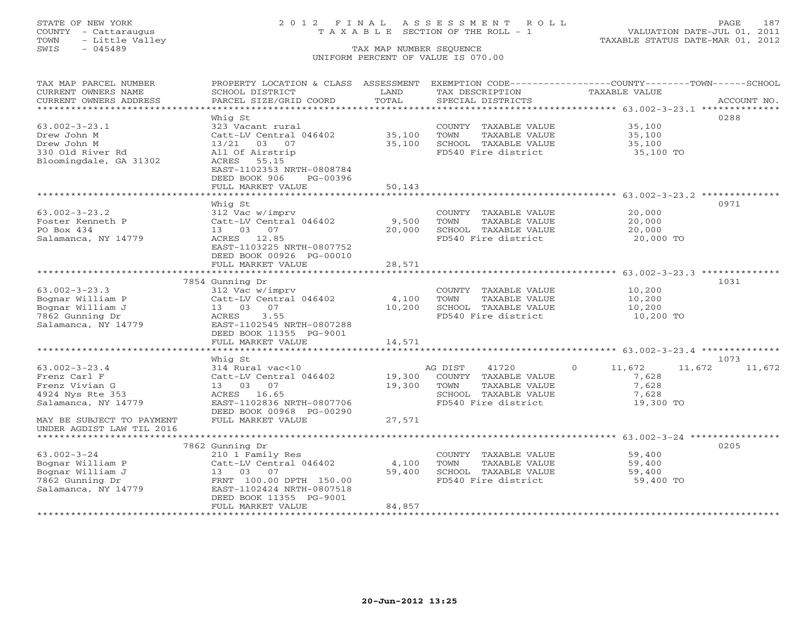# STATE OF NEW YORK 2 0 1 2 F I N A L A S S E S S M E N T R O L L PAGE 187 COUNTY - Cattaraugus T A X A B L E SECTION OF THE ROLL - 1 VALUATION DATE-JUL 01, 2011

| TAX MAP PARCEL NUMBER<br>CURRENT OWNERS NAME<br>CURRENT OWNERS ADDRESS | PROPERTY LOCATION & CLASS ASSESSMENT<br>SCHOOL DISTRICT<br>PARCEL SIZE/GRID COORD | LAND<br>TOTAL | TAX DESCRIPTION<br>SPECIAL DISTRICTS | EXEMPTION CODE-----------------COUNTY-------TOWN------SCHOOL<br><b>TAXABLE VALUE</b><br>ACCOUNT NO. |
|------------------------------------------------------------------------|-----------------------------------------------------------------------------------|---------------|--------------------------------------|-----------------------------------------------------------------------------------------------------|
| ***********************                                                |                                                                                   |               |                                      |                                                                                                     |
|                                                                        | Whig St                                                                           |               |                                      | 0288                                                                                                |
| $63.002 - 3 - 23.1$                                                    | 323 Vacant rural                                                                  |               | COUNTY TAXABLE VALUE                 | 35,100                                                                                              |
| Drew John M                                                            | Catt-LV Central 046402                                                            | 35,100        | TOWN<br>TAXABLE VALUE                | 35,100                                                                                              |
| Drew John M                                                            | 13/21 03 07                                                                       | 35,100        | SCHOOL TAXABLE VALUE                 | 35,100                                                                                              |
| 330 Old River Rd                                                       | All Of Airstrip                                                                   |               | FD540 Fire district                  | 35,100 TO                                                                                           |
| Bloomingdale, GA 31302                                                 | ACRES<br>55.15                                                                    |               |                                      |                                                                                                     |
|                                                                        | EAST-1102353 NRTH-0808784                                                         |               |                                      |                                                                                                     |
|                                                                        | DEED BOOK 906<br>PG-00396                                                         |               |                                      |                                                                                                     |
|                                                                        | FULL MARKET VALUE                                                                 | 50,143        |                                      |                                                                                                     |
|                                                                        |                                                                                   | ************* |                                      | ************************************63.002-3-23.2 ***************                                   |
|                                                                        | Whig St                                                                           |               |                                      | 0971                                                                                                |
| $63.002 - 3 - 23.2$                                                    | 312 Vac w/imprv                                                                   |               | COUNTY TAXABLE VALUE                 | 20,000                                                                                              |
| Foster Kenneth P                                                       | Catt-LV Central 046402                                                            | 9,500         | TOWN<br>TAXABLE VALUE                | 20,000                                                                                              |
| PO Box 434                                                             | 13 03 07                                                                          | 20,000        | SCHOOL TAXABLE VALUE                 | 20,000                                                                                              |
| Salamanca, NY 14779                                                    | ACRES 12.85<br>EAST-1103225 NRTH-0807752                                          |               | FD540 Fire district                  | 20,000 TO                                                                                           |
|                                                                        | DEED BOOK 00926 PG-00010                                                          |               |                                      |                                                                                                     |
|                                                                        | FULL MARKET VALUE                                                                 | 28,571        |                                      |                                                                                                     |
|                                                                        |                                                                                   | ***********   |                                      | ************************ 63.002-3-23.3 **************                                               |
|                                                                        | 7854 Gunning Dr                                                                   |               |                                      | 1031                                                                                                |
| $63.002 - 3 - 23.3$                                                    | 312 Vac w/imprv                                                                   |               | COUNTY TAXABLE VALUE                 | 10,200                                                                                              |
| Bognar William P                                                       | Catt-LV Central 046402                                                            | 4,100         | TOWN<br>TAXABLE VALUE                | 10,200                                                                                              |
| Bognar William J                                                       | 13 03 07                                                                          | 10,200        | SCHOOL TAXABLE VALUE                 | 10,200                                                                                              |
| 7862 Gunning Dr                                                        | 3.55<br>ACRES                                                                     |               | FD540 Fire district                  | 10,200 TO                                                                                           |
| Salamanca, NY 14779                                                    | EAST-1102545 NRTH-0807288                                                         |               |                                      |                                                                                                     |
|                                                                        | DEED BOOK 11355 PG-9001                                                           |               |                                      |                                                                                                     |
|                                                                        | FULL MARKET VALUE                                                                 | 14,571        |                                      |                                                                                                     |
|                                                                        |                                                                                   |               |                                      |                                                                                                     |
|                                                                        | Whig St                                                                           |               |                                      | 1073                                                                                                |
| $63.002 - 3 - 23.4$                                                    | 314 Rural vac<10                                                                  |               | AG DIST<br>41720                     | 11,672<br>11,672<br>$\circ$<br>11,672                                                               |
| Frenz Carl F                                                           | Catt-LV Central 046402                                                            | 19,300        | COUNTY TAXABLE VALUE                 | 7,628                                                                                               |
| Frenz Vivian G                                                         | 13 03 07                                                                          | 19,300        | TOWN<br>TAXABLE VALUE                | 7,628                                                                                               |
| 4924 Nys Rte 353                                                       | ACRES 16.65                                                                       |               | SCHOOL TAXABLE VALUE                 | 7,628                                                                                               |
| Salamanca, NY 14779                                                    | EAST-1102836 NRTH-0807706<br>DEED BOOK 00968 PG-00290                             |               | FD540 Fire district                  | 19,300 TO                                                                                           |
| MAY BE SUBJECT TO PAYMENT                                              | FULL MARKET VALUE                                                                 | 27,571        |                                      |                                                                                                     |
| UNDER AGDIST LAW TIL 2016                                              |                                                                                   |               |                                      |                                                                                                     |
|                                                                        |                                                                                   |               |                                      |                                                                                                     |
|                                                                        | 7862 Gunning Dr                                                                   |               |                                      | 0205                                                                                                |
| $63.002 - 3 - 24$                                                      | 210 1 Family Res                                                                  |               | COUNTY TAXABLE VALUE                 | 59,400                                                                                              |
| Bognar William P                                                       | Catt-LV Central 046402                                                            | 4,100         | TOWN<br>TAXABLE VALUE                | 59,400                                                                                              |
| Bognar William J                                                       | 13 03 07                                                                          | 59,400        | SCHOOL TAXABLE VALUE                 | 59,400                                                                                              |
| 7862 Gunning Dr                                                        | FRNT 100.00 DPTH 150.00                                                           |               | FD540 Fire district                  | 59,400 TO                                                                                           |
| Salamanca, NY 14779                                                    | EAST-1102424 NRTH-0807518                                                         |               |                                      |                                                                                                     |
|                                                                        | DEED BOOK 11355 PG-9001                                                           |               |                                      |                                                                                                     |
|                                                                        | FULL MARKET VALUE                                                                 | 84,857        |                                      |                                                                                                     |
|                                                                        |                                                                                   |               |                                      |                                                                                                     |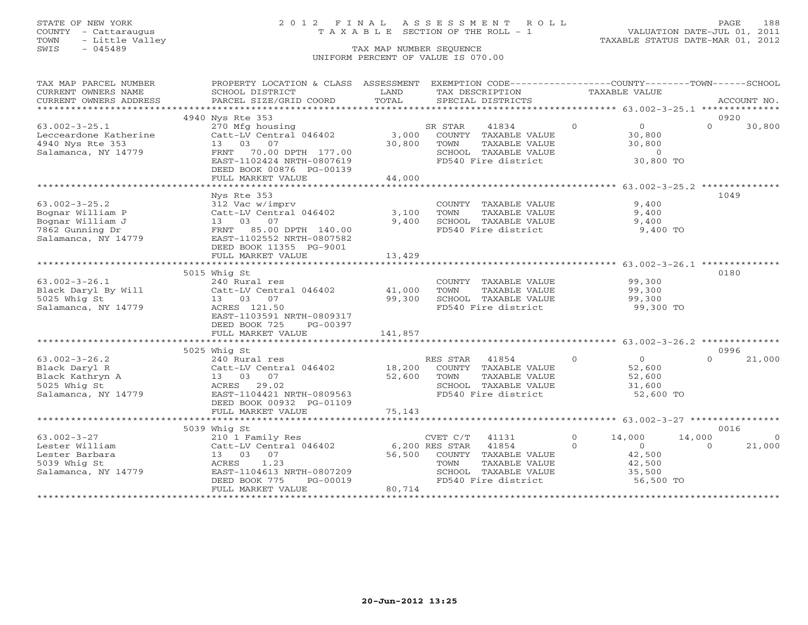TOWN - Little Valley TAXABLE STATUS DATE-MAR 01, 2012 TOWN - Little Valley<br>
SWIS - 045489 TAX MAP NUMBER SEQUENCE

## STATE OF NEW YORK 2 0 1 2 F I N A L A S S E S S M E N T R O L L PAGE 188 COUNTY - Cattaraugus T A X A B L E SECTION OF THE ROLL - 1 VALUATION DATE-JUL 01, 2011

# UNIFORM PERCENT OF VALUE IS 070.00

| TAX MAP PARCEL NUMBER                                                                                                          | PROPERTY LOCATION & CLASS ASSESSMENT EXEMPTION CODE---------------COUNTY-------TOWN------SCHOOL |             |         |                                             |               |                     |          |                |
|--------------------------------------------------------------------------------------------------------------------------------|-------------------------------------------------------------------------------------------------|-------------|---------|---------------------------------------------|---------------|---------------------|----------|----------------|
| CURRENT OWNERS NAME                                                                                                            | SCHOOL DISTRICT                                                                                 | LAND        |         | TAX DESCRIPTION                             | TAXABLE VALUE |                     |          |                |
| CURRENT OWNERS ADDRESS                                                                                                         | PARCEL SIZE/GRID COORD                                                                          | TOTAL       |         | SPECIAL DISTRICTS                           |               |                     |          | ACCOUNT NO.    |
|                                                                                                                                |                                                                                                 |             |         |                                             |               |                     |          |                |
|                                                                                                                                | 4940 Nys Rte 353                                                                                |             |         |                                             |               |                     | 0920     |                |
| $63.002 - 3 - 25.1$<br>Lecceardone Katherine<br>4940 Nys Rte 353<br>Salamance NYS 1                                            | 270 Mfg housing                                                                                 |             | SR STAR | 41834                                       | $\Omega$      | $\overline{0}$      | $\Omega$ | 30,800         |
|                                                                                                                                | Catt-LV Central 046402                                                                          |             |         | 3,000 COUNTY TAXABLE VALUE                  |               | 30,800              |          |                |
|                                                                                                                                | 13 03 07                                                                                        | 30,800 TOWN |         | TAXABLE VALUE                               |               | 30,800              |          |                |
| Salamanca, NY 14779                                                                                                            | FRNT 70.00 DPTH 177.00                                                                          |             |         | SCHOOL TAXABLE VALUE<br>FD540 Fire district |               | $0\atop{30,800}$ TO |          |                |
|                                                                                                                                | EAST-1102424 NRTH-0807619                                                                       |             |         |                                             |               |                     |          |                |
|                                                                                                                                | DEED BOOK 00876 PG-00139                                                                        |             |         |                                             |               |                     |          |                |
|                                                                                                                                | FULL MARKET VALUE                                                                               | 44,000      |         |                                             |               |                     |          |                |
|                                                                                                                                |                                                                                                 |             |         |                                             |               |                     |          |                |
|                                                                                                                                | Nys Rte 353                                                                                     |             |         |                                             |               |                     | 1049     |                |
| $63.002 - 3 - 25.2$                                                                                                            | 312 Vac w/imprv                                                                                 |             |         | COUNTY TAXABLE VALUE                        |               | 9,400               |          |                |
| Bognar William P                                                                                                               | Catt-LV Central $046402$ 3,100                                                                  |             | TOWN    | TAXABLE VALUE                               |               | 9,400               |          |                |
|                                                                                                                                |                                                                                                 | 9,400       |         | SCHOOL TAXABLE VALUE                        |               | 9,400               |          |                |
|                                                                                                                                |                                                                                                 |             |         | FD540 Fire district                         |               | 9,400 TO            |          |                |
|                                                                                                                                |                                                                                                 |             |         |                                             |               |                     |          |                |
|                                                                                                                                | DEED BOOK 11355 PG-9001                                                                         |             |         |                                             |               |                     |          |                |
|                                                                                                                                | FULL MARKET VALUE                                                                               | 13,429      |         |                                             |               |                     |          |                |
|                                                                                                                                |                                                                                                 |             |         |                                             |               |                     |          |                |
|                                                                                                                                | 5015 Whig St                                                                                    |             |         |                                             |               |                     | 0180     |                |
|                                                                                                                                |                                                                                                 |             |         | COUNTY TAXABLE VALUE                        |               | 99,300              |          |                |
| 03.002-3-26.1<br>Black Daryl By Will 240 Rural res COUNTY<br>5025 Whig St 13 03 07 13 03 07                                    |                                                                                                 |             |         | TAXABLE VALUE                               |               | 99,300              |          |                |
|                                                                                                                                |                                                                                                 |             |         | SCHOOL TAXABLE VALUE                        |               | 99,300              |          |                |
| Salamanca, NY 14779                                                                                                            | ACRES 121.50                                                                                    |             |         | FD540 Fire district                         |               | 99,300 TO           |          |                |
|                                                                                                                                | EAST-1103591 NRTH-0809317                                                                       |             |         |                                             |               |                     |          |                |
|                                                                                                                                | DEED BOOK 725<br>PG-00397<br>FULL MARKET VALUE                                                  | 141,857     |         |                                             |               |                     |          |                |
|                                                                                                                                |                                                                                                 |             |         |                                             |               |                     |          |                |
|                                                                                                                                |                                                                                                 |             |         |                                             |               |                     | 0996     |                |
| $63.002 - 3 - 26.2$                                                                                                            | 5025 Whiq St                                                                                    |             |         | RES STAR 41854                              | $\Omega$      | $\overline{O}$      | $\Omega$ | 21,000         |
|                                                                                                                                |                                                                                                 |             |         | COUNTY TAXABLE VALUE                        |               | 52,600              |          |                |
| 63.002-3-26.2<br>Black Daryl R<br>Black Kathryn A<br>52,600<br>525 Whig St<br>13 03 07<br>52,600<br>52,600<br>52,600<br>52,600 |                                                                                                 | 52,600 TOWN |         | TAXABLE VALUE                               |               |                     |          |                |
|                                                                                                                                |                                                                                                 |             |         | SCHOOL TAXABLE VALUE                        |               | 52,600<br>31,600    |          |                |
| Salamanca, NY 14779                                                                                                            | EAST-1104421 NRTH-0809563                                                                       |             |         | FD540 Fire district                         |               | 52,600 TO           |          |                |
|                                                                                                                                | DEED BOOK 00932 PG-01109                                                                        |             |         |                                             |               |                     |          |                |
|                                                                                                                                | FULL MARKET VALUE                                                                               | 75,143      |         |                                             |               |                     |          |                |
|                                                                                                                                |                                                                                                 |             |         |                                             |               |                     |          |                |
|                                                                                                                                | 5039 Whig St                                                                                    |             |         |                                             |               |                     | 0016     |                |
| $63.002 - 3 - 27$                                                                                                              | 210 1 Family Res                                                                                |             |         | $CVET C/T$ 41131                            | $\Omega$      | 14,000              | 14,000   | $\overline{0}$ |
| Lester William                                                                                                                 | Catt-LV Central 046402 6,200 RES STAR 41854                                                     |             |         |                                             | $\Omega$      | $\overline{0}$      | $\Omega$ | 21,000         |
| Lester Barbara                                                                                                                 | 13 03 07                                                                                        |             |         | 56,500 COUNTY TAXABLE VALUE                 |               | 42,500              |          |                |
| 5039 Whig St                                                                                                                   | 1.23<br>ACRES                                                                                   |             | TOWN    | TAXABLE VALUE                               |               | 42,500              |          |                |
| Salamanca, NY 14779                                                                                                            | EAST-1104613 NRTH-0807209                                                                       |             |         |                                             |               | 35,500              |          |                |
|                                                                                                                                | DEED BOOK 775<br>PG-00019                                                                       |             |         | SCHOOL TAXABLE VALUE<br>FD540 Fire district |               | 56,500 TO           |          |                |
|                                                                                                                                | FULL MARKET VALUE                                                                               | 80,714      |         |                                             |               |                     |          |                |
|                                                                                                                                |                                                                                                 |             |         |                                             |               |                     |          |                |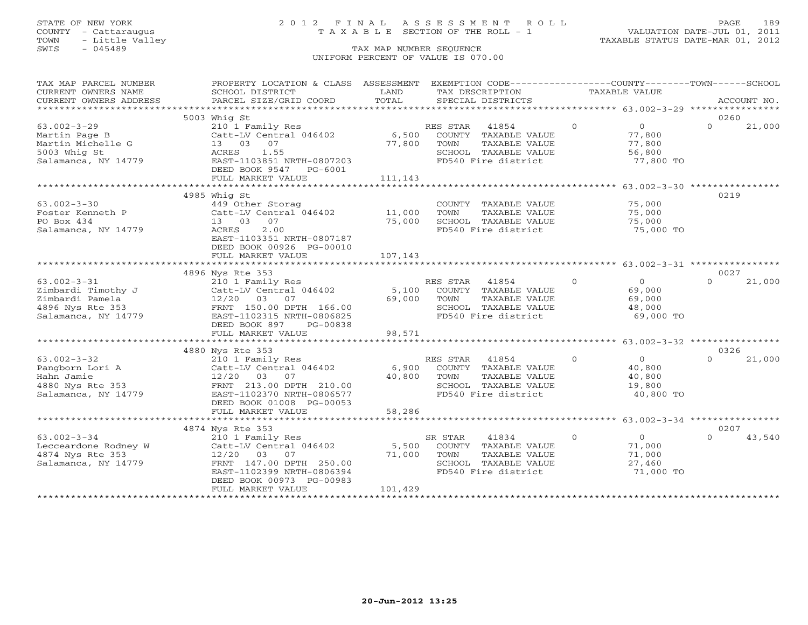# STATE OF NEW YORK 2 0 1 2 F I N A L A S S E S S M E N T R O L L PAGE 189 COUNTY - Cattaraugus T A X A B L E SECTION OF THE ROLL - 1 VALUATION DATE-JUL 01, 2011

| TAX MAP PARCEL NUMBER  | PROPERTY LOCATION & CLASS ASSESSMENT |                             |          | EXEMPTION CODE----------------COUNTY-------TOWN------SCHOOL |                |                                                    |          |             |
|------------------------|--------------------------------------|-----------------------------|----------|-------------------------------------------------------------|----------------|----------------------------------------------------|----------|-------------|
| CURRENT OWNERS NAME    | SCHOOL DISTRICT                      | LAND                        |          | TAX DESCRIPTION                                             | TAXABLE VALUE  |                                                    |          |             |
| CURRENT OWNERS ADDRESS | PARCEL SIZE/GRID COORD               | TOTAL                       |          | SPECIAL DISTRICTS                                           |                |                                                    |          | ACCOUNT NO. |
|                        |                                      |                             |          |                                                             |                |                                                    |          |             |
|                        | 5003 Whig St                         |                             |          |                                                             |                |                                                    | 0260     |             |
| $63.002 - 3 - 29$      | 210 1 Family Res                     |                             | RES STAR | 41854                                                       | $\Omega$       | 0                                                  | $\Omega$ | 21,000      |
| Martin Page B          | Catt-LV Central 046402               | 6,500                       |          | COUNTY TAXABLE VALUE                                        |                | 77,800                                             |          |             |
| Martin Michelle G      | 13 03 07                             | 77,800                      | TOWN     | TAXABLE VALUE                                               |                | 77,800                                             |          |             |
| 5003 Whig St           | ACRES<br>1.55                        |                             |          | SCHOOL TAXABLE VALUE                                        |                | 56,800                                             |          |             |
| Salamanca, NY 14779    | EAST-1103851 NRTH-0807203            |                             |          | FD540 Fire district                                         |                | 77,800 TO                                          |          |             |
|                        | DEED BOOK 9547 PG-6001               |                             |          |                                                             |                |                                                    |          |             |
|                        | FULL MARKET VALUE                    | 111,143                     |          |                                                             |                |                                                    |          |             |
|                        | ******************************       | *************************** |          |                                                             |                | ********************* 63.002-3-30 **************** |          |             |
|                        | 4985 Whig St                         |                             |          |                                                             |                |                                                    | 0219     |             |
| $63.002 - 3 - 30$      | 449 Other Storag                     |                             |          | COUNTY TAXABLE VALUE                                        |                | 75,000                                             |          |             |
| Foster Kenneth P       | Catt-LV Central 046402               | 11,000                      | TOWN     | TAXABLE VALUE                                               |                | 75,000                                             |          |             |
| PO Box 434             | 13 03<br>07                          | 75,000                      |          | SCHOOL TAXABLE VALUE                                        |                | 75,000                                             |          |             |
| Salamanca, NY 14779    | ACRES<br>2.00                        |                             |          | FD540 Fire district                                         |                | 75,000 TO                                          |          |             |
|                        | EAST-1103351 NRTH-0807187            |                             |          |                                                             |                |                                                    |          |             |
|                        | DEED BOOK 00926 PG-00010             |                             |          |                                                             |                |                                                    |          |             |
|                        | FULL MARKET VALUE                    | 107,143                     |          |                                                             |                |                                                    |          |             |
|                        |                                      |                             |          |                                                             |                |                                                    |          |             |
|                        | 4896 Nys Rte 353                     |                             |          |                                                             |                |                                                    | 0027     |             |
| $63.002 - 3 - 31$      | 210 1 Family Res                     |                             | RES STAR | 41854                                                       | $\Omega$       | $\overline{0}$                                     | $\Omega$ | 21,000      |
| Zimbardi Timothy J     | Catt-LV Central 046402               | 5,100                       |          | COUNTY TAXABLE VALUE                                        |                | 69,000                                             |          |             |
| Zimbardi Pamela        | 12/20 03 07                          | 69,000                      | TOWN     | TAXABLE VALUE                                               |                | 69,000                                             |          |             |
| 4896 Nys Rte 353       | FRNT 150.00 DPTH 166.00              |                             |          | SCHOOL TAXABLE VALUE                                        |                | 48,000                                             |          |             |
| Salamanca, NY 14779    | EAST-1102315 NRTH-0806825            |                             |          | FD540 Fire district                                         |                | 69,000 TO                                          |          |             |
|                        | DEED BOOK 897<br>PG-00838            |                             |          |                                                             |                |                                                    |          |             |
|                        | FULL MARKET VALUE                    | 98,571                      |          |                                                             |                |                                                    |          |             |
|                        |                                      |                             |          |                                                             |                |                                                    |          |             |
|                        | 4880 Nys Rte 353                     |                             |          |                                                             |                |                                                    | 0326     |             |
| $63.002 - 3 - 32$      | 210 1 Family Res                     |                             | RES STAR | 41854                                                       | $\overline{0}$ | $\overline{0}$                                     | $\Omega$ | 21,000      |
| Pangborn Lori A        | Catt-LV Central 046402               | 6,900                       |          | COUNTY TAXABLE VALUE                                        |                | 40,800                                             |          |             |
| Hahn Jamie             | 12/20 03<br>07                       | 40,800                      | TOWN     | TAXABLE VALUE                                               |                | 40,800                                             |          |             |
| 4880 Nys Rte 353       | FRNT 213.00 DPTH 210.00              |                             |          | SCHOOL TAXABLE VALUE                                        |                | 19,800                                             |          |             |
| Salamanca, NY 14779    | EAST-1102370 NRTH-0806577            |                             |          | FD540 Fire district                                         |                | 40,800 TO                                          |          |             |
|                        | DEED BOOK 01008 PG-00053             |                             |          |                                                             |                |                                                    |          |             |
|                        | FULL MARKET VALUE                    | 58,286                      |          |                                                             |                |                                                    |          |             |
|                        |                                      |                             |          |                                                             |                |                                                    |          |             |
|                        | 4874 Nys Rte 353                     |                             |          |                                                             |                |                                                    | 0207     |             |
| $63.002 - 3 - 34$      | 210 1 Family Res                     |                             | SR STAR  | 41834                                                       | $\circ$        | $\overline{0}$                                     | $\Omega$ | 43,540      |
| Lecceardone Rodney W   | Catt-LV Central 046402               | 5,500                       |          | COUNTY TAXABLE VALUE                                        |                | 71,000                                             |          |             |
| 4874 Nys Rte 353       | 12/20 03<br>07                       | 71,000                      | TOWN     | TAXABLE VALUE                                               |                | 71,000                                             |          |             |
| Salamanca, NY 14779    | FRNT 147.00 DPTH 250.00              |                             |          | SCHOOL TAXABLE VALUE                                        |                | 27,460                                             |          |             |
|                        | EAST-1102399 NRTH-0806394            |                             |          | FD540 Fire district                                         |                | 71,000 TO                                          |          |             |
|                        | DEED BOOK 00973 PG-00983             |                             |          |                                                             |                |                                                    |          |             |
|                        | FULL MARKET VALUE                    | 101,429                     |          |                                                             |                |                                                    |          |             |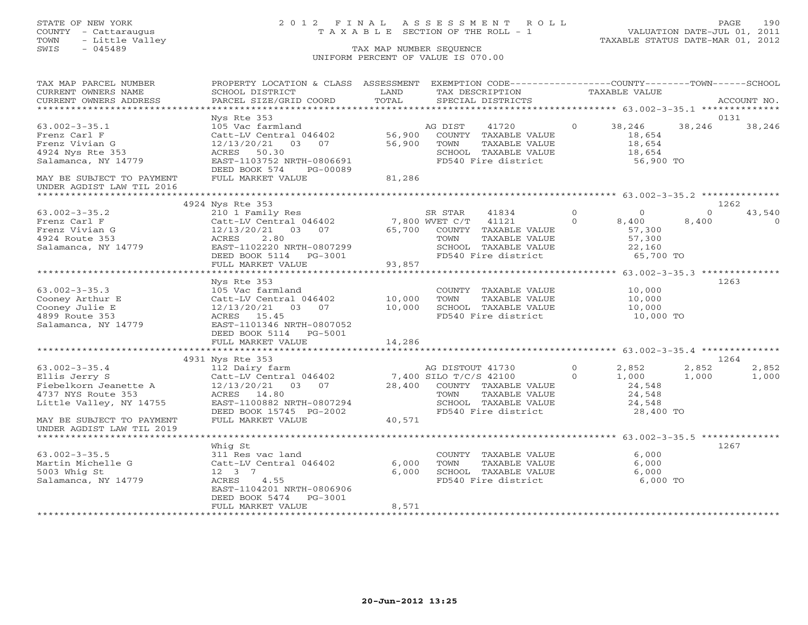# STATE OF NEW YORK 2 0 1 2 F I N A L A S S E S S M E N T R O L L PAGE 190 COUNTY - Cattaraugus T A X A B L E SECTION OF THE ROLL - 1 VALUATION DATE-JUL 01, 2011

| TAX MAP PARCEL NUMBER<br>CURRENT OWNERS NAME           | PROPERTY LOCATION & CLASS ASSESSMENT<br>SCHOOL DISTRICT   | LAND           | EXEMPTION CODE----------------COUNTY-------TOWN------SCHOOL<br>TAX DESCRIPTION |                            | TAXABLE VALUE                                      |                   |                    |
|--------------------------------------------------------|-----------------------------------------------------------|----------------|--------------------------------------------------------------------------------|----------------------------|----------------------------------------------------|-------------------|--------------------|
| CURRENT OWNERS ADDRESS                                 | PARCEL SIZE/GRID COORD                                    | TOTAL          | SPECIAL DISTRICTS                                                              |                            |                                                    |                   | ACCOUNT NO.        |
| ***********************                                |                                                           |                |                                                                                |                            |                                                    |                   |                    |
| $63.002 - 3 - 35.1$<br>Frenz Carl F                    | Nys Rte 353<br>105 Vac farmland<br>Catt-LV Central 046402 | 56,900         | 41720<br>AG DIST<br>COUNTY TAXABLE VALUE                                       | $\circ$                    | 38,246<br>18,654                                   | 38,246            | 0131<br>38,246     |
| Frenz Vivian G<br>4924 Nys Rte 353                     | 12/13/20/21 03 07<br>ACRES 50.30                          | 56,900         | TOWN<br>TAXABLE VALUE<br>SCHOOL TAXABLE VALUE                                  |                            | 18,654<br>18,654                                   |                   |                    |
| Salamanca, NY 14779                                    | EAST-1103752 NRTH-0806691<br>DEED BOOK 574<br>PG-00089    |                | FD540 Fire district                                                            |                            | 56,900 TO                                          |                   |                    |
| MAY BE SUBJECT TO PAYMENT<br>UNDER AGDIST LAW TIL 2016 | FULL MARKET VALUE                                         | 81,286         |                                                                                |                            |                                                    |                   |                    |
|                                                        | 4924 Nys Rte 353                                          |                |                                                                                |                            |                                                    |                   | 1262               |
| $63.002 - 3 - 35.2$<br>Frenz Carl F                    | 210 1 Family Res<br>Catt-LV Central 046402 7,800 WVET C/T |                | SR STAR<br>41834<br>41121                                                      | $\overline{0}$<br>$\Omega$ | $\overline{0}$<br>8,400                            | $\Omega$<br>8,400 | 43,540<br>$\Omega$ |
| Frenz Vivian G<br>4924 Route 353                       | 12/13/20/21 03 07<br>ACRES<br>2.80                        |                | 65,700 COUNTY TAXABLE VALUE<br>TOWN<br>TAXABLE VALUE                           |                            | 57,300<br>57,300                                   |                   |                    |
| Salamanca, NY 14779                                    | EAST-1102220 NRTH-0807299<br>DEED BOOK 5114 PG-3001       |                | SCHOOL TAXABLE VALUE<br>FD540 Fire district                                    |                            | 22,160<br>65,700 TO                                |                   |                    |
|                                                        | FULL MARKET VALUE                                         | 93,857         |                                                                                |                            |                                                    |                   |                    |
|                                                        | ***********************                                   | ************** |                                                                                |                            | ********************* 63.002-3-35.3 ************** |                   |                    |
|                                                        | Nys Rte 353                                               |                |                                                                                |                            |                                                    |                   | 1263               |
| $63.002 - 3 - 35.3$<br>Cooney Arthur E                 | 105 Vac farmland<br>Catt-LV Central 046402                | 10,000         | COUNTY TAXABLE VALUE<br>TOWN<br>TAXABLE VALUE                                  |                            | 10,000<br>10,000                                   |                   |                    |
| Cooney Julie E                                         | $12/13/20/21$ 03 07 10,000                                |                | SCHOOL TAXABLE VALUE                                                           |                            | 10,000                                             |                   |                    |
| 4899 Route 353                                         | ACRES 15.45                                               |                | FD540 Fire district                                                            |                            | $10,000$ TO                                        |                   |                    |
| Salamanca, NY 14779                                    | EAST-1101346 NRTH-0807052                                 |                |                                                                                |                            |                                                    |                   |                    |
|                                                        | DEED BOOK 5114 PG-5001                                    |                |                                                                                |                            |                                                    |                   |                    |
|                                                        | FULL MARKET VALUE                                         | 14,286         |                                                                                |                            |                                                    |                   |                    |
|                                                        |                                                           |                |                                                                                |                            |                                                    |                   |                    |
|                                                        | 4931 Nys Rte 353                                          |                |                                                                                |                            |                                                    |                   | 1264               |
| $63.002 - 3 - 35.4$                                    | 112 Dairy farm                                            |                | AG DISTOUT 41730                                                               | $\Omega$                   | 2,852                                              | 2,852             | 2,852              |
| Ellis Jerry S                                          | Catt-LV Central 046402                                    |                | 7,400 SILO T/C/S 42100                                                         | $\Omega$                   | 1,000                                              | 1,000             | 1,000              |
| Fiebelkorn Jeanette A                                  | 12/13/20/21  03  07                                       |                | 28,400 COUNTY TAXABLE VALUE                                                    |                            | 24,548                                             |                   |                    |
| 4737 NYS Route 353                                     | ACRES 14.80                                               |                | TOWN<br>TAXABLE VALUE                                                          |                            | 24,548                                             |                   |                    |
| Little Valley, NY 14755                                | EAST-1100882 NRTH-0807294                                 |                | SCHOOL TAXABLE VALUE                                                           |                            | 24,548                                             |                   |                    |
|                                                        | DEED BOOK 15745 PG-2002                                   |                | FD540 Fire district                                                            |                            | 28,400 TO                                          |                   |                    |
| MAY BE SUBJECT TO PAYMENT<br>UNDER AGDIST LAW TIL 2019 | FULL MARKET VALUE                                         | 40,571         |                                                                                |                            |                                                    |                   |                    |
| *************************                              |                                                           |                |                                                                                |                            |                                                    |                   |                    |
| $63.002 - 3 - 35.5$                                    | Whiq St<br>311 Res vac land                               |                | COUNTY TAXABLE VALUE                                                           |                            | 6,000                                              |                   | 1267               |
| Martin Michelle G                                      | Catt-LV Central 046402                                    | 6,000          | TOWN<br>TAXABLE VALUE                                                          |                            | 6,000                                              |                   |                    |
| 5003 Whig St                                           | 12 3 7                                                    | 6.000          | SCHOOL TAXABLE VALUE                                                           |                            | 6,000                                              |                   |                    |
| Salamanca, NY 14779                                    | ACRES 4.55                                                |                | FD540 Fire district                                                            |                            | 6,000 TO                                           |                   |                    |
|                                                        | EAST-1104201 NRTH-0806906                                 |                |                                                                                |                            |                                                    |                   |                    |
|                                                        | DEED BOOK 5474 PG-3001                                    |                |                                                                                |                            |                                                    |                   |                    |
|                                                        | FULL MARKET VALUE                                         | 8,571          |                                                                                |                            |                                                    |                   |                    |
|                                                        |                                                           |                |                                                                                |                            |                                                    |                   |                    |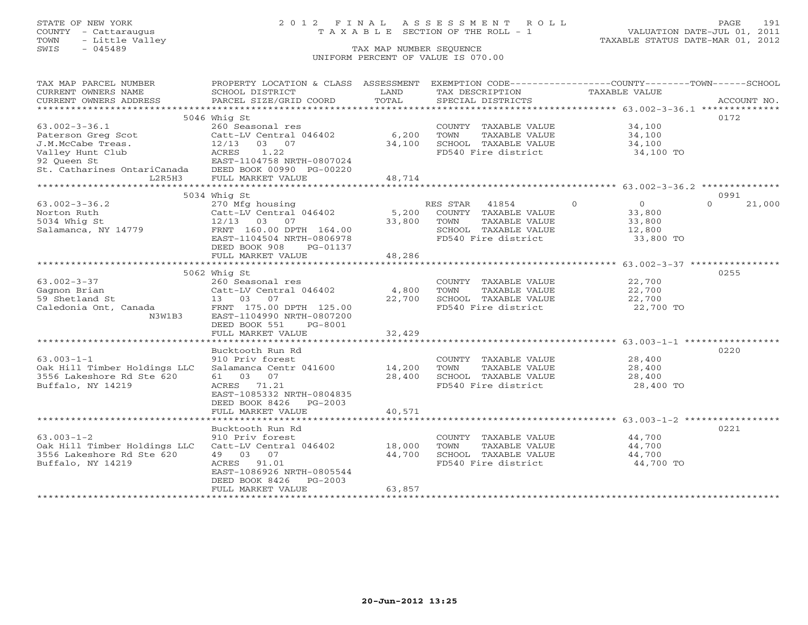# STATE OF NEW YORK 2 0 1 2 F I N A L A S S E S S M E N T R O L L PAGE 191 COUNTY - Cattaraugus T A X A B L E SECTION OF THE ROLL - 1 VALUATION DATE-JUL 01, 2011

| TAX MAP PARCEL NUMBER                                                                                                                                                                                                          | PROPERTY LOCATION & CLASS ASSESSMENT EXEMPTION CODE---------------COUNTY-------TOWN------SCHOOL |            |                                             |                            |                    |
|--------------------------------------------------------------------------------------------------------------------------------------------------------------------------------------------------------------------------------|-------------------------------------------------------------------------------------------------|------------|---------------------------------------------|----------------------------|--------------------|
| CURRENT OWNERS NAME                                                                                                                                                                                                            | SCHOOL DISTRICT                                                                                 | LAND       | TAX DESCRIPTION                             | <b>TAXABLE VALUE</b>       |                    |
|                                                                                                                                                                                                                                |                                                                                                 |            |                                             |                            |                    |
| .CURRENT OWNERS ADDRESS PARCEL SIZE/GRID COORD TOTAL SPECIAL DISTRICTS ACCOUNT NO ACCOUNT NO ACCOUNT NO ARE A LOCOUNT NO A LOCOUNT ASSESS THAT A LOCOUNT A LOCOUNT AND A LOCOUNT A LOCOUNT A LOCOUNT AND A LOCOUNT A LOCOUNT A |                                                                                                 |            |                                             |                            |                    |
|                                                                                                                                                                                                                                | 5046 Whig St                                                                                    |            |                                             |                            | 0172               |
| $63.002 - 3 - 36.1$                                                                                                                                                                                                            | 260 Seasonal res                                                                                |            | COUNTY TAXABLE VALUE 34,100                 |                            |                    |
|                                                                                                                                                                                                                                | Catt-LV Central 046402                                                                          | 6,200      | TOWN<br>TAXABLE VALUE                       | 34,100                     |                    |
| Paterson Greg Scot Catt-LV Central<br>J.M.McCabe Treas. 12/13 03 07                                                                                                                                                            |                                                                                                 | 34,100     | SCHOOL TAXABLE VALUE                        | 34,100                     |                    |
| Valley Hunt Club                                                                                                                                                                                                               | ACRES 1.22                                                                                      |            | FD540 Fire district                         | 34,100 TO                  |                    |
| 92 Oueen St                                                                                                                                                                                                                    | EAST-1104758 NRTH-0807024                                                                       |            |                                             |                            |                    |
| St. Catharines OntariCanada DEED BOOK 00990 PG-00220                                                                                                                                                                           |                                                                                                 |            |                                             |                            |                    |
| L2R5H3                                                                                                                                                                                                                         | FULL MARKET VALUE                                                                               | 48,714     |                                             |                            |                    |
|                                                                                                                                                                                                                                |                                                                                                 |            |                                             |                            |                    |
|                                                                                                                                                                                                                                | 5034 Whig St                                                                                    |            |                                             |                            | 0991               |
| $63.002 - 3 - 36.2$                                                                                                                                                                                                            |                                                                                                 |            | RES STAR<br>41854                           | $\Omega$<br>$\overline{O}$ | $\Omega$<br>21,000 |
| Norton Ruth                                                                                                                                                                                                                    | 270 Mfg housing<br>Catt-LV Central 046402                                                       |            | 5,200 COUNTY TAXABLE VALUE                  | 33,800                     |                    |
| 5034 Whig St                                                                                                                                                                                                                   | 12/13 03 07                                                                                     | 33,800     | TAXABLE VALUE<br>TOWN                       | 33,800                     |                    |
| Salamanca, NY 14779                                                                                                                                                                                                            | FRNT 160.00 DPTH 164.00                                                                         |            |                                             | 12,800                     |                    |
|                                                                                                                                                                                                                                | EAST-1104504 NRTH-0806978                                                                       |            | SCHOOL TAXABLE VALUE<br>FD540 Fire district | 33,800 TO                  |                    |
|                                                                                                                                                                                                                                | DEED BOOK 908<br>PG-01137                                                                       |            |                                             |                            |                    |
|                                                                                                                                                                                                                                | FULL MARKET VALUE                                                                               | 48,286     |                                             |                            |                    |
|                                                                                                                                                                                                                                |                                                                                                 |            |                                             |                            |                    |
|                                                                                                                                                                                                                                | 5062 Whig St                                                                                    |            |                                             |                            | 0255               |
| $63.002 - 3 - 37$                                                                                                                                                                                                              | 260 Seasonal res                                                                                |            | COUNTY TAXABLE VALUE                        | 22,700                     |                    |
| Gagnon Brian                                                                                                                                                                                                                   | Catt-LV Central 046402                                                                          | 4,800 TOWN | TAXABLE VALUE                               | 22,700                     |                    |
| 59 Shetland St                                                                                                                                                                                                                 | 13 03 07                                                                                        | 22,700     | SCHOOL TAXABLE VALUE                        | 22,700                     |                    |
| Caledonia Ont, Canada                                                                                                                                                                                                          | FRNT 175.00 DPTH 125.00                                                                         |            | FD540 Fire district                         | 22,700 TO                  |                    |
| N3W1B3                                                                                                                                                                                                                         | EAST-1104990 NRTH-0807200                                                                       |            |                                             |                            |                    |
|                                                                                                                                                                                                                                | DEED BOOK 551<br>PG-8001                                                                        |            |                                             |                            |                    |
|                                                                                                                                                                                                                                | FULL MARKET VALUE                                                                               | 32,429     |                                             |                            |                    |
|                                                                                                                                                                                                                                |                                                                                                 |            |                                             |                            |                    |
|                                                                                                                                                                                                                                | Bucktooth Run Rd                                                                                |            |                                             |                            | 0220               |
| $63.003 - 1 - 1$                                                                                                                                                                                                               |                                                                                                 |            | COUNTY TAXABLE VALUE                        | 28,400                     |                    |
| Oak Hill Timber Holdings LLC                                                                                                                                                                                                   | 910 Priv forest<br>Salamanca Centr 041600     14,200                                            |            | TOWN<br>TAXABLE VALUE                       | 28,400                     |                    |
| 3556 Lakeshore Rd Ste 620                                                                                                                                                                                                      | 61 03 07                                                                                        | 28,400     | SCHOOL TAXABLE VALUE                        | 28,400                     |                    |
| Buffalo, NY 14219                                                                                                                                                                                                              | ACRES 71.21                                                                                     |            | FD540 Fire district                         | 28,400 TO                  |                    |
|                                                                                                                                                                                                                                | EAST-1085332 NRTH-0804835                                                                       |            |                                             |                            |                    |
|                                                                                                                                                                                                                                | DEED BOOK 8426<br>PG-2003                                                                       |            |                                             |                            |                    |
|                                                                                                                                                                                                                                | FULL MARKET VALUE                                                                               | 40,571     |                                             |                            |                    |
|                                                                                                                                                                                                                                |                                                                                                 |            |                                             |                            |                    |
|                                                                                                                                                                                                                                | Bucktooth Run Rd                                                                                |            |                                             |                            | 0221               |
| $63.003 - 1 - 2$                                                                                                                                                                                                               | 910 Priv forest                                                                                 |            | COUNTY TAXABLE VALUE                        | 44,700                     |                    |
| Oak Hill Timber Holdings LLC Catt-LV Central 046402 18,000                                                                                                                                                                     |                                                                                                 |            | TAXABLE VALUE<br>TOWN                       | 44,700                     |                    |
| 3556 Lakeshore Rd Ste 620                                                                                                                                                                                                      | 49 03 07                                                                                        | 44,700     | SCHOOL TAXABLE VALUE                        | 44,700                     |                    |
| Buffalo, NY 14219                                                                                                                                                                                                              | ACRES 91.01                                                                                     |            | FD540 Fire district                         | 44,700 TO                  |                    |
|                                                                                                                                                                                                                                | EAST-1086926 NRTH-0805544                                                                       |            |                                             |                            |                    |
|                                                                                                                                                                                                                                | DEED BOOK 8426<br>$PG-2003$                                                                     |            |                                             |                            |                    |
|                                                                                                                                                                                                                                | FULL MARKET VALUE                                                                               | 63,857     |                                             |                            |                    |
|                                                                                                                                                                                                                                |                                                                                                 |            |                                             |                            |                    |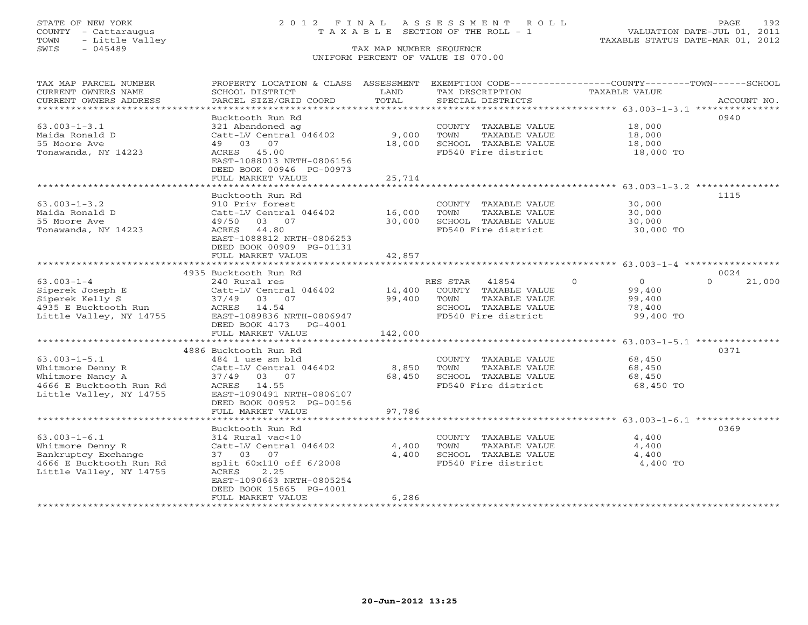## STATE OF NEW YORK 2 0 1 2 F I N A L A S S E S S M E N T R O L L PAGE 192 COUNTY - Cattaraugus T A X A B L E SECTION OF THE ROLL - 1 VALUATION DATE-JUL 01, 2011

| TAX MAP PARCEL NUMBER<br>CURRENT OWNERS NAME   | PROPERTY LOCATION & CLASS ASSESSMENT<br>SCHOOL DISTRICT | LAND           | EXEMPTION CODE-----------------COUNTY-------TOWN------SCHOOL<br>TAX DESCRIPTION | TAXABLE VALUE        |                    |
|------------------------------------------------|---------------------------------------------------------|----------------|---------------------------------------------------------------------------------|----------------------|--------------------|
| CURRENT OWNERS ADDRESS                         | PARCEL SIZE/GRID COORD                                  | TOTAL          | SPECIAL DISTRICTS                                                               |                      | ACCOUNT NO.        |
| ********************                           |                                                         |                |                                                                                 |                      |                    |
|                                                | Bucktooth Run Rd                                        |                |                                                                                 |                      | 0940               |
| $63.003 - 1 - 3.1$                             | 321 Abandoned ag                                        |                | COUNTY TAXABLE VALUE                                                            | 18,000               |                    |
| Maida Ronald D                                 | Catt-LV Central 046402                                  | 9,000          | TOWN<br>TAXABLE VALUE                                                           | 18,000               |                    |
| 55 Moore Ave                                   | 49 03<br>07                                             | 18,000         | SCHOOL TAXABLE VALUE                                                            | 18,000               |                    |
| Tonawanda, NY 14223                            | ACRES 45.00                                             |                | FD540 Fire district                                                             | 18,000 TO            |                    |
|                                                | EAST-1088013 NRTH-0806156                               |                |                                                                                 |                      |                    |
|                                                | DEED BOOK 00946 PG-00973                                |                |                                                                                 |                      |                    |
|                                                | FULL MARKET VALUE                                       | 25,714         |                                                                                 |                      |                    |
|                                                | ******************                                      | **********     |                                                                                 |                      |                    |
|                                                | Bucktooth Run Rd                                        |                |                                                                                 |                      | 1115               |
| $63.003 - 1 - 3.2$                             | 910 Priv forest                                         |                | COUNTY TAXABLE VALUE                                                            | 30,000               |                    |
| Maida Ronald D                                 | Catt-LV Central 046402                                  | 16,000         | TOWN<br>TAXABLE VALUE                                                           | 30,000               |                    |
| 55 Moore Ave                                   | 03<br>07<br>49/50                                       | 30,000         | SCHOOL TAXABLE VALUE                                                            | 30,000               |                    |
| Tonawanda, NY 14223                            | 44.80<br>ACRES                                          |                | FD540 Fire district                                                             | 30,000 TO            |                    |
|                                                | EAST-1088812 NRTH-0806253<br>DEED BOOK 00909 PG-01131   |                |                                                                                 |                      |                    |
|                                                | FULL MARKET VALUE                                       | 42,857         |                                                                                 |                      |                    |
|                                                |                                                         |                |                                                                                 |                      |                    |
|                                                | 4935 Bucktooth Run Rd                                   |                |                                                                                 |                      | 0024               |
| $63.003 - 1 - 4$                               | 240 Rural res                                           |                | RES STAR<br>41854                                                               | $\Omega$<br>$\Omega$ | $\Omega$<br>21,000 |
| Siperek Joseph E                               | Catt-LV Central 046402                                  | 14,400         | COUNTY TAXABLE VALUE                                                            | 99,400               |                    |
| Siperek Kelly S                                | 03 07<br>37/49                                          | 99,400         | TOWN<br>TAXABLE VALUE                                                           | 99,400               |                    |
| 4935 E Bucktooth Run                           | ACRES 14.54                                             |                | SCHOOL TAXABLE VALUE                                                            | 78,400               |                    |
| Little Valley, NY 14755                        | EAST-1089836 NRTH-0806947                               |                | FD540 Fire district                                                             | 99,400 TO            |                    |
|                                                | DEED BOOK 4173<br>$PG-4001$                             |                |                                                                                 |                      |                    |
|                                                | FULL MARKET VALUE                                       | 142,000        |                                                                                 |                      |                    |
|                                                | ************************                                |                |                                                                                 |                      |                    |
|                                                | 4886 Bucktooth Run Rd                                   |                |                                                                                 |                      | 0371               |
| $63.003 - 1 - 5.1$                             | 484 1 use sm bld                                        |                | COUNTY TAXABLE VALUE                                                            | 68,450               |                    |
| Whitmore Denny R                               | Catt-LV Central 046402                                  | 8,850          | TOWN<br>TAXABLE VALUE                                                           | 68,450               |                    |
| Whitmore Nancy A                               | 37/49 03 07                                             | 68,450         | SCHOOL TAXABLE VALUE                                                            | 68,450               |                    |
| 4666 E Bucktooth Run Rd                        | ACRES<br>14.55                                          |                | FD540 Fire district                                                             | 68,450 TO            |                    |
| Little Valley, NY 14755                        | EAST-1090491 NRTH-0806107                               |                |                                                                                 |                      |                    |
|                                                | DEED BOOK 00952 PG-00156                                |                |                                                                                 |                      |                    |
|                                                | FULL MARKET VALUE                                       | 97,786         |                                                                                 |                      |                    |
|                                                |                                                         |                |                                                                                 |                      |                    |
|                                                | Bucktooth Run Rd                                        |                |                                                                                 |                      | 0369               |
| $63.003 - 1 - 6.1$                             | 314 Rural vac<10                                        |                | COUNTY TAXABLE VALUE                                                            | 4,400                |                    |
| Whitmore Denny R                               | Catt-LV Central 046402<br>37 03 07                      | 4,400<br>4,400 | TOWN<br>TAXABLE VALUE<br>SCHOOL TAXABLE VALUE                                   | 4,400<br>4,400       |                    |
| Bankruptcy Exchange<br>4666 E Bucktooth Run Rd | split 60x110 off 6/2008                                 |                | FD540 Fire district                                                             | 4,400 TO             |                    |
| Little Valley, NY 14755                        | 2.25<br>ACRES                                           |                |                                                                                 |                      |                    |
|                                                | EAST-1090663 NRTH-0805254                               |                |                                                                                 |                      |                    |
|                                                | DEED BOOK 15865 PG-4001                                 |                |                                                                                 |                      |                    |
|                                                | FULL MARKET VALUE                                       | 6,286          |                                                                                 |                      |                    |
|                                                |                                                         |                |                                                                                 |                      |                    |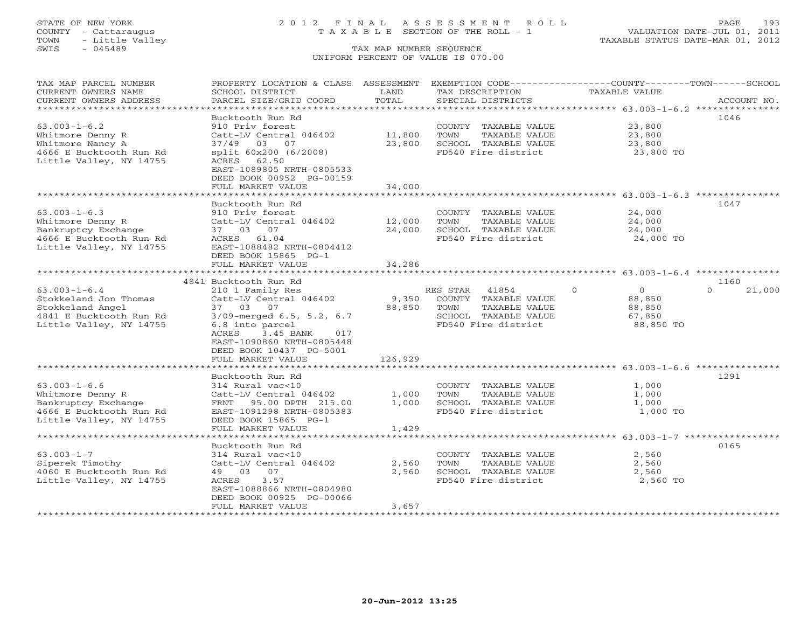## STATE OF NEW YORK 2 0 1 2 F I N A L A S S E S S M E N T R O L L PAGE 193 COUNTY - Cattaraugus T A X A B L E SECTION OF THE ROLL - 1 VALUATION DATE-JUL 01, 2011

| TAX MAP PARCEL NUMBER<br>CURRENT OWNERS NAME      | PROPERTY LOCATION & CLASS ASSESSMENT<br>SCHOOL DISTRICT | LAND      | TAX DESCRIPTION       | EXEMPTION CODE-----------------COUNTY-------TOWN------SCHOOL<br><b>TAXABLE VALUE</b> |                    |
|---------------------------------------------------|---------------------------------------------------------|-----------|-----------------------|--------------------------------------------------------------------------------------|--------------------|
| CURRENT OWNERS ADDRESS<br>*********************** | PARCEL SIZE/GRID COORD                                  | TOTAL     | SPECIAL DISTRICTS     |                                                                                      | ACCOUNT NO.        |
|                                                   |                                                         |           |                       |                                                                                      |                    |
|                                                   | Bucktooth Run Rd                                        |           |                       |                                                                                      | 1046               |
| $63.003 - 1 - 6.2$                                | 910 Priv forest                                         |           | COUNTY TAXABLE VALUE  | 23,800                                                                               |                    |
| Whitmore Denny R                                  | Catt-LV Central 046402                                  | 11,800    | TAXABLE VALUE<br>TOWN | 23,800                                                                               |                    |
| Whitmore Nancy A                                  | 37/49<br>03<br>07                                       | 23,800    | SCHOOL TAXABLE VALUE  | 23,800                                                                               |                    |
| 4666 E Bucktooth Run Rd                           | split 60x200 (6/2008)                                   |           | FD540 Fire district   | 23,800 TO                                                                            |                    |
| Little Valley, NY 14755                           | ACRES 62.50                                             |           |                       |                                                                                      |                    |
|                                                   | EAST-1089805 NRTH-0805533                               |           |                       |                                                                                      |                    |
|                                                   | DEED BOOK 00952 PG-00159                                |           |                       |                                                                                      |                    |
|                                                   | FULL MARKET VALUE                                       | 34,000    |                       |                                                                                      |                    |
|                                                   | ***********************                                 |           |                       | ******************************** 63.003-1-6.3 ***************                        |                    |
|                                                   | Bucktooth Run Rd                                        |           |                       |                                                                                      | 1047               |
| $63.003 - 1 - 6.3$                                | 910 Priv forest                                         |           | COUNTY TAXABLE VALUE  | 24,000                                                                               |                    |
| Whitmore Denny R                                  | Catt-LV Central 046402                                  | 12,000    | TOWN<br>TAXABLE VALUE | 24,000                                                                               |                    |
| Bankruptcy Exchange                               | 37 03 07                                                | 24,000    | SCHOOL TAXABLE VALUE  | 24,000                                                                               |                    |
| 4666 E Bucktooth Run Rd                           | ACRES 61.04                                             |           | FD540 Fire district   | 24,000 TO                                                                            |                    |
| Little Valley, NY 14755                           | EAST-1088482 NRTH-0804412                               |           |                       |                                                                                      |                    |
|                                                   | DEED BOOK 15865 PG-1                                    |           |                       |                                                                                      |                    |
|                                                   | FULL MARKET VALUE                                       | 34,286    |                       |                                                                                      |                    |
|                                                   | ********************                                    | ********* |                       |                                                                                      |                    |
|                                                   | 4841 Bucktooth Run Rd                                   |           |                       |                                                                                      | 1160               |
| $63.003 - 1 - 6.4$                                | 210 1 Family Res                                        |           | RES STAR<br>41854     | $\circ$<br>$\circ$                                                                   | $\Omega$<br>21,000 |
| Stokkeland Jon Thomas                             | Catt-LV Central 046402                                  | 9,350     | COUNTY TAXABLE VALUE  | 88,850                                                                               |                    |
| Stokkeland Angel                                  | 37 03 07                                                | 88,850    | TAXABLE VALUE<br>TOWN | 88,850                                                                               |                    |
| 4841 E Bucktooth Run Rd                           | $3/09$ -merged $6.5, 5.2, 6.7$                          |           | SCHOOL TAXABLE VALUE  | 67,850                                                                               |                    |
| Little Valley, NY 14755                           | 6.8 into parcel                                         |           | FD540 Fire district   | 88,850 TO                                                                            |                    |
|                                                   | 3.45 BANK<br>ACRES<br>017                               |           |                       |                                                                                      |                    |
|                                                   | EAST-1090860 NRTH-0805448                               |           |                       |                                                                                      |                    |
|                                                   | DEED BOOK 10437 PG-5001                                 |           |                       |                                                                                      |                    |
|                                                   | FULL MARKET VALUE                                       | 126,929   |                       |                                                                                      |                    |
|                                                   |                                                         |           |                       |                                                                                      |                    |
|                                                   | Bucktooth Run Rd                                        |           |                       |                                                                                      | 1291               |
| $63.003 - 1 - 6.6$                                | 314 Rural vac<10                                        |           | COUNTY TAXABLE VALUE  | 1,000                                                                                |                    |
| Whitmore Denny R                                  | Catt-LV Central 046402                                  | 1,000     | TOWN<br>TAXABLE VALUE | 1,000                                                                                |                    |
| Bankruptcy Exchange                               | FRNT<br>95.00 DPTH 215.00                               | 1,000     | SCHOOL TAXABLE VALUE  | 1,000                                                                                |                    |
| 4666 E Bucktooth Run Rd                           | EAST-1091298 NRTH-0805383                               |           | FD540 Fire district   | 1,000 TO                                                                             |                    |
| Little Valley, NY 14755                           | DEED BOOK 15865 PG-1                                    |           |                       |                                                                                      |                    |
|                                                   | FULL MARKET VALUE                                       | 1,429     |                       |                                                                                      |                    |
|                                                   |                                                         |           |                       |                                                                                      |                    |
|                                                   | Bucktooth Run Rd                                        |           |                       |                                                                                      | 0165               |
| $63.003 - 1 - 7$                                  | 314 Rural vac<10                                        |           | COUNTY TAXABLE VALUE  | 2,560                                                                                |                    |
| Siperek Timothy                                   | Catt-LV Central 046402                                  | 2,560     | TOWN<br>TAXABLE VALUE | 2,560                                                                                |                    |
| 4060 E Bucktooth Run Rd                           | 49 03<br>07                                             | 2,560     | SCHOOL TAXABLE VALUE  | 2,560                                                                                |                    |
| Little Valley, NY 14755                           | ACRES<br>3.57                                           |           | FD540 Fire district   | 2,560 TO                                                                             |                    |
|                                                   | EAST-1088866 NRTH-0804980                               |           |                       |                                                                                      |                    |
|                                                   | DEED BOOK 00925 PG-00066                                |           |                       |                                                                                      |                    |
|                                                   | FULL MARKET VALUE                                       | 3,657     |                       |                                                                                      |                    |
|                                                   |                                                         |           |                       |                                                                                      |                    |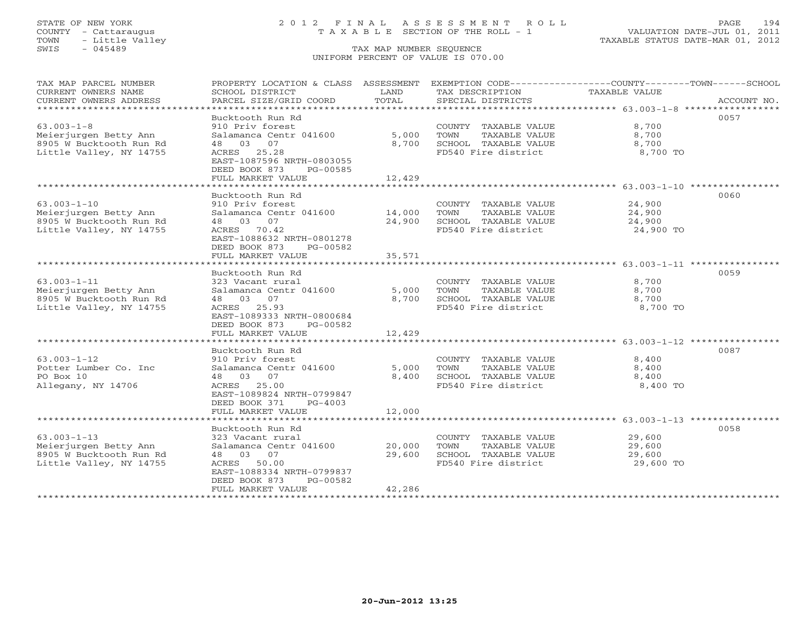# STATE OF NEW YORK 2 0 1 2 F I N A L A S S E S S M E N T R O L L PAGE 194 COUNTY - Cattaraugus T A X A B L E SECTION OF THE ROLL - 1 VALUATION DATE-JUL 01, 2011

| TAX MAP PARCEL NUMBER<br>CURRENT OWNERS NAME           | PROPERTY LOCATION & CLASS ASSESSMENT<br>SCHOOL DISTRICT    | LAND                 | EXEMPTION CODE-----------------COUNTY-------TOWN-----SCHOOL<br>TAX DESCRIPTION | <b>TAXABLE VALUE</b>                 |             |
|--------------------------------------------------------|------------------------------------------------------------|----------------------|--------------------------------------------------------------------------------|--------------------------------------|-------------|
| CURRENT OWNERS ADDRESS<br>**************************** | PARCEL SIZE/GRID COORD                                     | TOTAL                | SPECIAL DISTRICTS                                                              |                                      | ACCOUNT NO. |
|                                                        | Bucktooth Run Rd                                           |                      |                                                                                |                                      | 0057        |
| $63.003 - 1 - 8$                                       | 910 Priv forest                                            |                      | COUNTY TAXABLE VALUE                                                           | 8,700                                |             |
| Meierjurgen Betty Ann<br>8905 W Bucktooth Run Rd       | Salamanca Centr 041600<br>48 03<br>07                      | 5,000<br>8,700       | TOWN<br>TAXABLE VALUE<br>SCHOOL TAXABLE VALUE                                  | 8,700<br>8,700                       |             |
| Little Valley, NY 14755                                | ACRES<br>25.28                                             |                      | FD540 Fire district                                                            | 8,700 TO                             |             |
|                                                        | EAST-1087596 NRTH-0803055<br>DEED BOOK 873<br>PG-00585     |                      |                                                                                |                                      |             |
|                                                        | FULL MARKET VALUE                                          | 12,429               |                                                                                |                                      |             |
|                                                        |                                                            |                      |                                                                                |                                      |             |
|                                                        | Bucktooth Run Rd                                           |                      |                                                                                |                                      | 0060        |
| $63.003 - 1 - 10$                                      | 910 Priv forest                                            |                      | COUNTY TAXABLE VALUE                                                           | 24,900                               |             |
| Meierjurgen Betty Ann                                  | Salamanca Centr 041600                                     | 14,000               | TAXABLE VALUE<br>TOWN                                                          | 24,900                               |             |
| 8905 W Bucktooth Run Rd                                | 03<br>07<br>48                                             | 24,900               | SCHOOL TAXABLE VALUE                                                           | 24,900                               |             |
| Little Valley, NY 14755                                | ACRES 70.42                                                |                      | FD540 Fire district                                                            | 24,900 TO                            |             |
|                                                        | EAST-1088632 NRTH-0801278                                  |                      |                                                                                |                                      |             |
|                                                        | DEED BOOK 873<br>PG-00582                                  |                      |                                                                                |                                      |             |
|                                                        | FULL MARKET VALUE<br>* * * * * * * * * * * * * * * * * * * | 35,571<br>********** |                                                                                | ************* 63.003-1-11 ********** |             |
|                                                        | Bucktooth Run Rd                                           |                      |                                                                                |                                      | 0059        |
| $63.003 - 1 - 11$                                      | 323 Vacant rural                                           |                      | COUNTY<br>TAXABLE VALUE                                                        | 8,700                                |             |
| Meierjurgen Betty Ann                                  | Salamanca Centr 041600                                     | 5,000                | TOWN<br>TAXABLE VALUE                                                          | 8,700                                |             |
| 8905 W Bucktooth Run Rd                                | 03 07<br>48                                                | 8,700                | SCHOOL TAXABLE VALUE                                                           | 8,700                                |             |
| Little Valley, NY 14755                                | ACRES 25.93                                                |                      | FD540 Fire district                                                            | 8,700 TO                             |             |
|                                                        | EAST-1089333 NRTH-0800684                                  |                      |                                                                                |                                      |             |
|                                                        | DEED BOOK 873<br>PG-00582                                  |                      |                                                                                |                                      |             |
|                                                        | FULL MARKET VALUE                                          | 12,429               |                                                                                |                                      |             |
|                                                        |                                                            |                      |                                                                                |                                      |             |
|                                                        | Bucktooth Run Rd                                           |                      |                                                                                |                                      | 0087        |
| $63.003 - 1 - 12$                                      | 910 Priv forest                                            |                      | COUNTY TAXABLE VALUE                                                           | 8,400                                |             |
| Potter Lumber Co. Inc                                  | Salamanca Centr 041600                                     | 5,000                | TAXABLE VALUE<br>TOWN                                                          | 8,400                                |             |
| PO Box 10                                              | 03<br>48<br>07                                             | 8,400                | SCHOOL TAXABLE VALUE                                                           | 8,400                                |             |
| Allegany, NY 14706                                     | ACRES 25.00                                                |                      | FD540 Fire district                                                            | 8,400 TO                             |             |
|                                                        | EAST-1089824 NRTH-0799847                                  |                      |                                                                                |                                      |             |
|                                                        | DEED BOOK 371<br>$PG-4003$                                 |                      |                                                                                |                                      |             |
|                                                        | FULL MARKET VALUE                                          | 12,000               |                                                                                |                                      |             |
|                                                        |                                                            |                      |                                                                                |                                      | 0058        |
| $63.003 - 1 - 13$                                      | Bucktooth Run Rd<br>323 Vacant rural                       |                      | COUNTY TAXABLE VALUE                                                           | 29,600                               |             |
| Meierjurgen Betty Ann                                  | Salamanca Centr 041600                                     | 20,000               | TOWN<br>TAXABLE VALUE                                                          | 29,600                               |             |
| 8905 W Bucktooth Run Rd                                | 07<br>03<br>48                                             | 29,600               | SCHOOL TAXABLE VALUE                                                           | 29,600                               |             |
| Little Valley, NY 14755                                | 50.00<br>ACRES                                             |                      | FD540 Fire district                                                            | 29,600 TO                            |             |
|                                                        | EAST-1088334 NRTH-0799837                                  |                      |                                                                                |                                      |             |
|                                                        | DEED BOOK 873<br>PG-00582                                  |                      |                                                                                |                                      |             |
|                                                        | FULL MARKET VALUE                                          | 42,286               |                                                                                |                                      |             |
|                                                        |                                                            |                      |                                                                                |                                      |             |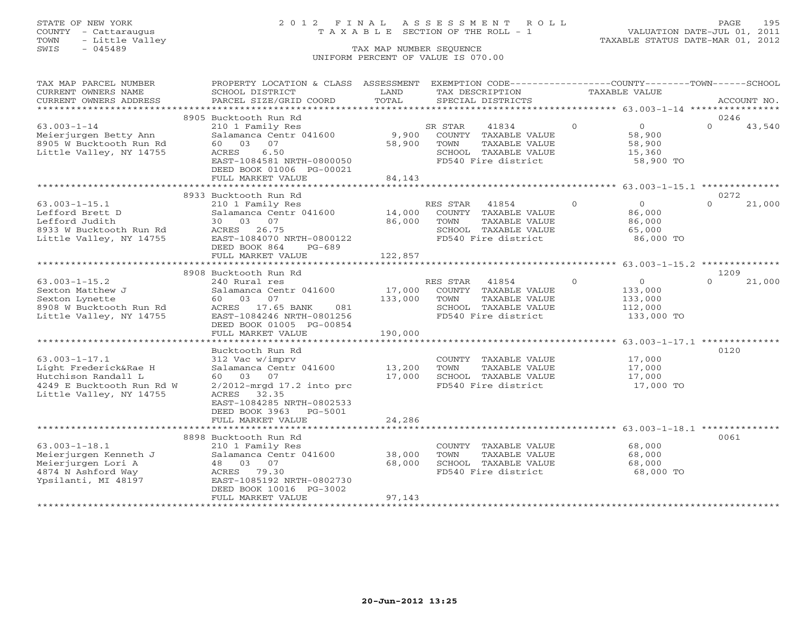# STATE OF NEW YORK 2 0 1 2 F I N A L A S S E S S M E N T R O L L PAGE 195 COUNTY - Cattaraugus T A X A B L E SECTION OF THE ROLL - 1 VALUATION DATE-JUL 01, 2011

| TAX MAP PARCEL NUMBER<br>CURRENT OWNERS NAME     | PROPERTY LOCATION & CLASS ASSESSMENT<br>SCHOOL DISTRICT | LAND             | EXEMPTION CODE-----------------COUNTY-------TOWN------SCHOOL<br>TAX DESCRIPTION |          | <b>TAXABLE VALUE</b> |          |             |
|--------------------------------------------------|---------------------------------------------------------|------------------|---------------------------------------------------------------------------------|----------|----------------------|----------|-------------|
| CURRENT OWNERS ADDRESS                           | PARCEL SIZE/GRID COORD                                  | TOTAL            | SPECIAL DISTRICTS                                                               |          |                      |          | ACCOUNT NO. |
| *********************                            |                                                         |                  |                                                                                 |          |                      |          |             |
|                                                  | 8905 Bucktooth Run Rd                                   |                  |                                                                                 |          |                      | 0246     |             |
| $63.003 - 1 - 14$                                | 210 1 Family Res                                        |                  | 41834<br>SR STAR                                                                | $\Omega$ | $\overline{0}$       | $\Omega$ | 43,540      |
| Meierjurgen Betty Ann<br>8905 W Bucktooth Run Rd | Salamanca Centr 041600<br>60 03<br>07                   | 9,900<br>58,900  | COUNTY TAXABLE VALUE<br>TAXABLE VALUE<br>TOWN                                   |          | 58,900<br>58,900     |          |             |
| Little Valley, NY 14755                          | 6.50<br>ACRES                                           |                  | SCHOOL TAXABLE VALUE                                                            |          | 15,360               |          |             |
|                                                  | EAST-1084581 NRTH-0800050                               |                  | FD540 Fire district                                                             |          | 58,900 TO            |          |             |
|                                                  | DEED BOOK 01006 PG-00021                                |                  |                                                                                 |          |                      |          |             |
|                                                  | FULL MARKET VALUE                                       | 84,143           |                                                                                 |          |                      |          |             |
|                                                  | *************************                               |                  |                                                                                 |          |                      |          |             |
|                                                  | 8933 Bucktooth Run Rd                                   |                  |                                                                                 |          |                      | 0272     |             |
| $63.003 - 1 - 15.1$                              | 210 1 Family Res                                        |                  | RES STAR<br>41854                                                               | $\circ$  | $\circ$              | $\Omega$ | 21,000      |
| Lefford Brett D                                  | Salamanca Centr 041600                                  | 14,000           | COUNTY TAXABLE VALUE                                                            |          | 86,000               |          |             |
| Lefford Judith                                   | 03 07<br>30                                             | 86,000           | TOWN<br>TAXABLE VALUE                                                           |          | 86,000               |          |             |
| 8933 W Bucktooth Run Rd                          | 26.75<br>ACRES                                          |                  | SCHOOL TAXABLE VALUE                                                            |          | 65,000               |          |             |
| Little Valley, NY 14755                          | EAST-1084070 NRTH-0800122<br>DEED BOOK 864<br>$PG-689$  |                  | FD540 Fire district                                                             |          | 86,000 TO            |          |             |
|                                                  | FULL MARKET VALUE                                       | 122,857          |                                                                                 |          |                      |          |             |
|                                                  |                                                         |                  |                                                                                 |          |                      |          |             |
|                                                  | 8908 Bucktooth Run Rd                                   |                  |                                                                                 |          |                      | 1209     |             |
| $63.003 - 1 - 15.2$                              | 240 Rural res                                           |                  | 41854<br>RES STAR                                                               | $\Omega$ | $\circ$              | $\Omega$ | 21,000      |
| Sexton Matthew J                                 | Salamanca Centr 041600                                  | 17,000           | COUNTY TAXABLE VALUE                                                            |          | 133,000              |          |             |
| Sexton Lynette                                   | 60 03<br>07                                             | 133,000          | TOWN<br>TAXABLE VALUE                                                           |          | 133,000              |          |             |
| 8908 W Bucktooth Run Rd                          | ACRES 17.65 BANK<br>081                                 |                  | SCHOOL TAXABLE VALUE                                                            |          | 112,000              |          |             |
| Little Valley, NY 14755                          | EAST-1084246 NRTH-0801256                               |                  | FD540 Fire district                                                             |          | 133,000 TO           |          |             |
|                                                  | DEED BOOK 01005 PG-00854                                |                  |                                                                                 |          |                      |          |             |
|                                                  | FULL MARKET VALUE                                       | 190,000          |                                                                                 |          |                      |          |             |
|                                                  |                                                         |                  |                                                                                 |          |                      |          |             |
| $63.003 - 1 - 17.1$                              | Bucktooth Run Rd<br>312 Vac w/imprv                     |                  | COUNTY TAXABLE VALUE                                                            |          | 17,000               | 0120     |             |
| Light Frederick&Rae H                            | Salamanca Centr 041600                                  | 13,200           | TOWN<br>TAXABLE VALUE                                                           |          | 17,000               |          |             |
| Hutchison Randall L                              | 60 03 07                                                | 17,000           | SCHOOL TAXABLE VALUE                                                            |          | 17,000               |          |             |
| 4249 E Bucktooth Run Rd W                        | $2/2012$ -mrgd 17.2 into prc                            |                  | FD540 Fire district                                                             |          | 17,000 TO            |          |             |
| Little Valley, NY 14755                          | ACRES 32.35                                             |                  |                                                                                 |          |                      |          |             |
|                                                  | EAST-1084285 NRTH-0802533                               |                  |                                                                                 |          |                      |          |             |
|                                                  | DEED BOOK 3963<br>PG-5001                               |                  |                                                                                 |          |                      |          |             |
|                                                  | FULL MARKET VALUE                                       | 24,286           |                                                                                 |          |                      |          |             |
|                                                  |                                                         |                  |                                                                                 |          |                      |          |             |
|                                                  | 8898 Bucktooth Run Rd                                   |                  |                                                                                 |          |                      | 0061     |             |
| $63.003 - 1 - 18.1$                              | 210 1 Family Res                                        |                  | COUNTY TAXABLE VALUE                                                            |          | 68,000               |          |             |
| Meierjurgen Kenneth J<br>Meierjurgen Lori A      | Salamanca Centr 041600<br>48 03 07                      | 38,000<br>68,000 | TOWN<br>TAXABLE VALUE<br>SCHOOL TAXABLE VALUE                                   |          | 68,000<br>68,000     |          |             |
| 4874 N Ashford Way                               | ACRES<br>79.30                                          |                  | FD540 Fire district                                                             |          | 68,000 TO            |          |             |
| Ypsilanti, MI 48197                              | EAST-1085192 NRTH-0802730                               |                  |                                                                                 |          |                      |          |             |
|                                                  | DEED BOOK 10016 PG-3002                                 |                  |                                                                                 |          |                      |          |             |
|                                                  | FULL MARKET VALUE                                       | 97,143           |                                                                                 |          |                      |          |             |
|                                                  |                                                         |                  |                                                                                 |          |                      |          |             |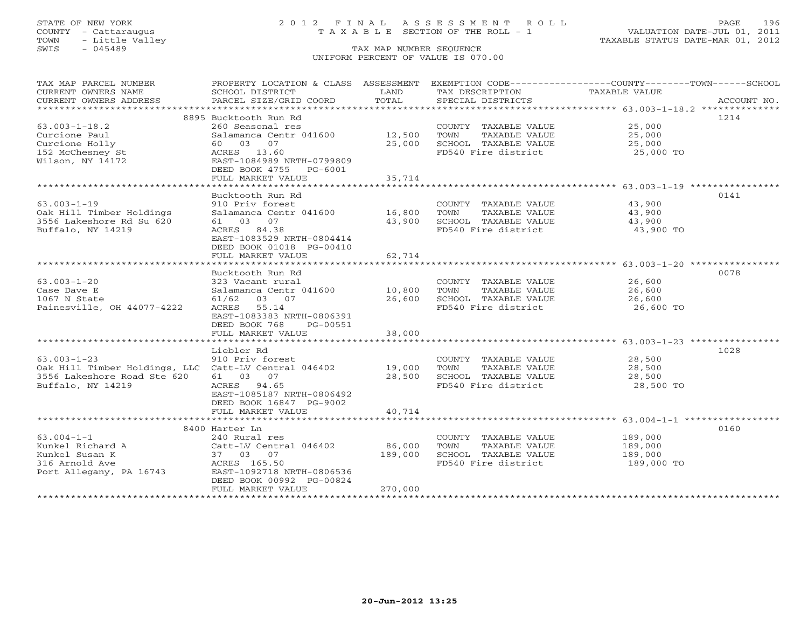## STATE OF NEW YORK 2 0 1 2 F I N A L A S S E S S M E N T R O L L PAGE 196 COUNTY - Cattaraugus T A X A B L E SECTION OF THE ROLL - 1 VALUATION DATE-JUL 01, 2011

| TAX MAP PARCEL NUMBER<br>CURRENT OWNERS NAME         | PROPERTY LOCATION & CLASS ASSESSMENT EXEMPTION CODE---------------COUNTY-------TOWN------SCHOOL<br>SCHOOL DISTRICT | LAND         | TAX DESCRIPTION       | TAXABLE VALUE |             |
|------------------------------------------------------|--------------------------------------------------------------------------------------------------------------------|--------------|-----------------------|---------------|-------------|
| CURRENT OWNERS ADDRESS                               | PARCEL SIZE/GRID COORD                                                                                             | TOTAL        | SPECIAL DISTRICTS     |               | ACCOUNT NO. |
|                                                      |                                                                                                                    |              |                       |               |             |
|                                                      | 8895 Bucktooth Run Rd                                                                                              |              |                       |               | 1214        |
| $63.003 - 1 - 18.2$                                  | 260 Seasonal res                                                                                                   |              | COUNTY TAXABLE VALUE  | 25,000        |             |
| Curcione Paul                                        | Salamanca Centr 041600                                                                                             | 12,500       | TOWN<br>TAXABLE VALUE | 25,000        |             |
| Curcione Holly                                       | 60 03 07                                                                                                           | 25,000       | SCHOOL TAXABLE VALUE  | 25,000        |             |
| 152 McChesney St                                     | ACRES 13.60                                                                                                        |              | FD540 Fire district   | 25,000 TO     |             |
| Wilson, NY 14172                                     | EAST-1084989 NRTH-0799809<br>DEED BOOK 4755<br>PG-6001                                                             |              |                       |               |             |
|                                                      | FULL MARKET VALUE                                                                                                  | 35,714       |                       |               |             |
|                                                      |                                                                                                                    |              |                       |               |             |
|                                                      | Bucktooth Run Rd                                                                                                   |              |                       |               | 0141        |
| $63.003 - 1 - 19$                                    | 910 Priv forest                                                                                                    |              | COUNTY TAXABLE VALUE  | 43,900        |             |
| Oak Hill Timber Holdings                             | Salamanca Centr 041600                                                                                             | 16,800       | TOWN<br>TAXABLE VALUE | 43,900        |             |
| 3556 Lakeshore Rd Su 620                             | 61 03 07                                                                                                           | 43,900       | SCHOOL TAXABLE VALUE  | 43,900        |             |
| Buffalo, NY 14219                                    | ACRES 84.38                                                                                                        |              | FD540 Fire district   | 43,900 TO     |             |
|                                                      | EAST-1083529 NRTH-0804414                                                                                          |              |                       |               |             |
|                                                      | DEED BOOK 01018 PG-00410                                                                                           |              |                       |               |             |
|                                                      | FULL MARKET VALUE                                                                                                  | 62,714       |                       |               |             |
|                                                      | **************************                                                                                         | ************ |                       |               |             |
|                                                      | Bucktooth Run Rd                                                                                                   |              |                       |               | 0078        |
| $63.003 - 1 - 20$                                    | 323 Vacant rural                                                                                                   |              | COUNTY TAXABLE VALUE  | 26,600        |             |
| Case Dave E                                          | Salamanca Centr 041600                                                                                             | 10,800       | TOWN<br>TAXABLE VALUE | 26,600        |             |
| 1067 N State                                         | 61/62 03 07                                                                                                        | 26,600       | SCHOOL TAXABLE VALUE  | 26,600        |             |
| Painesville, OH 44077-4222                           | ACRES 55.14                                                                                                        |              | FD540 Fire district   | 26,600 TO     |             |
|                                                      | EAST-1083383 NRTH-0806391<br>DEED BOOK 768                                                                         |              |                       |               |             |
|                                                      | PG-00551<br>FULL MARKET VALUE                                                                                      | 38,000       |                       |               |             |
|                                                      |                                                                                                                    |              |                       |               |             |
|                                                      | Liebler Rd                                                                                                         |              |                       |               | 1028        |
| $63.003 - 1 - 23$                                    | 910 Priv forest                                                                                                    |              | COUNTY TAXABLE VALUE  | 28,500        |             |
| Oak Hill Timber Holdings, LLC Catt-LV Central 046402 |                                                                                                                    | 19,000       | TOWN<br>TAXABLE VALUE | 28,500        |             |
| 3556 Lakeshore Road Ste 620                          | 61 03 07                                                                                                           | 28,500       | SCHOOL TAXABLE VALUE  | 28,500        |             |
| Buffalo, NY 14219                                    | ACRES 94.65                                                                                                        |              | FD540 Fire district   | 28,500 TO     |             |
|                                                      | EAST-1085187 NRTH-0806492                                                                                          |              |                       |               |             |
|                                                      | DEED BOOK 16847 PG-9002                                                                                            |              |                       |               |             |
|                                                      | FULL MARKET VALUE                                                                                                  | 40,714       |                       |               |             |
|                                                      |                                                                                                                    |              |                       |               |             |
|                                                      | 8400 Harter Ln                                                                                                     |              |                       |               | 0160        |
| $63.004 - 1 - 1$                                     | 240 Rural res                                                                                                      |              | COUNTY TAXABLE VALUE  | 189,000       |             |
| Kunkel Richard A                                     | Catt-LV Central 046402                                                                                             | 86,000       | TOWN<br>TAXABLE VALUE | 189,000       |             |
| Kunkel Susan K                                       | 37 03 07                                                                                                           | 189,000      | SCHOOL TAXABLE VALUE  | 189,000       |             |
| 316 Arnold Ave<br>Port Allegany, PA 16743            | ACRES 165.50<br>EAST-1092718 NRTH-0806536                                                                          |              | FD540 Fire district   | 189,000 TO    |             |
|                                                      | DEED BOOK 00992 PG-00824                                                                                           |              |                       |               |             |
|                                                      | FULL MARKET VALUE                                                                                                  | 270,000      |                       |               |             |
|                                                      |                                                                                                                    |              |                       |               |             |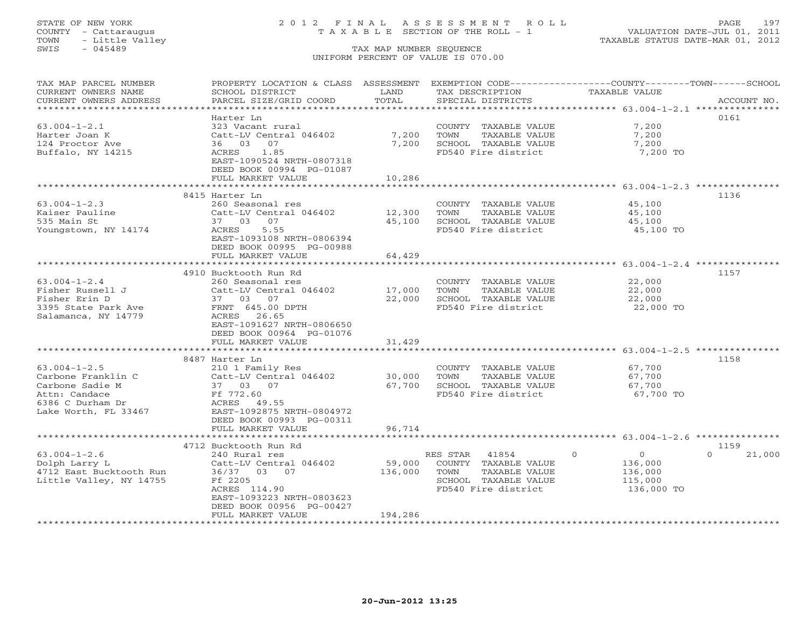# STATE OF NEW YORK 2 0 1 2 F I N A L A S S E S S M E N T R O L L PAGE 197 COUNTY - Cattaraugus T A X A B L E SECTION OF THE ROLL - 1 VALUATION DATE-JUL 01, 2011

| TAX MAP PARCEL NUMBER<br>CURRENT OWNERS NAME | PROPERTY LOCATION & CLASS ASSESSMENT<br>SCHOOL DISTRICT | LAND                    | TAX DESCRIPTION                               | EXEMPTION CODE-----------------COUNTY-------TOWN------SCHOOL<br><b>TAXABLE VALUE</b> |                  |
|----------------------------------------------|---------------------------------------------------------|-------------------------|-----------------------------------------------|--------------------------------------------------------------------------------------|------------------|
| CURRENT OWNERS ADDRESS                       | PARCEL SIZE/GRID COORD                                  | TOTAL                   | SPECIAL DISTRICTS                             |                                                                                      | ACCOUNT NO.      |
| ********************                         |                                                         |                         |                                               |                                                                                      |                  |
|                                              | Harter Ln                                               |                         |                                               |                                                                                      | 0161             |
| $63.004 - 1 - 2.1$                           | 323 Vacant rural                                        |                         | COUNTY TAXABLE VALUE                          | 7,200                                                                                |                  |
| Harter Joan K                                | Catt-LV Central 046402                                  | 7,200                   | TOWN<br>TAXABLE VALUE                         | 7,200                                                                                |                  |
| 124 Proctor Ave                              | 36 03 07                                                | 7,200                   | SCHOOL TAXABLE VALUE                          | 7,200                                                                                |                  |
| Buffalo, NY 14215                            | 1.85<br>ACRES                                           |                         | FD540 Fire district                           | 7,200 TO                                                                             |                  |
|                                              | EAST-1090524 NRTH-0807318                               |                         |                                               |                                                                                      |                  |
|                                              | DEED BOOK 00994 PG-01087                                |                         |                                               |                                                                                      |                  |
|                                              | FULL MARKET VALUE                                       | 10,286                  |                                               |                                                                                      |                  |
|                                              | ***********************                                 | * * * * * * * * * * * * |                                               |                                                                                      |                  |
|                                              | 8415 Harter Ln                                          |                         |                                               |                                                                                      | 1136             |
| $63.004 - 1 - 2.3$                           | 260 Seasonal res                                        |                         | COUNTY TAXABLE VALUE                          | 45,100                                                                               |                  |
| Kaiser Pauline                               | Catt-LV Central 046402                                  | 12,300                  | TOWN<br>TAXABLE VALUE                         | 45,100                                                                               |                  |
| 535 Main St                                  | 37 03 07                                                | 45,100                  | SCHOOL TAXABLE VALUE                          | 45,100                                                                               |                  |
| Youngstown, NY 14174                         | ACRES<br>5.55                                           |                         | FD540 Fire district                           | 45,100 TO                                                                            |                  |
|                                              | EAST-1093108 NRTH-0806394                               |                         |                                               |                                                                                      |                  |
|                                              | DEED BOOK 00995 PG-00988                                |                         |                                               |                                                                                      |                  |
|                                              | FULL MARKET VALUE                                       | 64,429                  |                                               |                                                                                      |                  |
|                                              | *****************************                           |                         |                                               |                                                                                      |                  |
|                                              | 4910 Bucktooth Run Rd                                   |                         |                                               |                                                                                      | 1157             |
| $63.004 - 1 - 2.4$                           | 260 Seasonal res                                        |                         | COUNTY TAXABLE VALUE                          | 22,000                                                                               |                  |
| Fisher Russell J                             | Catt-LV Central 046402                                  | 17,000                  | TOWN<br>TAXABLE VALUE                         | 22,000                                                                               |                  |
| Fisher Erin D                                | 37 03 07                                                | 22,000                  | SCHOOL TAXABLE VALUE                          | 22,000                                                                               |                  |
| 3395 State Park Ave                          | FRNT 645.00 DPTH                                        |                         | FD540 Fire district                           | 22,000 TO                                                                            |                  |
| Salamanca, NY 14779                          | ACRES 26.65                                             |                         |                                               |                                                                                      |                  |
|                                              | EAST-1091627 NRTH-0806650                               |                         |                                               |                                                                                      |                  |
|                                              | DEED BOOK 00964 PG-01076                                |                         |                                               |                                                                                      |                  |
|                                              | FULL MARKET VALUE                                       | 31,429                  |                                               |                                                                                      |                  |
|                                              |                                                         |                         |                                               |                                                                                      |                  |
|                                              | 8487 Harter Ln                                          |                         |                                               |                                                                                      | 1158             |
| $63.004 - 1 - 2.5$                           | 210 1 Family Res                                        |                         | COUNTY TAXABLE VALUE                          | 67,700                                                                               |                  |
| Carbone Franklin C                           | Catt-LV Central 046402                                  | 30,000                  | TOWN<br>TAXABLE VALUE                         | 67,700                                                                               |                  |
| Carbone Sadie M                              | 37 03 07                                                | 67,700                  | SCHOOL TAXABLE VALUE                          | 67,700                                                                               |                  |
| Attn: Candace                                | Ff 772.60                                               |                         | FD540 Fire district                           | 67,700 TO                                                                            |                  |
| 6386 C Durham Dr                             | ACRES 49.55                                             |                         |                                               |                                                                                      |                  |
| Lake Worth, FL 33467                         | EAST-1092875 NRTH-0804972                               |                         |                                               |                                                                                      |                  |
|                                              | DEED BOOK 00993 PG-00311                                |                         |                                               |                                                                                      |                  |
|                                              | FULL MARKET VALUE<br>*********************              | 96,714                  |                                               |                                                                                      |                  |
|                                              |                                                         |                         |                                               | ****************************** 63.004-1-2.6 **********                               |                  |
| $63.004 - 1 - 2.6$                           | 4712 Bucktooth Run Rd                                   |                         | RES STAR<br>41854                             | $\Omega$<br>$\Omega$                                                                 | 1159<br>$\Omega$ |
|                                              | 240 Rural res                                           |                         |                                               |                                                                                      | 21,000           |
| Dolph Larry L                                | Catt-LV Central 046402<br>36/37 03 07                   | 59,000<br>136,000       | COUNTY TAXABLE VALUE<br>TOWN<br>TAXABLE VALUE | 136,000                                                                              |                  |
| 4712 East Bucktooth Run                      | Ff 2205                                                 |                         | SCHOOL TAXABLE VALUE                          | 136,000<br>115,000                                                                   |                  |
| Little Valley, NY 14755                      | ACRES 114.90                                            |                         | FD540 Fire district                           | 136,000 TO                                                                           |                  |
|                                              | EAST-1093223 NRTH-0803623                               |                         |                                               |                                                                                      |                  |
|                                              | DEED BOOK 00956 PG-00427                                |                         |                                               |                                                                                      |                  |
|                                              | FULL MARKET VALUE                                       | 194,286                 |                                               |                                                                                      |                  |
|                                              |                                                         |                         |                                               |                                                                                      |                  |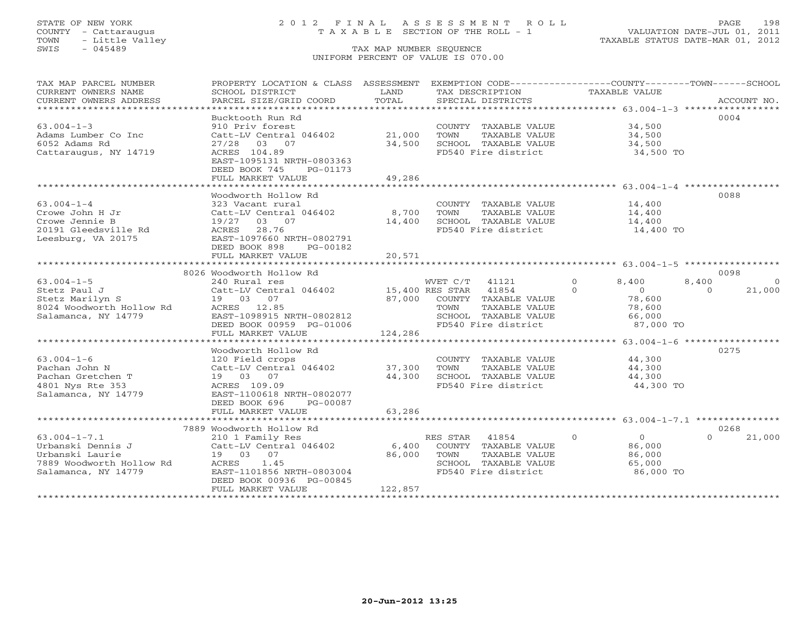## STATE OF NEW YORK 2 0 1 2 F I N A L A S S E S S M E N T R O L L PAGE 198 COUNTY - Cattaraugus T A X A B L E SECTION OF THE ROLL - 1 VALUATION DATE-JUL 01, 2011

| TAX MAP PARCEL NUMBER<br>CURRENT OWNERS NAME<br>CURRENT OWNERS ADDRESS | PROPERTY LOCATION & CLASS ASSESSMENT EXEMPTION CODE----------------COUNTY-------TOWN------SCHOOL<br>SCHOOL DISTRICT<br>PARCEL SIZE/GRID COORD | LAND<br>TOTAL   | TAX DESCRIPTION<br>SPECIAL DISTRICTS          | TAXABLE VALUE                | ACCOUNT NO.          |
|------------------------------------------------------------------------|-----------------------------------------------------------------------------------------------------------------------------------------------|-----------------|-----------------------------------------------|------------------------------|----------------------|
|                                                                        |                                                                                                                                               |                 |                                               |                              |                      |
| $63.004 - 1 - 3$                                                       | Bucktooth Run Rd<br>910 Priv forest                                                                                                           |                 | COUNTY TAXABLE VALUE                          | 34,500                       | 0004                 |
| Adams Lumber Co Inc                                                    | Catt-LV Central 046402                                                                                                                        | 21,000          | TOWN<br>TAXABLE VALUE                         | 34,500                       |                      |
| 6052 Adams Rd                                                          | 27/28 03 07                                                                                                                                   | 34,500          | SCHOOL TAXABLE VALUE                          | 34,500                       |                      |
| Cattaraugus, NY 14719                                                  | ACRES 104.89<br>EAST-1095131 NRTH-0803363<br>DEED BOOK 745<br>PG-01173                                                                        |                 | FD540 Fire district                           | 34,500 TO                    |                      |
|                                                                        | FULL MARKET VALUE                                                                                                                             | 49,286          |                                               |                              |                      |
|                                                                        |                                                                                                                                               |                 |                                               |                              |                      |
|                                                                        | Woodworth Hollow Rd                                                                                                                           |                 |                                               |                              | 0088                 |
| $63.004 - 1 - 4$                                                       | 323 Vacant rural                                                                                                                              |                 | COUNTY TAXABLE VALUE                          | 14,400                       |                      |
| Crowe John H Jr<br>Crowe Jennie B                                      | Catt-LV Central 046402<br>19/27<br>03 07                                                                                                      | 8,700<br>14,400 | TOWN<br>TAXABLE VALUE<br>SCHOOL TAXABLE VALUE | 14,400<br>14,400             |                      |
|                                                                        |                                                                                                                                               |                 |                                               |                              |                      |
| 20191 Gleedsville Rd<br>Leesburg, VA 20175                             | ACRES 28.76<br>EAST-1097660 NRTH-0802791<br>DEED BOOK 898<br>PG-00182                                                                         |                 | FD540 Fire district                           | 14,400 TO                    |                      |
|                                                                        | FULL MARKET VALUE                                                                                                                             | 20,571          |                                               |                              |                      |
|                                                                        |                                                                                                                                               |                 |                                               |                              |                      |
|                                                                        | 8026 Woodworth Hollow Rd                                                                                                                      |                 |                                               | $\Omega$                     | 0098<br>8,400        |
| $63.004 - 1 - 5$                                                       | 240 Rural res<br>Catt-LV Central 046402 15,400 RES STAR                                                                                       |                 | WVET C/T<br>41121<br>41854                    | 8,400<br>$\Omega$<br>$\circ$ | $\Omega$<br>$\Omega$ |
| Stetz Paul J<br>Stetz Marilyn S                                        | 19 03 07                                                                                                                                      | 87,000          | COUNTY TAXABLE VALUE                          | 78,600                       | 21,000               |
| Stetz marriyin<br>8024 Woodworth Hollow Rd                             | ACRES 12.85                                                                                                                                   |                 | TAXABLE VALUE<br>TOWN                         | 78,600                       |                      |
| Salamanca, NY 14779                                                    | EAST-1098915 NRTH-0802812                                                                                                                     |                 | SCHOOL TAXABLE VALUE                          | 66,000                       |                      |
|                                                                        | DEED BOOK 00959 PG-01006                                                                                                                      |                 | FD540 Fire district                           | 87,000 TO                    |                      |
|                                                                        | FULL MARKET VALUE                                                                                                                             | 124,286         |                                               |                              |                      |
|                                                                        |                                                                                                                                               |                 |                                               |                              |                      |
|                                                                        | Woodworth Hollow Rd                                                                                                                           |                 |                                               |                              | 0275                 |
| $63.004 - 1 - 6$                                                       | 120 Field crops                                                                                                                               |                 | COUNTY TAXABLE VALUE                          | 44,300                       |                      |
| Pachan John N                                                          | Catt-LV Central 046402                                                                                                                        | 37,300          | TOWN<br>TAXABLE VALUE                         | 44,300                       |                      |
| Pachan Gretchen T                                                      | 19 03 07                                                                                                                                      | 44,300          | SCHOOL TAXABLE VALUE                          | 44,300                       |                      |
| 4801 Nys Rte 353                                                       | ACRES 109.09                                                                                                                                  |                 | FD540 Fire district                           | 44,300 TO                    |                      |
| Salamanca, NY 14779                                                    | EAST-1100618 NRTH-0802077                                                                                                                     |                 |                                               |                              |                      |
|                                                                        | DEED BOOK 696<br>PG-00087                                                                                                                     |                 |                                               |                              |                      |
|                                                                        | FULL MARKET VALUE                                                                                                                             | 63,286          |                                               |                              |                      |
|                                                                        |                                                                                                                                               |                 |                                               |                              |                      |
|                                                                        | 7889 Woodworth Hollow Rd                                                                                                                      |                 |                                               |                              | 0268                 |
| $63.004 - 1 - 7.1$                                                     | 210 1 Family Res                                                                                                                              |                 | RES STAR<br>41854                             | $\Omega$<br>$\overline{0}$   | $\Omega$<br>21,000   |
| Urbanski Dennis J                                                      | Catt-LV Central 046402                                                                                                                        | 6,400           | COUNTY TAXABLE VALUE                          | 86,000                       |                      |
| Urbanski Laurie                                                        | 19 03 07                                                                                                                                      | 86,000          | TOWN<br>TAXABLE VALUE                         | 86,000                       |                      |
| 7889 Woodworth Hollow Rd                                               | ACRES 1.45                                                                                                                                    |                 | SCHOOL TAXABLE VALUE                          | 65,000                       |                      |
| Salamanca, NY 14779                                                    | EAST-1101856 NRTH-0803004                                                                                                                     |                 | FD540 Fire district                           | 86,000 TO                    |                      |
|                                                                        | DEED BOOK 00936 PG-00845                                                                                                                      |                 |                                               |                              |                      |
|                                                                        | FULL MARKET VALUE                                                                                                                             | 122,857         |                                               |                              |                      |
|                                                                        |                                                                                                                                               |                 |                                               |                              |                      |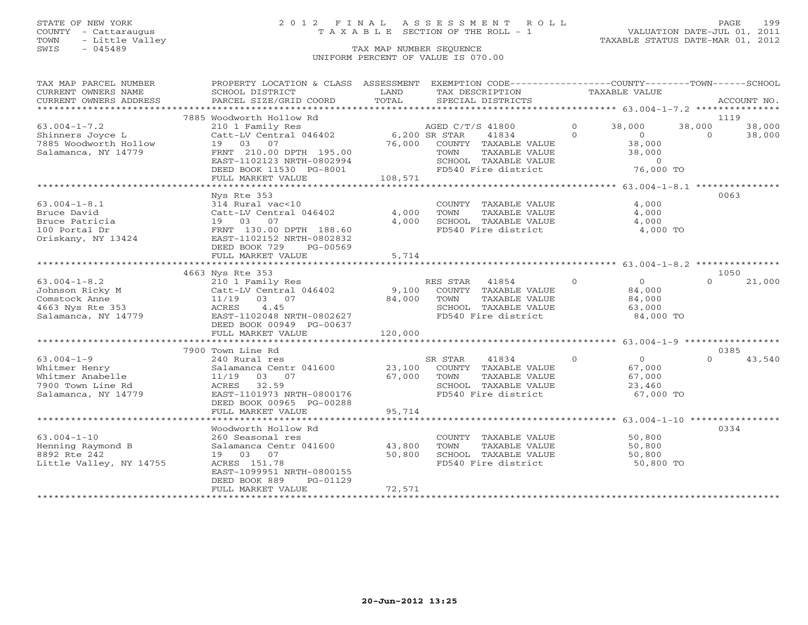# STATE OF NEW YORK 2 0 1 2 F I N A L A S S E S S M E N T R O L L PAGE 199 COUNTY - Cattaraugus T A X A B L E SECTION OF THE ROLL - 1 VALUATION DATE-JUL 01, 2011

| TAX MAP PARCEL NUMBER                   | PROPERTY LOCATION & CLASS ASSESSMENT         |                           | EXEMPTION CODE-----------------COUNTY-------TOWN-----SCHOOL |          |                     |          |             |
|-----------------------------------------|----------------------------------------------|---------------------------|-------------------------------------------------------------|----------|---------------------|----------|-------------|
| CURRENT OWNERS NAME                     | SCHOOL DISTRICT                              | LAND                      | TAX DESCRIPTION<br>TOTAL                                    |          | TAXABLE VALUE       |          |             |
| CURRENT OWNERS ADDRESS                  | PARCEL SIZE/GRID COORD                       |                           | SPECIAL DISTRICTS                                           |          |                     |          | ACCOUNT NO. |
|                                         | 7885 Woodworth Hollow Rd                     |                           |                                                             |          |                     |          | 1119        |
| $63.004 - 1 - 7.2$                      | 210 1 Family Res                             |                           | AGED C/T/S 41800                                            | $\circ$  | 38,000              | 38,000   | 38,000      |
| Shinners Joyce L                        | Catt-LV Central 046402                       | 6,200 SR STAR             | 41834                                                       | $\Omega$ | $\overline{0}$      | $\Omega$ | 38,000      |
| 7885 Woodworth Hollow                   | 19 03 07                                     |                           | 76,000 COUNTY TAXABLE VALUE                                 |          | 38,000              |          |             |
| Salamanca, NY 14779                     | FRNT 210.00 DPTH 195.00                      |                           | TOWN<br>TAXABLE VALUE                                       |          | 38,000              |          |             |
|                                         | EAST-1102123 NRTH-0802994                    |                           | SCHOOL TAXABLE VALUE                                        |          | $\overline{0}$      |          |             |
|                                         | DEED BOOK 11530 PG-8001                      |                           | FD540 Fire district                                         |          | 76,000 TO           |          |             |
|                                         | FULL MARKET VALUE                            | 108,571                   |                                                             |          |                     |          |             |
|                                         |                                              |                           |                                                             |          |                     |          |             |
|                                         | Nys Rte 353                                  |                           |                                                             |          |                     |          | 0063        |
| $63.004 - 1 - 8.1$                      | 314 Rural vac<10                             |                           | COUNTY TAXABLE VALUE                                        |          | 4,000               |          |             |
| Bruce David                             | Catt-LV Central 046402                       | 4,000                     | TOWN<br>TAXABLE VALUE                                       |          | 4,000               |          |             |
| Bruce Patricia                          | 19 03<br>07                                  | 4,000                     | SCHOOL TAXABLE VALUE                                        |          | 4,000               |          |             |
| 100 Portal Dr                           | FRNT 130.00 DPTH 188.60                      |                           | FD540 Fire district                                         |          | 4,000 TO            |          |             |
| Oriskany, NY 13424                      | EAST-1102152 NRTH-0802832                    |                           |                                                             |          |                     |          |             |
|                                         | DEED BOOK 729<br>PG-00569                    |                           |                                                             |          |                     |          |             |
|                                         | FULL MARKET VALUE                            | 5,714                     |                                                             |          |                     |          |             |
|                                         |                                              | * * * * * * * * * * * * * |                                                             |          |                     |          |             |
|                                         | 4663 Nys Rte 353                             |                           |                                                             |          |                     |          | 1050        |
| $63.004 - 1 - 8.2$                      | 210 1 Family Res                             |                           | RES STAR<br>41854                                           | $\Omega$ | $\overline{0}$      | $\Omega$ | 21,000      |
| Johnson Ricky M                         | Catt-LV Central 046402                       | 9,100                     | COUNTY TAXABLE VALUE                                        |          | 84,000              |          |             |
| Comstock Anne                           | 11/19<br>03 07                               | 84,000                    | TAXABLE VALUE<br>TOWN                                       |          | 84,000              |          |             |
| 4663 Nys Rte 353<br>Salamanca, NY 14779 | ACRES<br>4.45<br>EAST-1102048 NRTH-0802627   |                           | SCHOOL TAXABLE VALUE<br>FD540 Fire district                 |          | 63,000<br>84,000 TO |          |             |
|                                         | DEED BOOK 00949 PG-00637                     |                           |                                                             |          |                     |          |             |
|                                         | FULL MARKET VALUE                            | 120,000                   |                                                             |          |                     |          |             |
|                                         |                                              |                           |                                                             |          |                     |          |             |
|                                         | 7900 Town Line Rd                            |                           |                                                             |          |                     |          | 0385        |
| $63.004 - 1 - 9$                        | 240 Rural res                                |                           | 41834<br>SR STAR                                            | $\circ$  | $\overline{0}$      | $\Omega$ | 43,540      |
| Whitmer Henry                           | Salamanca Centr 041600                       | 23,100                    | COUNTY TAXABLE VALUE                                        |          | 67,000              |          |             |
| Whitmer Anabelle                        | 11/19<br>03 07                               | 67,000                    | TAXABLE VALUE<br>TOWN                                       |          | 67,000              |          |             |
| 7900 Town Line Rd                       | ACRES 32.59                                  |                           | SCHOOL TAXABLE VALUE                                        |          | 23,460              |          |             |
| Salamanca, NY 14779                     | EAST-1101973 NRTH-0800176                    |                           | FD540 Fire district                                         |          | 67,000 TO           |          |             |
|                                         | DEED BOOK 00965 PG-00288                     |                           |                                                             |          |                     |          |             |
|                                         | FULL MARKET VALUE                            | 95,714                    |                                                             |          |                     |          |             |
|                                         |                                              |                           |                                                             |          |                     |          |             |
|                                         | Woodworth Hollow Rd                          |                           |                                                             |          |                     |          | 0334        |
| $63.004 - 1 - 10$                       | 260 Seasonal res                             |                           | COUNTY TAXABLE VALUE                                        |          | 50,800              |          |             |
| Henning Raymond B                       | Salamanca Centr 041600                       | 43,800                    | TOWN<br>TAXABLE VALUE                                       |          | 50,800              |          |             |
| 8892 Rte 242                            | 19 03 07                                     | 50,800                    | SCHOOL TAXABLE VALUE                                        |          | 50,800              |          |             |
| Little Valley, NY 14755                 | ACRES 151.78                                 |                           | FD540 Fire district                                         |          | 50,800 TO           |          |             |
|                                         | EAST-1099951 NRTH-0800155                    |                           |                                                             |          |                     |          |             |
|                                         | DEED BOOK 889<br>PG-01129                    |                           |                                                             |          |                     |          |             |
|                                         | FULL MARKET VALUE<br>*********************** | 72,571                    |                                                             |          |                     |          |             |
|                                         |                                              |                           |                                                             |          |                     |          |             |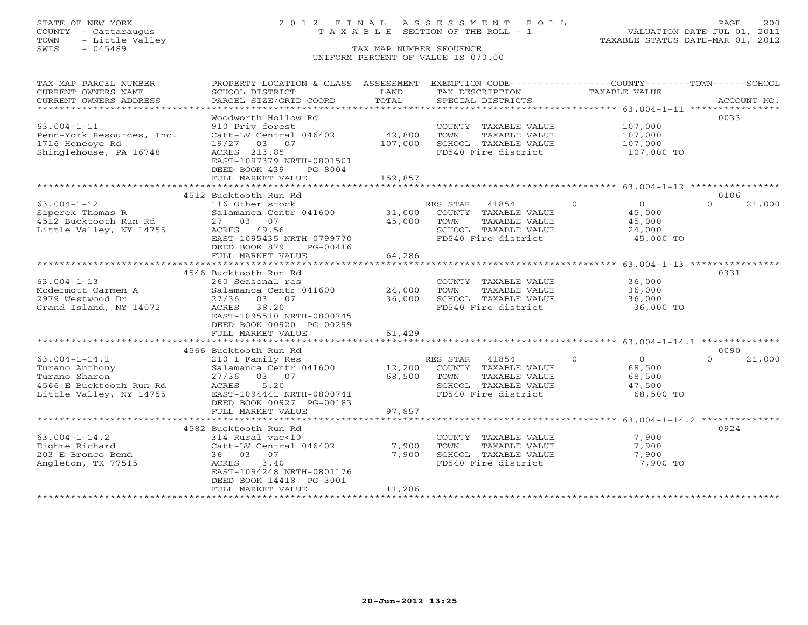# STATE OF NEW YORK 2 0 1 2 F I N A L A S S E S S M E N T R O L L PAGE 200 COUNTY - Cattaraugus T A X A B L E SECTION OF THE ROLL - 1 VALUATION DATE-JUL 01, 2011

| TAX MAP PARCEL NUMBER<br>CURRENT OWNERS NAME<br>CURRENT OWNERS ADDRESS<br>**************************** | PROPERTY LOCATION & CLASS ASSESSMENT<br>SCHOOL DISTRICT<br>PARCEL SIZE/GRID COORD                                                 | LAND<br>TOTAL     | EXEMPTION CODE-----------------COUNTY-------TOWN-----SCHOOL<br>TAX DESCRIPTION<br>SPECIAL DISTRICTS               | TAXABLE VALUE                                                         | ACCOUNT NO.                |
|--------------------------------------------------------------------------------------------------------|-----------------------------------------------------------------------------------------------------------------------------------|-------------------|-------------------------------------------------------------------------------------------------------------------|-----------------------------------------------------------------------|----------------------------|
| $63.004 - 1 - 11$                                                                                      | Woodworth Hollow Rd<br>910 Priv forest                                                                                            |                   | COUNTY TAXABLE VALUE                                                                                              | 107,000                                                               | 0033                       |
| Penn-York Resources, Inc.<br>1716 Honeoye Rd<br>Shinglehouse, PA 16748                                 | Catt-LV Central 046402<br>19/27 03 07<br>ACRES 213.85<br>EAST-1097379 NRTH-0801501<br>DEED BOOK 439<br>PG-8004                    | 42,800<br>107,000 | TOWN<br>TAXABLE VALUE<br>SCHOOL TAXABLE VALUE<br>FD540 Fire district                                              | 107,000<br>107,000<br>107,000 TO                                      |                            |
|                                                                                                        | FULL MARKET VALUE                                                                                                                 | 152,857           |                                                                                                                   |                                                                       |                            |
|                                                                                                        | 4512 Bucktooth Run Rd                                                                                                             |                   |                                                                                                                   |                                                                       | 0106                       |
| $63.004 - 1 - 12$<br>Siperek Thomas R<br>4512 Bucktooth Run Rd<br>Little Valley, NY 14755              | 116 Other stock<br>Salamanca Centr 041600<br>27 03<br>07<br>ACRES 49.56<br>EAST-1095435 NRTH-0799770<br>DEED BOOK 879<br>PG-00416 | 31,000<br>45,000  | RES STAR<br>41854<br>COUNTY TAXABLE VALUE<br>TAXABLE VALUE<br>TOWN<br>SCHOOL TAXABLE VALUE<br>FD540 Fire district | $\Omega$<br>$\overline{0}$<br>45,000<br>45,000<br>24,000<br>45,000 TO | 21,000<br>$\Omega$         |
|                                                                                                        | FULL MARKET VALUE                                                                                                                 | 64,286            |                                                                                                                   |                                                                       |                            |
|                                                                                                        |                                                                                                                                   | ************      |                                                                                                                   | ******************* 63.004-1-13 *****************                     |                            |
| $63.004 - 1 - 13$                                                                                      | 4546 Bucktooth Run Rd<br>260 Seasonal res                                                                                         |                   | COUNTY TAXABLE VALUE                                                                                              | 36,000                                                                | 0331                       |
| Mcdermott Carmen A                                                                                     | Salamanca Centr 041600                                                                                                            | 24,000            | TOWN<br>TAXABLE VALUE                                                                                             | 36,000                                                                |                            |
| 2979 Westwood Dr                                                                                       | 27/36 03 07                                                                                                                       | 36,000            | SCHOOL TAXABLE VALUE                                                                                              | 36,000                                                                |                            |
| Grand Island, NY 14072                                                                                 | ACRES 38.20<br>EAST-1095510 NRTH-0800745<br>DEED BOOK 00920 PG-00299                                                              |                   | FD540 Fire district                                                                                               | 36,000 TO                                                             |                            |
|                                                                                                        | FULL MARKET VALUE                                                                                                                 | 51,429            |                                                                                                                   |                                                                       |                            |
|                                                                                                        |                                                                                                                                   |                   |                                                                                                                   |                                                                       |                            |
| $63.004 - 1 - 14.1$                                                                                    | 4566 Bucktooth Run Rd<br>210 1 Family Res                                                                                         |                   | RES STAR<br>41854                                                                                                 | $\Omega$<br>$\overline{0}$                                            | 0090<br>21,000<br>$\Omega$ |
| Turano Anthony<br>Turano Sharon<br>4566 E Bucktooth Run Rd<br>Little Valley, NY 14755                  | Salamanca Centr 041600<br>27/36<br>03 07<br>5.20<br>ACRES<br>EAST-1094441 NRTH-0800741                                            | 12,200<br>68,500  | COUNTY TAXABLE VALUE<br>TOWN<br>TAXABLE VALUE<br>SCHOOL TAXABLE VALUE<br>FD540 Fire district                      | 68,500<br>68,500<br>47,500<br>68,500 TO                               |                            |
|                                                                                                        | DEED BOOK 00927 PG-00183                                                                                                          |                   |                                                                                                                   |                                                                       |                            |
|                                                                                                        | FULL MARKET VALUE                                                                                                                 | 97,857            |                                                                                                                   |                                                                       |                            |
|                                                                                                        | 4582 Bucktooth Run Rd                                                                                                             |                   |                                                                                                                   |                                                                       | 0924                       |
| $63.004 - 1 - 14.2$                                                                                    | 314 Rural vac<10                                                                                                                  |                   | COUNTY TAXABLE VALUE                                                                                              | 7,900                                                                 |                            |
| Eighme Richard                                                                                         | Catt-LV Central 046402                                                                                                            | 7,900             | TOWN<br>TAXABLE VALUE                                                                                             | 7,900                                                                 |                            |
| 203 E Bronco Bend                                                                                      | 36 03 07                                                                                                                          | 7,900             | SCHOOL TAXABLE VALUE                                                                                              | 7,900                                                                 |                            |
| Angleton, TX 77515                                                                                     | 3.40<br>ACRES<br>EAST-1094248 NRTH-0801176<br>DEED BOOK 14418 PG-3001<br>FULL MARKET VALUE                                        | 11,286            | FD540 Fire district                                                                                               | 7,900 TO                                                              |                            |
|                                                                                                        |                                                                                                                                   |                   |                                                                                                                   |                                                                       |                            |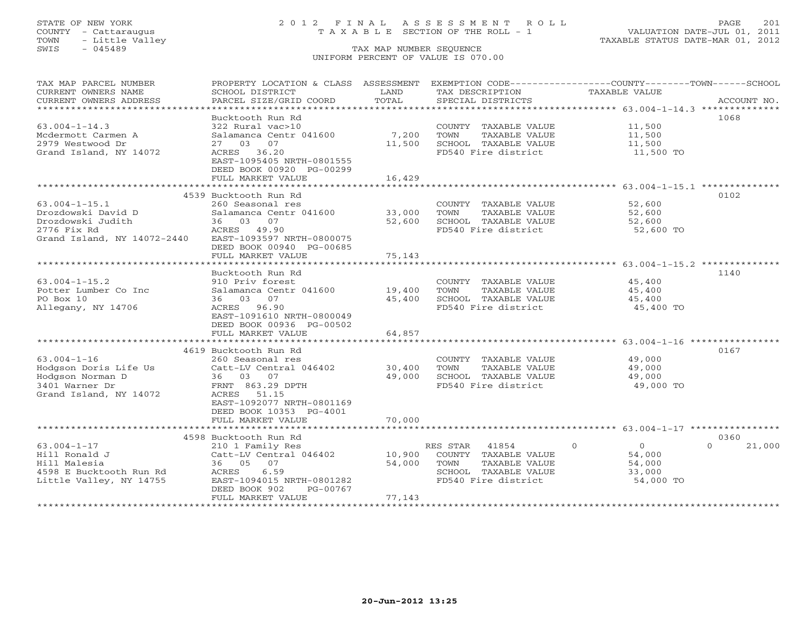## STATE OF NEW YORK 2 0 1 2 F I N A L A S S E S S M E N T R O L L PAGE 201 COUNTY - Cattaraugus T A X A B L E SECTION OF THE ROLL - 1 VALUATION DATE-JUL 01, 2011

| TAX MAP PARCEL NUMBER                           | PROPERTY LOCATION & CLASS ASSESSMENT          |        | EXEMPTION CODE-----------------COUNTY-------TOWN------SCHOOL |                           |                    |
|-------------------------------------------------|-----------------------------------------------|--------|--------------------------------------------------------------|---------------------------|--------------------|
| CURRENT OWNERS NAME                             | SCHOOL DISTRICT                               | LAND   | TAX DESCRIPTION                                              | TAXABLE VALUE             |                    |
| CURRENT OWNERS ADDRESS<br>********************* | PARCEL SIZE/GRID COORD                        | TOTAL  | SPECIAL DISTRICTS                                            |                           | ACCOUNT NO.        |
|                                                 |                                               |        |                                                              |                           |                    |
| $63.004 - 1 - 14.3$                             | Bucktooth Run Rd<br>322 Rural vac>10          |        | COUNTY TAXABLE VALUE                                         | 11,500                    | 1068               |
| Mcdermott Carmen A                              | Salamanca Centr 041600                        | 7,200  | TOWN<br>TAXABLE VALUE                                        | 11,500                    |                    |
| 2979 Westwood Dr                                | 27 03<br>07                                   | 11,500 | SCHOOL TAXABLE VALUE                                         | 11,500                    |                    |
| Grand Island, NY 14072                          | ACRES 36.20                                   |        | FD540 Fire district                                          | 11,500 TO                 |                    |
|                                                 | EAST-1095405 NRTH-0801555                     |        |                                                              |                           |                    |
|                                                 | DEED BOOK 00920 PG-00299                      |        |                                                              |                           |                    |
|                                                 | FULL MARKET VALUE                             | 16,429 |                                                              |                           |                    |
|                                                 | ************************                      |        |                                                              |                           |                    |
|                                                 | 4539 Bucktooth Run Rd                         |        |                                                              |                           | 0102               |
| $63.004 - 1 - 15.1$                             | 260 Seasonal res                              |        | COUNTY TAXABLE VALUE                                         | 52,600                    |                    |
| Drozdowski David D                              | Salamanca Centr 041600                        | 33,000 | TOWN<br>TAXABLE VALUE                                        | 52,600                    |                    |
| Drozdowski Judith                               | 36 03 07                                      | 52,600 | SCHOOL TAXABLE VALUE                                         | 52,600                    |                    |
| 2776 Fix Rd                                     | ACRES 49.90                                   |        | FD540 Fire district                                          | 52,600 TO                 |                    |
| Grand Island, NY 14072-2440                     | EAST-1093597 NRTH-0800075                     |        |                                                              |                           |                    |
|                                                 | DEED BOOK 00940 PG-00685<br>FULL MARKET VALUE | 75,143 |                                                              |                           |                    |
|                                                 |                                               |        |                                                              |                           |                    |
|                                                 | Bucktooth Run Rd                              |        |                                                              |                           | 1140               |
| $63.004 - 1 - 15.2$                             | 910 Priv forest                               |        | COUNTY TAXABLE VALUE                                         | 45,400                    |                    |
| Potter Lumber Co Inc                            | Salamanca Centr 041600                        | 19,400 | TOWN<br>TAXABLE VALUE                                        | 45,400                    |                    |
| PO Box 10                                       | 36 03 07                                      | 45,400 | SCHOOL TAXABLE VALUE                                         | 45,400                    |                    |
| Allegany, NY 14706                              | ACRES 96.90                                   |        | FD540 Fire district                                          | 45,400 TO                 |                    |
|                                                 | EAST-1091610 NRTH-0800049                     |        |                                                              |                           |                    |
|                                                 | DEED BOOK 00936 PG-00502                      |        |                                                              |                           |                    |
|                                                 | FULL MARKET VALUE                             | 64,857 |                                                              |                           |                    |
|                                                 |                                               |        |                                                              |                           |                    |
|                                                 | 4619 Bucktooth Run Rd                         |        |                                                              |                           | 0167               |
| $63.004 - 1 - 16$                               | 260 Seasonal res                              |        | COUNTY TAXABLE VALUE                                         | 49,000                    |                    |
| Hodgson Doris Life Us                           | Catt-LV Central 046402                        | 30,400 | TAXABLE VALUE<br>TOWN                                        | 49,000                    |                    |
| Hodgson Norman D<br>3401 Warner Dr              | 36 03 07<br>FRNT 863.29 DPTH                  | 49,000 | SCHOOL TAXABLE VALUE<br>FD540 Fire district                  | 49,000<br>49,000 TO       |                    |
| Grand Island, NY 14072                          | ACRES 51.15                                   |        |                                                              |                           |                    |
|                                                 | EAST-1092077 NRTH-0801169                     |        |                                                              |                           |                    |
|                                                 | DEED BOOK 10353 PG-4001                       |        |                                                              |                           |                    |
|                                                 | FULL MARKET VALUE                             | 70,000 |                                                              |                           |                    |
|                                                 |                                               |        |                                                              |                           |                    |
|                                                 | 4598 Bucktooth Run Rd                         |        |                                                              |                           | 0360               |
| $63.004 - 1 - 17$                               | 210 1 Family Res                              |        | RES STAR<br>41854                                            | $\circ$<br>$\overline{0}$ | $\Omega$<br>21,000 |
| Hill Ronald J                                   | Catt-LV Central 046402                        | 10,900 | COUNTY TAXABLE VALUE                                         | 54,000                    |                    |
| Hill Malesia                                    | 36 05 07                                      | 54,000 | TOWN<br>TAXABLE VALUE                                        | 54,000                    |                    |
| 4598 E Bucktooth Run Rd                         | 6.59<br>ACRES                                 |        | SCHOOL TAXABLE VALUE                                         | 33,000                    |                    |
| Little Valley, NY 14755                         | EAST-1094015 NRTH-0801282                     |        | FD540 Fire district                                          | 54,000 TO                 |                    |
|                                                 | PG-00767<br>DEED BOOK 902                     |        |                                                              |                           |                    |
|                                                 | FULL MARKET VALUE                             | 77,143 |                                                              |                           |                    |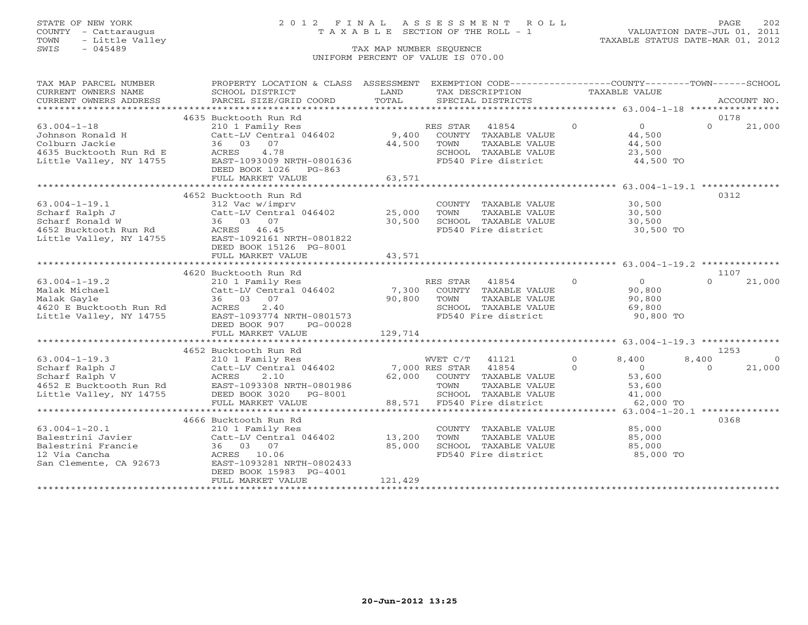# STATE OF NEW YORK 2 0 1 2 F I N A L A S S E S S M E N T R O L L PAGE 202 COUNTY - Cattaraugus T A X A B L E SECTION OF THE ROLL - 1 VALUATION DATE-JUL 01, 2011

| TAX MAP PARCEL NUMBER                                                                                                                                                 | PROPERTY LOCATION & CLASS ASSESSMENT EXEMPTION CODE----------------COUNTY-------TOWN------SCHOOL                                                              |                            |                                                                                                                     |                     |                                                                    |                           |                    |
|-----------------------------------------------------------------------------------------------------------------------------------------------------------------------|---------------------------------------------------------------------------------------------------------------------------------------------------------------|----------------------------|---------------------------------------------------------------------------------------------------------------------|---------------------|--------------------------------------------------------------------|---------------------------|--------------------|
| CURRENT OWNERS NAME                                                                                                                                                   | SCHOOL DISTRICT                                                                                                                                               | LAND                       | TAX DESCRIPTION                                                                                                     | TAXABLE VALUE       |                                                                    |                           |                    |
| CURRENT OWNERS ADDRESS                                                                                                                                                | PARCEL SIZE/GRID COORD                                                                                                                                        | TOTAL                      | SPECIAL DISTRICTS                                                                                                   |                     |                                                                    |                           | ACCOUNT NO.        |
|                                                                                                                                                                       | 4635 Bucktooth Run Rd                                                                                                                                         |                            |                                                                                                                     |                     |                                                                    | 0178                      |                    |
| $63.004 - 1 - 18$<br>Johnson Ronald H<br>Colburn Jackie<br>4635 Bucktooth Run Rd E<br>Little Valley, NY 14755                                                         | 210 1 Family Res<br>Catt-LV Central 046402 9,400<br>36 03 07<br>4.78<br>ACRES<br>EAST-1093009 NRTH-0801636<br>DEED BOOK 1026 PG-863<br>FULL MARKET VALUE      | 44,500<br>63,571           | 41854<br>RES STAR<br>COUNTY TAXABLE VALUE<br>TOWN<br>TAXABLE VALUE<br>SCHOOL TAXABLE VALUE<br>FD540 Fire district   | $\overline{0}$      | $\overline{0}$<br>44,500<br>44,500<br>23,500<br>44,500 TO          | $\Omega$                  | 21,000             |
|                                                                                                                                                                       |                                                                                                                                                               |                            |                                                                                                                     |                     |                                                                    |                           |                    |
| $63.004 - 1 - 19.1$<br>Scharf Ralph J<br>Scharf Ronald W (Catt-LV Centra<br>36 03 07<br>4652 Bucktooth Run Rd (ACRES 46.45<br>Little Valley, NY 14755 (EAST-1092161 N | 4652 Bucktooth Run Rd<br>312 Vac w/imprv<br>Catt-LV Central 046402<br>EAST-1092161 NRTH-0801822<br>DEED BOOK 15126 PG-8001<br>FULL MARKET VALUE               | 25,000<br>30,500<br>43,571 | COUNTY TAXABLE VALUE<br>TAXABLE VALUE<br>TOWN<br>SCHOOL TAXABLE VALUE 30,500<br>FD540 Fire district 30,500          | 30,500              | 30,500<br>30,500 TO                                                | 0312                      |                    |
|                                                                                                                                                                       |                                                                                                                                                               |                            |                                                                                                                     |                     |                                                                    |                           |                    |
|                                                                                                                                                                       | 4620 Bucktooth Run Rd                                                                                                                                         |                            |                                                                                                                     |                     |                                                                    | 1107                      |                    |
| $63.004 - 1 - 19.2$<br>Malak Michael<br>Malak Gayle<br>4620 E Bucktooth Run Rd<br>Little Valley, NY 14755                                                             | 210 1 Family Res<br>Catt-LV Central 046402 7,300<br>36 03 07<br>2.40<br>ACRES<br>EAST-1093774 NRTH-0801573<br>DEED BOOK 907<br>PG-00028                       | 90,800                     | RES STAR 41854<br>COUNTY TAXABLE VALUE<br>TOWN<br>TAXABLE VALUE<br>SCHOOL TAXABLE VALUE<br>FD540 Fire district      | $\overline{0}$      | $\overline{0}$<br>90,800<br>90,800<br>69,800<br>90,800 TO          | $\Omega$                  | 21,000             |
|                                                                                                                                                                       | FULL MARKET VALUE                                                                                                                                             | 129,714                    |                                                                                                                     |                     |                                                                    |                           |                    |
|                                                                                                                                                                       |                                                                                                                                                               |                            |                                                                                                                     |                     |                                                                    |                           |                    |
| $63.004 - 1 - 19.3$<br>63.004-1-19.3<br>Scharf Ralph J<br>Scharf Ralph V<br>4652 E Bucktooth Run Rd<br>Little Valley, NY 14755                                        | 4652 Bucktooth Run Rd<br>ACRES<br>2.10<br>EAST-1093308 NRTH-0801986<br>DEED BOOK 3020 PG-8001<br>FULL MARKET VALUE                                            | 62,000                     | 41121<br>COUNTY TAXABLE VALUE<br>TOWN<br>TAXABLE VALUE<br>SCHOOL TAXABLE VALUE<br>88,571 FD540 Fire district        | $\circ$<br>$\Omega$ | 8,400<br>$\overline{0}$<br>53,600<br>53,600<br>41,000<br>62,000 TO | 1253<br>8,400<br>$\Omega$ | $\Omega$<br>21,000 |
|                                                                                                                                                                       |                                                                                                                                                               |                            |                                                                                                                     |                     |                                                                    |                           |                    |
| $63.004 - 1 - 20.1$<br>Balestrini Javier<br>Balestrini Francie<br>12 Via Cancha<br>San Clemente, CA 92673                                                             | 4666 Bucktooth Run Rd<br>210 1 Family Res<br>Catt-LV Central 046402 13,200<br>36 03 07<br>ACRES 10.06<br>EAST-1093281 NRTH-0802433<br>DEED BOOK 15983 PG-4001 | 85,000                     | COUNTY TAXABLE VALUE<br>TOWN<br>TAXABLE VALUE<br>SCHOOL TAXABLE VALUE<br>FD540 Fire district<br>FD540 Fire district |                     | 85,000<br>85,000<br>85,000<br>85,000 TO                            | 0368                      |                    |
|                                                                                                                                                                       | FULL MARKET VALUE                                                                                                                                             | 121,429                    |                                                                                                                     |                     |                                                                    |                           |                    |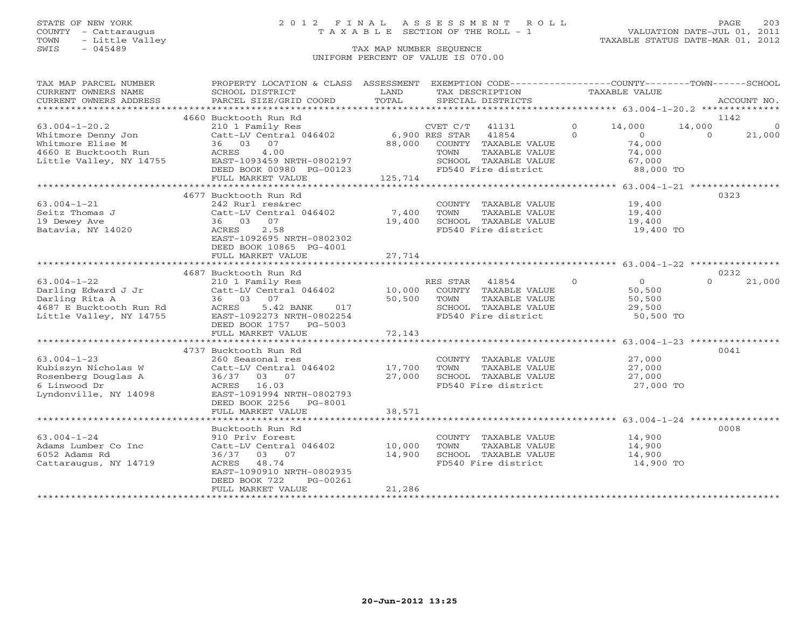# STATE OF NEW YORK 2 0 1 2 F I N A L A S S E S S M E N T R O L L PAGE 203 COUNTY - Cattaraugus T A X A B L E SECTION OF THE ROLL - 1 VALUATION DATE-JUL 01, 2011

| TAX MAP PARCEL NUMBER<br>CURRENT OWNERS NAME | PROPERTY LOCATION & CLASS ASSESSMENT<br>SCHOOL DISTRICT | LAND             | EXEMPTION CODE-----------------COUNTY-------TOWN------SCHOOL<br>TAX DESCRIPTION | TAXABLE VALUE              |                    |
|----------------------------------------------|---------------------------------------------------------|------------------|---------------------------------------------------------------------------------|----------------------------|--------------------|
| CURRENT OWNERS ADDRESS                       | PARCEL SIZE/GRID COORD                                  | TOTAL            | SPECIAL DISTRICTS                                                               |                            | ACCOUNT NO.        |
|                                              | 4660 Bucktooth Run Rd                                   |                  |                                                                                 |                            | 1142               |
| $63.004 - 1 - 20.2$                          | 210 1 Family Res                                        |                  | CVET C/T<br>41131                                                               | $\Omega$<br>14,000         | 14,000<br>$\Omega$ |
| Whitmore Denny Jon                           | Catt-LV Central 046402                                  |                  | 6,900 RES STAR<br>41854                                                         | $\Omega$<br>$\overline{0}$ | $\Omega$<br>21,000 |
| Whitmore Elise M                             | 36 03 07                                                | 88,000           | COUNTY TAXABLE VALUE                                                            | 74,000                     |                    |
| 4660 E Bucktooth Run                         | ACRES<br>4.00                                           |                  | TOWN<br>TAXABLE VALUE                                                           | 74,000                     |                    |
| Little Valley, NY 14755                      | EAST-1093459 NRTH-0802197                               |                  | SCHOOL TAXABLE VALUE                                                            | 67,000                     |                    |
|                                              | DEED BOOK 00980 PG-00123                                |                  | FD540 Fire district                                                             | 88,000 TO                  |                    |
|                                              | FULL MARKET VALUE                                       | 125,714          |                                                                                 |                            |                    |
|                                              |                                                         |                  |                                                                                 |                            |                    |
|                                              | 4677 Bucktooth Run Rd                                   |                  |                                                                                 |                            | 0323               |
| $63.004 - 1 - 21$                            | 242 Rurl res&rec                                        |                  | COUNTY TAXABLE VALUE                                                            | 19,400                     |                    |
| Seitz Thomas J<br>19 Dewey Ave               | Catt-LV Central 046402<br>36 03<br>07                   | 7,400<br>19,400  | TOWN<br>TAXABLE VALUE<br>SCHOOL TAXABLE VALUE                                   | 19,400<br>19,400           |                    |
| Batavia, NY 14020                            | 2.58<br>ACRES                                           |                  | FD540 Fire district                                                             | 19,400 TO                  |                    |
|                                              | EAST-1092695 NRTH-0802302                               |                  |                                                                                 |                            |                    |
|                                              | DEED BOOK 10865 PG-4001                                 |                  |                                                                                 |                            |                    |
|                                              | FULL MARKET VALUE                                       | 27,714           |                                                                                 |                            |                    |
|                                              |                                                         |                  |                                                                                 |                            |                    |
|                                              | 4687 Bucktooth Run Rd                                   |                  |                                                                                 |                            | 0232               |
| $63.004 - 1 - 22$                            | 210 1 Family Res                                        |                  | RES STAR<br>41854                                                               | $\overline{O}$<br>$\Omega$ | $\Omega$<br>21,000 |
| Darling Edward J Jr                          | Catt-LV Central 046402                                  | 10,000           | COUNTY TAXABLE VALUE                                                            | 50,500                     |                    |
| Darling Rita A                               | 36 03 07                                                | 50,500           | TOWN<br>TAXABLE VALUE                                                           | 50,500                     |                    |
| 4687 E Bucktooth Run Rd                      | 5.42 BANK<br>ACRES<br>017                               |                  | SCHOOL TAXABLE VALUE                                                            | 29,500                     |                    |
| Little Valley, NY 14755                      | EAST-1092273 NRTH-0802254                               |                  | FD540 Fire district                                                             | 50,500 TO                  |                    |
|                                              | DEED BOOK 1757 PG-5003                                  | 72,143           |                                                                                 |                            |                    |
|                                              | FULL MARKET VALUE                                       |                  |                                                                                 |                            |                    |
|                                              | 4737 Bucktooth Run Rd                                   |                  |                                                                                 |                            | 0041               |
| $63.004 - 1 - 23$                            | 260 Seasonal res                                        |                  | COUNTY TAXABLE VALUE                                                            | 27,000                     |                    |
| Kubiszyn Nicholas W                          | Catt-LV Central 046402                                  | 17,700           | TOWN<br>TAXABLE VALUE                                                           | 27,000                     |                    |
| Rosenberg Douglas A                          | 36/37 03 07                                             | 27,000           | SCHOOL TAXABLE VALUE                                                            | 27,000                     |                    |
| 6 Linwood Dr                                 | ACRES 16.03                                             |                  | FD540 Fire district                                                             | 27,000 TO                  |                    |
| Lyndonville, NY 14098                        | EAST-1091994 NRTH-0802793                               |                  |                                                                                 |                            |                    |
|                                              | DEED BOOK 2256 PG-8001                                  |                  |                                                                                 |                            |                    |
|                                              | FULL MARKET VALUE                                       | 38,571           |                                                                                 |                            |                    |
|                                              |                                                         |                  |                                                                                 |                            |                    |
|                                              | Bucktooth Run Rd                                        |                  |                                                                                 |                            | 0008               |
| $63.004 - 1 - 24$                            | 910 Priv forest                                         |                  | COUNTY TAXABLE VALUE                                                            | 14,900                     |                    |
| Adams Lumber Co Inc                          | Catt-LV Central 046402                                  | 10,000<br>14,900 | TOWN<br>TAXABLE VALUE                                                           | 14,900                     |                    |
| 6052 Adams Rd<br>Cattaraugus, NY 14719       | 03 07<br>36/37<br>48.74<br>ACRES                        |                  | SCHOOL TAXABLE VALUE<br>FD540 Fire district                                     | 14,900<br>14,900 TO        |                    |
|                                              | EAST-1090910 NRTH-0802935                               |                  |                                                                                 |                            |                    |
|                                              | DEED BOOK 722<br>PG-00261                               |                  |                                                                                 |                            |                    |
|                                              | FULL MARKET VALUE                                       | 21,286           |                                                                                 |                            |                    |
|                                              |                                                         |                  |                                                                                 |                            |                    |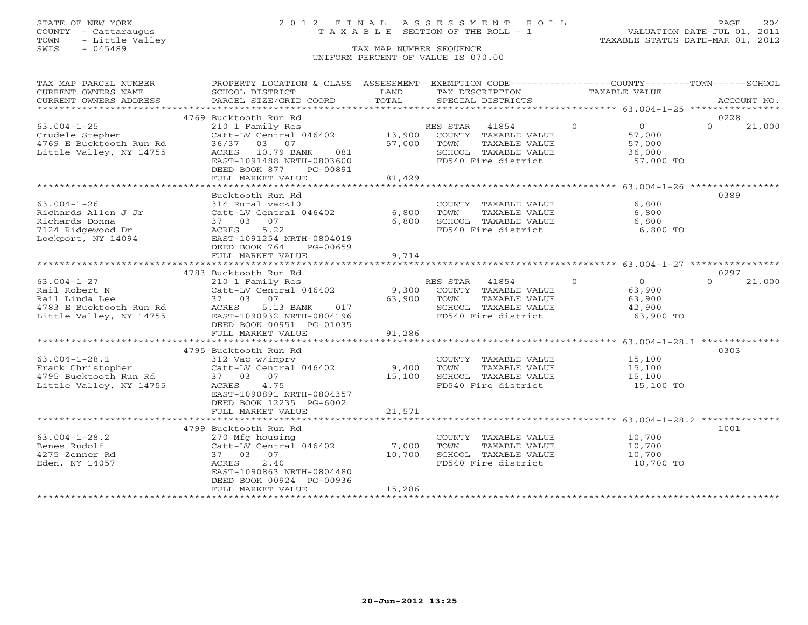## STATE OF NEW YORK 2 0 1 2 F I N A L A S S E S S M E N T R O L L PAGE 204 COUNTY - Cattaraugus T A X A B L E SECTION OF THE ROLL - 1 VALUATION DATE-JUL 01, 2011

| TAX MAP PARCEL NUMBER                      | PROPERTY LOCATION & CLASS ASSESSMENT                                                                                                                           |                | EXEMPTION CODE-----------------COUNTY-------TOWN------SCHOOL     |                |                |          |             |
|--------------------------------------------|----------------------------------------------------------------------------------------------------------------------------------------------------------------|----------------|------------------------------------------------------------------|----------------|----------------|----------|-------------|
| CURRENT OWNERS NAME                        | SCHOOL DISTRICT                                                                                                                                                | LAND           | TAX DESCRIPTION                                                  | TAXABLE VALUE  |                |          |             |
| CURRENT OWNERS ADDRESS                     | PARCEL SIZE/GRID COORD                                                                                                                                         | TOTAL          | SPECIAL DISTRICTS                                                |                |                |          | ACCOUNT NO. |
|                                            |                                                                                                                                                                |                |                                                                  |                |                |          |             |
|                                            | 4769 Bucktooth Run Rd                                                                                                                                          |                |                                                                  |                |                | 0228     |             |
| $63.004 - 1 - 25$                          | 210 1 Family Res                                                                                                                                               |                | RES STAR<br>41854                                                | $\Omega$       | $\overline{O}$ | $\Omega$ | 21,000      |
| Crudele Stephen<br>4769 E Bucktooth Run Rd | Catt-LV Central 046402 13,900 COUNTY TAXABLE VALUE                                                                                                             |                |                                                                  |                | 57,000         |          |             |
|                                            | 36/37 03 07                                                                                                                                                    | 57,000         | TOWN<br>TAXABLE VALUE                                            |                | 57,000         |          |             |
| Little Valley, NY 14755                    | ACRES 10.79 BANK<br>081                                                                                                                                        |                | SCHOOL TAXABLE VALUE<br>FD540 Fire district                      |                | 36,000         |          |             |
|                                            | EAST-1091488 NRTH-0803600                                                                                                                                      |                |                                                                  |                | $57,000$ TO    |          |             |
|                                            | DEED BOOK 877<br>PG-00891                                                                                                                                      |                |                                                                  |                |                |          |             |
|                                            | FULL MARKET VALUE                                                                                                                                              | 81,429         |                                                                  |                |                |          |             |
|                                            |                                                                                                                                                                | ************** | .********************************** 63.004-1-26 **************** |                |                |          |             |
|                                            | Bucktooth Run Rd                                                                                                                                               |                |                                                                  |                |                | 0389     |             |
| $63.004 - 1 - 26$                          | 314 Rural vac<10                                                                                                                                               |                | COUNTY TAXABLE VALUE                                             |                | 6,800          |          |             |
| Richards Allen J Jr                        | Catt-LV Central 046402                                                                                                                                         | 6,800          | TOWN<br>TAXABLE VALUE                                            |                | 6,800          |          |             |
| Richards Donna                             |                                                                                                                                                                | 6,800          | SCHOOL TAXABLE VALUE                                             |                | 6,800          |          |             |
| 7124 Ridgewood Dr                          | 2420 23 07<br>37 03 07<br>ACRES 5.22<br>EAST-1091254 NRTH-0804019                                                                                              |                | FD540 Fire district                                              |                | 6,800 TO       |          |             |
| Lockport, NY 14094                         |                                                                                                                                                                |                |                                                                  |                |                |          |             |
|                                            | DEED BOOK 764<br>PG-00659                                                                                                                                      |                |                                                                  |                |                |          |             |
|                                            | FULL MARKET VALUE                                                                                                                                              | 9,714          |                                                                  |                |                |          |             |
|                                            |                                                                                                                                                                |                |                                                                  |                |                |          |             |
|                                            | 4783 Bucktooth Run Rd                                                                                                                                          |                |                                                                  |                |                | 0297     |             |
| $63.004 - 1 - 27$                          | 210 1 Family Res<br>Catt-LV Central 046402                                                                                                                     |                | RES STAR 41854                                                   | $\overline{0}$ | $\overline{0}$ | $\cap$   | 21,000      |
|                                            |                                                                                                                                                                |                | 9,300 COUNTY TAXABLE VALUE                                       |                | 63,900         |          |             |
|                                            |                                                                                                                                                                | 63,900 TOWN    | TAXABLE VALUE                                                    |                | 63,900         |          |             |
|                                            | 017                                                                                                                                                            |                | SCHOOL TAXABLE VALUE                                             |                | 42,900         |          |             |
|                                            |                                                                                                                                                                |                | FD540 Fire district                                              |                | 63,900 TO      |          |             |
|                                            | DEED BOOK 00951 PG-01035                                                                                                                                       |                |                                                                  |                |                |          |             |
|                                            | FULL MARKET VALUE                                                                                                                                              | 91,286         |                                                                  |                |                |          |             |
|                                            |                                                                                                                                                                |                |                                                                  |                |                |          |             |
|                                            | 4795 Bucktooth Run Rd                                                                                                                                          |                |                                                                  |                |                | 0303     |             |
|                                            |                                                                                                                                                                |                | COUNTY TAXABLE VALUE                                             |                | 15,100         |          |             |
|                                            |                                                                                                                                                                |                | TOWN<br>TAXABLE VALUE                                            |                | 15,100         |          |             |
|                                            | 63.004-1-28.1 312 Vac w/imprv<br>Frank Christopher Catt-LV Central 046402 9,400<br>4795 Bucktooth Run Rd 37 03 07 15,100<br>Little Valley, NY 14755 ACRES 4.75 |                | SCHOOL TAXABLE VALUE                                             |                | 15,100         |          |             |
|                                            |                                                                                                                                                                |                | FD540 Fire district                                              |                | 15,100 TO      |          |             |
|                                            | EAST-1090891 NRTH-0804357                                                                                                                                      |                |                                                                  |                |                |          |             |
|                                            | DEED BOOK 12235 PG-6002                                                                                                                                        | 21,571         |                                                                  |                |                |          |             |
|                                            | FULL MARKET VALUE                                                                                                                                              |                |                                                                  |                |                |          |             |
|                                            | 4799 Bucktooth Run Rd                                                                                                                                          |                |                                                                  |                |                | 1001     |             |
| $63.004 - 1 - 28.2$                        | 270 Mfg housing                                                                                                                                                |                | COUNTY TAXABLE VALUE                                             |                | 10,700         |          |             |
| Benes Rudolf                               | $Cat-LV$ Central $046402$ 7,000                                                                                                                                |                | TAXABLE VALUE<br>TOWN                                            |                | 10,700         |          |             |
| 4275 Zenner Rd                             | 37 03 07                                                                                                                                                       | 10,700         |                                                                  |                | 10,700         |          |             |
| Eden, NY 14057                             | 2.40<br>ACRES                                                                                                                                                  |                | SCHOOL TAXABLE VALUE<br>FD540 Fire district                      |                | $10, 700$ TO   |          |             |
|                                            | EAST-1090863 NRTH-0804480                                                                                                                                      |                |                                                                  |                |                |          |             |
|                                            | DEED BOOK 00924 PG-00936                                                                                                                                       |                |                                                                  |                |                |          |             |
|                                            | FULL MARKET VALUE                                                                                                                                              | 15,286         |                                                                  |                |                |          |             |
|                                            |                                                                                                                                                                |                |                                                                  |                |                |          |             |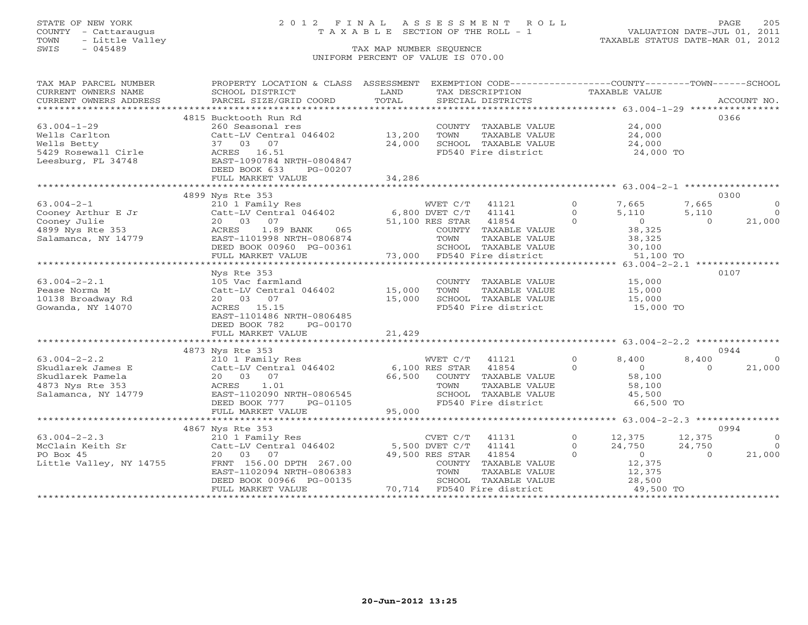# STATE OF NEW YORK 2 0 1 2 F I N A L A S S E S S M E N T R O L L PAGE 205 COUNTY - Cattaraugus T A X A B L E SECTION OF THE ROLL - 1 VALUATION DATE-JUL 01, 2011

| TAX MAP PARCEL NUMBER   | PROPERTY LOCATION & CLASS ASSESSMENT EXEMPTION CODE---------------COUNTY-------TOWN------SCHOOL |                |                               |                            |                         |
|-------------------------|-------------------------------------------------------------------------------------------------|----------------|-------------------------------|----------------------------|-------------------------|
| CURRENT OWNERS NAME     | SCHOOL DISTRICT                                                                                 | LAND<br>TOTAL  | TAX DESCRIPTION               | TAXABLE VALUE              |                         |
| CURRENT OWNERS ADDRESS  |                                                                                                 |                |                               |                            |                         |
|                         | 4815 Bucktooth Run Rd                                                                           |                |                               |                            | 0366                    |
| $63.004 - 1 - 29$       | 260 Seasonal res                                                                                |                | COUNTY TAXABLE VALUE          | 24,000                     |                         |
| Wells Carlton           | Catt-LV Central 046402 13,200                                                                   |                | TOWN<br>TAXABLE VALUE         | 24,000                     |                         |
| Wells Betty             | 37 03 07                                                                                        | 24,000         | SCHOOL TAXABLE VALUE          | 24,000                     |                         |
| 5429 Rosewall Cirle     | ACRES 16.51                                                                                     |                | FD540 Fire district 24,000 TO |                            |                         |
| Leesburg, FL 34748      | EAST-1090784 NRTH-0804847                                                                       |                |                               |                            |                         |
|                         | DEED BOOK 633<br>PG-00207                                                                       |                |                               |                            |                         |
|                         | FULL MARKET VALUE                                                                               | 34,286         |                               |                            |                         |
|                         |                                                                                                 |                |                               |                            |                         |
|                         | 4899 Nys Rte 353                                                                                |                |                               |                            | 0300                    |
| $63.004 - 2 - 1$        | 210 1 Family Res                                                                                |                | WVET C/T 41121                | $\circ$<br>7,665           | 7,665<br>$\circ$        |
| Cooney Arthur E Jr      | Catt-LV Central 046402 6,800 DVET C/T                                                           |                | 41141                         | 5,110<br>$\circ$           | $\bigcirc$<br>5,110     |
| Cooney Julie            | 07<br>20 03                                                                                     |                | 51,100 RES STAR<br>41854      | $\overline{0}$<br>$\cap$   | 21,000<br>$\Omega$      |
| 4899 Nys Rte 353        | 1.89 BANK<br>ACRES<br>065                                                                       |                | COUNTY TAXABLE VALUE          | 38,325                     |                         |
| Salamanca, NY 14779     | EAST-1101998 NRTH-0806874                                                                       |                | TOWN<br>TAXABLE VALUE         | 38,325                     |                         |
|                         | DEED BOOK 00960 PG-00361                                                                        |                | SCHOOL TAXABLE VALUE          | 30,100                     |                         |
|                         | FULL MARKET VALUE                                                                               |                | 73,000 FD540 Fire district    | 51,100 TO                  |                         |
|                         |                                                                                                 |                |                               |                            |                         |
|                         | Nys Rte 353                                                                                     |                |                               |                            | 0107                    |
| $63.004 - 2 - 2.1$      | 105 Vac farmland                                                                                |                | COUNTY TAXABLE VALUE          | 15,000                     |                         |
| Pease Norma M           | Catt-LV Central 046402 15,000                                                                   |                | TOWN<br>TAXABLE VALUE         | 15,000                     |                         |
| 10138 Broadway Rd       | 20 03 07                                                                                        | 15,000         | SCHOOL TAXABLE VALUE          | 15,000                     |                         |
| Gowanda, NY 14070       | ACRES 15.15                                                                                     |                | FD540 Fire district           | 15,000 TO                  |                         |
|                         | EAST-1101486 NRTH-0806485                                                                       |                |                               |                            |                         |
|                         | DEED BOOK 782<br>PG-00170                                                                       |                |                               |                            |                         |
|                         | FULL MARKET VALUE                                                                               | 21,429         |                               |                            |                         |
|                         |                                                                                                 |                |                               |                            |                         |
|                         | 4873 Nys Rte 353                                                                                |                |                               |                            | 0944                    |
| $63.004 - 2 - 2.2$      | 210 1 Family Res                                                                                |                | WVET C/T<br>41121             | $\overline{0}$<br>8,400    | 8,400<br>$\overline{0}$ |
| Skudlarek James E       | Catt-LV Central 046402 6,100 RES STAR 41854                                                     |                |                               | $\Omega$<br>$\overline{0}$ | 21,000<br>$\Omega$      |
| Skudlarek Pamela        | 20  03  07                                                                                      | 66,500         | COUNTY TAXABLE VALUE          | 58,100                     |                         |
| 4873 Nys Rte 353        | ACRES<br>1.01                                                                                   |                | TOWN<br>TAXABLE VALUE         | 58,100                     |                         |
| Salamanca, NY 14779     | EAST-1102090 NRTH-0806545                                                                       |                | SCHOOL TAXABLE VALUE          | 45,500                     |                         |
|                         | DEED BOOK 777<br>PG-01105                                                                       |                | FD540 Fire district           | 66,500 TO                  |                         |
|                         | FULL MARKET VALUE                                                                               | 95,000         |                               |                            |                         |
|                         |                                                                                                 |                |                               |                            |                         |
|                         | 4867 Nys Rte 353                                                                                |                |                               |                            | 0994                    |
| $63.004 - 2 - 2.3$      | 210 1 Family Res                                                                                |                | $CVET C/T$ 41131              | $\Omega$<br>12,375         | $\Omega$<br>12,375      |
| McClain Keith Sr        | Catt-LV Central 046402                                                                          | 5,500 DVET C/T | 41141                         | 24,750<br>$\cap$           | 24,750<br>$\bigcirc$    |
| PO Box 45               | 20 03 07                                                                                        |                | 49,500 RES STAR<br>41854      | $\Omega$<br>$\overline{0}$ | 21,000<br>$\Omega$      |
| Little Valley, NY 14755 | FRNT 156.00 DPTH 267.00                                                                         |                | COUNTY TAXABLE VALUE          | 12,375                     |                         |
|                         | EAST-1102094 NRTH-0806383                                                                       |                | TOWN<br>TAXABLE VALUE         | 12,375                     |                         |
|                         | DEED BOOK 00966 PG-00135                                                                        |                | SCHOOL TAXABLE VALUE          | 28,500                     |                         |
|                         | FULL MARKET VALUE                                                                               |                | 70,714 FD540 Fire district    | 49,500 TO                  |                         |
|                         |                                                                                                 |                |                               |                            |                         |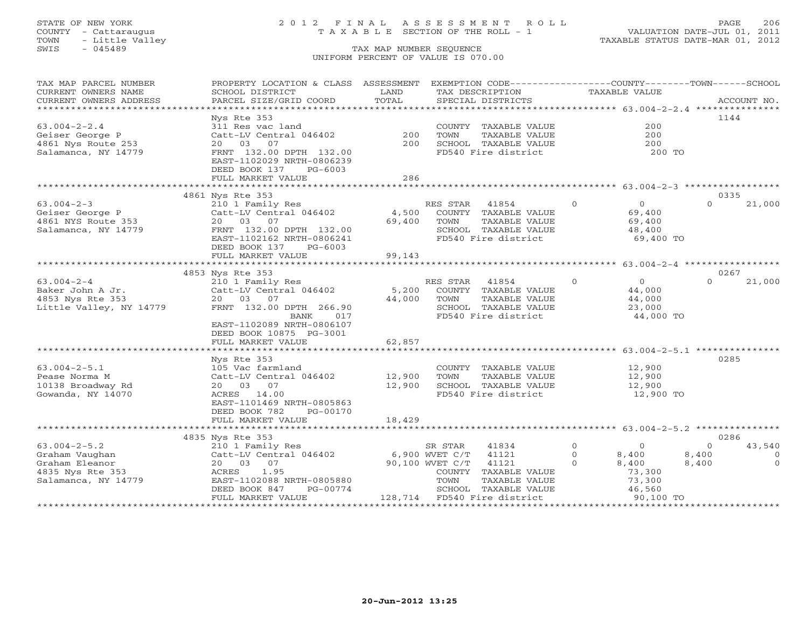# STATE OF NEW YORK 2 0 1 2 F I N A L A S S E S S M E N T R O L L PAGE 206 COUNTY - Cattaraugus T A X A B L E SECTION OF THE ROLL - 1 VALUATION DATE-JUL 01, 2011

| TAX MAP PARCEL NUMBER   | PROPERTY LOCATION & CLASS ASSESSMENT          |               | EXEMPTION CODE-----------------COUNTY-------TOWN------SCHOOL  |                            |                    |
|-------------------------|-----------------------------------------------|---------------|---------------------------------------------------------------|----------------------------|--------------------|
| CURRENT OWNERS NAME     | SCHOOL DISTRICT                               | LAND          | TAX DESCRIPTION                                               | TAXABLE VALUE              |                    |
| CURRENT OWNERS ADDRESS  | PARCEL SIZE/GRID COORD                        | TOTAL         | SPECIAL DISTRICTS                                             |                            | ACCOUNT NO.        |
| *********************   |                                               |               |                                                               |                            |                    |
|                         | Nys Rte 353                                   |               |                                                               |                            | 1144               |
| $63.004 - 2 - 2.4$      | 311 Res vac land                              |               | COUNTY TAXABLE VALUE                                          | 200                        |                    |
| Geiser George P         | Catt-LV Central 046402                        | 200           | TOWN<br>TAXABLE VALUE                                         | 200                        |                    |
| 4861 Nys Route 253      | 07<br>20 03                                   | 200           | SCHOOL TAXABLE VALUE                                          | 200                        |                    |
| Salamanca, NY 14779     | FRNT 132.00 DPTH 132.00                       |               | FD540 Fire district                                           | 200 TO                     |                    |
|                         | EAST-1102029 NRTH-0806239                     |               |                                                               |                            |                    |
|                         | DEED BOOK 137<br>$PG-6003$                    |               |                                                               |                            |                    |
|                         | FULL MARKET VALUE<br>************************ | 286           |                                                               |                            |                    |
|                         |                                               |               |                                                               |                            |                    |
|                         | 4861 Nys Rte 353                              |               |                                                               | $\Omega$<br>$\overline{O}$ | 0335<br>$\Omega$   |
| $63.004 - 2 - 3$        | 210 1 Family Res                              |               | RES STAR<br>41854                                             |                            | 21,000             |
| Geiser George P         | Catt-LV Central 046402<br>20 03<br>07         | 4,500         | COUNTY TAXABLE VALUE                                          | 69,400                     |                    |
| 4861 NYS Route 353      |                                               | 69,400        | TOWN<br>TAXABLE VALUE                                         | 69,400                     |                    |
| Salamanca, NY 14779     | FRNT 132.00 DPTH 132.00                       |               | SCHOOL TAXABLE VALUE                                          | 48,400                     |                    |
|                         | EAST-1102162 NRTH-0806241                     |               | FD540 Fire district                                           | 69,400 TO                  |                    |
|                         | DEED BOOK 137<br>$PG-6003$                    |               |                                                               |                            |                    |
|                         | FULL MARKET VALUE                             | 99,143        |                                                               |                            |                    |
|                         | 4853 Nys Rte 353                              |               |                                                               |                            | 0267               |
| $63.004 - 2 - 4$        |                                               |               |                                                               | $\Omega$<br>$\circ$        | $\Omega$<br>21,000 |
| Baker John A Jr.        | 210 1 Family Res<br>Catt-LV Central 046402    | 5,200         | RES STAR<br>41854<br>COUNTY TAXABLE VALUE                     | 44,000                     |                    |
| 4853 Nys Rte 353        | 20 03 07                                      | 44,000        | TOWN<br>TAXABLE VALUE                                         | 44,000                     |                    |
| Little Valley, NY 14779 | FRNT 132.00 DPTH 266.90                       |               | SCHOOL TAXABLE VALUE                                          | 23,000                     |                    |
|                         | 017<br>BANK                                   |               | FD540 Fire district                                           | 44,000 TO                  |                    |
|                         | EAST-1102089 NRTH-0806107                     |               |                                                               |                            |                    |
|                         | DEED BOOK 10875 PG-3001                       |               |                                                               |                            |                    |
|                         | FULL MARKET VALUE                             | 62,857        |                                                               |                            |                    |
|                         |                                               |               |                                                               |                            |                    |
|                         | Nys Rte 353                                   |               |                                                               |                            | 0285               |
| $63.004 - 2 - 5.1$      | 105 Vac farmland                              |               | COUNTY TAXABLE VALUE                                          | 12,900                     |                    |
| Pease Norma M           | Catt-LV Central 046402                        | 12,900        | TOWN<br>TAXABLE VALUE                                         | 12,900                     |                    |
| 10138 Broadway Rd       | 20  03  07                                    | 12,900        | SCHOOL TAXABLE VALUE                                          | 12,900                     |                    |
| Gowanda, NY 14070       | ACRES 14.00                                   |               | FD540 Fire district                                           | 12,900 TO                  |                    |
|                         | EAST-1101469 NRTH-0805863                     |               |                                                               |                            |                    |
|                         | DEED BOOK 782<br>PG-00170                     |               |                                                               |                            |                    |
|                         | FULL MARKET VALUE                             | 18,429        |                                                               |                            |                    |
|                         | **********************                        | ************* | ******************************** 63.004-2-5.2 *************** |                            |                    |
|                         | 4835 Nys Rte 353                              |               |                                                               |                            | 0286               |
| $63.004 - 2 - 5.2$      | 210 1 Family Res                              |               | 41834<br>SR STAR                                              | $\circ$<br>$\circ$         | 43,540<br>$\Omega$ |
| Graham Vaughan          | Catt-LV Central 046402                        |               | 6,900 WVET C/T<br>41121                                       | $\circ$<br>8,400           | 8,400<br>$\circ$   |
| Graham Eleanor          | 20  03  07                                    |               | 90,100 WVET C/T<br>41121                                      | $\cap$<br>8,400            | $\Omega$<br>8,400  |
| 4835 Nys Rte 353        | ACRES<br>1.95                                 |               | COUNTY TAXABLE VALUE                                          | 73,300                     |                    |
| Salamanca, NY 14779     | EAST-1102088 NRTH-0805880                     |               | TOWN<br>TAXABLE VALUE                                         | 73,300                     |                    |
|                         | DEED BOOK 847<br>PG-00774                     |               | SCHOOL TAXABLE VALUE                                          | 46,560                     |                    |
|                         | FULL MARKET VALUE                             |               | 128,714 FD540 Fire district                                   | 90,100 TO                  |                    |
|                         |                                               |               |                                                               |                            |                    |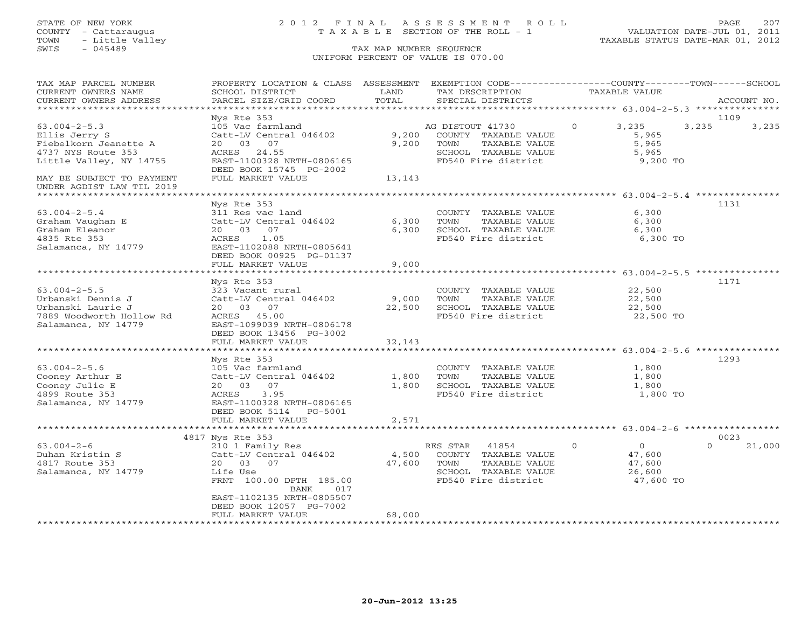## STATE OF NEW YORK 2 0 1 2 F I N A L A S S E S S M E N T R O L L PAGE 207 COUNTY - Cattaraugus T A X A B L E SECTION OF THE ROLL - 1 VALUATION DATE-JUL 01, 2011

| TAX MAP PARCEL NUMBER                                  | PROPERTY LOCATION & CLASS ASSESSMENT EXEMPTION CODE----------------COUNTY-------TOWN------SCHOOL |        |                       |                            |                    |
|--------------------------------------------------------|--------------------------------------------------------------------------------------------------|--------|-----------------------|----------------------------|--------------------|
| CURRENT OWNERS NAME                                    | SCHOOL DISTRICT                                                                                  | LAND   | TAX DESCRIPTION       | TAXABLE VALUE              |                    |
| CURRENT OWNERS ADDRESS                                 | PARCEL SIZE/GRID COORD                                                                           | TOTAL  | SPECIAL DISTRICTS     |                            | ACCOUNT NO.        |
|                                                        |                                                                                                  |        |                       |                            |                    |
|                                                        | Nys Rte 353                                                                                      |        |                       |                            | 1109               |
| $63.004 - 2 - 5.3$                                     | 105 Vac farmland                                                                                 |        | AG DISTOUT 41730      | $\circ$<br>3,235           | 3,235<br>3,235     |
| Ellis Jerry S                                          | Catt-LV Central 046402                                                                           | 9,200  | COUNTY TAXABLE VALUE  | 5,965                      |                    |
| Fiebelkorn Jeanette A                                  | 20 03 07                                                                                         | 9,200  | TOWN<br>TAXABLE VALUE | 5,965                      |                    |
| 4737 NYS Route 353                                     | 24.55<br>ACRES                                                                                   |        | SCHOOL TAXABLE VALUE  | 5,965                      |                    |
| Little Valley, NY 14755                                | EAST-1100328 NRTH-0806165                                                                        |        | FD540 Fire district   | 9,200 TO                   |                    |
|                                                        | DEED BOOK 15745 PG-2002                                                                          |        |                       |                            |                    |
| MAY BE SUBJECT TO PAYMENT<br>UNDER AGDIST LAW TIL 2019 | FULL MARKET VALUE                                                                                | 13,143 |                       |                            |                    |
|                                                        |                                                                                                  |        |                       |                            |                    |
|                                                        | Nys Rte 353                                                                                      |        |                       |                            | 1131               |
| $63.004 - 2 - 5.4$                                     | 311 Res vac land                                                                                 |        | COUNTY TAXABLE VALUE  | 6,300                      |                    |
| Graham Vaughan E                                       | Catt-LV Central 046402                                                                           | 6,300  | TOWN<br>TAXABLE VALUE | 6,300                      |                    |
| Graham Eleanor                                         | 20 03 07                                                                                         | 6,300  | SCHOOL TAXABLE VALUE  | 6,300                      |                    |
| 4835 Rte 353                                           | ACRES<br>1.05                                                                                    |        | FD540 Fire district   | 6,300 TO                   |                    |
| Salamanca, NY 14779                                    | EAST-1102088 NRTH-0805641                                                                        |        |                       |                            |                    |
|                                                        | DEED BOOK 00925 PG-01137                                                                         |        |                       |                            |                    |
|                                                        | FULL MARKET VALUE                                                                                | 9,000  |                       |                            |                    |
|                                                        |                                                                                                  |        |                       |                            |                    |
|                                                        | Nys Rte 353                                                                                      |        |                       |                            | 1171               |
| $63.004 - 2 - 5.5$                                     | 323 Vacant rural                                                                                 |        | COUNTY TAXABLE VALUE  | 22,500                     |                    |
| Urbanski Dennis J                                      | Catt-LV Central 046402                                                                           | 9,000  | TOWN<br>TAXABLE VALUE | 22,500                     |                    |
| Urbanski Laurie J                                      | 20 03 07                                                                                         | 22,500 | SCHOOL TAXABLE VALUE  | 22,500                     |                    |
| 7889 Woodworth Hollow Rd                               | ACRES 45.00                                                                                      |        | FD540 Fire district   | 22,500 TO                  |                    |
| Salamanca, NY 14779                                    | EAST-1099039 NRTH-0806178                                                                        |        |                       |                            |                    |
|                                                        | DEED BOOK 13456 PG-3002                                                                          |        |                       |                            |                    |
|                                                        | FULL MARKET VALUE                                                                                | 32,143 |                       |                            |                    |
|                                                        |                                                                                                  |        |                       |                            |                    |
|                                                        | Nys Rte 353                                                                                      |        |                       |                            | 1293               |
| $63.004 - 2 - 5.6$                                     | 105 Vac farmland                                                                                 |        | COUNTY TAXABLE VALUE  | 1,800                      |                    |
| Cooney Arthur E                                        | Catt-LV Central 046402                                                                           | 1,800  | TOWN<br>TAXABLE VALUE | 1,800                      |                    |
| Cooney Julie E                                         | 20 03<br>07                                                                                      | 1,800  | SCHOOL TAXABLE VALUE  | 1,800                      |                    |
| 4899 Route 353                                         | ACRES<br>3.95                                                                                    |        | FD540 Fire district   | 1,800 TO                   |                    |
| Salamanca, NY 14779                                    | EAST-1100328 NRTH-0806165                                                                        |        |                       |                            |                    |
|                                                        | DEED BOOK 5114 PG-5001                                                                           |        |                       |                            |                    |
|                                                        | FULL MARKET VALUE                                                                                | 2,571  |                       |                            |                    |
|                                                        |                                                                                                  |        |                       |                            |                    |
|                                                        | 4817 Nys Rte 353                                                                                 |        |                       |                            | 0023               |
| $63.004 - 2 - 6$                                       | 210 1 Family Res                                                                                 |        | RES STAR<br>41854     | $\overline{0}$<br>$\Omega$ | 21,000<br>$\Omega$ |
| Duhan Kristin S                                        | Catt-LV Central 046402                                                                           | 4,500  | COUNTY TAXABLE VALUE  | 47,600                     |                    |
| 4817 Route 353                                         | 20 03 07                                                                                         | 47,600 | TOWN<br>TAXABLE VALUE | 47,600                     |                    |
| Salamanca, NY 14779                                    | Life Use                                                                                         |        | SCHOOL TAXABLE VALUE  | 26,600                     |                    |
|                                                        | FRNT 100.00 DPTH 185.00                                                                          |        | FD540 Fire district   | 47,600 TO                  |                    |
|                                                        | BANK<br>017                                                                                      |        |                       |                            |                    |
|                                                        | EAST-1102135 NRTH-0805507                                                                        |        |                       |                            |                    |
|                                                        | DEED BOOK 12057 PG-7002<br>FULL MARKET VALUE                                                     | 68,000 |                       |                            |                    |
|                                                        |                                                                                                  |        |                       |                            |                    |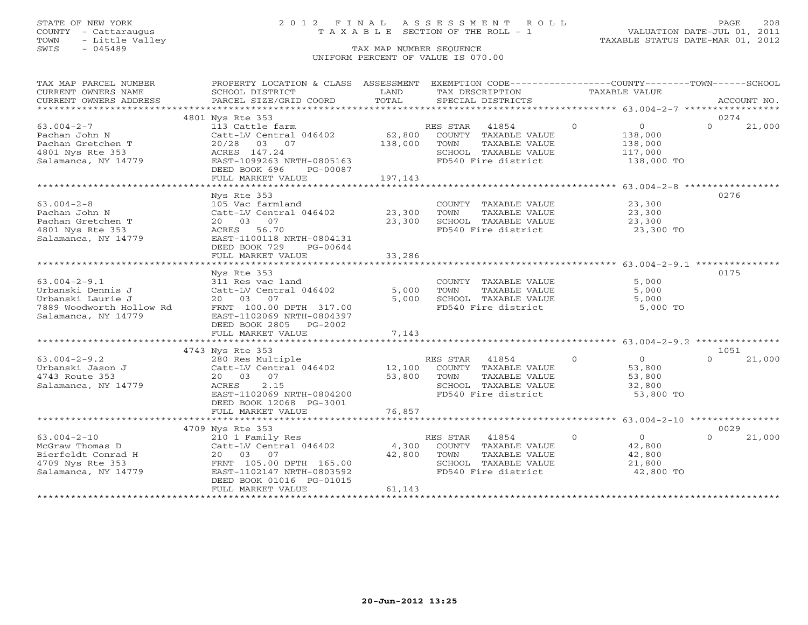# STATE OF NEW YORK 2 0 1 2 F I N A L A S S E S S M E N T R O L L PAGE 208 COUNTY - Cattaraugus T A X A B L E SECTION OF THE ROLL - 1 VALUATION DATE-JUL 01, 2011

| TAX MAP PARCEL NUMBER    | PROPERTY LOCATION & CLASS ASSESSMENT EXEMPTION CODE----------------COUNTY-------TOWN------SCHOOL |                         |                       |                                                  |                    |
|--------------------------|--------------------------------------------------------------------------------------------------|-------------------------|-----------------------|--------------------------------------------------|--------------------|
| CURRENT OWNERS NAME      | SCHOOL DISTRICT                                                                                  | LAND                    | TAX DESCRIPTION       | TAXABLE VALUE                                    |                    |
| CURRENT OWNERS ADDRESS   | PARCEL SIZE/GRID COORD                                                                           | TOTAL                   | SPECIAL DISTRICTS     |                                                  | ACCOUNT NO.        |
|                          |                                                                                                  |                         |                       |                                                  |                    |
|                          | 4801 Nys Rte 353                                                                                 |                         |                       |                                                  | 0274               |
| $63.004 - 2 - 7$         | 113 Cattle farm                                                                                  |                         | RES STAR 41854        | $\Omega$<br>$\overline{0}$                       | $\Omega$<br>21,000 |
| Pachan John N            | Catt-LV Central 046402                                                                           | 62,800                  | COUNTY TAXABLE VALUE  | 138,000                                          |                    |
| Pachan Gretchen T        | 20/28 03 07                                                                                      | 138,000                 | TOWN<br>TAXABLE VALUE | 138,000                                          |                    |
| 4801 Nys Rte 353         | ACRES 147.24                                                                                     |                         | SCHOOL TAXABLE VALUE  | 117,000                                          |                    |
| Salamanca, NY 14779      | EAST-1099263 NRTH-0805163                                                                        |                         | FD540 Fire district   | 138,000 TO                                       |                    |
|                          | DEED BOOK 696<br>PG-00087                                                                        |                         |                       |                                                  |                    |
|                          | FULL MARKET VALUE<br>************************                                                    | 197,143<br>************ |                       | ******************** 63.004-2-8 **************** |                    |
|                          | Nys Rte 353                                                                                      |                         |                       |                                                  | 0276               |
| $63.004 - 2 - 8$         | 105 Vac farmland                                                                                 |                         | COUNTY TAXABLE VALUE  | 23,300                                           |                    |
| Pachan John N            | Catt-LV Central 046402 23,300                                                                    |                         | TOWN<br>TAXABLE VALUE | 23,300                                           |                    |
| Pachan Gretchen T        | 20 03 07                                                                                         | 23,300                  | SCHOOL TAXABLE VALUE  | 23,300                                           |                    |
| 4801 Nys Rte 353         | ACRES 56.70                                                                                      |                         | FD540 Fire district   | 23,300 TO                                        |                    |
| Salamanca, NY 14779      | EAST-1100118 NRTH-0804131                                                                        |                         |                       |                                                  |                    |
|                          | DEED BOOK 729<br>PG-00644                                                                        |                         |                       |                                                  |                    |
|                          | FULL MARKET VALUE                                                                                | 33,286                  |                       |                                                  |                    |
|                          |                                                                                                  |                         |                       |                                                  |                    |
|                          | Nys Rte 353                                                                                      |                         |                       |                                                  | 0175               |
| $63.004 - 2 - 9.1$       | 311 Res vac land                                                                                 |                         | COUNTY TAXABLE VALUE  | 5,000                                            |                    |
| Urbanski Dennis J        | Catt-LV Central 046402                                                                           | 5,000                   | TOWN<br>TAXABLE VALUE | 5,000                                            |                    |
| Urbanski Laurie J        | 20 03 07                                                                                         | 5,000                   | SCHOOL TAXABLE VALUE  | 5,000                                            |                    |
| 7889 Woodworth Hollow Rd | FRNT 100.00 DPTH 317.00                                                                          |                         | FD540 Fire district   | 5,000 TO                                         |                    |
| Salamanca, NY 14779      | EAST-1102069 NRTH-0804397                                                                        |                         |                       |                                                  |                    |
|                          | DEED BOOK 2805 PG-2002                                                                           |                         |                       |                                                  |                    |
|                          | FULL MARKET VALUE                                                                                | 7,143                   |                       |                                                  |                    |
|                          |                                                                                                  |                         |                       |                                                  |                    |
|                          | 4743 Nys Rte 353                                                                                 |                         |                       |                                                  | 1051               |
| $63.004 - 2 - 9.2$       | 280 Res Multiple<br>Catt-LV Central 046402                                                       |                         | RES STAR 41854        | $\overline{0}$<br>$\circ$                        | $\Omega$<br>21,000 |
| Urbanski Jason J         |                                                                                                  | 12,100                  | COUNTY TAXABLE VALUE  | 53,800                                           |                    |
| 4743 Route 353           | 20 03 07                                                                                         | 53,800                  | TOWN<br>TAXABLE VALUE | 53,800                                           |                    |
| Salamanca, NY 14779      | 2.15<br>ACRES                                                                                    |                         | SCHOOL TAXABLE VALUE  | 32,800                                           |                    |
|                          | EAST-1102069 NRTH-0804200                                                                        |                         | FD540 Fire district   | 53,800 TO                                        |                    |
|                          | DEED BOOK 12068 PG-3001                                                                          |                         |                       |                                                  |                    |
|                          | FULL MARKET VALUE                                                                                | 76,857                  |                       |                                                  |                    |
|                          |                                                                                                  |                         |                       |                                                  |                    |
|                          | 4709 Nys Rte 353                                                                                 |                         |                       |                                                  | 0029               |
| $63.004 - 2 - 10$        | 210 1 Family Res                                                                                 |                         | RES STAR 41854        | $\overline{0}$<br>$\Omega$                       | $\Omega$<br>21,000 |
| McGraw Thomas D          | Catt-LV Central 046402                                                                           | 4,300                   | COUNTY TAXABLE VALUE  | 42,800                                           |                    |
| Bierfeldt Conrad H       | 20 03 07                                                                                         | 42,800                  | TOWN<br>TAXABLE VALUE | 42,800                                           |                    |
| 4709 Nys Rte 353         | FRNT 105.00 DPTH 165.00                                                                          |                         | SCHOOL TAXABLE VALUE  | 21,800                                           |                    |
| Salamanca, NY 14779      | EAST-1102147 NRTH-0803592                                                                        |                         | FD540 Fire district   | 42,800 TO                                        |                    |
|                          | DEED BOOK 01016 PG-01015                                                                         | 61,143                  |                       |                                                  |                    |
|                          | FULL MARKET VALUE                                                                                |                         |                       |                                                  |                    |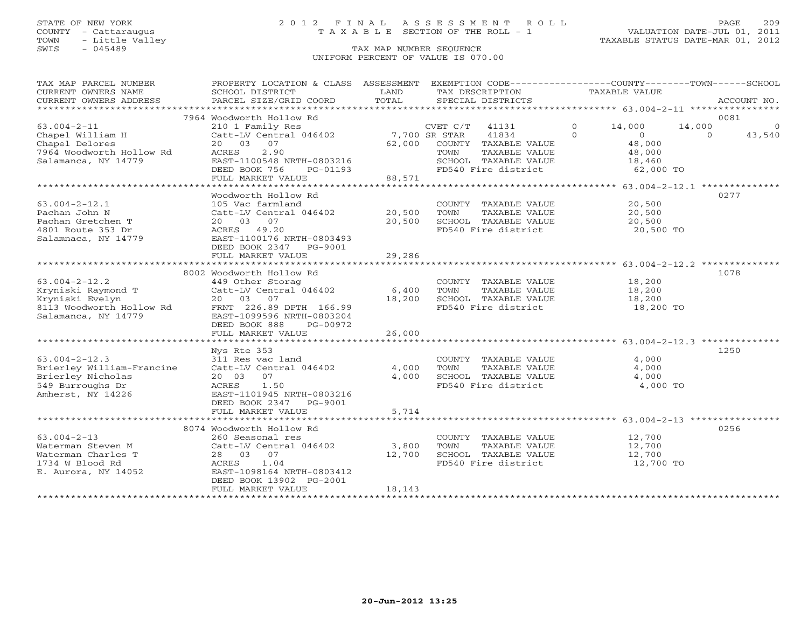# STATE OF NEW YORK 2 0 1 2 F I N A L A S S E S S M E N T R O L L PAGE 209 COUNTY - Cattaraugus T A X A B L E SECTION OF THE ROLL - 1 VALUATION DATE-JUL 01, 2011

| TAX MAP PARCEL NUMBER<br>CURRENT OWNERS NAME | PROPERTY LOCATION & CLASS ASSESSMENT EXEMPTION CODE---------------COUNTY-------TOWN------SCHOOL<br>SCHOOL DISTRICT | LAND   |                  | TAX DESCRIPTION                       |          | TAXABLE VALUE    |          |             |
|----------------------------------------------|--------------------------------------------------------------------------------------------------------------------|--------|------------------|---------------------------------------|----------|------------------|----------|-------------|
| CURRENT OWNERS ADDRESS                       | PARCEL SIZE/GRID COORD                                                                                             | TOTAL  |                  | SPECIAL DISTRICTS                     |          |                  |          | ACCOUNT NO. |
|                                              | 7964 Woodworth Hollow Rd                                                                                           |        |                  |                                       |          |                  |          | 0081        |
| $63.004 - 2 - 11$                            | 210 1 Family Res                                                                                                   |        | $CVET C/T$ 41131 |                                       | $\circ$  | 14,000           | 14,000   | $\circ$     |
| Chapel William H                             | Catt-LV Central 046402 7,700 SR STAR                                                                               |        |                  | 41834                                 | $\Omega$ | $\overline{O}$   | $\Omega$ | 43,540      |
| Chapel Delores                               | 20 03 07                                                                                                           | 62,000 |                  | COUNTY TAXABLE VALUE                  |          | 48,000           |          |             |
| 7964 Woodworth Hollow Rd                     | 2.90<br>ACRES                                                                                                      |        | TOWN             | TAXABLE VALUE                         |          | 48,000           |          |             |
| Salamanca, NY 14779                          | EAST-1100548 NRTH-0803216                                                                                          |        |                  | SCHOOL TAXABLE VALUE                  |          | 18,460           |          |             |
|                                              | DEED BOOK 756<br>PG-01193                                                                                          |        |                  | FD540 Fire district                   |          | 62,000 TO        |          |             |
|                                              | FULL MARKET VALUE                                                                                                  | 88,571 |                  |                                       |          |                  |          |             |
|                                              |                                                                                                                    |        |                  |                                       |          |                  |          |             |
|                                              | Woodworth Hollow Rd<br>105 Vac farmland                                                                            |        |                  | COUNTY TAXABLE VALUE                  |          |                  |          | 0277        |
| $63.004 - 2 - 12.1$<br>Pachan John N         | Catt-LV Central 046402                                                                                             | 20,500 | TOWN             | TAXABLE VALUE                         |          | 20,500<br>20,500 |          |             |
| Pachan Gretchen T                            | 20  03  07                                                                                                         | 20,500 |                  | SCHOOL TAXABLE VALUE                  |          | 20,500           |          |             |
| 4801 Route 353 Dr                            | ACRES 49.20                                                                                                        |        |                  | FD540 Fire district                   |          | 20,500 TO        |          |             |
| Salamnaca, NY 14779                          | EAST-1100176 NRTH-0803493                                                                                          |        |                  |                                       |          |                  |          |             |
|                                              | DEED BOOK 2347 PG-9001                                                                                             |        |                  |                                       |          |                  |          |             |
|                                              | FULL MARKET VALUE                                                                                                  | 29,286 |                  |                                       |          |                  |          |             |
|                                              |                                                                                                                    |        |                  |                                       |          |                  |          |             |
|                                              | 8002 Woodworth Hollow Rd                                                                                           |        |                  |                                       |          |                  |          | 1078        |
| $63.004 - 2 - 12.2$                          | 449 Other Storag                                                                                                   |        |                  | COUNTY TAXABLE VALUE                  |          | 18,200           |          |             |
| Kryniski Raymond T                           | Catt-LV Central 046402                                                                                             | 6,400  | TOWN             | TAXABLE VALUE                         |          | 18,200           |          |             |
| Kryniski Evelyn                              | 20 03<br>07                                                                                                        | 18,200 |                  | SCHOOL TAXABLE VALUE                  |          | 18,200           |          |             |
| 8113 Woodworth Hollow Rd                     | FRNT 226.89 DPTH 166.99                                                                                            |        |                  | FD540 Fire district                   |          | 18,200 TO        |          |             |
| Salamanca, NY 14779                          | EAST-1099596 NRTH-0803204                                                                                          |        |                  |                                       |          |                  |          |             |
|                                              | DEED BOOK 888<br>PG-00972<br>FULL MARKET VALUE                                                                     | 26,000 |                  |                                       |          |                  |          |             |
|                                              |                                                                                                                    |        |                  |                                       |          |                  |          |             |
|                                              | Nys Rte 353                                                                                                        |        |                  |                                       |          |                  |          | 1250        |
| $63.004 - 2 - 12.3$                          | 311 Res vac land                                                                                                   |        |                  | COUNTY TAXABLE VALUE                  |          | 4,000            |          |             |
| Brierley William-Francine                    | Catt-LV Central 046402                                                                                             | 4,000  | TOWN             | TAXABLE VALUE                         |          | 4,000            |          |             |
| Brierley Nicholas                            | 20 03<br>07                                                                                                        | 4,000  |                  | SCHOOL TAXABLE VALUE                  |          | 4,000            |          |             |
| 549 Burroughs Dr                             | 1.50<br>ACRES                                                                                                      |        |                  | FD540 Fire district                   |          | 4,000 TO         |          |             |
| Amherst, NY 14226                            | EAST-1101945 NRTH-0803216                                                                                          |        |                  |                                       |          |                  |          |             |
|                                              | DEED BOOK 2347 PG-9001                                                                                             |        |                  |                                       |          |                  |          |             |
|                                              | FULL MARKET VALUE                                                                                                  | 5,714  |                  |                                       |          |                  |          |             |
|                                              |                                                                                                                    |        |                  |                                       |          |                  |          |             |
|                                              | 8074 Woodworth Hollow Rd                                                                                           |        |                  |                                       |          |                  |          | 0256        |
| $63.004 - 2 - 13$<br>Waterman Steven M       | 260 Seasonal res<br>Catt-LV Central 046402                                                                         | 3,800  | TOWN             | COUNTY TAXABLE VALUE<br>TAXABLE VALUE |          | 12,700<br>12,700 |          |             |
| Waterman Charles T                           | 28 03 07                                                                                                           | 12,700 |                  | SCHOOL TAXABLE VALUE                  |          | 12,700           |          |             |
| 1734 W Blood Rd                              | ACRES<br>1.04                                                                                                      |        |                  | FD540 Fire district                   |          | 12,700 TO        |          |             |
| E. Aurora, NY 14052                          | EAST-1098164 NRTH-0803412                                                                                          |        |                  |                                       |          |                  |          |             |
|                                              | DEED BOOK 13902 PG-2001                                                                                            |        |                  |                                       |          |                  |          |             |
|                                              | FULL MARKET VALUE                                                                                                  | 18,143 |                  |                                       |          |                  |          |             |
|                                              |                                                                                                                    |        |                  |                                       |          |                  |          |             |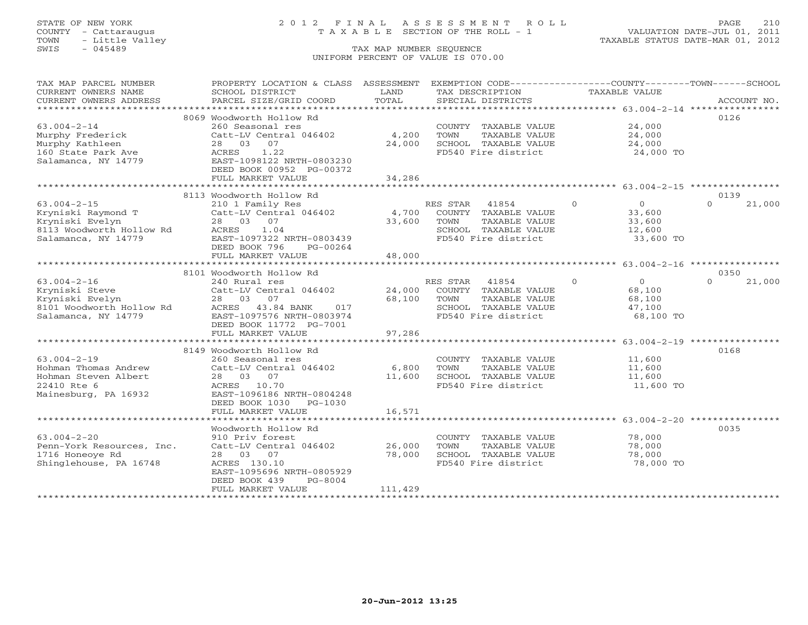# STATE OF NEW YORK 2 0 1 2 F I N A L A S S E S S M E N T R O L L PAGE 210 COUNTY - Cattaraugus T A X A B L E SECTION OF THE ROLL - 1 VALUATION DATE-JUL 01, 2011

| TAX MAP PARCEL NUMBER<br>CURRENT OWNERS NAME                                                                  | PROPERTY LOCATION & CLASS ASSESSMENT EXEMPTION CODE---------------COUNTY-------TOWN------SCHOOL<br>SCHOOL DISTRICT                                      | LAND                                  | TAX DESCRIPTION                                                                                                         | TAXABLE VALUE                                                         |                    |
|---------------------------------------------------------------------------------------------------------------|---------------------------------------------------------------------------------------------------------------------------------------------------------|---------------------------------------|-------------------------------------------------------------------------------------------------------------------------|-----------------------------------------------------------------------|--------------------|
| CURRENT OWNERS ADDRESS                                                                                        | PARCEL SIZE/GRID COORD                                                                                                                                  | TOTAL                                 | SPECIAL DISTRICTS                                                                                                       |                                                                       | ACCOUNT NO.        |
|                                                                                                               | 8069 Woodworth Hollow Rd                                                                                                                                |                                       |                                                                                                                         |                                                                       | 0126               |
| $63.004 - 2 - 14$<br>Murphy Frederick<br>Murphy Kathleen                                                      | 260 Seasonal res<br>Catt-LV Central 046402<br>28 03<br>07                                                                                               | 4,200<br>24,000                       | COUNTY TAXABLE VALUE<br>TOWN<br>TAXABLE VALUE<br>SCHOOL TAXABLE VALUE                                                   | 24,000<br>24,000<br>24,000                                            |                    |
| 160 State Park Ave<br>Salamanca, NY 14779                                                                     | ACRES<br>1.22<br>EAST-1098122 NRTH-0803230<br>DEED BOOK 00952 PG-00372<br>FULL MARKET VALUE                                                             | 34,286                                | FD540 Fire district                                                                                                     | 24,000 TO                                                             |                    |
|                                                                                                               |                                                                                                                                                         |                                       |                                                                                                                         |                                                                       |                    |
|                                                                                                               | 8113 Woodworth Hollow Rd                                                                                                                                |                                       |                                                                                                                         |                                                                       | 0139               |
| $63.004 - 2 - 15$<br>Kryniski Raymond T<br>Kryniski Evelyn<br>8113 Woodworth Hollow Rd<br>Salamanca, NY 14779 | 210 1 Family Res<br>Catt-LV Central 046402<br>28 03 07<br>ACRES<br>1.04<br>EAST-1097322 NRTH-0803439<br>DEED BOOK 796<br>PG-00264                       | 33,600                                | RES STAR<br>41854<br>4,700 COUNTY TAXABLE VALUE<br>TOWN<br>TAXABLE VALUE<br>SCHOOL TAXABLE VALUE<br>FD540 Fire district | $\Omega$<br>$\overline{0}$<br>33,600<br>33,600<br>12,600<br>33,600 TO | $\Omega$<br>21,000 |
|                                                                                                               | FULL MARKET VALUE                                                                                                                                       | 48,000<br>* * * * * * * * * * * * * * |                                                                                                                         | ************************ 63.004-2-16 *****************                |                    |
|                                                                                                               | 8101 Woodworth Hollow Rd                                                                                                                                |                                       |                                                                                                                         |                                                                       | 0350               |
| $63.004 - 2 - 16$                                                                                             | 240 Rural res                                                                                                                                           |                                       | RES STAR<br>41854                                                                                                       | $\Omega$<br>$\overline{0}$                                            | 21,000<br>$\Omega$ |
| Kryniski Steve<br>Kryniski Evelyn<br>8101 Woodworth Hollow Rd<br>Salamanca, NY 14779                          | Catt-LV Central 046402<br>28 03<br>07<br>ACRES 43.84 BANK<br>017<br>EAST-1097576 NRTH-0803974                                                           | 24,000<br>68,100                      | COUNTY TAXABLE VALUE<br>TAXABLE VALUE<br>TOWN<br>SCHOOL TAXABLE VALUE<br>FD540 Fire district                            | 68,100<br>68,100<br>47,100<br>68,100 TO                               |                    |
|                                                                                                               | DEED BOOK 11772 PG-7001<br>FULL MARKET VALUE                                                                                                            | 97,286                                |                                                                                                                         |                                                                       |                    |
|                                                                                                               |                                                                                                                                                         |                                       |                                                                                                                         |                                                                       |                    |
|                                                                                                               | 8149 Woodworth Hollow Rd                                                                                                                                |                                       |                                                                                                                         |                                                                       | 0168               |
| $63.004 - 2 - 19$<br>Hohman Thomas Andrew<br>Hohman Steven Albert<br>22410 Rte 6<br>Mainesburg, PA 16932      | 260 Seasonal res<br>Catt-LV Central 046402<br>28 03 07<br>ACRES 10.70<br>EAST-1096186 NRTH-0804248<br>DEED BOOK 1030<br>PG-1030                         | 6,800<br>11,600                       | COUNTY TAXABLE VALUE<br>TOWN<br>TAXABLE VALUE<br>SCHOOL TAXABLE VALUE<br>FD540 Fire district                            | 11,600<br>11,600<br>11,600<br>$11,000$ TO                             |                    |
|                                                                                                               | FULL MARKET VALUE                                                                                                                                       | 16,571                                |                                                                                                                         |                                                                       |                    |
|                                                                                                               |                                                                                                                                                         |                                       |                                                                                                                         |                                                                       |                    |
| $63.004 - 2 - 20$<br>Penn-York Resources, Inc.<br>1716 Honeoye Rd<br>Shinglehouse, PA 16748                   | Woodworth Hollow Rd<br>910 Priv forest<br>Catt-LV Central 046402<br>28 03 07<br>ACRES 130.10<br>EAST-1095696 NRTH-0805929<br>DEED BOOK 439<br>$PG-8004$ | 26,000<br>78,000                      | COUNTY TAXABLE VALUE<br>TOWN<br>TAXABLE VALUE<br>SCHOOL TAXABLE VALUE<br>FD540 Fire district                            | 78,000<br>78,000<br>78,000<br>78,000 TO                               | 0035               |
|                                                                                                               | FULL MARKET VALUE                                                                                                                                       | 111,429                               |                                                                                                                         |                                                                       |                    |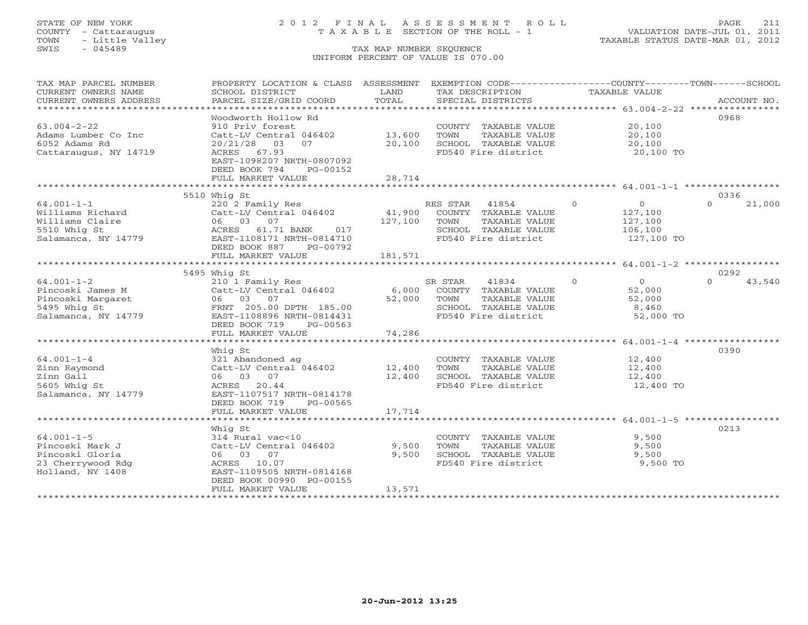# STATE OF NEW YORK 2 0 1 2 F I N A L A S S E S S M E N T R O L L PAGE 211 COUNTY - Cattaraugus T A X A B L E SECTION OF THE ROLL - 1 VALUATION DATE-JUL 01, 2011

| TAX MAP PARCEL NUMBER<br>CURRENT OWNERS NAME<br>CURRENT OWNERS ADDRESS                           | PROPERTY LOCATION & CLASS ASSESSMENT<br>SCHOOL DISTRICT<br>PARCEL SIZE/GRID COORD                                                                                   | LAND<br>TOTAL                |                        | EXEMPTION CODE-----------------COUNTY-------TOWN------SCHOOL<br>TAX DESCRIPTION<br>SPECIAL DISTRICTS | TAXABLE VALUE |                                                          | ACCOUNT NO. |        |
|--------------------------------------------------------------------------------------------------|---------------------------------------------------------------------------------------------------------------------------------------------------------------------|------------------------------|------------------------|------------------------------------------------------------------------------------------------------|---------------|----------------------------------------------------------|-------------|--------|
| $63.004 - 2 - 22$<br>Adams Lumber Co Inc<br>6052 Adams Rd<br>Cattaraugus, NY 14719               | Woodworth Hollow Rd<br>910 Priv forest<br>Catt-LV Central 046402<br>20/21/28 03<br>07<br>ACRES 67.93                                                                | 13,600<br>20,100             | TOWN                   | COUNTY TAXABLE VALUE<br>TAXABLE VALUE<br>SCHOOL TAXABLE VALUE<br>FD540 Fire district                 |               | 20,100<br>20,100<br>20,100<br>20,100 TO                  | 0968        |        |
|                                                                                                  | EAST-1098207 NRTH-0807092<br>DEED BOOK 794<br>PG-00152<br>FULL MARKET VALUE                                                                                         | 28,714                       |                        |                                                                                                      |               |                                                          |             |        |
|                                                                                                  | 5510 Whig St                                                                                                                                                        |                              |                        |                                                                                                      |               |                                                          | 0336        |        |
| $64.001 - 1 - 1$<br>Williams Richard<br>Williams Claire<br>5510 Whig St<br>Salamanca, NY 14779   | 220 2 Family Res<br>Catt-LV Central 046402<br>06 03 07<br>61.71 BANK<br>017<br>ACRES<br>EAST-1108171 NRTH-0814710<br>DEED BOOK 887<br>PG-00792<br>FULL MARKET VALUE | 41,900<br>127,100<br>181,571 | RES STAR 41854<br>TOWN | COUNTY TAXABLE VALUE<br>TAXABLE VALUE<br>SCHOOL TAXABLE VALUE<br>FD540 Fire district                 | $\Omega$      | $\circ$<br>127,100<br>127,100<br>106,100<br>127,100 TO   | $\Omega$    | 21,000 |
|                                                                                                  |                                                                                                                                                                     |                              |                        |                                                                                                      |               |                                                          |             |        |
|                                                                                                  | 5495 Whig St                                                                                                                                                        |                              |                        |                                                                                                      |               |                                                          | 0292        |        |
| $64.001 - 1 - 2$<br>Pincoski James M<br>Pincoski Margaret<br>5495 Whig St<br>Salamanca, NY 14779 | 210 1 Family Res<br>Catt-LV Central 046402<br>06 03 07<br>FRNT 205.00 DPTH 185.00<br>EAST-1108896 NRTH-0814431<br>DEED BOOK 719<br>PG-00563                         | 6,000<br>52,000              | SR STAR<br>TOWN        | 41834<br>COUNTY TAXABLE VALUE<br>TAXABLE VALUE<br>SCHOOL TAXABLE VALUE<br>FD540 Fire district        | $\Omega$      | $\overline{0}$<br>52,000<br>52,000<br>8,460<br>52,000 TO | $\cap$      | 43,540 |
|                                                                                                  | FULL MARKET VALUE                                                                                                                                                   | 74,286                       |                        |                                                                                                      |               |                                                          |             |        |
|                                                                                                  |                                                                                                                                                                     |                              |                        |                                                                                                      |               |                                                          |             |        |
| $64.001 - 1 - 4$<br>Zinn Raymond<br>Zinn Gail<br>5605 Whig St<br>Salamanca, NY 14779             | Whiq St<br>321 Abandoned ag<br>Catt-LV Central 046402<br>06 03 07<br>ACRES 20.44<br>EAST-1107517 NRTH-0814178<br>DEED BOOK 719<br>PG-00565                          | 12,400<br>12,400             | TOWN                   | COUNTY TAXABLE VALUE<br>TAXABLE VALUE<br>SCHOOL TAXABLE VALUE<br>FD540 Fire district                 |               | 12,400<br>12,400<br>12,400<br>12,400 TO                  | 0390        |        |
|                                                                                                  | FULL MARKET VALUE                                                                                                                                                   | 17,714                       |                        |                                                                                                      |               |                                                          |             |        |
|                                                                                                  |                                                                                                                                                                     |                              |                        |                                                                                                      |               |                                                          |             |        |
| $64.001 - 1 - 5$<br>Pincoski Mark J<br>Pincoski Gloria<br>23 Cherrywood Rdg<br>Holland, NY 1408  | Whiq St<br>314 Rural vac<10<br>Catt-LV Central 046402<br>06 03 07<br>ACRES 10.07<br>EAST-1109505 NRTH-0814168<br>DEED BOOK 00990 PG-00155<br>FULL MARKET VALUE      | 9,500<br>9,500<br>13,571     | TOWN                   | COUNTY TAXABLE VALUE<br>TAXABLE VALUE<br>SCHOOL TAXABLE VALUE<br>FD540 Fire district                 |               | 9,500<br>9,500<br>9,500<br>9,500 TO                      | 0213        |        |
|                                                                                                  |                                                                                                                                                                     |                              |                        |                                                                                                      |               |                                                          |             |        |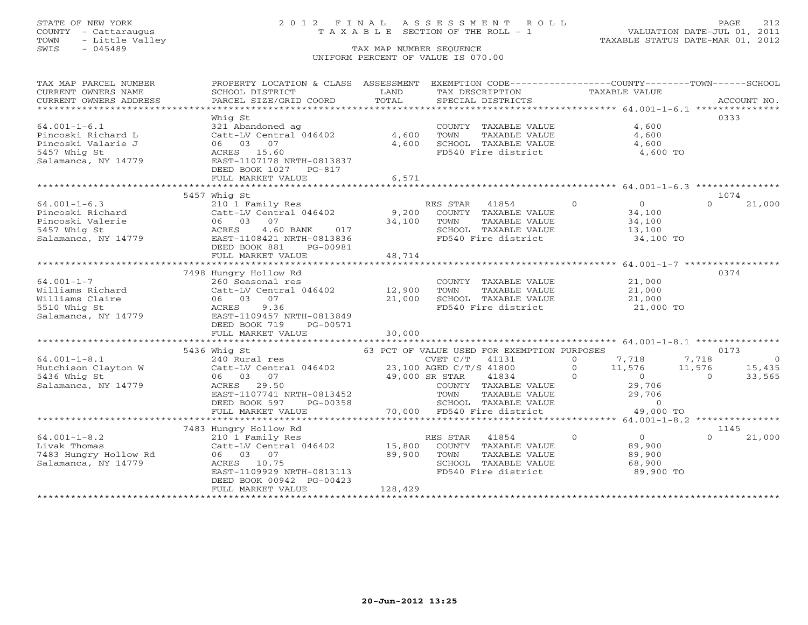# STATE OF NEW YORK 2 0 1 2 F I N A L A S S E S S M E N T R O L L PAGE 212 COUNTY - Cattaraugus T A X A B L E SECTION OF THE ROLL - 1 VALUATION DATE-JUL 01, 2011

| TAX MAP PARCEL NUMBER<br>CURRENT OWNERS NAME                                                                                                                                                                                                                                                                                                                                  | PROPERTY LOCATION & CLASS ASSESSMENT EXEMPTION CODE----------------COUNTY-------TOWN------SCHOOL<br>SCHOOL DISTRICT | LAND          |                | TAX DESCRIPTION                             | TAXABLE VALUE |                  |          |             |
|-------------------------------------------------------------------------------------------------------------------------------------------------------------------------------------------------------------------------------------------------------------------------------------------------------------------------------------------------------------------------------|---------------------------------------------------------------------------------------------------------------------|---------------|----------------|---------------------------------------------|---------------|------------------|----------|-------------|
| CURRENT OWNERS ADDRESS                                                                                                                                                                                                                                                                                                                                                        | PARCEL SIZE/GRID COORD                                                                                              | TOTAL         |                | SPECIAL DISTRICTS                           |               |                  |          | ACCOUNT NO. |
|                                                                                                                                                                                                                                                                                                                                                                               |                                                                                                                     |               |                |                                             |               |                  |          |             |
| $64.001 - 1 - 6.1$                                                                                                                                                                                                                                                                                                                                                            | Whig St<br>321 Abandoned ag                                                                                         |               |                | COUNTY TAXABLE VALUE                        |               | 4,600            | 0333     |             |
| Pincoski Richard L                                                                                                                                                                                                                                                                                                                                                            | Catt-LV Central 046402                                                                                              | 4,600         | TOWN           | TAXABLE VALUE                               |               | 4,600            |          |             |
| Pincoski Valarie J                                                                                                                                                                                                                                                                                                                                                            | 06 03 07                                                                                                            | 4,600         |                | SCHOOL TAXABLE VALUE                        |               | 4,600            |          |             |
| 5457 Whig St                                                                                                                                                                                                                                                                                                                                                                  | ACRES 15.60                                                                                                         |               |                | FD540 Fire district 4,600 TO                |               |                  |          |             |
| Salamanca, NY 14779                                                                                                                                                                                                                                                                                                                                                           | EAST-1107178 NRTH-0813837                                                                                           |               |                |                                             |               |                  |          |             |
|                                                                                                                                                                                                                                                                                                                                                                               | DEED BOOK 1027 PG-817                                                                                               |               |                |                                             |               |                  |          |             |
|                                                                                                                                                                                                                                                                                                                                                                               | FULL MARKET VALUE                                                                                                   | 6,571         |                |                                             |               |                  |          |             |
|                                                                                                                                                                                                                                                                                                                                                                               |                                                                                                                     |               |                |                                             |               |                  |          |             |
|                                                                                                                                                                                                                                                                                                                                                                               | 5457 Whig St                                                                                                        |               |                |                                             |               |                  | 1074     |             |
| $64.001 - 1 - 6.3$                                                                                                                                                                                                                                                                                                                                                            | 210 1 Family Res                                                                                                    |               |                | RES STAR 41854 0                            |               | $\overline{0}$   | $\Omega$ | 21,000      |
| Pincoski Richard                                                                                                                                                                                                                                                                                                                                                              | Catt-LV Central 046402                                                                                              |               |                | 9,200 COUNTY TAXABLE VALUE                  |               | 34,100<br>34,100 |          |             |
| Pincoski Valerie                                                                                                                                                                                                                                                                                                                                                              | 06 03 07                                                                                                            | 34,100        | TOWN           | TAXABLE VALUE                               |               |                  |          |             |
| 5457 Whig St                                                                                                                                                                                                                                                                                                                                                                  | 4.60 BANK 017<br>ACRES                                                                                              |               |                | SCHOOL TAXABLE VALUE<br>FD540 Fire district |               | 13,100           |          |             |
| Salamanca, NY 14779                                                                                                                                                                                                                                                                                                                                                           | EAST-1108421 NRTH-0813836<br>PG-00981                                                                               |               |                |                                             |               | $13,100$ TO      |          |             |
|                                                                                                                                                                                                                                                                                                                                                                               | DEED BOOK 881<br>FULL MARKET VALUE                                                                                  | 48,714        |                |                                             |               |                  |          |             |
|                                                                                                                                                                                                                                                                                                                                                                               | *********************************                                                                                   | ************* |                |                                             |               |                  |          |             |
|                                                                                                                                                                                                                                                                                                                                                                               | 7498 Hungry Hollow Rd                                                                                               |               |                |                                             |               |                  | 0374     |             |
| $64.001 - 1 - 7$                                                                                                                                                                                                                                                                                                                                                              | 260 Seasonal res                                                                                                    |               |                | COUNTY TAXABLE VALUE                        |               | 21,000           |          |             |
| Williams Richard                                                                                                                                                                                                                                                                                                                                                              | Catt-LV Central 046402 12,900                                                                                       |               | TOWN           | TAXABLE VALUE                               |               | 21,000           |          |             |
| Williams Claire                                                                                                                                                                                                                                                                                                                                                               | 06 03 07                                                                                                            | 21,000        |                | SCHOOL TAXABLE VALUE 21,000                 |               |                  |          |             |
| 5510 Whig St                                                                                                                                                                                                                                                                                                                                                                  | 9.36<br>ACRES                                                                                                       |               |                | FD540 Fire district                         |               | 21,000 TO        |          |             |
| Salamanca, NY 14779 EAST-1109457 NRTH-0813849                                                                                                                                                                                                                                                                                                                                 |                                                                                                                     |               |                |                                             |               |                  |          |             |
|                                                                                                                                                                                                                                                                                                                                                                               | DEED BOOK 719<br>PG-00571                                                                                           |               |                |                                             |               |                  |          |             |
|                                                                                                                                                                                                                                                                                                                                                                               | FULL MARKET VALUE                                                                                                   | 30,000        |                |                                             |               |                  |          |             |
|                                                                                                                                                                                                                                                                                                                                                                               |                                                                                                                     |               |                |                                             |               |                  |          |             |
| $\begin{array}{lllllllllllll} 64.001-1-8.1 & 5436\; \text{Whig St} & 63\; \text{PCT OF VALUE USED FOR EXEMENTION PURPOSES} \\ & 240\; \text{Rural res} & \text{CVET C/T} & 41131 & 0 \\ \text{Hutchison Clayton W} & \text{Catt-LV Central 046402} & 23,100\; \text{AGED C/T/S 41800} & 0 \\ & 06 & 03 & 07 & 40\; \text{Rron cm} & \text{SUSC} & \text{SUSC} \\ \end{array}$ |                                                                                                                     |               |                |                                             |               |                  |          |             |
|                                                                                                                                                                                                                                                                                                                                                                               |                                                                                                                     |               |                |                                             |               |                  |          |             |
|                                                                                                                                                                                                                                                                                                                                                                               |                                                                                                                     |               |                |                                             |               |                  |          |             |
| Salamanca, NY 14779                                                                                                                                                                                                                                                                                                                                                           | $49,000$ SR STAR<br>ACRES 29.50                                                                                     |               |                |                                             |               | 29,706           |          |             |
|                                                                                                                                                                                                                                                                                                                                                                               |                                                                                                                     |               |                |                                             |               |                  |          |             |
|                                                                                                                                                                                                                                                                                                                                                                               | EAST-1107741 NRTH-0813452<br>DEED BOOK 597 PG-00358                                                                 |               |                | SCHOOL TAXABLE VALUE                        |               | $\overline{0}$   |          |             |
|                                                                                                                                                                                                                                                                                                                                                                               | FULL MARKET VALUE                                                                                                   |               |                | 70,000 FD540 Fire district 49,000 TO        |               |                  |          |             |
|                                                                                                                                                                                                                                                                                                                                                                               |                                                                                                                     |               |                |                                             |               |                  |          |             |
|                                                                                                                                                                                                                                                                                                                                                                               | 7483 Hungry Hollow Rd                                                                                               |               |                |                                             |               |                  | 1145     |             |
| $64.001 - 1 - 8.2$                                                                                                                                                                                                                                                                                                                                                            | 210 1 Family Res                                                                                                    |               | RES STAR 41854 | $\overline{0}$                              |               | $\overline{0}$   |          | 21,000      |
| Livak Thomas                                                                                                                                                                                                                                                                                                                                                                  | Catt-LV Central 046402                                                                                              | 15,800        |                | COUNTY TAXABLE VALUE                        |               | 89,900           |          |             |
| 7483 Hungry Hollow Rd                                                                                                                                                                                                                                                                                                                                                         | 06 03 07                                                                                                            | 89,900        | TOWN           | TAXABLE VALUE                               |               | 89,900           |          |             |
| Salamanca, NY 14779                                                                                                                                                                                                                                                                                                                                                           | ACRES 10.75                                                                                                         |               |                | SCHOOL TAXABLE VALUE                        |               | 68,900           |          |             |
|                                                                                                                                                                                                                                                                                                                                                                               | EAST-1109929 NRTH-0813113                                                                                           |               |                | FD540 Fire district                         |               | 89,900 TO        |          |             |
|                                                                                                                                                                                                                                                                                                                                                                               | DEED BOOK 00942 PG-00423                                                                                            |               |                |                                             |               |                  |          |             |
|                                                                                                                                                                                                                                                                                                                                                                               | FULL MARKET VALUE                                                                                                   | 128,429       |                |                                             |               |                  |          |             |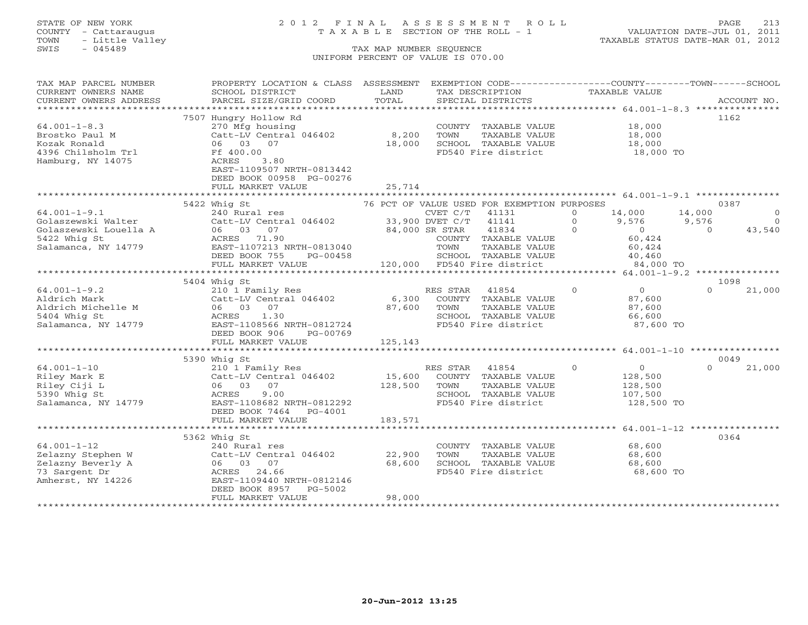# STATE OF NEW YORK 2 0 1 2 F I N A L A S S E S S M E N T R O L L PAGE 213 COUNTY - Cattaraugus T A X A B L E SECTION OF THE ROLL - 1 VALUATION DATE-JUL 01, 2011

| CURRENT OWNERS NAME<br>LAND<br>TAXABLE VALUE<br>SCHOOL DISTRICT<br>TAX DESCRIPTION<br>COUNING THE SERVICE SERVICES TO THE SPECIAL DISTRICTS ACCOUNT NO.<br>TORRENT OWNERS ADDRESS PARCEL SIZE/GRID COORD TOTAL SPECIAL DISTRICTS ACCOUNT NO.<br>ACCOUNT NO.<br>1162<br>7507 Hungry Hollow Rd<br>$64.001 - 1 - 8.3$<br>18,000<br>18,000<br>270 Mfg housing<br>COUNTY TAXABLE VALUE<br>270 mig nousing<br>Catt-LV Central 046402<br>8,200<br>Brostko Paul M<br>TOWN<br>TAXABLE VALUE<br>18,000<br>SCHOOL TAXABLE VALUE<br>Kozak Ronald<br>06 03 07<br>18,000<br>18,000 TO<br>FD540 Fire district<br>4396 Chilsholm Trl<br>Ff 400.00<br>Hamburg, NY 14075<br>ACRES<br>3.80<br>EAST-1109507 NRTH-0813442<br>DEED BOOK 00958 PG-00276<br>25,714<br>FULL MARKET VALUE<br>76 PCT OF VALUE USED FOR EXEMPTION PURPOSES<br>0387<br>5422 Whig St<br>$\overline{0}$<br>$64.001 - 1 - 9.1$<br>CVET C/T<br>41131<br>14,000 14,000<br>9,576 9,576<br>240 Rural res<br>$\Omega$<br>Golaszewski Walter<br>Catt-LV Central 046402 33,900 DVET C/T 41141<br>$\overline{0}$<br>$\overline{0}$<br>$06 \t 03 \t 07$<br>$\overline{0}$<br>$\overline{0}$<br>Golaszewski Louella A<br>84,000 SR STAR<br>41834<br>$\overline{a}$<br>43,540<br>60,424<br>5422 Whig St<br>ACRES 71.90<br>COUNTY TAXABLE VALUE<br>Salamanca, NY 14779<br>EAST-1107213 NRTH-0813040<br>DEED BOOK 755 PG-00458<br>TOWN<br>TAXABLE VALUE<br>60,424<br>40,460<br>SCHOOL TAXABLE VALUE<br>120,000 FD540 Fire district 84,000 TO<br>FULL MARKET VALUE<br>1098<br>5404 Whig St<br>$\begin{array}{c} 0 \\ 87,600 \end{array}$<br>210 1 Family Res<br>$\sim$ 0<br>$\Omega$<br>21,000<br>$64.001 - 1 - 9.2$<br>RES STAR<br>41854<br>Catt-LV Central 046402 6,300 COUNTY TAXABLE VALUE<br>Aldrich Mark<br>87,600 TOWN<br>Aldrich Michelle M<br>06 03 07<br>TAXABLE VALUE<br>87,600<br>SCHOOL TAXABLE VALUE<br>1.30<br>5404 Whig St<br>ACRES<br>66,600<br>EAST-1108566 NRTH-0812724<br>FD540 Fire district<br>Salamanca, NY 14779<br>87,600 TO<br>DEED BOOK 906<br>PG-00769<br>125,143<br>FULL MARKET VALUE<br>0049<br>5390 Whig St<br>210 1 Family Res<br>Catt-LV Central 046402 (15,600 COUNTY TAXABLE VALUE<br>06 03 07 128,500 TOWN TAXABLE VALUE<br>$\overline{0}$<br>$64.001 - 1 - 10$<br>$\sim$ 0<br>$\Omega$<br>21,000<br>Riley Mark E<br>128,500<br>Riley Ciji L<br>128,500<br>5390 Whig St<br>ACRES<br>9.00<br>SCHOOL TAXABLE VALUE<br>107,500<br>Salamanca, NY 14779<br>FD540 Fire district<br>EAST-1108682 NRTH-0812292<br>128,500 TO<br>DEED BOOK 7464 PG-4001<br>183,571<br>FULL MARKET VALUE<br>0364<br>5362 Whig St<br>$64.001 - 1 - 12$<br>68,600<br>240 Rural res<br>COUNTY TAXABLE VALUE<br>240 Rural res<br>Catt-LV Central 046402<br>68,600<br>22,900<br>Zelazny Stephen W<br>TOWN<br>TAXABLE VALUE<br>06 03 07<br>68,600<br>SCHOOL TAXABLE VALUE<br>FD540 Fire district<br>Zelazny Beverly A<br>68,600<br>73 Sargent Dr<br>ACRES<br>24.66<br>68,600 TO<br>Amherst, NY 14226<br>EAST-1109440 NRTH-0812146<br>DEED BOOK 8957<br>PG-5002<br>98,000<br>FULL MARKET VALUE | TAX MAP PARCEL NUMBER | PROPERTY LOCATION & CLASS ASSESSMENT | EXEMPTION CODE-----------------COUNTY-------TOWN------SCHOOL |  |
|-------------------------------------------------------------------------------------------------------------------------------------------------------------------------------------------------------------------------------------------------------------------------------------------------------------------------------------------------------------------------------------------------------------------------------------------------------------------------------------------------------------------------------------------------------------------------------------------------------------------------------------------------------------------------------------------------------------------------------------------------------------------------------------------------------------------------------------------------------------------------------------------------------------------------------------------------------------------------------------------------------------------------------------------------------------------------------------------------------------------------------------------------------------------------------------------------------------------------------------------------------------------------------------------------------------------------------------------------------------------------------------------------------------------------------------------------------------------------------------------------------------------------------------------------------------------------------------------------------------------------------------------------------------------------------------------------------------------------------------------------------------------------------------------------------------------------------------------------------------------------------------------------------------------------------------------------------------------------------------------------------------------------------------------------------------------------------------------------------------------------------------------------------------------------------------------------------------------------------------------------------------------------------------------------------------------------------------------------------------------------------------------------------------------------------------------------------------------------------------------------------------------------------------------------------------------------------------------------------------------------------------------------------------------------------------------------------------------------------------------------------------------------------------------------------------------------------------------------------------------------------------------------------------------------------------------------------------------------------------------------------------------------------------|-----------------------|--------------------------------------|--------------------------------------------------------------|--|
|                                                                                                                                                                                                                                                                                                                                                                                                                                                                                                                                                                                                                                                                                                                                                                                                                                                                                                                                                                                                                                                                                                                                                                                                                                                                                                                                                                                                                                                                                                                                                                                                                                                                                                                                                                                                                                                                                                                                                                                                                                                                                                                                                                                                                                                                                                                                                                                                                                                                                                                                                                                                                                                                                                                                                                                                                                                                                                                                                                                                                                     |                       |                                      |                                                              |  |
|                                                                                                                                                                                                                                                                                                                                                                                                                                                                                                                                                                                                                                                                                                                                                                                                                                                                                                                                                                                                                                                                                                                                                                                                                                                                                                                                                                                                                                                                                                                                                                                                                                                                                                                                                                                                                                                                                                                                                                                                                                                                                                                                                                                                                                                                                                                                                                                                                                                                                                                                                                                                                                                                                                                                                                                                                                                                                                                                                                                                                                     |                       |                                      |                                                              |  |
|                                                                                                                                                                                                                                                                                                                                                                                                                                                                                                                                                                                                                                                                                                                                                                                                                                                                                                                                                                                                                                                                                                                                                                                                                                                                                                                                                                                                                                                                                                                                                                                                                                                                                                                                                                                                                                                                                                                                                                                                                                                                                                                                                                                                                                                                                                                                                                                                                                                                                                                                                                                                                                                                                                                                                                                                                                                                                                                                                                                                                                     |                       |                                      |                                                              |  |
|                                                                                                                                                                                                                                                                                                                                                                                                                                                                                                                                                                                                                                                                                                                                                                                                                                                                                                                                                                                                                                                                                                                                                                                                                                                                                                                                                                                                                                                                                                                                                                                                                                                                                                                                                                                                                                                                                                                                                                                                                                                                                                                                                                                                                                                                                                                                                                                                                                                                                                                                                                                                                                                                                                                                                                                                                                                                                                                                                                                                                                     |                       |                                      |                                                              |  |
|                                                                                                                                                                                                                                                                                                                                                                                                                                                                                                                                                                                                                                                                                                                                                                                                                                                                                                                                                                                                                                                                                                                                                                                                                                                                                                                                                                                                                                                                                                                                                                                                                                                                                                                                                                                                                                                                                                                                                                                                                                                                                                                                                                                                                                                                                                                                                                                                                                                                                                                                                                                                                                                                                                                                                                                                                                                                                                                                                                                                                                     |                       |                                      |                                                              |  |
|                                                                                                                                                                                                                                                                                                                                                                                                                                                                                                                                                                                                                                                                                                                                                                                                                                                                                                                                                                                                                                                                                                                                                                                                                                                                                                                                                                                                                                                                                                                                                                                                                                                                                                                                                                                                                                                                                                                                                                                                                                                                                                                                                                                                                                                                                                                                                                                                                                                                                                                                                                                                                                                                                                                                                                                                                                                                                                                                                                                                                                     |                       |                                      |                                                              |  |
|                                                                                                                                                                                                                                                                                                                                                                                                                                                                                                                                                                                                                                                                                                                                                                                                                                                                                                                                                                                                                                                                                                                                                                                                                                                                                                                                                                                                                                                                                                                                                                                                                                                                                                                                                                                                                                                                                                                                                                                                                                                                                                                                                                                                                                                                                                                                                                                                                                                                                                                                                                                                                                                                                                                                                                                                                                                                                                                                                                                                                                     |                       |                                      |                                                              |  |
|                                                                                                                                                                                                                                                                                                                                                                                                                                                                                                                                                                                                                                                                                                                                                                                                                                                                                                                                                                                                                                                                                                                                                                                                                                                                                                                                                                                                                                                                                                                                                                                                                                                                                                                                                                                                                                                                                                                                                                                                                                                                                                                                                                                                                                                                                                                                                                                                                                                                                                                                                                                                                                                                                                                                                                                                                                                                                                                                                                                                                                     |                       |                                      |                                                              |  |
|                                                                                                                                                                                                                                                                                                                                                                                                                                                                                                                                                                                                                                                                                                                                                                                                                                                                                                                                                                                                                                                                                                                                                                                                                                                                                                                                                                                                                                                                                                                                                                                                                                                                                                                                                                                                                                                                                                                                                                                                                                                                                                                                                                                                                                                                                                                                                                                                                                                                                                                                                                                                                                                                                                                                                                                                                                                                                                                                                                                                                                     |                       |                                      |                                                              |  |
|                                                                                                                                                                                                                                                                                                                                                                                                                                                                                                                                                                                                                                                                                                                                                                                                                                                                                                                                                                                                                                                                                                                                                                                                                                                                                                                                                                                                                                                                                                                                                                                                                                                                                                                                                                                                                                                                                                                                                                                                                                                                                                                                                                                                                                                                                                                                                                                                                                                                                                                                                                                                                                                                                                                                                                                                                                                                                                                                                                                                                                     |                       |                                      |                                                              |  |
|                                                                                                                                                                                                                                                                                                                                                                                                                                                                                                                                                                                                                                                                                                                                                                                                                                                                                                                                                                                                                                                                                                                                                                                                                                                                                                                                                                                                                                                                                                                                                                                                                                                                                                                                                                                                                                                                                                                                                                                                                                                                                                                                                                                                                                                                                                                                                                                                                                                                                                                                                                                                                                                                                                                                                                                                                                                                                                                                                                                                                                     |                       |                                      |                                                              |  |
|                                                                                                                                                                                                                                                                                                                                                                                                                                                                                                                                                                                                                                                                                                                                                                                                                                                                                                                                                                                                                                                                                                                                                                                                                                                                                                                                                                                                                                                                                                                                                                                                                                                                                                                                                                                                                                                                                                                                                                                                                                                                                                                                                                                                                                                                                                                                                                                                                                                                                                                                                                                                                                                                                                                                                                                                                                                                                                                                                                                                                                     |                       |                                      |                                                              |  |
|                                                                                                                                                                                                                                                                                                                                                                                                                                                                                                                                                                                                                                                                                                                                                                                                                                                                                                                                                                                                                                                                                                                                                                                                                                                                                                                                                                                                                                                                                                                                                                                                                                                                                                                                                                                                                                                                                                                                                                                                                                                                                                                                                                                                                                                                                                                                                                                                                                                                                                                                                                                                                                                                                                                                                                                                                                                                                                                                                                                                                                     |                       |                                      |                                                              |  |
|                                                                                                                                                                                                                                                                                                                                                                                                                                                                                                                                                                                                                                                                                                                                                                                                                                                                                                                                                                                                                                                                                                                                                                                                                                                                                                                                                                                                                                                                                                                                                                                                                                                                                                                                                                                                                                                                                                                                                                                                                                                                                                                                                                                                                                                                                                                                                                                                                                                                                                                                                                                                                                                                                                                                                                                                                                                                                                                                                                                                                                     |                       |                                      |                                                              |  |
|                                                                                                                                                                                                                                                                                                                                                                                                                                                                                                                                                                                                                                                                                                                                                                                                                                                                                                                                                                                                                                                                                                                                                                                                                                                                                                                                                                                                                                                                                                                                                                                                                                                                                                                                                                                                                                                                                                                                                                                                                                                                                                                                                                                                                                                                                                                                                                                                                                                                                                                                                                                                                                                                                                                                                                                                                                                                                                                                                                                                                                     |                       |                                      |                                                              |  |
|                                                                                                                                                                                                                                                                                                                                                                                                                                                                                                                                                                                                                                                                                                                                                                                                                                                                                                                                                                                                                                                                                                                                                                                                                                                                                                                                                                                                                                                                                                                                                                                                                                                                                                                                                                                                                                                                                                                                                                                                                                                                                                                                                                                                                                                                                                                                                                                                                                                                                                                                                                                                                                                                                                                                                                                                                                                                                                                                                                                                                                     |                       |                                      |                                                              |  |
|                                                                                                                                                                                                                                                                                                                                                                                                                                                                                                                                                                                                                                                                                                                                                                                                                                                                                                                                                                                                                                                                                                                                                                                                                                                                                                                                                                                                                                                                                                                                                                                                                                                                                                                                                                                                                                                                                                                                                                                                                                                                                                                                                                                                                                                                                                                                                                                                                                                                                                                                                                                                                                                                                                                                                                                                                                                                                                                                                                                                                                     |                       |                                      |                                                              |  |
|                                                                                                                                                                                                                                                                                                                                                                                                                                                                                                                                                                                                                                                                                                                                                                                                                                                                                                                                                                                                                                                                                                                                                                                                                                                                                                                                                                                                                                                                                                                                                                                                                                                                                                                                                                                                                                                                                                                                                                                                                                                                                                                                                                                                                                                                                                                                                                                                                                                                                                                                                                                                                                                                                                                                                                                                                                                                                                                                                                                                                                     |                       |                                      |                                                              |  |
|                                                                                                                                                                                                                                                                                                                                                                                                                                                                                                                                                                                                                                                                                                                                                                                                                                                                                                                                                                                                                                                                                                                                                                                                                                                                                                                                                                                                                                                                                                                                                                                                                                                                                                                                                                                                                                                                                                                                                                                                                                                                                                                                                                                                                                                                                                                                                                                                                                                                                                                                                                                                                                                                                                                                                                                                                                                                                                                                                                                                                                     |                       |                                      |                                                              |  |
|                                                                                                                                                                                                                                                                                                                                                                                                                                                                                                                                                                                                                                                                                                                                                                                                                                                                                                                                                                                                                                                                                                                                                                                                                                                                                                                                                                                                                                                                                                                                                                                                                                                                                                                                                                                                                                                                                                                                                                                                                                                                                                                                                                                                                                                                                                                                                                                                                                                                                                                                                                                                                                                                                                                                                                                                                                                                                                                                                                                                                                     |                       |                                      |                                                              |  |
|                                                                                                                                                                                                                                                                                                                                                                                                                                                                                                                                                                                                                                                                                                                                                                                                                                                                                                                                                                                                                                                                                                                                                                                                                                                                                                                                                                                                                                                                                                                                                                                                                                                                                                                                                                                                                                                                                                                                                                                                                                                                                                                                                                                                                                                                                                                                                                                                                                                                                                                                                                                                                                                                                                                                                                                                                                                                                                                                                                                                                                     |                       |                                      |                                                              |  |
|                                                                                                                                                                                                                                                                                                                                                                                                                                                                                                                                                                                                                                                                                                                                                                                                                                                                                                                                                                                                                                                                                                                                                                                                                                                                                                                                                                                                                                                                                                                                                                                                                                                                                                                                                                                                                                                                                                                                                                                                                                                                                                                                                                                                                                                                                                                                                                                                                                                                                                                                                                                                                                                                                                                                                                                                                                                                                                                                                                                                                                     |                       |                                      |                                                              |  |
|                                                                                                                                                                                                                                                                                                                                                                                                                                                                                                                                                                                                                                                                                                                                                                                                                                                                                                                                                                                                                                                                                                                                                                                                                                                                                                                                                                                                                                                                                                                                                                                                                                                                                                                                                                                                                                                                                                                                                                                                                                                                                                                                                                                                                                                                                                                                                                                                                                                                                                                                                                                                                                                                                                                                                                                                                                                                                                                                                                                                                                     |                       |                                      |                                                              |  |
|                                                                                                                                                                                                                                                                                                                                                                                                                                                                                                                                                                                                                                                                                                                                                                                                                                                                                                                                                                                                                                                                                                                                                                                                                                                                                                                                                                                                                                                                                                                                                                                                                                                                                                                                                                                                                                                                                                                                                                                                                                                                                                                                                                                                                                                                                                                                                                                                                                                                                                                                                                                                                                                                                                                                                                                                                                                                                                                                                                                                                                     |                       |                                      |                                                              |  |
|                                                                                                                                                                                                                                                                                                                                                                                                                                                                                                                                                                                                                                                                                                                                                                                                                                                                                                                                                                                                                                                                                                                                                                                                                                                                                                                                                                                                                                                                                                                                                                                                                                                                                                                                                                                                                                                                                                                                                                                                                                                                                                                                                                                                                                                                                                                                                                                                                                                                                                                                                                                                                                                                                                                                                                                                                                                                                                                                                                                                                                     |                       |                                      |                                                              |  |
|                                                                                                                                                                                                                                                                                                                                                                                                                                                                                                                                                                                                                                                                                                                                                                                                                                                                                                                                                                                                                                                                                                                                                                                                                                                                                                                                                                                                                                                                                                                                                                                                                                                                                                                                                                                                                                                                                                                                                                                                                                                                                                                                                                                                                                                                                                                                                                                                                                                                                                                                                                                                                                                                                                                                                                                                                                                                                                                                                                                                                                     |                       |                                      |                                                              |  |
|                                                                                                                                                                                                                                                                                                                                                                                                                                                                                                                                                                                                                                                                                                                                                                                                                                                                                                                                                                                                                                                                                                                                                                                                                                                                                                                                                                                                                                                                                                                                                                                                                                                                                                                                                                                                                                                                                                                                                                                                                                                                                                                                                                                                                                                                                                                                                                                                                                                                                                                                                                                                                                                                                                                                                                                                                                                                                                                                                                                                                                     |                       |                                      |                                                              |  |
|                                                                                                                                                                                                                                                                                                                                                                                                                                                                                                                                                                                                                                                                                                                                                                                                                                                                                                                                                                                                                                                                                                                                                                                                                                                                                                                                                                                                                                                                                                                                                                                                                                                                                                                                                                                                                                                                                                                                                                                                                                                                                                                                                                                                                                                                                                                                                                                                                                                                                                                                                                                                                                                                                                                                                                                                                                                                                                                                                                                                                                     |                       |                                      |                                                              |  |
|                                                                                                                                                                                                                                                                                                                                                                                                                                                                                                                                                                                                                                                                                                                                                                                                                                                                                                                                                                                                                                                                                                                                                                                                                                                                                                                                                                                                                                                                                                                                                                                                                                                                                                                                                                                                                                                                                                                                                                                                                                                                                                                                                                                                                                                                                                                                                                                                                                                                                                                                                                                                                                                                                                                                                                                                                                                                                                                                                                                                                                     |                       |                                      |                                                              |  |
|                                                                                                                                                                                                                                                                                                                                                                                                                                                                                                                                                                                                                                                                                                                                                                                                                                                                                                                                                                                                                                                                                                                                                                                                                                                                                                                                                                                                                                                                                                                                                                                                                                                                                                                                                                                                                                                                                                                                                                                                                                                                                                                                                                                                                                                                                                                                                                                                                                                                                                                                                                                                                                                                                                                                                                                                                                                                                                                                                                                                                                     |                       |                                      |                                                              |  |
|                                                                                                                                                                                                                                                                                                                                                                                                                                                                                                                                                                                                                                                                                                                                                                                                                                                                                                                                                                                                                                                                                                                                                                                                                                                                                                                                                                                                                                                                                                                                                                                                                                                                                                                                                                                                                                                                                                                                                                                                                                                                                                                                                                                                                                                                                                                                                                                                                                                                                                                                                                                                                                                                                                                                                                                                                                                                                                                                                                                                                                     |                       |                                      |                                                              |  |
|                                                                                                                                                                                                                                                                                                                                                                                                                                                                                                                                                                                                                                                                                                                                                                                                                                                                                                                                                                                                                                                                                                                                                                                                                                                                                                                                                                                                                                                                                                                                                                                                                                                                                                                                                                                                                                                                                                                                                                                                                                                                                                                                                                                                                                                                                                                                                                                                                                                                                                                                                                                                                                                                                                                                                                                                                                                                                                                                                                                                                                     |                       |                                      |                                                              |  |
|                                                                                                                                                                                                                                                                                                                                                                                                                                                                                                                                                                                                                                                                                                                                                                                                                                                                                                                                                                                                                                                                                                                                                                                                                                                                                                                                                                                                                                                                                                                                                                                                                                                                                                                                                                                                                                                                                                                                                                                                                                                                                                                                                                                                                                                                                                                                                                                                                                                                                                                                                                                                                                                                                                                                                                                                                                                                                                                                                                                                                                     |                       |                                      |                                                              |  |
|                                                                                                                                                                                                                                                                                                                                                                                                                                                                                                                                                                                                                                                                                                                                                                                                                                                                                                                                                                                                                                                                                                                                                                                                                                                                                                                                                                                                                                                                                                                                                                                                                                                                                                                                                                                                                                                                                                                                                                                                                                                                                                                                                                                                                                                                                                                                                                                                                                                                                                                                                                                                                                                                                                                                                                                                                                                                                                                                                                                                                                     |                       |                                      |                                                              |  |
|                                                                                                                                                                                                                                                                                                                                                                                                                                                                                                                                                                                                                                                                                                                                                                                                                                                                                                                                                                                                                                                                                                                                                                                                                                                                                                                                                                                                                                                                                                                                                                                                                                                                                                                                                                                                                                                                                                                                                                                                                                                                                                                                                                                                                                                                                                                                                                                                                                                                                                                                                                                                                                                                                                                                                                                                                                                                                                                                                                                                                                     |                       |                                      |                                                              |  |
|                                                                                                                                                                                                                                                                                                                                                                                                                                                                                                                                                                                                                                                                                                                                                                                                                                                                                                                                                                                                                                                                                                                                                                                                                                                                                                                                                                                                                                                                                                                                                                                                                                                                                                                                                                                                                                                                                                                                                                                                                                                                                                                                                                                                                                                                                                                                                                                                                                                                                                                                                                                                                                                                                                                                                                                                                                                                                                                                                                                                                                     |                       |                                      |                                                              |  |
|                                                                                                                                                                                                                                                                                                                                                                                                                                                                                                                                                                                                                                                                                                                                                                                                                                                                                                                                                                                                                                                                                                                                                                                                                                                                                                                                                                                                                                                                                                                                                                                                                                                                                                                                                                                                                                                                                                                                                                                                                                                                                                                                                                                                                                                                                                                                                                                                                                                                                                                                                                                                                                                                                                                                                                                                                                                                                                                                                                                                                                     |                       |                                      |                                                              |  |
|                                                                                                                                                                                                                                                                                                                                                                                                                                                                                                                                                                                                                                                                                                                                                                                                                                                                                                                                                                                                                                                                                                                                                                                                                                                                                                                                                                                                                                                                                                                                                                                                                                                                                                                                                                                                                                                                                                                                                                                                                                                                                                                                                                                                                                                                                                                                                                                                                                                                                                                                                                                                                                                                                                                                                                                                                                                                                                                                                                                                                                     |                       |                                      |                                                              |  |
|                                                                                                                                                                                                                                                                                                                                                                                                                                                                                                                                                                                                                                                                                                                                                                                                                                                                                                                                                                                                                                                                                                                                                                                                                                                                                                                                                                                                                                                                                                                                                                                                                                                                                                                                                                                                                                                                                                                                                                                                                                                                                                                                                                                                                                                                                                                                                                                                                                                                                                                                                                                                                                                                                                                                                                                                                                                                                                                                                                                                                                     |                       |                                      |                                                              |  |
|                                                                                                                                                                                                                                                                                                                                                                                                                                                                                                                                                                                                                                                                                                                                                                                                                                                                                                                                                                                                                                                                                                                                                                                                                                                                                                                                                                                                                                                                                                                                                                                                                                                                                                                                                                                                                                                                                                                                                                                                                                                                                                                                                                                                                                                                                                                                                                                                                                                                                                                                                                                                                                                                                                                                                                                                                                                                                                                                                                                                                                     |                       |                                      |                                                              |  |
|                                                                                                                                                                                                                                                                                                                                                                                                                                                                                                                                                                                                                                                                                                                                                                                                                                                                                                                                                                                                                                                                                                                                                                                                                                                                                                                                                                                                                                                                                                                                                                                                                                                                                                                                                                                                                                                                                                                                                                                                                                                                                                                                                                                                                                                                                                                                                                                                                                                                                                                                                                                                                                                                                                                                                                                                                                                                                                                                                                                                                                     |                       |                                      |                                                              |  |
|                                                                                                                                                                                                                                                                                                                                                                                                                                                                                                                                                                                                                                                                                                                                                                                                                                                                                                                                                                                                                                                                                                                                                                                                                                                                                                                                                                                                                                                                                                                                                                                                                                                                                                                                                                                                                                                                                                                                                                                                                                                                                                                                                                                                                                                                                                                                                                                                                                                                                                                                                                                                                                                                                                                                                                                                                                                                                                                                                                                                                                     |                       |                                      |                                                              |  |
|                                                                                                                                                                                                                                                                                                                                                                                                                                                                                                                                                                                                                                                                                                                                                                                                                                                                                                                                                                                                                                                                                                                                                                                                                                                                                                                                                                                                                                                                                                                                                                                                                                                                                                                                                                                                                                                                                                                                                                                                                                                                                                                                                                                                                                                                                                                                                                                                                                                                                                                                                                                                                                                                                                                                                                                                                                                                                                                                                                                                                                     |                       |                                      |                                                              |  |
|                                                                                                                                                                                                                                                                                                                                                                                                                                                                                                                                                                                                                                                                                                                                                                                                                                                                                                                                                                                                                                                                                                                                                                                                                                                                                                                                                                                                                                                                                                                                                                                                                                                                                                                                                                                                                                                                                                                                                                                                                                                                                                                                                                                                                                                                                                                                                                                                                                                                                                                                                                                                                                                                                                                                                                                                                                                                                                                                                                                                                                     |                       |                                      |                                                              |  |
|                                                                                                                                                                                                                                                                                                                                                                                                                                                                                                                                                                                                                                                                                                                                                                                                                                                                                                                                                                                                                                                                                                                                                                                                                                                                                                                                                                                                                                                                                                                                                                                                                                                                                                                                                                                                                                                                                                                                                                                                                                                                                                                                                                                                                                                                                                                                                                                                                                                                                                                                                                                                                                                                                                                                                                                                                                                                                                                                                                                                                                     |                       |                                      |                                                              |  |
|                                                                                                                                                                                                                                                                                                                                                                                                                                                                                                                                                                                                                                                                                                                                                                                                                                                                                                                                                                                                                                                                                                                                                                                                                                                                                                                                                                                                                                                                                                                                                                                                                                                                                                                                                                                                                                                                                                                                                                                                                                                                                                                                                                                                                                                                                                                                                                                                                                                                                                                                                                                                                                                                                                                                                                                                                                                                                                                                                                                                                                     |                       |                                      |                                                              |  |
|                                                                                                                                                                                                                                                                                                                                                                                                                                                                                                                                                                                                                                                                                                                                                                                                                                                                                                                                                                                                                                                                                                                                                                                                                                                                                                                                                                                                                                                                                                                                                                                                                                                                                                                                                                                                                                                                                                                                                                                                                                                                                                                                                                                                                                                                                                                                                                                                                                                                                                                                                                                                                                                                                                                                                                                                                                                                                                                                                                                                                                     |                       |                                      |                                                              |  |
|                                                                                                                                                                                                                                                                                                                                                                                                                                                                                                                                                                                                                                                                                                                                                                                                                                                                                                                                                                                                                                                                                                                                                                                                                                                                                                                                                                                                                                                                                                                                                                                                                                                                                                                                                                                                                                                                                                                                                                                                                                                                                                                                                                                                                                                                                                                                                                                                                                                                                                                                                                                                                                                                                                                                                                                                                                                                                                                                                                                                                                     |                       |                                      |                                                              |  |
|                                                                                                                                                                                                                                                                                                                                                                                                                                                                                                                                                                                                                                                                                                                                                                                                                                                                                                                                                                                                                                                                                                                                                                                                                                                                                                                                                                                                                                                                                                                                                                                                                                                                                                                                                                                                                                                                                                                                                                                                                                                                                                                                                                                                                                                                                                                                                                                                                                                                                                                                                                                                                                                                                                                                                                                                                                                                                                                                                                                                                                     |                       |                                      |                                                              |  |
|                                                                                                                                                                                                                                                                                                                                                                                                                                                                                                                                                                                                                                                                                                                                                                                                                                                                                                                                                                                                                                                                                                                                                                                                                                                                                                                                                                                                                                                                                                                                                                                                                                                                                                                                                                                                                                                                                                                                                                                                                                                                                                                                                                                                                                                                                                                                                                                                                                                                                                                                                                                                                                                                                                                                                                                                                                                                                                                                                                                                                                     |                       |                                      |                                                              |  |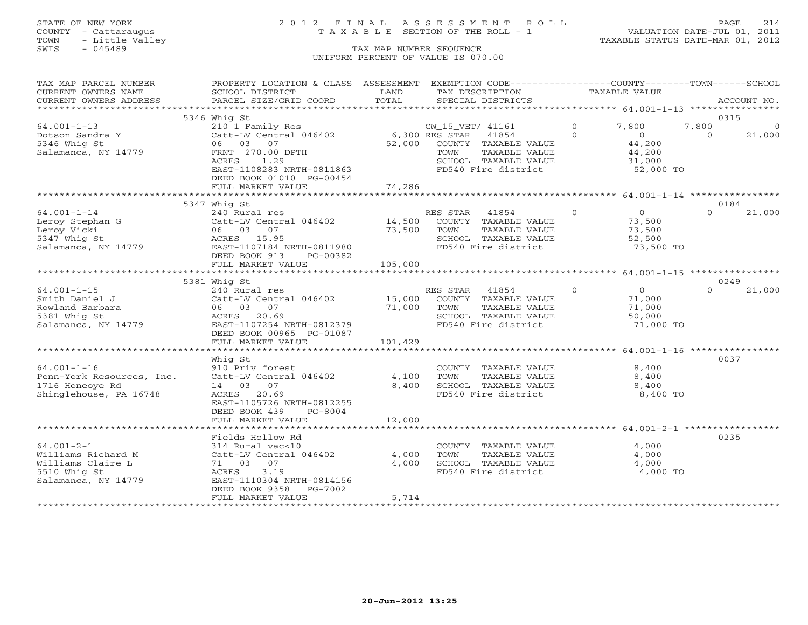# STATE OF NEW YORK 2 0 1 2 F I N A L A S S E S S M E N T R O L L PAGE 214 COUNTY - Cattaraugus T A X A B L E SECTION OF THE ROLL - 1 VALUATION DATE-JUL 01, 2011

| CURRENT OWNERS NAME<br>LAND<br>TAXABLE VALUE<br>SCHOOL DISTRICT<br>TAX DESCRIPTION<br>TOTAL<br>CURRENT OWNERS ADDRESS<br>PARCEL SIZE/GRID COORD<br>SPECIAL DISTRICTS<br>ACCOUNT NO.<br>0315<br>5346 Whig St<br>$64.001 - 1 - 13$<br>7,800<br>7,800<br>210 1 Family Res<br>CW_15_VET/ 41161<br>$\circ$<br>0<br>6,300 RES STAR 41854<br>$\Omega$<br>Catt-LV Central 046402<br>$\Omega$<br>$\Omega$<br>21,000<br>Dotson Sandra Y<br>5346 Whig St<br>06 03 07<br>52,000<br>COUNTY TAXABLE VALUE<br>44,200<br>FRNT 270.00 DPTH<br>TAXABLE VALUE<br>44,200<br>Salamanca, NY 14779<br>TOWN<br>ACRES<br>1.29<br>SCHOOL TAXABLE VALUE<br>31,000<br>EAST-1108283 NRTH-0811863<br>FD540 Fire district<br>52,000 TO<br>DEED BOOK 01010 PG-00454<br>74,286<br>FULL MARKET VALUE<br>5347 Whig St<br>0184<br>$\Omega$<br>$\overline{0}$<br>21,000<br>$64.001 - 1 - 14$<br>RES STAR<br>41854<br>$\Omega$<br>240 Rural res<br>14,500<br>COUNTY TAXABLE VALUE<br>Leroy Stephan G<br>Catt-LV Central 046402<br>73,500<br>73,500<br>Leroy Vicki<br>TOWN<br>TAXABLE VALUE<br>73,500<br>06 03 07<br>ACRES 15.95<br>5347 Whig St<br>SCHOOL TAXABLE VALUE<br>52,500<br>Salamanca, NY 14779<br>EAST-1107184 NRTH-0811980<br>FD540 Fire district<br>73,500 TO<br>DEED BOOK 913<br>PG-00382<br>105,000<br>FULL MARKET VALUE<br>0249<br>5381 Whig St<br>$\Omega$<br>$\overline{0}$<br>$64.001 - 1 - 15$<br>240 Rural res<br>RES STAR<br>41854<br>$\Omega$<br>21,000<br>Catt-LV Central 046402 15,000<br>Smith Daniel J<br>COUNTY TAXABLE VALUE<br>71,000<br>Rowland Barbara<br>06 03 07<br>71,000<br>TOWN<br>TAXABLE VALUE<br>71,000<br>5381 Whig St<br>ACRES 20.69<br>SCHOOL TAXABLE VALUE<br>50,000<br>Salamanca, NY 14779<br>EAST-1107254 NRTH-0812379<br>FD540 Fire district<br>71,000 TO<br>DEED BOOK 00965 PG-01087<br>101,429<br>FULL MARKET VALUE<br>0037<br>Whiq St<br>$64.001 - 1 - 16$<br>COUNTY TAXABLE VALUE<br>8,400<br>910 Priv forest<br>Penn-York Resources, Inc.<br>Catt-LV Central 046402<br>4,100<br>8,400<br>TOWN<br>TAXABLE VALUE<br>1716 Honeoye Rd<br>14 03 07<br>8,400<br>SCHOOL TAXABLE VALUE<br>8,400<br>FD540 Fire district<br>Shinglehouse, PA 16748<br>ACRES 20.69<br>8,400 TO<br>EAST-1105726 NRTH-0812255<br>DEED BOOK 439<br>PG-8004<br>12,000<br>FULL MARKET VALUE<br>************<br>0235<br>Fields Hollow Rd<br>$64.001 - 2 - 1$<br>4,000<br>314 Rural vac<10<br>COUNTY TAXABLE VALUE<br>4,000<br>4,000<br>Williams Richard M<br>Catt-LV Central 046402<br>TOWN<br>TAXABLE VALUE<br>Williams Claire L<br>71 03 07<br>4,000<br>SCHOOL TAXABLE VALUE<br>4,000<br>3.19<br>4,000 TO<br>5510 Whig St<br>ACRES<br>FD540 Fire district<br>Salamanca, NY 14779<br>EAST-1110304 NRTH-0814156<br>DEED BOOK 9358 PG-7002<br>5,714<br>FULL MARKET VALUE | TAX MAP PARCEL NUMBER | PROPERTY LOCATION & CLASS ASSESSMENT | EXEMPTION CODE-----------------COUNTY-------TOWN------SCHOOL |  |  |
|-----------------------------------------------------------------------------------------------------------------------------------------------------------------------------------------------------------------------------------------------------------------------------------------------------------------------------------------------------------------------------------------------------------------------------------------------------------------------------------------------------------------------------------------------------------------------------------------------------------------------------------------------------------------------------------------------------------------------------------------------------------------------------------------------------------------------------------------------------------------------------------------------------------------------------------------------------------------------------------------------------------------------------------------------------------------------------------------------------------------------------------------------------------------------------------------------------------------------------------------------------------------------------------------------------------------------------------------------------------------------------------------------------------------------------------------------------------------------------------------------------------------------------------------------------------------------------------------------------------------------------------------------------------------------------------------------------------------------------------------------------------------------------------------------------------------------------------------------------------------------------------------------------------------------------------------------------------------------------------------------------------------------------------------------------------------------------------------------------------------------------------------------------------------------------------------------------------------------------------------------------------------------------------------------------------------------------------------------------------------------------------------------------------------------------------------------------------------------------------------------------------------------------------------------------------------------------------------------------------------------------------------------------------------------------------------------------------------------------------------------------|-----------------------|--------------------------------------|--------------------------------------------------------------|--|--|
|                                                                                                                                                                                                                                                                                                                                                                                                                                                                                                                                                                                                                                                                                                                                                                                                                                                                                                                                                                                                                                                                                                                                                                                                                                                                                                                                                                                                                                                                                                                                                                                                                                                                                                                                                                                                                                                                                                                                                                                                                                                                                                                                                                                                                                                                                                                                                                                                                                                                                                                                                                                                                                                                                                                                                     |                       |                                      |                                                              |  |  |
|                                                                                                                                                                                                                                                                                                                                                                                                                                                                                                                                                                                                                                                                                                                                                                                                                                                                                                                                                                                                                                                                                                                                                                                                                                                                                                                                                                                                                                                                                                                                                                                                                                                                                                                                                                                                                                                                                                                                                                                                                                                                                                                                                                                                                                                                                                                                                                                                                                                                                                                                                                                                                                                                                                                                                     |                       |                                      |                                                              |  |  |
|                                                                                                                                                                                                                                                                                                                                                                                                                                                                                                                                                                                                                                                                                                                                                                                                                                                                                                                                                                                                                                                                                                                                                                                                                                                                                                                                                                                                                                                                                                                                                                                                                                                                                                                                                                                                                                                                                                                                                                                                                                                                                                                                                                                                                                                                                                                                                                                                                                                                                                                                                                                                                                                                                                                                                     |                       |                                      |                                                              |  |  |
|                                                                                                                                                                                                                                                                                                                                                                                                                                                                                                                                                                                                                                                                                                                                                                                                                                                                                                                                                                                                                                                                                                                                                                                                                                                                                                                                                                                                                                                                                                                                                                                                                                                                                                                                                                                                                                                                                                                                                                                                                                                                                                                                                                                                                                                                                                                                                                                                                                                                                                                                                                                                                                                                                                                                                     |                       |                                      |                                                              |  |  |
|                                                                                                                                                                                                                                                                                                                                                                                                                                                                                                                                                                                                                                                                                                                                                                                                                                                                                                                                                                                                                                                                                                                                                                                                                                                                                                                                                                                                                                                                                                                                                                                                                                                                                                                                                                                                                                                                                                                                                                                                                                                                                                                                                                                                                                                                                                                                                                                                                                                                                                                                                                                                                                                                                                                                                     |                       |                                      |                                                              |  |  |
|                                                                                                                                                                                                                                                                                                                                                                                                                                                                                                                                                                                                                                                                                                                                                                                                                                                                                                                                                                                                                                                                                                                                                                                                                                                                                                                                                                                                                                                                                                                                                                                                                                                                                                                                                                                                                                                                                                                                                                                                                                                                                                                                                                                                                                                                                                                                                                                                                                                                                                                                                                                                                                                                                                                                                     |                       |                                      |                                                              |  |  |
|                                                                                                                                                                                                                                                                                                                                                                                                                                                                                                                                                                                                                                                                                                                                                                                                                                                                                                                                                                                                                                                                                                                                                                                                                                                                                                                                                                                                                                                                                                                                                                                                                                                                                                                                                                                                                                                                                                                                                                                                                                                                                                                                                                                                                                                                                                                                                                                                                                                                                                                                                                                                                                                                                                                                                     |                       |                                      |                                                              |  |  |
|                                                                                                                                                                                                                                                                                                                                                                                                                                                                                                                                                                                                                                                                                                                                                                                                                                                                                                                                                                                                                                                                                                                                                                                                                                                                                                                                                                                                                                                                                                                                                                                                                                                                                                                                                                                                                                                                                                                                                                                                                                                                                                                                                                                                                                                                                                                                                                                                                                                                                                                                                                                                                                                                                                                                                     |                       |                                      |                                                              |  |  |
|                                                                                                                                                                                                                                                                                                                                                                                                                                                                                                                                                                                                                                                                                                                                                                                                                                                                                                                                                                                                                                                                                                                                                                                                                                                                                                                                                                                                                                                                                                                                                                                                                                                                                                                                                                                                                                                                                                                                                                                                                                                                                                                                                                                                                                                                                                                                                                                                                                                                                                                                                                                                                                                                                                                                                     |                       |                                      |                                                              |  |  |
|                                                                                                                                                                                                                                                                                                                                                                                                                                                                                                                                                                                                                                                                                                                                                                                                                                                                                                                                                                                                                                                                                                                                                                                                                                                                                                                                                                                                                                                                                                                                                                                                                                                                                                                                                                                                                                                                                                                                                                                                                                                                                                                                                                                                                                                                                                                                                                                                                                                                                                                                                                                                                                                                                                                                                     |                       |                                      |                                                              |  |  |
|                                                                                                                                                                                                                                                                                                                                                                                                                                                                                                                                                                                                                                                                                                                                                                                                                                                                                                                                                                                                                                                                                                                                                                                                                                                                                                                                                                                                                                                                                                                                                                                                                                                                                                                                                                                                                                                                                                                                                                                                                                                                                                                                                                                                                                                                                                                                                                                                                                                                                                                                                                                                                                                                                                                                                     |                       |                                      |                                                              |  |  |
|                                                                                                                                                                                                                                                                                                                                                                                                                                                                                                                                                                                                                                                                                                                                                                                                                                                                                                                                                                                                                                                                                                                                                                                                                                                                                                                                                                                                                                                                                                                                                                                                                                                                                                                                                                                                                                                                                                                                                                                                                                                                                                                                                                                                                                                                                                                                                                                                                                                                                                                                                                                                                                                                                                                                                     |                       |                                      |                                                              |  |  |
|                                                                                                                                                                                                                                                                                                                                                                                                                                                                                                                                                                                                                                                                                                                                                                                                                                                                                                                                                                                                                                                                                                                                                                                                                                                                                                                                                                                                                                                                                                                                                                                                                                                                                                                                                                                                                                                                                                                                                                                                                                                                                                                                                                                                                                                                                                                                                                                                                                                                                                                                                                                                                                                                                                                                                     |                       |                                      |                                                              |  |  |
|                                                                                                                                                                                                                                                                                                                                                                                                                                                                                                                                                                                                                                                                                                                                                                                                                                                                                                                                                                                                                                                                                                                                                                                                                                                                                                                                                                                                                                                                                                                                                                                                                                                                                                                                                                                                                                                                                                                                                                                                                                                                                                                                                                                                                                                                                                                                                                                                                                                                                                                                                                                                                                                                                                                                                     |                       |                                      |                                                              |  |  |
|                                                                                                                                                                                                                                                                                                                                                                                                                                                                                                                                                                                                                                                                                                                                                                                                                                                                                                                                                                                                                                                                                                                                                                                                                                                                                                                                                                                                                                                                                                                                                                                                                                                                                                                                                                                                                                                                                                                                                                                                                                                                                                                                                                                                                                                                                                                                                                                                                                                                                                                                                                                                                                                                                                                                                     |                       |                                      |                                                              |  |  |
|                                                                                                                                                                                                                                                                                                                                                                                                                                                                                                                                                                                                                                                                                                                                                                                                                                                                                                                                                                                                                                                                                                                                                                                                                                                                                                                                                                                                                                                                                                                                                                                                                                                                                                                                                                                                                                                                                                                                                                                                                                                                                                                                                                                                                                                                                                                                                                                                                                                                                                                                                                                                                                                                                                                                                     |                       |                                      |                                                              |  |  |
|                                                                                                                                                                                                                                                                                                                                                                                                                                                                                                                                                                                                                                                                                                                                                                                                                                                                                                                                                                                                                                                                                                                                                                                                                                                                                                                                                                                                                                                                                                                                                                                                                                                                                                                                                                                                                                                                                                                                                                                                                                                                                                                                                                                                                                                                                                                                                                                                                                                                                                                                                                                                                                                                                                                                                     |                       |                                      |                                                              |  |  |
|                                                                                                                                                                                                                                                                                                                                                                                                                                                                                                                                                                                                                                                                                                                                                                                                                                                                                                                                                                                                                                                                                                                                                                                                                                                                                                                                                                                                                                                                                                                                                                                                                                                                                                                                                                                                                                                                                                                                                                                                                                                                                                                                                                                                                                                                                                                                                                                                                                                                                                                                                                                                                                                                                                                                                     |                       |                                      |                                                              |  |  |
|                                                                                                                                                                                                                                                                                                                                                                                                                                                                                                                                                                                                                                                                                                                                                                                                                                                                                                                                                                                                                                                                                                                                                                                                                                                                                                                                                                                                                                                                                                                                                                                                                                                                                                                                                                                                                                                                                                                                                                                                                                                                                                                                                                                                                                                                                                                                                                                                                                                                                                                                                                                                                                                                                                                                                     |                       |                                      |                                                              |  |  |
|                                                                                                                                                                                                                                                                                                                                                                                                                                                                                                                                                                                                                                                                                                                                                                                                                                                                                                                                                                                                                                                                                                                                                                                                                                                                                                                                                                                                                                                                                                                                                                                                                                                                                                                                                                                                                                                                                                                                                                                                                                                                                                                                                                                                                                                                                                                                                                                                                                                                                                                                                                                                                                                                                                                                                     |                       |                                      |                                                              |  |  |
|                                                                                                                                                                                                                                                                                                                                                                                                                                                                                                                                                                                                                                                                                                                                                                                                                                                                                                                                                                                                                                                                                                                                                                                                                                                                                                                                                                                                                                                                                                                                                                                                                                                                                                                                                                                                                                                                                                                                                                                                                                                                                                                                                                                                                                                                                                                                                                                                                                                                                                                                                                                                                                                                                                                                                     |                       |                                      |                                                              |  |  |
|                                                                                                                                                                                                                                                                                                                                                                                                                                                                                                                                                                                                                                                                                                                                                                                                                                                                                                                                                                                                                                                                                                                                                                                                                                                                                                                                                                                                                                                                                                                                                                                                                                                                                                                                                                                                                                                                                                                                                                                                                                                                                                                                                                                                                                                                                                                                                                                                                                                                                                                                                                                                                                                                                                                                                     |                       |                                      |                                                              |  |  |
|                                                                                                                                                                                                                                                                                                                                                                                                                                                                                                                                                                                                                                                                                                                                                                                                                                                                                                                                                                                                                                                                                                                                                                                                                                                                                                                                                                                                                                                                                                                                                                                                                                                                                                                                                                                                                                                                                                                                                                                                                                                                                                                                                                                                                                                                                                                                                                                                                                                                                                                                                                                                                                                                                                                                                     |                       |                                      |                                                              |  |  |
|                                                                                                                                                                                                                                                                                                                                                                                                                                                                                                                                                                                                                                                                                                                                                                                                                                                                                                                                                                                                                                                                                                                                                                                                                                                                                                                                                                                                                                                                                                                                                                                                                                                                                                                                                                                                                                                                                                                                                                                                                                                                                                                                                                                                                                                                                                                                                                                                                                                                                                                                                                                                                                                                                                                                                     |                       |                                      |                                                              |  |  |
|                                                                                                                                                                                                                                                                                                                                                                                                                                                                                                                                                                                                                                                                                                                                                                                                                                                                                                                                                                                                                                                                                                                                                                                                                                                                                                                                                                                                                                                                                                                                                                                                                                                                                                                                                                                                                                                                                                                                                                                                                                                                                                                                                                                                                                                                                                                                                                                                                                                                                                                                                                                                                                                                                                                                                     |                       |                                      |                                                              |  |  |
|                                                                                                                                                                                                                                                                                                                                                                                                                                                                                                                                                                                                                                                                                                                                                                                                                                                                                                                                                                                                                                                                                                                                                                                                                                                                                                                                                                                                                                                                                                                                                                                                                                                                                                                                                                                                                                                                                                                                                                                                                                                                                                                                                                                                                                                                                                                                                                                                                                                                                                                                                                                                                                                                                                                                                     |                       |                                      |                                                              |  |  |
|                                                                                                                                                                                                                                                                                                                                                                                                                                                                                                                                                                                                                                                                                                                                                                                                                                                                                                                                                                                                                                                                                                                                                                                                                                                                                                                                                                                                                                                                                                                                                                                                                                                                                                                                                                                                                                                                                                                                                                                                                                                                                                                                                                                                                                                                                                                                                                                                                                                                                                                                                                                                                                                                                                                                                     |                       |                                      |                                                              |  |  |
|                                                                                                                                                                                                                                                                                                                                                                                                                                                                                                                                                                                                                                                                                                                                                                                                                                                                                                                                                                                                                                                                                                                                                                                                                                                                                                                                                                                                                                                                                                                                                                                                                                                                                                                                                                                                                                                                                                                                                                                                                                                                                                                                                                                                                                                                                                                                                                                                                                                                                                                                                                                                                                                                                                                                                     |                       |                                      |                                                              |  |  |
|                                                                                                                                                                                                                                                                                                                                                                                                                                                                                                                                                                                                                                                                                                                                                                                                                                                                                                                                                                                                                                                                                                                                                                                                                                                                                                                                                                                                                                                                                                                                                                                                                                                                                                                                                                                                                                                                                                                                                                                                                                                                                                                                                                                                                                                                                                                                                                                                                                                                                                                                                                                                                                                                                                                                                     |                       |                                      |                                                              |  |  |
|                                                                                                                                                                                                                                                                                                                                                                                                                                                                                                                                                                                                                                                                                                                                                                                                                                                                                                                                                                                                                                                                                                                                                                                                                                                                                                                                                                                                                                                                                                                                                                                                                                                                                                                                                                                                                                                                                                                                                                                                                                                                                                                                                                                                                                                                                                                                                                                                                                                                                                                                                                                                                                                                                                                                                     |                       |                                      |                                                              |  |  |
|                                                                                                                                                                                                                                                                                                                                                                                                                                                                                                                                                                                                                                                                                                                                                                                                                                                                                                                                                                                                                                                                                                                                                                                                                                                                                                                                                                                                                                                                                                                                                                                                                                                                                                                                                                                                                                                                                                                                                                                                                                                                                                                                                                                                                                                                                                                                                                                                                                                                                                                                                                                                                                                                                                                                                     |                       |                                      |                                                              |  |  |
|                                                                                                                                                                                                                                                                                                                                                                                                                                                                                                                                                                                                                                                                                                                                                                                                                                                                                                                                                                                                                                                                                                                                                                                                                                                                                                                                                                                                                                                                                                                                                                                                                                                                                                                                                                                                                                                                                                                                                                                                                                                                                                                                                                                                                                                                                                                                                                                                                                                                                                                                                                                                                                                                                                                                                     |                       |                                      |                                                              |  |  |
|                                                                                                                                                                                                                                                                                                                                                                                                                                                                                                                                                                                                                                                                                                                                                                                                                                                                                                                                                                                                                                                                                                                                                                                                                                                                                                                                                                                                                                                                                                                                                                                                                                                                                                                                                                                                                                                                                                                                                                                                                                                                                                                                                                                                                                                                                                                                                                                                                                                                                                                                                                                                                                                                                                                                                     |                       |                                      |                                                              |  |  |
|                                                                                                                                                                                                                                                                                                                                                                                                                                                                                                                                                                                                                                                                                                                                                                                                                                                                                                                                                                                                                                                                                                                                                                                                                                                                                                                                                                                                                                                                                                                                                                                                                                                                                                                                                                                                                                                                                                                                                                                                                                                                                                                                                                                                                                                                                                                                                                                                                                                                                                                                                                                                                                                                                                                                                     |                       |                                      |                                                              |  |  |
|                                                                                                                                                                                                                                                                                                                                                                                                                                                                                                                                                                                                                                                                                                                                                                                                                                                                                                                                                                                                                                                                                                                                                                                                                                                                                                                                                                                                                                                                                                                                                                                                                                                                                                                                                                                                                                                                                                                                                                                                                                                                                                                                                                                                                                                                                                                                                                                                                                                                                                                                                                                                                                                                                                                                                     |                       |                                      |                                                              |  |  |
|                                                                                                                                                                                                                                                                                                                                                                                                                                                                                                                                                                                                                                                                                                                                                                                                                                                                                                                                                                                                                                                                                                                                                                                                                                                                                                                                                                                                                                                                                                                                                                                                                                                                                                                                                                                                                                                                                                                                                                                                                                                                                                                                                                                                                                                                                                                                                                                                                                                                                                                                                                                                                                                                                                                                                     |                       |                                      |                                                              |  |  |
|                                                                                                                                                                                                                                                                                                                                                                                                                                                                                                                                                                                                                                                                                                                                                                                                                                                                                                                                                                                                                                                                                                                                                                                                                                                                                                                                                                                                                                                                                                                                                                                                                                                                                                                                                                                                                                                                                                                                                                                                                                                                                                                                                                                                                                                                                                                                                                                                                                                                                                                                                                                                                                                                                                                                                     |                       |                                      |                                                              |  |  |
|                                                                                                                                                                                                                                                                                                                                                                                                                                                                                                                                                                                                                                                                                                                                                                                                                                                                                                                                                                                                                                                                                                                                                                                                                                                                                                                                                                                                                                                                                                                                                                                                                                                                                                                                                                                                                                                                                                                                                                                                                                                                                                                                                                                                                                                                                                                                                                                                                                                                                                                                                                                                                                                                                                                                                     |                       |                                      |                                                              |  |  |
|                                                                                                                                                                                                                                                                                                                                                                                                                                                                                                                                                                                                                                                                                                                                                                                                                                                                                                                                                                                                                                                                                                                                                                                                                                                                                                                                                                                                                                                                                                                                                                                                                                                                                                                                                                                                                                                                                                                                                                                                                                                                                                                                                                                                                                                                                                                                                                                                                                                                                                                                                                                                                                                                                                                                                     |                       |                                      |                                                              |  |  |
|                                                                                                                                                                                                                                                                                                                                                                                                                                                                                                                                                                                                                                                                                                                                                                                                                                                                                                                                                                                                                                                                                                                                                                                                                                                                                                                                                                                                                                                                                                                                                                                                                                                                                                                                                                                                                                                                                                                                                                                                                                                                                                                                                                                                                                                                                                                                                                                                                                                                                                                                                                                                                                                                                                                                                     |                       |                                      |                                                              |  |  |
|                                                                                                                                                                                                                                                                                                                                                                                                                                                                                                                                                                                                                                                                                                                                                                                                                                                                                                                                                                                                                                                                                                                                                                                                                                                                                                                                                                                                                                                                                                                                                                                                                                                                                                                                                                                                                                                                                                                                                                                                                                                                                                                                                                                                                                                                                                                                                                                                                                                                                                                                                                                                                                                                                                                                                     |                       |                                      |                                                              |  |  |
|                                                                                                                                                                                                                                                                                                                                                                                                                                                                                                                                                                                                                                                                                                                                                                                                                                                                                                                                                                                                                                                                                                                                                                                                                                                                                                                                                                                                                                                                                                                                                                                                                                                                                                                                                                                                                                                                                                                                                                                                                                                                                                                                                                                                                                                                                                                                                                                                                                                                                                                                                                                                                                                                                                                                                     |                       |                                      |                                                              |  |  |
|                                                                                                                                                                                                                                                                                                                                                                                                                                                                                                                                                                                                                                                                                                                                                                                                                                                                                                                                                                                                                                                                                                                                                                                                                                                                                                                                                                                                                                                                                                                                                                                                                                                                                                                                                                                                                                                                                                                                                                                                                                                                                                                                                                                                                                                                                                                                                                                                                                                                                                                                                                                                                                                                                                                                                     |                       |                                      |                                                              |  |  |
|                                                                                                                                                                                                                                                                                                                                                                                                                                                                                                                                                                                                                                                                                                                                                                                                                                                                                                                                                                                                                                                                                                                                                                                                                                                                                                                                                                                                                                                                                                                                                                                                                                                                                                                                                                                                                                                                                                                                                                                                                                                                                                                                                                                                                                                                                                                                                                                                                                                                                                                                                                                                                                                                                                                                                     |                       |                                      |                                                              |  |  |
|                                                                                                                                                                                                                                                                                                                                                                                                                                                                                                                                                                                                                                                                                                                                                                                                                                                                                                                                                                                                                                                                                                                                                                                                                                                                                                                                                                                                                                                                                                                                                                                                                                                                                                                                                                                                                                                                                                                                                                                                                                                                                                                                                                                                                                                                                                                                                                                                                                                                                                                                                                                                                                                                                                                                                     |                       |                                      |                                                              |  |  |
|                                                                                                                                                                                                                                                                                                                                                                                                                                                                                                                                                                                                                                                                                                                                                                                                                                                                                                                                                                                                                                                                                                                                                                                                                                                                                                                                                                                                                                                                                                                                                                                                                                                                                                                                                                                                                                                                                                                                                                                                                                                                                                                                                                                                                                                                                                                                                                                                                                                                                                                                                                                                                                                                                                                                                     |                       |                                      |                                                              |  |  |
|                                                                                                                                                                                                                                                                                                                                                                                                                                                                                                                                                                                                                                                                                                                                                                                                                                                                                                                                                                                                                                                                                                                                                                                                                                                                                                                                                                                                                                                                                                                                                                                                                                                                                                                                                                                                                                                                                                                                                                                                                                                                                                                                                                                                                                                                                                                                                                                                                                                                                                                                                                                                                                                                                                                                                     |                       |                                      |                                                              |  |  |
|                                                                                                                                                                                                                                                                                                                                                                                                                                                                                                                                                                                                                                                                                                                                                                                                                                                                                                                                                                                                                                                                                                                                                                                                                                                                                                                                                                                                                                                                                                                                                                                                                                                                                                                                                                                                                                                                                                                                                                                                                                                                                                                                                                                                                                                                                                                                                                                                                                                                                                                                                                                                                                                                                                                                                     |                       |                                      |                                                              |  |  |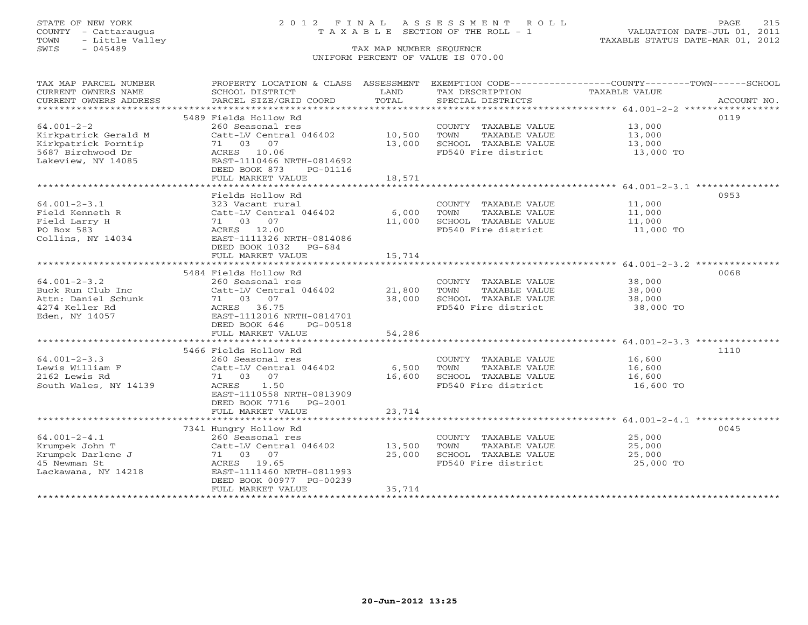TOWN - Little Valley TAXABLE STATUS DATE-MAR 01, 2012 TOWN - Little Valley<br>
SWIS - 045489 TAX MAP NUMBER SEQUENCE

## STATE OF NEW YORK 2 0 1 2 F I N A L A S S E S S M E N T R O L L PAGE 215 COUNTY - Cattaraugus T A X A B L E SECTION OF THE ROLL - 1 VALUATION DATE-JUL 01, 2011

# UNIFORM PERCENT OF VALUE IS 070.00

| TAX MAP PARCEL NUMBER<br>CURRENT OWNERS NAME<br>CURRENT OWNERS ADDRESS | SCHOOL DISTRICT<br>PARCEL SIZE/GRID COORD | T AND<br>TOTAL | TAX DESCRIPTION<br>SPECIAL DISTRICTS | PROPERTY LOCATION & CLASS ASSESSMENT EXEMPTION CODE----------------COUNTY-------TOWN------SCHOOL<br>TAXABLE VALUE<br>ACCOUNT NO. |
|------------------------------------------------------------------------|-------------------------------------------|----------------|--------------------------------------|----------------------------------------------------------------------------------------------------------------------------------|
|                                                                        |                                           |                |                                      |                                                                                                                                  |
|                                                                        | 5489 Fields Hollow Rd                     |                |                                      | 0119                                                                                                                             |
| $64.001 - 2 - 2$                                                       | 260 Seasonal res                          |                | COUNTY TAXABLE VALUE 13,000          |                                                                                                                                  |
| Kirkpatrick Gerald M                                                   | Catt-LV Central 046402 10,500             |                | TOWN<br>TAXABLE VALUE                | 13,000                                                                                                                           |
| Kirkpatrick Porntip                                                    | 71 03 07                                  | 13,000         | SCHOOL TAXABLE VALUE                 | 13,000                                                                                                                           |
| 5687 Birchwood Dr                                                      | ACRES 10.06                               |                | FD540 Fire district                  | 13,000 TO                                                                                                                        |
| Lakeview, NY 14085                                                     | EAST-1110466 NRTH-0814692                 |                |                                      |                                                                                                                                  |
|                                                                        | DEED BOOK 873<br>PG-01116                 |                |                                      |                                                                                                                                  |
|                                                                        | FULL MARKET VALUE                         | 18,571         |                                      |                                                                                                                                  |
|                                                                        |                                           |                |                                      |                                                                                                                                  |
|                                                                        | Fields Hollow Rd                          |                |                                      | 0953                                                                                                                             |
| $64.001 - 2 - 3.1$                                                     | 323 Vacant rural                          |                | COUNTY TAXABLE VALUE 11,000          |                                                                                                                                  |
| Field Kenneth R                                                        | Catt-LV Central 046402                    | 6,000          | TOWN<br>TAXABLE VALUE                | 11,000<br>11,000                                                                                                                 |
| Field Larry H                                                          | 71 03 07                                  | 11,000         | SCHOOL TAXABLE VALUE                 |                                                                                                                                  |
| PO Box 583                                                             | ACRES 12.00                               |                | FD540 Fire district                  | 11,000 TO                                                                                                                        |
| Collins, NY 14034                                                      | EAST-1111326 NRTH-0814086                 |                |                                      |                                                                                                                                  |
|                                                                        | DEED BOOK 1032 PG-684                     |                |                                      |                                                                                                                                  |
|                                                                        | FULL MARKET VALUE                         | 15,714         |                                      |                                                                                                                                  |
|                                                                        |                                           | ************** |                                      |                                                                                                                                  |
|                                                                        | 5484 Fields Hollow Rd                     |                |                                      | 0068                                                                                                                             |
| $64.001 - 2 - 3.2$                                                     | 260 Seasonal res                          |                | COUNTY TAXABLE VALUE 38,000          |                                                                                                                                  |
| Buck Run Club Inc                                                      | Catt-LV Central 046402                    | 21,800         | TOWN<br>TAXABLE VALUE                | 38,000                                                                                                                           |
| Attn: Daniel Schunk                                                    | 71 03 07                                  | 38,000         | SCHOOL TAXABLE VALUE 38,000          |                                                                                                                                  |
| 4274 Keller Rd                                                         | ACRES 36.75                               |                | FD540 Fire district                  | 38,000 TO                                                                                                                        |
| Eden, NY 14057                                                         | EAST-1112016 NRTH-0814701                 |                |                                      |                                                                                                                                  |
|                                                                        | DEED BOOK 646<br>PG-00518                 |                |                                      |                                                                                                                                  |
|                                                                        | FULL MARKET VALUE                         | 54,286         |                                      |                                                                                                                                  |
|                                                                        |                                           |                |                                      |                                                                                                                                  |
|                                                                        | 5466 Fields Hollow Rd                     |                |                                      | 1110                                                                                                                             |
| $64.001 - 2 - 3.3$                                                     | 260 Seasonal res                          |                | COUNTY TAXABLE VALUE                 | 16,600                                                                                                                           |
| Lewis William F                                                        | Catt-LV Central 046402                    | 6,500          | TOWN<br>TAXABLE VALUE                | 16,600                                                                                                                           |
| 2162 Lewis Rd                                                          | 71 03 07                                  | 16,600         | SCHOOL TAXABLE VALUE                 | 16,600                                                                                                                           |
| South Wales, NY 14139                                                  | ACRES 1.50                                |                | FD540 Fire district                  | 16,600 TO                                                                                                                        |
|                                                                        | EAST-1110558 NRTH-0813909                 |                |                                      |                                                                                                                                  |
|                                                                        | DEED BOOK 7716    PG-2001                 |                |                                      |                                                                                                                                  |
|                                                                        | FULL MARKET VALUE                         | 23,714         |                                      |                                                                                                                                  |
|                                                                        |                                           |                |                                      |                                                                                                                                  |
|                                                                        | 7341 Hungry Hollow Rd                     |                |                                      | 0045                                                                                                                             |
| $64.001 - 2 - 4.1$                                                     | 260 Seasonal res                          |                | COUNTY TAXABLE VALUE                 | 25,000                                                                                                                           |
| Krumpek John T                                                         | Catt-LV Central 046402                    | 13,500         | TAXABLE VALUE<br>TOWN                | 25,000                                                                                                                           |
| Krumpek Darlene J                                                      | 71 03 07                                  | 25,000         | SCHOOL TAXABLE VALUE                 | 25,000                                                                                                                           |
| 45 Newman St                                                           | ACRES 19.65                               |                | FD540 Fire district                  | $25,000$ TO                                                                                                                      |
| Lackawana, NY 14218                                                    | EAST-1111460 NRTH-0811993                 |                |                                      |                                                                                                                                  |
|                                                                        | DEED BOOK 00977 PG-00239                  |                |                                      |                                                                                                                                  |
|                                                                        | FULL MARKET VALUE                         | 35,714         |                                      |                                                                                                                                  |
|                                                                        |                                           |                |                                      |                                                                                                                                  |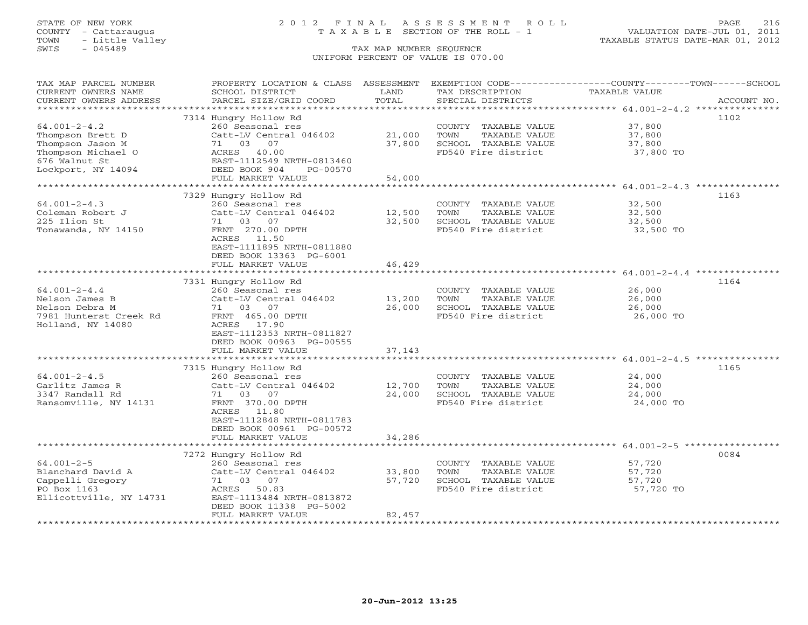## STATE OF NEW YORK 2 0 1 2 F I N A L A S S E S S M E N T R O L L PAGE 216 COUNTY - Cattaraugus T A X A B L E SECTION OF THE ROLL - 1 VALUATION DATE-JUL 01, 2011

| TAX MAP PARCEL NUMBER<br>CURRENT OWNERS NAME<br>CURRENT OWNERS ADDRESS                                                                                                                     | PROPERTY LOCATION & CLASS ASSESSMENT<br>SCHOOL DISTRICT<br>PARCEL SIZE/GRID COORD                                                                                                                                                                                                                                                      | LAND<br>TOTAL                                                   | EXEMPTION CODE-----------------COUNTY-------TOWN------SCHOOL<br>TAX DESCRIPTION<br>SPECIAL DISTRICTS                                                                                         | <b>TAXABLE VALUE</b>                                                               | ACCOUNT NO.  |
|--------------------------------------------------------------------------------------------------------------------------------------------------------------------------------------------|----------------------------------------------------------------------------------------------------------------------------------------------------------------------------------------------------------------------------------------------------------------------------------------------------------------------------------------|-----------------------------------------------------------------|----------------------------------------------------------------------------------------------------------------------------------------------------------------------------------------------|------------------------------------------------------------------------------------|--------------|
| **********************                                                                                                                                                                     |                                                                                                                                                                                                                                                                                                                                        |                                                                 |                                                                                                                                                                                              |                                                                                    |              |
| $64.001 - 2 - 4.2$<br>Thompson Brett D<br>Thompson Jason M<br>Thompson Michael O<br>676 Walnut St                                                                                          | 7314 Hungry Hollow Rd<br>260 Seasonal res<br>Catt-LV Central 046402<br>71 03 07<br>ACRES 40.00<br>EAST-1112549 NRTH-0813460                                                                                                                                                                                                            | 21,000<br>37,800                                                | COUNTY TAXABLE VALUE<br>TOWN<br>TAXABLE VALUE<br>SCHOOL TAXABLE VALUE<br>FD540 Fire district                                                                                                 | 37,800<br>37,800<br>37,800<br>37,800 TO                                            | 1102         |
| Lockport, NY 14094                                                                                                                                                                         | DEED BOOK 904<br>PG-00570                                                                                                                                                                                                                                                                                                              |                                                                 |                                                                                                                                                                                              |                                                                                    |              |
|                                                                                                                                                                                            | FULL MARKET VALUE                                                                                                                                                                                                                                                                                                                      | 54,000                                                          |                                                                                                                                                                                              |                                                                                    |              |
|                                                                                                                                                                                            |                                                                                                                                                                                                                                                                                                                                        |                                                                 |                                                                                                                                                                                              |                                                                                    | 1163         |
| $64.001 - 2 - 4.3$<br>Coleman Robert J<br>225 Ilion St<br>Tonawanda, NY 14150                                                                                                              | 7329 Hungry Hollow Rd<br>260 Seasonal res<br>Catt-LV Central 046402<br>71 03 07<br>FRNT 270.00 DPTH<br>ACRES 11.50<br>EAST-1111895 NRTH-0811880<br>DEED BOOK 13363 PG-6001<br>FULL MARKET VALUE                                                                                                                                        | 12,500<br>32,500<br>46,429                                      | COUNTY TAXABLE VALUE<br>TAXABLE VALUE<br>TOWN<br>SCHOOL TAXABLE VALUE<br>FD540 Fire district                                                                                                 | 32,500<br>32,500<br>32,500<br>32,500 TO                                            |              |
|                                                                                                                                                                                            |                                                                                                                                                                                                                                                                                                                                        |                                                                 |                                                                                                                                                                                              |                                                                                    |              |
| $64.001 - 2 - 4.4$<br>Nelson James B<br>Nelson Debra M<br>7981 Hunterst Creek Rd<br>Holland, NY 14080<br>$64.001 - 2 - 4.5$<br>Garlitz James R<br>3347 Randall Rd<br>Ransomville, NY 14131 | 7331 Hungry Hollow Rd<br>260 Seasonal res<br>Catt-LV Central 046402<br>71 03 07<br>FRNT 465.00 DPTH<br>ACRES 17.90<br>EAST-1112353 NRTH-0811827<br>DEED BOOK 00963 PG-00555<br>FULL MARKET VALUE<br>************************<br>7315 Hungry Hollow Rd<br>260 Seasonal res<br>Catt-LV Central 046402<br>71 03<br>07<br>FRNT 370.00 DPTH | 13,200<br>26,000<br>37,143<br>*************<br>12,700<br>24,000 | COUNTY TAXABLE VALUE<br>TOWN<br>TAXABLE VALUE<br>SCHOOL TAXABLE VALUE<br>FD540 Fire district<br>COUNTY TAXABLE VALUE<br>TOWN<br>TAXABLE VALUE<br>SCHOOL TAXABLE VALUE<br>FD540 Fire district | 26,000<br>26,000<br>26,000<br>26,000 TO<br>24,000<br>24,000<br>24,000<br>24,000 TO | 1164<br>1165 |
|                                                                                                                                                                                            | ACRES 11.80<br>EAST-1112848 NRTH-0811783<br>DEED BOOK 00961 PG-00572<br>FULL MARKET VALUE                                                                                                                                                                                                                                              | 34,286                                                          |                                                                                                                                                                                              |                                                                                    |              |
|                                                                                                                                                                                            | 7272 Hungry Hollow Rd                                                                                                                                                                                                                                                                                                                  |                                                                 |                                                                                                                                                                                              |                                                                                    | 0084         |
| $64.001 - 2 - 5$<br>Blanchard David A<br>Cappelli Gregory<br>PO Box 1163<br>Ellicottville, NY 14731                                                                                        | 260 Seasonal res<br>Catt-LV Central 046402<br>71 03 07<br>ACRES 50.83<br>EAST-1113484 NRTH-0813872<br>DEED BOOK 11338 PG-5002                                                                                                                                                                                                          | 33,800<br>57,720                                                | COUNTY TAXABLE VALUE<br>TOWN<br>TAXABLE VALUE<br>SCHOOL TAXABLE VALUE<br>FD540 Fire district                                                                                                 | 57,720<br>57,720<br>57,720<br>57,720 TO                                            |              |
| ******************                                                                                                                                                                         | FULL MARKET VALUE<br>************************                                                                                                                                                                                                                                                                                          | 82,457<br>* * * * * * * * * * * * * * *                         |                                                                                                                                                                                              |                                                                                    |              |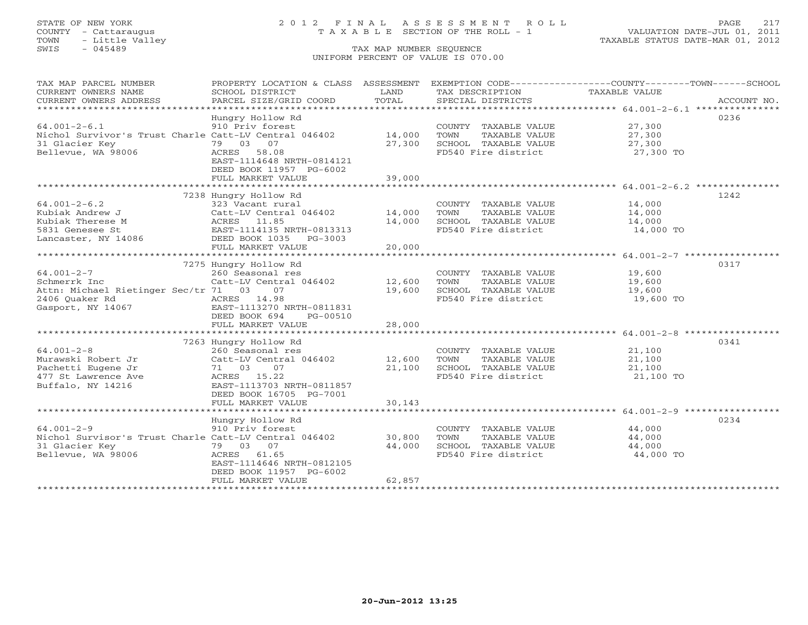# STATE OF NEW YORK 2 0 1 2 F I N A L A S S E S S M E N T R O L L PAGE 217 COUNTY - Cattaraugus T A X A B L E SECTION OF THE ROLL - 1 VALUATION DATE-JUL 01, 2011

| TAX MAP PARCEL NUMBER<br>CURRENT OWNERS NAME<br>CURRENT OWNERS ADDRESS                                              | PROPERTY LOCATION & CLASS ASSESSMENT<br>SCHOOL DISTRICT<br>PARCEL SIZE/GRID COORD                                                                                              | LAND<br>TOTAL              | TAX DESCRIPTION<br>SPECIAL DISTRICTS                                                         | EXEMPTION CODE-----------------COUNTY-------TOWN------SCHOOL<br>TAXABLE VALUE<br>ACCOUNT NO. |
|---------------------------------------------------------------------------------------------------------------------|--------------------------------------------------------------------------------------------------------------------------------------------------------------------------------|----------------------------|----------------------------------------------------------------------------------------------|----------------------------------------------------------------------------------------------|
| $64.001 - 2 - 6.1$<br>Nichol Survivor's Trust Charle Catt-LV Central 046402<br>31 Glacier Key<br>Bellevue, WA 98006 | Hungry Hollow Rd<br>910 Priv forest<br>79 03 07<br>ACRES 58.08<br>EAST-1114648 NRTH-0814121<br>DEED BOOK 11957 PG-6002<br>FULL MARKET VALUE                                    | 14,000<br>27,300<br>39,000 | COUNTY TAXABLE VALUE<br>TOWN<br>TAXABLE VALUE<br>SCHOOL TAXABLE VALUE<br>FD540 Fire district | 0236<br>27,300<br>27,300<br>27,300<br>27,300 TO                                              |
| $64.001 - 2 - 6.2$<br>Kubiak Andrew J<br>Kubiak Therese M<br>5831 Genesee St<br>Lancaster, NY 14086                 | 7238 Hungry Hollow Rd<br>323 Vacant rural<br>Catt-LV Central 046402<br>ACRES 11.85<br>EAST-1114135 NRTH-0813313<br>DEED BOOK 1035 PG-3003<br>FULL MARKET VALUE                 | 14,000<br>14,000<br>20,000 | COUNTY TAXABLE VALUE<br>TOWN<br>TAXABLE VALUE<br>SCHOOL TAXABLE VALUE<br>FD540 Fire district | 1242<br>14,000<br>14,000<br>14,000<br>14,000 TO                                              |
| $64.001 - 2 - 7$<br>Schmerrk Inc<br>Attn: Michael Rietinger Sec/tr 71 03<br>2406 Quaker Rd<br>Gasport, NY 14067     | 7275 Hungry Hollow Rd<br>260 Seasonal res<br>Catt-LV Central 046402<br>07<br>ACRES 14.98<br>EAST-1113270 NRTH-0811831<br>DEED BOOK 694<br>PG-00510<br>FULL MARKET VALUE        | 12,600<br>19,600<br>28,000 | COUNTY TAXABLE VALUE<br>TAXABLE VALUE<br>TOWN<br>SCHOOL TAXABLE VALUE<br>FD540 Fire district | 0317<br>19,600<br>19,600<br>19,600<br>19,600 TO                                              |
| $64.001 - 2 - 8$<br>Murawski Robert Jr<br>Pachetti Eugene Jr<br>477 St Lawrence Ave<br>Buffalo, NY 14216            | 7263 Hungry Hollow Rd<br>260 Seasonal res<br>Catt-LV Central 046402<br>07<br>71 03<br>ACRES 15.22<br>EAST-1113703 NRTH-0811857<br>DEED BOOK 16705 PG-7001<br>FULL MARKET VALUE | 12,600<br>21,100<br>30,143 | COUNTY TAXABLE VALUE<br>TOWN<br>TAXABLE VALUE<br>SCHOOL TAXABLE VALUE<br>FD540 Fire district | 0341<br>21,100<br>21,100<br>21,100<br>21,100 TO                                              |
| $64.001 - 2 - 9$<br>Nichol Survisor's Trust Charle Catt-LV Central 046402<br>31 Glacier Key<br>Bellevue, WA 98006   | Hungry Hollow Rd<br>910 Priv forest<br>79 03 07<br>ACRES 61.65<br>EAST-1114646 NRTH-0812105<br>DEED BOOK 11957 PG-6002<br>FULL MARKET VALUE<br>*************************       | 30,800<br>44,000<br>62,857 | COUNTY TAXABLE VALUE<br>TOWN<br>TAXABLE VALUE<br>SCHOOL TAXABLE VALUE<br>FD540 Fire district | 0234<br>44,000<br>44,000<br>44,000<br>44,000 TO                                              |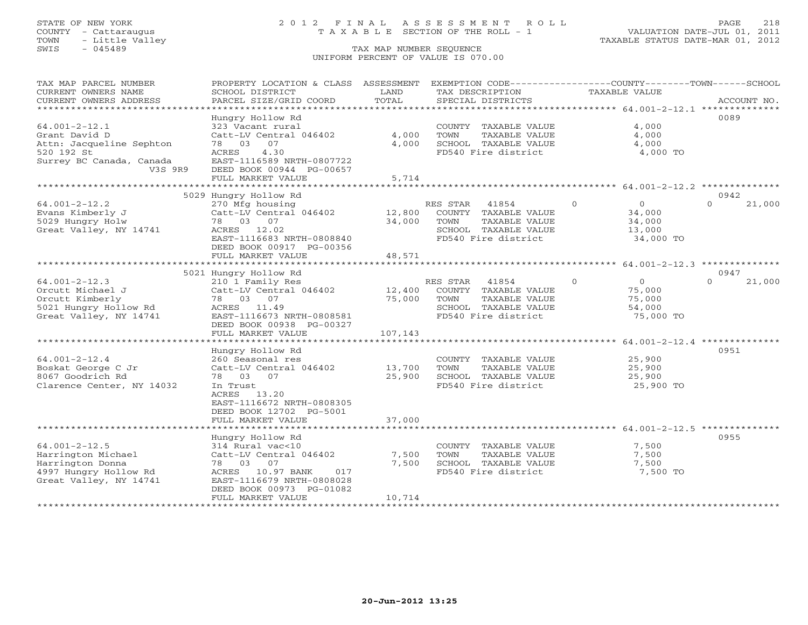# STATE OF NEW YORK 2 0 1 2 F I N A L A S S E S S M E N T R O L L PAGE 218 COUNTY - Cattaraugus T A X A B L E SECTION OF THE ROLL - 1 VALUATION DATE-JUL 01, 2011

| TAX MAP PARCEL NUMBER                           | PROPERTY LOCATION & CLASS                 | ASSESSMENT | EXEMPTION CODE-----------------COUNTY-------TOWN------SCHOOL |          |                |                  |             |
|-------------------------------------------------|-------------------------------------------|------------|--------------------------------------------------------------|----------|----------------|------------------|-------------|
| CURRENT OWNERS NAME                             | SCHOOL DISTRICT                           | LAND       | TAX DESCRIPTION                                              |          | TAXABLE VALUE  |                  |             |
| CURRENT OWNERS ADDRESS<br>********************* | PARCEL SIZE/GRID COORD                    | TOTAL      | SPECIAL DISTRICTS                                            |          |                |                  | ACCOUNT NO. |
|                                                 |                                           |            |                                                              |          |                | 0089             |             |
| $64.001 - 2 - 12.1$                             | Hungry Hollow Rd<br>323 Vacant rural      |            | COUNTY TAXABLE VALUE                                         |          | 4,000          |                  |             |
| Grant David D                                   | Catt-LV Central 046402                    | 4,000      | TOWN<br>TAXABLE VALUE                                        |          | 4,000          |                  |             |
| Attn: Jacqueline Sephton                        | 78 03<br>07                               | 4,000      | SCHOOL TAXABLE VALUE                                         |          | 4,000          |                  |             |
| 520 192 St                                      | 4.30<br>ACRES                             |            | FD540 Fire district                                          |          | 4,000 TO       |                  |             |
| Surrey BC Canada, Canada                        | EAST-1116589 NRTH-0807722                 |            |                                                              |          |                |                  |             |
| V3S 9R9                                         | DEED BOOK 00944 PG-00657                  |            |                                                              |          |                |                  |             |
|                                                 | FULL MARKET VALUE                         | 5,714      |                                                              |          |                |                  |             |
|                                                 |                                           |            |                                                              |          |                |                  |             |
|                                                 | 5029 Hungry Hollow Rd                     |            |                                                              |          |                | 0942             |             |
| $64.001 - 2 - 12.2$                             | 270 Mfg housing                           |            | RES STAR<br>41854                                            | $\circ$  | $\circ$        | $\Omega$         | 21,000      |
| Evans Kimberly J                                | Catt-LV Central 046402                    | 12,800     | COUNTY TAXABLE VALUE                                         |          | 34,000         |                  |             |
| 5029 Hungry Holw                                | 78 03 07                                  | 34,000     | TOWN<br>TAXABLE VALUE                                        |          | 34,000         |                  |             |
| Great Valley, NY 14741                          | ACRES 12.02                               |            | SCHOOL TAXABLE VALUE                                         |          | 13,000         |                  |             |
|                                                 | EAST-1116683 NRTH-0808840                 |            | FD540 Fire district                                          |          | 34,000 TO      |                  |             |
|                                                 | DEED BOOK 00917 PG-00356                  |            |                                                              |          |                |                  |             |
|                                                 | FULL MARKET VALUE                         | 48,571     |                                                              |          |                |                  |             |
|                                                 |                                           |            |                                                              |          |                |                  |             |
| $64.001 - 2 - 12.3$                             | 5021 Hungry Hollow Rd<br>210 1 Family Res |            | RES STAR<br>41854                                            | $\Omega$ | $\overline{0}$ | 0947<br>$\Omega$ | 21,000      |
| Orcutt Michael J                                | Catt-LV Central 046402                    | 12,400     | COUNTY TAXABLE VALUE                                         |          | 75,000         |                  |             |
| Orcutt Kimberly                                 | 78 03 07                                  | 75,000     | TAXABLE VALUE<br>TOWN                                        |          | 75,000         |                  |             |
| 5021 Hungry Hollow Rd                           | ACRES 11.49                               |            | SCHOOL TAXABLE VALUE                                         |          | 54,000         |                  |             |
| Great Valley, NY 14741                          | EAST-1116673 NRTH-0808581                 |            | FD540 Fire district                                          |          | 75,000 TO      |                  |             |
|                                                 | DEED BOOK 00938 PG-00327                  |            |                                                              |          |                |                  |             |
|                                                 | FULL MARKET VALUE                         | 107,143    |                                                              |          |                |                  |             |
|                                                 |                                           |            |                                                              |          |                |                  |             |
|                                                 | Hungry Hollow Rd                          |            |                                                              |          |                | 0951             |             |
| $64.001 - 2 - 12.4$                             | 260 Seasonal res                          |            | COUNTY TAXABLE VALUE                                         |          | 25,900         |                  |             |
| Boskat George C Jr                              | Catt-LV Central 046402                    | 13,700     | TOWN<br>TAXABLE VALUE                                        |          | 25,900         |                  |             |
| 8067 Goodrich Rd                                | 78 03 07                                  | 25,900     | SCHOOL TAXABLE VALUE                                         |          | 25,900         |                  |             |
| Clarence Center, NY 14032                       | In Trust                                  |            | FD540 Fire district                                          |          | 25,900 TO      |                  |             |
|                                                 | ACRES 13.20                               |            |                                                              |          |                |                  |             |
|                                                 | EAST-1116672 NRTH-0808305                 |            |                                                              |          |                |                  |             |
|                                                 | DEED BOOK 12702 PG-5001                   |            |                                                              |          |                |                  |             |
|                                                 | FULL MARKET VALUE                         | 37,000     |                                                              |          |                |                  |             |
|                                                 |                                           |            |                                                              |          |                | 0955             |             |
| $64.001 - 2 - 12.5$                             | Hungry Hollow Rd<br>314 Rural vac<10      |            | COUNTY TAXABLE VALUE                                         |          | 7,500          |                  |             |
| Harrington Michael                              | Catt-LV Central 046402                    | 7,500      | TOWN<br>TAXABLE VALUE                                        |          | 7,500          |                  |             |
| Harrington Donna                                | 78 03 07                                  | 7,500      | SCHOOL TAXABLE VALUE                                         |          | 7,500          |                  |             |
| 4997 Hungry Hollow Rd                           | ACRES 10.97 BANK<br>017                   |            | FD540 Fire district                                          |          | 7,500 TO       |                  |             |
| Great Valley, NY 14741                          | EAST-1116679 NRTH-0808028                 |            |                                                              |          |                |                  |             |
|                                                 | DEED BOOK 00973 PG-01082                  |            |                                                              |          |                |                  |             |
|                                                 | FULL MARKET VALUE                         | 10,714     |                                                              |          |                |                  |             |
|                                                 |                                           |            |                                                              |          |                |                  |             |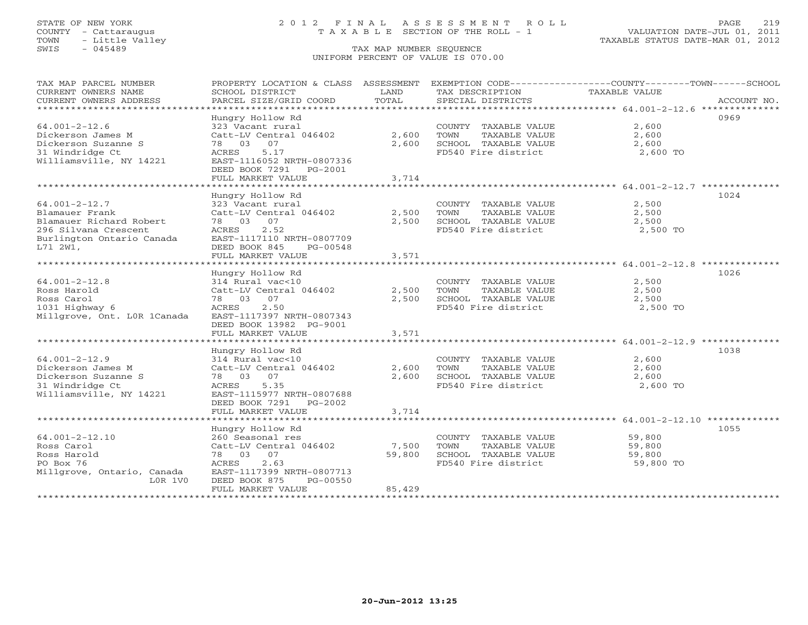TOWN - Little Valley TAXABLE STATUS DATE-MAR 01, 2012 TOWN - Little Valley<br>
SWIS - 045489 TAX MAP NUMBER SEQUENCE

# STATE OF NEW YORK 2 0 1 2 F I N A L A S S E S S M E N T R O L L PAGE 219 COUNTY - Cattaraugus T A X A B L E SECTION OF THE ROLL - 1 VALUATION DATE-JUL 01, 2011

# UNIFORM PERCENT OF VALUE IS 070.00

| TAX MAP PARCEL NUMBER<br>CURRENT OWNERS NAME<br>CURRENT OWNERS ADDRESS | PROPERTY LOCATION & CLASS ASSESSMENT EXEMPTION CODE----------------COUNTY-------TOWN------SCHOOL<br>SCHOOL DISTRICT<br>PARCEL SIZE/GRID COORD | T.AND<br>TOTAL        | TAX DESCRIPTION<br>SPECIAL DISTRICTS          | TAXABLE VALUE     | ACCOUNT NO. |
|------------------------------------------------------------------------|-----------------------------------------------------------------------------------------------------------------------------------------------|-----------------------|-----------------------------------------------|-------------------|-------------|
|                                                                        |                                                                                                                                               |                       |                                               |                   |             |
| $64.001 - 2 - 12.6$<br>Dickerson James M                               | Hungry Hollow Rd<br>323 Vacant rural<br>Catt-LV Central 046402                                                                                | 2,600                 | COUNTY TAXABLE VALUE<br>TOWN<br>TAXABLE VALUE | 2,600<br>2,600    | 0969        |
| Dickerson Suzanne S<br>31 Windridge Ct<br>Williamsville, NY 14221      | 78 03 07<br>5.17<br>ACRES<br>EAST-1116052 NRTH-0807336<br>DEED BOOK 7291 PG-2001                                                              | 2,600                 | SCHOOL TAXABLE VALUE<br>FD540 Fire district   | 2,600<br>2,600 TO |             |
|                                                                        | FULL MARKET VALUE                                                                                                                             | 3,714                 |                                               |                   |             |
|                                                                        |                                                                                                                                               |                       |                                               |                   |             |
|                                                                        | Hungry Hollow Rd                                                                                                                              |                       |                                               |                   | 1024        |
| $64.001 - 2 - 12.7$                                                    | 323 Vacant rural                                                                                                                              |                       | COUNTY TAXABLE VALUE                          | 2,500             |             |
| Blamauer Frank                                                         | Catt-LV Central 046402                                                                                                                        | 2,500                 | TOWN<br>TAXABLE VALUE                         | 2,500             |             |
| Blamauer Richard Robert                                                | 78 03 07                                                                                                                                      | 2,500                 | SCHOOL TAXABLE VALUE                          | 2,500             |             |
| 296 Silvana Crescent<br>Burlington Ontario Canada<br>L71 2W1,          | 2.52<br>ACRES<br>EAST-1117110 NRTH-0807709<br>DEED BOOK 845<br>PG-00548                                                                       |                       | FD540 Fire district                           | 2,500 TO          |             |
| ***********************                                                | FULL MARKET VALUE<br>****************************                                                                                             | 3,571<br>************ |                                               |                   |             |
|                                                                        | Hungry Hollow Rd                                                                                                                              |                       |                                               |                   | 1026        |
| $64.001 - 2 - 12.8$                                                    | 314 Rural vac<10                                                                                                                              |                       | COUNTY TAXABLE VALUE                          | 2,500             |             |
| Ross Harold                                                            | Catt-LV Central 046402                                                                                                                        | 2,500                 | TOWN<br>TAXABLE VALUE                         | 2,500             |             |
| Ross Carol                                                             | 78 03 07                                                                                                                                      | 2,500                 | SCHOOL TAXABLE VALUE                          | 2,500             |             |
| 1031 Highway 6                                                         | 2.50<br>ACRES                                                                                                                                 |                       | FD540 Fire district                           | 2,500 TO          |             |
| Millgrove, Ont. LOR 1Canada                                            | EAST-1117397 NRTH-0807343<br>DEED BOOK 13982 PG-9001                                                                                          |                       |                                               |                   |             |
|                                                                        | FULL MARKET VALUE                                                                                                                             | 3,571                 |                                               |                   |             |
|                                                                        |                                                                                                                                               |                       |                                               |                   |             |
|                                                                        | Hungry Hollow Rd                                                                                                                              |                       |                                               |                   | 1038        |
| $64.001 - 2 - 12.9$                                                    | 314 Rural vac<10                                                                                                                              |                       | COUNTY TAXABLE VALUE                          | 2,600             |             |
| Dickerson James M                                                      | Catt-LV Central 046402                                                                                                                        | 2,600                 | TOWN<br>TAXABLE VALUE                         | 2,600             |             |
| Dickerson Suzanne S                                                    | 78 03 07                                                                                                                                      | 2,600                 | SCHOOL TAXABLE VALUE                          | 2,600             |             |
| 31 Windridge Ct<br>Williamsville, NY 14221                             | 5.35<br>ACRES<br>EAST-1115977 NRTH-0807688<br>DEED BOOK 7291 PG-2002                                                                          |                       | FD540 Fire district                           | 2,600 TO          |             |
|                                                                        | FULL MARKET VALUE                                                                                                                             | 3,714                 |                                               |                   |             |
|                                                                        |                                                                                                                                               |                       |                                               |                   |             |
| $64.001 - 2 - 12.10$                                                   | Hungry Hollow Rd                                                                                                                              |                       |                                               | 59,800            | 1055        |
|                                                                        | 260 Seasonal res                                                                                                                              |                       | COUNTY TAXABLE VALUE                          |                   |             |
| Ross Carol<br>Ross Harold                                              | Catt-LV Central 046402<br>78 03 07                                                                                                            | 7,500<br>59,800       | TAXABLE VALUE<br>TOWN<br>SCHOOL TAXABLE VALUE | 59,800<br>59,800  |             |
| PO Box 76                                                              | 2.63<br>ACRES                                                                                                                                 |                       | FD540 Fire district                           | 59,800 TO         |             |
| Millgrove, Ontario, Canada                                             | EAST-1117399 NRTH-0807713                                                                                                                     |                       |                                               |                   |             |
| $LOR$ 1V $O$                                                           | DEED BOOK 875<br>PG-00550                                                                                                                     |                       |                                               |                   |             |
|                                                                        | FULL MARKET VALUE                                                                                                                             | 85,429                |                                               |                   |             |
|                                                                        |                                                                                                                                               |                       |                                               |                   |             |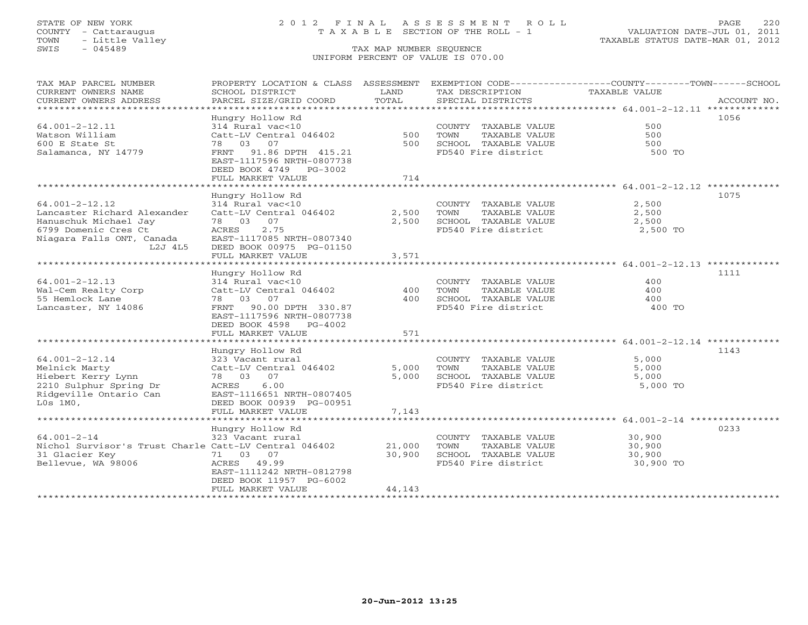# STATE OF NEW YORK 2 0 1 2 F I N A L A S S E S S M E N T R O L L PAGE 220 COUNTY - Cattaraugus T A X A B L E SECTION OF THE ROLL - 1 VALUATION DATE-JUL 01, 2011

| TAX MAP PARCEL NUMBER<br>CURRENT OWNERS NAME<br>CURRENT OWNERS ADDRESS<br>*************************                                          | PROPERTY LOCATION & CLASS ASSESSMENT<br>SCHOOL DISTRICT<br>PARCEL SIZE/GRID COORD                                                                                                | LAND<br>TOTAL              | TAX DESCRIPTION<br>SPECIAL DISTRICTS                                                         | EXEMPTION CODE-----------------COUNTY-------TOWN------SCHOOL<br><b>TAXABLE VALUE</b> | ACCOUNT NO. |
|----------------------------------------------------------------------------------------------------------------------------------------------|----------------------------------------------------------------------------------------------------------------------------------------------------------------------------------|----------------------------|----------------------------------------------------------------------------------------------|--------------------------------------------------------------------------------------|-------------|
| $64.001 - 2 - 12.11$<br>Watson William<br>600 E State St<br>Salamanca, NY 14779                                                              | Hungry Hollow Rd<br>314 Rural vac<10<br>Catt-LV Central 046402<br>78 03 07<br>FRNT 91.86 DPTH 415.21<br>EAST-1117596 NRTH-0807738<br>DEED BOOK 4749 PG-3002<br>FULL MARKET VALUE | 500<br>500<br>714          | COUNTY TAXABLE VALUE<br>TOWN<br>TAXABLE VALUE<br>SCHOOL TAXABLE VALUE<br>FD540 Fire district | 500<br>500<br>500<br>500 TO                                                          | 1056        |
|                                                                                                                                              | Hungry Hollow Rd                                                                                                                                                                 |                            |                                                                                              |                                                                                      | 1075        |
| $64.001 - 2 - 12.12$<br>Lancaster Richard Alexander<br>Hanuschuk Michael Jay<br>6799 Domenic Cres Ct<br>Niagara Falls ONT, Canada<br>L2J 4L5 | 314 Rural vac<10<br>Catt-LV Central 046402<br>78 03 07<br>ACRES<br>2.75<br>EAST-1117085 NRTH-0807340<br>DEED BOOK 00975 PG-01150<br>FULL MARKET VALUE                            | 2,500<br>2,500<br>3,571    | COUNTY TAXABLE VALUE<br>TOWN<br>TAXABLE VALUE<br>SCHOOL TAXABLE VALUE<br>FD540 Fire district | 2,500<br>2,500<br>2,500<br>2,500 TO                                                  |             |
| ************************                                                                                                                     |                                                                                                                                                                                  |                            |                                                                                              |                                                                                      |             |
| $64.001 - 2 - 12.13$<br>Wal-Cem Realty Corp<br>55 Hemlock Lane<br>Lancaster, NY 14086                                                        | Hungry Hollow Rd<br>314 Rural vac<10<br>Catt-LV Central 046402<br>78 03 07<br>FRNT 90.00 DPTH 330.87<br>EAST-1117596 NRTH-0807738<br>DEED BOOK 4598 PG-4002                      | 400<br>400                 | COUNTY TAXABLE VALUE<br>TOWN<br>TAXABLE VALUE<br>SCHOOL TAXABLE VALUE<br>FD540 Fire district | 400<br>400<br>400<br>400 TO                                                          | 1111        |
|                                                                                                                                              | FULL MARKET VALUE                                                                                                                                                                | 571                        |                                                                                              |                                                                                      |             |
| $64.001 - 2 - 12.14$<br>Melnick Marty<br>Hiebert Kerry Lynn<br>2210 Sulphur Spring Dr<br>Ridgeville Ontario Can<br>$L0s$ 1M $0$ ,            | Hungry Hollow Rd<br>323 Vacant rural<br>Catt-LV Central 046402<br>78 03 07<br>6.00<br>ACRES<br>EAST-1116651 NRTH-0807405<br>DEED BOOK 00939 PG-00951<br>FULL MARKET VALUE        | 5,000<br>5,000<br>7,143    | COUNTY TAXABLE VALUE<br>TAXABLE VALUE<br>TOWN<br>SCHOOL TAXABLE VALUE<br>FD540 Fire district | 5,000<br>5,000<br>5,000<br>5,000 TO                                                  | 1143        |
| ************************                                                                                                                     |                                                                                                                                                                                  |                            |                                                                                              |                                                                                      | 0233        |
| $64.001 - 2 - 14$<br>Nichol Survisor's Trust Charle Catt-LV Central 046402<br>31 Glacier Key<br>Bellevue, WA 98006                           | Hungry Hollow Rd<br>323 Vacant rural<br>71 03 07<br>ACRES 49.99<br>EAST-1111242 NRTH-0812798<br>DEED BOOK 11957 PG-6002<br>FULL MARKET VALUE                                     | 21,000<br>30,900<br>44,143 | COUNTY TAXABLE VALUE<br>TOWN<br>TAXABLE VALUE<br>SCHOOL TAXABLE VALUE<br>FD540 Fire district | 30,900<br>30,900<br>30,900<br>30,900 TO                                              |             |
|                                                                                                                                              |                                                                                                                                                                                  |                            |                                                                                              |                                                                                      |             |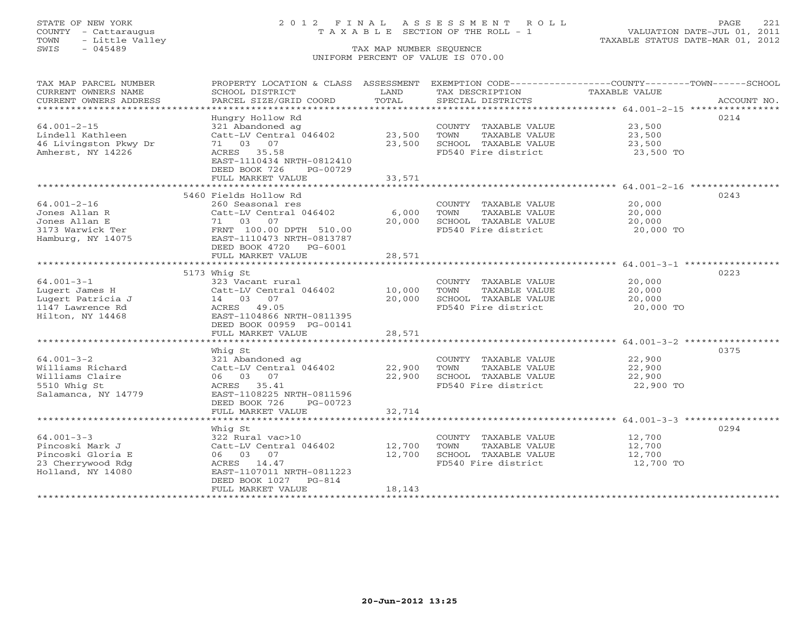TOWN - Little Valley TAXABLE STATUS DATE-MAR 01, 2012 TOWN - Little Valley<br>
SWIS - 045489 TAX MAP NUMBER SEQUENCE

# STATE OF NEW YORK 2 0 1 2 F I N A L A S S E S S M E N T R O L L PAGE 221 COUNTY - Cattaraugus T A X A B L E SECTION OF THE ROLL - 1 VALUATION DATE-JUL 01, 2011

# UNIFORM PERCENT OF VALUE IS 070.00

| TAX MAP PARCEL NUMBER                                                                   | PROPERTY LOCATION & CLASS ASSESSMENT EXEMPTION CODE----------------COUNTY-------TOWN------SCHOOL |        |                             |                  |             |
|-----------------------------------------------------------------------------------------|--------------------------------------------------------------------------------------------------|--------|-----------------------------|------------------|-------------|
| CURRENT OWNERS NAME                                                                     | SCHOOL DISTRICT                                                                                  | LAND   | TAX DESCRIPTION             | TAXABLE VALUE    |             |
| CURRENT OWNERS ADDRESS                                                                  | PARCEL SIZE/GRID COORD                                                                           | TOTAL  | SPECIAL DISTRICTS           |                  | ACCOUNT NO. |
|                                                                                         |                                                                                                  |        |                             |                  |             |
|                                                                                         | Hungry Hollow Rd                                                                                 |        |                             |                  | 0214        |
| $64.001 - 2 - 15$                                                                       | 321 Abandoned ag                                                                                 |        | COUNTY TAXABLE VALUE 23,500 |                  |             |
| Lindell Kathleen                                                                        | Catt-LV Central 046402 23,500                                                                    |        | TAXABLE VALUE<br>TOWN       | 23,500<br>23,500 |             |
| 46 Livingston Pkwy Dr                                                                   | 71 03 07                                                                                         | 23,500 | SCHOOL TAXABLE VALUE        |                  |             |
| Amherst, NY 14226                                                                       | ACRES 35.58                                                                                      |        | FD540 Fire district         | 23,500 TO        |             |
|                                                                                         | EAST-1110434 NRTH-0812410                                                                        |        |                             |                  |             |
|                                                                                         | DEED BOOK 726<br>PG-00729                                                                        |        |                             |                  |             |
|                                                                                         | FULL MARKET VALUE                                                                                | 33,571 |                             |                  |             |
|                                                                                         |                                                                                                  |        |                             |                  |             |
|                                                                                         | 5460 Fields Hollow Rd                                                                            |        |                             |                  | 0243        |
| $64.001 - 2 - 16$                                                                       | 260 Seasonal res                                                                                 |        | COUNTY TAXABLE VALUE 20,000 |                  |             |
| Jones Allan R                                                                           | Catt-LV Central 046402                                                                           | 6,000  | TOWN<br>TAXABLE VALUE       | 20,000           |             |
| Jones Allan E                                                                           | 71 03 07                                                                                         | 20,000 | SCHOOL TAXABLE VALUE        | 20,000           |             |
| 3173 Warwick Ter FRNT 100.00 DPTH 510.00<br>Hamburg, NY 14075 EAST-1110473 NRTH-0813787 |                                                                                                  |        | FD540 Fire district         | 20,000 TO        |             |
|                                                                                         |                                                                                                  |        |                             |                  |             |
|                                                                                         | DEED BOOK 4720 PG-6001                                                                           |        |                             |                  |             |
|                                                                                         | FULL MARKET VALUE                                                                                | 28,571 |                             |                  |             |
|                                                                                         |                                                                                                  |        |                             |                  |             |
|                                                                                         | 5173 Whig St                                                                                     |        |                             |                  | 0223        |
| $64.001 - 3 - 1$                                                                        | 323 Vacant rural                                                                                 |        | COUNTY TAXABLE VALUE        | 20,000           |             |
| Lugert James H                                                                          | Catt-LV Central 046402 10,000                                                                    |        | TOWN<br>TAXABLE VALUE       | 20,000           |             |
| Lugert Patricia J                                                                       | 14 03 07                                                                                         | 20,000 | SCHOOL TAXABLE VALUE 20,000 |                  |             |
| 1147 Lawrence Rd                                                                        | ACRES 49.05                                                                                      |        | FD540 Fire district         | 20,000 TO        |             |
| Hilton, NY 14468                                                                        | EAST-1104866 NRTH-0811395                                                                        |        |                             |                  |             |
|                                                                                         | DEED BOOK 00959 PG-00141                                                                         |        |                             |                  |             |
|                                                                                         | FULL MARKET VALUE                                                                                | 28,571 |                             |                  |             |
|                                                                                         |                                                                                                  |        |                             |                  |             |
|                                                                                         | Whiq St                                                                                          |        |                             |                  | 0375        |
| $64.001 - 3 - 2$                                                                        | 321 Abandoned ag                                                                                 |        | COUNTY TAXABLE VALUE        | 22,900           |             |
| Williams Richard                                                                        | 321 Abdituoned ay<br>Catt-LV Central 046402 (22,900                                              |        | TOWN<br>TAXABLE VALUE       | 22,900           |             |
| Williams Claire                                                                         | 06 03 07                                                                                         | 22,900 | SCHOOL TAXABLE VALUE        | 22,900           |             |
| 5510 Whig St                                                                            | ACRES 35.41                                                                                      |        | FD540 Fire district         | 22,900 TO        |             |
| Salamanca, NY 14779                                                                     | EAST-1108225 NRTH-0811596                                                                        |        |                             |                  |             |
|                                                                                         | DEED BOOK 726 PG-00723                                                                           |        |                             |                  |             |
|                                                                                         | FULL MARKET VALUE                                                                                | 32,714 |                             |                  |             |
|                                                                                         |                                                                                                  |        |                             |                  |             |
|                                                                                         | Whiq St                                                                                          |        |                             |                  | 0294        |
| $64.001 - 3 - 3$                                                                        | 322 Rural vac>10                                                                                 |        | COUNTY TAXABLE VALUE        | 12,700           |             |
| Pincoski Mark J                                                                         | Catt-LV Central 046402 12,700                                                                    |        | TOWN<br>TAXABLE VALUE       | 12,700           |             |
| Pincoski Gloria E                                                                       | 06 03 07                                                                                         | 12,700 | SCHOOL TAXABLE VALUE        | 12,700           |             |
| 23 Cherrywood Rdg                                                                       | ACRES 14.47                                                                                      |        | FD540 Fire district         | 12,700 TO        |             |
| Holland, NY 14080                                                                       | EAST-1107011 NRTH-0811223                                                                        |        |                             |                  |             |
|                                                                                         | DEED BOOK 1027 PG-814                                                                            |        |                             |                  |             |
|                                                                                         | FULL MARKET VALUE                                                                                | 18,143 |                             |                  |             |
|                                                                                         |                                                                                                  |        |                             |                  |             |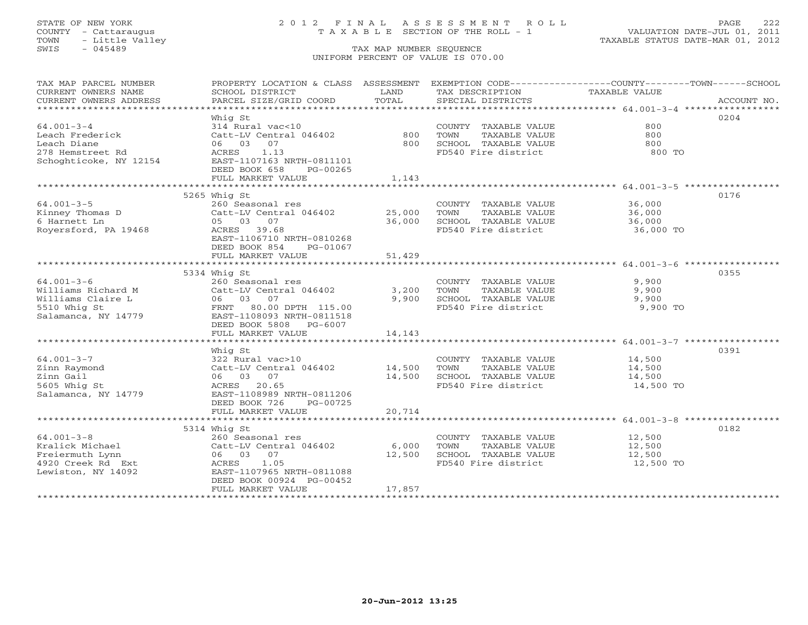# STATE OF NEW YORK 2 0 1 2 F I N A L A S S E S S M E N T R O L L PAGE 222 COUNTY - Cattaraugus T A X A B L E SECTION OF THE ROLL - 1 VALUATION DATE-JUL 01, 2011

| TAX MAP PARCEL NUMBER<br>CURRENT OWNERS NAME<br>CURRENT OWNERS ADDRESS | SCHOOL DISTRICT<br>PARCEL SIZE/GRID COORD           | LAND<br>TOTAL | TAX DESCRIPTION<br>SPECIAL DISTRICTS        | PROPERTY LOCATION & CLASS ASSESSMENT EXEMPTION CODE----------------COUNTY-------TOWN------SCHOOL<br>TAXABLE VALUE | ACCOUNT NO. |
|------------------------------------------------------------------------|-----------------------------------------------------|---------------|---------------------------------------------|-------------------------------------------------------------------------------------------------------------------|-------------|
|                                                                        |                                                     |               |                                             |                                                                                                                   |             |
|                                                                        | Whiq St                                             |               |                                             |                                                                                                                   | 0204        |
| $64.001 - 3 - 4$                                                       | 314 Rural vac<10                                    |               | COUNTY TAXABLE VALUE                        | 800                                                                                                               |             |
| Leach Frederick                                                        | Catt-LV Central 046402                              | 800           | TOWN<br>TAXABLE VALUE                       | 800                                                                                                               |             |
| Leach Diane                                                            | 06 03 07                                            | 800           | SCHOOL TAXABLE VALUE<br>FD540 Fire district | 800                                                                                                               |             |
| 278 Hemstreet Rd                                                       | 1.13<br>ACRES<br>EAST-1107163 NRTH-0811101          |               |                                             | 800 TO                                                                                                            |             |
| Schoghticoke, NY 12154                                                 | DEED BOOK 658                                       |               |                                             |                                                                                                                   |             |
|                                                                        | PG-00265<br>FULL MARKET VALUE                       | 1,143         |                                             |                                                                                                                   |             |
|                                                                        |                                                     |               |                                             |                                                                                                                   |             |
|                                                                        | 5265 Whig St                                        |               |                                             |                                                                                                                   | 0176        |
| $64.001 - 3 - 5$                                                       | 260 Seasonal res                                    |               | COUNTY TAXABLE VALUE 36,000                 |                                                                                                                   |             |
|                                                                        | Catt-LV Central 046402 25,000                       |               | TOWN                                        | TAXABLE VALUE<br>TAXABLE VALUE 36,000                                                                             |             |
| Kinney Thomas D<br>6 Harnett Ln                                        | 05 03 07                                            | 36,000        | SCHOOL TAXABLE VALUE                        |                                                                                                                   |             |
| Royersford, PA 19468                                                   | ACRES 39.68                                         |               | FD540 Fire district 36,000 TO               |                                                                                                                   |             |
|                                                                        | EAST-1106710 NRTH-0810268                           |               |                                             |                                                                                                                   |             |
|                                                                        | DEED BOOK 854<br>PG-01067                           |               |                                             |                                                                                                                   |             |
|                                                                        | FULL MARKET VALUE                                   | 51,429        |                                             |                                                                                                                   |             |
|                                                                        |                                                     |               |                                             |                                                                                                                   |             |
|                                                                        | 5334 Whig St                                        |               |                                             |                                                                                                                   | 0355        |
| $64.001 - 3 - 6$                                                       | 260 Seasonal res                                    |               | COUNTY TAXABLE VALUE                        | 9,900                                                                                                             |             |
|                                                                        | Catt-LV Central 046402                              | 3,200         | TOWN<br>TAXABLE VALUE                       | 9,900                                                                                                             |             |
|                                                                        |                                                     |               | 9,900 SCHOOL TAXABLE VALUE                  | 9,900                                                                                                             |             |
|                                                                        |                                                     |               | FD540 Fire district                         | 9,900 TO                                                                                                          |             |
|                                                                        |                                                     |               |                                             |                                                                                                                   |             |
|                                                                        | DEED BOOK 5808 PG-6007                              |               |                                             |                                                                                                                   |             |
|                                                                        | FULL MARKET VALUE                                   | 14,143        |                                             |                                                                                                                   |             |
|                                                                        |                                                     |               |                                             |                                                                                                                   |             |
|                                                                        | Whig St                                             |               |                                             |                                                                                                                   | 0391        |
| $64.001 - 3 - 7$                                                       | 322 Rural vac>10                                    |               | COUNTY TAXABLE VALUE                        | 14,500                                                                                                            |             |
| Zinn Raymond                                                           | $322$ Rural vac>10<br>Catt-LV Central 046402 14,500 |               | TOWN<br>TAXABLE VALUE                       | 14,500                                                                                                            |             |
| Zinn Gail                                                              | 06 03 07                                            | 14,500        | SCHOOL TAXABLE VALUE 14,500                 |                                                                                                                   |             |
| 5605 Whig St                                                           | ACRES 20.65                                         |               | FD540 Fire district                         | 14,500 TO                                                                                                         |             |
| Salamanca, NY 14779                                                    | EAST-1108989 NRTH-0811206                           |               |                                             |                                                                                                                   |             |
|                                                                        | DEED BOOK 726<br>PG-00725                           |               |                                             |                                                                                                                   |             |
|                                                                        | FULL MARKET VALUE                                   | 20,714        |                                             |                                                                                                                   |             |
|                                                                        |                                                     |               |                                             |                                                                                                                   |             |
|                                                                        | 5314 Whig St                                        |               |                                             |                                                                                                                   | 0182        |
| $64.001 - 3 - 8$                                                       | 260 Seasonal res                                    |               | COUNTY TAXABLE VALUE                        | 12,500                                                                                                            |             |
| Kralick Michael                                                        | Catt-LV Central 046402 6,000                        |               | TOWN<br>TAXABLE VALUE                       | 12,500                                                                                                            |             |
| Freiermuth Lynn                                                        | 06 03 07                                            | 12,500        | SCHOOL TAXABLE VALUE                        | 12,500<br>12,500 TO                                                                                               |             |
| 4920 Creek Rd Ext                                                      | ACRES 1.05                                          |               | FD540 Fire district                         |                                                                                                                   |             |
| Lewiston, NY 14092                                                     | EAST-1107965 NRTH-0811088                           |               |                                             |                                                                                                                   |             |
|                                                                        | DEED BOOK 00924 PG-00452                            |               |                                             |                                                                                                                   |             |
|                                                                        | FULL MARKET VALUE                                   | 17,857        |                                             |                                                                                                                   |             |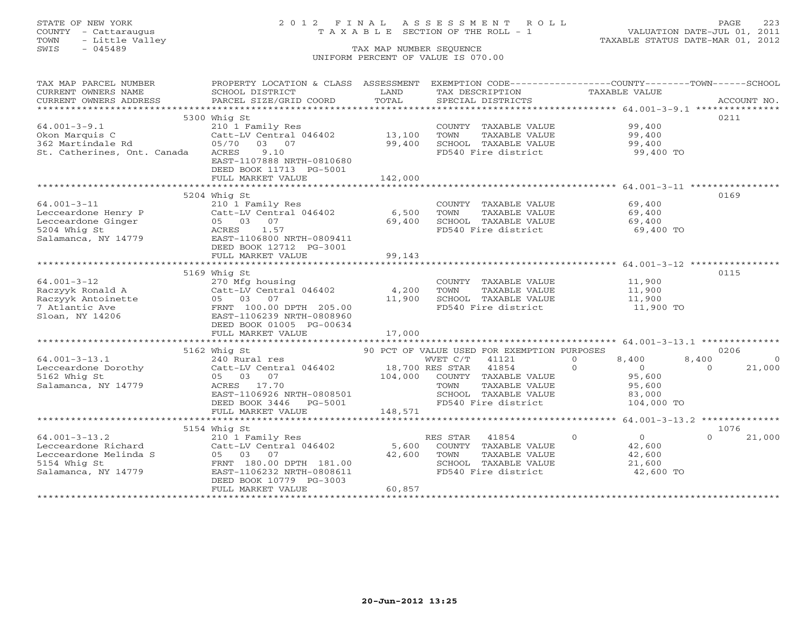TOWN - Little Valley TAXABLE STATUS DATE-MAR 01, 2012 TOWN - Little Valley<br>
SWIS - 045489 TAX MAP NUMBER SEQUENCE

# STATE OF NEW YORK 2 0 1 2 F I N A L A S S E S S M E N T R O L L PAGE 223 COUNTY - Cattaraugus T A X A B L E SECTION OF THE ROLL - 1 VALUATION DATE-JUL 01, 2011

UNIFORM PERCENT OF VALUE IS 070.00

| TAX MAP PARCEL NUMBER                                     | PROPERTY LOCATION & CLASS ASSESSMENT         |                             |                |                                             | EXEMPTION CODE----------------COUNTY-------TOWN------SCHOOL |          |             |
|-----------------------------------------------------------|----------------------------------------------|-----------------------------|----------------|---------------------------------------------|-------------------------------------------------------------|----------|-------------|
| CURRENT OWNERS NAME                                       | SCHOOL DISTRICT                              | LAND                        |                | TAX DESCRIPTION                             | TAXABLE VALUE                                               |          |             |
| CURRENT OWNERS ADDRESS                                    | PARCEL SIZE/GRID COORD                       | TOTAL                       |                | SPECIAL DISTRICTS                           |                                                             |          | ACCOUNT NO. |
|                                                           |                                              |                             |                |                                             |                                                             |          |             |
|                                                           | 5300 Whig St                                 |                             |                |                                             |                                                             | 0211     |             |
| $64.001 - 3 - 9.1$                                        | 210 1 Family Res                             |                             |                | COUNTY TAXABLE VALUE                        | 99,400                                                      |          |             |
| Okon Marquis C                                            | Catt-LV Central 046402                       | 13,100                      | TOWN           | TAXABLE VALUE                               | 99,400                                                      |          |             |
| 362 Martindale Rd                                         | 05/70 03 07                                  | 99,400                      |                | SCHOOL TAXABLE VALUE                        | 99,400                                                      |          |             |
| St. Catherines, Ont. Canada                               | ACRES<br>9.10                                |                             |                | FD540 Fire district                         | 99,400 TO                                                   |          |             |
|                                                           | EAST-1107888 NRTH-0810680                    |                             |                |                                             |                                                             |          |             |
|                                                           | DEED BOOK 11713 PG-5001                      |                             |                |                                             |                                                             |          |             |
|                                                           | FULL MARKET VALUE                            | 142,000                     |                |                                             |                                                             |          |             |
|                                                           |                                              | * * * * * * * * * * * * * * |                |                                             |                                                             |          |             |
|                                                           | 5204 Whig St                                 |                             |                |                                             |                                                             | 0169     |             |
| $64.001 - 3 - 11$                                         | 210 1 Family Res                             |                             |                | COUNTY TAXABLE VALUE                        | 69,400                                                      |          |             |
| Lecceardone Henry P<br>Lecceardone Ginger<br>5204 Whig St | Catt-LV Central 046402                       | 6,500                       | TOWN           | TAXABLE VALUE                               | 69,400                                                      |          |             |
|                                                           | 05 03 07                                     | 69,400                      |                | SCHOOL TAXABLE VALUE                        | 69,400                                                      |          |             |
| 5204 Whig St                                              | 1.57<br>ACRES                                |                             |                | FD540 Fire district                         | 69,400 TO                                                   |          |             |
| Salamanca, NY 14779                                       | EAST-1106800 NRTH-0809411                    |                             |                |                                             |                                                             |          |             |
|                                                           | DEED BOOK 12712 PG-3001                      |                             |                |                                             |                                                             |          |             |
|                                                           | FULL MARKET VALUE                            | 99,143                      |                |                                             |                                                             |          |             |
|                                                           |                                              |                             |                |                                             |                                                             |          |             |
|                                                           | 5169 Whig St                                 |                             |                |                                             |                                                             | 0115     |             |
| $64.001 - 3 - 12$                                         | 270 Mfg housing                              |                             |                | COUNTY TAXABLE VALUE                        | 11,900                                                      |          |             |
|                                                           | Catt-LV Central 046402                       | 4,200                       | TOWN           | TAXABLE VALUE                               | 11,900                                                      |          |             |
| Raczyyk Ronald A<br>Raczyyk Antoinette                    | 05 03 07                                     | 11,900                      |                | SCHOOL TAXABLE VALUE                        | 11,900<br>11,900 TO                                         |          |             |
| 7 Atlantic Ave                                            | FRNT 100.00 DPTH 205.00                      |                             |                | FD540 Fire district                         |                                                             |          |             |
| Sloan, NY 14206                                           | EAST-1106239 NRTH-0808960                    |                             |                |                                             |                                                             |          |             |
|                                                           | DEED BOOK 01005 PG-00634                     |                             |                |                                             |                                                             |          |             |
|                                                           | FULL MARKET VALUE                            | 17,000                      |                |                                             |                                                             |          |             |
|                                                           |                                              |                             |                |                                             |                                                             |          |             |
|                                                           | 5162 Whig St                                 |                             |                | 90 PCT OF VALUE USED FOR EXEMPTION PURPOSES |                                                             |          | 0206        |
| $64.001 - 3 - 13.1$                                       |                                              |                             |                |                                             | $\Omega$<br>8,400                                           | 8,400    | $\Omega$    |
| Lecceardone Dorothy                                       |                                              |                             |                |                                             | $\Omega$<br>$\overline{0}$                                  | $\Omega$ | 21,000      |
| 5162 Whig St                                              | 05 03 07                                     | 104,000                     |                | COUNTY TAXABLE VALUE                        | 95,600                                                      |          |             |
| Salamanca, NY 14779                                       | ACRES 17.70                                  |                             | TOWN           | TAXABLE VALUE                               | 95,600                                                      |          |             |
|                                                           | EAST-1106926 NRTH-0808501                    |                             |                | SCHOOL TAXABLE VALUE                        | 83,000                                                      |          |             |
|                                                           | DEED BOOK 3446    PG-5001                    |                             |                | FD540 Fire district                         | 104,000 TO                                                  |          |             |
|                                                           | FULL MARKET VALUE                            | 148,571                     |                |                                             |                                                             |          |             |
|                                                           |                                              |                             |                |                                             |                                                             |          |             |
|                                                           | 5154 Whig St                                 |                             |                |                                             |                                                             | $\cap$   | 1076        |
| $64.001 - 3 - 13.2$                                       | 210 1 Family Res                             |                             | RES STAR 41854 |                                             | $\overline{0}$<br>$\Omega$                                  |          | 21,000      |
| Lecceardone Richard                                       | Catt-LV Central 046402                       | 5,600                       |                | COUNTY TAXABLE VALUE                        | 42,600                                                      |          |             |
| Lecceardone Melinda S                                     | 05 03 07                                     | 42,600                      | TOWN           | TAXABLE VALUE                               | 42,600                                                      |          |             |
| 5154 Whig St                                              | FRNT 180.00 DPTH 181.00                      |                             |                | SCHOOL TAXABLE VALUE                        | 21,600                                                      |          |             |
| Salamanca, NY 14779                                       | EAST-1106232 NRTH-0808611                    |                             |                | FD540 Fire district                         | 42,600 TO                                                   |          |             |
|                                                           | DEED BOOK 10779 PG-3003<br>FULL MARKET VALUE | 60,857                      |                |                                             |                                                             |          |             |
|                                                           |                                              |                             |                |                                             |                                                             |          |             |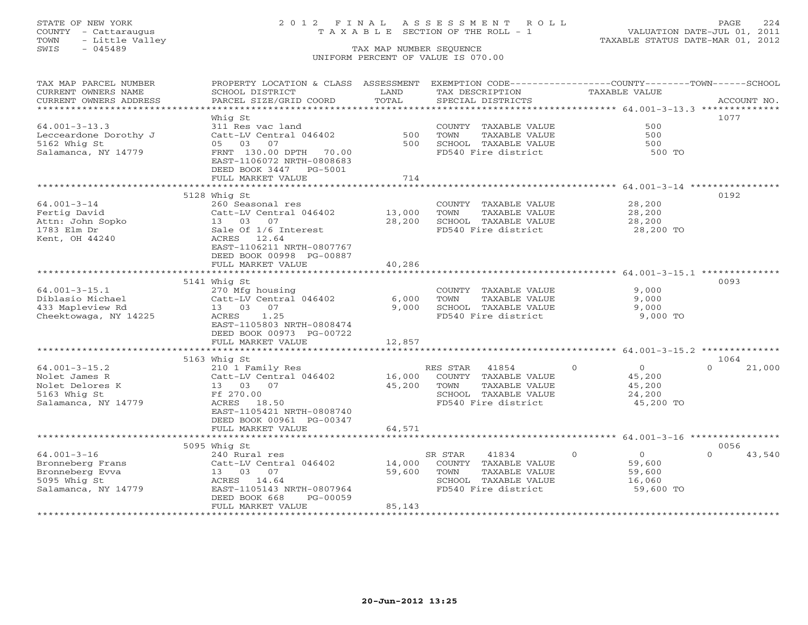# STATE OF NEW YORK 2 0 1 2 F I N A L A S S E S S M E N T R O L L PAGE 224 COUNTY - Cattaraugus T A X A B L E SECTION OF THE ROLL - 1 VALUATION DATE-JUL 01, 2011

| TAX MAP PARCEL NUMBER<br>CURRENT OWNERS NAME<br>CURRENT OWNERS ADDRESS | PROPERTY LOCATION & CLASS ASSESSMENT<br>SCHOOL DISTRICT<br>PARCEL SIZE/GRID COORD | LAND<br>TOTAL | TAX DESCRIPTION<br>SPECIAL DISTRICTS        | EXEMPTION CODE-----------------COUNTY-------TOWN------SCHOOL<br><b>TAXABLE VALUE</b> | ACCOUNT NO.        |
|------------------------------------------------------------------------|-----------------------------------------------------------------------------------|---------------|---------------------------------------------|--------------------------------------------------------------------------------------|--------------------|
|                                                                        |                                                                                   |               |                                             |                                                                                      |                    |
|                                                                        | Whia St                                                                           |               |                                             |                                                                                      | 1077               |
| $64.001 - 3 - 13.3$                                                    | 311 Res vac land                                                                  |               | COUNTY TAXABLE VALUE                        | 500                                                                                  |                    |
| Lecceardone Dorothy J                                                  | Catt-LV Central 046402                                                            | 500           | TOWN<br>TAXABLE VALUE                       | 500                                                                                  |                    |
| 5162 Whig St                                                           | 05 03<br>07                                                                       | 500           | SCHOOL TAXABLE VALUE                        | 500                                                                                  |                    |
| Salamanca, NY 14779                                                    | FRNT 130.00 DPTH 70.00<br>EAST-1106072 NRTH-0808683                               |               | FD540 Fire district                         | 500 TO                                                                               |                    |
|                                                                        | DEED BOOK 3447 PG-5001                                                            |               |                                             |                                                                                      |                    |
|                                                                        | FULL MARKET VALUE                                                                 | 714           |                                             |                                                                                      |                    |
|                                                                        |                                                                                   |               |                                             | ********************* 64.001-3-14 *****************                                  |                    |
|                                                                        | 5128 Whig St                                                                      |               |                                             |                                                                                      | 0192               |
| $64.001 - 3 - 14$                                                      | 260 Seasonal res                                                                  |               | COUNTY TAXABLE VALUE                        | 28,200                                                                               |                    |
| Fertig David                                                           | Catt-LV Central 046402                                                            | 13,000        | TOWN<br>TAXABLE VALUE                       | 28,200                                                                               |                    |
| Attn: John Sopko                                                       | 13 03 07                                                                          | 28,200        | SCHOOL TAXABLE VALUE                        | 28,200                                                                               |                    |
| 1783 Elm Dr                                                            | Sale Of 1/6 Interest                                                              |               | FD540 Fire district                         | 28,200 TO                                                                            |                    |
| Kent, OH 44240                                                         | ACRES 12.64                                                                       |               |                                             |                                                                                      |                    |
|                                                                        | EAST-1106211 NRTH-0807767                                                         |               |                                             |                                                                                      |                    |
|                                                                        | DEED BOOK 00998 PG-00887                                                          |               |                                             |                                                                                      |                    |
|                                                                        | FULL MARKET VALUE                                                                 | 40,286        |                                             |                                                                                      |                    |
|                                                                        |                                                                                   |               |                                             |                                                                                      | 0093               |
| $64.001 - 3 - 15.1$                                                    | 5141 Whig St<br>270 Mfg housing                                                   |               | COUNTY TAXABLE VALUE                        | 9,000                                                                                |                    |
| Diblasio Michael                                                       | Catt-LV Central 046402                                                            | 6,000         | TOWN<br>TAXABLE VALUE                       | 9,000                                                                                |                    |
| 433 Mapleview Rd                                                       | 13 03<br>07                                                                       | 9,000         | SCHOOL TAXABLE VALUE                        | 9,000                                                                                |                    |
| Cheektowaga, NY 14225                                                  | 1.25<br>ACRES                                                                     |               | FD540 Fire district                         | 9,000 TO                                                                             |                    |
|                                                                        | EAST-1105803 NRTH-0808474                                                         |               |                                             |                                                                                      |                    |
|                                                                        | DEED BOOK 00973 PG-00722                                                          |               |                                             |                                                                                      |                    |
|                                                                        | FULL MARKET VALUE                                                                 | 12,857        |                                             |                                                                                      |                    |
|                                                                        |                                                                                   |               |                                             |                                                                                      |                    |
|                                                                        | 5163 Whig St                                                                      |               |                                             |                                                                                      | 1064               |
| $64.001 - 3 - 15.2$                                                    | 210 1 Family Res                                                                  |               | RES STAR 41854                              | $\overline{0}$<br>$\Omega$                                                           | $\Omega$<br>21,000 |
| Nolet James R                                                          | Catt-LV Central 046402                                                            | 16,000        | COUNTY TAXABLE VALUE                        | 45,200                                                                               |                    |
| Nolet Delores K                                                        | 13 03 07                                                                          | 45,200        | TOWN<br>TAXABLE VALUE                       | 45,200                                                                               |                    |
| 5163 Whig St                                                           | Ff 270.00<br>18.50<br>ACRES                                                       |               | SCHOOL TAXABLE VALUE<br>FD540 Fire district | 24,200                                                                               |                    |
| Salamanca, NY 14779                                                    | EAST-1105421 NRTH-0808740                                                         |               |                                             | 45,200 TO                                                                            |                    |
|                                                                        | DEED BOOK 00961 PG-00347                                                          |               |                                             |                                                                                      |                    |
|                                                                        | FULL MARKET VALUE                                                                 | 64,571        |                                             |                                                                                      |                    |
|                                                                        |                                                                                   |               |                                             |                                                                                      |                    |
|                                                                        | 5095 Whig St                                                                      |               |                                             |                                                                                      | 0056               |
| $64.001 - 3 - 16$                                                      | 240 Rural res                                                                     |               | SR STAR<br>41834                            | $\Omega$<br>$\overline{0}$                                                           | $\Omega$<br>43,540 |
| Bronneberg Frans                                                       | Catt-LV Central 046402                                                            | 14,000        | COUNTY TAXABLE VALUE                        | 59,600                                                                               |                    |
| Bronneberg Evva                                                        | 13 03 07                                                                          | 59,600        | TAXABLE VALUE<br>TOWN                       | 59,600                                                                               |                    |
| 5095 Whig St                                                           | ACRES 14.64                                                                       |               | SCHOOL TAXABLE VALUE                        | 16,060                                                                               |                    |
| Salamanca, NY 14779                                                    | EAST-1105143 NRTH-0807964                                                         |               | FD540 Fire district                         | 59,600 TO                                                                            |                    |
|                                                                        | DEED BOOK 668<br>PG-00059                                                         |               |                                             |                                                                                      |                    |
|                                                                        | FULL MARKET VALUE                                                                 | 85,143        |                                             |                                                                                      |                    |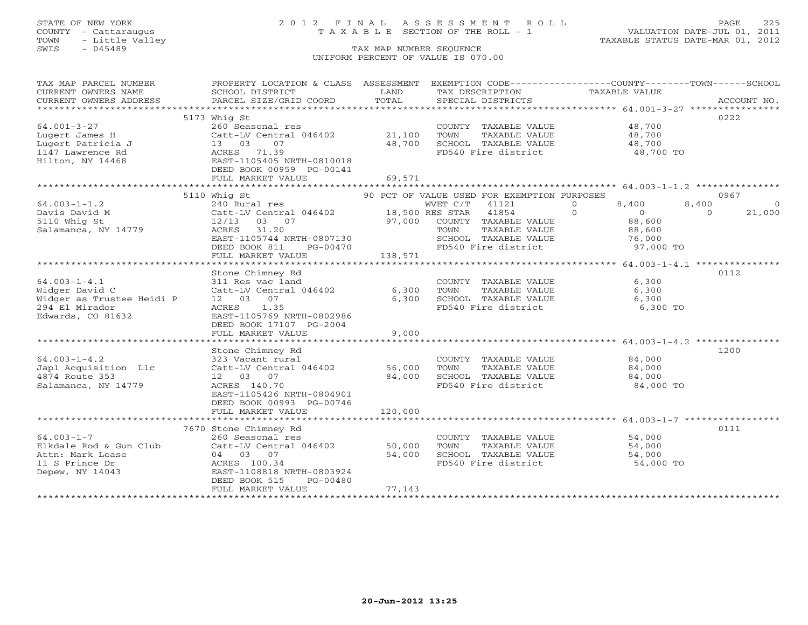# STATE OF NEW YORK 2 0 1 2 F I N A L A S S E S S M E N T R O L L PAGE 225 COUNTY - Cattaraugus T A X A B L E SECTION OF THE ROLL - 1 VALUATION DATE-JUL 01, 2011

| TAX MAP PARCEL NUMBER                         | PROPERTY LOCATION & CLASS ASSESSMENT EXEMPTION CODE---------------COUNTY-------TOWN------SCHOOL                |                |                                               |                                                  |                    |
|-----------------------------------------------|----------------------------------------------------------------------------------------------------------------|----------------|-----------------------------------------------|--------------------------------------------------|--------------------|
| CURRENT OWNERS NAME<br>CURRENT OWNERS ADDRESS | SCHOOL DISTRICT<br>PARCEL SIZE/GRID COORD                                                                      | LAND<br>TOTAL  | TAX DESCRIPTION<br>SPECIAL DISTRICTS          | TAXABLE VALUE                                    | ACCOUNT NO.        |
|                                               |                                                                                                                |                |                                               |                                                  |                    |
|                                               | 5173 Whig St                                                                                                   |                |                                               |                                                  | 0222               |
| $64.001 - 3 - 27$                             | 260 Seasonal res                                                                                               |                | COUNTY TAXABLE VALUE 48,700                   |                                                  |                    |
| Lugert James H                                | Catt-LV Central 046402 21,100                                                                                  |                | TOWN<br>TAXABLE VALUE                         | 48,700<br>48,700                                 |                    |
| Lugert Patricia J                             | 13 03<br>07                                                                                                    | 48,700         | SCHOOL TAXABLE VALUE                          |                                                  |                    |
| 1147 Lawrence Rd                              | ACRES 71.39                                                                                                    |                | FD540 Fire district                           | 48,700 TO                                        |                    |
| Hilton, NY 14468                              | EAST-1105405 NRTH-0810018                                                                                      |                |                                               |                                                  |                    |
|                                               | DEED BOOK 00959 PG-00141<br>FULL MARKET VALUE                                                                  | 69,571         |                                               |                                                  |                    |
|                                               |                                                                                                                |                |                                               |                                                  |                    |
|                                               | 5110 Whig St                                                                                                   |                | 90 PCT OF VALUE USED FOR EXEMPTION PURPOSES   |                                                  | 0967               |
| $64.003 - 1 - 1.2$                            | 240 Rural res                                                                                                  |                |                                               | $\Omega$<br>8,400                                | 8,400<br>$\circ$   |
| Davis David M                                 |                                                                                                                |                |                                               | $\circ$<br>$\overline{0}$                        | 21,000<br>$\Omega$ |
| 5110 Whig St                                  | $240$ Rural res<br>Catt-LV Central 046402 (18,500 RES STAR (41854<br>12/13 (3) 07 (97,000 COUNTY TAXABLE VALUE |                |                                               | 88,600                                           |                    |
| Salamanca, NY 14779                           | ACRES 31.20                                                                                                    |                | TAXABLE VALUE<br>TOWN                         | 88,600                                           |                    |
|                                               | EAST-1105744 NRTH-0807130                                                                                      |                | SCHOOL TAXABLE VALUE                          | 76,000                                           |                    |
|                                               | DEED BOOK 811<br>PG-00470                                                                                      |                | FD540 Fire district                           | 97,000 TO                                        |                    |
|                                               | FULL MARKET VALUE                                                                                              | 138,571        |                                               |                                                  |                    |
|                                               |                                                                                                                |                |                                               | ****************** 64.003-1-4.1 **************** |                    |
|                                               | Stone Chimney Rd                                                                                               |                |                                               |                                                  | 0112               |
| $64.003 - 1 - 4.1$                            | 311 Res vac land                                                                                               |                | COUNTY TAXABLE VALUE                          | 6,300                                            |                    |
| Widger David C<br>Widger as Trustee Heidi P   | Catt-LV Central 046402<br>12 03 07                                                                             | 6,300<br>6,300 | TOWN<br>TAXABLE VALUE<br>SCHOOL TAXABLE VALUE | 6,300<br>6,300                                   |                    |
| 294 El Mirador                                | ACRES 1.35                                                                                                     |                | FD540 Fire district                           | 6,300 TO                                         |                    |
| Edwards, CO 81632                             | EAST-1105769 NRTH-0802986                                                                                      |                |                                               |                                                  |                    |
|                                               | DEED BOOK 17107 PG-2004                                                                                        |                |                                               |                                                  |                    |
|                                               | FULL MARKET VALUE                                                                                              | 9,000          |                                               |                                                  |                    |
|                                               |                                                                                                                |                |                                               |                                                  |                    |
|                                               | Stone Chimney Rd                                                                                               |                |                                               |                                                  | 1200               |
| $64.003 - 1 - 4.2$                            | 323 Vacant rural                                                                                               |                | COUNTY TAXABLE VALUE                          | 84,000                                           |                    |
| Japl Acquisition Llc                          | Catt-LV Central 046402 56,000                                                                                  |                | TOWN<br>TAXABLE VALUE                         | 84,000                                           |                    |
| 4874 Route 353                                | 12 03 07                                                                                                       | 84,000         | SCHOOL TAXABLE VALUE                          | 84,000                                           |                    |
| Salamanca, NY 14779                           | ACRES 140.70                                                                                                   |                | FD540 Fire district                           | 84,000 TO                                        |                    |
|                                               | EAST-1105426 NRTH-0804901                                                                                      |                |                                               |                                                  |                    |
|                                               | DEED BOOK 00993 PG-00746                                                                                       |                |                                               |                                                  |                    |
|                                               | FULL MARKET VALUE                                                                                              | 120,000        |                                               |                                                  |                    |
|                                               | 7670 Stone Chimney Rd                                                                                          |                |                                               |                                                  | 0111               |
| $64.003 - 1 - 7$                              | 260 Seasonal res                                                                                               |                | COUNTY TAXABLE VALUE                          | 54,000                                           |                    |
| Elkdale Rod & Gun Club                        | Catt-LV Central 046402 50,000                                                                                  |                | TOWN<br>TAXABLE VALUE                         | 54,000                                           |                    |
| Attn: Mark Lease                              | 04 03 07                                                                                                       | 54,000         | SCHOOL TAXABLE VALUE                          | 54,000                                           |                    |
| 11 S Prince Dr                                | ACRES 100.34                                                                                                   |                | FD540 Fire district                           | 54,000 TO                                        |                    |
| Depew, NY 14043                               | EAST-1108818 NRTH-0803924                                                                                      |                |                                               |                                                  |                    |
|                                               | DEED BOOK 515<br>PG-00480                                                                                      |                |                                               |                                                  |                    |
|                                               | FULL MARKET VALUE                                                                                              | 77,143         |                                               |                                                  |                    |
|                                               |                                                                                                                |                |                                               |                                                  |                    |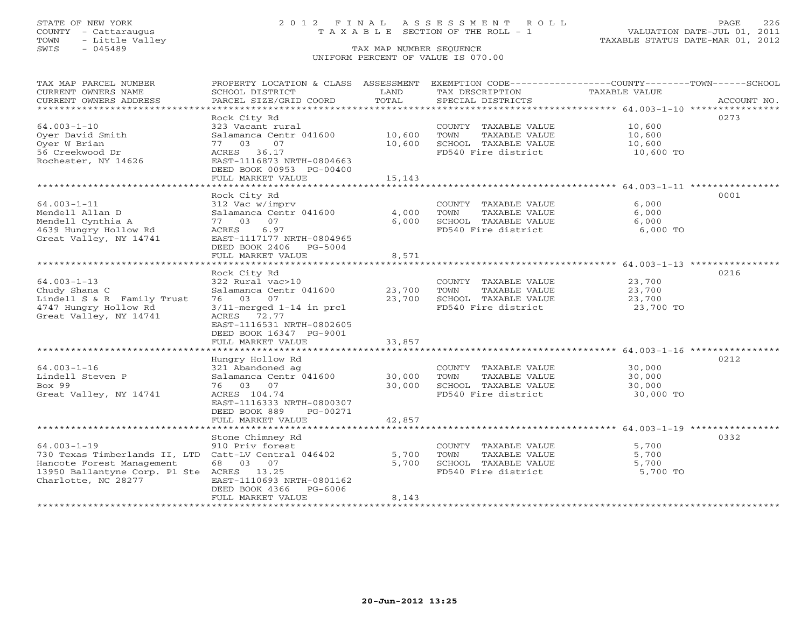# STATE OF NEW YORK 2 0 1 2 F I N A L A S S E S S M E N T R O L L PAGE 226 COUNTY - Cattaraugus T A X A B L E SECTION OF THE ROLL - 1 VALUATION DATE-JUL 01, 2011

| TAX MAP PARCEL NUMBER<br>CURRENT OWNERS NAME<br>CURRENT OWNERS ADDRESS<br>********************                                                                       | PROPERTY LOCATION & CLASS ASSESSMENT<br>SCHOOL DISTRICT<br>PARCEL SIZE/GRID COORD                                                                                                                                                | LAND<br>TOTAL                              | EXEMPTION CODE-----------------COUNTY-------TOWN------SCHOOL<br>TAX DESCRIPTION<br>SPECIAL DISTRICTS                                                         | TAXABLE VALUE                                                                         | ACCOUNT NO. |
|----------------------------------------------------------------------------------------------------------------------------------------------------------------------|----------------------------------------------------------------------------------------------------------------------------------------------------------------------------------------------------------------------------------|--------------------------------------------|--------------------------------------------------------------------------------------------------------------------------------------------------------------|---------------------------------------------------------------------------------------|-------------|
| $64.003 - 1 - 10$<br>Oyer David Smith<br>Oyer W Brian<br>56 Creekwood Dr<br>Rochester, NY 14626                                                                      | Rock City Rd<br>323 Vacant rural<br>Salamanca Centr 041600<br>77<br>03<br>07<br>ACRES 36.17<br>EAST-1116873 NRTH-0804663<br>DEED BOOK 00953 PG-00400<br>FULL MARKET VALUE<br>********************                                | 10,600<br>10,600<br>15,143<br>***********  | COUNTY TAXABLE VALUE<br>TOWN<br>TAXABLE VALUE<br>SCHOOL TAXABLE VALUE<br>FD540 Fire district                                                                 | 10,600<br>10,600<br>10,600<br>10,600 TO                                               | 0273        |
| $64.003 - 1 - 11$<br>Mendell Allan D<br>Mendell Cynthia A<br>4639 Hungry Hollow Rd<br>Great Valley, NY 14741                                                         | Rock City Rd<br>312 Vac w/imprv<br>Salamanca Centr 041600<br>77 03 07<br>6.97<br>ACRES<br>EAST-1117177 NRTH-0804965<br>DEED BOOK 2406 PG-5004<br>FULL MARKET VALUE                                                               | 4,000<br>6,000<br>8,571                    | COUNTY TAXABLE VALUE<br>TOWN<br>TAXABLE VALUE<br>SCHOOL TAXABLE VALUE<br>FD540 Fire district                                                                 | 6,000<br>6,000<br>6,000<br>6,000 TO                                                   | 0001        |
| $64.003 - 1 - 13$<br>Chudy Shana C<br>Lindell S & R Family Trust<br>4747 Hungry Hollow Rd<br>Great Valley, NY 14741                                                  | *************************<br>Rock City Rd<br>322 Rural vac>10<br>Salamanca Centr 041600<br>76 03 07<br>$3/11$ -merged $1-14$ in prcl<br>ACRES 72.77<br>EAST-1116531 NRTH-0802605<br>DEED BOOK 16347 PG-9001<br>FULL MARKET VALUE | 23,700<br>23,700<br>33,857                 | COUNTY TAXABLE VALUE<br>TOWN<br>TAXABLE VALUE<br>SCHOOL TAXABLE VALUE<br>FD540 Fire district                                                                 | ************************* 64.003-1-13 ***:<br>23,700<br>23,700<br>23,700<br>23,700 TO | 0216        |
| $64.003 - 1 - 16$<br>Lindell Steven P<br>Box 99<br>Great Valley, NY 14741                                                                                            | Hungry Hollow Rd<br>321 Abandoned ag<br>Salamanca Centr 041600<br>76 03 07<br>ACRES 104.74<br>EAST-1116333 NRTH-0800307<br>DEED BOOK 889<br>PG-00271<br>FULL MARKET VALUE<br>**************************                          | 30,000<br>30,000<br>42,857<br>************ | COUNTY TAXABLE VALUE<br>TOWN<br>TAXABLE VALUE<br>SCHOOL TAXABLE VALUE<br>FD540 Fire district                                                                 | $64.003 - 1 - 16$ ****<br>30,000<br>30,000<br>30,000<br>30,000 TO                     | 0212        |
| $64.003 - 1 - 19$<br>730 Texas Timberlands II, LTD Catt-LV Central 046402<br>Hancote Forest Management<br>13950 Ballantyne Corp. Pl Ste ACRES<br>Charlotte, NC 28277 | Stone Chimney Rd<br>910 Priv forest<br>68 03 07<br>13.25<br>EAST-1110693 NRTH-0801162<br>DEED BOOK 4366<br>PG-6006<br>FULL MARKET VALUE                                                                                          | 5,700<br>5,700<br>8,143                    | ******************************** 64.003-1-19 ***************<br>COUNTY TAXABLE VALUE<br>TOWN<br>TAXABLE VALUE<br>SCHOOL TAXABLE VALUE<br>FD540 Fire district | 5,700<br>5,700<br>5,700<br>5,700 TO                                                   | 0332        |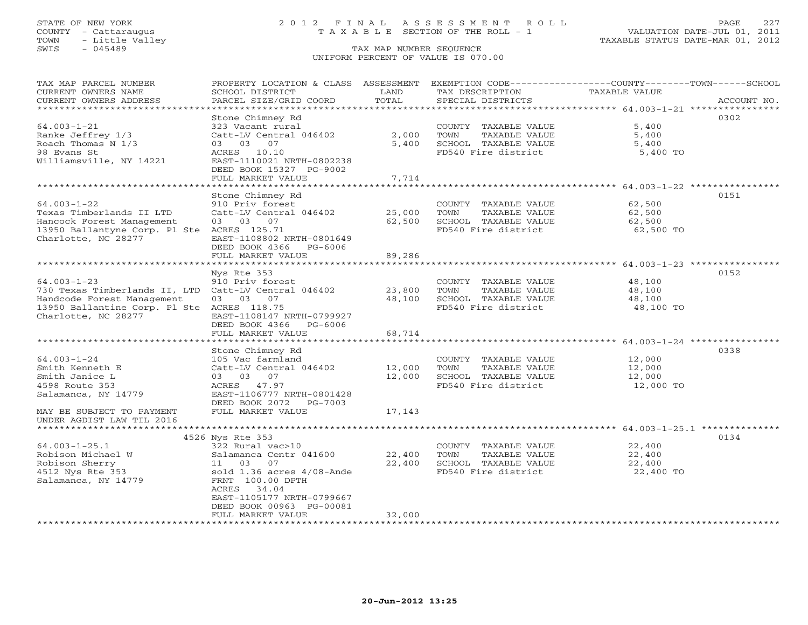# STATE OF NEW YORK 2 0 1 2 F I N A L A S S E S S M E N T R O L L PAGE 227 COUNTY - Cattaraugus T A X A B L E SECTION OF THE ROLL - 1 VALUATION DATE-JUL 01, 2011

| TAX MAP PARCEL NUMBER<br>CURRENT OWNERS NAME         | PROPERTY LOCATION & CLASS ASSESSMENT<br>SCHOOL DISTRICT         | LAND                          | EXEMPTION CODE-----------------COUNTY-------TOWN------SCHOOL<br>TAX DESCRIPTION | TAXABLE VALUE                                         |             |
|------------------------------------------------------|-----------------------------------------------------------------|-------------------------------|---------------------------------------------------------------------------------|-------------------------------------------------------|-------------|
| CURRENT OWNERS ADDRESS<br>********************       | PARCEL SIZE/GRID COORD<br>* * * * * * * * * * * * * * * * * * * | TOTAL<br>*************        | SPECIAL DISTRICTS                                                               |                                                       | ACCOUNT NO. |
|                                                      |                                                                 |                               | ************************************* 64.003-1-21 ****************              |                                                       |             |
|                                                      | Stone Chimney Rd                                                |                               |                                                                                 |                                                       | 0302        |
| $64.003 - 1 - 21$                                    | 323 Vacant rural                                                |                               | COUNTY TAXABLE VALUE                                                            | 5,400                                                 |             |
| Ranke Jeffrey 1/3                                    | Catt-LV Central 046402                                          | 2,000                         | TOWN<br>TAXABLE VALUE                                                           | 5,400                                                 |             |
| Roach Thomas N 1/3                                   | 03<br>07<br>03                                                  | 5,400                         | SCHOOL TAXABLE VALUE                                                            | 5,400                                                 |             |
| 98 Evans St                                          | 10.10<br>ACRES                                                  |                               | FD540 Fire district                                                             | 5,400 TO                                              |             |
| Williamsville, NY 14221                              | EAST-1110021 NRTH-0802238                                       |                               |                                                                                 |                                                       |             |
|                                                      | DEED BOOK 15327 PG-9002                                         |                               |                                                                                 |                                                       |             |
|                                                      | FULL MARKET VALUE                                               | 7,714                         |                                                                                 |                                                       |             |
|                                                      |                                                                 |                               |                                                                                 | ************************ 64.003-1-22 **************** |             |
|                                                      | Stone Chimney Rd                                                |                               |                                                                                 |                                                       | 0151        |
| $64.003 - 1 - 22$                                    | 910 Priv forest                                                 |                               | COUNTY TAXABLE VALUE                                                            | 62,500                                                |             |
| Texas Timberlands II LTD                             | Catt-LV Central 046402                                          | 25,000                        | TOWN<br>TAXABLE VALUE                                                           | 62,500                                                |             |
| Hancock Forest Management                            | 03 03 07                                                        | 62,500                        | SCHOOL TAXABLE VALUE                                                            | 62,500                                                |             |
| 13950 Ballantyne Corp. Pl Ste                        | ACRES 125.71                                                    |                               | FD540 Fire district                                                             | 62,500 TO                                             |             |
| Charlotte, NC 28277                                  | EAST-1108802 NRTH-0801649                                       |                               |                                                                                 |                                                       |             |
|                                                      | DEED BOOK 4366<br>$PG-6006$                                     |                               |                                                                                 |                                                       |             |
|                                                      | FULL MARKET VALUE                                               | 89,286                        |                                                                                 |                                                       |             |
|                                                      |                                                                 |                               |                                                                                 |                                                       |             |
|                                                      | Nys Rte 353                                                     |                               |                                                                                 |                                                       | 0152        |
| $64.003 - 1 - 23$                                    | 910 Priv forest                                                 |                               | COUNTY TAXABLE VALUE                                                            | 48,100                                                |             |
| 730 Texas Timberlands II, LTD Catt-LV Central 046402 |                                                                 | 23,800                        | TOWN<br>TAXABLE VALUE                                                           | 48,100                                                |             |
| Handcode Forest Management                           | 03 03<br>07                                                     | 48,100                        | SCHOOL TAXABLE VALUE                                                            | 48,100                                                |             |
| 13950 Ballantine Corp. Pl Ste ACRES 118.75           |                                                                 |                               | FD540 Fire district                                                             | 48,100 TO                                             |             |
| Charlotte, NC 28277                                  | EAST-1108147 NRTH-0799927                                       |                               |                                                                                 |                                                       |             |
|                                                      | DEED BOOK 4366<br>PG-6006                                       |                               |                                                                                 |                                                       |             |
|                                                      | FULL MARKET VALUE                                               | 68,714                        |                                                                                 |                                                       |             |
|                                                      |                                                                 |                               |                                                                                 |                                                       |             |
|                                                      | Stone Chimney Rd                                                |                               |                                                                                 |                                                       | 0338        |
| $64.003 - 1 - 24$                                    | 105 Vac farmland                                                |                               | COUNTY TAXABLE VALUE                                                            | 12,000                                                |             |
| Smith Kenneth E                                      | Catt-LV Central 046402                                          | 12,000                        | <b>TAXABLE VALUE</b><br>TOWN                                                    | 12,000                                                |             |
| Smith Janice L                                       | 03 03 07                                                        | 12,000                        | SCHOOL TAXABLE VALUE                                                            | 12,000                                                |             |
| 4598 Route 353                                       | 47.97<br>ACRES                                                  |                               | FD540 Fire district                                                             | 12,000 TO                                             |             |
| Salamanca, NY 14779                                  | EAST-1106777 NRTH-0801428                                       |                               |                                                                                 |                                                       |             |
|                                                      | DEED BOOK 2072<br>PG-7003                                       |                               |                                                                                 |                                                       |             |
| MAY BE SUBJECT TO PAYMENT                            | FULL MARKET VALUE                                               | 17,143                        |                                                                                 |                                                       |             |
| UNDER AGDIST LAW TIL 2016                            |                                                                 |                               |                                                                                 |                                                       |             |
|                                                      |                                                                 |                               |                                                                                 |                                                       |             |
|                                                      | 4526 Nys Rte 353                                                |                               |                                                                                 |                                                       | 0134        |
| $64.003 - 1 - 25.1$                                  | 322 Rural vac>10                                                |                               | COUNTY TAXABLE VALUE                                                            | 22,400                                                |             |
| Robison Michael W                                    | Salamanca Centr 041600                                          | 22,400                        | TOWN<br>TAXABLE VALUE                                                           | 22,400                                                |             |
| Robison Sherry                                       | 11 03<br>07                                                     | 22,400                        | SCHOOL TAXABLE VALUE                                                            | 22,400                                                |             |
| 4512 Nys Rte 353                                     | sold 1.36 acres 4/08-Ande                                       |                               | FD540 Fire district                                                             | 22,400 TO                                             |             |
| Salamanca, NY 14779                                  | FRNT 100.00 DPTH                                                |                               |                                                                                 |                                                       |             |
|                                                      | 34.04<br>ACRES                                                  |                               |                                                                                 |                                                       |             |
|                                                      | EAST-1105177 NRTH-0799667                                       |                               |                                                                                 |                                                       |             |
|                                                      | DEED BOOK 00963 PG-00081                                        |                               |                                                                                 |                                                       |             |
|                                                      | FULL MARKET VALUE                                               | 32,000<br>******************* |                                                                                 |                                                       |             |
|                                                      |                                                                 |                               |                                                                                 |                                                       |             |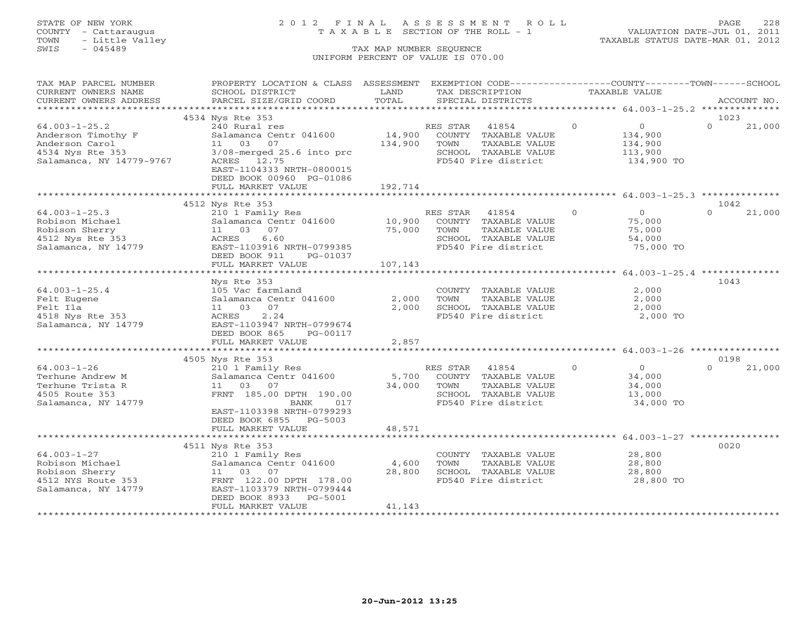# STATE OF NEW YORK 2 0 1 2 F I N A L A S S E S S M E N T R O L L PAGE 228 COUNTY - Cattaraugus T A X A B L E SECTION OF THE ROLL - 1 VALUATION DATE-JUL 01, 2011

| TAX MAP PARCEL NUMBER<br>CURRENT OWNERS NAME | PROPERTY LOCATION & CLASS ASSESSMENT<br>SCHOOL DISTRICT | LAND                          |          | EXEMPTION CODE----------------COUNTY-------TOWN------SCHOOL<br>TAX DESCRIPTION |          | TAXABLE VALUE                                    |          |             |
|----------------------------------------------|---------------------------------------------------------|-------------------------------|----------|--------------------------------------------------------------------------------|----------|--------------------------------------------------|----------|-------------|
| CURRENT OWNERS ADDRESS                       | PARCEL SIZE/GRID COORD                                  | TOTAL                         |          | SPECIAL DISTRICTS                                                              |          |                                                  |          | ACCOUNT NO. |
| *************************                    |                                                         |                               |          |                                                                                |          |                                                  |          |             |
|                                              | 4534 Nys Rte 353                                        |                               |          |                                                                                |          |                                                  | 1023     |             |
| $64.003 - 1 - 25.2$                          | 240 Rural res                                           |                               | RES STAR | 41854                                                                          | $\Omega$ | $\overline{O}$                                   | $\Omega$ | 21,000      |
| Anderson Timothy F                           | Salamanca Centr 041600                                  | 14,900                        |          | COUNTY TAXABLE VALUE                                                           |          | 134,900                                          |          |             |
| Anderson Carol                               | 11 03<br>07                                             | 134,900                       | TOWN     | TAXABLE VALUE                                                                  |          | 134,900                                          |          |             |
| 4534 Nys Rte 353                             | $3/08$ -merged $25.6$ into prc                          |                               |          | SCHOOL TAXABLE VALUE                                                           |          | 113,900                                          |          |             |
| Salamanca, NY 14779-9767                     | ACRES 12.75                                             |                               |          | FD540 Fire district                                                            |          | 134,900 TO                                       |          |             |
|                                              | EAST-1104333 NRTH-0800015                               |                               |          |                                                                                |          |                                                  |          |             |
|                                              | DEED BOOK 00960 PG-01086                                | 192,714                       |          |                                                                                |          |                                                  |          |             |
|                                              | FULL MARKET VALUE                                       |                               |          |                                                                                |          |                                                  |          |             |
|                                              | 4512 Nys Rte 353                                        |                               |          |                                                                                |          |                                                  | 1042     |             |
| $64.003 - 1 - 25.3$                          | 210 1 Family Res                                        |                               | RES STAR | 41854                                                                          | $\Omega$ | $\Omega$                                         | $\Omega$ | 21,000      |
| Robison Michael                              | Salamanca Centr 041600                                  | 10,900                        |          | COUNTY TAXABLE VALUE                                                           |          | 75,000                                           |          |             |
| Robison Sherry                               | 07<br>11 03                                             | 75,000                        | TOWN     | TAXABLE VALUE                                                                  |          | 75,000                                           |          |             |
| 4512 Nys Rte 353                             | 6.60<br>ACRES                                           |                               |          | SCHOOL TAXABLE VALUE                                                           |          | 54,000                                           |          |             |
| Salamanca, NY 14779                          | EAST-1103916 NRTH-0799385                               |                               |          | FD540 Fire district                                                            |          | 75,000 TO                                        |          |             |
|                                              | DEED BOOK 911<br>PG-01037                               |                               |          |                                                                                |          |                                                  |          |             |
|                                              | FULL MARKET VALUE                                       | 107,143                       |          |                                                                                |          |                                                  |          |             |
|                                              | ************************                                | ***********                   |          |                                                                                |          | ******************** 64.003-1-25.4 ************* |          |             |
|                                              | Nys Rte 353                                             |                               |          |                                                                                |          |                                                  | 1043     |             |
| $64.003 - 1 - 25.4$                          | 105 Vac farmland                                        |                               |          | COUNTY TAXABLE VALUE                                                           |          | 2,000                                            |          |             |
| Felt Eugene                                  | Salamanca Centr 041600                                  | 2,000                         | TOWN     | TAXABLE VALUE                                                                  |          | 2,000                                            |          |             |
| Felt Ila                                     | 11 03<br>07                                             | 2,000                         |          | SCHOOL TAXABLE VALUE                                                           |          | 2,000                                            |          |             |
| 4518 Nys Rte 353                             | 2.24<br>ACRES                                           |                               |          | FD540 Fire district                                                            |          | 2,000 TO                                         |          |             |
| Salamanca, NY 14779                          | EAST-1103947 NRTH-0799674                               |                               |          |                                                                                |          |                                                  |          |             |
|                                              | DEED BOOK 865<br>PG-00117                               |                               |          |                                                                                |          |                                                  |          |             |
|                                              | FULL MARKET VALUE                                       | 2,857                         |          |                                                                                |          |                                                  |          |             |
|                                              |                                                         |                               |          |                                                                                |          |                                                  |          |             |
|                                              | 4505 Nys Rte 353                                        |                               |          |                                                                                |          |                                                  | 0198     |             |
| $64.003 - 1 - 26$                            | 210 1 Family Res                                        |                               | RES STAR | 41854                                                                          | $\Omega$ | $\overline{0}$                                   | $\Omega$ | 21,000      |
| Terhune Andrew M                             | Salamanca Centr 041600                                  | 5,700                         |          | COUNTY TAXABLE VALUE                                                           |          | 34,000                                           |          |             |
| Terhune Trista R                             | 11 03 07                                                | 34,000                        | TOWN     | TAXABLE VALUE                                                                  |          | 34,000                                           |          |             |
| 4505 Route 353                               | FRNT 185.00 DPTH 190.00                                 |                               |          | SCHOOL TAXABLE VALUE                                                           |          | 13,000                                           |          |             |
| Salamanca, NY 14779                          | <b>BANK</b><br>017                                      |                               |          | FD540 Fire district                                                            |          | 34,000 TO                                        |          |             |
|                                              | EAST-1103398 NRTH-0799293                               |                               |          |                                                                                |          |                                                  |          |             |
|                                              | DEED BOOK 6855 PG-5003                                  |                               |          |                                                                                |          |                                                  |          |             |
|                                              | FULL MARKET VALUE                                       | 48,571<br>* * * * * * * * * * |          |                                                                                |          | ********************* 64.003-1-27 ***********    |          |             |
|                                              |                                                         |                               |          |                                                                                |          |                                                  | 0020     |             |
| $64.003 - 1 - 27$                            | 4511 Nys Rte 353<br>210 1 Family Res                    |                               |          | COUNTY TAXABLE VALUE                                                           |          | 28,800                                           |          |             |
| Robison Michael                              | Salamanca Centr 041600                                  | 4,600                         | TOWN     | TAXABLE VALUE                                                                  |          | 28,800                                           |          |             |
| Robison Sherry                               | 11 03<br>07                                             | 28,800                        |          | SCHOOL TAXABLE VALUE                                                           |          | 28,800                                           |          |             |
| 4512 NYS Route 353                           | FRNT 122.00 DPTH 178.00                                 |                               |          | FD540 Fire district                                                            |          | 28,800 TO                                        |          |             |
| Salamanca, NY 14779                          | EAST-1103379 NRTH-0799444                               |                               |          |                                                                                |          |                                                  |          |             |
|                                              | DEED BOOK 8933<br>PG-5001                               |                               |          |                                                                                |          |                                                  |          |             |
|                                              | FULL MARKET VALUE                                       | 41,143                        |          |                                                                                |          |                                                  |          |             |
|                                              |                                                         |                               |          |                                                                                |          |                                                  |          |             |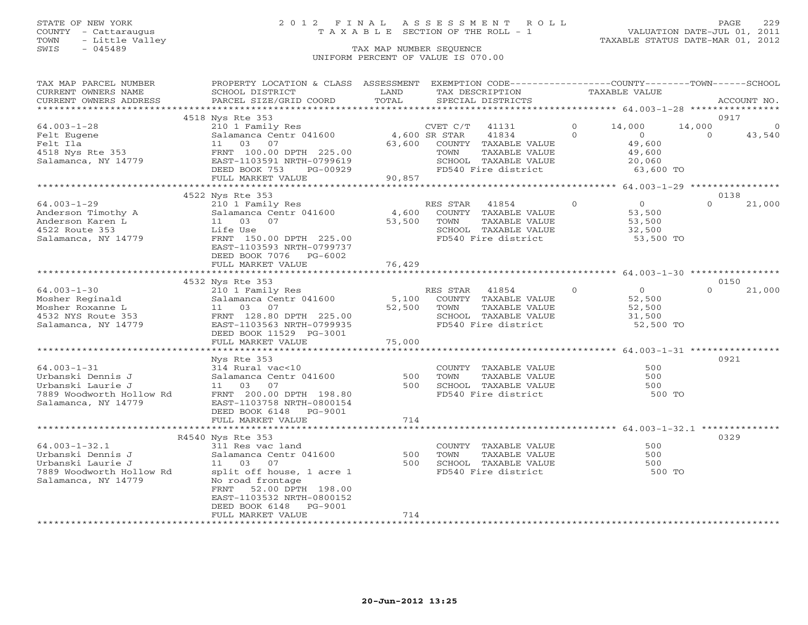# STATE OF NEW YORK 2 0 1 2 F I N A L A S S E S S M E N T R O L L PAGE 229 COUNTY - Cattaraugus T A X A B L E SECTION OF THE ROLL - 1 VALUATION DATE-JUL 01, 2011

| TAX MAP PARCEL NUMBER<br>CURRENT OWNERS NAME<br>CURRENT OWNERS ADDRESS                                           | PROPERTY LOCATION & CLASS ASSESSMENT<br>SCHOOL DISTRICT<br>PARCEL SIZE/GRID COORD                                                                                                           | LAND<br>TOTAL             | EXEMPTION CODE-----------------COUNTY-------TOWN------SCHOOL<br>TAX DESCRIPTION<br>SPECIAL DISTRICTS                   |          | TAXABLE VALUE                                             |          | ACCOUNT NO.          |
|------------------------------------------------------------------------------------------------------------------|---------------------------------------------------------------------------------------------------------------------------------------------------------------------------------------------|---------------------------|------------------------------------------------------------------------------------------------------------------------|----------|-----------------------------------------------------------|----------|----------------------|
|                                                                                                                  |                                                                                                                                                                                             |                           |                                                                                                                        |          |                                                           |          |                      |
| $64.003 - 1 - 28$                                                                                                | 4518 Nys Rte 353<br>210 1 Family Res                                                                                                                                                        |                           | CVET C/T<br>41131                                                                                                      | $\circ$  | 14,000                                                    | 14,000   | 0917<br>$\mathbf{0}$ |
| Felt Eugene<br>Felt Ila<br>4518 Nys Rte 353<br>Salamanca, NY 14779                                               | Salamanca Centr 041600<br>03<br>07<br>11<br>FRNT 100.00 DPTH 225.00<br>EAST-1103591 NRTH-0799619<br>PG-00929<br>DEED BOOK 753<br>FULL MARKET VALUE                                          | 63,600<br>90,857          | 4,600 SR STAR<br>41834<br>COUNTY TAXABLE VALUE<br>TOWN<br>TAXABLE VALUE<br>SCHOOL TAXABLE VALUE<br>FD540 Fire district | $\Omega$ | $\overline{0}$<br>49,600<br>49,600<br>20,060<br>63,600 TO | $\Omega$ | 43,540               |
|                                                                                                                  |                                                                                                                                                                                             |                           |                                                                                                                        |          |                                                           |          |                      |
|                                                                                                                  | 4522 Nys Rte 353                                                                                                                                                                            |                           |                                                                                                                        |          |                                                           |          | 0138                 |
| $64.003 - 1 - 29$<br>Anderson Timothy A<br>Anderson Karen L<br>4522 Route 353<br>Salamanca, NY 14779             | 210 1 Family Res<br>Salamanca Centr 041600<br>11 03 07<br>Life Use<br>FRNT 150.00 DPTH 225.00<br>EAST-1103593 NRTH-0799737<br>DEED BOOK 7076 PG-6002                                        | 4,600<br>53,500           | RES STAR<br>41854<br>COUNTY TAXABLE VALUE<br>TOWN<br>TAXABLE VALUE<br>SCHOOL TAXABLE VALUE<br>FD540 Fire district      | $\Omega$ | $\overline{0}$<br>53,500<br>53,500<br>32,500<br>53,500 TO | $\Omega$ | 21,000               |
|                                                                                                                  | FULL MARKET VALUE<br>***************************                                                                                                                                            | 76,429                    |                                                                                                                        |          |                                                           |          |                      |
|                                                                                                                  | 4532 Nys Rte 353                                                                                                                                                                            |                           |                                                                                                                        |          |                                                           |          | 0150                 |
| $64.003 - 1 - 30$<br>Mosher Reginald<br>Mosher Roxanne L<br>4532 NYS Route 353<br>Salamanca, NY 14779            | 210 1 Family Res<br>Salamanca Centr 041600<br>11 03 07<br>FRNT 128.80 DPTH 225.00<br>EAST-1103563 NRTH-0799935<br>DEED BOOK 11529 PG-3001<br>FULL MARKET VALUE                              | 5,100<br>52,500<br>75,000 | RES STAR 41854<br>COUNTY TAXABLE VALUE<br>TOWN<br>TAXABLE VALUE<br>SCHOOL TAXABLE VALUE<br>FD540 Fire district         | $\Omega$ | $\overline{0}$<br>52,500<br>52,500<br>31,500<br>52,500 TO | $\Omega$ | 21,000               |
|                                                                                                                  |                                                                                                                                                                                             |                           |                                                                                                                        |          |                                                           |          |                      |
| $64.003 - 1 - 31$<br>Urbanski Dennis J<br>Urbanski Laurie J<br>7889 Woodworth Hollow Rd<br>Salamanca, NY 14779   | Nys Rte 353<br>314 Rural vac<10<br>Salamanca Centr 041600<br>11  03  07<br>FRNT 200.00 DPTH 198.80<br>EAST-1103758 NRTH-0800154<br>DEED BOOK 6148 PG-9001<br>FULL MARKET VALUE              | 500<br>500<br>714         | COUNTY TAXABLE VALUE<br>TOWN<br>TAXABLE VALUE<br>SCHOOL TAXABLE VALUE<br>FD540 Fire district                           |          | 500<br>500<br>500<br>500 TO                               |          | 0921                 |
|                                                                                                                  |                                                                                                                                                                                             |                           |                                                                                                                        |          |                                                           |          |                      |
|                                                                                                                  | R4540 Nys Rte 353                                                                                                                                                                           |                           |                                                                                                                        |          |                                                           |          | 0329                 |
| $64.003 - 1 - 32.1$<br>Urbanski Dennis J<br>Urbanski Laurie J<br>7889 Woodworth Hollow Rd<br>Salamanca, NY 14779 | 311 Res vac land<br>Salamanca Centr 041600<br>11 03 07<br>split off house, 1 acre 1<br>No road frontage<br>FRNT 52.00 DPTH 198.00<br>EAST-1103532 NRTH-0800152<br>DEED BOOK 6148<br>PG-9001 | 500<br>500                | COUNTY TAXABLE VALUE<br>TOWN<br>TAXABLE VALUE<br>SCHOOL TAXABLE VALUE<br>FD540 Fire district                           |          | 500<br>500<br>500<br>500 TO                               |          |                      |
|                                                                                                                  | FULL MARKET VALUE                                                                                                                                                                           | 714                       |                                                                                                                        |          |                                                           |          |                      |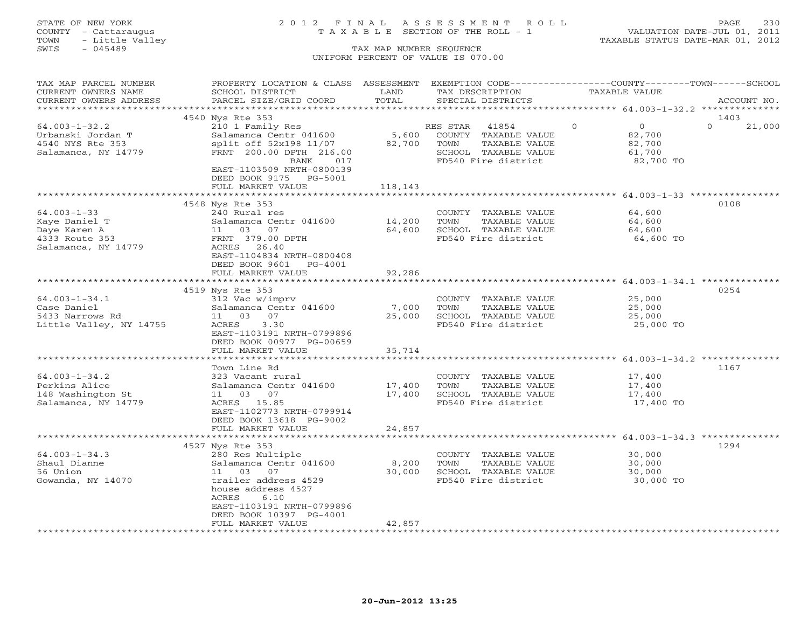# STATE OF NEW YORK 2 0 1 2 F I N A L A S S E S S M E N T R O L L PAGE 230 COUNTY - Cattaraugus T A X A B L E SECTION OF THE ROLL - 1 VALUATION DATE-JUL 01, 2011

| TAX MAP PARCEL NUMBER<br>PROPERTY LOCATION & CLASS ASSESSMENT<br>EXEMPTION CODE-----------------COUNTY-------TOWN------SCHOOL<br>CURRENT OWNERS NAME<br><b>TAXABLE VALUE</b><br>SCHOOL DISTRICT<br>LAND<br>TAX DESCRIPTION                                                                                                                           |                    |
|------------------------------------------------------------------------------------------------------------------------------------------------------------------------------------------------------------------------------------------------------------------------------------------------------------------------------------------------------|--------------------|
| TOTAL<br>CURRENT OWNERS ADDRESS<br>PARCEL SIZE/GRID COORD<br>SPECIAL DISTRICTS                                                                                                                                                                                                                                                                       | ACCOUNT NO.        |
|                                                                                                                                                                                                                                                                                                                                                      | 1403               |
| 4540 Nys Rte 353<br>$\Omega$<br>$64.003 - 1 - 32.2$<br>210 1 Family Res<br>$\Omega$<br>RES STAR<br>41854<br>5,600<br>Urbanski Jordan T<br>Salamanca Centr 041600<br>COUNTY TAXABLE VALUE<br>82,700<br>4540 NYS Rte 353<br>split off 52x198 11/07<br>82,700<br>TOWN<br>82,700<br>TAXABLE VALUE                                                        | $\Omega$<br>21,000 |
| SCHOOL TAXABLE VALUE<br>Salamanca, NY 14779<br>FRNT 200.00 DPTH 216.00<br>61,700<br>017<br>FD540 Fire district<br>82,700 TO<br>BANK<br>EAST-1103509 NRTH-0800139<br>DEED BOOK 9175 PG-5001                                                                                                                                                           |                    |
| FULL MARKET VALUE<br>118,143<br>******************** 64.003-1-33 ***********<br>*********                                                                                                                                                                                                                                                            |                    |
| 4548 Nys Rte 353                                                                                                                                                                                                                                                                                                                                     | 0108               |
| $64.003 - 1 - 33$<br>240 Rural res<br>64,600<br>COUNTY TAXABLE VALUE<br>Kaye Daniel T<br>Salamanca Centr 041600<br>14,200<br>TOWN<br>TAXABLE VALUE<br>64,600<br>Daye Karen A<br>11 03 07<br>64,600<br>SCHOOL TAXABLE VALUE<br>64,600<br>4333 Route 353<br>FRNT 379.00 DPTH<br>FD540 Fire district<br>64,600 TO<br>ACRES 26.40<br>Salamanca, NY 14779 |                    |
| EAST-1104834 NRTH-0800408<br>DEED BOOK 9601 PG-4001<br>FULL MARKET VALUE<br>92,286                                                                                                                                                                                                                                                                   |                    |
| ***********<br>******************** 64.003-1-34.1 ***************                                                                                                                                                                                                                                                                                    |                    |
| 4519 Nys Rte 353<br>$64.003 - 1 - 34.1$<br>25,000<br>312 Vac w/imprv<br>COUNTY TAXABLE VALUE<br>Case Daniel<br>Salamanca Centr 041600<br>7,000<br>TOWN<br>TAXABLE VALUE<br>25,000                                                                                                                                                                    | 0254               |
| 5433 Narrows Rd<br>25,000<br>SCHOOL TAXABLE VALUE<br>11 03<br>07<br>25,000<br>Little Valley, NY 14755<br>3.30<br>FD540 Fire district<br>25,000 TO<br>ACRES<br>EAST-1103191 NRTH-0799896                                                                                                                                                              |                    |
| DEED BOOK 00977 PG-00659<br>FULL MARKET VALUE<br>35,714                                                                                                                                                                                                                                                                                              |                    |
| ******************** 64.003-1-34.2 *************<br>******************                                                                                                                                                                                                                                                                               |                    |
| Town Line Rd                                                                                                                                                                                                                                                                                                                                         | 1167               |
| $64.003 - 1 - 34.2$<br>323 Vacant rural<br>COUNTY TAXABLE VALUE<br>17,400                                                                                                                                                                                                                                                                            |                    |
| Perkins Alice<br>17,400<br>TAXABLE VALUE<br>Salamanca Centr 041600<br>TOWN<br>17,400<br>148 Washington St<br>11 03 07<br>17,400<br>SCHOOL TAXABLE VALUE                                                                                                                                                                                              |                    |
| 17,400<br>Salamanca, NY 14779<br>ACRES 15.85<br>FD540 Fire district<br>17,400 TO<br>EAST-1102773 NRTH-0799914<br>DEED BOOK 13618 PG-9002<br>24,857<br>FULL MARKET VALUE                                                                                                                                                                              |                    |
|                                                                                                                                                                                                                                                                                                                                                      |                    |
| 4527 Nys Rte 353                                                                                                                                                                                                                                                                                                                                     | 1294               |
| $64.003 - 1 - 34.3$<br>280 Res Multiple<br>30,000<br>COUNTY TAXABLE VALUE                                                                                                                                                                                                                                                                            |                    |
| Shaul Dianne<br>Salamanca Centr 041600<br>8,200<br>TOWN<br>TAXABLE VALUE<br>30,000                                                                                                                                                                                                                                                                   |                    |
| 56 Union<br>11 03 07<br>30,000<br>SCHOOL TAXABLE VALUE<br>30,000                                                                                                                                                                                                                                                                                     |                    |
| Gowanda, NY 14070<br>FD540 Fire district<br>trailer address 4529<br>30,000 TO<br>house address 4527<br>ACRES<br>6.10<br>EAST-1103191 NRTH-0799896<br>DEED BOOK 10397 PG-4001                                                                                                                                                                         |                    |
| FULL MARKET VALUE<br>42,857                                                                                                                                                                                                                                                                                                                          |                    |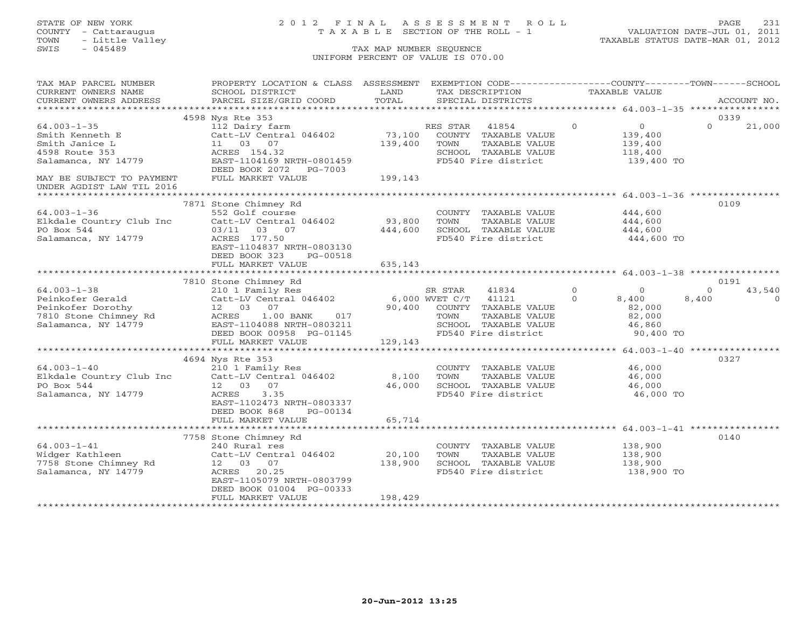# STATE OF NEW YORK 2 0 1 2 F I N A L A S S E S S M E N T R O L L PAGE 231 COUNTY - Cattaraugus T A X A B L E SECTION OF THE ROLL - 1 VALUATION DATE-JUL 01, 2011

| TAX MAP PARCEL NUMBER                                                                            | PROPERTY LOCATION & CLASS ASSESSMENT EXEMPTION CODE---------------COUNTY-------TOWN------SCHOOL                                                                                         |             |                                                                                                      |                |                                             |          |          |
|--------------------------------------------------------------------------------------------------|-----------------------------------------------------------------------------------------------------------------------------------------------------------------------------------------|-------------|------------------------------------------------------------------------------------------------------|----------------|---------------------------------------------|----------|----------|
| CURRENT OWNERS NAME                                                                              | SCHOOL DISTRICT                                                                                                                                                                         | LAND        | TAX DESCRIPTION                                                                                      |                | TAXABLE VALUE                               |          |          |
|                                                                                                  |                                                                                                                                                                                         |             |                                                                                                      |                |                                             |          |          |
|                                                                                                  | CUNNENT OWNERS ADDRESS FORCEL SIZE/GRID COORD FORM SECIAL DISTRICTS FORM THE SACCOUNT NO.<br>CURRENT OWNERS ADDRESS PRECEL SIZE/GRID COORD TOTAL SECIAL DISTRICTS FORM FORM ACCOUNT NO. |             |                                                                                                      |                |                                             |          |          |
|                                                                                                  | 4598 Nys Rte 353                                                                                                                                                                        |             |                                                                                                      |                |                                             | 0339     |          |
| $64.003 - 1 - 35$                                                                                | 112 Dairy farm                                                                                                                                                                          |             | RES STAR 41854<br>73,100 COUNTY TAXABLE VALUE                                                        | $\overline{0}$ |                                             | $\Omega$ | 21,000   |
| Smith Kenneth E                                                                                  | Catt-LV Central 046402                                                                                                                                                                  |             |                                                                                                      |                | $\begin{array}{c} 0 \\ 139,400 \end{array}$ |          |          |
| Smith Janice L                                                                                   | 11 03 07                                                                                                                                                                                | 139,400     | TOWN<br>TAXABLE VALUE                                                                                |                |                                             |          |          |
| 4598 Route 353                                                                                   | ACRES 154.32                                                                                                                                                                            |             | SCHOOL TAXABLE VALUE                                                                                 |                | 139,400<br>118,400                          |          |          |
| Salamanca, NY 14779                                                                              | EAST-1104169 NRTH-0801459                                                                                                                                                               |             | FD540 Fire district 139,400 TO                                                                       |                |                                             |          |          |
|                                                                                                  | DEED BOOK 2072 PG-7003                                                                                                                                                                  |             |                                                                                                      |                |                                             |          |          |
| MAY BE SUBJECT TO PAYMENT                                                                        | FULL MARKET VALUE                                                                                                                                                                       | 199,143     |                                                                                                      |                |                                             |          |          |
| UNDER AGDIST LAW TIL 2016                                                                        |                                                                                                                                                                                         |             |                                                                                                      |                |                                             |          |          |
|                                                                                                  |                                                                                                                                                                                         |             |                                                                                                      |                |                                             |          |          |
|                                                                                                  | 7871 Stone Chimney Rd                                                                                                                                                                   |             |                                                                                                      |                |                                             | 0109     |          |
| $64.003 - 1 - 36$                                                                                | 552 Golf course                                                                                                                                                                         |             | COUNTY TAXABLE VALUE                                                                                 |                | 444,600                                     |          |          |
| Elkdale Country Club Inc                                                                         | Catt-LV Central 046402                                                                                                                                                                  | 93,800 TOWN | TAXABLE VALUE                                                                                        |                | 444,600                                     |          |          |
|                                                                                                  | 03/11 03 07                                                                                                                                                                             |             |                                                                                                      |                |                                             |          |          |
| PO Box 544<br>Salamanca, NY 14779                                                                |                                                                                                                                                                                         |             | 444,600 SCHOOL TAXABLE VALUE 444,600                                                                 |                |                                             |          |          |
|                                                                                                  | ACRES 177.50                                                                                                                                                                            |             | FD540 Fire district                                                                                  |                | 444,600 TO                                  |          |          |
|                                                                                                  | EAST-1104837 NRTH-0803130                                                                                                                                                               |             |                                                                                                      |                |                                             |          |          |
|                                                                                                  | DEED BOOK 323<br>PG-00518                                                                                                                                                               |             |                                                                                                      |                |                                             |          |          |
|                                                                                                  | FULL MARKET VALUE                                                                                                                                                                       | 635,143     |                                                                                                      |                |                                             |          |          |
|                                                                                                  |                                                                                                                                                                                         |             |                                                                                                      |                |                                             |          |          |
|                                                                                                  | 7810 Stone Chimney Rd                                                                                                                                                                   |             |                                                                                                      |                |                                             | 0191     |          |
| $64.003 - 1 - 38$                                                                                | 210 1 Family Res                                                                                                                                                                        |             | SR STAR 41834 0 0<br>WVET C/T 41121 0 8,400                                                          |                |                                             | $\Omega$ | 43,540   |
| Peinkofer Gerald                                                                                 | $Catt-LV$ Central 046402 6,000 WVET C/T 41121                                                                                                                                           |             |                                                                                                      |                |                                             | 8,400    | $\Omega$ |
|                                                                                                  |                                                                                                                                                                                         |             | 90,400 COUNTY TAXABLE VALUE $82,000$<br>TOWN TAXABLE VALUE $82,000$<br>SCHOOL TAXABLE VALUE $46,860$ |                |                                             |          |          |
|                                                                                                  | 017<br>$1.00$ BANK                                                                                                                                                                      |             |                                                                                                      |                |                                             |          |          |
|                                                                                                  | EAST-1104088 NRTH-0803211                                                                                                                                                               |             |                                                                                                      |                |                                             |          |          |
| Peinkofer Dorothy<br>7810 Stone Chimney Rd 12 03 07<br>Salamanca, NY 14779 1468 I DEED BOOK 0099 | DEED BOOK 00958 PG-01145                                                                                                                                                                |             | SCHOOL TAXABLE VALUE 46,860<br>FD540 Fire district 90,400 TO                                         |                |                                             |          |          |
|                                                                                                  | FULL MARKET VALUE                                                                                                                                                                       | 129,143     |                                                                                                      |                |                                             |          |          |
|                                                                                                  |                                                                                                                                                                                         |             |                                                                                                      |                |                                             |          |          |
|                                                                                                  | 4694 Nys Rte 353                                                                                                                                                                        |             |                                                                                                      |                |                                             | 0327     |          |
|                                                                                                  |                                                                                                                                                                                         |             | COUNTY TAXABLE VALUE 46,000                                                                          |                |                                             |          |          |
| $64.003 - 1 - 40$<br>Elkdale Country Club Inc                                                    | 210 1 Family Res<br>Catt-LV Central 046402 8,100 TOWN                                                                                                                                   |             | TAXABLE VALUE                                                                                        |                | 46,000                                      |          |          |
| PO Box 544                                                                                       | 12 03 07                                                                                                                                                                                |             | 46,000 SCHOOL TAXABLE VALUE 46,000                                                                   |                |                                             |          |          |
| Salamanca, NY 14779                                                                              | <b>ACRES</b><br>3.35                                                                                                                                                                    |             | FD540 Fire district                                                                                  |                | 46,000 TO                                   |          |          |
|                                                                                                  | EAST-1102473 NRTH-0803337                                                                                                                                                               |             |                                                                                                      |                |                                             |          |          |
|                                                                                                  | DEED BOOK 868<br>PG-00134                                                                                                                                                               |             |                                                                                                      |                |                                             |          |          |
|                                                                                                  |                                                                                                                                                                                         |             |                                                                                                      |                |                                             |          |          |
|                                                                                                  | FULL MARKET VALUE                                                                                                                                                                       | 65,714      |                                                                                                      |                |                                             |          |          |
|                                                                                                  |                                                                                                                                                                                         |             |                                                                                                      |                |                                             |          |          |
|                                                                                                  | 7758 Stone Chimney Rd                                                                                                                                                                   |             |                                                                                                      |                |                                             | 0140     |          |
| Widger Kathleen<br>7758 Stone Chimney Rd<br>Salamanca, NY 14779                                  | 240 Rural res                                                                                                                                                                           |             | COUNTY TAXABLE VALUE 138,900<br>TOWN TAXABLE VALUE 138,900                                           |                |                                             |          |          |
|                                                                                                  | Catt-LV Central 046402 20,100                                                                                                                                                           |             |                                                                                                      |                |                                             |          |          |
|                                                                                                  | 12 03 07                                                                                                                                                                                | 138,900     | SCHOOL TAXABLE VALUE 138,900<br>FD540 Fire district 138,900 TO                                       |                |                                             |          |          |
|                                                                                                  | ACRES 20.25                                                                                                                                                                             |             |                                                                                                      |                |                                             |          |          |
|                                                                                                  | EAST-1105079 NRTH-0803799                                                                                                                                                               |             |                                                                                                      |                |                                             |          |          |
|                                                                                                  | DEED BOOK 01004 PG-00333                                                                                                                                                                |             |                                                                                                      |                |                                             |          |          |
|                                                                                                  | FULL MARKET VALUE                                                                                                                                                                       | 198,429     |                                                                                                      |                |                                             |          |          |
|                                                                                                  |                                                                                                                                                                                         |             |                                                                                                      |                |                                             |          |          |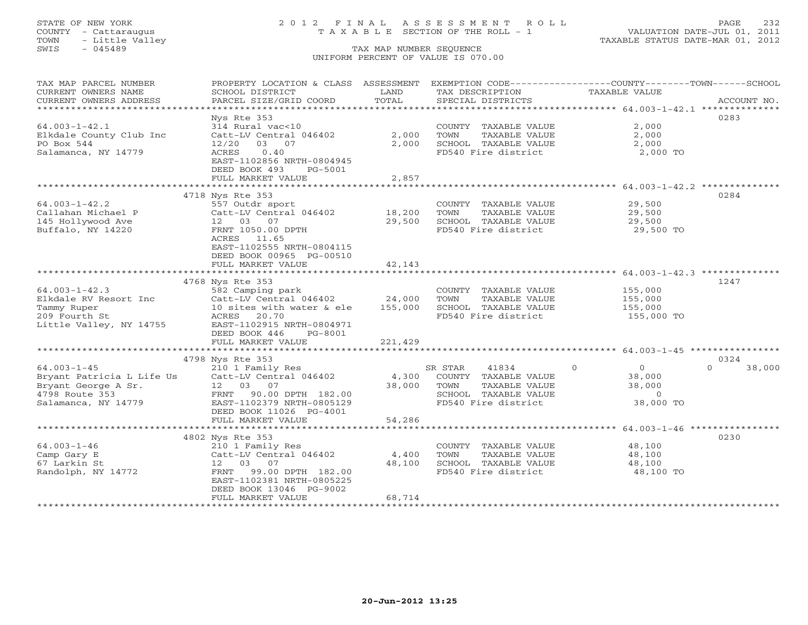# STATE OF NEW YORK 2 0 1 2 F I N A L A S S E S S M E N T R O L L PAGE 232 COUNTY - Cattaraugus T A X A B L E SECTION OF THE ROLL - 1 VALUATION DATE-JUL 01, 2011

| TAX MAP PARCEL NUMBER                        | PROPERTY LOCATION & CLASS ASSESSMENT |         | EXEMPTION CODE-----------------COUNTY-------TOWN------SCHOOL |                            |                    |
|----------------------------------------------|--------------------------------------|---------|--------------------------------------------------------------|----------------------------|--------------------|
| CURRENT OWNERS NAME                          | SCHOOL DISTRICT                      | LAND    | TAX DESCRIPTION                                              | TAXABLE VALUE              |                    |
| CURRENT OWNERS ADDRESS                       | PARCEL SIZE/GRID COORD               | TOTAL   | SPECIAL DISTRICTS                                            |                            | ACCOUNT NO.        |
| **********************                       |                                      |         |                                                              |                            |                    |
|                                              | Nys Rte 353                          |         |                                                              |                            | 0283               |
| $64.003 - 1 - 42.1$                          | 314 Rural vac<10                     |         | COUNTY TAXABLE VALUE                                         | 2,000                      |                    |
| Elkdale County Club Inc                      | Catt-LV Central 046402               | 2,000   | TAXABLE VALUE<br>TOWN                                        | 2,000                      |                    |
| PO Box 544                                   | 03 07<br>12/20                       | 2,000   | SCHOOL TAXABLE VALUE                                         | 2,000                      |                    |
| Salamanca, NY 14779                          | <b>ACRES</b><br>0.40                 |         | FD540 Fire district                                          | 2,000 TO                   |                    |
|                                              | EAST-1102856 NRTH-0804945            |         |                                                              |                            |                    |
|                                              | DEED BOOK 493<br>PG-5001             |         |                                                              |                            |                    |
|                                              | FULL MARKET VALUE                    | 2,857   |                                                              |                            |                    |
|                                              |                                      |         |                                                              |                            |                    |
|                                              | 4718 Nys Rte 353                     |         |                                                              |                            | 0284               |
| $64.003 - 1 - 42.2$                          | 557 Outdr sport                      |         | COUNTY TAXABLE VALUE                                         | 29,500                     |                    |
| Callahan Michael P                           | Catt-LV Central 046402               | 18,200  | TAXABLE VALUE<br>TOWN                                        | 29,500                     |                    |
| 145 Hollywood Ave                            | 12 03 07                             | 29,500  | SCHOOL TAXABLE VALUE                                         | 29,500                     |                    |
| Buffalo, NY 14220                            | FRNT 1050.00 DPTH                    |         | FD540 Fire district                                          | 29,500 TO                  |                    |
|                                              | ACRES 11.65                          |         |                                                              |                            |                    |
|                                              | EAST-1102555 NRTH-0804115            |         |                                                              |                            |                    |
|                                              | DEED BOOK 00965 PG-00510             |         |                                                              |                            |                    |
|                                              | FULL MARKET VALUE                    | 42,143  |                                                              |                            |                    |
|                                              |                                      |         |                                                              |                            | 1247               |
|                                              | 4768 Nys Rte 353<br>582 Camping park |         |                                                              |                            |                    |
| $64.003 - 1 - 42.3$<br>Elkdale RV Resort Inc | Catt-LV Central 046402               | 24,000  | COUNTY TAXABLE VALUE<br>TAXABLE VALUE<br>TOWN                | 155,000<br>155,000         |                    |
|                                              | 10 sites with water & ele            | 155,000 | SCHOOL TAXABLE VALUE                                         | 155,000                    |                    |
| Tammy Ruper<br>209 Fourth St                 | ACRES<br>20.70                       |         | FD540 Fire district                                          | 155,000 TO                 |                    |
| Little Valley, NY 14755                      | EAST-1102915 NRTH-0804971            |         |                                                              |                            |                    |
|                                              | DEED BOOK 446<br>PG-8001             |         |                                                              |                            |                    |
|                                              | FULL MARKET VALUE                    | 221,429 |                                                              |                            |                    |
|                                              |                                      |         |                                                              |                            |                    |
|                                              | 4798 Nys Rte 353                     |         |                                                              |                            | 0324               |
| $64.003 - 1 - 45$                            | 210 1 Family Res                     |         | SR STAR<br>41834                                             | $\Omega$<br>$\overline{0}$ | $\Omega$<br>38,000 |
| Bryant Patricia L Life Us                    | Catt-LV Central 046402               | 4,300   | COUNTY TAXABLE VALUE                                         | 38,000                     |                    |
| Bryant George A Sr.                          | 12  03  07                           | 38,000  | TAXABLE VALUE<br>TOWN                                        | 38,000                     |                    |
| 4798 Route 353                               | FRNT 90.00 DPTH 182.00               |         | SCHOOL TAXABLE VALUE                                         | $\overline{0}$             |                    |
| Salamanca, NY 14779                          | EAST-1102379 NRTH-0805129            |         | FD540 Fire district                                          | 38,000 TO                  |                    |
|                                              | DEED BOOK 11026 PG-4001              |         |                                                              |                            |                    |
|                                              | FULL MARKET VALUE                    | 54,286  |                                                              |                            |                    |
|                                              |                                      |         |                                                              |                            |                    |
|                                              | 4802 Nys Rte 353                     |         |                                                              |                            | 0230               |
| $64.003 - 1 - 46$                            | 210 1 Family Res                     |         | COUNTY TAXABLE VALUE                                         | 48,100                     |                    |
| Camp Gary E                                  | Catt-LV Central 046402               | 4,400   | TOWN<br>TAXABLE VALUE                                        | 48,100                     |                    |
| 67 Larkin St                                 | 12 03<br>07                          | 48,100  | SCHOOL TAXABLE VALUE                                         | 48,100                     |                    |
| Randolph, NY 14772                           | FRNT<br>99.00 DPTH 182.00            |         | FD540 Fire district                                          | 48,100 TO                  |                    |
|                                              | EAST-1102381 NRTH-0805225            |         |                                                              |                            |                    |
|                                              | DEED BOOK 13046 PG-9002              |         |                                                              |                            |                    |
|                                              | FULL MARKET VALUE                    | 68,714  |                                                              |                            |                    |
|                                              |                                      |         |                                                              |                            |                    |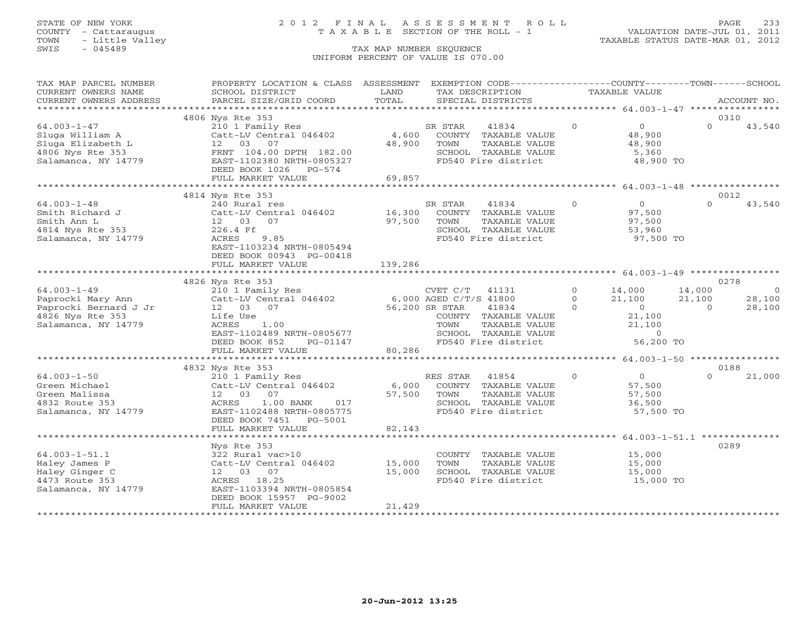# STATE OF NEW YORK 2 0 1 2 F I N A L A S S E S S M E N T R O L L PAGE 233 COUNTY - Cattaraugus T A X A B L E SECTION OF THE ROLL - 1 VALUATION DATE-JUL 01, 2011

| <b>TAXABLE VALUE</b><br>CURRENT OWNERS NAME<br>LAND<br>TAX DESCRIPTION<br>TOTAL<br>CURRENT OWNERS ADDRESS<br>PARCEL SIZE/GRID COORD<br>SPECIAL DISTRICTS<br>ACCOUNT NO.<br>* * * * * * * * * * * * * * * *<br>0310<br>4806 Nys Rte 353<br>$64.003 - 1 - 47$<br>$\overline{0}$<br>210 1 Family Res<br>$\circ$<br>$\Omega$<br>SR STAR<br>41834<br>43,540<br>Catt-LV Central 046402<br>4,600<br>COUNTY TAXABLE VALUE<br>48,900<br>Sluga William A<br>48,900<br>Sluga Elizabeth L<br>03<br>07<br>TAXABLE VALUE<br>48,900<br>12<br>TOWN<br>FRNT 104.00 DPTH 182.00<br>4806 Nys Rte 353<br>SCHOOL TAXABLE VALUE<br>5,360<br>Salamanca, NY 14779<br>EAST-1102380 NRTH-0805327<br>FD540 Fire district<br>48,900 TO<br>DEED BOOK 1026<br>PG-574<br>FULL MARKET VALUE<br>69,857<br>4814 Nys Rte 353<br>0012<br>$\Omega$<br>$\Omega$<br>43,540<br>$64.003 - 1 - 48$<br>240 Rural res<br>SR STAR<br>41834<br>$\circ$<br>Smith Richard J<br>Catt-LV Central 046402<br>16,300<br>COUNTY TAXABLE VALUE<br>97,500<br>Smith Ann L<br>07<br>97,500<br>TAXABLE VALUE<br>97,500<br>12 03<br>TOWN<br>4814 Nys Rte 353<br>226.4 Ff<br>SCHOOL TAXABLE VALUE<br>53,960<br>97,500 TO<br>Salamanca, NY 14779<br>ACRES<br>9.85<br>FD540 Fire district<br>EAST-1103234 NRTH-0805494<br>DEED BOOK 00943 PG-00418<br>FULL MARKET VALUE<br>139,286<br>********************** 64.003-1-49 *****************<br>0278<br>4826 Nys Rte 353<br>$64.003 - 1 - 49$<br>14,000<br>210 1 Family Res<br>CVET C/T<br>41131<br>$\circ$<br>14,000<br>$\circ$<br>Paprocki Mary Ann<br>Catt-LV Central 046402<br>6,000 AGED C/T/S 41800<br>$\circ$<br>21,100<br>21,100<br>28,100<br>Paprocki Bernard J Jr<br>12 03 07<br>56,200 SR STAR<br>41834<br>$\Omega$<br>$\overline{0}$<br>28,100<br>$\Omega$<br>4826 Nys Rte 353<br>21,100<br>Life Use<br>COUNTY TAXABLE VALUE<br>Salamanca, NY 14779<br>1.00<br>21,100<br>ACRES<br>TOWN<br>TAXABLE VALUE<br>EAST-1102489 NRTH-0805677<br>$\Omega$<br>SCHOOL TAXABLE VALUE<br>56,200 TO<br>FD540 Fire district<br>DEED BOOK 852<br>PG-01147<br>80,286<br>FULL MARKET VALUE<br>0188<br>4832 Nys Rte 353<br>$64.003 - 1 - 50$<br>$\circ$<br>0<br>210 1 Family Res<br>RES STAR<br>41854<br>$\Omega$<br>21,000<br>Green Michael<br>Catt-LV Central 046402<br>6,000<br>COUNTY TAXABLE VALUE<br>57,500<br>Green Malissa<br>12 03 07<br>57,500<br>TOWN<br>TAXABLE VALUE<br>57,500<br>4832 Route 353<br>1.00 BANK<br>SCHOOL TAXABLE VALUE<br>36,500<br>ACRES<br>017<br>Salamanca, NY 14779<br>EAST-1102488 NRTH-0805775<br>FD540 Fire district<br>57,500 TO<br>DEED BOOK 7451<br>PG-5001<br>FULL MARKET VALUE<br>82,143<br>*************************<br>*************<br>0289<br>Nys Rte 353<br>$64.003 - 1 - 51.1$<br>322 Rural vac>10<br>COUNTY<br>TAXABLE VALUE<br>15,000<br>15,000<br>TOWN<br>TAXABLE VALUE<br>Haley James P<br>Catt-LV Central 046402<br>15,000<br>15,000<br>Haley Ginger C<br>12 03 07<br>SCHOOL TAXABLE VALUE<br>15,000<br>4473 Route 353<br>ACRES 18.25<br>FD540 Fire district<br>15,000 TO<br>EAST-1103394 NRTH-0805854<br>Salamanca, NY 14779<br>DEED BOOK 15957 PG-9002<br>FULL MARKET VALUE<br>21,429 | TAX MAP PARCEL NUMBER | PROPERTY LOCATION & CLASS ASSESSMENT |  | EXEMPTION CODE-----------------COUNTY-------TOWN------SCHOOL |  |  |
|--------------------------------------------------------------------------------------------------------------------------------------------------------------------------------------------------------------------------------------------------------------------------------------------------------------------------------------------------------------------------------------------------------------------------------------------------------------------------------------------------------------------------------------------------------------------------------------------------------------------------------------------------------------------------------------------------------------------------------------------------------------------------------------------------------------------------------------------------------------------------------------------------------------------------------------------------------------------------------------------------------------------------------------------------------------------------------------------------------------------------------------------------------------------------------------------------------------------------------------------------------------------------------------------------------------------------------------------------------------------------------------------------------------------------------------------------------------------------------------------------------------------------------------------------------------------------------------------------------------------------------------------------------------------------------------------------------------------------------------------------------------------------------------------------------------------------------------------------------------------------------------------------------------------------------------------------------------------------------------------------------------------------------------------------------------------------------------------------------------------------------------------------------------------------------------------------------------------------------------------------------------------------------------------------------------------------------------------------------------------------------------------------------------------------------------------------------------------------------------------------------------------------------------------------------------------------------------------------------------------------------------------------------------------------------------------------------------------------------------------------------------------------------------------------------------------------------------------------------------------------------------------------------------------------------------------------------------------------------------------------------------------------------------------------------------------------------------------------------------------|-----------------------|--------------------------------------|--|--------------------------------------------------------------|--|--|
|                                                                                                                                                                                                                                                                                                                                                                                                                                                                                                                                                                                                                                                                                                                                                                                                                                                                                                                                                                                                                                                                                                                                                                                                                                                                                                                                                                                                                                                                                                                                                                                                                                                                                                                                                                                                                                                                                                                                                                                                                                                                                                                                                                                                                                                                                                                                                                                                                                                                                                                                                                                                                                                                                                                                                                                                                                                                                                                                                                                                                                                                                                                    |                       | SCHOOL DISTRICT                      |  |                                                              |  |  |
|                                                                                                                                                                                                                                                                                                                                                                                                                                                                                                                                                                                                                                                                                                                                                                                                                                                                                                                                                                                                                                                                                                                                                                                                                                                                                                                                                                                                                                                                                                                                                                                                                                                                                                                                                                                                                                                                                                                                                                                                                                                                                                                                                                                                                                                                                                                                                                                                                                                                                                                                                                                                                                                                                                                                                                                                                                                                                                                                                                                                                                                                                                                    |                       |                                      |  |                                                              |  |  |
|                                                                                                                                                                                                                                                                                                                                                                                                                                                                                                                                                                                                                                                                                                                                                                                                                                                                                                                                                                                                                                                                                                                                                                                                                                                                                                                                                                                                                                                                                                                                                                                                                                                                                                                                                                                                                                                                                                                                                                                                                                                                                                                                                                                                                                                                                                                                                                                                                                                                                                                                                                                                                                                                                                                                                                                                                                                                                                                                                                                                                                                                                                                    |                       |                                      |  |                                                              |  |  |
|                                                                                                                                                                                                                                                                                                                                                                                                                                                                                                                                                                                                                                                                                                                                                                                                                                                                                                                                                                                                                                                                                                                                                                                                                                                                                                                                                                                                                                                                                                                                                                                                                                                                                                                                                                                                                                                                                                                                                                                                                                                                                                                                                                                                                                                                                                                                                                                                                                                                                                                                                                                                                                                                                                                                                                                                                                                                                                                                                                                                                                                                                                                    |                       |                                      |  |                                                              |  |  |
|                                                                                                                                                                                                                                                                                                                                                                                                                                                                                                                                                                                                                                                                                                                                                                                                                                                                                                                                                                                                                                                                                                                                                                                                                                                                                                                                                                                                                                                                                                                                                                                                                                                                                                                                                                                                                                                                                                                                                                                                                                                                                                                                                                                                                                                                                                                                                                                                                                                                                                                                                                                                                                                                                                                                                                                                                                                                                                                                                                                                                                                                                                                    |                       |                                      |  |                                                              |  |  |
|                                                                                                                                                                                                                                                                                                                                                                                                                                                                                                                                                                                                                                                                                                                                                                                                                                                                                                                                                                                                                                                                                                                                                                                                                                                                                                                                                                                                                                                                                                                                                                                                                                                                                                                                                                                                                                                                                                                                                                                                                                                                                                                                                                                                                                                                                                                                                                                                                                                                                                                                                                                                                                                                                                                                                                                                                                                                                                                                                                                                                                                                                                                    |                       |                                      |  |                                                              |  |  |
|                                                                                                                                                                                                                                                                                                                                                                                                                                                                                                                                                                                                                                                                                                                                                                                                                                                                                                                                                                                                                                                                                                                                                                                                                                                                                                                                                                                                                                                                                                                                                                                                                                                                                                                                                                                                                                                                                                                                                                                                                                                                                                                                                                                                                                                                                                                                                                                                                                                                                                                                                                                                                                                                                                                                                                                                                                                                                                                                                                                                                                                                                                                    |                       |                                      |  |                                                              |  |  |
|                                                                                                                                                                                                                                                                                                                                                                                                                                                                                                                                                                                                                                                                                                                                                                                                                                                                                                                                                                                                                                                                                                                                                                                                                                                                                                                                                                                                                                                                                                                                                                                                                                                                                                                                                                                                                                                                                                                                                                                                                                                                                                                                                                                                                                                                                                                                                                                                                                                                                                                                                                                                                                                                                                                                                                                                                                                                                                                                                                                                                                                                                                                    |                       |                                      |  |                                                              |  |  |
|                                                                                                                                                                                                                                                                                                                                                                                                                                                                                                                                                                                                                                                                                                                                                                                                                                                                                                                                                                                                                                                                                                                                                                                                                                                                                                                                                                                                                                                                                                                                                                                                                                                                                                                                                                                                                                                                                                                                                                                                                                                                                                                                                                                                                                                                                                                                                                                                                                                                                                                                                                                                                                                                                                                                                                                                                                                                                                                                                                                                                                                                                                                    |                       |                                      |  |                                                              |  |  |
|                                                                                                                                                                                                                                                                                                                                                                                                                                                                                                                                                                                                                                                                                                                                                                                                                                                                                                                                                                                                                                                                                                                                                                                                                                                                                                                                                                                                                                                                                                                                                                                                                                                                                                                                                                                                                                                                                                                                                                                                                                                                                                                                                                                                                                                                                                                                                                                                                                                                                                                                                                                                                                                                                                                                                                                                                                                                                                                                                                                                                                                                                                                    |                       |                                      |  |                                                              |  |  |
|                                                                                                                                                                                                                                                                                                                                                                                                                                                                                                                                                                                                                                                                                                                                                                                                                                                                                                                                                                                                                                                                                                                                                                                                                                                                                                                                                                                                                                                                                                                                                                                                                                                                                                                                                                                                                                                                                                                                                                                                                                                                                                                                                                                                                                                                                                                                                                                                                                                                                                                                                                                                                                                                                                                                                                                                                                                                                                                                                                                                                                                                                                                    |                       |                                      |  |                                                              |  |  |
|                                                                                                                                                                                                                                                                                                                                                                                                                                                                                                                                                                                                                                                                                                                                                                                                                                                                                                                                                                                                                                                                                                                                                                                                                                                                                                                                                                                                                                                                                                                                                                                                                                                                                                                                                                                                                                                                                                                                                                                                                                                                                                                                                                                                                                                                                                                                                                                                                                                                                                                                                                                                                                                                                                                                                                                                                                                                                                                                                                                                                                                                                                                    |                       |                                      |  |                                                              |  |  |
|                                                                                                                                                                                                                                                                                                                                                                                                                                                                                                                                                                                                                                                                                                                                                                                                                                                                                                                                                                                                                                                                                                                                                                                                                                                                                                                                                                                                                                                                                                                                                                                                                                                                                                                                                                                                                                                                                                                                                                                                                                                                                                                                                                                                                                                                                                                                                                                                                                                                                                                                                                                                                                                                                                                                                                                                                                                                                                                                                                                                                                                                                                                    |                       |                                      |  |                                                              |  |  |
|                                                                                                                                                                                                                                                                                                                                                                                                                                                                                                                                                                                                                                                                                                                                                                                                                                                                                                                                                                                                                                                                                                                                                                                                                                                                                                                                                                                                                                                                                                                                                                                                                                                                                                                                                                                                                                                                                                                                                                                                                                                                                                                                                                                                                                                                                                                                                                                                                                                                                                                                                                                                                                                                                                                                                                                                                                                                                                                                                                                                                                                                                                                    |                       |                                      |  |                                                              |  |  |
|                                                                                                                                                                                                                                                                                                                                                                                                                                                                                                                                                                                                                                                                                                                                                                                                                                                                                                                                                                                                                                                                                                                                                                                                                                                                                                                                                                                                                                                                                                                                                                                                                                                                                                                                                                                                                                                                                                                                                                                                                                                                                                                                                                                                                                                                                                                                                                                                                                                                                                                                                                                                                                                                                                                                                                                                                                                                                                                                                                                                                                                                                                                    |                       |                                      |  |                                                              |  |  |
|                                                                                                                                                                                                                                                                                                                                                                                                                                                                                                                                                                                                                                                                                                                                                                                                                                                                                                                                                                                                                                                                                                                                                                                                                                                                                                                                                                                                                                                                                                                                                                                                                                                                                                                                                                                                                                                                                                                                                                                                                                                                                                                                                                                                                                                                                                                                                                                                                                                                                                                                                                                                                                                                                                                                                                                                                                                                                                                                                                                                                                                                                                                    |                       |                                      |  |                                                              |  |  |
|                                                                                                                                                                                                                                                                                                                                                                                                                                                                                                                                                                                                                                                                                                                                                                                                                                                                                                                                                                                                                                                                                                                                                                                                                                                                                                                                                                                                                                                                                                                                                                                                                                                                                                                                                                                                                                                                                                                                                                                                                                                                                                                                                                                                                                                                                                                                                                                                                                                                                                                                                                                                                                                                                                                                                                                                                                                                                                                                                                                                                                                                                                                    |                       |                                      |  |                                                              |  |  |
|                                                                                                                                                                                                                                                                                                                                                                                                                                                                                                                                                                                                                                                                                                                                                                                                                                                                                                                                                                                                                                                                                                                                                                                                                                                                                                                                                                                                                                                                                                                                                                                                                                                                                                                                                                                                                                                                                                                                                                                                                                                                                                                                                                                                                                                                                                                                                                                                                                                                                                                                                                                                                                                                                                                                                                                                                                                                                                                                                                                                                                                                                                                    |                       |                                      |  |                                                              |  |  |
|                                                                                                                                                                                                                                                                                                                                                                                                                                                                                                                                                                                                                                                                                                                                                                                                                                                                                                                                                                                                                                                                                                                                                                                                                                                                                                                                                                                                                                                                                                                                                                                                                                                                                                                                                                                                                                                                                                                                                                                                                                                                                                                                                                                                                                                                                                                                                                                                                                                                                                                                                                                                                                                                                                                                                                                                                                                                                                                                                                                                                                                                                                                    |                       |                                      |  |                                                              |  |  |
|                                                                                                                                                                                                                                                                                                                                                                                                                                                                                                                                                                                                                                                                                                                                                                                                                                                                                                                                                                                                                                                                                                                                                                                                                                                                                                                                                                                                                                                                                                                                                                                                                                                                                                                                                                                                                                                                                                                                                                                                                                                                                                                                                                                                                                                                                                                                                                                                                                                                                                                                                                                                                                                                                                                                                                                                                                                                                                                                                                                                                                                                                                                    |                       |                                      |  |                                                              |  |  |
|                                                                                                                                                                                                                                                                                                                                                                                                                                                                                                                                                                                                                                                                                                                                                                                                                                                                                                                                                                                                                                                                                                                                                                                                                                                                                                                                                                                                                                                                                                                                                                                                                                                                                                                                                                                                                                                                                                                                                                                                                                                                                                                                                                                                                                                                                                                                                                                                                                                                                                                                                                                                                                                                                                                                                                                                                                                                                                                                                                                                                                                                                                                    |                       |                                      |  |                                                              |  |  |
|                                                                                                                                                                                                                                                                                                                                                                                                                                                                                                                                                                                                                                                                                                                                                                                                                                                                                                                                                                                                                                                                                                                                                                                                                                                                                                                                                                                                                                                                                                                                                                                                                                                                                                                                                                                                                                                                                                                                                                                                                                                                                                                                                                                                                                                                                                                                                                                                                                                                                                                                                                                                                                                                                                                                                                                                                                                                                                                                                                                                                                                                                                                    |                       |                                      |  |                                                              |  |  |
|                                                                                                                                                                                                                                                                                                                                                                                                                                                                                                                                                                                                                                                                                                                                                                                                                                                                                                                                                                                                                                                                                                                                                                                                                                                                                                                                                                                                                                                                                                                                                                                                                                                                                                                                                                                                                                                                                                                                                                                                                                                                                                                                                                                                                                                                                                                                                                                                                                                                                                                                                                                                                                                                                                                                                                                                                                                                                                                                                                                                                                                                                                                    |                       |                                      |  |                                                              |  |  |
|                                                                                                                                                                                                                                                                                                                                                                                                                                                                                                                                                                                                                                                                                                                                                                                                                                                                                                                                                                                                                                                                                                                                                                                                                                                                                                                                                                                                                                                                                                                                                                                                                                                                                                                                                                                                                                                                                                                                                                                                                                                                                                                                                                                                                                                                                                                                                                                                                                                                                                                                                                                                                                                                                                                                                                                                                                                                                                                                                                                                                                                                                                                    |                       |                                      |  |                                                              |  |  |
|                                                                                                                                                                                                                                                                                                                                                                                                                                                                                                                                                                                                                                                                                                                                                                                                                                                                                                                                                                                                                                                                                                                                                                                                                                                                                                                                                                                                                                                                                                                                                                                                                                                                                                                                                                                                                                                                                                                                                                                                                                                                                                                                                                                                                                                                                                                                                                                                                                                                                                                                                                                                                                                                                                                                                                                                                                                                                                                                                                                                                                                                                                                    |                       |                                      |  |                                                              |  |  |
|                                                                                                                                                                                                                                                                                                                                                                                                                                                                                                                                                                                                                                                                                                                                                                                                                                                                                                                                                                                                                                                                                                                                                                                                                                                                                                                                                                                                                                                                                                                                                                                                                                                                                                                                                                                                                                                                                                                                                                                                                                                                                                                                                                                                                                                                                                                                                                                                                                                                                                                                                                                                                                                                                                                                                                                                                                                                                                                                                                                                                                                                                                                    |                       |                                      |  |                                                              |  |  |
|                                                                                                                                                                                                                                                                                                                                                                                                                                                                                                                                                                                                                                                                                                                                                                                                                                                                                                                                                                                                                                                                                                                                                                                                                                                                                                                                                                                                                                                                                                                                                                                                                                                                                                                                                                                                                                                                                                                                                                                                                                                                                                                                                                                                                                                                                                                                                                                                                                                                                                                                                                                                                                                                                                                                                                                                                                                                                                                                                                                                                                                                                                                    |                       |                                      |  |                                                              |  |  |
|                                                                                                                                                                                                                                                                                                                                                                                                                                                                                                                                                                                                                                                                                                                                                                                                                                                                                                                                                                                                                                                                                                                                                                                                                                                                                                                                                                                                                                                                                                                                                                                                                                                                                                                                                                                                                                                                                                                                                                                                                                                                                                                                                                                                                                                                                                                                                                                                                                                                                                                                                                                                                                                                                                                                                                                                                                                                                                                                                                                                                                                                                                                    |                       |                                      |  |                                                              |  |  |
|                                                                                                                                                                                                                                                                                                                                                                                                                                                                                                                                                                                                                                                                                                                                                                                                                                                                                                                                                                                                                                                                                                                                                                                                                                                                                                                                                                                                                                                                                                                                                                                                                                                                                                                                                                                                                                                                                                                                                                                                                                                                                                                                                                                                                                                                                                                                                                                                                                                                                                                                                                                                                                                                                                                                                                                                                                                                                                                                                                                                                                                                                                                    |                       |                                      |  |                                                              |  |  |
|                                                                                                                                                                                                                                                                                                                                                                                                                                                                                                                                                                                                                                                                                                                                                                                                                                                                                                                                                                                                                                                                                                                                                                                                                                                                                                                                                                                                                                                                                                                                                                                                                                                                                                                                                                                                                                                                                                                                                                                                                                                                                                                                                                                                                                                                                                                                                                                                                                                                                                                                                                                                                                                                                                                                                                                                                                                                                                                                                                                                                                                                                                                    |                       |                                      |  |                                                              |  |  |
|                                                                                                                                                                                                                                                                                                                                                                                                                                                                                                                                                                                                                                                                                                                                                                                                                                                                                                                                                                                                                                                                                                                                                                                                                                                                                                                                                                                                                                                                                                                                                                                                                                                                                                                                                                                                                                                                                                                                                                                                                                                                                                                                                                                                                                                                                                                                                                                                                                                                                                                                                                                                                                                                                                                                                                                                                                                                                                                                                                                                                                                                                                                    |                       |                                      |  |                                                              |  |  |
|                                                                                                                                                                                                                                                                                                                                                                                                                                                                                                                                                                                                                                                                                                                                                                                                                                                                                                                                                                                                                                                                                                                                                                                                                                                                                                                                                                                                                                                                                                                                                                                                                                                                                                                                                                                                                                                                                                                                                                                                                                                                                                                                                                                                                                                                                                                                                                                                                                                                                                                                                                                                                                                                                                                                                                                                                                                                                                                                                                                                                                                                                                                    |                       |                                      |  |                                                              |  |  |
|                                                                                                                                                                                                                                                                                                                                                                                                                                                                                                                                                                                                                                                                                                                                                                                                                                                                                                                                                                                                                                                                                                                                                                                                                                                                                                                                                                                                                                                                                                                                                                                                                                                                                                                                                                                                                                                                                                                                                                                                                                                                                                                                                                                                                                                                                                                                                                                                                                                                                                                                                                                                                                                                                                                                                                                                                                                                                                                                                                                                                                                                                                                    |                       |                                      |  |                                                              |  |  |
|                                                                                                                                                                                                                                                                                                                                                                                                                                                                                                                                                                                                                                                                                                                                                                                                                                                                                                                                                                                                                                                                                                                                                                                                                                                                                                                                                                                                                                                                                                                                                                                                                                                                                                                                                                                                                                                                                                                                                                                                                                                                                                                                                                                                                                                                                                                                                                                                                                                                                                                                                                                                                                                                                                                                                                                                                                                                                                                                                                                                                                                                                                                    |                       |                                      |  |                                                              |  |  |
|                                                                                                                                                                                                                                                                                                                                                                                                                                                                                                                                                                                                                                                                                                                                                                                                                                                                                                                                                                                                                                                                                                                                                                                                                                                                                                                                                                                                                                                                                                                                                                                                                                                                                                                                                                                                                                                                                                                                                                                                                                                                                                                                                                                                                                                                                                                                                                                                                                                                                                                                                                                                                                                                                                                                                                                                                                                                                                                                                                                                                                                                                                                    |                       |                                      |  |                                                              |  |  |
|                                                                                                                                                                                                                                                                                                                                                                                                                                                                                                                                                                                                                                                                                                                                                                                                                                                                                                                                                                                                                                                                                                                                                                                                                                                                                                                                                                                                                                                                                                                                                                                                                                                                                                                                                                                                                                                                                                                                                                                                                                                                                                                                                                                                                                                                                                                                                                                                                                                                                                                                                                                                                                                                                                                                                                                                                                                                                                                                                                                                                                                                                                                    |                       |                                      |  |                                                              |  |  |
|                                                                                                                                                                                                                                                                                                                                                                                                                                                                                                                                                                                                                                                                                                                                                                                                                                                                                                                                                                                                                                                                                                                                                                                                                                                                                                                                                                                                                                                                                                                                                                                                                                                                                                                                                                                                                                                                                                                                                                                                                                                                                                                                                                                                                                                                                                                                                                                                                                                                                                                                                                                                                                                                                                                                                                                                                                                                                                                                                                                                                                                                                                                    |                       |                                      |  |                                                              |  |  |
|                                                                                                                                                                                                                                                                                                                                                                                                                                                                                                                                                                                                                                                                                                                                                                                                                                                                                                                                                                                                                                                                                                                                                                                                                                                                                                                                                                                                                                                                                                                                                                                                                                                                                                                                                                                                                                                                                                                                                                                                                                                                                                                                                                                                                                                                                                                                                                                                                                                                                                                                                                                                                                                                                                                                                                                                                                                                                                                                                                                                                                                                                                                    |                       |                                      |  |                                                              |  |  |
|                                                                                                                                                                                                                                                                                                                                                                                                                                                                                                                                                                                                                                                                                                                                                                                                                                                                                                                                                                                                                                                                                                                                                                                                                                                                                                                                                                                                                                                                                                                                                                                                                                                                                                                                                                                                                                                                                                                                                                                                                                                                                                                                                                                                                                                                                                                                                                                                                                                                                                                                                                                                                                                                                                                                                                                                                                                                                                                                                                                                                                                                                                                    |                       |                                      |  |                                                              |  |  |
|                                                                                                                                                                                                                                                                                                                                                                                                                                                                                                                                                                                                                                                                                                                                                                                                                                                                                                                                                                                                                                                                                                                                                                                                                                                                                                                                                                                                                                                                                                                                                                                                                                                                                                                                                                                                                                                                                                                                                                                                                                                                                                                                                                                                                                                                                                                                                                                                                                                                                                                                                                                                                                                                                                                                                                                                                                                                                                                                                                                                                                                                                                                    |                       |                                      |  |                                                              |  |  |
|                                                                                                                                                                                                                                                                                                                                                                                                                                                                                                                                                                                                                                                                                                                                                                                                                                                                                                                                                                                                                                                                                                                                                                                                                                                                                                                                                                                                                                                                                                                                                                                                                                                                                                                                                                                                                                                                                                                                                                                                                                                                                                                                                                                                                                                                                                                                                                                                                                                                                                                                                                                                                                                                                                                                                                                                                                                                                                                                                                                                                                                                                                                    |                       |                                      |  |                                                              |  |  |
|                                                                                                                                                                                                                                                                                                                                                                                                                                                                                                                                                                                                                                                                                                                                                                                                                                                                                                                                                                                                                                                                                                                                                                                                                                                                                                                                                                                                                                                                                                                                                                                                                                                                                                                                                                                                                                                                                                                                                                                                                                                                                                                                                                                                                                                                                                                                                                                                                                                                                                                                                                                                                                                                                                                                                                                                                                                                                                                                                                                                                                                                                                                    |                       |                                      |  |                                                              |  |  |
|                                                                                                                                                                                                                                                                                                                                                                                                                                                                                                                                                                                                                                                                                                                                                                                                                                                                                                                                                                                                                                                                                                                                                                                                                                                                                                                                                                                                                                                                                                                                                                                                                                                                                                                                                                                                                                                                                                                                                                                                                                                                                                                                                                                                                                                                                                                                                                                                                                                                                                                                                                                                                                                                                                                                                                                                                                                                                                                                                                                                                                                                                                                    |                       |                                      |  |                                                              |  |  |
|                                                                                                                                                                                                                                                                                                                                                                                                                                                                                                                                                                                                                                                                                                                                                                                                                                                                                                                                                                                                                                                                                                                                                                                                                                                                                                                                                                                                                                                                                                                                                                                                                                                                                                                                                                                                                                                                                                                                                                                                                                                                                                                                                                                                                                                                                                                                                                                                                                                                                                                                                                                                                                                                                                                                                                                                                                                                                                                                                                                                                                                                                                                    |                       |                                      |  |                                                              |  |  |
|                                                                                                                                                                                                                                                                                                                                                                                                                                                                                                                                                                                                                                                                                                                                                                                                                                                                                                                                                                                                                                                                                                                                                                                                                                                                                                                                                                                                                                                                                                                                                                                                                                                                                                                                                                                                                                                                                                                                                                                                                                                                                                                                                                                                                                                                                                                                                                                                                                                                                                                                                                                                                                                                                                                                                                                                                                                                                                                                                                                                                                                                                                                    |                       |                                      |  |                                                              |  |  |
|                                                                                                                                                                                                                                                                                                                                                                                                                                                                                                                                                                                                                                                                                                                                                                                                                                                                                                                                                                                                                                                                                                                                                                                                                                                                                                                                                                                                                                                                                                                                                                                                                                                                                                                                                                                                                                                                                                                                                                                                                                                                                                                                                                                                                                                                                                                                                                                                                                                                                                                                                                                                                                                                                                                                                                                                                                                                                                                                                                                                                                                                                                                    |                       |                                      |  |                                                              |  |  |
|                                                                                                                                                                                                                                                                                                                                                                                                                                                                                                                                                                                                                                                                                                                                                                                                                                                                                                                                                                                                                                                                                                                                                                                                                                                                                                                                                                                                                                                                                                                                                                                                                                                                                                                                                                                                                                                                                                                                                                                                                                                                                                                                                                                                                                                                                                                                                                                                                                                                                                                                                                                                                                                                                                                                                                                                                                                                                                                                                                                                                                                                                                                    |                       |                                      |  |                                                              |  |  |
|                                                                                                                                                                                                                                                                                                                                                                                                                                                                                                                                                                                                                                                                                                                                                                                                                                                                                                                                                                                                                                                                                                                                                                                                                                                                                                                                                                                                                                                                                                                                                                                                                                                                                                                                                                                                                                                                                                                                                                                                                                                                                                                                                                                                                                                                                                                                                                                                                                                                                                                                                                                                                                                                                                                                                                                                                                                                                                                                                                                                                                                                                                                    |                       |                                      |  |                                                              |  |  |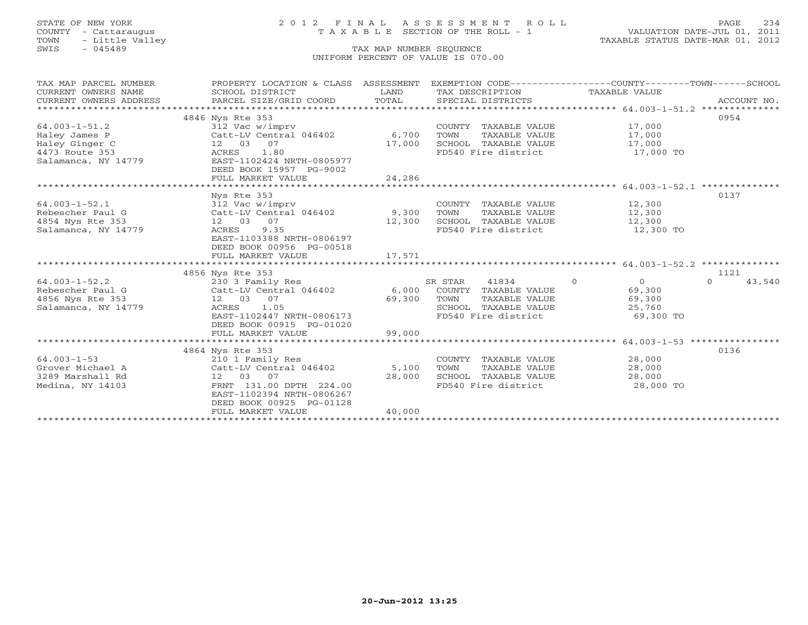# STATE OF NEW YORK 2 0 1 2 F I N A L A S S E S S M E N T R O L L PAGE 234 COUNTY - Cattaraugus T A X A B L E SECTION OF THE ROLL - 1 VALUATION DATE-JUL 01, 2011

| TAX MAP PARCEL NUMBER<br>CURRENT OWNERS NAME | PROPERTY LOCATION & CLASS ASSESSMENT<br>SCHOOL DISTRICT | LAND   | EXEMPTION CODE----------------COUNTY-------TOWN------SCHOOL<br>TAX DESCRIPTION | TAXABLE VALUE                                   |                    |
|----------------------------------------------|---------------------------------------------------------|--------|--------------------------------------------------------------------------------|-------------------------------------------------|--------------------|
| CURRENT OWNERS ADDRESS                       | PARCEL SIZE/GRID COORD                                  | TOTAL  | SPECIAL DISTRICTS                                                              |                                                 | ACCOUNT NO.        |
|                                              | 4846 Nys Rte 353                                        |        |                                                                                |                                                 | 0954               |
| $64.003 - 1 - 51.2$                          | 312 Vac w/imprv                                         |        | COUNTY TAXABLE VALUE                                                           | 17,000                                          |                    |
| Haley James P                                | Catt-LV Central 046402                                  | 6,700  | TAXABLE VALUE<br>TOWN                                                          | 17,000                                          |                    |
| Haley Ginger C                               | 12  03  07                                              | 17,000 | SCHOOL TAXABLE VALUE                                                           | 17,000                                          |                    |
| 4473 Route 353                               | ACRES<br>1.80                                           |        | FD540 Fire district                                                            | 17,000 TO                                       |                    |
| Salamanca, NY 14779                          | EAST-1102424 NRTH-0805977                               |        |                                                                                |                                                 |                    |
|                                              | DEED BOOK 15957 PG-9002                                 |        |                                                                                |                                                 |                    |
|                                              | FULL MARKET VALUE                                       | 24,286 |                                                                                |                                                 |                    |
|                                              |                                                         |        |                                                                                |                                                 |                    |
|                                              | Nys Rte 353                                             |        |                                                                                |                                                 | 0137               |
| $64.003 - 1 - 52.1$                          | 312 Vac w/imprv                                         |        | COUNTY TAXABLE VALUE                                                           | 12,300                                          |                    |
| Rebescher Paul G                             | Catt-LV Central 046402 9,300                            |        | TOWN<br>TAXABLE VALUE                                                          | 12,300                                          |                    |
| 4854 Nys Rte 353                             | 12 03 07                                                | 12,300 | SCHOOL TAXABLE VALUE                                                           | 12,300                                          |                    |
| Salamanca, NY 14779                          | 9.35<br>ACRES                                           |        | FD540 Fire district                                                            | 12,300 TO                                       |                    |
|                                              | EAST-1103388 NRTH-0806197                               |        |                                                                                |                                                 |                    |
|                                              | DEED BOOK 00956 PG-00518                                |        |                                                                                |                                                 |                    |
|                                              | FULL MARKET VALUE                                       | 17,571 |                                                                                |                                                 |                    |
|                                              |                                                         |        |                                                                                |                                                 |                    |
|                                              | 4856 Nys Rte 353                                        |        |                                                                                |                                                 | 1121               |
| $64.003 - 1 - 52.2$                          | 230 3 Family Res                                        |        | SR STAR<br>41834                                                               | $\Omega$<br>$\Omega$                            | 43,540<br>$\Omega$ |
| Rebescher Paul G                             | Catt-LV Central 046402                                  | 6,000  | COUNTY TAXABLE VALUE                                                           | 69,300                                          |                    |
| 4856 Nys Rte 353                             | 12  03  07                                              | 69,300 | TOWN<br>TAXABLE VALUE                                                          | 69,300                                          |                    |
| Salamanca, NY 14779                          | ACRES<br>1.05                                           |        | SCHOOL TAXABLE VALUE                                                           | 25,760                                          |                    |
|                                              | EAST-1102447 NRTH-0806173                               |        | FD540 Fire district                                                            | 69,300 TO                                       |                    |
|                                              | DEED BOOK 00915 PG-01020                                |        |                                                                                |                                                 |                    |
|                                              | FULL MARKET VALUE                                       | 99,000 |                                                                                |                                                 |                    |
|                                              |                                                         |        |                                                                                | ***************** 64.003-1-53 ***************** |                    |
|                                              | 4864 Nys Rte 353                                        |        |                                                                                |                                                 | 0136               |
| $64.003 - 1 - 53$                            | 210 1 Family Res                                        |        | COUNTY TAXABLE VALUE                                                           | 28,000                                          |                    |
| Grover Michael A                             | Catt-LV Central 046402                                  | 5,100  | TOWN<br>TAXABLE VALUE                                                          | 28,000                                          |                    |
| 3289 Marshall Rd                             | 12 03 07                                                | 28,000 | SCHOOL TAXABLE VALUE                                                           | 28,000                                          |                    |
| Medina, NY 14103                             | FRNT 131.00 DPTH 224.00                                 |        | FD540 Fire district                                                            | 28,000 TO                                       |                    |
|                                              | EAST-1102394 NRTH-0806267                               |        |                                                                                |                                                 |                    |
|                                              | DEED BOOK 00925 PG-01128                                |        |                                                                                |                                                 |                    |
|                                              | FULL MARKET VALUE                                       | 40,000 |                                                                                |                                                 |                    |
|                                              |                                                         |        |                                                                                |                                                 |                    |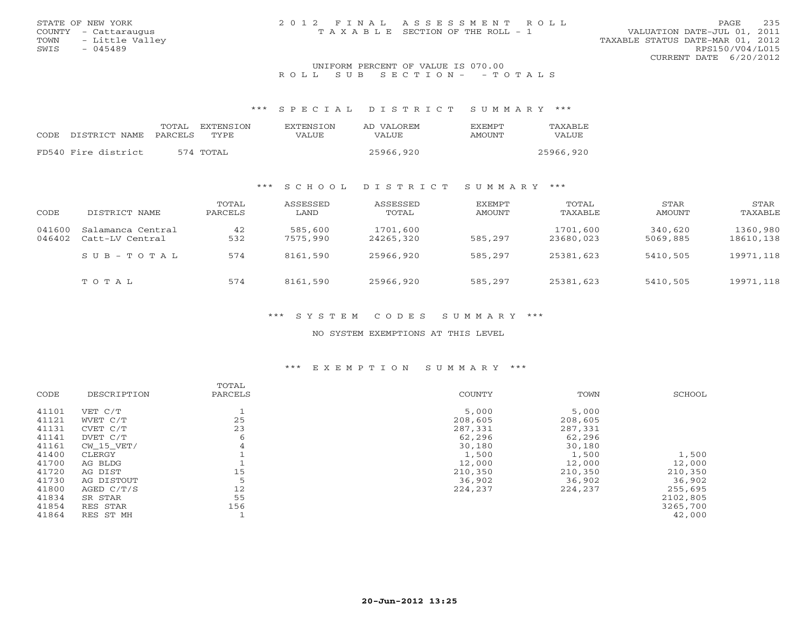| STATE OF NEW YORK    | 2012 FINAL ASSESSMENT ROLL            | 235<br>PAGE                      |
|----------------------|---------------------------------------|----------------------------------|
| COUNTY - Cattaraugus | T A X A B L E SECTION OF THE ROLL - 1 | VALUATION DATE-JUL 01, 2011      |
| TOWN - Little Valley |                                       | TAXABLE STATUS DATE-MAR 01, 2012 |
| SWIS<br>$-045489$    |                                       | RPS150/V04/L015                  |
|                      |                                       | CURRENT DATE 6/20/2012           |
|                      | INITEOPM DEPOEME OF VALUE TO 070 00   |                                  |

### UNIFORM PERCENT OF VALUE IS 070.00 R O L L S U B S E C T I O N - - T O T A L S

\*\*\* S P E C I A L D I S T R I C T S U M M A R Y \*\*\*

|      |                     | TOTAL   | EXTENSION | <b>EXTENSION</b> | AD VALOREM | <b>EXEMPT</b> | <b>TAXABLE</b> |
|------|---------------------|---------|-----------|------------------|------------|---------------|----------------|
| CODE | DISTRICT NAME       | PARCELS | TYPE.     | VALUE            | VALUE      | AMOUNT        | VALUE          |
|      | FD540 Fire district |         | 574 TOTAL |                  | 25966,920  |               | 25966,920      |

## \*\*\* S C H O O L D I S T R I C T S U M M A R Y \*\*\*

| CODE             | DISTRICT NAME                        | TOTAL<br>PARCELS | ASSESSED<br>LAND    | ASSESSED<br>TOTAL     | EXEMPT<br>AMOUNT | TOTAL<br>TAXABLE      | STAR<br>AMOUNT      | STAR<br>TAXABLE       |
|------------------|--------------------------------------|------------------|---------------------|-----------------------|------------------|-----------------------|---------------------|-----------------------|
| 041600<br>046402 | Salamanca Central<br>Catt-LV Central | 42<br>532        | 585,600<br>7575,990 | 1701,600<br>24265,320 | 585,297          | 1701,600<br>23680,023 | 340,620<br>5069,885 | 1360,980<br>18610,138 |
|                  | SUB-TOTAL                            | 574              | 8161,590            | 25966,920             | 585,297          | 25381,623             | 5410,505            | 19971,118             |
|                  | TOTAL                                | 574              | 8161,590            | 25966,920             | 585,297          | 25381,623             | 5410,505            | 19971,118             |

## \*\*\* S Y S T E M C O D E S S U M M A R Y \*\*\*

NO SYSTEM EXEMPTIONS AT THIS LEVEL

# \*\*\* E X E M P T I O N S U M M A R Y \*\*\*

| CODE  | DESCRIPTION | TOTAL<br>PARCELS | COUNTY  | TOWN    | SCHOOL   |
|-------|-------------|------------------|---------|---------|----------|
|       |             |                  |         |         |          |
| 41101 | VET C/T     |                  | 5,000   | 5,000   |          |
| 41121 | WVET C/T    | 25               | 208,605 | 208,605 |          |
| 41131 | CVET C/T    | 23               | 287,331 | 287,331 |          |
| 41141 | DVET C/T    | 6                | 62,296  | 62,296  |          |
| 41161 | CW 15 VET/  | 4                | 30,180  | 30,180  |          |
| 41400 | CLERGY      |                  | 1,500   | 1,500   | 1,500    |
| 41700 | AG BLDG     |                  | 12,000  | 12,000  | 12,000   |
| 41720 | AG DIST     | 15               | 210,350 | 210,350 | 210,350  |
| 41730 | AG DISTOUT  | 5                | 36,902  | 36,902  | 36,902   |
| 41800 | AGED C/T/S  | 12               | 224,237 | 224,237 | 255,695  |
| 41834 | SR STAR     | 55               |         |         | 2102,805 |
| 41854 | RES STAR    | 156              |         |         | 3265,700 |
| 41864 | RES ST MH   |                  |         |         | 42,000   |
|       |             |                  |         |         |          |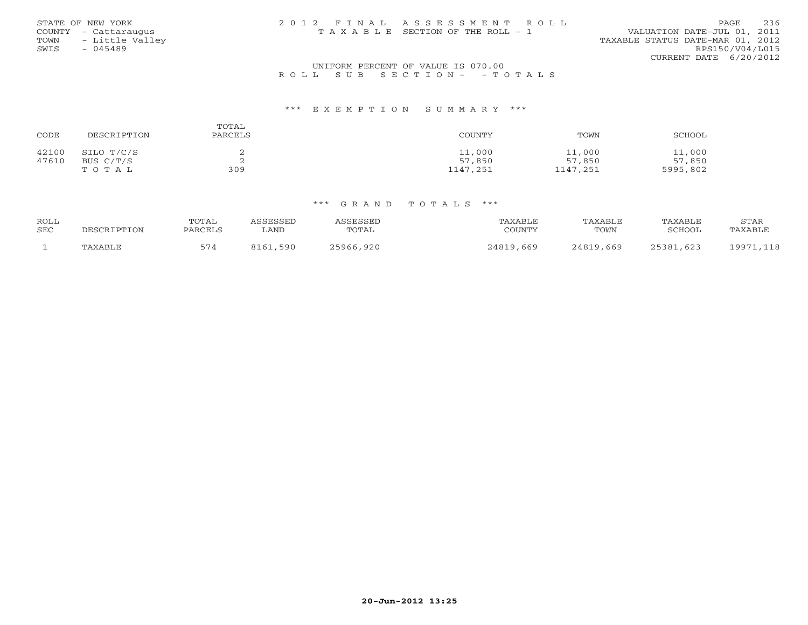| STATE OF NEW YORK       | 2012 FINAL ASSESSMENT ROLL            |                                  | PAGE            | 236 |
|-------------------------|---------------------------------------|----------------------------------|-----------------|-----|
| COUNTY - Cattaraugus    | T A X A B L E SECTION OF THE ROLL - 1 | VALUATION DATE-JUL 01, 2011      |                 |     |
| - Little Valley<br>TOWN |                                       | TAXABLE STATUS DATE-MAR 01, 2012 |                 |     |
| SWIS<br>$-045489$       |                                       |                                  | RPS150/V04/L015 |     |
|                         |                                       | CURRENT DATE 6/20/2012           |                 |     |
|                         |                                       |                                  |                 |     |

## UNIFORM PERCENT OF VALUE IS 070.00R O L L S U B S E C T I O N - - T O T A L S

#### \*\*\* E X E M P T I O N S U M M A R Y \*\*\*

| CODE  | DESCRIPTION | TOTAL<br>PARCELS | COUNTY   | TOWN     | SCHOOL   |
|-------|-------------|------------------|----------|----------|----------|
| 42100 | SILO T/C/S  |                  | 11,000   | 11,000   | 11,000   |
| 47610 | BUS C/T/S   | ▵                | 57,850   | 57,850   | 57,850   |
|       | TOTAL       | 309              | 1147,251 | 1147,251 | 5995,802 |

| <b>ROLL</b> |             | TOTAL   | SSESSED | ASSESSED  | TAXABLE   | TAXABLE   | TAXABLE   | STAR          |
|-------------|-------------|---------|---------|-----------|-----------|-----------|-----------|---------------|
| <b>SEC</b>  | DESCRIPTION | PARCELS | ∟AND    | TOTAL     | COUNTY    | TOWN      | SCHOOL    | TAXABLE       |
|             | TAXABLE     |         | ,590    | 25966,920 | 24819,669 | 24819,669 | 25381,623 | 19971<br>,118 |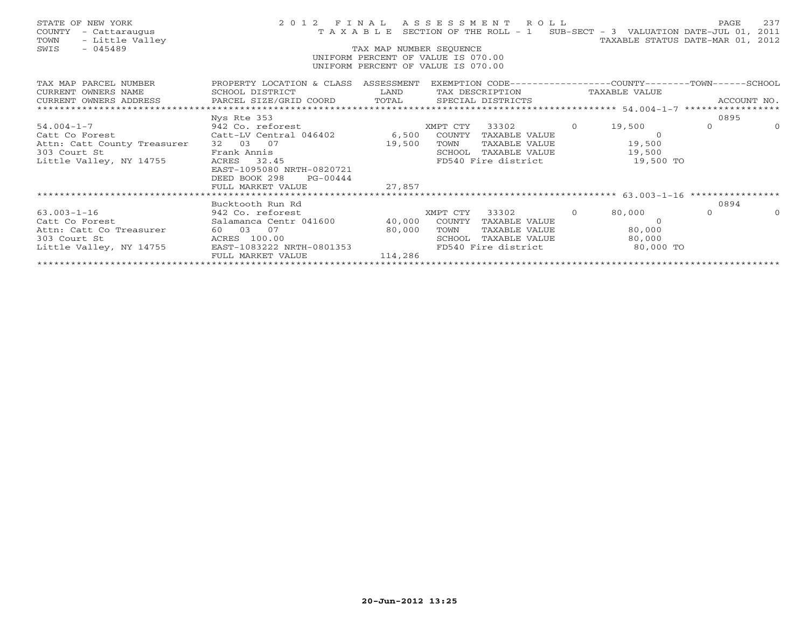| STATE OF NEW YORK<br>COUNTY<br>- Cattaraugus<br>- Little Valley<br>TOWN<br>$-045489$<br>SWIS                                                                                                                                      |                                                        | TAX MAP NUMBER SEQUENCE | 2012 FINAL ASSESSMENT ROLL<br>T A X A B L E SECTION OF THE ROLL - 1 SUB-SECT - 3 VALUATION DATE-JUL 01, 2011<br>UNIFORM PERCENT OF VALUE IS 070.00<br>UNIFORM PERCENT OF VALUE IS 070.00 |                | TAXABLE STATUS DATE-MAR 01, 2012 | PAGE     | 237      |
|-----------------------------------------------------------------------------------------------------------------------------------------------------------------------------------------------------------------------------------|--------------------------------------------------------|-------------------------|------------------------------------------------------------------------------------------------------------------------------------------------------------------------------------------|----------------|----------------------------------|----------|----------|
| TAX MAP PARCEL NUMBER THE PROPERTY LOCATION & CLASS ASSESSMENT EXEMPTION CODE---------------COUNTY-------TOWN------SCHOOL<br>CURRENT OWNERS NAME                                                                                  | SCHOOL DISTRICT                                        |                         | LAND TAX DESCRIPTION TAXABLE VALUE                                                                                                                                                       |                |                                  |          |          |
| - CURRENT OWNERS ADDRESS - PARCEL SIZE/GRID COORD - TOTAL - SPECIAL DISTRICTS - ACCOUNT NO .<br>- Attitude and the parcel size/grid coord - Total - Special districts - Sections - Account NO . Account - Section - Section - Sec |                                                        |                         |                                                                                                                                                                                          |                |                                  |          |          |
|                                                                                                                                                                                                                                   |                                                        |                         |                                                                                                                                                                                          |                |                                  |          |          |
|                                                                                                                                                                                                                                   | Nys Rte 353                                            |                         |                                                                                                                                                                                          |                |                                  | 0895     |          |
| $54.004 - 1 - 7$                                                                                                                                                                                                                  | 942 Co. reforest                                       |                         | XMPT CTY<br>33302                                                                                                                                                                        | $\overline{0}$ | 19,500                           | $\Omega$ | $\Omega$ |
| Catt Co Forest                                                                                                                                                                                                                    | Catt-LV Central 046402 6,500                           |                         | COUNTY<br>TAXABLE VALUE                                                                                                                                                                  |                | $\Omega$                         |          |          |
| Attn: Catt County Treasurer                                                                                                                                                                                                       | 32 03 07<br>Frank Annis                                | 19,500                  | TOWN                                                                                                                                                                                     |                | TAXABLE VALUE 19,500             |          |          |
| 303 Court St<br>Little Valley, NY 14755                                                                                                                                                                                           | 45<br>ACRES 32.45                                      |                         | SCHOOL TAXABLE VALUE 19,500<br>FD540 Fire district                                                                                                                                       |                | 19,500 TO                        |          |          |
|                                                                                                                                                                                                                                   | EAST-1095080 NRTH-0820721<br>DEED BOOK 298<br>PG-00444 |                         |                                                                                                                                                                                          |                |                                  |          |          |
|                                                                                                                                                                                                                                   | FULL MARKET VALUE                                      | 27,857                  |                                                                                                                                                                                          |                |                                  |          |          |
|                                                                                                                                                                                                                                   |                                                        |                         |                                                                                                                                                                                          |                |                                  |          |          |
|                                                                                                                                                                                                                                   | Bucktooth Run Rd                                       |                         |                                                                                                                                                                                          |                |                                  | 0894     |          |
| $63.003 - 1 - 16$                                                                                                                                                                                                                 | 942 Co. reforest                                       |                         | XMPT CTY<br>33302                                                                                                                                                                        | $\circ$        | 80,000                           | $\Omega$ | $\Omega$ |
| Catt Co Forest and the Cattle Co.                                                                                                                                                                                                 | Salamanca Centr 041600                                 |                         | 40,000 COUNTY TAXABLE VALUE                                                                                                                                                              |                | $\cap$                           |          |          |
| Attn: Catt Co Treasurer                                                                                                                                                                                                           | 60 03 07                                               | 80,000                  | TOWN<br>TAXABLE VALUE                                                                                                                                                                    |                | 80,000                           |          |          |
| 303 Court St                                                                                                                                                                                                                      | ACRES 100.00                                           |                         | SCHOOL TAXABLE VALUE                                                                                                                                                                     |                | 80,000                           |          |          |
| Little Valley, NY 14755                                                                                                                                                                                                           | EAST-1083222 NRTH-0801353<br>FULL MARKET VALUE         | 114,286                 | FD540 Fire district                                                                                                                                                                      |                | 80,000 TO                        |          |          |
|                                                                                                                                                                                                                                   |                                                        |                         |                                                                                                                                                                                          |                |                                  |          |          |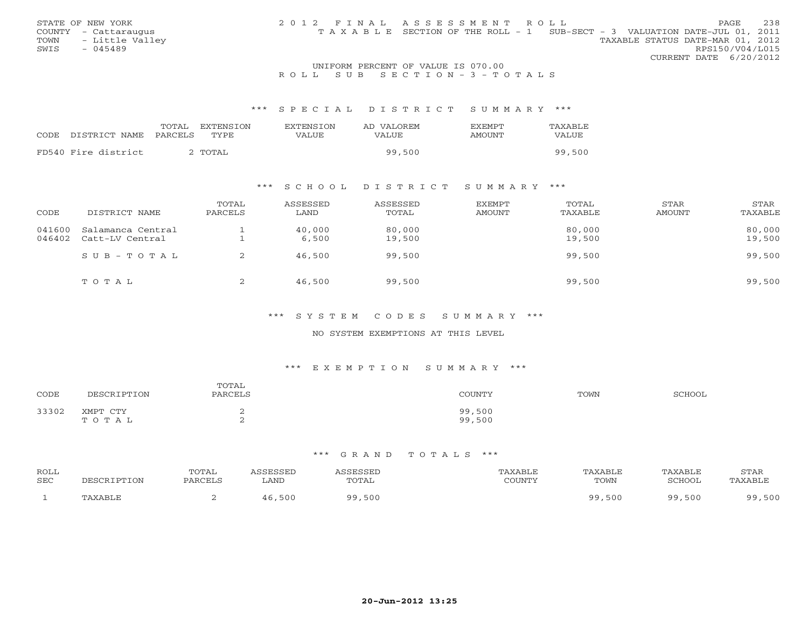| STATE OF NEW YORK    | 2012 FINAL ASSESSMENT ROLL | PAGE.                                                                          | 238 |
|----------------------|----------------------------|--------------------------------------------------------------------------------|-----|
| COUNTY - Cattaraugus |                            | T A X A B L E SECTION OF THE ROLL - 1 SUB-SECT - 3 VALUATION DATE-JUL 01, 2011 |     |
| TOWN - Little Valley |                            | TAXABLE STATUS DATE-MAR 01, 2012                                               |     |
| SWTS<br>$-045489$    |                            | RPS150/V04/L015                                                                |     |
|                      |                            | CURRENT DATE $6/20/2012$                                                       |     |

# STATE OF NEW YORK COUNTY - Cattaraugus

## UNIFORM PERCENT OF VALUE IS 070.00R O L L S U B S E C T I O N - 3 - T O T A L S

### \*\*\* S P E C I A L D I S T R I C T S U M M A R Y \*\*\*

|      |                     | TOTAL<br><b>EXTENSION</b> | <b>EXTENSION</b> | AD VALOREM | <b>FXEMPT</b> | TAXABLE |
|------|---------------------|---------------------------|------------------|------------|---------------|---------|
| CODE | DISTRICT NAME       | PARCELS<br>TYPE.          | VALUE            | VALUE      | AMOUNT        | VALUE   |
|      | FD540 Fire district | TOTAL <sup>C</sup>        |                  | 99,500     |               | 99,500  |

# \*\*\* S C H O O L D I S T R I C T S U M M A R Y \*\*\*

| CODE             | DISTRICT NAME                        | TOTAL<br>PARCELS | ASSESSED<br>LAND | ASSESSED<br>TOTAL | <b>EXEMPT</b><br><b>AMOUNT</b> | TOTAL<br>TAXABLE | STAR<br>AMOUNT | STAR<br>TAXABLE  |
|------------------|--------------------------------------|------------------|------------------|-------------------|--------------------------------|------------------|----------------|------------------|
| 041600<br>046402 | Salamanca Central<br>Catt-LV Central |                  | 40,000<br>6,500  | 80,000<br>19,500  |                                | 80,000<br>19,500 |                | 80,000<br>19,500 |
|                  | $SUB - TO T AL$                      |                  | 46,500           | 99,500            |                                | 99,500           |                | 99,500           |
|                  | TOTAL                                | ∠                | 46,500           | 99,500            |                                | 99,500           |                | 99,500           |

## \*\*\* S Y S T E M C O D E S S U M M A R Y \*\*\*

## NO SYSTEM EXEMPTIONS AT THIS LEVEL

## \*\*\* E X E M P T I O N S U M M A R Y \*\*\*

| CODE  | <b>TPTION</b><br>DЕ                    | TOTAL<br>PARCELS | COUNTY!          | TOWN | SCHOOL |
|-------|----------------------------------------|------------------|------------------|------|--------|
| 33302 | XMPT<br>$\cap$ m $\vee$<br>0 T A<br>Α⊥ | ∼<br>∠           | 99,500<br>99,500 |      |        |

| ROLL<br><b>SEC</b> | DESCRIPTION | <b>TOTAL</b><br>PARCELS | ASSESSED<br>LAND | <b>ASSESSED</b><br>TOTAL | PAXABLE<br>COUNTY | TAXABLE<br>TOWN | TAXABLE<br>SCHOOL | STAR<br>TAXABLE |
|--------------------|-------------|-------------------------|------------------|--------------------------|-------------------|-----------------|-------------------|-----------------|
|                    | TAXABLE     |                         | 46,500           | 9,500<br>QQ              |                   | 99,500          | 99,500            | ,500<br>QQ      |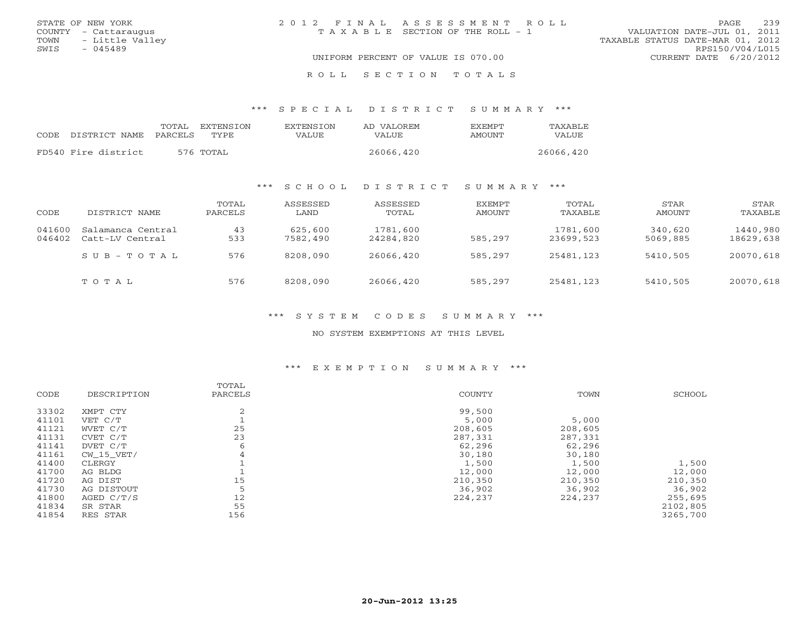| STATE OF NEW YORK |                      | 2012 FINAL ASSESSMENT ROLL |                                    |                                  |                        | PAGE | 239 |
|-------------------|----------------------|----------------------------|------------------------------------|----------------------------------|------------------------|------|-----|
|                   | COUNTY - Cattaraugus |                            | TAXABLE SECTION OF THE ROLL - 1    | VALUATION DATE-JUL 01, 2011      |                        |      |     |
|                   | TOWN - Little Valley |                            |                                    | TAXABLE STATUS DATE-MAR 01, 2012 |                        |      |     |
| SWIS              | - 045489             |                            |                                    |                                  | RPS150/V04/L015        |      |     |
|                   |                      |                            | UNIFORM PERCENT OF VALUE IS 070.00 |                                  | CURRENT DATE 6/20/2012 |      |     |
|                   |                      |                            |                                    |                                  |                        |      |     |

\*\*\* S P E C I A L D I S T R I C T S U M M A R Y \*\*\*

| CODE DISTRICT NAME PARCELS TYPE | TOTAL | EXTENSTON | <b>EXTENSION</b><br>VALUE | AD VALOREM<br>VALUE | <b>FXEMPT</b><br>AMOUNT | <b>TAXABLE</b><br>VALUE |
|---------------------------------|-------|-----------|---------------------------|---------------------|-------------------------|-------------------------|
| FD540 Fire district             |       | 576 TOTAL |                           | 26066,420           |                         | 26066,420               |

R O L L S E C T I O N T O T A L S

## \*\*\* S C H O O L D I S T R I C T S U M M A R Y \*\*\*

| CODE             | DISTRICT NAME                        | TOTAL<br>PARCELS | ASSESSED<br>LAND    | ASSESSED<br>TOTAL     | EXEMPT<br>AMOUNT | TOTAL<br>TAXABLE      | STAR<br>AMOUNT      | STAR<br>TAXABLE       |
|------------------|--------------------------------------|------------------|---------------------|-----------------------|------------------|-----------------------|---------------------|-----------------------|
| 041600<br>046402 | Salamanca Central<br>Catt-LV Central | 43<br>533        | 625,600<br>7582,490 | 1781,600<br>24284,820 | 585,297          | 1781,600<br>23699,523 | 340,620<br>5069,885 | 1440,980<br>18629,638 |
|                  | $SUB - TO T AL$                      | 576              | 8208,090            | 26066,420             | 585,297          | 25481,123             | 5410,505            | 20070,618             |
|                  | TOTAL                                | 576              | 8208,090            | 26066,420             | 585,297          | 25481,123             | 5410,505            | 20070,618             |

\*\*\* S Y S T E M C O D E S S U M M A R Y \*\*\*

NO SYSTEM EXEMPTIONS AT THIS LEVEL

# \*\*\* E X E M P T I O N S U M M A R Y \*\*\*

|       |             | TOTAL   |         |         |          |
|-------|-------------|---------|---------|---------|----------|
| CODE  | DESCRIPTION | PARCELS | COUNTY  | TOWN    | SCHOOL   |
| 33302 | XMPT CTY    | 2       | 99,500  |         |          |
| 41101 | VET C/T     |         | 5,000   | 5,000   |          |
| 41121 | WVET C/T    | 25      | 208,605 | 208,605 |          |
| 41131 | CVET C/T    | 23      | 287,331 | 287,331 |          |
| 41141 | DVET C/T    | 6       | 62,296  | 62,296  |          |
| 41161 | CW 15 VET/  | 4       | 30,180  | 30,180  |          |
| 41400 | CLERGY      |         | 1,500   | 1,500   | 1,500    |
| 41700 | AG BLDG     |         | 12,000  | 12,000  | 12,000   |
| 41720 | AG DIST     | 15      | 210,350 | 210,350 | 210,350  |
| 41730 | AG DISTOUT  | 5       | 36,902  | 36,902  | 36,902   |
| 41800 | AGED C/T/S  | 12      | 224,237 | 224,237 | 255,695  |
| 41834 | SR STAR     | 55      |         |         | 2102,805 |
| 41854 | RES STAR    | 156     |         |         | 3265,700 |
|       |             |         |         |         |          |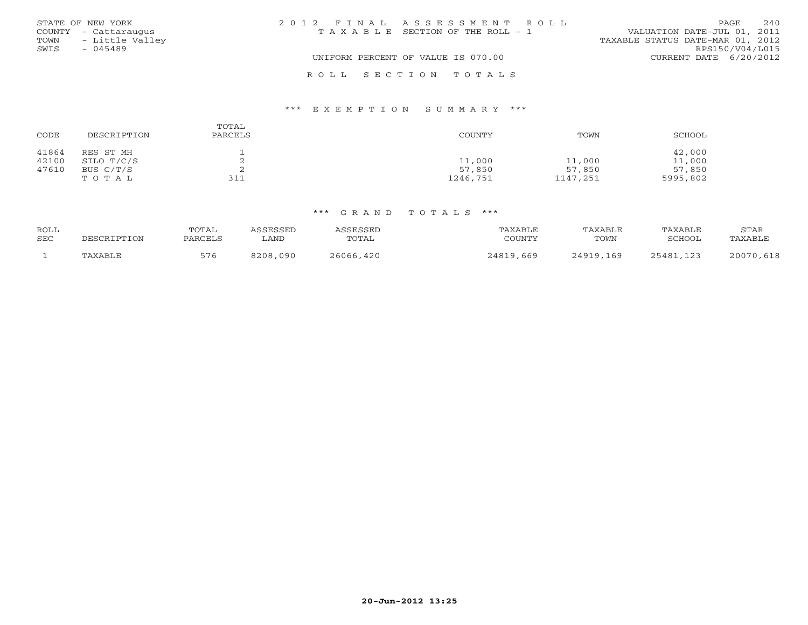| STATE OF NEW YORK       | 2012 FINAL ASSESSMENT ROLL            | 240<br>PAGE                      |
|-------------------------|---------------------------------------|----------------------------------|
| COUNTY - Cattaraugus    | T A X A B L E SECTION OF THE ROLL - 1 | VALUATION DATE-JUL 01, 2011      |
| - Little Valley<br>TOWN |                                       | TAXABLE STATUS DATE-MAR 01, 2012 |
| SWIS<br>$-045489$       |                                       | RPS150/V04/L015                  |
|                         | UNIFORM PERCENT OF VALUE IS 070.00    | CURRENT DATE 6/20/2012           |
|                         | ROLL SECTION TOTALS                   |                                  |

### \*\*\* E X E M P T I O N S U M M A R Y \*\*\*

| CODE  | DESCRIPTION | TOTAL<br>PARCELS | COUNTY   | TOWN     | SCHOOL   |
|-------|-------------|------------------|----------|----------|----------|
| 41864 | RES ST MH   |                  |          |          | 42,000   |
| 42100 | SILO T/C/S  | ▵                | 11,000   | 11,000   | 11,000   |
| 47610 | BUS C/T/S   | ▵                | 57,850   | 57,850   | 57,850   |
|       | TOTAL       | 311              | 1246,751 | 1147,251 | 5995,802 |

| ROLL<br><b>SEC</b> | DESCRIPTION | TOTAL<br>PARCELS | <i><b>ISSESSED</b></i> | ASSESSED  | TAXABLE   | TAXABLE   | TAXABLE   | STAR      |
|--------------------|-------------|------------------|------------------------|-----------|-----------|-----------|-----------|-----------|
|                    |             |                  | ∟AND                   | TOTAL     | COUNTY    | TOWN      | SCHOOL    | TAXABLE   |
|                    | TAXABLE     | 576              | 8208,090               | 26066,420 | 24819,669 | 24919,169 | 25481,123 | 20070,618 |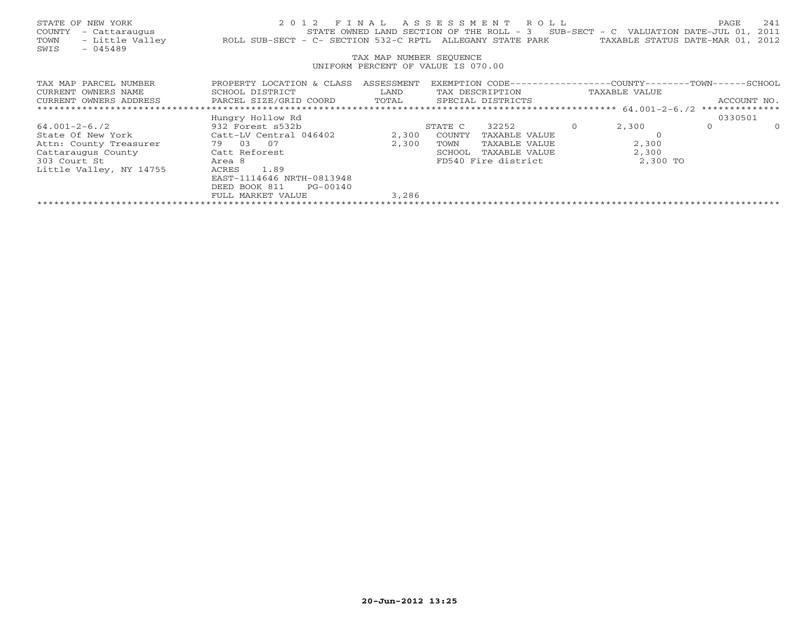|                                    | STATE OF NEW YORK    | 2012 FINAL ASSESSMENT ROLL                                                                    | PAGE | 241 |  |  |
|------------------------------------|----------------------|-----------------------------------------------------------------------------------------------|------|-----|--|--|
|                                    | COUNTY - Cattaraugus | STATE OWNED LAND SECTION OF THE ROLL - $3$ SUB-SECT - C VALUATION DATE-JUL 01, 2011           |      |     |  |  |
|                                    | TOWN - Little Valley | TAXABLE STATUS DATE-MAR 01, 2012<br>ROLL SUB-SECT - C- SECTION 532-C RPTL ALLEGANY STATE PARK |      |     |  |  |
| SWIS                               | $-045489$            |                                                                                               |      |     |  |  |
|                                    |                      | TAX MAP NUMBER SEQUENCE                                                                       |      |     |  |  |
| UNIFORM PERCENT OF VALUE IS 070.00 |                      |                                                                                               |      |     |  |  |
|                                    |                      |                                                                                               |      |     |  |  |

| TAX MAP PARCEL NUMBER   | PROPERTY LOCATION & CLASS | ASSESSMENT | EXEMPTION CODE-- |                     | -COUNTY – – – – – | - TOWN – – –   | -SCHOOL -   |
|-------------------------|---------------------------|------------|------------------|---------------------|-------------------|----------------|-------------|
| CURRENT OWNERS NAME     | SCHOOL DISTRICT           | LAND       |                  | TAX DESCRIPTION     | TAXABLE VALUE     |                |             |
| CURRENT OWNERS ADDRESS  | PARCEL SIZE/GRID COORD    | TOTAL      |                  | SPECIAL DISTRICTS   |                   |                | ACCOUNT NO. |
|                         |                           |            |                  |                     |                   | ************** |             |
|                         | Hungry Hollow Rd          |            |                  |                     |                   | 0330501        |             |
| $64.001 - 2 - 6.72$     | 932 Forest s532b          |            | STATE C          | 32252               | 2,300             |                | $\Omega$    |
| State Of New York       | Catt-LV Central 046402    | 2,300      | COUNTY           | TAXABLE VALUE       |                   |                |             |
| Attn: County Treasurer  | 07<br>79.<br>03           | 2,300      | TOWN             | TAXABLE VALUE       | 2,300             |                |             |
| Cattaraugus County      | Catt Reforest             |            | SCHOOL           | TAXABLE VALUE       | 2,300             |                |             |
| 303 Court St            | Area 8                    |            |                  | FD540 Fire district | 2,300 TO          |                |             |
| Little Valley, NY 14755 | 1.89<br>ACRES             |            |                  |                     |                   |                |             |
|                         | EAST-1114646 NRTH-0813948 |            |                  |                     |                   |                |             |
|                         | DEED BOOK 811<br>PG-00140 |            |                  |                     |                   |                |             |
|                         | FULL MARKET VALUE         | 3,286      |                  |                     |                   |                |             |
|                         |                           |            |                  |                     |                   |                |             |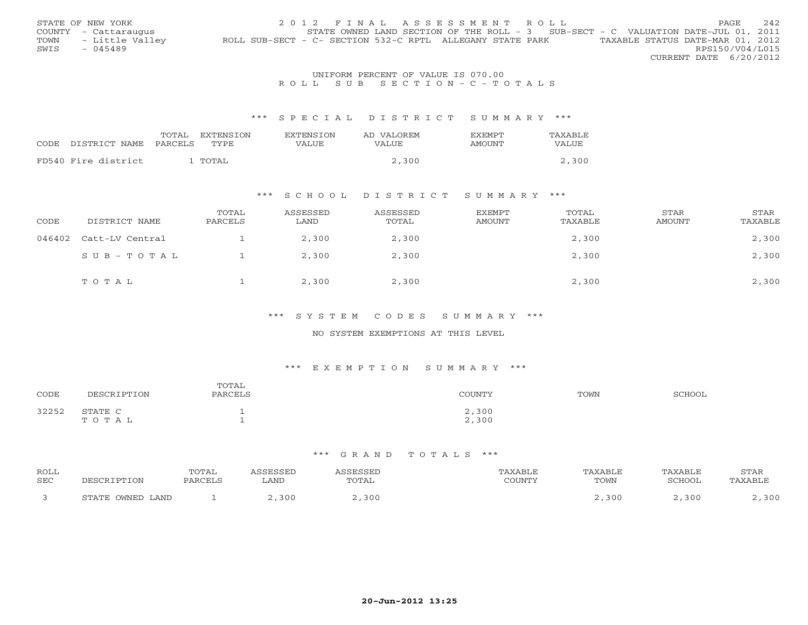|      | STATE OF NEW YORK    | 2012 FINAL ASSESSMENT ROLL                                                                    | PAGE.           | 2.42 |
|------|----------------------|-----------------------------------------------------------------------------------------------|-----------------|------|
|      | COUNTY - Cattaraugus | STATE OWNED LAND SECTION OF THE ROLL - 3 SUB-SECT - C VALUATION DATE-JUL 01, 2011             |                 |      |
| TOWN | - Little Valley      | TAXABLE STATUS DATE-MAR 01, 2012<br>ROLL SUB-SECT - C- SECTION 532-C RPTL ALLEGANY STATE PARK |                 |      |
| SWIS | $-045489$            |                                                                                               | RPS150/V04/L015 |      |
|      |                      | CURRENT DATE 6/20/2012                                                                        |                 |      |

## UNIFORM PERCENT OF VALUE IS 070.00R O L L S U B S E C T I O N - C - T O T A L S

#### \*\*\* S P E C I A L D I S T R I C T S U M M A R Y \*\*\*

| CODE DISTRICT NAME  | TOTAL<br><b>PARCELS</b> | EXTENSION<br>TYPE. | <b>EXTENSION</b><br>VALUE | AD VALOREM<br>VALUE. | <b>FXFMPT</b><br><b>AMOUNT</b> | TAXABLE<br>VALUE |
|---------------------|-------------------------|--------------------|---------------------------|----------------------|--------------------------------|------------------|
| FD540 Fire district |                         | TOTAL              |                           | 2,300                |                                | 2,300            |

#### \*\*\* S C H O O L D I S T R I C T S U M M A R Y \*\*\*

| CODE   | DISTRICT NAME   | TOTAL<br>PARCELS | ASSESSED<br>LAND | ASSESSED<br>TOTAL | EXEMPT<br>AMOUNT | TOTAL<br>TAXABLE | STAR<br><b>AMOUNT</b> | STAR<br>TAXABLE |
|--------|-----------------|------------------|------------------|-------------------|------------------|------------------|-----------------------|-----------------|
| 046402 | Catt-LV Central |                  | 2,300            | 2,300             |                  | 2,300            |                       | 2,300           |
|        | SUB-TOTAL       |                  | 2,300            | 2,300             |                  | 2,300            |                       | 2,300           |
|        | TOTAL           |                  | 2,300            | 2,300             |                  | 2,300            |                       | 2,300           |

### \*\*\* S Y S T E M C O D E S S U M M A R Y \*\*\*

### NO SYSTEM EXEMPTIONS AT THIS LEVEL

# \*\*\* E X E M P T I O N S U M M A R Y \*\*\*

| CODE              | DECCPTOTTOM           | TOTAL<br>DADCET C | <b>COUNTY</b> | TOWN | COUOO' |
|-------------------|-----------------------|-------------------|---------------|------|--------|
| 32252<br>ے کے کاب | STATE C<br>0 T A<br>m |                   | ,300<br>2,300 |      |        |

| <b>ROLL</b> |                  | 'OTAL   |      |       |        | <b>YARLL</b> |               | STAR |
|-------------|------------------|---------|------|-------|--------|--------------|---------------|------|
| SEC         |                  | דסים גר | ∟AND | TOTAL | COUNTY | TOWN         | <b>SCHOOL</b> |      |
|             | STATE OWNED LAND |         | 30C  |       |        | ,300         | 300           | ついい  |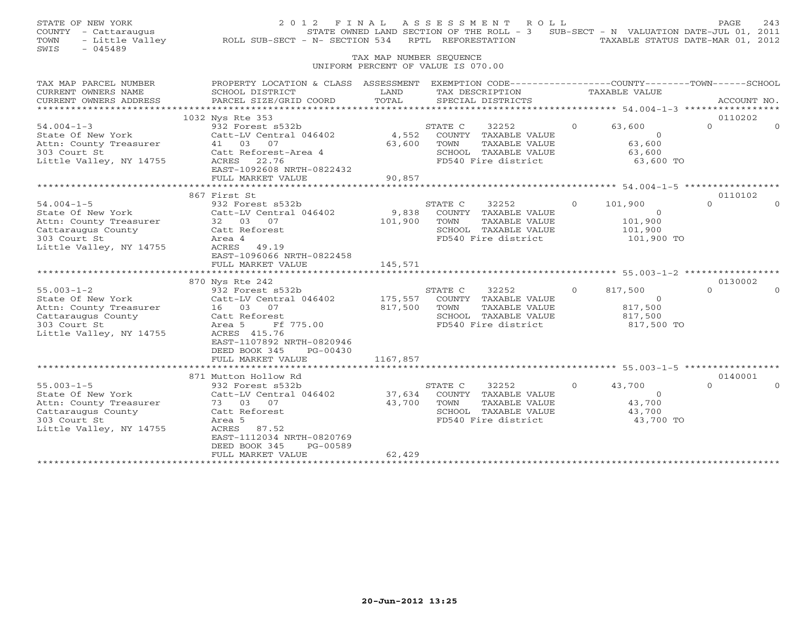| STATE OWNED LAND SECTION OF THE ROLL - 3 SUB-SECT - N VALUATION DATE-JUL 01, 2011<br>TAXABLE STATUS DATE-MAR 01, 2012 |
|-----------------------------------------------------------------------------------------------------------------------|
|                                                                                                                       |
| PROPERTY LOCATION & CLASS ASSESSMENT EXEMPTION CODE----------------COUNTY-------TOWN------SCHOOL<br>ACCOUNT NO.       |
| 0110202                                                                                                               |
|                                                                                                                       |
|                                                                                                                       |
| 0110102<br>0130002                                                                                                    |
|                                                                                                                       |
| 0140001                                                                                                               |
|                                                                                                                       |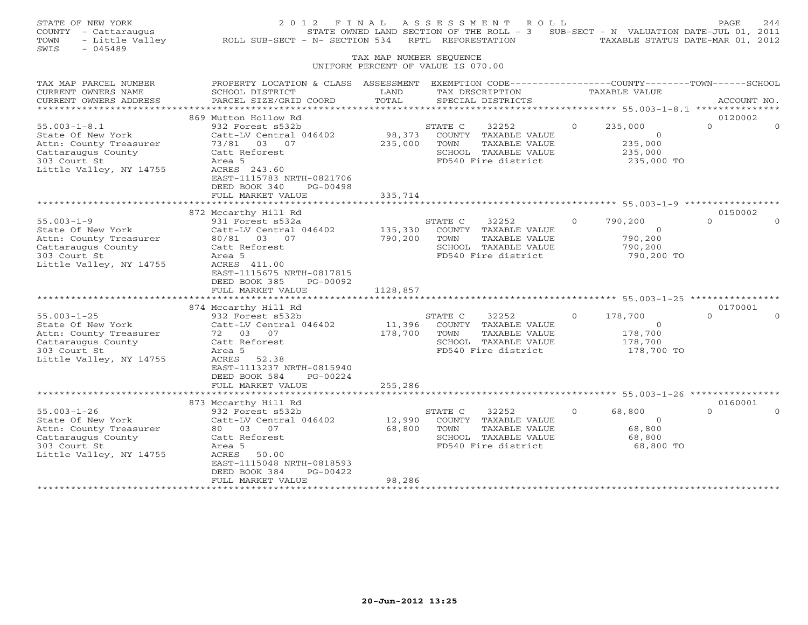| STATE OF NEW YORK<br>COUNTY - Cattaraugus<br>- Little Valley<br>TOWN<br>SWIS<br>$-045489$                                          | 2 0 1 2<br>F I N A L<br>ROLL SUB-SECT - N- SECTION 534                                                                                                                                  | TAX MAP NUMBER SEQUENCE        | ASSESSMENT<br>R O L L<br>STATE OWNED LAND SECTION OF THE ROLL - 3<br>RPTL REFORESTATION<br>UNIFORM PERCENT OF VALUE IS 070.00 |          | SUB-SECT - N VALUATION DATE-JUL 01, 2011<br>TAXABLE STATUS DATE-MAR 01, 2012 | PAGE                | 244      |
|------------------------------------------------------------------------------------------------------------------------------------|-----------------------------------------------------------------------------------------------------------------------------------------------------------------------------------------|--------------------------------|-------------------------------------------------------------------------------------------------------------------------------|----------|------------------------------------------------------------------------------|---------------------|----------|
| TAX MAP PARCEL NUMBER<br>CURRENT OWNERS NAME<br>CURRENT OWNERS ADDRESS                                                             | PROPERTY LOCATION & CLASS ASSESSMENT EXEMPTION CODE----------------COUNTY-------TOWN------SCHOOL<br>SCHOOL DISTRICT<br>PARCEL SIZE/GRID COORD                                           | LAND<br>TOTAL                  | TAX DESCRIPTION<br>SPECIAL DISTRICTS                                                                                          |          | TAXABLE VALUE                                                                | ACCOUNT NO.         |          |
|                                                                                                                                    |                                                                                                                                                                                         |                                |                                                                                                                               |          |                                                                              |                     |          |
| $55.003 - 1 - 8.1$<br>State Of New York<br>Attn: County Treasurer<br>Cattaraugus County<br>303 Court St<br>Little Valley, NY 14755 | 869 Mutton Hollow Rd<br>932 Forest s532b<br>Catt-LV Central 046402<br>73/81 03 07<br>Catt Reforest<br>Area 5<br>ACRES 243.60                                                            | 98,373<br>235,000              | STATE C<br>32252<br>COUNTY TAXABLE VALUE<br>TAXABLE VALUE<br>TOWN<br>SCHOOL TAXABLE VALUE<br>FD540 Fire district              | $\Omega$ | 235,000<br>$\circ$<br>235,000<br>235,000<br>235,000 TO                       | 0120002<br>$\Omega$ | $\Omega$ |
|                                                                                                                                    | EAST-1115783 NRTH-0821706<br>DEED BOOK 340<br>PG-00498<br>FULL MARKET VALUE                                                                                                             | 335,714                        |                                                                                                                               |          |                                                                              |                     |          |
|                                                                                                                                    | 872 Mccarthy Hill Rd                                                                                                                                                                    |                                |                                                                                                                               |          |                                                                              | 0150002             |          |
| $55.003 - 1 - 9$<br>State Of New York<br>Attn: County Treasurer<br>Cattaraugus County<br>303 Court St<br>Little Valley, NY 14755   | 931 Forest s532a<br>Catt-LV Central 046402<br>80/81 03 07<br>Catt Reforest<br>Area 5<br>ACRES 411.00<br>EAST-1115675 NRTH-0817815<br>DEED BOOK 385<br>PG-00092<br>FULL MARKET VALUE     | 135,330<br>790,200<br>1128,857 | STATE C<br>32252<br>COUNTY TAXABLE VALUE<br>TOWN<br>TAXABLE VALUE<br>SCHOOL TAXABLE VALUE<br>FD540 Fire district              | $\Omega$ | 790,200<br>$\Omega$<br>790,200<br>790,200<br>790,200 TO                      | $\cap$              |          |
|                                                                                                                                    | ***********************                                                                                                                                                                 | *************                  | ******************************** 55.003-1-25 ****************                                                                 |          |                                                                              |                     |          |
| $55.003 - 1 - 25$<br>State Of New York<br>Attn: County Treasurer<br>Cattaraugus County<br>303 Court St<br>Little Valley, NY 14755  | 874 Mccarthy Hill Rd<br>932 Forest s532b<br>Catt-LV Central 046402<br>72 03 07<br>Catt Reforest<br>Area 5<br>ACRES<br>52.38<br>EAST-1113237 NRTH-0815940<br>DEED BOOK 584<br>PG-00224   | 11,396<br>178,700              | STATE C<br>32252<br>COUNTY TAXABLE VALUE<br>TAXABLE VALUE<br>TOWN<br>SCHOOL TAXABLE VALUE<br>FD540 Fire district              | $\Omega$ | 178,700<br>$\Omega$<br>178,700<br>178,700<br>178,700 TO                      | 0170001<br>$\cap$   |          |
|                                                                                                                                    | FULL MARKET VALUE                                                                                                                                                                       | 255,286                        |                                                                                                                               |          |                                                                              |                     |          |
|                                                                                                                                    | * * * * * * * * * * * * * * * * * * * *                                                                                                                                                 |                                |                                                                                                                               |          | ******** 55.003-1-26 ****                                                    |                     |          |
| $55.003 - 1 - 26$<br>State Of New York<br>Attn: County Treasurer<br>Cattaraugus County<br>303 Court St<br>Little Valley, NY 14755  | 873 Mccarthy Hill Rd<br>932 Forest s532b<br>Catt-LV Central 046402<br>80  03  07<br>Catt Reforest<br>Area 5<br>ACRES<br>50.00<br>EAST-1115048 NRTH-0818593<br>PG-00422<br>DEED BOOK 384 | 12,990<br>68,800               | STATE C<br>32252<br>COUNTY TAXABLE VALUE<br>TOWN<br>TAXABLE VALUE<br>SCHOOL TAXABLE VALUE<br>FD540 Fire district              | $\Omega$ | 68,800<br>$\circ$<br>68,800<br>68,800<br>68,800 TO                           | 0160001<br>$\Omega$ |          |
| **********************                                                                                                             | FULL MARKET VALUE                                                                                                                                                                       | 98,286                         |                                                                                                                               |          |                                                                              |                     |          |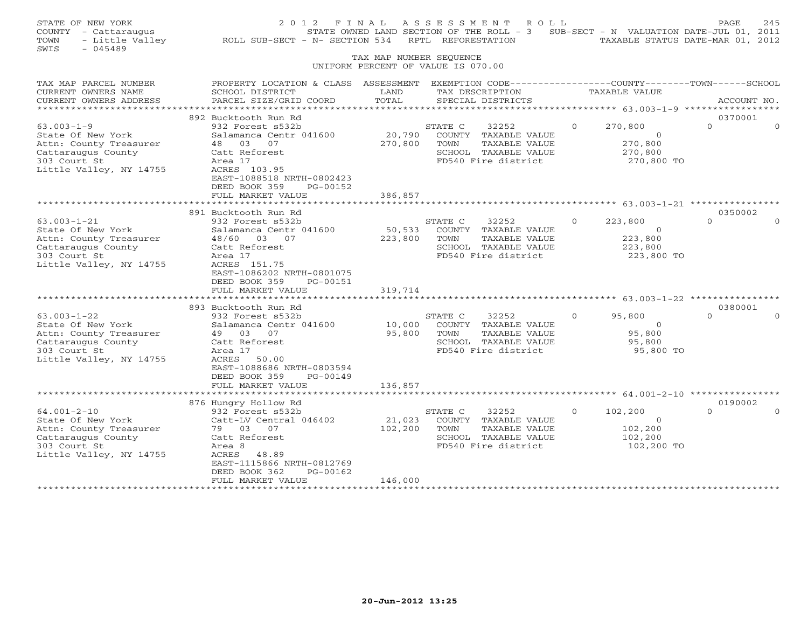| STATE OF NEW YORK<br>COUNTY - Cattaraugus<br>TOWN<br>SWIS<br>$-045489$                                                            | - Little Valley ROLL SUB-SECT - N- SECTION 534 RPTL REFORESTATION                                                                                                                      |                              | 2012 FINAL ASSESSMENT ROLL<br>STATE OWNED LAND SECTION OF THE ROLL - 3 SUB-SECT - N VALUATION DATE-JUL 01, 2011  |          | TAXABLE STATUS DATE-MAR 01, 2012                              | PAGE                | 245      |
|-----------------------------------------------------------------------------------------------------------------------------------|----------------------------------------------------------------------------------------------------------------------------------------------------------------------------------------|------------------------------|------------------------------------------------------------------------------------------------------------------|----------|---------------------------------------------------------------|---------------------|----------|
|                                                                                                                                   |                                                                                                                                                                                        | TAX MAP NUMBER SEQUENCE      | UNIFORM PERCENT OF VALUE IS 070.00                                                                               |          |                                                               |                     |          |
| TAX MAP PARCEL NUMBER<br>CURRENT OWNERS NAME<br>CURRENT OWNERS ADDRESS                                                            | PROPERTY LOCATION & CLASS ASSESSMENT EXEMPTION CODE---------------COUNTY-------TOWN-----SCHOOL<br>SCHOOL DISTRICT<br>PARCEL SIZE/GRID COORD                                            | LAND<br>TOTAL                | TAX DESCRIPTION<br>SPECIAL DISTRICTS                                                                             |          | TAXABLE VALUE                                                 | ACCOUNT NO.         |          |
|                                                                                                                                   | 892 Bucktooth Run Rd                                                                                                                                                                   |                              |                                                                                                                  |          |                                                               | 0370001             |          |
| $63.003 - 1 - 9$<br>State Of New York<br>Attn: County Treasurer<br>Cattaraugus County<br>303 Court St<br>Little Valley, NY 14755  | 932 Forest s532b<br>Salamanca Centr 041600<br>48 03 07<br>Catt Reforest<br>Area 17<br>ACRES 103.95<br>EAST-1088518 NRTH-0802423<br>DEED BOOK 359<br>PG-00152                           | 20,790<br>270,800            | STATE C<br>32252<br>COUNTY TAXABLE VALUE<br>TOWN<br>TAXABLE VALUE<br>SCHOOL TAXABLE VALUE<br>FD540 Fire district | $\Omega$ | 270,800<br>$\Omega$<br>270,800<br>270,800<br>270,800 TO       | $\Omega$            | $\Omega$ |
|                                                                                                                                   | FULL MARKET VALUE                                                                                                                                                                      | 386,857                      |                                                                                                                  |          |                                                               |                     |          |
|                                                                                                                                   | 891 Bucktooth Run Rd                                                                                                                                                                   |                              |                                                                                                                  |          |                                                               | 0350002             |          |
| $63.003 - 1 - 21$<br>State Of New York<br>Attn: County Treasurer<br>Cattaraugus County<br>303 Court St<br>Little Valley, NY 14755 | 932 Forest s532b<br>Salamanca Centr 041600<br>48/60 03 07<br>Catt Reforest<br>Area 17<br>ACRES 151.75<br>EAST-1086202 NRTH-0801075<br>DEED BOOK 359<br>PG-00151<br>FULL MARKET VALUE   | 50,533<br>223,800<br>319,714 | STATE C<br>32252<br>COUNTY TAXABLE VALUE<br>TAXABLE VALUE<br>TOWN<br>SCHOOL TAXABLE VALUE<br>FD540 Fire district | $\Omega$ | 223,800<br>$\overline{0}$<br>223,800<br>223,800<br>223,800 TO | $\cap$              |          |
|                                                                                                                                   | *************************                                                                                                                                                              |                              |                                                                                                                  |          |                                                               |                     |          |
| $63.003 - 1 - 22$<br>State Of New York<br>Attn: County Treasurer<br>Cattaraugus County<br>303 Court St<br>Little Valley, NY 14755 | 893 Bucktooth Run Rd<br>932 Forest s532b<br>Salamanca Centr 041600<br>49 03 07<br>Catt Reforest<br>Area 17<br>ACRES<br>50.00<br>EAST-1088686 NRTH-0803594<br>DEED BOOK 359<br>PG-00149 | 10,000<br>95,800             | STATE C<br>32252<br>COUNTY TAXABLE VALUE<br>TOWN<br>TAXABLE VALUE<br>SCHOOL TAXABLE VALUE<br>FD540 Fire district | $\Omega$ | 95,800<br>$\overline{0}$<br>95,800<br>95,800<br>95,800 TO     | 0380001             |          |
|                                                                                                                                   | FULL MARKET VALUE                                                                                                                                                                      | 136,857                      |                                                                                                                  |          |                                                               |                     |          |
|                                                                                                                                   | **********************                                                                                                                                                                 |                              |                                                                                                                  |          |                                                               |                     |          |
| $64.001 - 2 - 10$<br>State Of New York<br>Attn: County Treasurer<br>Cattaraugus County<br>303 Court St<br>Little Valley, NY 14755 | 876 Hungry Hollow Rd<br>932 Forest s532b<br>Catt-LV Central 046402<br>79 03 07<br>Catt Reforest<br>Area 8<br>ACRES 48.89<br>EAST-1115866 NRTH-0812769<br>DEED BOOK 362<br>PG-00162     | 21,023<br>102,200            | 32252<br>STATE C<br>COUNTY TAXABLE VALUE<br>TAXABLE VALUE<br>TOWN<br>SCHOOL TAXABLE VALUE<br>FD540 Fire district | $\Omega$ | 102,200<br>$\overline{0}$<br>102,200<br>102,200<br>102,200 TO | 0190002<br>$\Omega$ |          |
| *************************                                                                                                         | FULL MARKET VALUE                                                                                                                                                                      | 146,000                      |                                                                                                                  |          |                                                               |                     |          |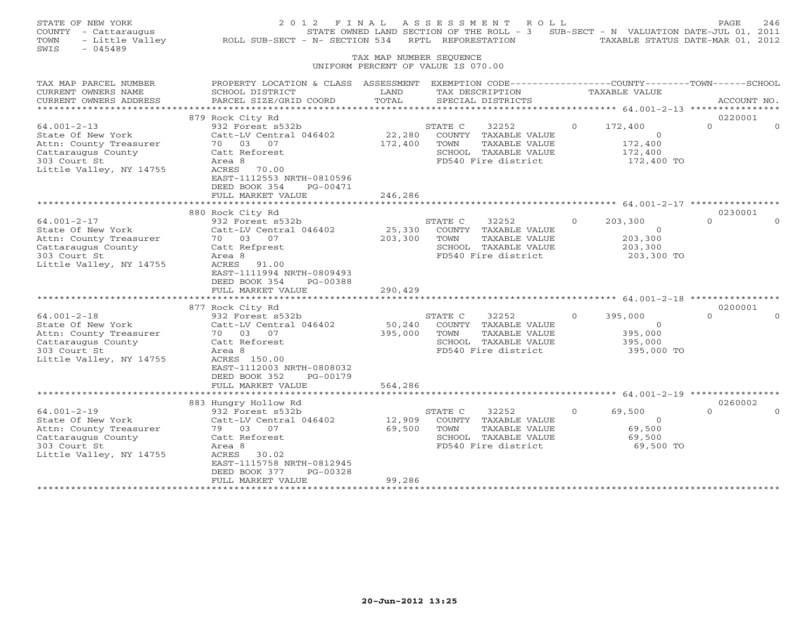| STATE OF NEW YORK<br>COUNTY - Cattaraugus<br>- Little Valley<br>TOWN<br>SWIS<br>$-045489$                                                                                                                                                   | 2012 FINAL<br>ROLL SUB-SECT - N- SECTION 534                                                                                                                                                                                                                                                                    | TAX MAP NUMBER SEQUENCE                                             | A S S E S S M E N T<br>RPTL REFORESTATION | R O L L                                                                                                                                                                                        |                      | STATE OWNED LAND SECTION OF THE ROLL - 3 SUB-SECT - N VALUATION DATE-JUL 01, 2011<br>TAXABLE STATUS DATE-MAR 01, 2012   | PAGE                                     | 246      |
|---------------------------------------------------------------------------------------------------------------------------------------------------------------------------------------------------------------------------------------------|-----------------------------------------------------------------------------------------------------------------------------------------------------------------------------------------------------------------------------------------------------------------------------------------------------------------|---------------------------------------------------------------------|-------------------------------------------|------------------------------------------------------------------------------------------------------------------------------------------------------------------------------------------------|----------------------|-------------------------------------------------------------------------------------------------------------------------|------------------------------------------|----------|
|                                                                                                                                                                                                                                             |                                                                                                                                                                                                                                                                                                                 |                                                                     | UNIFORM PERCENT OF VALUE IS 070.00        |                                                                                                                                                                                                |                      |                                                                                                                         |                                          |          |
| TAX MAP PARCEL NUMBER<br>CURRENT OWNERS NAME<br>CURRENT OWNERS ADDRESS                                                                                                                                                                      | PROPERTY LOCATION & CLASS ASSESSMENT EXEMPTION CODE---------------COUNTY-------TOWN-----SCHOOL<br>SCHOOL DISTRICT<br>PARCEL SIZE/GRID COORD                                                                                                                                                                     | LAND<br>TOTAL                                                       | TAX DESCRIPTION<br>SPECIAL DISTRICTS      |                                                                                                                                                                                                |                      | TAXABLE VALUE                                                                                                           | ACCOUNT NO.                              |          |
| ************                                                                                                                                                                                                                                |                                                                                                                                                                                                                                                                                                                 |                                                                     |                                           |                                                                                                                                                                                                |                      | ****************** 64.001-2-13 *****************                                                                        |                                          |          |
|                                                                                                                                                                                                                                             | 879 Rock City Rd                                                                                                                                                                                                                                                                                                |                                                                     |                                           |                                                                                                                                                                                                |                      |                                                                                                                         | 0220001                                  |          |
| $64.001 - 2 - 13$<br>State Of New York<br>Attn: County Treasurer<br>Cattaraugus County<br>303 Court St<br>Little Valley, NY 14755                                                                                                           | 932 Forest s532b<br>Catt-LV Central 046402<br>70 03 07<br>Catt Reforest<br>Area 8<br>ACRES 70.00<br>EAST-1112553 NRTH-0810596                                                                                                                                                                                   | 22,280<br>172,400                                                   | STATE C<br>TOWN                           | 32252<br>COUNTY TAXABLE VALUE<br>TAXABLE VALUE<br>SCHOOL TAXABLE VALUE<br>FD540 Fire district                                                                                                  | $\Omega$             | 172,400<br>$\Omega$<br>172,400<br>172,400<br>172,400 TO                                                                 | $\Omega$                                 | $\Omega$ |
|                                                                                                                                                                                                                                             | DEED BOOK 354<br>PG-00471                                                                                                                                                                                                                                                                                       |                                                                     |                                           |                                                                                                                                                                                                |                      |                                                                                                                         |                                          |          |
|                                                                                                                                                                                                                                             | FULL MARKET VALUE                                                                                                                                                                                                                                                                                               | 246,286                                                             |                                           |                                                                                                                                                                                                |                      |                                                                                                                         |                                          |          |
|                                                                                                                                                                                                                                             |                                                                                                                                                                                                                                                                                                                 | * * * * * * * * * * * * * *                                         |                                           |                                                                                                                                                                                                |                      | ********************************* 64.001-2-17 ***                                                                       |                                          |          |
| $64.001 - 2 - 17$<br>State Of New York<br>Attn: County Treasurer<br>Cattaraugus County<br>303 Court St<br>Little Valley, NY 14755<br>$64.001 - 2 - 18$<br>State Of New York<br>Attn: County Treasurer<br>Cattaraugus County<br>303 Court St | 880 Rock City Rd<br>932 Forest s532b<br>Catt-LV Central 046402<br>70 03 07<br>Catt Refprest<br>Area 8<br>ACRES<br>91.00<br>EAST-1111994 NRTH-0809493<br>DEED BOOK 354<br>PG-00388<br>FULL MARKET VALUE<br>877 Rock City Rd<br>932 Forest s532b<br>Catt-LV Central 046402<br>70 03 07<br>Catt Reforest<br>Area 8 | 25,330<br>203,300<br>290,429<br>**************<br>50,240<br>395,000 | STATE C<br>TOWN<br>STATE C<br>TOWN        | 32252<br>COUNTY TAXABLE VALUE<br>TAXABLE VALUE<br>SCHOOL TAXABLE VALUE<br>FD540 Fire district<br>32252<br>COUNTY TAXABLE VALUE<br>TAXABLE VALUE<br>SCHOOL TAXABLE VALUE<br>FD540 Fire district | $\Omega$<br>$\Omega$ | 203,300<br>$\circ$<br>203,300<br>203,300<br>203,300 TO<br>395,000<br>$\overline{0}$<br>395,000<br>395,000<br>395,000 TO | 0230001<br>$\Omega$<br>0200001<br>$\cap$ |          |
| Little Valley, NY 14755<br>$64.001 - 2 - 19$<br>State Of New York<br>Attn: County Treasurer                                                                                                                                                 | ACRES 150.00<br>EAST-1112003 NRTH-0808032<br>DEED BOOK 352<br>PG-00179<br>FULL MARKET VALUE<br>**********************<br>883 Hungry Hollow Rd<br>932 Forest s532b<br>Catt-LV Central 046402<br>79 03 07                                                                                                         | 564,286<br>*************<br>12,909<br>69,500                        | STATE C<br>TOWN                           | 32252<br>COUNTY TAXABLE VALUE<br>TAXABLE VALUE                                                                                                                                                 | $\Omega$             | ********************* 64.001-2-19 ****<br>69,500<br>$\circ$<br>69,500                                                   | 0260002<br>$\Omega$                      |          |
| Cattaraugus County<br>303 Court St<br>Little Valley, NY 14755<br>*********************                                                                                                                                                      | Catt Reforest<br>Area 8<br>ACRES<br>30.02<br>EAST-1115758 NRTH-0812945<br>PG-00328<br>DEED BOOK 377<br>FULL MARKET VALUE<br>*************************                                                                                                                                                           | 99,286<br>******************                                        |                                           | SCHOOL TAXABLE VALUE<br>FD540 Fire district                                                                                                                                                    |                      | 69,500<br>69,500 TO                                                                                                     |                                          |          |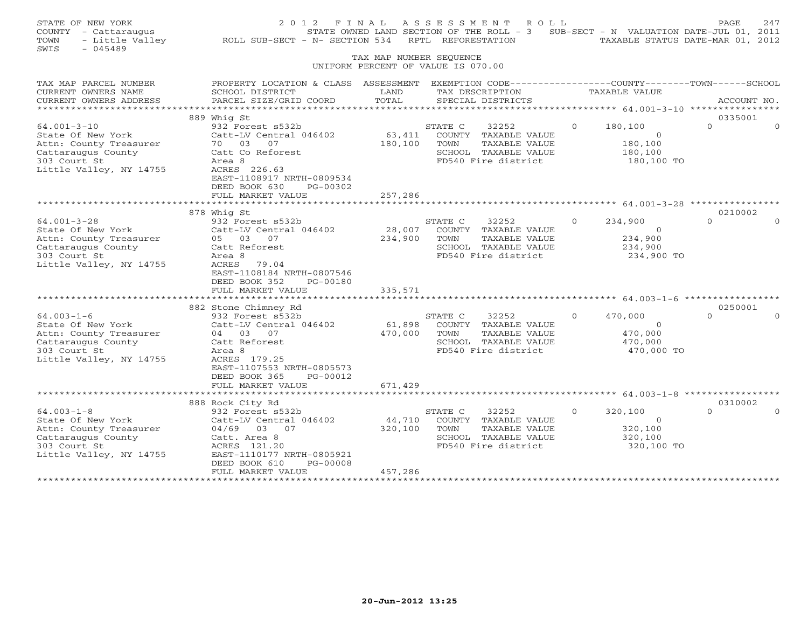| STATE OF NEW YORK<br>COUNTY - Cattaraugus<br>- Little Valley<br>TOWN<br>SWIS<br>$-045489$                                         | 2012 FINAL<br>ROLL SUB-SECT - N- SECTION 534                                                                                                                                                    | TAX MAP NUMBER SEQUENCE<br>UNIFORM PERCENT OF VALUE IS 070.00 | ASSESSMENT<br>RPTL REFORESTATION | R O L L<br>STATE OWNED LAND SECTION OF THE ROLL - 3                                           |          | SUB-SECT - N VALUATION DATE-JUL 01, 2011<br>TAXABLE STATUS DATE-MAR 01, 2012 | PAGE                | 247 |
|-----------------------------------------------------------------------------------------------------------------------------------|-------------------------------------------------------------------------------------------------------------------------------------------------------------------------------------------------|---------------------------------------------------------------|----------------------------------|-----------------------------------------------------------------------------------------------|----------|------------------------------------------------------------------------------|---------------------|-----|
| TAX MAP PARCEL NUMBER<br>CURRENT OWNERS NAME<br>CURRENT OWNERS ADDRESS                                                            | PROPERTY LOCATION & CLASS ASSESSMENT EXEMPTION CODE---------------COUNTY-------TOWN------SCHOOL<br>SCHOOL DISTRICT<br>PARCEL SIZE/GRID COORD                                                    | LAND<br>TOTAL                                                 |                                  | TAX DESCRIPTION<br>SPECIAL DISTRICTS                                                          |          | TAXABLE VALUE                                                                | ACCOUNT NO.         |     |
|                                                                                                                                   |                                                                                                                                                                                                 |                                                               |                                  |                                                                                               |          |                                                                              |                     |     |
| $64.001 - 3 - 10$<br>State Of New York<br>Attn: County Treasurer<br>Cattaraugus County<br>303 Court St<br>Little Valley, NY 14755 | 889 Whig St<br>932 Forest s532b<br>Catt-LV Central 046402<br>70 03<br>07<br>Catt Co Reforest<br>Area 8<br>ACRES 226.63                                                                          | 63,411<br>180,100                                             | STATE C<br>TOWN                  | 32252<br>COUNTY TAXABLE VALUE<br>TAXABLE VALUE<br>SCHOOL TAXABLE VALUE<br>FD540 Fire district |          | 180,100<br>$\Omega$<br>180,100<br>180,100<br>180,100 TO                      | 0335001<br>$\Omega$ |     |
|                                                                                                                                   | EAST-1108917 NRTH-0809534<br>DEED BOOK 630<br>PG-00302<br>FULL MARKET VALUE<br>**********************                                                                                           | 257,286                                                       |                                  |                                                                                               |          |                                                                              |                     |     |
|                                                                                                                                   | 878 Whig St                                                                                                                                                                                     |                                                               |                                  |                                                                                               |          |                                                                              | 0210002             |     |
| $64.001 - 3 - 28$<br>State Of New York<br>Attn: County Treasurer<br>Cattaraugus County<br>303 Court St<br>Little Valley, NY 14755 | 932 Forest s532b<br>Catt-LV Central 046402<br>05 03 07<br>Catt Reforest<br>Area 8<br>ACRES<br>79.04<br>EAST-1108184 NRTH-0807546<br>DEED BOOK 352<br>PG-00180                                   | 28,007<br>234,900                                             | STATE C<br>TOWN                  | 32252<br>COUNTY TAXABLE VALUE<br>TAXABLE VALUE<br>SCHOOL TAXABLE VALUE<br>FD540 Fire district |          | 234,900<br>$\Omega$<br>234,900<br>234,900<br>234,900 TO                      | $\Omega$            |     |
|                                                                                                                                   | FULL MARKET VALUE                                                                                                                                                                               | 335,571                                                       |                                  |                                                                                               |          |                                                                              |                     |     |
|                                                                                                                                   |                                                                                                                                                                                                 |                                                               |                                  |                                                                                               |          |                                                                              |                     |     |
| $64.003 - 1 - 6$<br>State Of New York<br>Attn: County Treasurer<br>Cattaraugus County<br>303 Court St<br>Little Valley, NY 14755  | 882 Stone Chimney Rd<br>932 Forest s532b<br>Catt-LV Central 046402<br>04 03 07<br>Catt Reforest<br>Area 8<br>ACRES 179.25<br>EAST-1107553 NRTH-0805573<br>DEED BOOK 365<br>PG-00012             | 61,898<br>470,000                                             | STATE C<br>TOWN                  | 32252<br>COUNTY TAXABLE VALUE<br>TAXABLE VALUE<br>SCHOOL TAXABLE VALUE<br>FD540 Fire district | $\Omega$ | 470,000<br>0<br>470,000<br>470,000<br>470,000 TO                             | 0250001<br>$\Omega$ |     |
|                                                                                                                                   | FULL MARKET VALUE                                                                                                                                                                               | 671,429                                                       |                                  |                                                                                               |          |                                                                              |                     |     |
| $64.003 - 1 - 8$<br>State Of New York<br>Attn: County Treasurer<br>Cattaraugus County<br>303 Court St<br>Little Valley, NY 14755  | 888 Rock City Rd<br>932 Forest s532b<br>Catt-LV Central 046402<br>04/69<br>03 07<br>Catt. Area 8<br>ACRES 121.20<br>EAST-1110177 NRTH-0805921<br>DEED BOOK 610<br>PG-00008<br>FULL MARKET VALUE | 44,710<br>320,100<br>457,286                                  | STATE C<br>TOWN                  | 32252<br>COUNTY TAXABLE VALUE<br>TAXABLE VALUE<br>SCHOOL TAXABLE VALUE<br>FD540 Fire district | $\Omega$ | 320,100<br>$\circ$<br>320,100<br>320,100<br>320,100 TO                       | 0310002<br>$\cap$   |     |
|                                                                                                                                   |                                                                                                                                                                                                 |                                                               |                                  |                                                                                               |          |                                                                              |                     |     |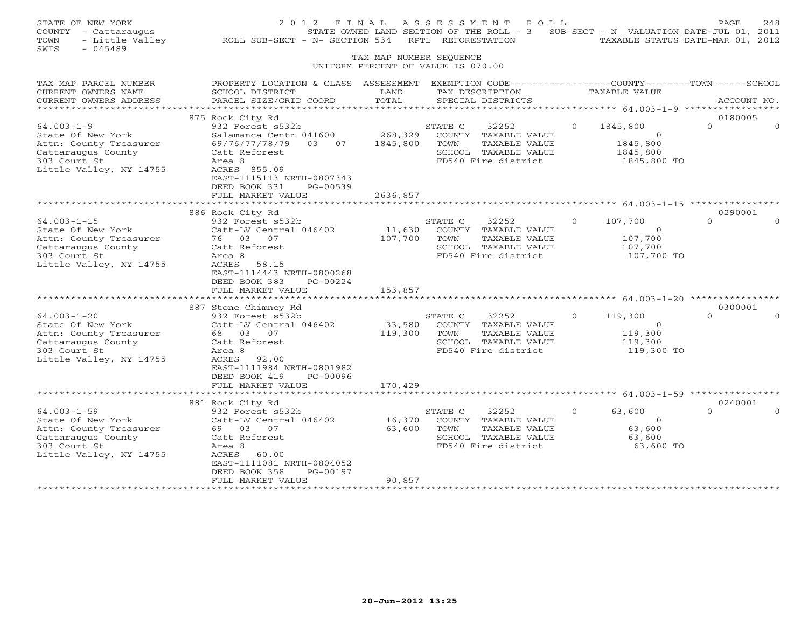| STATE OF NEW YORK<br>COUNTY - Cattaraugus<br>- Little Valley<br>TOWN<br>$-045489$<br>SWIS                                                                                                                                   | 2 0 1 2<br>ROLL SUB-SECT - N- SECTION 534                                                                                                                                                                                                                                                                 | FINAL<br>TAX MAP NUMBER SEQUENCE                  | A S S E S S M E N T<br>RPTL REFORESTATION                                                                                                                                   | R O L L                                                | STATE OWNED LAND SECTION OF THE ROLL - 3 SUB-SECT - N VALUATION DATE-JUL 01, 2011<br>TAXABLE STATUS DATE-MAR 01, 2012 | PAGE                                       | 2.48 |
|-----------------------------------------------------------------------------------------------------------------------------------------------------------------------------------------------------------------------------|-----------------------------------------------------------------------------------------------------------------------------------------------------------------------------------------------------------------------------------------------------------------------------------------------------------|---------------------------------------------------|-----------------------------------------------------------------------------------------------------------------------------------------------------------------------------|--------------------------------------------------------|-----------------------------------------------------------------------------------------------------------------------|--------------------------------------------|------|
|                                                                                                                                                                                                                             |                                                                                                                                                                                                                                                                                                           |                                                   | UNIFORM PERCENT OF VALUE IS 070.00                                                                                                                                          |                                                        |                                                                                                                       |                                            |      |
| TAX MAP PARCEL NUMBER<br>CURRENT OWNERS NAME<br>CURRENT OWNERS ADDRESS<br>***********                                                                                                                                       | PROPERTY LOCATION & CLASS ASSESSMENT EXEMPTION CODE---------------COUNTY-------TOWN------SCHOOL<br>SCHOOL DISTRICT<br>PARCEL SIZE/GRID COORD                                                                                                                                                              | LAND<br>TOTAL                                     | TAX DESCRIPTION<br>SPECIAL DISTRICTS                                                                                                                                        |                                                        | TAXABLE VALUE<br>************** 64.003-1-9 ******************                                                         | ACCOUNT NO.                                |      |
|                                                                                                                                                                                                                             | 875 Rock City Rd                                                                                                                                                                                                                                                                                          |                                                   |                                                                                                                                                                             |                                                        |                                                                                                                       | 0180005                                    |      |
| $64.003 - 1 - 9$<br>State Of New York<br>Attn: County Treasurer<br>Cattaraugus County<br>303 Court St<br>Little Valley, NY 14755                                                                                            | 932 Forest s532b<br>Salamanca Centr 041600<br>69/76/77/78/79 03 07<br>Catt Reforest<br>Area 8<br>ACRES 855.09<br>EAST-1115113 NRTH-0807343<br>DEED BOOK 331<br>PG-00539                                                                                                                                   | 268,329<br>1845,800                               | STATE C<br>32252<br>COUNTY TAXABLE VALUE<br>TOWN<br>SCHOOL TAXABLE VALUE<br>FD540 Fire district                                                                             | $\Omega$<br>TAXABLE VALUE                              | 1845,800<br>$\overline{0}$<br>1845,800<br>1845,800<br>1845,800 TO                                                     | $\Omega$                                   |      |
|                                                                                                                                                                                                                             | FULL MARKET VALUE                                                                                                                                                                                                                                                                                         | 2636,857                                          |                                                                                                                                                                             |                                                        |                                                                                                                       |                                            |      |
| $64.003 - 1 - 15$<br>State Of New York<br>Attn: County Treasurer<br>Cattaraugus County<br>303 Court St<br>Little Valley, NY 14755<br>$64.003 - 1 - 20$<br>State Of New York<br>Attn: County Treasurer<br>Cattaraugus County | 886 Rock City Rd<br>932 Forest s532b<br>Catt-LV Central 046402<br>76 03 07<br>Catt Reforest<br>Area 8<br>ACRES<br>58.15<br>EAST-1114443 NRTH-0800268<br>DEED BOOK 383<br>PG-00224<br>FULL MARKET VALUE<br>887 Stone Chimney Rd<br>932 Forest s532b<br>Catt-LV Central 046402<br>68 03 07<br>Catt Reforest | 11,630<br>107,700<br>153,857<br>33,580<br>119,300 | STATE C<br>32252<br>COUNTY TAXABLE VALUE<br>TOWN<br>SCHOOL TAXABLE VALUE<br>FD540 Fire district<br>32252<br>STATE C<br>COUNTY TAXABLE VALUE<br>TOWN<br>SCHOOL TAXABLE VALUE | $\Omega$<br>TAXABLE VALUE<br>$\Omega$<br>TAXABLE VALUE | 107,700<br>$\circ$<br>107,700<br>107,700<br>107,700 TO<br>119,300<br>$\overline{0}$<br>119,300<br>119,300             | 0290001<br>$\Omega$<br>0300001<br>$\Omega$ |      |
| 303 Court St<br>Little Valley, NY 14755<br>$64.003 - 1 - 59$<br>State Of New York<br>Attn: County Treasurer                                                                                                                 | Area 8<br>ACRES<br>92.00<br>EAST-1111984 NRTH-0801982<br>DEED BOOK 419<br>PG-00096<br>FULL MARKET VALUE<br>881 Rock City Rd<br>932 Forest s532b<br>Catt-LV Central 046402<br>69 03 07                                                                                                                     | 170,429<br>16,370<br>63,600                       | FD540 Fire district<br>32252<br>STATE C<br>COUNTY TAXABLE VALUE<br>TOWN                                                                                                     | $\circ$<br>TAXABLE VALUE                               | 119,300 TO<br>63,600<br>$\Omega$<br>63,600                                                                            | 0240001<br>$\Omega$                        |      |
| Cattaraugus County<br>303 Court St<br>Little Valley, NY 14755                                                                                                                                                               | Catt Reforest<br>Area 8<br>ACRES<br>60.00<br>EAST-1111081 NRTH-0804052<br>DEED BOOK 358<br>PG-00197<br>FULL MARKET VALUE                                                                                                                                                                                  | 90,857                                            | SCHOOL TAXABLE VALUE<br>FD540 Fire district                                                                                                                                 |                                                        | 63,600<br>63,600 TO                                                                                                   |                                            |      |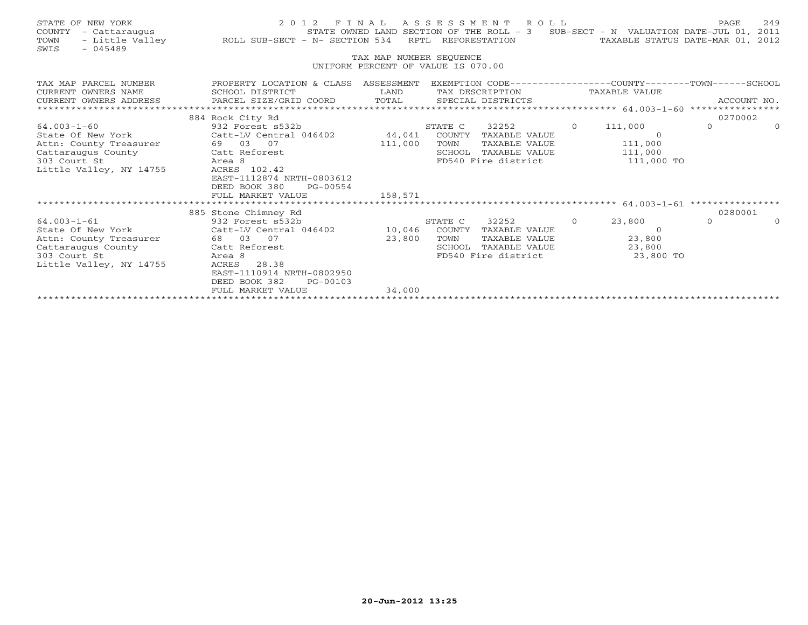| STATE OF NEW YORK<br>COUNTY<br>- Cattaraugus<br>TOWN<br>SWIS<br>$-045489$ | 2 0 1 2<br>- Little Valley ROLL SUB-SECT - N- SECTION 534 | FINAL                                                         | RPTL REFORESTATION | ASSESSMENT ROLL<br>STATE OWNED LAND SECTION OF THE ROLL - 3 |          | SUB-SECT - N VALUATION DATE-JUL 01, 2011<br>TAXABLE STATUS DATE-MAR 01, 2012 | PAGE     | 249         |
|---------------------------------------------------------------------------|-----------------------------------------------------------|---------------------------------------------------------------|--------------------|-------------------------------------------------------------|----------|------------------------------------------------------------------------------|----------|-------------|
|                                                                           |                                                           | TAX MAP NUMBER SEQUENCE<br>UNIFORM PERCENT OF VALUE IS 070.00 |                    |                                                             |          |                                                                              |          |             |
|                                                                           |                                                           |                                                               |                    |                                                             |          |                                                                              |          |             |
| TAX MAP PARCEL NUMBER                                                     | PROPERTY LOCATION & CLASS ASSESSMENT                      |                                                               |                    |                                                             |          | EXEMPTION CODE-----------------COUNTY-------TOWN------SCHOOL                 |          |             |
| CURRENT OWNERS NAME                                                       | SCHOOL DISTRICT                                           | LAND                                                          |                    | TAX DESCRIPTION                                             |          | TAXABLE VALUE                                                                |          |             |
| CURRENT OWNERS ADDRESS<br>* * * * * * * * * * * * * * * * * * * *         | PARCEL SIZE/GRID COORD TOTAL SPECIAL DISTRICTS            |                                                               |                    |                                                             |          |                                                                              |          | ACCOUNT NO. |
|                                                                           | 884 Rock City Rd                                          |                                                               |                    |                                                             |          |                                                                              |          | 0270002     |
| $64.003 - 1 - 60$                                                         | 932 Forest s532b                                          |                                                               | STATE C            | 32252                                                       | $\Omega$ | 111,000                                                                      | $\Omega$ | $\Omega$    |
| State Of New York                                                         | Catt-LV Central 046402 44,041                             |                                                               |                    | COUNTY TAXABLE VALUE                                        |          | $\Omega$                                                                     |          |             |
| Attn: County Treasurer                                                    | 69 03 07                                                  | 111,000                                                       | TOWN               | TAXABLE VALUE                                               |          | 111,000                                                                      |          |             |
| Cattaraugus County                                                        | Catt Reforest                                             |                                                               |                    | SCHOOL TAXABLE VALUE                                        |          | 111,000                                                                      |          |             |
| 303 Court St                                                              | Area 8                                                    |                                                               |                    | FD540 Fire district                                         |          | 111,000 TO                                                                   |          |             |
| Little Valley, NY 14755                                                   | ACRES 102.42                                              |                                                               |                    |                                                             |          |                                                                              |          |             |
|                                                                           | EAST-1112874 NRTH-0803612                                 |                                                               |                    |                                                             |          |                                                                              |          |             |
|                                                                           | DEED BOOK 380<br>PG-00554                                 |                                                               |                    |                                                             |          |                                                                              |          |             |
|                                                                           | FULL MARKET VALUE                                         | 158,571                                                       |                    |                                                             |          |                                                                              |          |             |
|                                                                           | 885 Stone Chimney Rd                                      |                                                               |                    |                                                             |          |                                                                              |          | 0280001     |
| $64.003 - 1 - 61$                                                         | 932 Forest s532b                                          |                                                               | STATE C            | 32252                                                       | $\Omega$ | 23,800                                                                       | $\Omega$ |             |
| State Of New York                                                         | Catt-LV Central 046402                                    | 10,046                                                        |                    | COUNTY TAXABLE VALUE                                        |          | $\Omega$                                                                     |          |             |
| Attn: County Treasurer                                                    | 68 03 07                                                  | 23,800                                                        | TOWN               | TAXABLE VALUE                                               |          | 23,800                                                                       |          |             |
| Cattaraugus County                                                        | Catt Reforest                                             |                                                               | SCHOOL             | TAXABLE VALUE                                               |          | 23,800                                                                       |          |             |
| 303 Court St                                                              | Area 8                                                    |                                                               |                    | FD540 Fire district                                         |          | 23,800 TO                                                                    |          |             |
| Little Valley, NY 14755                                                   | ACRES<br>28.38                                            |                                                               |                    |                                                             |          |                                                                              |          |             |
|                                                                           | EAST-1110914 NRTH-0802950                                 |                                                               |                    |                                                             |          |                                                                              |          |             |
|                                                                           | DEED BOOK 382<br>PG-00103                                 |                                                               |                    |                                                             |          |                                                                              |          |             |
|                                                                           | FULL MARKET VALUE                                         | 34,000                                                        |                    |                                                             |          |                                                                              |          |             |
|                                                                           |                                                           |                                                               |                    |                                                             |          |                                                                              |          |             |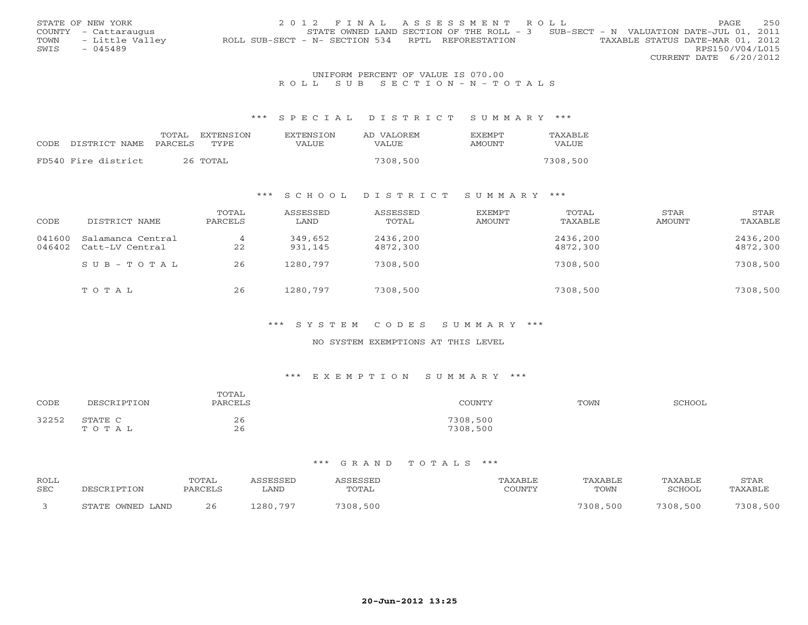|      | STATE OF NEW YORK    | 2012 FINAL ASSESSMENT ROLL                                                            | PAGE            | 250 |
|------|----------------------|---------------------------------------------------------------------------------------|-----------------|-----|
|      | COUNTY - Cattaraugus | STATE OWNED LAND SECTION OF THE ROLL - 3 SUB-SECT - N VALUATION DATE-JUL 01, 2011     |                 |     |
| TOWN | - Little Valley      | TAXABLE STATUS DATE-MAR 01, 2012<br>ROLL SUB-SECT - N- SECTION 534 RPTL REFORESTATION |                 |     |
| SWIS | - 045489             |                                                                                       | RPS150/V04/L015 |     |
|      |                      | CURRENT DATE 6/20/2012                                                                |                 |     |

### UNIFORM PERCENT OF VALUE IS 070.00 R O L L S U B S E C T I O N - N - T O T A L S

#### \*\*\* S P E C I A L D I S T R I C T S U M M A R Y \*\*\*

| CODE DISTRICT NAME  | TOTAL<br>PARCELS | EXTENSION<br>TYPE. | <b>EXTENSION</b><br>VALUE | AD VALOREM<br>VALUE | F.XFMPT<br>AMOUNT | TAXABLE<br><b>VALUE</b> |
|---------------------|------------------|--------------------|---------------------------|---------------------|-------------------|-------------------------|
| FD540 Fire district |                  | 26 TOTAL           |                           | 7308,500            |                   | 7308,500                |

#### \*\*\* S C H O O L D I S T R I C T S U M M A R Y \*\*\*

| CODE             | DISTRICT NAME                        | TOTAL<br>PARCELS     | ASSESSED<br>LAND   | ASSESSED<br>TOTAL    | EXEMPT<br>AMOUNT | TOTAL<br>TAXABLE     | STAR<br>AMOUNT | STAR<br>TAXABLE      |
|------------------|--------------------------------------|----------------------|--------------------|----------------------|------------------|----------------------|----------------|----------------------|
| 041600<br>046402 | Salamanca Central<br>Catt-LV Central | $\overline{4}$<br>22 | 349,652<br>931,145 | 2436,200<br>4872,300 |                  | 2436,200<br>4872,300 |                | 2436,200<br>4872,300 |
|                  | $SUB - TO T AL$                      | 26                   | 1280,797           | 7308,500             |                  | 7308,500             |                | 7308,500             |
|                  | TOTAL                                | 26                   | 1280,797           | 7308,500             |                  | 7308,500             |                | 7308,500             |

### \*\*\* S Y S T E M C O D E S S U M M A R Y \*\*\*

### NO SYSTEM EXEMPTIONS AT THIS LEVEL

#### \*\*\* E X E M P T I O N S U M M A R Y \*\*\*

| CODE  | DESCRIPTION      | TOTAL<br>PARCELS | COUNTY               | TOWN | SCHOOL |
|-------|------------------|------------------|----------------------|------|--------|
| 32252 | STATE C<br>TOTAL | 26<br>26         | 7308,500<br>7308,500 |      |        |

| <b>ROLL</b><br><b>SEC</b> | DESCRIPTON       | TOTAL<br>PARCELS | <i><b>\SSESSED</b></i><br>∟AND | <b><i>\SSESSED</i></b><br>TOTAL | TAXABLE<br>COUNTY | TAXABLE<br>TOWN | TAXABLE<br>SCHOOL | STAR<br>TAXABLE |
|---------------------------|------------------|------------------|--------------------------------|---------------------------------|-------------------|-----------------|-------------------|-----------------|
|                           | STATE OWNED LAND | 26               | 1280,797                       | 7308,500                        |                   | 7308,500        | 7308,500          | 7308,500        |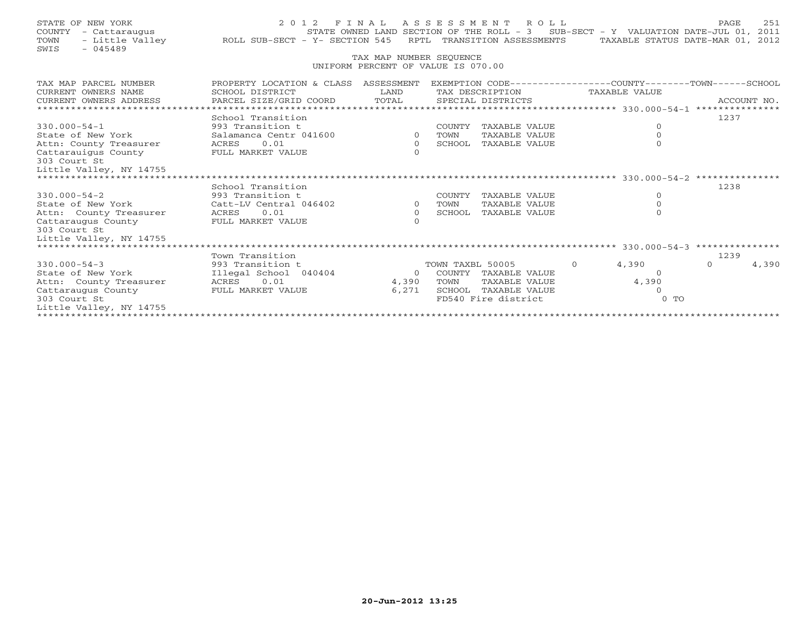| STATE OF NEW YORK                       |                                                                                                                                                |                            | 2012 FINAL ASSESSMENT ROLL                                                        |          |                          | 251<br>PAGE                      |
|-----------------------------------------|------------------------------------------------------------------------------------------------------------------------------------------------|----------------------------|-----------------------------------------------------------------------------------|----------|--------------------------|----------------------------------|
| COUNTY - Cattaraugus                    |                                                                                                                                                |                            | STATE OWNED LAND SECTION OF THE ROLL - 3 SUB-SECT - Y VALUATION DATE-JUL 01, 2011 |          |                          |                                  |
| TOWN                                    | - Caccaraugus - Carry Sunned LAND SECTION OF THE ROLL - 3 SOB-<br>Little Valley - ROLL SUB-SECT - Y- SECTION 545 RPTL TRANSITION ASSESSMENTS - |                            |                                                                                   |          |                          | TAXABLE STATUS DATE-MAR 01, 2012 |
| SWIS<br>$-045489$                       |                                                                                                                                                |                            |                                                                                   |          |                          |                                  |
|                                         |                                                                                                                                                | TAX MAP NUMBER SEQUENCE    | UNIFORM PERCENT OF VALUE IS 070.00                                                |          |                          |                                  |
|                                         |                                                                                                                                                |                            |                                                                                   |          |                          |                                  |
| TAX MAP PARCEL NUMBER                   | PROPERTY LOCATION & CLASS ASSESSMENT                                                                                                           |                            | EXEMPTION CODE-----------------COUNTY-------TOWN------SCHOOL                      |          |                          |                                  |
| CURRENT OWNERS NAME                     | SCHOOL DISTRICT                                                                                                                                | LAND                       | TAX DESCRIPTION                                                                   |          | TAXABLE VALUE            |                                  |
| CURRENT OWNERS ADDRESS                  | PARCEL SIZE/GRID COORD                                                                                                                         | TOTAL                      | SPECIAL DISTRICTS                                                                 |          |                          | ACCOUNT NO.                      |
|                                         |                                                                                                                                                |                            |                                                                                   |          |                          |                                  |
|                                         | School Transition                                                                                                                              |                            |                                                                                   |          |                          | 1237                             |
| $330.000 - 54 - 1$                      | 993 Transition t                                                                                                                               |                            | COUNTY TAXABLE VALUE                                                              |          | $\overline{0}$           |                                  |
| State of New York                       | Salamanca Centr 041600                                                                                                                         | $\Omega$                   | TAXABLE VALUE<br>TOWN                                                             |          | $\mathbf{0}$<br>$\Omega$ |                                  |
| Attn: County Treasurer                  | 0.01<br>ACRES                                                                                                                                  | $\overline{0}$<br>$\Omega$ | SCHOOL TAXABLE VALUE                                                              |          |                          |                                  |
| Cattarauiqus County<br>303 Court St     | FULL MARKET VALUE                                                                                                                              |                            |                                                                                   |          |                          |                                  |
| Little Valley, NY 14755                 |                                                                                                                                                |                            |                                                                                   |          |                          |                                  |
|                                         |                                                                                                                                                |                            |                                                                                   |          |                          |                                  |
|                                         | School Transition                                                                                                                              |                            |                                                                                   |          |                          | 1238                             |
| $330.000 - 54 - 2$                      | 993 Transition t                                                                                                                               |                            | COUNTY TAXABLE VALUE                                                              |          | $\circ$                  |                                  |
| State of New York                       | Catt-LV Central 046402                                                                                                                         | $\Omega$                   | TAXABLE VALUE<br>TOWN                                                             |          | $\circ$                  |                                  |
| Attn: County Treasurer                  | ACRES 0.01                                                                                                                                     | $\overline{0}$             | SCHOOL TAXABLE VALUE                                                              |          | $\Omega$                 |                                  |
| Cattaraugus County                      | FULL MARKET VALUE                                                                                                                              | $\Omega$                   |                                                                                   |          |                          |                                  |
| 303 Court St                            |                                                                                                                                                |                            |                                                                                   |          |                          |                                  |
| Little Valley, NY 14755                 |                                                                                                                                                |                            |                                                                                   |          |                          |                                  |
|                                         |                                                                                                                                                |                            |                                                                                   |          |                          |                                  |
|                                         | Town Transition                                                                                                                                |                            |                                                                                   |          |                          | 1239                             |
| $330.000 - 54 - 3$<br>State of New York | 993 Transition t                                                                                                                               | $\Omega$                   | TOWN TAXBL 50005                                                                  | $\Omega$ | 4,390<br>$\Omega$        | 4,390<br>$\Omega$                |
| Attn: County Treasurer                  | Illegal School 040404<br>0.01<br>ACRES                                                                                                         | 4,390                      | COUNTY TAXABLE VALUE<br>TOWN<br>TAXABLE VALUE                                     |          | 4,390                    |                                  |
| Cattaraugus County                      | FULL MARKET VALUE                                                                                                                              | 6,271                      | SCHOOL TAXABLE VALUE                                                              |          | $\Omega$                 |                                  |
| 303 Court St                            |                                                                                                                                                |                            | FD540 Fire district                                                               |          | $0$ TO                   |                                  |
| Little Valley, NY 14755                 |                                                                                                                                                |                            |                                                                                   |          |                          |                                  |
|                                         |                                                                                                                                                |                            |                                                                                   |          |                          |                                  |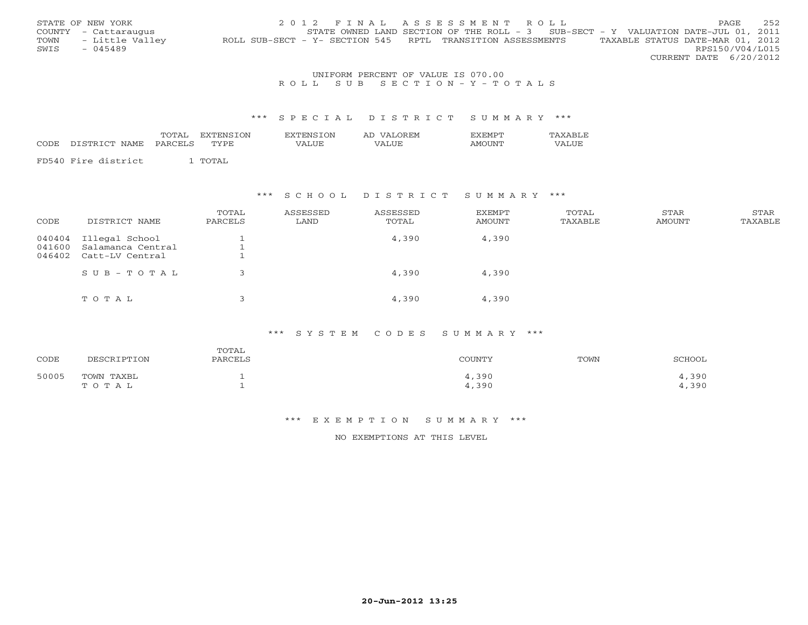|      | STATE OF NEW YORK    | 2012 FINAL ASSESSMENT ROLL                                                                     | PAGE                   | 252 |
|------|----------------------|------------------------------------------------------------------------------------------------|------------------------|-----|
|      | COUNTY - Cattaraugus | STATE OWNED LAND SECTION OF THE ROLL - 3 SUB-SECT - Y VALUATION DATE-JUL 01, 2011              |                        |     |
| TOWN | - Little Valley      | TAXABLE STATUS DATE-MAR 01, 2012<br>ROLL SUB-SECT - Y- SECTION 545 RPTL TRANSITION ASSESSMENTS |                        |     |
| SWIS | $-045489$            |                                                                                                | RPS150/V04/L015        |     |
|      |                      |                                                                                                | CURRENT DATE 6/20/2012 |     |

### UNIFORM PERCENT OF VALUE IS 070.00 R O L L S U B S E C T I O N - Y - T O T A L S

#### \*\*\* S P E C I A L D I S T R I C T S U M M A R Y \*\*\*

| CODE | DISTRICT NAME       | TOTAL<br><b>EXTENSION</b><br>PARCELS<br>TYPE. | <b>EXTENSION</b><br>VALUE | AD VALOREM<br>VALUE | <b>FXFMPT</b><br>AMOUNT | TAXABLE<br>VALUE |
|------|---------------------|-----------------------------------------------|---------------------------|---------------------|-------------------------|------------------|
|      | FD540 Fire district | ' TOTAL                                       |                           |                     |                         |                  |

#### \*\*\* S C H O O L D I S T R I C T S U M M A R Y \*\*\*

| CODE             | DISTRICT NAME                                                 | TOTAL<br>PARCELS | ASSESSED<br>LAND | ASSESSED<br>TOTAL | EXEMPT<br><b>AMOUNT</b> | TOTAL<br>TAXABLE | STAR<br>AMOUNT | STAR<br>TAXABLE |
|------------------|---------------------------------------------------------------|------------------|------------------|-------------------|-------------------------|------------------|----------------|-----------------|
| 041600<br>046402 | 040404 Illegal School<br>Salamanca Central<br>Catt-LV Central |                  |                  | 4,390             | 4,390                   |                  |                |                 |
|                  | $S \cup B - T \cup T A L$                                     |                  |                  | 4,390             | 4,390                   |                  |                |                 |
|                  | TOTAL                                                         |                  |                  | 4,390             | 4,390                   |                  |                |                 |

# \*\*\* S Y S T E M C O D E S S U M M A R Y \*\*\*

| CODE  | DESCRIPTION | TOTAL<br>PARCELS | COUNTY | TOWN | SCHOOL |
|-------|-------------|------------------|--------|------|--------|
| 50005 | TOWN TAXBL  |                  | 4,390  |      | .,390  |
|       | TOTAL       |                  | 4,390  |      | 4,390  |

## \*\*\* E X E M P T I O N S U M M A R Y \*\*\*

NO EXEMPTIONS AT THIS LEVEL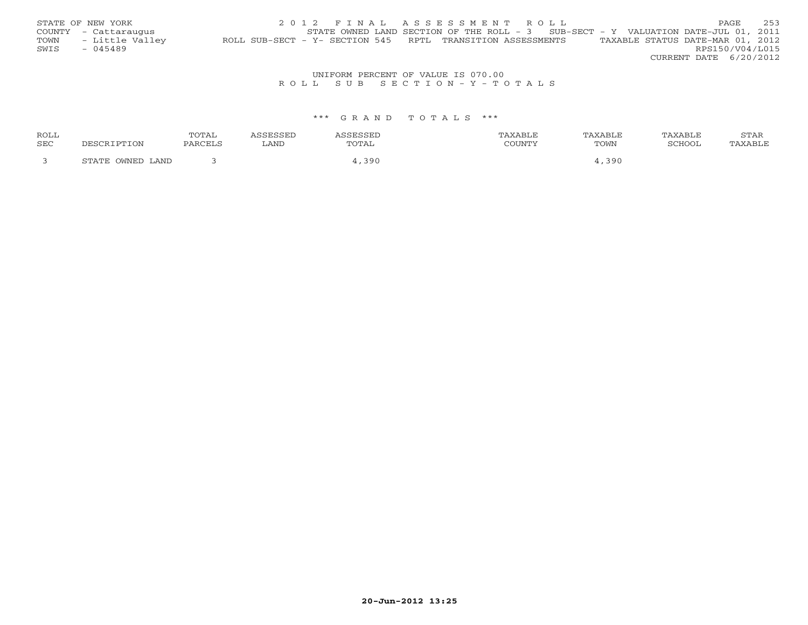|      | STATE OF NEW YORK    | 2012 FINAL ASSESSMENT ROLL                                                          | PAGE.                            | 253             |
|------|----------------------|-------------------------------------------------------------------------------------|----------------------------------|-----------------|
|      | COUNTY - Cattaraugus | STATE OWNED LAND SECTION OF THE ROLL - $3$ SUB-SECT - Y VALUATION DATE-JUL 01, 2011 |                                  |                 |
| TOWN | - Little Valley      | ROLL SUB-SECT - Y- SECTION 545 RPTL TRANSITION ASSESSMENTS                          | TAXABLE STATUS DATE-MAR 01, 2012 |                 |
| SWIS | - 045489             |                                                                                     |                                  | RPS150/V04/L015 |
|      |                      |                                                                                     | CURRENT DATE 6/20/2012           |                 |

# UNIFORM PERCENT OF VALUE IS 070.00<br>R O L L S U B S E C T I O N – Y – T O T A L S

| ROLL |                  | TOTAL   | ASSESSED | <b>\SSESSED</b> | TAXABLE | TAXABLE | TAXABLE | STAR    |
|------|------------------|---------|----------|-----------------|---------|---------|---------|---------|
| SEC  | DESCRIPTION      | PARCELS | LAND     | TOTAL           | COUNTY  | TOWN    | SCHOOL  | TAXABLE |
|      |                  |         |          |                 |         |         |         |         |
|      | STATE OWNED LAND |         |          | 1,390           |         | ,390    |         |         |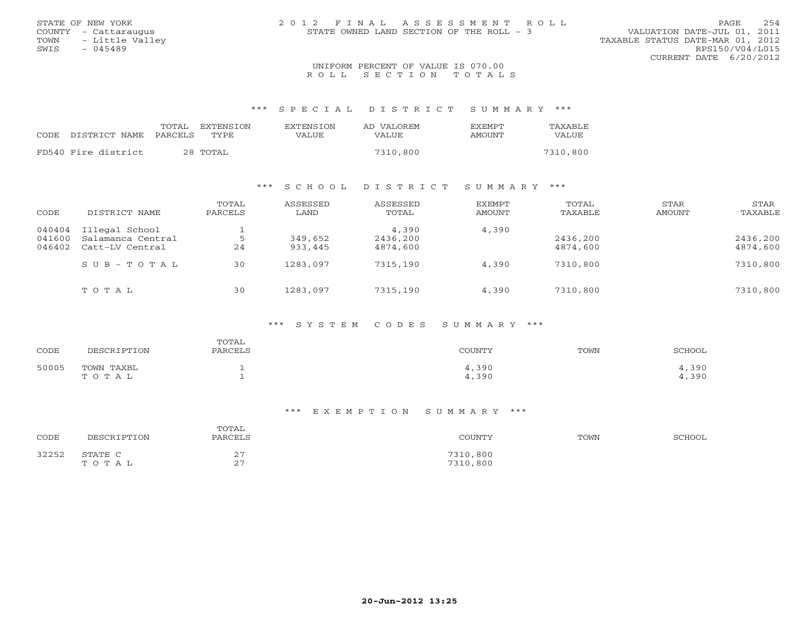| STATE OF NEW YORK       | 2012 FINAL ASSESSMENT ROLL               |                                  | PAGE | 254 |
|-------------------------|------------------------------------------|----------------------------------|------|-----|
| COUNTY - Cattaraugus    | STATE OWNED LAND SECTION OF THE ROLL - 3 | VALUATION DATE-JUL 01, 2011      |      |     |
| - Little Valley<br>TOWN |                                          | TAXABLE STATUS DATE-MAR 01, 2012 |      |     |
| SWIS<br>$-045489$       |                                          | RPS150/V04/L015                  |      |     |
|                         |                                          | CURRENT DATE $6/20/2012$         |      |     |
|                         | UNIFORM PERCENT OF VALUE IS 070.00       |                                  |      |     |

## R O L L L S E C T I O N T O T A L S

\*\*\* S P E C I A L D I S T R I C T S U M M A R Y \*\*\*

|                     | TOTAL<br>TYPE. | <b>EXTENSION</b><br><b>EXTENSION</b> | AD VALOREM | <b>FXFMPT</b> | TAXABLE  |
|---------------------|----------------|--------------------------------------|------------|---------------|----------|
| CODE DISTRICT NAME  | PARCELS        | VALUE                                | VALUE      | AMOUNT        | VALUE    |
| FD540 Fire district | 28 TOTAL       |                                      | 7310,800   |               | 7310,800 |

## \*\*\* S C H O O L D I S T R I C T S U M M A R Y \*\*\*

| CODE   | DISTRICT NAME     | TOTAL<br>PARCELS | ASSESSED<br>LAND | ASSESSED<br>TOTAL | <b>EXEMPT</b><br>AMOUNT | TOTAL<br>TAXABLE | <b>STAR</b><br>AMOUNT | STAR<br>TAXABLE |
|--------|-------------------|------------------|------------------|-------------------|-------------------------|------------------|-----------------------|-----------------|
| 040404 | Illegal School    |                  |                  | 4,390             | 4,390                   |                  |                       |                 |
| 041600 | Salamanca Central |                  | 349,652          | 2436,200          |                         | 2436,200         |                       | 2436,200        |
| 046402 | Catt-LV Central   | 24               | 933,445          | 4874,600          |                         | 4874,600         |                       | 4874,600        |
|        | $SUB - TO T AL$   | 30               | 1283,097         | 7315,190          | 4,390                   | 7310,800         |                       | 7310,800        |
|        | TOTAL             | 30               | 1283,097         | 7315,190          | 4,390                   | 7310,800         |                       | 7310,800        |

## \*\*\* S Y S T E M C O D E S S U M M A R Y \*\*\*

| CODE  | DESCRIPTION         | TOTAL<br>PARCELS | COUNTY         | TOWN | SCHOOL         |
|-------|---------------------|------------------|----------------|------|----------------|
| 50005 | TOWN TAXBL<br>TOTAL |                  | 4,390<br>4,390 |      | 4,390<br>4,390 |

| CODE  | DESCRIPTION      | TOTAL<br>PARCELS               | COUNTY               | TOWN | SCHOOL |
|-------|------------------|--------------------------------|----------------------|------|--------|
| 32252 | STATE C<br>TOTAL | $\sim$<br>-<br>$\sim$ $-$<br>∼ | 7310,800<br>7310,800 |      |        |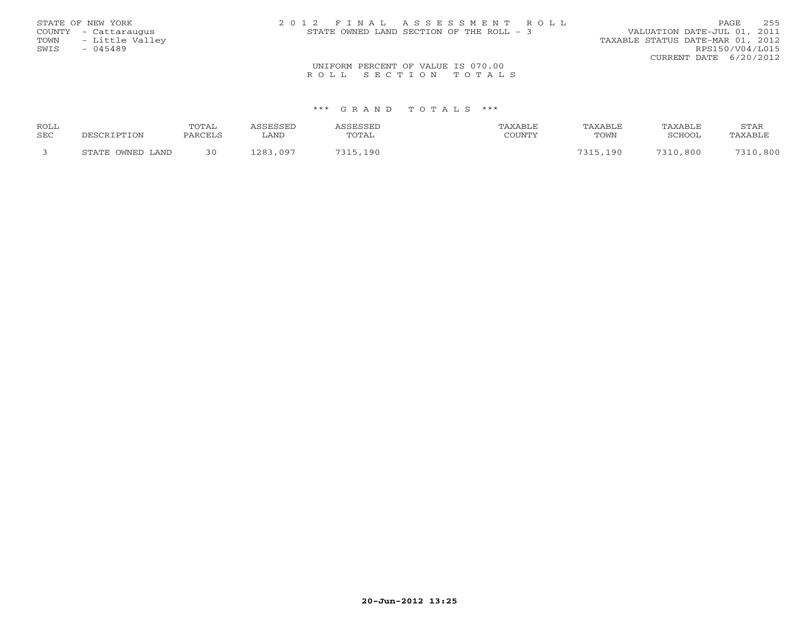|      | STATE OF NEW YORK    | 2012 FINAL ASSESSMENT ROLL               |                                  | 255<br><b>PAGE</b> |
|------|----------------------|------------------------------------------|----------------------------------|--------------------|
|      | COUNTY - Cattaraugus | STATE OWNED LAND SECTION OF THE ROLL - 3 | VALUATION DATE-JUL 01, 2011      |                    |
| TOWN | - Little Valley      |                                          | TAXABLE STATUS DATE-MAR 01, 2012 |                    |
| SWIS | - 045489             |                                          |                                  | RPS150/V04/L015    |
|      |                      |                                          | CURRENT DATE 6/20/2012           |                    |
|      |                      | UNIFORM PERCENT OF VALUE IS 070.00       |                                  |                    |
|      |                      | ROLL SECTION TOTALS                      |                                  |                    |

| <b>ROLL</b> |                     | TOTAL |             |                 |                          | TAXABI <sub>'</sub> E | TAXABLE  | <b>STAR</b> |
|-------------|---------------------|-------|-------------|-----------------|--------------------------|-----------------------|----------|-------------|
| <b>SEC</b>  |                     |       | LAND        | TOTAL           | $C0$ $T1$ $T1$ $T1$ $T1$ | TOWN                  | "CHOOL   |             |
|             | OWNED LAND<br>ᅂᅲᇧᅲᅲ |       | ററാ<br>09.7 | 10 <sup>c</sup> |                          | $\Omega$              | 7310.800 | 7210<br>800 |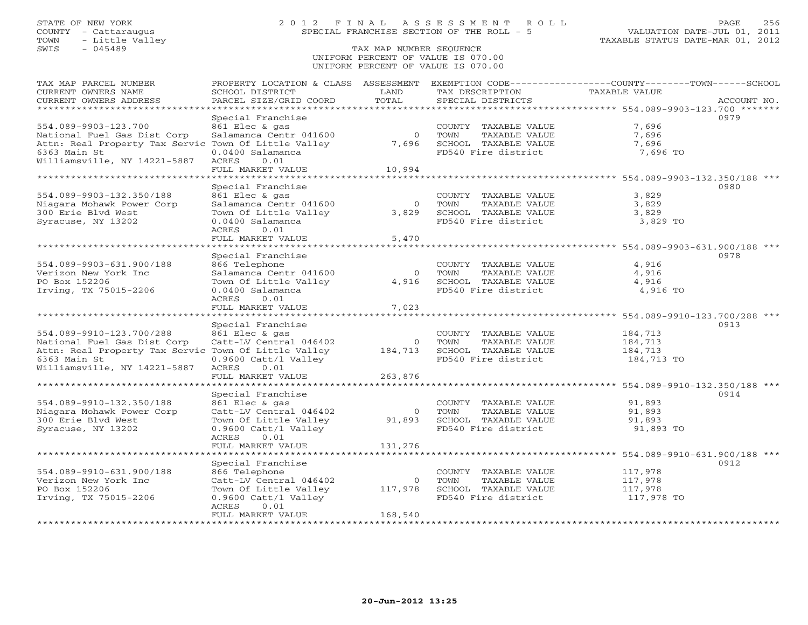## STATE OF NEW YORK 2 0 1 2 F I N A L A S S E S S M E N T R O L L PAGE 256 COUNTY - Cattaraugus SPECIAL FRANCHISE SECTION OF THE ROLL - 5 VALUATION DATE-JUL 01, 2011

## SWIS - 045489 TAX MAP NUMBER SEQUENCE UNIFORM PERCENT OF VALUE IS 070.00UNIFORM PERCENT OF VALUE IS 070.00

| TAX MAP PARCEL NUMBER<br>CURRENT OWNERS NAME<br>CURRENT OWNERS ADDRESS                                                                                          | PROPERTY LOCATION & CLASS ASSESSMENT<br>SCHOOL DISTRICT<br>PARCEL SIZE/GRID COORD                                                                   | LAND<br>TOTAL                 | TAX DESCRIPTION<br>SPECIAL DISTRICTS                                                         | EXEMPTION CODE-----------------COUNTY-------TOWN------SCHOOL<br>TAXABLE VALUE | ACCOUNT NO. |
|-----------------------------------------------------------------------------------------------------------------------------------------------------------------|-----------------------------------------------------------------------------------------------------------------------------------------------------|-------------------------------|----------------------------------------------------------------------------------------------|-------------------------------------------------------------------------------|-------------|
| ***********************                                                                                                                                         |                                                                                                                                                     |                               |                                                                                              |                                                                               |             |
| 554.089-9903-123.700<br>National Fuel Gas Dist Corp<br>Attn: Real Property Tax Servic Town Of Little Valley<br>6363 Main St<br>Williamsville, NY 14221-5887     | Special Franchise<br>861 Elec & gas<br>Salamanca Centr 041600<br>0.0400 Salamanca<br>ACRES<br>0.01                                                  | $\circ$<br>7,696              | COUNTY TAXABLE VALUE<br>TOWN<br>TAXABLE VALUE<br>SCHOOL TAXABLE VALUE<br>FD540 Fire district | 7,696<br>7,696<br>7,696<br>7,696 TO                                           | 0979        |
|                                                                                                                                                                 | FULL MARKET VALUE                                                                                                                                   | 10,994                        |                                                                                              |                                                                               |             |
| ************************                                                                                                                                        | **************************                                                                                                                          |                               |                                                                                              |                                                                               |             |
| 554.089-9903-132.350/188<br>Niagara Mohawk Power Corp<br>300 Erie Blvd West<br>Syracuse, NY 13202                                                               | Special Franchise<br>861 Elec & gas<br>Salamanca Centr 041600<br>Town Of Little Valley<br>0.0400 Salamanca                                          | $\Omega$<br>3,829             | COUNTY TAXABLE VALUE<br>TOWN<br>TAXABLE VALUE<br>SCHOOL TAXABLE VALUE<br>FD540 Fire district | 3,829<br>3,829<br>3,829<br>3,829 TO                                           | 0980        |
|                                                                                                                                                                 | 0.01<br>ACRES                                                                                                                                       |                               |                                                                                              |                                                                               |             |
|                                                                                                                                                                 | FULL MARKET VALUE                                                                                                                                   | 5,470                         |                                                                                              | ********************************* 554.089-9903-631.900/188 ***                |             |
|                                                                                                                                                                 | Special Franchise                                                                                                                                   |                               |                                                                                              |                                                                               | 0978        |
| 554.089-9903-631.900/188<br>Verizon New York Inc<br>PO Box 152206<br>Irving, TX 75015-2206                                                                      | 866 Telephone<br>Salamanca Centr 041600<br>Town Of Little Valley<br>0.0400 Salamanca<br>ACRES<br>0.01                                               | $\circ$<br>4,916              | COUNTY TAXABLE VALUE<br>TAXABLE VALUE<br>TOWN<br>SCHOOL TAXABLE VALUE<br>FD540 Fire district | 4,916<br>4,916<br>4,916<br>4,916 TO                                           |             |
|                                                                                                                                                                 | FULL MARKET VALUE                                                                                                                                   | 7,023                         |                                                                                              |                                                                               |             |
| **********************                                                                                                                                          |                                                                                                                                                     |                               |                                                                                              |                                                                               |             |
| 554.089-9910-123.700/288<br>National Fuel Gas Dist Corp<br>Attn: Real Property Tax Servic Town Of Little Valley<br>6363 Main St<br>Williamsville, NY 14221-5887 | Special Franchise<br>861 Elec & gas<br>Catt-LV Central 046402<br>0.9600 Catt/l Valley<br><b>ACRES</b><br>0.01<br>FULL MARKET VALUE                  | $\circ$<br>184,713<br>263,876 | COUNTY TAXABLE VALUE<br>TAXABLE VALUE<br>TOWN<br>SCHOOL TAXABLE VALUE<br>FD540 Fire district | 184,713<br>184,713<br>184,713<br>184,713 TO                                   | 0913        |
|                                                                                                                                                                 | **********************                                                                                                                              | **************                |                                                                                              | ********************************* 554.089-9910-132.350/188 ***                |             |
| 554.089-9910-132.350/188<br>Niagara Mohawk Power Corp<br>300 Erie Blvd West<br>Syracuse, NY 13202                                                               | Special Franchise<br>861 Elec & gas<br>Catt-LV Central 046402<br>Town Of Little Valley<br>0.9600 Catt/l Valley<br>ACRES<br>0.01                     | $\circ$<br>91,893             | COUNTY TAXABLE VALUE<br>TAXABLE VALUE<br>TOWN<br>SCHOOL TAXABLE VALUE<br>FD540 Fire district | 91,893<br>91,893<br>91,893<br>91,893 TO                                       | 0914        |
|                                                                                                                                                                 | FULL MARKET VALUE                                                                                                                                   | 131,276                       |                                                                                              |                                                                               |             |
| ************************                                                                                                                                        | ******************                                                                                                                                  |                               |                                                                                              |                                                                               |             |
| 554.089-9910-631.900/188<br>Verizon New York Inc<br>PO Box 152206<br>Irving, TX 75015-2206                                                                      | Special Franchise<br>866 Telephone<br>Catt-LV Central 046402<br>Town Of Little Valley<br>0.9600 Catt/l Valley<br>ACRES<br>0.01<br>FULL MARKET VALUE | $\circ$<br>117,978<br>168,540 | COUNTY TAXABLE VALUE<br>TOWN<br>TAXABLE VALUE<br>SCHOOL TAXABLE VALUE<br>FD540 Fire district | 117,978<br>117,978<br>117,978<br>117,978 TO                                   | 0912        |
| *********************                                                                                                                                           |                                                                                                                                                     |                               |                                                                                              |                                                                               |             |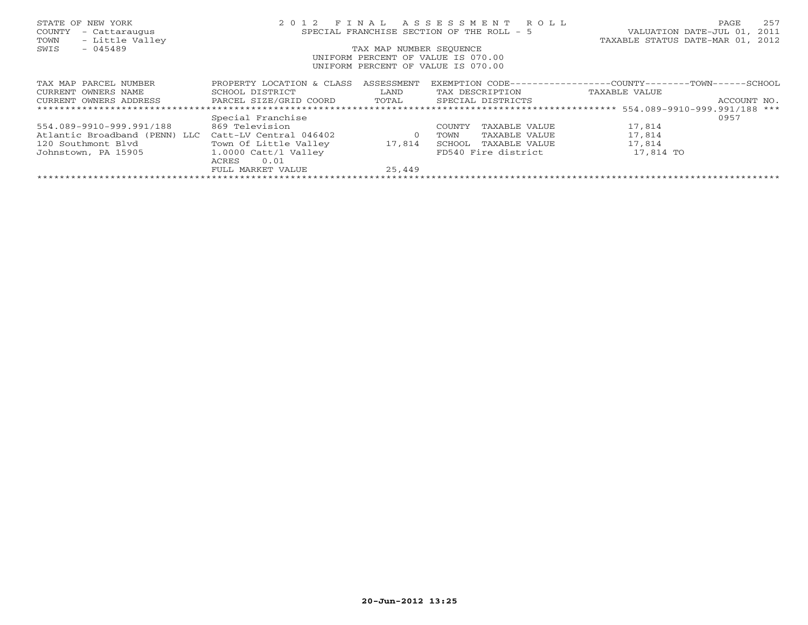| STATE OF NEW YORK<br>COUNTY<br>- Cattaraugus<br>- Little Valley<br>TOWN | 2 0 1 2                   |                         | FINAL ASSESSMENT ROLL<br>SPECIAL FRANCHISE SECTION OF THE ROLL - 5 | 257<br>PAGE<br>2011<br>VALUATION DATE-JUL 01,<br>TAXABLE STATUS DATE-MAR 01, 2012 |
|-------------------------------------------------------------------------|---------------------------|-------------------------|--------------------------------------------------------------------|-----------------------------------------------------------------------------------|
| SWIS<br>$-045489$                                                       |                           | TAX MAP NUMBER SEOUENCE | UNIFORM PERCENT OF VALUE IS 070.00                                 |                                                                                   |
|                                                                         |                           |                         | UNIFORM PERCENT OF VALUE IS 070.00                                 |                                                                                   |
| TAX MAP PARCEL NUMBER                                                   | PROPERTY LOCATION & CLASS | ASSESSMENT              | EXEMPTION CODE---                                                  | -----------COUNTY---------TOWN------SCHOOL                                        |
| CURRENT OWNERS NAME                                                     | SCHOOL DISTRICT           | LAND                    | TAX DESCRIPTION                                                    | TAXABLE VALUE                                                                     |
| CURRENT OWNERS ADDRESS                                                  | PARCEL SIZE/GRID COORD    | TOTAL                   | SPECIAL DISTRICTS                                                  | ACCOUNT NO.                                                                       |
|                                                                         |                           |                         |                                                                    |                                                                                   |
|                                                                         | Special Franchise         |                         |                                                                    | 0957                                                                              |
| 554.089-9910-999.991/188                                                | 869 Television            |                         | COUNTY<br>TAXABLE VALUE                                            | 17,814                                                                            |
| Atlantic Broadband (PENN) LLC                                           | Catt-LV Central 046402    | $\circ$                 | TOWN<br>TAXABLE VALUE                                              | 17,814                                                                            |
| 120 Southmont Blvd                                                      | Town Of Little Valley     | 17,814                  | SCHOOL<br>TAXABLE VALUE                                            | 17,814                                                                            |
| Johnstown, PA 15905                                                     | $1.0000$ Catt/l Valley    |                         | FD540 Fire district                                                | 17,814 TO                                                                         |
|                                                                         | 0.01<br>ACRES             |                         |                                                                    |                                                                                   |
|                                                                         | FULL MARKET VALUE         | 25,449                  |                                                                    |                                                                                   |
|                                                                         |                           |                         |                                                                    |                                                                                   |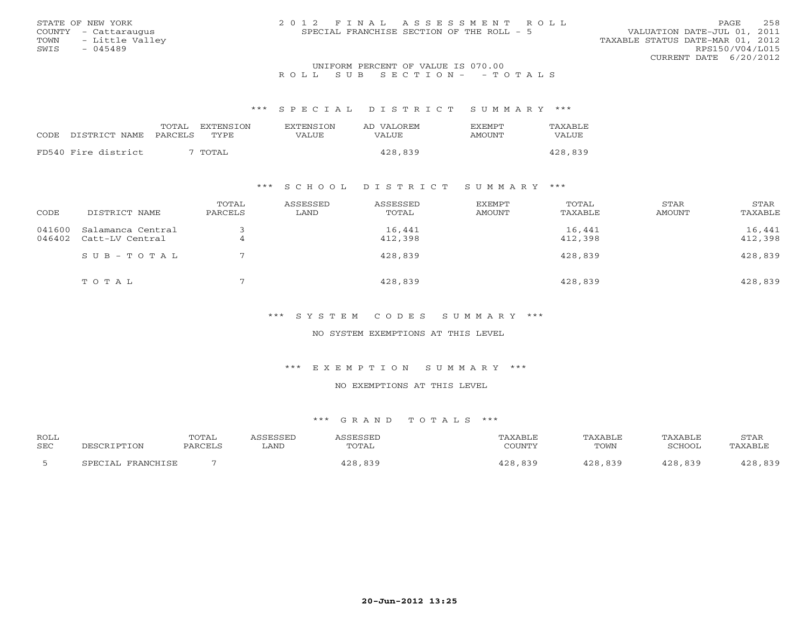|                      | 2012 FINAL ASSESSMENT ROLL                |                                  |
|----------------------|-------------------------------------------|----------------------------------|
| STATE OF NEW YORK    |                                           | 258<br>PAGE.                     |
| COUNTY - Cattaraugus | SPECIAL FRANCHISE SECTION OF THE ROLL - 5 | VALUATION DATE-JUL 01, 2011      |
| TOWN - Little Valley |                                           | TAXABLE STATUS DATE-MAR 01, 2012 |
| SWIS<br>- 045489     |                                           | RPS150/V04/L015                  |
|                      |                                           | CURRENT DATE 6/20/2012           |
|                      | IBITEORM REPORTED OF USITER TO 050 00     |                                  |

## UNIFORM PERCENT OF VALUE IS 070.00R O L L S U B S E C T I O N - - T O T A L S

\*\*\* S P E C I A L D I S T R I C T S U M M A R Y \*\*\*

|      |                     | TOTAL<br><b>EXTENSION</b> | <b>EXTENSION</b> | AD VALOREM | <b>EXEMPT</b> | <b>TAXABLE</b> |
|------|---------------------|---------------------------|------------------|------------|---------------|----------------|
| CODE | DISTRICT NAME       | PARCELS<br>TYPE.          | VALUE            | VALUE      | AMOUNT        | VALUE          |
|      | FD540 Fire district | ' TOTAL                   |                  | 428,839    |               | 428,839        |

## \*\*\* S C H O O L D I S T R I C T S U M M A R Y \*\*\*

| CODE             | DISTRICT NAME                        | TOTAL<br>PARCELS | ASSESSED<br>LAND | ASSESSED<br>TOTAL | <b>EXEMPT</b><br>AMOUNT | TOTAL<br>TAXABLE  | STAR<br>AMOUNT | STAR<br>TAXABLE   |
|------------------|--------------------------------------|------------------|------------------|-------------------|-------------------------|-------------------|----------------|-------------------|
| 041600<br>046402 | Salamanca Central<br>Catt-LV Central | $\overline{4}$   |                  | 16,441<br>412,398 |                         | 16,441<br>412,398 |                | 16,441<br>412,398 |
|                  | SUB-TOTAL                            |                  |                  | 428,839           |                         | 428,839           |                | 428,839           |
|                  | TOTAL                                | $\blacksquare$   |                  | 428,839           |                         | 428,839           |                | 428,839           |

\*\*\* S Y S T E M C O D E S S U M M A R Y \*\*\*

NO SYSTEM EXEMPTIONS AT THIS LEVEL

\*\*\* E X E M P T I O N S U M M A R Y \*\*\*

NO EXEMPTIONS AT THIS LEVEL

| ROLL |                     | TOTAL  | <b>CCFCCFD</b> | :ЧH   | "AXABLF      | <b>PAVART</b>  | TAXABLF         | STAR    |
|------|---------------------|--------|----------------|-------|--------------|----------------|-----------------|---------|
| SEC  | ם הדר               | PARCEL | LAND           | TOTAL | COUNTY       | TOWN           | SCHOOL          | 'AXABLE |
|      | FDAMCHTCF<br>CDPOT: |        |                | റ റ   | $939$<br>າລດ | $\cap$<br>839. | $\Omega$<br>839 | റ റ     |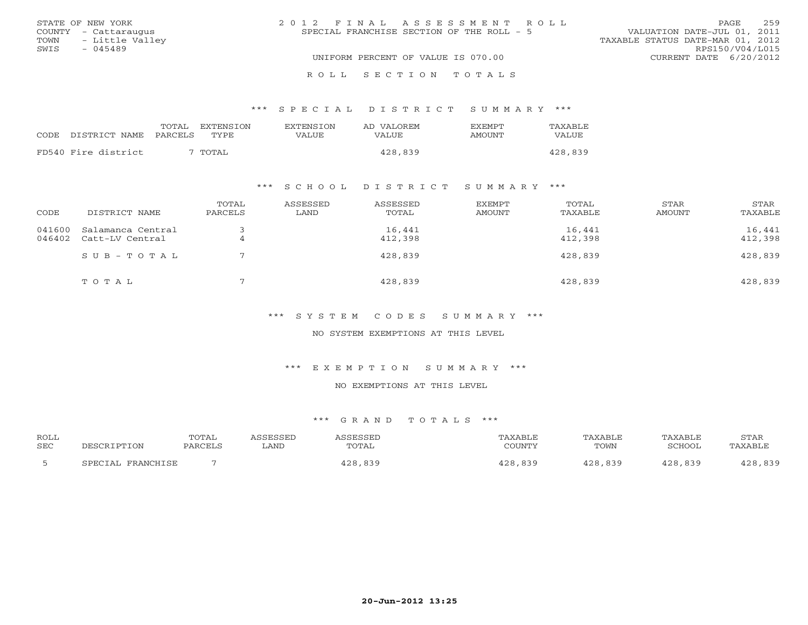|      | STATE OF NEW YORK    | 2012 FINAL ASSESSMENT ROLL                                               | PAGE.                  | 259 |
|------|----------------------|--------------------------------------------------------------------------|------------------------|-----|
|      | COUNTY - Cattaraugus | VALUATION DATE-JUL 01, 2011<br>SPECIAL FRANCHISE SECTION OF THE ROLL - 5 |                        |     |
|      | TOWN - Little Valley | TAXABLE STATUS DATE-MAR 01, 2012                                         |                        |     |
| SWIS | $-045489$            |                                                                          | RPS150/V04/L015        |     |
|      |                      | UNIFORM PERCENT OF VALUE IS 070.00                                       | CURRENT DATE 6/20/2012 |     |
|      |                      |                                                                          |                        |     |

#### R O L L S E C T I O N T O T A L S

#### \*\*\* S P E C I A L D I S T R I C T S U M M A R Y \*\*\*

|                     | TOTAL   | EXTENSION | <b>EXTENSION</b> | AD VALOREM | <b>FXFMPT</b> | TAXABLE |
|---------------------|---------|-----------|------------------|------------|---------------|---------|
| CODE DISTRICT NAME  | PARCELS | TYPE.     | VALUE            | VALUE      | <b>AMOUNT</b> | VALUE   |
| FD540 Fire district |         | TOTAL     |                  | 428,839    |               | 428,839 |
|                     |         |           |                  |            |               |         |

## \*\*\* S C H O O L D I S T R I C T S U M M A R Y \*\*\*

| CODE             | DISTRICT NAME                        | TOTAL<br>PARCELS | ASSESSED<br>LAND | ASSESSED<br>TOTAL | EXEMPT<br><b>AMOUNT</b> | TOTAL<br>TAXABLE  | STAR<br>AMOUNT | STAR<br>TAXABLE   |
|------------------|--------------------------------------|------------------|------------------|-------------------|-------------------------|-------------------|----------------|-------------------|
| 041600<br>046402 | Salamanca Central<br>Catt-LV Central |                  |                  | 16,441<br>412,398 |                         | 16,441<br>412,398 |                | 16,441<br>412,398 |
|                  | $SUB - TO T AL$                      |                  |                  | 428,839           |                         | 428,839           |                | 428,839           |
|                  | TOTAL                                |                  |                  | 428,839           |                         | 428,839           |                | 428,839           |

\*\*\* S Y S T E M C O D E S S U M M A R Y \*\*\*

NO SYSTEM EXEMPTIONS AT THIS LEVEL

\*\*\* E X E M P T I O N S U M M A R Y \*\*\*

NO EXEMPTIONS AT THIS LEVEL

| ROLL       |                   | TOTAL   | ASSESSED | ASSESSED | TAXABLE | TAXABLE | TAXABLE       | STAR    |
|------------|-------------------|---------|----------|----------|---------|---------|---------------|---------|
| <b>SEC</b> | DESCRIPTION       | PARCELS | LAND     | TOTAL    | COUNTY  | TOWN    | <b>SCHOOL</b> | TAXABLE |
|            | SPECIAL FRANCHISE |         |          | 428,839  | 428,839 | 428,839 | 428,839       | 428,839 |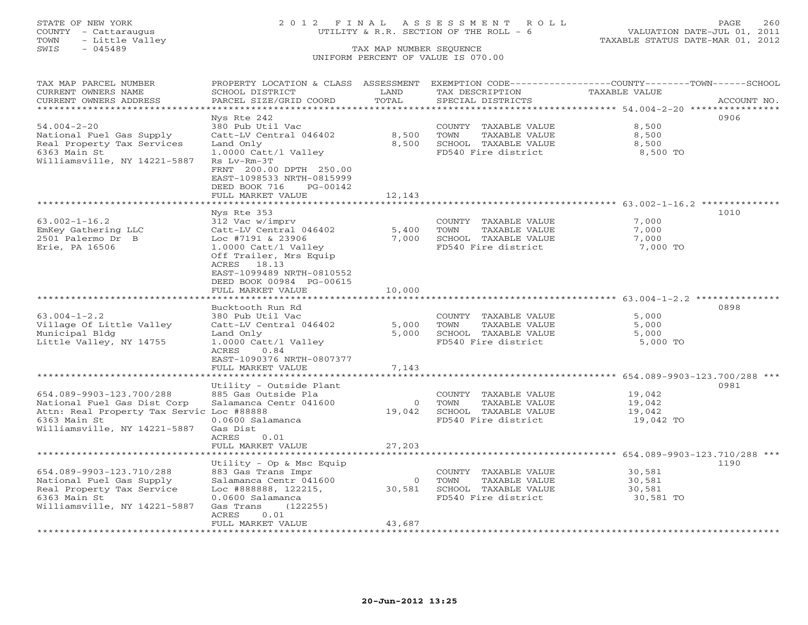## STATE OF NEW YORK 2 0 1 2 F I N A L A S S E S S M E N T R O L L PAGE 260 COUNTY - Cattaraugus UTILITY & R.R. SECTION OF THE ROLL - 6 VALUATION DATE-JUL 01, 2011

| TAX MAP PARCEL NUMBER                                                    | PROPERTY LOCATION & CLASS ASSESSMENT                   |                |                                               | EXEMPTION CODE-----------------COUNTY-------TOWN------SCHOOL |             |
|--------------------------------------------------------------------------|--------------------------------------------------------|----------------|-----------------------------------------------|--------------------------------------------------------------|-------------|
| CURRENT OWNERS NAME                                                      | SCHOOL DISTRICT                                        | LAND<br>TOTAL  | TAX DESCRIPTION                               | <b>TAXABLE VALUE</b>                                         | ACCOUNT NO. |
| CURRENT OWNERS ADDRESS<br>***********************                        | PARCEL SIZE/GRID COORD                                 |                | SPECIAL DISTRICTS                             |                                                              |             |
|                                                                          | Nys Rte 242                                            |                |                                               |                                                              | 0906        |
| $54.004 - 2 - 20$                                                        | 380 Pub Util Vac                                       |                | COUNTY TAXABLE VALUE                          | 8,500                                                        |             |
| National Fuel Gas Supply                                                 | Catt-LV Central 046402                                 | 8,500          | TAXABLE VALUE<br>TOWN                         | 8,500                                                        |             |
| Real Property Tax Services                                               | Land Only                                              | 8,500          | SCHOOL TAXABLE VALUE                          | 8,500                                                        |             |
| 6363 Main St                                                             | 1.0000 Catt/l Valley                                   |                | FD540 Fire district                           | 8,500 TO                                                     |             |
| Williamsville, NY 14221-5887                                             | Rs Lv-Rm-3T                                            |                |                                               |                                                              |             |
|                                                                          | FRNT 200.00 DPTH 250.00                                |                |                                               |                                                              |             |
|                                                                          | EAST-1098533 NRTH-0815999<br>DEED BOOK 716<br>PG-00142 |                |                                               |                                                              |             |
|                                                                          | FULL MARKET VALUE                                      | 12,143         |                                               |                                                              |             |
|                                                                          |                                                        |                |                                               |                                                              |             |
|                                                                          | Nys Rte 353                                            |                |                                               |                                                              | 1010        |
| $63.002 - 1 - 16.2$                                                      | 312 Vac w/imprv                                        |                | COUNTY TAXABLE VALUE                          | 7,000                                                        |             |
| EmKey Gathering LLC                                                      | Catt-LV Central 046402                                 | 5,400          | TOWN<br>TAXABLE VALUE                         | 7,000                                                        |             |
| 2501 Palermo Dr B                                                        | Loc #7191 & 23906                                      | 7,000          | SCHOOL TAXABLE VALUE                          | 7,000                                                        |             |
| Erie, PA 16506                                                           | 1.0000 Catt/1 Valley                                   |                | FD540 Fire district                           | 7,000 TO                                                     |             |
|                                                                          | Off Trailer, Mrs Equip<br>ACRES 18.13                  |                |                                               |                                                              |             |
|                                                                          | EAST-1099489 NRTH-0810552                              |                |                                               |                                                              |             |
|                                                                          | DEED BOOK 00984 PG-00615                               |                |                                               |                                                              |             |
|                                                                          | FULL MARKET VALUE                                      | 10,000         |                                               |                                                              |             |
|                                                                          |                                                        |                |                                               |                                                              |             |
|                                                                          | Bucktooth Run Rd                                       |                |                                               |                                                              | 0898        |
| $63.004 - 1 - 2.2$                                                       | 380 Pub Util Vac                                       |                | COUNTY TAXABLE VALUE                          | 5,000                                                        |             |
| Village Of Little Valley<br>Municipal Bldg                               | Catt-LV Central 046402<br>Land Only                    | 5,000<br>5,000 | TAXABLE VALUE<br>TOWN<br>SCHOOL TAXABLE VALUE | 5,000<br>5,000                                               |             |
| Little Valley, NY 14755                                                  | 1.0000 Catt/l Valley                                   |                | FD540 Fire district                           | 5,000 TO                                                     |             |
|                                                                          | ACRES<br>0.84                                          |                |                                               |                                                              |             |
|                                                                          | EAST-1090376 NRTH-0807377                              |                |                                               |                                                              |             |
|                                                                          | FULL MARKET VALUE                                      | 7,143          |                                               |                                                              |             |
| *************************                                                |                                                        |                |                                               |                                                              |             |
|                                                                          | Utility - Outside Plant                                |                |                                               |                                                              | 0981        |
| 654.089-9903-123.700/288                                                 | 885 Gas Outside Pla<br>Salamanca Centr 041600          | $\Omega$       | COUNTY TAXABLE VALUE<br>TOWN<br>TAXABLE VALUE | 19,042                                                       |             |
| National Fuel Gas Dist Corp<br>Attn: Real Property Tax Servic Loc #88888 |                                                        | 19,042         | SCHOOL TAXABLE VALUE                          | 19,042<br>19,042                                             |             |
| 6363 Main St                                                             | 0.0600 Salamanca                                       |                | FD540 Fire district                           | 19,042 TO                                                    |             |
| Williamsville, NY 14221-5887                                             | Gas Dist                                               |                |                                               |                                                              |             |
|                                                                          | ACRES<br>0.01                                          |                |                                               |                                                              |             |
|                                                                          | FULL MARKET VALUE                                      | 27,203         |                                               |                                                              |             |
|                                                                          |                                                        |                |                                               |                                                              |             |
|                                                                          | Utility - Op & Msc Equip                               |                |                                               |                                                              | 1190        |
| 654.089-9903-123.710/288<br>National Fuel Gas Supply                     | 883 Gas Trans Impr<br>Salamanca Centr 041600           | $\circ$        | COUNTY TAXABLE VALUE<br>TOWN<br>TAXABLE VALUE | 30,581<br>30,581                                             |             |
| Real Property Tax Service                                                | Loc #888888, 122215,                                   | 30,581         | SCHOOL TAXABLE VALUE                          | 30,581                                                       |             |
| 6363 Main St                                                             | 0.0600 Salamanca                                       |                | FD540 Fire district                           | 30,581 TO                                                    |             |
| Williamsville, NY 14221-5887                                             | Gas Trans<br>(122255)                                  |                |                                               |                                                              |             |
|                                                                          | ACRES<br>0.01                                          |                |                                               |                                                              |             |
|                                                                          | FULL MARKET VALUE                                      | 43,687         |                                               |                                                              |             |
|                                                                          |                                                        |                |                                               |                                                              |             |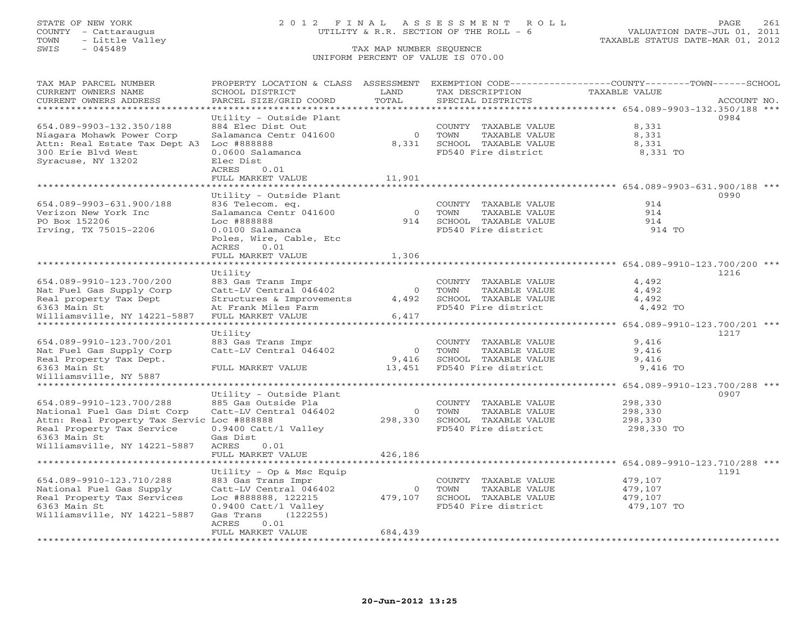## STATE OF NEW YORK 2 0 1 2 F I N A L A S S E S S M E N T R O L L PAGE 261 COUNTY - Cattaraugus UTILITY & R.R. SECTION OF THE ROLL - 6 VALUATION DATE-JUL 01, 2011

| TAX MAP PARCEL NUMBER                      | PROPERTY LOCATION & CLASS ASSESSMENT   |                | EXEMPTION CODE-----------------COUNTY-------TOWN------SCHOOL                     |                                                             |             |
|--------------------------------------------|----------------------------------------|----------------|----------------------------------------------------------------------------------|-------------------------------------------------------------|-------------|
| CURRENT OWNERS NAME                        | SCHOOL DISTRICT                        | LAND           | TAX DESCRIPTION                                                                  | TAXABLE VALUE                                               |             |
| CURRENT OWNERS ADDRESS                     | PARCEL SIZE/GRID COORD                 | TOTAL          | SPECIAL DISTRICTS                                                                |                                                             | ACCOUNT NO. |
| ********************                       | ************************************** |                | ·********************************    654.089-9903-132.350/188                 ** |                                                             |             |
|                                            | Utility - Outside Plant                |                |                                                                                  |                                                             | 0984        |
| 654.089-9903-132.350/188                   | 884 Elec Dist Out                      |                | COUNTY TAXABLE VALUE                                                             | 8,331                                                       |             |
| Niagara Mohawk Power Corp                  | Salamanca Centr 041600                 | $\circ$        | TOWN<br>TAXABLE VALUE                                                            | 8,331                                                       |             |
| Attn: Real Estate Tax Dept A3              | Loc #888888                            | 8,331          | SCHOOL TAXABLE VALUE                                                             | 8,331                                                       |             |
| 300 Erie Blvd West                         | 0.0600 Salamanca                       |                | FD540 Fire district                                                              | 8,331 TO                                                    |             |
| Syracuse, NY 13202                         | Elec Dist                              |                |                                                                                  |                                                             |             |
|                                            | ACRES<br>0.01                          |                |                                                                                  |                                                             |             |
|                                            | FULL MARKET VALUE                      | 11,901         |                                                                                  |                                                             |             |
|                                            |                                        |                |                                                                                  |                                                             |             |
|                                            | Utility - Outside Plant                |                |                                                                                  |                                                             | 0990        |
| 654.089-9903-631.900/188                   | 836 Telecom. eq.                       |                | COUNTY TAXABLE VALUE                                                             | 914                                                         |             |
| Verizon New York Inc                       | Salamanca Centr 041600                 | $\overline{0}$ | TOWN<br>TAXABLE VALUE                                                            | 914                                                         |             |
| PO Box 152206                              | Loc #888888                            | 914            | SCHOOL TAXABLE VALUE                                                             | 914                                                         |             |
| Irving, TX 75015-2206                      | 0.0100 Salamanca                       |                | FD540 Fire district                                                              | 914 TO                                                      |             |
|                                            | Poles, Wire, Cable, Etc                |                |                                                                                  |                                                             |             |
|                                            | ACRES<br>0.01                          |                |                                                                                  |                                                             |             |
|                                            | FULL MARKET VALUE                      | 1,306          |                                                                                  |                                                             |             |
|                                            |                                        |                |                                                                                  |                                                             |             |
|                                            | Utility                                |                |                                                                                  |                                                             | 1216        |
| 654.089-9910-123.700/200                   | 883 Gas Trans Impr                     |                | COUNTY TAXABLE VALUE                                                             | 4,492                                                       |             |
| Nat Fuel Gas Supply Corp                   | Catt-LV Central 046402                 | $\Omega$       | TOWN<br>TAXABLE VALUE                                                            | 4,492                                                       |             |
| Real property Tax Dept                     | Structures & Improvements              | 4,492          | SCHOOL TAXABLE VALUE                                                             | 4,492                                                       |             |
| 6363 Main St                               | At Frank Miles Farm                    |                | FD540 Fire district                                                              | 4,492 TO                                                    |             |
| Williamsville, NY 14221-5887               | FULL MARKET VALUE                      | 6,417          |                                                                                  |                                                             |             |
| ***********************                    | ***********************                |                |                                                                                  | ****************************** 654.089-9910-123.700/201 *** |             |
|                                            | Utility                                |                |                                                                                  |                                                             | 1217        |
| 654.089-9910-123.700/201                   | 883 Gas Trans Impr                     |                | COUNTY TAXABLE VALUE                                                             | 9,416                                                       |             |
| Nat Fuel Gas Supply Corp                   | Catt-LV Central 046402                 | $\overline{0}$ | TOWN<br>TAXABLE VALUE                                                            | 9,416                                                       |             |
| Real Property Tax Dept.                    |                                        | 9,416          | SCHOOL TAXABLE VALUE                                                             | 9,416                                                       |             |
| 6363 Main St                               | FULL MARKET VALUE                      | 13,451         | FD540 Fire district                                                              | 9,416 TO                                                    |             |
| Williamsville, NY 5887                     |                                        |                |                                                                                  |                                                             |             |
| ***********************                    |                                        |                |                                                                                  |                                                             |             |
|                                            | Utility - Outside Plant                |                |                                                                                  |                                                             | 0907        |
| 654.089-9910-123.700/288                   | 885 Gas Outside Pla                    |                | COUNTY TAXABLE VALUE                                                             | 298,330                                                     |             |
| National Fuel Gas Dist Corp                | Catt-LV Central 046402                 | $\Omega$       | TOWN<br>TAXABLE VALUE                                                            | 298,330                                                     |             |
| Attn: Real Property Tax Servic Loc #888888 |                                        | 298,330        | SCHOOL TAXABLE VALUE                                                             | 298,330                                                     |             |
| Real Property Tax Service                  | 0.9400 Catt/l Valley                   |                | FD540 Fire district                                                              | 298,330 TO                                                  |             |
| 6363 Main St                               | Gas Dist                               |                |                                                                                  |                                                             |             |
| Williamsville, NY 14221-5887               | ACRES<br>0.01                          |                |                                                                                  |                                                             |             |
|                                            | FULL MARKET VALUE                      | 426,186        |                                                                                  |                                                             |             |
|                                            | ******************                     |                |                                                                                  |                                                             |             |
|                                            | Utility - Op & Msc Equip               |                |                                                                                  |                                                             | 1191        |
| 654.089-9910-123.710/288                   | 883 Gas Trans Impr                     |                | COUNTY TAXABLE VALUE                                                             | 479,107                                                     |             |
| National Fuel Gas Supply                   | Catt-LV Central 046402                 | $\overline{0}$ | TOWN<br>TAXABLE VALUE                                                            | 479,107                                                     |             |
| Real Property Tax Services                 | Loc #888888, 122215                    | 479,107        | SCHOOL TAXABLE VALUE                                                             | 479,107                                                     |             |
| 6363 Main St                               | 0.9400 Catt/l Valley                   |                | FD540 Fire district                                                              | 479,107 TO                                                  |             |
| Williamsville, NY 14221-5887               | Gas Trans<br>(122255)                  |                |                                                                                  |                                                             |             |
|                                            | ACRES<br>0.01                          |                |                                                                                  |                                                             |             |
|                                            | FULL MARKET VALUE                      | 684,439        |                                                                                  |                                                             |             |
|                                            |                                        |                |                                                                                  |                                                             |             |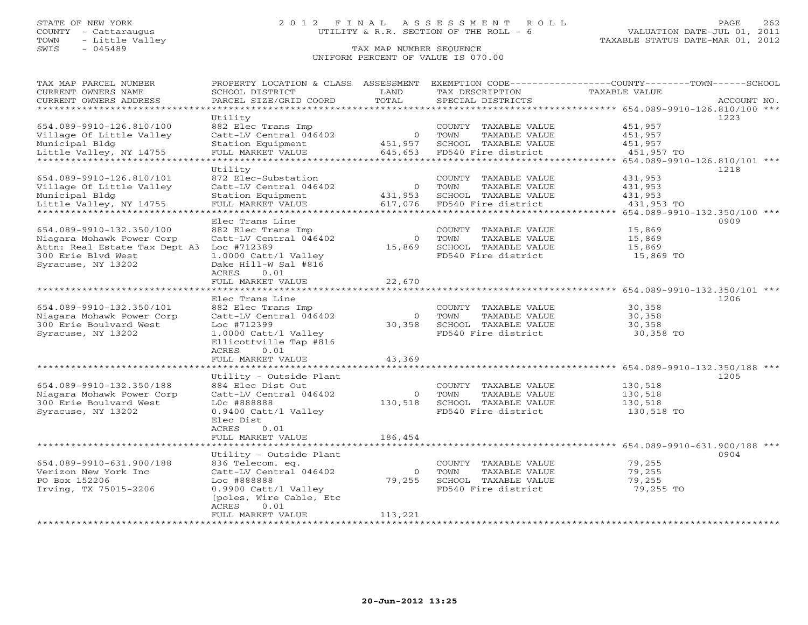## STATE OF NEW YORK 2 0 1 2 F I N A L A S S E S S M E N T R O L L PAGE 262 COUNTY - Cattaraugus UTILITY & R.R. SECTION OF THE ROLL - 6 VALUATION DATE-JUL 01, 2011

| TAX MAP PARCEL NUMBER<br>CURRENT OWNERS NAME<br>CURRENT OWNERS ADDRESS | PROPERTY LOCATION & CLASS ASSESSMENT<br>SCHOOL DISTRICT<br>PARCEL SIZE/GRID COORD | LAND<br>TOTAL             | TAX DESCRIPTION<br>SPECIAL DISTRICTS          | EXEMPTION CODE-----------------COUNTY-------TOWN------SCHOOL<br><b>TAXABLE VALUE</b> | ACCOUNT NO. |
|------------------------------------------------------------------------|-----------------------------------------------------------------------------------|---------------------------|-----------------------------------------------|--------------------------------------------------------------------------------------|-------------|
| **********************                                                 |                                                                                   |                           |                                               |                                                                                      |             |
|                                                                        | Utility                                                                           |                           |                                               | 1223                                                                                 |             |
| 654.089-9910-126.810/100                                               | 882 Elec Trans Imp                                                                |                           | COUNTY TAXABLE VALUE                          | 451,957                                                                              |             |
| Village Of Little Valley                                               | Catt-LV Central 046402                                                            | $\overline{0}$            | TOWN<br>TAXABLE VALUE                         | 451,957                                                                              |             |
| Municipal Bldg                                                         | Station Equipment                                                                 | 451,957                   | SCHOOL TAXABLE VALUE                          | 451,957                                                                              |             |
| Little Valley, NY 14755                                                | FULL MARKET VALUE                                                                 | 645,653                   | FD540 Fire district                           | 451,957 TO                                                                           |             |
| *************************                                              | ***********************                                                           | * * * * * * * * * * * *   |                                               |                                                                                      |             |
|                                                                        | Utility                                                                           |                           |                                               | 1218                                                                                 |             |
| 654.089-9910-126.810/101                                               | 872 Elec-Substation                                                               |                           | COUNTY TAXABLE VALUE                          | 431,953                                                                              |             |
| Village Of Little Valley                                               | Catt-LV Central 046402<br>Station Equipment                                       | $\overline{0}$<br>431,953 | TOWN<br>TAXABLE VALUE<br>SCHOOL TAXABLE VALUE | 431,953                                                                              |             |
| Municipal Bldg<br>Little Valley, NY 14755                              | FULL MARKET VALUE                                                                 | 617,076                   | FD540 Fire district                           | 431,953<br>431,953 TO                                                                |             |
| ************************                                               | *********************                                                             | ******                    |                                               |                                                                                      |             |
|                                                                        | Elec Trans Line                                                                   |                           |                                               | 0909                                                                                 |             |
| 654.089-9910-132.350/100                                               | 882 Elec Trans Imp                                                                |                           | COUNTY TAXABLE VALUE                          | 15,869                                                                               |             |
| Niagara Mohawk Power Corp                                              | Catt-LV Central 046402                                                            | $\circ$                   | TAXABLE VALUE<br>TOWN                         | 15,869                                                                               |             |
| Attn: Real Estate Tax Dept A3                                          | Loc #712389                                                                       | 15,869                    | SCHOOL TAXABLE VALUE                          | 15,869                                                                               |             |
| 300 Erie Blvd West                                                     | 1.0000 Catt/l Valley                                                              |                           | FD540 Fire district                           | 15,869 TO                                                                            |             |
| Syracuse, NY 13202                                                     | Dake Hill-W Sal #816                                                              |                           |                                               |                                                                                      |             |
|                                                                        | ACRES<br>0.01                                                                     |                           |                                               |                                                                                      |             |
|                                                                        | FULL MARKET VALUE                                                                 | 22,670                    |                                               |                                                                                      |             |
|                                                                        |                                                                                   |                           |                                               | 654.089-9910-132.350/101 ***                                                         |             |
|                                                                        | Elec Trans Line                                                                   |                           |                                               | 1206                                                                                 |             |
| 654.089-9910-132.350/101                                               | 882 Elec Trans Imp                                                                |                           | COUNTY TAXABLE VALUE                          | 30,358                                                                               |             |
| Niagara Mohawk Power Corp                                              | Catt-LV Central 046402                                                            | $\circ$                   | TOWN<br>TAXABLE VALUE                         | 30,358                                                                               |             |
| 300 Erie Boulvard West                                                 | Loc #712399                                                                       | 30,358                    | SCHOOL TAXABLE VALUE                          | 30,358                                                                               |             |
| Syracuse, NY 13202                                                     | 1.0000 Catt/l Valley                                                              |                           | FD540 Fire district                           | 30,358 TO                                                                            |             |
|                                                                        | Ellicottville Tap #816<br>0.01                                                    |                           |                                               |                                                                                      |             |
|                                                                        | ACRES<br>FULL MARKET VALUE                                                        | 43,369                    |                                               |                                                                                      |             |
|                                                                        |                                                                                   |                           |                                               | ******************* 654.089-9910-132.350/188 ***                                     |             |
|                                                                        | Utility - Outside Plant                                                           |                           |                                               | 1205                                                                                 |             |
| 654.089-9910-132.350/188                                               | 884 Elec Dist Out                                                                 |                           | COUNTY TAXABLE VALUE                          | 130,518                                                                              |             |
| Niagara Mohawk Power Corp                                              | Catt-LV Central 046402                                                            | $\circ$                   | TOWN<br>TAXABLE VALUE                         | 130,518                                                                              |             |
| 300 Erie Boulvard West                                                 | L0c #888888                                                                       | 130,518                   | SCHOOL TAXABLE VALUE                          | 130,518                                                                              |             |
| Syracuse, NY 13202                                                     | 0.9400 Catt/l Valley                                                              |                           | FD540 Fire district                           | 130,518 TO                                                                           |             |
|                                                                        | Elec Dist                                                                         |                           |                                               |                                                                                      |             |
|                                                                        | ACRES<br>0.01                                                                     |                           |                                               |                                                                                      |             |
|                                                                        | FULL MARKET VALUE                                                                 | 186,454                   |                                               |                                                                                      |             |
|                                                                        | **************                                                                    |                           |                                               | 654.089-9910-631.900/188 ***                                                         |             |
|                                                                        | Utility - Outside Plant                                                           |                           |                                               | 0904                                                                                 |             |
| 654.089-9910-631.900/188                                               | 836 Telecom. eq.                                                                  |                           | COUNTY TAXABLE VALUE                          | 79,255                                                                               |             |
| Verizon New York Inc                                                   | Catt-LV Central 046402                                                            | $\overline{0}$            | TOWN<br>TAXABLE VALUE                         | 79,255                                                                               |             |
| PO Box 152206<br>Irving, TX 75015-2206                                 | Loc #888888<br>0.9900 Catt/l Valley                                               | 79,255                    | SCHOOL TAXABLE VALUE<br>FD540 Fire district   | 79,255<br>79,255 TO                                                                  |             |
|                                                                        | [poles, Wire Cable, Etc                                                           |                           |                                               |                                                                                      |             |
|                                                                        | ACRES<br>0.01                                                                     |                           |                                               |                                                                                      |             |
|                                                                        | FULL MARKET VALUE                                                                 | 113,221                   |                                               |                                                                                      |             |
| ***********************                                                |                                                                                   |                           |                                               |                                                                                      |             |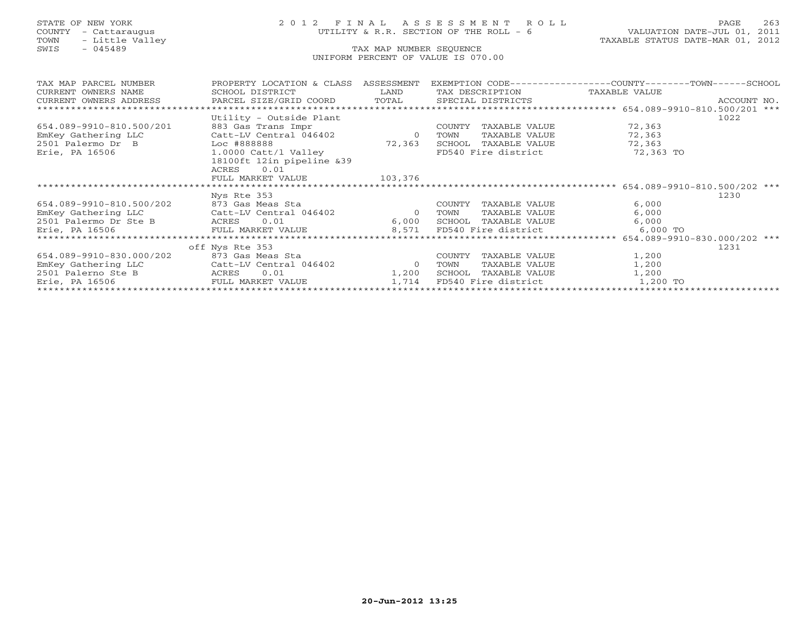# STATE OF NEW YORK 2 0 1 2 F I N A L A S S E S S M E N T R O L L PAGE 263 COUNTY - Cattaraugus UTILITY & R.R. SECTION OF THE ROLL - 6 VALUATION DATE-JUL 01, 2011

| TAX MAP PARCEL NUMBER              | PROPERTY LOCATION & CLASS    | ASSESSMENT     |                               | EXEMPTION CODE----------------COUNTY-------TOWN------SCHOOL |
|------------------------------------|------------------------------|----------------|-------------------------------|-------------------------------------------------------------|
| CURRENT OWNERS NAME                | SCHOOL DISTRICT              | LAND           | TAX DESCRIPTION TAXABLE VALUE |                                                             |
| CURRENT OWNERS ADDRESS             | PARCEL SIZE/GRID COORD TOTAL |                | SPECIAL DISTRICTS             | ACCOUNT NO.                                                 |
|                                    |                              |                |                               | ******************* 654.089-9910-810.500/201 ***            |
|                                    | Utility - Outside Plant      |                |                               | 1022                                                        |
| 654.089-9910-810.500/201           | 883 Gas Trans Impr           |                | COUNTY<br>TAXABLE VALUE       | 72,363                                                      |
| EmKey Gathering LLC                | Catt-LV Central 046402       | $\overline{0}$ | TOWN<br>TAXABLE VALUE         | 72,363                                                      |
| 2501 Palermo Dr B                  | Loc #888888                  | 72,363         | SCHOOL TAXABLE VALUE          | 72,363                                                      |
| Erie, PA 16506                     | 1.0000 Catt/l Valley         |                | FD540 Fire district           | 72,363 TO                                                   |
|                                    | 18100ft 12in pipeline &39    |                |                               |                                                             |
|                                    | 0.01<br>ACRES                |                |                               |                                                             |
|                                    | FULL MARKET VALUE            | 103,376        |                               |                                                             |
|                                    |                              |                |                               |                                                             |
|                                    | Nys Rte 353                  |                |                               | 1230                                                        |
| 654.089-9910-810.500/202           | 873 Gas Meas Sta             |                | COUNTY<br>TAXABLE VALUE       | 6,000                                                       |
| EmKey Gathering LLC                | Catt-LV Central 046402       | $\overline{0}$ | TOWN<br>TAXABLE VALUE         | 6,000                                                       |
| 2501 Palermo Dr Ste B              | ACRES 0.01                   | 6,000          | SCHOOL TAXABLE VALUE          | 6,000                                                       |
| Erie, PA 16506                     | FULL MARKET VALUE            | 8,571          | FD540 Fire district           | 6,000 TO                                                    |
|                                    |                              |                |                               | 654.089-9910-830.000/202 ***                                |
|                                    | off Nys Rte 353              |                |                               | 1231                                                        |
| 654.089-9910-830.000/202           | 873 Gas Meas Sta             |                | COUNTY<br>TAXABLE VALUE       | 1,200                                                       |
| EmKey Gathering LLC                | Catt-LV Central 046402       | $\overline{0}$ | TOWN<br>TAXABLE VALUE         | 1,200                                                       |
| 2501 Palerno Ste B<br><b>ACRES</b> | 0.01                         | 1,200          | SCHOOL<br>TAXABLE VALUE       | 1,200                                                       |
| Erie, PA 16506                     | FULL MARKET VALUE            | 1,714          | FD540 Fire district           | 1,200 TO                                                    |
|                                    |                              |                |                               |                                                             |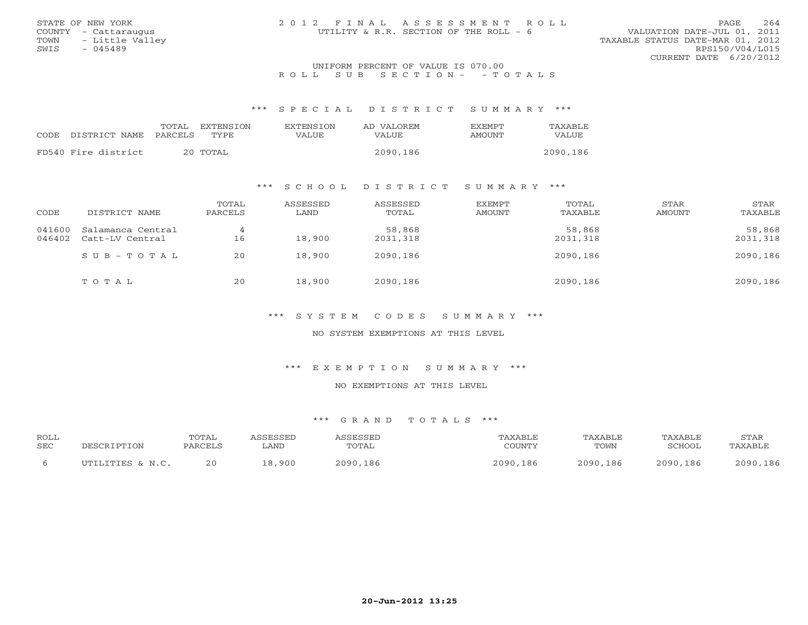| STATE OF NEW YORK                   | 2012 FINAL ASSESSMENT ROLL             | 264<br>PAGE.                     |  |  |  |  |  |
|-------------------------------------|----------------------------------------|----------------------------------|--|--|--|--|--|
| COUNTY - Cattaraugus                | UTILITY & R.R. SECTION OF THE ROLL - 6 | VALUATION DATE-JUL 01, 2011      |  |  |  |  |  |
| TOWN - Little Valley                |                                        | TAXABLE STATUS DATE-MAR 01, 2012 |  |  |  |  |  |
| SWTS<br>$-045489$                   |                                        | RPS150/V04/L015                  |  |  |  |  |  |
|                                     |                                        | CURRENT DATE $6/20/2012$         |  |  |  |  |  |
| INITEOPM PERCENT OF VALUE IS 070 00 |                                        |                                  |  |  |  |  |  |

## UNIFORM PERCENT OF VALUE IS 070.00 R O L L S U B S E C T I O N - - T O T A L S

\*\*\* S P E C I A L D I S T R I C T S U M M A R Y \*\*\*

| CODE. | DISTRICT NAME PARCELS | TOTAL    | EXTENSTON<br>TYPE. | <b>EXTENSION</b><br>VALUE | AD VALOREM<br><b>VALUE</b> | <b>EXEMPT</b><br>AMOUNT | TAXABLE<br>VALUE |
|-------|-----------------------|----------|--------------------|---------------------------|----------------------------|-------------------------|------------------|
|       |                       |          |                    |                           |                            |                         |                  |
|       | FD540 Fire district   | 20 TOTAL |                    |                           | 2090,186                   |                         | 2090,186         |

## \*\*\* S C H O O L D I S T R I C T S U M M A R Y \*\*\*

| CODE             | DISTRICT NAME                        | TOTAL<br>PARCELS | ASSESSED<br>LAND | ASSESSED<br>TOTAL  | <b>EXEMPT</b><br>AMOUNT | TOTAL<br>TAXABLE   | STAR<br>AMOUNT | STAR<br>TAXABLE    |
|------------------|--------------------------------------|------------------|------------------|--------------------|-------------------------|--------------------|----------------|--------------------|
| 041600<br>046402 | Salamanca Central<br>Catt-LV Central | 16               | 18,900           | 58,868<br>2031,318 |                         | 58,868<br>2031,318 |                | 58,868<br>2031,318 |
|                  | $SUB - TO T AL$                      | 20               | 18,900           | 2090,186           |                         | 2090,186           |                | 2090,186           |
|                  | TOTAL                                | 20               | 18,900           | 2090,186           |                         | 2090,186           |                | 2090,186           |

\*\*\* S Y S T E M C O D E S S U M M A R Y \*\*\*

NO SYSTEM EXEMPTIONS AT THIS LEVEL

\*\*\* E X E M P T I O N S U M M A R Y \*\*\*

NO EXEMPTIONS AT THIS LEVEL

| <b>ROLL</b> |                  | TOTAL   |        |              | ™AXABLE       | TAXABLE  | TAXABLE  | STAR     |
|-------------|------------------|---------|--------|--------------|---------------|----------|----------|----------|
| SEC         | DESCRIPTION      | PARCELS | ∟AND   | TOTAL        | COUNTY        | TOWN     | SCHOOL   | TAXABLE  |
|             | UTILITIES & N.C. | 20      | 18,900 | 2090.<br>186 | 2090<br>. 186 | 2090,186 | 2090,186 | 2090,186 |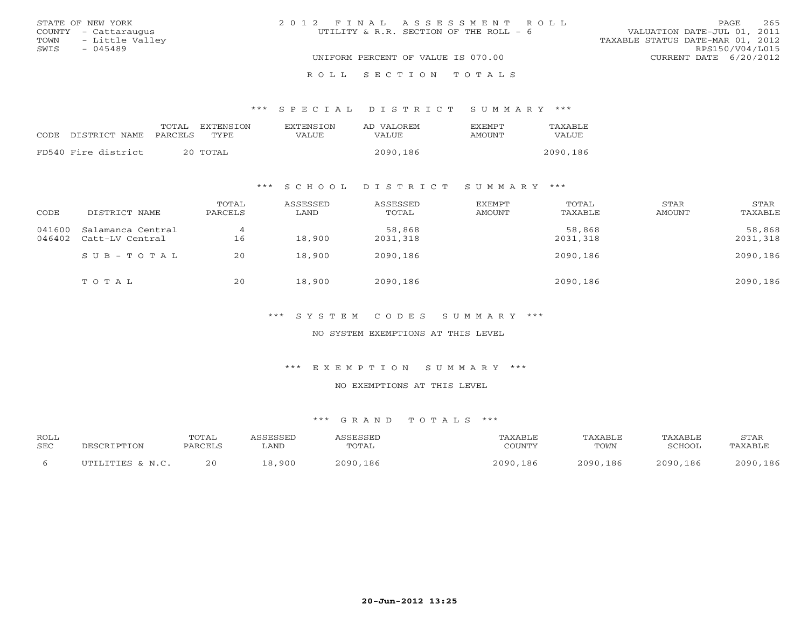|      | STATE OF NEW YORK    | 2012 FINAL ASSESSMENT ROLL             | 265<br>PAGE                      |
|------|----------------------|----------------------------------------|----------------------------------|
|      | COUNTY - Cattaraugus | UTILITY & R.R. SECTION OF THE ROLL - 6 | VALUATION DATE-JUL 01, 2011      |
| TOWN | - Little Valley      |                                        | TAXABLE STATUS DATE-MAR 01, 2012 |
| SWIS | $-045489$            |                                        | RPS150/V04/L015                  |
|      |                      | UNIFORM PERCENT OF VALUE IS 070.00     | CURRENT DATE 6/20/2012           |
|      |                      | ROLL SECTION TOTALS                    |                                  |

## \*\*\* S P E C I A L D I S T R I C T S U M M A R Y \*\*\*

|                     | TOTAL   | EXTENSION | <b>EXTENSION</b> | AD VALOREM | <b>EXEMPT</b> | TAXABLE  |
|---------------------|---------|-----------|------------------|------------|---------------|----------|
| CODE DISTRICT NAME  | PARCELS | TYPE.     | VALUE            | VALUE      | AMOUNT        | VALUE    |
| FD540 Fire district |         | 20 TOTAL  |                  | 2090,186   |               | 2090,186 |
|                     |         |           |                  |            |               |          |

## \*\*\* S C H O O L D I S T R I C T S U M M A R Y \*\*\*

| CODE             | DISTRICT NAME                        | TOTAL<br>PARCELS | ASSESSED<br>LAND | ASSESSED<br>TOTAL  | <b>EXEMPT</b><br>AMOUNT | TOTAL<br>TAXABLE   | STAR<br>AMOUNT | STAR<br>TAXABLE    |
|------------------|--------------------------------------|------------------|------------------|--------------------|-------------------------|--------------------|----------------|--------------------|
| 041600<br>046402 | Salamanca Central<br>Catt-LV Central | 4<br>16          | 18,900           | 58,868<br>2031,318 |                         | 58,868<br>2031,318 |                | 58,868<br>2031,318 |
|                  | $S \cup B - T \cup T A$              | 20               | 18,900           | 2090,186           |                         | 2090,186           |                | 2090,186           |
|                  | TOTAL                                | 20               | 18,900           | 2090,186           |                         | 2090,186           |                | 2090,186           |

\*\*\* S Y S T E M C O D E S S U M M A R Y \*\*\*

NO SYSTEM EXEMPTIONS AT THIS LEVEL

\*\*\* E X E M P T I O N S U M M A R Y \*\*\*

NO EXEMPTIONS AT THIS LEVEL

| ROLL       |                  | TOTAL   | SSESSED | <b>SCRCCET</b> | AXABLE   | TAXABLE  | TAXABLE  | STAR     |
|------------|------------------|---------|---------|----------------|----------|----------|----------|----------|
| <b>SEC</b> | DESCRIPTION      | PARCELS | LAND    | TOTAL          | COUNTY   | TOWN     | 3CHOOL   | TAXABLE  |
|            | UTILITIES & N.C. | 20      | 18,900  | 2090,186       | 2090,186 | 2090,186 | 2090,186 | 2090,186 |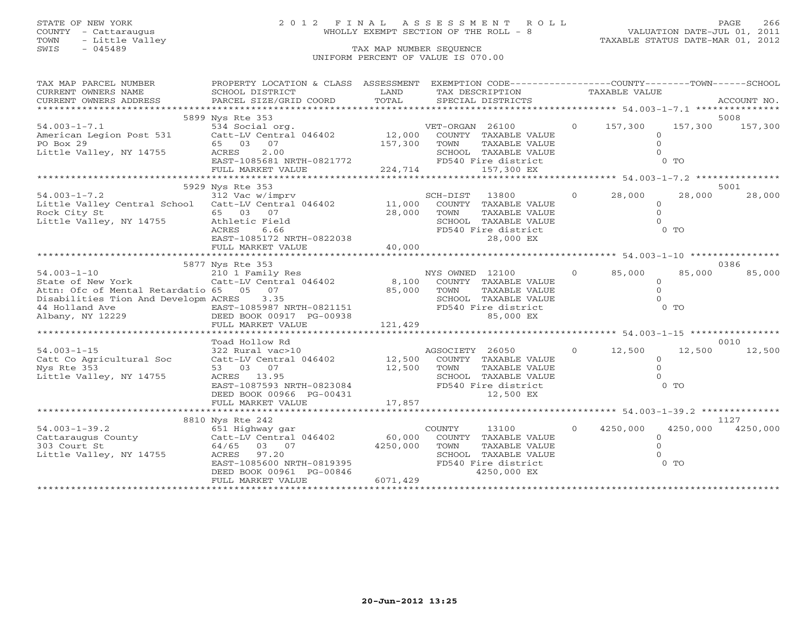## STATE OF NEW YORK 2 0 1 2 F I N A L A S S E S S M E N T R O L L PAGE 266 COUNTY - Cattaraugus WHOLLY EXEMPT SECTION OF THE ROLL - 8 VALUATION DATE-JUL 01, 2011

| TAX MAP PARCEL NUMBER                                                             | PROPERTY LOCATION & CLASS ASSESSMENT                                                              |               | EXEMPTION CODE-----------------COUNTY-------TOWN------SCHOOL |                |               |        |                   |
|-----------------------------------------------------------------------------------|---------------------------------------------------------------------------------------------------|---------------|--------------------------------------------------------------|----------------|---------------|--------|-------------------|
| CURRENT OWNERS NAME                                                               | SCHOOL DISTRICT                                                                                   | LAND<br>TOTAL | TAX DESCRIPTION                                              |                | TAXABLE VALUE |        |                   |
| CURRENT OWNERS ADDRESS                                                            | PARCEL SIZE/GRID COORD                                                                            |               | SPECIAL DISTRICTS                                            |                |               |        | ACCOUNT NO.       |
|                                                                                   | 5899 Nys Rte 353                                                                                  |               |                                                              |                |               |        | 5008              |
| $54.003 - 1 - 7.1$                                                                | 534 Social org.                                                                                   |               | VET-ORGAN 26100 0 157,300                                    |                |               |        | 157,300 157,300   |
| American Legion Post 531 Catt-LV Central 046402 12,000                            |                                                                                                   |               | COUNTY TAXABLE VALUE                                         |                | $\Omega$      |        |                   |
| PO Box 29                                                                         | 65 03 07                                                                                          | 157,300 TOWN  | TAXABLE VALUE                                                |                | $\Omega$      |        |                   |
| Little Valley, NY 14755                                                           | 2.00<br>ACRES                                                                                     |               | SCHOOL TAXABLE VALUE                                         |                | $\cap$        |        |                   |
|                                                                                   |                                                                                                   |               |                                                              |                |               |        |                   |
|                                                                                   |                                                                                                   |               |                                                              |                |               |        |                   |
|                                                                                   | 5929 Nys Rte 353                                                                                  |               |                                                              |                |               |        | 5001              |
| $54.003 - 1 - 7.2$                                                                | 312 Vac w/imprv                                                                                   |               | SCH-DIST 13800                                               | $\Omega$       | 28,000        | 28,000 | 28,000            |
| Little Valley Central School Catt-LV Central $046402$ 11,000                      |                                                                                                   |               | COUNTY TAXABLE VALUE                                         |                | $\circ$       |        |                   |
| Rock City St                                                                      | 65 03 07                                                                                          | 28,000        | TOWN<br>TAXABLE VALUE                                        |                | $\Omega$      |        |                   |
| Little Valley, NY 14755                                                           |                                                                                                   |               |                                                              |                |               |        |                   |
|                                                                                   |                                                                                                   |               |                                                              |                |               |        |                   |
|                                                                                   |                                                                                                   |               |                                                              |                |               |        |                   |
|                                                                                   |                                                                                                   |               |                                                              |                |               |        |                   |
|                                                                                   |                                                                                                   |               |                                                              |                |               |        |                   |
|                                                                                   | 5877 Nys Rte 353                                                                                  |               | NYS OWNED 12100                                              | $\overline{0}$ | 85,000        | 85,000 | 0386<br>85,000    |
| 54.003-1-10<br>State of New York<br>Catt-LV Central 046402                        |                                                                                                   | 8,100         | COUNTY TAXABLE VALUE                                         |                | $\circ$       |        |                   |
| Attn: Ofc of Mental Retardatio 65 05 07                                           |                                                                                                   | 85,000        | TOWN<br>TAXABLE VALUE                                        |                | $\circ$       |        |                   |
| Disabilities Tion And Developm ACRES 3.35                                         |                                                                                                   |               | SCHOOL TAXABLE VALUE                                         |                | $\Omega$      |        |                   |
| 44 Holland Ave                                                                    |                                                                                                   |               | FD540 Fire district                                          |                |               | $0$ TO |                   |
| Albany, NY 12229                                                                  | EAST-1085987 NRTH-0821151<br>DEED BOOK 00917 PG-00938                                             |               | 85,000 EX                                                    |                |               |        |                   |
|                                                                                   | FULL MARKET VALUE                                                                                 | 121,429       |                                                              |                |               |        |                   |
|                                                                                   |                                                                                                   |               |                                                              |                |               |        |                   |
|                                                                                   | Toad Hollow Rd                                                                                    |               |                                                              |                |               |        | 0010              |
| $54.003 - 1 - 15$                                                                 | 322 Rural vac>10                                                                                  |               | AGSOCIETY 26050                                              | $\overline{0}$ | 12,500        | 12,500 | 12,500            |
| Catt Co Agricultural Soc                                                          | Catt-LV Central 046402 12,500                                                                     |               | COUNTY TAXABLE VALUE                                         |                | $\circ$       |        |                   |
| Nys Rte 353                                                                       | 53 03 07                                                                                          | 12,500        | TOWN<br>TAXABLE VALUE                                        |                | $\Omega$      |        |                   |
| Little Valley, NY 14755                                                           |                                                                                                   |               | SCHOOL TAXABLE VALUE                                         |                | $\cap$        |        |                   |
|                                                                                   |                                                                                                   |               | FD540 Fire district                                          |                |               | $0$ TO |                   |
|                                                                                   | ACRES 13.95<br>EAST-1087593 NRTH-0823084<br>DEED BOOK 00966 PG-00431<br>PULL MARKER WALKER WALKER |               | 12,500 EX                                                    |                |               |        |                   |
|                                                                                   |                                                                                                   |               |                                                              |                |               |        |                   |
|                                                                                   | 8810 Nys Rte 242                                                                                  |               |                                                              |                |               |        | 1127              |
|                                                                                   |                                                                                                   |               | COUNTY<br>13100                                              | $\circ$        | 4250,000      |        | 4250,000 4250,000 |
| 54.003-1-39.2 651 Highway gar<br>Cattaraugus County Catt-LV Central 046402 60,000 |                                                                                                   |               | COUNTY TAXABLE VALUE                                         |                | $\Omega$      |        |                   |
| 303 Court St                                                                      | 64/65 03 07                                                                                       | 4250,000      | TOWN<br>TAXABLE VALUE                                        |                | $\Omega$      |        |                   |
| Little Valley, NY 14755                                                           | ACRES 97.20<br>EAST-1085600 NRTH-0819395                                                          |               | SCHOOL TAXABLE VALUE                                         |                |               |        |                   |
|                                                                                   |                                                                                                   |               | FD540 Fire district                                          |                |               | $0$ TO |                   |
|                                                                                   | DEED BOOK 00961 PG-00846                                                                          |               | 4250,000 EX                                                  |                |               |        |                   |
|                                                                                   | FULL MARKET VALUE                                                                                 | 6071,429      |                                                              |                |               |        |                   |
|                                                                                   |                                                                                                   |               |                                                              |                |               |        |                   |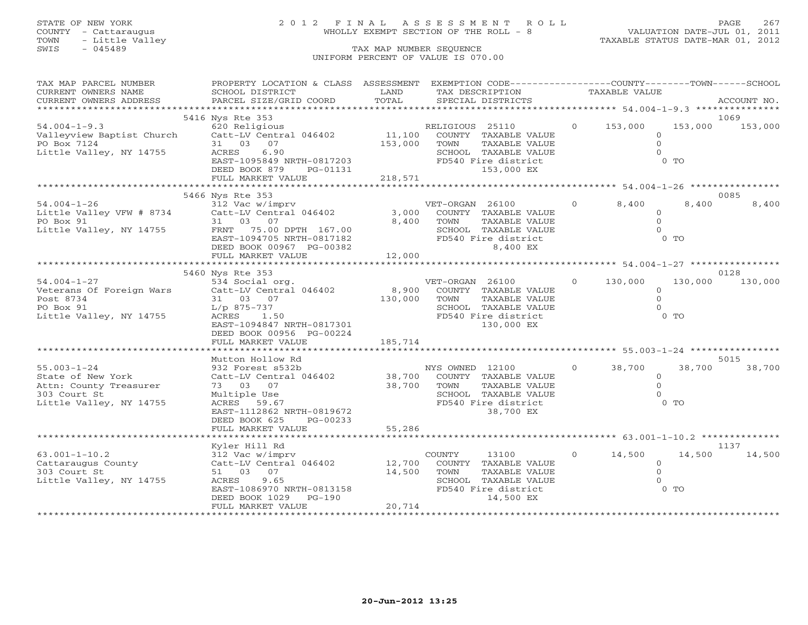# STATE OF NEW YORK 2 0 1 2 F I N A L A S S E S S M E N T R O L L PAGE 267 COUNTY - Cattaraugus WHOLLY EXEMPT SECTION OF THE ROLL - 8 VALUATION DATE-JUL 01, 2011

| TAX MAP PARCEL NUMBER<br>CURRENT OWNERS NAME | PROPERTY LOCATION & CLASS ASSESSMENT<br>SCHOOL DISTRICT                                                                                                                                                                       | LAND             | EXEMPTION CODE----------------COUNTY-------TOWN------SCHOOL<br>TAX DESCRIPTION |                   | TAXABLE VALUE             |         |                 |
|----------------------------------------------|-------------------------------------------------------------------------------------------------------------------------------------------------------------------------------------------------------------------------------|------------------|--------------------------------------------------------------------------------|-------------------|---------------------------|---------|-----------------|
|                                              |                                                                                                                                                                                                                               |                  |                                                                                |                   |                           |         |                 |
|                                              | .CURRENT OWNERS ADDRESS PARCEL SIZE/GRID COORD TOTAL SPECIAL DISTRICTS ACCOUNT NO ACCOUNT NO ACCOUNT NO ARE THE RAND RESOLUT AS THE SERVER ASSESS THAT A SERVER A SERVER AND RESOLUT TO A THAT A THE SERVER OF THE SERVER AND |                  |                                                                                |                   |                           |         |                 |
|                                              | 5416 Nys Rte 353                                                                                                                                                                                                              |                  |                                                                                |                   |                           |         | 1069            |
| $54.004 - 1 - 9.3$                           | 620 Religious                                                                                                                                                                                                                 |                  |                                                                                | $\overline{0}$    | 153,000                   |         | 153,000 153,000 |
|                                              | 34.004-1-9.3<br>Valleyview Baptist Church Catt-LV Central 046402<br>PO Box 7124                                                                                                                                               |                  | RELIGIOUS 25110<br>11,100 COUNTY TAXABLE VALUE                                 |                   | $\circ$                   |         |                 |
| PO Box 7124                                  | 31 03 07                                                                                                                                                                                                                      | 153,000          | TOWN<br>TAXABLE VALUE                                                          |                   | $\circ$                   |         |                 |
| Little Valley, NY 14755                      |                                                                                                                                                                                                                               |                  | SCHOOL TAXABLE VALUE                                                           |                   | $\Omega$                  |         |                 |
|                                              | 31 03 0.9<br>RCRES 6.90<br>EAST-1095849 NRTH-0817203                                                                                                                                                                          |                  | FD540 Fire district                                                            |                   |                           | $0$ TO  |                 |
|                                              | DEED BOOK 879 PG-01131                                                                                                                                                                                                        |                  | 153,000 EX                                                                     |                   |                           |         |                 |
|                                              |                                                                                                                                                                                                                               |                  |                                                                                |                   |                           |         |                 |
|                                              |                                                                                                                                                                                                                               |                  |                                                                                |                   |                           |         |                 |
|                                              | 5466 Nys Rte 353                                                                                                                                                                                                              |                  |                                                                                |                   |                           |         | 0085            |
| $54.004 - 1 - 26$                            | 312 Vac w/imprv                                                                                                                                                                                                               |                  | VET-ORGAN 26100                                                                | $\circ$           | 8,400                     | 8,400   | 8,400           |
|                                              | Little Valley VFW # 8734 Catt-LV Central 046402                                                                                                                                                                               | 3,000            | COUNTY TAXABLE VALUE                                                           |                   | $\circ$                   |         |                 |
| PO Box 91                                    | 31 03 07                                                                                                                                                                                                                      | 8,400            | TOWN<br>TAXABLE VALUE                                                          |                   | $\Omega$                  |         |                 |
| Little Valley, NY 14755                      | FRNT 75.00 DPTH 167.00                                                                                                                                                                                                        |                  | SCHOOL TAXABLE VALUE                                                           |                   | $\Omega$                  |         |                 |
|                                              | EAST-1094705 NRTH-0817182                                                                                                                                                                                                     |                  | FD540 Fire district                                                            |                   |                           | $0$ TO  |                 |
|                                              | DEED BOOK 00967 PG-00382                                                                                                                                                                                                      |                  | 8,400 EX                                                                       |                   |                           |         |                 |
|                                              | FULL MARKET VALUE                                                                                                                                                                                                             | 12,000           |                                                                                |                   |                           |         |                 |
|                                              |                                                                                                                                                                                                                               |                  |                                                                                |                   |                           |         |                 |
|                                              | 5460 Nys Rte 353                                                                                                                                                                                                              |                  |                                                                                |                   |                           |         | 0128            |
| $54.004 - 1 - 27$                            | 534 Social org.                                                                                                                                                                                                               |                  | VET-ORGAN 26100                                                                |                   | $0 \t 130,000$            | 130,000 | 130,000         |
| Veterans Of Foreign Wars                     | Catt-LV Central 046402                                                                                                                                                                                                        | 8,900            | COUNTY TAXABLE VALUE                                                           |                   | $\circ$                   |         |                 |
| Post 8734                                    | 31 03 07                                                                                                                                                                                                                      | 130,000          | TOWN<br>TAXABLE VALUE                                                          |                   | $\Omega$                  |         |                 |
| PO Box 91                                    | $L/p$ 875-737<br>ACRES                                                                                                                                                                                                        |                  | SCHOOL TAXABLE VALUE                                                           |                   | $\Omega$                  |         |                 |
| Little Valley, NY 14755                      | ACRES 1.50                                                                                                                                                                                                                    |                  | FD540 Fire district                                                            |                   |                           | $0$ TO  |                 |
|                                              | EAST-1094847 NRTH-0817301                                                                                                                                                                                                     |                  | 130,000 EX                                                                     |                   |                           |         |                 |
|                                              | DEED BOOK 00956 PG-00224                                                                                                                                                                                                      |                  |                                                                                |                   |                           |         |                 |
|                                              |                                                                                                                                                                                                                               |                  |                                                                                |                   |                           |         |                 |
|                                              |                                                                                                                                                                                                                               |                  |                                                                                |                   |                           |         |                 |
|                                              | Mutton Hollow Rd                                                                                                                                                                                                              |                  |                                                                                | $0 \qquad \qquad$ |                           |         | 5015            |
| $55.003 - 1 - 24$                            | 932 Forest s532b<br>Catt-LV Central 046402                                                                                                                                                                                    |                  | NYS OWNED 12100                                                                |                   | 38,700                    | 38,700  | 38,700          |
| State of New York<br>Attn: County Treasurer  | 73 03 07                                                                                                                                                                                                                      | 38,700<br>38,700 | COUNTY TAXABLE VALUE<br>TOWN<br>TAXABLE VALUE                                  |                   | $\overline{0}$<br>$\circ$ |         |                 |
| 303 Court St                                 | Multiple Use                                                                                                                                                                                                                  |                  | SCHOOL TAXABLE VALUE                                                           |                   | $\Omega$                  |         |                 |
| Little Valley, NY 14755                      | ACRES 59.67                                                                                                                                                                                                                   |                  | FD540 Fire district                                                            |                   |                           | $0$ TO  |                 |
|                                              | EAST-1112862 NRTH-0819672                                                                                                                                                                                                     |                  | 38,700 EX                                                                      |                   |                           |         |                 |
|                                              | DEED BOOK 625<br>PG-00233                                                                                                                                                                                                     |                  |                                                                                |                   |                           |         |                 |
|                                              | FULL MARKET VALUE                                                                                                                                                                                                             | 55,286           |                                                                                |                   |                           |         |                 |
|                                              |                                                                                                                                                                                                                               |                  |                                                                                |                   |                           |         |                 |
|                                              | Kyler Hill Rd                                                                                                                                                                                                                 |                  |                                                                                |                   |                           |         | 1137            |
| $63.001 - 1 - 10.2$                          | 312 Vac w/imprv                                                                                                                                                                                                               |                  | 13100 0 14,500<br>COUNTY                                                       |                   |                           | 14,500  | 14,500          |
| Cattaraugus County                           |                                                                                                                                                                                                                               |                  | COUNTY TAXABLE VALUE                                                           |                   | $\circ$                   |         |                 |
| 303 Court St                                 | Catt-LV Central 046402 12,700<br>51 03 07 14,500                                                                                                                                                                              |                  | TAXABLE VALUE<br>TOWN                                                          |                   | $\circ$                   |         |                 |
| Little Valley, NY 14755                      | 9.65<br>ACRES                                                                                                                                                                                                                 |                  | SCHOOL TAXABLE VALUE                                                           |                   | $\Omega$                  |         |                 |
|                                              | ACRES 9.65<br>EAST-1086970 NRTH-0813158                                                                                                                                                                                       |                  | FD540 Fire district                                                            |                   |                           | $0$ TO  |                 |
|                                              | DEED BOOK 1029<br>$PG-190$                                                                                                                                                                                                    |                  | 14,500 EX                                                                      |                   |                           |         |                 |
|                                              | FULL MARKET VALUE                                                                                                                                                                                                             | 20,714           |                                                                                |                   |                           |         |                 |
|                                              |                                                                                                                                                                                                                               |                  |                                                                                |                   |                           |         |                 |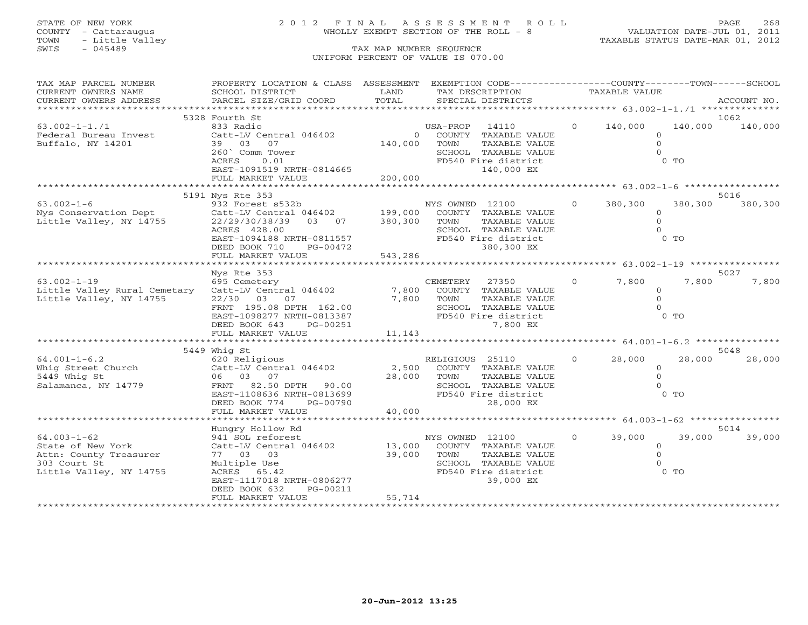# STATE OF NEW YORK 2 0 1 2 F I N A L A S S E S S M E N T R O L L PAGE 268 COUNTY - Cattaraugus WHOLLY EXEMPT SECTION OF THE ROLL - 8 VALUATION DATE-JUL 01, 2011

| TAX MAP PARCEL NUMBER        | PROPERTY LOCATION & CLASS ASSESSMENT EXEMPTION CODE---------------COUNTY-------TOWN-----SCHOOL |          |                              |                |                             |          |             |
|------------------------------|------------------------------------------------------------------------------------------------|----------|------------------------------|----------------|-----------------------------|----------|-------------|
| CURRENT OWNERS NAME          | SCHOOL DISTRICT                                                                                | LAND     | TAX DESCRIPTION              |                | TAXABLE VALUE               |          |             |
| CURRENT OWNERS ADDRESS       | PARCEL SIZE/GRID COORD                                                                         | TOTAL    | SPECIAL DISTRICTS            |                |                             |          | ACCOUNT NO. |
|                              |                                                                                                |          |                              |                |                             |          |             |
|                              | 5328 Fourth St                                                                                 |          |                              |                |                             |          | 1062        |
| $63.002 - 1 - 1.71$          | 833 Radio                                                                                      |          | USA-PROP<br>14110            | $\overline{0}$ | 140,000                     | 140,000  | 140,000     |
| Federal Bureau Invest        | Catt-LV Central 046402                                                                         | $\Omega$ | COUNTY TAXABLE VALUE         |                |                             | $\Omega$ |             |
| Buffalo, NY 14201            | 39 03<br>07                                                                                    | 140,000  | TOWN<br>TAXABLE VALUE        |                |                             | $\circ$  |             |
|                              | 260 Comm Tower                                                                                 |          | SCHOOL TAXABLE VALUE         |                |                             | $\Omega$ |             |
|                              | 0.01<br>ACRES                                                                                  |          | FD540 Fire district          |                |                             | $0$ TO   |             |
|                              | EAST-1091519 NRTH-0814665                                                                      |          | 140,000 EX                   |                |                             |          |             |
|                              | FULL MARKET VALUE                                                                              | 200,000  |                              |                |                             |          |             |
|                              |                                                                                                |          |                              |                |                             |          |             |
|                              | 5191 Nys Rte 353                                                                               |          |                              |                |                             |          | 5016        |
| $63.002 - 1 - 6$             | 932 Forest s532b                                                                               |          | NYS OWNED 12100              | $\overline{O}$ | 380,300                     | 380,300  | 380,300     |
| Nys Conservation Dept        | Catt-LV Central 046402 199,000                                                                 |          | COUNTY TAXABLE VALUE         |                |                             | $\Omega$ |             |
| Little Valley, NY 14755      | 22/29/30/38/39<br>03 07                                                                        | 380,300  | TOWN<br>TAXABLE VALUE        |                |                             | $\Omega$ |             |
|                              | ACRES 428.00                                                                                   |          | SCHOOL TAXABLE VALUE         |                |                             | $\Omega$ |             |
|                              | EAST-1094188 NRTH-0811557                                                                      |          | FD540 Fire district          |                |                             | $0$ TO   |             |
|                              | DEED BOOK 710<br>PG-00472                                                                      |          | 380,300 EX                   |                |                             |          |             |
|                              | FULL MARKET VALUE                                                                              | 543,286  |                              |                |                             |          |             |
|                              |                                                                                                |          |                              |                |                             |          |             |
|                              | Nys Rte 353                                                                                    |          |                              |                |                             |          | 5027        |
| $63.002 - 1 - 19$            | 695 Cemetery                                                                                   |          | 27350<br>CEMETERY            | $\circ$        | 7,800                       | 7,800    | 7,800       |
| Little Valley Rural Cemetary | Catt-LV Central 046402                                                                         | 7,800    | COUNTY TAXABLE VALUE         |                |                             | $\circ$  |             |
| Little Valley, NY 14755      | 22/30 03 07                                                                                    | 7,800    | TOWN<br>TAXABLE VALUE        |                |                             | $\Omega$ |             |
|                              | FRNT 195.08 DPTH 162.00                                                                        |          | SCHOOL TAXABLE VALUE         |                |                             | $\Omega$ |             |
|                              | EAST-1098277 NRTH-0813387                                                                      |          | FD540 Fire district          |                |                             | $0$ TO   |             |
|                              | DEED BOOK 643<br>PG-00251                                                                      |          | 7,800 EX                     |                |                             |          |             |
|                              | FULL MARKET VALUE                                                                              | 11,143   |                              |                |                             |          |             |
|                              |                                                                                                |          |                              |                |                             |          |             |
|                              | 5449 Whig St                                                                                   |          |                              |                |                             |          | 5048        |
| $64.001 - 1 - 6.2$           | 620 Religious                                                                                  |          | RELIGIOUS 25110              | $\mathbf{0}$   | 28,000                      | 28,000   | 28,000      |
| Whig Street Church           | Catt-LV Central 046402                                                                         | 2,500    | COUNTY TAXABLE VALUE         |                |                             | $\Omega$ |             |
| 5449 Whig St                 | 06 03 07                                                                                       |          | 28,000 TOWN<br>TAXABLE VALUE |                |                             | $\Omega$ |             |
| Salamanca, NY 14779          | FRNT 82.50 DPTH 90.00                                                                          |          | SCHOOL TAXABLE VALUE         |                |                             | $\Omega$ |             |
|                              | EAST-1108636 NRTH-0813699                                                                      |          | FD540 Fire district          |                |                             | $0$ TO   |             |
|                              | DEED BOOK 774<br>PG-00790                                                                      |          | 28,000 EX                    |                |                             |          |             |
|                              | FULL MARKET VALUE                                                                              | 40,000   |                              |                |                             |          |             |
|                              |                                                                                                |          |                              |                |                             |          |             |
|                              |                                                                                                |          |                              |                |                             |          | 5014        |
| $64.003 - 1 - 62$            | Hungry Hollow Rd                                                                               |          |                              |                |                             |          | 39,000      |
|                              | 941 SOL reforest                                                                               |          | NYS OWNED 12100              |                | $0 \qquad \qquad$<br>39,000 | 39,000   |             |
| State of New York            | Catt-LV Central 046402                                                                         | 13,000   | COUNTY TAXABLE VALUE         |                |                             | $\circ$  |             |
| Attn: County Treasurer       | 77 03 03                                                                                       | 39,000   | TOWN<br>TAXABLE VALUE        |                |                             | $\Omega$ |             |
| 303 Court St                 | Multiple Use                                                                                   |          | SCHOOL TAXABLE VALUE         |                |                             | $\Omega$ |             |
| Little Valley, NY 14755      | ACRES 65.42                                                                                    |          | FD540 Fire district          |                |                             | $0$ TO   |             |
|                              | EAST-1117018 NRTH-0806277                                                                      |          | 39,000 EX                    |                |                             |          |             |
|                              | DEED BOOK 632<br>PG-00211                                                                      |          |                              |                |                             |          |             |
|                              | FULL MARKET VALUE                                                                              | 55,714   |                              |                |                             |          |             |
|                              |                                                                                                |          |                              |                |                             |          |             |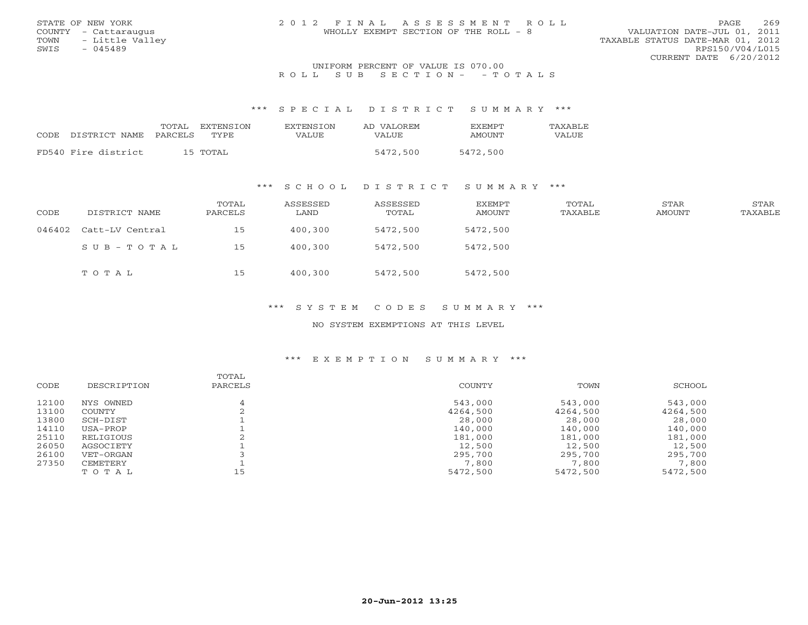| STATE OF NEW YORK<br>COUNTY - Cattaraugus<br>TOWN - Little Valley | 2012 FINAL ASSESSMENT ROLL<br>WHOLLY EXEMPT SECTION OF THE ROLL - 8 | 269<br>PAGE<br>VALUATION DATE-JUL 01, 2011<br>TAXABLE STATUS DATE-MAR 01, 2012 |
|-------------------------------------------------------------------|---------------------------------------------------------------------|--------------------------------------------------------------------------------|
| SWIS<br>- 045489                                                  |                                                                     | RPS150/V04/L015                                                                |
|                                                                   |                                                                     | CURRENT DATE 6/20/2012                                                         |
|                                                                   | $\frac{1}{2}$                                                       |                                                                                |

## UNIFORM PERCENT OF VALUE IS 070.00R O L L S U B S E C T I O N - - T O T A L S

#### \*\*\* S P E C I A L D I S T R I C T S U M M A R Y \*\*\*

|      |                       | TOTAL<br><b>FXTENSTON</b> | <b>EXTENSION</b> | AD VALOREM | <b>FXFMPT</b> | TAXABLE      |
|------|-----------------------|---------------------------|------------------|------------|---------------|--------------|
| CODE | DISTRICT NAME PARCELS | TYPE.                     | VALUE            | VALUE      | <b>AMOUNT</b> | <b>VALUE</b> |
|      | FD540 Fire district   | 15 TOTAL                  |                  | 5472,500   | 5472,500      |              |

## \*\*\* S C H O O L D I S T R I C T S U M M A R Y \*\*\*

| CODE   | DISTRICT NAME   | TOTAL<br>PARCELS | ASSESSED<br>LAND | ASSESSED<br>TOTAL | EXEMPT<br>AMOUNT | TOTAL<br>TAXABLE | STAR<br>AMOUNT | STAR<br>TAXABLE |
|--------|-----------------|------------------|------------------|-------------------|------------------|------------------|----------------|-----------------|
| 046402 | Catt-LV Central | 15               | 400,300          | 5472,500          | 5472,500         |                  |                |                 |
|        | SUB-TOTAL       | 15               | 400,300          | 5472,500          | 5472,500         |                  |                |                 |
|        | TOTAL           | 15               | 400,300          | 5472,500          | 5472,500         |                  |                |                 |

## \*\*\* S Y S T E M C O D E S S U M M A R Y \*\*\*

## NO SYSTEM EXEMPTIONS AT THIS LEVEL

| CODE  | DESCRIPTION | TOTAL<br>PARCELS | COUNTY   | TOWN     | SCHOOL   |
|-------|-------------|------------------|----------|----------|----------|
| 12100 | NYS OWNED   | 4                | 543,000  | 543,000  | 543,000  |
| 13100 | COUNTY      |                  | 4264,500 | 4264,500 | 4264,500 |
| 13800 | SCH-DIST    |                  | 28,000   | 28,000   | 28,000   |
| 14110 | USA-PROP    |                  | 140,000  | 140,000  | 140,000  |
| 25110 | RELIGIOUS   |                  | 181,000  | 181,000  | 181,000  |
| 26050 | AGSOCIETY   |                  | 12,500   | 12,500   | 12,500   |
| 26100 | VET-ORGAN   |                  | 295,700  | 295,700  | 295,700  |
| 27350 | CEMETERY    |                  | 7,800    | 7,800    | 7,800    |
|       | TOTAL       | 15               | 5472,500 | 5472,500 | 5472,500 |
|       |             |                  |          |          |          |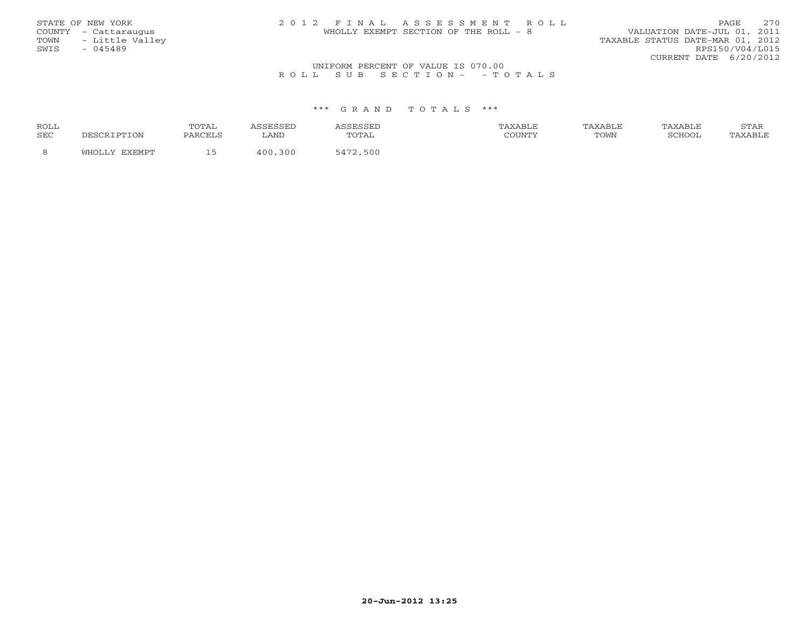| STATE OF NEW YORK    | 2012 FINAL ASSESSMENT ROLL            | 2.70<br>PAGE                     |
|----------------------|---------------------------------------|----------------------------------|
| COUNTY - Cattaraugus | WHOLLY EXEMPT SECTION OF THE ROLL - 8 | VALUATION DATE-JUL 01, 2011      |
| TOWN - Little Valley |                                       | TAXABLE STATUS DATE-MAR 01, 2012 |
| SWIS<br>$-045489$    |                                       | RPS150/V04/L015                  |
|                      |                                       | CURRENT DATE 6/20/2012           |
|                      |                                       |                                  |

## UNIFORM PERCENT OF VALUE IS 070.00<br>R O L L S U B S E C T I O N – – T O T A L S

| <b>ROLL</b> | TOTAL          |              |                   |        | 'AXABLE | 'AXABLE | <u>U 1711</u> |
|-------------|----------------|--------------|-------------------|--------|---------|---------|---------------|
| <b>SEC</b>  | <b>DARCELS</b> | LAND         | TOTAL             | COUNTY | TOWN    | SUHUU   | XABLE         |
|             |                | ついい<br>1 N N | 500<br>$\sqrt{1}$ |        |         |         |               |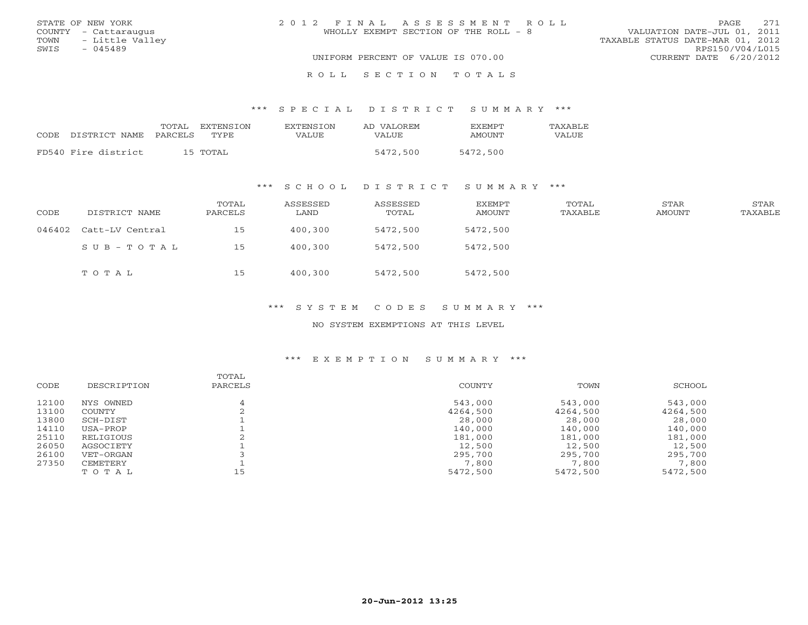| STATE OF NEW YORK    | 2012 FINAL ASSESSMENT ROLL            | 2.71<br>PAGE.                    |
|----------------------|---------------------------------------|----------------------------------|
| COUNTY - Cattaraugus | WHOLLY EXEMPT SECTION OF THE ROLL - 8 | VALUATION DATE-JUL 01, 2011      |
| TOWN - Little Valley |                                       | TAXABLE STATUS DATE-MAR 01, 2012 |
| SWIS<br>- 045489     |                                       | RPS150/V04/L015                  |
|                      | UNIFORM PERCENT OF VALUE IS 070.00    | CURRENT DATE 6/20/2012           |
|                      | ROLL SECTION TOTALS                   |                                  |

#### \*\*\* S P E C I A L D I S T R I C T S U M M A R Y \*\*\*

| CODE | DISTRICT NAME PARCELS | TOTAL EXTENSION<br>TYPE. | <b>EXTENSION</b><br>VALUE | AD VALOREM<br>VALUE | <b>FXFMPT</b><br>AMOUNT | TAXARLE.<br>VALUE |
|------|-----------------------|--------------------------|---------------------------|---------------------|-------------------------|-------------------|
|      | FD540 Fire district   | 15 TOTAL                 |                           | 5472,500            | 5472,500                |                   |

## \*\*\* S C H O O L D I S T R I C T S U M M A R Y \*\*\*

| CODE   | DISTRICT NAME   | TOTAL<br>PARCELS | ASSESSED<br>LAND | ASSESSED<br>TOTAL | EXEMPT<br>AMOUNT | TOTAL<br>TAXABLE | STAR<br>AMOUNT | <b>STAR</b><br>TAXABLE |
|--------|-----------------|------------------|------------------|-------------------|------------------|------------------|----------------|------------------------|
| 046402 | Catt-LV Central | 15               | 400,300          | 5472,500          | 5472,500         |                  |                |                        |
|        | SUB-TOTAL       | 15               | 400,300          | 5472,500          | 5472,500         |                  |                |                        |
|        | TOTAL           | 15               | 400,300          | 5472,500          | 5472,500         |                  |                |                        |

## \*\*\* S Y S T E M C O D E S S U M M A R Y \*\*\*

### NO SYSTEM EXEMPTIONS AT THIS LEVEL

| CODE  | DESCRIPTION | TOTAL<br>PARCELS | COUNTY   | TOWN     | SCHOOL   |
|-------|-------------|------------------|----------|----------|----------|
| 12100 | NYS OWNED   | 4                | 543,000  | 543,000  | 543,000  |
| 13100 | COUNTY      |                  | 4264,500 | 4264,500 | 4264,500 |
| 13800 | SCH-DIST    |                  | 28,000   | 28,000   | 28,000   |
| 14110 | USA-PROP    |                  | 140,000  | 140,000  | 140,000  |
| 25110 | RELIGIOUS   |                  | 181,000  | 181,000  | 181,000  |
| 26050 | AGSOCIETY   |                  | 12,500   | 12,500   | 12,500   |
| 26100 | VET-ORGAN   |                  | 295,700  | 295,700  | 295,700  |
| 27350 | CEMETERY    |                  | 7,800    | 7,800    | 7,800    |
|       | TOTAL       | 15               | 5472,500 | 5472,500 | 5472,500 |
|       |             |                  |          |          |          |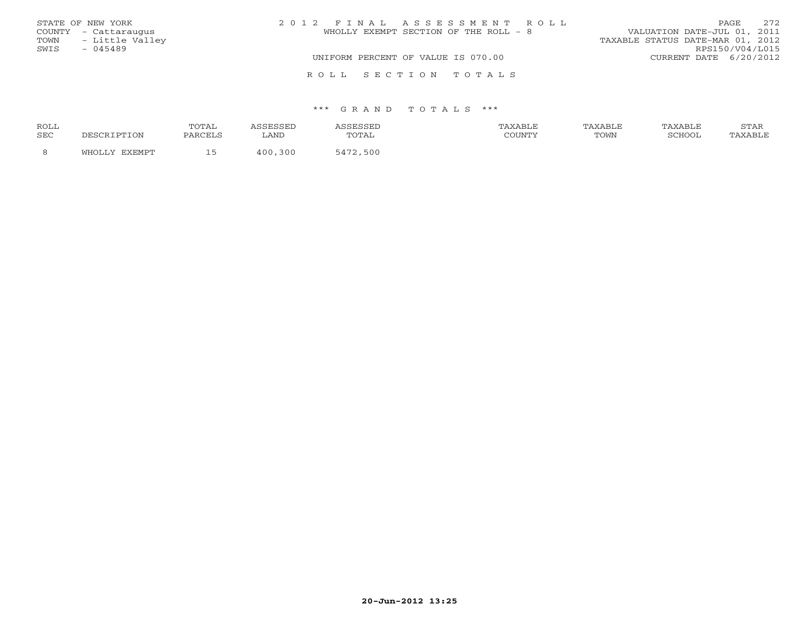| STATE OF NEW YORK    | 2012 FINAL ASSESSMENT ROLL            | 2.72<br>PAGE.                    |
|----------------------|---------------------------------------|----------------------------------|
| COUNTY - Cattaraugus | WHOLLY EXEMPT SECTION OF THE ROLL - 8 | VALUATION DATE-JUL 01, 2011      |
| TOWN - Little Valley |                                       | TAXABLE STATUS DATE-MAR 01, 2012 |
| SWIS<br>- 045489     |                                       | RPS150/V04/L015                  |
|                      | UNIFORM PERCENT OF VALUE IS 070.00    | CURRENT DATE 6/20/2012           |
|                      | ROLL SECTION TOTALS                   |                                  |

| ROLL |              | TOTAL   | ິ            | ASSESSED | TAXABLE  | TAXABLE     | AXABLF | $C$ m $\lambda$ T<br>STAR |
|------|--------------|---------|--------------|----------|----------|-------------|--------|---------------------------|
| SEC  | DESCRIPTION  | PARCELS | LAND         | TOTAL    | CCTINTM1 | <b>TOWN</b> | CCTTOO | 'AXABLE                   |
|      | FYFMP<br>ா∩ா |         | 1 N N<br>300 | 3472,500 |          |             |        |                           |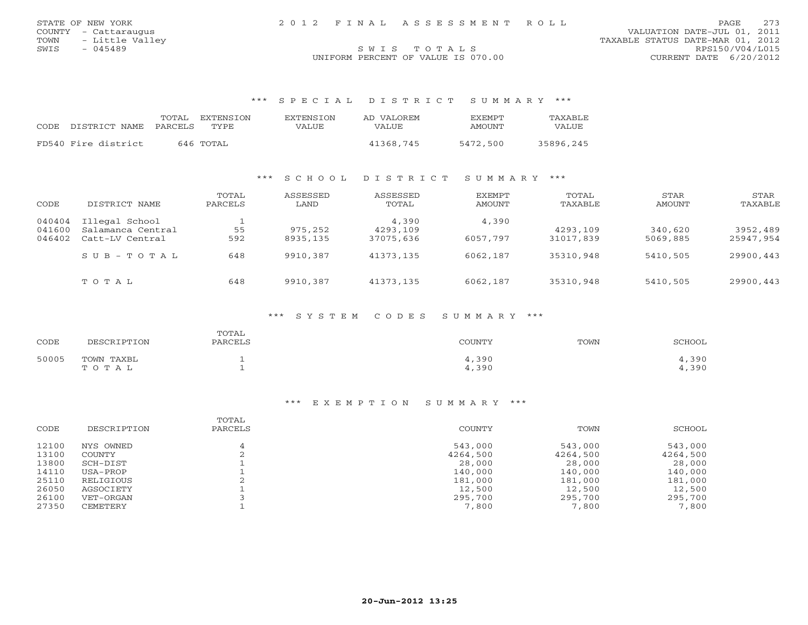| STATE OF NEW YORK<br>COUNTY - Cattaraugus | 2012 FINAL ASSESSMENT ROLL         | 273<br><b>PAGE</b><br>VALUATION DATE-JUL 01, 2011 |
|-------------------------------------------|------------------------------------|---------------------------------------------------|
| TOWN - Little Valley                      |                                    | TAXABLE STATUS DATE-MAR 01, 2012                  |
| SWIS<br>- 045489                          | SWIS TOTALS                        | RPS150/V04/L015                                   |
|                                           | UNIFORM PERCENT OF VALUE IS 070.00 | CURRENT DATE 6/20/2012                            |

\*\*\* S P E C I A L D I S T R I C T S U M M A R Y \*\*\*

| CODE DISTRICT NAME  | TOTAL.<br>PARCELS | EXTENSION<br>TYPE. | <b>EXTENSION</b><br>VALUE. | AD VALOREM<br>VALUE. | <b>FXFMPT</b><br>AMOUNT | <b>TAXABLF</b><br>VALUE |
|---------------------|-------------------|--------------------|----------------------------|----------------------|-------------------------|-------------------------|
| FD540 Fire district |                   | 646 TOTAL          |                            | 41368,745            | 5472,500                | 35896,245               |

## \*\*\* S C H O O L D I S T R I C T S U M M A R Y \*\*\*

| CODE                       | DISTRICT NAME                                          | TOTAL<br>PARCELS | ASSESSED<br>LAND    | ASSESSED<br>TOTAL              | EXEMPT<br>AMOUNT  | TOTAL<br>TAXABLE      | STAR<br>AMOUNT      | STAR<br>TAXABLE       |
|----------------------------|--------------------------------------------------------|------------------|---------------------|--------------------------------|-------------------|-----------------------|---------------------|-----------------------|
| 040404<br>041600<br>046402 | Illegal School<br>Salamanca Central<br>Catt-LV Central | 55<br>592        | 975,252<br>8935,135 | 4,390<br>4293,109<br>37075,636 | 4,390<br>6057,797 | 4293,109<br>31017,839 | 340,620<br>5069,885 | 3952,489<br>25947,954 |
|                            | $SUB - TO T AL$                                        | 648              | 9910,387            | 41373,135                      | 6062,187          | 35310,948             | 5410,505            | 29900,443             |
|                            | TOTAL                                                  | 648              | 9910,387            | 41373,135                      | 6062,187          | 35310,948             | 5410,505            | 29900,443             |

### \*\*\* S Y S T E M C O D E S S U M M A R Y \*\*\*

| CODE  | DESCRIPTION         | TOTAL<br>PARCELS | COUNTY         | TOWN | SCHOOL         |
|-------|---------------------|------------------|----------------|------|----------------|
| 50005 | TOWN TAXBL<br>TOTAL |                  | 4,390<br>4,390 |      | 4,390<br>4,390 |

| CODE  | DESCRIPTION | TOTAL<br>PARCELS | COUNTY   | TOWN     | SCHOOL   |
|-------|-------------|------------------|----------|----------|----------|
| 12100 | NYS OWNED   |                  | 543,000  | 543,000  | 543,000  |
| 13100 | COUNTY      |                  | 4264,500 | 4264,500 | 4264,500 |
| 13800 | SCH-DIST    |                  | 28,000   | 28,000   | 28,000   |
| 14110 | USA-PROP    |                  | 140,000  | 140,000  | 140,000  |
| 25110 | RELIGIOUS   | $\sim$           | 181,000  | 181,000  | 181,000  |
| 26050 | AGSOCIETY   |                  | 12,500   | 12,500   | 12,500   |
| 26100 | VET-ORGAN   |                  | 295,700  | 295,700  | 295,700  |
| 27350 | CEMETERY    |                  | 7,800    | 7,800    | 7,800    |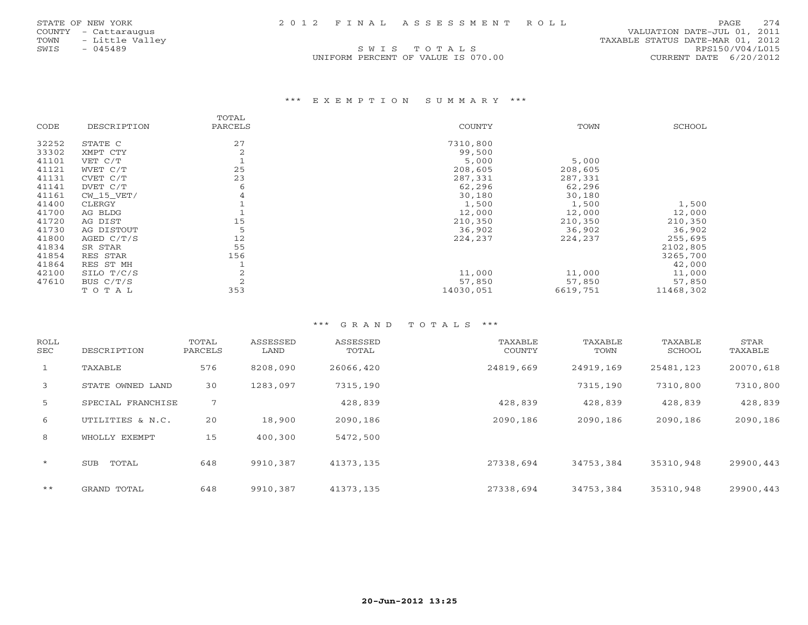SWIS TOTALS

 COUNTY - Cattaraugus VALUATION DATE-JUL 01, 2011 TOWN - Little Valley<br>
TOWN - Little Valley<br>
SWIS - 045489 RPS150/V04/L015 UNIFORM PERCENT OF VALUE IS 070.00 CURRENT DATE 6/20/2012

### \*\*\* E X E M P T I O N S U M M A R Y \*\*\*

|       |              | TOTAL   |               |          |           |
|-------|--------------|---------|---------------|----------|-----------|
| CODE  | DESCRIPTION  | PARCELS | <b>COUNTY</b> | TOWN     | SCHOOL    |
| 32252 | STATE C      | 27      | 7310,800      |          |           |
| 33302 | XMPT CTY     | 2       | 99,500        |          |           |
| 41101 | VET C/T      |         | 5,000         | 5,000    |           |
| 41121 | WVET C/T     | 25      | 208,605       | 208,605  |           |
| 41131 | CVET C/T     | 23      | 287,331       | 287,331  |           |
| 41141 | DVET C/T     | 6       | 62,296        | 62,296   |           |
| 41161 | $CW_15_VET/$ |         | 30,180        | 30,180   |           |
| 41400 | CLERGY       |         | 1,500         | 1,500    | 1,500     |
| 41700 | AG BLDG      |         | 12,000        | 12,000   | 12,000    |
| 41720 | AG DIST      | 15      | 210,350       | 210,350  | 210,350   |
| 41730 | AG DISTOUT   |         | 36,902        | 36,902   | 36,902    |
| 41800 | AGED C/T/S   | 12      | 224,237       | 224,237  | 255,695   |
| 41834 | SR STAR      | 55      |               |          | 2102,805  |
| 41854 | RES STAR     | 156     |               |          | 3265,700  |
| 41864 | RES ST MH    |         |               |          | 42,000    |
| 42100 | SILO T/C/S   |         | 11,000        | 11,000   | 11,000    |
| 47610 | BUS $C/T/S$  |         | 57,850        | 57,850   | 57,850    |
|       | TOTAL        | 353     | 14030,051     | 6619,751 | 11468,302 |

| ROLL<br>SEC  | DESCRIPTION         | TOTAL<br>PARCELS | ASSESSED<br>LAND | ASSESSED<br>TOTAL | TAXABLE<br>COUNTY | TAXABLE<br>TOWN | TAXABLE<br>SCHOOL | STAR<br>TAXABLE |
|--------------|---------------------|------------------|------------------|-------------------|-------------------|-----------------|-------------------|-----------------|
| $\mathbf{1}$ | TAXABLE             | 576              | 8208,090         | 26066,420         | 24819,669         | 24919,169       | 25481,123         | 20070,618       |
| 3            | STATE OWNED LAND    | 30               | 1283,097         | 7315,190          |                   | 7315,190        | 7310,800          | 7310,800        |
| 5            | SPECIAL FRANCHISE   | 7                |                  | 428,839           | 428,839           | 428,839         | 428,839           | 428,839         |
| 6            | UTILITIES & N.C.    | 20               | 18,900           | 2090,186          | 2090,186          | 2090,186        | 2090,186          | 2090,186        |
| 8            | WHOLLY EXEMPT       | 15               | 400,300          | 5472,500          |                   |                 |                   |                 |
| $\star$      | TOTAL<br><b>SUB</b> | 648              | 9910,387         | 41373,135         | 27338,694         | 34753,384       | 35310,948         | 29900,443       |
| $***$        | GRAND TOTAL         | 648              | 9910,387         | 41373,135         | 27338,694         | 34753,384       | 35310,948         | 29900.443       |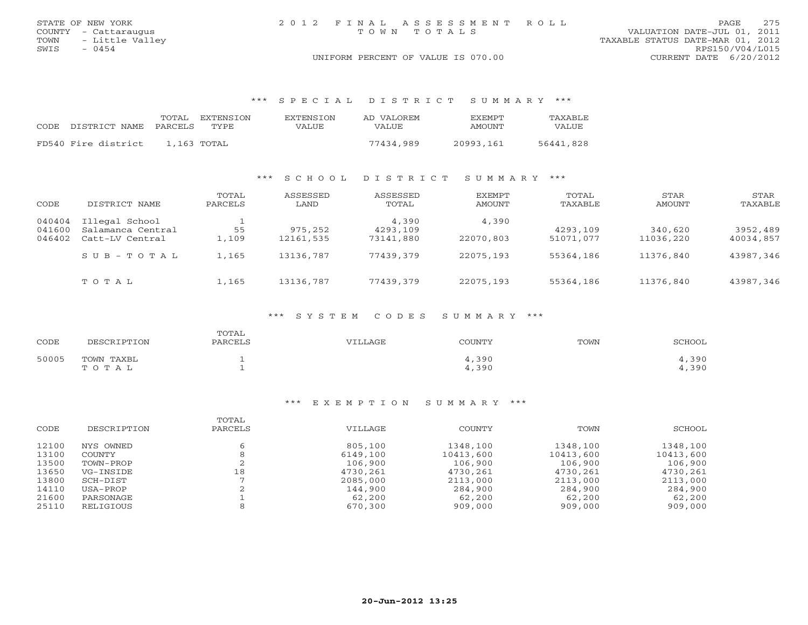|      | STATE OF NEW YORK    |  | 2012 FINAL ASSESSMENT ROLL         |                                  |                        | PAGE | 2.75 |
|------|----------------------|--|------------------------------------|----------------------------------|------------------------|------|------|
|      | COUNTY - Cattaraugus |  | TOWN TOTALS                        | VALUATION DATE-JUL 01, 2011      |                        |      |      |
|      | TOWN - Little Valley |  |                                    | TAXABLE STATUS DATE-MAR 01, 2012 |                        |      |      |
| SWIS | - 0454               |  |                                    |                                  | RPS150/V04/L015        |      |      |
|      |                      |  | UNIFORM PERCENT OF VALUE IS 070.00 |                                  | CURRENT DATE 6/20/2012 |      |      |

\*\*\* S P E C I A L D I S T R I C T S U M M A R Y \*\*\*

| CODE. | DISTRICT NAME PARCELS | TOTAL | EXTENSTON<br>TYPE | <b>EXTENSION</b><br>VALUE | AD VALOREM<br><b>VALUE</b> | <b>EXEMPT</b><br>AMOUNT | <b>TAXABLF</b><br>VALUE |
|-------|-----------------------|-------|-------------------|---------------------------|----------------------------|-------------------------|-------------------------|
|       | FD540 Fire district   |       | 1,163 TOTAL       |                           | 77434,989                  | 20993,161               | 56441,828               |

## \*\*\* S C H O O L D I S T R I C T S U M M A R Y \*\*\*

| CODE                       | DISTRICT NAME                                          | TOTAL<br>PARCELS | ASSESSED<br>LAND     | ASSESSED<br>TOTAL              | EXEMPT<br>AMOUNT   | TOTAL<br>TAXABLE      | STAR<br>AMOUNT       | STAR<br>TAXABLE       |
|----------------------------|--------------------------------------------------------|------------------|----------------------|--------------------------------|--------------------|-----------------------|----------------------|-----------------------|
| 040404<br>041600<br>046402 | Illegal School<br>Salamanca Central<br>Catt-LV Central | 55<br>,109       | 975,252<br>12161,535 | 4,390<br>4293,109<br>73141,880 | 4,390<br>22070,803 | 4293,109<br>51071,077 | 340,620<br>11036,220 | 3952,489<br>40034,857 |
|                            | $S \cup B - T \cup T A L$                              | 1,165            | 13136,787            | 77439,379                      | 22075,193          | 55364,186             | 11376,840            | 43987,346             |
|                            | TOTAL                                                  | 1,165            | 13136,787            | 77439,379                      | 22075,193          | 55364,186             | 11376,840            | 43987,346             |

### \*\*\* S Y S T E M C O D E S S U M M A R Y \*\*\*

| CODE  | DESCRIPTION         | TOTAL<br>PARCELS | /ILLAGE | COUNTY        | TOWN | <b>SCHOOL</b>  |
|-------|---------------------|------------------|---------|---------------|------|----------------|
| 50005 | TOWN TAXBL<br>TOTAL |                  |         | ,390<br>4,390 |      | 4,390<br>4,390 |

|       |               | TOTAL   |          |           |           |           |
|-------|---------------|---------|----------|-----------|-----------|-----------|
| CODE  | DESCRIPTION   | PARCELS | VILLAGE  | COUNTY    | TOWN      | SCHOOL    |
| 12100 | NYS OWNED     |         | 805,100  | 1348,100  | 1348,100  | 1348,100  |
| 13100 | <b>COUNTY</b> | 8       | 6149,100 | 10413,600 | 10413,600 | 10413,600 |
| 13500 | TOWN-PROP     |         | 106,900  | 106,900   | 106,900   | 106,900   |
| 13650 | VG-INSIDE     | 18      | 4730,261 | 4730,261  | 4730,261  | 4730,261  |
| 13800 | SCH-DIST      |         | 2085,000 | 2113,000  | 2113,000  | 2113,000  |
| 14110 | USA-PROP      |         | 144,900  | 284,900   | 284,900   | 284,900   |
| 21600 | PARSONAGE     |         | 62,200   | 62,200    | 62,200    | 62,200    |
| 25110 | RELIGIOUS     | $\circ$ | 670,300  | 909,000   | 909,000   | 909,000   |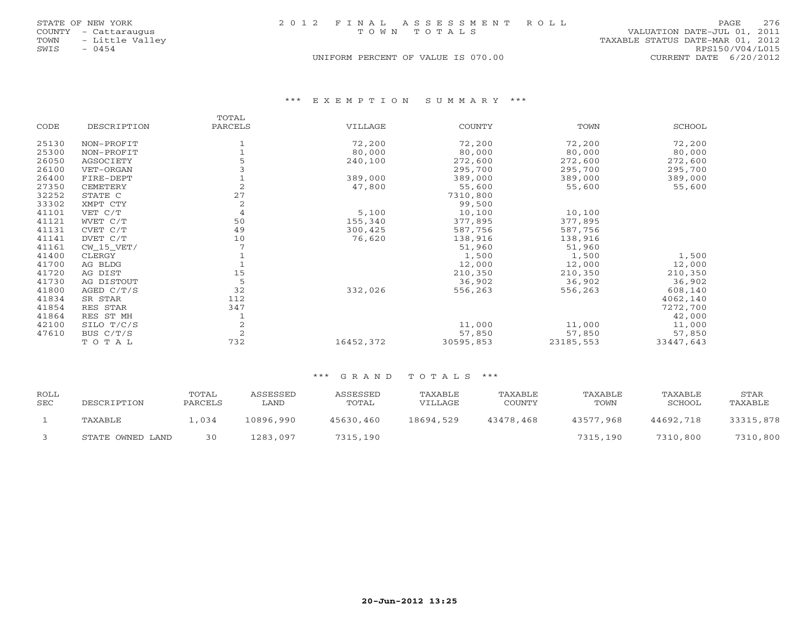|      | STATE OF NEW YORK    |  | 2012 FINAL ASSESSMENT ROLL         |                                  | PAGE            | 276 |
|------|----------------------|--|------------------------------------|----------------------------------|-----------------|-----|
|      | COUNTY - Cattaraugus |  | TOWN TOTALS                        | VALUATION DATE-JUL 01, 2011      |                 |     |
|      | TOWN - Little Valley |  |                                    | TAXABLE STATUS DATE-MAR 01, 2012 |                 |     |
| SWIS | $-0454$              |  |                                    |                                  | RPS150/V04/L015 |     |
|      |                      |  | UNIFORM PERCENT OF VALUE IS 070.00 | CURRENT DATE 6/20/2012           |                 |     |

\*\*\* E X E M P T I O N S U M M A R Y \*\*\*

|       |              | TOTAL          |           |           |           |           |
|-------|--------------|----------------|-----------|-----------|-----------|-----------|
| CODE  | DESCRIPTION  | PARCELS        | VILLAGE   | COUNTY    | TOWN      | SCHOOL    |
| 25130 | NON-PROFIT   |                | 72,200    | 72,200    | 72,200    | 72,200    |
| 25300 | NON-PROFIT   |                | 80,000    | 80,000    | 80,000    | 80,000    |
| 26050 | AGSOCIETY    |                | 240,100   | 272,600   | 272,600   | 272,600   |
| 26100 | VET-ORGAN    |                |           | 295,700   | 295,700   | 295,700   |
| 26400 | FIRE-DEPT    |                | 389,000   | 389,000   | 389,000   | 389,000   |
| 27350 | CEMETERY     | $\overline{2}$ | 47,800    | 55,600    | 55,600    | 55,600    |
| 32252 | STATE C      | 27             |           | 7310,800  |           |           |
| 33302 | XMPT CTY     | 2              |           | 99,500    |           |           |
| 41101 | VET C/T      | 4              | 5,100     | 10,100    | 10,100    |           |
| 41121 | WVET C/T     | 50             | 155,340   | 377,895   | 377,895   |           |
| 41131 | CVET C/T     | 49             | 300,425   | 587,756   | 587,756   |           |
| 41141 | DVET C/T     | 10             | 76,620    | 138,916   | 138,916   |           |
| 41161 | $CW_15_VET/$ |                |           | 51,960    | 51,960    |           |
| 41400 | CLERGY       |                |           | 1,500     | 1,500     | 1,500     |
| 41700 | AG BLDG      |                |           | 12,000    | 12,000    | 12,000    |
| 41720 | AG DIST      | 15             |           | 210,350   | 210,350   | 210,350   |
| 41730 | AG DISTOUT   | 5              |           | 36,902    | 36,902    | 36,902    |
| 41800 | AGED $C/T/S$ | 32             | 332,026   | 556,263   | 556,263   | 608,140   |
| 41834 | SR STAR      | 112            |           |           |           | 4062,140  |
| 41854 | RES STAR     | 347            |           |           |           | 7272,700  |
| 41864 | RES ST MH    |                |           |           |           | 42,000    |
| 42100 | SILO T/C/S   | $\overline{2}$ |           | 11,000    | 11,000    | 11,000    |
| 47610 | BUS C/T/S    | $\mathcal{L}$  |           | 57,850    | 57,850    | 57,850    |
|       | TOTAL        | 732            | 16452,372 | 30595,853 | 23185,553 | 33447,643 |

| ROLL<br>SEC | DESCRIPTION      | TOTAL<br>PARCELS | ASSESSED<br>∟AND | ASSESSED<br>TOTAL | TAXABLE<br>VILLAGE | TAXABLE<br>COUNTY | TAXABLE<br>TOWN | TAXABLE<br>SCHOOL | STAR<br>TAXABLE |
|-------------|------------------|------------------|------------------|-------------------|--------------------|-------------------|-----------------|-------------------|-----------------|
|             | TAXABLE          | 1,034            | 10896,990        | 45630,460         | 18694,529          | 43478,468         | 43577,968       | 44692,718         | 33315,878       |
|             | STATE OWNED LAND | 30               | 1283,097         | 7315,190          |                    |                   | 7315,190        | 7310,800          | 7310,800        |